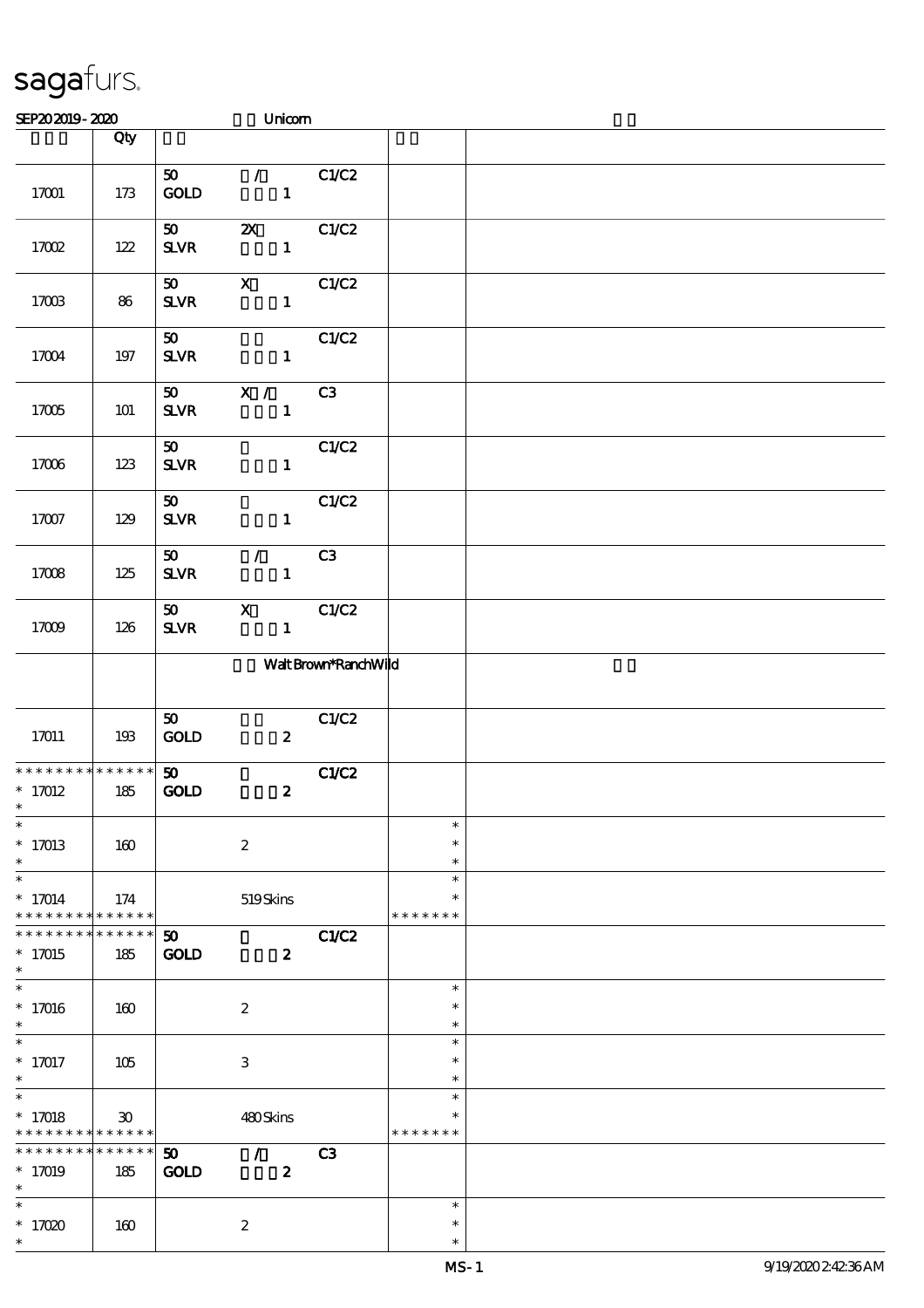| SEP202019-2020                                                                      |                        |                                            | Unicom                                      |                      |                                   |  |
|-------------------------------------------------------------------------------------|------------------------|--------------------------------------------|---------------------------------------------|----------------------|-----------------------------------|--|
|                                                                                     | Qty                    |                                            |                                             |                      |                                   |  |
| 17001                                                                               | 173                    | $\boldsymbol{\mathfrak{D}}$<br>GOLD        | $\mathcal{T} = \mathcal{I}$<br>$\mathbf{1}$ | C1/C2                |                                   |  |
| 17002                                                                               | 122                    | 50<br>${\bf S\!L}\!{\bf V\!R}$             | $\boldsymbol{\mathsf{X}}$<br>$\mathbf 1$    | C1/C2                |                                   |  |
| 17003                                                                               | 86                     | 50<br>SLVR                                 | $\mathbf{X}$<br>$\mathbf{1}$                | C1/C2                |                                   |  |
| 17004                                                                               | 197                    | 50<br>$S\!L\!V\!R$                         | $\mathbf{1}$                                | C1/C2                |                                   |  |
| 17005                                                                               | <b>101</b>             | 50<br><b>SLVR</b>                          | $\mathbf{X}$ /<br>$\mathbf{1}$              | C3                   |                                   |  |
| 17006                                                                               | 123                    | 50<br><b>SLVR</b>                          | $\mathbf{1}$                                | C1/C2                |                                   |  |
| $17007$                                                                             | 129                    | $\boldsymbol{\mathfrak{D}}$<br><b>SLVR</b> | $\mathbf{1}$                                | C1/C2                |                                   |  |
| 17008                                                                               | 125                    | 50 <sub>o</sub><br><b>SLVR</b>             | $\mathcal{T}$<br>$\mathbf{1}$               | C <sub>3</sub>       |                                   |  |
| 17009                                                                               | 126                    | 50<br><b>SLVR</b>                          | $\mathbf{x}$<br>$\mathbf{1}$                | C1/C2                |                                   |  |
|                                                                                     |                        |                                            |                                             | Walt Brown*RanchWild |                                   |  |
| 17011                                                                               | 193                    | 50<br>$\mathop{\rm GOD}$                   | $\boldsymbol{z}$                            | C1/C2                |                                   |  |
| * * * * * * * * * * * * * *<br>$* 17012$<br>$*$                                     | 185                    | 50 <sub>o</sub><br><b>GOLD</b>             | $\boldsymbol{z}$                            | C1/C2                |                                   |  |
| $\ast$<br>$* 17013$<br>$\ast$                                                       | 160                    |                                            | $\boldsymbol{2}$                            |                      | $\ast$<br>$\ast$<br>$\ast$        |  |
| $\ast$<br>$* 17014$<br>* * * * * * * *                                              | 174<br>* * * * * *     |                                            | 519Skins                                    |                      | $\ast$<br>$\ast$<br>* * * * * * * |  |
| * * * * * * *<br>$*17015$<br>$\ast$                                                 | * * * * * *<br>185     | 50<br>$\mathbf{GOD}$                       | $\boldsymbol{z}$                            | <b>C1/C2</b>         |                                   |  |
| $\overline{\ast}$<br>$* 17016$<br>$\ast$                                            | 160                    |                                            | $\boldsymbol{2}$                            |                      | $\ast$<br>$\ast$<br>$\ast$        |  |
| $\ast$<br>$* 17017$<br>$\ast$                                                       | 105                    |                                            | $\,3$                                       |                      | $\ast$<br>$\ast$<br>$\ast$        |  |
| $\overline{\phantom{0}}$<br>$* 17018$<br>* * * * * * * * <mark>* * * * * * *</mark> | 30                     |                                            | 480Skins                                    |                      | $\ast$<br>$\ast$<br>* * * * * * * |  |
| * * * * * * * *<br>$* 17019$<br>$\ast$                                              | $* * * * * * *$<br>185 | $\boldsymbol{\mathfrak{D}}$<br><b>GOLD</b> | $\mathcal{L}$<br>$\boldsymbol{2}$           | C3                   |                                   |  |
| $\ast$<br>$*17020$<br>$\ast$                                                        | 160                    |                                            | $\boldsymbol{2}$                            |                      | $\ast$<br>$\ast$<br>$\ast$        |  |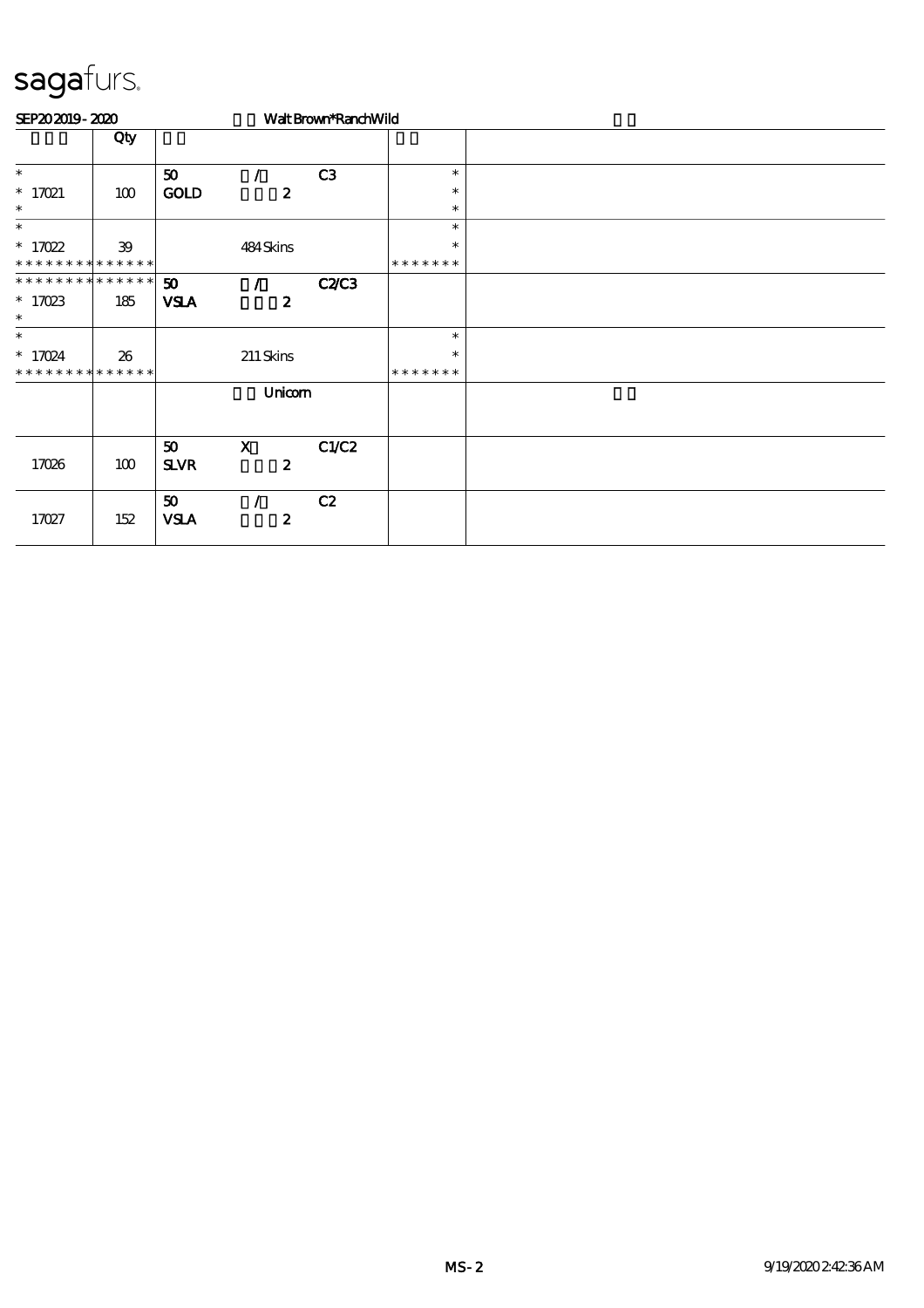| SEP202019-2020              |     |                             |                  | Walt Brown*RanchWild |               |  |
|-----------------------------|-----|-----------------------------|------------------|----------------------|---------------|--|
|                             | Qty |                             |                  |                      |               |  |
| $\ast$                      |     | 50                          |                  | C3                   | $\ast$        |  |
| $*$ 17021                   | 100 | <b>GOLD</b>                 | $\boldsymbol{z}$ |                      | $\ast$        |  |
| $\ast$                      |     |                             |                  |                      | $\ast$        |  |
| $\ast$                      |     |                             |                  |                      | $\ast$        |  |
| $* 17022$                   | 39  |                             | 484Skins         |                      | $\ast$        |  |
| * * * * * * * * * * * * * * |     |                             |                  |                      | * * * * * * * |  |
| **************              |     | $\boldsymbol{\mathfrak{D}}$ |                  | <b>C2C3</b>          |               |  |
| $*$ 17023                   | 185 | <b>VSLA</b>                 | $\boldsymbol{z}$ |                      |               |  |
| $\ast$                      |     |                             |                  |                      |               |  |
| $\ast$                      |     |                             |                  |                      | $\ast$        |  |
| $* 17024$                   | 26  |                             | 211 Skins        |                      | $\ast$        |  |
| * * * * * * * * * * * * * * |     |                             |                  |                      | * * * * * * * |  |
|                             |     | Unicom                      |                  |                      |               |  |
|                             |     | 50                          | $\mathbf{x}$     | C1/C2                |               |  |
| 17026                       | 100 | <b>SLVR</b>                 | $\boldsymbol{z}$ |                      |               |  |
|                             |     | 50                          |                  | C2                   |               |  |
| 17027                       | 152 | <b>VSLA</b>                 | $\boldsymbol{z}$ |                      |               |  |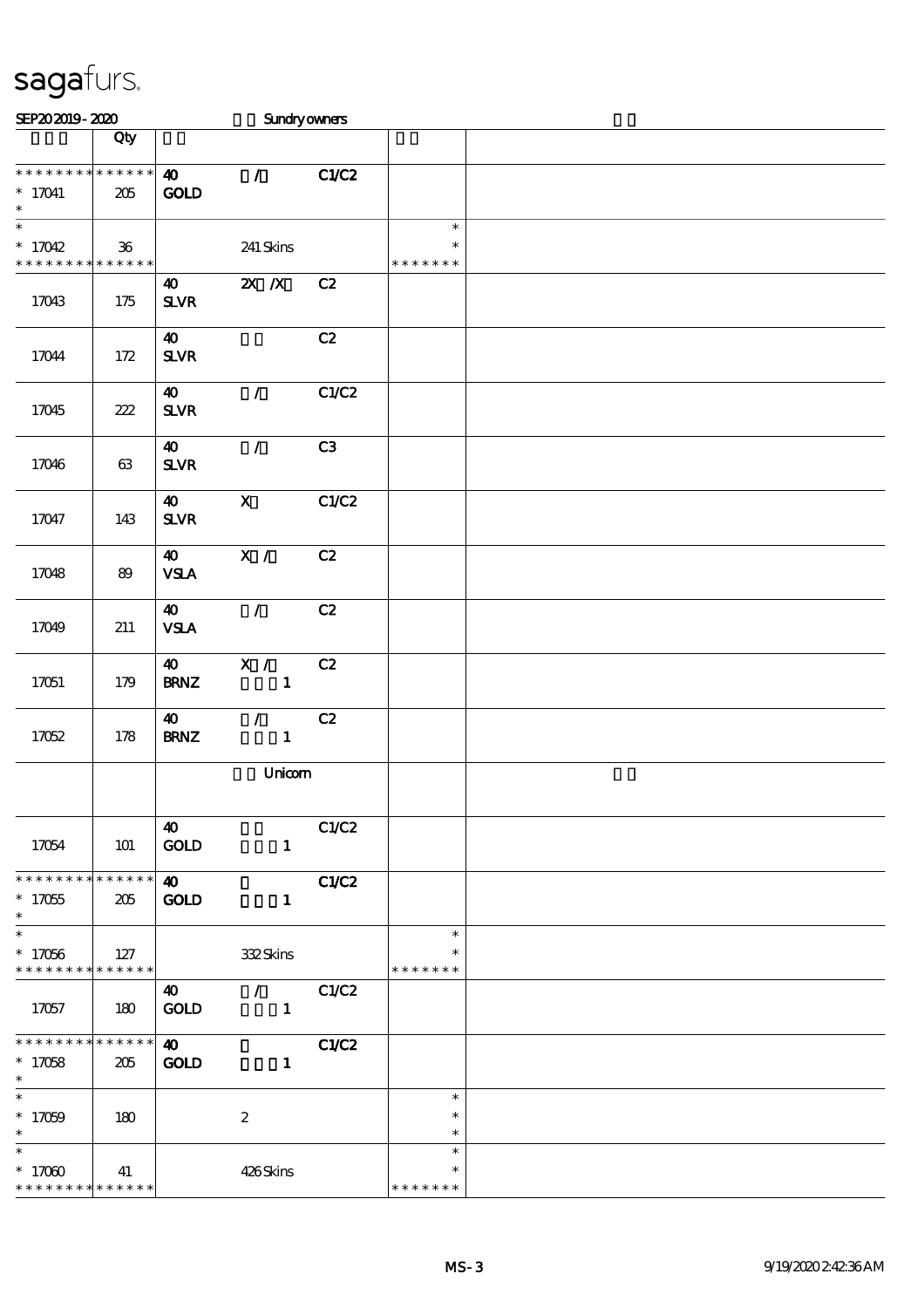| SEP202019-2020                                               |                   |                                       | Sundryowners                                    |       |                                   |  |
|--------------------------------------------------------------|-------------------|---------------------------------------|-------------------------------------------------|-------|-----------------------------------|--|
|                                                              | Qty               |                                       |                                                 |       |                                   |  |
| * * * * * * * * * * * * * *<br>$* 17041$<br>$\ast$           | 205               | $\boldsymbol{\omega}$<br><b>GOLD</b>  | $\mathcal{T}$                                   | C1/C2 |                                   |  |
| $\overline{\ast}$<br>$*17042$<br>* * * * * * * * * * * * * * | $36\,$            |                                       | 241 Skins                                       |       | $\ast$<br>$\ast$<br>* * * * * * * |  |
| 17043                                                        | 175               | $\boldsymbol{\omega}$<br>$S\!L\!V\!R$ | $X$ $N$                                         | C2    |                                   |  |
| 17044                                                        | 172               | $\boldsymbol{\omega}$<br>$S\!L\!V\!R$ |                                                 | C2    |                                   |  |
| 17045                                                        | 222               | $\boldsymbol{\omega}$<br>$S\!L\!V\!R$ | $\mathcal{L}$                                   | C1/C2 |                                   |  |
| 17046                                                        | 63                | $\boldsymbol{\omega}$<br>$S\!L\!V\!R$ | $\mathcal{L}$                                   | C3    |                                   |  |
| 17047                                                        | 143               | $\boldsymbol{\omega}$<br>$S\!L\!V\!R$ | $\mathbf X$                                     | C1/C2 |                                   |  |
| 17048                                                        | 89                | 40<br><b>VSLA</b>                     | X /                                             | C2    |                                   |  |
| 17049                                                        | 211               | $\boldsymbol{\omega}$<br><b>VSLA</b>  | $\mathcal{L}$                                   | C2    |                                   |  |
| 17051                                                        | 179               | 40<br><b>BRNZ</b>                     | X /<br>$\mathbf{1}$                             | C2    |                                   |  |
| 17052                                                        | 178               | $\boldsymbol{\omega}$<br><b>BRNZ</b>  | $\mathcal{L}_{\mathbb{R}}$<br>$\mathbf{1}$      | C2    |                                   |  |
|                                                              |                   |                                       | Unicom                                          |       |                                   |  |
| 17054                                                        | 101               | 40<br><b>GOLD</b>                     | $\mathbf{1}$                                    | C1/C2 |                                   |  |
| * * * * * * * * * * * * * *<br>$^*$ 17055<br>$\ast$          | 205               | $\boldsymbol{\omega}$<br><b>GOLD</b>  | $\mathbf{1}$                                    | C1/C2 |                                   |  |
| $\ast$<br>$*17056$<br>* * * * * * * *                        | 127<br>******     |                                       | 332Skins                                        |       | $\ast$<br>$\ast$<br>* * * * * * * |  |
| 17057                                                        | 180               | $\boldsymbol{40}$<br><b>GOLD</b>      | $\mathcal{L}$ and $\mathcal{L}$<br>$\mathbf{1}$ | C1/C2 |                                   |  |
| * * * * * * * * * * * * * * *<br>$*17058$<br>$\ast$          | 205               | $\boldsymbol{\omega}$<br><b>GOLD</b>  | $\mathbf{1}$                                    | C1/C2 |                                   |  |
| $\ast$<br>$*17059$<br>$\ast$                                 | 180               |                                       | $\boldsymbol{2}$                                |       | $\ast$<br>$\ast$<br>$\ast$        |  |
| $\overline{\phantom{1}}$<br>$*17000$<br>* * * * * * * *      | 41<br>* * * * * * |                                       | 426Skins                                        |       | $\ast$<br>$\ast$<br>* * * * * * * |  |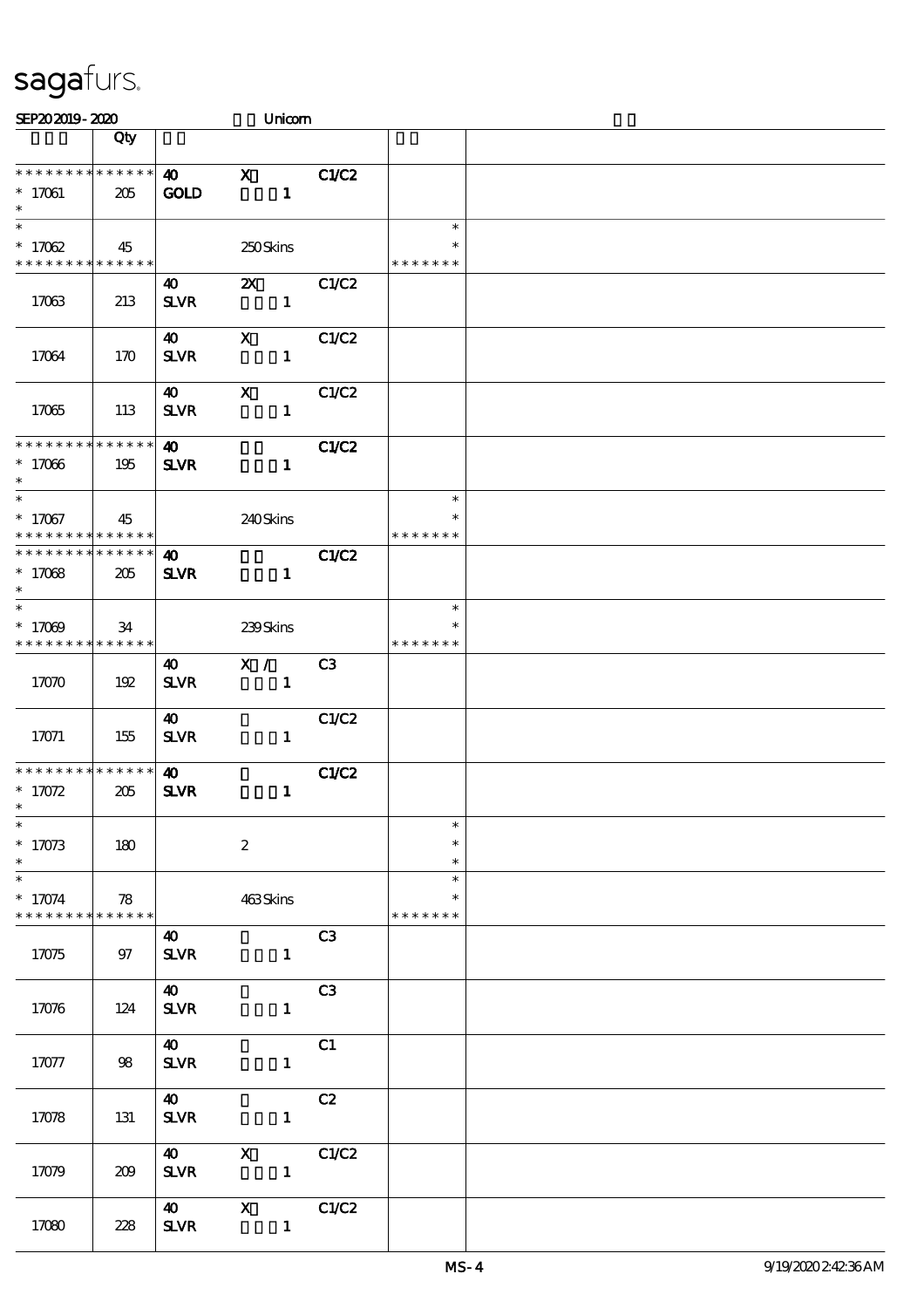| SEP202019-2020                                                              |     |                                      | Unicom                                    |                |                                   |  |
|-----------------------------------------------------------------------------|-----|--------------------------------------|-------------------------------------------|----------------|-----------------------------------|--|
|                                                                             | Qty |                                      |                                           |                |                                   |  |
| * * * * * * * * * * * * * *<br>$* 17061$<br>$\ast$                          | 205 | $\boldsymbol{\omega}$<br><b>GOLD</b> | $\mathbf x$<br>$\mathbf{1}$               | C1/C2          |                                   |  |
| $\overline{\ast}$<br>$*17062$<br>* * * * * * * * <mark>* * * * * * *</mark> | 45  |                                      | 250Skins                                  |                | $\ast$<br>$\ast$<br>* * * * * * * |  |
| 17063                                                                       | 213 | 40<br><b>SLVR</b>                    | $\boldsymbol{\mathsf{X}}$<br>$\mathbf{1}$ | C1/C2          |                                   |  |
| 17064                                                                       | 170 | 40<br><b>SLVR</b>                    | $\mathbf{x}$<br>$\mathbf{1}$              | C1/C2          |                                   |  |
| 17065                                                                       | 113 | 40<br><b>SLVR</b>                    | $\boldsymbol{\mathrm{X}}$<br>$\mathbf{1}$ | C1/C2          |                                   |  |
| * * * * * * * * * * * * * *<br>$*17066$<br>$\ast$                           | 195 | $\boldsymbol{\omega}$<br><b>SLVR</b> | $\mathbf{1}$                              | <b>C1/C2</b>   |                                   |  |
| $\ast$<br>$* 17067$<br>* * * * * * * * * * * * * * *                        | 45  |                                      | 240Skins                                  |                | $\ast$<br>$\ast$<br>* * * * * * * |  |
| * * * * * * * * * * * * * *<br>$*17068$<br>$\ast$                           | 205 | $\boldsymbol{\omega}$<br><b>SLVR</b> | $\mathbf{1}$                              | C1/C2          |                                   |  |
| $\ast$<br>$*17009$<br>* * * * * * * * * * * * * *                           | 34  |                                      | 239Skins                                  |                | $\ast$<br>* * * * * * *           |  |
| 17070                                                                       | 192 | 40<br>$S\!L\!V\!R$                   | X /<br>$\mathbf{1}$                       | C3             |                                   |  |
| 17071                                                                       | 155 | 40<br><b>SLVR</b>                    | $\mathbf{1}$                              | C1/C2          |                                   |  |
| * * * * * * * * * * * * * * *<br>$* 17072$<br>$*$                           | 205 | $\boldsymbol{\omega}$<br><b>SLVR</b> | $\mathbf{1}$                              | <b>C1/C2</b>   |                                   |  |
| $\ast$<br>$* 17073$<br>$\ast$                                               | 180 |                                      | $\boldsymbol{2}$                          |                | $\ast$<br>$\ast$<br>$\ast$        |  |
| $\ast$<br>$* 17074$<br>* * * * * * * * * * * * * *                          | 78  |                                      | 463Skins                                  |                | $\ast$<br>$\ast$<br>* * * * * * * |  |
| 17075                                                                       | 97  | $\boldsymbol{\omega}$<br><b>SLVR</b> | $\mathbf{1}$                              | C3             |                                   |  |
| 17076                                                                       | 124 | $\boldsymbol{40}$<br><b>SLVR</b>     | $\mathbf{1}$                              | C <sub>3</sub> |                                   |  |
| 17077                                                                       | 98  | <b>40</b><br><b>SLVR</b>             | $\mathbf{1}$                              | C1             |                                   |  |
| 17078                                                                       | 131 | $\boldsymbol{40}$<br><b>SLVR</b>     | $\mathbf{1}$                              | C2             |                                   |  |
| 17079                                                                       | 209 | $\boldsymbol{40}$<br>$S\!L\!V\!R$    | $\boldsymbol{\mathsf{X}}$<br>$\mathbf{1}$ | C1/C2          |                                   |  |
| 17080                                                                       | 228 | $\boldsymbol{\omega}$<br><b>SLVR</b> | $\mathbf{X}$<br>$\mathbf{1}$              | C1/C2          |                                   |  |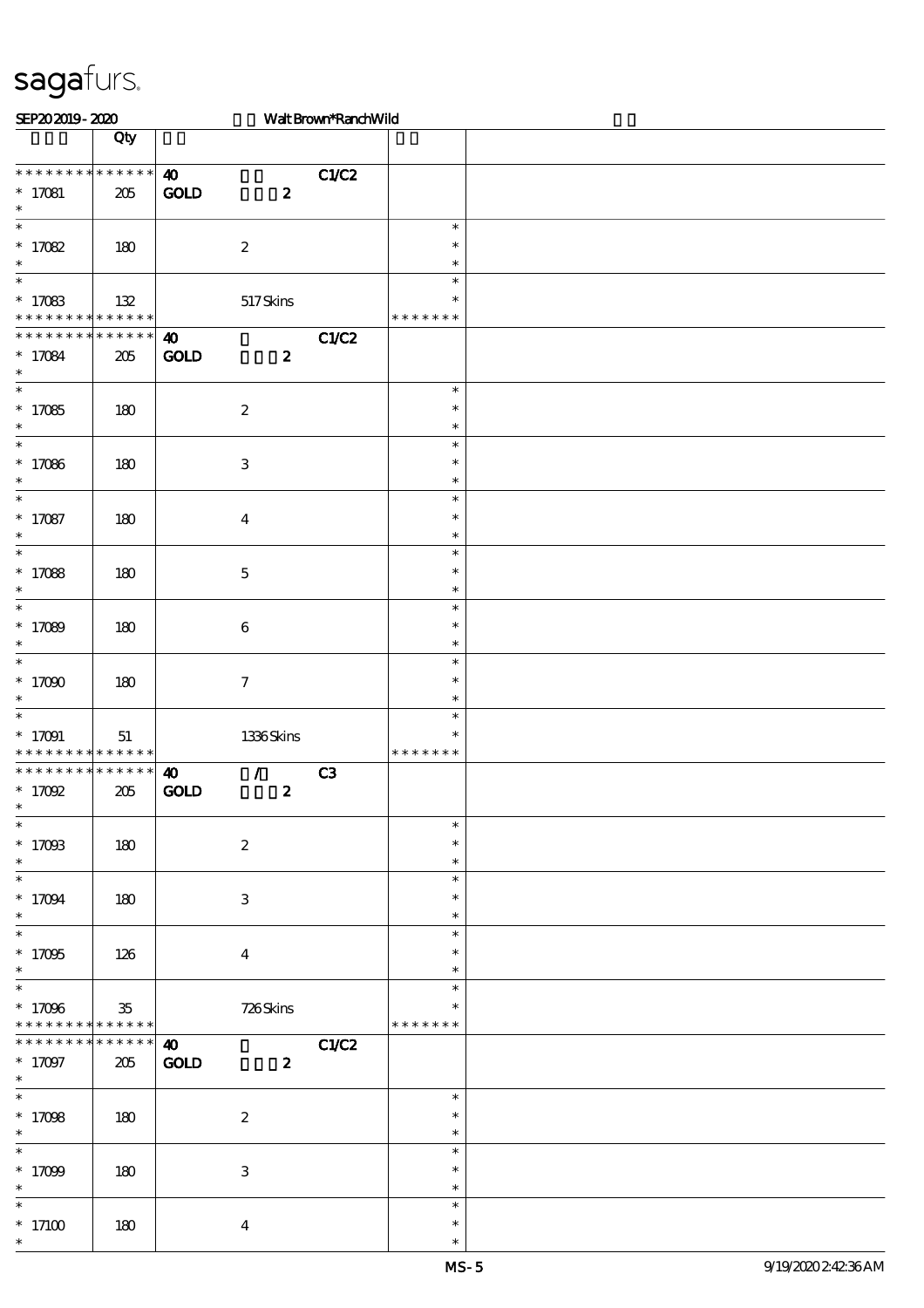| SEP202019-2020                                                    |                        |                                                                           | Walt Brown*RanchWild |                                   |  |  |
|-------------------------------------------------------------------|------------------------|---------------------------------------------------------------------------|----------------------|-----------------------------------|--|--|
|                                                                   | Qty                    |                                                                           |                      |                                   |  |  |
| * * * * * * * * * * * * * *<br>$* 17081$<br>$\ast$                | 205                    | $\boldsymbol{\omega}$<br>$\mathbf{GOD}$<br>$\boldsymbol{z}$               | C1/C2                |                                   |  |  |
| $\overline{\phantom{0}}$<br>$* 17082$<br>$\ast$                   | 180                    | $\boldsymbol{2}$                                                          |                      | $\ast$<br>$\ast$<br>$\ast$        |  |  |
| $\ast$<br>$* 17083$<br>* * * * * * * * * * * * * *                | 132                    | 517Skins                                                                  |                      | $\ast$<br>$\ast$<br>* * * * * * * |  |  |
| * * * * * * * * * * * * * *<br>$* 17084$<br>$\ast$                | 205                    | $\boldsymbol{\omega}$<br><b>GOLD</b><br>$\boldsymbol{z}$                  | C1/C2                |                                   |  |  |
| $\ast$<br>$*17085$<br>$\ast$                                      | 180                    | $\boldsymbol{2}$                                                          |                      | $\ast$<br>$\ast$<br>$\ast$        |  |  |
| $\ast$<br>$*17086$<br>$\ast$                                      | 180                    | $\ensuremath{\mathbf{3}}$                                                 |                      | $\ast$<br>$\ast$<br>$\ast$        |  |  |
| $\overline{\ast}$<br>$* 17087$<br>$\ast$                          | 180                    | $\boldsymbol{4}$                                                          |                      | $\ast$<br>$\ast$<br>$\ast$        |  |  |
| $\overline{\ast}$<br>$*17088$<br>$\ast$                           | 180                    | $\mathbf 5$                                                               |                      | $\ast$<br>$\ast$<br>$\ast$        |  |  |
| $\ast$<br>$* 17089$<br>$\ast$                                     | 180                    | $\boldsymbol{6}$                                                          |                      | $\ast$<br>$\ast$<br>$\ast$        |  |  |
| $\overline{\ast}$<br>$*17000$<br>$\ast$                           | 180                    | $\boldsymbol{\tau}$                                                       |                      | $\ast$<br>$\ast$<br>$\ast$        |  |  |
| $\ast$<br>$* 17091$<br>* * * * * * * * <mark>* * * * * * *</mark> | 51                     | $1336$ Skins                                                              |                      | $\ast$<br>$\ast$<br>* * * * * * * |  |  |
| * * * * * * * * * * * * * * *<br>$*$ 17092<br>∗                   | 205                    | $\mathcal{T}$<br>$\boldsymbol{\omega}$<br><b>GOLD</b><br>$\boldsymbol{z}$ | C <sub>3</sub>       |                                   |  |  |
| $\ast$<br>$* 17093$<br>$\ast$                                     | 180                    | $\boldsymbol{2}$                                                          |                      | $\ast$<br>$\ast$<br>$\ast$        |  |  |
| $\overline{\phantom{0}}$<br>$* 17094$<br>$\ast$                   | 180                    | $\ensuremath{\mathbf{3}}$                                                 |                      | $\ast$<br>$\ast$<br>$\ast$        |  |  |
| $\overline{\ast}$<br>$*17095$<br>$\ast$                           | 126                    | $\overline{\mathbf{4}}$                                                   |                      | $\ast$<br>$\ast$<br>$\ast$        |  |  |
| $\ast$<br>$* 17096$<br>* * * * * * * *                            | $35\,$<br>* * * * * *  | 726Skins                                                                  |                      | $\ast$<br>$\ast$<br>* * * * * * * |  |  |
| * * * * * * * *<br>$* 17097$<br>$\ast$                            | $* * * * * * *$<br>205 | $\boldsymbol{\omega}$<br>$\mathop{\rm GOD}$<br>$\boldsymbol{z}$           | C1/C2                |                                   |  |  |
| $\ast$<br>$*17098$<br>$\ast$                                      | 180                    | $\boldsymbol{2}$                                                          |                      | $\ast$<br>$\ast$<br>$\ast$        |  |  |
| $*17099$<br>$\ast$                                                | 180                    | 3                                                                         |                      | $\ast$<br>$\ast$<br>$\ast$        |  |  |
| $\ast$<br>$^*$ 17100 $\,$<br>$\ast$                               | 180                    | $\boldsymbol{4}$                                                          |                      | $\ast$<br>$\ast$<br>$\ast$        |  |  |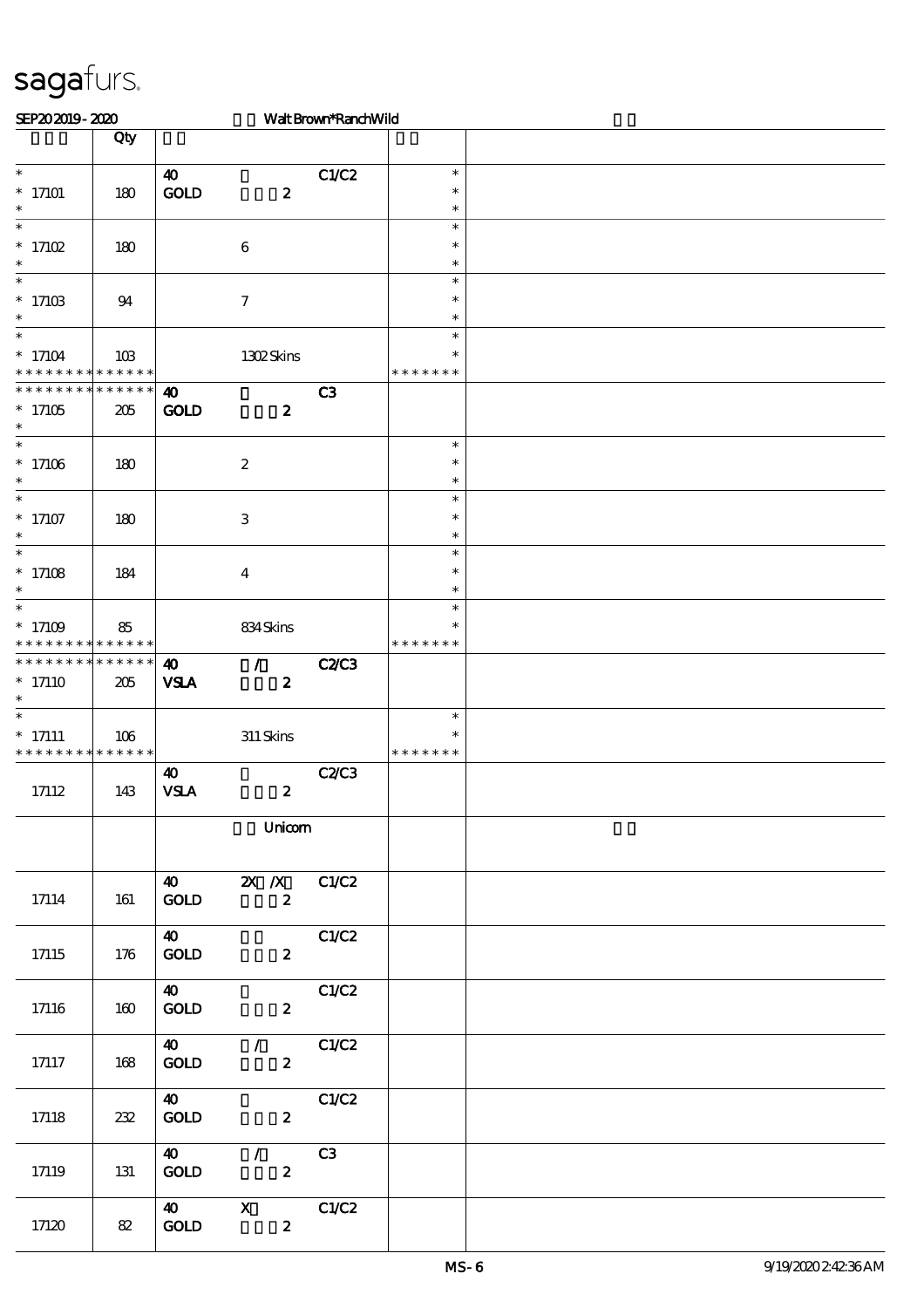| SEP202019-2020                                             |                   |                                             |                                              | Walt Brown*RanchWild |                                   |  |
|------------------------------------------------------------|-------------------|---------------------------------------------|----------------------------------------------|----------------------|-----------------------------------|--|
|                                                            | Qty               |                                             |                                              |                      |                                   |  |
| $\ast$<br>$*$ 17101<br>$\ast$                              | 180               | $\boldsymbol{\omega}$<br>GOLD               | $\boldsymbol{z}$                             | C1/C2                | $\ast$<br>$\ast$<br>$\ast$        |  |
| $\ast$<br>$*$ 17102<br>$\ast$                              | 180               |                                             | $\,6\,$                                      |                      | $\ast$<br>$\ast$<br>$\ast$        |  |
| $\overline{\phantom{0}}$<br>$*$ 17103<br>$\ast$            | 94                |                                             | $\boldsymbol{7}$                             |                      | $\ast$<br>$\ast$<br>$\ast$        |  |
| $\ast$<br>$*17104$<br>* * * * * * * * * * * * * *          | 10B               |                                             | 1302Skins                                    |                      | $\ast$<br>∗<br>* * * * * * *      |  |
| * * * * * * * * * * * * * *<br>$*17105$<br>$\ast$          | 205               | $\boldsymbol{\omega}$<br><b>GOLD</b>        | $\boldsymbol{z}$                             | C <sub>3</sub>       |                                   |  |
| $\overline{\ast}$<br>$*17106$<br>$\ast$                    | 180               |                                             | $\boldsymbol{2}$                             |                      | $\ast$<br>$\ast$<br>$\ast$        |  |
| $\overline{\phantom{0}}$<br>$*17107$<br>$\ast$             | 180               |                                             | $\,3$                                        |                      | $\ast$<br>$\ast$<br>$\ast$        |  |
| $\overline{\phantom{0}}$<br>$*$ 17108<br>$\ast$            | 184               |                                             | $\boldsymbol{4}$                             |                      | $\ast$<br>$\ast$<br>$\ast$        |  |
| $\overline{\phantom{0}}$<br>$*17109$<br>* * * * *<br>* * * | 85<br>* * * * * * |                                             | 834Skins                                     |                      | $\ast$<br>$\ast$<br>* * * * * *   |  |
| * * * * * * * * * * * * * *<br>$*17110$<br>$\ast$          | 205               | $\boldsymbol{\omega}$<br><b>VSLA</b>        | $\mathcal{L}$<br>$\boldsymbol{z}$            | <b>C2/C3</b>         |                                   |  |
| $\ast$<br>$*$ 17111<br>* * * * * * * * * * * * * *         | 106               |                                             | $311\,$ Skins                                |                      | $\ast$<br>$\ast$<br>* * * * * * * |  |
| 17112                                                      | 143               | $\boldsymbol{\omega}$<br><b>VSLA</b>        | $\boldsymbol{z}$                             | <b>C2/C3</b>         |                                   |  |
|                                                            |                   |                                             | Unicom                                       |                      |                                   |  |
| 17114                                                      | 161               | $\boldsymbol{\omega}$<br>$\mathop{\rm GOD}$ | <b>2X</b> <i>X</i> C1/C2<br>$\boldsymbol{2}$ |                      |                                   |  |
| 17115                                                      | 176               | $\boldsymbol{40}$<br><b>GOLD</b>            | $\mathbf{z}$                                 | C1/C2                |                                   |  |
| 17116                                                      | 160               | 40<br>GOLD                                  | $\boldsymbol{z}$                             | C1/C2                |                                   |  |
| 17117                                                      | 168               | 40<br><b>GOLD</b>                           | $\sqrt{C1/C2}$<br>$\mathbf{2}$               |                      |                                   |  |
| 17118                                                      | 232               | <b>40</b><br><b>GOLD</b>                    | $\mathbf{z}$                                 | C1/C2                |                                   |  |
| 17119                                                      | 131               | <b>40</b><br>GOLD                           | $\mathcal{L}$<br>$\boldsymbol{2}$            | C3                   |                                   |  |
| 17120                                                      | 82                | 40<br>$\mathop{\rm GOD}$                    | $X$ C1/C2<br>$\boldsymbol{z}$                |                      |                                   |  |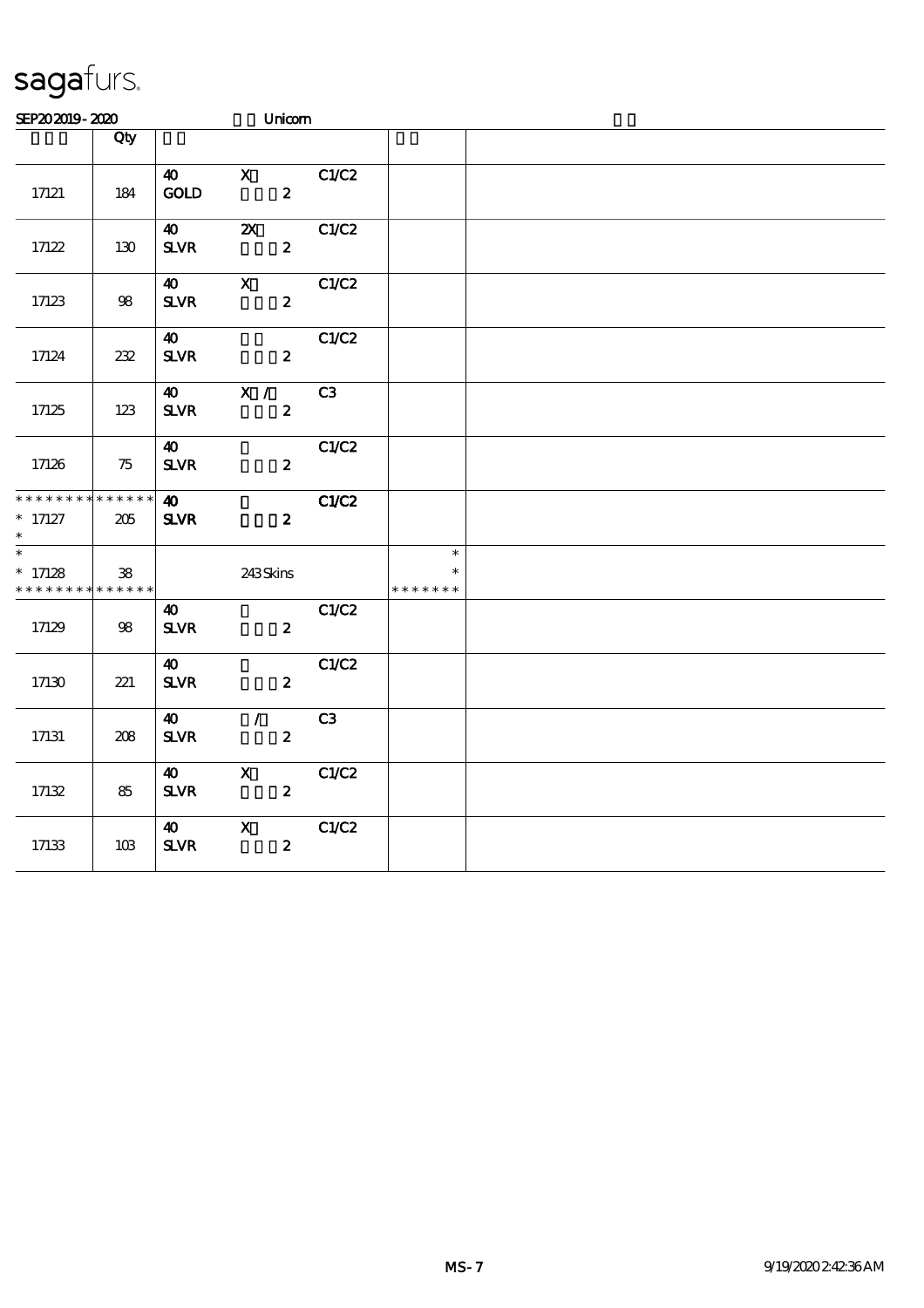| SEP202019-2020                                         |                               |                                                   | Unicom                                        |       |                         |  |  |  |
|--------------------------------------------------------|-------------------------------|---------------------------------------------------|-----------------------------------------------|-------|-------------------------|--|--|--|
|                                                        | Qty                           |                                                   |                                               |       |                         |  |  |  |
| 17121                                                  | 184                           | $\boldsymbol{\omega}$<br>GOD                      | $\mathbf{X}$<br>$\boldsymbol{z}$              | C1/C2 |                         |  |  |  |
| 17122                                                  | 130                           | 40<br>$S\!L\!V\!R$                                | $\boldsymbol{\mathsf{z}}$<br>$\boldsymbol{z}$ | C1/C2 |                         |  |  |  |
| 17123                                                  | 98                            | $\boldsymbol{\omega}$<br>${\bf S\!L}\!{\bf V\!R}$ | $\boldsymbol{\mathrm{X}}$<br>$\boldsymbol{z}$ | C1/C2 |                         |  |  |  |
| 17124                                                  | 232                           | 40<br>$S\!L\!V\!R$                                | $\boldsymbol{z}$                              | C1/C2 |                         |  |  |  |
| 17125                                                  | 123                           | $\boldsymbol{\omega}$<br>${\bf S\!L}\!{\bf V\!R}$ | X /<br>$\boldsymbol{z}$                       | C3    |                         |  |  |  |
| 17126                                                  | 75                            | $\boldsymbol{\omega}$<br>${\bf S\!L}\!{\bf V\!R}$ | $\boldsymbol{z}$                              | C1/C2 |                         |  |  |  |
| * * * * * * *<br>$* 17127$<br>$\overline{\phantom{1}}$ | * * * * * *<br>205            | $\boldsymbol{\omega}$<br><b>SLVR</b>              | $\boldsymbol{z}$                              | C1/C2 | $\ast$                  |  |  |  |
| $* 17128$<br>* * * * * * * *                           | ${\bf 38}$<br>$* * * * * * *$ |                                                   | 243Skins                                      |       | $\ast$<br>* * * * * * * |  |  |  |
| 17129                                                  | 98                            | 40<br>${\bf S\!L}\!{\bf V\!R}$                    | $\boldsymbol{z}$                              | C1/C2 |                         |  |  |  |
| 17130                                                  | 221                           | $\boldsymbol{\omega}$<br>$S\!L\!V\!R$             | $\boldsymbol{z}$                              | C1/C2 |                         |  |  |  |
| 17131                                                  | 208                           | $\boldsymbol{\omega}$<br>${\bf S\!L}\!{\bf V\!R}$ | $\mathcal{L}$<br>$\boldsymbol{z}$             | C3    |                         |  |  |  |
| 17132                                                  | 85                            | $\boldsymbol{\omega}$<br>${\bf S\!L}\!{\bf V\!R}$ | $\mathbf X$<br>$\boldsymbol{z}$               | C1/C2 |                         |  |  |  |
| 17133                                                  | 10B                           | $\boldsymbol{\omega}$<br>${\bf S\!L}\!{\bf V\!R}$ | $\mathbf X$<br>$\boldsymbol{z}$               | C1/C2 |                         |  |  |  |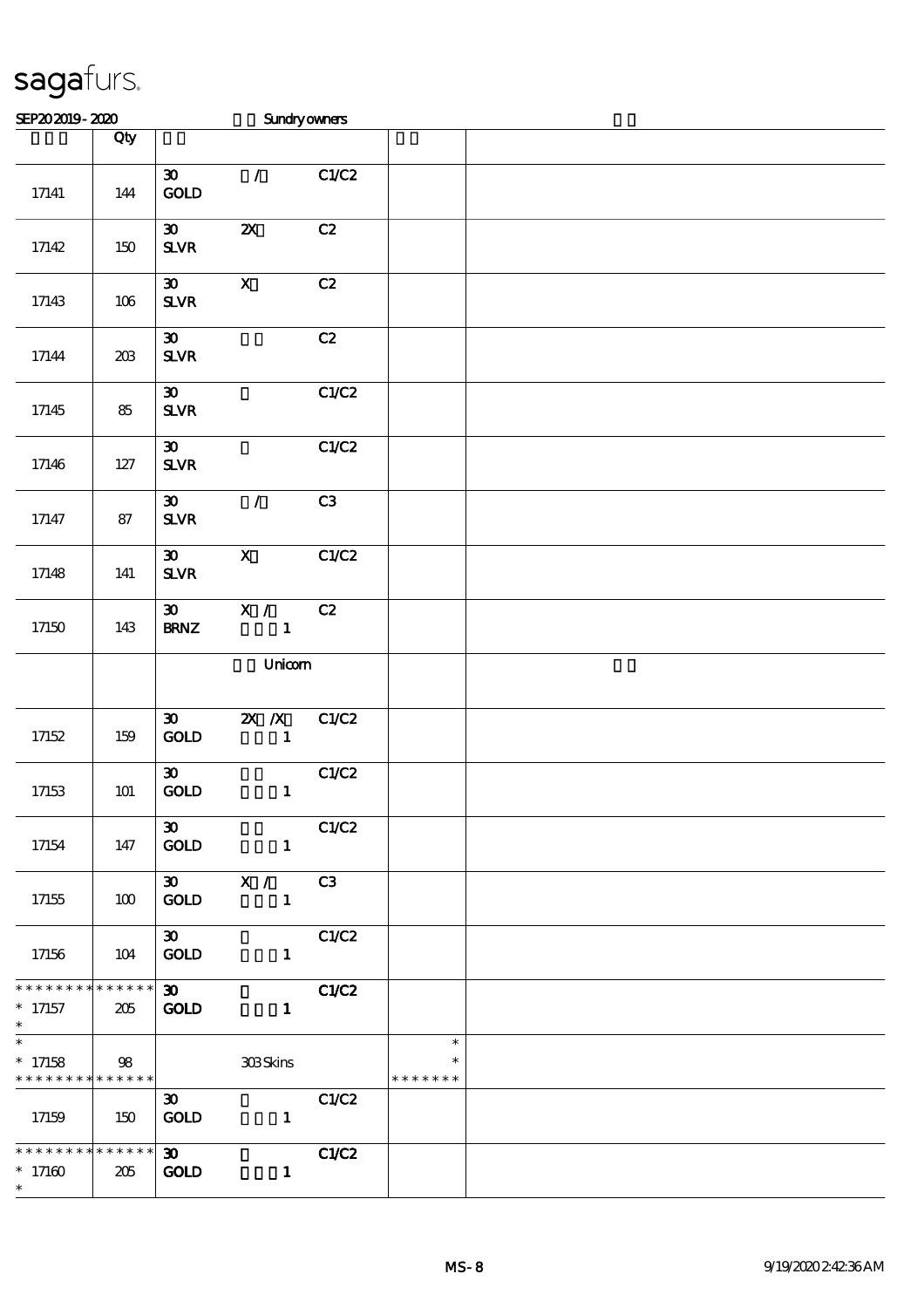| SEP202019-2020                                                       |       |                                                         | Sundryowners                              |       |                         |  |
|----------------------------------------------------------------------|-------|---------------------------------------------------------|-------------------------------------------|-------|-------------------------|--|
|                                                                      | Qty   |                                                         |                                           |       |                         |  |
| $17\!\!141$                                                          | 144   | $\boldsymbol{\mathfrak{D}}$<br>GOLD                     | $\mathcal{L}$                             | C1/C2 |                         |  |
| 17142                                                                | 150   | $\boldsymbol{\mathfrak{D}}$<br>${\bf S\!L}\!{\bf V\!R}$ | $\boldsymbol{\mathsf{z}}$                 | C2    |                         |  |
| 17143                                                                | 106   | $\boldsymbol{\mathfrak{D}}$<br>${\bf S\!L}\!{\bf V\!R}$ | $\boldsymbol{\mathsf{X}}$                 | C2    |                         |  |
| 17144                                                                | 203   | $\boldsymbol{\mathfrak{D}}$<br>${\bf S\!L}\!{\bf V\!R}$ |                                           | C2    |                         |  |
| 17145                                                                | 85    | $\boldsymbol{\mathfrak{D}}$<br>$S\!L\!V\!R$             |                                           | C1/C2 |                         |  |
| 17146                                                                | $127$ | $\boldsymbol{\mathfrak{D}}$<br>${\bf S\!L}\!{\bf V\!R}$ |                                           | C1/C2 |                         |  |
| 17147                                                                | 87    | $\boldsymbol{\mathfrak{D}}$<br>${\bf S\!L}\!{\bf V\!R}$ | $\mathcal{L}$                             | C3    |                         |  |
| 17148                                                                | 141   | $\boldsymbol{\mathfrak{D}}$<br>SLVR                     | $\mathbf{X}$                              | C1/C2 |                         |  |
| $17150\,$                                                            | 143   | $\boldsymbol{\mathfrak{D}}$<br><b>BRNZ</b>              | $\overline{\mathbf{x}}$ /<br>$\mathbf{1}$ | C2    |                         |  |
|                                                                      |       |                                                         | Unicom                                    |       |                         |  |
| 17152                                                                | 159   | $\boldsymbol{\mathfrak{D}}$<br>$\mathop{\rm GOD}$       | $X$ $N$<br>$\mathbf{1}$                   | C1/C2 |                         |  |
| 17153                                                                | 101   | $\boldsymbol{\mathfrak{D}}$<br>$\mathop{\rm GOD}$       | $\mathbf{1}$                              | C1/C2 |                         |  |
| 17154                                                                | 147   | $\boldsymbol{\mathfrak{D}}$<br>GOLD                     | $\mathbf{1}$                              | C1/C2 |                         |  |
| 17155                                                                | 100   | $\boldsymbol{\mathfrak{D}}$<br><b>GOLD</b>              | X /<br>$\blacksquare$                     | C3    |                         |  |
| 17156                                                                | 104   | $\boldsymbol{\mathfrak{D}}$<br><b>GOLD</b>              | $\mathbf{1}$                              | C1/C2 |                         |  |
| * * * * * * * * * * * * * *<br>$* 17157$<br>$\ast$                   | 205   | $\infty$<br><b>GOLD</b>                                 | $\mathbf{1}$                              | C1/C2 |                         |  |
| $\overline{\phantom{0}}$<br>$* 17158$<br>* * * * * * * * * * * * * * | 98    |                                                         | 308Skins                                  |       | $\ast$<br>* * * * * * * |  |
| 17159                                                                | 150   | $\boldsymbol{\mathfrak{D}}$<br><b>GOLD</b>              | $\mathbf{1}$                              | C1/C2 |                         |  |
| * * * * * * * * * * * * * *<br>$^*$ 17160 $\,$<br>$\ast$             | 205   | $\infty$<br><b>GOLD</b>                                 | $\mathbf{1}$                              | C1/C2 |                         |  |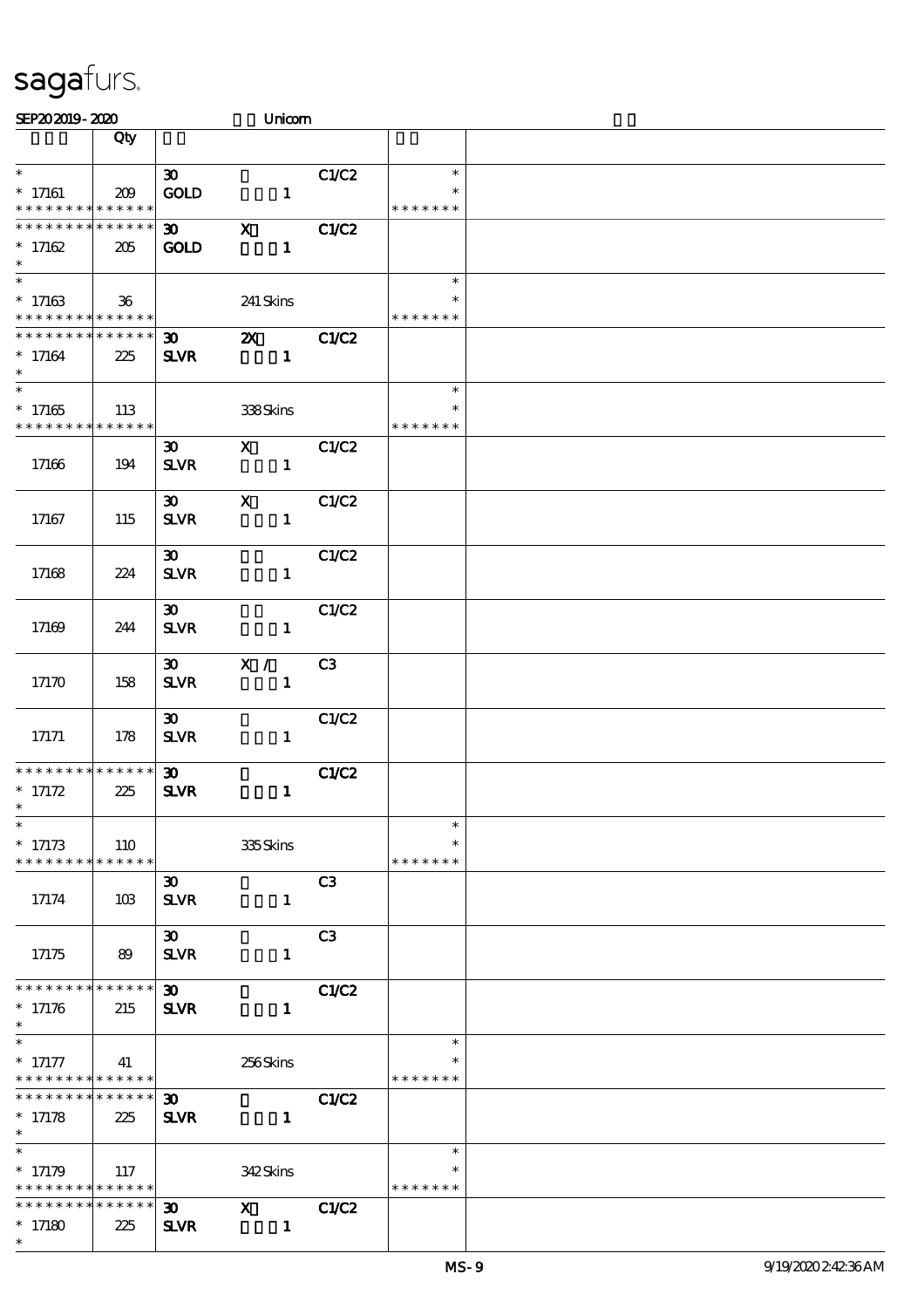| SEP202019-2020                                                                    |     |                                            | Unicom                       |                |                                   |  |
|-----------------------------------------------------------------------------------|-----|--------------------------------------------|------------------------------|----------------|-----------------------------------|--|
|                                                                                   | Qty |                                            |                              |                |                                   |  |
| $\ast$<br>$*$ 17161                                                               | 209 | 30 <sub>o</sub><br><b>GOLD</b>             | $\mathbf{1}$                 | C1/C2          | $\ast$<br>$\ast$                  |  |
| * * * * * * * * * * * * * *<br>* * * * * * * * * * * * * *<br>$* 17162$<br>$\ast$ | 205 | 30 <sub>o</sub><br><b>GOLD</b>             | $\mathbf X$<br>$\mathbf{1}$  | C1/C2          | * * * * * * *                     |  |
| $\overline{\phantom{0}}$<br>$*17163$<br>* * * * * * * * * * * * * *               | 36  |                                            | 241 Skins                    |                | $\ast$<br>* * * * * * *           |  |
| * * * * * * * * <mark>* * * * * * *</mark><br>$*17164$<br>$\ast$                  | 225 | 30 <sub>o</sub><br><b>SLVR</b>             | $\mathbf{x}$<br>$\mathbf{1}$ | C1/C2          |                                   |  |
| $\overline{\ast}$<br>$^\ast$ 17165<br>* * * * * * * * * * * * * *                 | 113 |                                            | 338Skins                     |                | $\ast$<br>$\ast$<br>* * * * * * * |  |
| 17166                                                                             | 194 | $\boldsymbol{\mathfrak{D}}$<br><b>SLVR</b> | $\mathbf{X}$<br>$\mathbf{1}$ | C1/C2          |                                   |  |
| 17167                                                                             | 115 | $\boldsymbol{\mathfrak{D}}$<br><b>SLVR</b> | $\mathbf x$<br>$\mathbf{1}$  | C1/C2          |                                   |  |
| 17168                                                                             | 224 | $\boldsymbol{\mathfrak{D}}$<br><b>SLVR</b> | $\mathbf{1}$                 | C1/C2          |                                   |  |
| 17169                                                                             | 244 | $\boldsymbol{\mathfrak{D}}$<br><b>SLVR</b> | $\mathbf{1}$                 | C1/C2          |                                   |  |
| 17170                                                                             | 158 | $\boldsymbol{\mathfrak{D}}$<br><b>SLVR</b> | X /<br>$\mathbf{1}$          | C3             |                                   |  |
| 17171                                                                             | 178 | $\boldsymbol{\mathfrak{D}}$<br><b>SLVR</b> | $\mathbf{1}$                 | C1/C2          |                                   |  |
| * * * * * * * * * * * * * *<br>$* 17172$<br>$*$                                   | 225 | 30 <sub>o</sub><br><b>SLVR</b>             | $\mathbf{1}$                 | <b>C1/C2</b>   |                                   |  |
| $\ast$<br>$* 17173$<br>* * * * * * * * * * * * * * *                              | 110 |                                            | 335Skins                     |                | $\ast$<br>$\ast$<br>* * * * * * * |  |
| 17174                                                                             | 10B | $\boldsymbol{\mathfrak{D}}$<br><b>SLVR</b> | $\mathbf{1}$                 | C <sub>3</sub> |                                   |  |
| 17175                                                                             | 89  | $30-1$<br><b>SLVR</b>                      | $\mathbf{1}$                 | C <sub>3</sub> |                                   |  |
| * * * * * * * * * * * * * *<br>$* 17176$<br>$\ast$                                | 215 | $\boldsymbol{\mathfrak{D}}$<br><b>SLVR</b> | $\mathbf{1}$                 | C1/C2          |                                   |  |
| $* 17177$<br>* * * * * * * * <mark>* * * * * *</mark>                             | 41  |                                            | 256Skins                     |                | $\ast$<br>$\ast$<br>* * * * * * * |  |
| * * * * * * * * * * * * * * *<br>$* 17178$<br>$\ast$                              | 225 | $\boldsymbol{\mathfrak{D}}$<br><b>SLVR</b> | $\mathbf{1}$                 | C1/C2          |                                   |  |
| $\ast$<br>$* 17179$<br>* * * * * * * * <mark>* * * * * *</mark> *                 | 117 |                                            | 342Skins                     |                | $\ast$<br>*<br>* * * * * * *      |  |
| * * * * * * * * * * * * * *<br>$*17180$<br>$\ast$                                 | 225 | $\boldsymbol{\mathfrak{D}}$<br><b>SLVR</b> | $\mathbf{X}$<br>$\mathbf{1}$ | C1/C2          |                                   |  |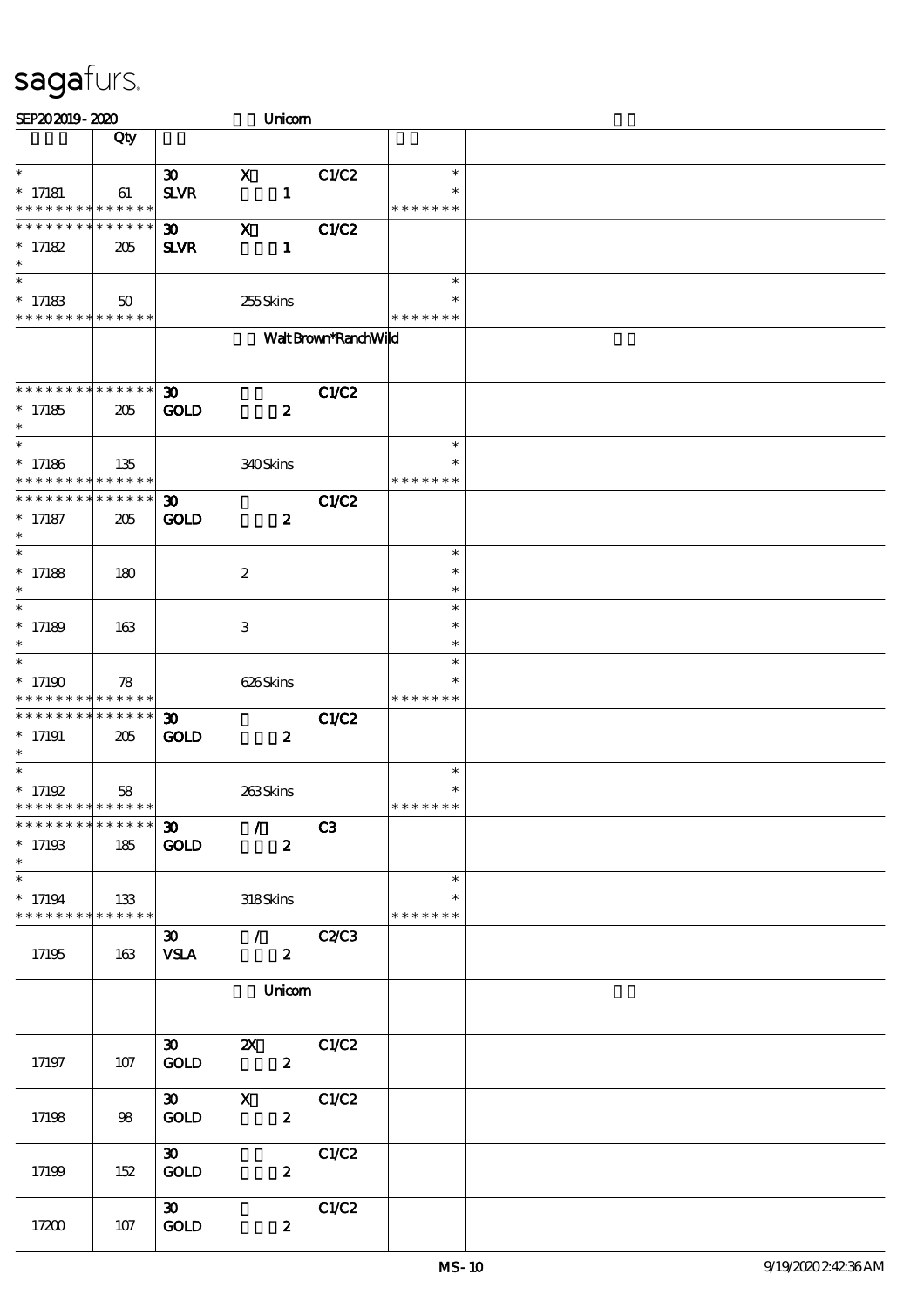| SEP202019-2020                                                         |     |                                                   | Unicom                                                                  |                      |                                   |  |
|------------------------------------------------------------------------|-----|---------------------------------------------------|-------------------------------------------------------------------------|----------------------|-----------------------------------|--|
|                                                                        | Qty |                                                   |                                                                         |                      |                                   |  |
| $\ast$<br>$*$ 17181<br>* * * * * * * * * * * * * *                     | 61  | $\boldsymbol{\mathfrak{D}}$<br>$S\!L\!V\!R$       | $\mathbf{x}$<br>$\mathbf{1}$                                            | C1/C2                | $\ast$<br>$\ast$<br>* * * * * * * |  |
| * * * * * * * * * * * * * *<br>$* 17182$<br>$\ast$                     | 205 | $\boldsymbol{\mathfrak{D}}$<br><b>SLVR</b>        | $\mathbf X$<br>$\mathbf{1}$                                             | <b>C1/C2</b>         |                                   |  |
| $\ast$<br>$* 17183$<br>* * * * * * * * * * * * * *                     | 50  |                                                   | 255Skins                                                                |                      | $\ast$<br>* * * * * * *           |  |
|                                                                        |     |                                                   |                                                                         | Walt Brown*RanchWild |                                   |  |
| **************<br>$*17185$<br>$\ast$                                   | 205 | $\boldsymbol{\mathfrak{D}}$<br><b>GOLD</b>        | $\boldsymbol{z}$                                                        | <b>C1/C2</b>         |                                   |  |
| $\ast$<br>$*$ 17186<br>* * * * * * * * * * * * * *                     | 135 |                                                   | 340Skins                                                                |                      | $\ast$<br>*<br>* * * * * * *      |  |
| * * * * * * * * * * * * * *<br>$*$ 17187<br>$\ast$                     | 205 | $\boldsymbol{\mathfrak{D}}$<br><b>GOLD</b>        | $\boldsymbol{z}$                                                        | <b>C1/C2</b>         |                                   |  |
| $\ast$<br>$* 17188$<br>$\ast$                                          | 180 |                                                   | $\boldsymbol{2}$                                                        |                      | $\ast$<br>$\ast$<br>$\ast$        |  |
| $\ast$<br>$* 17189$<br>$\ast$                                          | 163 |                                                   | 3                                                                       |                      | $\ast$<br>$\ast$<br>$\ast$        |  |
| $\ast$<br>$*17190$<br>* * * * * * * * * * * * * *                      | 78  |                                                   | 626Skins                                                                |                      | $\ast$<br>*<br>* * * * * * *      |  |
| ******** <mark>******</mark><br>$*17191$<br>$\ast$                     | 205 | $\boldsymbol{\mathfrak{D}}$<br><b>GOLD</b>        | $\boldsymbol{z}$                                                        | C1/C2                |                                   |  |
| $\ast$<br>$* 17192$<br>* * * * * * * * * * * * * *                     | 58  |                                                   | 263Skins                                                                |                      | $\ast$<br>$\ast$<br>* * * * * * * |  |
| * * * * * * * * * * * * * * *<br>$*17193$<br>$\ast$                    | 185 | $\boldsymbol{\mathfrak{D}}$<br><b>GOLD</b>        | $\overline{\phantom{a}}$ / $\overline{\phantom{a}}$<br>$\boldsymbol{z}$ | C3                   |                                   |  |
| $\overline{\phantom{0}}$<br>$* 17194$<br>* * * * * * * * * * * * * * * | 133 |                                                   | 318Skins                                                                |                      | $\ast$<br>$\ast$<br>* * * * * * * |  |
| 17195                                                                  | 163 | <b>VSLA</b>                                       | 30 / C2/C3<br>$\mathbf{2}$                                              |                      |                                   |  |
|                                                                        |     |                                                   | Unicom                                                                  |                      |                                   |  |
| 17197                                                                  | 107 | $\boldsymbol{\mathfrak{D}}$<br>$\mathop{\rm GOD}$ | 2X C1/C2<br>$\boldsymbol{z}$                                            |                      |                                   |  |
| 17198                                                                  | 98  | $\boldsymbol{\mathfrak{D}}$<br><b>GOLD</b>        | $\mathbf X$<br>$\boldsymbol{z}$                                         | C1/C2                |                                   |  |
| 17199                                                                  | 152 | $\boldsymbol{\mathfrak{D}}$<br><b>GOLD</b>        | $\boldsymbol{z}$                                                        | C1/C2                |                                   |  |
| 17200                                                                  | 107 | $\infty$<br>GOLD                                  | $\boldsymbol{z}$                                                        | C1/C2                |                                   |  |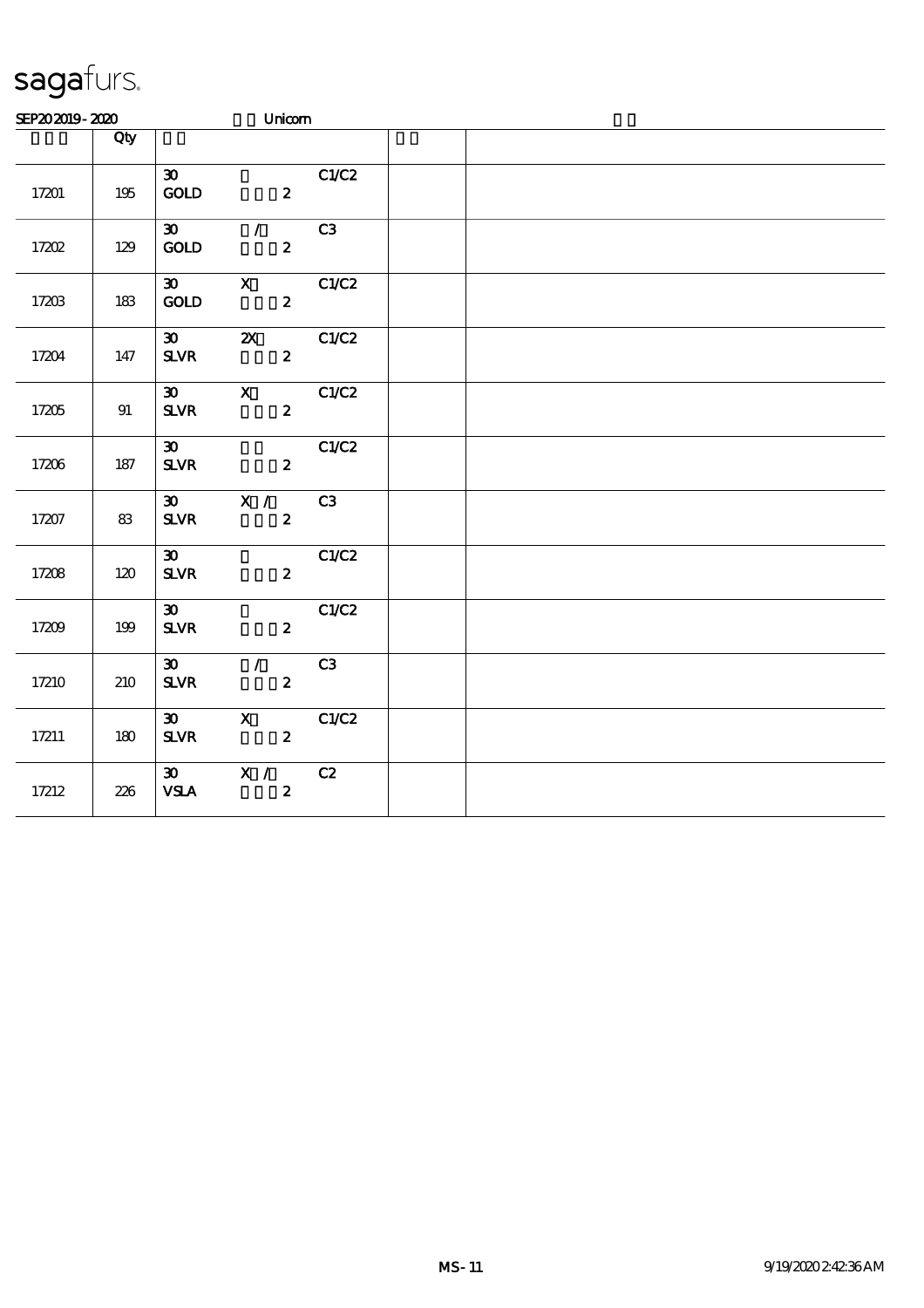| SEP202019-2020 |         |                                                   | Unicom                                    |       |  |  |  |
|----------------|---------|---------------------------------------------------|-------------------------------------------|-------|--|--|--|
|                | Qty     |                                                   |                                           |       |  |  |  |
| 17201          | 195     | $\boldsymbol{\mathfrak{D}}$<br>$\mathop{\rm GOD}$ | $\overline{\mathbf{2}}$                   | CLC2  |  |  |  |
| 17202          | 129     | $30-1$<br>GOD                                     | $\mathcal{T}$<br>$\boldsymbol{z}$         | C3    |  |  |  |
| 17203          | 183     | $\boldsymbol{\mathfrak{D}}$<br>GOLD               | $\mathbf{x}$<br>$\mathbf{z}$              | C1/C2 |  |  |  |
| 17204          | 147     | $\boldsymbol{\mathfrak{D}}$<br>$S\!L\!V\!R$       | $\boldsymbol{\mathsf{Z}}$<br>$\mathbf{z}$ | C1/C2 |  |  |  |
| 17205          | 91      | $\boldsymbol{\mathfrak{D}}$<br><b>SLVR</b>        | $\mathbf{X}$<br>$\boldsymbol{z}$          | C1/C2 |  |  |  |
| 17206          | 187     | $\infty$<br>${\bf S\!L}\!{\bf V\!R}$              | $\boldsymbol{z}$                          | C1/C2 |  |  |  |
| 17207          | 83      | $S\!L\!V\!R$                                      | $30 \times 1$<br>$\boldsymbol{z}$         | C3    |  |  |  |
| 17208          | 120     | $\boldsymbol{\mathfrak{D}}$<br>$S\!L\!V\!R$       | $\boldsymbol{z}$                          | C1/C2 |  |  |  |
| 17209          | 199     | $\boldsymbol{\mathfrak{D}}$<br>$S\!L\!V\!R$       | $\boldsymbol{z}$                          | C1/C2 |  |  |  |
| 17210          | 210     | $\boldsymbol{\mathfrak{D}}$<br>$S\!L\!V\!R$       | $\mathcal{L}$<br>$\boldsymbol{z}$         | C3    |  |  |  |
| 17211          | $180\,$ | $\boldsymbol{\mathfrak{D}}$<br><b>SLVR</b>        | $\mathbf{x}$<br>$\boldsymbol{2}$          | C1/C2 |  |  |  |
| 17212          | 226     | $\boldsymbol{\mathfrak{D}}$<br>${\bf VSA}$        | X /<br>$\boldsymbol{z}$                   | C2    |  |  |  |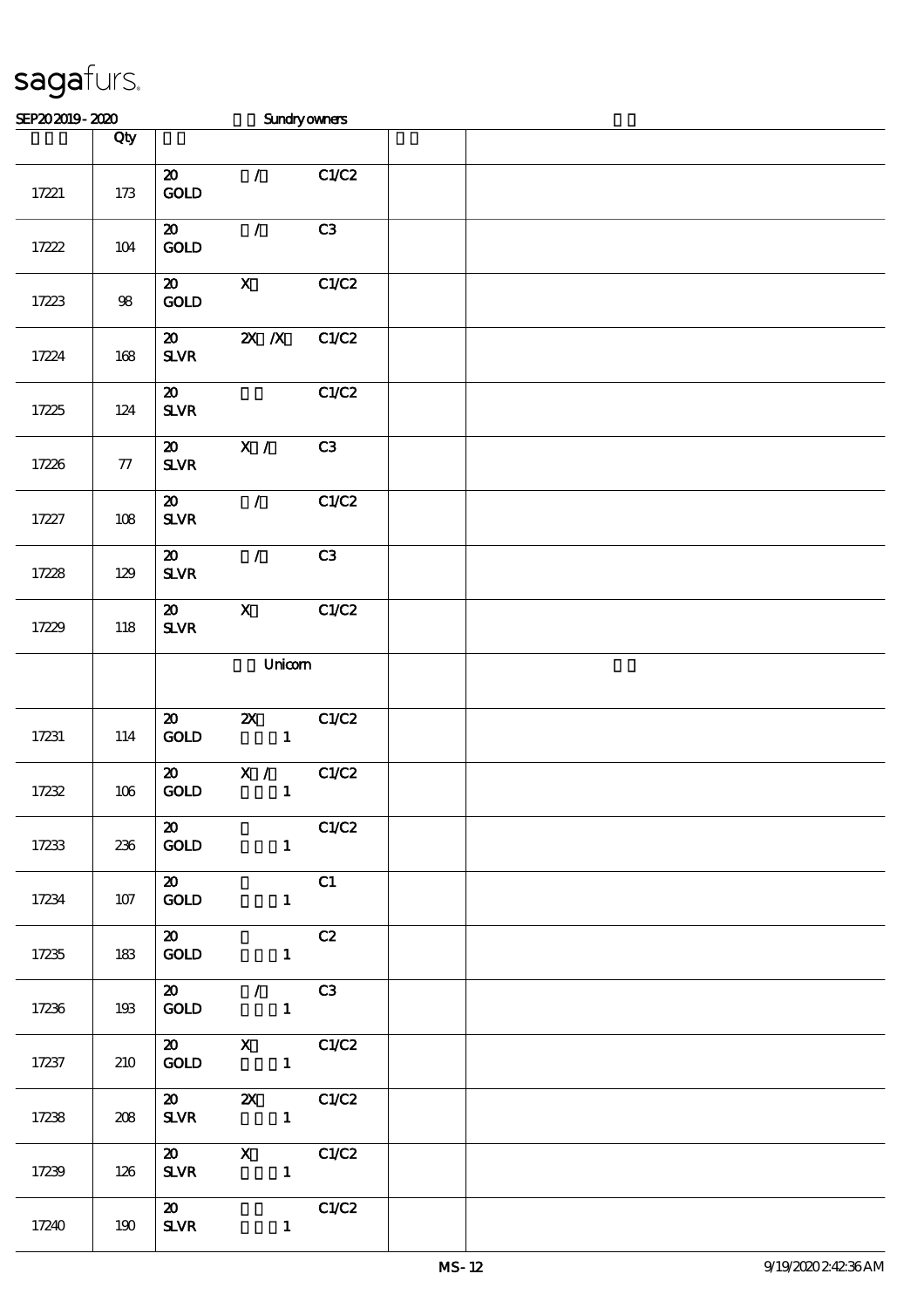| SEP202019-2020 |        |                                                         |                                           | Sundryowners          |  |
|----------------|--------|---------------------------------------------------------|-------------------------------------------|-----------------------|--|
|                | Qty    |                                                         |                                           |                       |  |
| 17221          | 173    | $\boldsymbol{\mathfrak{D}}$<br>GOLD                     | $\mathcal{L}$                             | C1/C2                 |  |
| 17222          | $104$  | $\boldsymbol{\mathfrak{D}}$<br><b>GOLD</b>              | $\mathcal{L}$                             | C3                    |  |
| 17223          | $98$   | $\boldsymbol{\mathfrak{D}}$<br><b>GOLD</b>              | $\mathbf{X}$                              | C1/C2                 |  |
| 17224          | 168    | $\boldsymbol{\mathsf{20}}$<br>$S\!L\!V\!R$              | $X$ $N$                                   | C1/C2                 |  |
| 17225          | 124    | $\boldsymbol{\mathsf{20}}$<br>$S\!L\!VR$                |                                           | C1/C2                 |  |
| 17226          | $77\,$ | $\boldsymbol{\mathfrak{D}}$<br>${\bf S\!L}\!{\bf V\!R}$ | X /                                       | C3                    |  |
| 17227          | 108    | $\boldsymbol{\mathfrak{D}}$<br>$S\!L\!V\!R$             | $\mathcal{L}$                             | C1/C2                 |  |
| 17228          | 129    | $\boldsymbol{\mathfrak{D}}$<br>$S\!L\!V\!R$             | $\mathcal{L}$                             | C3                    |  |
| 17229          | 118    | $\boldsymbol{\mathbf{z}}$<br>${\bf S\!L}\!{\bf V\!R}$   | $\mathbf X$                               | C1/C2                 |  |
|                |        |                                                         | Unicom                                    |                       |  |
| 17231          | 114    | $\boldsymbol{\mathfrak{D}}$<br>GOLD                     | $\boldsymbol{\mathsf{Z}}$<br>$\mathbf{1}$ | C1/C2                 |  |
| 17232          | $106$  | $\boldsymbol{\mathsf{20}}$<br>GOLD                      | $X / \sqrt{2}$<br>$\mathbf{1}$            | C1/C2                 |  |
| 17233          | 236    | $\boldsymbol{\mathfrak{D}}$<br><b>GOLD</b>              |                                           | C1/C2<br>$\mathbf{1}$ |  |
| 17234          | 107    | $\boldsymbol{\mathsf{20}}$<br><b>GOLD</b>               | 1                                         | C1                    |  |
| 17235          | 183    | $\boldsymbol{\mathsf{20}}$<br><b>GOLD</b>               | $\mathbf{1}$                              | C2                    |  |
| 17236          | 193    | $\boldsymbol{\mathsf{20}}$<br><b>GOLD</b>               | $\sqrt{C3}$<br>$\mathbf{1}$               |                       |  |
| 17237          | 210    |                                                         | 20 X C1/C2<br>GOLD 1                      |                       |  |
| 17238          | 208    |                                                         | 20 2X C1/C2<br>$SLVR$ 1                   |                       |  |
| 17239          | 126    | $\boldsymbol{\mathsf{20}}$                              | $X$ $C1/C2$<br>$SLVR$ 1                   |                       |  |
| 17240          | 190    | $\boldsymbol{\mathsf{20}}$<br><b>SLVR</b>               | $\mathbf{1}$                              | C1/C2                 |  |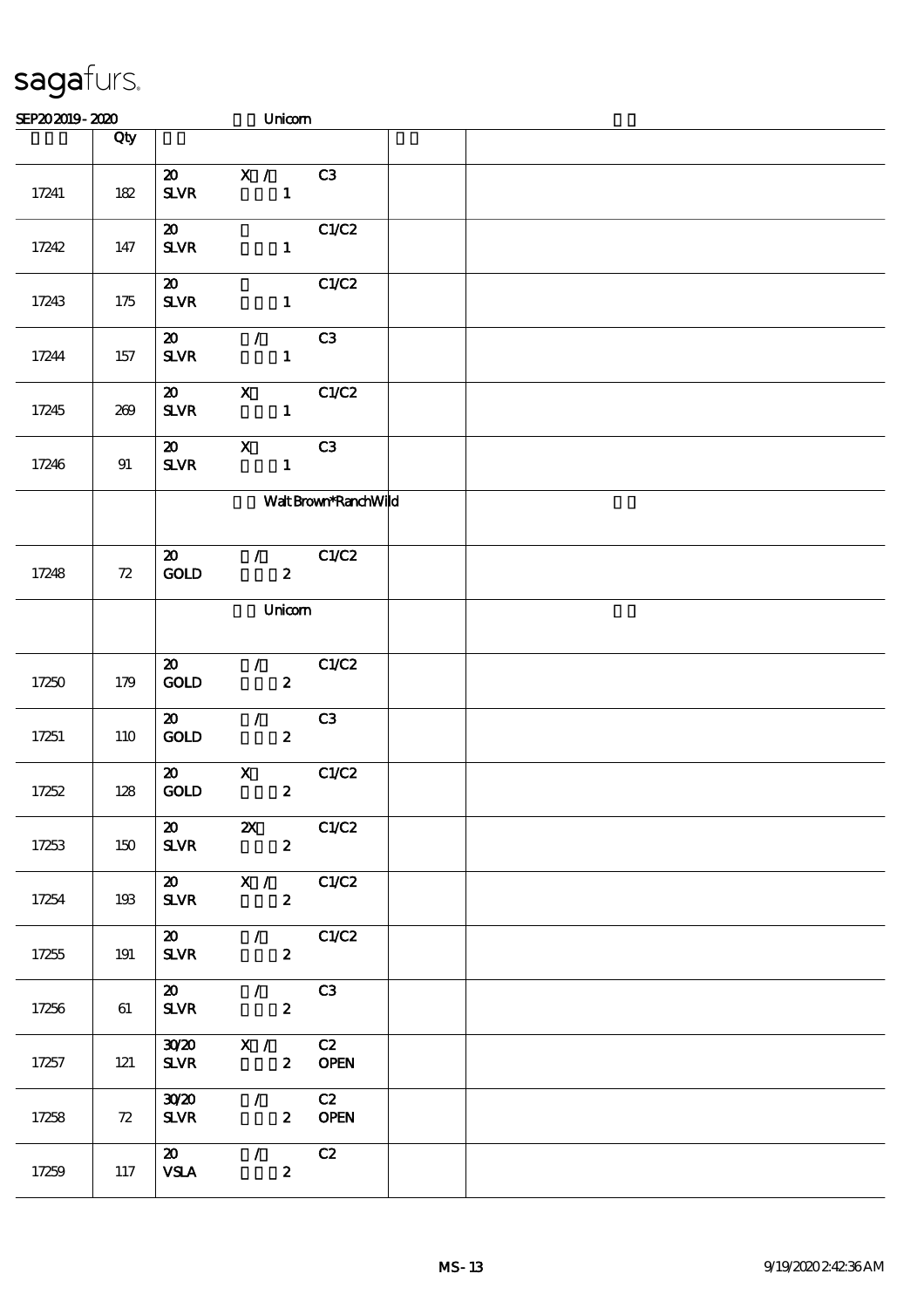| SEP202019-2020 |     |                                             | Unicom                                       |                      |  |  |
|----------------|-----|---------------------------------------------|----------------------------------------------|----------------------|--|--|
|                | Qty |                                             |                                              |                      |  |  |
| 17241          | 182 | $\boldsymbol{\mathfrak{D}}$<br><b>SLVR</b>  | $X /$ C3<br>$\mathbf{1}$                     |                      |  |  |
| 17242          | 147 | $\boldsymbol{\mathfrak{D}}$<br>$S\!L\!V\!R$ | $\mathbf{1}$                                 | C1/C2                |  |  |
| 17243          | 175 | $\boldsymbol{\mathfrak{D}}$<br>$S\!L\!V\!R$ | $\mathbf{1}$                                 | C1/C2                |  |  |
| 17244          | 157 | $\boldsymbol{\mathfrak{D}}$<br><b>SLVR</b>  | $\mathcal{T}$<br>$\mathbf{1}$                | C3                   |  |  |
| 17245          | 269 | $\boldsymbol{\mathsf{20}}$<br>$S\!L\!V\!R$  | $\mathbf{x}$<br>$\mathbf{1}$                 | C1/C2                |  |  |
| 17246          | 91  | $\boldsymbol{\mathfrak{D}}$<br>$S\!L\!V\!R$ | $\mathbf{x}$<br>$\mathbf{1}$                 | C3                   |  |  |
|                |     |                                             |                                              | Walt Brown*RanchWild |  |  |
| 17248          | 72  | $\boldsymbol{\mathfrak{D}}$<br>GOLD         | $\mathcal{L}$<br>$\boldsymbol{z}$            | C1/C2                |  |  |
|                |     |                                             | Unicom                                       |                      |  |  |
| 17250          | 179 | $\boldsymbol{\mathfrak{D}}$<br><b>GOLD</b>  | $\mathcal{F}$<br>$\boldsymbol{z}$            | C1/C2                |  |  |
| 17251          | 110 | $\boldsymbol{\mathfrak{D}}$<br><b>GOLD</b>  | $\mathcal{L}$<br>$\boldsymbol{z}$            | C3                   |  |  |
| 17252          | 128 | $\boldsymbol{\mathfrak{D}}$<br>GOLD         | $\mathbf{x}$<br>$\boldsymbol{z}$             | C1/C2                |  |  |
| 17253          | 150 | $\boldsymbol{\mathsf{20}}$<br><b>SLVR</b>   | $\mathbf{x}$<br>$\boldsymbol{2}$             | C1/C2                |  |  |
| 17254          | 193 | <b>SLVR</b>                                 | 20 X / C1/C2<br>$\mathbf{2}$                 |                      |  |  |
| 17255          | 191 | <b>SLVR</b>                                 | 20 / C1/C2<br>$\mathbf{2}$                   |                      |  |  |
| 17256          | 61  |                                             | 20 / C3<br>$SLVR$ 2                          |                      |  |  |
| 17257          | 121 | <b>SLVR</b>                                 | $30/20$ X / C2                               | 2 OPEN               |  |  |
| 17258          | 72  | <b>SLVR</b>                                 | $30\,20$ / C2<br>2 OPEN                      |                      |  |  |
| 17259          | 117 | $\boldsymbol{\omega}$<br><b>VSLA</b>        | $\overline{\phantom{a}}$<br>$\boldsymbol{2}$ | C2                   |  |  |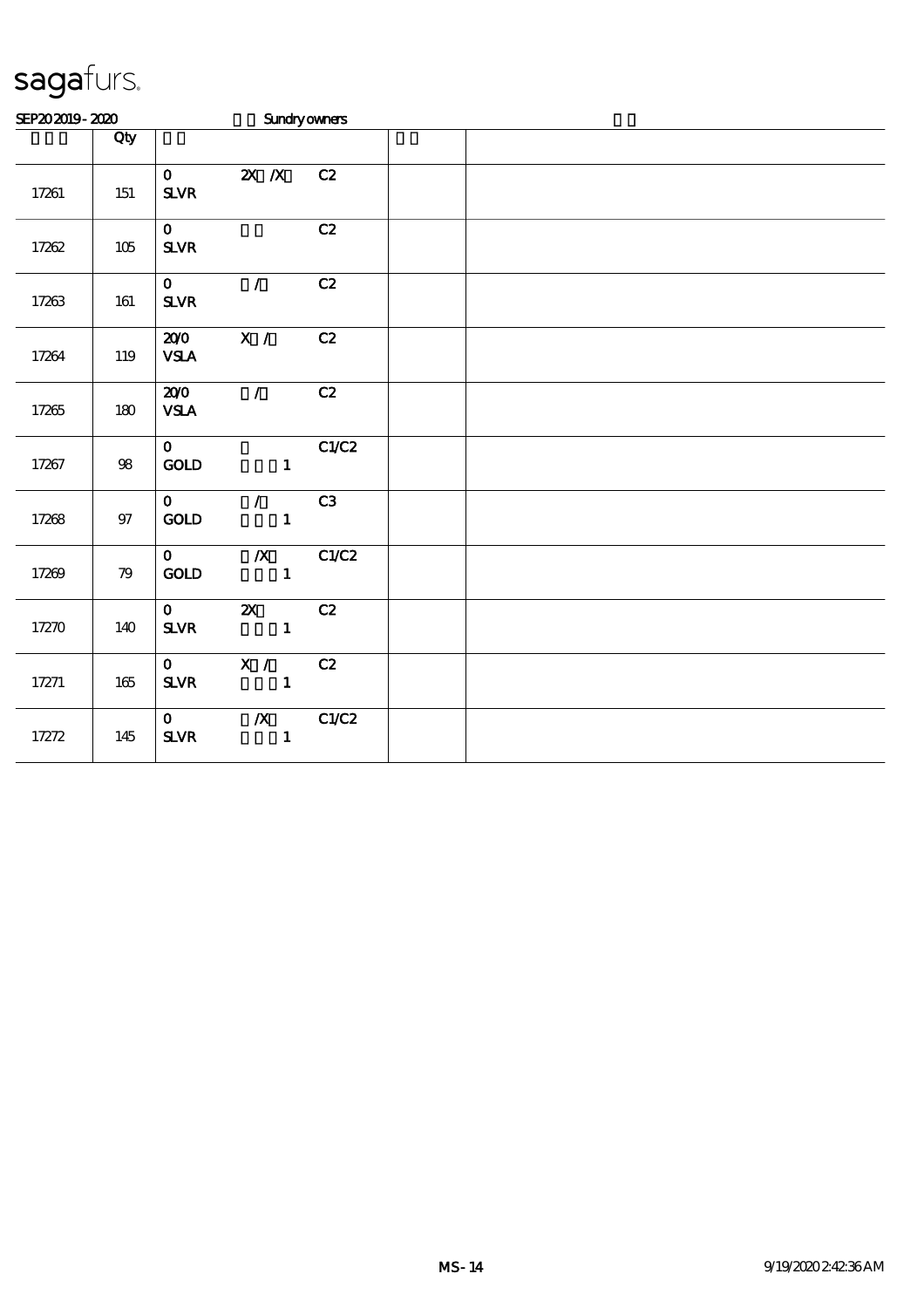| SEP202019-2020 |         |                                          |                                          | <b>Sundryowners</b> |  |  |  |
|----------------|---------|------------------------------------------|------------------------------------------|---------------------|--|--|--|
|                | Qty     |                                          |                                          |                     |  |  |  |
| 17261          | 151     | $\mathbf{O}$<br>$S\!L\!V\!R$             | $X$ $X$                                  | C2                  |  |  |  |
| 17262          | $105\,$ | $\mathbf{O}$<br>$S\!L\!V\!R$             |                                          | C2                  |  |  |  |
| 17263          | 161     | $\mathbf{O}$<br>${\bf S\!L}\!{\bf V\!R}$ | $\mathcal{T}$                            | C2                  |  |  |  |
| 17264          | 119     | 200<br><b>VSLA</b>                       | X /                                      | C2                  |  |  |  |
| 17265          | 180     | 200<br><b>VSLA</b>                       | $\mathcal{L}$                            | C2                  |  |  |  |
| 17267          | $98\,$  | $\mathbf{0}$<br>$\mathop{\rm GOD}$       | $\mathbf{1}$                             | C1/C2               |  |  |  |
| 17268          | 97      | $\mathbf{O}$<br>GOLD                     | $\mathcal{L}$<br>$\mathbf{1}$            | C3                  |  |  |  |
| 17269          | 79      | $\mathbf{O}$<br>GOLD                     | $\mathbf{1}$                             | $\chi$ C1/C2        |  |  |  |
| 17270          | 140     | $\mathbf{O}$<br>${\bf S\!L}\!{\bf V\!R}$ | $\mathbf{z}$<br>$\overline{\phantom{a}}$ | C2                  |  |  |  |
| 17271          | 165     | $\mathbf{O}$<br><b>SLVR</b>              | $\overline{X}$ /<br>$\sim$ $\sim$ 1      | C2                  |  |  |  |
| 17272          | 145     | $\mathbf{O}$<br>$S\!L\!V\!R$             | $\overline{\mathbf{X}}$<br>$\mathbf{1}$  | C1/C2               |  |  |  |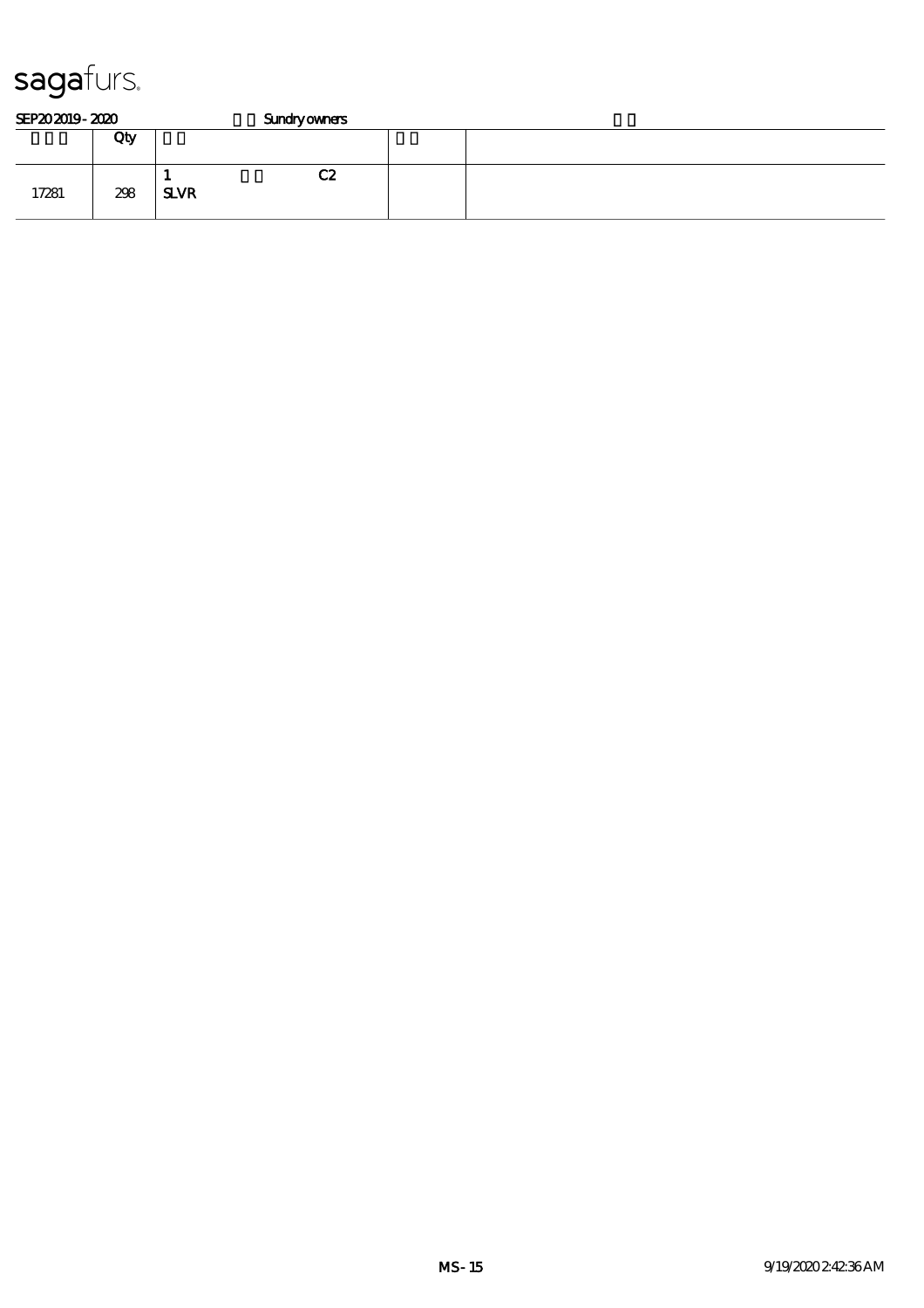| SEP202019-2020 |     |             | <b>Sundryowners</b> |  |  |  |  |  |
|----------------|-----|-------------|---------------------|--|--|--|--|--|
|                | Qty |             |                     |  |  |  |  |  |
| 17281          | 298 | <b>SLVR</b> | C2                  |  |  |  |  |  |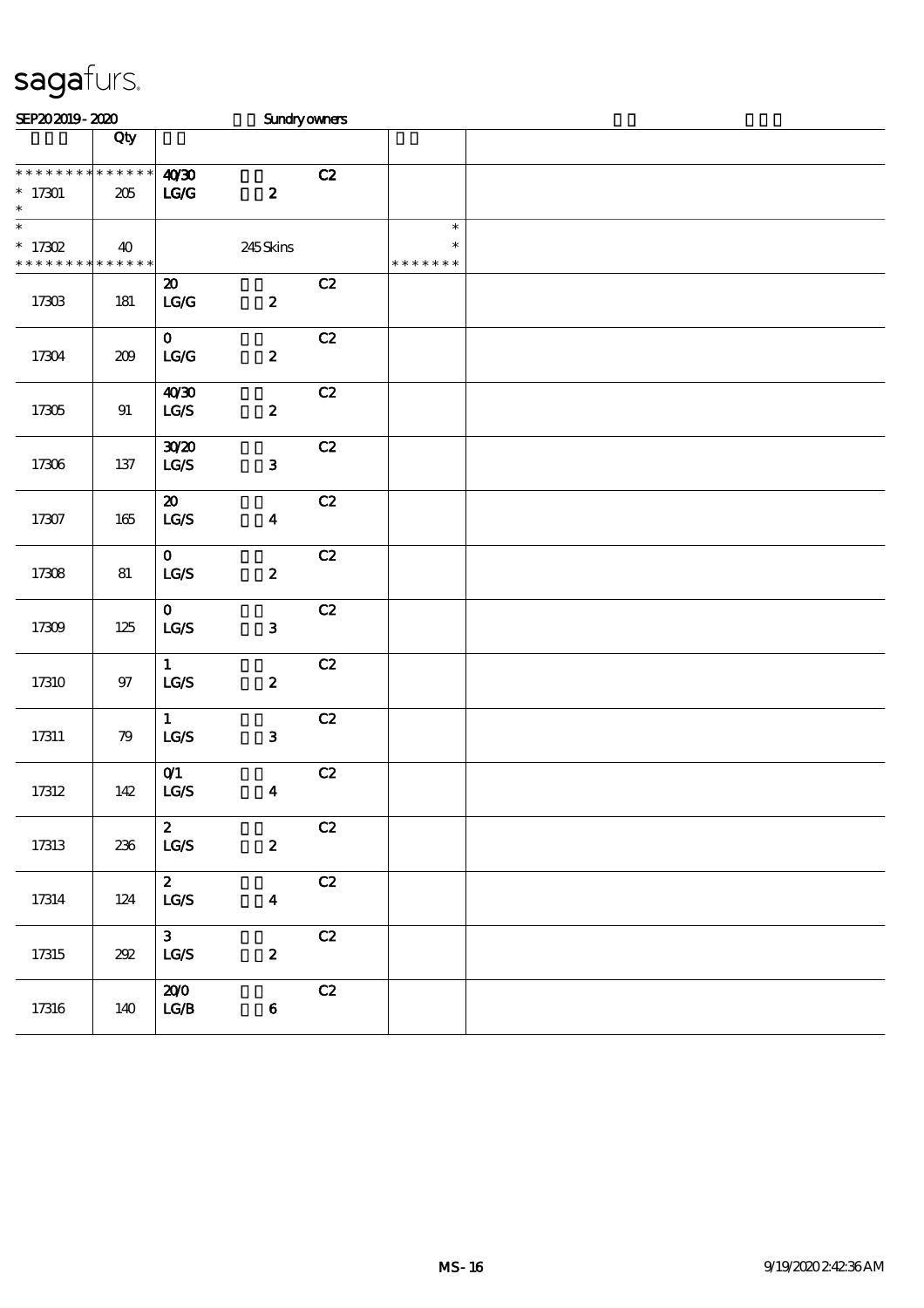| SEP202019-2020                                     |         |                                                             | <b>Sundryowners</b>     |               |                                   |  |
|----------------------------------------------------|---------|-------------------------------------------------------------|-------------------------|---------------|-----------------------------------|--|
|                                                    | Qty     |                                                             |                         |               |                                   |  |
| * * * * * * * * * * * * * *<br>$*17301$<br>$\ast$  | 205     | 4030<br>$\mathbf{LG}$                                       | $\boldsymbol{z}$        | C2            |                                   |  |
| $\ast$<br>$*$ 17302<br>* * * * * * * * * * * * * * | 40      |                                                             | 245Skins                |               | $\ast$<br>$\ast$<br>* * * * * * * |  |
| 17303                                              | 181     | $\boldsymbol{\mathfrak{D}}$<br>$\mathbf{LG}\mathbf{G}$      | $\pmb{2}$               | C2            |                                   |  |
| 17304                                              | $209$   | $\mathbf{O}$<br>$\mathbf{L}\mathbf{C}\mathbf{/} \mathbf{C}$ | $\pmb{2}$               | C2            |                                   |  |
| 17305                                              | 91      | 40'30<br>$\mathtt{LG}\mathcal{S}$                           | $\pmb{2}$               | C2            |                                   |  |
| 17306                                              | 137     | 3020<br>$\mathtt{LG}\mathcal{S}$                            | ${\bf 3}$               | C2            |                                   |  |
| 17307                                              | 165     | $\boldsymbol{\mathfrak{D}}$<br>LG/S                         | $\overline{\mathbf{4}}$ | C2            |                                   |  |
| 17308                                              | 81      | $\mathbf{O}$<br>$\mathtt{LG}\mathcal{S}$                    | $\pmb{2}$               | C2            |                                   |  |
| 17309                                              | $125\,$ | $\mathbf{O}$<br>$\mathtt{LG}\mathcal{S}$                    | ${\bf 3}$               | C2            |                                   |  |
| 17310                                              | 97      | $\mathbf{1}$<br>$\mathbf{L}\mathbf{C} \mathbf{/S}$          | $\pmb{2}$               | C2            |                                   |  |
| $17311\,$                                          | 79      | $\mathbf{1}$<br>$\mathtt{LG}\mathcal{S}$                    | $\mathbf 3$             | C2            |                                   |  |
| 17312                                              | 142     | O(1)<br>$\mathtt{LG}\mathcal{S}$                            | $\boldsymbol{4}$        | C2            |                                   |  |
| 17313                                              | 236     | $\boldsymbol{z}$<br>$\mathbf{LG}\mathcal{S}$                | $\pmb{2}$               | C2            |                                   |  |
| $17314\,$                                          | 124     | $\boldsymbol{z}$<br>$\mathtt{LG}\mathcal{S}$                | $\boldsymbol{4}$        | C2            |                                   |  |
| $17315\,$                                          | $202\,$ | $\mathbf{3}$<br>$\mathbf{LG}\mathcal{S}$                    | $\boldsymbol{z}$        | $\mathbf{C2}$ |                                   |  |
| 17316                                              | 140     | 200<br>$_{\rm LGA}$                                         | $\bf 6$                 | $\mathbf{C2}$ |                                   |  |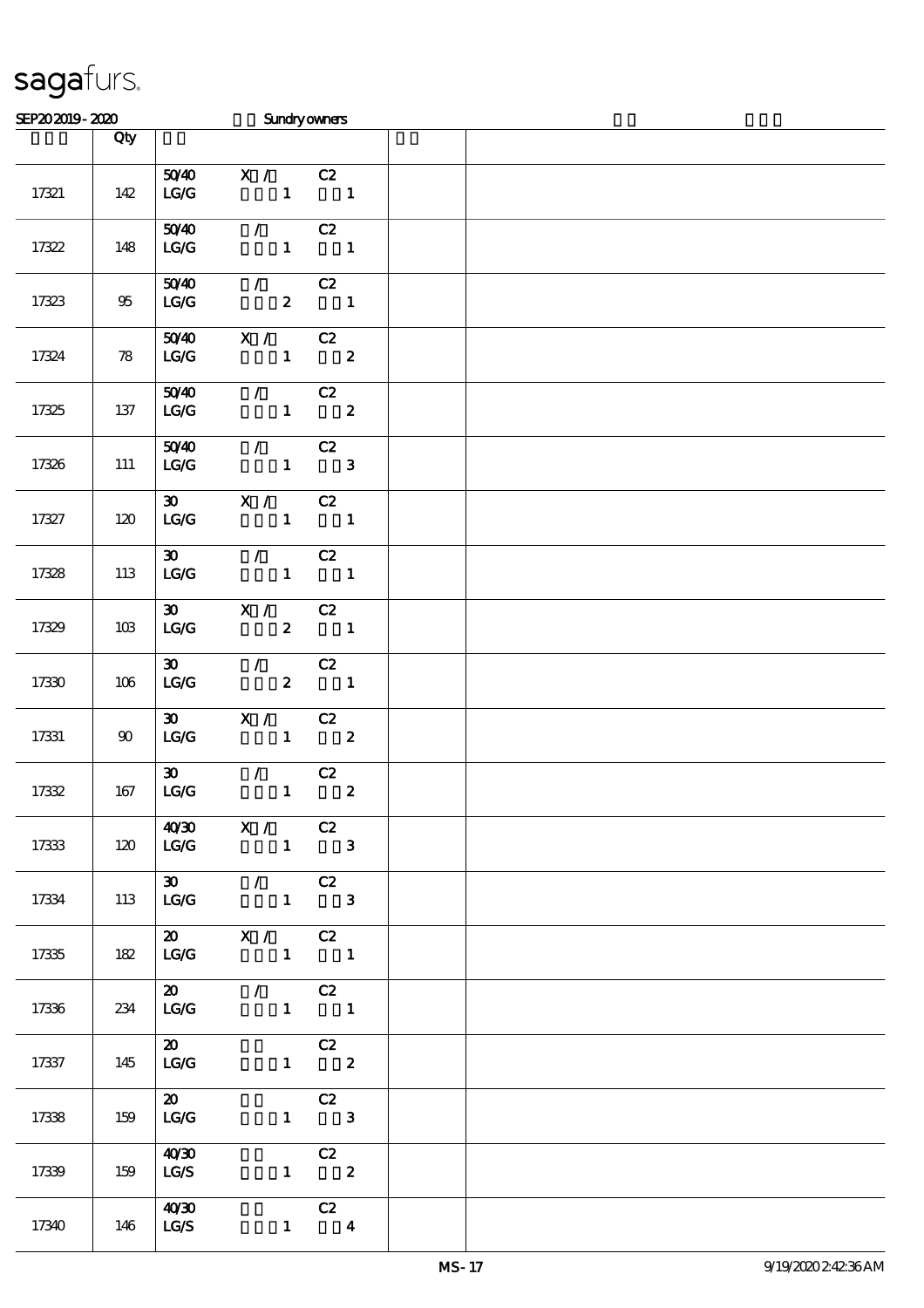| SEP202019-2020 |        |                                    | <b>Sundryowners</b>                                                                 |                                                               |  |
|----------------|--------|------------------------------------|-------------------------------------------------------------------------------------|---------------------------------------------------------------|--|
|                | Qty    |                                    |                                                                                     |                                                               |  |
| 17321          | 142    | 5040<br>LG                         | X / C2<br>$\begin{array}{ccccccc}\n1 & & & 1\n\end{array}$                          |                                                               |  |
| 17322          | 148    | 5040<br>LC                         | $\mathcal{L}$ and $\mathcal{L}$                                                     | C2<br>$1 \quad 1$                                             |  |
| 17323          | $95\,$ | 5040<br>LG/G                       | $\sqrt{C_2}$<br>$\overline{2}$ 1                                                    |                                                               |  |
| 17324          | 78     | 5040<br>LG/G                       | X / C2                                                                              | $1 \t 2$                                                      |  |
| 17325          | 137    | LG/G                               | $\overline{50/40}$ / C2<br>$1 \t 2$                                                 |                                                               |  |
| 17326          | 111    | LG/G                               | $50/40$ / C2<br>$\overline{1}$ $\overline{3}$                                       |                                                               |  |
| 17327          | 120    | LG/G                               | $30 \times 1$<br>$\begin{array}{cccc} 1 & 1 & 1 \end{array}$                        | C2                                                            |  |
| 17328          | 113    | 30<br>LG/G                         | $\mathcal{L} = \mathcal{L}$<br>$\begin{array}{cccc} 1 & 1 & 1 \end{array}$          | C2                                                            |  |
| 17329          | 10B    | LG/G                               | $\overline{30}$ X / C2                                                              | $2 \t 1$                                                      |  |
| 17330          | 106    |                                    | $30$ /<br>$LG/G$ 2 1                                                                | C2                                                            |  |
| 17331          | 90     |                                    | $\overline{30}$ $\overline{X}$ / $C2$<br>$LG/G$ 1 2                                 |                                                               |  |
| 17332          | 167    | $\infty$<br>LG/G                   | $\mathcal{L}$ and $\mathcal{L}$                                                     | C2<br>$1$ and $1$<br>$\boldsymbol{z}$                         |  |
| 17333          | 120    |                                    | $40/30$ X / C2<br>$LG/G$ 1 3                                                        |                                                               |  |
| 17334          | 113    | LG/G                               | $\overline{30}$ / C2<br>$1 \qquad 3$                                                |                                                               |  |
| 17335          | 182    |                                    | $\overline{\text{20}}$ $\overline{\text{X}}$ / $\overline{\text{C2}}$<br>$LG/G$ 1 1 |                                                               |  |
| 17336          | 234    |                                    | $\overline{20}$ / C2<br>$LG/G$ 1 1                                                  |                                                               |  |
| 17337          | 145    | $\boldsymbol{\mathsf{20}}$<br>LG/G |                                                                                     | C2<br>$1 \t 2$                                                |  |
| 17338          | 159    | $\overline{\mathbf{a}}$<br>LC      |                                                                                     | C2<br>$1 \qquad 3$                                            |  |
| 17339          | 159    | 40'30<br>LG/S                      |                                                                                     | C2<br>$\begin{array}{ccc} 1 & \hspace{1.6cm} & 2 \end{array}$ |  |
| 17340          | 146    | 40'30<br>LG/S                      |                                                                                     | $\overline{c}$<br>$1 \quad 4$                                 |  |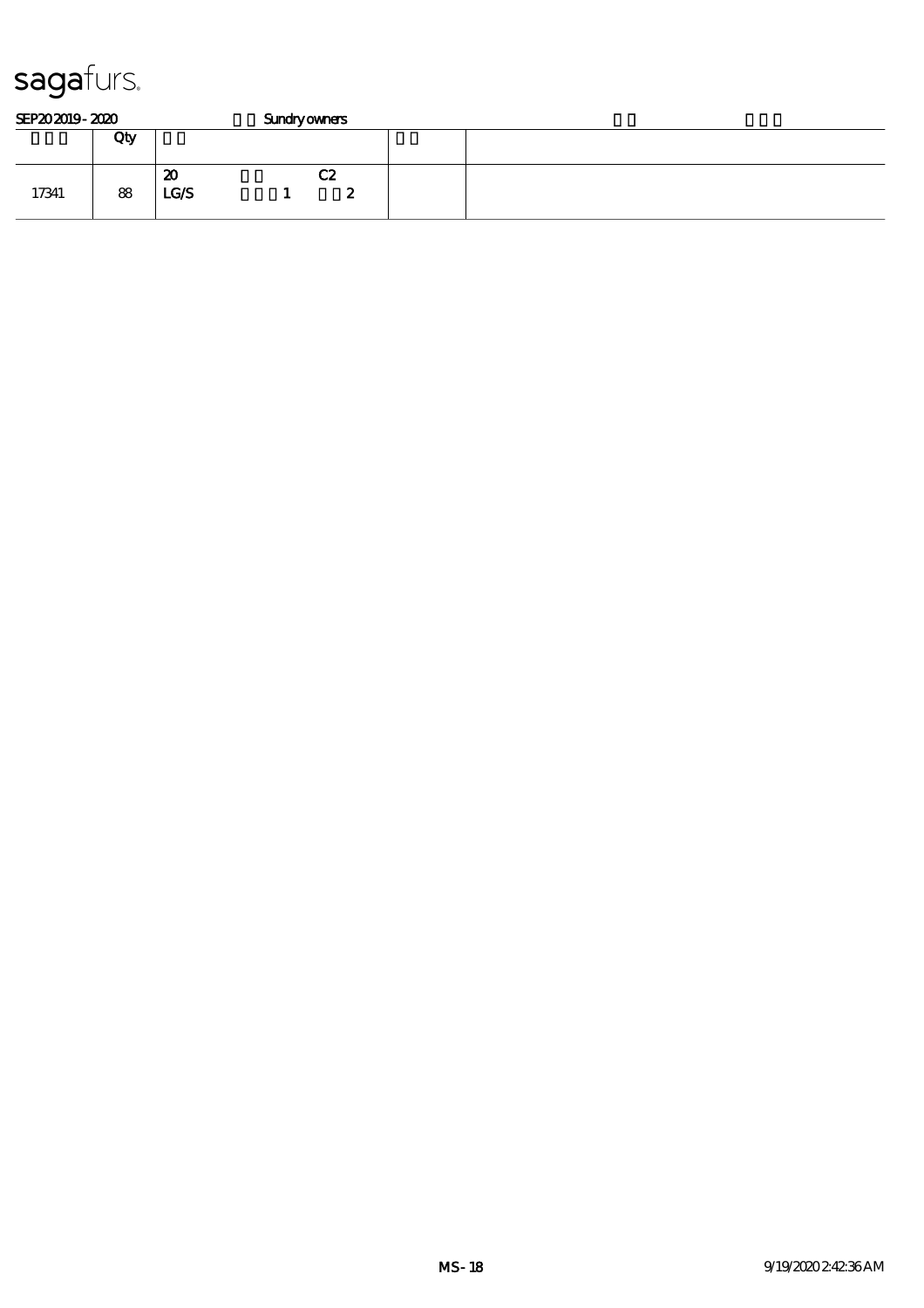| SEP202019-2020 |     |            | <b>Sundryowners</b> |  |  |  |  |  |
|----------------|-----|------------|---------------------|--|--|--|--|--|
|                | Qty |            |                     |  |  |  |  |  |
| 17341          | 88  | 20<br>LG/S | C2<br>w             |  |  |  |  |  |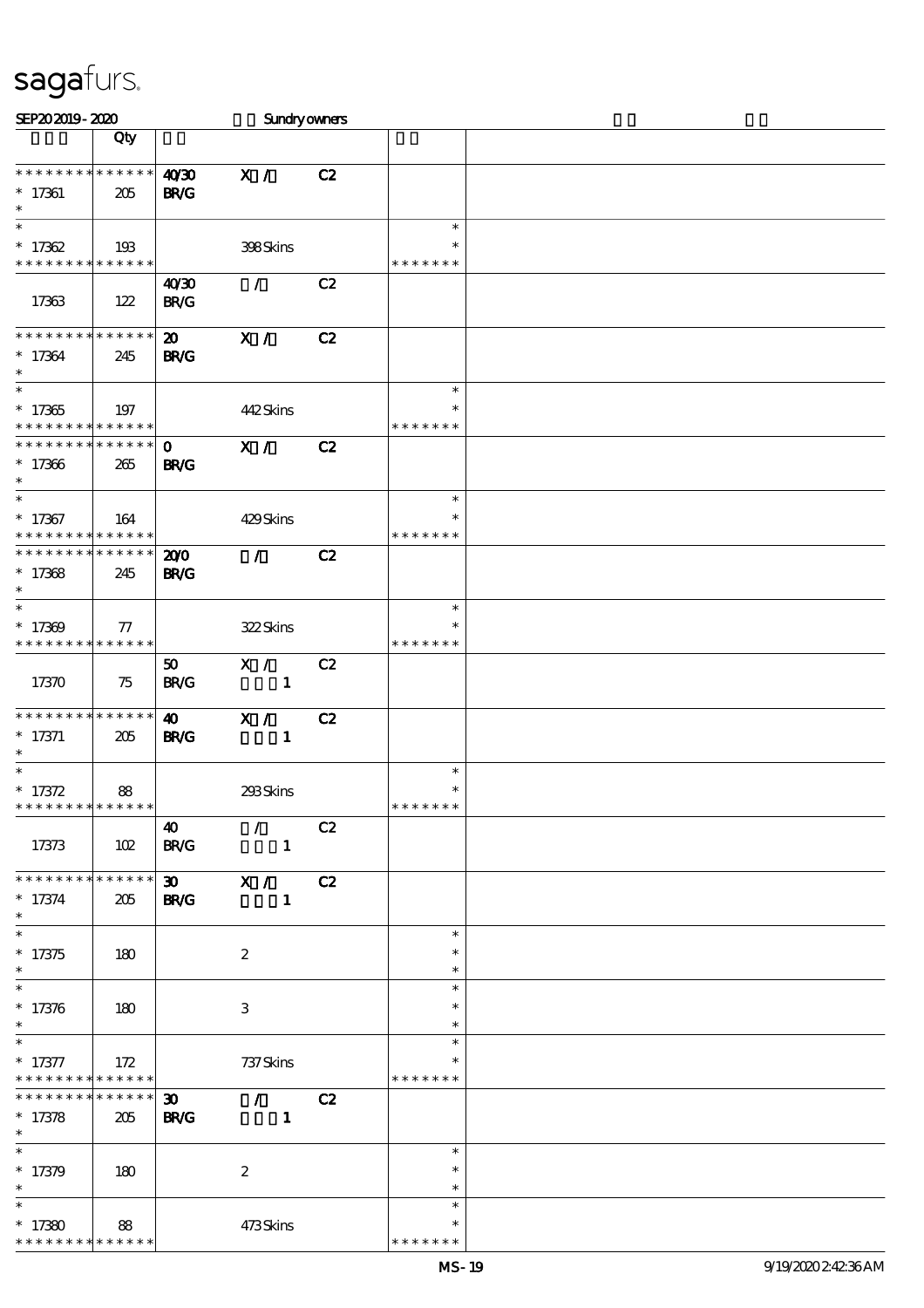| SEP202019-2020                                         |             |                             | <b>Sundryowners</b> |    |                  |  |
|--------------------------------------------------------|-------------|-----------------------------|---------------------|----|------------------|--|
|                                                        | Qty         |                             |                     |    |                  |  |
|                                                        |             |                             |                     |    |                  |  |
| * * * * * * * * * * * * * *                            |             | 40'30                       | X /                 | C2 |                  |  |
| $* 17361$                                              | 205         | <b>BR/G</b>                 |                     |    |                  |  |
| $\ast$                                                 |             |                             |                     |    |                  |  |
| $\ast$                                                 |             |                             |                     |    | $\ast$           |  |
| $* 17362$                                              | 193         |                             | 398Skins            |    | $\ast$           |  |
| * * * * * * * * * * * * * *                            |             |                             |                     |    | * * * * * * *    |  |
|                                                        |             | 40 <sup>20</sup>            | $\mathcal{L}$       | C2 |                  |  |
| 17363                                                  | 122         | B R/G                       |                     |    |                  |  |
| * * * * * * * * * * * * * *                            |             |                             |                     |    |                  |  |
|                                                        |             | $\boldsymbol{\mathfrak{D}}$ | X /                 | C2 |                  |  |
| $*17364$<br>$\ast$                                     | 245         | <b>BR/G</b>                 |                     |    |                  |  |
| $\ast$                                                 |             |                             |                     |    | $\ast$           |  |
|                                                        |             |                             |                     |    | $\ast$           |  |
| $*17365$<br>* * * * * * * * <mark>* * * * * *</mark> * | 197         |                             | 442Skins            |    | * * * * * * *    |  |
| * * * * * * * * * * * * * *                            |             | $\mathbf 0$                 | X /                 | C2 |                  |  |
| $*17366$                                               | 265         | <b>BR/G</b>                 |                     |    |                  |  |
| $\ast$                                                 |             |                             |                     |    |                  |  |
| $\ast$                                                 |             |                             |                     |    | $\ast$           |  |
| $*17367$                                               | 164         |                             | 429Skins            |    | $\ast$           |  |
| * * * * * * * * * * * * * *                            |             |                             |                     |    | * * * * * * *    |  |
| * * * * * * * * * * * * * *                            |             | 200                         | $\mathcal{L}$       | C2 |                  |  |
| $*17368$                                               | 245         | <b>BR/G</b>                 |                     |    |                  |  |
| $\ast$                                                 |             |                             |                     |    |                  |  |
| $\ast$                                                 |             |                             |                     |    | $\ast$           |  |
| $*17309$                                               | $\tau$      |                             | 322Skins            |    | $\ast$           |  |
| * * * * * * * * * * * * * *                            |             |                             |                     |    | * * * * * * *    |  |
|                                                        |             | 50                          | X /                 | C2 |                  |  |
| 17370                                                  | 75          | <b>BR/G</b>                 | $\mathbf{1}$        |    |                  |  |
|                                                        |             |                             |                     |    |                  |  |
| * * * * * * * * * * * * * *                            |             | $\boldsymbol{\omega}$       | X /                 | C2 |                  |  |
| $* 17371$                                              | 205         | <b>BR/G</b>                 | $\mathbf{1}$        |    |                  |  |
| $\ast$<br>$\ast$                                       |             |                             |                     |    |                  |  |
|                                                        |             |                             |                     |    | $\ast$<br>$\ast$ |  |
| $* 17372$<br>* * * * * * * * * * * * * *               | 88          |                             | 293Skins            |    | * * * * * * *    |  |
|                                                        |             | $\boldsymbol{\omega}$       | $\mathcal{L}$       | C2 |                  |  |
| 17373                                                  | 102         | <b>BR/G</b>                 | $\mathbf{1}$        |    |                  |  |
|                                                        |             |                             |                     |    |                  |  |
| * * * * * * * * * * * * * *                            |             | $30 -$                      | $\mathbf{X}$ /      | C2 |                  |  |
| $* 17374$                                              | 205         | <b>BR/G</b>                 | $\mathbf{1}$        |    |                  |  |
| $\ast$                                                 |             |                             |                     |    |                  |  |
| $\ast$                                                 |             |                             |                     |    | $\ast$           |  |
| $* 17375$                                              | 180         |                             | $\boldsymbol{z}$    |    | $\ast$           |  |
| $\ast$                                                 |             |                             |                     |    | $\ast$           |  |
| $\ast$                                                 |             |                             |                     |    | $\ast$           |  |
| $*17376$                                               | 180         |                             | 3                   |    | $\ast$           |  |
| $\ast$                                                 |             |                             |                     |    | $\ast$           |  |
| $\ast$                                                 |             |                             |                     |    | $\ast$           |  |
| $* 17377$                                              | 172         |                             | 737 Skins           |    |                  |  |
| * * * * * * * * <mark>* * * * * * *</mark>             |             |                             |                     |    | * * * * * * *    |  |
| * * * * * * *                                          | * * * * * * | $\boldsymbol{\mathfrak{D}}$ | $\mathcal{L}$       | C2 |                  |  |
| $* 17378$                                              | 205         | <b>BR/G</b>                 | $\mathbf{1}$        |    |                  |  |
| $\ast$<br>$\overline{\ast}$                            |             |                             |                     |    |                  |  |
|                                                        |             |                             |                     |    | $\ast$           |  |
| $*17379$                                               | 180         |                             | $\boldsymbol{2}$    |    | $\ast$           |  |
| $\ast$<br>$\ast$                                       |             |                             |                     |    | $\ast$<br>$\ast$ |  |
|                                                        |             |                             |                     |    | $\ast$           |  |
| $*17380$<br>* * * * * * * * * * * * * *                | 88          |                             | 473Skins            |    | * * * * * *      |  |
|                                                        |             |                             |                     |    |                  |  |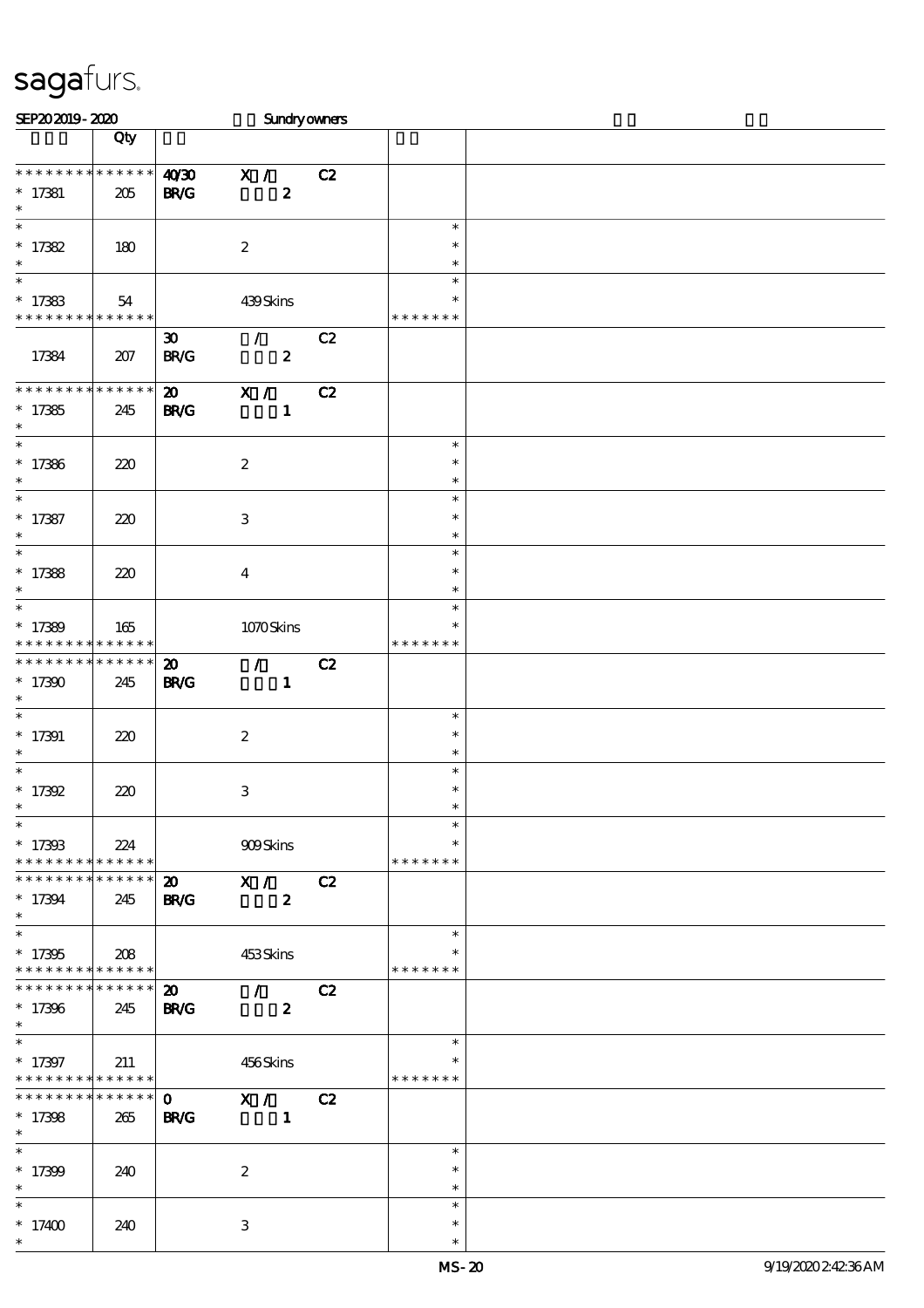| SEP202019-2020                                  |                            |                             | Sundryowners                          |    |                  |  |
|-------------------------------------------------|----------------------------|-----------------------------|---------------------------------------|----|------------------|--|
|                                                 | Qty                        |                             |                                       |    |                  |  |
|                                                 |                            |                             |                                       |    |                  |  |
| * * * * * * * *                                 | $******$                   | 40'30                       | X / C2                                |    |                  |  |
| $* 17381$                                       | 205                        | <b>BR/G</b>                 | $\boldsymbol{z}$                      |    |                  |  |
| $\ast$<br>$\ast$                                |                            |                             |                                       |    | $\ast$           |  |
| $* 17382$                                       |                            |                             |                                       |    | $\ast$           |  |
| $\ast$                                          | 180                        |                             | $\boldsymbol{z}$                      |    | $\ast$           |  |
| $\ast$                                          |                            |                             |                                       |    | $\ast$           |  |
| $*17383$                                        | 54                         |                             | 439Skins                              |    | $\ast$           |  |
| * * * * * * * * * * * * * *                     |                            |                             |                                       |    | * * * * * * *    |  |
|                                                 |                            | $\boldsymbol{\mathfrak{D}}$ | $\mathcal{L}$ and $\mathcal{L}$       | C2 |                  |  |
| 17384                                           | 207                        | <b>BR/C</b>                 | $\boldsymbol{z}$                      |    |                  |  |
|                                                 |                            |                             |                                       |    |                  |  |
| * * * * * * * *                                 | * * * * * *                | $\boldsymbol{\mathfrak{D}}$ | $\mathbf{X}$ /                        | C2 |                  |  |
| $*17385$                                        | 245                        | <b>BR/G</b>                 | $\mathbf{1}$                          |    |                  |  |
| $\ast$<br>$\overline{\phantom{0}}$              |                            |                             |                                       |    |                  |  |
|                                                 |                            |                             |                                       |    | $\ast$<br>$\ast$ |  |
| $*17386$<br>$\ast$                              | 220                        |                             | $\boldsymbol{2}$                      |    | $\ast$           |  |
| $\overline{\ast}$                               |                            |                             |                                       |    | $\ast$           |  |
| $* 17387$                                       | 220                        |                             | $\,3$                                 |    | $\ast$           |  |
| $\ast$                                          |                            |                             |                                       |    | $\ast$           |  |
| $\ast$                                          |                            |                             |                                       |    | $\ast$           |  |
| $*17388$                                        | 220                        |                             | $\overline{\mathbf{4}}$               |    | $\ast$           |  |
| $\ast$                                          |                            |                             |                                       |    | $\ast$           |  |
| $\ast$                                          |                            |                             |                                       |    | $\ast$           |  |
| $*17389$                                        | 165                        |                             | 1070Skins                             |    | $\ast$           |  |
| * * * * * * * *                                 | $\ast\ast\ast\ast\ast\ast$ |                             |                                       |    | * * * * * * *    |  |
| * * * * * * * * * * * * * *                     |                            | $\boldsymbol{\mathfrak{D}}$ | $\mathcal{L}$ and $\mathcal{L}$       | C2 |                  |  |
| $*17390$<br>$\ast$                              | 245                        | <b>BR/G</b>                 | $\mathbf{1}$                          |    |                  |  |
| $\ast$                                          |                            |                             |                                       |    | $\ast$           |  |
| $* 17391$                                       | 220                        |                             | $\boldsymbol{z}$                      |    | $\ast$           |  |
| $\ast$                                          |                            |                             |                                       |    | $\ast$           |  |
| $\ast$                                          |                            |                             |                                       |    | $\ast$           |  |
| $* 17392$                                       | 220                        |                             | 3                                     |    | $\ast$           |  |
|                                                 |                            |                             |                                       |    |                  |  |
| $\overline{\phantom{0}}$                        |                            |                             |                                       |    | $\ast$           |  |
| $* 17393$                                       | 224                        |                             | 909Skins                              |    | $\ast$           |  |
| * * * * * * * * * * * * * * *<br>************** |                            |                             |                                       |    | * * * * * * *    |  |
|                                                 |                            |                             | $\overline{20}$ $\overline{X}$ / $C2$ |    |                  |  |
| $*17394$<br>$\ast$                              | 245                        | <b>BR/G</b>                 | $\boldsymbol{z}$                      |    |                  |  |
| $\ast$                                          |                            |                             |                                       |    | $\ast$           |  |
| $*17395$                                        | 208                        |                             | 453Skins                              |    | $\ast$           |  |
| * * * * * * * * * * * * * * *                   |                            |                             |                                       |    | * * * * * * *    |  |
| ******** <mark>******</mark>                    |                            |                             | $20$ /                                | C2 |                  |  |
| $*17396$                                        | 245                        | <b>BR/G</b>                 | $\boldsymbol{z}$                      |    |                  |  |
| $\ast$                                          |                            |                             |                                       |    |                  |  |
| $\ast$                                          |                            |                             |                                       |    | $\ast$           |  |
| $*17397$<br>* * * * * * * * * * * * * * *       | 211                        |                             | 456Skins                              |    | * * * * * * *    |  |
| * * * * * * * *                                 | $* * * * * * *$            | $\mathbf{O}$                | X / C2                                |    |                  |  |
| $*17398$                                        | 265                        | <b>BR/G</b>                 |                                       |    |                  |  |
| $\ast$                                          |                            |                             |                                       |    |                  |  |
| $\overline{\phantom{1}}$                        |                            |                             |                                       |    | $\ast$           |  |
| $*17399$                                        | 240                        |                             | $\boldsymbol{z}$                      |    | $\ast$           |  |
| $\ast$                                          |                            |                             |                                       |    | $\ast$           |  |
| $\ast$                                          |                            |                             |                                       |    | $\ast$           |  |
| $*17400$                                        | 240                        |                             | $\ensuremath{\mathsf{3}}$             |    | $\ast$           |  |
| $\ast$                                          |                            |                             |                                       |    | $\ast$           |  |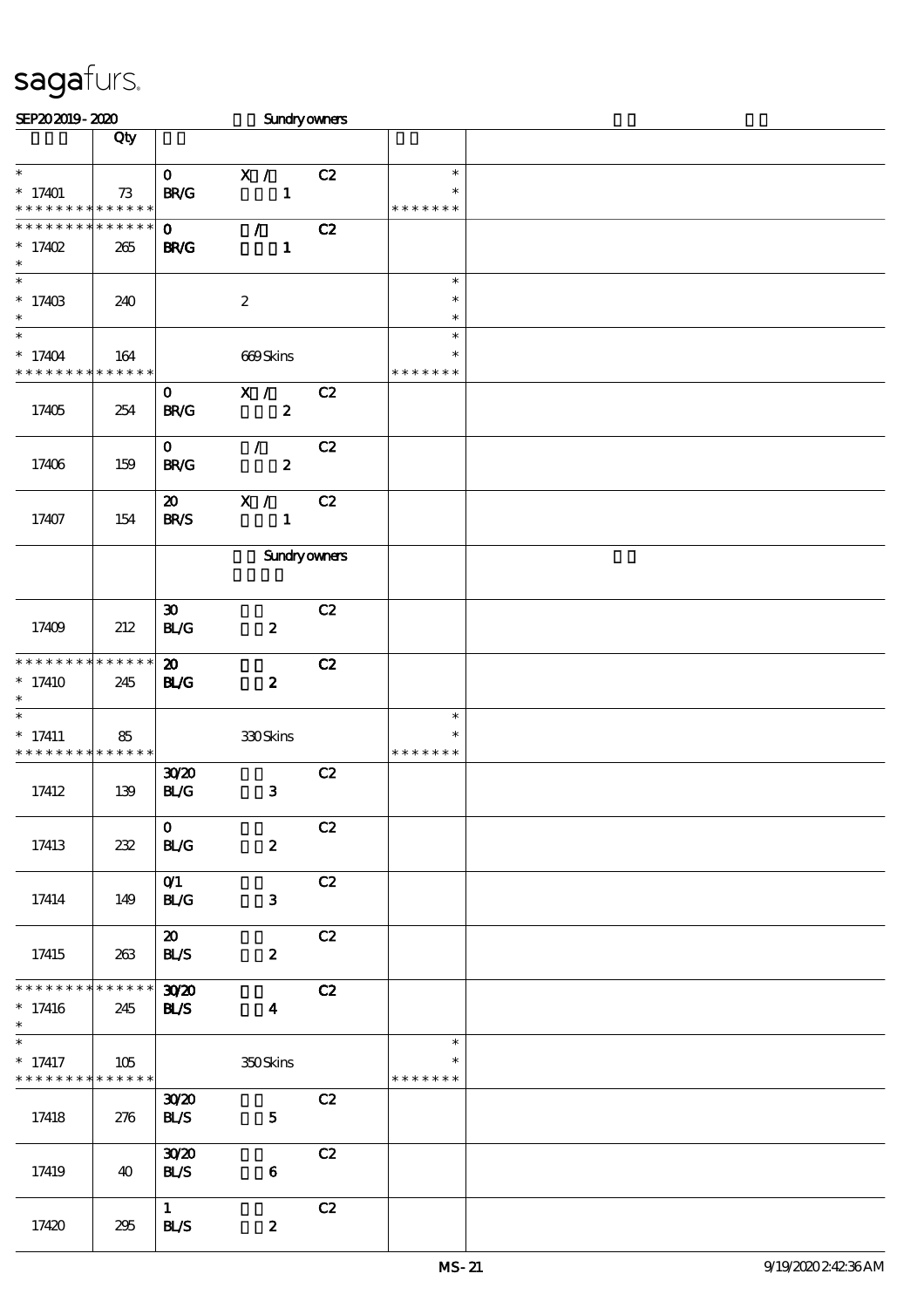| SEP202019-2020                           |     |                             | Sundryowners        |    |                    |  |
|------------------------------------------|-----|-----------------------------|---------------------|----|--------------------|--|
|                                          | Qty |                             |                     |    |                    |  |
|                                          |     |                             |                     |    |                    |  |
| $\ast$                                   |     | $\mathbf{O}$                | X /                 | C2 | $\ast$             |  |
| $*17401$                                 | 73  | <b>BR/G</b>                 | $\mathbf{1}$        |    | ∗                  |  |
| * * * * * * * * * * * * * *              |     |                             |                     |    | * * * * * * *      |  |
| * * * * * * * * * * * * * *              |     | $\mathbf{O}$                | $\mathcal{L}$       | C2 |                    |  |
| $* 17402$                                | 265 | <b>BR/G</b>                 | $\mathbf{1}$        |    |                    |  |
| $\ast$                                   |     |                             |                     |    |                    |  |
| $_{*}^{-}$                               |     |                             |                     |    | $\ast$             |  |
| $*17403$                                 | 240 |                             | $\boldsymbol{2}$    |    | $\ast$             |  |
| $\ast$                                   |     |                             |                     |    | $\ast$             |  |
| $\overline{\ast}$                        |     |                             |                     |    | $\ast$             |  |
| $*17404$                                 | 164 |                             | 669Skins            |    | $\ast$             |  |
| * * * * * * * * * * * * * *              |     |                             |                     |    | * * * * * * *      |  |
|                                          |     | $\mathbf{O}$                | X /                 | C2 |                    |  |
| 17405                                    | 254 | <b>BR/G</b>                 | $\boldsymbol{z}$    |    |                    |  |
|                                          |     |                             |                     |    |                    |  |
|                                          |     | $\mathbf{O}$                | $\mathcal{L}$       | C2 |                    |  |
| 17406                                    | 159 | B R/G                       | $\boldsymbol{z}$    |    |                    |  |
|                                          |     |                             |                     |    |                    |  |
|                                          |     | $\boldsymbol{\mathfrak{D}}$ | X /                 | C2 |                    |  |
| 17407                                    | 154 | <b>BR/S</b>                 | $\mathbf{1}$        |    |                    |  |
|                                          |     |                             |                     |    |                    |  |
|                                          |     |                             | <b>Sundryowners</b> |    |                    |  |
|                                          |     |                             |                     |    |                    |  |
|                                          |     |                             |                     |    |                    |  |
|                                          |     | $\boldsymbol{\mathfrak{D}}$ |                     | C2 |                    |  |
| 17409                                    | 212 | BLG                         | $\boldsymbol{z}$    |    |                    |  |
|                                          |     |                             |                     |    |                    |  |
| * * * * * * * * * * * * * *              |     | $\boldsymbol{\mathfrak{D}}$ |                     | C2 |                    |  |
| $*17410$                                 | 245 | <b>BL/G</b>                 | $\boldsymbol{z}$    |    |                    |  |
| $\ast$                                   |     |                             |                     |    |                    |  |
| $\ast$                                   |     |                             |                     |    | $\ast$             |  |
| $* 17411$                                | 85  |                             | 330Skins            |    | $\ast$             |  |
| * * * * * * * * * * * * * *              |     |                             |                     |    | * * * * * * *      |  |
|                                          |     | 3020                        |                     | C2 |                    |  |
| 17412                                    | 139 | BLG                         | $\mathbf{3}$        |    |                    |  |
|                                          |     |                             |                     |    |                    |  |
|                                          |     | $\mathbf{O}$                |                     | C2 |                    |  |
| 17413                                    | 232 | <b>BL/G</b>                 | $\boldsymbol{z}$    |    |                    |  |
|                                          |     |                             |                     |    |                    |  |
|                                          |     | O(1)                        |                     | C2 |                    |  |
| 17414                                    | 149 | <b>BL/G</b>                 | $\mathbf{3}$        |    |                    |  |
|                                          |     |                             |                     |    |                    |  |
|                                          |     | $\boldsymbol{\mathfrak{D}}$ |                     | C2 |                    |  |
|                                          |     |                             |                     |    |                    |  |
| 17415                                    | 263 | <b>BLS</b>                  | $\boldsymbol{z}$    |    |                    |  |
| * * * * * * * * * * * * * * *            |     |                             |                     |    |                    |  |
|                                          |     | 3020                        |                     | C2 |                    |  |
| $*17416$<br>$\ast$                       | 245 | <b>BLS</b>                  | $\boldsymbol{4}$    |    |                    |  |
| $\ast$                                   |     |                             |                     |    | $\ast$             |  |
|                                          |     |                             |                     |    |                    |  |
| $* 17417$<br>* * * * * * * * * * * * * * | 105 |                             | 350Skins            |    | ∗<br>* * * * * * * |  |
|                                          |     |                             |                     |    |                    |  |
|                                          |     | 3020                        |                     | C2 |                    |  |
| 17418                                    | 276 | <b>BLS</b>                  | $\mathbf{5}$        |    |                    |  |
|                                          |     |                             |                     |    |                    |  |
|                                          |     | 30 <sup>20</sup>            |                     | C2 |                    |  |
| 17419                                    | 40  | <b>BLS</b>                  | $\bf{6}$            |    |                    |  |
|                                          |     |                             |                     |    |                    |  |
|                                          |     | $\mathbf{1}$                |                     | C2 |                    |  |
| 17420                                    | 295 | BLS                         | $\boldsymbol{z}$    |    |                    |  |
|                                          |     |                             |                     |    |                    |  |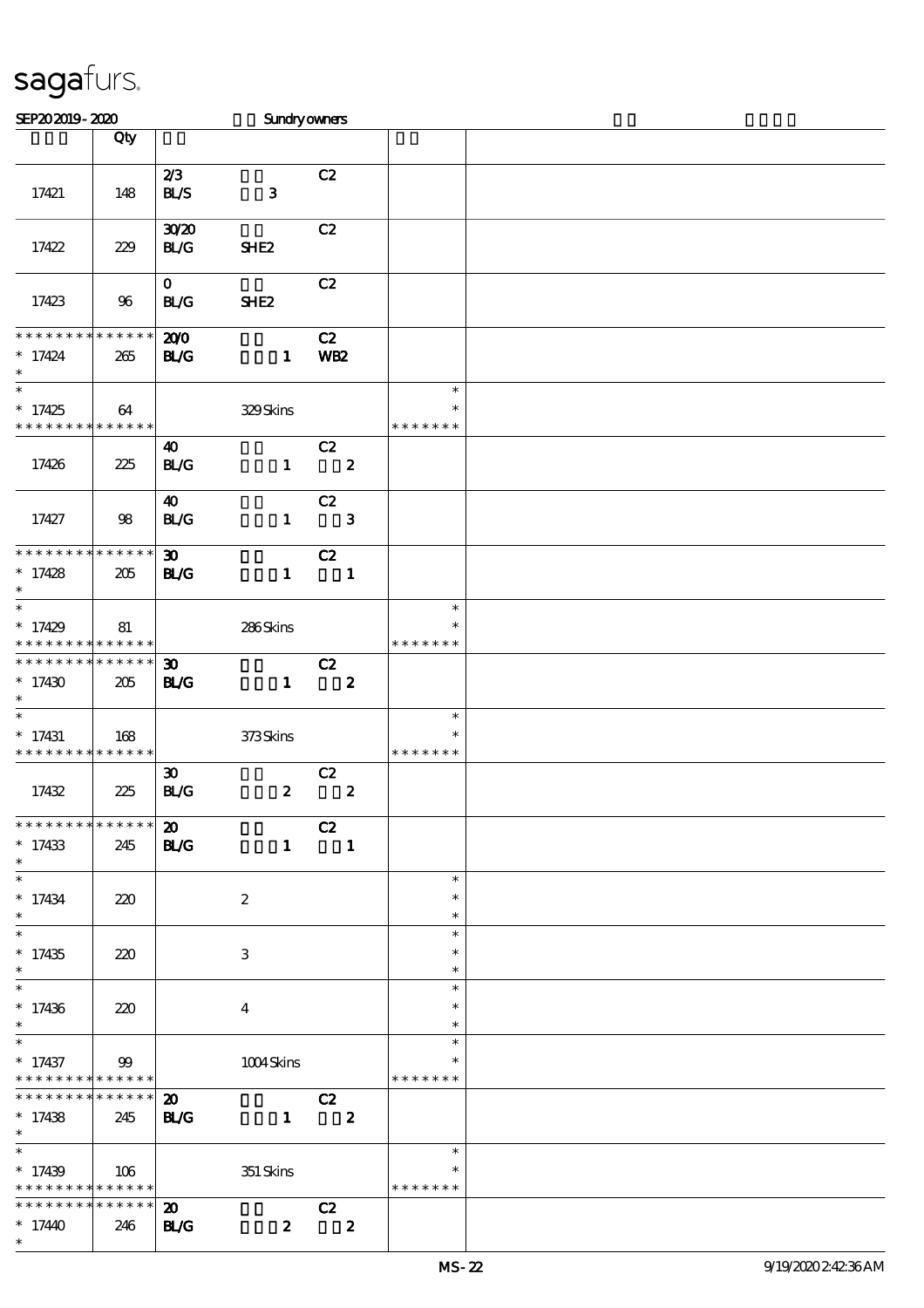| SEP202019-2020                                                                     |                        |                                            | Sundryowners     |                                                 |                         |                                   |  |
|------------------------------------------------------------------------------------|------------------------|--------------------------------------------|------------------|-------------------------------------------------|-------------------------|-----------------------------------|--|
|                                                                                    | Qty                    |                                            |                  |                                                 |                         |                                   |  |
| 17421                                                                              | 148                    | 2/3<br><b>BLS</b>                          | $\mathbf{3}$     | C2                                              |                         |                                   |  |
| 17422                                                                              | 229                    | 3020<br>BLG                                | SHE <sub>2</sub> | C2                                              |                         |                                   |  |
| 17423                                                                              | 96                     | $\mathbf{O}$<br><b>BL/G</b>                | SHE <sub>2</sub> | C2                                              |                         |                                   |  |
| * * * * * * * * * * * * * *<br>$* 17424$<br>$\ast$                                 | 265                    | 200<br><b>BL/G</b>                         | $\mathbf{1}$     | C2<br>WB <sub>2</sub>                           |                         |                                   |  |
| $\overline{\ast}$<br>$*17425$<br>* * * * * * * * <mark>* * * * * * *</mark>        | 64                     |                                            | 329Skins         |                                                 |                         | $\ast$<br>$\ast$<br>* * * * * * * |  |
| 17426                                                                              | 225                    | 40<br>BLG                                  | $\mathbf{1}$     | C2<br>$\overline{\mathbf{2}}$                   |                         |                                   |  |
| 17427                                                                              | 98                     | $\boldsymbol{\omega}$<br><b>BL/G</b>       | $\mathbf{1}$     | C2                                              | $\mathbf{3}$            |                                   |  |
| * * * * * * * * * * * * * *<br>$*17428$<br>$\ast$                                  | 205                    | $\boldsymbol{\mathfrak{D}}$<br><b>BL/G</b> | $\mathbf{1}$     | C2<br>$\blacksquare$                            |                         |                                   |  |
| $\ast$<br>$*17429$<br>* * * * * * * * * * * * * *                                  | 81                     |                                            | 286Skins         |                                                 |                         | $\ast$<br>$\ast$<br>* * * * * * * |  |
| * * * * * * * * * * * * * *<br>$*17430$<br>$\ast$                                  | 205                    | $\boldsymbol{\mathfrak{D}}$<br><b>BL/G</b> | $\mathbf{1}$     | C2<br>$\overline{\mathbf{z}}$                   |                         |                                   |  |
| $\ast$<br>$*17431$<br>* * * * * * * * * * * * * *                                  | 168                    |                                            | 373Skins         |                                                 |                         | $\ast$<br>* * * * * * *           |  |
| 17432                                                                              | 225                    | $\boldsymbol{\mathfrak{D}}$<br>BLG         | $\boldsymbol{z}$ | C2<br>$\overline{\phantom{a}}$ 2                |                         |                                   |  |
| **************<br>$*17433$<br>$*$                                                  | 245                    | $\boldsymbol{\mathfrak{D}}$<br><b>BL/G</b> |                  | C2<br>$\begin{array}{cccc} 1 & & 1 \end{array}$ |                         |                                   |  |
| $\ast$<br>$* 17434$<br>$\ast$                                                      | 220                    |                                            | $\boldsymbol{2}$ |                                                 |                         | $\ast$<br>$\ast$<br>$\ast$        |  |
| $\ast$<br>$*17435$<br>$\ast$                                                       | 220                    |                                            | $\,3$            |                                                 |                         | $\ast$<br>$\ast$<br>$\ast$        |  |
| $\overline{\phantom{0}}$<br>$*17436$<br>$\ast$                                     | 220                    |                                            | $\overline{4}$   |                                                 |                         | $\ast$<br>$\ast$<br>$\ast$        |  |
| $\ast$<br>$* 17437$<br>* * * * * * * * * * * * * *                                 | 99                     |                                            | 1004Skins        |                                                 |                         | $\ast$<br>* * * * * * *           |  |
| * * * * * * * *<br>$*17438$<br>$*$                                                 | $***$ * * * * *<br>245 | $\boldsymbol{\mathfrak{D}}$<br><b>BL/G</b> | $\mathbf{1}$     | C2<br>$\overline{\mathbf{2}}$                   |                         |                                   |  |
| $\overline{\phantom{0}}$<br>$*17439$<br>* * * * * * * * <mark>* * * * * * *</mark> | 106                    |                                            | 351 Skins        |                                                 |                         | $\ast$<br>∗<br>* * * * * * *      |  |
| * * * * * * * * * * * * * * *<br>$*1740$<br>$\ast$                                 | 246                    | $\boldsymbol{\mathfrak{D}}$<br><b>BL/G</b> | $\boldsymbol{z}$ | C2                                              | $\overline{\mathbf{z}}$ |                                   |  |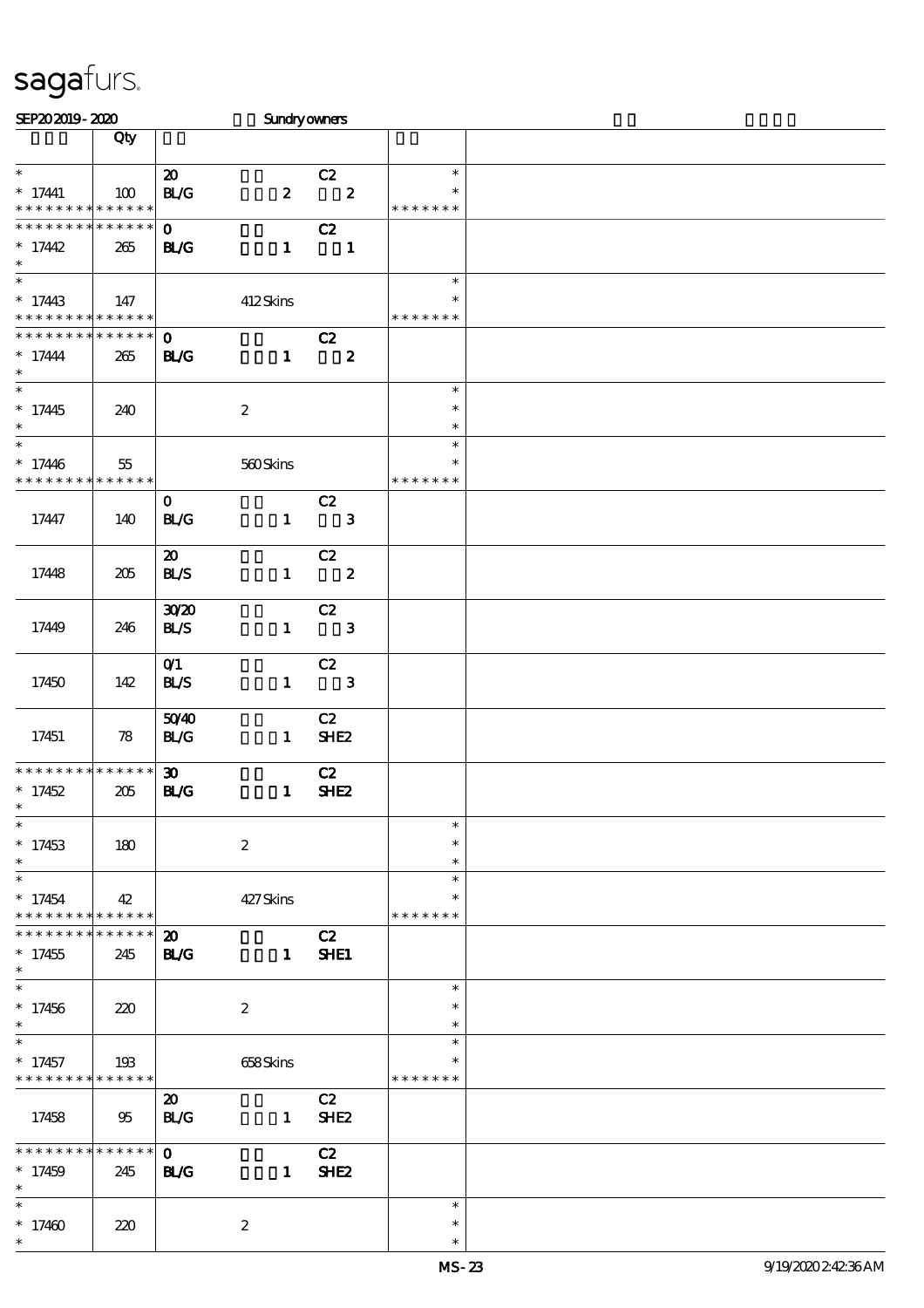| SEP202019-2020                                                        |                       |                                            | <b>Sundryowners</b> |                                  |                                   |  |
|-----------------------------------------------------------------------|-----------------------|--------------------------------------------|---------------------|----------------------------------|-----------------------------------|--|
|                                                                       | Qty                   |                                            |                     |                                  |                                   |  |
| $\ast$<br>$* 17441$<br>* * * * * * * * * * * * * *                    | 100                   | $\boldsymbol{\mathfrak{D}}$<br>BLG         | $\boldsymbol{z}$    | C2<br>$\overline{\mathbf{2}}$    | $\ast$<br>$\ast$<br>* * * * * * * |  |
| * * * * * * * *<br>$*17442$<br>$\ast$                                 | * * * * * *<br>265    | $\mathbf{O}$<br><b>BL/G</b>                | $\mathbf{1}$        | C2<br>$\overline{\phantom{a}}$   |                                   |  |
| $\overline{\phantom{a}^*}$<br>$*17443$<br>* * * * * * * * * * * * * * | 147                   |                                            | 412Skins            |                                  | $\ast$<br>$\ast$<br>* * * * * * * |  |
| * * * * * * * *<br>$* 17444$<br>$\ast$                                | * * * * * *<br>265    | $\mathbf{o}$<br><b>BL/G</b>                | $\mathbf{1}$        | C2<br>$\overline{\mathbf{z}}$    |                                   |  |
| $\overline{\phantom{a}^*}$<br>$*17445$<br>$\ast$                      | 240                   |                                            | $\boldsymbol{2}$    |                                  | $\ast$<br>$\ast$<br>$\ast$        |  |
| $\overline{\phantom{0}}$<br>$*17446$<br>* * * * * * * *               | 55<br>* * * * * *     |                                            | 560Skins            |                                  | $\ast$<br>$\ast$<br>* * * * * * * |  |
| 17447                                                                 | 140                   | $\mathbf{O}$<br><b>BL/G</b>                | $\mathbf{1}$        | C2<br>$\mathbf{3}$               |                                   |  |
| 17448                                                                 | 205                   | $\boldsymbol{\mathfrak{D}}$<br><b>BLS</b>  | $\mathbf{1}$        | C2<br>$\overline{\mathbf{2}}$    |                                   |  |
| 17449                                                                 | 246                   | 3020<br>BLS                                | $\mathbf{1}$        | C2<br>$\overline{\phantom{a}}$ 3 |                                   |  |
| 17450                                                                 | 142                   | O(1)<br><b>BL/S</b>                        |                     | C2<br>$1 \qquad 3$               |                                   |  |
| 17451                                                                 | 78                    | 5040<br>BLG                                | $\mathbf{1}$        | C2<br>SHE <sub>2</sub>           |                                   |  |
| * * * * * * * * * * * * * *<br>$*17452$<br>$*$                        | 205                   | $\boldsymbol{\mathfrak{D}}$<br><b>BL/G</b> | $\mathbf{1}$        | C2<br><b>SHE2</b>                |                                   |  |
| $\ast$<br>$*17453$<br>$\ast$                                          | 180                   |                                            | $\boldsymbol{2}$    |                                  | $\ast$<br>$\ast$<br>$\ast$        |  |
| $\ast$<br>$*17454$<br>* * * * * * * *                                 | 42<br>$* * * * * * *$ |                                            | 427Skins            |                                  | $\ast$<br>$\ast$<br>* * * * * * * |  |
| * * * * * * *<br>$*17455$<br>$\ast$                                   | $******$<br>245       | $\boldsymbol{\mathfrak{D}}$<br><b>BL/G</b> | $\mathbf{1}$        | C2<br><b>SHE1</b>                |                                   |  |
| $\ast$<br>$*17456$<br>$\ast$                                          | 220                   |                                            | $\boldsymbol{2}$    |                                  | $\ast$<br>$\ast$<br>$\ast$        |  |
| $*17457$<br>* * * * * * * *                                           | 193<br>* * * * * *    |                                            | 658Skins            |                                  | $\ast$<br>*<br>* * * * * * *      |  |
| 17458                                                                 | 95                    | $\boldsymbol{\mathfrak{D}}$<br>BLG         | $\mathbf{1}$        | C2<br>SHE <sub>2</sub>           |                                   |  |
| * * * * * * * *<br>$*17459$<br>$\ast$                                 | * * * * * *<br>245    | $\mathbf{O}$<br><b>BL/G</b>                | $\mathbf{1}$        | C2<br>SHE <sub>2</sub>           |                                   |  |
| $\ast$<br>$*17460$<br>$\ast$                                          | 220                   |                                            | $\boldsymbol{2}$    |                                  | $\ast$<br>$\ast$<br>$\ast$        |  |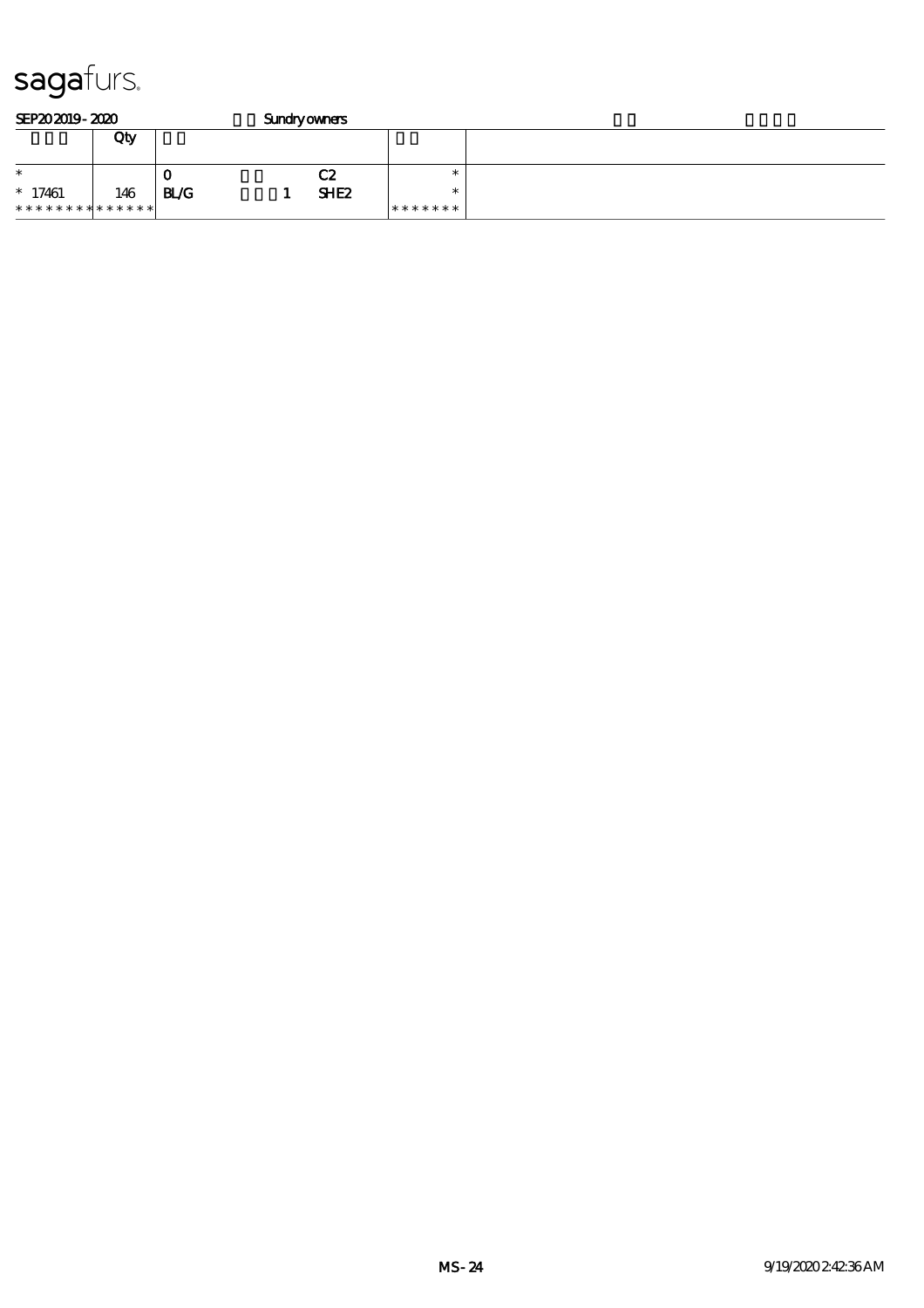| SEP202019-2020<br><b>Sundryowners</b> |     |              |  |                  |         |  |
|---------------------------------------|-----|--------------|--|------------------|---------|--|
|                                       | Qty |              |  |                  |         |  |
| $\ast$                                |     | u            |  | C2               |         |  |
| $*17461$                              | 146 | $_{\rm BLG}$ |  | SHE <sub>2</sub> |         |  |
| * * * * * * * * * * * * * * *         |     |              |  |                  | ******* |  |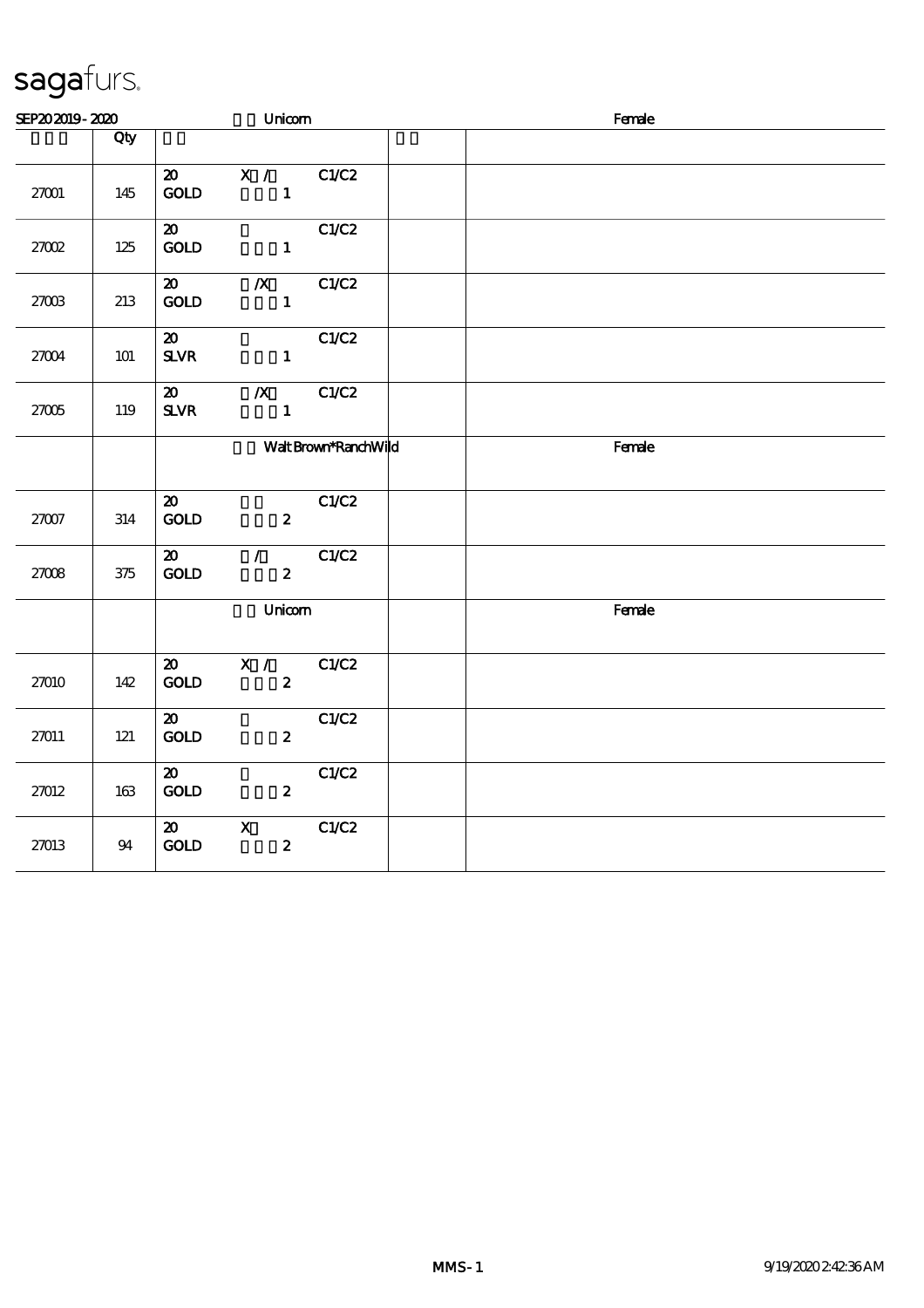| SEP202019-2020 |         |                                                         | Unicom                                        |                      | Female |        |  |  |
|----------------|---------|---------------------------------------------------------|-----------------------------------------------|----------------------|--------|--------|--|--|
|                | Qty     |                                                         |                                               |                      |        |        |  |  |
| 27001          | 145     | $\boldsymbol{\mathfrak{D}}$<br>GOLD                     | $\mathbf{X}$ / $\mathbf{X}$<br>$\blacksquare$ | C1/C2                |        |        |  |  |
| 27002          | 125     | $\boldsymbol{\mathfrak{D}}$<br><b>GOLD</b>              | $\mathbf{1}$                                  | C1/C2                |        |        |  |  |
| 27003          | 213     | $\boldsymbol{\mathfrak{D}}$<br>$\mathop{\rm GOD}$       | $\mathbf{X}$<br>$\mathbf{1}$                  | C1/C2                |        |        |  |  |
| 27004          | 101     | $\boldsymbol{\mathfrak{D}}$<br>${\bf S\!L}\!{\bf V\!R}$ | $\mathbf{1}$                                  | C1/C2                |        |        |  |  |
| $27005$        | 119     | $\boldsymbol{\mathfrak{D}}$<br>$S\!L\!V\!R$             | $\boldsymbol{X}$<br>$\mathbf{1}$              | C1/C2                |        |        |  |  |
|                |         |                                                         |                                               | Walt Brown*RanchWild |        | Female |  |  |
| 27007          | 314     | $\boldsymbol{\mathfrak{D}}$<br>GOD                      | $\boldsymbol{z}$                              | C1/C2                |        |        |  |  |
| 27008          | $375\,$ | $\boldsymbol{\mathfrak{D}}$<br>$\mathop{\rm GOD}$       | $\mathcal{L}$<br>$\boldsymbol{z}$             | C1/C2                |        |        |  |  |
|                |         |                                                         | Unicom                                        |                      |        | Female |  |  |
| 27010          | 142     | $\boldsymbol{\mathfrak{D}}$<br>GOLD                     | X /<br>$\boldsymbol{z}$                       | C1/C2                |        |        |  |  |
| 27011          | $121$   | $\boldsymbol{\mathfrak{D}}$<br>GOD                      | $\boldsymbol{z}$                              | C1/C2                |        |        |  |  |
| 27012          | 163     | $\boldsymbol{\mathfrak{D}}$<br>GOLD                     | $\mathbf{z}$                                  | C1/C2                |        |        |  |  |
| 27013          | 94      | $\boldsymbol{\mathfrak{D}}$<br>GOD                      | $\mathbf X$<br>$\boldsymbol{z}$               | C1/C2                |        |        |  |  |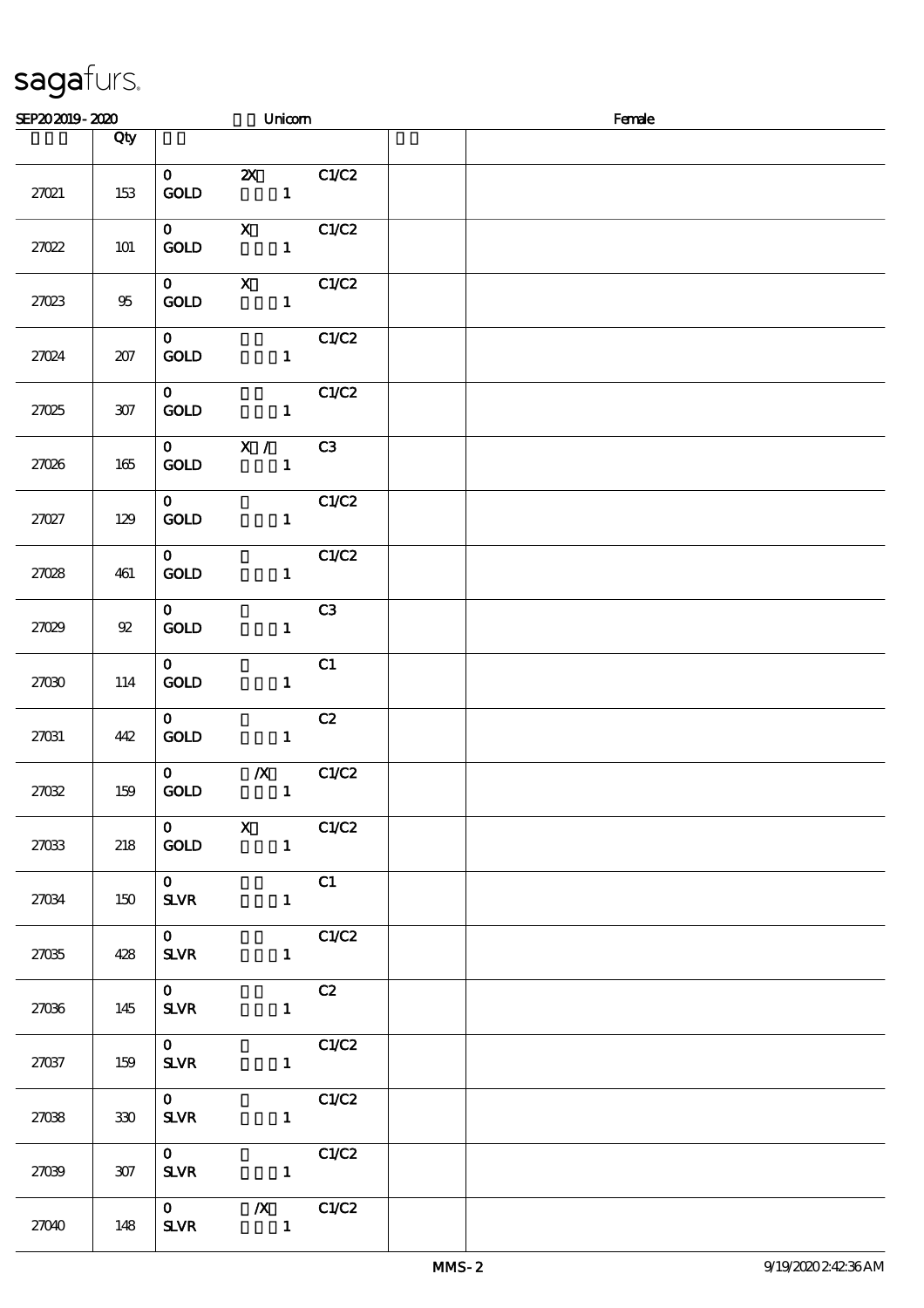| SEP202019-2020 |         |                                       | Unicom                           |                 | Female |
|----------------|---------|---------------------------------------|----------------------------------|-----------------|--------|
|                | Qty     |                                       |                                  |                 |        |
| 27021          | 153     | $\mathbf{O}$<br><b>GOLD</b>           | $\mathbf{1}$                     | <b>2X</b> C1/C2 |        |
| 27022          | 101     | $\mathbf{0}$<br>$\mathop{\rm GOD}$    | $\mathbf{1}$                     | $X$ C1/C2       |        |
| 27023          | 95      | $\mathbf{O}$<br>$\operatorname{GOLD}$ | $\mathbf{X}$<br>$\mathbf{1}$     | C1/C2           |        |
| 27024          | 207     | $\mathbf{O}$<br><b>GOLD</b>           | $\mathbf{1}$                     | C1/C2           |        |
| 27025          | $307\,$ | $\mathbf{O}$<br>$\mathop{\rm GOD}$    | $\mathbf{1}$                     | C1/C2           |        |
| 27026          | 165     | <b>GOLD</b>                           | $0$ X /<br>$\mathbf{1}$          | C3              |        |
| 27027          | 129     | $\mathbf{O}$<br><b>GOLD</b>           | $\mathbf{1}$                     | C1/C2           |        |
| 27028          | 461     | $\mathbf{O}$<br><b>GOLD</b>           | $\mathbf{1}$                     | C1/C2           |        |
| 27029          | 92      | $\mathbf{O}$<br><b>GOLD</b>           | $\mathbf{1}$                     | C3              |        |
| 27030          | 114     | $\mathbf{O}$<br>GOLD                  | $\mathbf{1}$                     | C1              |        |
| 27031          | 442     | $\mathbf{0}$<br>GOLD                  | $\mathbf{1}$                     | C2              |        |
| 27032          | 159     | $\mathbf{O}$<br>$\mathop{\rm GOD}$    | $\boldsymbol{X}$<br>$\mathbf{1}$ | C1/C2           |        |
| 27033          | 218     | $\mathbf{O}$<br><b>GOLD</b>           | $\mathbf{X}$<br>$\mathbf{1}$     | C1/C2           |        |
| 27034          | 150     | $\mathbf{O}$<br><b>SLVR</b>           | $\mathbf{1}$                     | C1              |        |
| 27035          | 428     | $\mathbf{0}$<br><b>SLVR</b>           | $\mathbf{1}$                     | C1/C2           |        |
| 27036          | 145     | $\mathbf{O}$<br><b>SLVR</b>           | $\mathbf{1}$                     | C2              |        |
| 27037          | 159     | $\mathbf{O}$<br><b>SLVR</b>           | $\mathbf{1}$                     | C1/C2           |        |
| 2708           | 330     | $\mathbf{O}$<br><b>SLVR</b>           | $\mathbf{1}$                     | C1/C2           |        |
| 27039          | 307     | $\mathbf{O}$<br><b>SLVR</b>           | $\mathbf{1}$                     | C1/C2           |        |
| 27040          | 148     | $\mathbf{O}$<br><b>SLVR</b>           | $\mathbf{1}$                     | $\chi$ C1/C2    |        |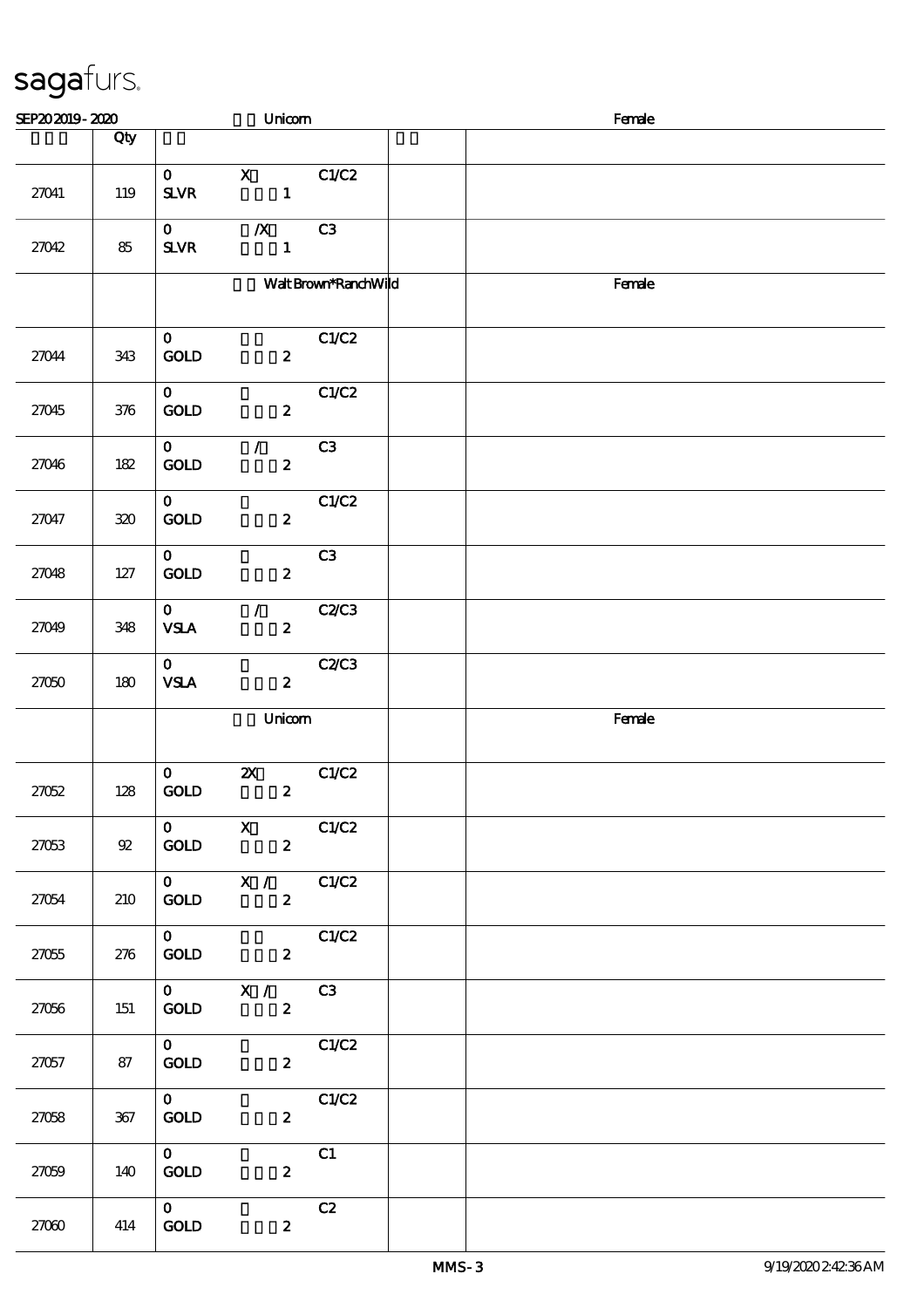| SEP202019-2020 |                  |                                       | Unicom                                        |                      | Female |
|----------------|------------------|---------------------------------------|-----------------------------------------------|----------------------|--------|
|                | Qty              |                                       |                                               |                      |        |
| 27041          | 119              | $\mathbf{O}$<br><b>SLVR</b>           | $\mathbf{X}$<br>$\mathbf{1}$                  | C1/C2                |        |
| 27042          | 85               | $\mathbf{O}$<br><b>SLVR</b>           | $\boldsymbol{X}$<br>$\mathbf{1}$              | C3                   |        |
|                |                  |                                       |                                               | Walt Brown*RanchWild | Female |
| 27044          | 343              | $\mathbf{O}$<br>GOLD                  | $\boldsymbol{z}$                              | C1/C2                |        |
| 27045          | 376              | $\mathbf{O}$<br>GOLD                  | $\boldsymbol{z}$                              | C1/C2                |        |
| 27046          | 182              | $\mathbf{O}$<br><b>GOLD</b>           | $\mathcal{F}$<br>$\boldsymbol{z}$             | C3                   |        |
| 27047          | 320              | $\mathbf{O}$<br>GOLD                  | $\boldsymbol{z}$                              | C1/C2                |        |
| 27048          | 127              | $\mathbf{O}$<br>GOLD                  | $\mathbf{z}$                                  | C3                   |        |
| 27049          | 348              | $\mathbf{O}$<br><b>VSLA</b>           | $\mathcal{L}$<br>$\boldsymbol{z}$             | C2C3                 |        |
| 27050          | 180              | $\mathbf{O}$<br><b>VSLA</b>           | $\boldsymbol{z}$                              | C2C3                 |        |
|                |                  |                                       | Unicom                                        |                      | Female |
| 27052          | 128              | $\mathbf{o}$<br>GOLD                  | $\boldsymbol{\mathsf{X}}$<br>$\boldsymbol{z}$ | C1/C2                |        |
| 27053          | ${\mathfrak{A}}$ | $\mathbf{0}$<br><b>GOLD</b>           | $\mathbf{X}$<br>$\mathbf{2}$                  | C1/C2                |        |
| 27054          | 210              | $\mathbf{O}$<br><b>GOLD</b>           | X /<br>$\boldsymbol{2}$                       | C1/C2                |        |
| 27055          | 276              | $\mathbf{0}$<br>$\operatorname{GOLD}$ | $\boldsymbol{z}$                              | C1/C2                |        |
| 27056          | 151              | $\mathbf{O}$<br>GOLD                  | X /<br>$\boldsymbol{z}$                       | C3                   |        |
| 27057          | 87               | $\mathbf{O}$<br>$\operatorname{GOLD}$ | $\boldsymbol{z}$                              | C1/C2                |        |
| 27058          | 367              | $\mathbf{O}$<br>GOLD                  | $\boldsymbol{z}$                              | C1/C2                |        |
| 27059          | 140              | $\mathbf{0}$<br><b>GOLD</b>           | $\boldsymbol{z}$                              | C1                   |        |
| 27000          | 414              | $\mathbf{O}$<br>$\mathop{\rm GOD}$    | $\boldsymbol{z}$                              | C2                   |        |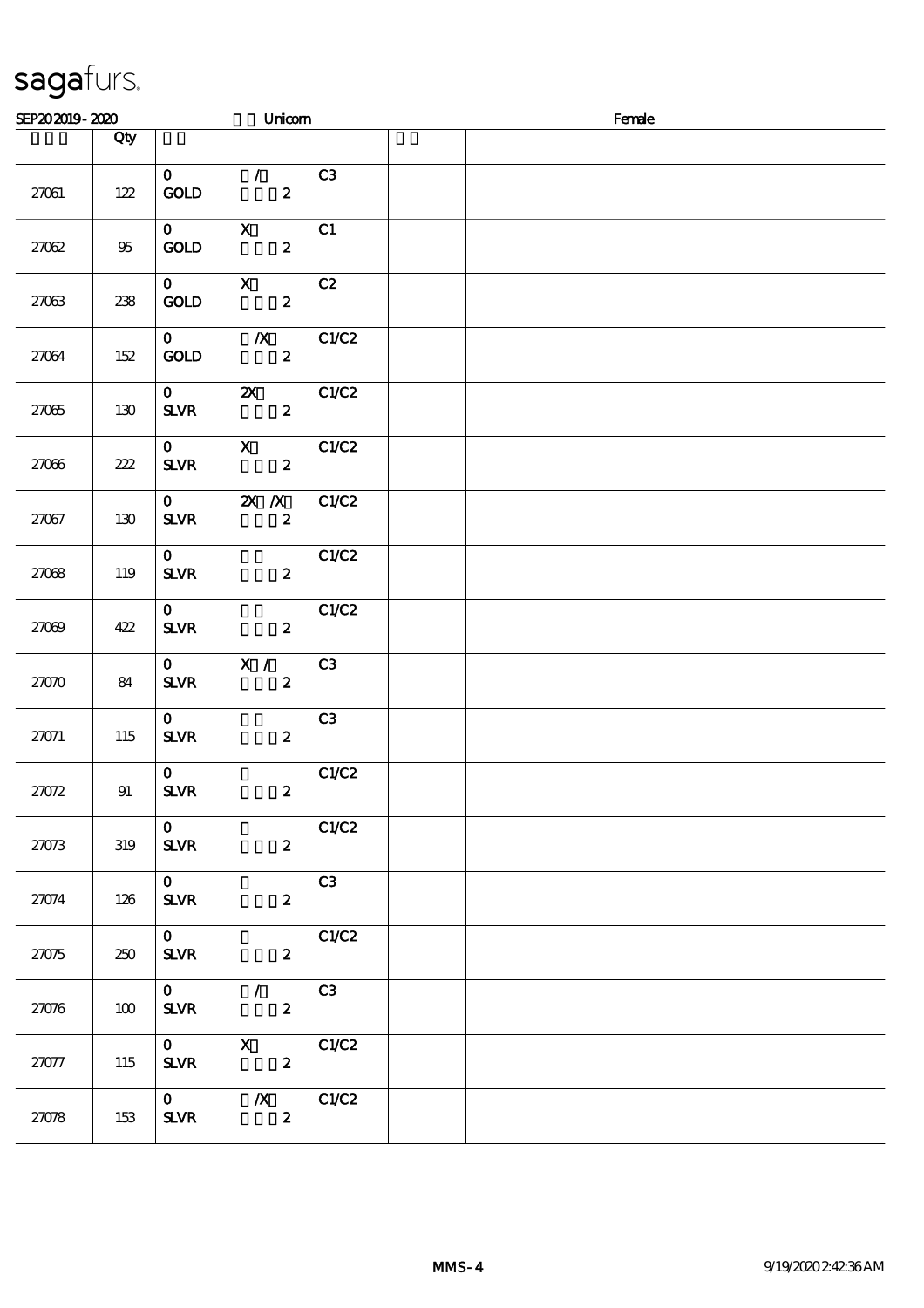| SEP202019-2020 |     |                                          | Unicom                                        |                | Female |
|----------------|-----|------------------------------------------|-----------------------------------------------|----------------|--------|
|                | Qty |                                          |                                               |                |        |
| 27061          | 122 | $\mathbf{O}$<br><b>GOLD</b>              | $\mathcal{F}$<br>$\boldsymbol{z}$             | C <sub>3</sub> |        |
| 27062          | 95  | $\mathbf{0}$<br><b>GOLD</b>              | $\mathbf{X}$<br>$\boldsymbol{z}$              | C1             |        |
| 27063          | 238 | $\mathbf{0}$<br><b>GOLD</b>              | $\mathbf{X}$<br>$\mathbf{2}$                  | C2             |        |
| 27064          | 152 | $\mathbf{O}$<br><b>GOLD</b>              | $\chi$ C1/C2<br>$\mathbf{z}$                  |                |        |
| 27065          | 130 | $\mathbf{0}$<br><b>SLVR</b>              | <b>2X</b> C1/C2<br>$\boldsymbol{2}$           |                |        |
| 27066          | 222 | $\mathbf{O}$<br>$S\!L\!V\!R$             | $\mathbf{X}$<br>$\boldsymbol{z}$              | C1/C2          |        |
| 27067          | 130 | $\mathbf{O}$<br><b>SLVR</b>              | $X \, X$<br>$\boldsymbol{z}$                  | C1/C2          |        |
| 2708           | 119 | $\mathbf{O}$<br>$S\!L\!V\!R$             | $\boldsymbol{2}$                              | C1/C2          |        |
| 27009          | 422 | $\mathbf{O}$<br>$S\!L\!V\!R$             | $\boldsymbol{z}$                              | C1/C2          |        |
| 27070          | 84  | $\mathbf{O}$<br>$S\!L\!V\!R$             | X /<br>$\boldsymbol{z}$                       | C3             |        |
| 27071          | 115 | $\mathbf{O}$<br>SLVR                     | $\boldsymbol{2}$                              | C3             |        |
| 27072          | 91  | $\mathbf{O}$<br>${\bf S\!L}\!{\bf V\!R}$ | $\boldsymbol{z}$                              | C1/C2          |        |
| 27073          | 319 | $\mathbf{O}$<br>$S\!L\!V\!R$             | $\boldsymbol{z}$                              | C1/C2          |        |
| 27074          | 126 | $\mathbf{O}$<br>$S\!L\!V\!R$             | $\boldsymbol{z}$                              | C <sub>3</sub> |        |
| 27075          | 250 | $\mathbf{o}$<br>$S\!L\!V\!R$             | $\boldsymbol{z}$                              | C1/C2          |        |
| 27076          | 100 | $\mathbf{O}$<br>$S\!L\!V\!R$             | $\mathcal{L}$<br>$\boldsymbol{z}$             | C3             |        |
| 27077          | 115 | $\mathbf{O}$<br><b>SLVR</b>              | $\boldsymbol{\mathrm{X}}$<br>$\boldsymbol{z}$ | C1/C2          |        |
| 27078          | 153 | $\mathbf{0}$<br>$S\!L\!V\!R$             | $\boldsymbol{X}$<br>$\boldsymbol{z}$          | C1/C2          |        |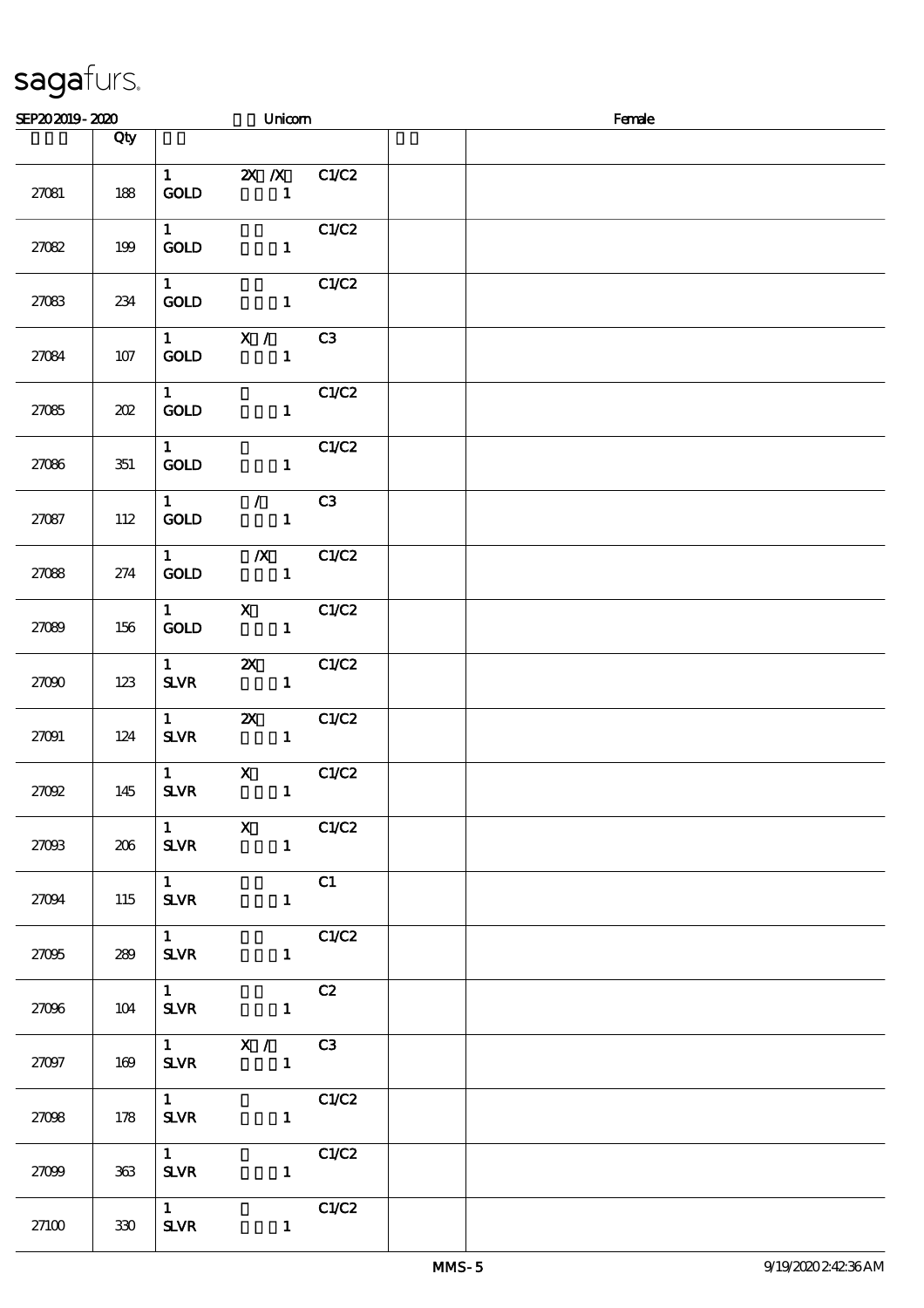| SEP202019-2020 |     |                                       | Unicom                                          |       | Female |
|----------------|-----|---------------------------------------|-------------------------------------------------|-------|--------|
|                | Qty |                                       |                                                 |       |        |
| 27081          | 188 | <b>GOLD</b>                           | 1 $\mathbb{Z} \times \mathbb{Z}$ C1/C2          |       |        |
| 27082          | 199 | $1 \quad \blacksquare$<br><b>GOLD</b> | $\sim$ 1.                                       | C1/C2 |        |
| 27083          | 234 | 1<br><b>GOLD</b>                      | $\overline{\phantom{a}}$                        | C1/C2 |        |
| 27084          | 107 | $1 \qquad \qquad$<br>GOLD             | X /<br>$\mathbf{I}$                             | C3    |        |
| 27085          | 202 | $1 \qquad \qquad$<br><b>GOLD</b>      | $\mathbf{1}$                                    | C1/C2 |        |
| 27086          | 351 | $1 \quad \blacksquare$<br><b>GOLD</b> | $\overline{\phantom{a}}$                        | C1/C2 |        |
| 27087          | 112 | $\mathbf{1}$<br><b>GOLD</b>           | $\mathcal{F}$ and $\mathcal{F}$<br>$\mathbf{1}$ | C3    |        |
| 27088          | 274 | $1 \quad \blacksquare$<br><b>GOLD</b> | $\chi$ C1/C2<br>$\sim$ 1                        |       |        |
| 27089          | 156 | $\mathbf{1}$<br><b>GOLD</b>           | $\mathbf{X}$<br>$\mathbf{1}$                    | C1/C2 |        |
| 27000          | 123 | $1 \qquad \qquad$<br><b>SLVR</b>      | $\mathbf{x}$<br>$\mathbf{1}$                    | C1/C2 |        |
| 27091          | 124 | $1 \qquad \qquad$<br><b>SLVR</b>      | $\mathbf{X}$<br>$\mathbf{1}$                    | C1/C2 |        |
| 27092          | 145 | $1 \qquad \qquad$<br><b>SLVR</b>      | $\mathbf{X}$<br>$\mathbf{1}$                    | C1/C2 |        |
| 27003          | 206 | $\mathbf{1}$<br><b>SLVR</b>           | $\mathbf{x}$<br>$\mathbf{1}$                    | C1/C2 |        |
| 27094          | 115 | $\mathbf{1}$<br><b>SLVR</b>           | $\mathbf{1}$                                    | C1    |        |
| 27095          | 289 | 1<br><b>SLVR</b>                      | $\mathbf{1}$                                    | C1/C2 |        |
| 27096          | 104 | $\mathbf{1}$<br><b>SLVR</b>           | $\mathbf{1}$                                    | C2    |        |
| 27097          | 169 | <b>SLVR</b>                           | $1$ X / C3<br>$\mathbf{1}$                      |       |        |
| 27098          | 178 | $1 \quad \blacksquare$<br><b>SLVR</b> | $\mathbf{1}$                                    | C1/C2 |        |
| 27099          | 363 | $1 \quad \blacksquare$<br><b>SLVR</b> | $1 -$                                           | C1/C2 |        |
| 27100          | 330 | $1 \quad \blacksquare$<br><b>SLVR</b> | $\mathbf{1}$                                    | C1/C2 |        |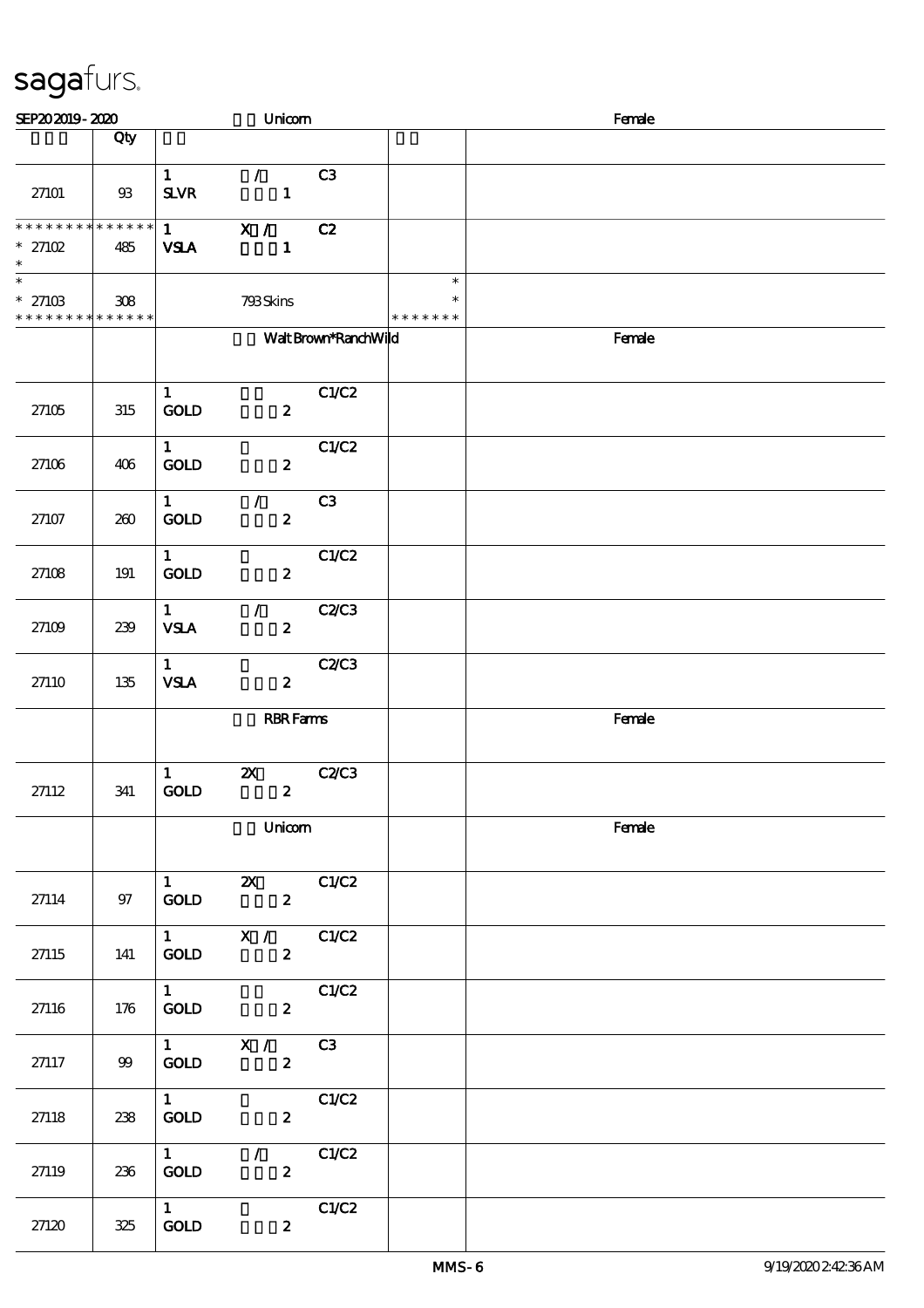| SEP202019-2020                                                       |      |                                       | Unicom                                        |                      |                                   | Female |
|----------------------------------------------------------------------|------|---------------------------------------|-----------------------------------------------|----------------------|-----------------------------------|--------|
|                                                                      | Qty  |                                       |                                               |                      |                                   |        |
| 27101                                                                | 93   | $\mathbf{1}$<br><b>SLVR</b>           | $\mathcal{L}$<br>$\mathbf{1}$                 | C <sub>3</sub>       |                                   |        |
| ******** <mark>******</mark><br>$*27102$<br>$\ast$                   | 485  | $1 \quad \blacksquare$<br><b>VSLA</b> | X / C2<br>$\mathbf{1}$                        |                      |                                   |        |
| $\overline{\phantom{0}}$<br>$* 27103$<br>* * * * * * * * * * * * * * | 308  |                                       | 793Skins                                      |                      | $\ast$<br>$\ast$<br>* * * * * * * |        |
|                                                                      |      |                                       |                                               | Walt Brown*RanchWild |                                   | Female |
| 27105                                                                | 315  | $\mathbf{1}$<br><b>GOLD</b>           | $\boldsymbol{z}$                              | C1/C2                |                                   |        |
| 27106                                                                | 406  | $\mathbf{1}$<br>GOLD                  | $\boldsymbol{z}$                              | C1/C2                |                                   |        |
| 27107                                                                | 260  | $\mathbf{1}$<br><b>GOLD</b>           | $\mathcal{L}$<br>$\boldsymbol{z}$             | C3                   |                                   |        |
| 27108                                                                | 191  | $\mathbf{1}$<br><b>GOLD</b>           | $\boldsymbol{z}$                              | C1/C2                |                                   |        |
| 27109                                                                | 239  | $\mathbf{1}$<br><b>VSLA</b>           | $\mathcal{L}$<br>$\boldsymbol{z}$             | C2C3                 |                                   |        |
| 27110                                                                | 135  | $\mathbf{1}$<br><b>VSLA</b>           | $\boldsymbol{z}$                              | C2/C3                |                                   |        |
|                                                                      |      |                                       | <b>RBR</b> Fams                               |                      |                                   | Female |
| 27112                                                                | 341  | $\mathbf{1}$<br><b>GOLD</b>           | $\boldsymbol{\mathsf{Z}}$<br>$\boldsymbol{z}$ | <b>C2/C3</b>         |                                   |        |
|                                                                      |      |                                       | Unicom                                        |                      |                                   | Female |
| 27114                                                                | $97$ | 1<br>GOLD                             | $\mathbf{x}$<br>$\boldsymbol{2}$              | C1/C2                |                                   |        |
| 27115                                                                | 141  | $1 \quad \blacksquare$<br>GOLD        | X / C1/C2<br>$\boldsymbol{z}$                 |                      |                                   |        |
| 27116                                                                | 176  | $1 -$<br>GOLD                         | $\boldsymbol{2}$                              | C1/C2                |                                   |        |
| 27117                                                                | 99   | $1 \qquad \qquad$<br>$\mathbf{GOLD}$  | $\overline{\mathbf{x}}$ /<br>$\boldsymbol{z}$ | C3                   |                                   |        |
| 27118                                                                | 238  | 1<br>GOLD                             | $\boldsymbol{z}$                              | C1/C2                |                                   |        |
| 27119                                                                | 236  | $1 \quad \blacksquare$<br><b>GOLD</b> | $\sqrt{C1/C2}$<br>$\mathbf{z}$                |                      |                                   |        |
| 27120                                                                | 325  | $1 -$<br>GOLD                         | $\boldsymbol{z}$                              | C1/C2                |                                   |        |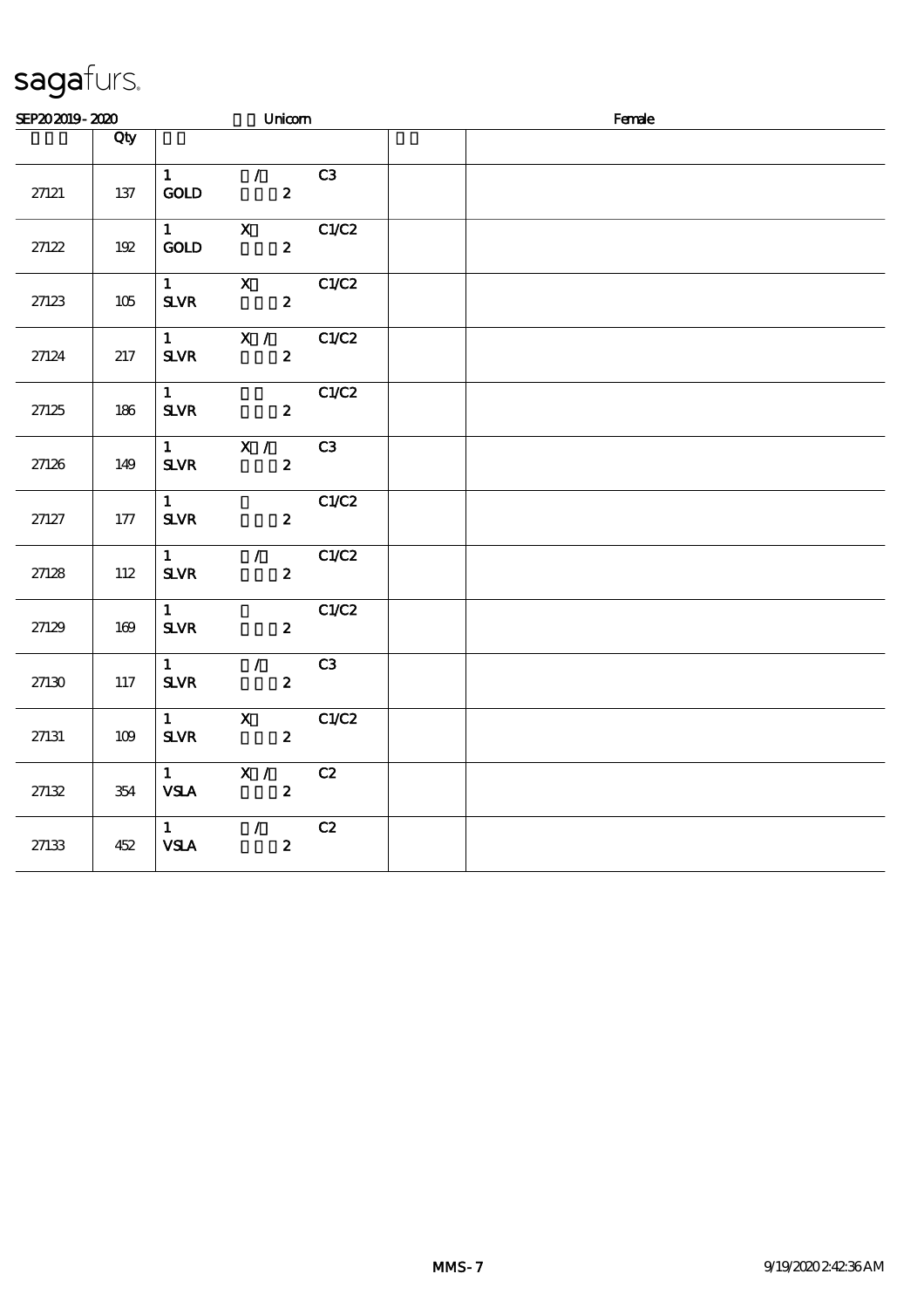| SEP202019-2020 |       |                                                    | Unicom                                          |       | Female |  |  |  |
|----------------|-------|----------------------------------------------------|-------------------------------------------------|-------|--------|--|--|--|
|                | Qty   |                                                    |                                                 |       |        |  |  |  |
| 27121          | 137   | $\mathbf{1}$<br>GOLD                               | $\mathcal{L}$<br>$\boldsymbol{z}$               | C3    |        |  |  |  |
| 27122          | $192$ | $\mathbf{1}$<br>$\mathop{\rm GOD}$                 | $\mathbf X$<br>$\boldsymbol{z}$                 | C1/C2 |        |  |  |  |
| 27123          | 105   | $1 \quad \blacksquare$<br><b>SLVR</b>              | $\mathbf{X}$<br>$\mathbf{z}$                    | C1/C2 |        |  |  |  |
| 27124          | 217   | $1 \quad \blacksquare$<br>${\bf S\!L}\!{\bf V\!R}$ | X /<br>$\boldsymbol{z}$                         | C1/C2 |        |  |  |  |
| 27125          | 186   | $\mathbf{1}$<br>${\bf S\!L}\!{\bf V\!R}$           | $\boldsymbol{2}$                                | C1/C2 |        |  |  |  |
| 27126          | 149   | $1 \qquad \qquad$<br><b>SLVR</b>                   | $\overline{\mathbf{x}}$ /<br>$\boldsymbol{z}$   | C3    |        |  |  |  |
| 27127          | 177   | 1<br>$S\!L\!V\!R$                                  | $\boldsymbol{z}$                                | C1/C2 |        |  |  |  |
| 27128          | 112   | $1 -$<br>${\bf S\!L}\!{\bf V\!R}$                  | $\overline{7}$<br>$\boldsymbol{2}$              | C1/C2 |        |  |  |  |
| 27129          | 169   | 1<br><b>SLVR</b>                                   | $\boldsymbol{2}$                                | C1/C2 |        |  |  |  |
| 27130          | 117   | $1 \quad$<br>${\bf S\!L}\!{\bf V\!R}$              | $\mathcal{T}$<br>$\boldsymbol{z}$               | C3    |        |  |  |  |
| 27131          | 109   | $1 \quad$<br>${\bf S\!L}\!{\bf V\!R}$              | $\mathbf{x}$<br>$\boldsymbol{2}$                | C1/C2 |        |  |  |  |
| 27132          | 354   | $\mathbf{1}$<br><b>VSLA</b>                        | X /<br>$\boldsymbol{z}$                         | C2    |        |  |  |  |
| 27133          | 452   | 1<br><b>VSLA</b>                                   | $\mathcal{T} = \mathcal{I}$<br>$\boldsymbol{z}$ | C2    |        |  |  |  |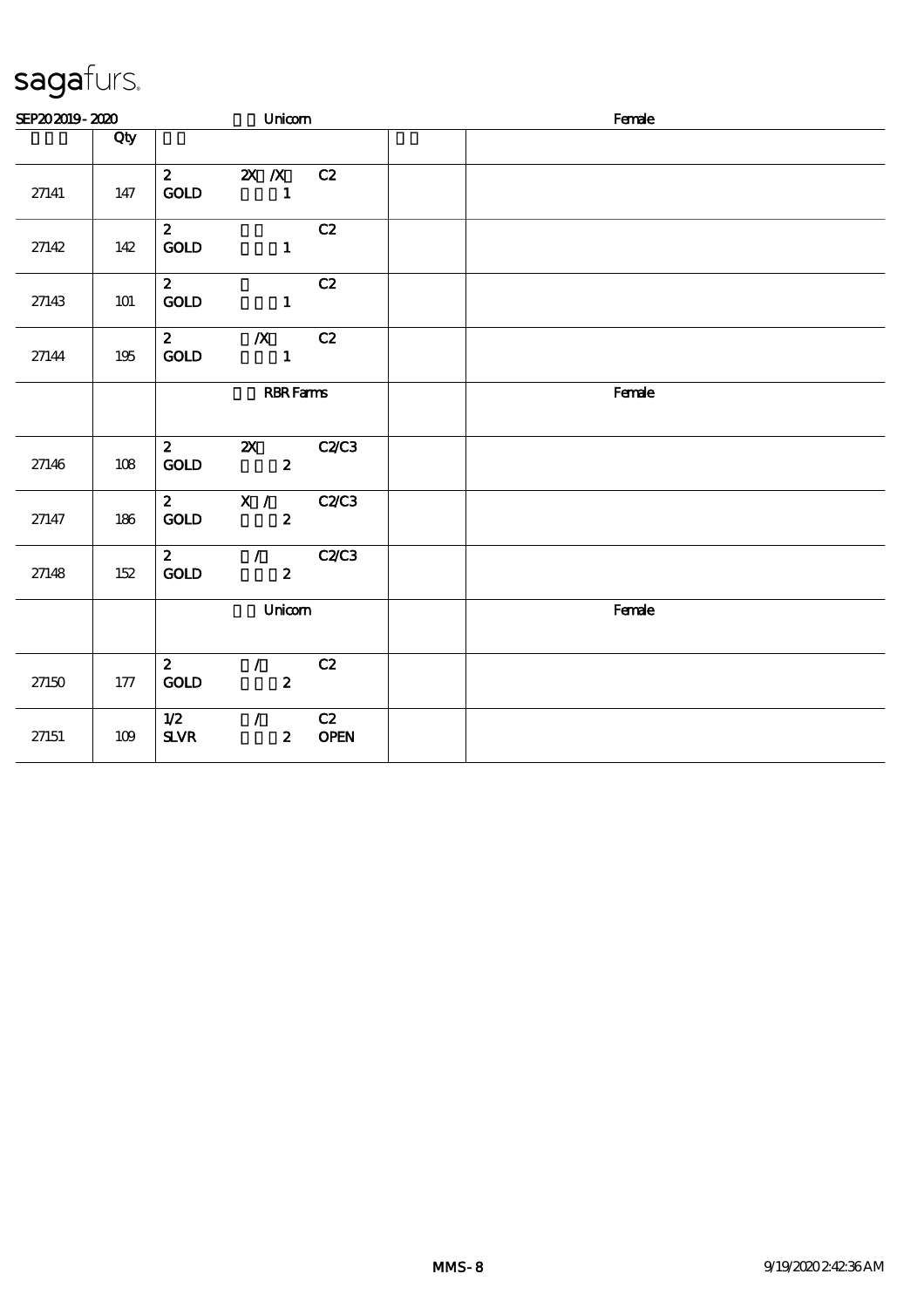| SEP202019-2020 |     |                                    | Unicom                                    |                   | Female |
|----------------|-----|------------------------------------|-------------------------------------------|-------------------|--------|
|                | Qty |                                    |                                           |                   |        |
| 27141          | 147 | $\mathbf{2}$<br>$\mathop{\rm GOD}$ | $\mathbf{X}$ $\mathbf{X}$<br>$\mathbf{1}$ | C2                |        |
| 27142          | 142 | $\mathbf{2}$<br>GOLD               | $\mathbf{1}$                              | C2                |        |
| 27143          | 101 | $\mathbf{2}$<br>$\mathop{\rm GOD}$ | $\mathbf{1}$                              | C2                |        |
| 27144          | 195 | $\mathbf{z}$<br>$\mathop{\rm GOD}$ | $\boldsymbol{X}$<br>$\blacksquare$        | C2                |        |
|                |     |                                    | <b>RBR</b> Fams                           |                   | Female |
| 27146          | 108 | $\mathbf{2}$<br>GOLD               | $\mathbf{x}$<br>$\mathbf{2}$              | C2C3              |        |
| 27147          | 186 | $\mathbf{2}$<br><b>GOLD</b>        | X / C2C3<br>$\boldsymbol{z}$              |                   |        |
| 27148          | 152 | $\mathbf{2}$<br><b>GOLD</b>        | $\mathcal{L}$<br>$\boldsymbol{z}$         | <b>C2/C3</b>      |        |
|                |     |                                    | Unicom                                    |                   | Female |
| 27150          | 177 | $\mathbf{2}$<br>$\mathop{\rm GOD}$ | $\mathcal{L}$<br>$\boldsymbol{z}$         | C2                |        |
| 27151          | 109 | 1/2<br>$S\!L\!V\!R$                | $\mathcal{L}$<br>$\mathbf{2}$             | C2<br><b>OPEN</b> |        |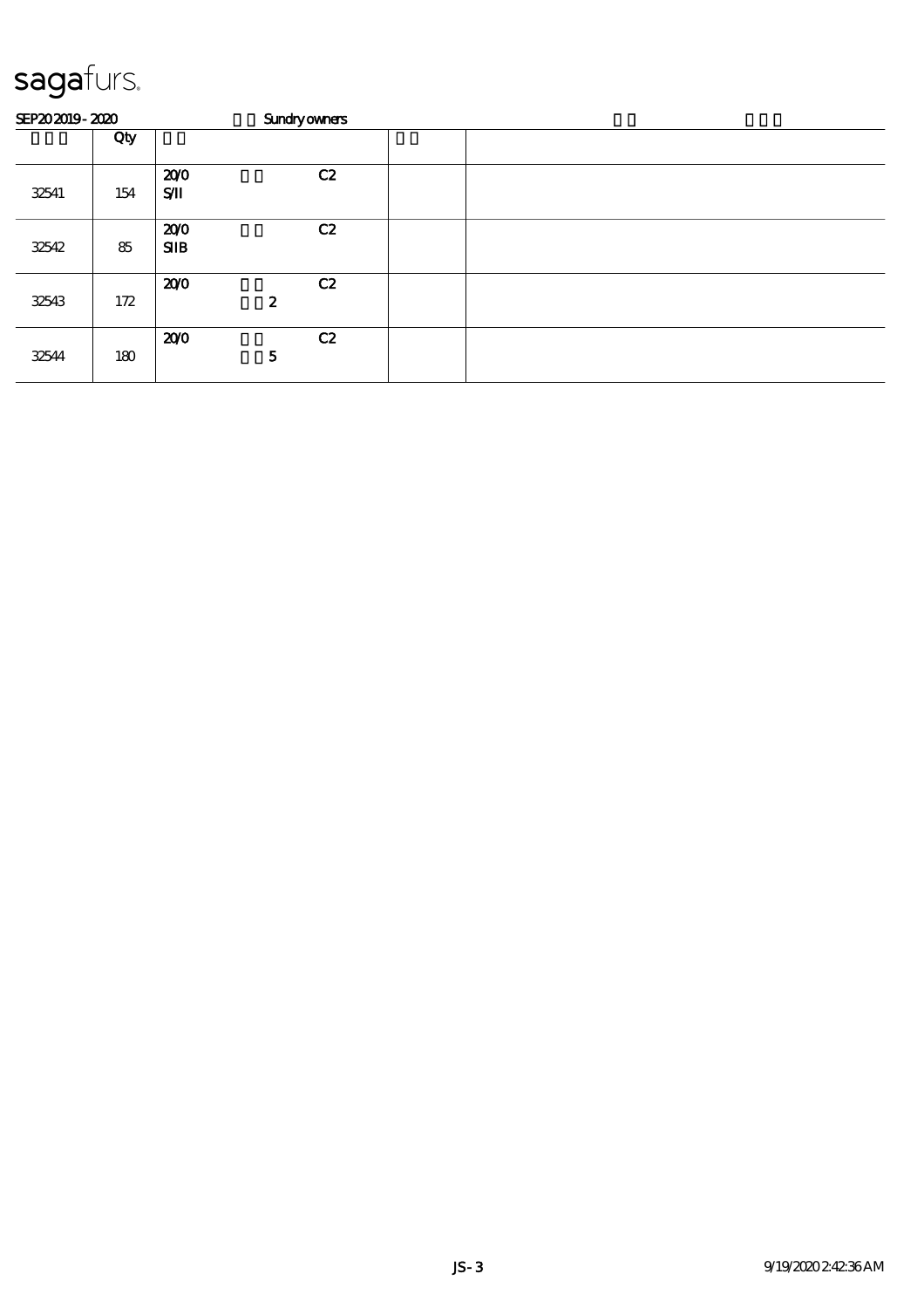|       | SEP202019-2020 |                | <b>Sundryowners</b>    |  |
|-------|----------------|----------------|------------------------|--|
|       | Qty            |                |                        |  |
| 32541 | 154            | 200<br>$S$ $I$ | C2                     |  |
| 32542 | 85             | 200<br>SIB     | C2                     |  |
| 32543 | 172            | 200            | C2<br>$\boldsymbol{z}$ |  |
| 32544 | 180            | 200            | C2<br>5                |  |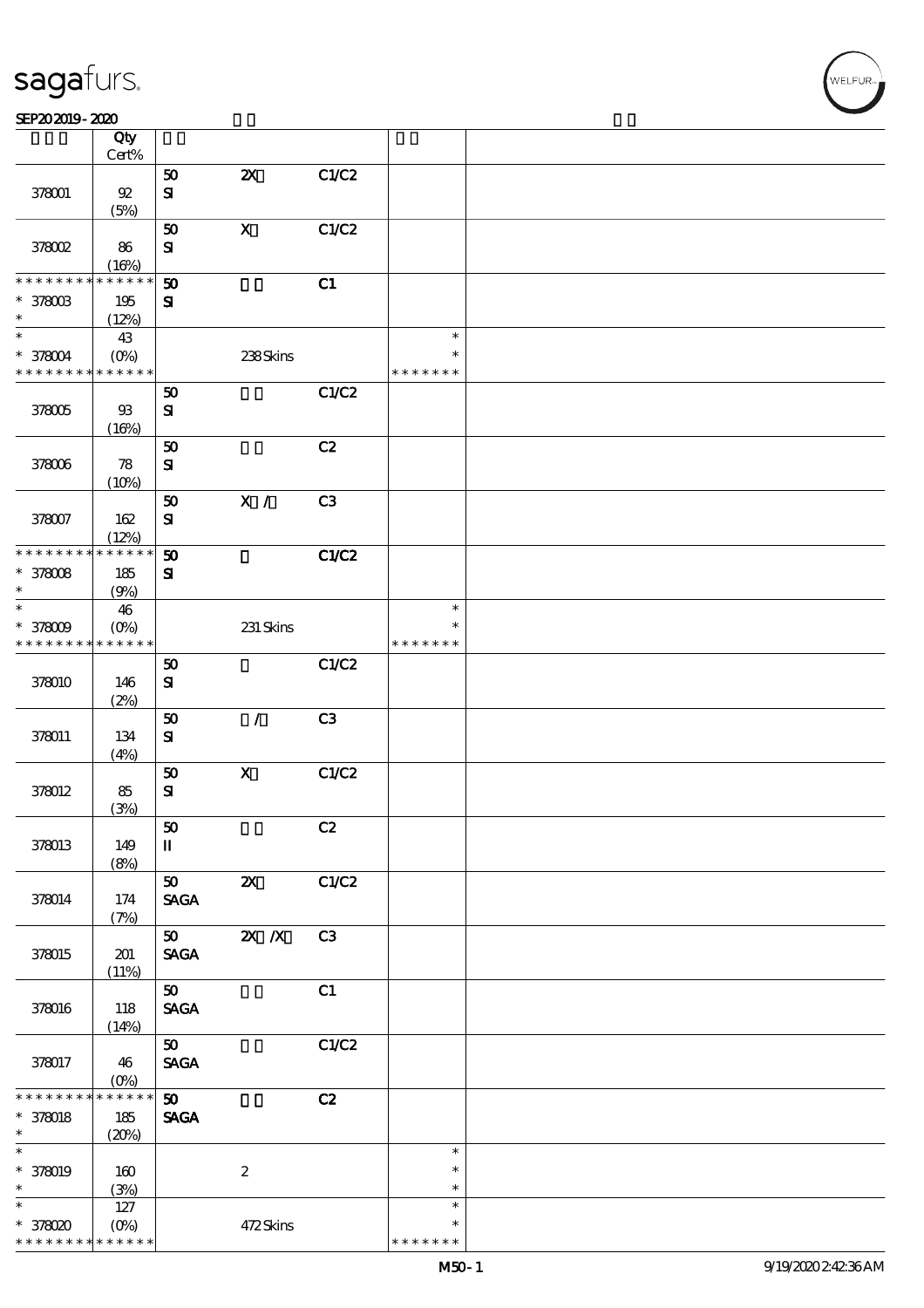$\top$ 

#### $SEP202019 - 2020$

|                   | Qty<br>$Cert\%$ |                                |                           |                |               |  |
|-------------------|-----------------|--------------------------------|---------------------------|----------------|---------------|--|
|                   |                 |                                |                           |                |               |  |
|                   |                 | ${\bf 50}$                     | $\boldsymbol{\mathsf{z}}$ | C1/C2          |               |  |
| 378001            | $92\,$          | ${\bf s}$                      |                           |                |               |  |
|                   | (5%)            |                                |                           |                |               |  |
|                   |                 | 50                             | $\mathbf X$               | C1/C2          |               |  |
| 378002            | 86              | ${\bf S}$                      |                           |                |               |  |
|                   | (16%)           |                                |                           |                |               |  |
| * * * * * *       | * * * * * *     | $\boldsymbol{\mathfrak{D}}$    |                           | C1             |               |  |
| * 378003          | 195             | ${\bf s}$                      |                           |                |               |  |
| $\ast$            | (12%)           |                                |                           |                |               |  |
| $\ast$            | 43              |                                |                           |                | $\ast$        |  |
| * 378004          | $(O\%)$         |                                | 238Skins                  |                | $\ast$        |  |
| * * * * * * * *   | * * * * * *     |                                |                           |                | * * * * * * * |  |
|                   |                 | 50                             |                           | C1/C2          |               |  |
| 378005            | $93$            | ${\bf s}$                      |                           |                |               |  |
|                   | (16%)           |                                |                           |                |               |  |
|                   |                 | 50                             |                           | C2             |               |  |
| 378006            | 78              | ${\bf s}$                      |                           |                |               |  |
|                   | (10%)           |                                |                           |                |               |  |
|                   |                 | ${\bf 50}$                     | $\mathbf{X}$ /            | C3             |               |  |
| 378007            | 162             | $\bf S$                        |                           |                |               |  |
|                   | (12%)           |                                |                           |                |               |  |
| * * * * * * * *   | * * * * * *     | $\boldsymbol{\mathsf{50}}$     |                           | C1/C2          |               |  |
| $*378008$         | 185             | ${\bf s}$                      |                           |                |               |  |
| $\ast$            | (9%)            |                                |                           |                |               |  |
| $\ast$            | 46              |                                |                           |                | $\ast$        |  |
| $* 378009$        | $(O\%)$         |                                | 231 Skins                 |                | ∗             |  |
| * * * * * * * *   | * * * * * *     |                                |                           |                | * * * * * * * |  |
|                   |                 | $\pmb{\mathfrak{D}}$           |                           | C1/C2          |               |  |
| 378010            | 146             | ${\bf s}$                      |                           |                |               |  |
|                   | (2%)            |                                |                           |                |               |  |
|                   |                 | 50                             | $\sqrt{2}$                | C <sub>3</sub> |               |  |
| 378011            | 134             | ${\bf s}$                      |                           |                |               |  |
|                   | (4%)            |                                |                           |                |               |  |
|                   |                 | ${\bf 50}$                     | $\mathbf X$               | C1/C2          |               |  |
| 378012            | 85              | ${\bf s}$                      |                           |                |               |  |
|                   | (3%)            |                                |                           |                |               |  |
|                   |                 | ${\bf 50}$                     |                           | C2             |               |  |
| 378013            | 149             | П                              |                           |                |               |  |
|                   | (8%)            |                                |                           |                |               |  |
|                   |                 | 50                             | $\boldsymbol{\mathsf{X}}$ | C1/C2          |               |  |
| 378014            | 174             | <b>SAGA</b>                    |                           |                |               |  |
|                   | (7%)            |                                |                           |                |               |  |
|                   |                 | 50                             | $\mathbf{X}$ $\mathbf{X}$ | C3             |               |  |
| 378015            | 201             | <b>SAGA</b>                    |                           |                |               |  |
|                   | (11%)           |                                |                           |                |               |  |
|                   |                 | 50                             |                           | C1             |               |  |
| 378016            | 118             | <b>SAGA</b>                    |                           |                |               |  |
|                   | (14%)           |                                |                           |                |               |  |
|                   |                 | $\boldsymbol{\mathfrak{D}}$    |                           | C1/C2          |               |  |
| 378017            | 46              | $\operatorname{\mathsf{SAGA}}$ |                           |                |               |  |
|                   | $(0\%)$         |                                |                           |                |               |  |
| * * * * * *       | * * * * *       | 50                             |                           | C2             |               |  |
| $* 378018$        | 185             | <b>SAGA</b>                    |                           |                |               |  |
| $\ast$            | (20%)           |                                |                           |                |               |  |
| $\overline{\ast}$ |                 |                                |                           |                | $\ast$        |  |
| $* 378019$        | 160             |                                | $\boldsymbol{2}$          |                | $\ast$        |  |
| $\ast$            | (3%)            |                                |                           |                | $\ast$        |  |
| $\ast$            | 127             |                                |                           |                | $\ast$        |  |
| * 378020          | $(O\%)$         |                                | 472Skins                  |                | $\ast$        |  |
| * * * * * * * *   | * * * * * *     |                                |                           |                | * * * * * * * |  |

 $\overline{\mathbf{r}}$ 

WELFUR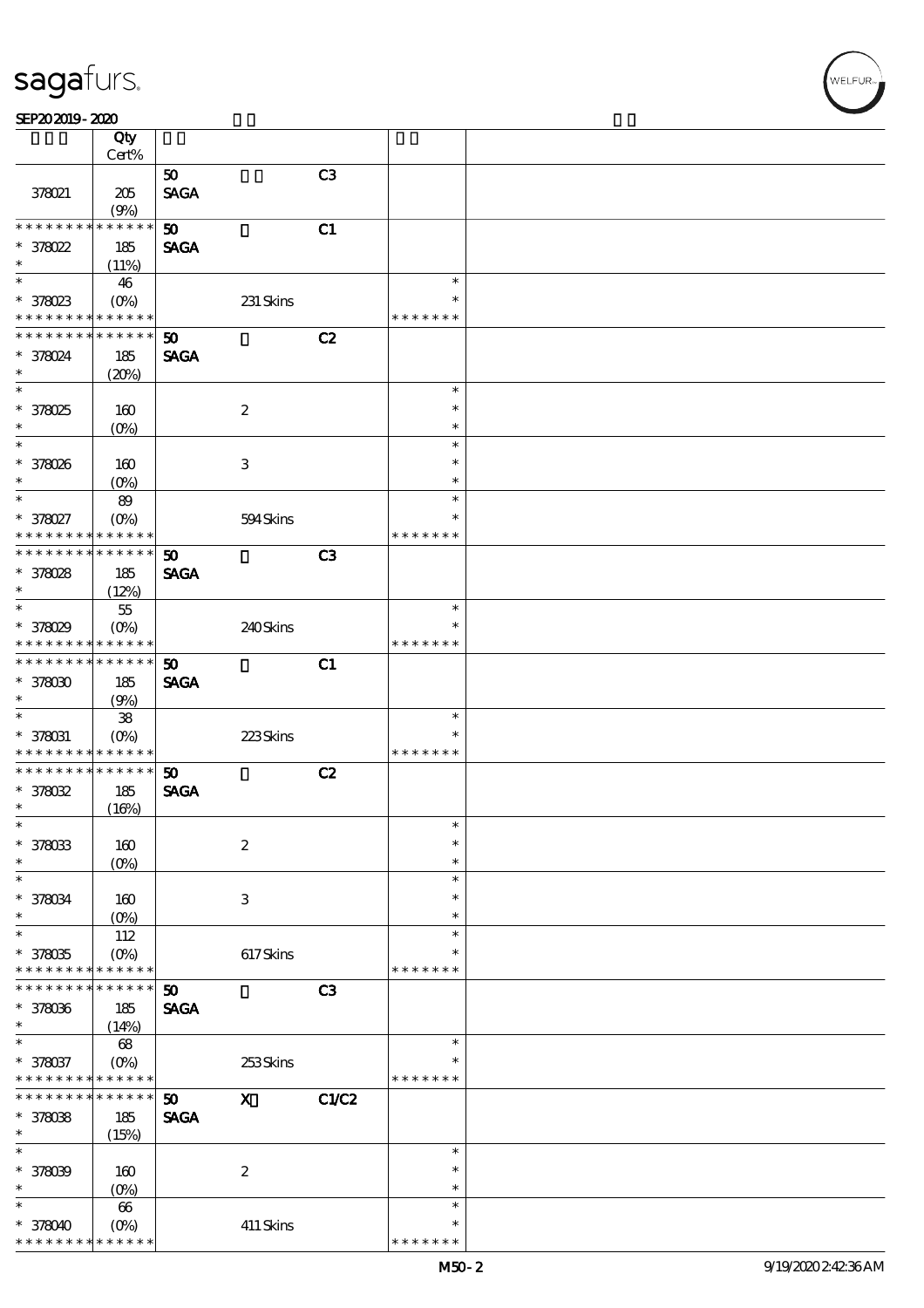|                 | Qty               |                       |                           |                |               |  |
|-----------------|-------------------|-----------------------|---------------------------|----------------|---------------|--|
|                 | Cert%             |                       |                           |                |               |  |
|                 |                   | 50                    |                           | C3             |               |  |
| 378021          | 205               | <b>SAGA</b>           |                           |                |               |  |
|                 | (9%)              |                       |                           |                |               |  |
| * * * * * * * * | * * * * * *       | 50                    |                           | C1             |               |  |
|                 |                   |                       |                           |                |               |  |
| $*378022$       | 185               | <b>SAGA</b>           |                           |                |               |  |
| $\ast$          | (11%)             |                       |                           |                |               |  |
| $\ast$          | 46                |                       |                           |                | $\ast$        |  |
| $*378023$       | $(O\%)$           |                       | 231 Skins                 |                | *             |  |
| * * * * * * * * | * * * * * *       |                       |                           |                | * * * * * * * |  |
| * * * * * * * * |                   |                       |                           |                |               |  |
|                 | * * * * * *       | 50                    |                           | C2             |               |  |
| * 378024        | 185               | <b>SAGA</b>           |                           |                |               |  |
| $\ast$          | (20%)             |                       |                           |                |               |  |
| $\ast$          |                   |                       |                           |                | $\ast$        |  |
| * 378025        | 160               |                       | $\boldsymbol{2}$          |                | $\ast$        |  |
|                 |                   |                       |                           |                |               |  |
| $\ast$          | $(0\%)$           |                       |                           |                | $\ast$        |  |
| $\ast$          |                   |                       |                           |                | $\ast$        |  |
| * 378026        | 160               |                       | 3                         |                | $\ast$        |  |
| $\ast$          | $(0\%)$           |                       |                           |                | $\ast$        |  |
| $\ast$          | 89                |                       |                           |                | $\ast$        |  |
|                 |                   |                       |                           |                | *             |  |
| * 378027        | $(O\%)$           |                       | 594Skins                  |                |               |  |
| * * * * * * * * | * * * * * *       |                       |                           |                | * * * * * * * |  |
| * * * * * * * * | * * * * * *       | $\boldsymbol{\omega}$ |                           | C <sub>3</sub> |               |  |
| * 378028        | 185               | <b>SAGA</b>           |                           |                |               |  |
| $\ast$          | (12%)             |                       |                           |                |               |  |
| $\ast$          |                   |                       |                           |                |               |  |
|                 | $55\,$            |                       |                           |                | $\ast$        |  |
| * 378029        | $(O\%)$           |                       | 240Skins                  |                | $\ast$        |  |
| * * * * * * * * | * * * * * *       |                       |                           |                | * * * * * * * |  |
| * * * * * * * * | $* * * * * * *$   | 50                    |                           | C1             |               |  |
| $*378000$       |                   |                       |                           |                |               |  |
|                 | 185               | <b>SAGA</b>           |                           |                |               |  |
| $\ast$          | (9%)              |                       |                           |                |               |  |
| $\ast$          | ${\bf 38}$        |                       |                           |                | $\ast$        |  |
| $* 378031$      | $(O_0)$           |                       | 223Skins                  |                | $\ast$        |  |
| * * * * * * * * | * * * * * *       |                       |                           |                | * * * * * * * |  |
| * * * * * * * * | * * * * * *       | 50                    |                           | C2             |               |  |
|                 |                   |                       |                           |                |               |  |
| $*378032$       | 185               | <b>SAGA</b>           |                           |                |               |  |
| $\ast$          | (16%)             |                       |                           |                |               |  |
| $\ast$          |                   |                       |                           |                | $\ast$        |  |
| * 378033        | 160               |                       | $\boldsymbol{2}$          |                | $\ast$        |  |
| *               | (O <sub>0</sub> ) |                       |                           |                | $\ast$        |  |
| $\ast$          |                   |                       |                           |                |               |  |
|                 |                   |                       |                           |                | $\ast$        |  |
| * 378034        | 160               |                       | $\ensuremath{\mathbf{3}}$ |                | $\ast$        |  |
| $\ast$          | (O <sub>0</sub> ) |                       |                           |                | $\ast$        |  |
| $\ast$          | 112               |                       |                           |                | $\ast$        |  |
| $*378035$       | (O <sub>0</sub> ) |                       | $617$ Skins               |                | $\ast$        |  |
| * * * * * * * * | * * * * * *       |                       |                           |                | * * * * * * * |  |
|                 |                   |                       |                           |                |               |  |
| * * * * * * * * | * * * * * *       | 50                    |                           | C3             |               |  |
| * 378036        | 185               | <b>SAGA</b>           |                           |                |               |  |
| $\ast$          | (14%)             |                       |                           |                |               |  |
| $\ast$          | $68$              |                       |                           |                | $\ast$        |  |
|                 |                   |                       |                           |                | $\ast$        |  |
| * 378037        | $(O\%)$           |                       | 253Skins                  |                |               |  |
| * * * * * *     | * * * * * *       |                       |                           |                | * * * * * * * |  |
| * * * * * * *   | * * * * * *       | 50                    | $\mathbf X$               | C1/C2          |               |  |
| $* 378038$      | 185               | <b>SAGA</b>           |                           |                |               |  |
| *               | (15%)             |                       |                           |                |               |  |
| $\ast$          |                   |                       |                           |                | $\ast$        |  |
|                 |                   |                       |                           |                |               |  |
| * 378039        | 160               |                       | $\boldsymbol{2}$          |                | $\ast$        |  |
| $\ast$          | $(O\%)$           |                       |                           |                | $\ast$        |  |
| $\ast$          | 66                |                       |                           |                | $\ast$        |  |
| $* 378040$      | (O <sub>0</sub> ) |                       | 411 Skins                 |                | $\ast$        |  |
| * * * * * * * * | * * * * *         |                       |                           |                | * * * * * * * |  |
|                 |                   |                       |                           |                |               |  |

WELFUR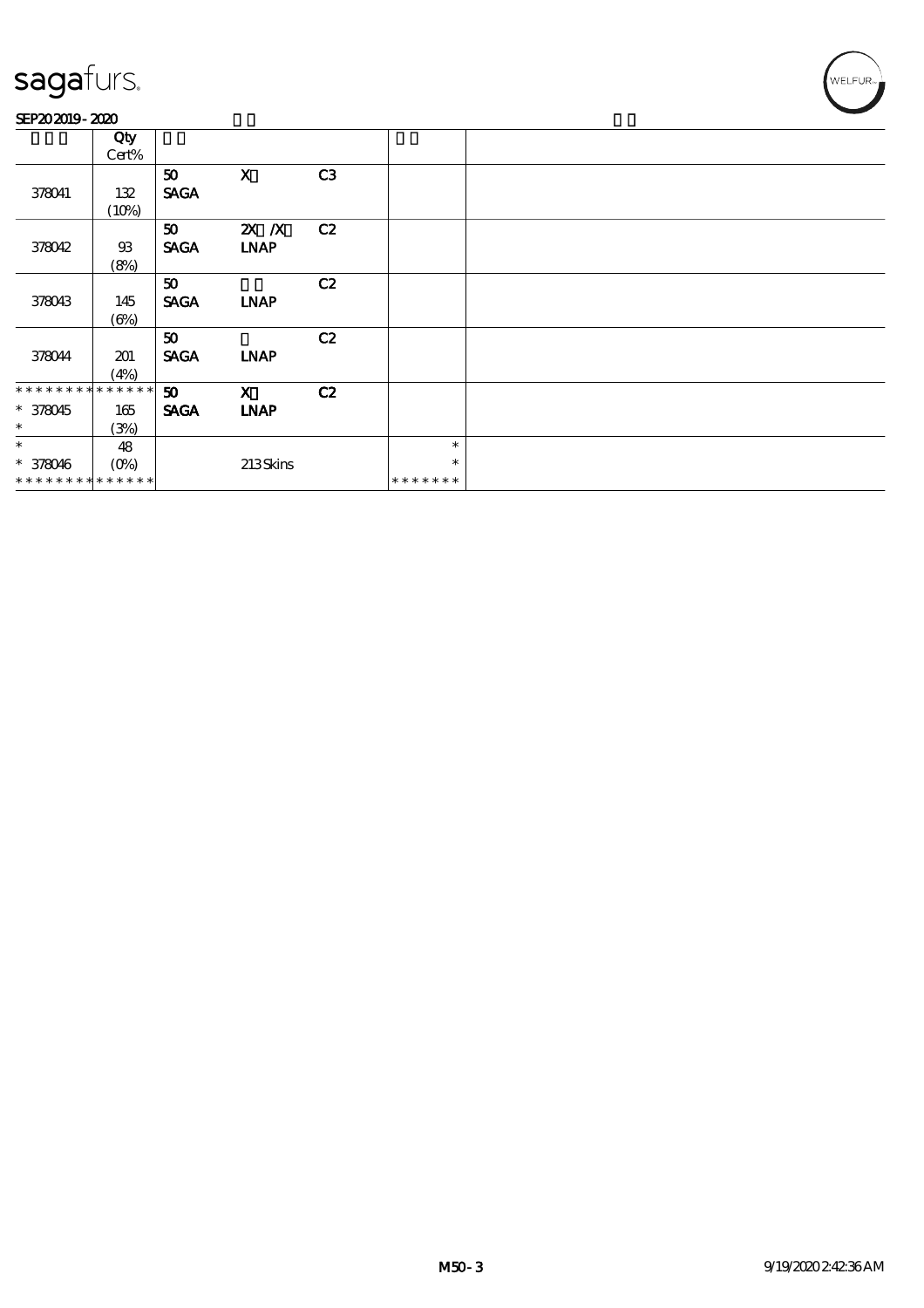#### SEP202019-2020

|                             | Qty            |                 |              |    |               |  |
|-----------------------------|----------------|-----------------|--------------|----|---------------|--|
|                             | Cert%          |                 |              |    |               |  |
|                             |                | 50 <sub>1</sub> | $\mathbf{x}$ | C3 |               |  |
| 378041                      | 132            | <b>SAGA</b>     |              |    |               |  |
|                             | (10%)          |                 |              |    |               |  |
|                             |                | 50 <sub>1</sub> | $X$ $X$      | C2 |               |  |
| 378042                      | $\mathfrak{B}$ | <b>SAGA</b>     | <b>LNAP</b>  |    |               |  |
|                             | (8%)           |                 |              |    |               |  |
|                             |                | 50              |              | C2 |               |  |
| 378043                      | 145            | <b>SAGA</b>     | <b>INAP</b>  |    |               |  |
|                             | $(\Theta_0)$   |                 |              |    |               |  |
|                             |                | 50 <sub>1</sub> |              | C2 |               |  |
| 378044                      | 201            | <b>SAGA</b>     | <b>INAP</b>  |    |               |  |
|                             | (4%)           |                 |              |    |               |  |
| * * * * * * * * * * * * * * |                | 50              | $\mathbf{x}$ | C2 |               |  |
| $* 378045$                  | 165            | <b>SAGA</b>     | <b>LNAP</b>  |    |               |  |
| $*$                         | (3%)           |                 |              |    |               |  |
| $\ast$                      | 48             |                 |              |    | $\ast$        |  |
| $* 378046$                  | $(O\%)$        |                 | 213Skins     |    | $\ast$        |  |
| **************              |                |                 |              |    | * * * * * * * |  |

WELFUR-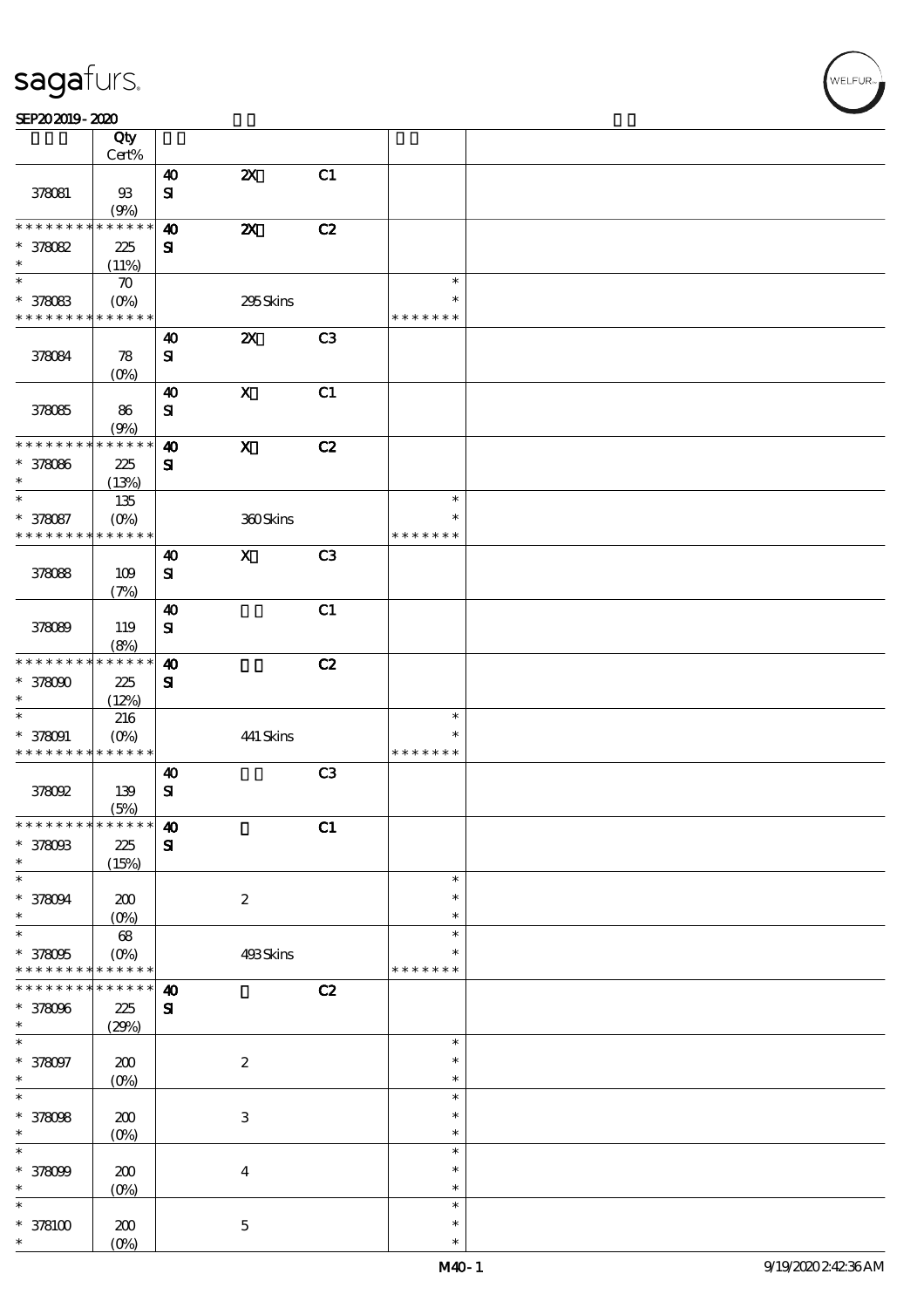#### $SEP202019 - 2020$

|                                            | Qty                        |                        |                                    |                |               |  |
|--------------------------------------------|----------------------------|------------------------|------------------------------------|----------------|---------------|--|
|                                            | $Cert\%$                   |                        |                                    |                |               |  |
|                                            |                            | $\boldsymbol{\omega}$  | $\pmb{\mathsf{Z}}\pmb{\mathsf{X}}$ | C1             |               |  |
| 378081                                     | $93$                       | $\bf S\!I$             |                                    |                |               |  |
|                                            | (9%)                       |                        |                                    |                |               |  |
| * * * * * * * *                            | * * * * * *                | $\boldsymbol{\omega}$  | $\boldsymbol{\mathsf{z}}$          | C2             |               |  |
| $* 378082$                                 | 225                        | ${\bf s}$              |                                    |                |               |  |
| $\ast$                                     | (11%)                      |                        |                                    |                |               |  |
| $\ast$                                     | $\boldsymbol{\pi}$         |                        |                                    |                | $\ast$        |  |
| $* 378083$                                 | $(O\!/\!o)$                |                        | 295Skins                           |                | $\ast$        |  |
| * * * * * * * *                            | $\ast\ast\ast\ast\ast\ast$ |                        |                                    |                | * * * * * * * |  |
|                                            |                            | $\boldsymbol{\omega}$  | $\boldsymbol{\mathsf{z}}$          | C3             |               |  |
| 378084                                     | ${\bf 78}$                 | ${\bf s}$              |                                    |                |               |  |
|                                            | (0%)                       |                        |                                    |                |               |  |
|                                            |                            | $\boldsymbol{\omega}$  | $\mathbf X$                        | C1             |               |  |
| 378085                                     | 86                         | ${\bf s}$              |                                    |                |               |  |
|                                            | (9%)                       |                        |                                    |                |               |  |
| * * * * * * * *                            | * * * * * *                | $\boldsymbol{\omega}$  | $\boldsymbol{\mathrm{X}}$          | C2             |               |  |
|                                            |                            |                        |                                    |                |               |  |
| * 378086<br>$\ast$                         | 225                        | ${\bf s}$              |                                    |                |               |  |
| $\ast$                                     | (13%)                      |                        |                                    |                | $\ast$        |  |
|                                            | 135                        |                        |                                    |                |               |  |
| * 378087                                   | $(O\%)$                    |                        | 360Skins                           |                | $\ast$        |  |
| * * * * * * * *                            | * * * * * *                |                        |                                    |                | * * * * * * * |  |
|                                            |                            | $\boldsymbol{\omega}$  | $\boldsymbol{\mathrm{X}}$          | C3             |               |  |
| 378088                                     | 109                        | ${\bf s}$              |                                    |                |               |  |
|                                            | (7%)                       |                        |                                    |                |               |  |
|                                            |                            | $\boldsymbol{\omega}$  |                                    | C1             |               |  |
| 378089                                     | 119                        | ${\bf s}$              |                                    |                |               |  |
|                                            | (8%)                       |                        |                                    |                |               |  |
| * * * * * * * *                            | * * * * * *                | $\boldsymbol{\Lambda}$ |                                    | C2             |               |  |
| $*378000$                                  | 225                        | ${\bf s}$              |                                    |                |               |  |
| $\ast$                                     | (12%)                      |                        |                                    |                |               |  |
| $\ast$                                     | 216                        |                        |                                    |                | $\ast$        |  |
| $* 378091$                                 | $(O\%)$                    |                        | 441 Skins                          |                | $\ast$        |  |
| * * * * * * * * <mark>* * * * * * *</mark> |                            |                        |                                    |                | * * * * * * * |  |
|                                            |                            | $\boldsymbol{\omega}$  |                                    | C <sub>3</sub> |               |  |
| 378092                                     | 139                        | ${\bf s}$              |                                    |                |               |  |
|                                            |                            |                        |                                    |                |               |  |
| * * * * * * * * * * * * * * *              | (5%)                       |                        |                                    |                |               |  |
|                                            |                            | $\boldsymbol{\Lambda}$ |                                    | C1             |               |  |
| * 378083                                   | 225                        | $\mathbf{S}$           |                                    |                |               |  |
| $\ast$                                     | (15%)                      |                        |                                    |                |               |  |
| $\ast$                                     |                            |                        |                                    |                | $\ast$        |  |
| $* 378094$                                 | 200                        |                        | $\boldsymbol{2}$                   |                | $\ast$        |  |
| $\ast$                                     | (0%)                       |                        |                                    |                | $\ast$        |  |
| $\ast$                                     | $68\,$                     |                        |                                    |                | $\ast$        |  |
| $* 378005$                                 | $(O\%)$                    |                        | 493Skins                           |                | ∗             |  |
| * * * * * * * *                            | * * * * * *                |                        |                                    |                | * * * * * * * |  |
| * * * * * * *                              | * * * * * *                | $\boldsymbol{\Lambda}$ |                                    | C2             |               |  |
| * 378096                                   | 225                        | ${\bf s}$              |                                    |                |               |  |
| $\ast$                                     | (29%)                      |                        |                                    |                |               |  |
| $\ast$                                     |                            |                        |                                    |                | $\ast$        |  |
| $* 378097$                                 | 200                        |                        | $\boldsymbol{2}$                   |                | $\ast$        |  |
| $\ast$                                     | $(0\%)$                    |                        |                                    |                | $\ast$        |  |
| $\ast$                                     |                            |                        |                                    |                | $\ast$        |  |
| $* 378098$                                 | 200                        |                        | $\,3\,$                            |                | $\ast$        |  |
| $\ast$                                     | $(0\%)$                    |                        |                                    |                | $\ast$        |  |
| $\ast$                                     |                            |                        |                                    |                | $\ast$        |  |
| * 378099                                   | 200                        |                        | $\boldsymbol{4}$                   |                | $\ast$        |  |
| $\ast$                                     | $(0\%)$                    |                        |                                    |                | $\ast$        |  |
| $\ast$                                     |                            |                        |                                    |                | $\ast$        |  |
|                                            |                            |                        |                                    |                | $\ast$        |  |
| $*378100$<br>$\ast$                        | 200                        |                        | $\mathbf 5$                        |                | $\ast$        |  |
|                                            | $(O\%)$                    |                        |                                    |                |               |  |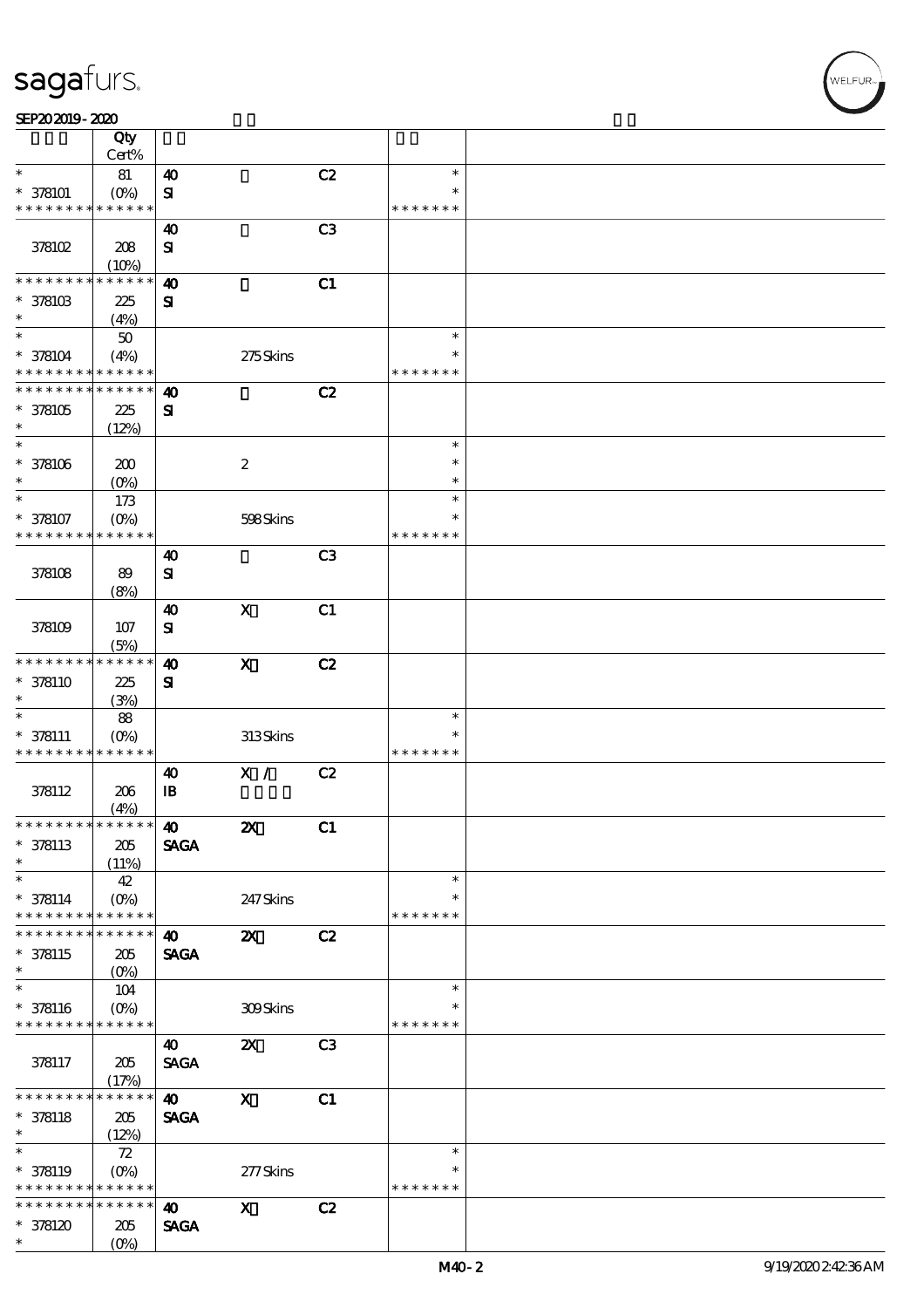#### $SEP202019 - 2020$

|                                            | Qty<br>Cert%              |                        |                           |                |               |  |
|--------------------------------------------|---------------------------|------------------------|---------------------------|----------------|---------------|--|
| $\ast$                                     |                           |                        |                           | C2             | $\ast$        |  |
|                                            | $8\!1$                    | $\boldsymbol{\omega}$  |                           |                |               |  |
| $* 378101$                                 | (O <sub>0</sub> )         | ${\bf s}$              |                           |                |               |  |
| * * * * * * * *                            | * * * * * *               |                        |                           |                | * * * * * * * |  |
|                                            |                           | 40                     |                           | C <sub>3</sub> |               |  |
| 378102                                     | 208                       | ${\bf s}$              |                           |                |               |  |
|                                            | (10%)                     |                        |                           |                |               |  |
| * * * * * *                                | * * * * *                 | $\boldsymbol{\omega}$  |                           | C1             |               |  |
| * 378103                                   | 225                       | ${\bf s}$              |                           |                |               |  |
| $\ast$                                     | (4%)                      |                        |                           |                |               |  |
| $\ast$                                     | $50\,$                    |                        |                           |                | $\ast$        |  |
| $* 378104$                                 | (4%)                      |                        | 275Skins                  |                | $\ast$        |  |
| * * * * * * * *                            | * * * * * *               |                        |                           |                | * * * * * * * |  |
| * * * * * * * *                            | * * * * * *               | $\boldsymbol{\omega}$  |                           | C2             |               |  |
| $*378105$                                  |                           |                        |                           |                |               |  |
| $\ast$                                     | 225                       | ${\bf s}$              |                           |                |               |  |
| $\ast$                                     | (12%)                     |                        |                           |                | $\ast$        |  |
|                                            |                           |                        |                           |                |               |  |
| $* 378106$                                 | 200                       |                        | $\boldsymbol{2}$          |                | $\ast$        |  |
| $\ast$                                     | $(O\%)$                   |                        |                           |                | $\ast$        |  |
| $\ast$                                     | 173                       |                        |                           |                | $\ast$        |  |
| * 378107                                   | $(O\%)$                   |                        | 598Skins                  |                | $\ast$        |  |
| * * * * * * * *                            | $* * * * * *$             |                        |                           |                | * * * * * * * |  |
|                                            |                           | 40                     |                           | C <sub>3</sub> |               |  |
| 378108                                     | 89                        | ${\bf s}$              |                           |                |               |  |
|                                            | (8%)                      |                        |                           |                |               |  |
|                                            |                           | $\boldsymbol{\omega}$  | $\mathbf X$               | C1             |               |  |
| 378109                                     | 107                       | ${\bf s}$              |                           |                |               |  |
|                                            | (5%)                      |                        |                           |                |               |  |
| * * * * * * * *                            | * * * * * *               | $\boldsymbol{\Lambda}$ | $\mathbf X$               | C2             |               |  |
| $* 378110$                                 | 225                       |                        |                           |                |               |  |
| $\ast$                                     |                           | ${\bf s}$              |                           |                |               |  |
| $\ast$                                     | (3%)                      |                        |                           |                |               |  |
|                                            | 88                        |                        |                           |                | $\ast$        |  |
| $* 378111$                                 | $(O\%)$                   |                        | 313Skins                  |                | $\ast$        |  |
| * * * * * * * *                            | * * * * * *               |                        |                           |                | * * * * * * * |  |
|                                            |                           | $\boldsymbol{\omega}$  | X /                       | C2             |               |  |
| 378112                                     | 206                       | $\mathbf{B}$           |                           |                |               |  |
|                                            | (4%)                      |                        |                           |                |               |  |
| * * * * * * * * <mark>* * * * * *</mark>   |                           | $\boldsymbol{\omega}$  | $\mathbf{Z}$              | C1             |               |  |
| $* 378113$                                 | 205                       | <b>SAGA</b>            |                           |                |               |  |
| $\ast$                                     | (11%)                     |                        |                           |                |               |  |
| $\ast$                                     | 42                        |                        |                           |                | $\ast$        |  |
| $* 378114$                                 | $(0\%)$                   |                        | 247 Skins                 |                | ∗             |  |
| * * * * * * * *                            | $* * * * * * *$           |                        |                           |                | * * * * * * * |  |
| * * * * * * * *                            | * * * * * *               | $\boldsymbol{\omega}$  | $\boldsymbol{\mathsf{z}}$ | C2             |               |  |
| $* 378115$                                 | 205                       | <b>SAGA</b>            |                           |                |               |  |
| $\ast$                                     |                           |                        |                           |                |               |  |
| $\overline{\ast}$                          | 104                       |                        |                           |                | $\ast$        |  |
|                                            |                           |                        |                           |                | $\ast$        |  |
| $* 378116$<br>* * * * * * * * * * * * * *  | $(O\%)$                   |                        | 309Skins                  |                | * * * * * * * |  |
|                                            |                           |                        |                           |                |               |  |
|                                            |                           | 40                     | $\boldsymbol{\alpha}$     | C3             |               |  |
| 378117                                     | 205                       | <b>SAGA</b>            |                           |                |               |  |
|                                            | (17%)                     |                        |                           |                |               |  |
| * * * * * * * *                            | * * * * * * $\frac{1}{1}$ | $\boldsymbol{\omega}$  | $\boldsymbol{\mathrm{X}}$ | C1             |               |  |
| $* 378118$                                 | 205                       | <b>SAGA</b>            |                           |                |               |  |
| $\ast$                                     | (12%)                     |                        |                           |                |               |  |
| $\overline{\ast}$                          | 72                        |                        |                           |                | $\ast$        |  |
| * 378119                                   |                           |                        | 277Skins                  |                | $\ast$        |  |
| * * * * * * * * <mark>* * * * * * *</mark> |                           |                        |                           |                | * * * * * * * |  |
| * * * * * * * *                            | $* * * * * * *$           | $\boldsymbol{\omega}$  | $\boldsymbol{\mathrm{X}}$ | C2             |               |  |
| $*378120$                                  | 205                       | <b>SAGA</b>            |                           |                |               |  |
| $\ast$                                     | $(O\%)$                   |                        |                           |                |               |  |
|                                            |                           |                        |                           |                |               |  |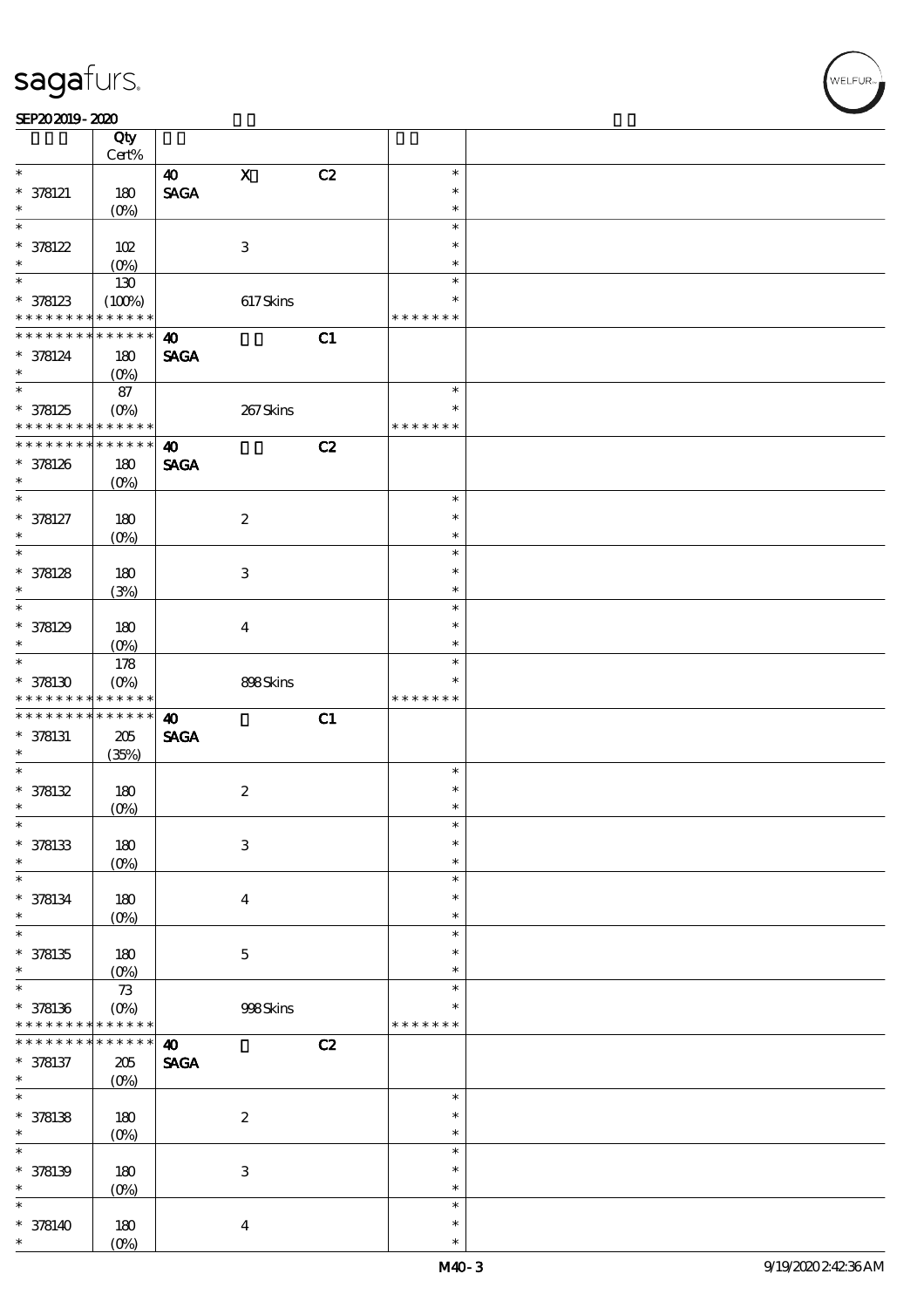#### SEP202019-2020

|                                            | Qty                                    |                                |                           |    |                         |  |
|--------------------------------------------|----------------------------------------|--------------------------------|---------------------------|----|-------------------------|--|
| $\ast$                                     | Cert%                                  |                                |                           |    |                         |  |
|                                            |                                        | $\boldsymbol{\omega}$          | $\mathbf X$               | C2 | $\ast$                  |  |
| $* 378121$                                 | 180                                    | $\operatorname{\mathsf{SAGA}}$ |                           |    | $\ast$                  |  |
| $\ast$<br>$\ast$                           | (O <sub>0</sub> )                      |                                |                           |    | $\ast$                  |  |
|                                            |                                        |                                |                           |    | $\ast$                  |  |
| $* 378122$                                 | 102                                    |                                | $\,3$                     |    | $\ast$                  |  |
| $\ast$<br>$\overline{\ast}$                | $(0\%)$                                |                                |                           |    | $\ast$                  |  |
|                                            | 130                                    |                                |                           |    | $\ast$                  |  |
| $* 378123$<br>* * * * * * * *              | (100%)                                 |                                | 617Skins                  |    | $\ast$                  |  |
| * * * * * * * *                            | * * * * * *                            |                                |                           |    | * * * * * * *           |  |
|                                            | * * * * * *                            | $\boldsymbol{\omega}$          |                           | C1 |                         |  |
| * 378124<br>$\ast$                         | 180                                    | <b>SAGA</b>                    |                           |    |                         |  |
| $\overline{\ast}$                          | $(O\%)$                                |                                |                           |    | $\ast$                  |  |
|                                            | 87                                     |                                |                           |    |                         |  |
| * 378125<br>* * * * * * * * <mark>*</mark> | $(O_0)$                                |                                | 267Skins                  |    | $\ast$<br>* * * * * * * |  |
| * * * * * * * *                            | $\ast\ast\ast\ast\ast\ast$<br>$******$ |                                |                           |    |                         |  |
|                                            |                                        | $\boldsymbol{\omega}$          |                           | C2 |                         |  |
| * 378126<br>$\ast$                         | 180                                    | <b>SAGA</b>                    |                           |    |                         |  |
| $\ast$                                     | $(O\%)$                                |                                |                           |    | $\ast$                  |  |
|                                            |                                        |                                |                           |    | $\ast$                  |  |
| $* 378127$<br>$\ast$                       | 180                                    |                                | $\boldsymbol{2}$          |    | $\ast$                  |  |
| $\ast$                                     | $(O\!/\!\!\delta)$                     |                                |                           |    | $\ast$                  |  |
|                                            |                                        |                                |                           |    | $\ast$                  |  |
| $* 378128$<br>$\ast$                       | 180                                    |                                | $\ensuremath{\mathbf{3}}$ |    | $\ast$                  |  |
| $\ast$                                     | (3%)                                   |                                |                           |    | $\ast$                  |  |
| $* 378129$                                 | 180                                    |                                | $\boldsymbol{4}$          |    | $\ast$                  |  |
| $\ast$                                     |                                        |                                |                           |    | $\ast$                  |  |
| $\overline{\ast}$                          | $(O\!/\!\!\delta)$                     |                                |                           |    | $\ast$                  |  |
| $*378130$                                  | 178<br>$(O\%)$                         |                                | 898Skins                  |    | $\ast$                  |  |
| * * * * * * * *                            | * * * * * *                            |                                |                           |    | * * * * * * *           |  |
| * * * * * * * *                            | $******$                               | $\boldsymbol{\omega}$          |                           | C1 |                         |  |
| $* 378131$                                 | $205\,$                                | <b>SAGA</b>                    |                           |    |                         |  |
| $\ast$                                     | (35%)                                  |                                |                           |    |                         |  |
| $\ast$                                     |                                        |                                |                           |    | $\ast$                  |  |
| $* 378132$                                 | 180                                    |                                | $\boldsymbol{2}$          |    | $\ast$                  |  |
| $\ast$                                     | (O <sub>0</sub> )                      |                                |                           |    | $\ast$                  |  |
| $\ast$                                     |                                        |                                |                           |    | $\ast$                  |  |
| $* 378133$                                 | 180                                    |                                | $\ensuremath{\mathbf{3}}$ |    | $\ast$                  |  |
| $\ast$                                     | $(O\%)$                                |                                |                           |    | $\ast$                  |  |
| $\ast$                                     |                                        |                                |                           |    | $\ast$                  |  |
| $* 378134$                                 | 180                                    |                                | $\boldsymbol{4}$          |    | $\ast$                  |  |
| $\ast$                                     | (O <sub>0</sub> )                      |                                |                           |    | $\ast$                  |  |
| $\ast$                                     |                                        |                                |                           |    | $\ast$                  |  |
| $* 378135$                                 | 180                                    |                                | $\mathbf 5$               |    | $\ast$                  |  |
| $\ast$                                     | $(O\!/\!\!\delta)$                     |                                |                           |    | $\ast$                  |  |
| $\ast$                                     | $73$                                   |                                |                           |    | $\ast$                  |  |
| $* 378136$                                 | $(O\%)$                                |                                | 998Skins                  |    | *                       |  |
| * * * * * * * *                            | * * * * * *                            |                                |                           |    | * * * * * * *           |  |
| * * * * * * *                              | * * * * * *                            | $\boldsymbol{\omega}$          |                           | C2 |                         |  |
| $* 378137$                                 | $205\,$                                | $\operatorname{\mathsf{SAGA}}$ |                           |    |                         |  |
| $\ast$                                     | $(O\%)$                                |                                |                           |    |                         |  |
| $\ast$                                     |                                        |                                |                           |    | $\ast$                  |  |
| $* 378138$                                 | 180                                    |                                | $\boldsymbol{2}$          |    | $\ast$                  |  |
| $\ast$                                     | $(O\!/\!\!\delta)$                     |                                |                           |    | $\ast$                  |  |
| $\ast$                                     |                                        |                                |                           |    | $\ast$                  |  |
| $* 378139$                                 | 180                                    |                                | $\ensuremath{\mathbf{3}}$ |    | $\ast$                  |  |
| $\ast$                                     | $(0\%)$                                |                                |                           |    | $\ast$                  |  |
| $\ast$                                     |                                        |                                |                           |    | $\ast$                  |  |
| $* 378140$                                 | 180                                    |                                | $\boldsymbol{4}$          |    | $\ast$                  |  |
| *                                          | $(O\%)$                                |                                |                           |    | $\ast$                  |  |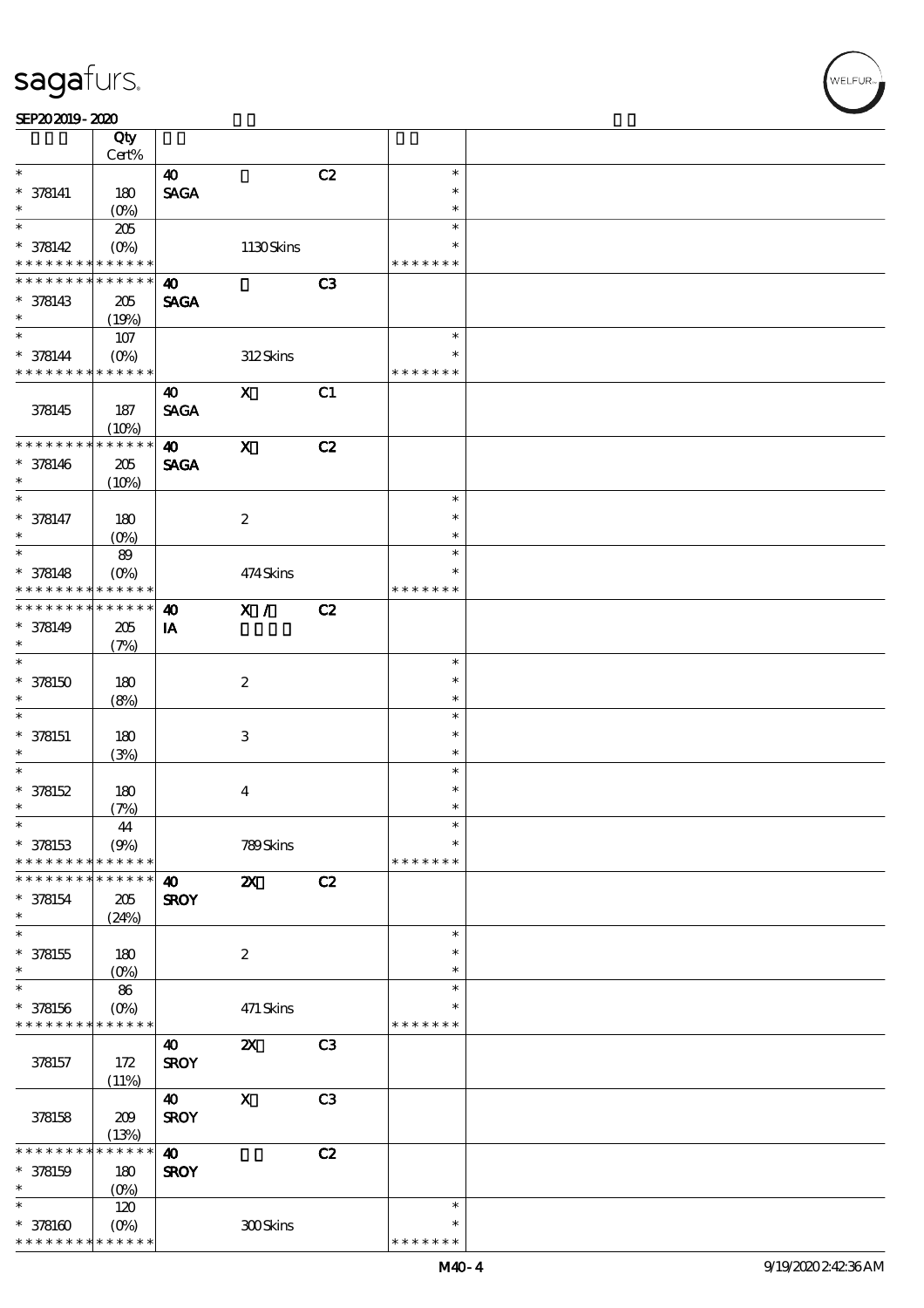$\top$ 

#### $SEP202019 - 2020$

|                               | Qty                    |                       |                           |                |                         |  |
|-------------------------------|------------------------|-----------------------|---------------------------|----------------|-------------------------|--|
| $\ast$                        | Cert%                  | $\boldsymbol{\omega}$ |                           | C2             | $\ast$                  |  |
| $* 378141$                    | 180                    | <b>SAGA</b>           |                           |                | $\ast$                  |  |
| $\ast$                        | $(O\%)$                |                       |                           |                | $\ast$                  |  |
| $\ast$                        | 205                    |                       |                           |                | $\ast$                  |  |
| $* 378142$                    | $(O\%)$                |                       | $1130$ Skins              |                | $\ast$                  |  |
| * * * * * * * *               | * * * * * *            |                       |                           |                | * * * * * * *           |  |
| * * * *<br>* * *              | * * * * * *            | $\boldsymbol{\omega}$ |                           | C3             |                         |  |
| $* 378143$                    | 205                    | <b>SAGA</b>           |                           |                |                         |  |
| $\ast$                        | (19%)                  |                       |                           |                |                         |  |
|                               | 107                    |                       |                           |                | $\ast$                  |  |
| $* 378144$<br>* * * * * * * * | $(O\%)$<br>* * * * * * |                       | 312Skins                  |                | $\ast$<br>* * * * * * * |  |
|                               |                        |                       |                           |                |                         |  |
| 378145                        |                        | 40<br><b>SAGA</b>     | $\boldsymbol{\mathrm{X}}$ | C1             |                         |  |
|                               | 187<br>(10%)           |                       |                           |                |                         |  |
| * * * * * * * *               | * * * * * *            | $\boldsymbol{\omega}$ | $\boldsymbol{\mathrm{X}}$ | C2             |                         |  |
| $* 378146$                    | 205                    | <b>SAGA</b>           |                           |                |                         |  |
| $\ast$                        | (10%)                  |                       |                           |                |                         |  |
| $\ast$                        |                        |                       |                           |                | $\ast$                  |  |
| $* 378147$                    | 180                    |                       | $\boldsymbol{2}$          |                | $\ast$                  |  |
| $\ast$                        | $(O\%)$                |                       |                           |                | $\ast$                  |  |
| $\ast$                        | 89                     |                       |                           |                | $\ast$                  |  |
| $* 378148$                    | $(O\%)$                |                       | 474Skins                  |                | $\ast$                  |  |
| * * * * * * * *               | * * * * * *            |                       |                           |                | * * * * * * *           |  |
| * * * * * * *                 | * * * * * *            | $\boldsymbol{\omega}$ | X /                       | C2             |                         |  |
| $* 378149$<br>$\ast$          | 205                    | IA                    |                           |                |                         |  |
| $\ast$                        | (7%)                   |                       |                           |                | $\ast$                  |  |
| $* 378150$                    | $180$                  |                       | $\boldsymbol{2}$          |                | $\ast$                  |  |
| $\ast$                        | (8%)                   |                       |                           |                | $\ast$                  |  |
| $\ast$                        |                        |                       |                           |                | $\ast$                  |  |
| $* 378151$                    | 180                    |                       | $\,3\,$                   |                | $\ast$                  |  |
| $\ast$                        | (3%)                   |                       |                           |                | $\ast$                  |  |
| $\ast$                        |                        |                       |                           |                | $\ast$                  |  |
| $* 378152$                    | 180                    |                       | $\boldsymbol{4}$          |                | $\ast$                  |  |
| $\ast$                        | (7%)                   |                       |                           |                | $\ast$                  |  |
| $\ast$                        | $\bf 44$               |                       |                           |                | $\ast$                  |  |
| $* 378153$                    | (9%)                   |                       | 789Skins                  |                | $\ast$                  |  |
| * * * * * * * *               | * * * * * *            |                       |                           |                | * * * * * * *           |  |
| * * * * * *                   | * * * * * *            | $\boldsymbol{\omega}$ | $\boldsymbol{\mathsf{X}}$ | C2             |                         |  |
| $* 378154$<br>$\ast$          | 205                    | <b>SROY</b>           |                           |                |                         |  |
| $\ast$                        | (24%)                  |                       |                           |                | $\ast$                  |  |
| $* 378155$                    | 180                    |                       | $\boldsymbol{2}$          |                | $\ast$                  |  |
| $\ast$                        | $(0\%)$                |                       |                           |                | $\ast$                  |  |
| $\ast$                        | 86                     |                       |                           |                | $\ast$                  |  |
| $* 378156$                    | $(O\%)$                |                       | 471 Skins                 |                | ∗                       |  |
| * * * * * * * *               | * * * * * *            |                       |                           |                | * * * * * * *           |  |
|                               |                        | 40                    | $\boldsymbol{\mathsf{z}}$ | C <sub>3</sub> |                         |  |
| 378157                        | 172                    | <b>SROY</b>           |                           |                |                         |  |
|                               | (11%)                  |                       |                           |                |                         |  |
|                               |                        | 40                    | $\mathbf X$               | C3             |                         |  |
| 378158                        | 209                    | <b>SROY</b>           |                           |                |                         |  |
| * * * * *                     | (13%)<br>* * * * * *   | $\boldsymbol{\omega}$ |                           | C2             |                         |  |
| $* 378159$                    | 180                    | <b>SROY</b>           |                           |                |                         |  |
| $\ast$                        | $(0\%)$                |                       |                           |                |                         |  |
| $\ast$                        | 120                    |                       |                           |                | $\ast$                  |  |
| $*378160$                     | $(O\%)$                |                       | 300Skins                  |                | $\ast$                  |  |
| * * * * * * * *               | * * * * * *            |                       |                           |                | * * * * * * *           |  |

 $\overline{\mathbf{r}}$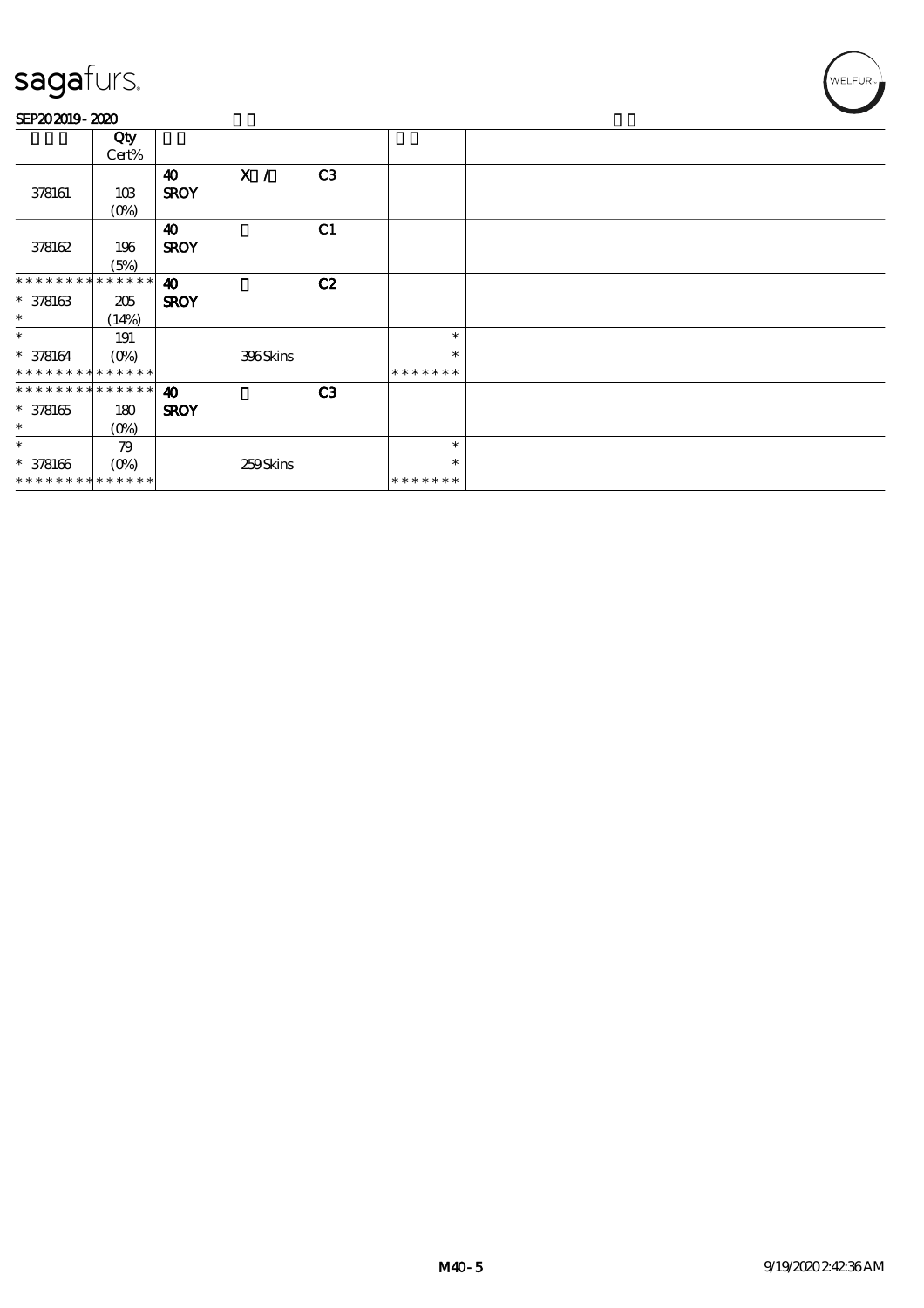#### SEP202019-2020

|                               | Qty              |                       |          |                |               |  |
|-------------------------------|------------------|-----------------------|----------|----------------|---------------|--|
|                               | Cert%            |                       |          |                |               |  |
|                               |                  | $\boldsymbol{\omega}$ | X /      | C <sub>3</sub> |               |  |
| 378161                        | 10B              | <b>SROY</b>           |          |                |               |  |
|                               | $(O\!/\!\delta)$ |                       |          |                |               |  |
|                               |                  | $\boldsymbol{\omega}$ |          | C1             |               |  |
| 378162                        | 196              | <b>SROY</b>           |          |                |               |  |
|                               | (5%)             |                       |          |                |               |  |
| * * * * * * * * * * * * * * * |                  | $\boldsymbol{\omega}$ |          | C2             |               |  |
| $* 378163$                    | 205              | <b>SROY</b>           |          |                |               |  |
| $\ast$                        | (14%)            |                       |          |                |               |  |
| $\ast$                        | 191              |                       |          |                | $\ast$        |  |
| $* 378164$                    | $(O\% )$         |                       | 396Skins |                | $\ast$        |  |
| * * * * * * * * * * * * * *   |                  |                       |          |                | * * * * * * * |  |
| * * * * * * * * * * * * * *   |                  | $\boldsymbol{\omega}$ |          | C <sub>3</sub> |               |  |
| $* 378165$                    | 180              | <b>SROY</b>           |          |                |               |  |
| $\ast$                        | $(0\%)$          |                       |          |                |               |  |
| $\ast$                        | 79               |                       |          |                | $\ast$        |  |
| $* 378166$                    | $(O\%)$          |                       | 259Skins |                | $\ast$        |  |
| * * * * * * * * * * * * * *   |                  |                       |          |                | * * * * * * * |  |
|                               |                  |                       |          |                |               |  |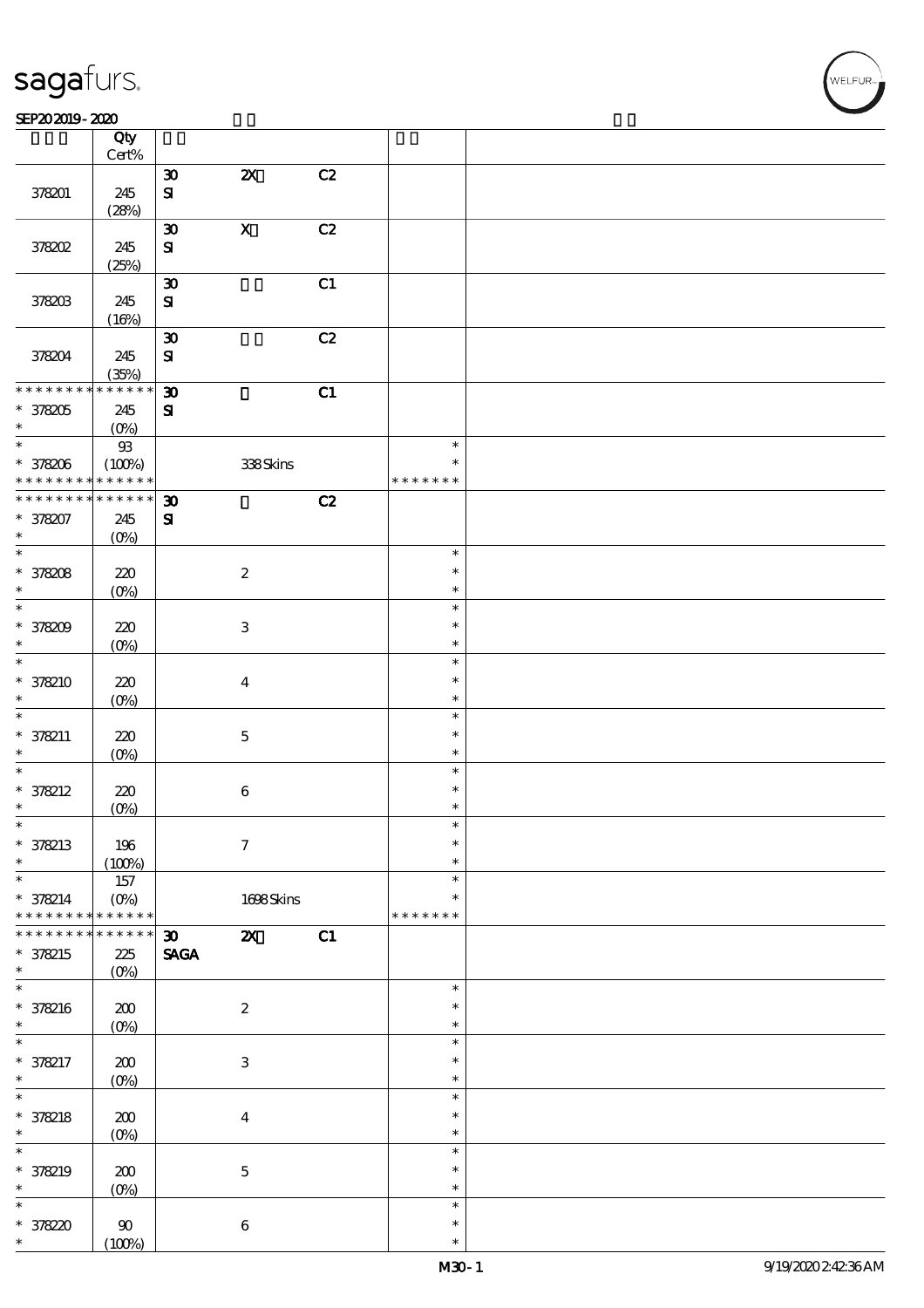#### $SEP202019 - 2020$

|                   | Qty<br>Cert%       |                             |                           |    |               |  |
|-------------------|--------------------|-----------------------------|---------------------------|----|---------------|--|
|                   |                    |                             |                           |    |               |  |
|                   |                    | $\boldsymbol{\mathfrak{D}}$ | $\boldsymbol{\mathsf{z}}$ | C2 |               |  |
| 378201            | 245                | $\mathbf{S}$                |                           |    |               |  |
|                   | (28%)              |                             |                           |    |               |  |
|                   |                    | $\boldsymbol{\mathfrak{D}}$ | $\mathbf X$               | C2 |               |  |
| 378202            | 245                | ${\bf S}$                   |                           |    |               |  |
|                   | (25%)              |                             |                           |    |               |  |
|                   |                    | $\boldsymbol{\mathfrak{D}}$ |                           | C1 |               |  |
|                   |                    |                             |                           |    |               |  |
| 378203            | 245                | ${\bf s}$                   |                           |    |               |  |
|                   | (16%)              |                             |                           |    |               |  |
|                   |                    | $\boldsymbol{\mathfrak{D}}$ |                           | C2 |               |  |
| 378204            | 245                | ${\bf s}$                   |                           |    |               |  |
|                   | (35%)              |                             |                           |    |               |  |
| * * * * * * * *   | $* * * * * * *$    | $\boldsymbol{\mathfrak{D}}$ |                           | C1 |               |  |
| $*378205$         | 245                | $\mathbf{S}$                |                           |    |               |  |
| $\ast$            | $(O\%)$            |                             |                           |    |               |  |
| $*$               |                    |                             |                           |    | $\ast$        |  |
|                   | ${\mathfrak B}$    |                             |                           |    |               |  |
| * 378206          | (100%)             |                             | $338\mathrm{S}$ kins      |    | $\ast$        |  |
| * * * * * * * *   | * * * * * *        |                             |                           |    | * * * * * * * |  |
| * * * * * * * *   | * * * * * *        | $\boldsymbol{\mathfrak{D}}$ |                           | C2 |               |  |
| * 378207          | 245                | $\mathbf{S}$                |                           |    |               |  |
| $\ast$            | (O <sub>0</sub> )  |                             |                           |    |               |  |
| $\overline{\ast}$ |                    |                             |                           |    | $\ast$        |  |
| * 378208          | 220                |                             | $\boldsymbol{2}$          |    | $\ast$        |  |
| $\ast$            |                    |                             |                           |    | $\ast$        |  |
| $\ast$            | $(O\%)$            |                             |                           |    |               |  |
|                   |                    |                             |                           |    | $\ast$        |  |
| * 378209          | 220                |                             | $\ensuremath{\mathbf{3}}$ |    | $\ast$        |  |
| $\ast$            | $(O\!/\!\!\delta)$ |                             |                           |    | $\ast$        |  |
| $\ast$            |                    |                             |                           |    | $\ast$        |  |
| $* 378210$        | 220                |                             | $\boldsymbol{4}$          |    | $\ast$        |  |
| $\ast$            | $(O\%)$            |                             |                           |    | $\ast$        |  |
| $\ast$            |                    |                             |                           |    | $\ast$        |  |
|                   |                    |                             |                           |    | $\ast$        |  |
| $* 378211$        | 220                |                             | $\mathbf 5$               |    |               |  |
| $\ast$            | $(O\%)$            |                             |                           |    | $\ast$        |  |
| $\ast$            |                    |                             |                           |    | $\ast$        |  |
| $* 378212$        | 220                |                             | $\bf 6$                   |    | $\ast$        |  |
| $\ast$            | $(0\%)$            |                             |                           |    | $\ast$        |  |
| $\ast$            |                    |                             |                           |    | $\ast$        |  |
| * 378213          | 196                |                             | $\mathcal I$              |    | $\ast$        |  |
| $\ast$            |                    |                             |                           |    | $\ast$        |  |
| $\ast$            | (100%)             |                             |                           |    | $\ast$        |  |
|                   | 157                |                             |                           |    |               |  |
| $* 378214$        | $(O\%)$            |                             | 1698Skins                 |    | $\ast$        |  |
| * * * * * * *     | * * * * * *        |                             |                           |    | * * * * * * * |  |
| * * * *           | * * * * *          | $\boldsymbol{\mathfrak{D}}$ | $\boldsymbol{\mathsf{z}}$ | C1 |               |  |
| $* 378215$        | 225                | <b>SAGA</b>                 |                           |    |               |  |
| $\ast$            | $(O\!/\!\!\delta)$ |                             |                           |    |               |  |
| $\ast$            |                    |                             |                           |    | $\ast$        |  |
| * 378216          | $200$              |                             | $\boldsymbol{2}$          |    | $\ast$        |  |
| $\ast$            | $(0\%)$            |                             |                           |    | $\ast$        |  |
| $\ast$            |                    |                             |                           |    | $\ast$        |  |
|                   |                    |                             |                           |    |               |  |
| * 378217          | $200$              |                             | $\ensuremath{\mathbf{3}}$ |    | $\ast$        |  |
| $\ast$            | $(0\%)$            |                             |                           |    | $\ast$        |  |
| $\overline{\ast}$ |                    |                             |                           |    | $\ast$        |  |
| * 378218          | 200                |                             | $\bf{4}$                  |    | $\ast$        |  |
| $\ast$            | $(O\%)$            |                             |                           |    | $\ast$        |  |
| $\ast$            |                    |                             |                           |    | $\ast$        |  |
| * 378219          | $200$              |                             | $\mathbf 5$               |    | $\ast$        |  |
| $\ast$            |                    |                             |                           |    | $\ast$        |  |
|                   | $(0\%)$            |                             |                           |    |               |  |
| $\ast$            |                    |                             |                           |    | $\ast$        |  |
| $* 37820$         | $90^{\circ}$       |                             | $\bf 6$                   |    | $\ast$        |  |
| $\ast$            | (100%)             |                             |                           |    | $\ast$        |  |

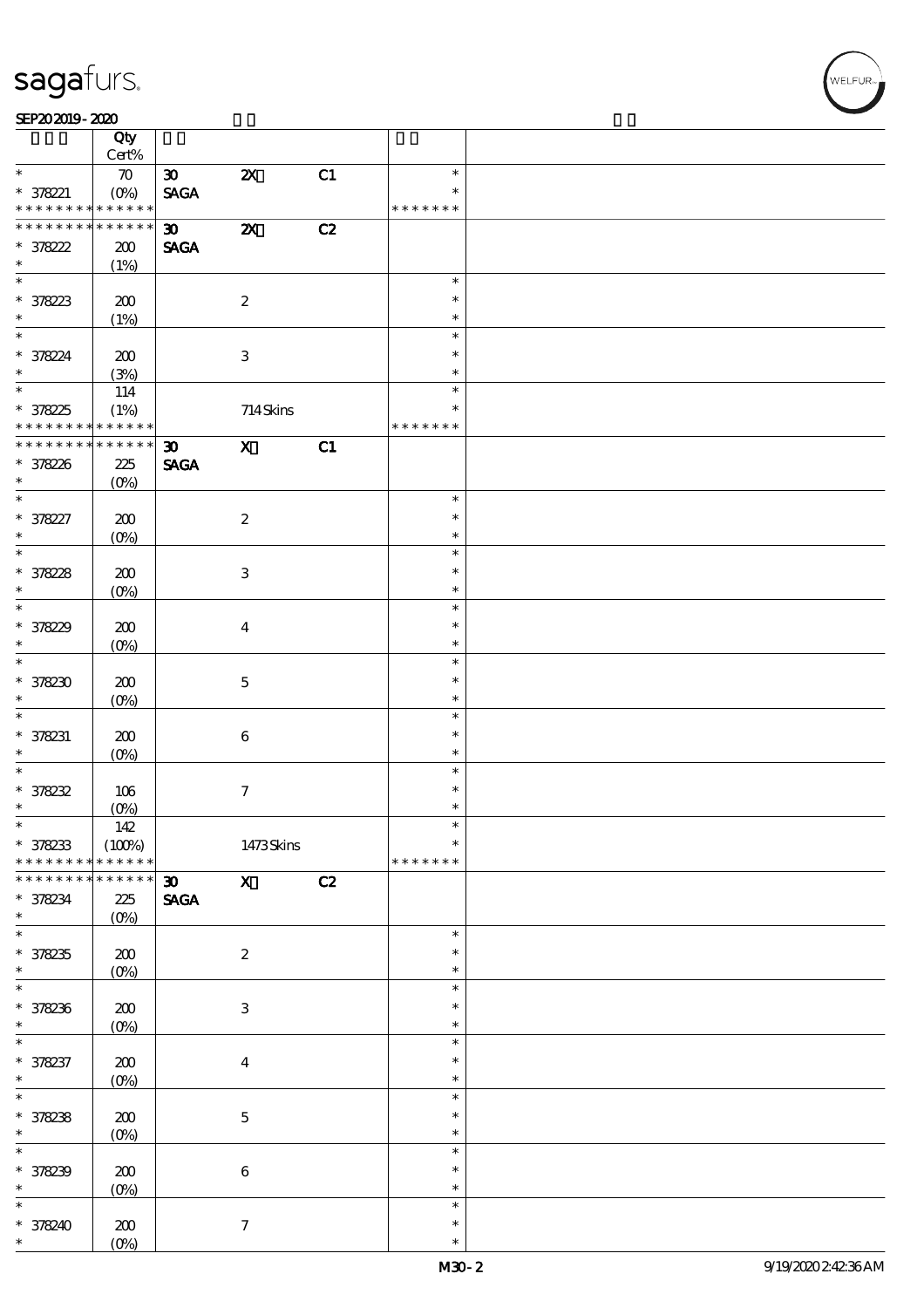#### $SEP202019 - 2020$

|                                | Qty<br>Cert%       |                             |                           |    |               |  |
|--------------------------------|--------------------|-----------------------------|---------------------------|----|---------------|--|
| $\ast$                         | $\boldsymbol{\pi}$ | $\boldsymbol{\mathfrak{D}}$ | $\boldsymbol{\mathsf{z}}$ | C1 | $\ast$        |  |
|                                |                    |                             |                           |    | $\ast$        |  |
| $* 378221$<br>* * * * * * * *  | * * * * * *        | <b>SAGA</b>                 |                           |    | * * * * * * * |  |
|                                |                    |                             |                           |    |               |  |
| * * * * * * * *                | $* * * * * * *$    | $\boldsymbol{\mathfrak{D}}$ | $\boldsymbol{\mathsf{z}}$ | C2 |               |  |
| $* 378222$                     | 200                | <b>SAGA</b>                 |                           |    |               |  |
| $\ast$                         | (1%)               |                             |                           |    |               |  |
|                                |                    |                             |                           |    | $\ast$        |  |
|                                | 200                |                             | $\boldsymbol{2}$          |    | $\ast$        |  |
| * 378223                       | (1%)               |                             |                           |    | $\ast$        |  |
| $\overline{\ast}$              |                    |                             |                           |    | $\ast$        |  |
|                                |                    |                             |                           |    |               |  |
| $* 37824$                      | 200                |                             | $\,3$                     |    | $\ast$        |  |
| $\ast$                         | (3%)               |                             |                           |    | $\ast$        |  |
| $\overline{\ast}$              | 114                |                             |                           |    | $\ast$        |  |
| * 378225                       | (1%)               |                             | 714Skins                  |    | $\ast$        |  |
| * * * * * * * * <mark>*</mark> | * * * * * *        |                             |                           |    | * * * * * * * |  |
| * * * * * * * *                | $******$           | $\boldsymbol{\mathfrak{D}}$ | $\mathbf{x}$              | C1 |               |  |
| * 378226                       | 225                | <b>SAGA</b>                 |                           |    |               |  |
| $\ast$                         | $(O\%)$            |                             |                           |    |               |  |
| $\overline{\ast}$              |                    |                             |                           |    | $\ast$        |  |
|                                |                    |                             |                           |    | $\ast$        |  |
| * 378227                       | 200                |                             | $\boldsymbol{2}$          |    |               |  |
| $\ast$                         | $(O\!/\!\!\delta)$ |                             |                           |    | $\ast$        |  |
| $\overline{\ast}$              |                    |                             |                           |    | $\ast$        |  |
| * 378228                       | 200                |                             | $\ensuremath{\mathbf{3}}$ |    | $\ast$        |  |
| $\ast$                         | $(O\%)$            |                             |                           |    | $\ast$        |  |
| $\overline{\ast}$              |                    |                             |                           |    | $\ast$        |  |
| * 378229                       | 200                |                             | $\overline{\mathbf{4}}$   |    | $\ast$        |  |
| $\ast$                         | $(O\!/\!\!\delta)$ |                             |                           |    | $\ast$        |  |
| $\overline{\ast}$              |                    |                             |                           |    | $\ast$        |  |
| $*378230$                      | 200                |                             | $\mathbf{5}$              |    | $\ast$        |  |
| $\ast$                         |                    |                             |                           |    |               |  |
|                                | $(O\%)$            |                             |                           |    | $\ast$        |  |
| $\ast$                         |                    |                             |                           |    | $\ast$        |  |
| $* 378231$                     | 200                |                             | $\bf 6$                   |    | $\ast$        |  |
| $\ast$                         | $(O\%)$            |                             |                           |    | $\ast$        |  |
| $\overline{\ast}$              |                    |                             |                           |    | $\ast$        |  |
| $* 378232$                     | 106                |                             | $\boldsymbol{\tau}$       |    | $\ast$        |  |
| $\ast$                         | $(0\%)$            |                             |                           |    | $\ast$        |  |
| $\ast$                         | 142                |                             |                           |    | $\ast$        |  |
| $* 378233$                     | (100%)             |                             | 1473Skins                 |    | $\ast$        |  |
| * * * * * * * *                | * * * * * *        |                             |                           |    | * * * * * * * |  |
| * * * * * * *                  | * * * * * *        | $\boldsymbol{\mathfrak{D}}$ | $\mathbf{x}$              | C2 |               |  |
| * 378234                       |                    |                             |                           |    |               |  |
| $\ast$                         | 225                | <b>SAGA</b>                 |                           |    |               |  |
| $\overline{\ast}$              | $(O\%)$            |                             |                           |    |               |  |
|                                |                    |                             |                           |    | $\ast$        |  |
| $*378235$                      | 200                |                             | $\boldsymbol{2}$          |    | $\ast$        |  |
| $\ast$                         | $(0\%)$            |                             |                           |    | $\ast$        |  |
| $\ast$                         |                    |                             |                           |    | $\ast$        |  |
| * 378236                       | $200$              |                             | $\ensuremath{\mathbf{3}}$ |    | $\ast$        |  |
| $\ast$                         | $(0\%)$            |                             |                           |    | $\ast$        |  |
| $\ast$                         |                    |                             |                           |    | $\ast$        |  |
| * 378237                       | $200$              |                             | $\boldsymbol{4}$          |    | $\ast$        |  |
| $\ast$                         | $(0\%)$            |                             |                           |    | $\ast$        |  |
| $\overline{\ast}$              |                    |                             |                           |    | $\ast$        |  |
|                                |                    |                             |                           |    |               |  |
| $* 378238$                     | 200                |                             | $\mathbf 5$               |    | $\ast$        |  |
| $\ast$                         | $(0\%)$            |                             |                           |    | $\ast$        |  |
| $\ast$                         |                    |                             |                           |    | $\ast$        |  |
| $* 378239$                     | $200$              |                             | $\bf 6$                   |    | $\ast$        |  |
| $\ast$                         | $(0\%)$            |                             |                           |    | $\ast$        |  |
| $\ast$                         |                    |                             |                           |    | $\ast$        |  |
| * 378240                       | 200                |                             | $\tau$                    |    | $\ast$        |  |
|                                |                    |                             |                           |    |               |  |

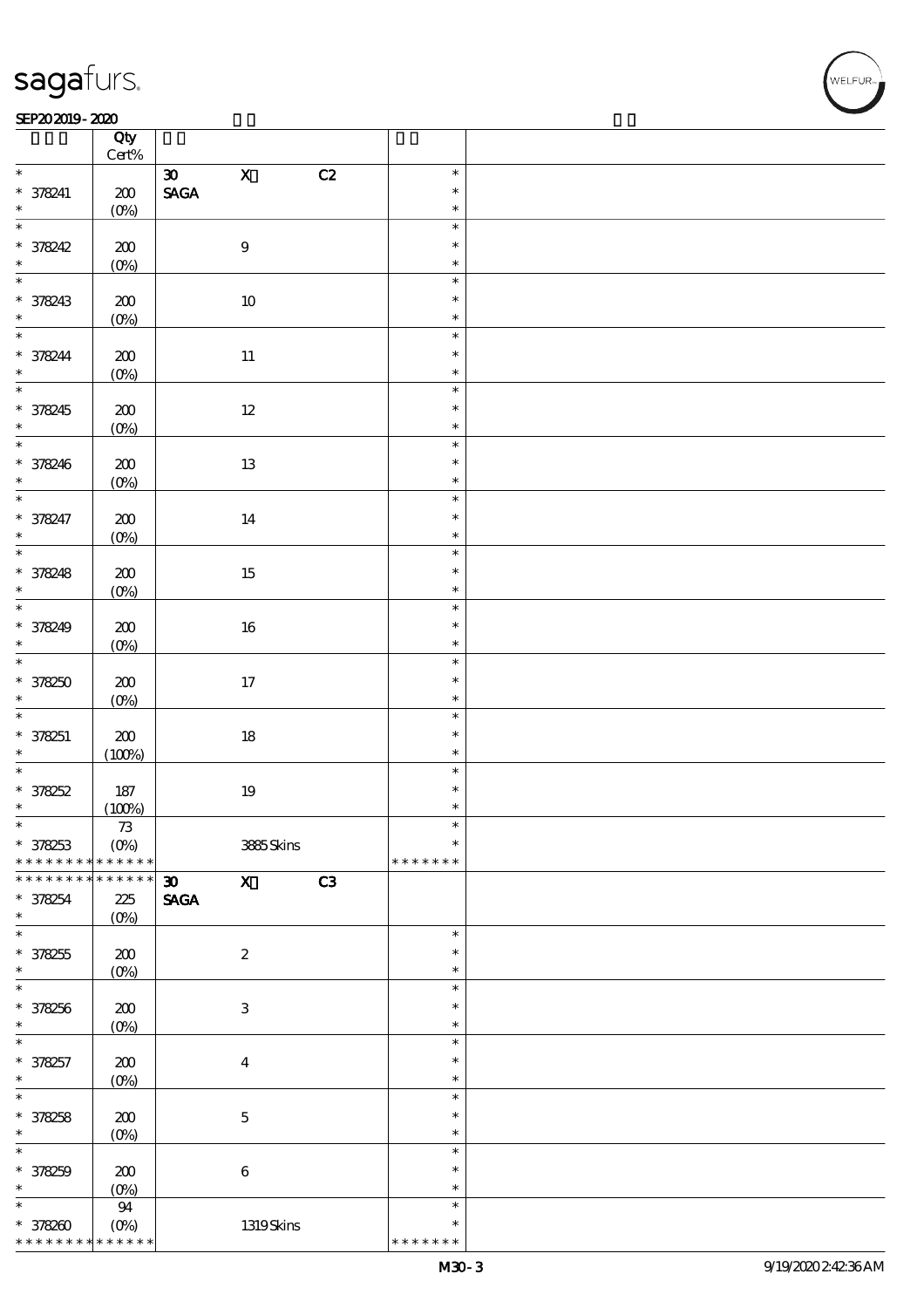#### SEP202019-2020

|                              | Qty<br>$\mbox{Cert}\%$            |                                             |              |                         |  |
|------------------------------|-----------------------------------|---------------------------------------------|--------------|-------------------------|--|
|                              |                                   |                                             |              |                         |  |
| $\ast$                       |                                   | $\mathbf X$<br>$\boldsymbol{\infty}$        | C2           | $\ast$                  |  |
| $* 378241$                   | $200$                             | $\operatorname{\mathbf{SAGA}}$              |              | $\ast$                  |  |
| $\ast$                       | $(0\%)$                           |                                             |              | $\ast$                  |  |
| $\ast$                       |                                   |                                             |              | $\ast$                  |  |
|                              |                                   |                                             |              |                         |  |
| * 378242                     | $200$                             | $\boldsymbol{9}$                            |              | $\ast$                  |  |
| $\ast$                       | $(0\%)$                           |                                             |              | $\ast$                  |  |
| $\ast$                       |                                   |                                             |              | $\ast$                  |  |
|                              |                                   |                                             |              | $\ast$                  |  |
| * 378243                     | $200$                             | $10\,$                                      |              |                         |  |
| $\ast$                       | $(0\%)$                           |                                             |              | $\ast$                  |  |
| $\ast$                       |                                   |                                             |              | $\ast$                  |  |
|                              | 200                               | $11\,$                                      |              | $\ast$                  |  |
| * 378244                     |                                   |                                             |              |                         |  |
|                              | $(0\%)$                           |                                             |              | $\ast$                  |  |
| $\overline{\ast}$            |                                   |                                             |              | $\ast$                  |  |
| $*378245$                    | 200                               | $12\,$                                      |              | $\ast$                  |  |
|                              |                                   |                                             |              | $\ast$                  |  |
|                              | $(0\%)$                           |                                             |              |                         |  |
|                              |                                   |                                             |              | $\ast$                  |  |
|                              | 200                               | $13\,$                                      |              | $\ast$                  |  |
| $*378246$                    | $(0\%)$                           |                                             |              | $\ast$                  |  |
|                              |                                   |                                             |              | $\ast$                  |  |
|                              |                                   |                                             |              |                         |  |
| $*378247$                    | $200$                             | $14\,$                                      |              | $\ast$                  |  |
|                              | $(0\%)$                           |                                             |              | $\ast$                  |  |
| $\overline{\ast}$            |                                   |                                             |              | $\ast$                  |  |
| * 378248                     | $200$                             | $15\,$                                      |              | $\ast$                  |  |
| $\ast$                       |                                   |                                             |              |                         |  |
|                              | $(0\%)$                           |                                             |              | $\ast$                  |  |
| $\overline{\ast}$            |                                   |                                             |              | $\ast$                  |  |
| * 378249                     | 200                               | $16\,$                                      |              | $\ast$                  |  |
| $\ast$                       | $(Q_0)$                           |                                             |              | $\ast$                  |  |
| $\overline{\ast}$            |                                   |                                             |              | $\ast$                  |  |
|                              |                                   |                                             |              |                         |  |
| $* 378250$                   | 200                               | 17                                          |              | $\ast$                  |  |
| $\ast$                       | $(O\%)$                           |                                             |              | $\ast$                  |  |
| $\overline{\ast}$            |                                   |                                             |              | $\ast$                  |  |
| * 378251                     | $200\,$                           |                                             |              | $\ast$                  |  |
|                              |                                   | $18\,$                                      |              |                         |  |
| $\ast$                       | (100%)                            |                                             |              | $\ast$                  |  |
| $\overline{\ast}$            |                                   |                                             |              | $\ast$                  |  |
| $* 378252$                   | $187\,$                           | $19\,$                                      |              | $\ast$                  |  |
| $\ast$                       | (100%)                            |                                             |              | $\ast$                  |  |
| $\ast$                       |                                   |                                             |              |                         |  |
|                              | 73                                |                                             |              |                         |  |
| * 378253                     | $(O\%)$                           |                                             | 3885Skins    | $\ast$                  |  |
| * * * * * * * *              | * * * * * *                       |                                             |              | * * * * * * *           |  |
| * * * * * * * *              | ******                            | $\mathbf{X}$<br>$\boldsymbol{\mathfrak{D}}$ | C3           |                         |  |
|                              |                                   |                                             |              |                         |  |
| $* 378254$                   | $225\,$                           | $\ensuremath{\mathsf{SAGA}}$                |              |                         |  |
| $\ast$                       | $(O\%)$                           |                                             |              |                         |  |
| $\ast$                       |                                   |                                             |              | $\ast$                  |  |
| $* 378255$                   | 200                               | $\boldsymbol{z}$                            |              | $\ast$                  |  |
| $\ast$                       | $(O\%)$                           |                                             |              | $\ast$                  |  |
| $\ast$                       |                                   |                                             |              | $\ast$                  |  |
|                              |                                   |                                             |              |                         |  |
| * 378256                     |                                   | $\ensuremath{\mathsf{3}}$                   |              | $\ast$                  |  |
|                              | 200                               |                                             |              |                         |  |
| $\ast$                       |                                   |                                             |              | $\ast$                  |  |
|                              | (O <sub>0</sub> )                 |                                             |              |                         |  |
| $\ast$                       |                                   |                                             |              | $\ast$                  |  |
| * 378257                     | 200                               | $\boldsymbol{4}$                            |              | $\ast$                  |  |
| $\ast$                       | $(0\%)$                           |                                             |              | $\ast$                  |  |
| $\ast$                       |                                   |                                             |              | $\ast$                  |  |
|                              |                                   |                                             |              | $\ast$                  |  |
| $* 378258$                   | 200                               | $\mathbf 5$                                 |              |                         |  |
| $\ast$                       | $(O\%)$                           |                                             |              | $\ast$                  |  |
| $\ast$                       |                                   |                                             |              | $\ast$                  |  |
|                              |                                   |                                             |              | $\ast$                  |  |
| $* 378259$<br>$\ast$         | $200$                             | $\bf 6$                                     |              | $\ast$                  |  |
|                              | $(0\%)$                           |                                             |              |                         |  |
| $\ast$                       | ${\bf 94}$                        |                                             |              | $\ast$                  |  |
| $*378200$<br>* * * * * * * * | $(O\!/\!\!\delta)$<br>* * * * * * |                                             | $1319S$ kins | $\ast$<br>* * * * * * * |  |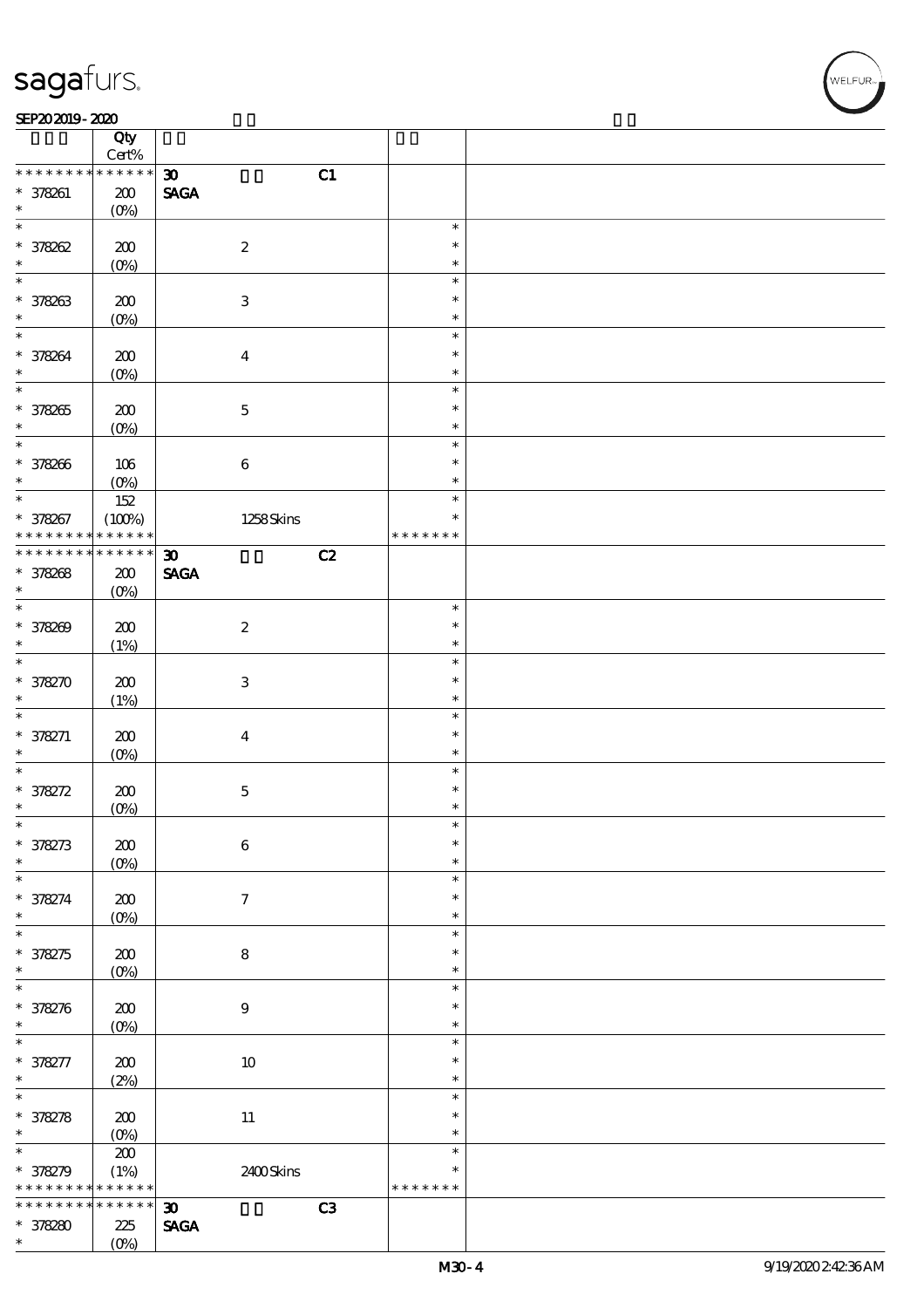#### $SEP202019 - 2020$

|                   | Qty<br>$Cert\%$ |                                   |               |  |
|-------------------|-----------------|-----------------------------------|---------------|--|
| * * * * * * * *   | * * * * * *     | C1<br>$\boldsymbol{\mathfrak{D}}$ |               |  |
| $* 378261$        |                 | <b>SAGA</b>                       |               |  |
| $\ast$            | 200             |                                   |               |  |
|                   | $(O\%)$         |                                   |               |  |
| $\ast$            |                 |                                   | $\ast$        |  |
| * 378262          | 200             | $\boldsymbol{2}$                  | $\ast$        |  |
| $\ast$            | $(0\%)$         |                                   | $\ast$        |  |
| $\overline{\ast}$ |                 |                                   | $\ast$        |  |
|                   | 200             | $\ensuremath{\mathbf{3}}$         | $\ast$        |  |
| * 378263          | $(0\%)$         |                                   | $\ast$        |  |
| $\ast$            |                 |                                   | $\ast$        |  |
|                   |                 |                                   |               |  |
| * 378264          | 200             | $\boldsymbol{4}$                  | $\ast$        |  |
| $\ast$            | $(O\%)$         |                                   | $\ast$        |  |
| $\overline{\ast}$ |                 |                                   | $\ast$        |  |
| * 378265          | 200             | $\mathbf 5$                       | $\ast$        |  |
| $\ast$            | $(O\%)$         |                                   | $\ast$        |  |
| $\ast$            |                 |                                   | $\ast$        |  |
| * 378266          | 106             | $\bf 6$                           | $\ast$        |  |
| $\ast$            | $(O\%)$         |                                   | $\ast$        |  |
| $\ast$            |                 |                                   | $\ast$        |  |
|                   | $152$           |                                   |               |  |
| * 378267          | (100%)          | 1258Skins                         | $\ast$        |  |
| * * * * * * * *   | * * * * * *     |                                   | * * * * * * * |  |
| * * * * * * * *   | ******          | $\boldsymbol{\mathfrak{D}}$<br>C2 |               |  |
| * 378268          | 200             | <b>SAGA</b>                       |               |  |
| $\ast$            | $(O\%)$         |                                   |               |  |
| $\ast$            |                 |                                   | $\ast$        |  |
| * 378269          | 200             | $\boldsymbol{2}$                  | $\ast$        |  |
| $\ast$            |                 |                                   | $\ast$        |  |
| $\overline{\ast}$ | (1%)            |                                   |               |  |
|                   |                 |                                   | $\ast$        |  |
| * 378270          | 200             | 3                                 | $\ast$        |  |
| $\ast$            | (1%)            |                                   | $\ast$        |  |
| $\ast$            |                 |                                   | $\ast$        |  |
| $* 378271$        | 200             | $\boldsymbol{4}$                  | $\ast$        |  |
| $\ast$            | $(O\%)$         |                                   | $\ast$        |  |
| $\ast$            |                 |                                   | $\ast$        |  |
| * 378272          | 200             | $\mathbf 5$                       | $\ast$        |  |
| $\ast$            |                 |                                   | $\ast$        |  |
| $\ast$            | $(0\%)$         |                                   |               |  |
|                   |                 |                                   | $\ast$        |  |
| $* 378273$        | $200$           | $\boldsymbol{6}$                  | $\ast$        |  |
| $\ast$            | $(0\%)$         |                                   | $\ast$        |  |
| *                 |                 |                                   | $\ast$        |  |
| * 378274          | 200             | $\tau$                            | $\ast$        |  |
| $\ast$            | $(0\%)$         |                                   | $\ast$        |  |
| $\overline{\ast}$ |                 |                                   | $\ast$        |  |
| * 378275          | 200             | 8                                 | $\ast$        |  |
| $\ast$            | $(0\%)$         |                                   | $\ast$        |  |
| $\ast$            |                 |                                   | $\ast$        |  |
|                   |                 |                                   |               |  |
| * 378276          | $200$           | $9$                               | $\ast$        |  |
| $\ast$            | $(0\%)$         |                                   | $\ast$        |  |
| $\ast$            |                 |                                   | $\ast$        |  |
| * 378277          | 200             | $10\,$                            | $\ast$        |  |
| $\ast$            | (2%)            |                                   | $\ast$        |  |
| $\overline{\ast}$ |                 |                                   | $\ast$        |  |
| * 378278          | 200             | $11\,$                            | $\ast$        |  |
| $\ast$            | $(O\%)$         |                                   | $\ast$        |  |
| $\ast$            |                 |                                   | $\ast$        |  |
|                   | $200$           |                                   |               |  |
| * 378279          | (1%)            | $2400$ Skins                      | $\ast$        |  |
| * * * * * * * *   | * * * * * *     |                                   | * * * * * * * |  |
| * * * * * * *     | * * * * * *     | C3<br>$\boldsymbol{\mathfrak{D}}$ |               |  |
| $* 378280$        | 225             | $\operatorname{\mathsf{SAGA}}$    |               |  |
| $\ast$            | $(O\%)$         |                                   |               |  |
|                   |                 |                                   |               |  |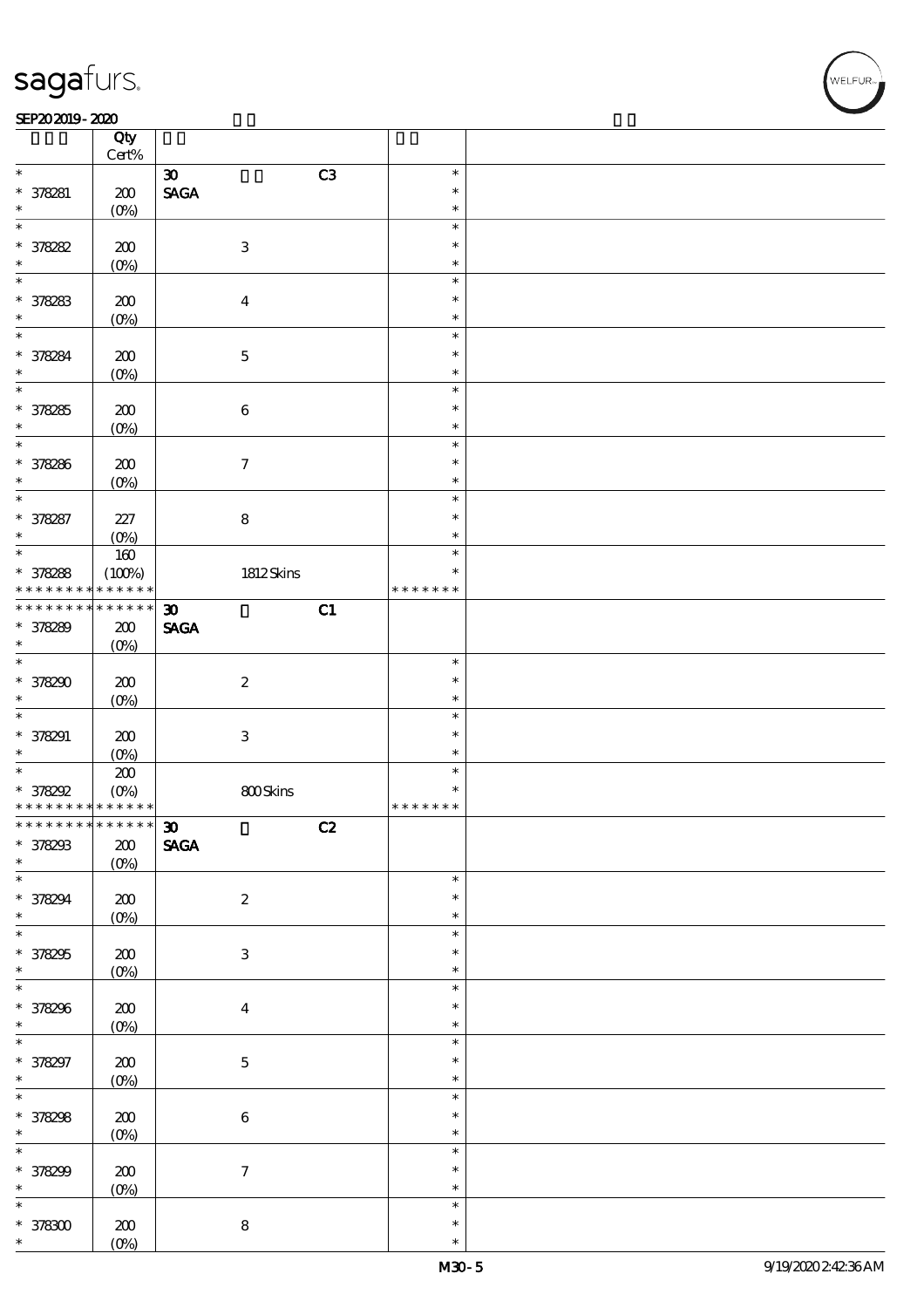$\overline{\mathsf{T}}$ 

#### $SEP202019 - 2020$

|                                            | Qty<br>$\mbox{Cert}\%$ |                                   |                  |  |
|--------------------------------------------|------------------------|-----------------------------------|------------------|--|
| $\ast$                                     |                        | C3<br>$\boldsymbol{\mathfrak{D}}$ | $\ast$           |  |
|                                            |                        |                                   |                  |  |
| $* 378281$                                 | 200                    | $\operatorname{\mathsf{SAGA}}$    | $\ast$           |  |
| *                                          | $(O\%)$                |                                   | $\ast$           |  |
| $\ast$                                     |                        |                                   | $\ast$           |  |
| * 378282                                   | 200                    | $\ensuremath{\mathbf{3}}$         | $\ast$           |  |
|                                            |                        |                                   |                  |  |
| $\ast$                                     | $(0\%)$                |                                   | $\ast$           |  |
| $\ast$                                     |                        |                                   | $\ast$           |  |
| $* 378283$                                 | 200                    | $\overline{4}$                    | $\ast$           |  |
| $\ast$                                     |                        |                                   | $\ast$           |  |
|                                            | $(0\%)$                |                                   |                  |  |
| $\ast$                                     |                        |                                   | $\ast$           |  |
| * 378284                                   | 200                    | $\mathbf 5$                       | $\ast$           |  |
| $\ast$                                     | $(O\%)$                |                                   | $\ast$           |  |
| $\ast$                                     |                        |                                   | $\ast$           |  |
|                                            |                        |                                   |                  |  |
| $* 378285$                                 | 200                    | $\bf 6$                           | $\ast$           |  |
| $\ast$                                     | $(O\%)$                |                                   | $\ast$           |  |
| $\ast$                                     |                        |                                   | $\ast$           |  |
|                                            |                        |                                   |                  |  |
| * 378286                                   | 200                    | $\boldsymbol{7}$                  | $\ast$           |  |
| $\ast$                                     | $(O\%)$                |                                   | $\ast$           |  |
| $\ast$                                     |                        |                                   | $\ast$           |  |
|                                            |                        |                                   | $\ast$           |  |
| * 378287                                   | 227                    | $\bf 8$                           |                  |  |
| $\ast$                                     | $(O\%)$                |                                   | $\ast$           |  |
| $\ast$                                     | $160$                  |                                   | $\ast$           |  |
| $* 378288$                                 | (100%)                 | 1812Skins                         | $\ast$           |  |
| * * * * * * * *                            | * * * * * *            |                                   | * * * * * * *    |  |
|                                            |                        |                                   |                  |  |
| * * * * * * *                              | $******$               | $\boldsymbol{\mathfrak{D}}$<br>C1 |                  |  |
| * 378289                                   | 200                    | <b>SAGA</b>                       |                  |  |
| $\ast$                                     | $(O\%)$                |                                   |                  |  |
| $\overline{\ast}$                          |                        |                                   |                  |  |
|                                            |                        |                                   | $\ast$           |  |
| * 378290                                   | 200                    | $\boldsymbol{2}$                  | $\ast$           |  |
| $\ast$                                     | $(O\%)$                |                                   | $\ast$           |  |
| $\ast$                                     |                        |                                   | $\ast$           |  |
|                                            |                        |                                   |                  |  |
|                                            |                        |                                   |                  |  |
| $* 378291$                                 | 200                    | $\ensuremath{\mathbf{3}}$         | $\ast$           |  |
| $\ast$                                     |                        |                                   | $\ast$           |  |
| $\overline{\ast}$                          | $(0\%)$                |                                   | $\ast$           |  |
|                                            | $200\,$                |                                   |                  |  |
| $* 378292$                                 | $(O\%)$                | 800Skins                          | $\ast$           |  |
| * * * * * * * * <mark>* * * * * * *</mark> |                        |                                   | * * * * * * *    |  |
| * * * * * * * * * * * * * * <mark>*</mark> |                        |                                   |                  |  |
|                                            |                        | $\boldsymbol{\mathfrak{D}}$<br>C2 |                  |  |
|                                            | $200$                  | <b>SAGA</b>                       |                  |  |
| * 378293<br>$\ast$                         | $(0\%)$                |                                   |                  |  |
| $\ast$                                     |                        |                                   | $\ast$           |  |
|                                            |                        |                                   | $\ast$           |  |
| * 378294<br>$\ast$                         | $200\,$                | $\boldsymbol{2}$                  | $\ast$           |  |
|                                            | $(0\%)$                |                                   |                  |  |
| $\ast$                                     |                        |                                   | $\ast$           |  |
| * 378295                                   | $200\,$                | $\ensuremath{\mathbf{3}}$         | $\ast$           |  |
|                                            |                        |                                   | $\ast$           |  |
| $\ast$                                     | $(0\%)$                |                                   | $\ast$           |  |
| $\overline{\ast}$                          |                        |                                   |                  |  |
| * 378296                                   | $\pmb{30}$             | $\boldsymbol{4}$                  | $\ast$           |  |
| $\ast$                                     | $(0\%)$                |                                   | $\ast$           |  |
| $\overline{\ast}$                          |                        |                                   | $\ast$           |  |
|                                            |                        |                                   | $\ast$           |  |
| * 378297                                   | 200                    | $\bf 5$                           |                  |  |
| $\ast$                                     | $(0\%)$                |                                   | $\ast$           |  |
| $\overline{\ast}$                          |                        |                                   | $\ast$           |  |
|                                            |                        |                                   | $\ast$           |  |
|                                            | $200$                  | $\bf 6$                           |                  |  |
| * 378298                                   | (0%)                   |                                   | $\ast$           |  |
| $\overline{\ast}$                          |                        |                                   | $\ast$           |  |
|                                            |                        | $\boldsymbol{7}$                  | $\ast$           |  |
| * 378299<br>$\ast$                         | $200\,$                |                                   | $\ast$           |  |
|                                            | $(0\%)$                |                                   |                  |  |
| $\ast$                                     |                        |                                   | $\ast$           |  |
| $* 378300$                                 | 200<br>$(O\%)$         | ${\bf 8}$                         | $\ast$<br>$\ast$ |  |

 $\top$ 

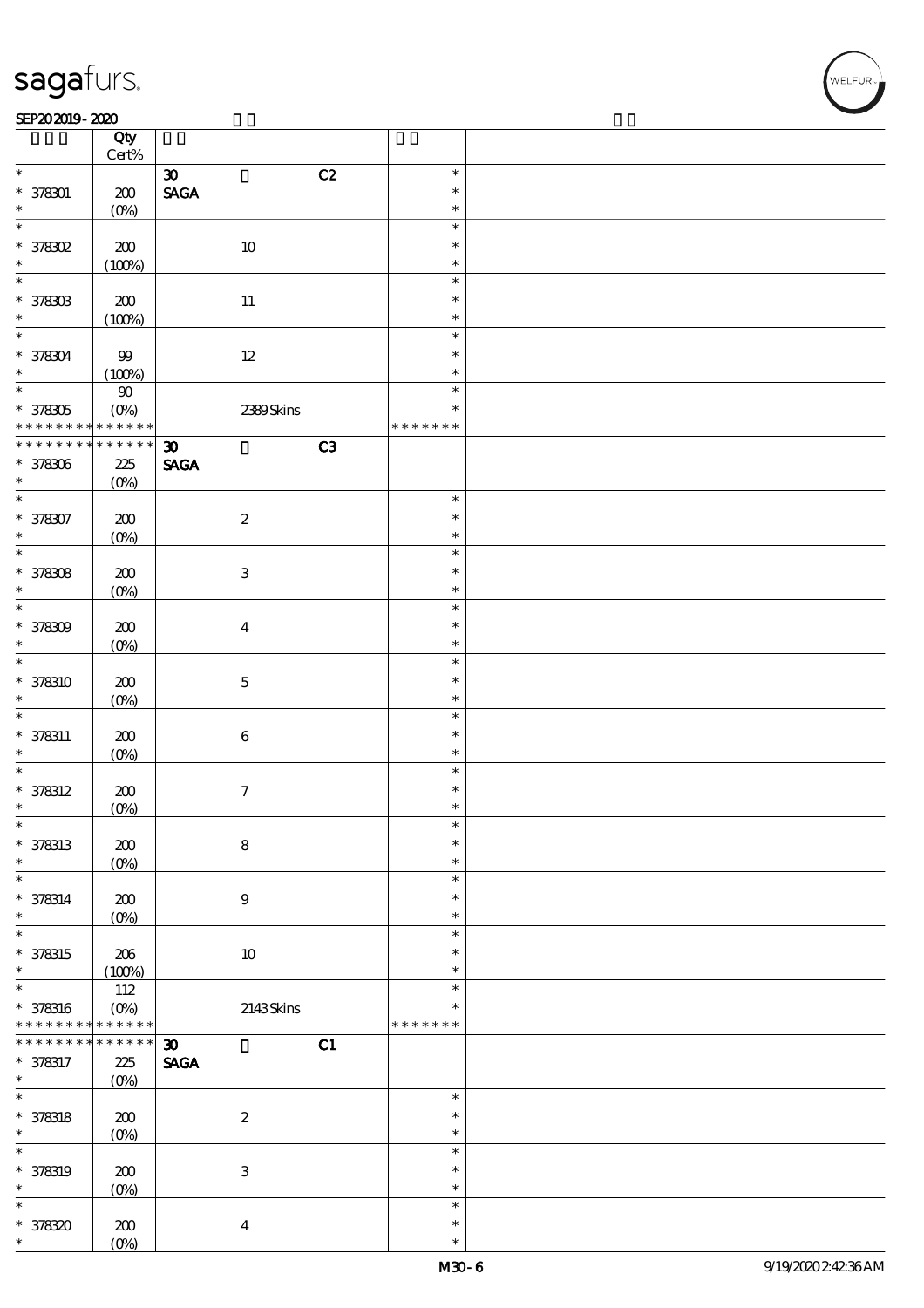#### $SEP202019 - 2020$

|                          | Qty<br>$\mbox{Cert}\%$ |                                   |               |  |
|--------------------------|------------------------|-----------------------------------|---------------|--|
| $\ast$                   |                        | C2<br>$\boldsymbol{\infty}$       | $\ast$        |  |
|                          |                        |                                   | $\ast$        |  |
| $* 378301$<br>$\ast$     | 200                    | $\operatorname{\mathsf{SAGA}}$    |               |  |
|                          | $(O\%)$                |                                   | $\ast$        |  |
| $\ast$                   |                        |                                   | $\ast$        |  |
| * 378302                 | $200\,$                | $10\,$                            | $\ast$        |  |
| $\ast$                   | (100%)                 |                                   | $\ast$        |  |
| $\overline{\ast}$        |                        |                                   | $\ast$        |  |
| $* 378303$               | 200                    | $11\,$                            | $\ast$        |  |
| $\ast$                   | (100%)                 |                                   | $\ast$        |  |
| $\ast$                   |                        |                                   | $\ast$        |  |
|                          | $9\hskip-2pt9$         | $12\,$                            | $\ast$        |  |
| * 378304<br>$\ast$       |                        |                                   | $\ast$        |  |
| $\overline{\phantom{0}}$ | (100%)                 |                                   |               |  |
|                          | $90\,$                 |                                   | $\ast$        |  |
| * 378305                 | $(0\%)$                | 2399Skins                         | $\ast$        |  |
| * * * * * * * *          | * * * * * *            |                                   | * * * * * * * |  |
| * * * * * * * *          | $******$               | C3<br>$\boldsymbol{\mathfrak{D}}$ |               |  |
| $* 378306$               | 225                    | <b>SAGA</b>                       |               |  |
| $\ast$                   | $(O\%)$                |                                   |               |  |
| $\overline{\ast}$        |                        |                                   | $\ast$        |  |
| * 378307                 | 200                    | $\boldsymbol{2}$                  | $\ast$        |  |
| $\ast$                   | $(O\%)$                |                                   | $\ast$        |  |
| $\overline{\ast}$        |                        |                                   | $\ast$        |  |
|                          |                        |                                   |               |  |
| $* 378308$               | 200                    | $\ensuremath{\mathbf{3}}$         | $\ast$        |  |
| $\ast$                   | $(O\%)$                |                                   | $\ast$        |  |
| $\ast$                   |                        |                                   | $\ast$        |  |
| $* 378309$               | 200                    | $\boldsymbol{4}$                  | $\ast$        |  |
| $\ast$                   | $(O\%)$                |                                   | $\ast$        |  |
| $\ast$                   |                        |                                   | $\ast$        |  |
| * 378310                 | 200                    | $\bf 5$                           | $\ast$        |  |
| $\ast$                   | $(O\%)$                |                                   | $\ast$        |  |
| $\ast$                   |                        |                                   | $\ast$        |  |
|                          |                        |                                   | $\ast$        |  |
| $* 378311$               | 200                    | $\bf 6$                           |               |  |
| $\ast$                   | $(O\%)$                |                                   | $\ast$        |  |
| $\ast$                   |                        |                                   | $\ast$        |  |
| $* 378312$               | 200                    | $\boldsymbol{7}$                  | $\ast$        |  |
| $\ast$                   | $(0\%)$                |                                   | $\ast$        |  |
| $\ast$                   |                        |                                   | $\ast$        |  |
| $* 378313$               | $\pmb{30}$             | $\bf 8$                           | $\ast$        |  |
| $\ast$                   | $(O\%)$                |                                   | $\ast$        |  |
| $\ast$                   |                        |                                   | $\ast$        |  |
| $* 378314$               | 200                    | 9                                 | $\ast$        |  |
| $\ast$                   |                        |                                   | $\ast$        |  |
| $\ast$                   | $(O\%)$                |                                   | $\ast$        |  |
|                          |                        |                                   |               |  |
| $* 378315$               | 206                    | $10\,$                            | $\ast$        |  |
| $\ast$                   | (100%)                 |                                   | $\ast$        |  |
| $\ast$                   | 112                    |                                   | $\ast$        |  |
| $* 378316$               | $(O\%)$                | 2143Skins                         | *             |  |
| * * * * * * * *          | * * * * * *            |                                   | * * * * * * * |  |
| * * * * * * * *          | * * * * * *            | C1<br>$\boldsymbol{\mathfrak{D}}$ |               |  |
| * 378317                 | $225\,$                | $\operatorname{\mathsf{SAGA}}$    |               |  |
| $\ast$                   | $(O\%)$                |                                   |               |  |
| $\ast$                   |                        |                                   | $\ast$        |  |
|                          |                        |                                   | $\ast$        |  |
| $* 378318$               | 200                    | $\boldsymbol{2}$                  |               |  |
| $\ast$                   | $(O\!/\!\delta)$       |                                   | $\ast$        |  |
| $\ast$                   |                        |                                   | $\ast$        |  |
| * 378319                 | $200$                  | $\ensuremath{\mathbf{3}}$         | $\ast$        |  |
| $\ast$                   | $(0\%)$                |                                   | $\ast$        |  |
| $\ast$                   |                        |                                   | $\ast$        |  |
| $*378320$                | 200                    | $\boldsymbol{4}$                  | $\ast$        |  |
| $\ast$                   | $(O\%)$                |                                   | $\ast$        |  |
|                          |                        |                                   |               |  |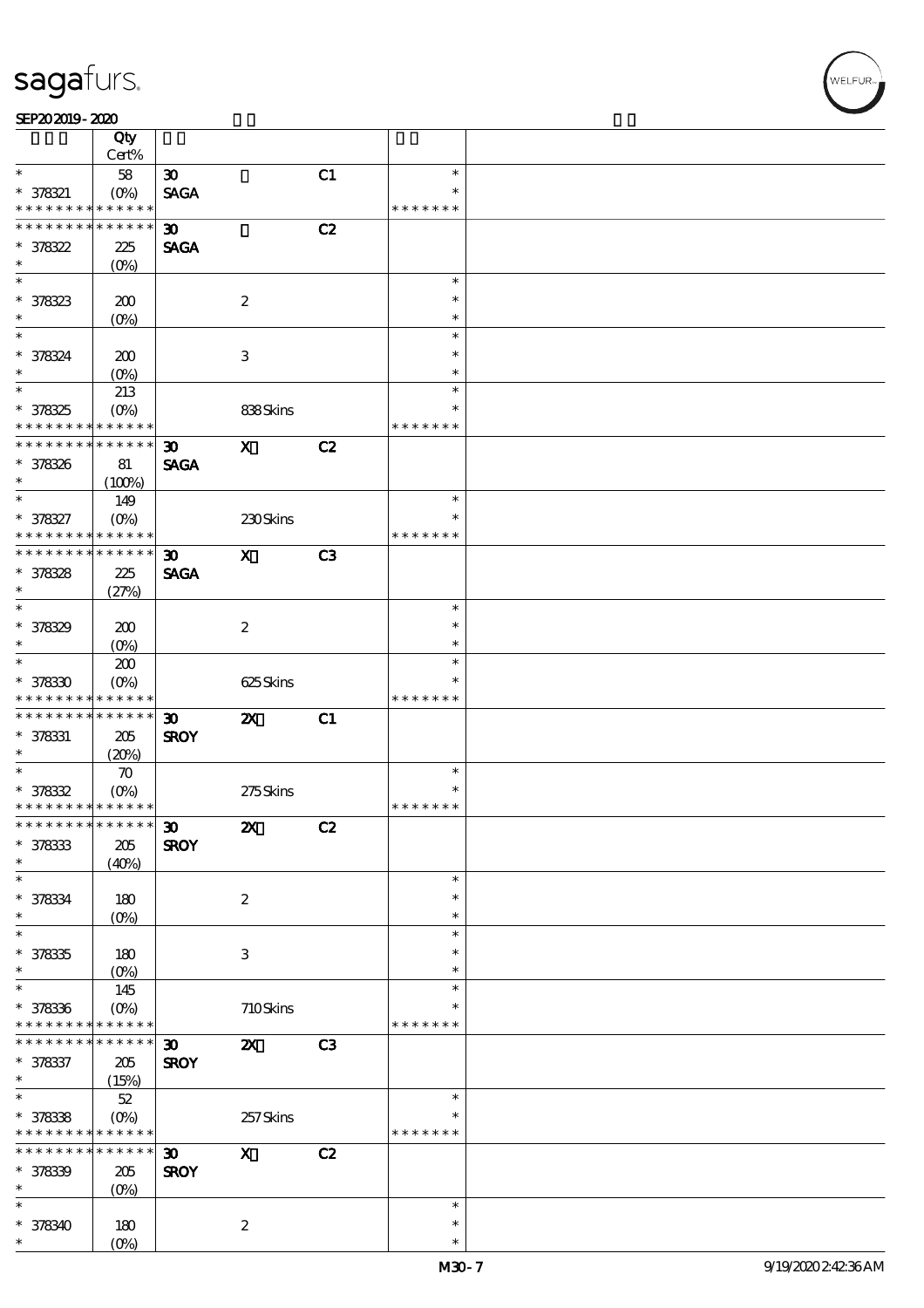#### SEP202019-2020

|                                            | Qty<br>Cert%           |                             |                           |    |               |  |
|--------------------------------------------|------------------------|-----------------------------|---------------------------|----|---------------|--|
| $\ast$                                     | 58                     | $\boldsymbol{\mathfrak{D}}$ |                           | C1 | $\ast$        |  |
|                                            |                        |                             |                           |    | $\ast$        |  |
| $* 378321$<br>* * * * * * * *              | $(O\%)$<br>* * * * * * | <b>SAGA</b>                 |                           |    | * * * * * * * |  |
|                                            |                        |                             |                           |    |               |  |
| * * * * * * * *                            | ******                 | $\boldsymbol{\mathfrak{D}}$ |                           | C2 |               |  |
| $* 378322$                                 | 225                    | <b>SAGA</b>                 |                           |    |               |  |
| $\ast$                                     | (O <sub>0</sub> )      |                             |                           |    |               |  |
|                                            |                        |                             |                           |    | $\ast$        |  |
| * 378323                                   | 200                    |                             | $\boldsymbol{2}$          |    | $\ast$        |  |
| $\ast$                                     | $(0\%)$                |                             |                           |    | $\ast$        |  |
| $\overline{\ast}$                          |                        |                             |                           |    | $\ast$        |  |
| * 378324                                   |                        |                             | 3                         |    | $\ast$        |  |
| $\ast$                                     | 200                    |                             |                           |    | $\ast$        |  |
| $\overline{\ast}$                          | $(O\!/\!\!\delta)$     |                             |                           |    |               |  |
|                                            | 213                    |                             |                           |    | $\ast$        |  |
| * 378325                                   | (O <sub>0</sub> )      |                             | 838Skins                  |    | $\ast$        |  |
| * * * * * * * *                            | * * * * * *            |                             |                           |    | * * * * * * * |  |
| ********                                   | $* * * * * * *$        | 30 <sub>o</sub>             | $\mathbf{x}$              | C2 |               |  |
| * 378326                                   | 81                     | <b>SAGA</b>                 |                           |    |               |  |
| $\ast$                                     | (100%)                 |                             |                           |    |               |  |
| $\ast$                                     | 149                    |                             |                           |    | $\ast$        |  |
| * 378327                                   | $(O\%)$                |                             | 230Skins                  |    | $\ast$        |  |
| * * * * * * * *                            | * * * * * *            |                             |                           |    | * * * * * * * |  |
| * * * * * * * * <mark>* * * * * * *</mark> |                        | $\boldsymbol{\mathfrak{D}}$ | $\mathbf{x}$              | C3 |               |  |
|                                            |                        |                             |                           |    |               |  |
| * 378328                                   | 225                    | <b>SAGA</b>                 |                           |    |               |  |
| $\ast$<br>$\overline{\ast}$                | (27%)                  |                             |                           |    |               |  |
|                                            |                        |                             |                           |    | $\ast$        |  |
| * 378329                                   | 200                    |                             | $\boldsymbol{2}$          |    | $\ast$        |  |
| $\ast$                                     | (O <sub>0</sub> )      |                             |                           |    | $\ast$        |  |
| $\overline{\phantom{0}}$                   | 200                    |                             |                           |    | $\ast$        |  |
| $*378330$                                  | $(O\%)$                |                             | 625Skins                  |    |               |  |
| * * * * * * * *                            | * * * * * *            |                             |                           |    | * * * * * * * |  |
| * * * * * * * * <mark>*</mark>             | $* * * * * * *$        | $\boldsymbol{\mathfrak{D}}$ | $\boldsymbol{\mathsf{Z}}$ | C1 |               |  |
| $* 378331$                                 | 205                    | <b>SROY</b>                 |                           |    |               |  |
| $\ast$                                     | (20%)                  |                             |                           |    |               |  |
| $\overline{\ast}$                          | $\boldsymbol{\pi}$     |                             |                           |    | $\ast$        |  |
| $* 378332$                                 |                        |                             |                           |    | $\ast$        |  |
| * * * * * * * * <mark>* * * * * * *</mark> | $(O\%)$                |                             | 275Skins                  |    | * * * * * * * |  |
|                                            |                        |                             |                           |    |               |  |
| *************** 30                         |                        |                             | $\boldsymbol{\mathsf{Z}}$ | C2 |               |  |
| $* 378333$                                 | 205                    | <b>SROY</b>                 |                           |    |               |  |
| $\ast$                                     | (40%)                  |                             |                           |    |               |  |
| $\ast$                                     |                        |                             |                           |    | $\ast$        |  |
| * 378334                                   | 180                    |                             | $\boldsymbol{2}$          |    | $\ast$        |  |
| $\ast$                                     | $(0\%)$                |                             |                           |    | $\ast$        |  |
| $\ast$                                     |                        |                             |                           |    | $\ast$        |  |
| $* 378335$                                 | 180                    |                             | 3                         |    | *             |  |
| $\ast$                                     | $(O\!/\!\!\delta)$     |                             |                           |    | $\ast$        |  |
| $\ast$                                     | 145                    |                             |                           |    | $\ast$        |  |
| $* 378336$                                 | $(O\%)$                |                             | 710Skins                  |    |               |  |
| * * * * * * * *                            | * * * * * *            |                             |                           |    | * * * * * * * |  |
| * * * * * * * *                            | $* * * * * * *$        | $\boldsymbol{\mathfrak{D}}$ | $\boldsymbol{\mathsf{X}}$ | C3 |               |  |
|                                            |                        |                             |                           |    |               |  |
| * 378337                                   | 205                    | <b>SROY</b>                 |                           |    |               |  |
| $\ast$                                     | (15%)                  |                             |                           |    |               |  |
| $\overline{\ast}$                          | $52\,$                 |                             |                           |    | $\ast$        |  |
| $* 378338$                                 | $(O\%)$                |                             | 257Skins                  |    |               |  |
| * * * * * * * * <mark>* * * * * *</mark>   |                        |                             |                           |    | * * * * * * * |  |
| * * * * * * * *                            | $* * * * * * *$        | $\boldsymbol{\mathfrak{D}}$ | $\boldsymbol{\mathrm{X}}$ | C2 |               |  |
| * 378339                                   | $205\,$                | <b>SROY</b>                 |                           |    |               |  |
| $\ast$                                     | (O <sub>0</sub> )      |                             |                           |    |               |  |
| $\ast$                                     |                        |                             |                           |    | $\ast$        |  |
| $* 378340$                                 | 180                    |                             | $\boldsymbol{2}$          |    | $\ast$        |  |
| $\ast$                                     | $(O\%)$                |                             |                           |    | $\ast$        |  |
|                                            |                        |                             |                           |    |               |  |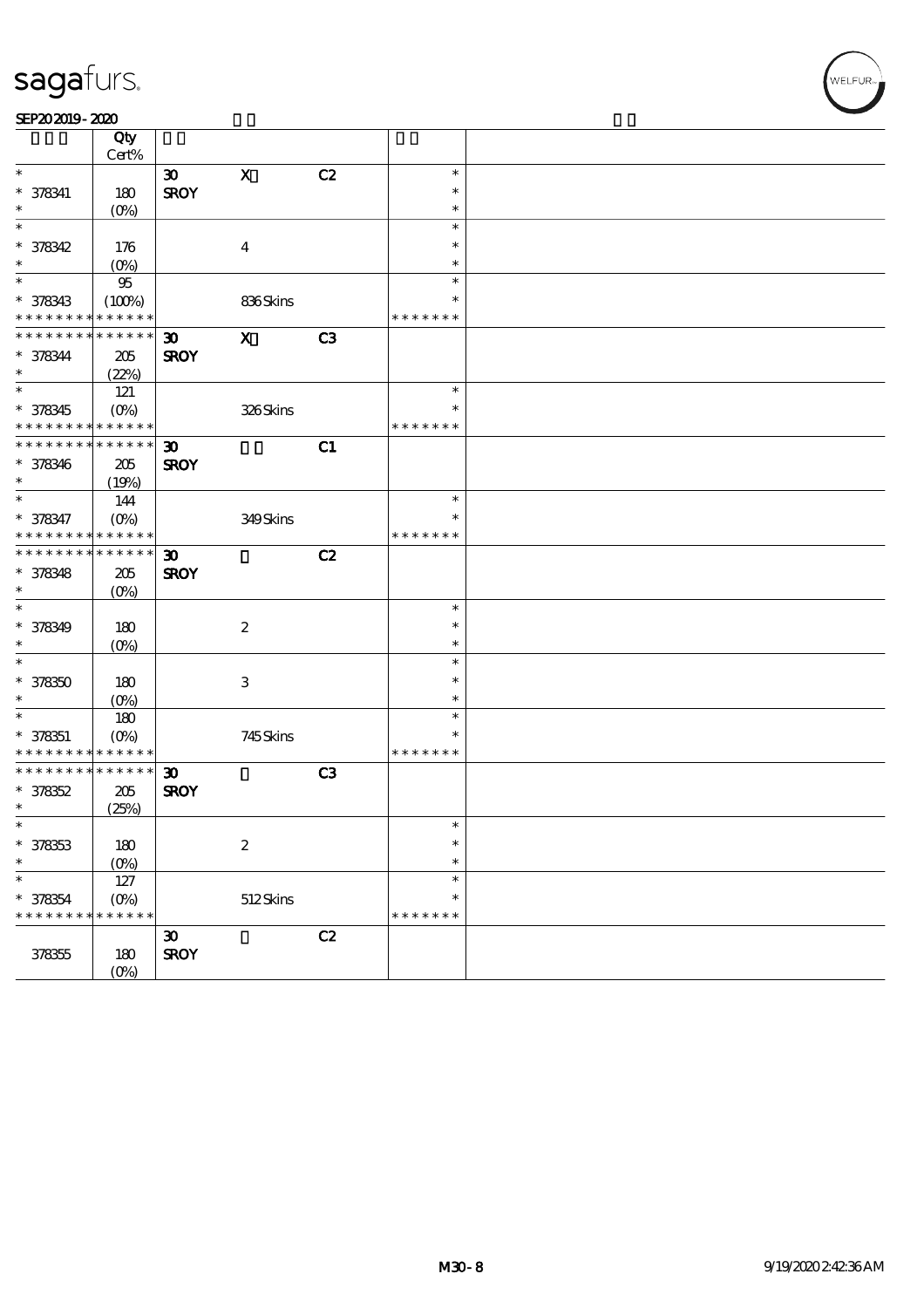#### SEP202019-2020

|                      | Qty                        |                             |                  |    |               |  |
|----------------------|----------------------------|-----------------------------|------------------|----|---------------|--|
|                      | Cert%                      |                             |                  |    |               |  |
| $\ast$               |                            | $\boldsymbol{\mathfrak{D}}$ | $\mathbf X$      | C2 | $\ast$        |  |
| $* 378341$           | 180                        | <b>SROY</b>                 |                  |    | $\ast$        |  |
| $\ast$               | (O <sub>0</sub> )          |                             |                  |    | $\ast$        |  |
| $\ast$               |                            |                             |                  |    | $\ast$        |  |
| $* 378342$           | 176                        |                             | $\boldsymbol{4}$ |    | $\ast$        |  |
| $\ast$               | $(0\%)$                    |                             |                  |    | $\ast$        |  |
| $\ast$               | $95\,$                     |                             |                  |    | $\ast$        |  |
| $* 378343$           | (100%)                     |                             | 836Skins         |    | ∗             |  |
| * * * * * * * *      | * * * * * *                |                             |                  |    | * * * * * * * |  |
| * * * * * * * *      | * * * * * *                | $\boldsymbol{\mathfrak{D}}$ | $\mathbf x$      | C3 |               |  |
|                      |                            |                             |                  |    |               |  |
| $* 378344$<br>$\ast$ | 205                        | <b>SROY</b>                 |                  |    |               |  |
| $\overline{\ast}$    | (22%)                      |                             |                  |    |               |  |
|                      | 121                        |                             |                  |    | $\ast$        |  |
| $* 378345$           | $(O\%)$                    |                             | 326Skins         |    | $\ast$        |  |
| * * * * * * * *      | * * * * * *                |                             |                  |    | * * * * * * * |  |
| * * * * * * * *      | $\ast\ast\ast\ast\ast\ast$ | $\boldsymbol{\mathfrak{D}}$ |                  | C1 |               |  |
| * 378346             | 205                        | <b>SROY</b>                 |                  |    |               |  |
| $\ast$               | (19%)                      |                             |                  |    |               |  |
| $\ast$               | 144                        |                             |                  |    | $\ast$        |  |
| $* 378347$           | $(O\%)$                    |                             | 349Skins         |    | $\ast$        |  |
| * * * * * * * *      | * * * * * *                |                             |                  |    | * * * * * * * |  |
| * * * * * * * *      | $\ast\ast\ast\ast\ast\ast$ | $\boldsymbol{\mathfrak{D}}$ |                  | C2 |               |  |
| $* 378348$           | 205                        | <b>SROY</b>                 |                  |    |               |  |
| $\ast$               | $(0\%)$                    |                             |                  |    |               |  |
| $\ast$               |                            |                             |                  |    | $\ast$        |  |
| $* 378349$           | 180                        |                             | $\boldsymbol{z}$ |    | $\ast$        |  |
| $\ast$               | $(O\%)$                    |                             |                  |    | $\ast$        |  |
| $\ast$               |                            |                             |                  |    | $\ast$        |  |
|                      |                            |                             |                  |    | $\ast$        |  |
| $* 378350$<br>$\ast$ | 180                        |                             | 3                |    | $\ast$        |  |
| $\ast$               | $(O\%)$                    |                             |                  |    |               |  |
|                      | 180                        |                             |                  |    | $\ast$        |  |
| $* 378351$           | $(0\%)$                    |                             | 745Skins         |    | $\ast$        |  |
| * * * * * * * *      | * * * * * *                |                             |                  |    | * * * * * * * |  |
| * * * * * * * *      | * * * * * *                | $\boldsymbol{\mathfrak{D}}$ |                  | C3 |               |  |
| $* 378352$           | 205                        | <b>SROY</b>                 |                  |    |               |  |
| $\ast$               | (25%)                      |                             |                  |    |               |  |
| $\ast$               |                            |                             |                  |    | $\ast$        |  |
| $* 378353$           | 180                        |                             | $\boldsymbol{2}$ |    | $\ast$        |  |
| $\ast$               | $(O\%)$                    |                             |                  |    | $\ast$        |  |
| $\ast$               | 127                        |                             |                  |    | $\ast$        |  |
| $* 378354$           | $(O\%)$                    |                             | 512Skins         |    | $\ast$        |  |
| * * * * * * * *      | * * * * * *                |                             |                  |    | * * * * * * * |  |
|                      |                            | $\boldsymbol{\mathfrak{D}}$ |                  | C2 |               |  |
| 378355               | 180                        | <b>SROY</b>                 |                  |    |               |  |
|                      | (O <sub>0</sub> )          |                             |                  |    |               |  |
|                      |                            |                             |                  |    |               |  |

**V**<br>WELFUR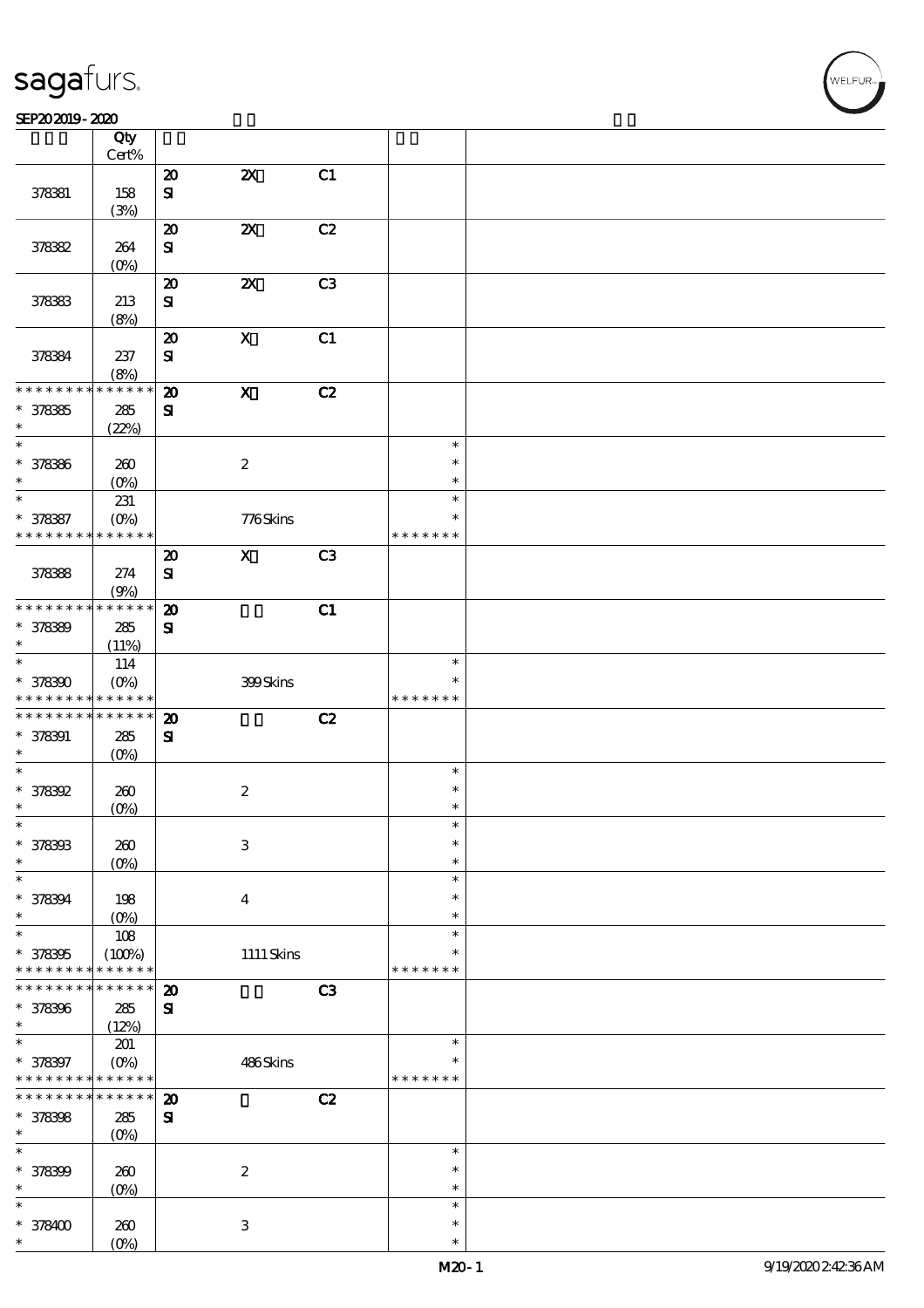#### SEP202019-2020

|                    | Qty                 |                             |                           |                |                  |  |
|--------------------|---------------------|-----------------------------|---------------------------|----------------|------------------|--|
|                    | Cert%               |                             |                           |                |                  |  |
|                    |                     | $\boldsymbol{\mathbf{z}}$   | $\boldsymbol{\mathsf{z}}$ | C1             |                  |  |
| 378381             | 158                 | ${\bf S}$                   |                           |                |                  |  |
|                    | (3%)                | $\boldsymbol{\mathfrak{D}}$ | $\boldsymbol{\mathsf{z}}$ | C2             |                  |  |
| 378382             | 264                 | ${\bf S}$                   |                           |                |                  |  |
|                    | (O <sub>0</sub> )   |                             |                           |                |                  |  |
|                    |                     | $\boldsymbol{\mathbf{z}}$   | $\boldsymbol{\mathsf{z}}$ | C3             |                  |  |
| 378383             | 213                 | ${\bf S\hspace{-.075ex}I}$  |                           |                |                  |  |
|                    | (8%)                |                             |                           |                |                  |  |
|                    |                     | $\boldsymbol{\mathsf{20}}$  | $\mathbf X$               | C1             |                  |  |
| 378384             | 237                 | $\mathbf{S}$                |                           |                |                  |  |
|                    | (8%)                |                             |                           |                |                  |  |
| * * * * * * *      | * * * * * *         | $\boldsymbol{\mathbf{z}}$   | $\boldsymbol{\mathrm{X}}$ | C2             |                  |  |
| $* 378365$         | 285                 | $\mathbf{S}$                |                           |                |                  |  |
| $\ast$             | (22%)               |                             |                           |                |                  |  |
| $\ast$             |                     |                             |                           |                | $\ast$           |  |
| * 378386           | 260                 |                             | $\boldsymbol{2}$          |                | $\ast$           |  |
| $\ast$             | $(O\!/\!\!\delta)$  |                             |                           |                | $\ast$           |  |
| $\ast$             | 231                 |                             |                           |                | $\ast$           |  |
| * 378387           | $(O\%)$             |                             | 776Skins                  |                | $\ast$           |  |
| * * * * * * * *    | * * * * * *         |                             |                           |                | * * * * * * *    |  |
|                    |                     | $\boldsymbol{\mathbf{z}}$   | $\boldsymbol{\mathsf{X}}$ | C <sub>3</sub> |                  |  |
| 378388             | 274                 | ${\bf S}$                   |                           |                |                  |  |
| * * * * * * * *    | (9%)<br>* * * * * * | $\boldsymbol{\mathsf{20}}$  |                           | C1             |                  |  |
| * 378389           | 285                 | ${\bf s}$                   |                           |                |                  |  |
| $\ast$             | (11%)               |                             |                           |                |                  |  |
| $\ast$             | 114                 |                             |                           |                | $\ast$           |  |
| $* 378300$         | $(O\%)$             |                             | 399Skins                  |                | $\ast$           |  |
| * * * * * * * *    | * * * * * *         |                             |                           |                | * * * * * * *    |  |
| * * * * * * * *    | $* * * * * * *$     | $\boldsymbol{\mathbf{z}}$   |                           | C2             |                  |  |
| $* 378391$         | 285                 | ${\bf s}$                   |                           |                |                  |  |
| $\ast$             | (O <sub>0</sub> )   |                             |                           |                |                  |  |
| $\ast$             |                     |                             |                           |                | $\ast$           |  |
| * 378392           | 260                 |                             | $\boldsymbol{2}$          |                | $\ast$           |  |
| $\ast$             | $(0\%)$             |                             |                           |                | $\ast$           |  |
| $\ast$             |                     |                             |                           |                |                  |  |
| * 378393           | 260                 |                             | $\ensuremath{\mathbf{3}}$ |                | $\ast$           |  |
| $\ast$<br>$\ast$   | $(O\%)$             |                             |                           |                | $\ast$           |  |
|                    |                     |                             |                           |                | $\ast$<br>$\ast$ |  |
| * 378394<br>$\ast$ | 198<br>$(O\%)$      |                             | $\overline{\mathbf{4}}$   |                | $\ast$           |  |
| $\ast$             | $108$               |                             |                           |                | $\ast$           |  |
| * 378395           | (100%)              |                             | $1111$ Skins              |                | $\ast$           |  |
| * * * * * * * *    | * * * * * *         |                             |                           |                | * * * * * * *    |  |
| * * * * * * * *    | * * * * * *         | $\boldsymbol{\mathbf{z}}$   |                           | C3             |                  |  |
| * 378396           | 285                 | $\mathbf{S}$                |                           |                |                  |  |
| $\ast$             | (12%)               |                             |                           |                |                  |  |
| $\ast$             | 201                 |                             |                           |                | $\ast$           |  |
| * 378397           | $(O\%)$             |                             | 486Skins                  |                | ∗                |  |
| * * * * * * * *    | * * * * * *         |                             |                           |                | * * * * * * *    |  |
| * * * * * * *      | * * * * * *         | $\boldsymbol{\mathfrak{D}}$ |                           | C2             |                  |  |
| * 378398           | $285\,$             | ${\bf s}$                   |                           |                |                  |  |
| $\ast$             | $(O\!/\!\!\delta)$  |                             |                           |                |                  |  |
| $\ast$             |                     |                             |                           |                | $\ast$           |  |
| * 378399<br>$\ast$ | 260                 |                             | $\boldsymbol{2}$          |                | $\ast$<br>$\ast$ |  |
| $\ast$             | $(O\%)$             |                             |                           |                | $\ast$           |  |
| $*378400$          | 260                 |                             | $\ensuremath{\mathbf{3}}$ |                | $\ast$           |  |
| *                  | $(O\%)$             |                             |                           |                | $\ast$           |  |
|                    |                     |                             |                           |                |                  |  |

.<br>FUR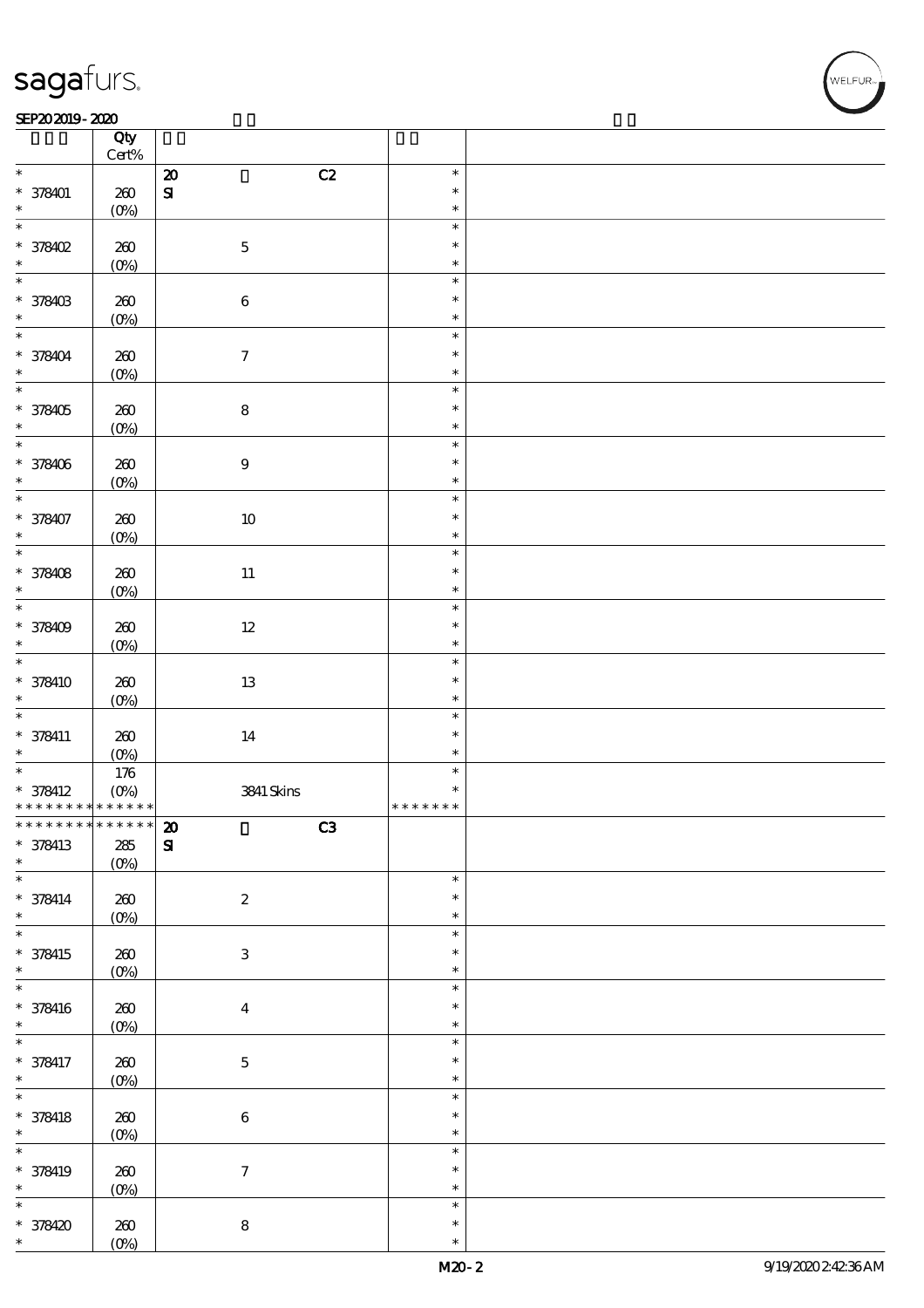#### SEP202019-2020  $\overline{\phantom{a}}$  Qty  $\overline{\phantom{a}}$

|                                            | Qty              |                           |                  |  |
|--------------------------------------------|------------------|---------------------------|------------------|--|
| $\ast$                                     | $\mbox{Cert}\%$  |                           | $\ast$           |  |
|                                            |                  | C2<br>$\pmb{\mathcal{Z}}$ | $\ast$           |  |
| $* 378401$<br>$\ast$                       | $200$<br>$(0\%)$ | $\boldsymbol{\mathrm{S}}$ | $\ast$           |  |
| $\ast$                                     |                  |                           | $\ast$           |  |
| * 378402                                   | $200$            | $\mathbf 5$               | $\ast$           |  |
| $\ast$                                     | $(0\%)$          |                           | $\ast$           |  |
| $\ast$                                     |                  |                           | $\ast$           |  |
| * 378403                                   | 260              | $\bf 6$                   | $\ast$           |  |
| $\ast$                                     | $(0\%)$          |                           | $\ast$           |  |
| $\overline{\ast}$                          |                  |                           | $\ast$           |  |
| $*378404$                                  | 260              | $\boldsymbol{7}$          | $\ast$           |  |
|                                            | $(0\%)$          |                           | $\ast$           |  |
| $\overline{\ast}$                          |                  |                           | $\ast$           |  |
| * 378405                                   | 260              | ${\bf 8}$                 | $\ast$           |  |
| $\ast$                                     | $(0\%)$          |                           | $\ast$           |  |
|                                            |                  |                           | $\ast$           |  |
| * 378406                                   | 260              | $\boldsymbol{9}$          | $\ast$           |  |
| $\ast$                                     | $(0\%)$          |                           | $\ast$           |  |
| $\overline{\ast}$                          |                  |                           | $\ast$           |  |
| * 378407                                   | $200$            | $10\,$                    | $\ast$           |  |
| $\ast$                                     | $(0\%)$          |                           | $\ast$           |  |
| $\ast$                                     |                  |                           | $\ast$           |  |
| * 378408                                   | 260              | $11\,$                    | $\ast$           |  |
| $\ast$                                     | $(0\%)$          |                           | $\ast$           |  |
| $\ast$                                     |                  |                           | $\ast$           |  |
| * 378409                                   | 260              | $12\,$                    | $\ast$           |  |
| $\ast$<br>$\overline{\ast}$                | $(O\%)$          |                           | $\ast$<br>$\ast$ |  |
| * 378410                                   |                  |                           | $\ast$           |  |
| $\ast$                                     | 260              | $13\,$                    | $\ast$           |  |
| $\overline{\ast}$                          | $(0\%)$          |                           | $\ast$           |  |
| $* 378411$                                 | 260              | 14                        | $\ast$           |  |
| $\ast$                                     | $(O\%)$          |                           | $\ast$           |  |
| $\ast$                                     | $176$            |                           | $\ast$           |  |
| $* 378412$                                 | $(O\%)$          | 3841 Skins                | $\ast$           |  |
| * * * * * * * * <mark>* * * * * * *</mark> |                  |                           | * * * * * * *    |  |
| *************** 20                         |                  | $\overline{\text{C3}}$    |                  |  |
| * 378413                                   | ${\bf 285}$      | $\mathbf{S}$              |                  |  |
| $\ast$                                     | $(0\%)$          |                           |                  |  |
| $\overline{\ast}$                          |                  |                           | $\ast$           |  |
| $* 378414$                                 | 260              | $\boldsymbol{2}$          | $\ast$           |  |
| $\ast$                                     | $(0\%)$          |                           | $\ast$           |  |
| $\overline{\ast}$                          |                  |                           | $\ast$           |  |
| * 378415                                   | $200$            | $\ensuremath{\mathbf{3}}$ | $\ast$           |  |
| $\ast$<br>$\overline{\ast}$                | $(0\%)$          |                           | $\ast$<br>$\ast$ |  |
|                                            |                  |                           | $\ast$           |  |
| $* 378416$<br>$\ast$                       | 260              | $\boldsymbol{4}$          | $\ast$           |  |
| $\overline{\ast}$                          | $(0\%)$          |                           | $\ast$           |  |
| * 378417                                   | 260              | $\mathbf 5$               | $\ast$           |  |
| $\ast$                                     | $(0\%)$          |                           | $\ast$           |  |
| $\ast$                                     |                  |                           | $\ast$           |  |
| $* 378418$                                 | $200$            | $\bf 6$                   | $\ast$           |  |
| $\ast$                                     | $(0\%)$          |                           | $\ast$           |  |
| $\overline{\ast}$                          |                  |                           | $\ast$           |  |
| * 378419                                   | $200$            | $\boldsymbol{7}$          | $\ast$           |  |
| $\ast$                                     | $(0\%)$          |                           | $\ast$           |  |
| $\overline{\ast}$                          |                  |                           | $\ast$           |  |
| $* 378420$                                 | $200$            | ${\bf 8}$                 | $\ast$           |  |
| $\ast$                                     | $(O\%)$          |                           | $\ast$           |  |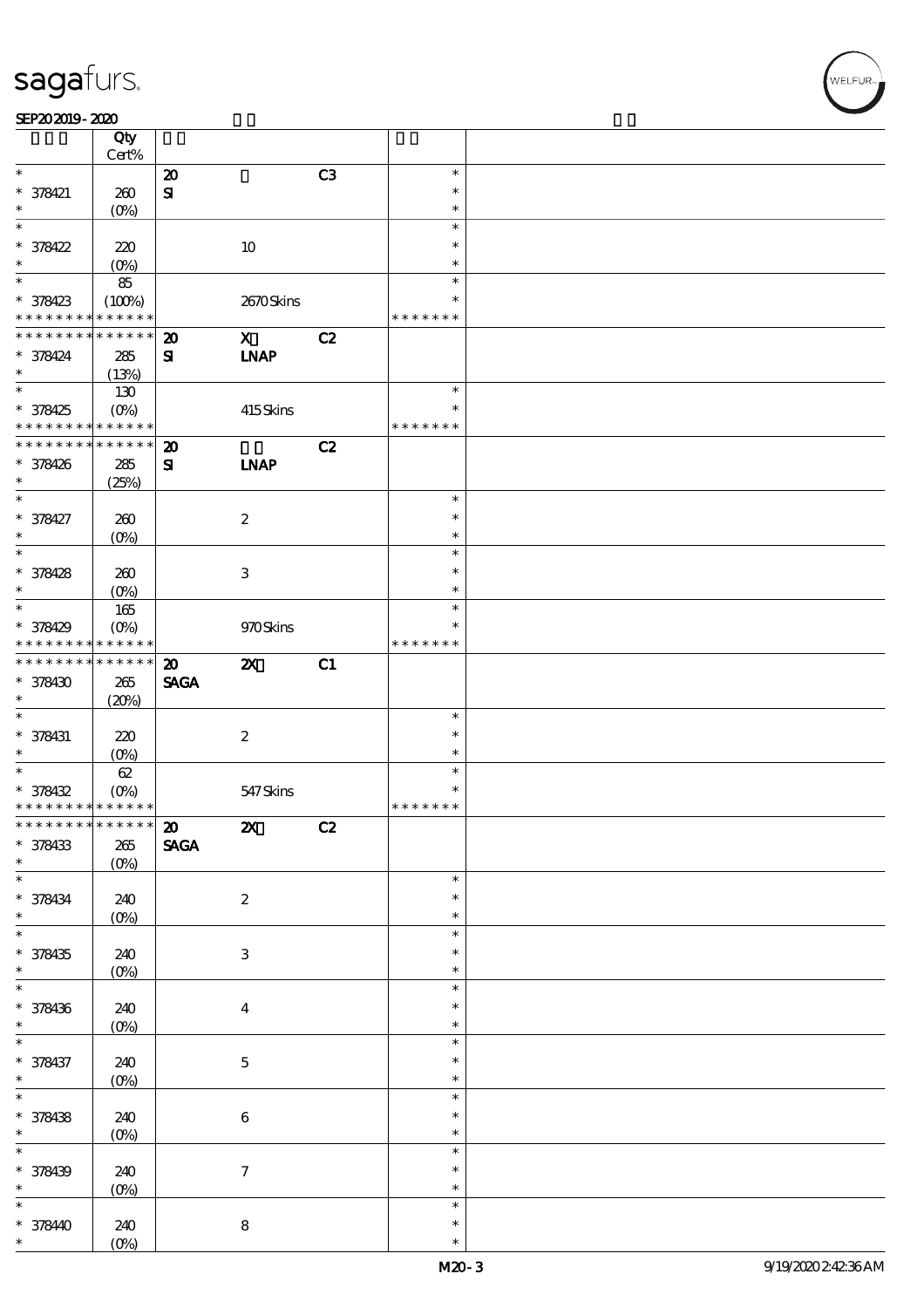#### SEP202019-2020  $\overline{\mathbf{r}}$

|                                         | Qty<br>Cert%      |                             |                           |    |                  |  |
|-----------------------------------------|-------------------|-----------------------------|---------------------------|----|------------------|--|
| $\ast$                                  |                   |                             |                           |    | $\ast$           |  |
|                                         |                   | $\boldsymbol{\mathsf{20}}$  |                           | C3 |                  |  |
| $* 378421$                              | 260               | $\mathbf{S}$                |                           |    | $\ast$           |  |
| *                                       | $(O\%)$           |                             |                           |    | $\ast$           |  |
| $\ast$                                  |                   |                             |                           |    | $\ast$           |  |
| $* 378422$                              | 220               |                             | 10                        |    | $\ast$           |  |
|                                         |                   |                             |                           |    |                  |  |
| $\ast$                                  | $(0\%)$           |                             |                           |    | $\ast$           |  |
| $\overline{\ast}$                       | $8\!5$            |                             |                           |    | $\ast$           |  |
| $* 378423$                              | (100%)            |                             | 2670Skins                 |    | $\ast$           |  |
| * * * * * * * *                         | * * * * * *       |                             |                           |    | * * * * * * *    |  |
| * * * * * * * *                         |                   |                             |                           |    |                  |  |
|                                         | * * * * * *       | $\boldsymbol{\mathbf{z}}$   | $\mathbf x$               | C2 |                  |  |
| * 378424                                | 285               | ${\bf s}$                   | <b>INAP</b>               |    |                  |  |
| $\ast$                                  | (13%)             |                             |                           |    |                  |  |
| $\overline{\ast}$                       | 130               |                             |                           |    | $\ast$           |  |
| * 378425                                | $(O\!/\!o)$       |                             |                           |    | $\ast$           |  |
|                                         |                   |                             | 415Skins                  |    |                  |  |
| * * * * * * * *                         | * * * * * *       |                             |                           |    | * * * * * * *    |  |
| * * * * * * * *                         | $* * * * * * *$   | $\boldsymbol{\mathsf{20}}$  |                           | C2 |                  |  |
| * 378426                                | 285               | ${\bf s}$                   | <b>INAP</b>               |    |                  |  |
| $\ast$                                  | (25%)             |                             |                           |    |                  |  |
| $\ast$                                  |                   |                             |                           |    | $\ast$           |  |
|                                         |                   |                             |                           |    |                  |  |
| * 378427                                | 260               |                             | $\boldsymbol{2}$          |    | $\ast$           |  |
| $\ast$                                  | (O <sub>0</sub> ) |                             |                           |    | $\ast$           |  |
| $\ast$                                  |                   |                             |                           |    | $\ast$           |  |
| * 378428                                | 260               |                             | $\,3$                     |    | $\ast$           |  |
| $\ast$                                  |                   |                             |                           |    | $\ast$           |  |
|                                         | $(O\%)$           |                             |                           |    |                  |  |
| $\ast$                                  | 165               |                             |                           |    | $\ast$           |  |
| * 378429                                | (O <sub>0</sub> ) |                             | 970Skins                  |    | $\ast$           |  |
| * * * * * * * *                         | * * * * * *       |                             |                           |    | * * * * * * *    |  |
| * * * * * * * *                         | * * * * * *       | $\boldsymbol{\mathfrak{D}}$ | $\boldsymbol{\mathsf{z}}$ | C1 |                  |  |
|                                         |                   |                             |                           |    |                  |  |
| * 378430                                | $265\,$           | <b>SAGA</b>                 |                           |    |                  |  |
| $\ast$                                  | (20%)             |                             |                           |    |                  |  |
| $\ast$                                  |                   |                             |                           |    | $\ast$           |  |
| * 378431                                | 220               |                             | $\boldsymbol{2}$          |    | $\ast$           |  |
|                                         |                   |                             |                           |    |                  |  |
|                                         |                   |                             |                           |    |                  |  |
| $\ast$                                  | $(O\%)$           |                             |                           |    | $\ast$           |  |
| $\ast$                                  | 62                |                             |                           |    | $\ast$           |  |
| * 378432                                | $(O\%)$           |                             | 547 Skins                 |    | $\ast$           |  |
| * * * * * * * * * * * * * *             |                   |                             |                           |    | * * * * * * *    |  |
|                                         |                   |                             |                           |    |                  |  |
| ************** 20                       |                   |                             | $\boldsymbol{\mathsf{Z}}$ | C2 |                  |  |
| * 378433                                | $265\,$           | <b>SAGA</b>                 |                           |    |                  |  |
|                                         | $(0\%)$           |                             |                           |    |                  |  |
| $\ast$<br>$\ast$                        |                   |                             |                           |    | $\ast$           |  |
|                                         | 240               |                             | $\boldsymbol{2}$          |    | $\ast$           |  |
|                                         |                   |                             |                           |    | $\ast$           |  |
|                                         | $(0\%)$           |                             |                           |    | $\ast$           |  |
| $* 378434$<br>$\ast$<br>$\ast$          |                   |                             |                           |    |                  |  |
| * 378435                                | 240               |                             | $\ensuremath{\mathbf{3}}$ |    | $\ast$           |  |
| $\ast$                                  | $(0\%)$           |                             |                           |    | $\ast$           |  |
| $\ast$                                  |                   |                             |                           |    | $\ast$           |  |
|                                         |                   |                             |                           |    | $\ast$           |  |
|                                         | 240               |                             | $\boldsymbol{4}$          |    |                  |  |
|                                         | $(0\%)$           |                             |                           |    | $\ast$           |  |
| * 378436<br>$\ast$<br>$\ast$            |                   |                             |                           |    | $\ast$           |  |
|                                         | 240               |                             | $\bf 5$                   |    | $\ast$           |  |
|                                         |                   |                             |                           |    | $\ast$           |  |
| * 378437<br>$\ast$<br>$\overline{\ast}$ | $(0\%)$           |                             |                           |    | $\ast$           |  |
|                                         |                   |                             |                           |    |                  |  |
| * 378438                                | 240               |                             | $\bf 6$                   |    | $\ast$           |  |
| $\ast$                                  | $(0\%)$           |                             |                           |    | $\ast$           |  |
| $\overline{\ast}$                       |                   |                             |                           |    | $\ast$           |  |
|                                         |                   |                             |                           |    | $\ast$           |  |
| * 378439<br>$\ast$                      | 240               |                             | $\boldsymbol{7}$          |    | $\ast$           |  |
|                                         | $(0\%)$           |                             |                           |    |                  |  |
| $\ast$                                  |                   |                             |                           |    | $\ast$           |  |
| * 378440                                | 240<br>$(O\%)$    |                             | ${\bf 8}$                 |    | $\ast$<br>$\ast$ |  |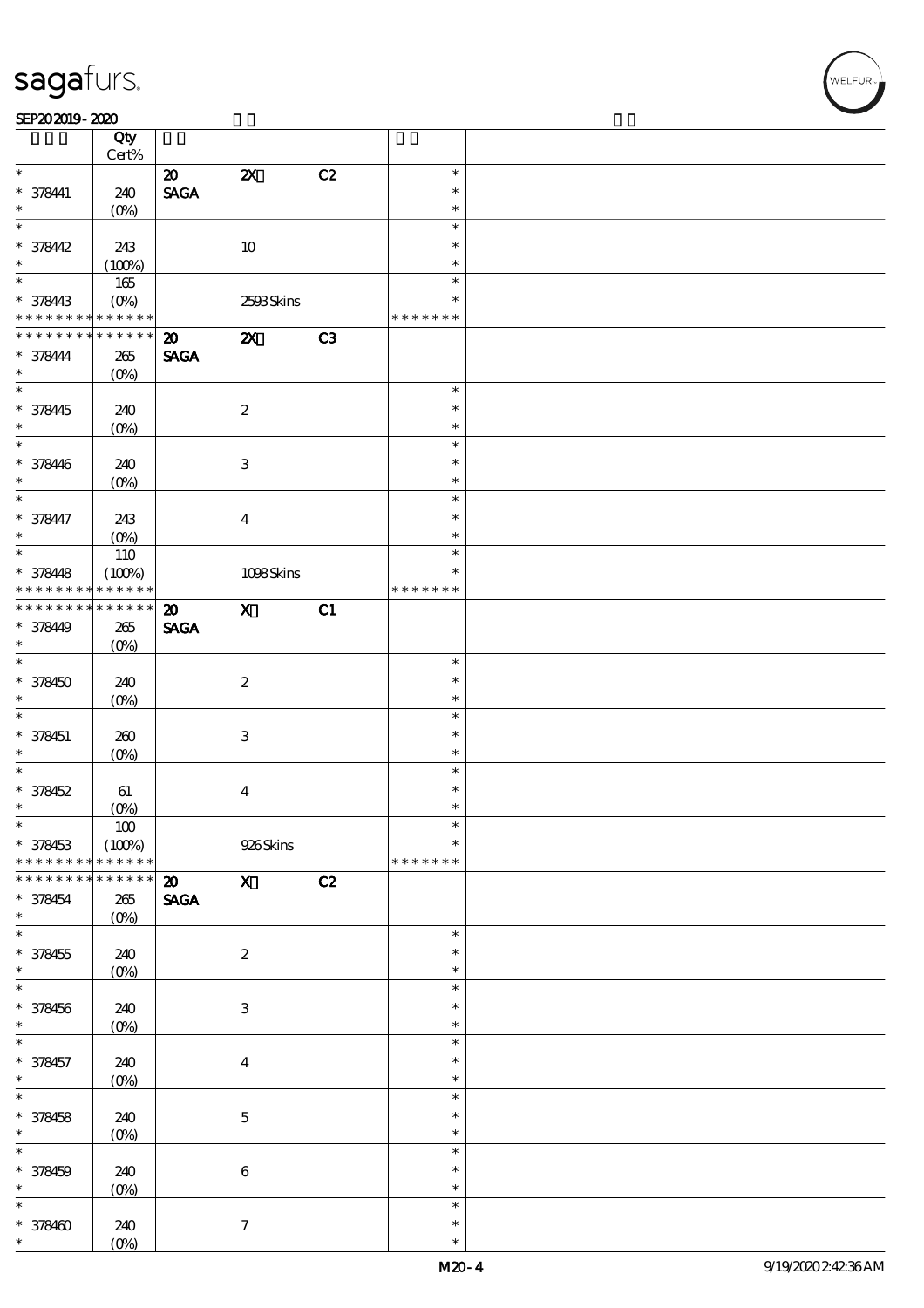$\top$ 

|                   | Qty               |                                |                           |    |               |  |
|-------------------|-------------------|--------------------------------|---------------------------|----|---------------|--|
|                   | Cert%             |                                |                           |    |               |  |
| $\ast$            |                   | $\boldsymbol{\mathfrak{D}}$    | $\boldsymbol{\mathsf{z}}$ | C2 | $\ast$        |  |
| $* 378411$        | 240               | $\operatorname{\mathsf{SAGA}}$ |                           |    | $\ast$        |  |
| $\ast$            | (O <sub>0</sub> ) |                                |                           |    | $\ast$        |  |
| $\ast$            |                   |                                |                           |    | $\ast$        |  |
| $* 378442$        | 243               |                                | $10\,$                    |    | $\ast$        |  |
| $\ast$            | (100%)            |                                |                           |    | $\ast$        |  |
|                   | 165               |                                |                           |    | $\ast$        |  |
| * 378443          | $(O\%)$           |                                | 2593Skins                 |    | $\ast$        |  |
| * * * * * * * *   | * * * * * *       |                                |                           |    | * * * * * * * |  |
| * * * * * * * *   | * * * * * *       | $\boldsymbol{\mathfrak{D}}$    | $\boldsymbol{\mathsf{X}}$ | C3 |               |  |
| $* 378444$        | $265\,$           | <b>SAGA</b>                    |                           |    |               |  |
| $\ast$            | $(O\%)$           |                                |                           |    |               |  |
|                   |                   |                                |                           |    | $\ast$        |  |
| * 378445          | 240               |                                | $\boldsymbol{2}$          |    | $\ast$        |  |
| $\ast$            | $(O\%)$           |                                |                           |    | $\ast$        |  |
| $\ast$            |                   |                                |                           |    | $\ast$        |  |
| * 378446          | 240               |                                | $\ensuremath{\mathbf{3}}$ |    | $\ast$        |  |
| $\ast$            | $(O\%)$           |                                |                           |    | $\ast$        |  |
| $\ast$            |                   |                                |                           |    | $\ast$        |  |
| * 378447          | 243               |                                | $\boldsymbol{4}$          |    | $\ast$        |  |
| $\ast$            | (O <sub>0</sub> ) |                                |                           |    | $\ast$        |  |
| $\ast$            | 110               |                                |                           |    | $\ast$        |  |
| $* 378448$        | (100%)            |                                | 1098Skins                 |    | $\ast$        |  |
| * * * * * * * *   | * * * * * *       |                                |                           |    | * * * * * * * |  |
| * * * * * * * *   | $* * * * * * *$   | $\boldsymbol{\mathfrak{D}}$    | $\mathbf x$               | C1 |               |  |
| * 378449          | 265               | <b>SAGA</b>                    |                           |    |               |  |
| $\ast$            | $(O\%)$           |                                |                           |    |               |  |
| $\ast$            |                   |                                |                           |    | $\ast$        |  |
| * 378450          | 240               |                                | $\boldsymbol{2}$          |    | $\ast$        |  |
| $\ast$            | $(O\%)$           |                                |                           |    | $\ast$        |  |
| $\ast$            |                   |                                |                           |    | $\ast$        |  |
| * 378451          | 260               |                                | $\ensuremath{\mathbf{3}}$ |    | $\ast$        |  |
| $\ast$            | $(O\%)$           |                                |                           |    | $\ast$        |  |
| $\ast$            |                   |                                |                           |    | $\ast$        |  |
| $* 378452$        | 61                |                                | $\boldsymbol{4}$          |    | $\ast$        |  |
| $\ast$            | (O <sub>0</sub> ) |                                |                           |    | $\ast$        |  |
| $\ast$            | $100\,$           |                                |                           |    | $\ast$        |  |
| * 378453          | (100%)            |                                | 926Skins                  |    | $\ast$        |  |
| * * * * * * * *   | * * * * * *       |                                |                           |    | * * * * * * * |  |
| * * * * * * *     | * * * * * *       | $\boldsymbol{\mathfrak{D}}$    | $\mathbf{X}$              | C2 |               |  |
| * 378454          | 265               | <b>SAGA</b>                    |                           |    |               |  |
| $\ast$            | $(O\%)$           |                                |                           |    |               |  |
| $\overline{\ast}$ |                   |                                |                           |    | $\ast$        |  |
| $* 378455$        | 240               |                                | $\boldsymbol{2}$          |    | $\ast$        |  |
| $\ast$            | $(0\%)$           |                                |                           |    | $\ast$        |  |
| $\ast$            |                   |                                |                           |    | $\ast$        |  |
| $* 378456$        | 240               |                                | $\ensuremath{\mathbf{3}}$ |    | $\ast$        |  |
| $\ast$            | $(0\%)$           |                                |                           |    | $\ast$        |  |
| $\ast$            |                   |                                |                           |    | $\ast$        |  |
| * 378457          | 240               |                                | $\boldsymbol{4}$          |    | $\ast$        |  |
| $\ast$            | $(0\%)$           |                                |                           |    | $\ast$        |  |
| $\overline{\ast}$ |                   |                                |                           |    | $\ast$        |  |
| $* 378458$        | 240               |                                | $\bf 5$                   |    | $\ast$        |  |
| $\ast$            | $(0\%)$           |                                |                           |    | $\ast$        |  |
| $\ast$            |                   |                                |                           |    | $\ast$        |  |
| $* 378459$        | 240               |                                | $\bf 6$                   |    | $\ast$        |  |
| $\ast$            | $(0\%)$           |                                |                           |    | $\ast$        |  |
| $\ast$            |                   |                                |                           |    | $\ast$        |  |
| $* 378400$        | 240               |                                | $\tau$                    |    | $\ast$        |  |
| $\ast$            | $(O\%)$           |                                |                           |    | $\ast$        |  |

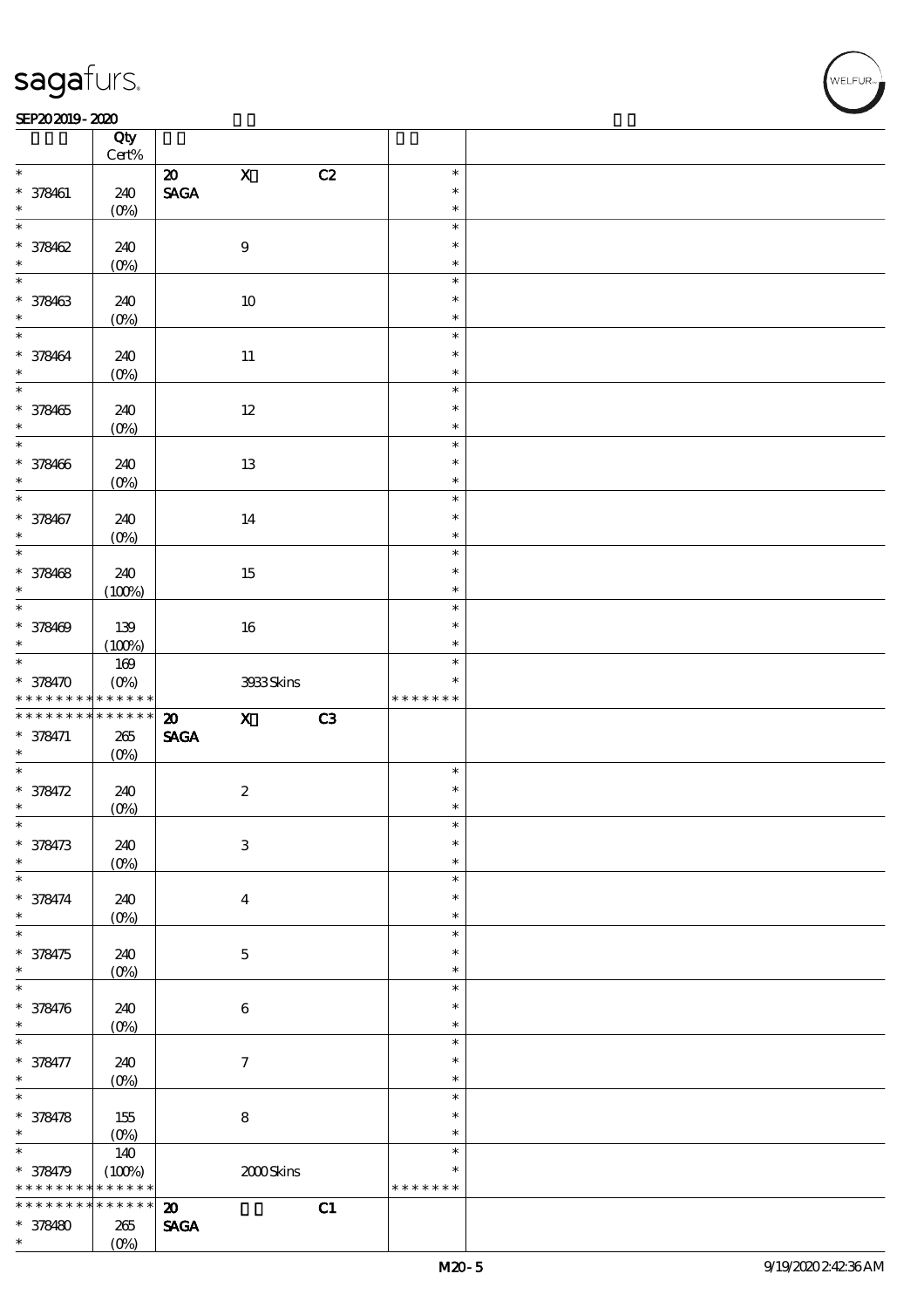#### $SEP202019 - 2020$

|                                | Qty<br>$\mbox{Cert}\%$ |                                |                           |    |               |  |
|--------------------------------|------------------------|--------------------------------|---------------------------|----|---------------|--|
| $\ast$                         |                        |                                | $\mathbf X$               |    | $\ast$        |  |
|                                |                        | $\boldsymbol{\mathfrak{D}}$    |                           | C2 |               |  |
| $* 378461$                     | 240                    | $\operatorname{\mathsf{SAGA}}$ |                           |    | $\ast$        |  |
| $\ast$                         | $(O\%)$                |                                |                           |    | $\ast$        |  |
| $\overline{\ast}$              |                        |                                |                           |    | $\ast$        |  |
| $* 378462$                     | 240                    |                                | $\boldsymbol{9}$          |    | $\ast$        |  |
| $\ast$                         | $(0\%)$                |                                |                           |    | $\ast$        |  |
| $\overline{\ast}$              |                        |                                |                           |    | $\ast$        |  |
|                                |                        |                                |                           |    |               |  |
| $* 378463$                     | 240                    |                                | $10\,$                    |    | $\ast$        |  |
| $\ast$                         | $(0\%)$                |                                |                           |    | $\ast$        |  |
| $\overline{\ast}$              |                        |                                |                           |    | $\ast$        |  |
| * 378464                       | 240                    |                                | $11\,$                    |    | $\ast$        |  |
| $\ast$                         | $(O\%)$                |                                |                           |    | $\ast$        |  |
| $\overline{\ast}$              |                        |                                |                           |    | $\ast$        |  |
|                                |                        |                                |                           |    | $\ast$        |  |
| $* 378465$                     | 240                    |                                | $12\,$                    |    |               |  |
| $\ast$                         | $(O\%)$                |                                |                           |    | $\ast$        |  |
| $\overline{\ast}$              |                        |                                |                           |    | $\ast$        |  |
| * 378466                       | 240                    |                                | 13                        |    | $\ast$        |  |
| $\ast$                         | $(O\%)$                |                                |                           |    | $\ast$        |  |
| $\overline{\ast}$              |                        |                                |                           |    | $\ast$        |  |
| * 378467                       | 240                    |                                | 14                        |    | $\ast$        |  |
| $\ast$                         |                        |                                |                           |    | $\ast$        |  |
| $\overline{\ast}$              | (O <sub>0</sub> )      |                                |                           |    |               |  |
|                                |                        |                                |                           |    | $\ast$        |  |
| * 378468                       | 240                    |                                | 15                        |    | $\ast$        |  |
| $\ast$                         | (100%)                 |                                |                           |    | $\ast$        |  |
| $\overline{\ast}$              |                        |                                |                           |    | $\ast$        |  |
| * 378469                       | 139                    |                                | 16                        |    | $\ast$        |  |
| $\ast$                         |                        |                                |                           |    | $\ast$        |  |
|                                | (100%)                 |                                |                           |    |               |  |
|                                | $169$                  |                                |                           |    | $\ast$        |  |
| * 378470                       | $(O\%)$                |                                | 3933Skins                 |    | $\ast$        |  |
|                                | $******$               |                                |                           |    | * * * * * * * |  |
| * * * * * * * * <mark>*</mark> |                        |                                |                           |    |               |  |
| * * * * * * * *                | $******$               | $\boldsymbol{\mathbf{z}}$      | $\mathbf{x}$              |    |               |  |
|                                |                        |                                |                           | C3 |               |  |
| $* 378471$<br>$\ast$           | $265\,$                | $\operatorname{\mathsf{SAGA}}$ |                           |    |               |  |
|                                | $(O\%)$                |                                |                           |    |               |  |
| $\overline{\ast}$              |                        |                                |                           |    | $\ast$        |  |
| * 378472                       | 240                    |                                | $\boldsymbol{2}$          |    | $\ast$        |  |
| $\ast$                         | $(0\%)$                |                                |                           |    | $\ast$        |  |
| $\ast$                         |                        |                                |                           |    | $\ast$        |  |
| $* 378473$                     | 240                    |                                | $\ensuremath{\mathbf{3}}$ |    | $\ast$        |  |
| $\ast$                         | $(0\%)$                |                                |                           |    | $\ast$        |  |
| $\ast$                         |                        |                                |                           |    | $\ast$        |  |
|                                |                        |                                |                           |    | $\ast$        |  |
| * 378474<br>$\ast$             | 240                    |                                | $\boldsymbol{4}$          |    | $\ast$        |  |
|                                | (O <sub>0</sub> )      |                                |                           |    |               |  |
| $\ast$                         |                        |                                |                           |    | $\ast$        |  |
| * 378475                       | 240                    |                                | $\mathbf 5$               |    | $\ast$        |  |
| $\ast$                         | $(O\!/\!\!\delta)$     |                                |                           |    | $\ast$        |  |
| $\ast$                         |                        |                                |                           |    | $\ast$        |  |
| * 378476                       | 240                    |                                | $\bf 6$                   |    | $\ast$        |  |
| $\ast$                         |                        |                                |                           |    | $\ast$        |  |
| $\ast$                         | $(0\%)$                |                                |                           |    | $\ast$        |  |
|                                |                        |                                |                           |    | $\ast$        |  |
| * 378477                       | 240                    |                                | $\boldsymbol{7}$          |    |               |  |
| $\ast$                         | $(0\%)$                |                                |                           |    | $\ast$        |  |
| $\ast$                         |                        |                                |                           |    | $\ast$        |  |
| * 378478                       | 155                    |                                | $\bf 8$                   |    | $\ast$        |  |
| $\ast$                         |                        |                                |                           |    | $\ast$        |  |
| $\ast$                         | $(0\%)$                |                                |                           |    | $\ast$        |  |
|                                | 140                    |                                |                           |    | $\ast$        |  |
| * 378479                       | (100%)                 |                                | 2000Skins                 |    |               |  |
| * * * * * * * *                | * * * * * *            |                                |                           |    | * * * * * * * |  |
| * * * * * * *                  | * * * * * *            | $\boldsymbol{\mathbf{z}}$      |                           | C1 |               |  |
| $* 378480$<br>$\ast$           | 265<br>$(O\%)$         | $\operatorname{\mathsf{SAGA}}$ |                           |    |               |  |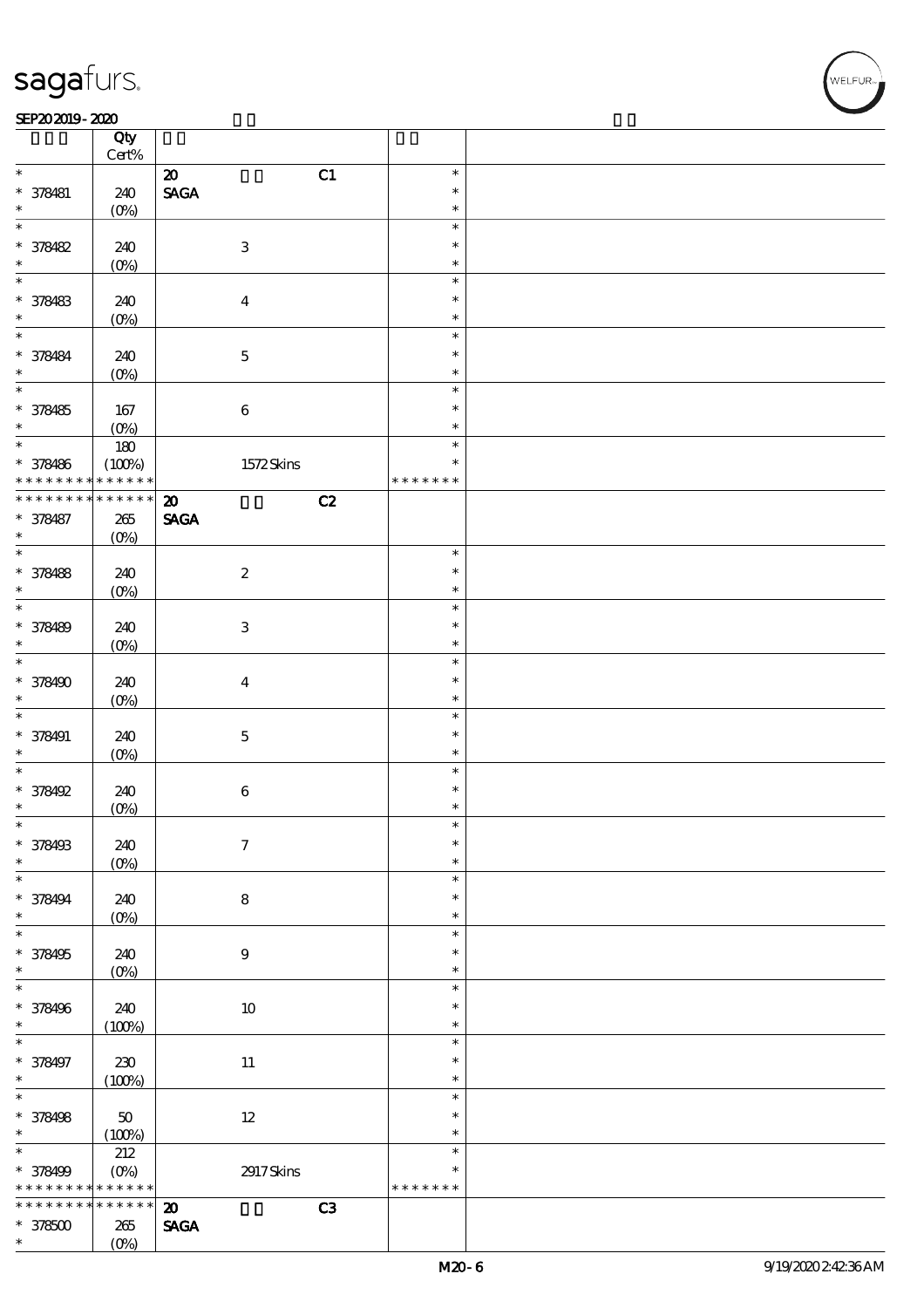#### $SEP202019 - 2020$  $\overline{\phantom{a}}$  Qty  $\overline{\phantom{a}}$

|                   | Qty<br>$\mbox{Cert}\%$ |                                   |               |  |
|-------------------|------------------------|-----------------------------------|---------------|--|
|                   |                        |                                   |               |  |
| $\ast$            |                        | C1<br>$\boldsymbol{\mathsf{20}}$  | $\ast$        |  |
| * 378481          | 240                    | <b>SAGA</b>                       | $\ast$        |  |
| $\ast$            | $(O\%)$                |                                   | $\ast$        |  |
| $\ast$            |                        |                                   | $\ast$        |  |
| * 378482          | 240                    | $\ensuremath{\mathbf{3}}$         | $\ast$        |  |
| *                 | $(0\%)$                |                                   | $\ast$        |  |
| $\ast$            |                        |                                   | $\ast$        |  |
|                   |                        |                                   |               |  |
| * 378483          | 240                    | $\boldsymbol{4}$                  | $\ast$        |  |
|                   | $(O\%)$                |                                   | $\ast$        |  |
| $\ast$            |                        |                                   | $\ast$        |  |
| * 378484          | 240                    | $\mathbf 5$                       | $\ast$        |  |
| $\ast$            | $(O\%)$                |                                   | $\ast$        |  |
| $\ast$            |                        |                                   | $\ast$        |  |
|                   |                        |                                   | $\ast$        |  |
| $* 378485$        | 167                    | $\bf 6$                           |               |  |
| $\ast$            | (0%)                   |                                   | $\ast$        |  |
| $*$               | 180                    |                                   | $\ast$        |  |
| * 378486          | (100%)                 | 1572Skins                         | $\ast$        |  |
| * * * * * * * *   | * * * * * *            |                                   | * * * * * * * |  |
| * * * * * * * *   | $******$               | C2<br>$\boldsymbol{\mathfrak{D}}$ |               |  |
| * 378487          | $265\,$                | <b>SAGA</b>                       |               |  |
| $\ast$            | $(O\%)$                |                                   |               |  |
| $\overline{\ast}$ |                        |                                   | $\ast$        |  |
|                   |                        |                                   |               |  |
| * 378488          | 240                    | $\boldsymbol{2}$                  | $\ast$        |  |
| $\ast$            | $(0\%)$                |                                   | $\ast$        |  |
| $\ast$            |                        |                                   | $\ast$        |  |
| * 378489          | 240                    | $\ensuremath{\mathbf{3}}$         | $\ast$        |  |
| $\ast$            | $(O\%)$                |                                   | $\ast$        |  |
| $\ast$            |                        |                                   | $\ast$        |  |
|                   |                        |                                   | $\ast$        |  |
| * 378490          | 240                    | $\boldsymbol{4}$                  |               |  |
| $\ast$            | $(O\%)$                |                                   | $\ast$        |  |
| $\ast$            |                        |                                   | $\ast$        |  |
| * 378491          | 240                    | $\mathbf 5$                       | $\ast$        |  |
| $\ast$            | $(0\%)$                |                                   | $\ast$        |  |
| $\ast$            |                        |                                   | $\ast$        |  |
| * 378492          | 240                    | $\bf 6$                           | $\ast$        |  |
| $\ast$            | $(O\!/\!\!\delta)$     |                                   | $\ast$        |  |
|                   |                        |                                   | ж             |  |
|                   |                        |                                   |               |  |
| * 378493          | 240                    | $\boldsymbol{7}$                  | $\ast$        |  |
| $\ast$            | $(O\%)$                |                                   | $\ast$        |  |
| $\ast$            |                        |                                   | $\ast$        |  |
| * 378494          | 240                    | $\bf 8$                           | $\ast$        |  |
| $\ast$            | $(0\%)$                |                                   | $\ast$        |  |
| $\ast$            |                        |                                   | $\ast$        |  |
| * 378495          | 240                    | $9$                               | $\ast$        |  |
| $\ast$            | $(O\%)$                |                                   | $\ast$        |  |
| $\ast$            |                        |                                   | $\ast$        |  |
|                   |                        |                                   |               |  |
| * 378496          | 240                    | $10\,$                            | $\ast$        |  |
| $\ast$            | (100%)                 |                                   | $\ast$        |  |
| $\ast$            |                        |                                   | $\ast$        |  |
| * 378497          | 230                    | $11\,$                            | $\ast$        |  |
| $\ast$            | (100%)                 |                                   | $\ast$        |  |
| $\ast$            |                        |                                   | $\ast$        |  |
| * 378498          | 50                     | $12\,$                            | $\ast$        |  |
| $\ast$            |                        |                                   | $\ast$        |  |
| $\ast$            | (100%)                 |                                   |               |  |
|                   | $212\,$                |                                   | $\ast$        |  |
| * 378499          | $(O\%)$                | 2917 Skins                        | $\ast$        |  |
| * * * * * * * *   | * * * * * *            |                                   | * * * * * * * |  |
| * * * * * * * *   | $******$               | $\boldsymbol{\mathbf{z}}$<br>C3   |               |  |
| $*378500$         | $265\,$                | $\ensuremath{\mathsf{SAGA}}$      |               |  |
| $\ast$            | $(0\%)$                |                                   |               |  |
|                   |                        |                                   |               |  |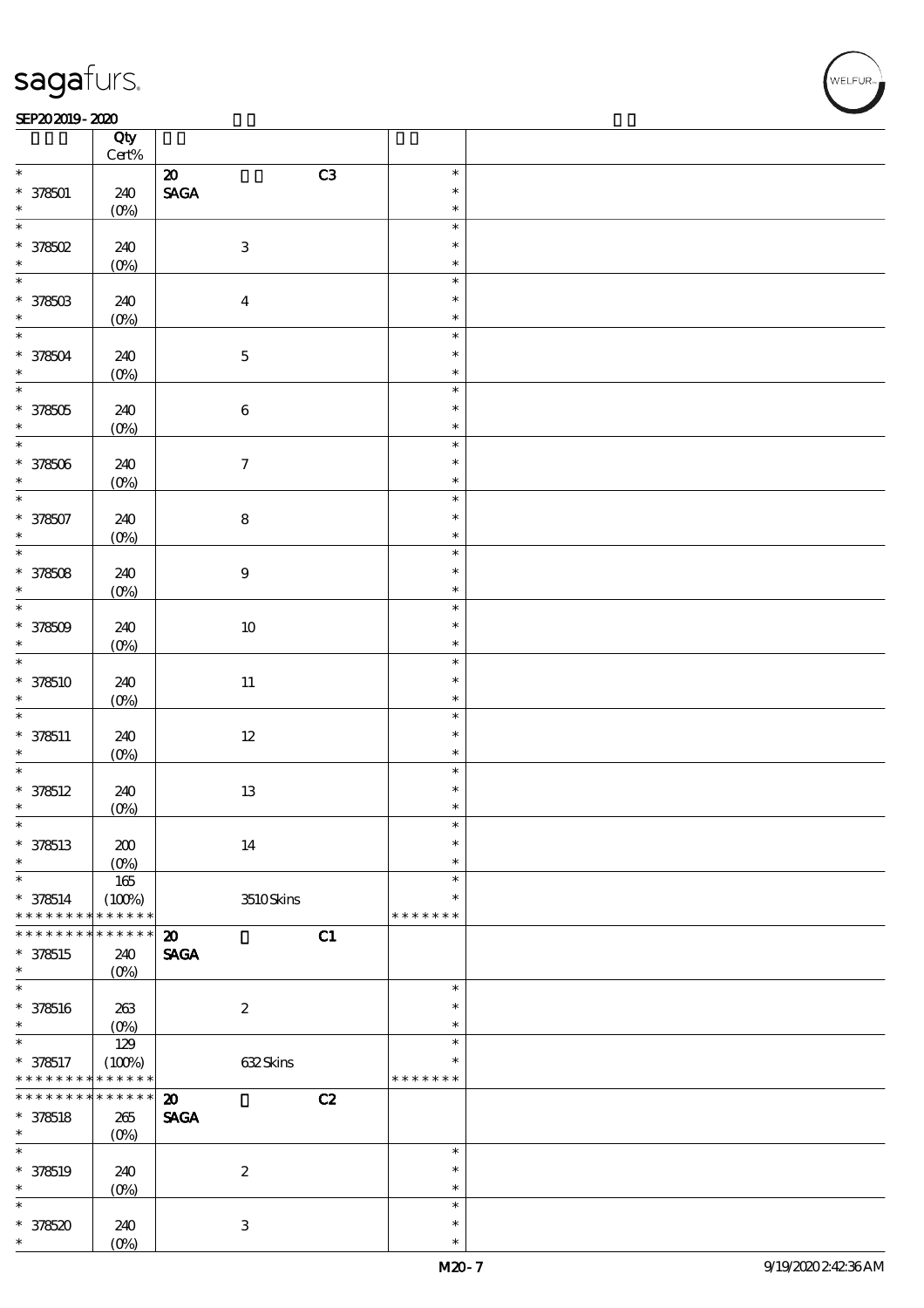#### $SEP202019 - 2020$

|                             | Qty<br>Cert%       |                                   |               |  |
|-----------------------------|--------------------|-----------------------------------|---------------|--|
| $\ast$                      |                    | C3<br>$\boldsymbol{\mathfrak{D}}$ | $\ast$        |  |
|                             |                    |                                   | $\ast$        |  |
| $* 378501$<br>$\ast$        | 240                | <b>SAGA</b>                       |               |  |
| $\overline{\ast}$           | $(O\%)$            |                                   | $\ast$        |  |
|                             |                    |                                   | $\ast$        |  |
| $*378502$                   | 240                | $\ensuremath{\mathbf{3}}$         | $\ast$        |  |
| $\ast$                      | $(0\%)$            |                                   | $\ast$        |  |
| $\overline{\ast}$           |                    |                                   | $\ast$        |  |
| $* 37850B$                  | 240                | $\boldsymbol{4}$                  | $\ast$        |  |
| $\ast$                      | $(0\%)$            |                                   | $\ast$        |  |
| $\overline{\ast}$           |                    |                                   | $\ast$        |  |
|                             |                    |                                   | $\ast$        |  |
| * 378504<br>$\ast$          | 240                | $\mathbf 5$                       |               |  |
|                             | $(0\%)$            |                                   | $\ast$        |  |
|                             |                    |                                   | $\ast$        |  |
| $* 378505$                  | 240                | $\bf 6$                           | $\ast$        |  |
| $\ast$                      | $(0\%)$            |                                   | $\ast$        |  |
| $\overline{\ast}$           |                    |                                   | $\ast$        |  |
| $* 378506$                  | 240                | $\boldsymbol{\tau}$               | $\ast$        |  |
| $\ast$                      | $(0\%)$            |                                   | $\ast$        |  |
| $\overline{\ast}$           |                    |                                   | $\ast$        |  |
| $* 378507$                  | 240                | ${\bf 8}$                         | $\ast$        |  |
| $\ast$                      |                    |                                   | $\ast$        |  |
| $\overline{\ast}$           | $(0\%)$            |                                   | $\ast$        |  |
|                             |                    |                                   |               |  |
| $* 378508$                  | 240                | $\boldsymbol{9}$                  | $\ast$        |  |
| $\ast$                      | $(O\%)$            |                                   | $\ast$        |  |
| $\overline{\ast}$           |                    |                                   | $\ast$        |  |
| $* 378509$                  | 240                | $10\,$                            | $\ast$        |  |
| $\ast$                      | $(0\%)$            |                                   | $\ast$        |  |
| $\overline{\ast}$           |                    |                                   | $\ast$        |  |
| * 378510                    | 240                | $11\,$                            | $\ast$        |  |
| $\ast$                      | $(0\%)$            |                                   | $\ast$        |  |
| $\ast$                      |                    |                                   | $\ast$        |  |
|                             |                    |                                   | $\ast$        |  |
| $* 378511$                  | 240                | $12\,$                            |               |  |
| $\ast$<br>$\overline{\ast}$ | $(O\%)$            |                                   | $\ast$        |  |
|                             |                    |                                   | $\ast$        |  |
| $* 378512$                  | 240                | $13\,$                            | $\ast$        |  |
| $\ast$                      | (0%)               |                                   | $\ast$        |  |
| $\ast$                      |                    |                                   | $\ast$        |  |
| $* 378513$                  | $\pmb{30}$         | 14                                | $\ast$        |  |
| $\ast$                      | $(O\%)$            |                                   | $\ast$        |  |
| $\ast$                      | 165                |                                   | $\ast$        |  |
| $* 378514$                  | (100%)             | 3510Skins                         | $\ast$        |  |
| * * * * * * * *             | * * * * * *        |                                   | * * * * * * * |  |
| * * * * * * *               | * * * * * *        | C1<br>$\boldsymbol{\mathfrak{D}}$ |               |  |
| * 378515                    |                    | <b>SAGA</b>                       |               |  |
| $\ast$                      | 240                |                                   |               |  |
| $\ast$                      | $(O\!/\!\!\delta)$ |                                   |               |  |
|                             |                    |                                   | $\ast$        |  |
| $* 378516$                  | $263\,$            | $\boldsymbol{2}$                  | $\ast$        |  |
| $\ast$                      | $(0\%)$            |                                   | $\ast$        |  |
| $\ast$                      | 129                |                                   | $\ast$        |  |
| $* 378517$                  | (100%)             | 632Skins                          | $\ast$        |  |
| * * * * * * * *             | * * * * * *        |                                   | * * * * * * * |  |
| * * * * * * * *             | $******$           | $\boldsymbol{\mathfrak{D}}$<br>C2 |               |  |
| $* 378518$                  | 265                | <b>SAGA</b>                       |               |  |
| $\ast$                      | $(O\%)$            |                                   |               |  |
| $\ast$                      |                    |                                   | $\ast$        |  |
|                             |                    |                                   | $\ast$        |  |
| * 378519                    | 240                | $\boldsymbol{2}$                  |               |  |
| $\ast$                      | $(0\%)$            |                                   | $\ast$        |  |
| $\ast$                      |                    |                                   | $\ast$        |  |
| $*378520$                   | 240                | $\ensuremath{\mathbf{3}}$         | $\ast$        |  |
| *                           | $(O\%)$            |                                   | $\ast$        |  |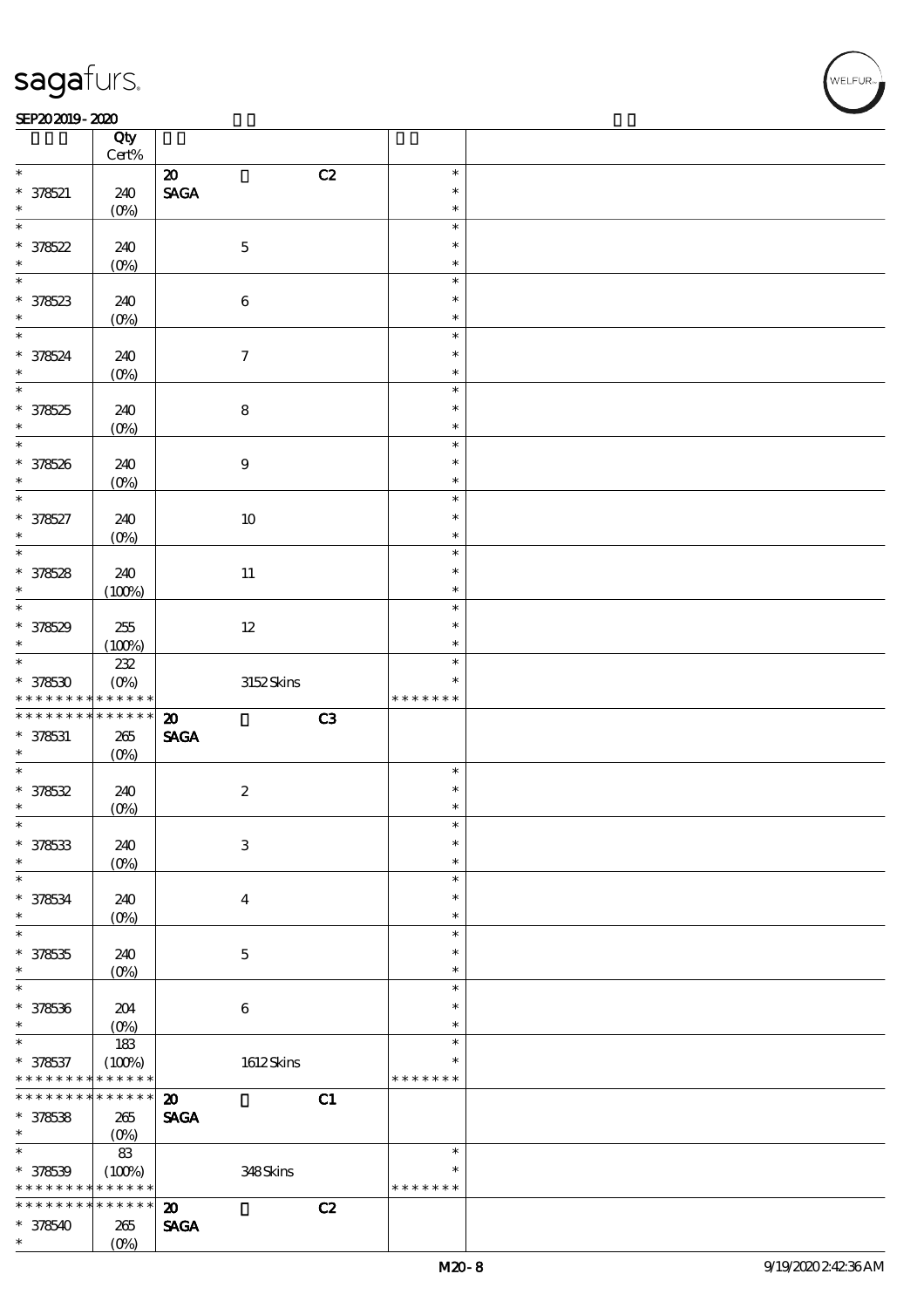$\top$ 

#### $SEP202019 - 2020$

|                               | Qty<br>$Cert\%$            |                                   |               |  |
|-------------------------------|----------------------------|-----------------------------------|---------------|--|
| $\ast$                        |                            |                                   | $\ast$        |  |
|                               |                            | C2<br>$\boldsymbol{\mathfrak{D}}$ | $\ast$        |  |
| $* 378521$<br>$\ast$          | 240                        | <b>SAGA</b>                       | $\ast$        |  |
| $\ast$                        | $(O\%)$                    |                                   | $\ast$        |  |
|                               |                            |                                   | $\ast$        |  |
| $* 378522$<br>$\ast$          | 240                        | $\mathbf 5$                       |               |  |
| $\overline{\phantom{0}}$      | $(0\%)$                    |                                   | $\ast$        |  |
|                               |                            |                                   | $\ast$        |  |
| * 378523                      | 240                        | $\bf 6$                           | $\ast$        |  |
|                               | $(0\%)$                    |                                   | $\ast$        |  |
| $\overline{\ast}$             |                            |                                   | $\ast$        |  |
| $* 378524$                    | 240                        | $\boldsymbol{7}$                  | $\ast$        |  |
| $\ast$                        | $(O\%)$                    |                                   | $\ast$        |  |
| $\overline{\phantom{0}}$      |                            |                                   | $\ast$        |  |
| $* 378525$                    | 240                        | $\bf 8$                           | $\ast$        |  |
| $\ast$                        | $(0\%)$                    |                                   | $\ast$        |  |
| $\overline{\phantom{0}}$      |                            |                                   | $\ast$        |  |
| $* 378526$                    | 240                        | $\boldsymbol{9}$                  | $\ast$        |  |
| $\ast$                        | $(O\%)$                    |                                   | $\ast$        |  |
| $\ast$                        |                            |                                   | $\ast$        |  |
| $* 378527$                    | 240                        | $10\,$                            | $\ast$        |  |
| $\ast$                        | $(O\%)$                    |                                   | $\ast$        |  |
|                               |                            |                                   | $\ast$        |  |
| $* 378528$                    | 240                        | 11                                | $\ast$        |  |
| $\ast$                        | (100%)                     |                                   | $\ast$        |  |
| $\overline{\ast}$             |                            |                                   | $\ast$        |  |
| $* 378529$                    | $255\,$                    | $12\,$                            | $\ast$        |  |
| $\ast$                        | (100%)                     |                                   | $\ast$        |  |
| $\overline{\ast}$             | 232                        |                                   | $\ast$        |  |
| $* 378530$                    | $(O\%)$                    | 3152Skins                         | $\ast$        |  |
| * * * * * * * *               | * * * * * *                |                                   | * * * * * * * |  |
|                               |                            |                                   |               |  |
|                               |                            |                                   |               |  |
| * * * * * * * *               | * * * * * *                | C3<br>$\boldsymbol{\mathfrak{D}}$ |               |  |
| $* 378531$                    | $265\,$                    | <b>SAGA</b>                       |               |  |
| $\ast$                        | $(O\%)$                    |                                   |               |  |
| $*$                           |                            |                                   | $\ast$        |  |
| $* 378532$                    | 240                        | $\boldsymbol{2}$                  | $\ast$        |  |
| $\ast$                        | $(0\%)$                    |                                   | $\ast$        |  |
| $\ast$                        |                            |                                   | $\ast$        |  |
| $* 378533$                    | 240                        | $\,3$                             | $\ast$        |  |
| $\ast$                        | $(O\%)$                    |                                   | $\ast$        |  |
| $\ast$                        |                            |                                   | $\ast$        |  |
| $* 378534$                    | 240                        | $\bf{4}$                          | $\ast$        |  |
| $\ast$                        | $(O\%)$                    |                                   | $\ast$        |  |
| $\ast$                        |                            |                                   | $\ast$        |  |
| $* 378535$                    | 240                        | $\mathbf 5$                       | $\ast$        |  |
| $\ast$                        | $(O\%)$                    |                                   | $\ast$        |  |
| $\ast$                        |                            |                                   | $\ast$        |  |
| $* 378536$                    | 204                        | $\bf 6$                           | $\ast$        |  |
| $\ast$                        | $(O\%)$                    |                                   | $\ast$        |  |
| $\ast$                        | 183                        |                                   | $\ast$        |  |
| $* 378537$                    | (100%)                     | $1612$ Skins                      | $\ast$        |  |
| * * * * * * * *               | * * * * * *                |                                   | * * * * * * * |  |
| * * * * * * * *               | * * * * * *                | C1<br>$\boldsymbol{\mathbf{z}}$   |               |  |
| $* 378538$                    | 265                        | <b>SAGA</b>                       |               |  |
| $\ast$                        | $(O\%)$                    |                                   |               |  |
| $\ast$                        | $83\,$                     |                                   | $\ast$        |  |
|                               |                            |                                   | $\ast$        |  |
| $* 378539$<br>* * * * * * * * | (100%)<br>* * * * * *      | 348Skins                          | * * * * * * * |  |
| * * * * * * * *               | $\ast\ast\ast\ast\ast\ast$ |                                   |               |  |
|                               |                            | C2<br>$\boldsymbol{\mathbf{z}}$   |               |  |
| $* 378540$<br>$\ast$          | 265<br>$(O\%)$             | <b>SAGA</b>                       |               |  |

 $\overline{\mathbf{r}}$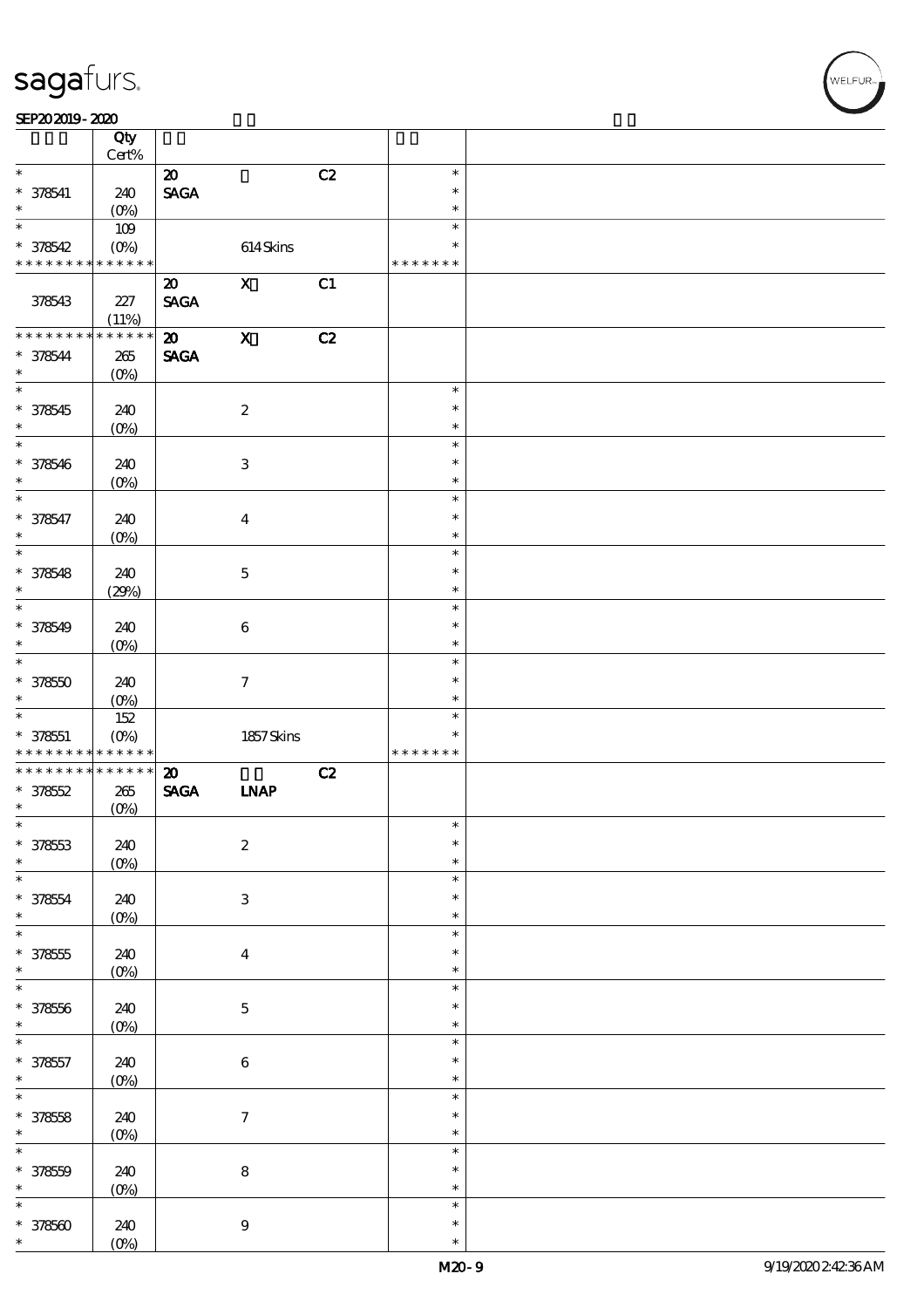|                                                                             | Qty<br>Cert%       |                                |                           |    |               |  |
|-----------------------------------------------------------------------------|--------------------|--------------------------------|---------------------------|----|---------------|--|
| $\ast$                                                                      |                    | $\boldsymbol{\mathsf{20}}$     |                           | C2 | $\ast$        |  |
|                                                                             |                    |                                |                           |    | $\ast$        |  |
| $* 378541$<br>$\ast$                                                        | 240                | $\operatorname{\mathsf{SAGA}}$ |                           |    |               |  |
|                                                                             | $(O\%)$            |                                |                           |    | $\ast$        |  |
| $\ast$                                                                      | 109                |                                |                           |    | $\ast$        |  |
| $* 378542$                                                                  | $(O\!/\!\!\delta)$ |                                | $614$ Skins               |    | $\ast$        |  |
| * * * * * * * *                                                             | * * * * * *        |                                |                           |    | * * * * * * * |  |
|                                                                             |                    | $\boldsymbol{\mathsf{20}}$     | $\mathbf X$               | C1 |               |  |
| 378543                                                                      | 227                | <b>SAGA</b>                    |                           |    |               |  |
|                                                                             | (11%)              |                                |                           |    |               |  |
| * * * * * * * *                                                             | * * * * * *        | $\boldsymbol{\mathfrak{D}}$    | $\mathbf X$               | C2 |               |  |
|                                                                             |                    |                                |                           |    |               |  |
| $* 378544$<br>$\ast$                                                        | $265\,$            | <b>SAGA</b>                    |                           |    |               |  |
| $\ast$                                                                      | $(O\%)$            |                                |                           |    |               |  |
|                                                                             |                    |                                |                           |    | $\ast$        |  |
| $* 378545$                                                                  | 240                |                                | $\boldsymbol{2}$          |    | $\ast$        |  |
| $\ast$                                                                      | $(O\%)$            |                                |                           |    | $\ast$        |  |
| $\ast$                                                                      |                    |                                |                           |    | $\ast$        |  |
| * 378546                                                                    | 240                |                                | $\ensuremath{\mathbf{3}}$ |    | $\ast$        |  |
| $\ast$                                                                      | $(O\%)$            |                                |                           |    | $\ast$        |  |
| $\ast$                                                                      |                    |                                |                           |    | $\ast$        |  |
| * 378547                                                                    | 240                |                                | $\boldsymbol{4}$          |    | $\ast$        |  |
| $\ast$                                                                      |                    |                                |                           |    | $\ast$        |  |
| $\ast$                                                                      | $(O\!/\!\!\delta)$ |                                |                           |    | $\ast$        |  |
|                                                                             |                    |                                |                           |    |               |  |
| $* 378548$                                                                  | 240                |                                | $\mathbf 5$               |    | $\ast$        |  |
| $\ast$                                                                      | (29%)              |                                |                           |    | $\ast$        |  |
| $\ast$                                                                      |                    |                                |                           |    | $\ast$        |  |
| $* 378549$                                                                  | 240                |                                | $\bf 6$                   |    | $\ast$        |  |
| $\ast$                                                                      | $(O\%)$            |                                |                           |    | $\ast$        |  |
| $\overline{\ast}$                                                           |                    |                                |                           |    | $\ast$        |  |
| $* 37850$                                                                   | 240                |                                | $\boldsymbol{\tau}$       |    | $\ast$        |  |
|                                                                             |                    |                                |                           |    | $\ast$        |  |
|                                                                             |                    |                                |                           |    |               |  |
|                                                                             | $(0\%)$            |                                |                           |    |               |  |
| $\ast$<br>$\ast$                                                            | 152                |                                |                           |    | $\ast$        |  |
| $* 378551$                                                                  | $(O\%)$            |                                | $1857$ Skins              |    | $\ast$        |  |
| * * * * * * * *                                                             | * * * * * *        |                                |                           |    | * * * * * * * |  |
| * * * * * * * *                                                             | $******$           | $\boldsymbol{\mathfrak{D}}$    |                           | C2 |               |  |
| $* 37852$                                                                   | $265\,$            | $\operatorname{\mathsf{SAGA}}$ | <b>INAP</b>               |    |               |  |
| $\ast$                                                                      | $(0\%)$            |                                |                           |    |               |  |
| $\ast$                                                                      |                    |                                |                           |    | $\ast$        |  |
| $* 37853$                                                                   | 240                |                                | $\boldsymbol{2}$          |    | $\ast$        |  |
| $\ast$                                                                      | $(0\%)$            |                                |                           |    | $\ast$        |  |
| $\ast$                                                                      |                    |                                |                           |    | $\ast$        |  |
|                                                                             | 240                |                                | $\ensuremath{\mathbf{3}}$ |    | $\ast$        |  |
| $* 378554$<br>$\ast$                                                        |                    |                                |                           |    | $\ast$        |  |
| $\ast$                                                                      | $(0\%)$            |                                |                           |    | $\ast$        |  |
|                                                                             |                    |                                |                           |    | $\ast$        |  |
| $* 378555$<br>$\ast$                                                        | 240                |                                | $\bf{4}$                  |    | $\ast$        |  |
| $\ast$                                                                      | $(0\%)$            |                                |                           |    | $\ast$        |  |
|                                                                             |                    |                                |                           |    |               |  |
|                                                                             | 240                |                                | $\mathbf 5$               |    | $\ast$        |  |
| $* 37856$<br>$\ast$                                                         | $(0\%)$            |                                |                           |    | $\ast$        |  |
| $\ast$                                                                      |                    |                                |                           |    | $\ast$        |  |
|                                                                             | 240                |                                | $\,6\,$                   |    | $\ast$        |  |
|                                                                             | $(0\%)$            |                                |                           |    | $\ast$        |  |
|                                                                             |                    |                                |                           |    | $\ast$        |  |
|                                                                             | 240                |                                | $\boldsymbol{7}$          |    | $\ast$        |  |
|                                                                             | $(0\%)$            |                                |                           |    | $\ast$        |  |
|                                                                             |                    |                                |                           |    | $\ast$        |  |
| $* 378557$<br>$\ast$<br>$\overline{\ast}$<br>$* 378558$<br>$\ast$<br>$\ast$ |                    |                                |                           |    | $\ast$        |  |
|                                                                             | 240                |                                | $\bf 8$                   |    | $\ast$        |  |
| $* 37850$<br>$\ast$<br>$\ast$                                               | $(0\%)$            |                                |                           |    | $\ast$        |  |
|                                                                             |                    |                                |                           |    | $\ast$        |  |
| $* 378500$<br>$\ast$                                                        | 240<br>$(O\%)$     |                                | $9\,$                     |    | $\ast$        |  |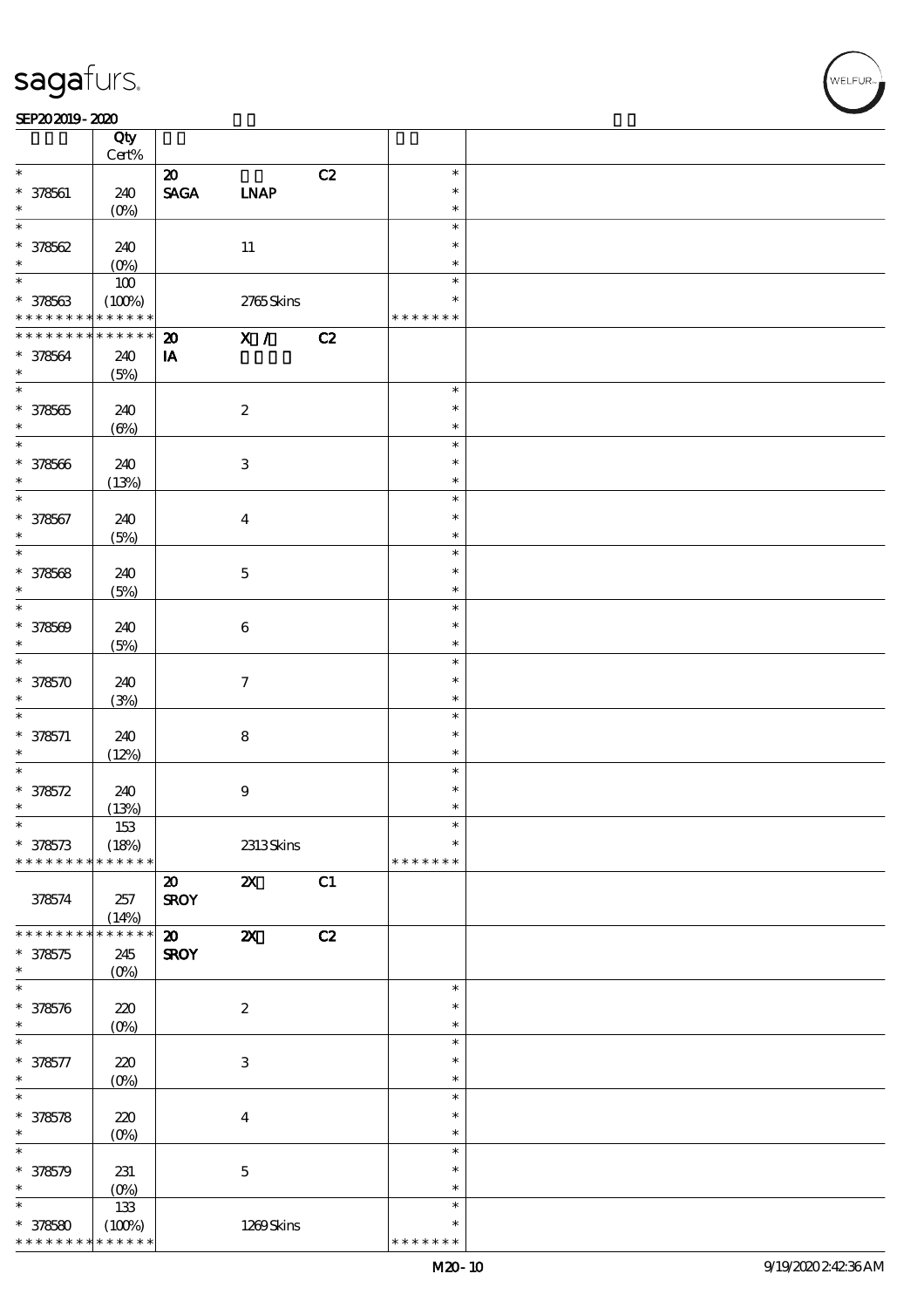#### SEP202019-2020

|                                            | Qty             |                              |                           |    |               |  |
|--------------------------------------------|-----------------|------------------------------|---------------------------|----|---------------|--|
|                                            | $Cert\%$        |                              |                           |    |               |  |
| $\ast$                                     |                 | $\boldsymbol{\mathfrak{D}}$  |                           | C2 | $\ast$        |  |
| $* 378561$                                 | 240             | $\ensuremath{\mathsf{SAGA}}$ | <b>LNAP</b>               |    | $\ast$        |  |
| $\ast$                                     | $(O\%)$         |                              |                           |    | $\ast$        |  |
| $\ast$                                     |                 |                              |                           |    | $\ast$        |  |
| $* 378562$                                 | 240             |                              | $11\,$                    |    | $\ast$        |  |
| $\ast$                                     | $(O\%)$         |                              |                           |    | $\ast$        |  |
| $\overline{\ast}$                          | $100$           |                              |                           |    | $\ast$        |  |
| $* 378563$                                 | (100%)          |                              | 2765Skins                 |    | ∗             |  |
| * * * * * * * * <mark>* * * * * * *</mark> |                 |                              |                           |    | * * * * * * * |  |
| * * * * * * * *                            | $* * * * * * *$ | $\boldsymbol{\mathfrak{D}}$  | X /                       | C2 |               |  |
| $* 378564$                                 | 240             | IA                           |                           |    |               |  |
| $\ast$                                     | (5%)            |                              |                           |    |               |  |
| $\overline{\phantom{0}}$                   |                 |                              |                           |    | $\ast$        |  |
| $* 378565$                                 | 240             |                              | $\boldsymbol{2}$          |    | $\ast$        |  |
| $\ast$                                     | $(\Theta)$      |                              |                           |    | $\ast$        |  |
| $\overline{\ast}$                          |                 |                              |                           |    | $\ast$        |  |
| $* 378566$                                 | 240             |                              | $\ensuremath{\mathsf{3}}$ |    | $\ast$        |  |
| $\ast$                                     | (13%)           |                              |                           |    | $\ast$        |  |
| $\ast$                                     |                 |                              |                           |    | $\ast$        |  |
| $* 378567$                                 | 240             |                              | $\boldsymbol{4}$          |    | $\ast$        |  |
| $\ast$                                     | (5%)            |                              |                           |    | $\ast$        |  |
| $\ast$                                     |                 |                              |                           |    | $\ast$        |  |
| $* 378568$                                 | 240             |                              | $\mathbf 5$               |    | $\ast$        |  |
| $\ast$                                     | (5%)            |                              |                           |    | $\ast$        |  |
| $\ast$                                     |                 |                              |                           |    | $\ast$        |  |
| $* 378509$                                 | 240             |                              | $\bf 6$                   |    | $\ast$        |  |
| $\ast$                                     | (5%)            |                              |                           |    | $\ast$        |  |
| $\ast$                                     |                 |                              |                           |    | $\ast$        |  |
| $* 378570$                                 | 240             |                              | $\tau$                    |    | $\ast$        |  |
| $\ast$                                     | (3%)            |                              |                           |    | $\ast$        |  |
| $\ast$                                     |                 |                              |                           |    | $\ast$        |  |
| $* 378571$                                 | 240             |                              | $\bf 8$                   |    | $\ast$        |  |
| $\ast$                                     | (12%)           |                              |                           |    | $\ast$        |  |
| $\ast$                                     |                 |                              |                           |    | $\ast$        |  |
| $* 378572$                                 | 240             |                              | $\boldsymbol{9}$          |    | $\ast$        |  |
| $\ast$                                     | (13%)           |                              |                           |    | $\ast$        |  |
| $\ast$                                     | 153             |                              |                           |    | $\ast$        |  |
| $* 378573$                                 | (18%)           |                              | 2313Skins                 |    | $\ast$        |  |
| * * * * * * * *                            | * * * * * *     |                              |                           |    | * * * * * * * |  |
|                                            |                 | $\boldsymbol{\mathfrak{D}}$  | $\boldsymbol{\mathsf{z}}$ | C1 |               |  |
| 378574                                     | 257             | <b>SROY</b>                  |                           |    |               |  |
|                                            | (14%)           |                              |                           |    |               |  |
| * * * * * * * *                            | * * * * * *     | $\boldsymbol{\mathfrak{D}}$  | $\boldsymbol{\mathsf{z}}$ | C2 |               |  |
| $* 378575$                                 | 245             | <b>SROY</b>                  |                           |    |               |  |
| $\ast$                                     | $(0\%)$         |                              |                           |    |               |  |
| $\ast$                                     |                 |                              |                           |    | $\ast$        |  |
| $* 378576$                                 | $220$           |                              | $\boldsymbol{2}$          |    | $\ast$        |  |
| $\ast$                                     | $(O\%)$         |                              |                           |    | $\ast$        |  |
| $\ast$                                     |                 |                              |                           |    | $\ast$        |  |
| $* 378577$                                 | $220$           |                              | $\,3$                     |    | $\ast$        |  |
| $\ast$                                     | $(O\%)$         |                              |                           |    | $\ast$        |  |
| $\ast$                                     |                 |                              |                           |    | $\ast$        |  |
| $* 378578$                                 | 220             |                              | $\boldsymbol{4}$          |    | $\ast$        |  |
| $\ast$                                     | $(0\%)$         |                              |                           |    | $\ast$        |  |
| $\ast$                                     |                 |                              |                           |    | $\ast$        |  |
| $* 378579$                                 | 231             |                              | $\mathbf 5$               |    | $\ast$        |  |
| $\ast$                                     | (0%)            |                              |                           |    | $\ast$        |  |
| $\ast$                                     | 133             |                              |                           |    | $\ast$        |  |
| $* 378580$                                 | (100%)          |                              | 1269Skins                 |    | ∗             |  |
| * * * * * * * *                            | * * * * * *     |                              |                           |    | * * * * * * * |  |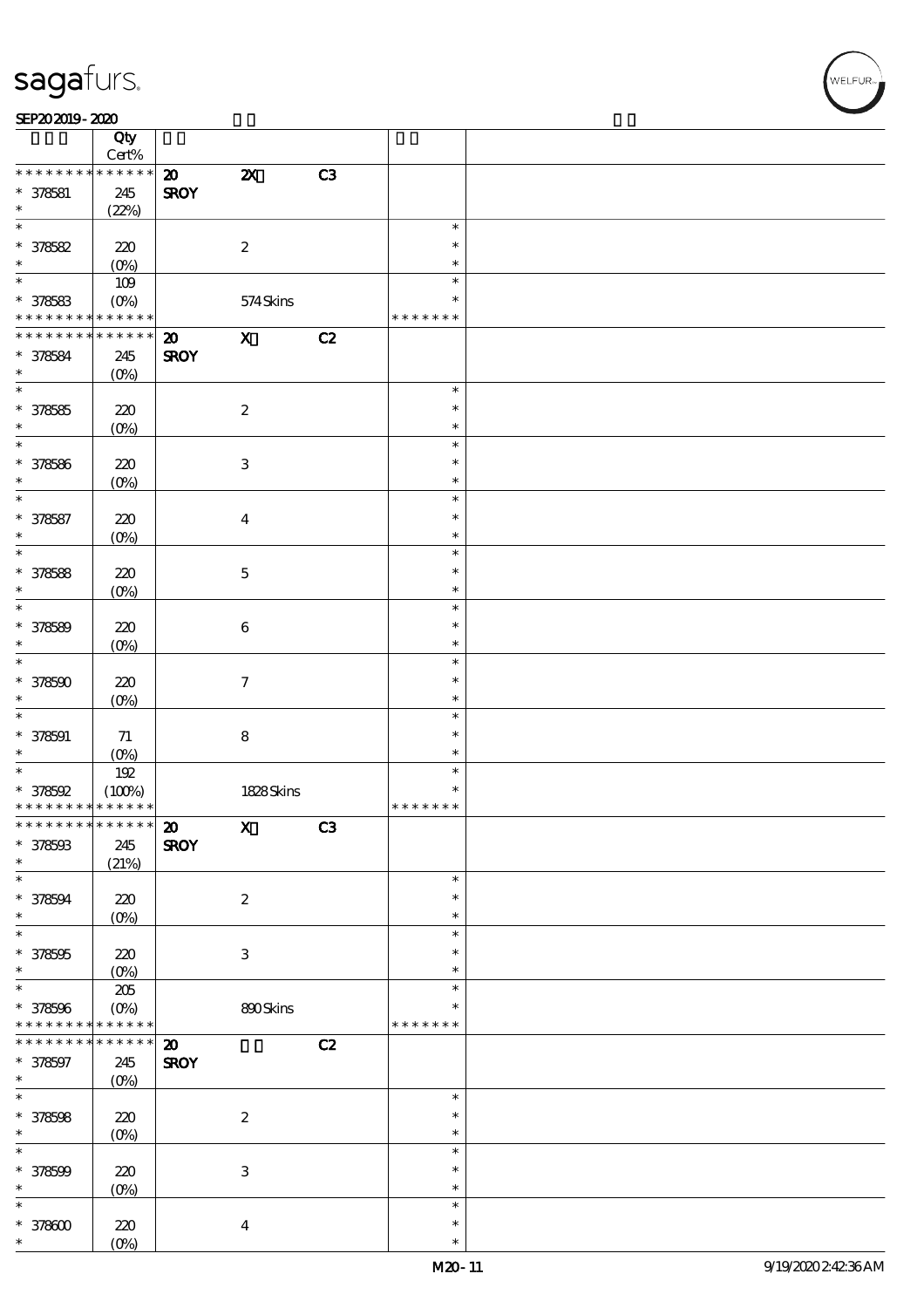| SEP202019-2020 |  |
|----------------|--|
|----------------|--|

|                                            | Qty              |                             |                           |    |                  |  |
|--------------------------------------------|------------------|-----------------------------|---------------------------|----|------------------|--|
|                                            | Cert%            |                             |                           |    |                  |  |
| * * * * * * * *                            | $******$         | $\boldsymbol{\mathfrak{D}}$ | $\boldsymbol{\mathsf{z}}$ | C3 |                  |  |
| $* 378581$<br>$\ast$                       | 245              | <b>SROY</b>                 |                           |    |                  |  |
| $\ast$                                     | (22%)            |                             |                           |    | $\ast$           |  |
| $* 378582$                                 | 220              |                             | $\boldsymbol{2}$          |    | $\ast$           |  |
| $\ast$                                     | $(O\%)$          |                             |                           |    | $\ast$           |  |
| $\ast$                                     | 109              |                             |                           |    | $\ast$           |  |
| $* 378583$                                 | $(O\%)$          |                             | 574Skins                  |    | *                |  |
| * * * * * * * * <mark>* * * * * * *</mark> |                  |                             |                           |    | * * * * * * *    |  |
| * * * * * * * *                            | $* * * * * * *$  | $\boldsymbol{\mathfrak{D}}$ | $\mathbf{X}$              | C2 |                  |  |
| $* 378584$                                 | 245              | <b>SROY</b>                 |                           |    |                  |  |
| $\ast$                                     | $(O\%)$          |                             |                           |    |                  |  |
| $\overline{\ast}$                          |                  |                             |                           |    | $\ast$           |  |
| $* 378585$                                 | 220              |                             | $\boldsymbol{2}$          |    | $\ast$           |  |
| $\ast$                                     | $(0\%)$          |                             |                           |    | $\ast$           |  |
| $\ast$                                     |                  |                             |                           |    | $\ast$           |  |
| $* 378586$                                 | 220              |                             | $\ensuremath{\mathsf{3}}$ |    | $\ast$           |  |
| $\ast$                                     | $(0\%)$          |                             |                           |    | $\ast$           |  |
| $\ast$                                     |                  |                             |                           |    | $\ast$           |  |
| $* 378587$                                 | 220              |                             | $\boldsymbol{4}$          |    | $\ast$           |  |
| $\ast$<br>$\ast$                           | $(O\%)$          |                             |                           |    | $\ast$<br>$\ast$ |  |
|                                            |                  |                             |                           |    | $\ast$           |  |
| $* 378588$<br>$\ast$                       | 220              |                             | $\mathbf 5$               |    | $\ast$           |  |
| $\ast$                                     | $(0\%)$          |                             |                           |    | $\ast$           |  |
| $* 378589$                                 | 220              |                             | $\bf 6$                   |    | $\ast$           |  |
| $\ast$                                     | $(O\!/\!\delta)$ |                             |                           |    | $\ast$           |  |
| $\ast$                                     |                  |                             |                           |    | $\ast$           |  |
| $* 378500$                                 | 220              |                             | $\boldsymbol{7}$          |    | $\ast$           |  |
| $\ast$                                     | $(0\%)$          |                             |                           |    | $\ast$           |  |
| $\ast$                                     |                  |                             |                           |    | $\ast$           |  |
| $* 378591$                                 | $71\,$           |                             | $\bf 8$                   |    | $\ast$           |  |
| $\ast$                                     | $(0\%)$          |                             |                           |    | $\ast$           |  |
| $\ast$                                     | 192              |                             |                           |    | $\ast$           |  |
| $* 378592$                                 | (100%)           |                             | 1828Skins                 |    | $\ast$           |  |
| * * * * * * * * <mark>* * * * * * *</mark> |                  |                             |                           |    | * * * * * * *    |  |
| *************** 20                         |                  |                             | $\mathbf{X}$              | C3 |                  |  |
| $* 378503$                                 | 245              | <b>SROY</b>                 |                           |    |                  |  |
| $\ast$                                     | (21%)            |                             |                           |    |                  |  |
| $\ast$                                     |                  |                             |                           |    | $\ast$           |  |
| $* 378594$<br>$\ast$                       | 220              |                             | $\boldsymbol{z}$          |    | $\ast$           |  |
| $\ast$                                     | $(0\%)$          |                             |                           |    | $\ast$<br>$\ast$ |  |
| $* 378595$                                 | 220              |                             | $\ensuremath{\mathsf{3}}$ |    | $\ast$           |  |
| $\ast$                                     | $(0\%)$          |                             |                           |    | $\ast$           |  |
| $\ast$                                     | $205\,$          |                             |                           |    | $\ast$           |  |
| $* 378506$                                 | $(0\%)$          |                             | 890Skins                  |    | $\ast$           |  |
| * * * * * * * * <mark>* * * * * * *</mark> |                  |                             |                           |    | * * * * * * *    |  |
| * * * * * * *<br>∗                         | $* * * * * * *$  | $\boldsymbol{\mathsf{20}}$  |                           | C2 |                  |  |
| $* 378597$                                 | 245              | <b>SROY</b>                 |                           |    |                  |  |
| $\ast$                                     | $(0\%)$          |                             |                           |    |                  |  |
| $\ast$                                     |                  |                             |                           |    | $\ast$           |  |
| $* 378508$                                 | 220              |                             | $\boldsymbol{2}$          |    | $\ast$           |  |
| $\ast$                                     | $(0\%)$          |                             |                           |    | $\ast$           |  |
| $\ast$                                     |                  |                             |                           |    | $\ast$           |  |
| $* 378509$                                 | 220              |                             | $\,3$                     |    | $\ast$           |  |
| $\ast$                                     | $(0\%)$          |                             |                           |    | $\ast$           |  |
| $\ast$                                     |                  |                             |                           |    | $\ast$           |  |
| $* 37800$<br>$\ast$                        | 220              |                             | $\boldsymbol{4}$          |    | $\ast$           |  |
|                                            | $(O\%)$          |                             |                           |    | $\ast$           |  |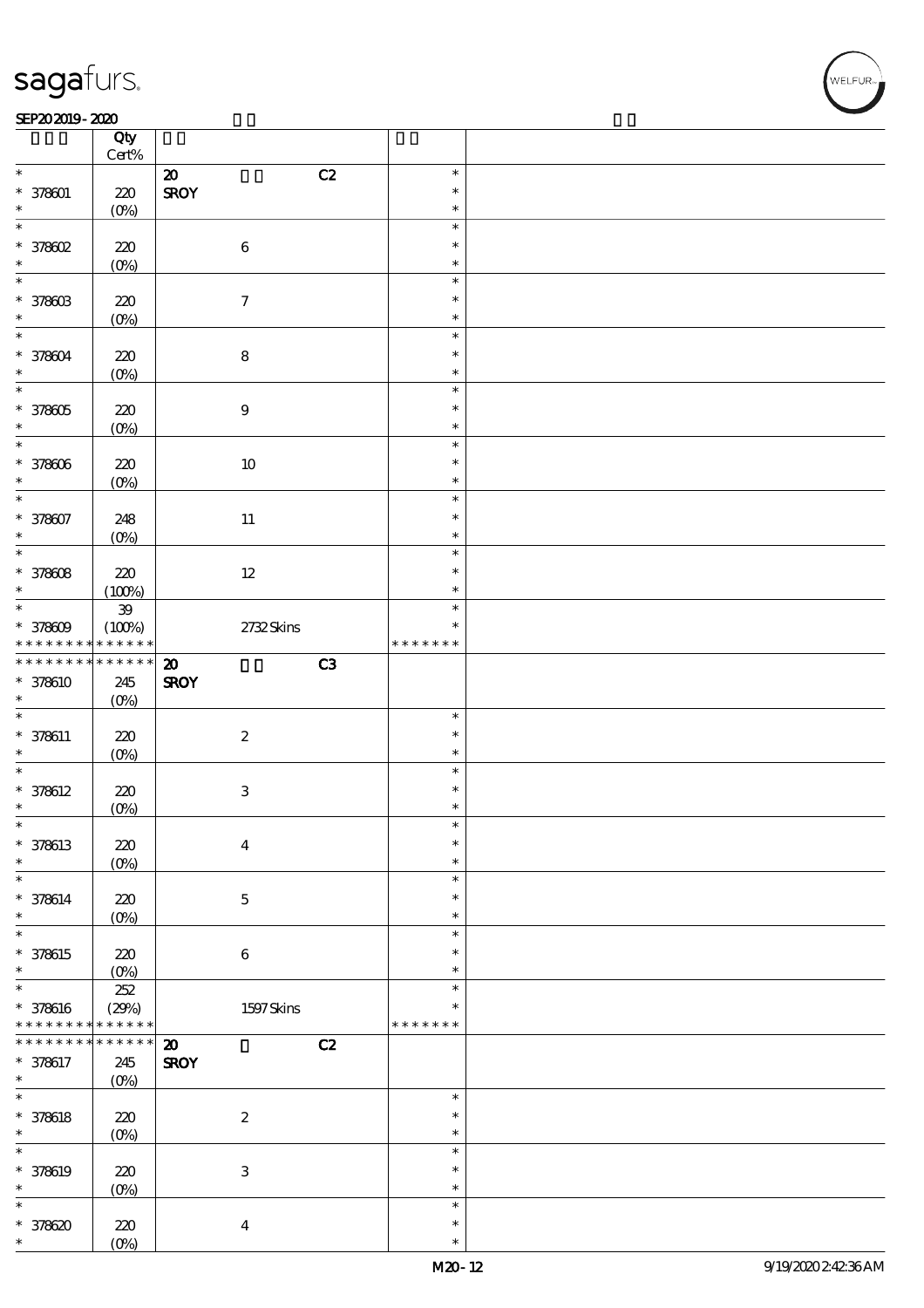### $SEP202019 - 2020$

|                                                                | Qty<br>$\mbox{Cert}\%$ |                                   |               |  |
|----------------------------------------------------------------|------------------------|-----------------------------------|---------------|--|
| $\ast$                                                         |                        |                                   |               |  |
|                                                                |                        | C2<br>$\boldsymbol{\mathsf{20}}$  | $\ast$        |  |
| $* 378001$                                                     | 220                    | <b>SROY</b>                       | $\ast$        |  |
| $\ast$                                                         | (0%)                   |                                   | $\ast$        |  |
| $\ast$                                                         |                        |                                   | $\ast$        |  |
| $*$ 378602                                                     | $220$                  | $\bf 6$                           | $\ast$        |  |
|                                                                |                        |                                   |               |  |
| *                                                              | $(0\%)$                |                                   | $\ast$        |  |
| $\ast$                                                         |                        |                                   | $\ast$        |  |
| $* 37860B$                                                     | 220                    | $\boldsymbol{7}$                  | $\ast$        |  |
|                                                                | $(O\%)$                |                                   | $\ast$        |  |
| $\ast$                                                         |                        |                                   | $\ast$        |  |
|                                                                |                        |                                   | $\ast$        |  |
| * 378604                                                       | 220                    | ${\bf 8}$                         |               |  |
| $\ast$                                                         | $(0\%)$                |                                   | $\ast$        |  |
| $\ast$                                                         |                        |                                   | $\ast$        |  |
| $* 378005$                                                     | 220                    | $\boldsymbol{9}$                  | $\ast$        |  |
| $\ast$                                                         | $(0\%)$                |                                   | $\ast$        |  |
| $\ast$                                                         |                        |                                   | $\ast$        |  |
|                                                                |                        |                                   |               |  |
| $* 378006$                                                     | 220                    | $10\,$                            | $\ast$        |  |
| $\ast$                                                         | $(0\%)$                |                                   | $\ast$        |  |
| $\ast$                                                         |                        |                                   | $\ast$        |  |
| $* 378007$                                                     | 248                    | $11\,$                            | $\ast$        |  |
| $\ast$                                                         | $(0\%)$                |                                   | $\ast$        |  |
| $\ast$                                                         |                        |                                   | $\ast$        |  |
|                                                                |                        |                                   | $\ast$        |  |
| $* 378608$                                                     | 220                    | $12\,$                            |               |  |
| $\ast$                                                         | (100%)                 |                                   | $\ast$        |  |
| $\ast$                                                         | ${\bf 39}$             |                                   | $\ast$        |  |
| $* 37800$                                                      | (100%)                 | 2732Skins                         | $\ast$        |  |
| * * * * * * * *                                                | * * * * * *            |                                   | * * * * * * * |  |
| * * * * * * * *                                                | $******$               | C3<br>$\boldsymbol{\mathfrak{D}}$ |               |  |
|                                                                |                        |                                   |               |  |
| * 378610                                                       | 245                    | <b>SROY</b>                       |               |  |
|                                                                |                        |                                   |               |  |
| $\ast$                                                         | $(O\%)$                |                                   |               |  |
| $\ast$                                                         |                        |                                   | $\ast$        |  |
|                                                                | 220                    |                                   | $\ast$        |  |
| $* 378611$<br>$\ast$                                           |                        | $\boldsymbol{2}$                  | $\ast$        |  |
| $\ast$                                                         | $(0\%)$                |                                   | $\ast$        |  |
|                                                                |                        |                                   |               |  |
| $* 378612$                                                     | 220                    | $\ensuremath{\mathbf{3}}$         | $\ast$        |  |
| $\ast$                                                         | $(0\%)$                |                                   | $\ast$        |  |
|                                                                |                        |                                   | ∗             |  |
|                                                                | 220                    | $\boldsymbol{4}$                  | $\ast$        |  |
|                                                                |                        |                                   | $\ast$        |  |
|                                                                | $(O\%)$                |                                   | $\ast$        |  |
|                                                                |                        |                                   |               |  |
|                                                                | 220                    | $\mathbf 5$                       | $\ast$        |  |
|                                                                | $(O\%)$                |                                   | $\ast$        |  |
| * 378613<br>$\ast$<br>$\ast$<br>$* 378614$<br>$\ast$<br>$\ast$ |                        |                                   | $\ast$        |  |
|                                                                | 220                    | $\bf 6$                           | $\ast$        |  |
|                                                                |                        |                                   | $\ast$        |  |
| * 378615<br>$\ast$<br>$\ast$                                   | $(0\%)$                |                                   | $\ast$        |  |
|                                                                | 252                    |                                   | $\ast$        |  |
| * 378616                                                       | (29%)                  | $1597$ Skins                      |               |  |
| * * * * * * * *                                                | * * * * * *            |                                   | * * * * * * * |  |
| * * * * * * * *                                                | $******$               | $\boldsymbol{\mathbf{z}}$<br>C2   |               |  |
| * 378617                                                       | 245                    | <b>SROY</b>                       |               |  |
|                                                                | $(0\%)$                |                                   |               |  |
|                                                                |                        |                                   | $\ast$        |  |
|                                                                |                        |                                   | $\ast$        |  |
|                                                                | 220                    | $\boldsymbol{2}$                  | $\ast$        |  |
|                                                                | $(0\%)$                |                                   |               |  |
|                                                                |                        |                                   | $\ast$        |  |
| $\ast$<br>$\ast$<br>$* 378618$<br>$\ast$<br>$\ast$<br>* 378619 | 220                    | $\ensuremath{\mathbf{3}}$         | $\ast$        |  |
| $\ast$                                                         | $(O\%)$                |                                   | $\ast$        |  |
| $\ast$                                                         |                        |                                   | $\ast$        |  |
|                                                                |                        |                                   | $\ast$        |  |
| $*378620$<br>*                                                 | $220$<br>$(0\%)$       | $\boldsymbol{4}$                  | $\ast$        |  |

**NELFUR**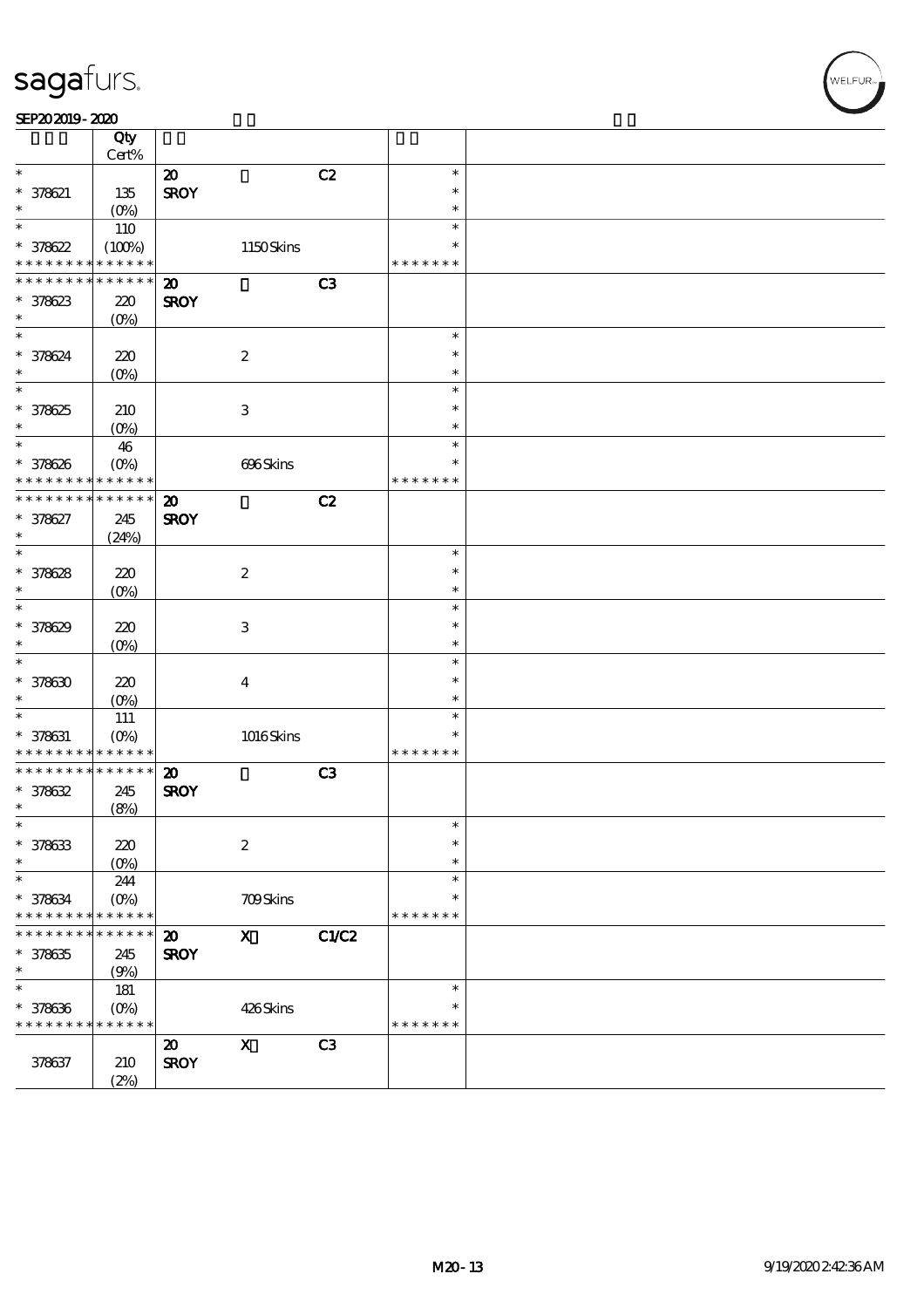|                   | Qty<br>Cert%       |                             |                           |                |               |  |
|-------------------|--------------------|-----------------------------|---------------------------|----------------|---------------|--|
| $\ast$            |                    | $\boldsymbol{\mathfrak{D}}$ |                           | C2             | $\ast$        |  |
| $* 378621$        | 135                | <b>SROY</b>                 |                           |                | $\ast$        |  |
| $\ast$            | $(O_0)$            |                             |                           |                | $\ast$        |  |
| $\ast$            |                    |                             |                           |                | $\ast$        |  |
|                   | 110                |                             |                           |                | $\ast$        |  |
| $* 378622$        | (100%)             |                             | 1150Skins                 |                |               |  |
| * * * * * * * *   | * * * * * *        |                             |                           |                | * * * * * * * |  |
| * * * * * * * *   | * * * * * *        | $\boldsymbol{\mathbf{z}}$   |                           | C <sub>3</sub> |               |  |
| $* 378623$        | 220                | <b>SROY</b>                 |                           |                |               |  |
| $\ast$            | (O <sub>0</sub> )  |                             |                           |                |               |  |
| $\ast$            |                    |                             |                           |                | $\ast$        |  |
| $* 378624$        | 220                |                             | $\boldsymbol{2}$          |                | $\ast$        |  |
| $\ast$            | $(O\%)$            |                             |                           |                | $\ast$        |  |
| $\overline{\ast}$ |                    |                             |                           |                | $\ast$        |  |
| $* 378625$        | 210                |                             | $\,3$                     |                | $\ast$        |  |
| $\ast$            | $(O\%)$            |                             |                           |                | $\ast$        |  |
| $\ast$            |                    |                             |                           |                | $\ast$        |  |
|                   | $46\,$             |                             |                           |                | $\ast$        |  |
| $* 378626$        | $(O\%)$            |                             | 696Skins                  |                |               |  |
| * * * * * * * *   | * * * * * *        |                             |                           |                | * * * * * * * |  |
| * * * * * * *     | * * * * * *        | $\boldsymbol{\mathbf{z}}$   |                           | C2             |               |  |
| $* 378627$        | 245                | <b>SROY</b>                 |                           |                |               |  |
| $\ast$            | (24%)              |                             |                           |                |               |  |
| $\ast$            |                    |                             |                           |                | $\ast$        |  |
| $* 378628$        | 220                |                             | $\boldsymbol{2}$          |                | $\ast$        |  |
| $\ast$            | $(0\%)$            |                             |                           |                | $\ast$        |  |
| $\ast$            |                    |                             |                           |                | $\ast$        |  |
| $* 378629$        | 220                |                             | $\,3$                     |                | $\ast$        |  |
| $\ast$            |                    |                             |                           |                | $\ast$        |  |
| $\ast$            | $(O\!/\!\!\delta)$ |                             |                           |                |               |  |
|                   |                    |                             |                           |                | $\ast$        |  |
| $* 378630$        | 220                |                             | $\boldsymbol{4}$          |                | $\ast$        |  |
| $\ast$            | $(O\%)$            |                             |                           |                | $\ast$        |  |
| $\ast$            | 111                |                             |                           |                | $\ast$        |  |
| $* 378631$        | $(0\%)$            |                             | 1016Skins                 |                | $\ast$        |  |
| * * * * * * * *   | * * * * * *        |                             |                           |                | * * * * * * * |  |
| * * * * * * * *   | * * * * * *        | $\boldsymbol{\mathfrak{D}}$ |                           | C3             |               |  |
| $* 378632$        | 245                | <b>SROY</b>                 |                           |                |               |  |
| $\ast$            | (8%)               |                             |                           |                |               |  |
| $\ast$            |                    |                             |                           |                | $\ast$        |  |
| $* 378633$        | 220                |                             | $\boldsymbol{2}$          |                | $\ast$        |  |
| $\ast$            |                    |                             |                           |                | $\ast$        |  |
| $\ast$            | $(0\%)$            |                             |                           |                | $\ast$        |  |
|                   | 244                |                             |                           |                |               |  |
| * 378634          | $(O\%)$            |                             | 709Skins                  |                | $\ast$        |  |
| * * * * * * *     | * * * * * *        |                             |                           |                | * * * * * * * |  |
|                   | * * * * * *        | $\boldsymbol{\mathfrak{D}}$ | $\boldsymbol{\mathrm{X}}$ | <b>C1/C2</b>   |               |  |
| $* 378635$        | 245                | <b>SROY</b>                 |                           |                |               |  |
| $\ast$            | (9%)               |                             |                           |                |               |  |
| $\ast$            | 181                |                             |                           |                | $\ast$        |  |
| $* 378636$        | $(O\%)$            |                             | 426Skins                  |                | $\ast$        |  |
| * * * * * * * *   | * * * * * *        |                             |                           |                | * * * * * * * |  |
|                   |                    | $\boldsymbol{\mathbf{z}}$   | $\mathbf X$               | C <sub>3</sub> |               |  |
| 378637            | 210                | <b>SROY</b>                 |                           |                |               |  |
|                   |                    |                             |                           |                |               |  |
|                   | (2%)               |                             |                           |                |               |  |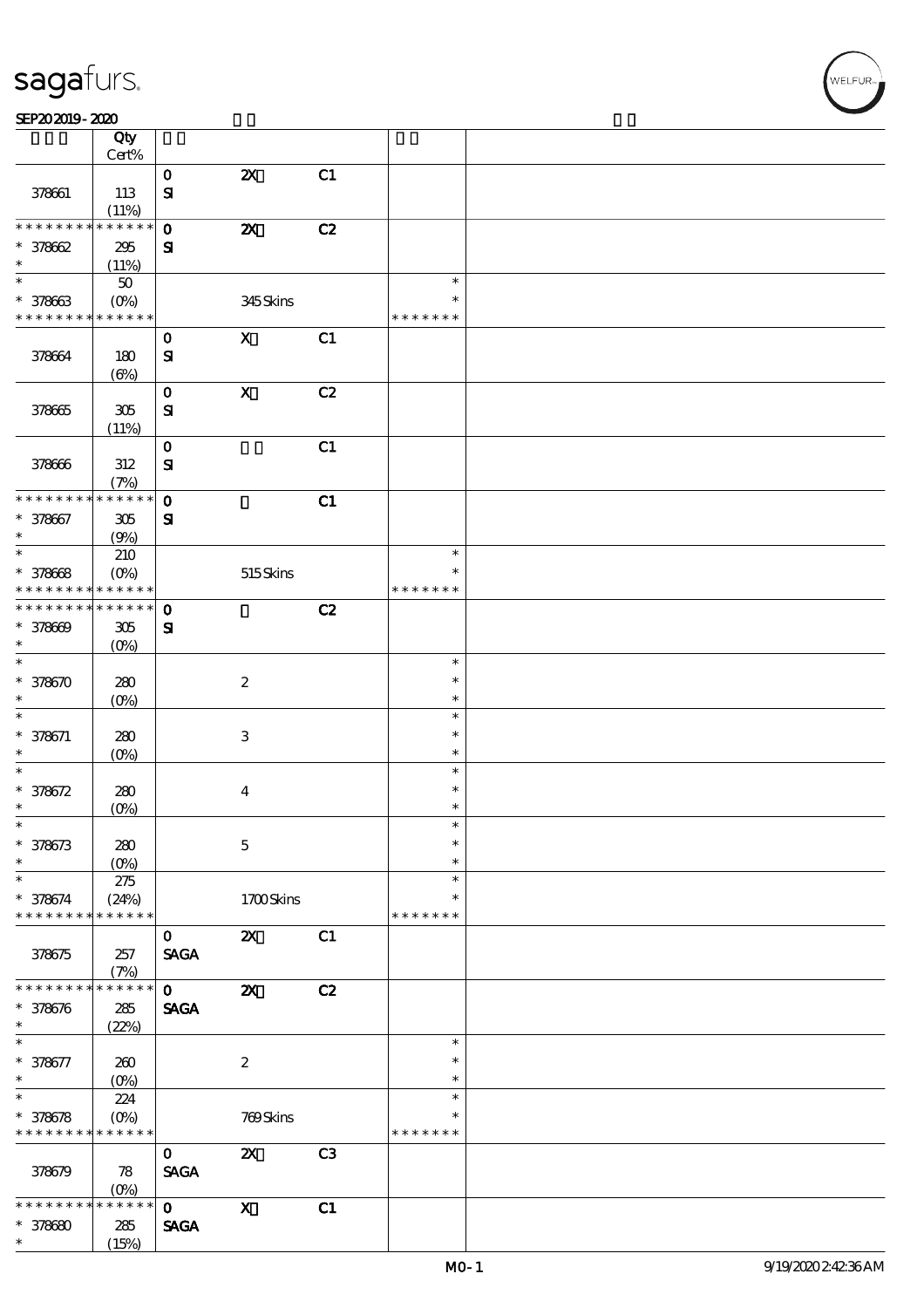#### SEP202019-2020

|                      | Qty<br>Cert%         |              |                           |                |               |  |
|----------------------|----------------------|--------------|---------------------------|----------------|---------------|--|
|                      |                      |              |                           |                |               |  |
|                      |                      | $\mathbf 0$  | $\boldsymbol{\mathsf{z}}$ | C1             |               |  |
| 378661               | 113                  | ${\bf s}$    |                           |                |               |  |
|                      | (11%)                |              |                           |                |               |  |
| * * * * * * * *      | * * * * * *          | $\mathbf 0$  | $\boldsymbol{\mathsf{z}}$ | C2             |               |  |
| $* 378662$           | 295                  | ${\bf s}$    |                           |                |               |  |
| $\ast$               | (11%)                |              |                           |                |               |  |
| $\overline{\ast}$    | $50\,$               |              |                           |                | $\ast$        |  |
| $* 378663$           |                      |              |                           |                | $\ast$        |  |
| * * * * * * * *      |                      |              | 345Skins                  |                |               |  |
|                      | * * * * * *          |              |                           |                | * * * * * * * |  |
|                      |                      | $\mathbf 0$  | $\mathbf x$               | C1             |               |  |
| 378664               | 180                  | ${\bf s}$    |                           |                |               |  |
|                      | $(\Theta)$           |              |                           |                |               |  |
|                      |                      | $\mathbf 0$  | $\mathbf X$               | C2             |               |  |
| 378665               | 305                  | ${\bf s}$    |                           |                |               |  |
|                      | (11%)                |              |                           |                |               |  |
|                      |                      | $\mathbf 0$  |                           | C1             |               |  |
|                      |                      |              |                           |                |               |  |
| 378666               | 312                  | ${\bf s}$    |                           |                |               |  |
|                      | (7%)                 |              |                           |                |               |  |
| * * * * * * * *      | * * * * * *          | $\mathbf 0$  |                           | C1             |               |  |
| $* 378667$           | 305                  | ${\bf s}$    |                           |                |               |  |
| $\ast$               | (9%)                 |              |                           |                |               |  |
| $\ast$               | 210                  |              |                           |                | $\ast$        |  |
| $* 378668$           | $(O\%)$              |              | 515Skins                  |                | $\ast$        |  |
| * * * * * * * *      | * * * * * *          |              |                           |                | * * * * * * * |  |
| * * * * * * * *      | * * * * * *          | $\mathbf{o}$ |                           | C2             |               |  |
|                      |                      |              |                           |                |               |  |
| $* 378609$<br>$\ast$ | 305                  | ${\bf s}$    |                           |                |               |  |
|                      | $(O\%)$              |              |                           |                |               |  |
| $\ast$               |                      |              |                           |                | $\ast$        |  |
| $* 378670$           | 280                  |              | $\boldsymbol{2}$          |                | $\ast$        |  |
| $\ast$               | $(O\%)$              |              |                           |                | $\ast$        |  |
| $\ast$               |                      |              |                           |                | $\ast$        |  |
| $* 378671$           | 280                  |              | $\,3\,$                   |                | $\ast$        |  |
| $\ast$               | $(O\%)$              |              |                           |                | $\ast$        |  |
| $\ast$               |                      |              |                           |                | $\ast$        |  |
| $* 378672$           | 280                  |              | $\boldsymbol{4}$          |                | $\ast$        |  |
| $\ast$               | $(O\%)$              |              |                           |                | $\ast$        |  |
| $\ast$               |                      |              |                           |                | $\ast$        |  |
|                      |                      |              |                           |                | $\ast$        |  |
| $* 378673$           | 280                  |              | $\mathbf 5$               |                |               |  |
| $\ast$               | $(O\%)$              |              |                           |                | $\ast$        |  |
| $\ast$               | 275                  |              |                           |                | $\ast$        |  |
| $* 378674$           | (24%)                |              | 1700Skins                 |                | $\ast$        |  |
| * * * * * * * *      | * * * * * *          |              |                           |                | * * * * * * * |  |
|                      |                      | $\mathbf{O}$ | $\boldsymbol{\mathsf{Z}}$ | C1             |               |  |
| 378675               | 257                  | <b>SAGA</b>  |                           |                |               |  |
|                      | (7%)                 |              |                           |                |               |  |
| * * * * * * *        | * * * * * *          | $\mathbf{O}$ | $\boldsymbol{\mathsf{z}}$ | C2             |               |  |
|                      |                      |              |                           |                |               |  |
| $* 378676$<br>$\ast$ | ${\bf 285}$          | <b>SAGA</b>  |                           |                |               |  |
|                      | (22%)                |              |                           |                |               |  |
| $\ast$               |                      |              |                           |                | $\ast$        |  |
| $* 378677$           | 260                  |              | $\boldsymbol{2}$          |                | $\ast$        |  |
| $\ast$               | $(0\%)$              |              |                           |                | $\ast$        |  |
| $\ast$               | 224                  |              |                           |                | $\ast$        |  |
| $* 378678$           | $(O\%)$              |              | 769Skins                  |                | $\ast$        |  |
| * * * * * * * *      | * * * * * *          |              |                           |                | * * * * * * * |  |
|                      |                      | $\mathbf{O}$ | $\boldsymbol{\mathsf{z}}$ | C <sub>3</sub> |               |  |
| 378679               | 78                   | <b>SAGA</b>  |                           |                |               |  |
|                      |                      |              |                           |                |               |  |
| * * * * *            | $(O\%)$<br>* * * * * | $\mathbf{o}$ |                           |                |               |  |
|                      |                      |              | $\boldsymbol{\mathrm{X}}$ | C1             |               |  |
| $* 378680$           | 285                  | <b>SAGA</b>  |                           |                |               |  |
| $\ast$               | (15%)                |              |                           |                |               |  |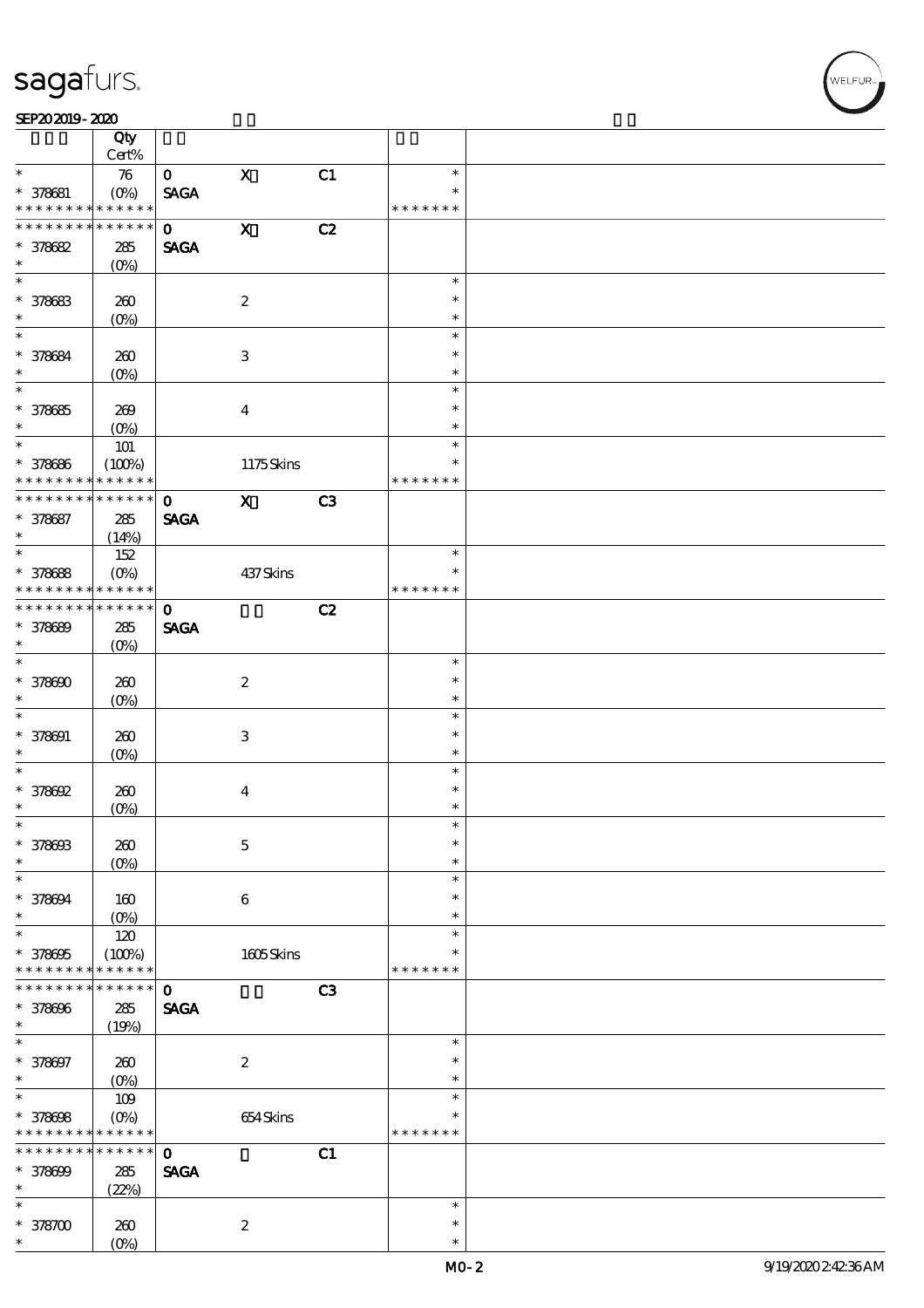┱

#### SEP202019-2020  $\overline{\Omega}$

|                             | Qty<br>Cert%          |              |                           |    |               |  |
|-----------------------------|-----------------------|--------------|---------------------------|----|---------------|--|
| $\ast$                      |                       |              | $\mathbf X$               |    | $\ast$        |  |
|                             | $\boldsymbol{\pi}$    | $\mathbf{O}$ |                           | C1 | $\ast$        |  |
| $* 378681$                  | $(0\%)$               | <b>SAGA</b>  |                           |    |               |  |
| * * * * * * * *             | * * * * * *           |              |                           |    | * * * * * * * |  |
| * * * * * * * *             | * * * * * *           | $\mathbf{O}$ | $\mathbf X$               | C2 |               |  |
| $* 378682$                  | 285                   | <b>SAGA</b>  |                           |    |               |  |
| $\ast$                      | $(O\%)$               |              |                           |    |               |  |
| $\overline{\ast}$           |                       |              |                           |    | $\ast$        |  |
| * 378683                    | 260                   |              | $\boldsymbol{2}$          |    | $\ast$        |  |
| $\ast$                      | $(O\!/\!o)$           |              |                           |    | $\ast$        |  |
| $\ast$                      |                       |              |                           |    | $\ast$        |  |
| * 378684                    | 260                   |              | $\,3$                     |    | $\ast$        |  |
| $\ast$                      | (O <sub>0</sub> )     |              |                           |    | $\ast$        |  |
| $\overline{\ast}$           |                       |              |                           |    | $\ast$        |  |
| $* 378685$                  |                       |              | $\boldsymbol{4}$          |    | $\ast$        |  |
| $\ast$                      | 269                   |              |                           |    | $\ast$        |  |
| $\ast$                      | $(O\%)$               |              |                           |    | $\ast$        |  |
|                             | $101$                 |              |                           |    |               |  |
| * 378686                    | (100%)                |              | 1175Skins                 |    | $\ast$        |  |
| * * * * * * * *             | * * * * * *           |              |                           |    | * * * * * * * |  |
| * * * * * * * *             | $******$              | $\mathbf{o}$ | $\mathbf{X}$              | C3 |               |  |
| * 378687                    | 285                   | <b>SAGA</b>  |                           |    |               |  |
| $\ast$                      | (14%)                 |              |                           |    |               |  |
| $\overline{\ast}$           | 152                   |              |                           |    | $\ast$        |  |
| * 378688                    | $(O\%)$               |              | 437Skins                  |    | $\ast$        |  |
| * * * * * * * *             | * * * * * *           |              |                           |    | * * * * * * * |  |
| * * * * * * * *             | * * * * * *           | $\mathbf 0$  |                           | C2 |               |  |
| * 378689                    | 285                   | <b>SAGA</b>  |                           |    |               |  |
| $\ast$                      | $(O\%)$               |              |                           |    |               |  |
| $\overline{\ast}$           |                       |              |                           |    | $\ast$        |  |
|                             |                       |              |                           |    | $\ast$        |  |
| $* 378600$                  | 260                   |              | $\boldsymbol{2}$          |    |               |  |
| $\ast$                      | $(O\%)$               |              |                           |    | $\ast$        |  |
| $\ast$                      |                       |              |                           |    | $\ast$        |  |
| $* 378001$                  | 260                   |              | $\ensuremath{\mathbf{3}}$ |    | $\ast$        |  |
| $\ast$                      | $(O\%)$               |              |                           |    | $\ast$        |  |
| $\ast$                      |                       |              |                           |    | $\ast$        |  |
| $* 378692$                  | 260                   |              | $\bf{4}$                  |    | $\ast$        |  |
| $\ast$                      | $(O\%)$               |              |                           |    | $\ast$        |  |
| $\ast$                      |                       |              |                           |    | $\ast$        |  |
| * 378603                    | 260                   |              | $\mathbf 5$               |    | $\ast$        |  |
| $\ast$                      | (O <sub>0</sub> )     |              |                           |    | $\ast$        |  |
| $\ast$                      |                       |              |                           |    | $\ast$        |  |
| * 378694                    | 160                   |              | $\bf 6$                   |    | $\ast$        |  |
| $\ast$                      | $(O\%)$               |              |                           |    | $\ast$        |  |
| *                           | 120                   |              |                           |    | $\ast$        |  |
|                             |                       |              |                           |    | *             |  |
| * 378695<br>* * * * * * * * | (100%)<br>* * * * * * |              | $1605$ Skins              |    | * * * * * * * |  |
| * * * * * * *               |                       |              |                           |    |               |  |
|                             | * * * * * *           | $\mathbf 0$  |                           | C3 |               |  |
| * 378696                    | ${\bf 285}$           | <b>SAGA</b>  |                           |    |               |  |
| $\ast$                      | (19%)                 |              |                           |    |               |  |
| $\ast$                      |                       |              |                           |    | $\ast$        |  |
| * 378697                    | $200$                 |              | $\boldsymbol{2}$          |    | $\ast$        |  |
| $\ast$                      | $(O_0)$               |              |                           |    | $\ast$        |  |
| $\overline{\ast}$           | 109                   |              |                           |    | $\ast$        |  |
| $* 378608$                  | $(O\%)$               |              | 654Skins                  |    | $\ast$        |  |
| * * * * * * * *             | * * * * * *           |              |                           |    | * * * * * * * |  |
| * * * * * * *               | $******$              | $\mathbf 0$  |                           | C1 |               |  |
| * 378699                    | $285\,$               | <b>SAGA</b>  |                           |    |               |  |
| $\ast$                      | (22%)                 |              |                           |    |               |  |
| $\ast$                      |                       |              |                           |    | $\ast$        |  |
|                             |                       |              |                           |    |               |  |
| $*378700$                   | 260                   |              | $\boldsymbol{2}$          |    | $\ast$        |  |
| *                           | $(O\%)$               |              |                           |    | $\ast$        |  |

T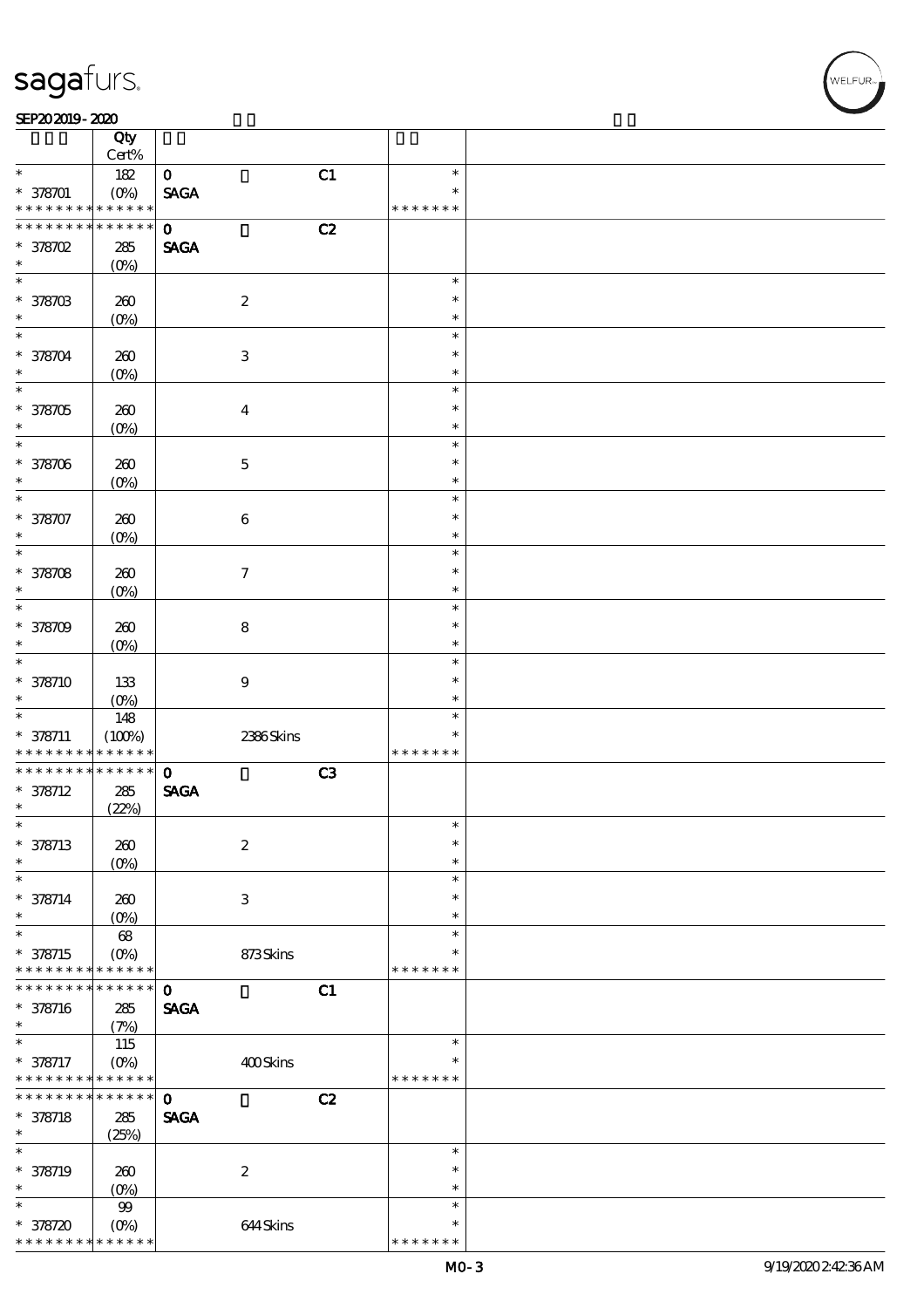#### SEP202019-2020

|                               | Qty<br>Cert%           |                                |    |                         |  |
|-------------------------------|------------------------|--------------------------------|----|-------------------------|--|
| $\ast$                        |                        | $\mathbf{O}$                   | C1 | $\ast$                  |  |
|                               | 182                    |                                |    |                         |  |
| $* 378701$<br>* * * * * * * * | $(O\%)$<br>* * * * * * | <b>SAGA</b>                    |    | $\ast$<br>* * * * * * * |  |
| * * * * * * * *               | $* * * * * * *$        | $\mathbf{O}$                   |    |                         |  |
|                               |                        |                                | C2 |                         |  |
| $*$ 378702                    | $285\,$                | <b>SAGA</b>                    |    |                         |  |
| $\ast$                        | $(O\%)$                |                                |    |                         |  |
| $\overline{\ast}$             |                        |                                |    | $\ast$                  |  |
| * 378703                      | 260                    | $\boldsymbol{2}$               |    | $\ast$                  |  |
| $\ast$                        |                        |                                |    |                         |  |
|                               | $(0\%)$                |                                |    | $\ast$                  |  |
| $\ast$                        |                        |                                |    | $\ast$                  |  |
| * 378704                      | 260                    | $\ensuremath{\mathbf{3}}$      |    | $\ast$                  |  |
| $\ast$                        | $(O\%)$                |                                |    | $\ast$                  |  |
| $\ast$                        |                        |                                |    | $\ast$                  |  |
|                               |                        |                                |    |                         |  |
| $* 378705$                    | 260                    | $\boldsymbol{4}$               |    | $\ast$                  |  |
| $\ast$                        | $(O\%)$                |                                |    | $\ast$                  |  |
| $\ast$                        |                        |                                |    | $\ast$                  |  |
| * 378706                      | 260                    | $\mathbf 5$                    |    | $\ast$                  |  |
| $\ast$                        | $(O\%)$                |                                |    | $\ast$                  |  |
| $\ast$                        |                        |                                |    | $\ast$                  |  |
|                               |                        |                                |    |                         |  |
| * 378707                      | $200$                  | $\bf 6$                        |    | $\ast$                  |  |
| $\ast$                        | (O <sub>0</sub> )      |                                |    | $\ast$                  |  |
| $\ast$                        |                        |                                |    | $\ast$                  |  |
| * 378708                      | 260                    | $\tau$                         |    | $\ast$                  |  |
|                               |                        |                                |    |                         |  |
| $\ast$                        | $(O\%)$                |                                |    | $\ast$                  |  |
| $\ast$                        |                        |                                |    | $\ast$                  |  |
| * 378709                      | 260                    | $\bf 8$                        |    | $\ast$                  |  |
| $\ast$                        | $(O\%)$                |                                |    | $\ast$                  |  |
| $\ast$                        |                        |                                |    | $\ast$                  |  |
| * 378710                      | 133                    | $\boldsymbol{9}$               |    | $\ast$                  |  |
|                               |                        |                                |    |                         |  |
| $\ast$                        | $(O\%)$                |                                |    | $\ast$                  |  |
| $\ast$                        | 148                    |                                |    | $\ast$                  |  |
|                               |                        |                                |    |                         |  |
| $* 378711$                    | (100%)                 | 2386Skins                      |    | $\ast$                  |  |
| * * * * * * * *               | * * * * * *            |                                |    | * * * * * * *           |  |
| * * * * * * * *               | $******$               |                                |    |                         |  |
|                               |                        | $\mathbf{o}$                   | C3 |                         |  |
| $* 378712$                    | 285                    | $\operatorname{\mathsf{SAGA}}$ |    |                         |  |
| $\ast$                        | (22%)                  |                                |    |                         |  |
| $\ast$                        |                        |                                |    | $\ast$                  |  |
| $* 378713$                    | 260                    | $\boldsymbol{2}$               |    | $\ast$                  |  |
| *                             | (O <sub>0</sub> )      |                                |    | $\ast$                  |  |
| $\ast$                        |                        |                                |    | $\ast$                  |  |
|                               |                        |                                |    | $\ast$                  |  |
| $* 378714$<br>$\ast$          | 260                    | $\ensuremath{\mathsf{3}}$      |    |                         |  |
|                               | (O <sub>0</sub> )      |                                |    | $\ast$                  |  |
| $\ast$                        | 68                     |                                |    | $\ast$                  |  |
| $* 378715$                    | $(O\!/\!\!\delta)$     | 873Skins                       |    | ∗                       |  |
| * * * * * * * *               | * * * * * *            |                                |    | * * * * * * *           |  |
| * * * * * * *                 | * * * * * *            | $\mathbf 0$                    |    |                         |  |
|                               |                        |                                | C1 |                         |  |
| * 378716                      | 285                    | <b>SAGA</b>                    |    |                         |  |
| $\ast$                        | (7%)                   |                                |    |                         |  |
| $\ast$                        | 115                    |                                |    | $\ast$                  |  |
| $* 378717$                    | $(O\%)$                | 400Skins                       |    | $\ast$                  |  |
| * * * * * * * *               | * * * * * *            |                                |    | * * * * * * *           |  |
| * * * * * * * *               | * * * * * *            | $\mathbf 0$                    |    |                         |  |
|                               |                        |                                | C2 |                         |  |
| $* 378718$<br>$\ast$          | 285                    | <b>SAGA</b>                    |    |                         |  |
|                               | (25%)                  |                                |    |                         |  |
| $\ast$                        |                        |                                |    | $\ast$                  |  |
| * 378719                      | 260                    | $\boldsymbol{2}$               |    | $\ast$                  |  |
| *                             | $(0\%)$                |                                |    | $\ast$                  |  |
| $\ast$                        |                        |                                |    | $\ast$                  |  |
|                               | $99$                   |                                |    | $\ast$                  |  |
| $* 378720$<br>* * * * * * * * | $(0\%)$<br>* * * * * * | 644Skins                       |    | * * * * * * *           |  |

**VELFUR**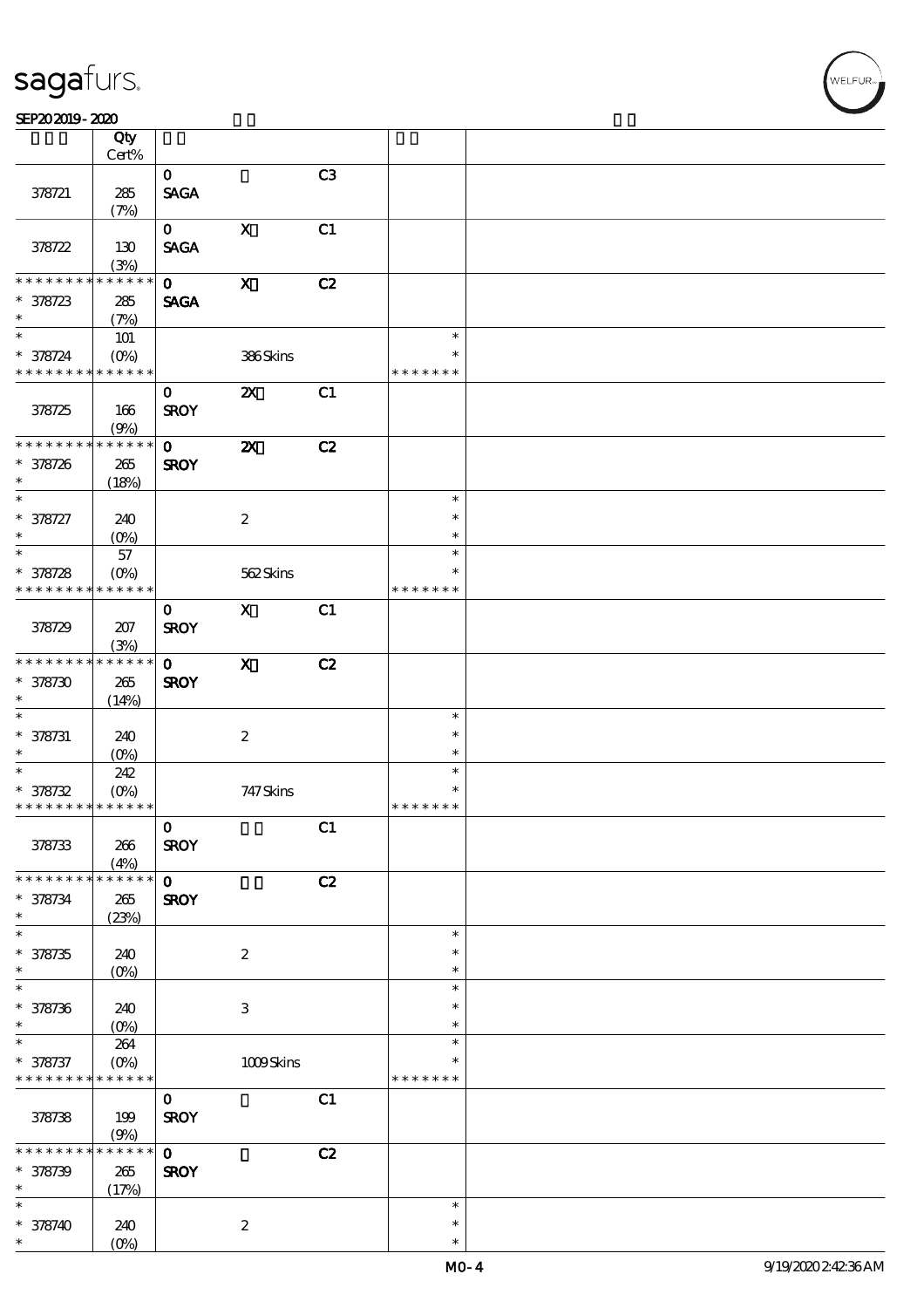#### SEP202019-2020

|                             | Qty                     |              |                           |    |               |  |
|-----------------------------|-------------------------|--------------|---------------------------|----|---------------|--|
|                             | Cert%                   |              |                           |    |               |  |
|                             |                         | $\mathbf{O}$ |                           | C3 |               |  |
| 378721                      | 285                     | <b>SAGA</b>  |                           |    |               |  |
|                             | (7%)                    | $\mathbf{O}$ | $\mathbf X$               | C1 |               |  |
| 378722                      | 130                     | <b>SAGA</b>  |                           |    |               |  |
|                             | (3%)                    |              |                           |    |               |  |
| * * * * * * *               | $******$                | $\mathbf{o}$ | $\boldsymbol{\mathrm{X}}$ | C2 |               |  |
| $* 378723$                  | 285                     | <b>SAGA</b>  |                           |    |               |  |
| $\ast$                      | (7%)                    |              |                           |    |               |  |
| $\overline{\ast}$           | $101$                   |              |                           |    | $\ast$        |  |
| $* 378724$                  | $(O\% )$                |              | 386Skins                  |    | $\ast$        |  |
| * * * * * * * * * * * * * * |                         |              |                           |    | * * * * * * * |  |
|                             |                         | $\mathbf{O}$ | $\boldsymbol{\mathsf{Z}}$ | C1 |               |  |
| 378725                      | 166                     | <b>SROY</b>  |                           |    |               |  |
|                             | (9%)                    |              |                           |    |               |  |
| * * * * * * * *             | ******                  | $\mathbf{O}$ | $\boldsymbol{\mathsf{z}}$ | C2 |               |  |
| $* 378726$                  | 265                     | <b>SROY</b>  |                           |    |               |  |
| $\ast$                      | (18%)                   |              |                           |    |               |  |
| $\ast$                      |                         |              |                           |    | $\ast$        |  |
| $* 378727$                  | 240                     |              | $\boldsymbol{2}$          |    | $\ast$        |  |
| $\ast$                      |                         |              |                           |    | $\ast$        |  |
| $\ast$                      | 57                      |              |                           |    | $\ast$        |  |
| $* 378728$                  | $(O\!/\!o)$             |              | 562Skins                  |    | $\ast$        |  |
| * * * * * * * *             | $******$                |              |                           |    | * * * * * * * |  |
|                             |                         | $\mathbf 0$  | $\mathbf{x}$              | C1 |               |  |
| 378729                      | 207                     | <b>SROY</b>  |                           |    |               |  |
| * * * * * * * *             | (3%)<br>$* * * * * * *$ |              |                           |    |               |  |
|                             |                         | $\mathbf{O}$ | $\mathbf{x}$              | C2 |               |  |
| $* 378730$<br>$\ast$        | $265\,$                 | <b>SROY</b>  |                           |    |               |  |
| $\overline{\ast}$           | (14%)                   |              |                           |    | $\ast$        |  |
| $* 378731$                  | 240                     |              | $\boldsymbol{2}$          |    | $\ast$        |  |
| $*$                         | (0%)                    |              |                           |    | $\ast$        |  |
| $*$                         | 242                     |              |                           |    | $\ast$        |  |
| $* 378732$                  | $(O\% )$                |              | 747 Skins                 |    | $\ast$        |  |
| * * * * * * * * * * * * * * |                         |              |                           |    | * * * * * * * |  |
|                             |                         | $\mathbf{O}$ |                           | C1 |               |  |
| 378733                      | 266                     | <b>SROY</b>  |                           |    |               |  |
|                             | (4%)                    |              |                           |    |               |  |
| * * * * * * * *             | ******                  | $\mathbf{o}$ |                           | C2 |               |  |
| $* 378734$                  | 265                     | <b>SROY</b>  |                           |    |               |  |
| $\ast$                      | (23%)                   |              |                           |    |               |  |
| $\ast$                      |                         |              |                           |    | $\ast$        |  |
| $* 378735$                  | 240                     |              | $\boldsymbol{2}$          |    | ∗             |  |
| $\ast$                      | $(O\!/\!o)$             |              |                           |    | $\ast$        |  |
| $\ast$                      |                         |              |                           |    | $\ast$        |  |
| $* 378736$<br>$\ast$        | 240                     |              | $\,3\,$                   |    | ∗<br>$\ast$   |  |
| $\ast$                      | $(0\%)$                 |              |                           |    | $\ast$        |  |
| $* 378737$                  | 264<br>$(0\%)$          |              | $1009$ Skins              |    | ∗             |  |
| * * * * * * * * * * * * * * |                         |              |                           |    | * * * * * * * |  |
|                             |                         | $\mathbf{o}$ |                           | C1 |               |  |
| 378738                      | 199                     | <b>SROY</b>  |                           |    |               |  |
|                             | (9%)                    |              |                           |    |               |  |
| * * * * * *                 | * * * * * *             | $\mathbf 0$  |                           | C2 |               |  |
| $* 378739$                  | 265                     | <b>SROY</b>  |                           |    |               |  |
| $\ast$                      | (17%)                   |              |                           |    |               |  |
| $\ast$                      |                         |              |                           |    | $\ast$        |  |
| $* 378740$                  | 240                     |              | $\boldsymbol{2}$          |    | $\ast$        |  |
| $\ast$                      | $(O\!/\!\!\delta)$      |              |                           |    | $\ast$        |  |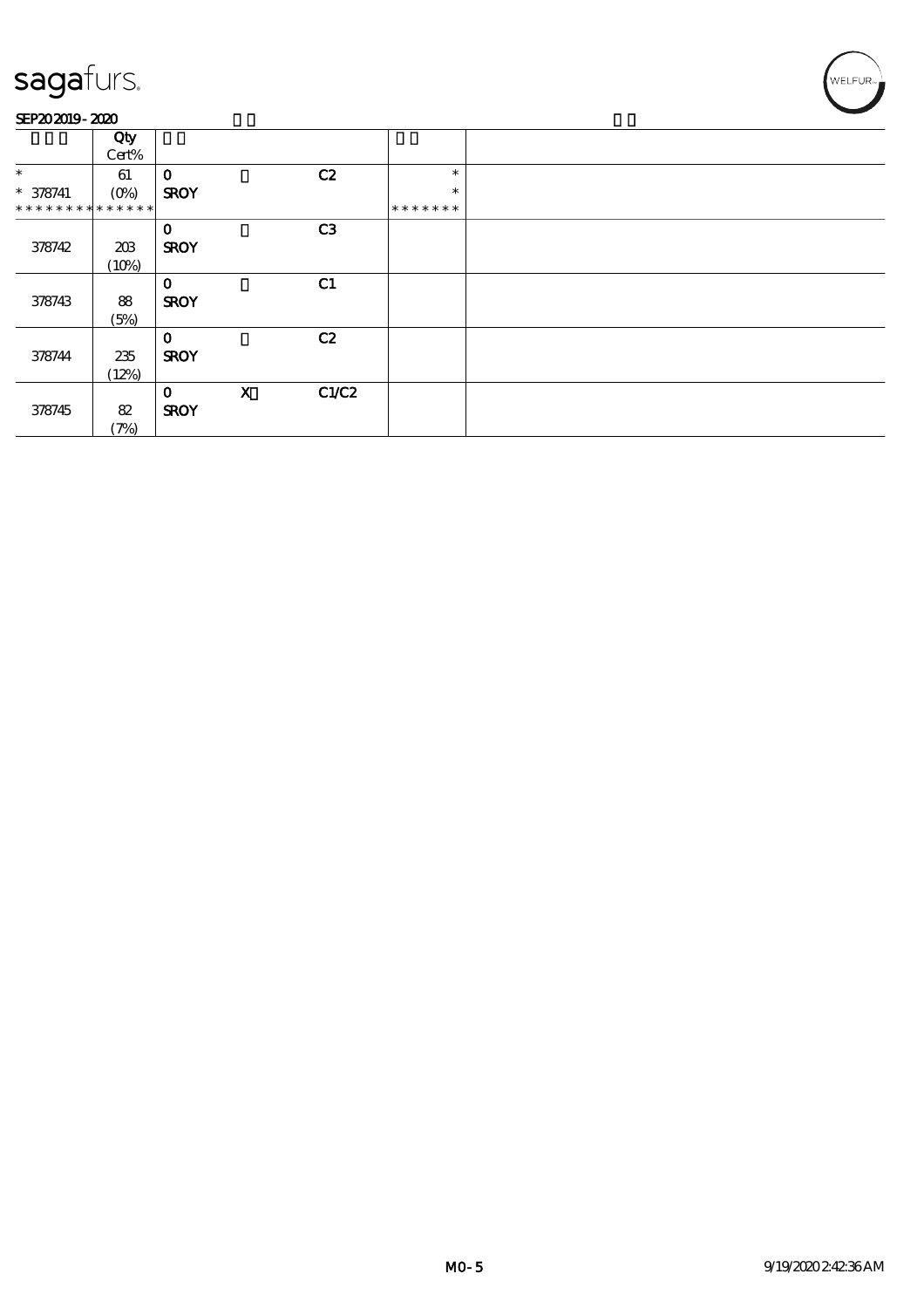#### SEP202019-2020

|                             | Qty     |              |             |                |               |  |
|-----------------------------|---------|--------------|-------------|----------------|---------------|--|
|                             | Cert%   |              |             |                |               |  |
| $\ast$                      | 61      | $\mathbf 0$  |             | C2             | $\ast$        |  |
| $* 378741$                  | $(0\%)$ | <b>SROY</b>  |             |                | $\ast$        |  |
| * * * * * * * * * * * * * * |         |              |             |                | * * * * * * * |  |
|                             |         | $\mathbf{o}$ |             | C <sub>3</sub> |               |  |
| 378742                      | 203     | <b>SROY</b>  |             |                |               |  |
|                             | (10%)   |              |             |                |               |  |
|                             |         | $\Omega$     |             | C1             |               |  |
| 378743                      | 88      | <b>SROY</b>  |             |                |               |  |
|                             | (5%)    |              |             |                |               |  |
|                             |         | $\mathbf{o}$ |             | C2             |               |  |
| 378744                      | 235     | <b>SROY</b>  |             |                |               |  |
|                             | (12%)   |              |             |                |               |  |
|                             |         | $\mathbf 0$  | $\mathbf x$ | C1/C2          |               |  |
| 378745                      | 82      | <b>SROY</b>  |             |                |               |  |
|                             | (7%)    |              |             |                |               |  |

WELFUR<sub>"</sub><br>NELFUR<sub>"</sub>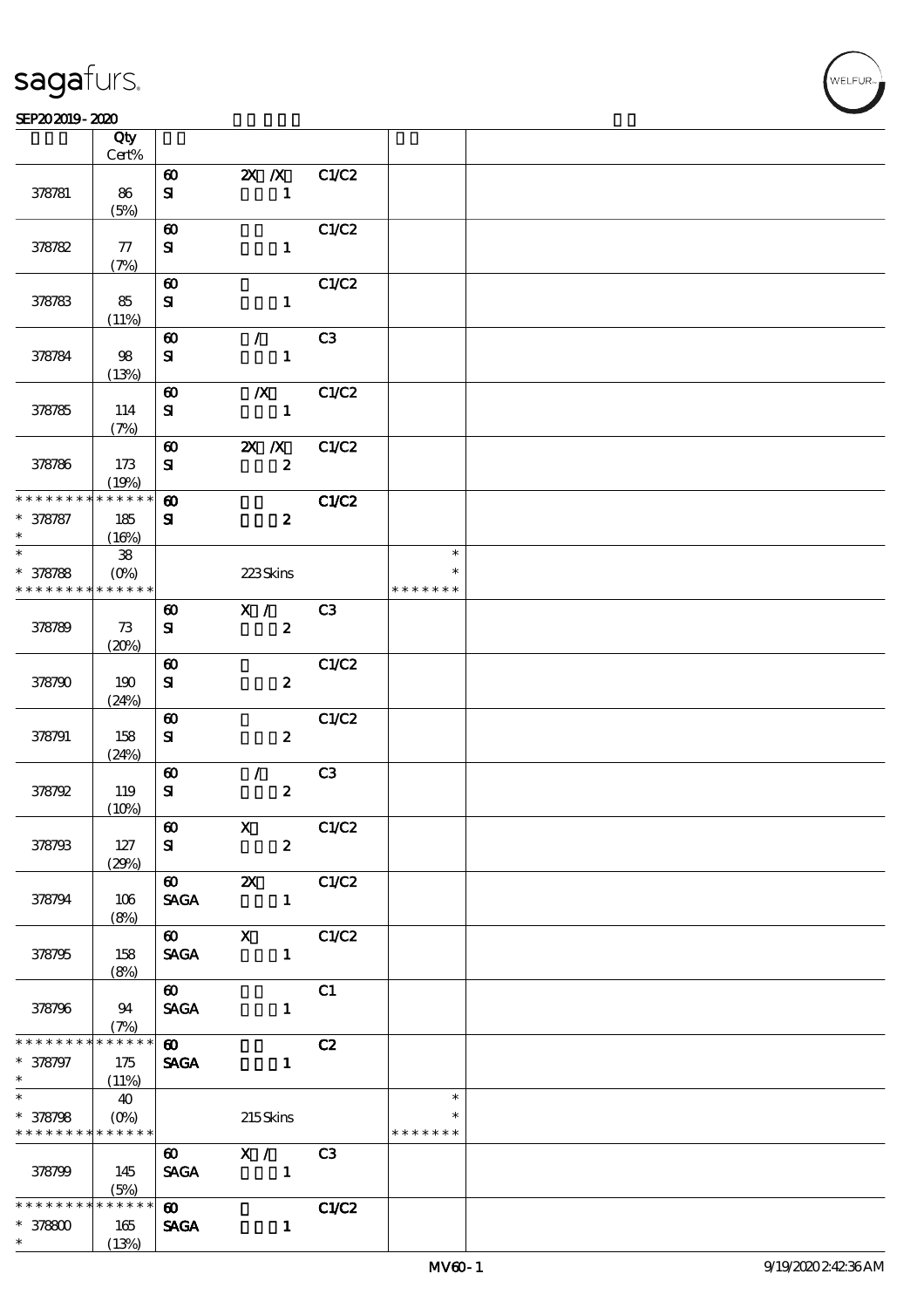### $SEP202019 - 2020$

|                             | Qty<br>Cert%        |                                    |                           |                |               |  |
|-----------------------------|---------------------|------------------------------------|---------------------------|----------------|---------------|--|
|                             |                     |                                    |                           |                |               |  |
| 378781                      | 86                  | $\boldsymbol{\omega}$<br>${\bf s}$ | $X$ $X$<br>$\mathbf{1}$   | C1/C2          |               |  |
|                             | (5%)                |                                    |                           |                |               |  |
| 378782                      | 77                  | $\boldsymbol{\omega}$<br>${\bf s}$ | $\mathbf{1}$              | C1/C2          |               |  |
|                             |                     |                                    |                           |                |               |  |
|                             | (7%)                |                                    |                           |                |               |  |
|                             |                     | $\boldsymbol{\omega}$              |                           | C1/C2          |               |  |
| 378783                      | 85                  | ${\bf s}$                          | $\mathbf{1}$              |                |               |  |
|                             | (11%)               |                                    |                           |                |               |  |
|                             |                     | $\boldsymbol{\omega}$              | $\mathcal{F}$             | C3             |               |  |
| 378784                      | 98                  | ${\bf s}$                          | $\mathbf{1}$              |                |               |  |
|                             | (13%)               |                                    |                           |                |               |  |
|                             |                     | $\boldsymbol{\omega}$              | $\boldsymbol{X}$          | C1/C2          |               |  |
|                             |                     |                                    |                           |                |               |  |
| 378785                      | 114                 | $\mathbf{S}$                       | $\mathbf{1}$              |                |               |  |
|                             | (7%)                |                                    |                           |                |               |  |
|                             |                     | $\boldsymbol{\omega}$              | $X$ $N$                   | C1/C2          |               |  |
| 378786                      | 173                 | ${\bf s}$                          | $\boldsymbol{z}$          |                |               |  |
|                             | (19%)               |                                    |                           |                |               |  |
| * * * * * * * *             | * * * * * *         | $\boldsymbol{\omega}$              |                           | C1/C2          |               |  |
| $* 378787$                  | 185                 | ${\bf s}$                          | $\boldsymbol{z}$          |                |               |  |
| $\ast$                      | (16%)               |                                    |                           |                |               |  |
| $\ast$                      | ${\bf 38}$          |                                    |                           |                | $\ast$        |  |
| $* 378788$                  | $(O\%)$             |                                    | 223Skins                  |                | $\ast$        |  |
| * * * * * * * *             | * * * * * *         |                                    |                           |                | * * * * * * * |  |
|                             |                     |                                    |                           |                |               |  |
|                             |                     | $\boldsymbol{\omega}$              | X /                       | C <sub>3</sub> |               |  |
| 378789                      | 73                  | ${\bf s}$                          | $\boldsymbol{2}$          |                |               |  |
|                             | (20%)               |                                    |                           |                |               |  |
|                             |                     | $\boldsymbol{\omega}$              |                           | C1/C2          |               |  |
| 378790                      | 190                 | ${\bf s}$                          | $\boldsymbol{z}$          |                |               |  |
|                             | (24%)               |                                    |                           |                |               |  |
|                             |                     | $\boldsymbol{\omega}$              |                           | C1/C2          |               |  |
| 378791                      | 158                 | ${\bf s}$                          | $\boldsymbol{z}$          |                |               |  |
|                             | (24%)               |                                    |                           |                |               |  |
|                             |                     | $\boldsymbol{\omega}$              | $\mathcal{L}$             | C3             |               |  |
| 378792                      | 119                 | ${\bf s}$                          | $\boldsymbol{z}$          |                |               |  |
|                             |                     |                                    |                           |                |               |  |
|                             | (10%)               |                                    |                           |                |               |  |
|                             |                     | $\pmb{\infty}$                     | $\overline{\mathbf{X}}$   | C1/C2          |               |  |
| 378793                      | 127                 | ${\bf s}$                          | $\mathbf{z}$              |                |               |  |
|                             | (29%)               |                                    |                           |                |               |  |
|                             |                     | $\boldsymbol{\omega}$              | $\boldsymbol{\mathsf{Z}}$ | C1/C2          |               |  |
| 378794                      | 106                 | <b>SAGA</b>                        | $\mathbf{1}$              |                |               |  |
|                             | (8%)                |                                    |                           |                |               |  |
|                             |                     | $\boldsymbol{\omega}$              | $\mathbf x$               | C1/C2          |               |  |
| 378795                      | 158                 | <b>SAGA</b>                        | $\mathbf{1}$              |                |               |  |
|                             | (8%)                |                                    |                           |                |               |  |
|                             |                     | $\boldsymbol{\omega}$              |                           | C1             |               |  |
| 378796                      | 94                  | <b>SAGA</b>                        | $\mathbf{1}$              |                |               |  |
|                             |                     |                                    |                           |                |               |  |
| * * * * * * * *             | (7%)<br>* * * * * * |                                    |                           |                |               |  |
|                             |                     | $\boldsymbol{\omega}$              |                           | C2             |               |  |
| * 378797                    | 175                 | <b>SAGA</b>                        | $\mathbf{1}$              |                |               |  |
| $\ast$                      | (11%)               |                                    |                           |                |               |  |
| $\ast$                      | 40                  |                                    |                           |                | $\ast$        |  |
| $* 378798$                  | $(O\%)$             |                                    | 215Skins                  |                | ∗             |  |
| * * * * * * * * * * * * * * |                     |                                    |                           |                | * * * * * * * |  |
|                             |                     | $\boldsymbol{\omega}$              | X / C3                    |                |               |  |
| 378799                      | 145                 | <b>SAGA</b>                        | $\blacksquare$            |                |               |  |
|                             | (5%)                |                                    |                           |                |               |  |
| * * * * * * * *             | $******$            | $\boldsymbol{\omega}$              |                           | C1/C2          |               |  |
| $*378800$                   | 165                 | <b>SAGA</b>                        | $\mathbf{1}$              |                |               |  |
| $\ast$                      | (13%)               |                                    |                           |                |               |  |
|                             |                     |                                    |                           |                |               |  |

**NELFUR**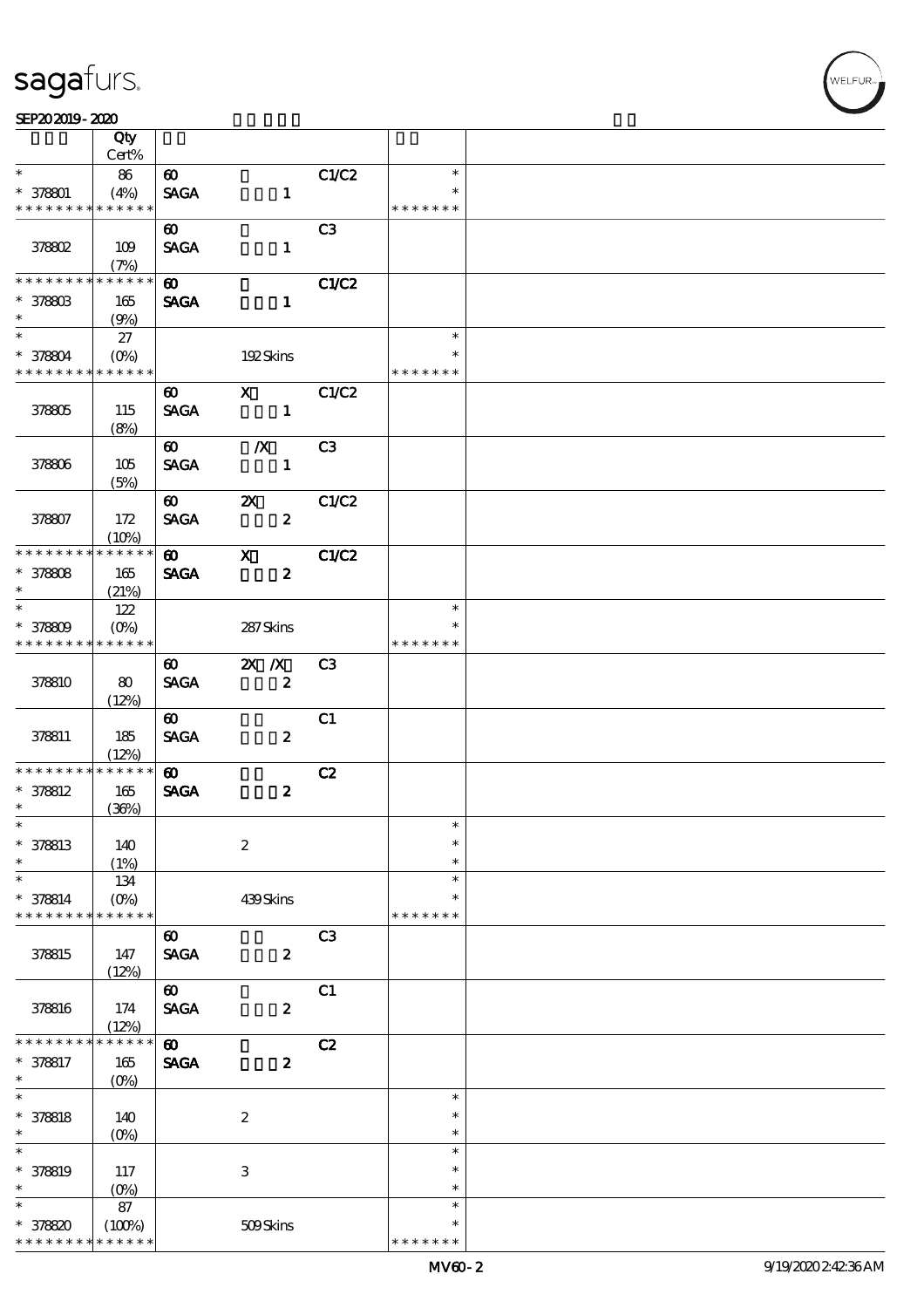#### $SEP202019 - 2020$

|                                            | Qty                 |                                      |                           |                |               |  |
|--------------------------------------------|---------------------|--------------------------------------|---------------------------|----------------|---------------|--|
|                                            | Cert%               |                                      |                           |                |               |  |
| $\ast$                                     | 86                  | $\boldsymbol{\omega}$                |                           | C1/C2          | $\ast$        |  |
| $* 378801$                                 | (4%)                | <b>SAGA</b>                          | $\mathbf{1}$              |                |               |  |
| * * * * * * * *                            | * * * * * *         |                                      |                           |                | * * * * * * * |  |
|                                            |                     | $\boldsymbol{\omega}$                |                           | C <sub>3</sub> |               |  |
| 378802                                     | 109                 | <b>SAGA</b>                          | $\mathbf{1}$              |                |               |  |
| * * * * * * *                              | (7%)<br>* * * * * * |                                      |                           |                |               |  |
|                                            |                     | $\boldsymbol{\omega}$                |                           | <b>C1/C2</b>   |               |  |
| $^*$ 378803<br>$\ast$                      | 165                 | <b>SAGA</b>                          | $\mathbf{1}$              |                |               |  |
| $\overline{\ast}$                          | (9%)                |                                      |                           |                | $\ast$        |  |
| $* 378804$                                 | 27<br>$(O\% )$      |                                      | 192Skins                  |                | $\ast$        |  |
| * * * * * * * * <mark>* * * * * * *</mark> |                     |                                      |                           |                | * * * * * * * |  |
|                                            |                     | $\boldsymbol{\omega}$                | $\mathbf X$               | C1/C2          |               |  |
| 378805                                     | 115                 | <b>SAGA</b>                          | $\mathbf{1}$              |                |               |  |
|                                            | (8%)                |                                      |                           |                |               |  |
|                                            |                     | $\boldsymbol{\omega}$                | $\boldsymbol{X}$          | C <sub>3</sub> |               |  |
| 378806                                     | 105                 | <b>SAGA</b>                          | $\mathbf{1}$              |                |               |  |
|                                            | (5%)                |                                      |                           |                |               |  |
|                                            |                     | $\boldsymbol{\omega}$                | $\boldsymbol{\mathsf{Z}}$ | C1/C2          |               |  |
| 378807                                     | 172                 | <b>SAGA</b>                          | $\boldsymbol{z}$          |                |               |  |
|                                            | (10%)               |                                      |                           |                |               |  |
| * * * * * * * *                            | * * * * * *         | $\boldsymbol{\omega}$                | $\mathbf{X}$              | C1/C2          |               |  |
| $* 378808$                                 | 165                 | <b>SAGA</b>                          | $\boldsymbol{z}$          |                |               |  |
| $\ast$                                     | (21%)               |                                      |                           |                |               |  |
| $\ast$                                     | 122                 |                                      |                           |                | $\ast$        |  |
| $* 378809$                                 | $(O\%)$             |                                      | 287Skins                  |                | ∗             |  |
| * * * * * * * * * * * * * *                |                     |                                      |                           |                | * * * * * * * |  |
|                                            |                     | $\boldsymbol{\omega}$                | $X$ $X$                   | C3             |               |  |
| 378810                                     | 80                  | <b>SAGA</b>                          | $\boldsymbol{z}$          |                |               |  |
|                                            | (12%)               |                                      |                           |                |               |  |
|                                            |                     | $\boldsymbol{\omega}$                |                           | C1             |               |  |
| 378811                                     | 185                 | <b>SAGA</b>                          | $\boldsymbol{z}$          |                |               |  |
| * * * * * * * *                            | (12%)<br>$******$   |                                      |                           |                |               |  |
| $* 378812$                                 | 165                 | $\boldsymbol{\omega}$<br><b>SAGA</b> | $\boldsymbol{z}$          | C2             |               |  |
| $\ast$                                     | (36%)               |                                      |                           |                |               |  |
| $*$                                        |                     |                                      |                           |                | $\ast$        |  |
| * 378813                                   | 140                 |                                      | $\boldsymbol{2}$          |                | $\ast$        |  |
| $\ast$                                     | (1%)                |                                      |                           |                | $\ast$        |  |
| $\ast$                                     | 134                 |                                      |                           |                | $\ast$        |  |
| * 378814                                   | $(O\%)$             |                                      | 439Skins                  |                | $\ast$        |  |
| * * * * * * * *                            | * * * * * *         |                                      |                           |                | * * * * * * * |  |
|                                            |                     | $\boldsymbol{\omega}$                |                           | C3             |               |  |
| 378815                                     | 147                 | <b>SAGA</b>                          | $\boldsymbol{z}$          |                |               |  |
|                                            | (12%)               |                                      |                           |                |               |  |
|                                            |                     | $\boldsymbol{\omega}$                |                           | C1             |               |  |
| 378816                                     | 174                 | <b>SAGA</b>                          | $\boldsymbol{z}$          |                |               |  |
|                                            | (12%)               |                                      |                           |                |               |  |
| * * * * * *                                | * * * * * *         | $\boldsymbol{\omega}$                |                           | C2             |               |  |
| * 378817<br>$\ast$                         | 165                 | <b>SAGA</b>                          | $\boldsymbol{z}$          |                |               |  |
| $\ast$                                     | $(O_0)$             |                                      |                           |                | $\ast$        |  |
| $* 378818$                                 | 140                 |                                      | $\boldsymbol{2}$          |                | $\ast$        |  |
| $\ast$                                     | $(O\%)$             |                                      |                           |                | $\ast$        |  |
| $\ast$                                     |                     |                                      |                           |                | $\ast$        |  |
| $* 378819$                                 | 117                 |                                      | $\ensuremath{\mathbf{3}}$ |                | $\ast$        |  |
| $\ast$                                     | $(0\%)$             |                                      |                           |                | $\ast$        |  |
| $\ast$                                     | 87                  |                                      |                           |                | $\ast$        |  |
| * 378820                                   | (100%)              |                                      | 509Skins                  |                | $\ast$        |  |
| * * * * * * * *                            | * * * * * *         |                                      |                           |                | * * * * * * * |  |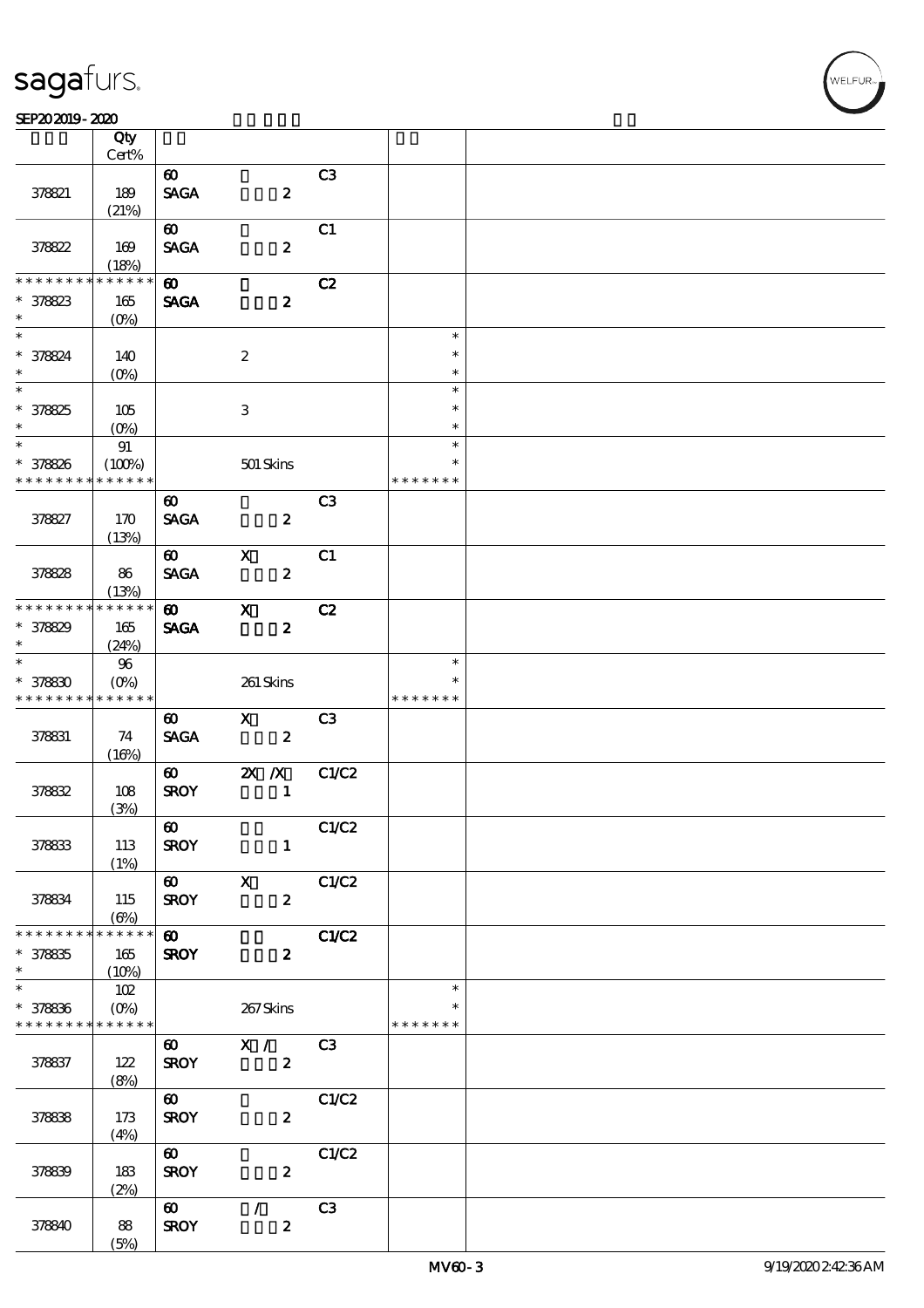#### SEP202019-2020

|                                            | Qty<br>Cert%           |                       |                           |                  |                |               |  |
|--------------------------------------------|------------------------|-----------------------|---------------------------|------------------|----------------|---------------|--|
|                                            |                        |                       |                           |                  |                |               |  |
|                                            |                        | $\boldsymbol{\omega}$ |                           |                  | C3             |               |  |
| 378821                                     | 189                    | <b>SAGA</b>           |                           | $\pmb{2}$        |                |               |  |
|                                            | (21%)                  |                       |                           |                  |                |               |  |
|                                            |                        | $\boldsymbol{\omega}$ |                           |                  | C1             |               |  |
| 378822                                     | 169                    | <b>SAGA</b>           |                           | $\boldsymbol{2}$ |                |               |  |
|                                            | (18%)                  |                       |                           |                  |                |               |  |
| * * * * * * *                              | * * * * * *            | $\boldsymbol{\omega}$ |                           |                  | C2             |               |  |
| $* 378823$                                 | 165                    | <b>SAGA</b>           |                           | $\boldsymbol{z}$ |                |               |  |
| $\ast$                                     | $(O\%)$                |                       |                           |                  |                |               |  |
|                                            |                        |                       |                           |                  |                | $\ast$        |  |
|                                            |                        |                       |                           |                  |                |               |  |
| * 378824                                   | 140                    |                       | $\boldsymbol{2}$          |                  |                | $\ast$        |  |
| $\ast$                                     | $(O\%)$                |                       |                           |                  |                | $\ast$        |  |
| $\overline{\phantom{0}}$                   |                        |                       |                           |                  |                | $\ast$        |  |
| $* 378825$                                 | 105                    |                       | $\ensuremath{\mathbf{3}}$ |                  |                | $\ast$        |  |
| $\ast$                                     | $(O\%)$                |                       |                           |                  |                | $\ast$        |  |
| $*$                                        | $9\!1$                 |                       |                           |                  |                | $\ast$        |  |
| $* 378826$                                 | (100%)                 |                       | $501$ Skins               |                  |                | $\ast$        |  |
| * * * * * * * *                            | * * * * * *            |                       |                           |                  |                | * * * * * * * |  |
|                                            |                        | $\boldsymbol{\omega}$ |                           |                  | C <sub>3</sub> |               |  |
| 378827                                     | 170                    | <b>SAGA</b>           |                           | $\boldsymbol{z}$ |                |               |  |
|                                            |                        |                       |                           |                  |                |               |  |
|                                            | (13%)                  |                       | $\boldsymbol{\mathsf{X}}$ |                  | C1             |               |  |
|                                            |                        | $\boldsymbol{\omega}$ |                           |                  |                |               |  |
| 378828                                     | 86                     | <b>SAGA</b>           |                           | $\pmb{2}$        |                |               |  |
|                                            | (13%)                  |                       |                           |                  |                |               |  |
| * * * * * * * *                            | * * * * * *            | $\boldsymbol{\omega}$ | $\mathbf{x}$              |                  | C2             |               |  |
| $* 378829$                                 | 165                    | <b>SAGA</b>           |                           | $\boldsymbol{z}$ |                |               |  |
| $\ast$                                     | (24%)                  |                       |                           |                  |                |               |  |
| $\overline{\ast}$                          | $96\,$                 |                       |                           |                  |                | $\ast$        |  |
| $* 378830$                                 | $(O\%)$                |                       | 261 Skins                 |                  |                | $\ast$        |  |
| * * * * * * * *                            | * * * * * *            |                       |                           |                  |                | * * * * * * * |  |
|                                            |                        | $\boldsymbol{\omega}$ | $\mathbf{X}$              |                  | C <sub>3</sub> |               |  |
| 378831                                     | 74                     | <b>SAGA</b>           |                           | $\boldsymbol{z}$ |                |               |  |
|                                            | (16%)                  |                       |                           |                  |                |               |  |
|                                            |                        | $\boldsymbol{\omega}$ | $X$ $N$                   |                  | C1/C2          |               |  |
| 378832                                     | 108                    | <b>SROY</b>           |                           | $\mathbf{1}$     |                |               |  |
|                                            | (3%)                   |                       |                           |                  |                |               |  |
|                                            |                        | $\boldsymbol{\omega}$ |                           |                  | C1/C2          |               |  |
| 378833                                     | 113                    | <b>SROY</b>           |                           | $\mathbf{1}$     |                |               |  |
|                                            | (1%)                   |                       |                           |                  |                |               |  |
|                                            |                        | 60 X                  |                           |                  | C1/C2          |               |  |
|                                            |                        |                       |                           |                  |                |               |  |
| 378834                                     | 115                    | <b>SROY</b>           |                           | $\boldsymbol{z}$ |                |               |  |
| * * * * * * * *                            | $(\Theta)$<br>$******$ |                       |                           |                  |                |               |  |
|                                            |                        | $\boldsymbol{\omega}$ |                           |                  | C1/C2          |               |  |
| $* 378835$                                 | 165                    | <b>SROY</b>           |                           | $\boldsymbol{z}$ |                |               |  |
| $\ast$<br>$\overline{\ast}$                | (10%)                  |                       |                           |                  |                |               |  |
|                                            | 102                    |                       |                           |                  |                | $\ast$        |  |
| $* 378836$                                 | $(O\%)$                |                       | 267Skins                  |                  |                | ∗             |  |
| * * * * * * * * <mark>* * * * * * *</mark> |                        |                       |                           |                  |                | * * * * * * * |  |
|                                            |                        | $\boldsymbol{\omega}$ | $\mathbf{X}$ /            |                  | C <sub>3</sub> |               |  |
| 378837                                     | 122                    | <b>SROY</b>           |                           | $\boldsymbol{z}$ |                |               |  |
|                                            | (8%)                   |                       |                           |                  |                |               |  |
|                                            |                        | $\boldsymbol{\omega}$ |                           |                  | C1/C2          |               |  |
| 378838                                     | 173                    | <b>SROY</b>           |                           | $\boldsymbol{z}$ |                |               |  |
|                                            | (4%)                   |                       |                           |                  |                |               |  |
|                                            |                        | $\boldsymbol{\omega}$ |                           |                  | C1/C2          |               |  |
| 378839                                     | 183                    | <b>SROY</b>           |                           | $\boldsymbol{z}$ |                |               |  |
|                                            | (2%)                   |                       |                           |                  |                |               |  |
|                                            |                        | $\boldsymbol{\omega}$ | $\mathcal{L}$             |                  | C <sub>3</sub> |               |  |
| 378840                                     | 88                     | <b>SROY</b>           |                           | $\pmb{2}$        |                |               |  |
|                                            | (5%)                   |                       |                           |                  |                |               |  |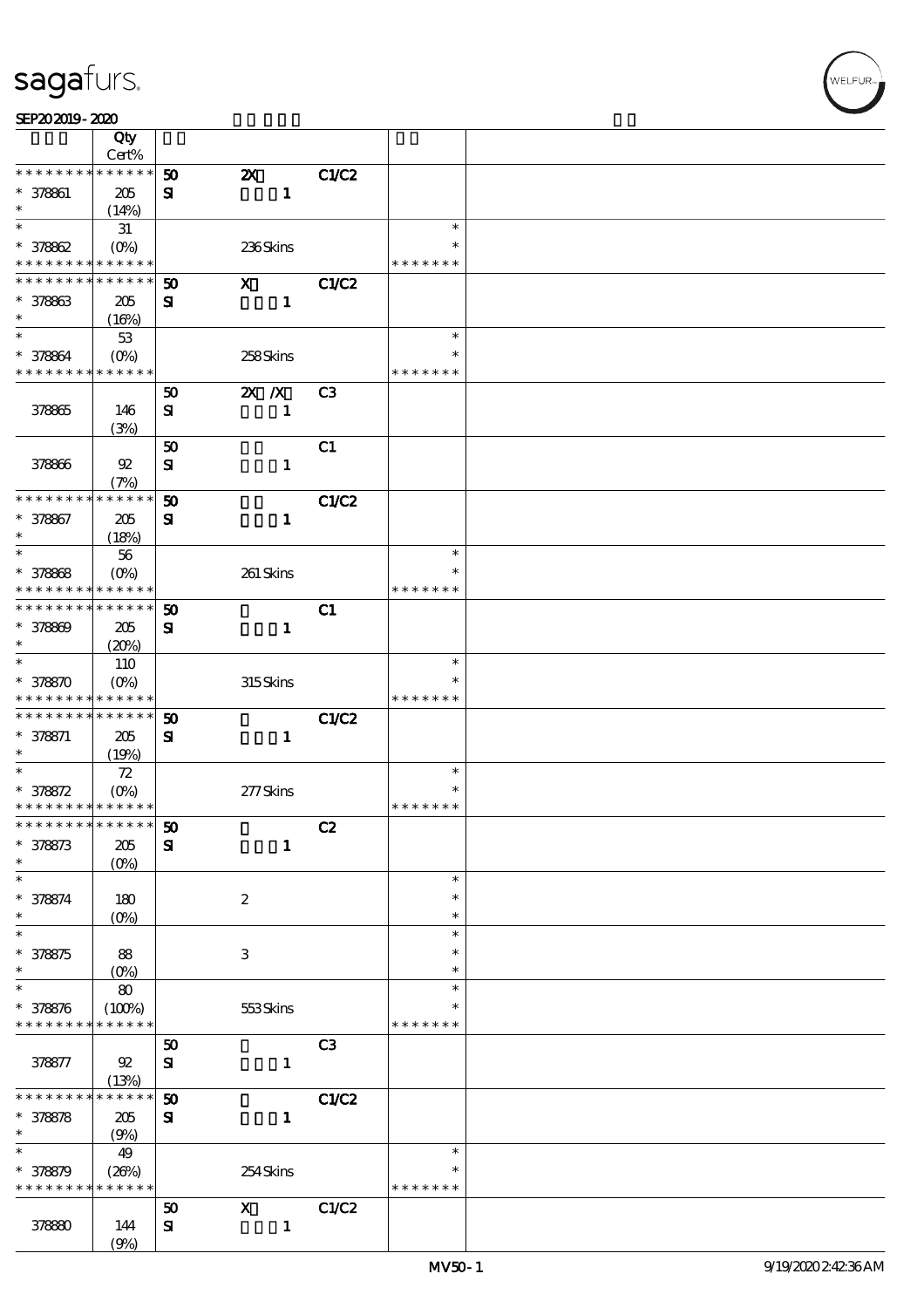| SEP202019-2020 |  |  |  |
|----------------|--|--|--|
|                |  |  |  |

|                                          | Qty                   |                             |                                           |                |                    |  |
|------------------------------------------|-----------------------|-----------------------------|-------------------------------------------|----------------|--------------------|--|
| * * * * * * * *                          | Cert%<br>* * * * * *  |                             |                                           |                |                    |  |
| $* 378861$                               |                       | 50                          | $\boldsymbol{\mathsf{X}}$<br>$\mathbf{1}$ | <b>C1/C2</b>   |                    |  |
| $\ast$                                   | 205<br>(14%)          | ${\bf s}$                   |                                           |                |                    |  |
| $\ast$                                   | 31                    |                             |                                           |                | $\ast$             |  |
| $* 378862$                               | $(O\%)$               |                             | 236Skins                                  |                | ∗                  |  |
| * * * * * * * * <mark>* * * * * *</mark> |                       |                             |                                           |                | * * * * * * *      |  |
| * * * * * * * *                          | * * * * * *           | $\boldsymbol{\mathfrak{D}}$ | $\mathbf{x}$                              | <b>C1/C2</b>   |                    |  |
| $* 378863$                               | 205                   | ${\bf s}$                   | $\mathbf{1}$                              |                |                    |  |
| $\ast$                                   | (16%)                 |                             |                                           |                |                    |  |
| $\ast$                                   | $53\,$                |                             |                                           |                | $\ast$             |  |
| $* 378864$                               | $(O\%)$               |                             | 258Skins                                  |                | $\ast$             |  |
| * * * * * * * * * * * * * *              |                       |                             |                                           |                | * * * * * * *      |  |
|                                          |                       | 50                          | $X$ $X$                                   | C <sub>3</sub> |                    |  |
| 378865                                   | 146<br>(3%)           | ${\bf s}$                   | $\mathbf{1}$                              |                |                    |  |
|                                          |                       | 50                          |                                           | C1             |                    |  |
| 378866                                   | $92\,$                | ${\bf s}$                   | $\mathbf{1}$                              |                |                    |  |
|                                          | (7%)                  |                             |                                           |                |                    |  |
| * * * * * * * *                          | * * * * * *           | 50                          |                                           | C1/C2          |                    |  |
| * 378867                                 | 205                   | ${\bf s}$                   | $\mathbf{1}$                              |                |                    |  |
| $\ast$                                   | (18%)                 |                             |                                           |                |                    |  |
| $\ast$                                   | 56                    |                             |                                           |                | $\ast$             |  |
| $* 378868$                               | $(O\%)$               |                             | 261 Skins                                 |                | ∗                  |  |
| * * * * * * * *                          | * * * * * *           |                             |                                           |                | * * * * * * *      |  |
| * * * * * * * *                          | * * * * * *           | 50                          |                                           | C1             |                    |  |
| $* 378809$<br>$\ast$                     | 205                   | $\mathbf{S}$                | $\mathbf{1}$                              |                |                    |  |
| $\ast$                                   | (20%)<br>110          |                             |                                           |                | $\ast$             |  |
| $* 378870$                               | $(0\%)$               |                             | 315Skins                                  |                |                    |  |
| * * * * * * * * * * * * * *              |                       |                             |                                           |                | * * * * * * *      |  |
| * * * * * * * * * * * * * *              |                       | $\boldsymbol{\mathfrak{D}}$ |                                           | C1/C2          |                    |  |
| $* 378871$                               | 205                   | ${\bf s}$                   | $\mathbf{1}$                              |                |                    |  |
| $\ast$                                   | (19%)                 |                             |                                           |                |                    |  |
| $\ast$                                   | ${\bf Z}$             |                             |                                           |                | $\ast$             |  |
| $* 378872$                               | $(O\% )$              |                             | 277Skins                                  |                |                    |  |
| * * * * * * * * * * * * * *              |                       |                             |                                           |                | * * * * * * *      |  |
| *************** 50                       |                       |                             |                                           | C2             |                    |  |
| $* 378873$<br>$\ast$                     | 205<br>$(0\%)$        | $\mathbf{S}$                | $\mathbf{1}$                              |                |                    |  |
| $\ast$                                   |                       |                             |                                           |                | $\ast$             |  |
| $* 378874$                               | 180                   |                             | $\boldsymbol{2}$                          |                | $\ast$             |  |
| $\ast$                                   | $(O\%)$               |                             |                                           |                | $\ast$             |  |
| $\ast$                                   |                       |                             |                                           |                | $\ast$             |  |
| $* 378875$                               | 88                    |                             | $\,3$                                     |                | ∗                  |  |
| $\ast$                                   | $(O\%)$               |                             |                                           |                | $\ast$             |  |
| $\ast$                                   | $\bf 80$              |                             |                                           |                | $\ast$             |  |
| $* 378876$                               | (100%)<br>* * * * * * |                             | 553Skins                                  |                | ∗<br>* * * * * * * |  |
| * * * * * * * *                          |                       |                             |                                           |                |                    |  |
| 378877                                   | 92                    | 50<br>${\bf S\!I}$          | $\mathbf{1}$                              | C <sub>3</sub> |                    |  |
|                                          | (13%)                 |                             |                                           |                |                    |  |
| * * * * * * *                            | * * * * * *           | $\boldsymbol{\mathfrak{D}}$ |                                           | C1/C2          |                    |  |
| $* 378878$                               | 205                   | ${\bf s}$                   | $\mathbf{1}$                              |                |                    |  |
| $\ast$                                   | (9%)                  |                             |                                           |                |                    |  |
| $\ast$                                   | 49                    |                             |                                           |                | $\ast$             |  |
| $* 378879$                               | (20%)                 |                             | 254Skins                                  |                | ∗                  |  |
| * * * * * * * *                          | * * * * * *           |                             |                                           |                | * * * * * * *      |  |
|                                          |                       | 50                          | $\mathbf X$                               | C1/C2          |                    |  |
| 378880                                   | 144                   | ${\bf s}$                   | $\mathbf{1}$                              |                |                    |  |
|                                          | (9%)                  |                             |                                           |                |                    |  |

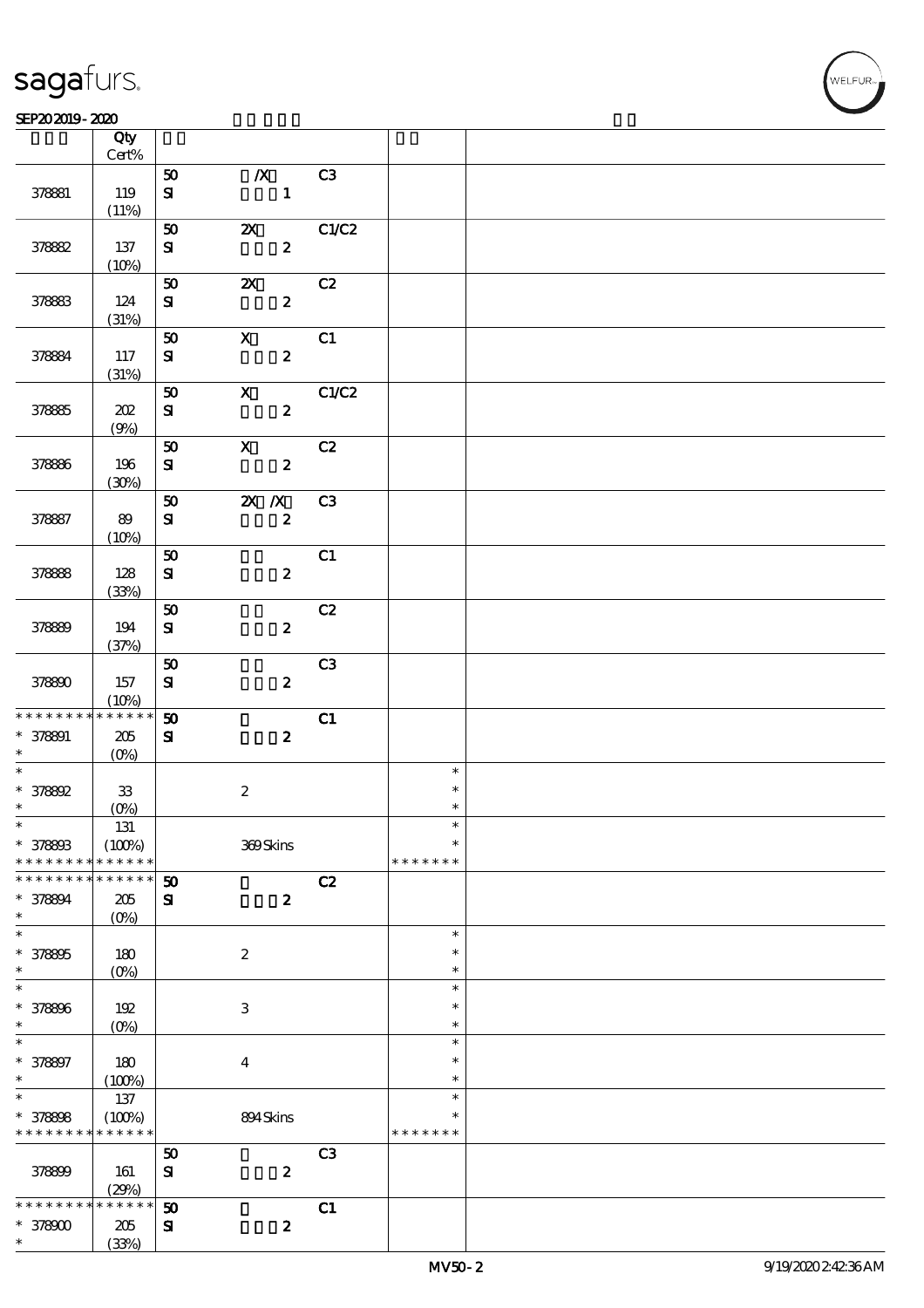#### $SEP202019 - 2020$  $\overline{\phantom{a}}$  Qty  $\overline{\phantom{a}}$

|                 | Qty<br>Cert%       |                             |                                  |                |               |  |
|-----------------|--------------------|-----------------------------|----------------------------------|----------------|---------------|--|
|                 |                    |                             |                                  |                |               |  |
| 378881          | 119                | 50<br>${\bf s}$             | $\boldsymbol{X}$<br>$\mathbf{1}$ | C3             |               |  |
|                 | (11%)              |                             |                                  |                |               |  |
|                 |                    | 50                          | <b>2X</b> C1/C2                  |                |               |  |
| 378882          | 137                | ${\bf S}$                   | $\boldsymbol{2}$                 |                |               |  |
|                 | (10%)              |                             |                                  |                |               |  |
|                 |                    | 50                          | $\boldsymbol{\mathsf{X}}$        | C2             |               |  |
|                 |                    |                             |                                  |                |               |  |
| 378883          | 124                | ${\bf s}$                   | $\boldsymbol{2}$                 |                |               |  |
|                 | (31%)              |                             |                                  |                |               |  |
|                 |                    | 50                          | $\mathbf X$                      | C1             |               |  |
| 378884          | 117                | ${\bf s}$                   | $\boldsymbol{z}$                 |                |               |  |
|                 | (31%)              |                             |                                  |                |               |  |
|                 |                    | $50\,$                      | $\boldsymbol{\mathsf{X}}$        | C1/C2          |               |  |
|                 |                    |                             |                                  |                |               |  |
| 378885          | 202                | ${\bf s}$                   | $\boldsymbol{z}$                 |                |               |  |
|                 | (9%)               |                             |                                  |                |               |  |
|                 |                    | ${\bf 50}$                  | $\boldsymbol{\mathrm{X}}$        | C2             |               |  |
| 378886          | 196                | ${\bf s}$                   | $\boldsymbol{z}$                 |                |               |  |
|                 | (30%)              |                             |                                  |                |               |  |
|                 |                    | ${\bf 50}$                  | $\mathbf{X}$ $\mathbf{X}$        | C <sub>3</sub> |               |  |
| 378887          | 89                 | ${\bf s}$                   | $\pmb{2}$                        |                |               |  |
|                 | (10%)              |                             |                                  |                |               |  |
|                 |                    |                             |                                  |                |               |  |
|                 |                    | 50                          |                                  | C1             |               |  |
| 378888          | 128                | ${\bf S}$                   | $\boldsymbol{2}$                 |                |               |  |
|                 | (33%)              |                             |                                  |                |               |  |
|                 |                    | ${\bf 50}$                  |                                  | C2             |               |  |
| 378899          | 194                | ${\bf s}$                   | $\boldsymbol{z}$                 |                |               |  |
|                 | (37%)              |                             |                                  |                |               |  |
|                 |                    | ${\bf 50}$                  |                                  | C <sub>3</sub> |               |  |
|                 |                    |                             |                                  |                |               |  |
| 378800          | 157                | ${\bf S}$                   | $\boldsymbol{z}$                 |                |               |  |
|                 | (10%)              |                             |                                  |                |               |  |
| * * * * * * * * | $* * * * * * *$    | 50                          |                                  | C1             |               |  |
| $* 378891$      | 205                | $\mathbf{S}$                | $\boldsymbol{z}$                 |                |               |  |
| $\ast$          | $(O\!/\!o)$        |                             |                                  |                |               |  |
| $\ast$          |                    |                             |                                  |                | $\ast$        |  |
| $* 378892$      | $33\,$             |                             | $\boldsymbol{2}$                 |                | $\ast$        |  |
| $\ast$          | $(0\%)$            |                             |                                  |                | $\ast$        |  |
| $\ast$          | $131\,$            |                             |                                  |                |               |  |
| * 378803        | (100%)             |                             | 369Skins                         |                | $\ast$        |  |
| * * * * * * * * | * * * * * *        |                             |                                  |                | * * * * * * * |  |
|                 | * * * * * *        |                             |                                  |                |               |  |
| * * * * * * * * |                    | $\boldsymbol{\mathfrak{D}}$ |                                  | C2             |               |  |
| * 378894        | $205\,$            | ${\bf s}$                   | $\boldsymbol{z}$                 |                |               |  |
| $\ast$          | $(O\%)$            |                             |                                  |                |               |  |
| $\ast$          |                    |                             |                                  |                | $\ast$        |  |
| * 378805        | 180                |                             | $\boldsymbol{z}$                 |                | $\ast$        |  |
| $\ast$          | $(O\!/\!\!\delta)$ |                             |                                  |                | $\ast$        |  |
| $\ast$          |                    |                             |                                  |                | $\ast$        |  |
| * 378806        | 192                |                             | $\,3$                            |                | $\ast$        |  |
| $\ast$          | (O <sub>0</sub> )  |                             |                                  |                | $\ast$        |  |
| $\ast$          |                    |                             |                                  |                | $\ast$        |  |
|                 |                    |                             |                                  |                |               |  |
| * 378897        | 180                |                             | $\boldsymbol{4}$                 |                | $\ast$        |  |
| $\ast$          | (100%)             |                             |                                  |                | $\ast$        |  |
| $\ast$          | 137                |                             |                                  |                | $\ast$        |  |
| $* 378808$      | (100%)             |                             | 894Skins                         |                | $\ast$        |  |
| * * * * * * * * | * * * * * *        |                             |                                  |                | * * * * * * * |  |
|                 |                    | 50                          |                                  | C <sub>3</sub> |               |  |
| 378899          | 161                | ${\bf s}$                   | $\pmb{2}$                        |                |               |  |
|                 |                    |                             |                                  |                |               |  |
|                 | (29%)              |                             |                                  |                |               |  |
| * * * * * * *   | $* * * * * * *$    | 50                          |                                  | C1             |               |  |
| $*378000$       | $205\,$            | ${\bf s}$                   | $\boldsymbol{z}$                 |                |               |  |
| $\ast$          | (33%)              |                             |                                  |                |               |  |

**NELFUR**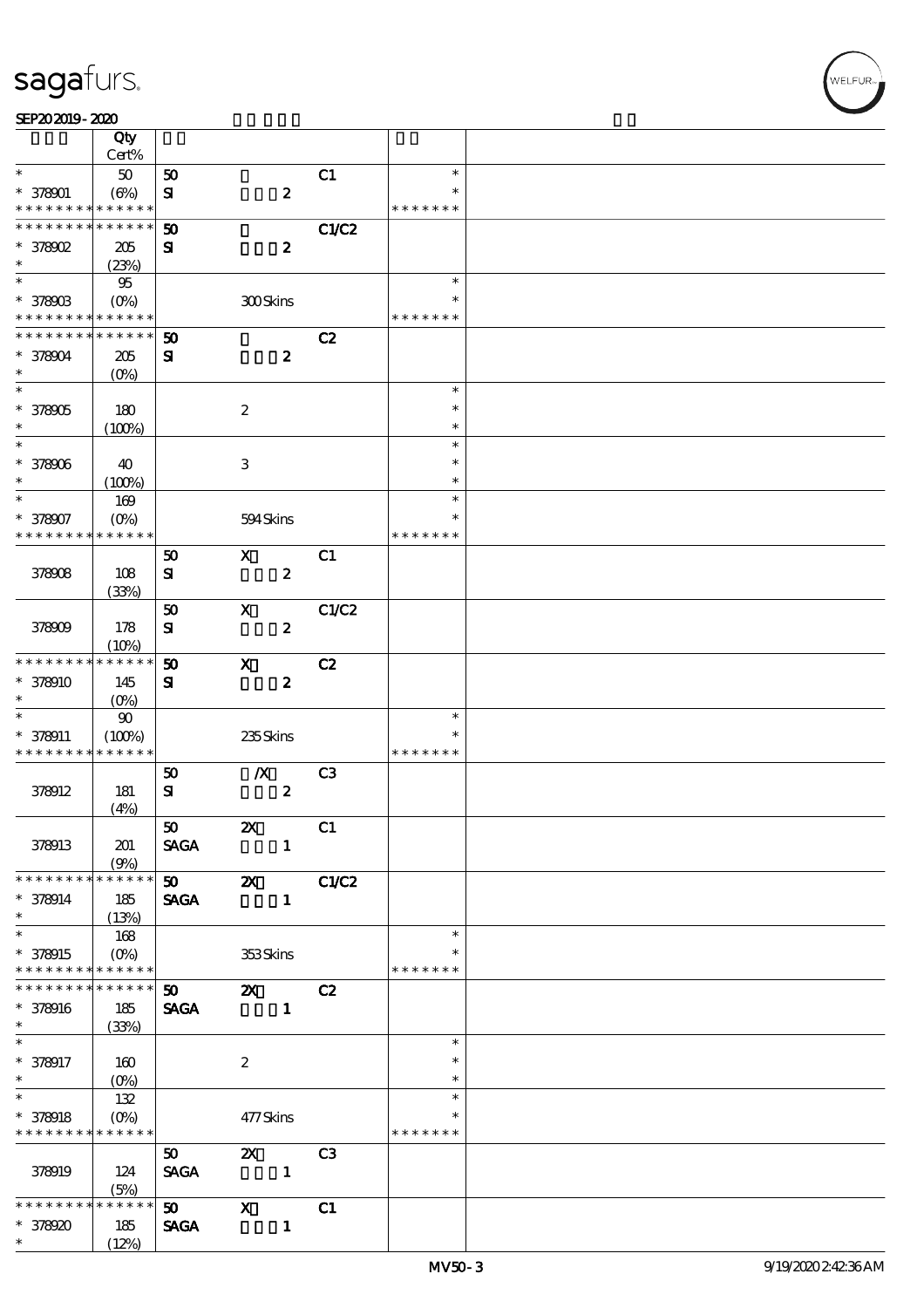#### SEP202019-2020

|                             | Qty<br>Cert%                    |                             |                                                                                                                                                                                                                                                                                                                                                                                                                                                                                 |                  |                |               |  |
|-----------------------------|---------------------------------|-----------------------------|---------------------------------------------------------------------------------------------------------------------------------------------------------------------------------------------------------------------------------------------------------------------------------------------------------------------------------------------------------------------------------------------------------------------------------------------------------------------------------|------------------|----------------|---------------|--|
| $\ast$                      | $50\,$                          | 50                          |                                                                                                                                                                                                                                                                                                                                                                                                                                                                                 |                  | C1             | $\ast$        |  |
|                             |                                 |                             |                                                                                                                                                                                                                                                                                                                                                                                                                                                                                 |                  |                | $\ast$        |  |
| $* 378001$                  | (6%)                            | ${\bf s}$                   |                                                                                                                                                                                                                                                                                                                                                                                                                                                                                 | $\boldsymbol{2}$ |                |               |  |
| * * * * * * * *             | * * * * * *                     |                             |                                                                                                                                                                                                                                                                                                                                                                                                                                                                                 |                  |                | * * * * * * * |  |
| * * * * * * * *             | * * * * * *                     | 50                          |                                                                                                                                                                                                                                                                                                                                                                                                                                                                                 |                  | <b>C1/C2</b>   |               |  |
| $*$ 378902                  | 205                             | ${\bf s}$                   |                                                                                                                                                                                                                                                                                                                                                                                                                                                                                 | $\boldsymbol{2}$ |                |               |  |
| $\ast$                      | (23%)                           |                             |                                                                                                                                                                                                                                                                                                                                                                                                                                                                                 |                  |                |               |  |
| $\overline{\ast}$           | 95                              |                             |                                                                                                                                                                                                                                                                                                                                                                                                                                                                                 |                  |                | $\ast$        |  |
| * 378903                    | $(O\!\!\!\!\!\!\backslash\rho)$ |                             | 300Skins                                                                                                                                                                                                                                                                                                                                                                                                                                                                        |                  |                |               |  |
| * * * * * * * *             | * * * * * *                     |                             |                                                                                                                                                                                                                                                                                                                                                                                                                                                                                 |                  |                | * * * * * * * |  |
| * * * * * * * *             | * * * * * *                     | 50                          |                                                                                                                                                                                                                                                                                                                                                                                                                                                                                 |                  | C2             |               |  |
| * 378904                    | 205                             | ${\bf s}$                   |                                                                                                                                                                                                                                                                                                                                                                                                                                                                                 | $\boldsymbol{z}$ |                |               |  |
| $\ast$                      |                                 |                             |                                                                                                                                                                                                                                                                                                                                                                                                                                                                                 |                  |                |               |  |
| $\overline{\ast}$           | $(O\%)$                         |                             |                                                                                                                                                                                                                                                                                                                                                                                                                                                                                 |                  |                | $\ast$        |  |
|                             |                                 |                             |                                                                                                                                                                                                                                                                                                                                                                                                                                                                                 |                  |                |               |  |
| * 378905                    | 180                             |                             | $\boldsymbol{z}$                                                                                                                                                                                                                                                                                                                                                                                                                                                                |                  |                | $\ast$        |  |
| $\ast$                      | (100%)                          |                             |                                                                                                                                                                                                                                                                                                                                                                                                                                                                                 |                  |                | $\ast$        |  |
| $\ast$                      |                                 |                             |                                                                                                                                                                                                                                                                                                                                                                                                                                                                                 |                  |                | $\ast$        |  |
| * 378906                    | 40                              |                             | 3                                                                                                                                                                                                                                                                                                                                                                                                                                                                               |                  |                | $\ast$        |  |
| $\ast$                      | (100%)                          |                             |                                                                                                                                                                                                                                                                                                                                                                                                                                                                                 |                  |                | $\ast$        |  |
| $\ast$                      | 169                             |                             |                                                                                                                                                                                                                                                                                                                                                                                                                                                                                 |                  |                | $\ast$        |  |
| * 378907                    | $(O\%)$                         |                             | 594Skins                                                                                                                                                                                                                                                                                                                                                                                                                                                                        |                  |                | $\ast$        |  |
| * * * * * * * *             | * * * * * *                     |                             |                                                                                                                                                                                                                                                                                                                                                                                                                                                                                 |                  |                | * * * * * * * |  |
|                             |                                 | 50                          | $\mathbf{x}$                                                                                                                                                                                                                                                                                                                                                                                                                                                                    |                  | C1             |               |  |
| 378908                      | 108                             | ${\bf s}$                   |                                                                                                                                                                                                                                                                                                                                                                                                                                                                                 | $\pmb{2}$        |                |               |  |
|                             | (33%)                           |                             |                                                                                                                                                                                                                                                                                                                                                                                                                                                                                 |                  |                |               |  |
|                             |                                 | 50                          | $\mathbf x$                                                                                                                                                                                                                                                                                                                                                                                                                                                                     |                  | C1/C2          |               |  |
| 378909                      | 178                             | ${\bf s}$                   |                                                                                                                                                                                                                                                                                                                                                                                                                                                                                 | $\boldsymbol{2}$ |                |               |  |
|                             |                                 |                             |                                                                                                                                                                                                                                                                                                                                                                                                                                                                                 |                  |                |               |  |
| * * * * * * * *             | (10%)<br>* * * * * *            |                             |                                                                                                                                                                                                                                                                                                                                                                                                                                                                                 |                  |                |               |  |
|                             |                                 | $\boldsymbol{\mathfrak{D}}$ | $\mathbf x$                                                                                                                                                                                                                                                                                                                                                                                                                                                                     |                  | C2             |               |  |
| * 378910                    | 145                             | ${\bf s}$                   |                                                                                                                                                                                                                                                                                                                                                                                                                                                                                 | $\boldsymbol{2}$ |                |               |  |
| $\ast$                      | $(0\%)$                         |                             |                                                                                                                                                                                                                                                                                                                                                                                                                                                                                 |                  |                |               |  |
| $\ast$                      | $90\,$                          |                             |                                                                                                                                                                                                                                                                                                                                                                                                                                                                                 |                  |                | $\ast$        |  |
| $* 378011$                  | (100%)                          |                             | 235Skins                                                                                                                                                                                                                                                                                                                                                                                                                                                                        |                  |                | $\ast$        |  |
| * * * * * * * *             | * * * * * *                     |                             |                                                                                                                                                                                                                                                                                                                                                                                                                                                                                 |                  |                | * * * * * * * |  |
|                             |                                 | 50                          | $\boldsymbol{X}$                                                                                                                                                                                                                                                                                                                                                                                                                                                                |                  | C <sub>3</sub> |               |  |
| 378912                      | 181                             | ${\bf s}$                   |                                                                                                                                                                                                                                                                                                                                                                                                                                                                                 | $\boldsymbol{2}$ |                |               |  |
|                             | (4%)                            |                             |                                                                                                                                                                                                                                                                                                                                                                                                                                                                                 |                  |                |               |  |
|                             |                                 | 50                          | ZX                                                                                                                                                                                                                                                                                                                                                                                                                                                                              |                  | C1             |               |  |
| 378913                      | 201                             | <b>SAGA</b>                 |                                                                                                                                                                                                                                                                                                                                                                                                                                                                                 | $\mathbf{1}$     |                |               |  |
|                             | (9%)                            |                             |                                                                                                                                                                                                                                                                                                                                                                                                                                                                                 |                  |                |               |  |
| * * * * * * * *             | * * * * * *                     | $50$ $2X$                   |                                                                                                                                                                                                                                                                                                                                                                                                                                                                                 |                  | C1/C2          |               |  |
| $* 378914$                  | 185                             | <b>SAGA</b>                 |                                                                                                                                                                                                                                                                                                                                                                                                                                                                                 | $\mathbf{1}$     |                |               |  |
| $\ast$                      | (13%)                           |                             |                                                                                                                                                                                                                                                                                                                                                                                                                                                                                 |                  |                |               |  |
| $\overline{\ast}$           |                                 |                             |                                                                                                                                                                                                                                                                                                                                                                                                                                                                                 |                  |                |               |  |
|                             |                                 |                             |                                                                                                                                                                                                                                                                                                                                                                                                                                                                                 |                  |                | $\ast$        |  |
|                             | 168                             |                             |                                                                                                                                                                                                                                                                                                                                                                                                                                                                                 |                  |                |               |  |
| * 378915<br>* * * * * * * * | $* * * * * * *$                 |                             | 353Skins                                                                                                                                                                                                                                                                                                                                                                                                                                                                        |                  |                | * * * * * * * |  |
| * * * * * * * *             | * * * * * *                     |                             |                                                                                                                                                                                                                                                                                                                                                                                                                                                                                 |                  |                |               |  |
|                             |                                 | 50                          | $\mathbf{x}$                                                                                                                                                                                                                                                                                                                                                                                                                                                                    |                  | C2             |               |  |
| * 378916                    | 185                             | <b>SAGA</b>                 |                                                                                                                                                                                                                                                                                                                                                                                                                                                                                 | $\blacksquare$   |                |               |  |
| $\ast$                      | (33%)                           |                             |                                                                                                                                                                                                                                                                                                                                                                                                                                                                                 |                  |                |               |  |
| $\ast$                      |                                 |                             |                                                                                                                                                                                                                                                                                                                                                                                                                                                                                 |                  |                | $\ast$        |  |
| $* 378917$                  | 160                             |                             | $\boldsymbol{z}$                                                                                                                                                                                                                                                                                                                                                                                                                                                                |                  |                | $\ast$        |  |
| $\ast$                      |                                 |                             |                                                                                                                                                                                                                                                                                                                                                                                                                                                                                 |                  |                | $\ast$        |  |
| $\overline{\ast}$           | 132                             |                             |                                                                                                                                                                                                                                                                                                                                                                                                                                                                                 |                  |                | $\ast$        |  |
| $* 378918$                  | $(0\%)$                         |                             | 477Skins                                                                                                                                                                                                                                                                                                                                                                                                                                                                        |                  |                | $\ast$        |  |
| * * * * * * * *             | * * * * * *                     |                             |                                                                                                                                                                                                                                                                                                                                                                                                                                                                                 |                  |                | * * * * * * * |  |
|                             |                                 | 50 <sub>o</sub>             | $\mathbf{x}$                                                                                                                                                                                                                                                                                                                                                                                                                                                                    |                  | C <sub>3</sub> |               |  |
| 378919                      | 124                             | <b>SAGA</b>                 | $\overline{\phantom{a}}$ $\overline{\phantom{a}}$ $\overline{\phantom{a}}$ $\overline{\phantom{a}}$ $\overline{\phantom{a}}$ $\overline{\phantom{a}}$ $\overline{\phantom{a}}$ $\overline{\phantom{a}}$ $\overline{\phantom{a}}$ $\overline{\phantom{a}}$ $\overline{\phantom{a}}$ $\overline{\phantom{a}}$ $\overline{\phantom{a}}$ $\overline{\phantom{a}}$ $\overline{\phantom{a}}$ $\overline{\phantom{a}}$ $\overline{\phantom{a}}$ $\overline{\phantom{a}}$ $\overline{\$ |                  |                |               |  |
|                             | (5%)                            |                             |                                                                                                                                                                                                                                                                                                                                                                                                                                                                                 |                  |                |               |  |
| * * * * * * *               | * * * * * *                     | $\mathbf{50}$ X             |                                                                                                                                                                                                                                                                                                                                                                                                                                                                                 |                  | C1             |               |  |
| * 378920                    | 185                             | <b>SAGA</b>                 |                                                                                                                                                                                                                                                                                                                                                                                                                                                                                 | $\mathbf{1}$     |                |               |  |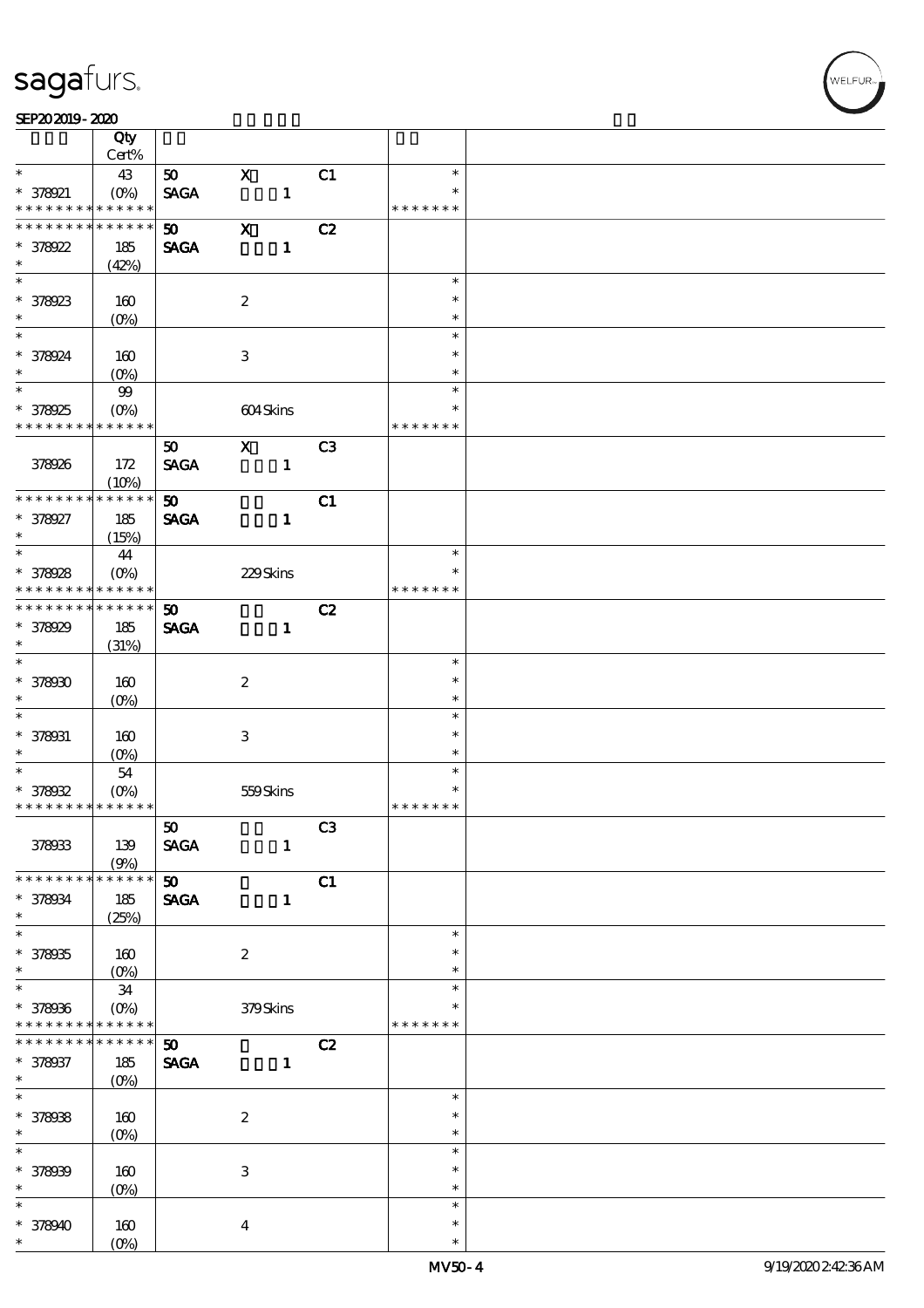#### SEP202019-2020

|                                          | Qty                    |                             |                           |                |               |  |
|------------------------------------------|------------------------|-----------------------------|---------------------------|----------------|---------------|--|
| $\ast$                                   | Cert%                  |                             |                           |                | $\ast$        |  |
|                                          | 43                     | 50                          | $\mathbf X$               | C1             | $\ast$        |  |
| $* 378921$<br>* * * * * * * *            | $(0\%)$<br>* * * * * * | <b>SAGA</b>                 | $\mathbf{1}$              |                | * * * * * * * |  |
| * * * * * * * *                          | * * * * * *            |                             | $\mathbf X$               |                |               |  |
|                                          |                        | 50 <sub>o</sub>             |                           | C2             |               |  |
| $* 378922$                               | 185                    | <b>SAGA</b>                 | $\mathbf{1}$              |                |               |  |
| $\ast$                                   | (42%)                  |                             |                           |                |               |  |
|                                          |                        |                             |                           |                | $\ast$        |  |
| * 378923                                 | 160                    |                             | $\boldsymbol{2}$          |                | $\ast$        |  |
| $\ast$                                   | $(O\%)$                |                             |                           |                | $\ast$        |  |
| $\overline{\ast}$                        |                        |                             |                           |                | $\ast$        |  |
| * 378924                                 | 160                    |                             | 3                         |                | $\ast$        |  |
| $\ast$                                   | $(O\%)$                |                             |                           |                | $\ast$        |  |
| $\overline{\ast}$                        | $99$                   |                             |                           |                | $\ast$        |  |
| * 378925                                 | $(O\%)$                |                             | 604Skins                  |                | $\ast$        |  |
| * * * * * * * *                          | * * * * * *            |                             |                           |                | * * * * * * * |  |
|                                          |                        | 50                          | $\boldsymbol{\mathrm{X}}$ | C <sub>3</sub> |               |  |
| 378926                                   | 172                    | <b>SAGA</b>                 | $\mathbf{1}$              |                |               |  |
|                                          | (10%)                  |                             |                           |                |               |  |
| * * * * * * * *                          | * * * * * *            | 50 <sub>o</sub>             |                           | C1             |               |  |
| * 378927                                 | 185                    | <b>SAGA</b>                 | $\mathbf{1}$              |                |               |  |
| $\ast$                                   | (15%)                  |                             |                           |                |               |  |
| $\ast$                                   | 44                     |                             |                           |                | $\ast$        |  |
| * 378928                                 | $(O\%)$                |                             | 229Skins                  |                | $\ast$        |  |
| * * * * * * * *                          | * * * * * *            |                             |                           |                | * * * * * * * |  |
| * * * * * * * *                          | * * * * * *            | 50                          |                           | C2             |               |  |
| $* 378929$                               | 185                    | <b>SAGA</b>                 | $\mathbf{1}$              |                |               |  |
| $\ast$                                   |                        |                             |                           |                |               |  |
|                                          | (31%)                  |                             |                           |                | $\ast$        |  |
|                                          |                        |                             |                           |                | $\ast$        |  |
| $* 378000$                               | 160                    |                             | $\boldsymbol{2}$          |                |               |  |
| $\ast$<br>$\ast$                         | $(O\%)$                |                             |                           |                | $\ast$        |  |
|                                          |                        |                             |                           |                | $\ast$        |  |
| $* 378031$                               | 160                    |                             | $\ensuremath{\mathsf{3}}$ |                | $\ast$        |  |
| $\ast$                                   | $(0\%)$                |                             |                           |                | $\ast$        |  |
| $*$                                      | 54                     |                             |                           |                | $\ast$        |  |
| $* 37802$                                | $(O\%)$                |                             | 559Skins                  |                | $\ast$        |  |
| * * * * * * * * <mark>* * * * * *</mark> |                        |                             |                           |                | * * * * * * * |  |
|                                          |                        | 50                          |                           | C3             |               |  |
| 378933                                   | 139                    | <b>SAGA</b>                 | $\mathbf{1}$              |                |               |  |
|                                          | (9%)                   |                             |                           |                |               |  |
| * * * * * * * *                          | * * * * * *            | 50                          |                           | C1             |               |  |
| * 378034                                 | 185                    | <b>SAGA</b>                 | $\mathbf{1}$              |                |               |  |
| $\ast$                                   | (25%)                  |                             |                           |                |               |  |
| $\overline{\ast}$                        |                        |                             |                           |                | $\ast$        |  |
| $* 378005$                               | 160                    |                             | $\boldsymbol{2}$          |                | $\ast$        |  |
| $\ast$                                   | $(0\%)$                |                             |                           |                | $\ast$        |  |
| $\overline{\ast}$                        | $34\,$                 |                             |                           |                | $\ast$        |  |
| * 378936                                 | $(O\%)$                |                             | 379Skins                  |                | ∗             |  |
| * * * * * * * *                          | * * * * * *            |                             |                           |                | * * * * * * * |  |
| * * * * * * *                            | * * * * * *            | $\boldsymbol{\mathfrak{D}}$ |                           | C2             |               |  |
| * 378937                                 | 185                    | <b>SAGA</b>                 | $\mathbf{1}$              |                |               |  |
| $\ast$                                   | $(0\%)$                |                             |                           |                |               |  |
| $\overline{\ast}$                        |                        |                             |                           |                | $\ast$        |  |
| * 378038                                 | 160                    |                             | $\boldsymbol{2}$          |                | $\ast$        |  |
| $\ast$                                   | $(O\!/\!o)$            |                             |                           |                | $\ast$        |  |
| $\ast$                                   |                        |                             |                           |                | $\ast$        |  |
|                                          |                        |                             |                           |                | $\ast$        |  |
| * 378009<br>$\ast$                       | 160                    |                             | $\,3$                     |                | $\ast$        |  |
| $\ast$                                   | $(0\%)$                |                             |                           |                | $\ast$        |  |
|                                          |                        |                             |                           |                |               |  |
| $* 378940$                               | 160                    |                             | $\boldsymbol{4}$          |                | $\ast$        |  |
| $\ast$                                   | $(O\%)$                |                             |                           |                | $\ast$        |  |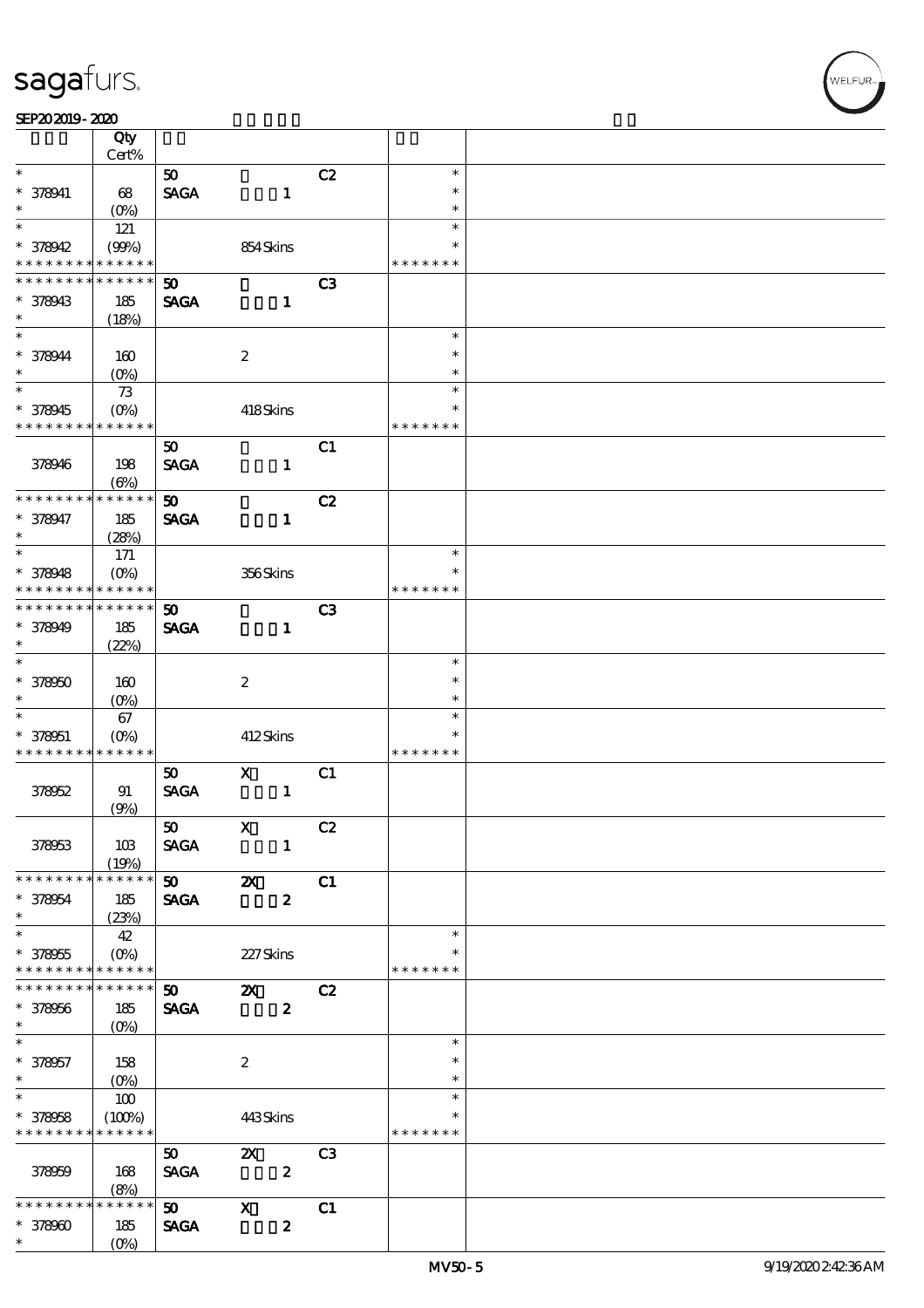| SEP202019-2020 |  |
|----------------|--|
|----------------|--|

|                             | Qty<br>Cert%       |                             |                           |                |               |  |
|-----------------------------|--------------------|-----------------------------|---------------------------|----------------|---------------|--|
|                             |                    |                             |                           |                |               |  |
| $\ast$                      |                    | 50 <sub>o</sub>             |                           | C2             | $\ast$        |  |
| $* 378041$                  | 68                 | <b>SAGA</b>                 | $\mathbf{1}$              |                | $\ast$        |  |
| $\ast$                      | $(O\%)$            |                             |                           |                | $\ast$        |  |
| $\ast$                      | 121                |                             |                           |                | $\ast$        |  |
| $* 378942$                  | (90%)              |                             | 854Skins                  |                | $\ast$        |  |
| * * * * * * * *             | * * * * * *        |                             |                           |                | * * * * * * * |  |
| * * * * * * *               | * * * * * *        | $\boldsymbol{\mathfrak{D}}$ |                           | C <sub>3</sub> |               |  |
| * 378943                    | 185                | <b>SAGA</b>                 | $\mathbf{1}$              |                |               |  |
| $\ast$                      | (18%)              |                             |                           |                |               |  |
| $\ast$                      |                    |                             |                           |                | $\ast$        |  |
|                             |                    |                             |                           |                | $\ast$        |  |
| * 378944                    | 160                |                             | $\boldsymbol{2}$          |                |               |  |
| $\ast$                      | $(O\!/\!\!\delta)$ |                             |                           |                | $\ast$        |  |
| $\overline{\ast}$           | $7\!3$             |                             |                           |                | $\ast$        |  |
| $* 378945$                  | $(0\%)$            |                             | 418Skins                  |                | $\ast$        |  |
| * * * * * * * *             | * * * * * *        |                             |                           |                | * * * * * * * |  |
|                             |                    | 50                          |                           | C1             |               |  |
| 378946                      | 198                | <b>SAGA</b>                 | $\mathbf{1}$              |                |               |  |
|                             | $(\Theta)$         |                             |                           |                |               |  |
| * * * * * * * *             | * * * * * *        | 50 <sub>2</sub>             |                           | C2             |               |  |
|                             |                    |                             |                           |                |               |  |
| $* 378047$                  | 185                | <b>SAGA</b>                 | $\mathbf{1}$              |                |               |  |
| $\ast$                      | (28%)              |                             |                           |                |               |  |
| $\ast$                      | 171                |                             |                           |                | $\ast$        |  |
| $* 378048$                  | $(O\!/\!\delta)$   |                             | 356Skins                  |                | $\ast$        |  |
| * * * * * * * *             | * * * * * *        |                             |                           |                | * * * * * * * |  |
| * * * * * * * *             | * * * * * *        | 50                          |                           | C <sub>3</sub> |               |  |
| $* 378949$                  | 185                | <b>SAGA</b>                 | $\mathbf{1}$              |                |               |  |
| $\ast$                      | (22%)              |                             |                           |                |               |  |
| $\ast$                      |                    |                             |                           |                | $\ast$        |  |
| $* 378000$                  | 160                |                             | $\boldsymbol{2}$          |                | $\ast$        |  |
| $\ast$                      |                    |                             |                           |                | $\ast$        |  |
|                             | $(0\%)$            |                             |                           |                |               |  |
| $\ast$                      | 67                 |                             |                           |                | $\ast$        |  |
| $* 378051$                  | $(0\%)$            |                             | 412Skins                  |                | $\ast$        |  |
| * * * * * * * *             | * * * * * *        |                             |                           |                | * * * * * * * |  |
|                             |                    | 50                          | $\mathbf{x}$              | C1             |               |  |
| 378952                      | 91                 | <b>SAGA</b>                 | $\mathbf{1}$              |                |               |  |
|                             | (9%)               |                             |                           |                |               |  |
|                             |                    | 50                          | $\mathbf{X}$              | C2             |               |  |
| 378953                      | 10B                | <b>SAGA</b>                 | $\mathbf{1}$              |                |               |  |
|                             | (19%)              |                             |                           |                |               |  |
| * * * * * * * *             | * * * * * *        | $\infty$ $\infty$           |                           | C1             |               |  |
| $* 378054$                  | 185                | <b>SAGA</b>                 | $\boldsymbol{z}$          |                |               |  |
| $\ast$                      | (23%)              |                             |                           |                |               |  |
| $\ast$                      |                    |                             |                           |                | $\ast$        |  |
|                             | 42                 |                             |                           |                |               |  |
| $* 378055$                  | $(O\%)$            |                             | 227Skins                  |                |               |  |
| * * * * * * * * * * * * * * |                    |                             |                           |                | * * * * * * * |  |
| * * * * * * * *             | * * * * * *        | $\boldsymbol{\mathfrak{w}}$ | $\mathbf{x}$              | C2             |               |  |
| $* 378056$                  | 185                | <b>SAGA</b>                 | $\boldsymbol{z}$          |                |               |  |
| $\ast$                      | (O <sub>0</sub> )  |                             |                           |                |               |  |
| $\ast$                      |                    |                             |                           |                | $\ast$        |  |
| $* 378057$                  | 158                |                             | $\boldsymbol{2}$          |                | $\ast$        |  |
| $\ast$                      | $(O\%)$            |                             |                           |                | $\ast$        |  |
| $\overline{\ast}$           | 100                |                             |                           |                | $\ast$        |  |
| $* 378058$                  | (100%)             |                             | 443Skins                  |                | $\ast$        |  |
| * * * * * * * * * * * * * * |                    |                             |                           |                | * * * * * * * |  |
|                             |                    |                             |                           |                |               |  |
|                             |                    | 50                          | $\boldsymbol{\mathsf{z}}$ | C <sub>3</sub> |               |  |
| 378959                      | 168                | <b>SAGA</b>                 | $\boldsymbol{z}$          |                |               |  |
|                             | (8%)               |                             |                           |                |               |  |
| * * * * * * * *             | * * * * * *        | 50                          | $\boldsymbol{\mathsf{X}}$ | C1             |               |  |
| $* 37800$                   | 185                | <b>SAGA</b>                 | $\boldsymbol{z}$          |                |               |  |
| $\ast$                      | $(0\%)$            |                             |                           |                |               |  |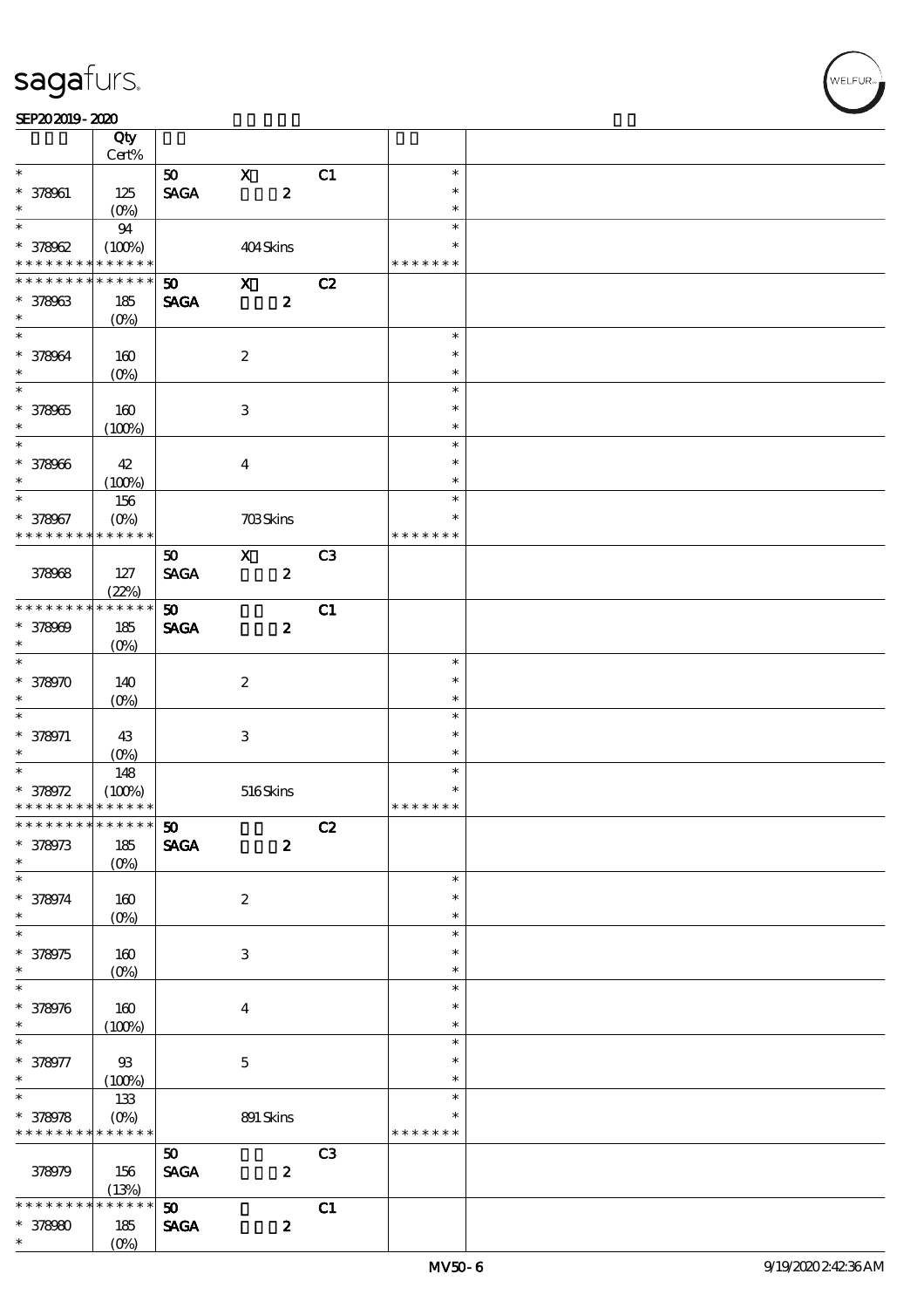#### SEP202019-2020

|                                            | Qty                |                             |                           |                  |                |               |  |
|--------------------------------------------|--------------------|-----------------------------|---------------------------|------------------|----------------|---------------|--|
|                                            | Cert%              |                             |                           |                  |                |               |  |
| $\ast$                                     |                    | 50                          | $\mathbf X$               |                  | C1             | $\ast$        |  |
| $* 378061$                                 | 125                | <b>SAGA</b>                 |                           | $\pmb{2}$        |                | $\ast$        |  |
| $\ast$                                     | $(O\%)$            |                             |                           |                  |                | $\ast$        |  |
| $\ast$                                     | 94                 |                             |                           |                  |                | $\ast$        |  |
| $* 378002$                                 | (100%)             |                             | 404Skins                  |                  |                | $\ast$        |  |
| * * * * * * * *                            | * * * * * *        |                             |                           |                  |                | * * * * * * * |  |
| * * * * * * *                              | * * * * * *        | $\boldsymbol{\mathfrak{D}}$ | $\boldsymbol{\mathsf{X}}$ |                  | C2             |               |  |
| $* 378003$                                 | 185                | <b>SAGA</b>                 |                           | $\boldsymbol{z}$ |                |               |  |
| $\ast$                                     | $(O\%)$            |                             |                           |                  |                |               |  |
|                                            |                    |                             |                           |                  |                | $\ast$        |  |
| * 378064                                   | 160                |                             | $\boldsymbol{2}$          |                  |                | $\ast$        |  |
| $\ast$                                     | $(O\%)$            |                             |                           |                  |                | $\ast$        |  |
|                                            |                    |                             |                           |                  |                | $\ast$        |  |
| $* 378005$                                 | 160                |                             | $\ensuremath{\mathbf{3}}$ |                  |                | $\ast$        |  |
| $\ast$                                     | (100%)             |                             |                           |                  |                | $\ast$        |  |
| $\overline{\phantom{0}}$                   |                    |                             |                           |                  |                | $\ast$        |  |
| $* 378006$                                 | 42                 |                             | $\bf{4}$                  |                  |                | $\ast$        |  |
| $\ast$                                     | (100%)             |                             |                           |                  |                | $\ast$        |  |
| $\ast$                                     | 156                |                             |                           |                  |                | $\ast$        |  |
| * 378967                                   | $(O\%)$            |                             | <b>703Skins</b>           |                  |                | $\ast$        |  |
| * * * * * * * *                            | $***$ * * * *      |                             |                           |                  |                | * * * * * * * |  |
|                                            |                    | 50                          | $\boldsymbol{\mathsf{X}}$ |                  | C <sub>3</sub> |               |  |
| 378968                                     | 127                | <b>SAGA</b>                 |                           | $\boldsymbol{z}$ |                |               |  |
|                                            | (22%)              |                             |                           |                  |                |               |  |
| * * * * * * * *                            | * * * * * *        | 50 <sub>o</sub>             |                           |                  | C1             |               |  |
| $* 378009$                                 | 185                | <b>SAGA</b>                 |                           | $\boldsymbol{z}$ |                |               |  |
| $\ast$                                     | $(O\%)$            |                             |                           |                  |                |               |  |
|                                            |                    |                             |                           |                  |                | $\ast$        |  |
| * 378970                                   | 140                |                             | $\boldsymbol{2}$          |                  |                | $\ast$        |  |
| $\ast$                                     | $(O\%)$            |                             |                           |                  |                | $\ast$        |  |
| $\ast$                                     |                    |                             |                           |                  |                | $\ast$        |  |
| $* 378971$                                 | 43                 |                             | $\ensuremath{\mathsf{3}}$ |                  |                | $\ast$        |  |
| $\ast$                                     | (0%)               |                             |                           |                  |                | $\ast$        |  |
| $\overline{\phantom{0}}$                   | 148                |                             |                           |                  |                | $\ast$        |  |
| $* 378072$                                 | (100%)             |                             | 516Skins                  |                  |                | $\ast$        |  |
| * * * * * * * * <mark>* * * * * * *</mark> |                    |                             |                           |                  |                | * * * * * * * |  |
| * * * * * * * * * * * * * * *              |                    | 50                          |                           |                  | C2             |               |  |
| $* 378973$                                 | 185                | <b>SAGA</b>                 |                           | $\boldsymbol{z}$ |                |               |  |
| $\ast$                                     | $(O\%)$            |                             |                           |                  |                |               |  |
| $\ast$                                     |                    |                             |                           |                  |                | $\ast$        |  |
| * 378974                                   | $160$              |                             | $\boldsymbol{z}$          |                  |                | $\ast$        |  |
| $\ast$                                     | $(0\%)$            |                             |                           |                  |                | $\ast$        |  |
| $\ast$                                     |                    |                             |                           |                  |                | $\ast$        |  |
| $* 378975$                                 | $160$              |                             | $\,3\,$                   |                  |                | $\ast$        |  |
| $\ast$                                     | $(0\%)$            |                             |                           |                  |                | $\ast$        |  |
| $\ast$                                     |                    |                             |                           |                  |                | $\ast$        |  |
| $* 378976$                                 | $160\,$            |                             | $\boldsymbol{4}$          |                  |                | $\ast$        |  |
| $\ast$                                     | (100%)             |                             |                           |                  |                | $\ast$        |  |
| $\ast$                                     |                    |                             |                           |                  |                | $\ast$        |  |
| * 378977                                   | $93\,$             |                             | $\mathbf 5$               |                  |                | $\ast$        |  |
| $\ast$                                     | (100%)             |                             |                           |                  |                | $\ast$        |  |
| $\overline{\ast}$                          | 133                |                             |                           |                  |                | $\ast$        |  |
| $* 378978$                                 | $(0\%)$            |                             | 891 Skins                 |                  |                | $\ast$        |  |
| * * * * * * * *                            | * * * * * *        |                             |                           |                  |                | * * * * * * * |  |
|                                            |                    |                             |                           |                  |                |               |  |
|                                            |                    | ${\bf 50}$                  |                           |                  | C3             |               |  |
| 378979                                     | 156                | <b>SAGA</b>                 |                           | $\boldsymbol{2}$ |                |               |  |
| * * * * *                                  | (13%)<br>* * * * * |                             |                           |                  |                |               |  |
|                                            |                    | 50 <sub>o</sub>             |                           |                  | C1             |               |  |
| $* 37800$                                  | 185                | <b>SAGA</b>                 |                           | $\pmb{2}$        |                |               |  |
| $\ast$                                     | $(O\%)$            |                             |                           |                  |                |               |  |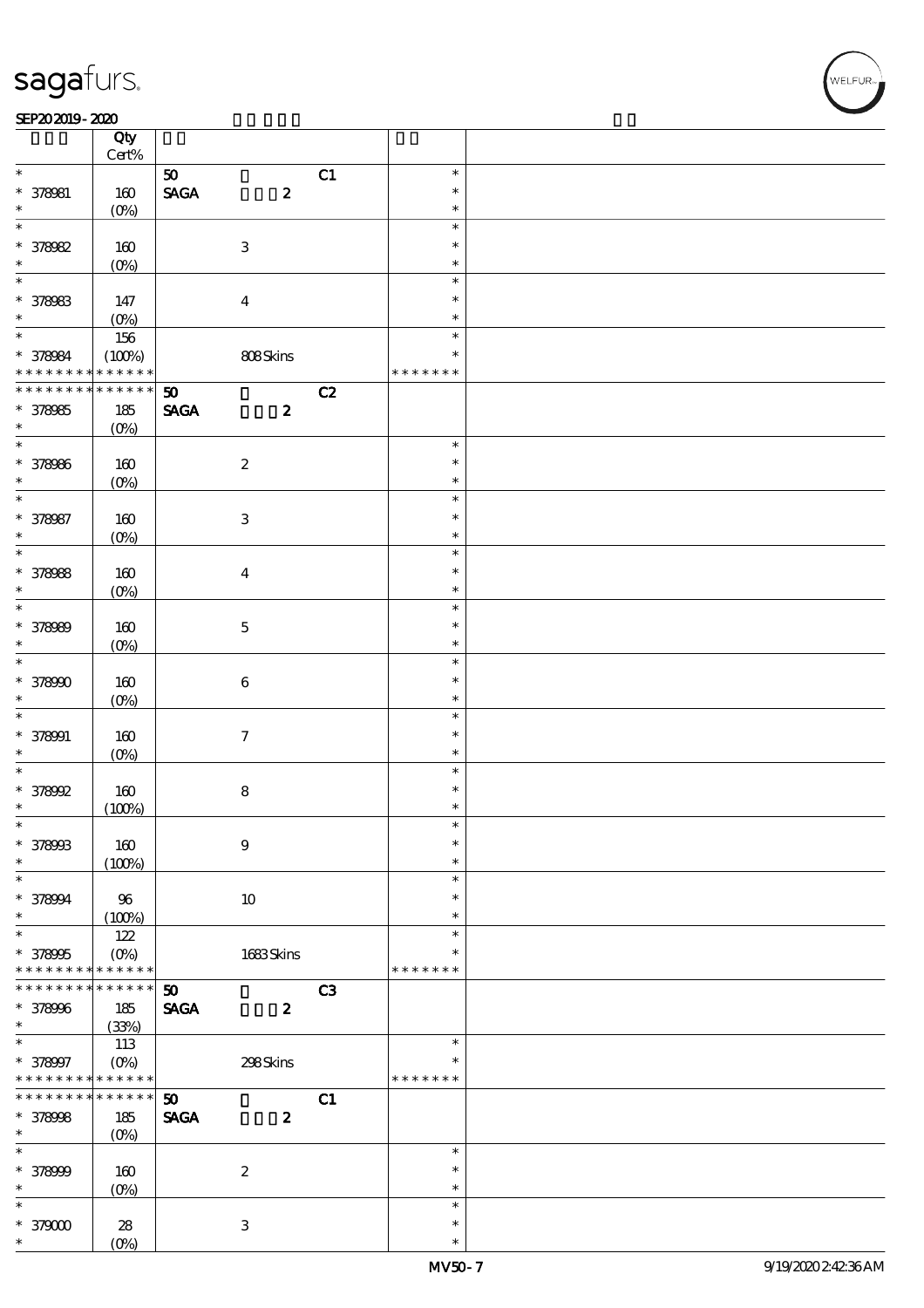#### $SEP202019 - 2020$

|                   | Qty<br>$Cert\%$   |                                |                           |    |               |  |
|-------------------|-------------------|--------------------------------|---------------------------|----|---------------|--|
| $\ast$            |                   | $\boldsymbol{\omega}$          |                           | C1 | $\ast$        |  |
|                   |                   |                                |                           |    |               |  |
| $* 378081$        | 160               | $\operatorname{\mathsf{SAGA}}$ | $\boldsymbol{z}$          |    | $\ast$        |  |
| $\ast$            | $(O\%)$           |                                |                           |    | $\ast$        |  |
| $\ast$            |                   |                                |                           |    | $\ast$        |  |
| * 378082          | 160               |                                | $\ensuremath{\mathbf{3}}$ |    | $\ast$        |  |
| $\ast$            | $(0\%)$           |                                |                           |    | $\ast$        |  |
| $\overline{\ast}$ |                   |                                |                           |    | $\ast$        |  |
|                   |                   |                                |                           |    |               |  |
| * 378083          | 147               |                                | $\boldsymbol{4}$          |    | $\ast$        |  |
| $\ast$            | $(O\%)$           |                                |                           |    | $\ast$        |  |
| $*$               | 156               |                                |                           |    | $\ast$        |  |
|                   | (100%)            |                                | 808Skins                  |    | $\ast$        |  |
| * 378084          | * * * * * *       |                                |                           |    | * * * * * * * |  |
| * * * * * * * *   | $* * * * * * *$   | 50                             |                           | C2 |               |  |
|                   |                   |                                |                           |    |               |  |
| * 378985          | 185               | <b>SAGA</b>                    | $\boldsymbol{z}$          |    |               |  |
| $\ast$            | $(O\%)$           |                                |                           |    |               |  |
|                   |                   |                                |                           |    | $\ast$        |  |
| * 378986          | 160               |                                | $\boldsymbol{2}$          |    | $\ast$        |  |
| $\ast$            | $(O\%)$           |                                |                           |    | $\ast$        |  |
| $\ast$            |                   |                                |                           |    | $\ast$        |  |
|                   |                   |                                |                           |    | $\ast$        |  |
| * 378987          | 160               |                                | $\ensuremath{\mathbf{3}}$ |    |               |  |
| $\ast$            | $(O\%)$           |                                |                           |    | $\ast$        |  |
| $\overline{\ast}$ |                   |                                |                           |    | $\ast$        |  |
| * 378988          | 160               |                                | $\boldsymbol{4}$          |    | $\ast$        |  |
| $\ast$            | $(O\%)$           |                                |                           |    | $\ast$        |  |
| $\overline{\ast}$ |                   |                                |                           |    | $\ast$        |  |
|                   |                   |                                |                           |    |               |  |
| * 378989          | 160               |                                | $\mathbf 5$               |    | $\ast$        |  |
| $\ast$            | $(O\%)$           |                                |                           |    | $\ast$        |  |
| $\overline{\ast}$ |                   |                                |                           |    | $\ast$        |  |
| * 378990          | 160               |                                | $\bf 6$                   |    | $\ast$        |  |
| $\ast$            |                   |                                |                           |    | $\ast$        |  |
| $\ast$            | $(O\%)$           |                                |                           |    |               |  |
|                   |                   |                                |                           |    | $\ast$        |  |
| $* 378001$        | 160               |                                | $\boldsymbol{7}$          |    | $\ast$        |  |
| $\ast$            | $(O\%)$           |                                |                           |    | $\ast$        |  |
| $\ast$            |                   |                                |                           |    | $\ast$        |  |
| * 378992          | 160               |                                | ${\bf 8}$                 |    | $\ast$        |  |
| $\ast$            | (100%)            |                                |                           |    | $\ast$        |  |
| $\ast$            |                   |                                |                           |    | $\ast$        |  |
|                   |                   |                                |                           |    |               |  |
| * 378993          | 160               |                                | $\bf{9}$                  |    | $\ast$        |  |
| $\ast$            | (100%)            |                                |                           |    | $\ast$        |  |
| $\ast$            |                   |                                |                           |    | $\ast$        |  |
| * 378994          | $96\,$            |                                | 10                        |    | $\ast$        |  |
| $\ast$            | (100%)            |                                |                           |    | $\ast$        |  |
| $\overline{\ast}$ | 122               |                                |                           |    | $\ast$        |  |
|                   |                   |                                |                           |    |               |  |
| * 378995          | $(O\%)$           |                                | 1683Skins                 |    | *             |  |
| * * * * * * * *   | * * * * * *       |                                |                           |    | * * * * * * * |  |
| * * * * * * *     | * * * * * *       | 50                             |                           | C3 |               |  |
| * 378996          | 185               | <b>SAGA</b>                    | $\boldsymbol{z}$          |    |               |  |
| $\ast$            | (33%)             |                                |                           |    |               |  |
| $\ast$            | 113               |                                |                           |    | $\ast$        |  |
|                   |                   |                                |                           |    | $\ast$        |  |
| * 378997          | $(O_0)$           |                                | 298Skins                  |    |               |  |
| * * * * * * * *   | * * * * * *       |                                |                           |    | * * * * * * * |  |
| * * * * * * * *   | $******$          | 50                             |                           | C1 |               |  |
| * 378998          | 185               | <b>SAGA</b>                    | $\boldsymbol{z}$          |    |               |  |
| $\ast$            | (O <sub>0</sub> ) |                                |                           |    |               |  |
| $\ast$            |                   |                                |                           |    | $\ast$        |  |
|                   |                   |                                |                           |    | $\ast$        |  |
| * 378999          | 160               |                                | $\boldsymbol{2}$          |    |               |  |
| $\ast$            | $(0\%)$           |                                |                           |    | $\ast$        |  |
| $\ast$            |                   |                                |                           |    | $\ast$        |  |
| $*379000$         | 28                |                                | 3                         |    | $\ast$        |  |
| $\ast$            | (O <sub>0</sub> ) |                                |                           |    | $\ast$        |  |
|                   |                   |                                |                           |    |               |  |

**NELFUR**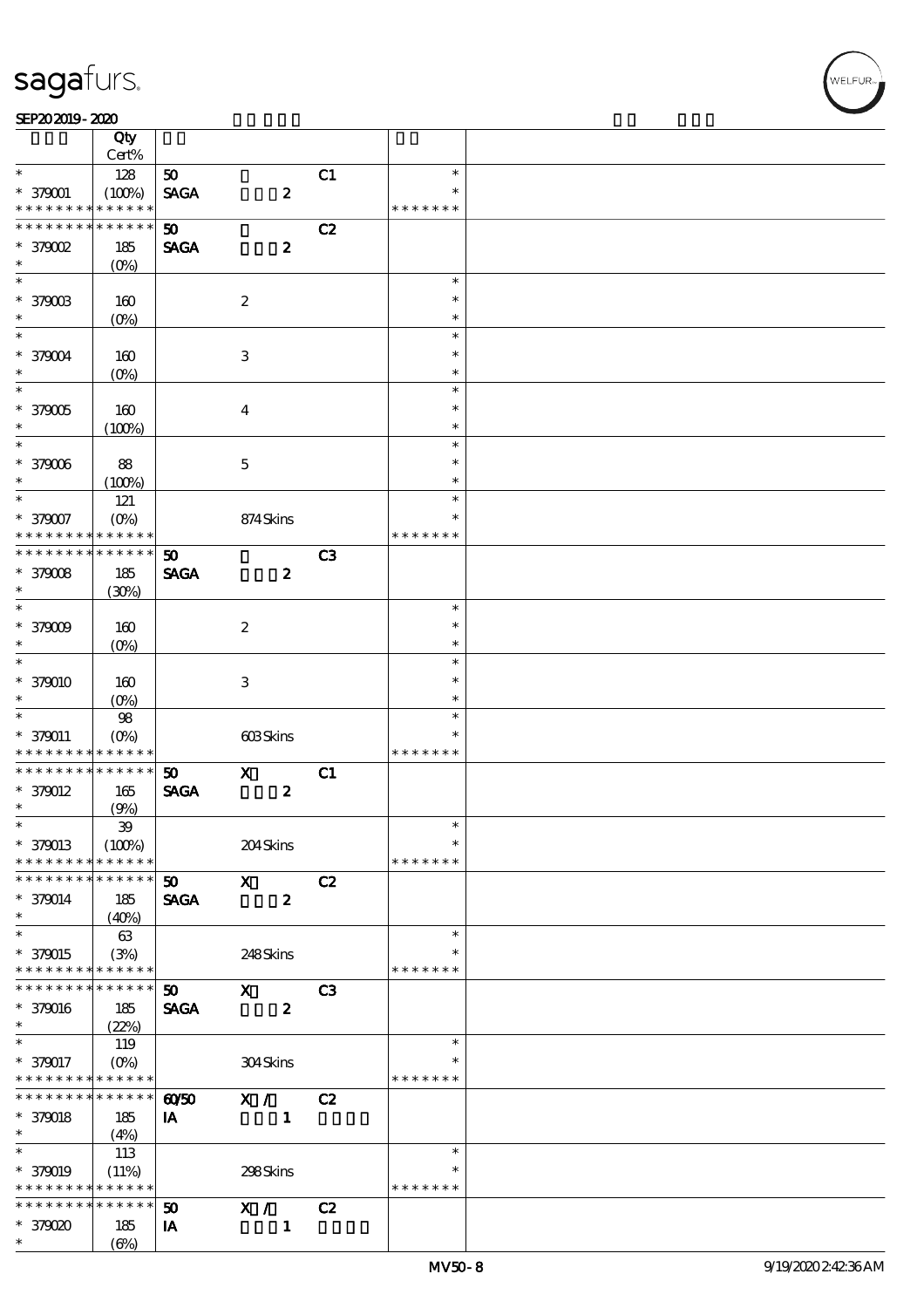#### SEP202019-2020 RED 2020 RED 2020 RED 2020 RED 2020 RED 2020 RED 2020 RED 2020 RED 2020 RED 2020 RED 2020 RED 20

|                                          | Qty<br>Cert%          |                 |                  |                |                         |  |
|------------------------------------------|-----------------------|-----------------|------------------|----------------|-------------------------|--|
| $\ast$                                   | 128                   | 50              |                  | C1             | $\ast$                  |  |
| $* 379001$<br>* * * * * * * *            | (100%)<br>* * * * * * | <b>SAGA</b>     | $\pmb{2}$        |                | $\ast$<br>* * * * * * * |  |
|                                          |                       |                 |                  |                |                         |  |
| * * * * * * * *                          | * * * * * *           | 50              |                  | C2             |                         |  |
| $*$ 379002                               | 185                   | <b>SAGA</b>     | $\pmb{2}$        |                |                         |  |
| $\ast$                                   | (O <sub>0</sub> )     |                 |                  |                |                         |  |
|                                          |                       |                 |                  |                | $\ast$                  |  |
| $*379003$                                | 160                   |                 | $\boldsymbol{2}$ |                | $\ast$                  |  |
| $\ast$                                   | $(0\%)$               |                 |                  |                | $\ast$                  |  |
| $\overline{\ast}$                        |                       |                 |                  |                | $\ast$                  |  |
|                                          |                       |                 |                  |                | $\ast$                  |  |
| * 379004                                 | 160                   |                 | 3                |                |                         |  |
| $\ast$                                   | $(O\!/\!\!\delta)$    |                 |                  |                | $\ast$                  |  |
| $\overline{\ast}$                        |                       |                 |                  |                | $\ast$                  |  |
| $*379005$                                | 160                   |                 | $\boldsymbol{4}$ |                | $\ast$                  |  |
| $\ast$                                   | (100%)                |                 |                  |                | $\ast$                  |  |
| $\overline{\ast}$                        |                       |                 |                  |                | $\ast$                  |  |
| * 379006                                 | 88                    |                 | $\mathbf 5$      |                | $\ast$                  |  |
| $\ast$                                   | (100%)                |                 |                  |                | $\ast$                  |  |
| $\ast$                                   |                       |                 |                  |                | $\ast$                  |  |
|                                          | 121                   |                 |                  |                | $\ast$                  |  |
| * 379007                                 | $(O\%)$               |                 | 874Skins         |                |                         |  |
| * * * * * * * *                          | * * * * * *           |                 |                  |                | * * * * * * *           |  |
| * * * * * * * *                          | * * * * * *           | 50              |                  | C3             |                         |  |
| $*379008$                                | 185                   | <b>SAGA</b>     | $\boldsymbol{z}$ |                |                         |  |
| $\ast$                                   | (30%)                 |                 |                  |                |                         |  |
| $\ast$                                   |                       |                 |                  |                | $\ast$                  |  |
| $*379009$                                | 160                   |                 | $\boldsymbol{2}$ |                | $\ast$                  |  |
| $\ast$                                   |                       |                 |                  |                | $\ast$                  |  |
| $\overline{\ast}$                        | $(O\!/\!\!\delta)$    |                 |                  |                |                         |  |
|                                          |                       |                 |                  |                | $\ast$                  |  |
| * 379010                                 | 160                   |                 | 3                |                | $\ast$                  |  |
| $\ast$                                   | (O <sub>0</sub> )     |                 |                  |                | $\ast$                  |  |
| $\ast$                                   | ${\bf 98}$            |                 |                  |                | $\ast$                  |  |
| * 379011                                 | (O <sub>0</sub> )     |                 | 603Skins         |                | *                       |  |
| * * * * * * * *                          | * * * * * *           |                 |                  |                | * * * * * * *           |  |
| * * * * * * * *                          | $******$              | 50              | $\mathbf x$      | C1             |                         |  |
| $*$ 379012                               | 165                   | <b>SAGA</b>     | $\boldsymbol{z}$ |                |                         |  |
| $\ast$                                   | (9%)                  |                 |                  |                |                         |  |
| $\ast$                                   | $\mathfrak{B}$        |                 |                  |                | $\ast$                  |  |
|                                          |                       |                 |                  |                | $\ast$                  |  |
| $* 379013$                               | (100%)                |                 | 204Skins         |                |                         |  |
| * * * * * * * *                          | * * * * * *           |                 |                  |                | * * * * * * *           |  |
| * * * * * * * *                          | * * * * * *           | 50 <sub>o</sub> | $\mathbf{X}$     | C2             |                         |  |
| $* 379014$                               | 185                   | <b>SAGA</b>     | $\boldsymbol{z}$ |                |                         |  |
| $\ast$                                   | (40%)                 |                 |                  |                |                         |  |
| $\overline{\ast}$                        | 63                    |                 |                  |                | $\ast$                  |  |
| * 379015                                 | (3%)                  |                 | 248Skins         |                |                         |  |
| * * * * * * * * <mark>* * * * * *</mark> |                       |                 |                  |                | * * * * * * *           |  |
| * * * * * * * *                          | $* * * * * * *$       | 50 <sub>o</sub> | $\mathbf x$      | C <sub>3</sub> |                         |  |
|                                          |                       |                 |                  |                |                         |  |
| * 379016                                 | 185                   | <b>SAGA</b>     | $\boldsymbol{z}$ |                |                         |  |
| $\ast$                                   | (22%)                 |                 |                  |                |                         |  |
| $\ast$                                   | 119                   |                 |                  |                | $\ast$                  |  |
| * 379017                                 |                       |                 | 304Skins         |                | $\ast$                  |  |
| * * * * * * * * <mark>* * * * * *</mark> |                       |                 |                  |                | * * * * * * *           |  |
| * * * * * * * *                          | $* * * * * * *$       | $\omega$ 50     | $\mathbf{X}$ /   | C2             |                         |  |
| $* 379018$                               | 185                   | IA              | $\blacksquare$   |                |                         |  |
| $\ast$                                   | (4%)                  |                 |                  |                |                         |  |
| $\ast$                                   | 113                   |                 |                  |                | $\ast$                  |  |
| * 379019                                 |                       |                 |                  |                | $\ast$                  |  |
|                                          | (11%)                 |                 | 298Skins         |                |                         |  |
| * * * * * * * * <mark>* * * * * *</mark> |                       |                 |                  |                | * * * * * * *           |  |
| * * * * * * * *                          | * * * * * *           | 50              | X /              | C2             |                         |  |
| * 379020                                 | 185                   | IA              | $\mathbf{1}$     |                |                         |  |
| $\ast$                                   | $(\Theta)$            |                 |                  |                |                         |  |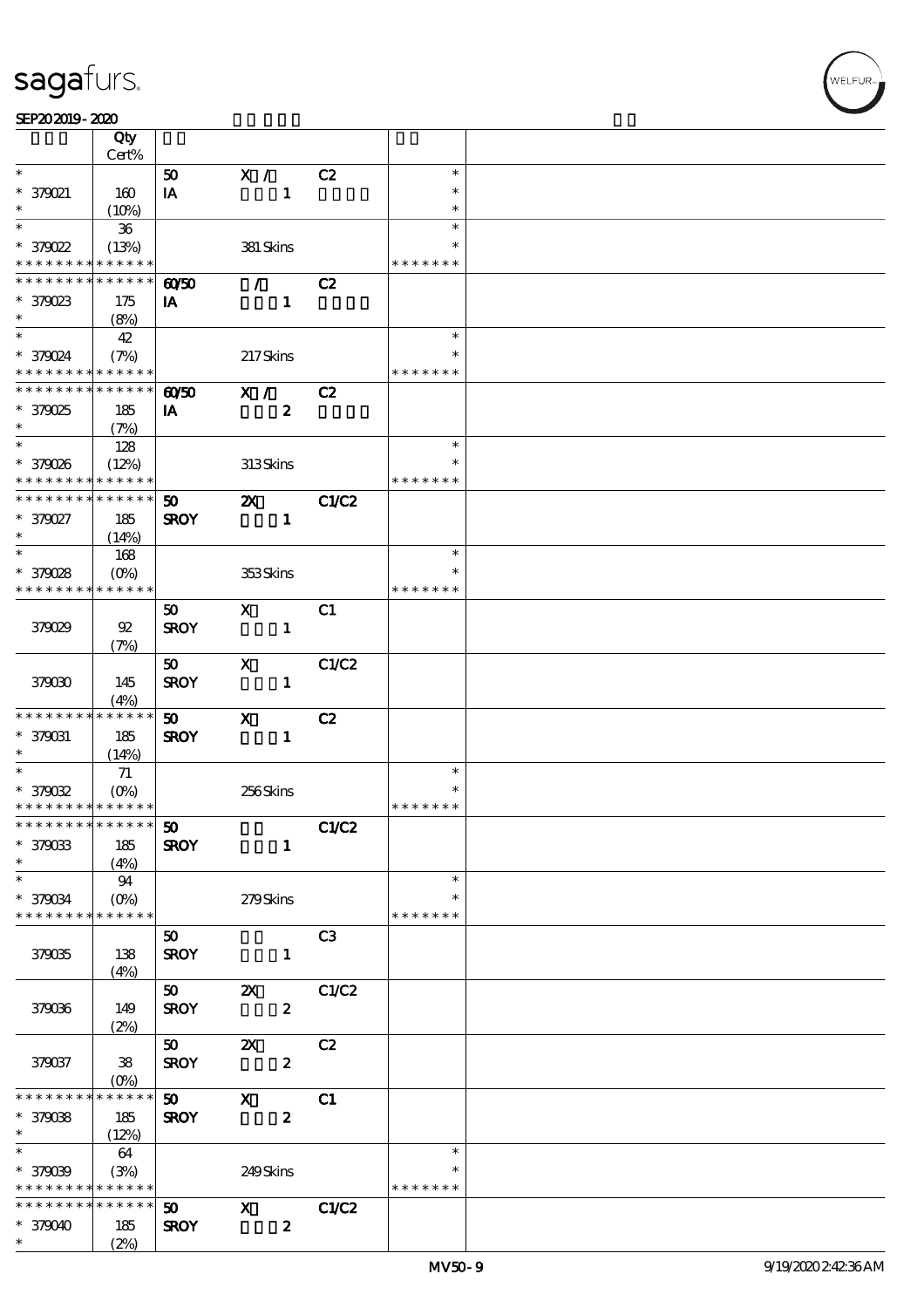#### SEP202019-2020

|                                                        | Qty<br>Cert%    |             |                  |                |               |  |
|--------------------------------------------------------|-----------------|-------------|------------------|----------------|---------------|--|
| $\ast$                                                 |                 | 50          | X /              | C2             | $\ast$        |  |
|                                                        |                 |             |                  |                | $\ast$        |  |
| * 379021                                               | 160             | IA          | $\mathbf{1}$     |                |               |  |
| $\ast$                                                 | (10%)           |             |                  |                | $\ast$        |  |
| $\ast$                                                 | $36\,$          |             |                  |                | $\ast$        |  |
| * 379022                                               | (13%)           |             | 381 Skins        |                | $\ast$        |  |
| * * * * * * * *                                        | $* * * * * * *$ |             |                  |                | * * * * * * * |  |
| * * * * * * * *                                        | ******          | $\omega$    | $\mathcal{F}$    | C2             |               |  |
| $*379023$                                              | 175             | IA          | $\mathbf{1}$     |                |               |  |
| $\ast$                                                 | (8%)            |             |                  |                |               |  |
| $\ast$                                                 | 42              |             |                  |                | $\ast$        |  |
|                                                        |                 |             |                  |                |               |  |
| * 379024<br>* * * * * * * * <mark>* * * * * * *</mark> | (7%)            |             | 217Skins         |                |               |  |
|                                                        |                 |             |                  |                | * * * * * * * |  |
| * * * * * * * * * * * * * *                            |                 | 6050        | X /              | C2             |               |  |
| * 379025                                               | 185             | IA          | $\boldsymbol{z}$ |                |               |  |
| $\ast$                                                 | (7%)            |             |                  |                |               |  |
|                                                        | 128             |             |                  |                | $\ast$        |  |
| * 379026                                               | (12%)           |             | 313Skins         |                |               |  |
| * * * * * * * *                                        | * * * * * *     |             |                  |                | * * * * * * * |  |
| * * * * * * * *                                        | * * * * * *     | 50          | $\mathbf{X}$     | C1/C2          |               |  |
| * 379027                                               | 185             | <b>SROY</b> | $\mathbf{1}$     |                |               |  |
| $\ast$                                                 | (14%)           |             |                  |                |               |  |
| $\ast$                                                 | 168             |             |                  |                | $\ast$        |  |
| * 379028                                               | $(O\%)$         |             | 353Skins         |                | $\ast$        |  |
| * * * * * * * *                                        | ******          |             |                  |                | * * * * * * * |  |
|                                                        |                 | 50          | $\mathbf{x}$     | C1             |               |  |
|                                                        |                 |             |                  |                |               |  |
| 379029                                                 | 92              | <b>SROY</b> | $\mathbf{1}$     |                |               |  |
|                                                        | (7%)            |             |                  |                |               |  |
|                                                        |                 | 50          | $\mathbf{x}$     | C1/C2          |               |  |
| 379030                                                 | 145             | <b>SROY</b> | $\mathbf{1}$     |                |               |  |
|                                                        | (4%)            |             |                  |                |               |  |
| * * * * * * * *                                        | * * * * * *     | 50          | $\mathbf{x}$     | C2             |               |  |
| * 379031                                               | 185             | <b>SROY</b> | $\mathbf{1}$     |                |               |  |
| $\ast$                                                 | (14%)           |             |                  |                |               |  |
| $\overline{\phantom{0}}$                               | 71              |             |                  |                | $\ast$        |  |
| * 379032                                               | $(O\%)$         |             | 256Skins         |                |               |  |
| * * * * * * * * <mark>* * * * * *</mark>               |                 |             |                  |                | * * * * * * * |  |
| ************** 50                                      |                 |             |                  | C1/C2          |               |  |
| * 379033                                               | 185             | <b>SROY</b> | $\mathbf{1}$     |                |               |  |
| $\ast$                                                 | (4%)            |             |                  |                |               |  |
| $\ast$                                                 | 94              |             |                  |                | $\ast$        |  |
| * 379034                                               | $(0\%)$         |             | 279Skins         |                | $\ast$        |  |
| * * * * * * * *                                        | * * * * * *     |             |                  |                | * * * * * * * |  |
|                                                        |                 | 50          |                  | C <sub>3</sub> |               |  |
| 379035                                                 | 138             | <b>SROY</b> |                  |                |               |  |
|                                                        |                 |             | $\mathbf{1}$     |                |               |  |
|                                                        | (4%)            |             |                  |                |               |  |
|                                                        |                 | 50          | $\mathbf{x}$     | C1/C2          |               |  |
| 379036                                                 | 149             | <b>SROY</b> | $\boldsymbol{z}$ |                |               |  |
|                                                        | (2%)            |             |                  |                |               |  |
|                                                        |                 | 50          | $\mathbf{X}$     | C2             |               |  |
| 379037                                                 | 38              | <b>SROY</b> | $\boldsymbol{z}$ |                |               |  |
|                                                        | $(O_0)$         |             |                  |                |               |  |
| * * * * * * * *                                        | * * * * * *     | 50          | $\mathbf{x}$     | C1             |               |  |
| * 379038                                               | 185             | <b>SROY</b> | $\boldsymbol{z}$ |                |               |  |
| $\ast$                                                 | (12%)           |             |                  |                |               |  |
| $\ast$                                                 | 64              |             |                  |                | $\ast$        |  |
| * 379039                                               | (3%)            |             | 249Skins         |                |               |  |
| * * * * * * * *                                        | $***$ * * * *   |             |                  |                | * * * * * * * |  |
| * * * * * * * *                                        | $* * * * * * *$ | 50          | $\mathbf{x}$     | C1/C2          |               |  |
| * 379040                                               | 185             | <b>SROY</b> | $\mathbf{2}$     |                |               |  |
| $\ast$                                                 | (2%)            |             |                  |                |               |  |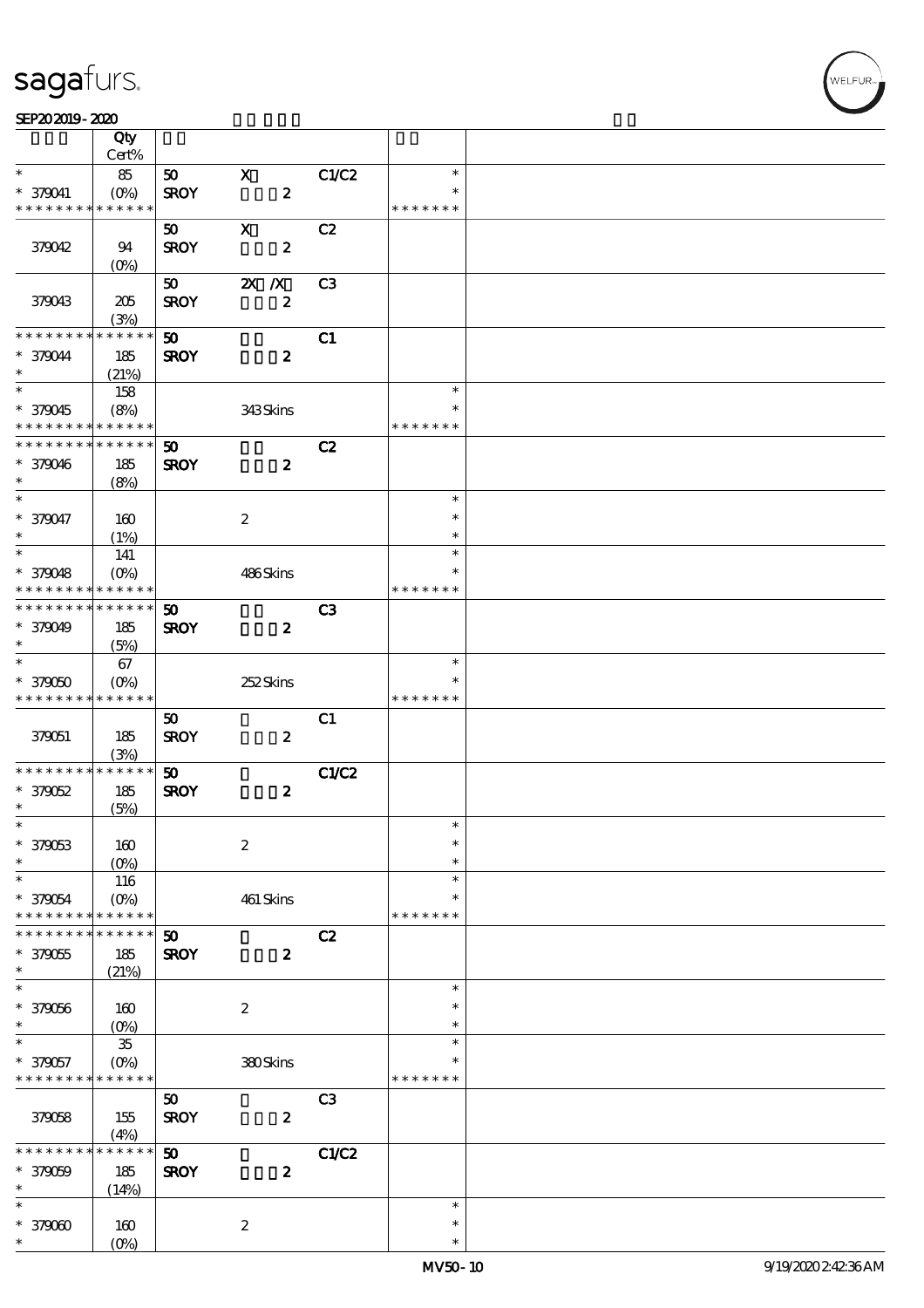$\top$ 

#### $SEP202019 - 2020$

|                     | Qty<br>Cert%       |                             |                  |                  |               |  |
|---------------------|--------------------|-----------------------------|------------------|------------------|---------------|--|
| $\ast$              |                    |                             |                  |                  | $\ast$        |  |
|                     | 85                 | 50                          | $\mathbf X$      | C1/C2            |               |  |
| $* 379041$          | $(O\%)$            | <b>SROY</b>                 | $\pmb{2}$        |                  | $\ast$        |  |
| * * * * * * * *     | * * * * * *        |                             |                  |                  | * * * * * * * |  |
|                     |                    | 50                          | $\mathbf X$      | C2               |               |  |
| 379042              | 94                 | <b>SROY</b>                 | $\boldsymbol{2}$ |                  |               |  |
|                     | $(0\%)$            |                             |                  |                  |               |  |
|                     |                    | 50                          | $X$ $N$          | C <sub>3</sub>   |               |  |
| 379043              | 205                | <b>SROY</b>                 |                  | $\boldsymbol{z}$ |               |  |
|                     | (3%)               |                             |                  |                  |               |  |
| * * * * * * * *     | * * * * * *        | 50                          |                  | C1               |               |  |
| * 379044            |                    |                             | $\boldsymbol{z}$ |                  |               |  |
| $\ast$              | 185                | <b>SROY</b>                 |                  |                  |               |  |
| $\ast$              | (21%)              |                             |                  |                  |               |  |
|                     | 158                |                             |                  |                  | $\ast$        |  |
| * 379045            | (8%)               |                             | 343Skins         |                  | $\ast$        |  |
| * * * * * * * *     | * * * * * *        |                             |                  |                  | * * * * * * * |  |
| * * * * * * * *     | * * * * * *        | $\boldsymbol{\mathfrak{D}}$ |                  | C2               |               |  |
| * 379046            | 185                | <b>SROY</b>                 | $\boldsymbol{z}$ |                  |               |  |
| $\ast$              | (8%)               |                             |                  |                  |               |  |
| $\ast$              |                    |                             |                  |                  | $\ast$        |  |
| * 379047            | 160                |                             | $\boldsymbol{2}$ |                  | $\ast$        |  |
| $\ast$              | (1%)               |                             |                  |                  | $\ast$        |  |
| $\ast$              | 141                |                             |                  |                  | $\ast$        |  |
|                     |                    |                             |                  |                  | ∗             |  |
| * 379048            | $(O\!/\!\!\delta)$ |                             | 486Skins         |                  |               |  |
| * * * * * * * *     | * * * * * *        |                             |                  |                  | * * * * * * * |  |
| * * * * * * * *     | ******             | $\boldsymbol{\mathfrak{D}}$ |                  | C3               |               |  |
| * 379049            | 185                | <b>SROY</b>                 | $\boldsymbol{z}$ |                  |               |  |
| $\ast$              | (5%)               |                             |                  |                  |               |  |
| $\overline{\ast}$   | 67                 |                             |                  |                  | $\ast$        |  |
| $*379050$           | $(O\%)$            |                             | 252Skins         |                  |               |  |
| * * * * * * * *     | * * * * * *        |                             |                  |                  | * * * * *     |  |
|                     |                    | 50                          |                  | C1               |               |  |
| 379051              | 185                | <b>SROY</b>                 | $\boldsymbol{z}$ |                  |               |  |
|                     | (3%)               |                             |                  |                  |               |  |
| * * * * * * * *     | $******$           | 50                          |                  | C1/C2            |               |  |
|                     | 185                |                             |                  |                  |               |  |
| $*379052$<br>$\ast$ |                    | <b>SROY</b>                 | $\boldsymbol{z}$ |                  |               |  |
| $\ast$              | (5%)               |                             |                  |                  | $\ast$        |  |
|                     |                    |                             |                  |                  |               |  |
| * 379063            | 160                |                             | $\boldsymbol{2}$ |                  | $\ast$        |  |
| *                   | $(0\%)$            |                             |                  |                  | $\ast$        |  |
| $\ast$              | 116                |                             |                  |                  | $\ast$        |  |
| * 379054            | $(O\%)$            |                             | 461 Skins        |                  | $\ast$        |  |
| * * * * * * * *     | * * * * * *        |                             |                  |                  | * * * * * * * |  |
| * * * * * * *       | $* * * * * *$      | 50                          |                  | C2               |               |  |
| * 379055            | 185                | <b>SROY</b>                 | $\boldsymbol{z}$ |                  |               |  |
| $\ast$              | (21%)              |                             |                  |                  |               |  |
| $\ast$              |                    |                             |                  |                  | $\ast$        |  |
| * 379056            | 160                |                             | $\boldsymbol{2}$ |                  | $\ast$        |  |
| $\ast$              | (0%                |                             |                  |                  | $\ast$        |  |
| $\ast$              |                    |                             |                  |                  | $\ast$        |  |
|                     | ${\bf 35}$         |                             |                  |                  | $\ast$        |  |
| * 379057            | $(O\%)$            |                             | 380Skins         |                  |               |  |
| * * * * * * * *     | * * * * * *        |                             |                  |                  | * * * * * * * |  |
|                     |                    | 50                          |                  | C <sub>3</sub>   |               |  |
| 379058              | 155                | <b>SROY</b>                 | $\boldsymbol{z}$ |                  |               |  |
|                     | (4%)               |                             |                  |                  |               |  |
| * * * * *           | $* * * * * *$<br>∗ | 50                          |                  | C1/C2            |               |  |
| * 379059            | 185                | <b>SROY</b>                 |                  | $\boldsymbol{z}$ |               |  |
| $\ast$              | (14%)              |                             |                  |                  |               |  |
| $\ast$              |                    |                             |                  |                  | $\ast$        |  |
| $*379000$           | 160                |                             | $\boldsymbol{2}$ |                  | $\ast$        |  |
| $\ast$              | (O <sub>0</sub> )  |                             |                  |                  | $\ast$        |  |
|                     |                    |                             |                  |                  |               |  |

 $\overline{\mathbf{r}}$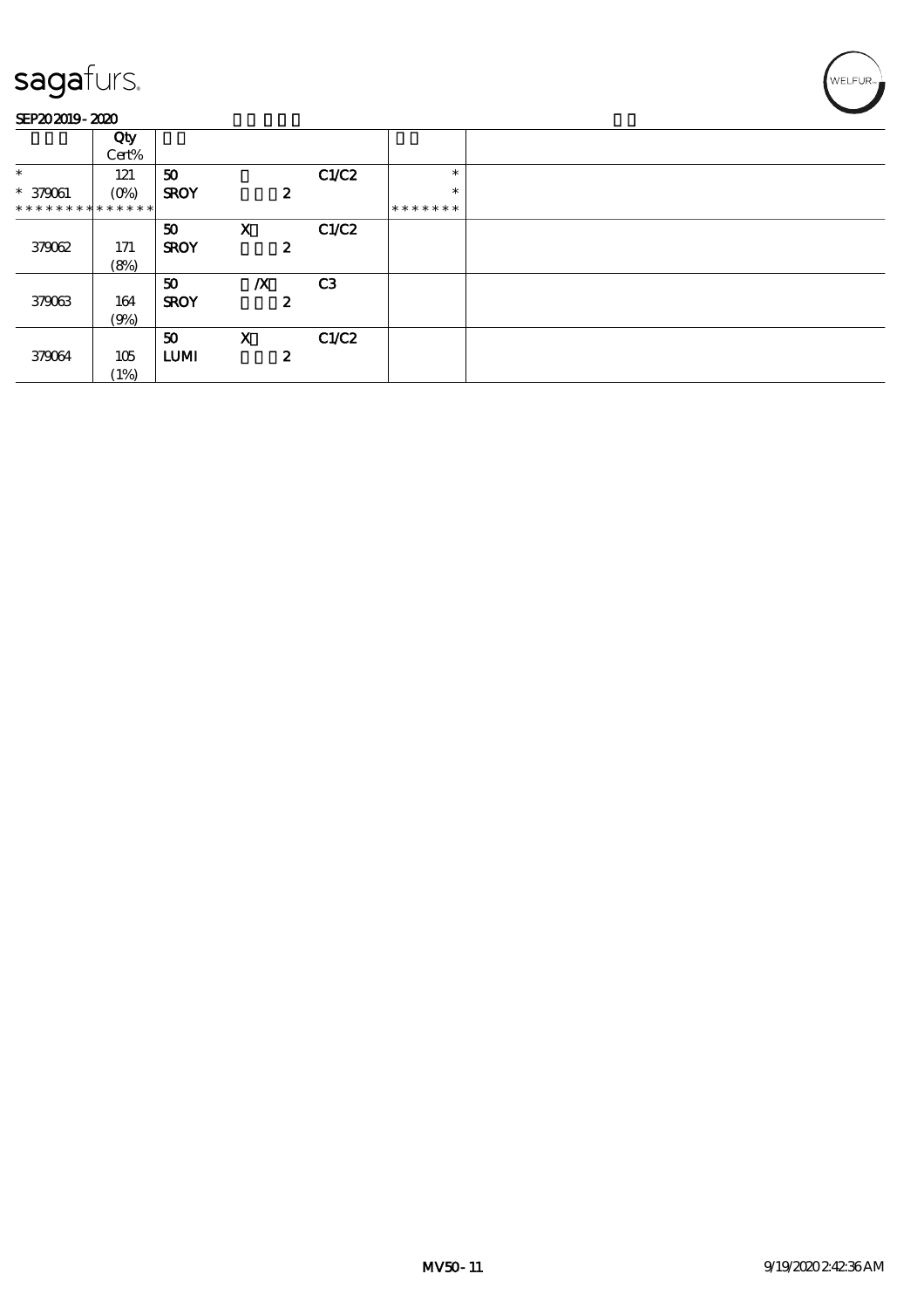### SEP202019-2020

|                             | Qty                |             |                           |   |                |         |  |
|-----------------------------|--------------------|-------------|---------------------------|---|----------------|---------|--|
|                             | Cert%              |             |                           |   |                |         |  |
| $\ast$                      | 121                | 50          |                           |   | C1/C2          | $\ast$  |  |
| $* 379061$                  | $(O\!/\!\!\delta)$ | <b>SROY</b> |                           | 2 |                | $\ast$  |  |
| * * * * * * * * * * * * * * |                    |             |                           |   |                | ******* |  |
|                             |                    | 50          | $\boldsymbol{\mathsf{X}}$ |   | C1/C2          |         |  |
| 379062                      | 171                | <b>SROY</b> |                           | 2 |                |         |  |
|                             | (8%)               |             |                           |   |                |         |  |
|                             |                    | 50          | $\boldsymbol{X}$          |   | C <sub>3</sub> |         |  |
| 379063                      | 164                | <b>SROY</b> |                           | 2 |                |         |  |
|                             | (9%)               |             |                           |   |                |         |  |
|                             |                    | 50          | $\mathbf x$               |   | C1/C2          |         |  |
| 379064                      | 105                | <b>LUMI</b> |                           | 2 |                |         |  |
|                             | (1%)               |             |                           |   |                |         |  |

WELFUR<sub>T</sub>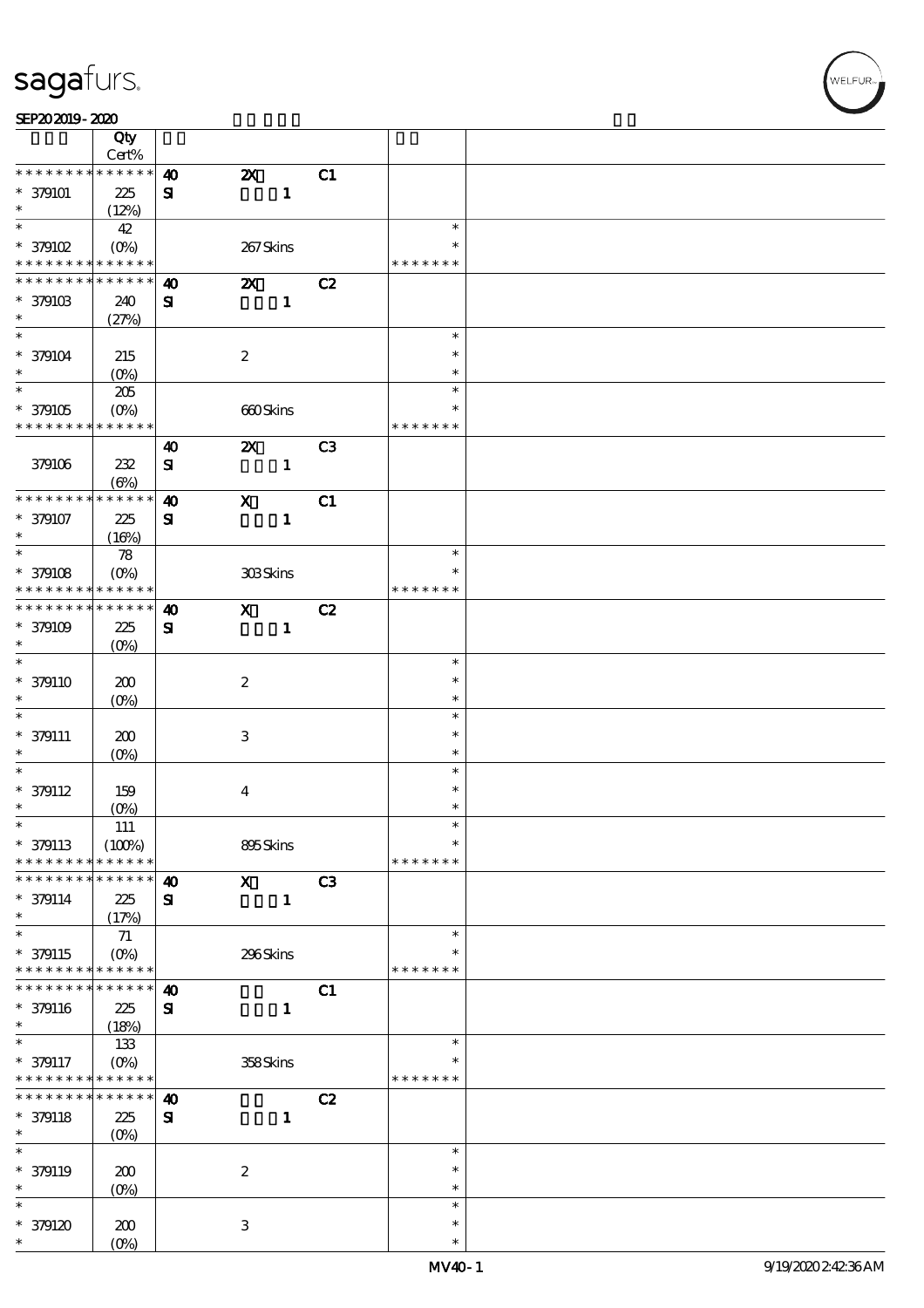|                                                        | Qty               |                       |                           |              |                |                  |  |
|--------------------------------------------------------|-------------------|-----------------------|---------------------------|--------------|----------------|------------------|--|
| * * * * * * * *                                        | Cert%<br>$******$ |                       |                           |              |                |                  |  |
|                                                        |                   | $\boldsymbol{\omega}$ | $\boldsymbol{\mathsf{X}}$ |              | C1             |                  |  |
| $* 379101$<br>$\ast$                                   | 225<br>(12%)      | $\mathbf{S}$          |                           | $\mathbf{1}$ |                |                  |  |
| $\ast$                                                 | 42                |                       |                           |              |                | $\ast$           |  |
| $*$ 379102                                             | $(0\%)$           |                       | 267Skins                  |              |                | *                |  |
| * * * * * * * * <mark>* * * * * * *</mark>             |                   |                       |                           |              |                | * * * * * * *    |  |
| * * * * * * *                                          | * * * * * *       | $\boldsymbol{\omega}$ | $\boldsymbol{\mathsf{X}}$ |              | C2             |                  |  |
| $* 37910B$                                             | 240               | ${\bf s}$             |                           | $\mathbf{1}$ |                |                  |  |
| $\ast$                                                 | (27%)             |                       |                           |              |                |                  |  |
| $\ast$                                                 |                   |                       |                           |              |                | $\ast$           |  |
| $* 379104$                                             | 215               |                       | $\boldsymbol{2}$          |              |                | $\ast$           |  |
| $\ast$                                                 | $(O\%)$           |                       |                           |              |                | *                |  |
| $\overline{\ast}$                                      | 205               |                       |                           |              |                | $\ast$           |  |
| $^\ast$ 379105                                         | $(0\%)$           |                       | 660Skins                  |              |                | $\ast$           |  |
| * * * * * * * * <mark>* * * * * * *</mark>             |                   |                       |                           |              |                | * * * * * * *    |  |
|                                                        |                   | $\boldsymbol{\omega}$ | $\boldsymbol{\mathsf{Z}}$ |              | C <sub>3</sub> |                  |  |
| 379106                                                 | 232               | ${\bf s}$             |                           | $\mathbf{1}$ |                |                  |  |
|                                                        | $(\Theta)$        |                       |                           |              |                |                  |  |
| * * * * * * * *                                        | * * * * * *       | $\boldsymbol{\omega}$ | $\mathbf x$               |              | C1             |                  |  |
| $* 379107$                                             | 225               | ${\bf s}$             |                           | $\mathbf{1}$ |                |                  |  |
| $\ast$                                                 | (16%)             |                       |                           |              |                |                  |  |
| $\ast$                                                 | 78                |                       |                           |              |                | $\ast$           |  |
| $* 379108$                                             | $(0\%)$           |                       | 308Skins                  |              |                | $\ast$           |  |
| * * * * * * * *                                        | * * * * * *       |                       |                           |              |                | * * * * * * *    |  |
| * * * * * * * *                                        | ******            | $\boldsymbol{\omega}$ | $\mathbf{x}$              |              | C2             |                  |  |
| $* 379109$<br>$\ast$                                   | 225               | ${\bf s}$             |                           | $\mathbf{1}$ |                |                  |  |
| $\ast$                                                 | $(O\%)$           |                       |                           |              |                |                  |  |
|                                                        |                   |                       |                           |              |                | $\ast$<br>$\ast$ |  |
| $* 379110$<br>$\ast$                                   | 200               |                       | $\boldsymbol{z}$          |              |                | $\ast$           |  |
| $\ast$                                                 | $(O\%)$           |                       |                           |              |                | $\ast$           |  |
| $* 379111$                                             |                   |                       | $\ensuremath{\mathsf{3}}$ |              |                | $\ast$           |  |
| $\ast$                                                 | 200<br>$(0\%)$    |                       |                           |              |                | $\ast$           |  |
| $\ast$                                                 |                   |                       |                           |              |                | $\ast$           |  |
| $* 379112$                                             | 159               |                       | $\bf{4}$                  |              |                | $\ast$           |  |
| $\ast$                                                 | $(O\%)$           |                       |                           |              |                | $\ast$           |  |
| $\ast$                                                 | 111               |                       |                           |              |                | $\ast$           |  |
| $* 379113$                                             | (100%)            |                       | 895Skins                  |              |                | $\ast$           |  |
| * * * * * * * *                                        | * * * * * *       |                       |                           |              |                | * * * * * * *    |  |
| * * * * * * *                                          | * * * * * *       | $\boldsymbol{\omega}$ | $\mathbf{x}$              |              | C3             |                  |  |
| $* 379114$                                             | 225               | ${\bf s}$             |                           | $\mathbf{1}$ |                |                  |  |
| $\ast$                                                 | (17%)             |                       |                           |              |                |                  |  |
| $\ast$                                                 | 71                |                       |                           |              |                | $\ast$           |  |
| $* 379115$                                             | $(O\%)$           |                       | 296Skins                  |              |                | *                |  |
| * * * * * * * *                                        | * * * * * *       |                       |                           |              |                | * * * * * * *    |  |
| * * * * * *                                            | * * * * * *       | $\boldsymbol{\omega}$ |                           |              | C1             |                  |  |
| $* 379116$<br>$\ast$                                   | 225               | ${\bf s}$             |                           | $\mathbf{1}$ |                |                  |  |
| $\ast$                                                 | (18%)             |                       |                           |              |                | $\ast$           |  |
|                                                        | 133               |                       |                           |              |                | $\ast$           |  |
| $* 379117$<br>* * * * * * * * <mark>* * * * * *</mark> | $(O\%)$           |                       | 358Skins                  |              |                | * * * * * * *    |  |
| * * * * * * *                                          | $* * * * * * *$   | $\boldsymbol{\omega}$ |                           |              | C2             |                  |  |
| $* 379118$                                             | 225               | ${\bf s}$             |                           | $\mathbf{1}$ |                |                  |  |
| $\ast$                                                 | $(O\%)$           |                       |                           |              |                |                  |  |
| $\ast$                                                 |                   |                       |                           |              |                | $\ast$           |  |
| $* 379119$                                             | 200               |                       | $\boldsymbol{2}$          |              |                | $\ast$           |  |
| $\ast$                                                 | $(0\%)$           |                       |                           |              |                | $\ast$           |  |
| $\ast$                                                 |                   |                       |                           |              |                | $\ast$           |  |
| $*379120$                                              | 200               |                       | 3                         |              |                | $\ast$           |  |
| $\ast$                                                 | $(O\%)$           |                       |                           |              |                | $\ast$           |  |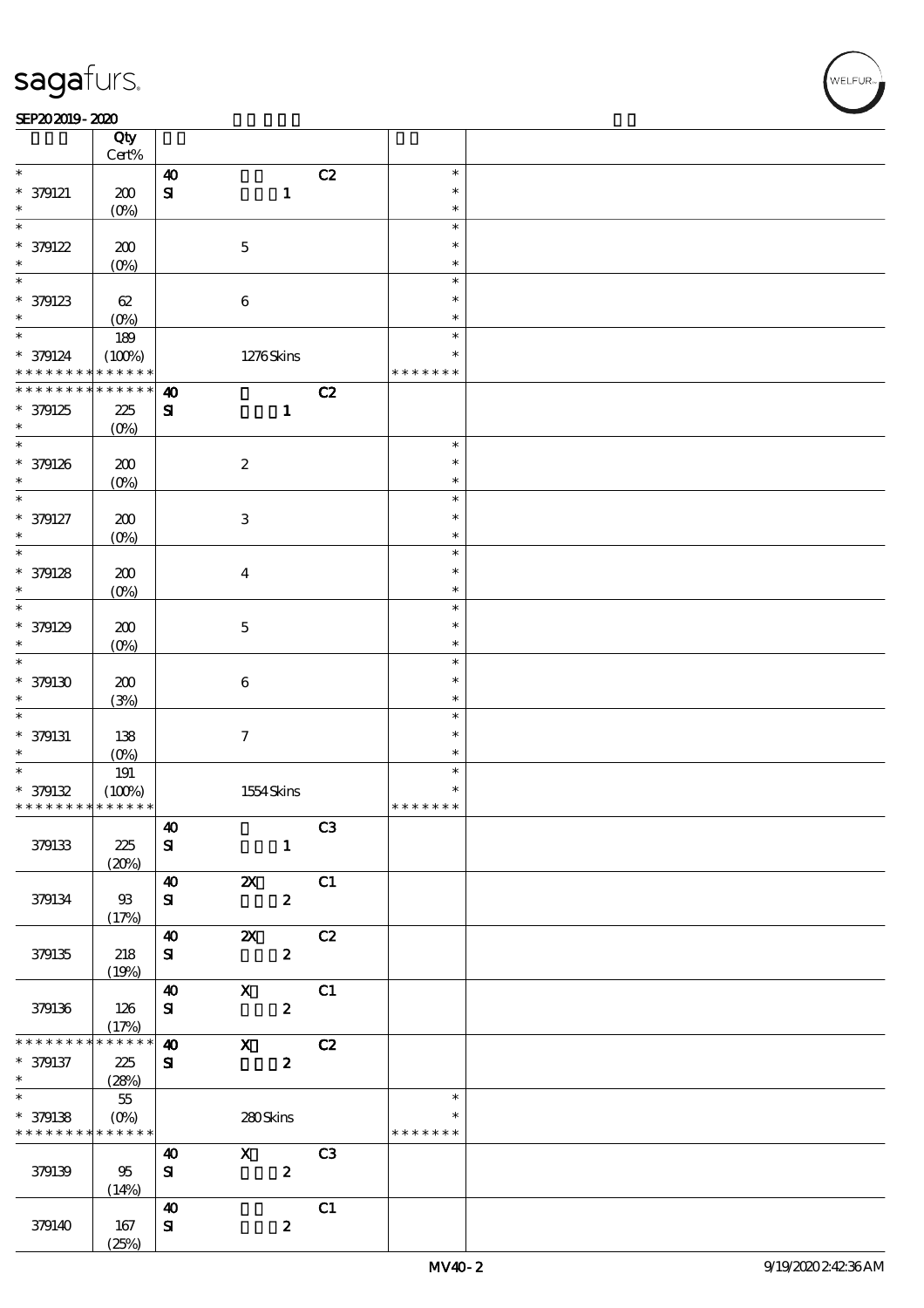┱

#### SEP202019-2020  $\overline{\phantom{a}}$

|                                          | Qty<br>Cert%       |                       |                           |                  |                |               |  |
|------------------------------------------|--------------------|-----------------------|---------------------------|------------------|----------------|---------------|--|
| $\ast$                                   |                    | $\boldsymbol{\omega}$ |                           |                  | C2             | $\ast$        |  |
|                                          |                    |                       |                           |                  |                |               |  |
| $* 379121$                               | 200                | $\mathbf{S}$          |                           | $\mathbf{1}$     |                | $\ast$        |  |
| $\ast$                                   | (O <sub>0</sub> )  |                       |                           |                  |                | $\ast$        |  |
| $\ast$                                   |                    |                       |                           |                  |                | $\ast$        |  |
| * 379122                                 | 200                |                       | $\mathbf 5$               |                  |                | $\ast$        |  |
| $\ast$                                   | $(0\%)$            |                       |                           |                  |                | $\ast$        |  |
| $\overline{\ast}$                        |                    |                       |                           |                  |                | $\ast$        |  |
|                                          |                    |                       |                           |                  |                |               |  |
| $*$ 379123                               | 62                 |                       | $\bf 6$                   |                  |                | $\ast$        |  |
| $\ast$                                   | (O <sub>0</sub> )  |                       |                           |                  |                | $\ast$        |  |
| $*$                                      | 189                |                       |                           |                  |                | $\ast$        |  |
| $* 379124$                               | (100%)             |                       |                           | 1276Skins        |                | $\ast$        |  |
| * * * * * * * *                          | * * * * * *        |                       |                           |                  |                | * * * * * * * |  |
| * * * * * * * *                          | $* * * * * * *$    | $\boldsymbol{\omega}$ |                           |                  | C2             |               |  |
|                                          |                    |                       |                           |                  |                |               |  |
| * 379125                                 | 225                | ${\bf S}$             |                           | $\mathbf{1}$     |                |               |  |
| $\ast$                                   | $(O\%)$            |                       |                           |                  |                |               |  |
| $\overline{\ast}$                        |                    |                       |                           |                  |                | $\ast$        |  |
| * 379126                                 | 200                |                       | $\boldsymbol{2}$          |                  |                | $\ast$        |  |
| $\ast$                                   | $(O\%)$            |                       |                           |                  |                | $\ast$        |  |
| $\ast$                                   |                    |                       |                           |                  |                | $\ast$        |  |
|                                          |                    |                       |                           |                  |                | $\ast$        |  |
| * 379127                                 | 200                |                       | $\ensuremath{\mathbf{3}}$ |                  |                |               |  |
| $\ast$                                   | $(O\!/\!\!\delta)$ |                       |                           |                  |                | $\ast$        |  |
| $\ast$                                   |                    |                       |                           |                  |                | $\ast$        |  |
| $* 379128$                               | 200                |                       | $\boldsymbol{4}$          |                  |                | $\ast$        |  |
| $\ast$                                   | $(O\%)$            |                       |                           |                  |                | $\ast$        |  |
| $\ast$                                   |                    |                       |                           |                  |                | $\ast$        |  |
|                                          |                    |                       |                           |                  |                | $\ast$        |  |
| * 379129                                 | 200                |                       | $\mathbf 5$               |                  |                |               |  |
| $\ast$                                   | $(O\!/\!\!\delta)$ |                       |                           |                  |                | $\ast$        |  |
| $\ast$                                   |                    |                       |                           |                  |                | $\ast$        |  |
| $*$ 379130                               | 200                |                       | 6                         |                  |                | $\ast$        |  |
| $\ast$                                   | (3%)               |                       |                           |                  |                | $\ast$        |  |
| $\ast$                                   |                    |                       |                           |                  |                | $\ast$        |  |
| $* 379131$                               |                    |                       |                           |                  |                | $\ast$        |  |
|                                          | 138                |                       | $\boldsymbol{7}$          |                  |                |               |  |
| $\ast$                                   | $(O\%)$            |                       |                           |                  |                | $\ast$        |  |
| $\overline{\ast}$                        | $191\,$            |                       |                           |                  |                | $\ast$        |  |
| $*379132$                                | (100%)             |                       |                           | 1554Skins        |                | $\ast$        |  |
| * * * * * * * *                          | * * * * * *        |                       |                           |                  |                | * * * * * * * |  |
|                                          |                    | $\boldsymbol{40}$     |                           |                  | C3             |               |  |
| 379133                                   | 225                | ${\bf s}$             |                           | $\mathbf{1}$     |                |               |  |
|                                          |                    |                       |                           |                  |                |               |  |
|                                          | (20%)              |                       |                           |                  |                |               |  |
|                                          |                    | $\boldsymbol{\omega}$ | $\boldsymbol{\mathsf{z}}$ |                  | C1             |               |  |
| 379134                                   | 93                 | ${\bf s}$             |                           | $\boldsymbol{z}$ |                |               |  |
|                                          | (17%)              |                       |                           |                  |                |               |  |
|                                          |                    | $\boldsymbol{\omega}$ | $\boldsymbol{\mathsf{z}}$ |                  | C2             |               |  |
| 379135                                   | 218                | ${\bf s}$             |                           | $\boldsymbol{z}$ |                |               |  |
|                                          | (19%)              |                       |                           |                  |                |               |  |
|                                          |                    | $\boldsymbol{\omega}$ | $\mathbf{X}$              |                  | C1             |               |  |
|                                          |                    |                       |                           |                  |                |               |  |
| 379136                                   | 126                | ${\bf s}$             |                           | $\boldsymbol{z}$ |                |               |  |
|                                          | (17%)              |                       |                           |                  |                |               |  |
| * * * * * * * *                          | * * * * * *        | $\boldsymbol{\omega}$ | $\mathbf{x}$              |                  | C2             |               |  |
| * 379137                                 | 225                | ${\bf s}$             |                           | $\boldsymbol{2}$ |                |               |  |
| $\ast$                                   | (28%)              |                       |                           |                  |                |               |  |
| $\overline{\ast}$                        | 55                 |                       |                           |                  |                | $\ast$        |  |
|                                          |                    |                       |                           |                  |                | $\ast$        |  |
| * 379138                                 | $(0\%)$            |                       | 280Skins                  |                  |                |               |  |
| * * * * * * * * <mark>* * * * * *</mark> |                    |                       |                           |                  |                | * * * * * * * |  |
|                                          |                    | $\boldsymbol{\omega}$ | $\mathbf{x}$              |                  | C <sub>3</sub> |               |  |
| 379139                                   | 95                 | ${\bf S}$             |                           | $\boldsymbol{z}$ |                |               |  |
|                                          | (14%)              |                       |                           |                  |                |               |  |
|                                          |                    | $\boldsymbol{\omega}$ |                           |                  | C1             |               |  |
| 379140                                   | 167                | ${\bf s}$             |                           | $\boldsymbol{2}$ |                |               |  |
|                                          |                    |                       |                           |                  |                |               |  |
|                                          | (25%)              |                       |                           |                  |                |               |  |

 $\overline{\mathsf{T}}$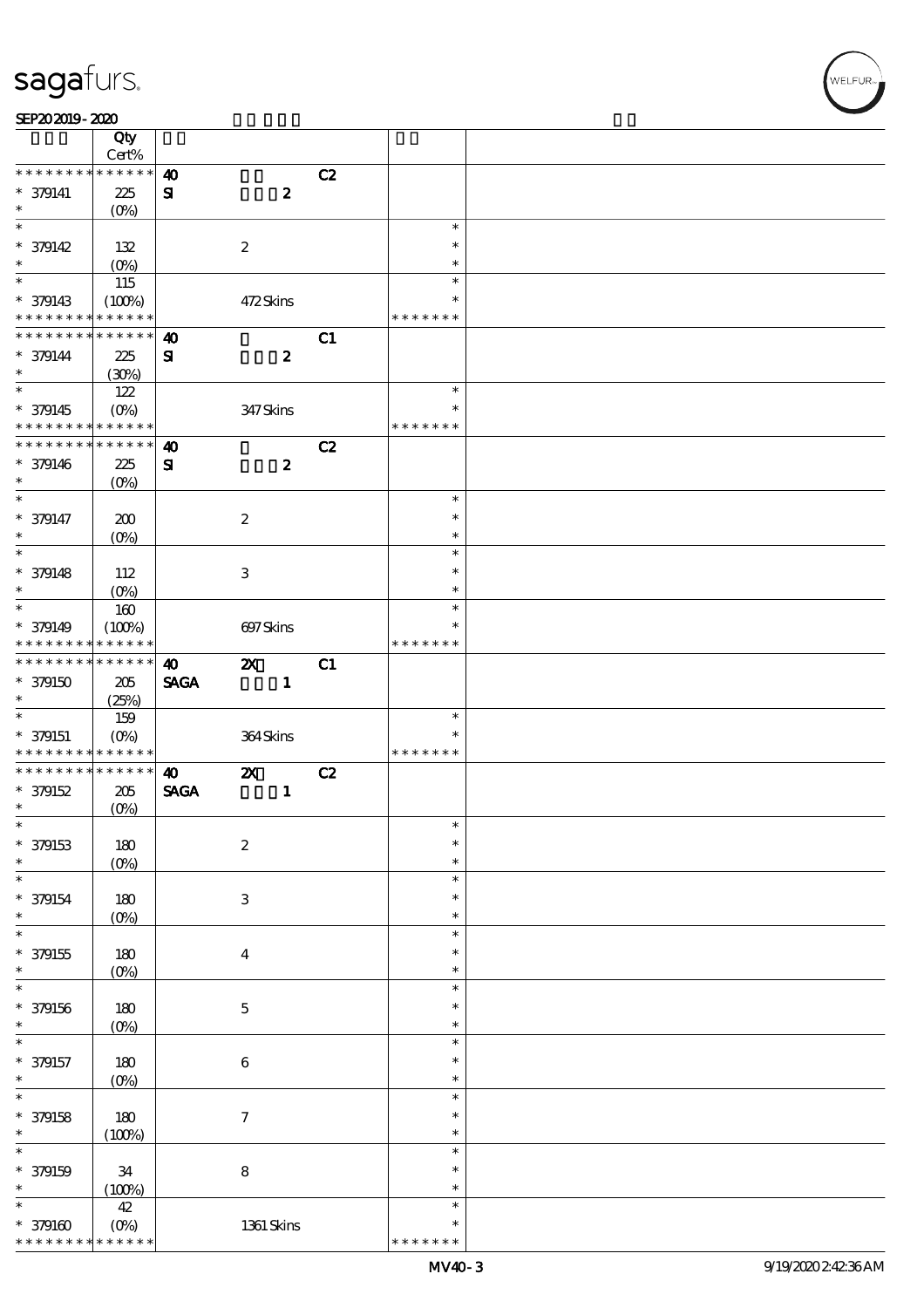$\overline{\mathsf{T}}$ 

#### $SEP202019 - 2020$

|                                                  | Qty<br>Cert%           |                       |                           |    |                  |  |
|--------------------------------------------------|------------------------|-----------------------|---------------------------|----|------------------|--|
| * * * * * * * *                                  | * * * * * *            | $\boldsymbol{\omega}$ |                           | C2 |                  |  |
|                                                  |                        |                       |                           |    |                  |  |
| $* 379141$<br>$\ast$                             | 225                    | ${\bf s}$             | $\boldsymbol{z}$          |    |                  |  |
| $\overline{\ast}$                                | (O <sub>0</sub> )      |                       |                           |    | $\ast$           |  |
|                                                  |                        |                       |                           |    |                  |  |
| $* 379142$                                       | 132                    |                       | $\boldsymbol{2}$          |    | $\ast$           |  |
| $\ast$                                           | $(0\%)$                |                       |                           |    | $\ast$           |  |
|                                                  | 115                    |                       |                           |    | $\ast$           |  |
| $* 379143$                                       | (100%)                 |                       | 472Skins                  |    | $\ast$           |  |
| * * * * * * * *                                  | * * * * * *            |                       |                           |    | * * * * * * *    |  |
| * * * * * * * *                                  | $* * * * * * *$        | $\boldsymbol{\omega}$ |                           | C1 |                  |  |
| $* 379144$                                       | 225                    | ${\bf s}$             | $\boldsymbol{z}$          |    |                  |  |
| $\ast$                                           | (30%)                  |                       |                           |    |                  |  |
|                                                  | 122                    |                       |                           |    | $\ast$           |  |
| $* 379145$                                       | $(0\%)$                |                       | 347 Skins                 |    | $\ast$           |  |
| * * * * * * * *                                  | * * * * * *            |                       |                           |    | * * * * * * *    |  |
| * * * * * * * *                                  | $* * * * * * *$        | $\boldsymbol{\omega}$ |                           | C2 |                  |  |
| $* 379146$                                       | 225                    | ${\bf s}$             | $\boldsymbol{z}$          |    |                  |  |
| $\ast$                                           | $(O\%)$                |                       |                           |    |                  |  |
| $\ast$                                           |                        |                       |                           |    | $\ast$           |  |
| * 379147                                         |                        |                       |                           |    | $\ast$           |  |
| $\ast$                                           | 200                    |                       | $\boldsymbol{2}$          |    | $\ast$           |  |
| $\overline{\ast}$                                | $(O\!/\!\!\delta)$     |                       |                           |    | $\ast$           |  |
|                                                  |                        |                       |                           |    |                  |  |
| $* 379148$                                       | 112                    |                       | 3                         |    | $\ast$           |  |
| $\ast$                                           | $(0\%)$                |                       |                           |    | $\ast$           |  |
|                                                  | 160                    |                       |                           |    | $\ast$           |  |
| $* 379149$                                       | (100%)                 |                       | 697Skins                  |    | *                |  |
| * * * * * * * *                                  | * * * * * *            |                       |                           |    | * * * * * * *    |  |
| * * * * * * * *                                  | $* * * * * * *$        | $\boldsymbol{\omega}$ | $\boldsymbol{\mathsf{z}}$ | C1 |                  |  |
| $*$ 379150                                       | 205                    | <b>SAGA</b>           | $\mathbf{1}$              |    |                  |  |
| $\ast$                                           | (25%)                  |                       |                           |    |                  |  |
| $\ast$                                           | 159                    |                       |                           |    | $\ast$           |  |
| $*$ 379151                                       | $(O\%)$                |                       | 364Skins                  |    | $\ast$           |  |
| * * * * * * * *                                  | * * * * * *            |                       |                           |    | * * * * * * *    |  |
| * * * * * * * *                                  | $******$               | $\boldsymbol{\omega}$ | $\boldsymbol{\mathsf{z}}$ | C2 |                  |  |
| * 379152                                         | 205                    | <b>SAGA</b>           | $\mathbf{1}$              |    |                  |  |
| $\ast$                                           | (O <sub>0</sub> )      |                       |                           |    |                  |  |
| $\ast$                                           |                        |                       |                           |    | $\ast$           |  |
| * 379153                                         | 180                    |                       | $\boldsymbol{2}$          |    | $\ast$           |  |
| $\ast$                                           | $(O\%)$                |                       |                           |    | $\ast$           |  |
| $\ast$                                           |                        |                       |                           |    |                  |  |
| * 379154                                         | 180                    |                       |                           |    |                  |  |
| $\ast$                                           |                        |                       |                           |    | $\ast$<br>$\ast$ |  |
| $\ast$                                           |                        |                       | $\,3$                     |    |                  |  |
|                                                  | (O <sub>0</sub> )      |                       |                           |    | $\ast$           |  |
|                                                  |                        |                       |                           |    | $\ast$           |  |
| $*$ 379155                                       | 180                    |                       | $\bf{4}$                  |    | $\ast$           |  |
| $\ast$                                           | (O <sub>0</sub> )      |                       |                           |    | $\ast$           |  |
| $\ast$                                           |                        |                       |                           |    | $\ast$           |  |
| * 379156                                         | $180$                  |                       | $\mathbf 5$               |    | $\ast$           |  |
| $\ast$                                           | $(O\%)$                |                       |                           |    | $\ast$           |  |
| $\ast$                                           |                        |                       |                           |    | $\ast$           |  |
| * 379157                                         | 180                    |                       | $\,6\,$                   |    | $\ast$           |  |
|                                                  | $(O\%)$                |                       |                           |    | $\ast$           |  |
|                                                  |                        |                       |                           |    | $\ast$           |  |
|                                                  | 180                    |                       | $\boldsymbol{7}$          |    | $\ast$           |  |
|                                                  | (100%)                 |                       |                           |    | $\ast$           |  |
| $\ast$<br>$\ast$<br>* 379158<br>$\ast$<br>$\ast$ |                        |                       |                           |    | $\ast$           |  |
|                                                  |                        |                       |                           |    | $\ast$           |  |
| $* 379159$                                       | 34                     |                       | ${\bf 8}$                 |    | $\ast$           |  |
| $\ast$                                           | (100%)                 |                       |                           |    | $\ast$           |  |
|                                                  | $42$                   |                       |                           |    | $\ast$           |  |
| $*379160$<br>* * * * * * * *                     | $(O\%)$<br>* * * * * * |                       | 1361 Skins                |    | * * * * * * *    |  |

,<br>WELFUR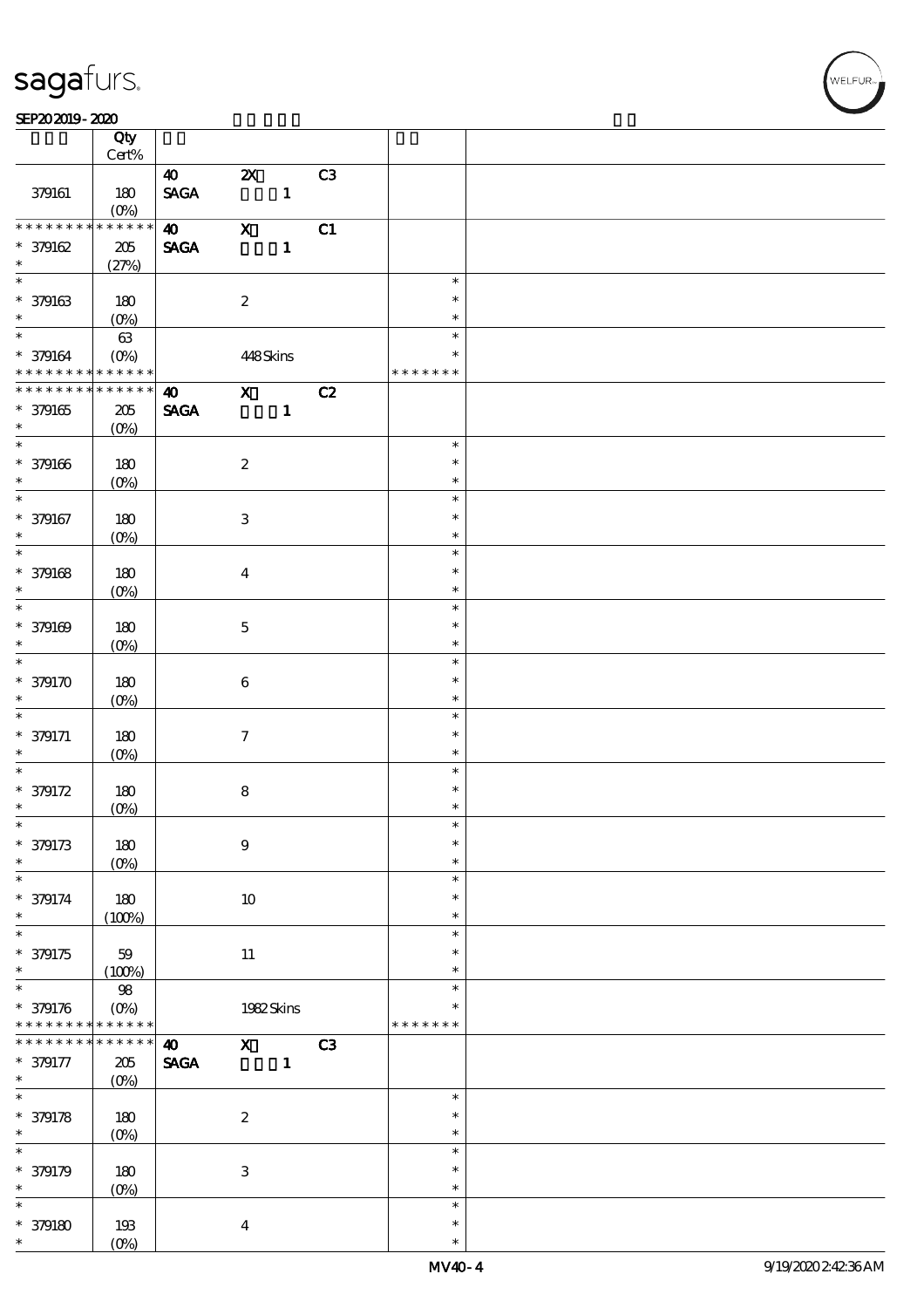$\top$ 

#### $SEP202019 - 2020$

|                                              | Qty<br>Cert%               |                                                         |                           |              |    |                            |  |
|----------------------------------------------|----------------------------|---------------------------------------------------------|---------------------------|--------------|----|----------------------------|--|
|                                              |                            |                                                         |                           |              |    |                            |  |
| 379161                                       | 180<br>$(O\%)$             | $\boldsymbol{\omega}$<br>$\operatorname{\mathsf{SAGA}}$ | $\boldsymbol{\mathsf{Z}}$ | $\mathbf{1}$ | C3 |                            |  |
| * * * * * * * *                              | $* * * * * * *$            | $\boldsymbol{\omega}$                                   | $\boldsymbol{\mathrm{X}}$ |              | C1 |                            |  |
| $*379162$<br>$\ast$                          | $205\,$<br>(27%)           | <b>SAGA</b>                                             |                           | $\mathbf{1}$ |    |                            |  |
|                                              |                            |                                                         |                           |              |    | $\ast$                     |  |
| $* 379163$<br>$\ast$                         | 180<br>$(O_0)$             |                                                         | $\boldsymbol{2}$          |              |    | $\ast$<br>$\ast$           |  |
| $*$                                          | $63\,$                     |                                                         |                           |              |    | $\ast$                     |  |
| * 379164 (0%)<br>* * * * * * * * * * * * * * |                            |                                                         | 448Skins                  |              |    | $\ast$<br>* * * * * * *    |  |
| * * * * * * * *                              | $* * * * * * *$            | $\boldsymbol{\omega}$                                   | $\mathbf{X}$              |              | C2 |                            |  |
| * 379165<br>$\ast$                           | $205\,$<br>$(O\%)$         | <b>SAGA</b>                                             |                           | $\mathbf 1$  |    |                            |  |
|                                              |                            |                                                         |                           |              |    | $\ast$                     |  |
| $* 379166$<br>$\ast$                         | 180<br>$(O\%)$             |                                                         | $\boldsymbol{2}$          |              |    | $\ast$<br>$\ast$           |  |
| $\overline{\ast}$                            |                            |                                                         |                           |              |    | $\ast$                     |  |
| * 379167<br>$\ast$<br>$\overline{\ast}$      | 180<br>(O <sub>0</sub> )   |                                                         | $\,3$                     |              |    | $\ast$<br>$\ast$           |  |
|                                              |                            |                                                         |                           |              |    | $\ast$                     |  |
| $* 379168$<br>$\ast$<br>$\overline{\ast}$    | 180<br>$(O\%)$             |                                                         | $\bf{4}$                  |              |    | $\ast$<br>$\ast$<br>$\ast$ |  |
|                                              |                            |                                                         |                           |              |    |                            |  |
| $* 379169$<br>$\ast$<br>$\overline{\ast}$    | 180<br>$(O\!/\!\delta)$    |                                                         | $\mathbf 5$               |              |    | $\ast$<br>$\ast$<br>$\ast$ |  |
|                                              |                            |                                                         |                           |              |    | $\ast$                     |  |
| $*379170$<br>$\ast$<br>$\ast$                | 180<br>$(O\%)$             |                                                         | $\bf 6$                   |              |    | $\ast$                     |  |
|                                              |                            |                                                         |                           |              |    | $\ast$                     |  |
| $* 379171$<br>$\ast$<br>$\ast$               | 180<br>$(O\%)$             |                                                         | $\boldsymbol{\tau}$       |              |    | $\ast$<br>$\ast$<br>$\ast$ |  |
|                                              |                            |                                                         |                           |              |    |                            |  |
| $* 379172$                                   | 180                        |                                                         | $\bf 8$                   |              |    | $\ast$                     |  |
| $\ast$                                       | $(0\%)$                    |                                                         |                           |              |    | $\ast$                     |  |
| $\ast$<br>$* 379173$<br>$\ast$               | 180<br>$(0\%)$             |                                                         | $\bf{9}$                  |              |    | $\ast$<br>$\ast$<br>$\ast$ |  |
| $\ast$                                       |                            |                                                         |                           |              |    | $\ast$                     |  |
| * 379174<br>$\ast$                           | 180<br>(100%)              |                                                         | 10                        |              |    | $\ast$<br>$\ast$           |  |
| $\overline{\ast}$                            |                            |                                                         |                           |              |    | $\ast$                     |  |
| * 379175<br>$\ast$                           | 59<br>(100%)               |                                                         | $11\,$                    |              |    | $\ast$<br>$\ast$           |  |
| $\overline{\ast}$                            | $98\,$                     |                                                         |                           |              |    | $\ast$                     |  |
| $* 379176$<br>* * * * * * * *                | $(O\%)$<br>$* * * * * * *$ |                                                         |                           | 1982Skins    |    | *<br>* * * * * * *         |  |
| * * * * * * * *                              | $******$                   | $\boldsymbol{\omega}$                                   | $\mathbf{x}$              |              | C3 |                            |  |
| $* 379177$<br>$\ast$                         | $205\,$<br>$(O\%)$         | $\operatorname{\mathsf{SAGA}}$                          |                           | $\mathbf{1}$ |    |                            |  |
| $\overline{\ast}$                            |                            |                                                         |                           |              |    | $\ast$                     |  |
| $* 379178$                                   | 180                        |                                                         | $\boldsymbol{2}$          |              |    | $\ast$                     |  |
| $\ast$                                       | $(O\!/\!\delta)$           |                                                         |                           |              |    | $\ast$                     |  |
| $\ast$                                       |                            |                                                         |                           |              |    | $\ast$                     |  |
| * 379179                                     |                            |                                                         |                           |              |    | $\ast$                     |  |
| $\ast$                                       | 180<br>$(0\%)$             |                                                         | 3                         |              |    | $\ast$                     |  |
| $\ast$                                       |                            |                                                         |                           |              |    | $\ast$                     |  |
| $* 379180$                                   | 193                        |                                                         | $\boldsymbol{4}$          |              |    | $\ast$                     |  |
| $\ast$                                       | (O <sub>0</sub> )          |                                                         |                           |              |    | $\ast$                     |  |

 $\overline{\mathbf{r}}$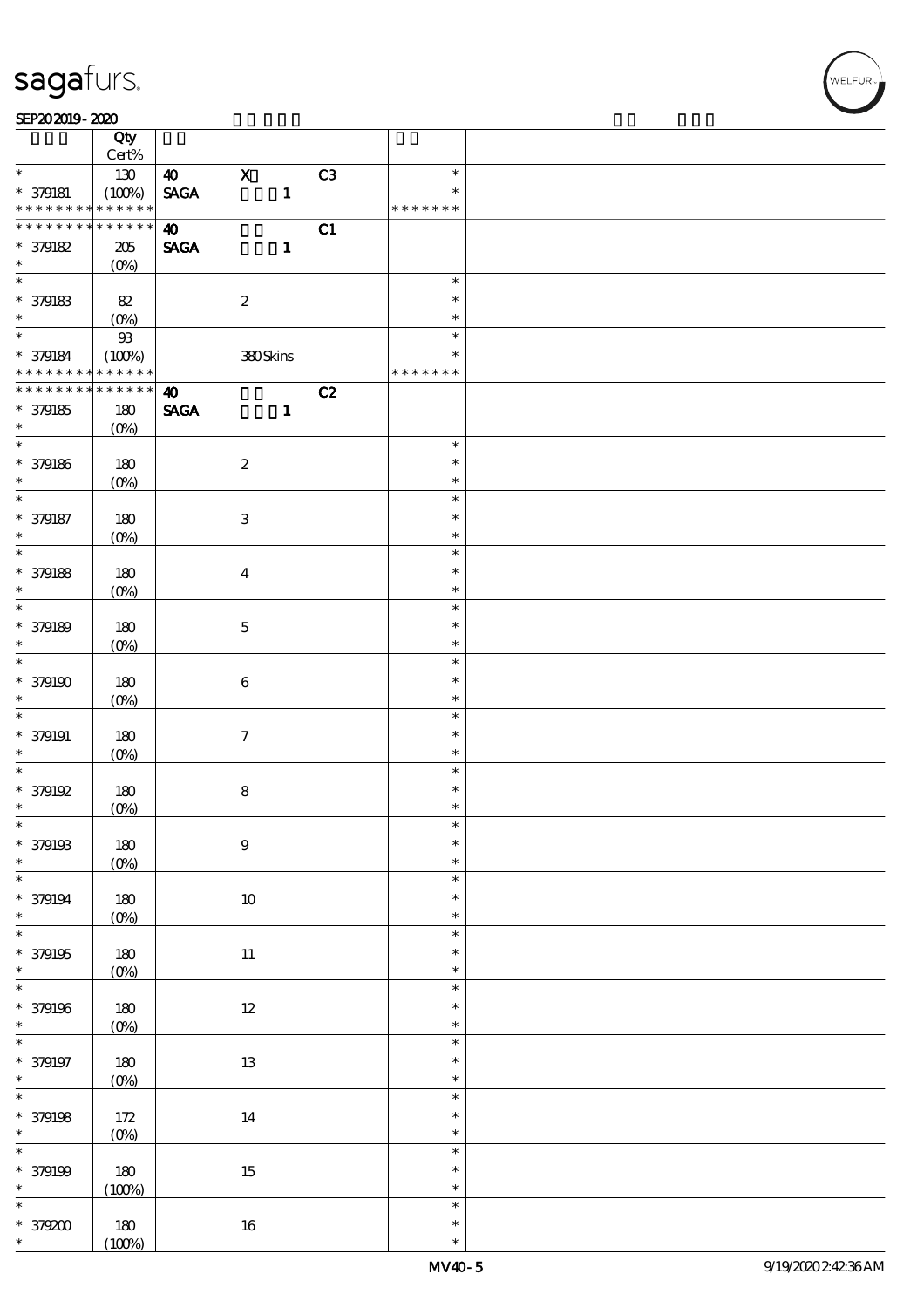$\top$ 

#### SEP202019-2020 RED 2020 RED 2020 RED 2020 RED 2020 RED 2020 RED 2020 RED 2020 RED 2020 RED 2020 RED 2020 RED 20

|                               | Qty<br>Cert%       |                       |                     |              |    |               |  |
|-------------------------------|--------------------|-----------------------|---------------------|--------------|----|---------------|--|
| $\ast$                        |                    |                       | $\mathbf X$         |              |    | $\ast$        |  |
|                               | 130                | <b>40</b>             |                     |              | C3 | $\ast$        |  |
| $* 379181$<br>* * * * * * * * | (100%)<br>$******$ | <b>SAGA</b>           |                     | $\mathbf{1}$ |    | * * * * * * * |  |
| * * * * * * * *               | * * * * * *        |                       |                     |              |    |               |  |
|                               |                    | $\boldsymbol{\omega}$ |                     |              | C1 |               |  |
| * 379182                      | $205\,$            | <b>SAGA</b>           |                     | $\mathbf{1}$ |    |               |  |
| $\ast$<br>$\overline{\ast}$   | $(O\%)$            |                       |                     |              |    |               |  |
|                               |                    |                       |                     |              |    | $\ast$        |  |
| $*$ 379183                    | 82                 |                       | $\boldsymbol{2}$    |              |    | $\ast$        |  |
| $\ast$                        | $(O_0)$            |                       |                     |              |    | $\ast$        |  |
| $*$                           | $93$               |                       |                     |              |    | $\ast$        |  |
| * 379184                      | (100%)             |                       | 380Skins            |              |    | $\ast$        |  |
| * * * * * * * * * * * * * *   |                    |                       |                     |              |    | * * * * * * * |  |
| * * * * * * * *               | $* * * * * * *$    | $\boldsymbol{\omega}$ |                     |              | C2 |               |  |
| * 379185                      | 180                | <b>SAGA</b>           |                     | $\mathbf{1}$ |    |               |  |
| $\ast$                        | $(O\%)$            |                       |                     |              |    |               |  |
|                               |                    |                       |                     |              |    | $\ast$        |  |
| * 379186                      | 180                |                       | $\boldsymbol{2}$    |              |    | $\ast$        |  |
| $\ast$                        | $(O\%)$            |                       |                     |              |    | $\ast$        |  |
| $\overline{\ast}$             |                    |                       |                     |              |    | $\ast$        |  |
| * 379187                      | 180                |                       | $\,3\,$             |              |    | $\ast$        |  |
| $\ast$                        | (O <sub>0</sub> )  |                       |                     |              |    | $\ast$        |  |
| $\overline{\ast}$             |                    |                       |                     |              |    | $\ast$        |  |
| * 379188                      | 180                |                       | $\boldsymbol{4}$    |              |    | $\ast$        |  |
| $\ast$                        |                    |                       |                     |              |    | $\ast$        |  |
| $\overline{\ast}$             | $(O\%)$            |                       |                     |              |    | $\ast$        |  |
|                               |                    |                       |                     |              |    | $\ast$        |  |
| * 379189                      | 180                |                       | $\mathbf 5$         |              |    |               |  |
| $\ast$                        | (O <sub>0</sub> )  |                       |                     |              |    | $\ast$        |  |
| $\overline{\ast}$             |                    |                       |                     |              |    | $\ast$        |  |
| $* 379190$                    | 180                |                       | $\bf 6$             |              |    | $\ast$        |  |
| $\ast$                        | $(O\%)$            |                       |                     |              |    | $\ast$        |  |
| $\ast$                        |                    |                       |                     |              |    | $\ast$        |  |
| $* 379191$                    | 180                |                       | $\boldsymbol{\tau}$ |              |    | $\ast$        |  |
| $\ast$                        | $(O\%)$            |                       |                     |              |    | $\ast$        |  |
| $\ast$                        |                    |                       |                     |              |    | $\ast$        |  |
| * 379192                      | 180                |                       | ${\bf 8}$           |              |    | $\ast$        |  |
| $\ast$                        | $(0\%)$            |                       |                     |              |    | $\ast$        |  |
| $\ast$                        |                    |                       |                     |              |    | $\ast$        |  |
| * 379193                      | 180                |                       | $\boldsymbol{9}$    |              |    | $\ast$        |  |
| $\ast$                        | $(0\%)$            |                       |                     |              |    | $\ast$        |  |
| $\ast$                        |                    |                       |                     |              |    | $\ast$        |  |
| * 379194                      | 180                |                       | $10\,$              |              |    | $\ast$        |  |
| $\ast$                        | $(0\%)$            |                       |                     |              |    | $\ast$        |  |
| $\overline{\ast}$             |                    |                       |                     |              |    | $\ast$        |  |
| $*$ 379195                    | 180                |                       | $11\,$              |              |    | $\ast$        |  |
| $\ast$                        | $(0\%)$            |                       |                     |              |    | $\ast$        |  |
| $\overline{\ast}$             |                    |                       |                     |              |    | $\ast$        |  |
| * 379196                      | $180$              |                       | $12\,$              |              |    | $\ast$        |  |
| $\ast$                        | $(0\%)$            |                       |                     |              |    | $\ast$        |  |
| $\ast$                        |                    |                       |                     |              |    | $\ast$        |  |
|                               |                    |                       |                     |              |    | $\ast$        |  |
| $* 379197$<br>$\ast$          | 180                |                       | $1\!3$              |              |    | $\ast$        |  |
| $\overline{\ast}$             | $(0\%)$            |                       |                     |              |    | $\ast$        |  |
|                               |                    |                       |                     |              |    | $\ast$        |  |
| * 379198                      | $172$              |                       | $14\,$              |              |    | $\ast$        |  |
| $\ast$<br>$\overline{\ast}$   | (0%)               |                       |                     |              |    |               |  |
|                               |                    |                       |                     |              |    | $\ast$        |  |
| * 379199                      | 180                |                       | $15\,$              |              |    | $\ast$        |  |
| $\ast$                        | (100%)             |                       |                     |              |    | $\ast$        |  |
| $\ast$                        |                    |                       |                     |              |    | $\ast$        |  |
| $*379200$                     | 180                |                       | $16\,$              |              |    | $\ast$        |  |
| $\ast$                        | (100%)             |                       |                     |              |    | $\ast$        |  |

 $\overline{\mathbf{r}}$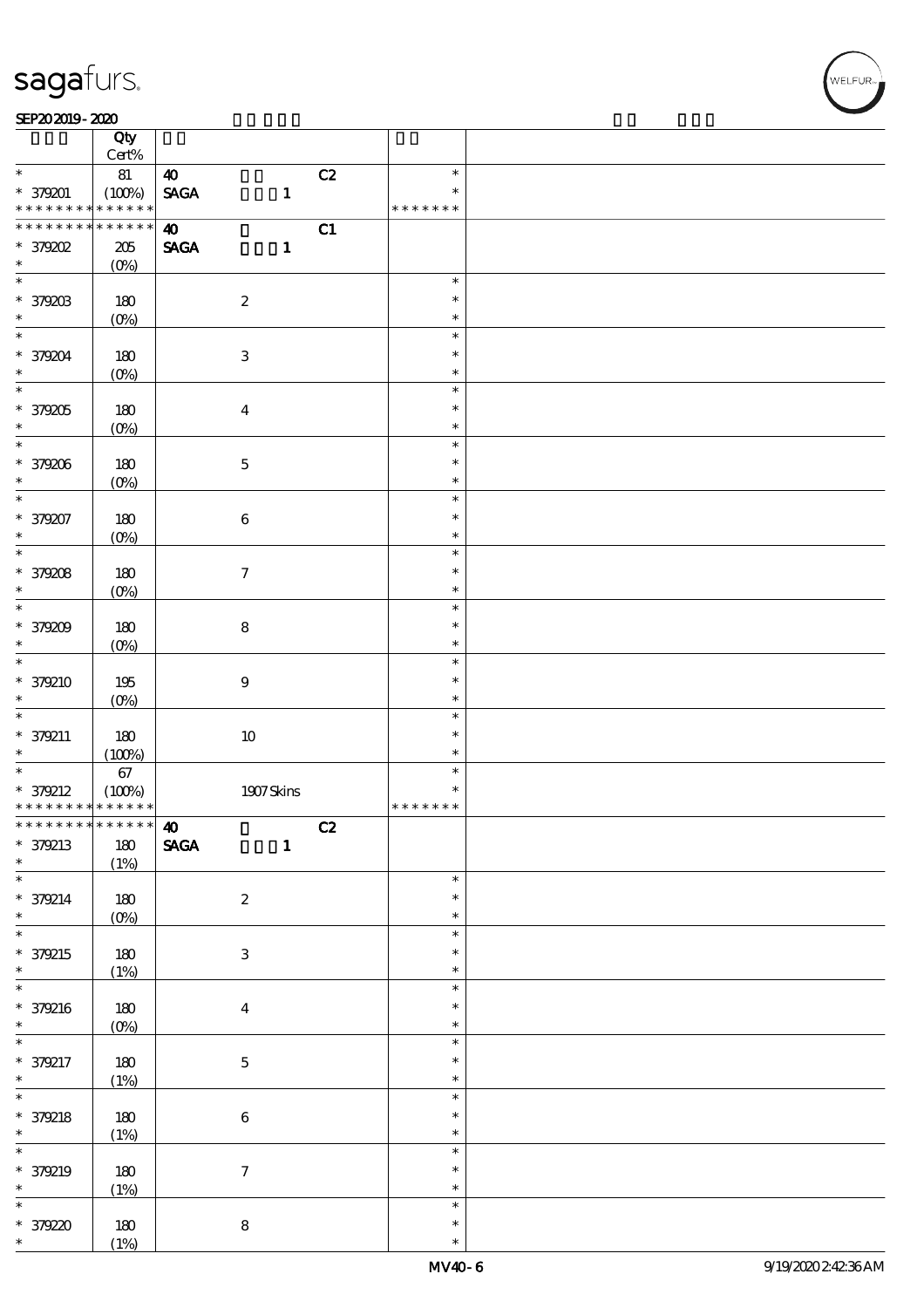$\top$ 

#### SEP202019-2020 RED 2020 RED 2020 RED 2020 RED 2020 RED 2020 RED 2020 RED 2020 RED 2020 RED 2020 RED 2020 RED 20

|                                         | Qty<br>Cert%          |                              |              |    |                         |  |
|-----------------------------------------|-----------------------|------------------------------|--------------|----|-------------------------|--|
| $\ast$                                  | 81                    | $\boldsymbol{\omega}$        |              | C2 | $\ast$                  |  |
| * 379201<br>* * * * * * * *             | (100%)<br>* * * * * * | <b>SAGA</b>                  | $\mathbf{1}$ |    | $\ast$<br>* * * * * * * |  |
|                                         |                       |                              |              |    |                         |  |
| * * * * * * * *                         | $******$              | $\boldsymbol{\omega}$        |              | C1 |                         |  |
| $*$ 379202                              | $205\,$               | <b>SAGA</b>                  | $\mathbf{1}$ |    |                         |  |
| $\ast$                                  | $(O\%)$               |                              |              |    |                         |  |
|                                         |                       |                              |              |    | $\ast$                  |  |
|                                         |                       |                              |              |    |                         |  |
| * 379203                                | 180                   | $\boldsymbol{2}$             |              |    | $\ast$                  |  |
| $\ast$                                  | $(0\%)$               |                              |              |    | $\ast$                  |  |
| $\ddot{x}$                              |                       |                              |              |    | $\ast$                  |  |
|                                         |                       |                              |              |    |                         |  |
| * 379204                                | 180                   | $\ensuremath{\mathbf{3}}$    |              |    | $\ast$                  |  |
| $\ast$                                  | $(O\%)$               |                              |              |    | $\ast$                  |  |
| $\overline{\ast}$                       |                       |                              |              |    | $\ast$                  |  |
| * 379205                                | 180                   | $\boldsymbol{4}$             |              |    | $\ast$                  |  |
|                                         |                       |                              |              |    |                         |  |
| $\ast$                                  | $(O\%)$               |                              |              |    | $\ast$                  |  |
| $\overline{\ast}$                       |                       |                              |              |    | $\ast$                  |  |
| * 379206                                | 180                   | $\mathbf 5$                  |              |    | $\ast$                  |  |
| $\ast$                                  | $(O\%)$               |                              |              |    | $\ast$                  |  |
| $\ast$                                  |                       |                              |              |    | $\ast$                  |  |
|                                         |                       |                              |              |    |                         |  |
| * 379207                                | 180                   | $\bf 6$                      |              |    | $\ast$                  |  |
| $\ast$                                  | (O <sub>0</sub> )     |                              |              |    | $\ast$                  |  |
|                                         |                       |                              |              |    | $\ast$                  |  |
|                                         |                       |                              |              |    | $\ast$                  |  |
| * 379208                                | 180                   | $\tau$                       |              |    |                         |  |
| $\ast$                                  | $(O\%)$               |                              |              |    | $\ast$                  |  |
| $\overline{\ast}$                       |                       |                              |              |    | $\ast$                  |  |
| * 379209                                | 180                   | $\bf 8$                      |              |    | $\ast$                  |  |
| $\ast$                                  |                       |                              |              |    | $\ast$                  |  |
|                                         | $(O\!/\!\!\delta)$    |                              |              |    |                         |  |
| $\overline{\ast}$                       |                       |                              |              |    | $\ast$                  |  |
| * 379210                                | 195                   | $\bf{9}$                     |              |    | $\ast$                  |  |
| $\ast$                                  | $(0\%)$               |                              |              |    | $\ast$                  |  |
| $\ast$                                  |                       |                              |              |    | $\ast$                  |  |
|                                         |                       |                              |              |    |                         |  |
| * 379211                                | 180                   | $10\,$                       |              |    | $\ast$                  |  |
| $\ast$                                  | (100%)                |                              |              |    | $\ast$                  |  |
| $\overline{\phantom{0}}$                |                       |                              |              |    | $\ast$                  |  |
|                                         |                       |                              |              |    |                         |  |
|                                         | 67                    |                              |              |    | $\ast$                  |  |
| * 379212                                | (100%)                |                              | 1907Skins    |    |                         |  |
| * * * * * * * * * * * * * *             |                       |                              |              |    | * * * * * * *           |  |
| ************** 10                       |                       |                              |              | C2 |                         |  |
| * 379213                                | $180\,$               | $\ensuremath{\mathsf{SAGA}}$ | $\mathbf{1}$ |    |                         |  |
| $\ast$                                  |                       |                              |              |    |                         |  |
|                                         | (1%)                  |                              |              |    | $\ast$                  |  |
| $\overline{\ast}$                       |                       |                              |              |    |                         |  |
| * 379214                                | $180\,$               | $\boldsymbol{z}$             |              |    | $\ast$                  |  |
| $\ast$                                  | $(0\%)$               |                              |              |    | $\ast$                  |  |
| $\ddot{x}$                              |                       |                              |              |    | $\ast$                  |  |
|                                         |                       |                              |              |    | $\ast$                  |  |
| * 379215                                | $180$                 | $\,3$                        |              |    |                         |  |
| $\ast$                                  | (1%)                  |                              |              |    | $\ast$                  |  |
| $\overline{\ast}$                       |                       |                              |              |    | $\ast$                  |  |
| * 379216                                | $180\,$               | $\boldsymbol{4}$             |              |    | $\ast$                  |  |
| $\ast$                                  |                       |                              |              |    | $\ast$                  |  |
|                                         | $(0\%)$               |                              |              |    | $\ast$                  |  |
| $\overline{\ast}$                       |                       |                              |              |    |                         |  |
| * 379217                                | $180$                 | $\mathbf 5$                  |              |    | $\ast$                  |  |
|                                         | (1%)                  |                              |              |    | $\ast$                  |  |
| $*$<br>$\overline{\ast}$                |                       |                              |              |    | $\ast$                  |  |
|                                         |                       |                              |              |    | $\ast$                  |  |
|                                         | $180\,$               | $\bf 6$                      |              |    |                         |  |
|                                         | (1%)                  |                              |              |    | $\ast$                  |  |
| * 379218<br>$\ast$<br>$\overline{\ast}$ |                       |                              |              |    | $\ast$                  |  |
|                                         | 180                   | $\boldsymbol{\tau}$          |              |    | $\ast$                  |  |
| * 379219<br>$\ast$                      |                       |                              |              |    | $\ast$                  |  |
|                                         | (1%)                  |                              |              |    |                         |  |
| $\overline{\ast}$                       |                       |                              |              |    | $\ast$                  |  |
| * 379220<br>$\ast$                      | 180<br>(1%)           | ${\bf 8}$                    |              |    | $\ast$<br>$\ast$        |  |

 $\overline{\mathbf{r}}$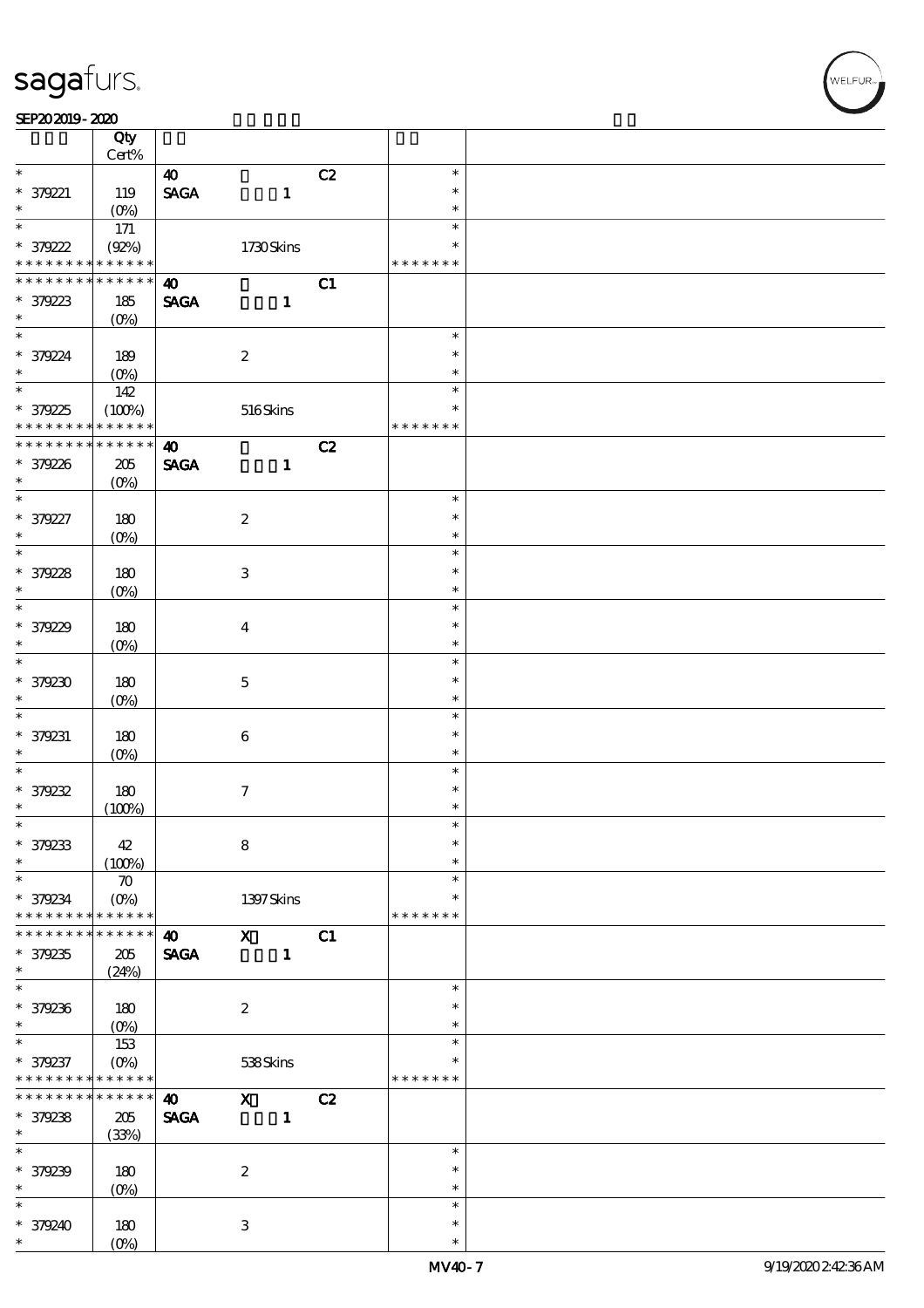|                                            | Qty                   |                              |                           |    |               |  |
|--------------------------------------------|-----------------------|------------------------------|---------------------------|----|---------------|--|
|                                            | Cert%                 |                              |                           |    |               |  |
| $\ast$                                     |                       | $\boldsymbol{\omega}$        |                           | C2 | $\ast$        |  |
| $* 379221$                                 | 119                   | $\ensuremath{\mathsf{SAGA}}$ | $\mathbf{1}$              |    | $\ast$        |  |
| $\ast$                                     | $(O_0)$               |                              |                           |    | $\ast$        |  |
| $\overline{\ast}$                          | 171                   |                              |                           |    | $\ast$        |  |
| * 379222                                   | (Q2%)                 |                              | 1730Skins                 |    | $\ast$        |  |
| * * * * * * * * <mark>* * * * * * *</mark> |                       |                              |                           |    | * * * * * * * |  |
| * * * * * * * *                            | $* * * * * * *$       | $\boldsymbol{\omega}$        |                           | C1 |               |  |
| * 379223                                   | 185                   | <b>SAGA</b>                  | $\mathbf{1}$              |    |               |  |
| $\ast$                                     | $(O\%)$               |                              |                           |    |               |  |
| $\ast$                                     |                       |                              |                           |    | $\ast$        |  |
| * 379224                                   | 189                   |                              | $\boldsymbol{2}$          |    | $\ast$        |  |
| $\ast$                                     | $(O_0)$               |                              |                           |    | $\ast$        |  |
|                                            | 142                   |                              |                           |    | $\ast$        |  |
|                                            |                       |                              |                           |    | $\ast$        |  |
| * 379225<br>* * * * * * * *                | (100%)<br>* * * * * * |                              | 516Skins                  |    | * * * * * * * |  |
| * * * * * * *                              |                       |                              |                           |    |               |  |
|                                            | * * * * * *           | $\boldsymbol{\omega}$        |                           | C2 |               |  |
| * 379226                                   | $205\,$               | <b>SAGA</b>                  | $\mathbf{1}$              |    |               |  |
| $\ast$                                     | $(O\%)$               |                              |                           |    |               |  |
| $\overline{\ast}$                          |                       |                              |                           |    | $\ast$        |  |
| * 379227                                   | 180                   |                              | $\boldsymbol{2}$          |    | $\ast$        |  |
| $\ast$                                     | $(O\%)$               |                              |                           |    | $\ast$        |  |
| $\overline{\ast}$                          |                       |                              |                           |    | $\ast$        |  |
| * 379228                                   | 180                   |                              | $\,3$                     |    | $\ast$        |  |
| $\ast$                                     | $(0\%)$               |                              |                           |    | $\ast$        |  |
| $\ast$                                     |                       |                              |                           |    | $\ast$        |  |
| * 379229                                   | 180                   |                              | $\boldsymbol{4}$          |    | $\ast$        |  |
| $\ast$                                     | $(O\%)$               |                              |                           |    | $\ast$        |  |
| $\ast$                                     |                       |                              |                           |    | $\ast$        |  |
|                                            |                       |                              |                           |    | $\ast$        |  |
| $*379230$                                  | 180                   |                              | $\mathbf 5$               |    |               |  |
| $\ast$                                     | $(O\%)$               |                              |                           |    | $\ast$        |  |
| $\ast$                                     |                       |                              |                           |    | $\ast$        |  |
| * 379231                                   | 180                   |                              | $\bf 6$                   |    | $\ast$        |  |
| $\ast$                                     | $(0\%)$               |                              |                           |    | $\ast$        |  |
| $\ast$                                     |                       |                              |                           |    | $\ast$        |  |
| * 379232                                   | 180                   |                              | $\tau$                    |    | $\ast$        |  |
| $\ast$                                     | (100%)                |                              |                           |    | $\ast$        |  |
| $\ast$                                     |                       |                              |                           |    |               |  |
| * 379233                                   | 42                    |                              | $\bf 8$                   |    | $\ast$        |  |
| $\ast$                                     | (100%)                |                              |                           |    | $\ast$        |  |
| $\ast$                                     | $\boldsymbol{\pi}$    |                              |                           |    | $\ast$        |  |
| * 379234                                   | $(O_0)$               |                              | $1397$ Skins              |    | $\ast$        |  |
| * * * * * * * *                            | * * * * * *           |                              |                           |    | * * * * * * * |  |
| * * * * * * *                              | * * * * * *           | $\boldsymbol{\omega}$        | $\overline{\mathbf{X}}$   | C1 |               |  |
| * 379235                                   | 205                   | <b>SAGA</b>                  | $\mathbf{1}$              |    |               |  |
| $\ast$                                     |                       |                              |                           |    |               |  |
| $\ast$                                     | (24%)                 |                              |                           |    | $\ast$        |  |
|                                            |                       |                              |                           |    |               |  |
| * 379236                                   | 180                   |                              | $\boldsymbol{2}$          |    | $\ast$        |  |
| $\ast$                                     | $(O\%)$               |                              |                           |    | $\ast$        |  |
| $\ast$                                     | 153                   |                              |                           |    | $\ast$        |  |
| * 379237                                   | $(O\%)$               |                              | 538Skins                  |    | *             |  |
| * * * * * * *                              | * * * * * *           |                              |                           |    | * * * * * * * |  |
| * * * * * * *                              | * * * * * *           | $\boldsymbol{\omega}$        | $\mathbf{x}$              | C2 |               |  |
| * 379238                                   | 205                   | <b>SAGA</b>                  | $\mathbf{1}$              |    |               |  |
| $\ast$                                     | (33%)                 |                              |                           |    |               |  |
| $\ast$                                     |                       |                              |                           |    | $\ast$        |  |
| * 379239                                   | 180                   |                              | $\boldsymbol{2}$          |    | $\ast$        |  |
| $\ast$                                     |                       |                              |                           |    | $\ast$        |  |
| $\ast$                                     | (O <sub>0</sub> )     |                              |                           |    | $\ast$        |  |
|                                            |                       |                              |                           |    |               |  |
| * 379240                                   | $180\,$               |                              | $\ensuremath{\mathbf{3}}$ |    | $\ast$        |  |
| *                                          | $(O\%)$               |                              |                           |    | $\ast$        |  |

**NELFUR**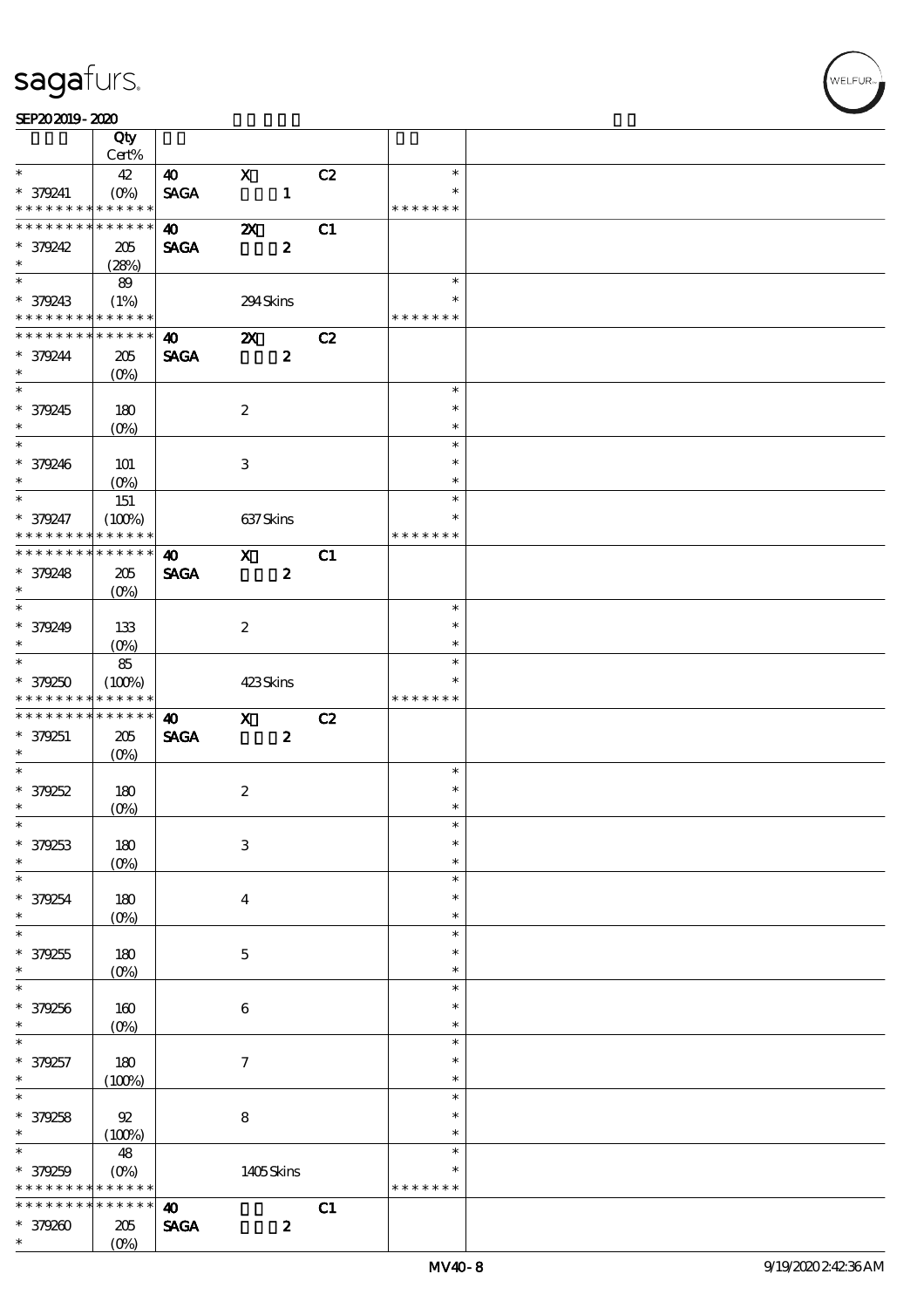### SEP202019-2020

|                               | Qty<br>Cert%    |                       |                           |                  |    |               |  |
|-------------------------------|-----------------|-----------------------|---------------------------|------------------|----|---------------|--|
| $\ast$                        | 42              |                       | $\mathbf x$               |                  |    | $\ast$        |  |
|                               |                 | 40                    |                           |                  | C2 | $\ast$        |  |
| $* 379241$<br>* * * * * * * * | * * * * * *     | <b>SAGA</b>           |                           | $\mathbf{1}$     |    | * * * * * * * |  |
| * * * * * * * *               | $* * * * * * *$ |                       |                           |                  |    |               |  |
|                               |                 | $\boldsymbol{40}$     | $\boldsymbol{\mathsf{z}}$ |                  | C1 |               |  |
| * 379242                      | 205             | <b>SAGA</b>           |                           | $\boldsymbol{z}$ |    |               |  |
| $\ast$                        | (28%)           |                       |                           |                  |    |               |  |
|                               | 89              |                       |                           |                  |    | $\ast$        |  |
| * 379243                      | (1%)            |                       | 294Skins                  |                  |    | $\ast$        |  |
| * * * * * * * * * * * * * *   |                 |                       |                           |                  |    | * * * * * * * |  |
| * * * * * * * *               | * * * * * *     | 40                    | $\mathbf{X}$              |                  | C2 |               |  |
| * 379244                      | 205             | <b>SAGA</b>           |                           | $\boldsymbol{z}$ |    |               |  |
| $\ast$                        | $(O\%)$         |                       |                           |                  |    |               |  |
|                               |                 |                       |                           |                  |    | $\ast$        |  |
| * 379245                      | 180             |                       | $\boldsymbol{2}$          |                  |    | $\ast$        |  |
| $*$                           | $(0\%)$         |                       |                           |                  |    | $\ast$        |  |
|                               |                 |                       |                           |                  |    | $\ast$        |  |
| * 379246                      | 101             |                       | 3                         |                  |    | $\ast$        |  |
| $\ast$                        | $(O\%)$         |                       |                           |                  |    | $\ast$        |  |
| $\overline{\ast}$             | 151             |                       |                           |                  |    | $\ast$        |  |
| * 379247                      | (100%)          |                       | 637Skins                  |                  |    | $\ast$        |  |
| * * * * * * * *               | * * * * * *     |                       |                           |                  |    | * * * * * * * |  |
| * * * * * * * * * * * * * *   |                 | $\boldsymbol{\omega}$ | $\mathbf{x}$              |                  | C1 |               |  |
|                               |                 |                       |                           |                  |    |               |  |
| * 379248<br>$\ast$            | 205             | <b>SAGA</b>           |                           | $\boldsymbol{z}$ |    |               |  |
|                               | $(O\%)$         |                       |                           |                  |    | $\ast$        |  |
|                               |                 |                       |                           |                  |    |               |  |
| * 379249                      | 133             |                       | $\boldsymbol{2}$          |                  |    | $\ast$        |  |
| $\ast$                        | $(0\%)$         |                       |                           |                  |    | $\ast$        |  |
|                               | 85              |                       |                           |                  |    | $\ast$        |  |
| * 379250                      | (100%)          |                       | 423Skins                  |                  |    | $\ast$        |  |
| * * * * * * * *               | * * * * * *     |                       |                           |                  |    | * * * * * * * |  |
| * * * * * * * *               | * * * * * *     | $\boldsymbol{\omega}$ | $\mathbf{X}$              |                  | C2 |               |  |
| * 379251                      | 205             | <b>SAGA</b>           |                           | $\boldsymbol{z}$ |    |               |  |
| $\ast$                        | $(O\% )$        |                       |                           |                  |    |               |  |
| $\ast$                        |                 |                       |                           |                  |    | $\ast$        |  |
|                               |                 |                       |                           |                  |    |               |  |
|                               | 180             |                       | $\boldsymbol{2}$          |                  |    | $\ast$        |  |
| $* 379252$<br>$\ast$          | $(O\%)$         |                       |                           |                  |    | $\ast$        |  |
| $*$                           |                 |                       |                           |                  |    | $\ast$        |  |
|                               |                 |                       |                           |                  |    | $\ast$        |  |
| * 379253<br>$\ast$            | 180             |                       | $\,3$                     |                  |    | $\ast$        |  |
| $\ast$                        | $(0\%)$         |                       |                           |                  |    | $\ast$        |  |
|                               |                 |                       |                           |                  |    | $\ast$        |  |
| * 379254<br>$\ast$            | 180             |                       | $\bf{4}$                  |                  |    | $\ast$        |  |
| $\ast$                        | $(O\%)$         |                       |                           |                  |    | $\ast$        |  |
|                               |                 |                       |                           |                  |    | $\ast$        |  |
| $*379255$<br>$\ast$           | 180             |                       | $\mathbf 5$               |                  |    | $\ast$        |  |
| $\ast$                        | $(O\%)$         |                       |                           |                  |    | $\ast$        |  |
|                               |                 |                       |                           |                  |    |               |  |
| * 379256                      | 160             |                       | 6                         |                  |    | $\ast$        |  |
| $\ast$                        | $(0\%)$         |                       |                           |                  |    | $\ast$        |  |
| $\ast$                        |                 |                       |                           |                  |    | $\ast$        |  |
| * 379257                      | 180             |                       | $\boldsymbol{\tau}$       |                  |    | $\ast$        |  |
| $\ast$                        | (100%)          |                       |                           |                  |    | $\ast$        |  |
| $\overline{\ast}$             |                 |                       |                           |                  |    | $\ast$        |  |
| * 379258                      | 92              |                       | $\bf8$                    |                  |    | $\ast$        |  |
| $\ast$                        | (100%)          |                       |                           |                  |    | $\ast$        |  |
| $\ast$                        | 48              |                       |                           |                  |    | $\ast$        |  |
| $* 379259$                    | $(O\%)$         |                       | 1405Skins                 |                  |    | $\ast$        |  |
| * * * * * * * *               | * * * * * *     |                       |                           |                  |    | * * * * * * * |  |
| * * * * * * *                 | * * * * * *     | $\boldsymbol{\omega}$ |                           |                  | C1 |               |  |
| * 379260                      | 205             | <b>SAGA</b>           |                           | $\boldsymbol{z}$ |    |               |  |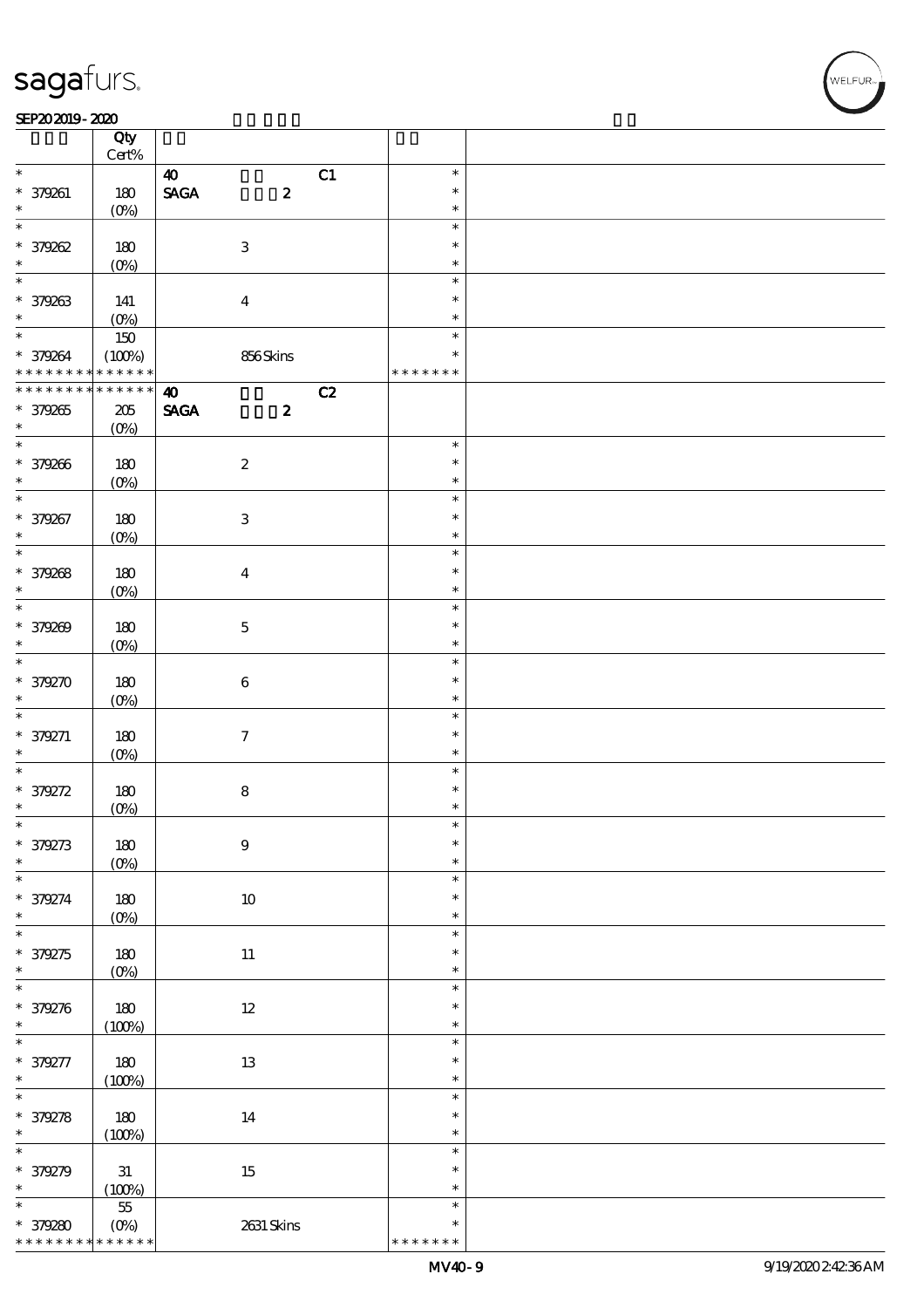#### $SEP202019 - 2020$

| SEP202019-2020              |                    |                                |                  |    |                  |  |
|-----------------------------|--------------------|--------------------------------|------------------|----|------------------|--|
|                             | Qty                |                                |                  |    |                  |  |
|                             | $\mbox{Cert}\%$    |                                |                  |    |                  |  |
| $*$                         |                    | $\boldsymbol{\omega}$          |                  | C1 | $\ast$           |  |
| * 379261                    | 180                | $\operatorname{\mathsf{SAGA}}$ | $\boldsymbol{z}$ |    | $\ast$           |  |
| $\ast$                      | $(0\%)$            |                                |                  |    | $\ast$           |  |
| $\overline{\ast}$           |                    |                                |                  |    | $\ast$           |  |
| * 379262                    | 180                | $\ensuremath{\mathbf{3}}$      |                  |    | $\ast$           |  |
| $\ast$                      | $(0\%)$            |                                |                  |    | $\ast$           |  |
| $\ast$                      |                    |                                |                  |    | $\ast$           |  |
| * 379263                    | 141                | $\boldsymbol{4}$               |                  |    | $\ast$           |  |
| $\ast$                      | $(0\%)$            |                                |                  |    | $\ast$           |  |
| $\ast$                      | $150\,$            |                                |                  |    | $\ast$           |  |
| * 379264                    | (100%)             |                                | 856Skins         |    | $\ast$           |  |
| * * * * * * * *             | * * * * * *        |                                |                  |    | * * * * * * *    |  |
| * * * * * * * *             | * * * * * *        | $\boldsymbol{\Lambda}$         |                  | C2 |                  |  |
| * 379265                    | $205\,$            | <b>SAGA</b>                    | $\boldsymbol{z}$ |    |                  |  |
| $\ast$                      | $(O\%)$            |                                |                  |    |                  |  |
| $\ast$                      |                    |                                |                  |    | $\ast$           |  |
| * 379266                    | 180                | $\boldsymbol{2}$               |                  |    | $\ast$           |  |
| $\ast$                      | $(0\%)$            |                                |                  |    | $\ast$           |  |
| $\overline{\ast}$           |                    |                                |                  |    | $\ast$           |  |
| * 379267                    | 180                | $\ensuremath{\mathbf{3}}$      |                  |    | $\ast$           |  |
| $\ast$                      | $(0\%)$            |                                |                  |    | $\ast$           |  |
| $\ast$                      |                    |                                |                  |    | $\ast$           |  |
| * 379268                    | 180                | $\boldsymbol{4}$               |                  |    | $\ast$           |  |
| $\ast$                      | $(0\%)$            |                                |                  |    | $\ast$           |  |
| $\ast$                      |                    |                                |                  |    | $\ast$           |  |
| * 379269                    | 180                | $\mathbf 5$                    |                  |    | $\ast$           |  |
| $\ast$                      | $(0\%)$            |                                |                  |    | $\ast$           |  |
| $\overline{\ast}$           |                    |                                |                  |    | $\ast$           |  |
| * 379270                    | 180                | $\bf 6$                        |                  |    | $\ast$           |  |
| $\ast$                      | $(O\%)$            |                                |                  |    | $\ast$           |  |
| $\ast$                      |                    |                                |                  |    | $\ast$           |  |
| $* 379271$                  | 180                | $\boldsymbol{7}$               |                  |    | $\ast$           |  |
| $\ast$                      | $(0\%)$            |                                |                  |    | $\ast$           |  |
| $\ast$                      |                    |                                |                  |    | $\ast$           |  |
| * 379272                    |                    | ${\bf 8}$                      |                  |    | $\ast$           |  |
| $\ast$                      | 180<br>(0%)        |                                |                  |    | $\ast$           |  |
| $\ast$                      |                    |                                |                  |    | $\ast$           |  |
| * 379273                    | 180                | $\boldsymbol{9}$               |                  |    | $\ast$           |  |
| $\ast$                      |                    |                                |                  |    | $\ast$           |  |
| $\ast$                      | (O <sub>0</sub> )  |                                |                  |    | $\ast$           |  |
| * 379274                    |                    |                                |                  |    | $\ast$           |  |
| $\ast$                      | $180$              |                                | $10\,$           |    | $\ast$           |  |
| $\ast$                      | $(0\%)$            |                                |                  |    | $\ast$           |  |
| * 379275                    | 180                | $11\,$                         |                  |    | $\ast$           |  |
| $\ast$                      |                    |                                |                  |    | $\ast$           |  |
| $\ast$                      | $(0\%)$            |                                |                  |    | $\ast$           |  |
| * 379276                    |                    |                                |                  |    | $\ast$           |  |
|                             | $180\,$            |                                | $12\,$           |    | $\ast$           |  |
| $\ast$                      | (100%)             |                                |                  |    | $\ast$           |  |
|                             |                    |                                |                  |    | $\ast$           |  |
| * 379277                    | $180\,$            |                                | $1\!3$           |    |                  |  |
| $\ast$                      | (100%)             |                                |                  |    | $\ast$<br>$\ast$ |  |
|                             |                    |                                |                  |    |                  |  |
| $*379278$                   | 180                |                                | $14\,$           |    | $\ast$           |  |
| $\ast$<br>$\overline{\ast}$ | (100%)             |                                |                  |    | $\ast$           |  |
|                             |                    |                                |                  |    | $\ast$           |  |
| * 379279                    | $3\!1$             |                                | $15\,$           |    | $\ast$           |  |
| $\ast$                      | (100%)             |                                |                  |    | $\ast$           |  |
| $\ast$                      | $5\!5$             |                                |                  |    | $\ast$           |  |
| * 379280                    | $(O\!/\!\!\delta)$ |                                | 2631 Skins       |    | $\ast$           |  |
| * * * * * * * *             | * * * * * *        |                                |                  |    | * * * * * * *    |  |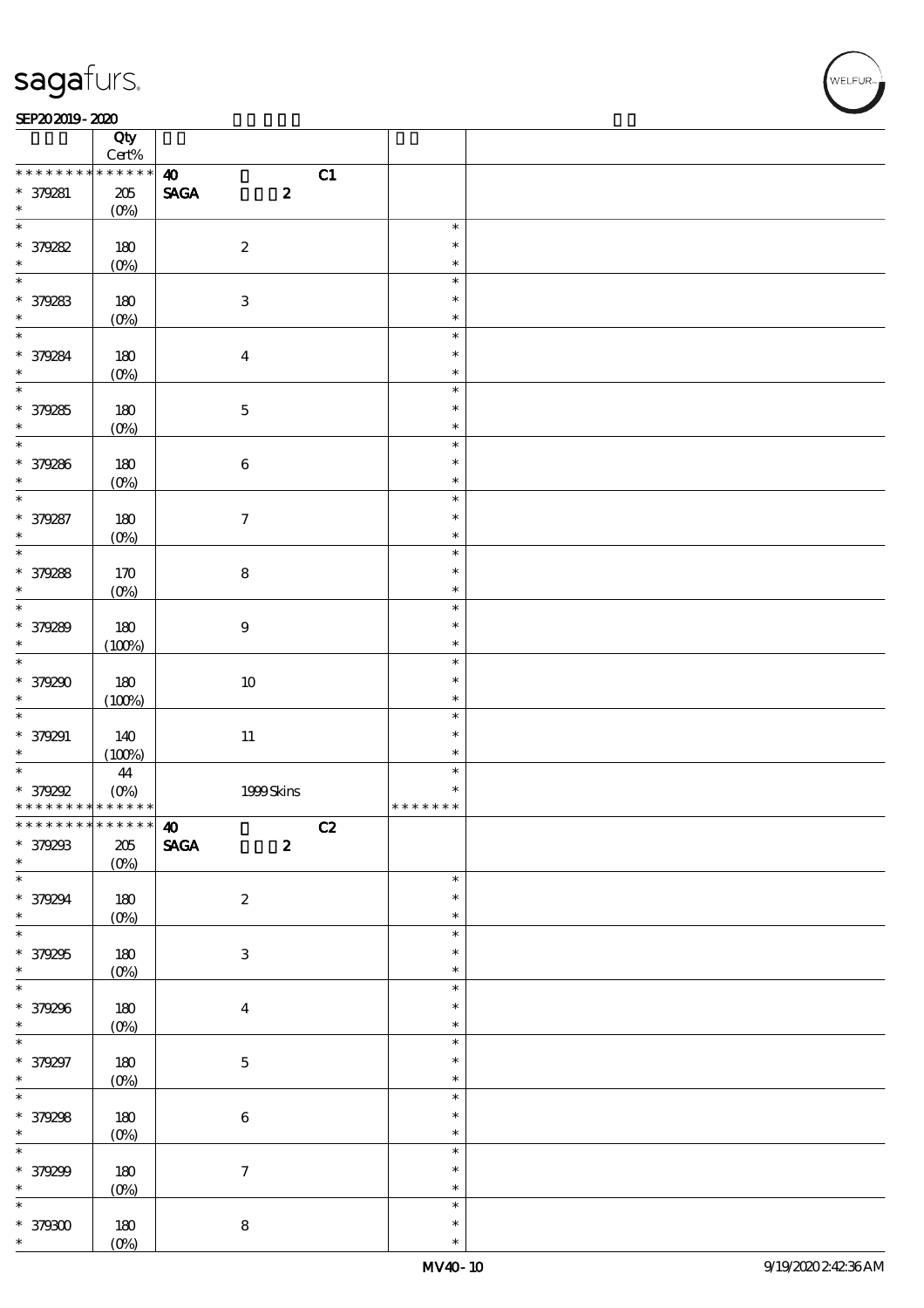### SEP202019-2020

|                                          | Qty                            |                                                    |                  |  |
|------------------------------------------|--------------------------------|----------------------------------------------------|------------------|--|
| * * * * * * * *                          | $\mbox{Cert}\%$<br>* * * * * * |                                                    |                  |  |
|                                          |                                | $\boldsymbol{\omega}$<br>C1                        |                  |  |
| * 379281<br>$\ast$                       | $205\,$<br>$(O\%)$             | $\operatorname{\mathbf{SAGA}}$<br>$\boldsymbol{2}$ |                  |  |
| $\overline{\phantom{0}}$                 |                                |                                                    | $\ast$           |  |
| * 379282                                 | 180                            | $\boldsymbol{2}$                                   | $\ast$           |  |
| $\ast$                                   | $(0\%)$                        |                                                    | $\ast$           |  |
| $\ast$                                   |                                |                                                    | $\ast$           |  |
| $* 379283$                               | 180                            | $\ensuremath{\mathbf{3}}$                          | $\ast$           |  |
| $\ast$                                   | $(O\%)$                        |                                                    | $\ast$           |  |
| $\overline{\ast}$                        |                                |                                                    | $\ast$           |  |
|                                          | 180                            | $\boldsymbol{4}$                                   | $\ast$           |  |
| $*379284$                                | $(0\%)$                        |                                                    | $\ast$           |  |
| $\overline{\ast}$                        |                                |                                                    | $\ast$           |  |
| * 379285                                 | 180                            | $\mathbf 5$                                        | $\ast$           |  |
| $\ast$                                   | $(0\%)$                        |                                                    | $\ast$           |  |
| $\overline{\ast}$                        |                                |                                                    | $\ast$           |  |
| * 379286                                 | 180                            | $\bf 6$                                            | $\ast$           |  |
| $\ast$                                   | $(0\%)$                        |                                                    | $\ast$           |  |
| $\overline{\ast}$                        |                                |                                                    | $\ast$           |  |
| * 379287                                 | 180                            | $\boldsymbol{\tau}$                                | $\ast$           |  |
| $\ast$                                   | $(0\%)$                        |                                                    | $\ast$           |  |
| $\ast$                                   |                                |                                                    | $\ast$           |  |
| * 379288                                 | 170                            | ${\bf 8}$                                          | $\ast$           |  |
| $\ast$                                   | $(0\%)$                        |                                                    | $\ast$           |  |
| $\ast$                                   |                                |                                                    | $\ast$           |  |
| * 379289                                 | 180                            | $9\,$                                              | $\ast$           |  |
| $\ast$                                   | (100%)                         |                                                    | $\ast$           |  |
| $\overline{\ast}$                        |                                |                                                    | $\ast$           |  |
| * 379290                                 | 180                            | $10\,$                                             | $\ast$           |  |
| $\ast$                                   | (100%)                         |                                                    | $\ast$           |  |
|                                          |                                |                                                    | $\ast$           |  |
| * 379291                                 | 140                            | $11\,$                                             | $\ast$           |  |
| $\ast$                                   | (100%)                         |                                                    | $\ast$           |  |
| $\ast$                                   | $\bf 44$                       |                                                    | $\ast$           |  |
| * 379292                                 | $(O_0)$                        | 1999Skins                                          | $\ast$           |  |
| * * * * * * * * <mark>* * * * * *</mark> |                                |                                                    | * * * * * * *    |  |
|                                          |                                | C2                                                 |                  |  |
| * 379293                                 | $205\,$                        | <b>SAGA</b><br>$\boldsymbol{2}$                    |                  |  |
| $*$                                      | $(0\%)$                        |                                                    |                  |  |
|                                          |                                |                                                    | $\ast$           |  |
| * 379294                                 | 180                            | $\boldsymbol{2}$                                   | $\ast$           |  |
| $\ast$                                   | $(0\%)$                        |                                                    | $\ast$           |  |
| $\overline{\ast}$                        |                                |                                                    | $\ast$           |  |
| * 379295                                 | $180\,$                        | $\ensuremath{\mathsf{3}}$                          | $\ast$           |  |
| $\ast$<br>$\overline{\ast}$              | $(0\%)$                        |                                                    | $\ast$           |  |
|                                          |                                |                                                    | $\ast$           |  |
| * 379296                                 | $180\,$                        | $\boldsymbol{4}$                                   | $\ast$           |  |
| $\ast$                                   | $(0\%)$                        |                                                    | $\ast$<br>$\ast$ |  |
|                                          |                                |                                                    | $\ast$           |  |
| * 379297<br>$\ast$                       | 180                            | $\mathbf 5$                                        | $\ast$           |  |
| $\overline{\phantom{0}}$                 | $(0\%)$                        |                                                    | $\ast$           |  |
| * 379298                                 |                                |                                                    | $\ast$           |  |
| $\ast$                                   | 180<br>$(0\%)$                 | $\,6\,$                                            | $\ast$           |  |
| $\overline{\ast}$                        |                                |                                                    | $\ast$           |  |
| * 379299                                 | 180                            | $\boldsymbol{7}$                                   | $\ast$           |  |
| $\ast$                                   | $(0\%)$                        |                                                    | $\ast$           |  |
| $\overline{\ast}$                        |                                |                                                    | $\ast$           |  |
| $* 379300$                               | $180\,$                        | ${\bf 8}$                                          | $\ast$           |  |
|                                          |                                |                                                    |                  |  |
| $\ast$                                   | $(0\%)$                        |                                                    | $\ast$           |  |

.<br>FLEUR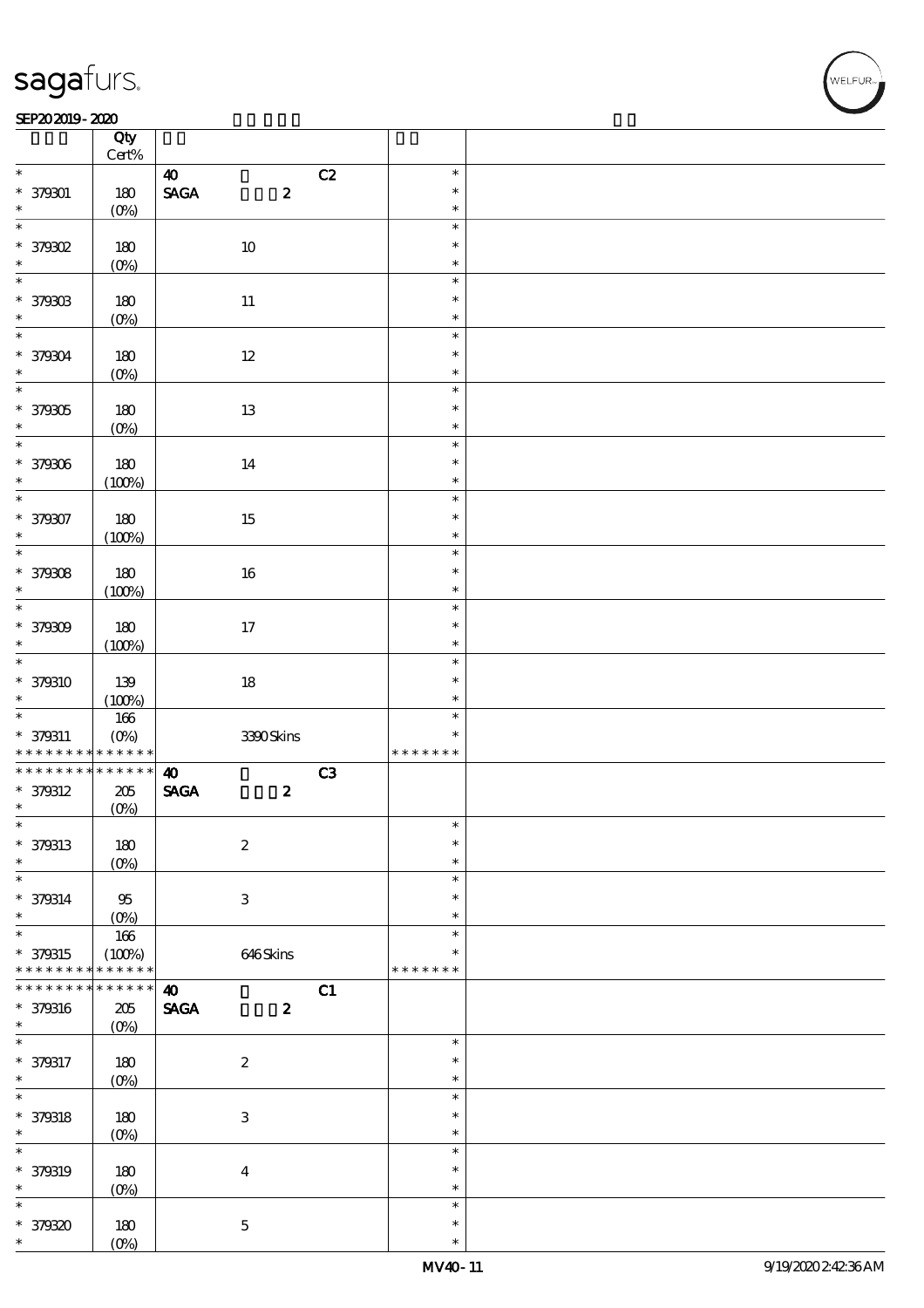#### $SEP202019 - 2020$  $\overline{\phantom{a}}$  Qty  $\overline{\phantom{a}}$

|                              | Qty<br>$\mbox{Cert}\%$   |                                                    |    |                  |  |
|------------------------------|--------------------------|----------------------------------------------------|----|------------------|--|
| $\ast$                       |                          |                                                    |    | $\ast$           |  |
|                              |                          | $\boldsymbol{\omega}$                              | C2 |                  |  |
| $* 379001$                   | 180                      | $\operatorname{\mathsf{SAGA}}$<br>$\boldsymbol{2}$ |    | $\ast$           |  |
| $\ast$                       | (O <sub>0</sub> )        |                                                    |    | $\ast$           |  |
| $\overline{\ast}$            |                          |                                                    |    | $\ast$           |  |
| * 379302                     | 180                      | $10\,$                                             |    | $\ast$           |  |
|                              |                          |                                                    |    |                  |  |
| $\ast$                       | $(0\%)$                  |                                                    |    | $\ast$           |  |
| $\overline{\ast}$            |                          |                                                    |    | $\ast$           |  |
| * 379303                     | 180                      | $11\,$                                             |    | $\ast$           |  |
| $\ast$                       |                          |                                                    |    | $\ast$           |  |
|                              | $(0\%)$                  |                                                    |    |                  |  |
| $\overline{\ast}$            |                          |                                                    |    | $\ast$           |  |
| * 379304                     | 180                      | $12\,$                                             |    | $\ast$           |  |
| $\ast$                       | $(0\%)$                  |                                                    |    | $\ast$           |  |
| $\overline{\ast}$            |                          |                                                    |    | $\ast$           |  |
|                              |                          |                                                    |    |                  |  |
| * 379305                     | 180                      | $13\,$                                             |    | $\ast$           |  |
| $\ast$                       | $(O\%)$                  |                                                    |    | $\ast$           |  |
|                              |                          |                                                    |    | $\ast$           |  |
|                              |                          |                                                    |    | $\ast$           |  |
| * 379306                     | 180                      | 14                                                 |    |                  |  |
| $\ast$                       | (100%)                   |                                                    |    | $\ast$           |  |
| $\overline{\ast}$            |                          |                                                    |    | $\ast$           |  |
| * 379307                     | 180                      | $15\,$                                             |    | $\ast$           |  |
| $\ast$                       |                          |                                                    |    | $\ast$           |  |
|                              | (100%)                   |                                                    |    |                  |  |
|                              |                          |                                                    |    | $\ast$           |  |
| * 379308                     | 180                      | 16                                                 |    | $\ast$           |  |
| $\ast$                       | (100%)                   |                                                    |    | $\ast$           |  |
| $\overline{\ast}$            |                          |                                                    |    | $\ast$           |  |
|                              |                          |                                                    |    |                  |  |
| * 379309                     | 180                      | $17\,$                                             |    | $\ast$           |  |
| $\ast$                       | (100%)                   |                                                    |    | $\ast$           |  |
| $\overline{\phantom{0}}$     |                          |                                                    |    | $\ast$           |  |
|                              |                          |                                                    |    | $\ast$           |  |
| * 379310                     | 139                      | $18\,$                                             |    |                  |  |
| $\ast$                       | (100%)                   |                                                    |    | $\ast$           |  |
|                              |                          |                                                    |    |                  |  |
|                              |                          |                                                    |    | $\ast$           |  |
|                              | $166\,$                  |                                                    |    | $\ast$           |  |
| $* 379311$                   | $(O\%)$                  | 3390Skins                                          |    |                  |  |
| * * * * * * * *              | * * * * * *              |                                                    |    | * * * * * * *    |  |
| * * * * * * * *              | $******$                 | $\boldsymbol{\omega}$                              | C3 |                  |  |
| * 379312                     | $205\,$                  | $\ensuremath{\mathsf{SAGA}}$<br>$\pmb{2}$          |    |                  |  |
| $\ast$                       |                          |                                                    |    |                  |  |
| $\ast$                       | $(0\%)$                  |                                                    |    | $\ast$           |  |
|                              |                          |                                                    |    |                  |  |
| * 379313                     | 180                      | $\boldsymbol{2}$                                   |    | $\ast$           |  |
| $\ast$                       | $(0\%)$                  |                                                    |    | $\ast$           |  |
| $\ast$                       |                          |                                                    |    | $\ast$           |  |
|                              |                          |                                                    |    | $\ast$           |  |
| * 379314                     | $95\,$                   | $\ensuremath{\mathbf{3}}$                          |    |                  |  |
| $\ast$                       | $(O_0)$                  |                                                    |    | $\ast$           |  |
| $\overline{\ast}$            | 166                      |                                                    |    | $\ast$           |  |
| * 379315                     | (100%)                   | 646Skins                                           |    | *                |  |
| * * * * * * * *              | * * * * * *              |                                                    |    | * * * * * * *    |  |
| * * * * * * *                |                          |                                                    |    |                  |  |
|                              | * * * * * *              | $\boldsymbol{\omega}$                              | C1 |                  |  |
| * 379316                     | $205\,$                  | $\pmb{\text{SAGA}}$<br>$\boldsymbol{z}$            |    |                  |  |
| $\ast$                       | $(O\%)$                  |                                                    |    |                  |  |
| $\ast$                       |                          |                                                    |    | $\ast$           |  |
|                              |                          |                                                    |    | $\ast$           |  |
|                              | 180                      | $\boldsymbol{2}$                                   |    |                  |  |
|                              | $(O\%)$                  |                                                    |    | $\ast$           |  |
| * 379317<br>$\ast$<br>$\ast$ |                          |                                                    |    | $\ast$           |  |
|                              | 180                      | $\ensuremath{\mathbf{3}}$                          |    | $\ast$           |  |
| * 379318<br>$\ast$           |                          |                                                    |    | $\ast$           |  |
|                              | $(O\!/\!\delta)$         |                                                    |    |                  |  |
| $\ast$                       |                          |                                                    |    | $\ast$           |  |
| * 379319                     | 180                      | $\boldsymbol{4}$                                   |    | $\ast$           |  |
| $\ast$                       |                          |                                                    |    | $\ast$           |  |
| $\ast$                       | $(0\%)$                  |                                                    |    | $\ast$           |  |
|                              |                          |                                                    |    |                  |  |
| * 379320<br>$\ast$           | 180<br>(O <sub>0</sub> ) | $\bf 5$                                            |    | $\ast$<br>$\ast$ |  |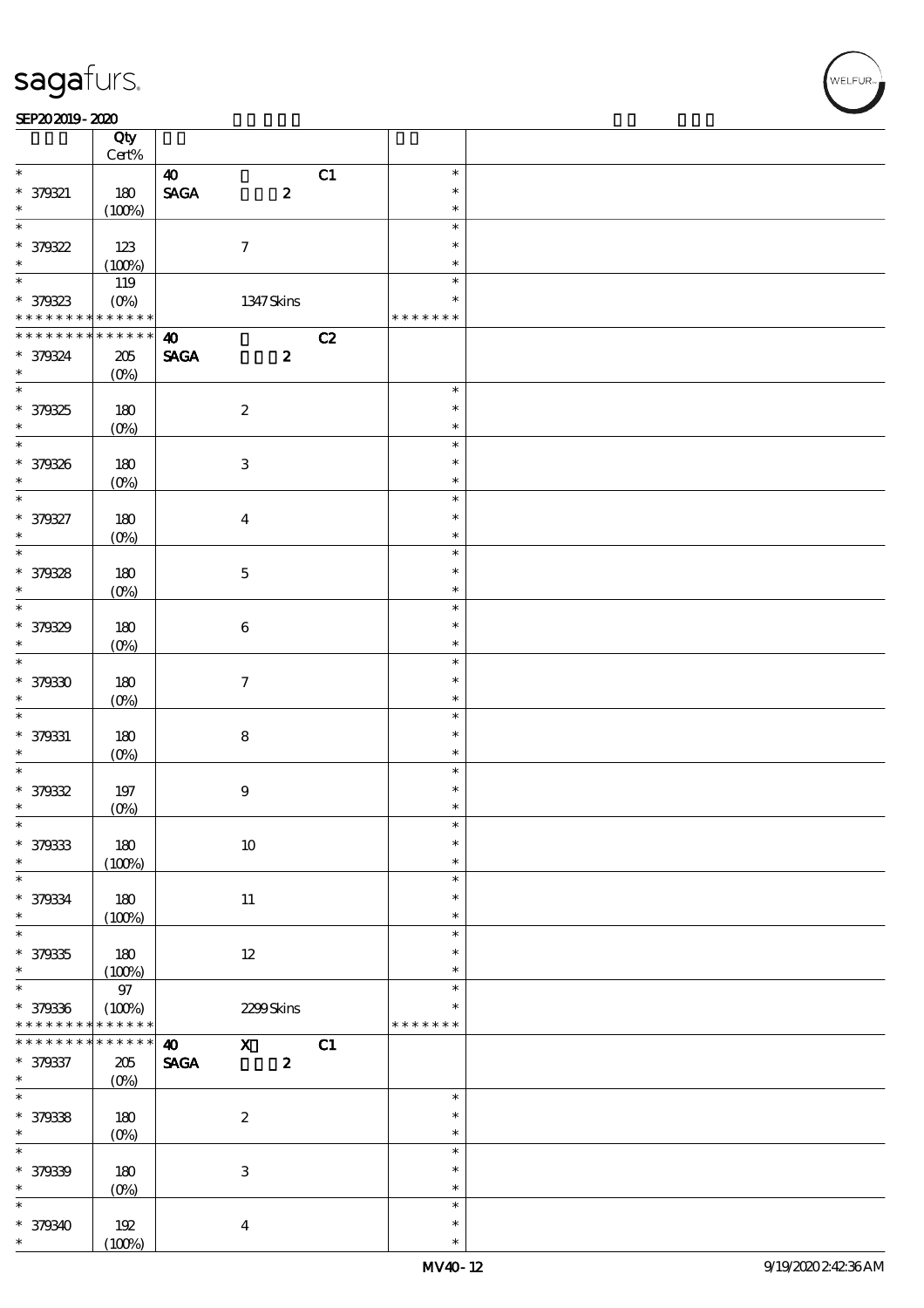$\top$ 

#### SEP202019-2020 RED 2020 RED 2020 RED 2020 RED 2020 RED 2020 RED 2020 RED 2020 RED 2020 RED 2020 RED 2020 RED 20

|                                                        | Qty                     |                              |                           |    |               |  |
|--------------------------------------------------------|-------------------------|------------------------------|---------------------------|----|---------------|--|
| $\ast$                                                 | $\mbox{Cert}\%$         |                              |                           |    | $\ast$        |  |
|                                                        |                         | $\boldsymbol{\omega}$        |                           | C1 | $\ast$        |  |
| $* 379321$<br>$\ast$                                   | 180                     | <b>SAGA</b>                  | $\pmb{2}$                 |    | $\ast$        |  |
| $\overline{\ast}$                                      | (100%)                  |                              |                           |    | $\ast$        |  |
|                                                        |                         |                              |                           |    | $\ast$        |  |
| $* 379322$<br>$\ast$                                   | 123                     |                              | $\boldsymbol{\tau}$       |    |               |  |
|                                                        | (100%)                  |                              |                           |    | $\ast$        |  |
|                                                        | 119                     |                              |                           |    | $\ast$        |  |
| * 379323<br>* * * * * * * * <mark>* * * * * * *</mark> | $(0\%)$                 |                              | 1347 Skins                |    | $\ast$        |  |
|                                                        |                         |                              |                           |    | * * * * * * * |  |
| * * * * * * * *                                        | $* * * * * * *$         | $\boldsymbol{\omega}$        |                           | C2 |               |  |
| * 379324                                               | $205\,$                 | <b>SAGA</b>                  | $\boldsymbol{z}$          |    |               |  |
| $\ast$                                                 | $(O\%)$                 |                              |                           |    |               |  |
|                                                        |                         |                              |                           |    | $\ast$        |  |
| * 379325                                               | 180                     |                              | $\boldsymbol{2}$          |    | $\ast$        |  |
| $\ast$                                                 | $(O\%)$                 |                              |                           |    | $\ast$        |  |
|                                                        |                         |                              |                           |    | $\ast$        |  |
| * 379326                                               | 180                     |                              | $\ensuremath{\mathbf{3}}$ |    | $\ast$        |  |
| $\ast$                                                 | $(O\%)$                 |                              |                           |    | $\ast$        |  |
| $*$                                                    |                         |                              |                           |    | $\ast$        |  |
| * 379327                                               | 180                     |                              | $\boldsymbol{4}$          |    | $\ast$        |  |
| $\ast$<br>$\overline{\ast}$                            | $(O\%)$                 |                              |                           |    | $\ast$        |  |
|                                                        |                         |                              |                           |    | $\ast$        |  |
| * 379328                                               | 180                     |                              | $\mathbf 5$               |    | $\ast$        |  |
| $\ast$                                                 | $(O\%)$                 |                              |                           |    | $\ast$        |  |
| $\overline{\ast}$                                      |                         |                              |                           |    | $\ast$        |  |
| * 379329                                               | 180                     |                              | $\bf 6$                   |    | $\ast$        |  |
| $\ast$                                                 | $(O\%)$                 |                              |                           |    | $\ast$        |  |
| $\overline{\ast}$                                      |                         |                              |                           |    | $\ast$        |  |
| * 379330                                               | 180                     |                              | $\mathcal I$              |    | $\ast$        |  |
| $\ast$                                                 | $(O\%)$                 |                              |                           |    | $\ast$        |  |
| $\ast$                                                 |                         |                              |                           |    | $\ast$        |  |
| * 379331                                               | 180                     |                              | $\bf8$                    |    | $\ast$        |  |
| $\ast$                                                 | $(O\%)$                 |                              |                           |    | $\ast$        |  |
| $\overline{\ast}$                                      |                         |                              |                           |    | $\ast$        |  |
| $*379332$                                              | $197$                   |                              | $\boldsymbol{9}$          |    | $\ast$        |  |
| $\ast$                                                 | $(0\%)$                 |                              |                           |    | $\ast$        |  |
| $\ast$                                                 |                         |                              |                           |    | $\ast$        |  |
| * 379333                                               | 180                     |                              | $10\,$                    |    | $\ast$        |  |
| $\ast$                                                 | (100%)                  |                              |                           |    | $\ast$        |  |
| $\ast$                                                 |                         |                              |                           |    | $\ast$        |  |
| * 379334                                               | 180                     |                              | 11                        |    | $\ast$        |  |
| $\ast$<br>$\overline{\ast}$                            | (100%)                  |                              |                           |    | $\ast$        |  |
|                                                        |                         |                              |                           |    | $\ast$        |  |
| * 379335                                               | 180                     |                              | $12\,$                    |    | ∗             |  |
| $\ast$<br>$\overline{\ast}$                            | (100%)                  |                              |                           |    | $\ast$        |  |
|                                                        | $97\,$                  |                              |                           |    | $\ast$        |  |
| * 379336                                               | (100%)                  |                              | 2299Skins                 |    | $\ast$        |  |
| * * * * * * * *<br>* * * * * * * *                     | * * * * * *<br>$******$ |                              |                           |    | * * * * * * * |  |
|                                                        |                         | $\boldsymbol{\omega}$        | $\mathbf{x}$              | C1 |               |  |
| * 379337<br>$\ast$                                     | $205\,$                 | $\ensuremath{\mathsf{SAGA}}$ | $\boldsymbol{z}$          |    |               |  |
| $\overline{\ast}$                                      | $(O\%)$                 |                              |                           |    | $\ast$        |  |
|                                                        |                         |                              |                           |    | $\ast$        |  |
| * 379338<br>$\ast$                                     | 180                     |                              | $\boldsymbol{2}$          |    | $\ast$        |  |
| $\overline{\ast}$                                      | $(O\!/\!\delta)$        |                              |                           |    | $\ast$        |  |
|                                                        |                         |                              |                           |    | $\ast$        |  |
| * 379339<br>$\ast$                                     | 180                     |                              | $\,3\,$                   |    | $\ast$        |  |
| $\ast$                                                 | $(0\%)$                 |                              |                           |    | $\ast$        |  |
|                                                        |                         |                              |                           |    |               |  |
| * 379340<br>$\ast$                                     | 192                     |                              | $\boldsymbol{4}$          |    | $\ast$        |  |
|                                                        | (100%)                  |                              |                           |    | $\ast$        |  |

 $\overline{\mathbf{r}}$ 

,<br>WELFUR: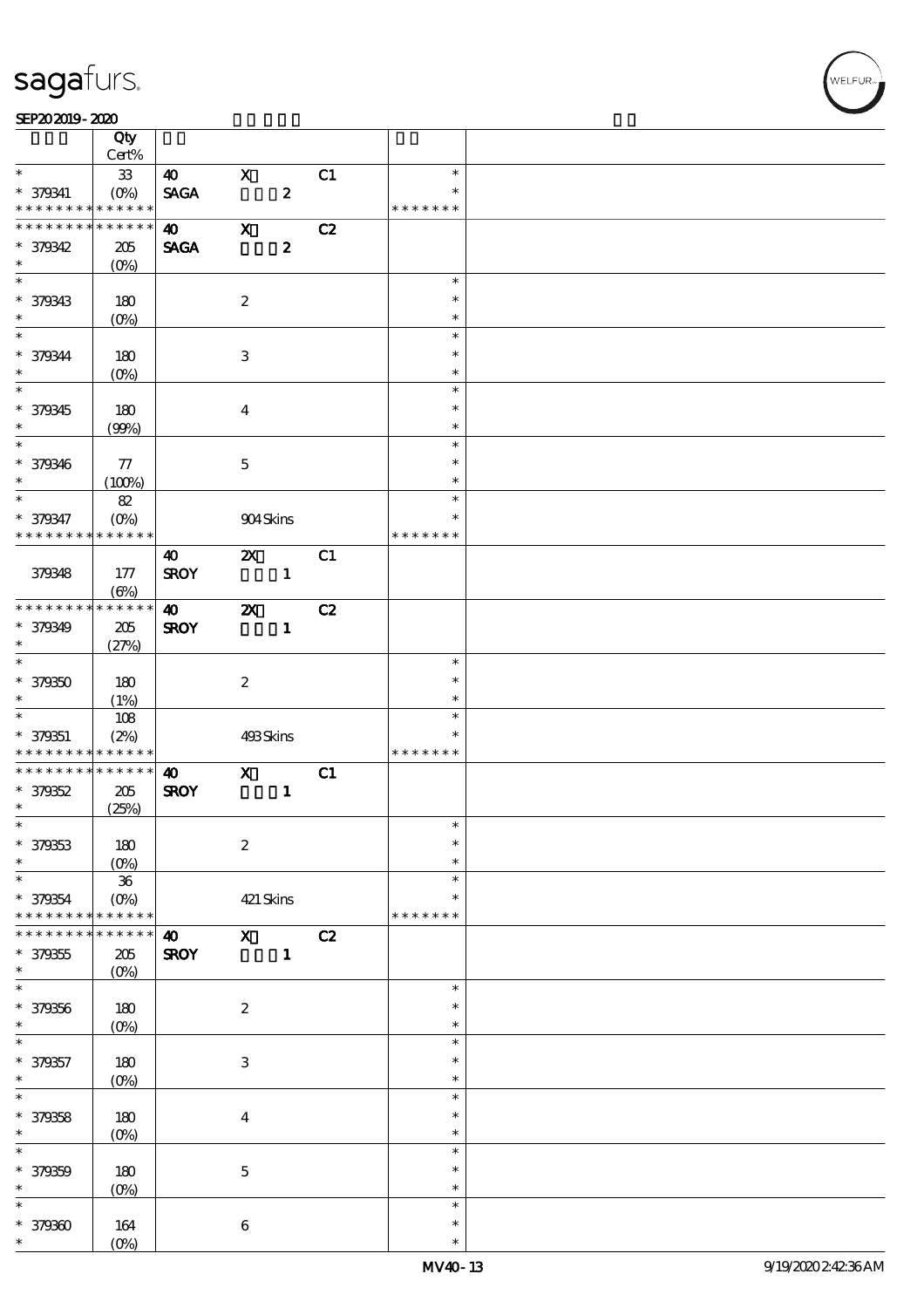#### SEP202019-2020

|                          | Qty<br>Cert%    |                       |                           |                  |    |               |  |
|--------------------------|-----------------|-----------------------|---------------------------|------------------|----|---------------|--|
| $\ast$                   | ${\bf 33}$      | $\boldsymbol{\omega}$ | $\mathbf X$               |                  | C1 | $\ast$        |  |
| $* 379341$               | $(O\%)$         | <b>SAGA</b>           |                           | $\pmb{2}$        |    | $\ast$        |  |
| * * * * * * * *          | * * * * * *     |                       |                           |                  |    | * * * * * * * |  |
| * * * * * * * *          | $* * * * * * *$ | $\boldsymbol{\omega}$ | $\mathbf x$               |                  | C2 |               |  |
| * 379342                 | 205             | <b>SAGA</b>           |                           | $\boldsymbol{z}$ |    |               |  |
| $\ast$                   |                 |                       |                           |                  |    |               |  |
|                          | $(0\%)$         |                       |                           |                  |    |               |  |
|                          |                 |                       |                           |                  |    | $\ast$        |  |
| * 379343                 | 180             |                       | $\boldsymbol{2}$          |                  |    | $\ast$        |  |
| $\ast$                   | $(O\%)$         |                       |                           |                  |    | $\ast$        |  |
|                          |                 |                       |                           |                  |    | $\ast$        |  |
| * 379344                 | 180             |                       | 3                         |                  |    | $\ast$        |  |
| $\ast$                   |                 |                       |                           |                  |    | $\ast$        |  |
|                          | $(O\%)$         |                       |                           |                  |    |               |  |
|                          |                 |                       |                           |                  |    | $\ast$        |  |
| * 379345                 | 180             |                       | $\boldsymbol{4}$          |                  |    | $\ast$        |  |
| $\ast$                   | (90%)           |                       |                           |                  |    | $\ast$        |  |
| $\overline{\phantom{0}}$ |                 |                       |                           |                  |    | $\ast$        |  |
| * 379346                 | 77              |                       | $\mathbf 5$               |                  |    | $\ast$        |  |
| $\ast$                   | (100%)          |                       |                           |                  |    | $\ast$        |  |
| $\ast$                   |                 |                       |                           |                  |    | $\ast$        |  |
|                          | $8\!2$          |                       |                           |                  |    |               |  |
| * 379347                 | $(O\%)$         |                       | 904Skins                  |                  |    | $\ast$        |  |
| * * * * * * * *          | * * * * * *     |                       |                           |                  |    | * * * * * * * |  |
|                          |                 | 40                    | $\boldsymbol{\mathsf{z}}$ |                  | C1 |               |  |
| 379348                   | 177             | <b>SROY</b>           |                           | $\mathbf{1}$     |    |               |  |
|                          | $(\Theta)$      |                       |                           |                  |    |               |  |
| * * * * * * * *          | * * * * * *     | $\boldsymbol{\omega}$ | $\boldsymbol{\mathsf{X}}$ |                  | C2 |               |  |
|                          |                 |                       |                           |                  |    |               |  |
| * 379349                 | 205             | <b>SROY</b>           |                           | $\mathbf{1}$     |    |               |  |
| $\ast$                   | (27%)           |                       |                           |                  |    |               |  |
|                          |                 |                       |                           |                  |    | $\ast$        |  |
| $* 379350$               | 180             |                       | $\boldsymbol{z}$          |                  |    | $\ast$        |  |
| $\ast$                   | (1%)            |                       |                           |                  |    | $\ast$        |  |
| $*$                      | $108$           |                       |                           |                  |    | $\ast$        |  |
|                          |                 |                       |                           |                  |    | $\ast$        |  |
| $* 379351$               | (2%)            |                       | 493Skins                  |                  |    |               |  |
| * * * * * * * *          | $* * * * * * *$ |                       |                           |                  |    | * * * * * * * |  |
| * * * * * * * *          | * * * * * *     | $\boldsymbol{\omega}$ | $\mathbf x$               |                  | C1 |               |  |
| $* 379352$               | 205             | <b>SROY</b>           |                           | $\mathbf{1}$     |    |               |  |
| $\ast$                   | (25%)           |                       |                           |                  |    |               |  |
| $*$                      |                 |                       |                           |                  |    | $\ast$        |  |
| * 379353                 | $180$           |                       | $\boldsymbol{2}$          |                  |    | $\ast$        |  |
| $\ast$                   |                 |                       |                           |                  |    | $\ast$        |  |
| $\ast$                   | $(O\%)$         |                       |                           |                  |    | $\ast$        |  |
|                          | ${\bf 36}$      |                       |                           |                  |    |               |  |
| * 379354                 | $(O\%)$         |                       | 421 Skins                 |                  |    | $\ast$        |  |
| * * * * * * * *          | * * * * * *     |                       |                           |                  |    | * * * * * * * |  |
|                          | * * * * *       | $\boldsymbol{\omega}$ | $\mathbf x$               |                  | C2 |               |  |
| $* 379355$               | $205\,$         | <b>SROY</b>           |                           | $\mathbf{1}$     |    |               |  |
| $\ast$                   | $(O\%)$         |                       |                           |                  |    |               |  |
| $\ast$                   |                 |                       |                           |                  |    | $\ast$        |  |
|                          |                 |                       |                           |                  |    | $\ast$        |  |
| * 379356                 | 180             |                       | $\boldsymbol{2}$          |                  |    |               |  |
| $\ast$                   | $(O\%)$         |                       |                           |                  |    | $\ast$        |  |
| $\ast$                   |                 |                       |                           |                  |    | $\ast$        |  |
| * 379357                 | $180\,$         |                       | $\,3$                     |                  |    | $\ast$        |  |
| $\ast$                   | $(0\%)$         |                       |                           |                  |    | $\ast$        |  |
| $\ast$                   |                 |                       |                           |                  |    | $\ast$        |  |
| * 379358                 |                 |                       |                           |                  |    | $\ast$        |  |
|                          | 180             |                       | $\boldsymbol{4}$          |                  |    |               |  |
| $\ast$                   | $(O\%)$         |                       |                           |                  |    | $\ast$        |  |
| $\ast$                   |                 |                       |                           |                  |    | $\ast$        |  |
| * 379359                 | 180             |                       | $\mathbf 5$               |                  |    | $\ast$        |  |
| $\ast$                   | $(0\%)$         |                       |                           |                  |    | $\ast$        |  |
| $\ast$                   |                 |                       |                           |                  |    | $\ast$        |  |
| $*379300$                | 164             |                       | $\bf 6$                   |                  |    | $\ast$        |  |
| $\ast$                   | $(O\%)$         |                       |                           |                  |    | $\ast$        |  |
|                          |                 |                       |                           |                  |    |               |  |

,<br>WELFUR: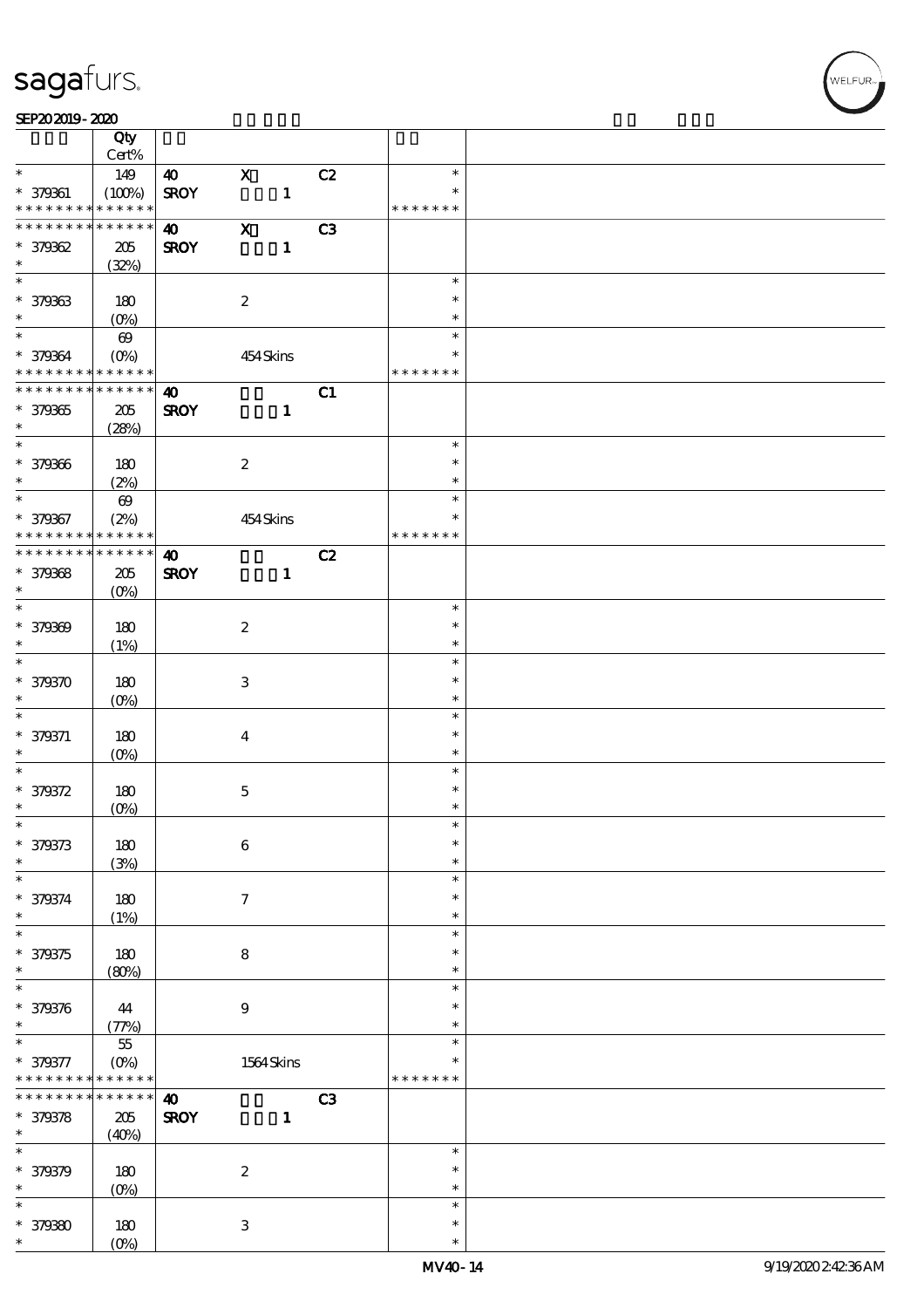#### SEP202019-2020 RED 2020 RED 2020 RED 2020 RED 2020 RED 2020 RED 2020 RED 2020 RED 2020 RED 2020 RED 2020 RED 20

|                                            | Qty<br>Cert%               |                       |                           |              |    |               |  |
|--------------------------------------------|----------------------------|-----------------------|---------------------------|--------------|----|---------------|--|
| $\ast$                                     | 149                        | $\boldsymbol{\omega}$ | $\mathbf X$               |              | C2 | $\ast$        |  |
| * 379361                                   | (100%)                     | <b>SROY</b>           |                           | $\mathbf{1}$ |    |               |  |
| * * * * * * * *                            | $\ast\ast\ast\ast\ast\ast$ |                       |                           |              |    | * * * * * * * |  |
| * * * * * * * *                            | * * * * * *                | $\boldsymbol{\omega}$ | $\mathbf X$               |              | C3 |               |  |
| $*379362$                                  | $205\,$                    | <b>SROY</b>           |                           | $\mathbf{1}$ |    |               |  |
| $\ast$                                     | (32%)                      |                       |                           |              |    |               |  |
|                                            |                            |                       |                           |              |    | $\ast$        |  |
| * 379363                                   | 180                        |                       | $\boldsymbol{2}$          |              |    | $\ast$        |  |
| $\ast$                                     | $(O_0)$                    |                       |                           |              |    | $\ast$        |  |
| $*$                                        | $\boldsymbol{\omega}$      |                       |                           |              |    | $\ast$        |  |
| * 379364                                   | $(O\!/\!o)$                |                       | 454Skins                  |              |    | $\ast$        |  |
| * * * * * * * * <mark>* * * * * * *</mark> |                            |                       |                           |              |    | * * * * * * * |  |
| * * * * * * * *                            | $* * * * * * *$            | $\boldsymbol{\Phi}$   |                           |              | C1 |               |  |
| * 379365                                   | 205                        | <b>SROY</b>           |                           | $\mathbf{1}$ |    |               |  |
| $\ast$                                     | (28%)                      |                       |                           |              |    |               |  |
| $\overline{\phantom{0}}$                   |                            |                       |                           |              |    | $\ast$        |  |
| * 379366                                   | 180                        |                       | $\boldsymbol{2}$          |              |    | $\ast$        |  |
| $\ast$                                     | (2%)                       |                       |                           |              |    | $\ast$        |  |
| $\overline{\ast}$                          | $\boldsymbol{\omega}$      |                       |                           |              |    | $\ast$        |  |
| * 379367                                   | (2%)                       |                       | 454Skins                  |              |    | $\ast$        |  |
| * * * * * * * *                            | * * * * * *                |                       |                           |              |    | * * * * * * * |  |
| * * * * * * * * <mark>* * * * * *</mark>   |                            | $\boldsymbol{\omega}$ |                           |              | C2 |               |  |
| * 379368                                   | 205                        | <b>SROY</b>           |                           | $\mathbf{1}$ |    |               |  |
| $\ast$                                     | $(O\%)$                    |                       |                           |              |    |               |  |
|                                            |                            |                       |                           |              |    | $\ast$        |  |
| * 379369                                   | 180                        |                       | $\boldsymbol{2}$          |              |    | $\ast$        |  |
| $\ast$                                     | (1%)                       |                       |                           |              |    | $\ast$        |  |
| $\overline{\ast}$                          |                            |                       |                           |              |    | $\ast$        |  |
| * 379370                                   | 180                        |                       | $\ensuremath{\mathbf{3}}$ |              |    | $\ast$        |  |
| $\ast$                                     |                            |                       |                           |              |    | $\ast$        |  |
| $\ast$                                     | $(O\%)$                    |                       |                           |              |    | $\ast$        |  |
| * 379371                                   |                            |                       |                           |              |    | $\ast$        |  |
| $\ast$                                     | 180                        |                       | $\boldsymbol{4}$          |              |    | $\ast$        |  |
| $\ast$                                     | $(O\%)$                    |                       |                           |              |    | $\ast$        |  |
| * 379372                                   | 180                        |                       | $\mathbf 5$               |              |    | $\ast$        |  |
| $\ast$                                     | $(O\!/\!\delta)$           |                       |                           |              |    | $\ast$        |  |
| $\ast$                                     |                            |                       |                           |              |    | $\ast$        |  |
| * 379373                                   | 180                        |                       | $\bf 6$                   |              |    | $\ast$        |  |
| $\ast$                                     | (3%)                       |                       |                           |              |    | $\ast$        |  |
| $\ast$                                     |                            |                       |                           |              |    | $\ast$        |  |
| * 379374                                   | 180                        |                       | $\boldsymbol{\tau}$       |              |    | $\ast$        |  |
| $\ast$                                     | (1%)                       |                       |                           |              |    | $\ast$        |  |
| $\overline{\ast}$                          |                            |                       |                           |              |    | $\ast$        |  |
| * 379375                                   | 180                        |                       | 8                         |              |    | ∗             |  |
| $\ast$                                     | (80%)                      |                       |                           |              |    | $\ast$        |  |
| $\ast$                                     |                            |                       |                           |              |    | $\ast$        |  |
| * 379376                                   | 44                         |                       | $\boldsymbol{9}$          |              |    | $\ast$        |  |
| $\ast$                                     | (77%)                      |                       |                           |              |    | $\ast$        |  |
| $\ast$                                     | $5\!5$                     |                       |                           |              |    | $\ast$        |  |
| * 379377                                   | $(0\%)$                    |                       | $1564\,$ Skins            |              |    | $\ast$        |  |
| * * * * * * * *                            | * * * * * *                |                       |                           |              |    | * * * * * * * |  |
| * * * * * * *                              | $******$                   | $\boldsymbol{\omega}$ |                           |              | C3 |               |  |
| * 379378                                   | 205                        | <b>SROY</b>           |                           | $\mathbf{1}$ |    |               |  |
| $\ast$                                     | (40%)                      |                       |                           |              |    |               |  |
| $\ast$                                     |                            |                       |                           |              |    | $\ast$        |  |
| * 379379                                   | 180                        |                       | $\boldsymbol{2}$          |              |    | $\ast$        |  |
| $\ast$                                     | $(0\%)$                    |                       |                           |              |    | $\ast$        |  |
| $\ast$                                     |                            |                       |                           |              |    | $\ast$        |  |
| $* 379380$                                 | 180                        |                       | $\ensuremath{\mathbf{3}}$ |              |    | $\ast$        |  |
| $\ast$                                     | (O <sub>0</sub> )          |                       |                           |              |    | $\ast$        |  |
|                                            |                            |                       |                           |              |    |               |  |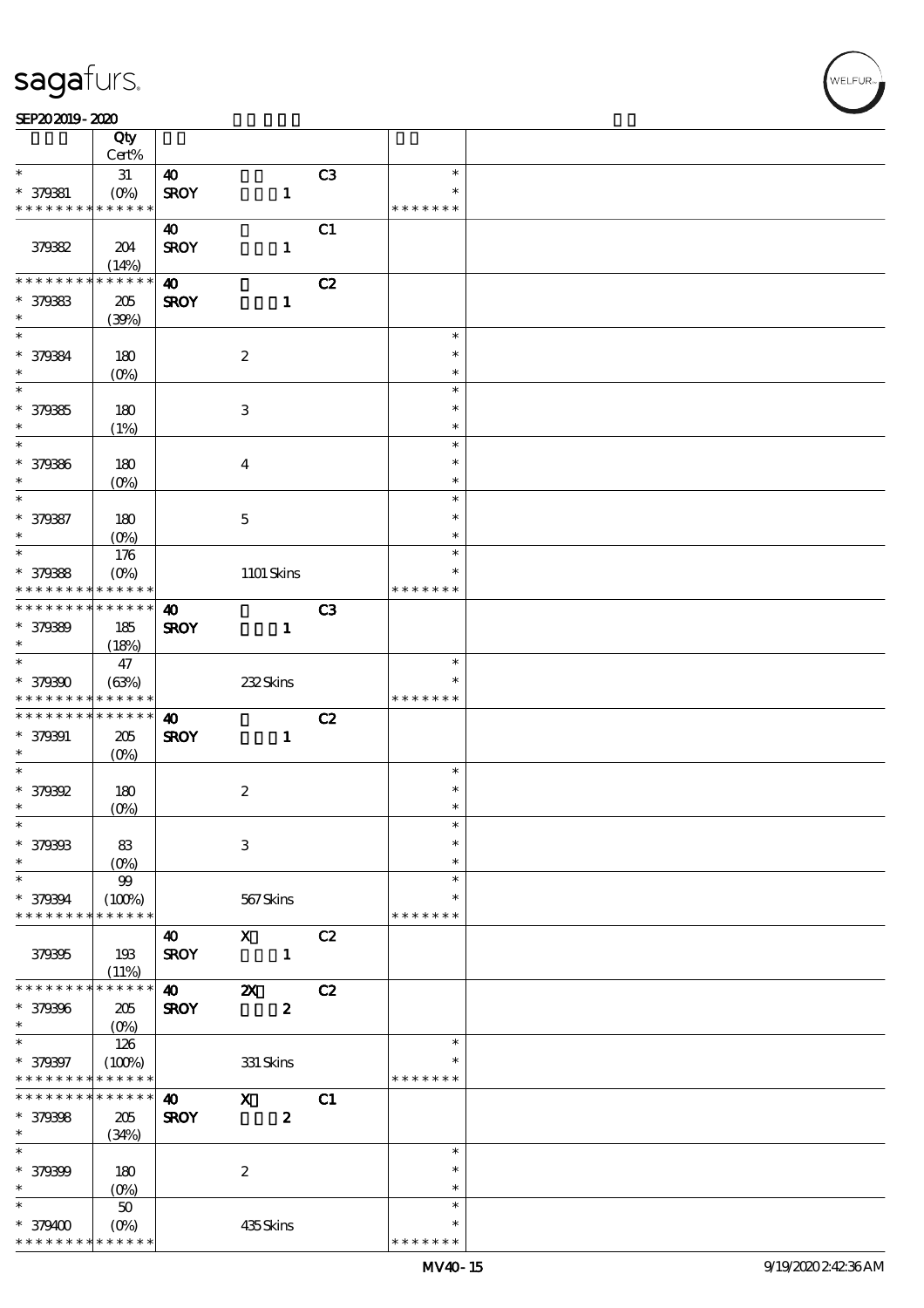#### SEP202019-2020

|                              | Qty<br>Cert%                             |                       |                           |    |                  |  |
|------------------------------|------------------------------------------|-----------------------|---------------------------|----|------------------|--|
| $\ast$                       | 31                                       | $\boldsymbol{\omega}$ |                           | C3 | $\ast$           |  |
|                              |                                          |                       |                           |    | $\ast$           |  |
| * 379381<br>* * * * * * * *  | $(O\!\!\!\!\!\!\!/\,\!o)$<br>* * * * * * | <b>SROY</b>           | $\mathbf{1}$              |    | * * * * * * *    |  |
|                              |                                          |                       |                           |    |                  |  |
|                              |                                          | $\boldsymbol{\omega}$ |                           | C1 |                  |  |
| 379382                       | 204                                      | <b>SROY</b>           | $\mathbf{1}$              |    |                  |  |
|                              | (14%)                                    |                       |                           |    |                  |  |
| * * * * * * * *              | * * * * * *                              | $\boldsymbol{\omega}$ |                           | C2 |                  |  |
| * 379383                     | 205                                      | <b>SROY</b>           | $\mathbf{1}$              |    |                  |  |
| $\ast$                       | (30%)                                    |                       |                           |    |                  |  |
| $\ast$                       |                                          |                       |                           |    | $\ast$           |  |
| * 379384                     | 180                                      |                       | $\boldsymbol{2}$          |    | $\ast$           |  |
| $\ast$                       | $(O\!/\!\!\delta)$                       |                       |                           |    | $\ast$           |  |
| $\overline{\ast}$            |                                          |                       |                           |    | $\ast$           |  |
| * 379385                     | 180                                      |                       | $\ensuremath{\mathbf{3}}$ |    | $\ast$           |  |
| $\ast$                       | (1%)                                     |                       |                           |    | $\ast$           |  |
| $\ast$                       |                                          |                       |                           |    | $\ast$           |  |
| * 379386                     | 180                                      |                       | $\boldsymbol{4}$          |    | $\ast$           |  |
| $\ast$                       | $(O\%)$                                  |                       |                           |    | $\ast$           |  |
| $\ast$                       |                                          |                       |                           |    | $\ast$           |  |
|                              |                                          |                       |                           |    | $\ast$           |  |
| * 379387                     | 180                                      |                       | $\mathbf 5$               |    |                  |  |
| $\ast$<br>$\ast$             | $(O\%)$                                  |                       |                           |    | $\ast$<br>$\ast$ |  |
|                              | 176                                      |                       |                           |    |                  |  |
| * 379388                     | $(O\%)$                                  |                       | 1101 Skins                |    | $\ast$           |  |
| * * * * * * * *              | * * * * * *                              |                       |                           |    | * * * * * * *    |  |
| * * * * * * * *              | $* * * * * * *$                          | $\boldsymbol{\omega}$ |                           | C3 |                  |  |
| * 379389                     | 185                                      | <b>SROY</b>           | $\mathbf{1}$              |    |                  |  |
| $\ast$                       | (18%)                                    |                       |                           |    |                  |  |
| $\overline{\ast}$            | $47\,$                                   |                       |                           |    | $\ast$           |  |
| * 379390                     | (63%)                                    |                       | 232Skins                  |    | $\ast$           |  |
|                              |                                          |                       |                           |    |                  |  |
| * * * * * * * *              | * * * * * *                              |                       |                           |    | * * * * * * *    |  |
| * * * * * * * *              | $* * * * * * *$                          | $\boldsymbol{\omega}$ |                           |    |                  |  |
|                              |                                          |                       |                           | C2 |                  |  |
| * 379391<br>$\ast$           | 205                                      | <b>SROY</b>           | $\mathbf{1}$              |    |                  |  |
| $\ast$                       | $(O\%)$                                  |                       |                           |    | $\ast$           |  |
|                              |                                          |                       |                           |    | $\ast$           |  |
| * 379392<br>$\ast$           | 180                                      |                       | $\boldsymbol{2}$          |    | $\ast$           |  |
| $\ast$                       | $(O\%)$                                  |                       |                           |    | $\ast$           |  |
|                              |                                          |                       |                           |    | $\ast$           |  |
| * 379393                     | 83                                       |                       | 3                         |    | $\ast$           |  |
| $\ast$                       | $(0\%)$                                  |                       |                           |    | $\ast$           |  |
| $\ast$                       | 99                                       |                       |                           |    | $\ast$           |  |
| * 379394                     | (100%)                                   |                       | 567Skins                  |    |                  |  |
| * * * * * * * *              | * * * * * *                              |                       |                           |    | * * * * * * *    |  |
|                              |                                          | $\boldsymbol{\omega}$ | $\mathbf{x}$              | C2 |                  |  |
| 379395                       | 193                                      | <b>SROY</b>           | $\mathbf{1}$              |    |                  |  |
|                              | (11%)                                    |                       |                           |    |                  |  |
| * * * * * * * *              | * * * * * *                              | $\boldsymbol{\omega}$ | $\boldsymbol{\mathsf{X}}$ | C2 |                  |  |
| * 379396                     | $205\,$                                  | <b>SROY</b>           | $\boldsymbol{2}$          |    |                  |  |
| $\ast$                       | $(0\%)$                                  |                       |                           |    |                  |  |
| $\ast$                       | 126                                      |                       |                           |    | $\ast$           |  |
| * 379397                     | (100%)                                   |                       | $331$ Skins               |    | ∗                |  |
| * * * * * * * *              | * * * * * *                              |                       |                           |    | * * * * * * *    |  |
| * * * * * * * *              | * * * * * *                              | $\boldsymbol{\omega}$ | $\mathbf{x}$              | C1 |                  |  |
|                              | 205                                      | <b>SROY</b>           | $\boldsymbol{z}$          |    |                  |  |
|                              | (34%)                                    |                       |                           |    |                  |  |
| * 379398<br>$\ast$<br>$\ast$ |                                          |                       |                           |    | $\ast$           |  |
| * 379399                     | 180                                      |                       | $\boldsymbol{2}$          |    | $\ast$           |  |
| $\ast$                       | $(0\%)$                                  |                       |                           |    | $\ast$           |  |
| $\ast$                       | $50\,$                                   |                       |                           |    | $\ast$           |  |
| $*379400$                    | $(O\%)$                                  |                       | 435Skins                  |    | $\ast$           |  |

**VELFUR**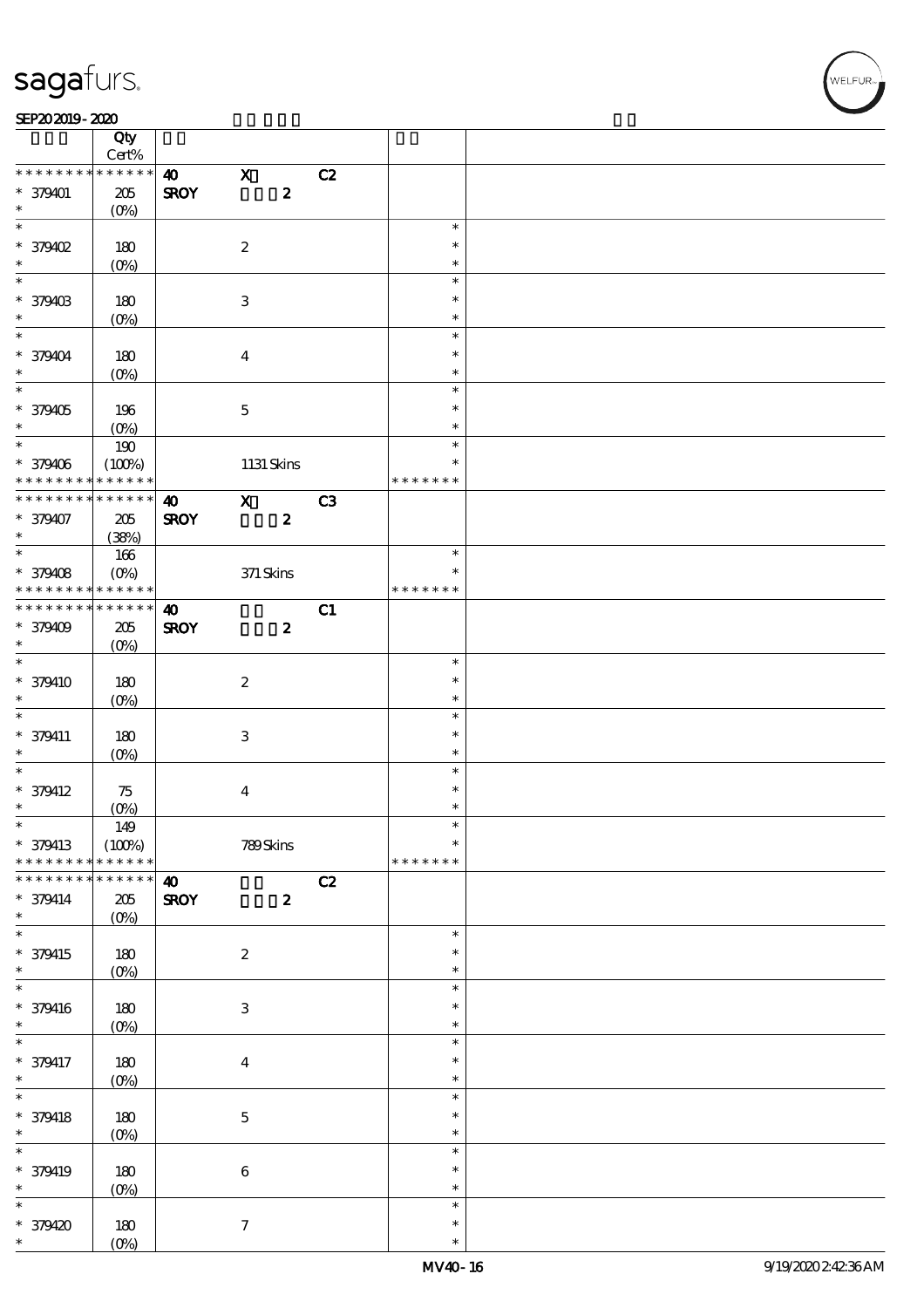⊤

### SEP202019-2020

|                             | Qty<br>Cert%              |                       |                           |                  |    |                         |  |
|-----------------------------|---------------------------|-----------------------|---------------------------|------------------|----|-------------------------|--|
| * * * * * * * *             | * * * * * *               | $\boldsymbol{\omega}$ | $\mathbf x$               |                  | C2 |                         |  |
| $* 379401$<br>$\ast$        | $205\,$<br>$(O\%)$        | <b>SROY</b>           |                           | $\boldsymbol{2}$ |    |                         |  |
| $\overline{\ast}$           |                           |                       |                           |                  |    | $\ast$                  |  |
| * 379402<br>$\ast$          | 180<br>$(0\%)$            |                       | $\boldsymbol{2}$          |                  |    | $\ast$<br>$\ast$        |  |
|                             |                           |                       |                           |                  |    | $\ast$                  |  |
|                             |                           |                       |                           |                  |    |                         |  |
| * 379403<br>$\ast$          | 180<br>(O <sub>0</sub> )  |                       | $\ensuremath{\mathbf{3}}$ |                  |    | $\ast$<br>$\ast$        |  |
| $\overline{\ast}$           |                           |                       |                           |                  |    | $\ast$                  |  |
| * 379404<br>$\ast$          | 180<br>$(O\!/\!\!\delta)$ |                       | $\overline{\mathbf{4}}$   |                  |    | $\ast$<br>$\ast$        |  |
|                             |                           |                       |                           |                  |    | $\ast$                  |  |
| * 379405                    | 196                       |                       | $\mathbf 5$               |                  |    | $\ast$                  |  |
| $\ast$                      | $(O\%)$                   |                       |                           |                  |    | $\ast$                  |  |
| $\overline{\phantom{0}}$    | $190\,$                   |                       |                           |                  |    | $\ast$                  |  |
| * 379406<br>* * * * * * * * | (100%)<br>* * * * * *     |                       |                           | 1131 Skins       |    | $\ast$<br>* * * * * * * |  |
| * * * * * * * *             | * * * * * *               | $\boldsymbol{\omega}$ | $\mathbf{x}$              |                  | C3 |                         |  |
| * 379407<br>$\ast$          | $205\,$                   | <b>SROY</b>           |                           | $\boldsymbol{z}$ |    |                         |  |
|                             | (38%)                     |                       |                           |                  |    |                         |  |
|                             | 166                       |                       |                           |                  |    | $\ast$                  |  |
| * 379408                    | $(O\%)$                   |                       | $371$ Skins               |                  |    | $\ast$                  |  |
| * * * * * * * *             | * * * * * *               |                       |                           |                  |    | * * * * * * *           |  |
| * * * * * * * *             | * * * * * *               | $\boldsymbol{\omega}$ |                           |                  | C1 |                         |  |
| * 379409                    | 205                       | <b>SROY</b>           |                           | $\boldsymbol{z}$ |    |                         |  |
| $\ast$                      | $(O\%)$                   |                       |                           |                  |    |                         |  |
| $\overline{\ast}$           |                           |                       |                           |                  |    | $\ast$                  |  |
| * 379410                    | 180                       |                       | $\boldsymbol{2}$          |                  |    | $\ast$                  |  |
| $\ast$                      |                           |                       |                           |                  |    | $\ast$                  |  |
| $\ast$                      | $(O\%)$                   |                       |                           |                  |    | $\ast$                  |  |
|                             |                           |                       |                           |                  |    |                         |  |
| * 379411                    | 180                       |                       | $\ensuremath{\mathbf{3}}$ |                  |    | $\ast$                  |  |
| $\ast$<br>$\ast$            | $(O\%)$                   |                       |                           |                  |    | $\ast$                  |  |
|                             |                           |                       |                           |                  |    | $\ast$                  |  |
| $* 379412$                  | $75\,$                    |                       | $\bf{4}$                  |                  |    | $\ast$                  |  |
| $\ast$                      | $(O\%)$                   |                       |                           |                  |    | $\ast$                  |  |
| $\ast$                      | 149                       |                       |                           |                  |    | $\ast$                  |  |
| * 379413                    | (100%)                    |                       | 789Skins                  |                  |    | $\ast$                  |  |
| * * * * * * * *             | * * * * * *               |                       |                           |                  |    | * * * * * * *           |  |
| * * * * * * *               | * * * * * *               | $\boldsymbol{\omega}$ |                           |                  | C2 |                         |  |
| $* 379414$                  | 205                       | <b>SROY</b>           |                           | $\boldsymbol{z}$ |    |                         |  |
| $\ast$                      | $(O\%)$                   |                       |                           |                  |    |                         |  |
| $\overline{\ast}$           |                           |                       |                           |                  |    | $\ast$                  |  |
| * 379415                    | 180                       |                       | $\boldsymbol{2}$          |                  |    | $\ast$                  |  |
| $\ast$                      | $(O\!/\!\!\delta)$        |                       |                           |                  |    | $\ast$                  |  |
| $\ast$                      |                           |                       |                           |                  |    | $\ast$                  |  |
| * 379416                    | 180                       |                       | $\,3$                     |                  |    | $\ast$                  |  |
| $\ast$                      | $(0\%)$                   |                       |                           |                  |    | $\ast$                  |  |
| $\ast$                      |                           |                       |                           |                  |    | $\ast$                  |  |
|                             |                           |                       |                           |                  |    | $\ast$                  |  |
| * 379417<br>$\ast$          | 180                       |                       | $\boldsymbol{4}$          |                  |    | $\ast$                  |  |
| $\overline{\ast}$           | $(0\%)$                   |                       |                           |                  |    | $\ast$                  |  |
|                             |                           |                       |                           |                  |    |                         |  |
| * 379418                    | 180                       |                       | $\bf 5$                   |                  |    | $\ast$                  |  |
| $\ast$                      | $(0\%)$                   |                       |                           |                  |    | $\ast$                  |  |
| $\ast$                      |                           |                       |                           |                  |    | $\ast$                  |  |
| * 379419                    | 180                       |                       | $\bf 6$                   |                  |    | $\ast$                  |  |
| $\ast$                      | $(0\%)$                   |                       |                           |                  |    | $\ast$                  |  |
| $\ast$                      |                           |                       |                           |                  |    | $\ast$                  |  |
| * 379420                    | 180                       |                       | $\tau$                    |                  |    | $\ast$                  |  |
| $\ast$                      | $(O\%)$                   |                       |                           |                  |    | $\ast$                  |  |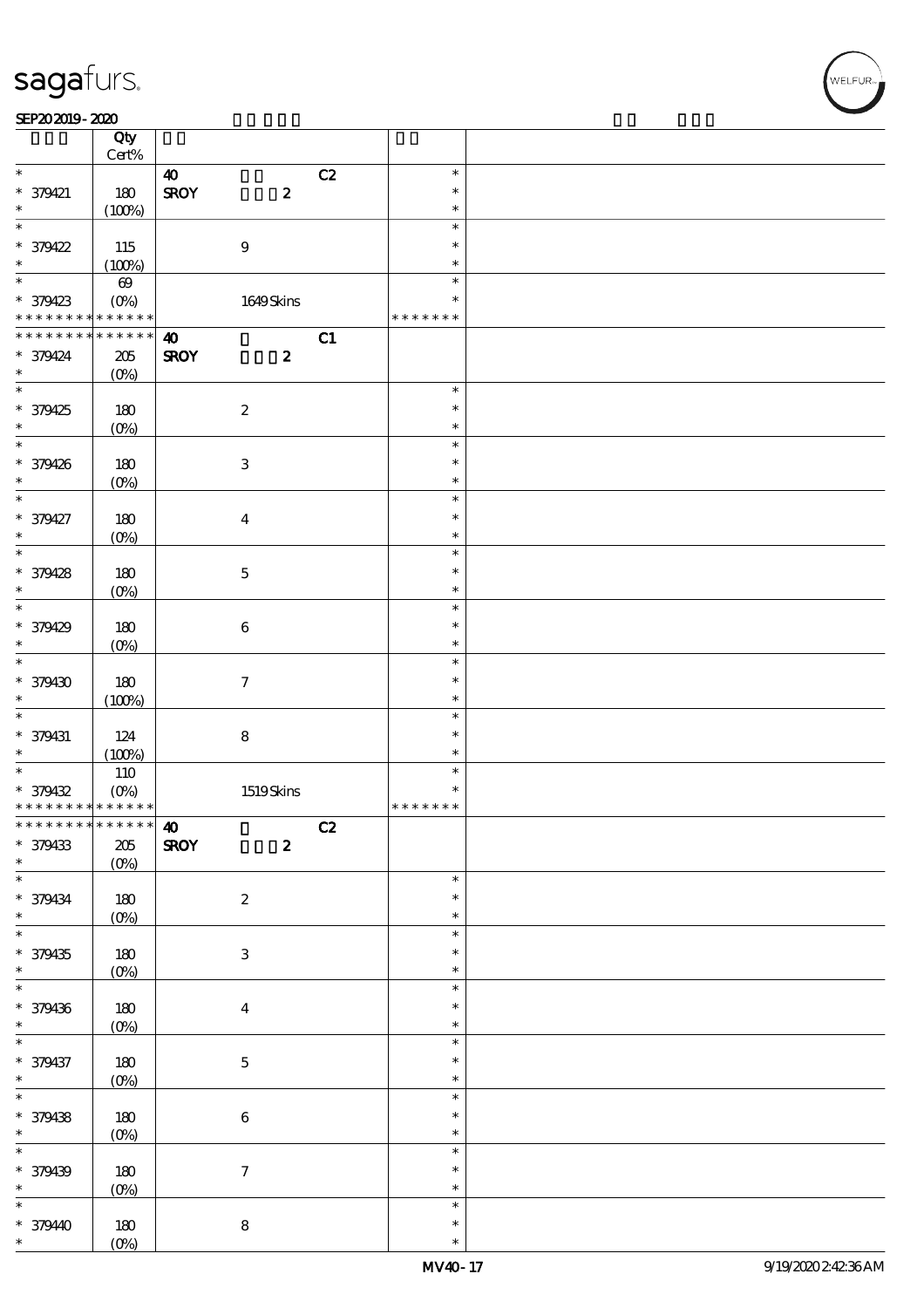$\top$ 

#### SEP202019-2020 RED 2020 RED 2020 RED 2020 RED 2020 RED 2020 RED 2020 RED 2020 RED 2020 RED 2020 RED 2020 RED 20

|                                                        | Qty                |                       |                           |    |                  |  |
|--------------------------------------------------------|--------------------|-----------------------|---------------------------|----|------------------|--|
|                                                        | $\mbox{Cert}\%$    |                       |                           |    |                  |  |
| $\ast$                                                 |                    | $\boldsymbol{\omega}$ |                           | C2 | $\ast$           |  |
| $* 379421$                                             | 180                | <b>SROY</b>           | $\boldsymbol{z}$          |    | $\ast$           |  |
| $\ast$<br>$\overline{\ast}$                            | (100%)             |                       |                           |    | $\ast$           |  |
|                                                        |                    |                       |                           |    | $\ast$           |  |
| * 379422                                               | 115                |                       | $\boldsymbol{9}$          |    | $\ast$           |  |
| $\ast$<br>$\overline{\ast}$                            | (100%)             |                       |                           |    | $\ast$           |  |
|                                                        | $\pmb{\infty}$     |                       |                           |    | $\ast$           |  |
| * 379423                                               | $(O\%)$            |                       | 1649Skins                 |    | $\ast$           |  |
| * * * * * * * *                                        | * * * * * *        |                       |                           |    | * * * * * * *    |  |
| * * * * * * * *                                        | * * * * * *        | $\boldsymbol{\omega}$ |                           | C1 |                  |  |
| * 379424                                               | $205\,$            | <b>SROY</b>           | $\boldsymbol{z}$          |    |                  |  |
| $\ast$<br>$\overline{\phantom{0}}$                     | $(O\%)$            |                       |                           |    |                  |  |
|                                                        |                    |                       |                           |    | $\ast$           |  |
| * 379425                                               | 180                |                       | $\boldsymbol{2}$          |    | $\ast$           |  |
| $\ast$                                                 | $(O\%)$            |                       |                           |    | $\ast$           |  |
| $\overline{\ast}$                                      |                    |                       |                           |    | $\ast$           |  |
| * 379426                                               | 180                |                       | $\,3$                     |    | $\ast$           |  |
| $\ast$                                                 | $(O\%)$            |                       |                           |    | $\ast$           |  |
| $\ast$                                                 |                    |                       |                           |    | $\ast$           |  |
| * 379427                                               | 180                |                       | $\boldsymbol{4}$          |    | $\ast$           |  |
| $\ast$                                                 | $(O\%)$            |                       |                           |    | $\ast$           |  |
| $\overline{\ast}$                                      |                    |                       |                           |    | $\ast$           |  |
| * 379428                                               | 180                |                       | $\mathbf 5$               |    | $\ast$           |  |
| $\ast$<br>$\overline{\ast}$                            | $(O\%)$            |                       |                           |    | $\ast$           |  |
|                                                        |                    |                       |                           |    | $\ast$           |  |
| * 379429                                               | 180                |                       | $\bf 6$                   |    | $\ast$           |  |
| $\ast$                                                 | $(O\!/\!\!\delta)$ |                       |                           |    | $\ast$           |  |
| $\overline{\ast}$                                      |                    |                       |                           |    | $\ast$           |  |
| * 379430                                               | 180                |                       | $\boldsymbol{\tau}$       |    | $\ast$           |  |
| $\ast$<br>$\ast$                                       | (100%)             |                       |                           |    | $\ast$           |  |
|                                                        |                    |                       |                           |    | $\ast$           |  |
| * 379431                                               | 124                |                       | ${\bf 8}$                 |    | $\ast$           |  |
| $\ast$<br>$\overline{\ast}$                            | (100%)             |                       |                           |    | $\ast$           |  |
|                                                        | 110                |                       |                           |    | $\ast$<br>$\ast$ |  |
| * 379432<br>* * * * * * * * <mark>* * * * * * *</mark> | $(O\%)$            |                       | 1519Skins                 |    | * * * * * * *    |  |
| ************** 10                                      |                    |                       |                           |    |                  |  |
|                                                        |                    |                       |                           | C2 |                  |  |
| * 379433<br>$\ast$                                     | $205\,$            | <b>SROY</b>           | $\boldsymbol{z}$          |    |                  |  |
| $\ast$                                                 | $(0\%)$            |                       |                           |    | $\ast$           |  |
|                                                        |                    |                       |                           |    | $\ast$           |  |
| * 379434<br>$\ast$                                     | $180$              |                       | $\boldsymbol{2}$          |    | $\ast$           |  |
| $\overline{\ast}$                                      | $(0\%)$            |                       |                           |    | $\ast$           |  |
| * 379435                                               | $180$              |                       | $\ensuremath{\mathbf{3}}$ |    | $\ast$           |  |
| $\ast$                                                 | $(0\%)$            |                       |                           |    | $\ast$           |  |
| $\ast$                                                 |                    |                       |                           |    | $\ast$           |  |
| * 379436                                               | $180$              |                       | $\boldsymbol{4}$          |    | $\ast$           |  |
| $\ast$                                                 | $(0\%)$            |                       |                           |    | $\ast$           |  |
| $\overline{\ast}$                                      |                    |                       |                           |    | $\ast$           |  |
| * 379437                                               | $180$              |                       | $\bf 5$                   |    | $\ast$           |  |
| $\ast$                                                 | $(0\%)$            |                       |                           |    | $\ast$           |  |
| $\overline{\ast}$                                      |                    |                       |                           |    | $\ast$           |  |
| * 379438                                               | 180                |                       | $\bf 6$                   |    | $\ast$           |  |
| $\ast$                                                 | $(0\%)$            |                       |                           |    | $\ast$           |  |
| $\overline{\ast}$                                      |                    |                       |                           |    | $\ast$           |  |
| * 379439                                               |                    |                       |                           |    | $\ast$           |  |
|                                                        |                    |                       |                           |    |                  |  |
|                                                        | 180                |                       | $\boldsymbol{\tau}$       |    | $\ast$           |  |
| $\ast$<br>$\ast$                                       | $(0\%)$            |                       |                           |    | $\ast$           |  |
|                                                        |                    |                       |                           |    | $\ast$           |  |
| * 379440<br>$\ast$                                     | 180<br>$(O\%)$     |                       | ${\bf 8}$                 |    | $\ast$           |  |

 $\overline{\mathbf{r}}$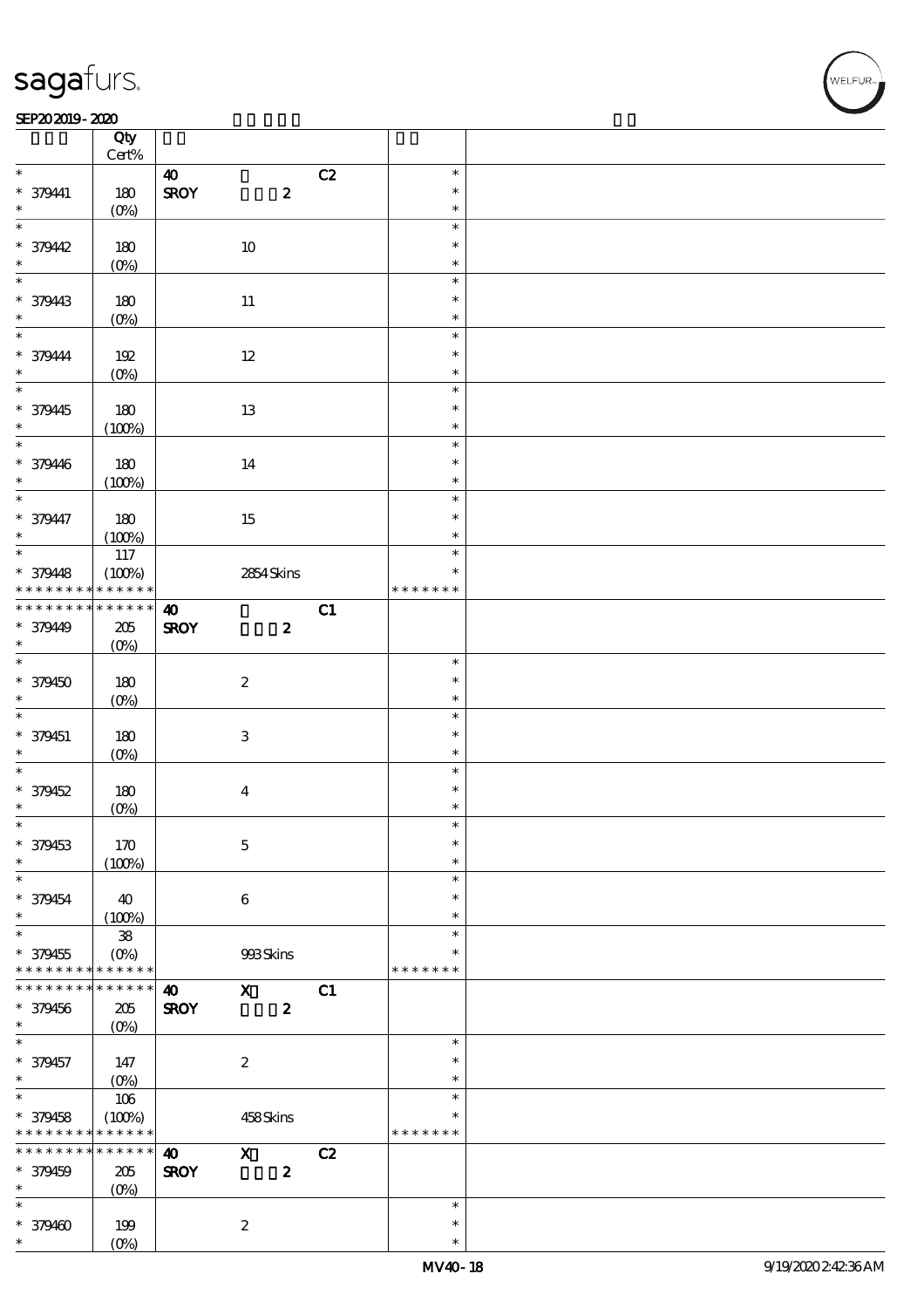### SEP202019-2020

|                          | Qty<br>$\mbox{Cert}\%$ |                                      |                           |    |                  |  |
|--------------------------|------------------------|--------------------------------------|---------------------------|----|------------------|--|
|                          |                        |                                      |                           |    |                  |  |
| $\ast$<br>$* 379441$     | 180                    | $\boldsymbol{\omega}$<br><b>SROY</b> | $\pmb{2}$                 | C2 | $\ast$<br>$\ast$ |  |
| $\ast$                   | $(O\%)$                |                                      |                           |    | $\ast$           |  |
| $\ast$<br>* 379442       | 180                    |                                      | $10\,$                    |    | $\ast$<br>$\ast$ |  |
| $\ast$                   |                        |                                      |                           |    | $\ast$           |  |
|                          | $(0\%)$                |                                      |                           |    |                  |  |
| $\ast$                   |                        |                                      |                           |    | $\ast$           |  |
| * 379443                 | 180                    |                                      | $11\,$                    |    | $\ast$           |  |
| $\ast$                   | $(O\%)$                |                                      |                           |    | $\ast$           |  |
| $\ast$                   |                        |                                      |                           |    |                  |  |
|                          |                        |                                      |                           |    | $\ast$           |  |
| * 379444                 | 192                    |                                      | $12\,$                    |    | $\ast$           |  |
| $\ast$                   | $(O\%)$                |                                      |                           |    | $\ast$           |  |
| $\overline{\ast}$        |                        |                                      |                           |    | $\ast$           |  |
|                          |                        |                                      |                           |    |                  |  |
| * 379445                 | 180                    |                                      | $13\,$                    |    | $\ast$           |  |
| $\ast$                   | (100%)                 |                                      |                           |    | $\ast$           |  |
| $\overline{\phantom{0}}$ |                        |                                      |                           |    | $\ast$           |  |
|                          |                        |                                      |                           |    | $\ast$           |  |
| * 379446                 | 180                    |                                      | 14                        |    |                  |  |
| $\ast$                   | (100%)                 |                                      |                           |    | $\ast$           |  |
| $\overline{\phantom{0}}$ |                        |                                      |                           |    | $\ast$           |  |
| * 379447                 | 180                    |                                      | 15                        |    | $\ast$           |  |
| $\ast$                   |                        |                                      |                           |    | $\ast$           |  |
|                          | (100%)                 |                                      |                           |    |                  |  |
|                          | 117                    |                                      |                           |    | $\ast$           |  |
| * 379448                 | (100%)                 |                                      | 2854Skins                 |    | $\ast$           |  |
| * * * * * * * *          | * * * * * *            |                                      |                           |    | * * * * * * *    |  |
| * * * * * * * *          | $******$               | $\boldsymbol{\omega}$                |                           | C1 |                  |  |
|                          |                        |                                      |                           |    |                  |  |
| * 379449                 | $205\,$                | <b>SROY</b>                          | $\boldsymbol{z}$          |    |                  |  |
| $\ast$                   | $(O\%)$                |                                      |                           |    |                  |  |
| $\ast$                   |                        |                                      |                           |    | $\ast$           |  |
| $* 379450$               | 180                    |                                      | $\boldsymbol{2}$          |    | $\ast$           |  |
|                          |                        |                                      |                           |    |                  |  |
| $\ast$                   | $(O\%)$                |                                      |                           |    | $\ast$           |  |
|                          |                        |                                      |                           |    |                  |  |
| $\overline{\ast}$        |                        |                                      |                           |    | $\ast$           |  |
|                          |                        |                                      |                           |    | $\ast$           |  |
| * 379451<br>$\ast$       | 180                    |                                      | $\ensuremath{\mathbf{3}}$ |    | $\ast$           |  |
|                          | $(0\%)$                |                                      |                           |    |                  |  |
| $\ast$                   |                        |                                      |                           |    | $\ast$           |  |
| * 379452                 | 180                    |                                      | $\boldsymbol{4}$          |    | $\ast$           |  |
| $\ast$                   | $(0\%)$                |                                      |                           |    | $\ast$           |  |
| $\ast$                   |                        |                                      |                           |    | ∗                |  |
|                          |                        |                                      |                           |    | $\ast$           |  |
| * 379453                 | 170                    |                                      | $\mathbf{5}$              |    |                  |  |
| $\ast$                   | (100%)                 |                                      |                           |    | $\ast$           |  |
| $\ast$                   |                        |                                      |                           |    | $\ast$           |  |
| * 379454                 | 40                     |                                      | $\bf 6$                   |    | $\ast$           |  |
| $\ast$                   |                        |                                      |                           |    | $\ast$           |  |
| $\ast$                   | (100%)                 |                                      |                           |    | $\ast$           |  |
|                          | ${\bf 38}$             |                                      |                           |    | $\ast$           |  |
| $* 379455$               | $(O\%)$                |                                      | 993Skins                  |    |                  |  |
| * * * * * * * *          | $* * * * * * *$        |                                      |                           |    | * * * * * * *    |  |
| * * * * * * *            | * * * * * *            | $\boldsymbol{\omega}$                | $\mathbf{x}$              | C1 |                  |  |
|                          |                        |                                      |                           |    |                  |  |
| * 379456<br>$\ast$       | 205                    | <b>SROY</b>                          | $\boldsymbol{z}$          |    |                  |  |
|                          | $(O\%)$                |                                      |                           |    |                  |  |
| $\ast$                   |                        |                                      |                           |    | $\ast$           |  |
| * 379457                 | 147                    |                                      | $\boldsymbol{2}$          |    | $\ast$           |  |
| $\ast$                   | $(0\%)$                |                                      |                           |    | $\ast$           |  |
| $\ast$                   |                        |                                      |                           |    | $\ast$           |  |
|                          | 106                    |                                      |                           |    | $\ast$           |  |
| * 379458                 | (100%)                 |                                      | 458Skins                  |    |                  |  |
| * * * * * * * *          | * * * * * *            |                                      |                           |    | * * * * * * *    |  |
| * * * * * * * *          | * * * * * *            | $\boldsymbol{\omega}$                | $\mathbf{x}$              | C2 |                  |  |
| * 379459                 | $205\,$                | <b>SROY</b>                          | $\boldsymbol{z}$          |    |                  |  |
| $\ast$                   |                        |                                      |                           |    |                  |  |
| $\ast$                   | (O <sub>0</sub> )      |                                      |                           |    | $\ast$           |  |
|                          |                        |                                      |                           |    |                  |  |
| $* 379400$<br>$\ast$     | 199<br>$(O\%)$         |                                      | $\boldsymbol{2}$          |    | $\ast$<br>$\ast$ |  |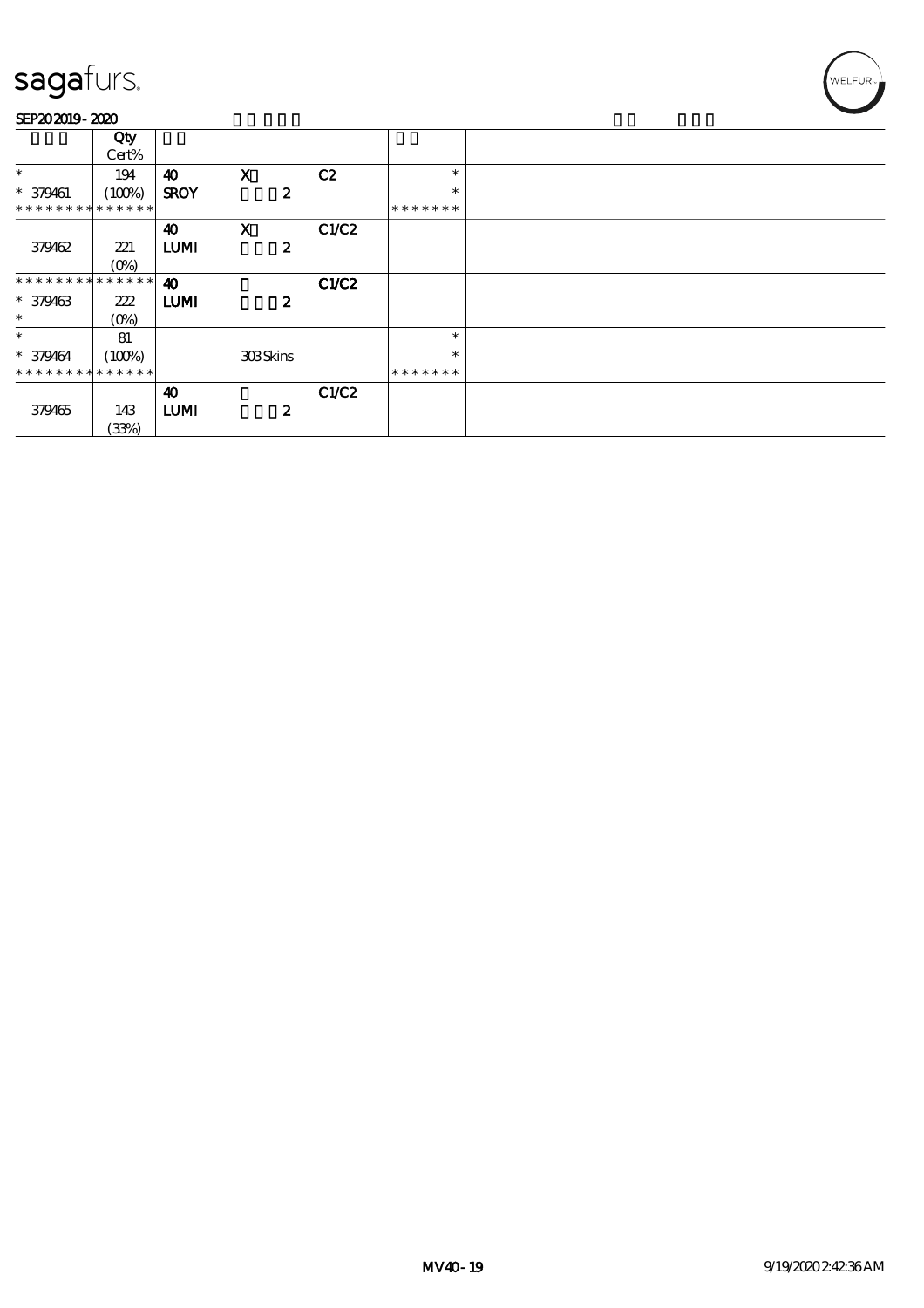#### SEP202019-2020

|                               | Qty     |                       |                           |       |               |  |
|-------------------------------|---------|-----------------------|---------------------------|-------|---------------|--|
|                               | Cert%   |                       |                           |       |               |  |
| $\ast$                        | 194     | 40                    | $\mathbf{x}$              | C2    | $\ast$        |  |
| $* 379461$                    | (100%)  | <b>SROY</b>           | $\boldsymbol{z}$          |       | $\ast$        |  |
| * * * * * * * * * * * * * *   |         |                       |                           |       | * * * * * * * |  |
|                               |         | 40                    | $\boldsymbol{\mathrm{X}}$ | C1/C2 |               |  |
| 379462                        | 221     | <b>LUMI</b>           | $\boldsymbol{z}$          |       |               |  |
|                               | $(O\%)$ |                       |                           |       |               |  |
| * * * * * * * * * * * * * * * |         | $\boldsymbol{\omega}$ |                           | C1/C2 |               |  |
| $* 379463$                    | 222     | <b>LUMI</b>           | $\boldsymbol{z}$          |       |               |  |
| $\ast$                        | $(0\%)$ |                       |                           |       |               |  |
| $\ast$                        | 81      |                       |                           |       | $\ast$        |  |
| $* 379464$                    | (100%)  |                       | <b>308Skins</b>           |       | $\ast$        |  |
| * * * * * * * * * * * * * *   |         |                       |                           |       | *******       |  |
|                               |         | 40                    |                           | C1/C2 |               |  |
| 379465                        | 143     | <b>LUMI</b>           | $\boldsymbol{z}$          |       |               |  |
|                               | (33%)   |                       |                           |       |               |  |

WELFUR<sub>T</sub>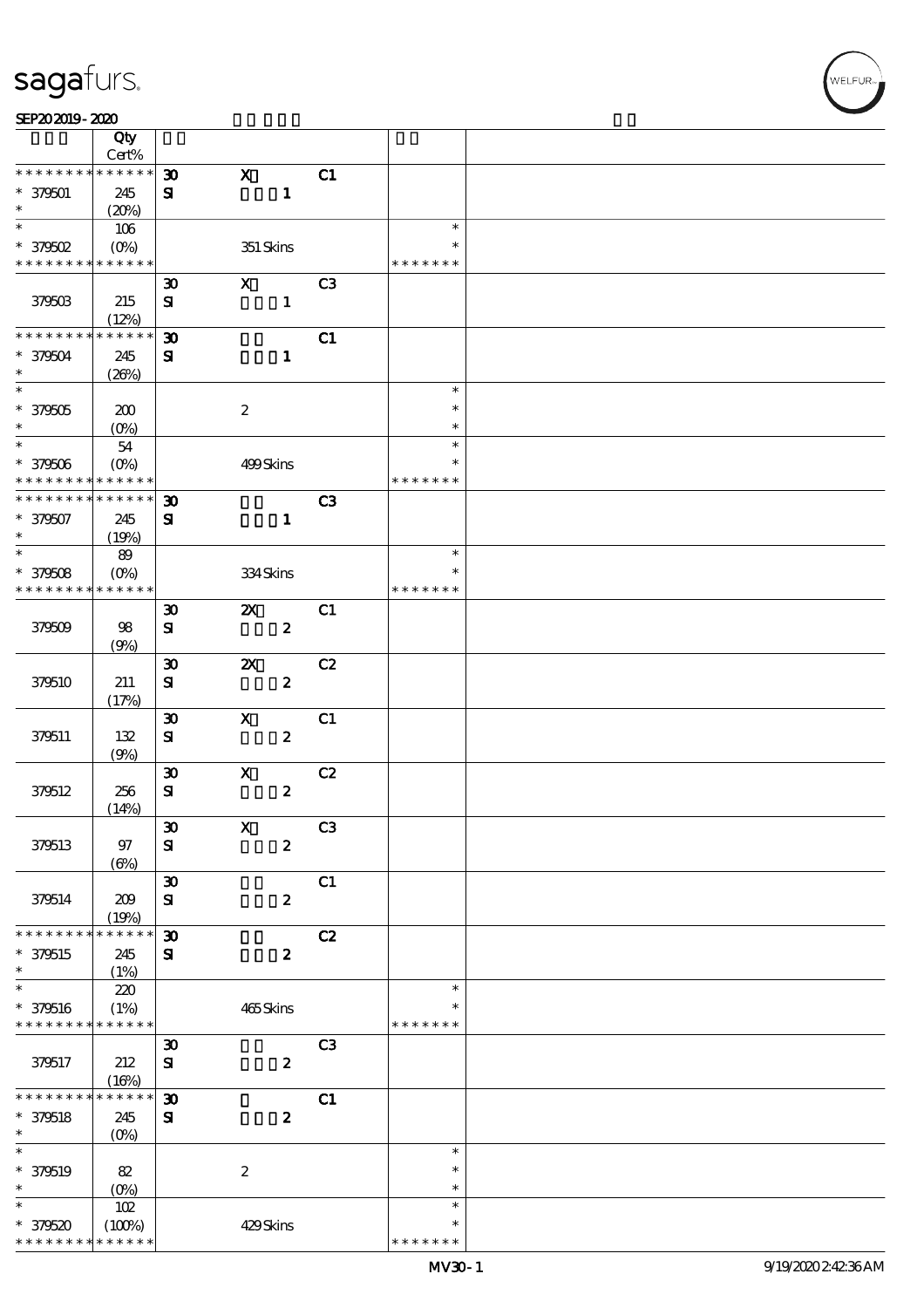| SEP202019-2020 |  |
|----------------|--|
|----------------|--|

|                               | Qty                                            |                             |                           |                  |                |                  |  |
|-------------------------------|------------------------------------------------|-----------------------------|---------------------------|------------------|----------------|------------------|--|
|                               | Cert%                                          |                             |                           |                  |                |                  |  |
| * * * * * * * *               | * * * * * *                                    | $\boldsymbol{\mathfrak{D}}$ | $\mathbf{x}$              |                  | C1             |                  |  |
| $* 379501$<br>$\ast$          | 245<br>(20%)                                   | ${\bf s}$                   |                           | $\mathbf{1}$     |                |                  |  |
| $\ast$                        | 106                                            |                             |                           |                  |                | $\ast$           |  |
| $*$ 379502                    | $(O\!\!\!\!\!\!\!/\,\!o)$                      |                             | 351 Skins                 |                  |                | $\ast$           |  |
| * * * * * * * * * * * * * *   |                                                |                             |                           |                  |                | * * * * * * *    |  |
|                               |                                                | $\boldsymbol{\mathfrak{D}}$ | $\mathbf{x}$              |                  | C <sub>3</sub> |                  |  |
| <b>379503</b>                 | 215                                            | ${\bf s}$                   |                           | $\mathbf{1}$     |                |                  |  |
|                               | (12%)                                          |                             |                           |                  |                |                  |  |
| * * * * * * * *               | * * * * * *                                    | $\boldsymbol{\mathfrak{D}}$ |                           |                  | C1             |                  |  |
| $* 379504$                    | 245                                            | ${\bf s}$                   |                           | $\mathbf{1}$     |                |                  |  |
| $\ast$<br>$\overline{\ast}$   | (20%)                                          |                             |                           |                  |                |                  |  |
|                               |                                                |                             |                           |                  |                | $\ast$           |  |
| $^\ast$ 379505                | 200                                            |                             | $\boldsymbol{2}$          |                  |                | $\ast$           |  |
| $\ast$<br>$\overline{\ast}$   | $(0\%)$                                        |                             |                           |                  |                | $\ast$<br>$\ast$ |  |
|                               | $54\,$                                         |                             |                           |                  |                | $\ast$           |  |
| $* 379506$<br>* * * * * * * * | $(O\!\!\!\!\!\!\backslash\rho)$<br>* * * * * * |                             | 499Skins                  |                  |                | * * * * * * *    |  |
| * * * * * * * *               | * * * * * *                                    | $\boldsymbol{\mathfrak{D}}$ |                           |                  | C3             |                  |  |
| $* 379507$                    | 245                                            | $\mathbf{S}$                |                           | $\mathbf{1}$     |                |                  |  |
| $\ast$                        | (19%)                                          |                             |                           |                  |                |                  |  |
| $\ast$                        | 89                                             |                             |                           |                  |                | $\ast$           |  |
| $* 379508$                    | $(0\%)$                                        |                             | 334Skins                  |                  |                | $\ast$           |  |
| * * * * * * * *               | * * * * * *                                    |                             |                           |                  |                | * * * * * * *    |  |
|                               |                                                | $\boldsymbol{\mathfrak{D}}$ | $\boldsymbol{\mathsf{Z}}$ |                  | C1             |                  |  |
| 379509                        | 98                                             | ${\bf s}$                   |                           | $\boldsymbol{z}$ |                |                  |  |
|                               | (9%)                                           |                             |                           |                  |                |                  |  |
|                               |                                                | $\pmb{\mathfrak{D}}$        | $\boldsymbol{\mathsf{z}}$ |                  | C2             |                  |  |
| 379510                        | 211                                            | $\bf S$                     |                           | $\boldsymbol{z}$ |                |                  |  |
|                               | (17%)                                          |                             |                           |                  |                |                  |  |
|                               |                                                | $\boldsymbol{\mathfrak{D}}$ | $\boldsymbol{\mathrm{X}}$ |                  | C1             |                  |  |
| 379511                        | $132$                                          | ${\bf s}$                   |                           | $\boldsymbol{z}$ |                |                  |  |
|                               | (9%)                                           | $\boldsymbol{\mathfrak{D}}$ | $\mathbf x$               |                  | C2             |                  |  |
| 379512                        | 256                                            | ${\bf s}$                   |                           | $\pmb{2}$        |                |                  |  |
|                               | (14%)                                          |                             |                           |                  |                |                  |  |
|                               |                                                | $\pmb{\mathfrak{D}}$        | $\boldsymbol{\mathrm{X}}$ |                  | C3             |                  |  |
| 379513                        | 97                                             | ${\bf S}$                   |                           | $\boldsymbol{z}$ |                |                  |  |
|                               | $(\Theta)$                                     |                             |                           |                  |                |                  |  |
|                               |                                                | $\boldsymbol{\mathfrak{D}}$ |                           |                  | C1             |                  |  |
| 379514                        | 209                                            | ${\bf s}$                   |                           | $\boldsymbol{z}$ |                |                  |  |
|                               | (19%)                                          |                             |                           |                  |                |                  |  |
| * * * * * * * *               | * * * * * *                                    | $\boldsymbol{\mathfrak{D}}$ |                           |                  | C2             |                  |  |
| $* 379515$                    | 245                                            | ${\bf s}$                   |                           | $\boldsymbol{2}$ |                |                  |  |
| $\ast$                        | (1%)                                           |                             |                           |                  |                |                  |  |
| $\ast$<br>$* 379516$          | 220<br>(1%)                                    |                             |                           |                  |                | $\ast$<br>$\ast$ |  |
| * * * * * * * * * * * * * *   |                                                |                             | 465Skins                  |                  |                | * * * * * * *    |  |
|                               |                                                | $\boldsymbol{\mathfrak{D}}$ |                           |                  | C <sub>3</sub> |                  |  |
| 379517                        | 212                                            | $\mathbf{S}$                |                           | $\boldsymbol{2}$ |                |                  |  |
|                               | (16%)                                          |                             |                           |                  |                |                  |  |
| * * * * * * * *               | * * * * * *                                    | $\boldsymbol{\mathfrak{D}}$ |                           |                  | C1             |                  |  |
| $* 379518$                    | 245                                            | ${\bf s}$                   |                           | $\boldsymbol{2}$ |                |                  |  |
| $\ast$                        | $(0\%)$                                        |                             |                           |                  |                |                  |  |
| $\ast$                        |                                                |                             |                           |                  |                | $\ast$           |  |
| $* 379519$                    | 82                                             |                             | $\boldsymbol{2}$          |                  |                | $\ast$           |  |
| $\ast$                        | $(0\%)$                                        |                             |                           |                  |                | $\ast$           |  |
| $\ast$                        | 102                                            |                             |                           |                  |                | $\ast$           |  |
| $* 379520$                    | (100%)                                         |                             | 429Skins                  |                  |                | $\ast$           |  |
| * * * * * * * *               | * * * * * *                                    |                             |                           |                  |                | * * * * * * *    |  |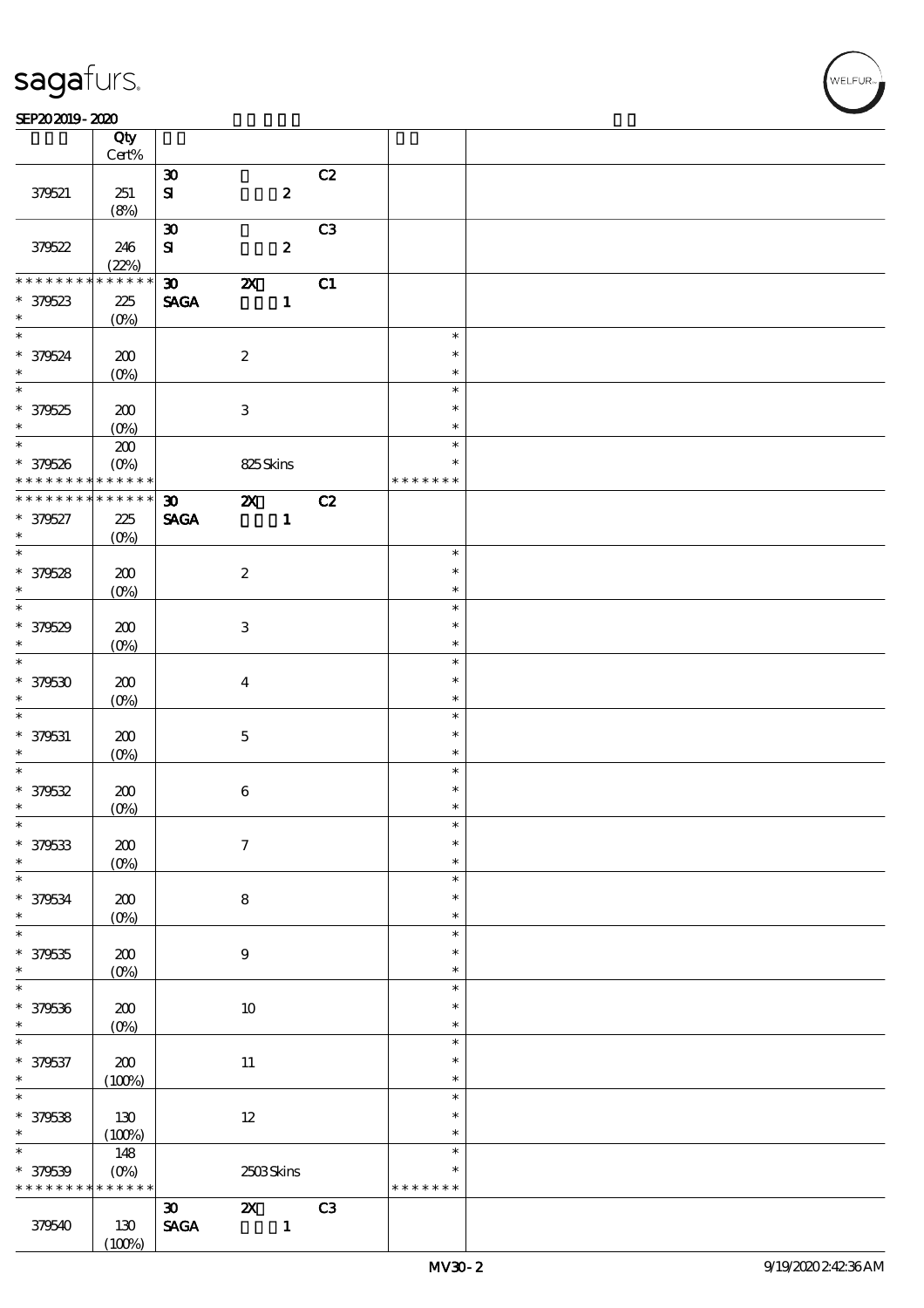#### $SEP202019 - 2020$

|                    | Qty<br>$Cert\%$    |                                |                           |                  |                |               |  |
|--------------------|--------------------|--------------------------------|---------------------------|------------------|----------------|---------------|--|
|                    |                    |                                |                           |                  |                |               |  |
|                    |                    | $\boldsymbol{\mathfrak{D}}$    |                           |                  | C2             |               |  |
| 379521             | 251                | $\mathbf{S}$                   |                           | $\boldsymbol{z}$ |                |               |  |
|                    | (8%)               |                                |                           |                  |                |               |  |
|                    |                    | $\pmb{\mathfrak{D}}$           |                           |                  | C <sub>3</sub> |               |  |
| 379522             | 246                | ${\bf S}$                      |                           | $\boldsymbol{z}$ |                |               |  |
|                    | (22%)              |                                |                           |                  |                |               |  |
| * * * * * * * *    | * * * * * *        | $\boldsymbol{\mathfrak{D}}$    | $\boldsymbol{\mathsf{z}}$ |                  | C1             |               |  |
| * 379523           | 225                | <b>SAGA</b>                    |                           | $\mathbf{1}$     |                |               |  |
| $\ast$             | (O <sub>0</sub> )  |                                |                           |                  |                |               |  |
| $*$                |                    |                                |                           |                  |                | $\ast$        |  |
|                    |                    |                                |                           |                  |                | $\ast$        |  |
| * 379524<br>$\ast$ | $200$              |                                | $\boldsymbol{2}$          |                  |                |               |  |
| $\overline{\ast}$  | $(O\%)$            |                                |                           |                  |                | $\ast$        |  |
|                    |                    |                                |                           |                  |                | $\ast$        |  |
| $* 379525$         | 200                |                                | $\ensuremath{\mathbf{3}}$ |                  |                | $\ast$        |  |
| $\ast$             | $(O\%)$            |                                |                           |                  |                | $\ast$        |  |
| $\overline{\ast}$  | $\pmb{30}$         |                                |                           |                  |                | $\ast$        |  |
| * 379526           | $(O\%)$            |                                | 825Skins                  |                  |                | $\ast$        |  |
| * * * * * * * *    | * * * * * *        |                                |                           |                  |                | * * * * * * * |  |
| * * * * * * * *    | * * * * * *        | $\boldsymbol{\mathfrak{D}}$    | $\boldsymbol{\mathsf{z}}$ |                  | C2             |               |  |
| * 379527           | 225                | <b>SAGA</b>                    |                           | $\mathbf{1}$     |                |               |  |
| $\ast$             |                    |                                |                           |                  |                |               |  |
| $\overline{\ast}$  | $(O\%)$            |                                |                           |                  |                | $\ast$        |  |
|                    |                    |                                |                           |                  |                |               |  |
| * 379528           | 200                |                                | $\boldsymbol{2}$          |                  |                | $\ast$        |  |
| $\ast$             | $(O\%)$            |                                |                           |                  |                | $\ast$        |  |
| $\overline{\ast}$  |                    |                                |                           |                  |                | $\ast$        |  |
| * 379529           | 200                |                                | $\ensuremath{\mathbf{3}}$ |                  |                | $\ast$        |  |
| $\ast$             | $(O\%)$            |                                |                           |                  |                | $\ast$        |  |
| $\overline{\ast}$  |                    |                                |                           |                  |                | $\ast$        |  |
| $*379530$          | 200                |                                | $\boldsymbol{4}$          |                  |                | $\ast$        |  |
| $\ast$             |                    |                                |                           |                  |                | $\ast$        |  |
| $\ast$             | $(O\%)$            |                                |                           |                  |                | $\ast$        |  |
|                    |                    |                                |                           |                  |                |               |  |
| * 379531           | 200                |                                | $\bf 5$                   |                  |                | $\ast$        |  |
| $\ast$             | $(O\%)$            |                                |                           |                  |                | $\ast$        |  |
| $\overline{\ast}$  |                    |                                |                           |                  |                | $\ast$        |  |
| * 379532           | 200                |                                | $\bf 6$                   |                  |                | $\ast$        |  |
| $\ast$             | $(0\%)$            |                                |                           |                  |                | $\ast$        |  |
| $\ast$             |                    |                                |                           |                  |                | $\ast$        |  |
| * 379533           | $\pmb{30}$         |                                | $\boldsymbol{7}$          |                  |                | $\ast$        |  |
| $\ast$             | $(0\%)$            |                                |                           |                  |                | $\ast$        |  |
| $\ast$             |                    |                                |                           |                  |                | $\ast$        |  |
| * 379534           | 200                |                                | $\bf 8$                   |                  |                | $\ast$        |  |
| $\ast$             | $(O\!/\!o)$        |                                |                           |                  |                | $\ast$        |  |
| $\overline{\ast}$  |                    |                                |                           |                  |                | $\ast$        |  |
| $* 379535$         | 200                |                                | $\boldsymbol{9}$          |                  |                | $\ast$        |  |
| $\ast$             |                    |                                |                           |                  |                | $\ast$        |  |
| $\ast$             | $(O\!/\!\!\delta)$ |                                |                           |                  |                | $\ast$        |  |
|                    |                    |                                |                           |                  |                |               |  |
| * 379536           | $200$              |                                | $10\,$                    |                  |                | $\ast$        |  |
| $\ast$             | $(0\%)$            |                                |                           |                  |                | $\ast$        |  |
| $\ast$             |                    |                                |                           |                  |                | $\ast$        |  |
| * 379537           | $200$              |                                | $11\,$                    |                  |                | $\ast$        |  |
| $\ast$             | (100%)             |                                |                           |                  |                | $\ast$        |  |
| $\overline{\ast}$  |                    |                                |                           |                  |                | $\ast$        |  |
| * 379538           | 130                |                                | $12\,$                    |                  |                | $\ast$        |  |
| $\ast$             | (100%)             |                                |                           |                  |                | $\ast$        |  |
| $\ast$             | 148                |                                |                           |                  |                | $\ast$        |  |
| * 379539           | $(O\%)$            |                                | 2503Skins                 |                  |                | $\ast$        |  |
| * * * * * * * *    | * * * * * *        |                                |                           |                  |                | * * * * * * * |  |
|                    |                    |                                |                           |                  |                |               |  |
|                    |                    | $\boldsymbol{\mathfrak{D}}$    | $\boldsymbol{\alpha}$     |                  | C <sub>3</sub> |               |  |
| 379540             | 130                | $\operatorname{\mathsf{SAGA}}$ |                           | $\mathbf{1}$     |                |               |  |
|                    | (100%)             |                                |                           |                  |                |               |  |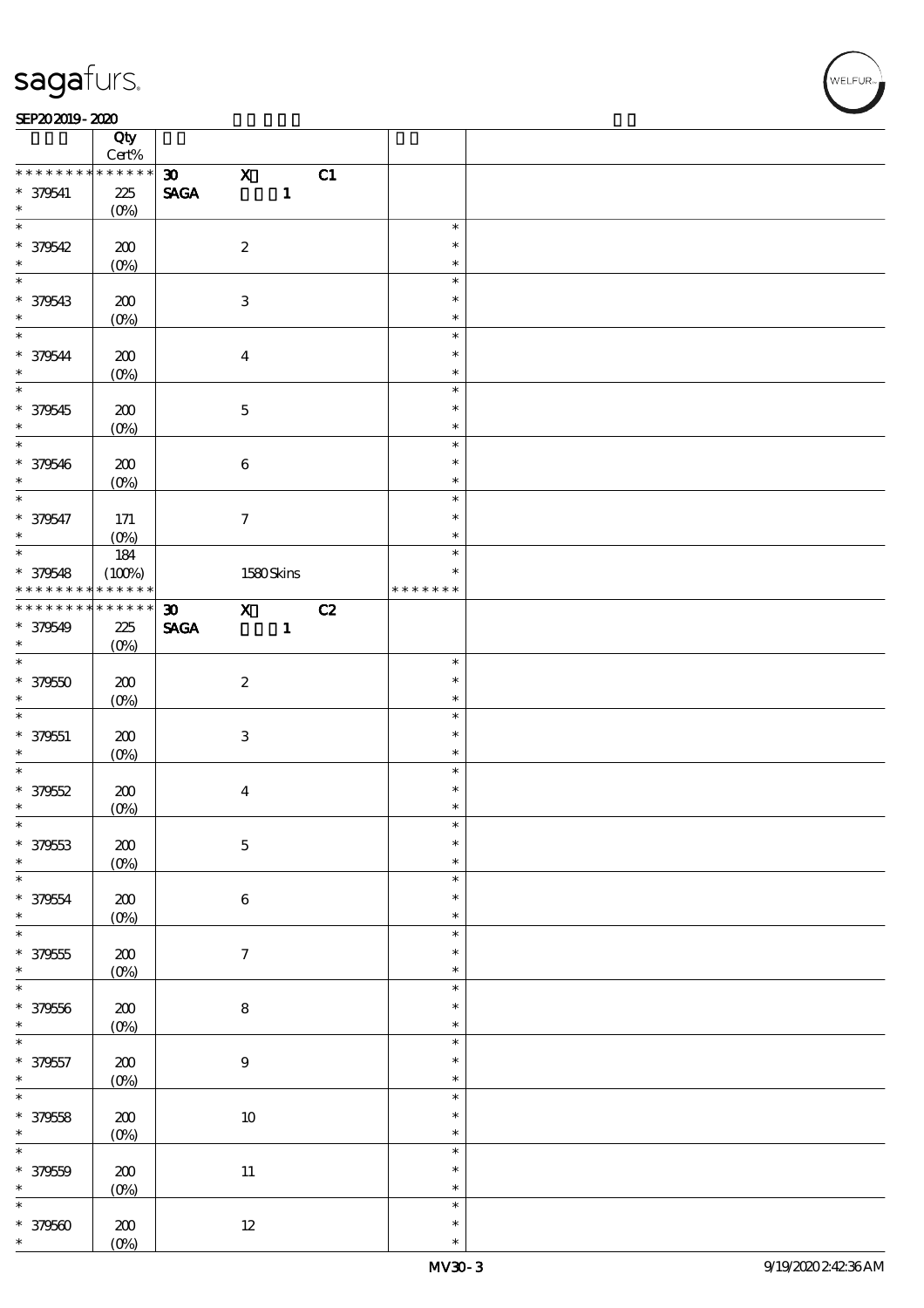### SEP202019-2020

|                      | Qty                            |                                |                           |              |    |               |  |
|----------------------|--------------------------------|--------------------------------|---------------------------|--------------|----|---------------|--|
| * * * * * * * *      | $\mbox{Cert}\%$<br>* * * * * * |                                |                           |              |    |               |  |
|                      |                                | $\boldsymbol{\mathfrak{D}}$    | $\boldsymbol{\mathrm{X}}$ |              | C1 |               |  |
| $* 379541$<br>$\ast$ | $225\,$<br>$(O\%)$             | $\operatorname{\mathbf{SAGA}}$ |                           | $\mathbf{1}$ |    |               |  |
| $\overline{\ast}$    |                                |                                |                           |              |    | $\ast$        |  |
| * 379542             | 200                            |                                | $\boldsymbol{2}$          |              |    | $\ast$        |  |
| $\ast$               | $(0\%)$                        |                                |                           |              |    | $\ast$        |  |
| $\ast$               |                                |                                |                           |              |    | $\ast$        |  |
| * 379543             | 200                            |                                | $\ensuremath{\mathbf{3}}$ |              |    | $\ast$        |  |
| $\ast$               | $(O\%)$                        |                                |                           |              |    | $\ast$        |  |
| $\ast$               |                                |                                |                           |              |    | $\ast$        |  |
| * 379544             | 200                            |                                | $\boldsymbol{4}$          |              |    | $\ast$        |  |
| $\ast$               | $(0\%)$                        |                                |                           |              |    | $\ast$        |  |
| $\overline{\ast}$    |                                |                                |                           |              |    | $\ast$        |  |
| * 379545             | 200                            |                                | $\mathbf 5$               |              |    | $\ast$        |  |
| $\ast$               |                                |                                |                           |              |    | $\ast$        |  |
| $*$                  | $(0\%)$                        |                                |                           |              |    | $\ast$        |  |
| * 379546             | 200                            |                                | $\bf 6$                   |              |    | $\ast$        |  |
| $\ast$               | $(0\%)$                        |                                |                           |              |    | $\ast$        |  |
| $\overline{\ast}$    |                                |                                |                           |              |    | $\ast$        |  |
| * 379547             | $171$                          |                                | $\boldsymbol{7}$          |              |    | $\ast$        |  |
| $\ast$               | $(0\%)$                        |                                |                           |              |    | $\ast$        |  |
| $\overline{\ast}$    | 184                            |                                |                           |              |    | $\ast$        |  |
| * 379548             | (100%)                         |                                | 1580Skins                 |              |    | $\ast$        |  |
| * * * * * * * *      | * * * * * *                    |                                |                           |              |    | * * * * * * * |  |
| * * * * * * * *      | $******$                       | $\boldsymbol{\mathfrak{D}}$    | $\overline{\mathbf{x}}$   |              | C2 |               |  |
| * 379549             | 225                            | <b>SAGA</b>                    |                           | $\mathbf{1}$ |    |               |  |
| $\ast$               | $(O\%)$                        |                                |                           |              |    |               |  |
| $\ast$               |                                |                                |                           |              |    | $\ast$        |  |
| $*379550$            | 200                            |                                | $\boldsymbol{2}$          |              |    | $\ast$        |  |
| $\ast$               | $(O\%)$                        |                                |                           |              |    | $\ast$        |  |
| $\ast$               |                                |                                |                           |              |    | $\ast$        |  |
| $* 379551$           | 200                            |                                | $\ensuremath{\mathbf{3}}$ |              |    | $\ast$        |  |
| $\ast$               | $(0\%)$                        |                                |                           |              |    | $\ast$        |  |
| $\ast$               |                                |                                |                           |              |    | $\ast$        |  |
| $* 379552$           | 200                            |                                | $\boldsymbol{4}$          |              |    | $\ast$        |  |
| $\ast$               | $(O\!/\!\!\delta)$             |                                |                           |              |    | $\ast$        |  |
|                      |                                |                                |                           |              |    | ж             |  |
| * 379553             | $200$                          |                                | $\mathbf 5$               |              |    | $\ast$        |  |
| $\ast$               | $(0\%)$                        |                                |                           |              |    | $\ast$        |  |
| $\ast$               |                                |                                |                           |              |    | $\ast$        |  |
| * 379554             | ${\bf 20}$                     |                                | $\bf 6$                   |              |    | $\ast$        |  |
| $\ast$               | $(0\%)$                        |                                |                           |              |    | $\ast$        |  |
| $\ast$               |                                |                                |                           |              |    | $\ast$        |  |
| $* 379555$           | $200$                          |                                | $\boldsymbol{\tau}$       |              |    | $\ast$        |  |
| $\ast$               | $(0\%)$                        |                                |                           |              |    | $\ast$        |  |
| $\overline{\ast}$    |                                |                                |                           |              |    | $\ast$        |  |
| * 379556             | $200$                          |                                | ${\bf 8}$                 |              |    | $\ast$        |  |
| $\ast$               | $(0\%)$                        |                                |                           |              |    | $\ast$        |  |
| $\overline{\ast}$    |                                |                                |                           |              |    | $\ast$        |  |
| $* 379557$           | ${\bf 20}$                     |                                | $\boldsymbol{9}$          |              |    | $\ast$        |  |
| $\ast$               | $(0\%)$                        |                                |                           |              |    | $\ast$        |  |
| $\overline{\ast}$    |                                |                                |                           |              |    | $\ast$        |  |
| * 379558             | $200$                          |                                | $10\,$                    |              |    | $\ast$        |  |
| $\ast$               | $(0\%)$                        |                                |                           |              |    | $\ast$        |  |
| $\overline{\ast}$    |                                |                                |                           |              |    | $\ast$        |  |
| $* 379559$           | 200                            |                                | $11\,$                    |              |    | $\ast$        |  |
| $\ast$               | $(0\%)$                        |                                |                           |              |    | $\ast$        |  |
| $\ast$               |                                |                                |                           |              |    |               |  |
|                      |                                |                                |                           |              |    | $\ast$        |  |
|                      |                                |                                |                           |              |    | $\ast$        |  |
| $* 379500$<br>$\ast$ | ${\bf Z0}$<br>$(O\%)$          |                                | $12\,$                    |              |    | $\ast$        |  |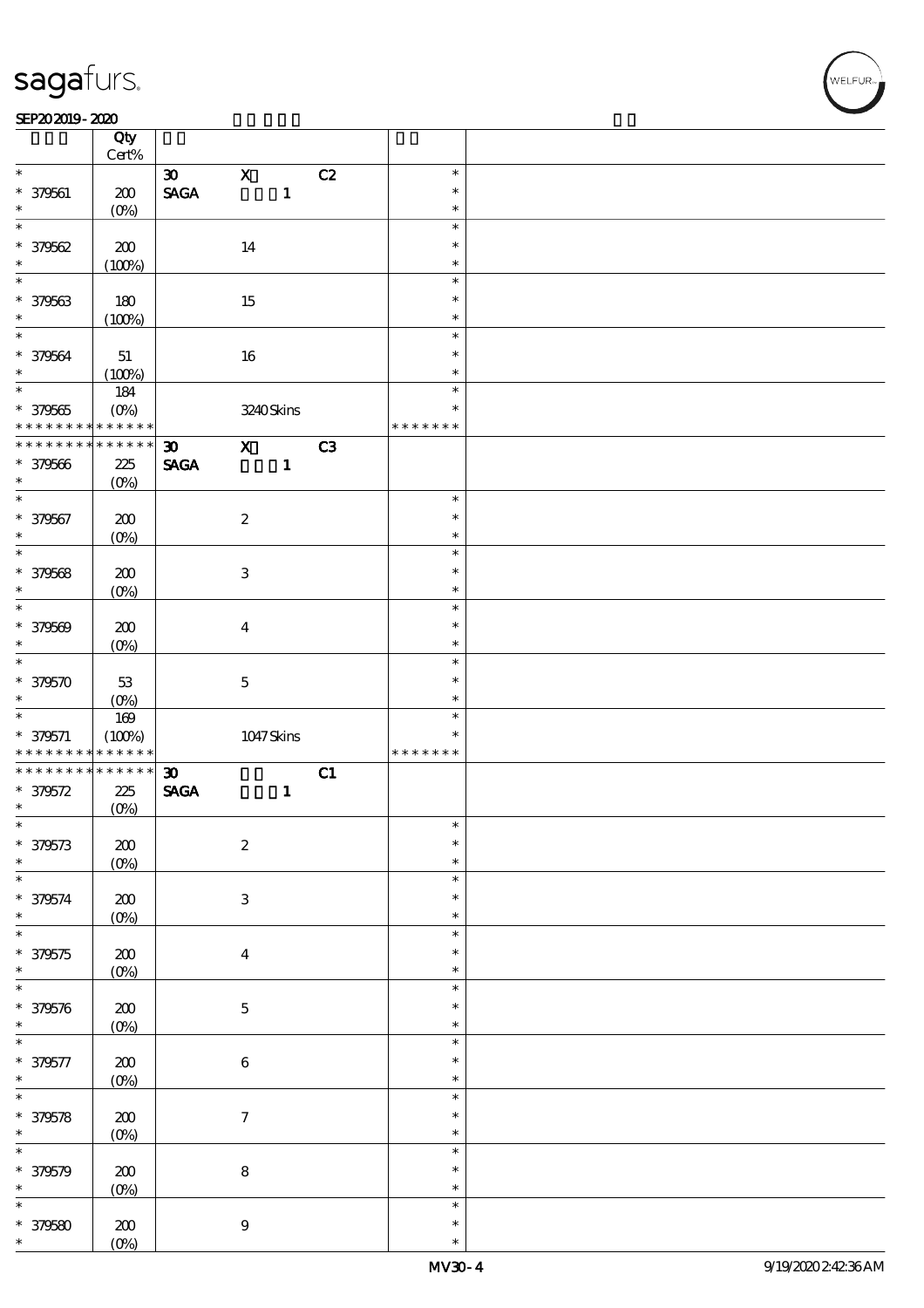#### $SEP202019 - 2020$

|                      | Qty<br>Cert%      |                                |                           |              |    |               |  |
|----------------------|-------------------|--------------------------------|---------------------------|--------------|----|---------------|--|
|                      |                   |                                |                           |              |    |               |  |
| $\ast$               |                   | $\boldsymbol{\mathfrak{D}}$    | $\mathbf X$               |              | C2 | $\ast$        |  |
| * 379561             | 200               | $\operatorname{\mathsf{SAGA}}$ |                           | $\mathbf{1}$ |    | $\ast$        |  |
| $\ast$               | (O <sub>0</sub> ) |                                |                           |              |    | $\ast$        |  |
| $\ast$               |                   |                                |                           |              |    | $\ast$        |  |
| * 379562             |                   |                                |                           |              |    | $\ast$        |  |
|                      | 200               |                                | 14                        |              |    |               |  |
| $\ast$               | (100%)            |                                |                           |              |    | $\ast$        |  |
| $\overline{\ast}$    |                   |                                |                           |              |    | $\ast$        |  |
| * 379563             | 180               |                                | 15                        |              |    | $\ast$        |  |
| $\ast$               |                   |                                |                           |              |    | $\ast$        |  |
| $\overline{\ast}$    | (100%)            |                                |                           |              |    |               |  |
|                      |                   |                                |                           |              |    | $\ast$        |  |
| * 379564             | $5\!1$            |                                | 16                        |              |    | $\ast$        |  |
| $\ast$               | (100%)            |                                |                           |              |    | $\ast$        |  |
|                      | 184               |                                |                           |              |    | $\ast$        |  |
|                      |                   |                                |                           |              |    | $\ast$        |  |
| $* 379565$           | $(O\%)$           |                                | 3240Skins                 |              |    |               |  |
| * * * * * * * *      | * * * * * *       |                                |                           |              |    | * * * * * * * |  |
| * * * * * * * *      | $******$          | $\boldsymbol{\mathfrak{D}}$    | $\mathbf{x}$              |              | C3 |               |  |
| $* 379566$           | 225               | <b>SAGA</b>                    |                           | $\mathbf{1}$ |    |               |  |
| $\ast$               | $(O\%)$           |                                |                           |              |    |               |  |
| $\overline{\ast}$    |                   |                                |                           |              |    | $\ast$        |  |
|                      |                   |                                |                           |              |    |               |  |
| * 379567             | 200               |                                | $\boldsymbol{2}$          |              |    | $\ast$        |  |
| $\ast$               | $(O\%)$           |                                |                           |              |    | $\ast$        |  |
| $\overline{\ast}$    |                   |                                |                           |              |    | $\ast$        |  |
| * 379568             | 200               |                                | $\ensuremath{\mathbf{3}}$ |              |    | $\ast$        |  |
|                      |                   |                                |                           |              |    |               |  |
| $\ast$               | $(O\%)$           |                                |                           |              |    | $\ast$        |  |
| $\ast$               |                   |                                |                           |              |    | $\ast$        |  |
| * 379569             | 200               |                                | $\boldsymbol{4}$          |              |    | $\ast$        |  |
| $\ast$               | $(O\%)$           |                                |                           |              |    | $\ast$        |  |
| $\overline{\ast}$    |                   |                                |                           |              |    | $\ast$        |  |
|                      |                   |                                |                           |              |    |               |  |
| $*379570$            | $5\!3$            |                                | $\bf 5$                   |              |    | $\ast$        |  |
|                      |                   |                                |                           |              |    |               |  |
| $\ast$               |                   |                                |                           |              |    | $\ast$        |  |
|                      | $(0\%)$           |                                |                           |              |    | $\ast$        |  |
|                      | 169               |                                |                           |              |    | $\ast$        |  |
| $* 379571$           | (100%)            |                                | $1047$ Skins              |              |    |               |  |
| * * * * * * * *      | * * * * * *       |                                |                           |              |    | * * * * * * * |  |
| * * * * * * * *      | $******$          | $\boldsymbol{\mathfrak{D}}$    |                           |              | C1 |               |  |
| $* 379572$           | 225               | $\operatorname{\mathsf{SAGA}}$ |                           | $\mathbf{1}$ |    |               |  |
| $\ast$               |                   |                                |                           |              |    |               |  |
| $\ast$               | $(0\%)$           |                                |                           |              |    | $\ast$        |  |
|                      |                   |                                |                           |              |    |               |  |
| $* 379573$           | $\pmb{30}$        |                                | $\boldsymbol{2}$          |              |    | $\ast$        |  |
| $\ast$               | $(0\%)$           |                                |                           |              |    | $\ast$        |  |
| $\ast$               |                   |                                |                           |              |    | $\ast$        |  |
|                      | $200\,$           |                                | $\ensuremath{\mathbf{3}}$ |              |    | $\ast$        |  |
| * 379574<br>$\ast$   |                   |                                |                           |              |    | $\ast$        |  |
|                      | $(0\%)$           |                                |                           |              |    |               |  |
| $\overline{\ast}$    |                   |                                |                           |              |    | $\ast$        |  |
| * 379575             | 200               |                                | $\bf{4}$                  |              |    | $\ast$        |  |
| $\ast$               | $(0\%)$           |                                |                           |              |    | $\ast$        |  |
| $\ast$               |                   |                                |                           |              |    | $\ast$        |  |
|                      |                   |                                |                           |              |    | $\ast$        |  |
| * 379576             | $200\,$           |                                | $\mathbf 5$               |              |    |               |  |
| $\ast$               | $(0\%)$           |                                |                           |              |    | $\ast$        |  |
| $\ast$               |                   |                                |                           |              |    | $\ast$        |  |
|                      | $200$             |                                | $\bf 6$                   |              |    | $\ast$        |  |
| $* 379577$<br>$\ast$ |                   |                                |                           |              |    | $\ast$        |  |
| $\overline{\ast}$    | $(0\%)$           |                                |                           |              |    | $\ast$        |  |
|                      |                   |                                |                           |              |    |               |  |
| * 379578             | $200$             |                                | $\boldsymbol{7}$          |              |    | $\ast$        |  |
| $\ast$               | $(0\%)$           |                                |                           |              |    | $\ast$        |  |
| $\ast$               |                   |                                |                           |              |    | $\ast$        |  |
|                      |                   |                                |                           |              |    | $\ast$        |  |
| * 379579             | $200$             |                                | $\bf 8$                   |              |    |               |  |
| $\ast$               | $(0\%)$           |                                |                           |              |    | $\ast$        |  |
| $\ast$               |                   |                                |                           |              |    | $\ast$        |  |
| $* 379580$           | 200               |                                | $\boldsymbol{9}$          |              |    | $\ast$        |  |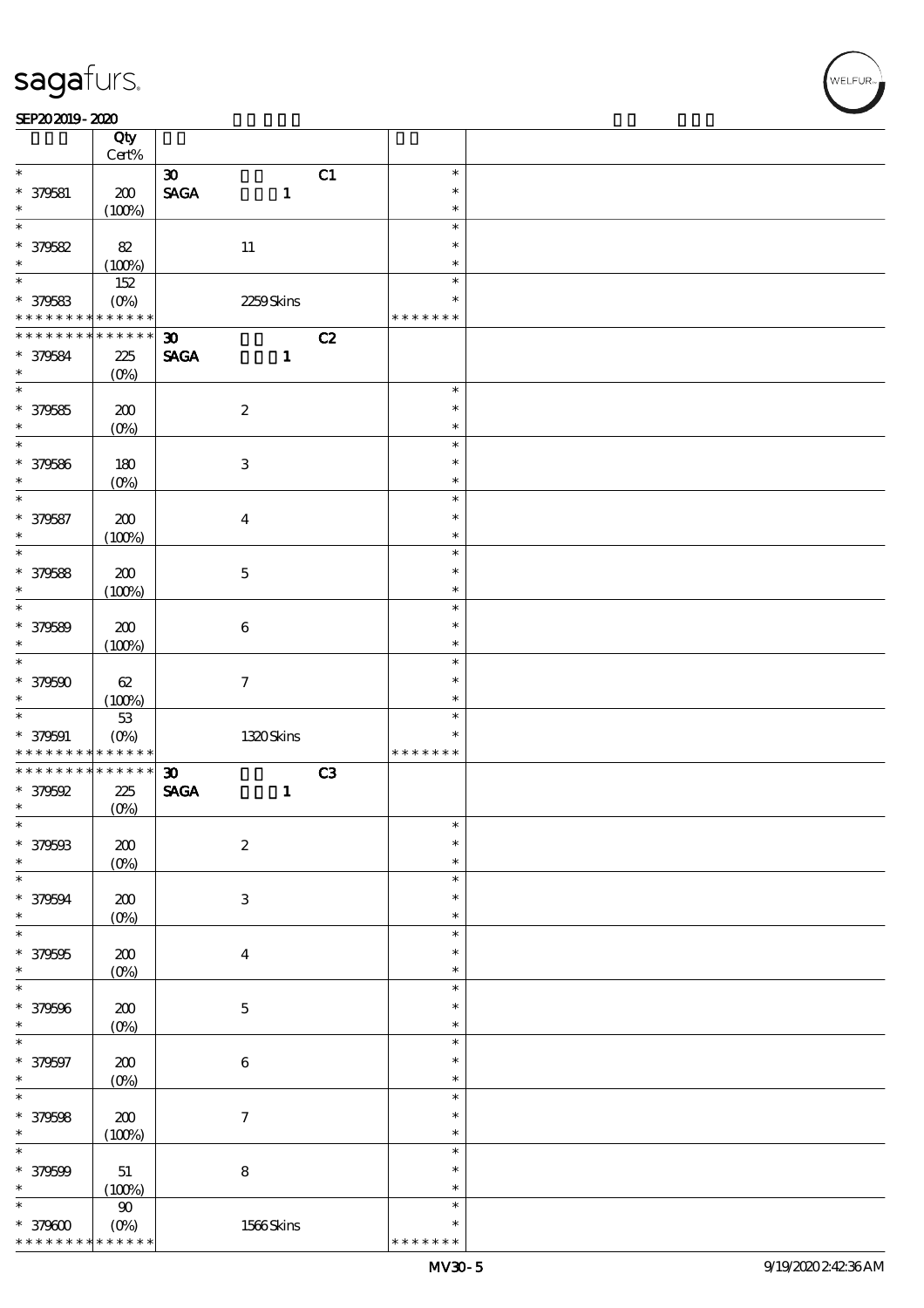### SEP202019-2020

|                                        | Qty                        |                                |                           |    |                  |  |
|----------------------------------------|----------------------------|--------------------------------|---------------------------|----|------------------|--|
|                                        | $Cert\%$                   |                                |                           |    |                  |  |
| $\ast$                                 |                            | $\boldsymbol{\mathfrak{D}}$    |                           | C1 | $\ast$           |  |
| $* 379581$                             | 200                        | $\operatorname{\mathsf{SAGA}}$ | $\mathbf{1}$              |    | $\ast$           |  |
| $\ast$<br>$\ast$                       | (100%)                     |                                |                           |    | $\ast$           |  |
|                                        |                            |                                |                           |    | $\ast$           |  |
| * 379582                               | $8\!2$                     |                                | 11                        |    | $\ast$           |  |
| $\ast$<br>$\overline{\ast}$            | (100%)                     |                                |                           |    | $\ast$           |  |
|                                        | 152                        |                                |                           |    | $\ast$           |  |
| $* 379583$                             | $(O\%)$                    |                                | 2259Skins                 |    | $\ast$           |  |
| * * * * * * * *<br>* * * * * * * *     | $\ast\ast\ast\ast\ast\ast$ |                                |                           |    | * * * * * * *    |  |
|                                        | * * * * * *                | $\boldsymbol{\mathfrak{D}}$    |                           | C2 |                  |  |
| * 379584                               | 225                        | <b>SAGA</b>                    | $\mathbf{1}$              |    |                  |  |
| $\ast$<br>$\overline{\ast}$            | $(O\%)$                    |                                |                           |    |                  |  |
|                                        |                            |                                |                           |    | $\ast$           |  |
| $* 379585$                             | 200                        |                                | $\boldsymbol{2}$          |    | $\ast$           |  |
| $\ast$<br>$\overline{\ast}$            | $(0\%)$                    |                                |                           |    | $\ast$           |  |
|                                        |                            |                                |                           |    | $\ast$           |  |
| * 379586                               | 180                        |                                | $\ensuremath{\mathsf{3}}$ |    | $\ast$           |  |
| $\ast$<br>$\ast$                       | $(O\%)$                    |                                |                           |    | $\ast$           |  |
|                                        |                            |                                |                           |    | $\ast$<br>$\ast$ |  |
| * 379587<br>$\ast$                     | 200                        |                                | $\boldsymbol{4}$          |    | $\ast$           |  |
| $\ast$                                 | (100%)                     |                                |                           |    | $\ast$           |  |
|                                        |                            |                                |                           |    |                  |  |
| * 379588                               | 200                        |                                | $\mathbf 5$               |    | $\ast$           |  |
| $\ast$<br>$\overline{\ast}$            | (100%)                     |                                |                           |    | $\ast$<br>$\ast$ |  |
|                                        |                            |                                |                           |    | $\ast$           |  |
| * 379589<br>$\ast$                     | 200                        |                                | $\bf 6$                   |    | $\ast$           |  |
| $\ast$                                 | (100%)                     |                                |                           |    | $\ast$           |  |
|                                        |                            |                                |                           |    | $\ast$           |  |
| $* 379500$                             | $62\,$                     |                                | $\boldsymbol{7}$          |    | $\ast$           |  |
| $\ast$                                 | (100%)                     |                                |                           |    | $\ast$           |  |
|                                        |                            |                                |                           |    |                  |  |
| $\ast$                                 | $53\,$                     |                                |                           |    |                  |  |
| $* 379591$                             | $(O\%)$                    |                                | 1320Skins                 |    | $\ast$           |  |
| * * * * * * * *                        | * * * * * *                |                                |                           |    | * * * * * * *    |  |
| * * * * * * * *                        | $******$                   | $\boldsymbol{\mathfrak{D}}$    |                           | C3 |                  |  |
| $*379592$                              | 225                        | $\operatorname{\mathbf{SAGA}}$ | $\mathbf{1}$              |    |                  |  |
| $\ast$                                 | $(0\%)$                    |                                |                           |    |                  |  |
| $\ast$                                 |                            |                                |                           |    | $\ast$           |  |
| * 379593                               | ${\bf Z0}$                 |                                | $\boldsymbol{2}$          |    | $\ast$           |  |
| $\ast$                                 | $(0\%)$                    |                                |                           |    | $\ast$<br>$\ast$ |  |
| $\ast$                                 |                            |                                |                           |    | $\ast$           |  |
| * 379594<br>$\ast$                     | 200                        |                                | $\,3\,$                   |    | $\ast$           |  |
| $\ast$                                 | $(0\%)$                    |                                |                           |    | $\ast$           |  |
|                                        |                            |                                |                           |    | $\ast$           |  |
| $* 379595$<br>$\ast$                   | 200                        |                                | $\bf{4}$                  |    | $\ast$           |  |
| $\ast$                                 | $(0\%)$                    |                                |                           |    | $\ast$           |  |
|                                        |                            |                                |                           |    | $\ast$           |  |
| * 379596<br>$\ast$                     | ${\bf Z0}$                 |                                | $\mathbf 5$               |    | $\ast$           |  |
| $\ast$                                 | $(0\%)$                    |                                |                           |    | $\ast$           |  |
|                                        |                            |                                |                           |    | $\ast$           |  |
| * 379597<br>$\ast$                     | 200                        |                                | $\,6\,$                   |    | $\ast$           |  |
|                                        | $(0\%)$                    |                                |                           |    | $\ast$           |  |
|                                        |                            |                                | $\boldsymbol{\tau}$       |    | $\ast$           |  |
|                                        | 200                        |                                |                           |    | $\ast$           |  |
|                                        | (100%)                     |                                |                           |    | $\ast$           |  |
| $\ast$<br>* 379598<br>$\ast$<br>$\ast$ |                            |                                |                           |    | $\ast$           |  |
| * 379599<br>$\ast$                     | 51<br>(100%)               |                                | $\bf 8$                   |    | $\ast$           |  |
| $\ast$                                 | $90\,$                     |                                |                           |    | $\ast$           |  |
| $*379600$                              | $(O\%)$                    |                                | 1566Skins                 |    | $\ast$           |  |

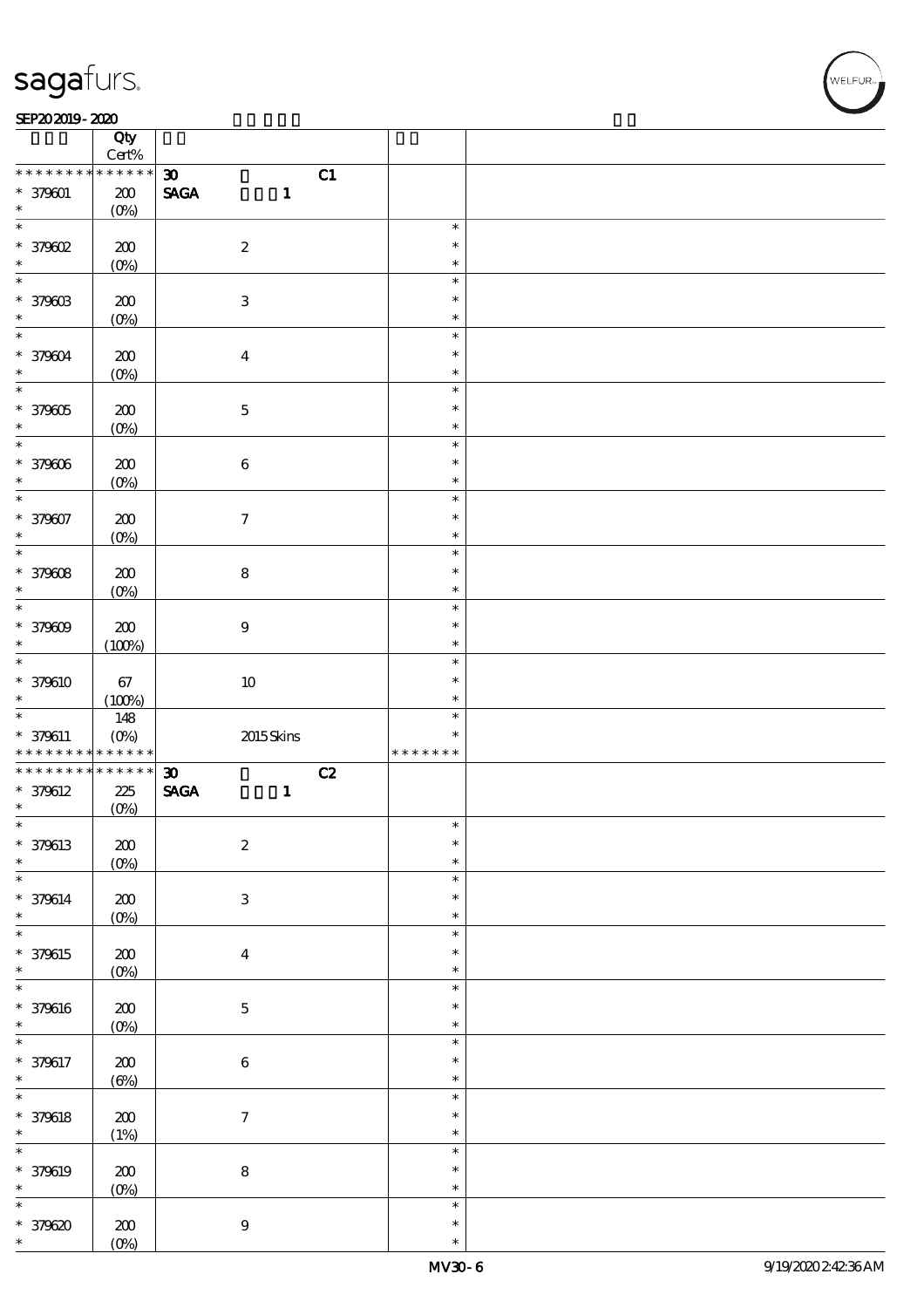#### SEP202019-2020

|                                                     | Qty<br>$\mbox{Cert}\%$    |                                                |                  |  |
|-----------------------------------------------------|---------------------------|------------------------------------------------|------------------|--|
|                                                     | ******                    |                                                |                  |  |
| * * * * * * * *                                     |                           | $\boldsymbol{\mathfrak{D}}$                    | C1               |  |
| $* 379001$                                          | $200\,$                   | $\operatorname{\mathbf{SAGA}}$<br>$\mathbf{1}$ |                  |  |
| $\ast$                                              | $(0\%)$                   |                                                |                  |  |
| $\ast$                                              |                           |                                                | $\ast$           |  |
|                                                     |                           |                                                |                  |  |
| $*$ 379602                                          | 200                       | $\boldsymbol{2}$                               | $\ast$           |  |
| $\ast$                                              | $(0\%)$                   |                                                | $\ast$           |  |
| $\ast$                                              |                           |                                                |                  |  |
|                                                     |                           |                                                | $\ast$           |  |
| * 379003                                            | 200                       | $\ensuremath{\mathbf{3}}$                      | $\ast$           |  |
| $\ast$                                              | $(O\%)$                   |                                                | $\ast$           |  |
| $\overline{\ast}$                                   |                           |                                                |                  |  |
|                                                     |                           |                                                | $\ast$           |  |
| * 379604                                            | 200                       | $\boldsymbol{4}$                               | $\ast$           |  |
| $\ast$                                              |                           |                                                | $\ast$           |  |
|                                                     | $(0\%)$                   |                                                |                  |  |
| $\overline{\ast}$                                   |                           |                                                | $\ast$           |  |
| * 379305                                            | 200                       | $\mathbf 5$                                    | $\ast$           |  |
| $\ast$                                              |                           |                                                |                  |  |
|                                                     | $(0\%)$                   |                                                | $\ast$           |  |
| $\ast$                                              |                           |                                                | $\ast$           |  |
| * 379006                                            | $200$                     | $\bf 6$                                        | $\ast$           |  |
|                                                     |                           |                                                |                  |  |
| $\ast$                                              | $(O\%)$                   |                                                | $\ast$           |  |
| $\overline{\ast}$                                   |                           |                                                | $\ast$           |  |
| * 379607                                            | $200$                     | $\boldsymbol{\tau}$                            | $\ast$           |  |
|                                                     |                           |                                                |                  |  |
| $\ast$                                              | $(0\%)$                   |                                                | $\ast$           |  |
| $\ast$                                              |                           |                                                | $\ast$           |  |
|                                                     |                           |                                                | $\ast$           |  |
| * 379008                                            | 200                       | ${\bf 8}$                                      |                  |  |
| $\ast$                                              | $(0\%)$                   |                                                | $\ast$           |  |
| $\ast$                                              |                           |                                                | $\ast$           |  |
|                                                     |                           |                                                | $\ast$           |  |
| * 379609                                            | 200                       | $9\,$                                          |                  |  |
| $\ast$                                              | (100%)                    |                                                | $\ast$           |  |
| $\overline{\ast}$                                   |                           |                                                | $\ast$           |  |
|                                                     |                           |                                                |                  |  |
| * 379610                                            | 67                        | $10\,$                                         | $\ast$           |  |
| $\ast$                                              | (100%)                    |                                                | $\ast$           |  |
|                                                     |                           |                                                |                  |  |
|                                                     |                           |                                                |                  |  |
|                                                     | 148                       |                                                | $\ast$           |  |
| $* 379611$                                          | $(O\%)$                   | 2015Skins                                      | $\ast$           |  |
| * * * * * * * *                                     | * * * * * *               |                                                | * * * * * * *    |  |
|                                                     |                           |                                                |                  |  |
| * * * * * * * *                                     | * * * * * *               | $\boldsymbol{\mathfrak{D}}$                    | C2               |  |
| * 379612                                            | 225                       | <b>SAGA</b><br>$\mathbf{1}$                    |                  |  |
| $\ast$                                              |                           |                                                |                  |  |
| $\ast$                                              | $(0\%)$                   |                                                | $\star$          |  |
|                                                     |                           |                                                |                  |  |
| * 379613                                            | ${\bf Z0}$                | $\boldsymbol{2}$                               | $\ast$           |  |
| $\ast$                                              |                           |                                                | $\ast$           |  |
|                                                     | $(0\%)$                   |                                                |                  |  |
| $\overline{\ast}$                                   |                           |                                                | $\ast$           |  |
| * 379614                                            | 200                       | $\ensuremath{\mathbf{3}}$                      | $\ast$           |  |
| $\ast$                                              |                           |                                                | $\ast$           |  |
|                                                     | $(0\%)$                   |                                                |                  |  |
| $\overline{\ast}$                                   |                           |                                                | $\ast$           |  |
|                                                     | $200\,$                   | $\boldsymbol{4}$                               | $\ast$           |  |
| * 379615<br>$\ast$                                  |                           |                                                | $\ast$           |  |
|                                                     | $(0\%)$                   |                                                |                  |  |
| $\overline{\ast}$                                   |                           |                                                | $\ast$           |  |
|                                                     |                           |                                                | $\ast$           |  |
| * 379616                                            | $200\,$                   | $\mathbf 5$                                    |                  |  |
| $\ast$                                              | $(0\%)$                   |                                                | $\ast$           |  |
| $\overline{\ast}$                                   |                           |                                                | $\ast$           |  |
|                                                     |                           |                                                | $\ast$           |  |
| * 379617                                            | 200                       | $\bf 6$                                        |                  |  |
| $\ast$                                              | $(\Theta)$                |                                                | $\ast$           |  |
|                                                     |                           |                                                | $\ast$           |  |
|                                                     |                           |                                                | $\ast$           |  |
|                                                     | $200\,$                   | $\boldsymbol{\tau}$                            |                  |  |
|                                                     | (1%)                      |                                                | $\ast$           |  |
| $\ast$<br>$* 379618$<br>$\ast$<br>$\overline{\ast}$ |                           |                                                | $\ast$           |  |
|                                                     |                           |                                                |                  |  |
| * 379619                                            | $200\,$                   | ${\bf 8}$                                      | $\ast$           |  |
| $\ast$                                              | $(0\%)$                   |                                                | $\ast$           |  |
| $\ast$                                              |                           |                                                | $\ast$           |  |
|                                                     |                           |                                                |                  |  |
| * 379620<br>$\ast$                                  | ${\bf Z0}$<br>$(O\!/\!o)$ | $\boldsymbol{9}$                               | $\ast$<br>$\ast$ |  |

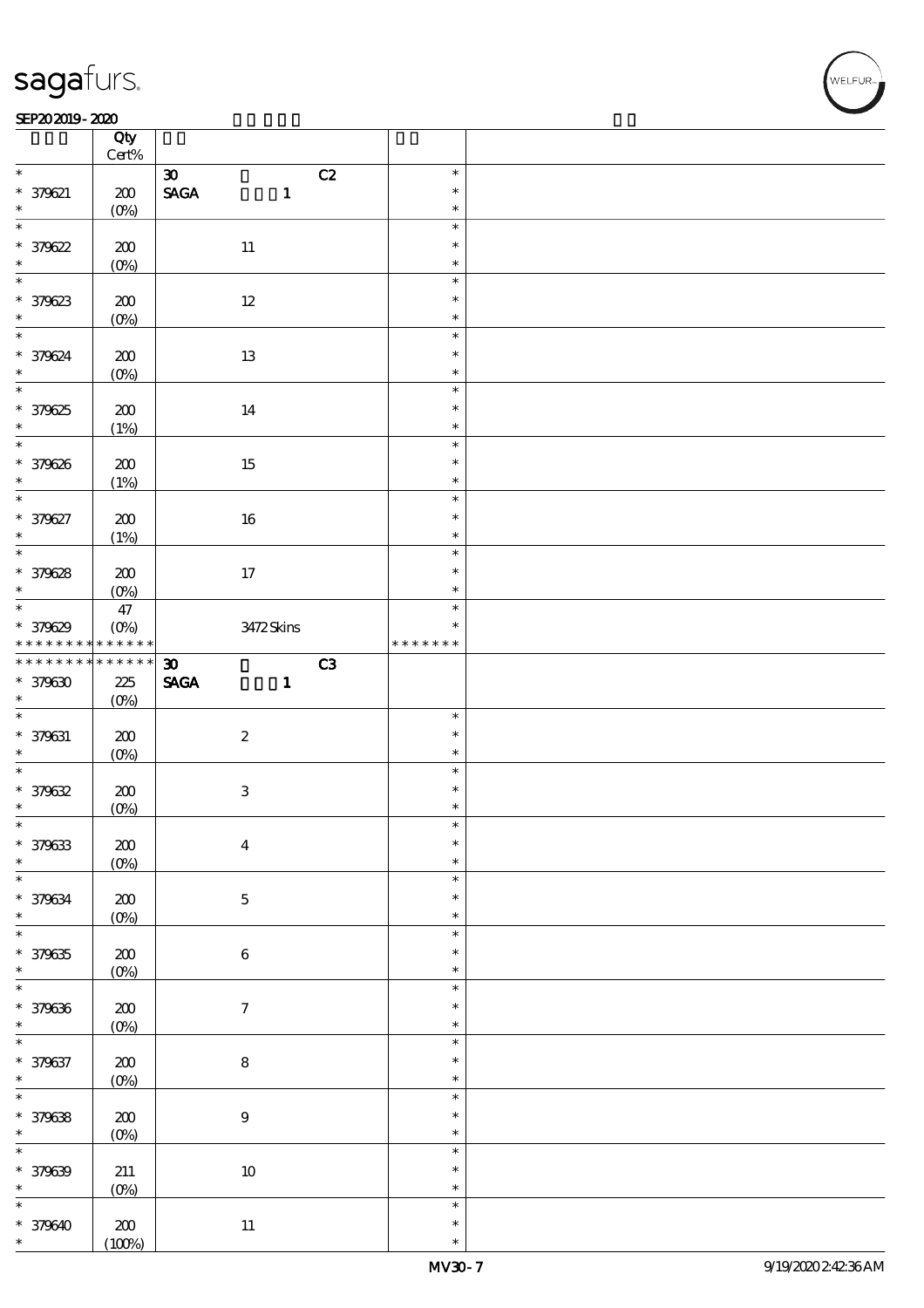#### $SEP202019 - 2020$

|                                | Qty<br>$\mbox{Cert}\%$ |                                               |               |  |
|--------------------------------|------------------------|-----------------------------------------------|---------------|--|
| $*$                            |                        |                                               | $\ast$        |  |
|                                |                        | $\boldsymbol{\mathfrak{D}}$<br>C2             |               |  |
| $* 379621$                     | 200                    | <b>SAGA</b><br>$\mathbf{1}$                   | $\ast$        |  |
| $\ast$                         | $(O\%)$                |                                               | $\ast$        |  |
| $\overline{\ast}$              |                        |                                               | $\ast$        |  |
| $*379622$                      | 200                    | $11\,$                                        | $\ast$        |  |
|                                | $(0\%)$                |                                               | $\ast$        |  |
|                                |                        |                                               | $\ast$        |  |
|                                | 200                    | $12\,$                                        | $\ast$        |  |
| $*379623$                      | $(O_0)$                |                                               | $\ast$        |  |
| $\overline{\phantom{0}}$       |                        |                                               | $\ast$        |  |
|                                |                        |                                               | $\ast$        |  |
| * 379624<br>$\ast$             | $200$                  | 13                                            | $\ast$        |  |
| $\overline{\phantom{0}}$       | $(O\%)$                |                                               |               |  |
|                                |                        |                                               | $\ast$        |  |
| * 379625                       | $200$                  | 14                                            | $\ast$        |  |
| $\ast$                         | (1%)                   |                                               | $\ast$        |  |
|                                |                        |                                               | $\ast$        |  |
| * 379626                       | 200                    | 15                                            | $\ast$        |  |
| $\ast$                         | (1%)                   |                                               | $\ast$        |  |
| $\ast$                         |                        |                                               | $\ast$        |  |
| * 379627                       | 200                    | 16                                            | $\ast$        |  |
| $\ast$                         |                        |                                               | $\ast$        |  |
| $\overline{\ast}$              | (1%)                   |                                               | $\ast$        |  |
|                                |                        |                                               |               |  |
| * 379628                       | 200                    | 17                                            | $\ast$        |  |
| $\ast$                         | $(O\% )$               |                                               | $\ast$        |  |
|                                | 47                     |                                               | $\ast$        |  |
| * 379629                       | $(O\%)$                | 3472Skins                                     | $\ast$        |  |
| * * * * * * * * <mark>*</mark> | $* * * * * * *$        |                                               | * * * * * * * |  |
| * * * * * * * *                | $******$               | $\boldsymbol{\mathfrak{D}}$<br>C <sub>3</sub> |               |  |
| $* 379630$                     | 225                    | <b>SAGA</b><br>$\mathbf{1}$                   |               |  |
|                                |                        |                                               |               |  |
|                                |                        |                                               |               |  |
| $\ast$                         | $(O\%)$                |                                               |               |  |
|                                |                        |                                               | $\ast$        |  |
| $* 379631$                     | 200                    | $\boldsymbol{2}$                              | $\ast$        |  |
| $\ast$                         | $(O\%)$                |                                               | $\ast$        |  |
|                                |                        |                                               | $\ast$        |  |
| $* 379632$                     | 200                    | $\ensuremath{\mathbf{3}}$                     | $\ast$        |  |
| $\ast$                         | $(0\%)$                |                                               | $\ast$        |  |
| $\ast$                         |                        |                                               | $\ast$        |  |
|                                |                        |                                               | $\ast$        |  |
| * 379633<br>$\ast$             | $\pmb{30}$             | $\boldsymbol{4}$                              | $\ast$        |  |
| $\ast$                         | $(0\%)$                |                                               | $\ast$        |  |
|                                |                        |                                               |               |  |
| * 379634                       | $200\,$                | $\mathbf 5$                                   | $\ast$        |  |
| $\ast$                         | $(0\%)$                |                                               | $\ast$        |  |
| $\overline{\ast}$              |                        |                                               | $\ast$        |  |
| $* 379635$                     | $200$                  | $\bf 6$                                       | $\ast$        |  |
| $\ast$                         | $(0\%)$                |                                               | $\ast$        |  |
| $\ast$                         |                        |                                               | $\ast$        |  |
| * 379636                       |                        | $\boldsymbol{7}$                              | $\ast$        |  |
| $\ast$                         | $200\,$                |                                               | $\ast$        |  |
| $\overline{\ast}$              | $(0\%)$                |                                               | $\ast$        |  |
|                                |                        |                                               | $\ast$        |  |
| * 379637                       | 200                    | $\bf 8$                                       |               |  |
| $\ast$                         | $(0\%)$                |                                               | $\ast$        |  |
|                                |                        |                                               | $\ast$        |  |
| $\overline{\ast}$<br>* 379638  | $200$                  | $\boldsymbol{9}$                              | $\ast$        |  |
| $\ast$                         | $(0\%)$                |                                               | $\ast$        |  |
| $\ast$                         |                        |                                               | $\ast$        |  |
| * 379639                       | 211                    | $10\,$                                        | $\ast$        |  |
| $\ast$                         | $(0\%)$                |                                               | $\ast$        |  |
| $\ast$                         |                        |                                               | $\ast$        |  |
| * 379640                       | 200                    | $11\,$                                        | $\ast$        |  |

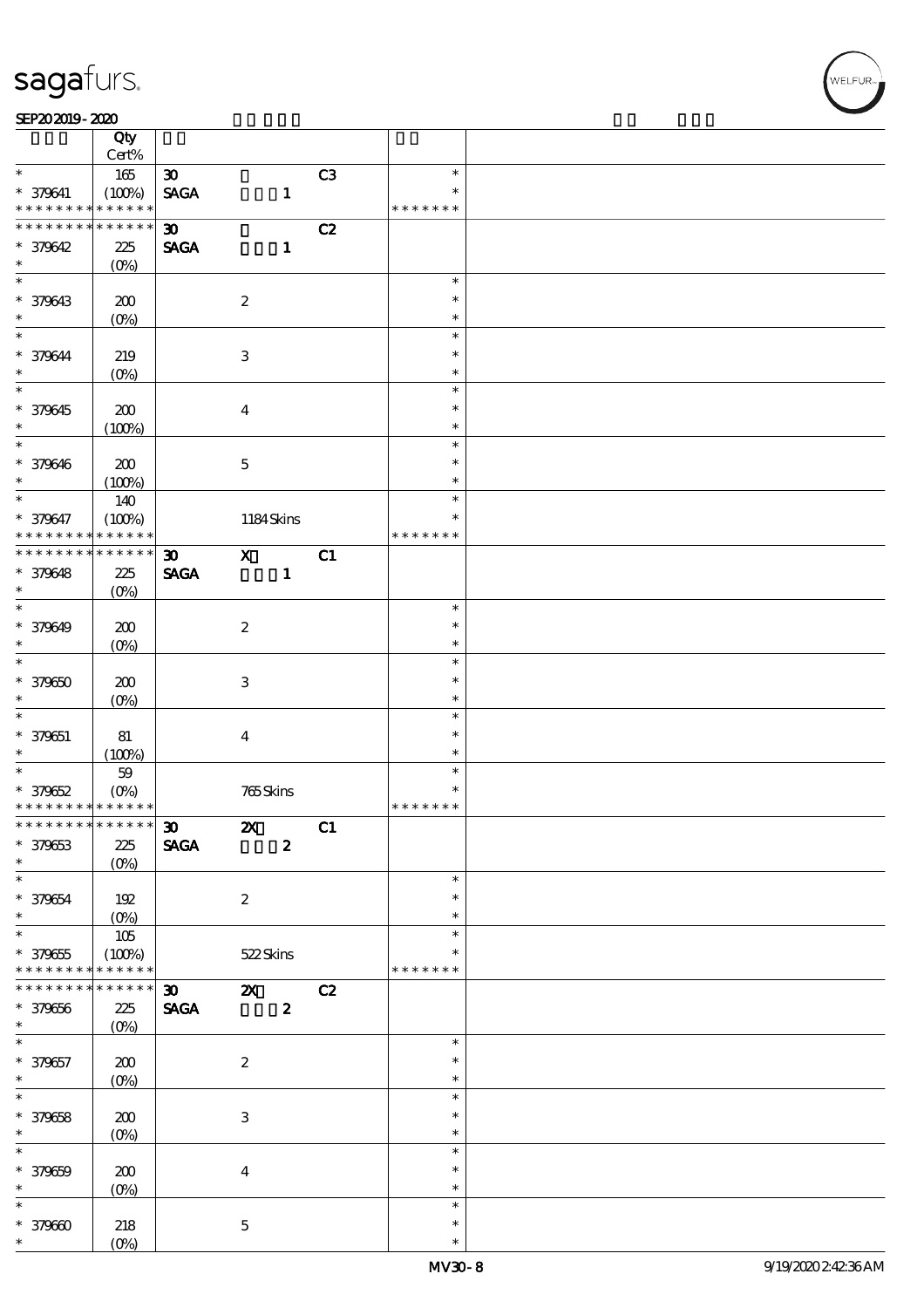#### SEP202019-2020

|                                            | Qty<br>Cert%          |                             |                           |                  |    |                         |  |
|--------------------------------------------|-----------------------|-----------------------------|---------------------------|------------------|----|-------------------------|--|
| $\ast$                                     | $165\,$               | $\boldsymbol{\mathfrak{D}}$ |                           |                  | C3 | $\ast$                  |  |
| * 379641<br>* * * * * * * *                | (100%)<br>* * * * * * | <b>SAGA</b>                 |                           | $\mathbf{1}$     |    | $\ast$<br>* * * * * * * |  |
| * * * * * * * *                            | * * * * * *           |                             |                           |                  |    |                         |  |
|                                            |                       | $\boldsymbol{\mathfrak{D}}$ |                           |                  | C2 |                         |  |
| * 379642                                   | 225                   | <b>SAGA</b>                 |                           | $\mathbf{1}$     |    |                         |  |
| $\ast$                                     | $(O\%)$               |                             |                           |                  |    |                         |  |
| $\overline{\ast}$                          |                       |                             |                           |                  |    | $\ast$                  |  |
| * 379643                                   | 200                   |                             | $\boldsymbol{2}$          |                  |    | $\ast$                  |  |
| $\ast$                                     | (O <sub>0</sub> )     |                             |                           |                  |    | $\ast$                  |  |
| $\overline{\ast}$                          |                       |                             |                           |                  |    | $\ast$                  |  |
|                                            |                       |                             |                           |                  |    |                         |  |
| * 379644                                   | 219                   |                             | 3                         |                  |    | $\ast$                  |  |
| $\ast$                                     | $(O\%)$               |                             |                           |                  |    | $\ast$                  |  |
|                                            |                       |                             |                           |                  |    | $\ast$                  |  |
| * 379645                                   | 200                   |                             | $\boldsymbol{4}$          |                  |    | $\ast$                  |  |
| $\ast$                                     | (100%)                |                             |                           |                  |    | $\ast$                  |  |
| $*$                                        |                       |                             |                           |                  |    | $\ast$                  |  |
| * 379646                                   | 200                   |                             | $\mathbf 5$               |                  |    | $\ast$                  |  |
| $\ast$                                     | (100%)                |                             |                           |                  |    | $\ast$                  |  |
| $\overline{\ast}$                          |                       |                             |                           |                  |    | $\ast$                  |  |
|                                            | 140                   |                             |                           |                  |    |                         |  |
| * 379647                                   | (100%)                |                             | 1184Skins                 |                  |    | $\ast$                  |  |
| * * * * * * * *                            | * * * * * *           |                             |                           |                  |    | * * * * * * *           |  |
| * * * * * * * * <mark>*</mark>             | $* * * * * * *$       | $\boldsymbol{\mathfrak{D}}$ | $\mathbf{x}$              |                  | C1 |                         |  |
| * 379648                                   | 225                   | <b>SAGA</b>                 |                           | $\mathbf{1}$     |    |                         |  |
| $\ast$                                     | $(O\%)$               |                             |                           |                  |    |                         |  |
| $\overline{\ast}$                          |                       |                             |                           |                  |    | $\ast$                  |  |
| * 379649                                   | 200                   |                             | $\boldsymbol{2}$          |                  |    | $\ast$                  |  |
| $\ast$                                     | $(O\!/\!\!\delta)$    |                             |                           |                  |    | $\ast$                  |  |
| $\overline{\ast}$                          |                       |                             |                           |                  |    | $\ast$                  |  |
|                                            |                       |                             |                           |                  |    | $\ast$                  |  |
| $* 379650$                                 | 200                   |                             | 3                         |                  |    |                         |  |
| $\ast$                                     | $(O\%)$               |                             |                           |                  |    | $\ast$                  |  |
| $\ast$                                     |                       |                             |                           |                  |    | $\ast$                  |  |
| $* 379651$                                 | 81                    |                             | $\boldsymbol{4}$          |                  |    | $\ast$                  |  |
| $\ast$                                     | (100%)                |                             |                           |                  |    | $\ast$                  |  |
| $\overline{\ast}$                          | $59$                  |                             |                           |                  |    | $\ast$                  |  |
| $* 379652$                                 | $(O\%)$               |                             | 765Skins                  |                  |    | $\ast$                  |  |
| * * * * * * * * <mark>* * * * * * *</mark> |                       |                             |                           |                  |    | * * * * * * *           |  |
| ************** 130                         |                       |                             | $\mathbf{Z}$              |                  | C1 |                         |  |
|                                            |                       |                             |                           |                  |    |                         |  |
| * 379653                                   | 225                   | <b>SAGA</b>                 |                           | $\boldsymbol{2}$ |    |                         |  |
| $\ast$                                     | $(O\%)$               |                             |                           |                  |    |                         |  |
| $\ast$                                     |                       |                             |                           |                  |    | $\ast$                  |  |
| * 379654                                   | 192                   |                             | $\boldsymbol{2}$          |                  |    | $\ast$                  |  |
| $\ast$                                     | $(0\%)$               |                             |                           |                  |    | $\ast$                  |  |
| $\overline{\ast}$                          | 105                   |                             |                           |                  |    | $\ast$                  |  |
| $* 379655$                                 | (100%)                |                             | 522Skins                  |                  |    | ∗                       |  |
| * * * * * * * *                            | * * * * * *           |                             |                           |                  |    | * * * * * * *           |  |
| * * * * * * *                              | * * * * * *           | $\boldsymbol{\mathfrak{D}}$ | $\boldsymbol{\alpha}$     |                  | C2 |                         |  |
| * 379656                                   | $225\,$               | $\pmb{\text{SAGA}}$         |                           | $\boldsymbol{z}$ |    |                         |  |
| $\ast$                                     |                       |                             |                           |                  |    |                         |  |
| $\overline{\ast}$                          | $(O\%)$               |                             |                           |                  |    |                         |  |
|                                            |                       |                             |                           |                  |    | $\ast$                  |  |
| * 379657                                   | 200                   |                             | $\boldsymbol{z}$          |                  |    | $\ast$                  |  |
| $\ast$                                     | $(O\!/\!o)$           |                             |                           |                  |    | $\ast$                  |  |
| $\overline{\ast}$                          |                       |                             |                           |                  |    | $\ast$                  |  |
| * 379658                                   | 200                   |                             | $\ensuremath{\mathsf{3}}$ |                  |    | $\ast$                  |  |
| $\ast$                                     | $(O\!/\!o)$           |                             |                           |                  |    | $\ast$                  |  |
| $\ast$                                     |                       |                             |                           |                  |    | $\ast$                  |  |
| * 379659                                   | $200$                 |                             | $\boldsymbol{4}$          |                  |    | $\ast$                  |  |
| $\ast$                                     |                       |                             |                           |                  |    | $\ast$                  |  |
| $\ast$                                     | $(0\%)$               |                             |                           |                  |    | $\ast$                  |  |
|                                            |                       |                             |                           |                  |    |                         |  |
| $* 379600$                                 | 218                   |                             | $\mathbf{5}$              |                  |    | $\ast$                  |  |
| $\ast$                                     | $(O\%)$               |                             |                           |                  |    | $\ast$                  |  |

**VELFUR**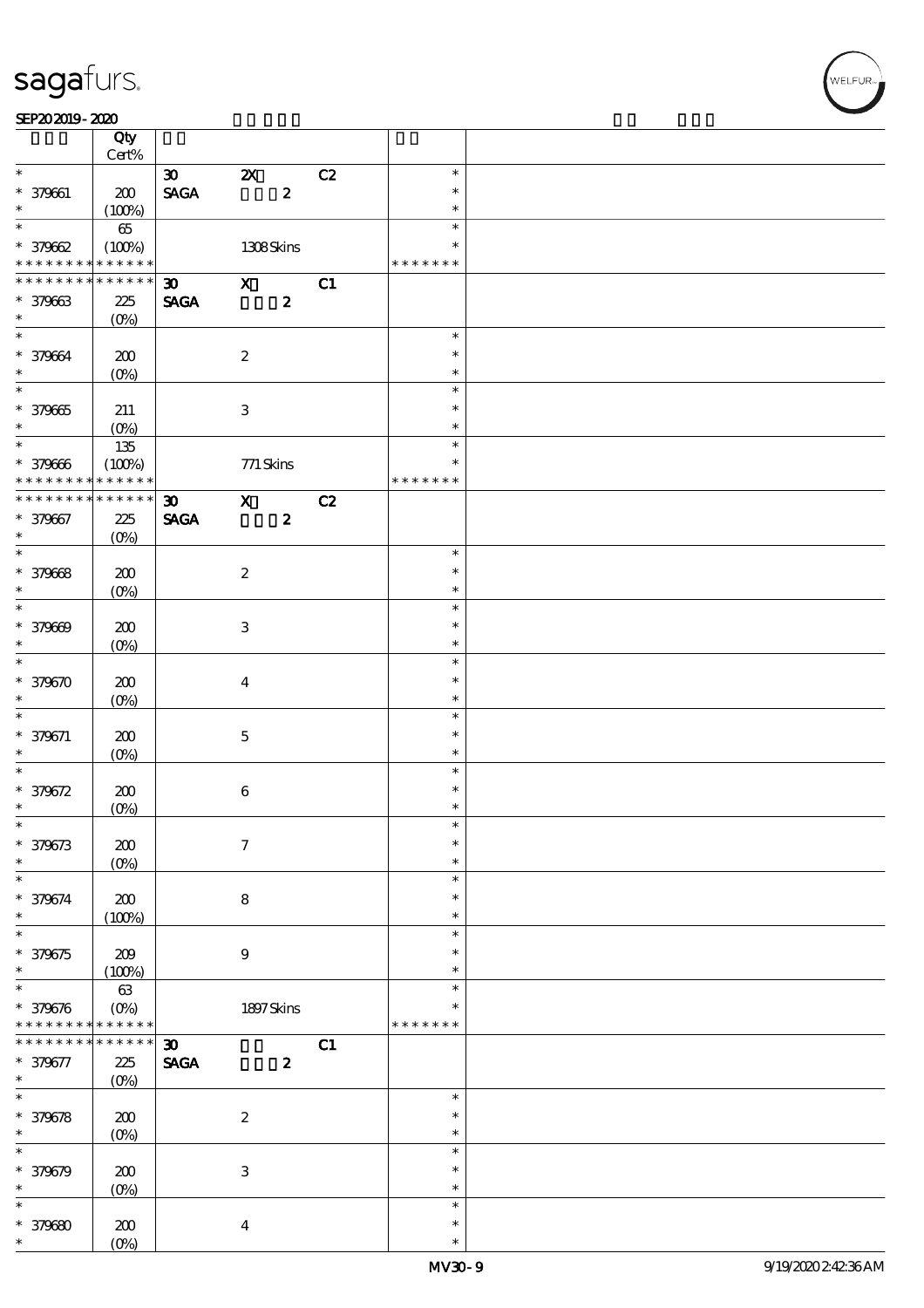#### SEP202019-2020

|                              | Qty<br>Cert%          |                                |                           |                  |    |                         |  |
|------------------------------|-----------------------|--------------------------------|---------------------------|------------------|----|-------------------------|--|
| $\ast$                       |                       | $\infty$                       | $\boldsymbol{\mathsf{Z}}$ |                  | C2 | $\ast$                  |  |
| * 379661                     | 200                   | $\operatorname{\mathsf{SAGA}}$ |                           | $\boldsymbol{2}$ |    | $\ast$                  |  |
| $\ast$                       | (100%)                |                                |                           |                  |    | $\ast$                  |  |
| $\overline{\ast}$            | $65\,$                |                                |                           |                  |    | $\ast$                  |  |
| $* 37962$<br>* * * * * * * * | (100%)<br>* * * * * * |                                | 1308Skins                 |                  |    | $\ast$<br>* * * * * * * |  |
| * * * * * * *                | * * * * * *           | $30 -$                         | $\mathbf{x}$              |                  | C1 |                         |  |
| * 379663                     |                       | <b>SAGA</b>                    |                           | $\boldsymbol{z}$ |    |                         |  |
| $\ast$                       | 225                   |                                |                           |                  |    |                         |  |
| $\overline{\mathbf{r}}$      | $(O\%)$               |                                |                           |                  |    |                         |  |
|                              |                       |                                |                           |                  |    | $\ast$                  |  |
| * 379664                     | 200                   |                                | $\boldsymbol{2}$          |                  |    | $\ast$                  |  |
| $\ast$                       | $(O\%)$               |                                |                           |                  |    | $\ast$                  |  |
| $\overline{\ast}$            |                       |                                |                           |                  |    | $\ast$                  |  |
| $* 379665$                   | 211                   |                                | $\ensuremath{\mathbf{3}}$ |                  |    | $\ast$                  |  |
| $\ast$                       | $(O\%)$               |                                |                           |                  |    | $\ast$                  |  |
|                              | $135\,$               |                                |                           |                  |    | $\ast$                  |  |
| * 379666                     |                       |                                |                           |                  |    | $\ast$                  |  |
| * * * * * * * *              | (100%)<br>* * * * * * |                                | 771 Skins                 |                  |    | * * * * * * *           |  |
|                              |                       |                                |                           |                  |    |                         |  |
| * * * * * * * *              | * * * * * *           | $\boldsymbol{\mathfrak{D}}$    | $\mathbf{x}$              |                  | C2 |                         |  |
| * 379667                     | 225                   | <b>SAGA</b>                    |                           | $\boldsymbol{z}$ |    |                         |  |
| $\ast$                       | $(O\%)$               |                                |                           |                  |    |                         |  |
| $\overline{\ast}$            |                       |                                |                           |                  |    | $\ast$                  |  |
| * 379668                     | 200                   |                                | $\boldsymbol{2}$          |                  |    | $\ast$                  |  |
| $\ast$                       | $(O\%)$               |                                |                           |                  |    | $\ast$                  |  |
| $\overline{\ast}$            |                       |                                |                           |                  |    | $\ast$                  |  |
| * 379669                     | 200                   |                                | $\ensuremath{\mathbf{3}}$ |                  |    | $\ast$                  |  |
| $\ast$                       | (O <sub>0</sub> )     |                                |                           |                  |    | $\ast$                  |  |
| $\overline{\ast}$            |                       |                                |                           |                  |    | $\ast$                  |  |
| * 379670                     | 200                   |                                | $\boldsymbol{4}$          |                  |    | $\ast$                  |  |
| $\ast$                       |                       |                                |                           |                  |    | $\ast$                  |  |
| $\ast$                       | $(O\%)$               |                                |                           |                  |    | $\ast$                  |  |
|                              |                       |                                |                           |                  |    | $\ast$                  |  |
| $* 379671$                   | 200                   |                                | $\bf 5$                   |                  |    | $\ast$                  |  |
| $\ast$<br>$\overline{\ast}$  | $(O\%)$               |                                |                           |                  |    | $\ast$                  |  |
|                              |                       |                                |                           |                  |    |                         |  |
| $* 379672$                   | 200                   |                                | $\bf 6$                   |                  |    | $\ast$                  |  |
| $\ast$                       | $(O\%)$               |                                |                           |                  |    | $\ast$                  |  |
| $\ast$                       |                       |                                |                           |                  |    | $\ast$                  |  |
| * 379673                     | 200                   |                                | $\tau$                    |                  |    | $\ast$                  |  |
| $\ast$                       | $(O\%)$               |                                |                           |                  |    | $\ast$                  |  |
| $\ast$                       |                       |                                |                           |                  |    | $\ast$                  |  |
| * 379674                     | 200                   |                                | 8                         |                  |    | $\ast$                  |  |
| $\ast$                       | (100%)                |                                |                           |                  |    | $\ast$                  |  |
| $\ast$                       |                       |                                |                           |                  |    | $\ast$                  |  |
| $* 379675$                   | 209                   |                                | $\bf{9}$                  |                  |    | $\ast$                  |  |
| $\ast$                       | (100%)                |                                |                           |                  |    | $\ast$                  |  |
| $\ast$                       | $63\,$                |                                |                           |                  |    | $\ast$                  |  |
| * 379676                     | $(O\%)$               |                                | $1897$ Skins              |                  |    | *                       |  |
| * * * * * * * *              | * * * * * *           |                                |                           |                  |    | * * * * * * *           |  |
| * * * * * * * *              | * * * * * *           | $\boldsymbol{\mathfrak{D}}$    |                           |                  | C1 |                         |  |
| * 379677                     | 225                   | $\operatorname{\mathsf{SAGA}}$ |                           | $\boldsymbol{z}$ |    |                         |  |
| $\ast$                       | $(O\%)$               |                                |                           |                  |    |                         |  |
| $\overline{\ast}$            |                       |                                |                           |                  |    | $\ast$                  |  |
| * 379678                     | 200                   |                                | $\boldsymbol{2}$          |                  |    | $\ast$                  |  |
| $\ast$                       | $(O\!/\!\!\delta)$    |                                |                           |                  |    | $\ast$                  |  |
| $\ast$                       |                       |                                |                           |                  |    | $\ast$                  |  |
|                              |                       |                                |                           |                  |    | $\ast$                  |  |
| * 379679<br>$\ast$           | 200                   |                                | $\ensuremath{\mathbf{3}}$ |                  |    | $\ast$                  |  |
| $\ast$                       | (O <sub>0</sub> )     |                                |                           |                  |    | $\ast$                  |  |
|                              |                       |                                |                           |                  |    |                         |  |
| $* 379680$                   | 200                   |                                | $\boldsymbol{4}$          |                  |    | $\ast$                  |  |
| *                            | $(O\%)$               |                                |                           |                  |    | $\ast$                  |  |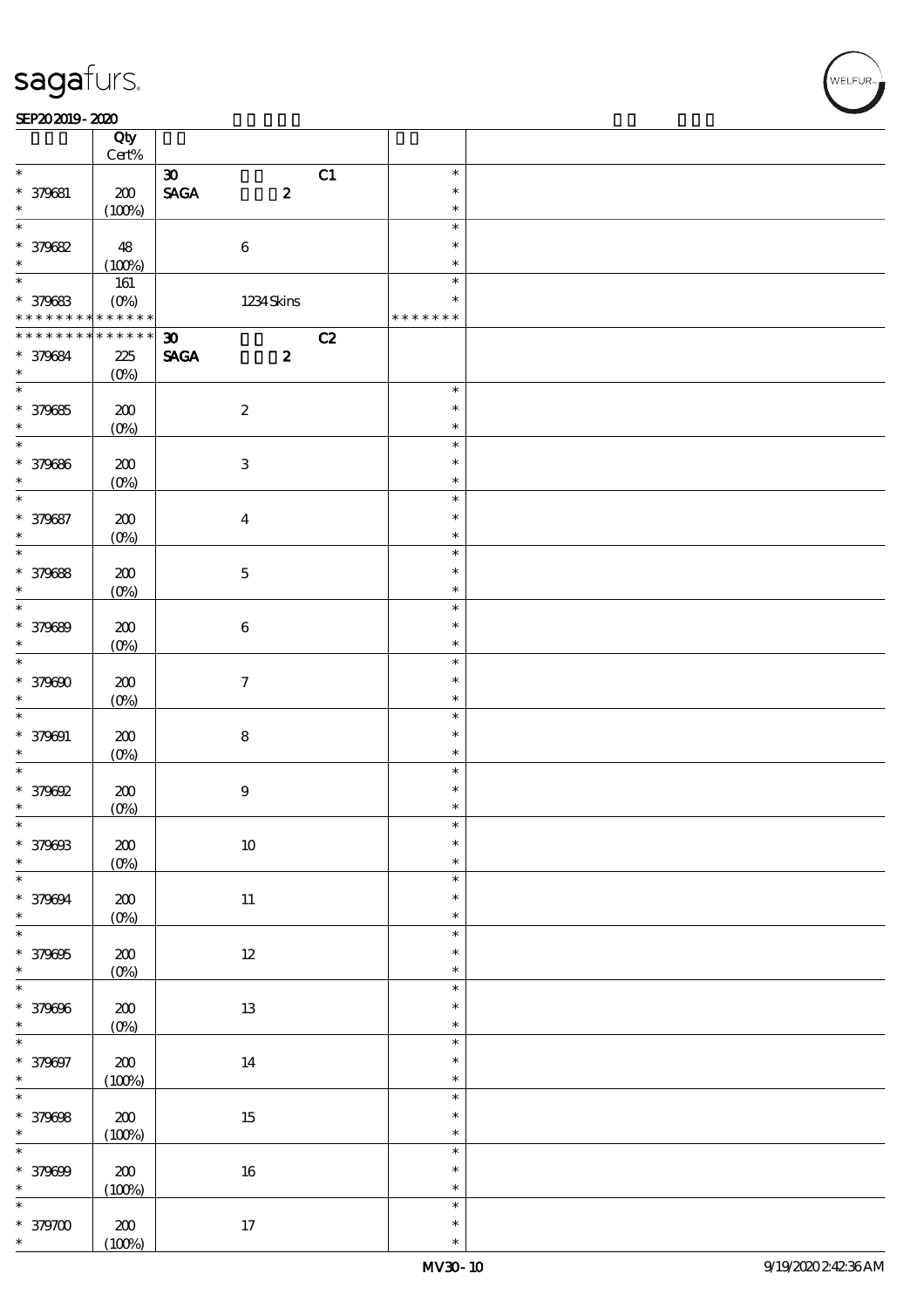$\top$ 

#### SEP202019-2020 RED 2020 RED 2020 RED 2020 RED 2020 RED 2020 RED 2020 RED 2020 RED 2020 RED 2020 RED 2020 RED 20

|                                | Qty<br>$Cert\%$ |                             |                  |    |               |  |
|--------------------------------|-----------------|-----------------------------|------------------|----|---------------|--|
| $\ast$                         |                 |                             |                  |    | $\ast$        |  |
|                                |                 | $\boldsymbol{\mathfrak{D}}$ |                  | C1 |               |  |
| * 379681                       | $200$           | <b>SAGA</b>                 | $\boldsymbol{2}$ |    | $\ast$        |  |
| $\ast$                         | (100%)          |                             |                  |    | $\ast$        |  |
| $\overline{\ast}$              |                 |                             |                  |    | $\ast$        |  |
| * 379682                       | 48              | $\bf 6$                     |                  |    | $\ast$        |  |
| $\ast$                         | (100%)          |                             |                  |    | $\ast$        |  |
|                                | 161             |                             |                  |    | $\ast$        |  |
| * 379683                       | $(0\%)$         |                             | 1234Skins        |    | $\ast$        |  |
| * * * * * * * * <mark>*</mark> | * * * * * *     |                             |                  |    | * * * * * * * |  |
| * * * * * * * *                | $* * * * * * *$ | $\boldsymbol{\mathfrak{D}}$ |                  | C2 |               |  |
| * 379684                       | 225             | <b>SAGA</b>                 | $\boldsymbol{z}$ |    |               |  |
| $\ast$                         | $(O\%)$         |                             |                  |    |               |  |
| $\overline{\phantom{0}}$       |                 |                             |                  |    | $\ast$        |  |
|                                |                 |                             |                  |    | $\ast$        |  |
| $* 379685$                     | 200             | $\boldsymbol{2}$            |                  |    |               |  |
| $\ast$<br>$\overline{\ast}$    | $(O\%)$         |                             |                  |    | $\ast$        |  |
|                                |                 |                             |                  |    | $\ast$        |  |
| * 379686                       | 200             | $\ensuremath{\mathbf{3}}$   |                  |    | $\ast$        |  |
| $\ast$                         | $(O\%)$         |                             |                  |    | $\ast$        |  |
| $\ast$                         |                 |                             |                  |    | $\ast$        |  |
| * 379687                       | 200             | $\boldsymbol{4}$            |                  |    | $\ast$        |  |
| $\ast$                         | $(O\%)$         |                             |                  |    | $\ast$        |  |
| $\overline{\ast}$              |                 |                             |                  |    | $\ast$        |  |
| * 379688                       | 200             | $\bf 5$                     |                  |    | $\ast$        |  |
| $\ast$                         | $(O\%)$         |                             |                  |    | $\ast$        |  |
| $\overline{\ast}$              |                 |                             |                  |    | $\ast$        |  |
| * 379689                       | 200             | $\bf 6$                     |                  |    | $\ast$        |  |
| $\ast$                         | $(O\%)$         |                             |                  |    | $\ast$        |  |
| $\overline{\ast}$              |                 |                             |                  |    | $\ast$        |  |
| * 379690                       |                 |                             |                  |    | $\ast$        |  |
|                                | 200             | $\boldsymbol{\tau}$         |                  |    |               |  |
| $\ast$<br>$\ast$               | $(O\%)$         |                             |                  |    | $\ast$        |  |
|                                |                 |                             |                  |    | $\ast$        |  |
| $* 379091$                     | 200             | ${\bf 8}$                   |                  |    | $\ast$        |  |
| $\ast$                         | $(O\%)$         |                             |                  |    | $\ast$        |  |
|                                |                 |                             |                  |    | $\ast$        |  |
| $*379692$                      | 200             | $\boldsymbol{9}$            |                  |    | $\ast$        |  |
| $\ast$                         | $(0\%)$         |                             |                  |    | $\ast$        |  |
| $\ast$                         |                 |                             |                  |    | $\ast$        |  |
| * 379693                       | $200$           | $10\,$                      |                  |    | $\ast$        |  |
| $\ast$                         | $(0\%)$         |                             |                  |    | $\ast$        |  |
| $\ast$                         |                 |                             |                  |    | $\ast$        |  |
| * 379694                       | 200             | $11\,$                      |                  |    | $\ast$        |  |
| $\ast$                         | $(0\%)$         |                             |                  |    | $\ast$        |  |
| $\overline{\ast}$              |                 |                             |                  |    | $\ast$        |  |
| * 379395                       | $200$           | $12\,$                      |                  |    | $\ast$        |  |
| $\ast$                         | $(0\%)$         |                             |                  |    | $\ast$        |  |
| $\overline{\ast}$              |                 |                             |                  |    | $\ast$        |  |
|                                |                 |                             |                  |    | $\ast$        |  |
| * 379696<br>$\ast$             | $200\,$         | $13\,$                      |                  |    | $\ast$        |  |
| $\overline{\ast}$              | $(0\%)$         |                             |                  |    | $\ast$        |  |
|                                |                 |                             |                  |    |               |  |
| * 379097                       | ${\bf Z0}$      | $14\,$                      |                  |    | $\ast$        |  |
| $\ast$                         | (100%)          |                             |                  |    | $\ast$        |  |
| $\overline{\ast}$              |                 |                             |                  |    | $\ast$        |  |
| * 379098                       | ${\bf Z0}$      | $15\,$                      |                  |    | $\ast$        |  |
| $\ast$                         | (100%)          |                             |                  |    | $\ast$        |  |
| $\ast$                         |                 |                             |                  |    | $\ast$        |  |
| * 379699                       | ${\bf Z0}$      | $16\,$                      |                  |    | $\ast$        |  |
| $\ast$                         | (100%)          |                             |                  |    | $\ast$        |  |
| $\ast$                         |                 |                             |                  |    | $\ast$        |  |
| $*379700$                      | 200             | $17\,$                      |                  |    | $\ast$        |  |
| $\ast$                         | (100%)          |                             |                  |    | $\ast$        |  |

 $\overline{\mathbf{r}}$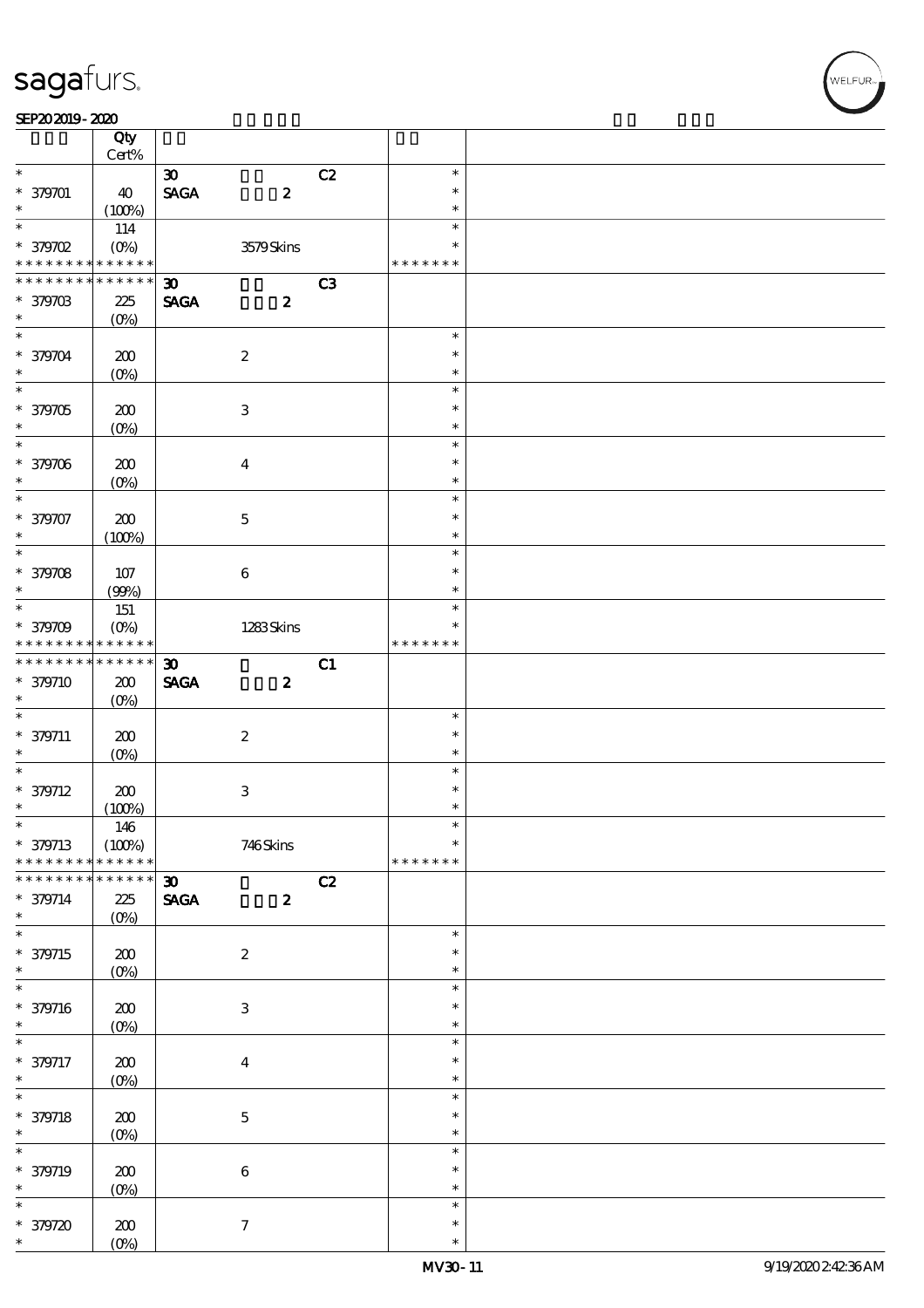|                                                                         | Qty<br>$Cert\%$           |                             |                           |    |                  |  |
|-------------------------------------------------------------------------|---------------------------|-----------------------------|---------------------------|----|------------------|--|
| $\ast$                                                                  |                           |                             |                           |    |                  |  |
|                                                                         |                           | $\boldsymbol{\mathfrak{D}}$ |                           | C2 | $\ast$           |  |
| * 379701                                                                | 40                        | <b>SAGA</b>                 | $\boldsymbol{z}$          |    | $\ast$           |  |
| $\ast$                                                                  | (100%)                    |                             |                           |    | $\ast$           |  |
| $\overline{\ast}$                                                       | 114                       |                             |                           |    | $\ast$           |  |
| $*$ 379702                                                              | $(O\!\!\!\!\!\!\!/\,\!o)$ |                             | 3579Skins                 |    | $\ast$           |  |
| * * * * * * * *                                                         | * * * * * *               |                             |                           |    | * * * * * * *    |  |
| * * * * * * *                                                           | * * * * * *               | $\boldsymbol{\mathfrak{D}}$ |                           | C3 |                  |  |
|                                                                         |                           |                             |                           |    |                  |  |
| * 379703                                                                | 225                       | <b>SAGA</b>                 | $\boldsymbol{z}$          |    |                  |  |
| $\ast$                                                                  | $(O_0)$                   |                             |                           |    |                  |  |
| $\ast$                                                                  |                           |                             |                           |    | $\ast$           |  |
| * 379704                                                                | 200                       |                             | $\boldsymbol{2}$          |    | $\ast$           |  |
| $\ast$                                                                  | $(O\%)$                   |                             |                           |    | $\ast$           |  |
|                                                                         |                           |                             |                           |    | $\ast$           |  |
| * 379705                                                                | 200                       |                             | $\ensuremath{\mathbf{3}}$ |    | $\ast$           |  |
| $\ast$                                                                  |                           |                             |                           |    | $\ast$           |  |
| $\overline{\ast}$                                                       | $(O\%)$                   |                             |                           |    |                  |  |
|                                                                         |                           |                             |                           |    | $\ast$           |  |
| * 379706                                                                | 200                       |                             | $\bf{4}$                  |    | $\ast$           |  |
| $\ast$                                                                  | $(O\%)$                   |                             |                           |    | $\ast$           |  |
| $\ast$                                                                  |                           |                             |                           |    | $\ast$           |  |
| * 379707                                                                | 200                       |                             | $\mathbf 5$               |    | $\ast$           |  |
| $\ast$                                                                  |                           |                             |                           |    | $\ast$           |  |
| $\overline{\ast}$                                                       | (100%)                    |                             |                           |    | $\ast$           |  |
|                                                                         |                           |                             |                           |    |                  |  |
| * 379708                                                                | 107                       |                             | $\bf 6$                   |    | $\ast$           |  |
| $\ast$                                                                  | (90%)                     |                             |                           |    | $\ast$           |  |
|                                                                         | 151                       |                             |                           |    | $\ast$           |  |
| * 379709                                                                | $(O\%)$                   |                             | 1283Skins                 |    | $\ast$           |  |
| * * * * * * * * <mark>*</mark>                                          | * * * * * *               |                             |                           |    | * * * * * * *    |  |
| * * * * * * * *                                                         | $******$                  | $\boldsymbol{\mathfrak{D}}$ |                           | C1 |                  |  |
|                                                                         |                           |                             |                           |    |                  |  |
| * 379710                                                                | 200                       | <b>SAGA</b>                 | $\boldsymbol{z}$          |    |                  |  |
| $\ast$                                                                  | $(O\%)$                   |                             |                           |    |                  |  |
| $\ast$                                                                  |                           |                             |                           |    | $\ast$           |  |
| $* 379711$                                                              | 200                       |                             | $\boldsymbol{2}$          |    | $\ast$           |  |
| $\ast$                                                                  | $(O\%)$                   |                             |                           |    | $\ast$           |  |
| $\ast$                                                                  |                           |                             |                           |    | $\ast$           |  |
| $* 379712$                                                              | 200                       |                             | $\ensuremath{\mathbf{3}}$ |    | $\ast$           |  |
| $\ast$                                                                  |                           |                             |                           |    | $\ast$           |  |
| $\ast$                                                                  | (100%)                    |                             |                           |    |                  |  |
|                                                                         | 146                       |                             |                           |    | $\ast$           |  |
| * 379713                                                                | (100%)                    |                             | 746Skins                  |    | $\ast$           |  |
| * * * * * * * *                                                         | * * * * * *               |                             |                           |    | * * * * * * *    |  |
| * * * * * * *                                                           | * * * * * *               | $\boldsymbol{\mathfrak{D}}$ |                           | C2 |                  |  |
| $* 379714$                                                              | 225                       | <b>SAGA</b>                 | $\boldsymbol{z}$          |    |                  |  |
| $\ast$                                                                  | $(O\%)$                   |                             |                           |    |                  |  |
| $\overline{\ast}$                                                       |                           |                             |                           |    | $\ast$           |  |
|                                                                         |                           |                             |                           |    | $\ast$           |  |
| * 379715                                                                | 200                       |                             | $\boldsymbol{2}$          |    |                  |  |
| $\ast$                                                                  | $(0\%)$                   |                             |                           |    | $\ast$           |  |
| $\ast$                                                                  |                           |                             |                           |    |                  |  |
|                                                                         |                           |                             |                           |    | $\ast$           |  |
|                                                                         | $200$                     |                             | $\ensuremath{\mathsf{3}}$ |    | $\ast$           |  |
|                                                                         |                           |                             |                           |    | $\ast$           |  |
| * 379716<br>$\ast$<br>$\ast$                                            | $(0\%)$                   |                             |                           |    | $\ast$           |  |
|                                                                         |                           |                             |                           |    | $\ast$           |  |
|                                                                         | $200$                     |                             | $\boldsymbol{4}$          |    |                  |  |
| * 379717<br>$\ast$                                                      | $(0\%)$                   |                             |                           |    | $\ast$           |  |
|                                                                         |                           |                             |                           |    | $\ast$           |  |
|                                                                         | 200                       |                             | $\mathbf 5$               |    | $\ast$           |  |
|                                                                         | $(0\%)$                   |                             |                           |    | $\ast$           |  |
|                                                                         |                           |                             |                           |    | $\ast$           |  |
|                                                                         |                           |                             |                           |    | $\ast$           |  |
|                                                                         | $200$                     |                             | $\bf 6$                   |    | $\ast$           |  |
| $\overline{\ast}$<br>* 379718<br>$\ast$<br>$\ast$<br>* 379719<br>$\ast$ | $(0\%)$                   |                             |                           |    |                  |  |
| $\ast$                                                                  |                           |                             |                           |    | $\ast$           |  |
| * 379720<br>$\ast$                                                      | 200<br>$(O\%)$            |                             | $\tau$                    |    | $\ast$<br>$\ast$ |  |

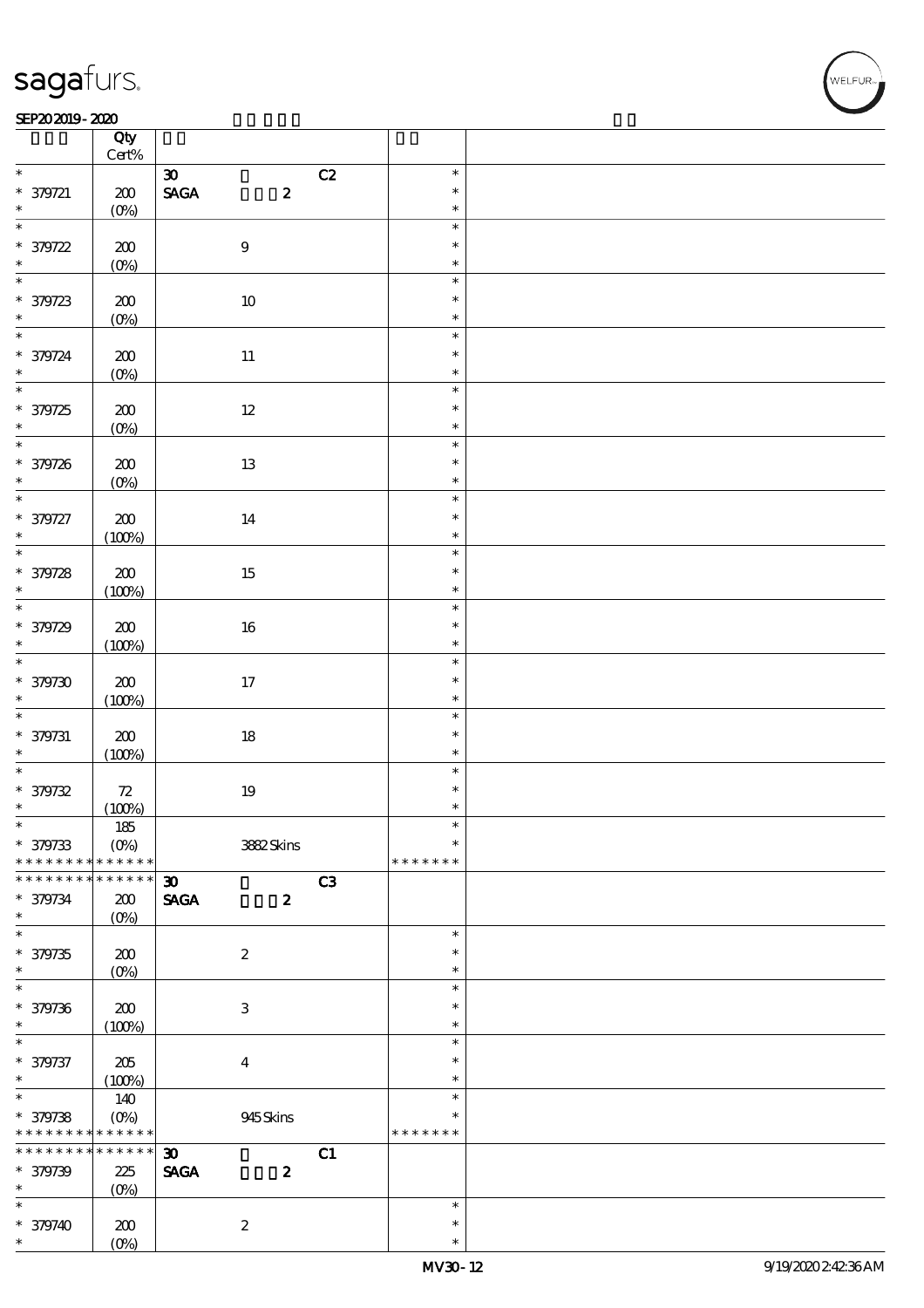#### SEP202019-2020

|                          | Qty<br>$Cert\%$           |                                                  |               |  |
|--------------------------|---------------------------|--------------------------------------------------|---------------|--|
| $\ast$                   |                           | C2<br>$\boldsymbol{\mathfrak{D}}$                | $\ast$        |  |
|                          |                           |                                                  | $\ast$        |  |
| $* 379721$               | 200                       | $\ensuremath{\mathsf{SAGA}}$<br>$\boldsymbol{z}$ |               |  |
| $\ast$                   | $(O\%)$                   |                                                  | $\ast$        |  |
| $\overline{\ast}$        |                           |                                                  | $\ast$        |  |
| * 379722                 | 200                       | $\bf 9$                                          | $\ast$        |  |
|                          | $(0\%)$                   |                                                  | $\ast$        |  |
| $\overline{\ast}$        |                           |                                                  | $\ast$        |  |
|                          | 200                       | $10\,$                                           | $\ast$        |  |
| $*379723$                |                           |                                                  | $\ast$        |  |
| $\overline{\phantom{0}}$ | $(0\%)$                   |                                                  |               |  |
|                          |                           |                                                  | $\ast$        |  |
| * 379724                 | $200$                     | $11\,$                                           | $\ast$        |  |
| $\ast$                   | $(0\%)$                   |                                                  | $\ast$        |  |
| $\overline{\ast}$        |                           |                                                  | $\ast$        |  |
| $* 379725$               | $200$                     | $12\,$                                           | $\ast$        |  |
| $\ast$                   | $(0\%)$                   |                                                  | $\ast$        |  |
|                          |                           |                                                  | $\ast$        |  |
|                          |                           |                                                  |               |  |
| * 379726                 | 200                       | 13                                               | $\ast$        |  |
| $\ast$                   | $(0\%)$                   |                                                  | $\ast$        |  |
| $\overline{\ast}$        |                           |                                                  | $\ast$        |  |
| * 379727                 | $\pmb{30}$                | 14                                               | $\ast$        |  |
| $\ast$                   | (100%)                    |                                                  | $\ast$        |  |
|                          |                           |                                                  | $\ast$        |  |
| * 379728                 | $200\,$                   | 15                                               | $\ast$        |  |
| $\ast$                   |                           |                                                  | $\ast$        |  |
| $\overline{\phantom{0}}$ | (100%)                    |                                                  |               |  |
|                          |                           |                                                  | $\ast$        |  |
| * 379729                 | 200                       | $16\,$                                           | $\ast$        |  |
| $\ast$                   | (100%)                    |                                                  | $\ast$        |  |
|                          |                           |                                                  | $\ast$        |  |
| $*379730$                | $200$                     | 17                                               | $\ast$        |  |
| $\ast$                   | (100%)                    |                                                  | $\ast$        |  |
| $\overline{\phantom{0}}$ |                           |                                                  | $\ast$        |  |
|                          |                           |                                                  | $\ast$        |  |
| $* 379731$               | ${\bf Z0}$                | $18\,$                                           |               |  |
| $\ast$                   | (100%)                    |                                                  | $\ast$        |  |
| $\overline{\ast}$        |                           |                                                  | $\ast$        |  |
| $* 379732$               | 72                        | $19\,$                                           | $\ast$        |  |
| $\ast$                   | (100%)                    |                                                  | $\ast$        |  |
| $\ast$                   | $185\,$                   |                                                  | $\ast$        |  |
| * 379733                 | $(O\!/\!o)$               | 3882Skins                                        | $\ast$        |  |
| * * * * * * * *          | * * * * * *               |                                                  | * * * * * * * |  |
| * * * * * * *            | * * * * * *               | C3<br>$\boldsymbol{\mathfrak{D}}$                |               |  |
|                          |                           |                                                  |               |  |
| * 379734                 | 200                       | <b>SAGA</b><br>$\boldsymbol{z}$                  |               |  |
| $\ast$                   | $(O\%)$                   |                                                  |               |  |
| $\overline{\ast}$        |                           |                                                  | $\ast$        |  |
| $* 379735$               | 200                       | $\boldsymbol{2}$                                 | $\ast$        |  |
| $\ast$                   | $(O\!/\!\delta)$          |                                                  | $\ast$        |  |
| $\ast$                   |                           |                                                  | $\ast$        |  |
| * 379736                 | $\pmb{30}$                | 3                                                | $\ast$        |  |
| $\ast$                   |                           |                                                  | $\ast$        |  |
| $\ast$                   | (100%)                    |                                                  | $\ast$        |  |
|                          |                           |                                                  |               |  |
| * 379737                 | 205                       | $\bf{4}$                                         | $\ast$        |  |
| $\ast$                   | (100%)                    |                                                  | $\ast$        |  |
| $\overline{\ast}$        | 140                       |                                                  | $\ast$        |  |
| * 379738                 | $(O\!\!\!\!\!\!\!/\,\!o)$ | 945Skins                                         | $\ast$        |  |
| * * * * * * * *          | * * * * * *               |                                                  | * * * * * * * |  |
| * * * * * * * *          | $******$                  | $\boldsymbol{\mathfrak{D}}$<br>C1                |               |  |
| * 379739                 | 225                       | <b>SAGA</b><br>$\boldsymbol{2}$                  |               |  |
| $\ast$                   |                           |                                                  |               |  |
| $\ast$                   | $(O\%)$                   |                                                  | $\ast$        |  |
|                          |                           |                                                  |               |  |
| $* 379740$               | 200                       | $\boldsymbol{z}$                                 | $\ast$        |  |
| $\ast$                   | $(O\!/\!\!\delta)$        |                                                  | $\ast$        |  |

VELFUR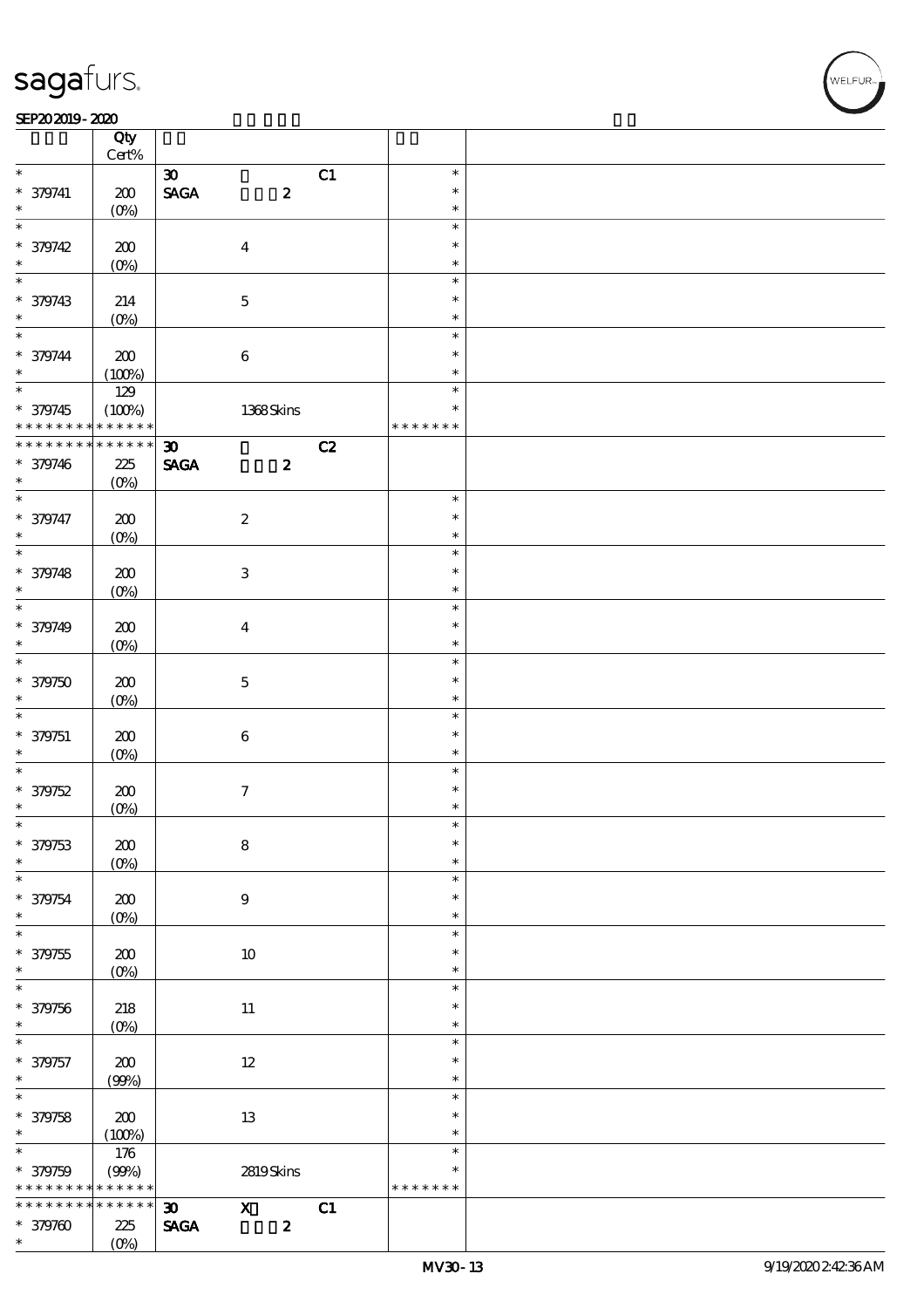#### $SEP202019 - 2020$

|                          | Qty<br>$Cert\%$    |                             |                           |                  |    |               |  |
|--------------------------|--------------------|-----------------------------|---------------------------|------------------|----|---------------|--|
| $\ast$                   |                    | $\boldsymbol{\mathfrak{D}}$ |                           |                  |    | $\ast$        |  |
|                          |                    |                             |                           |                  | C1 |               |  |
| $* 379741$               | 200                | <b>SAGA</b>                 |                           | $\pmb{2}$        |    | $\ast$        |  |
| $\ast$                   | $(O\%)$            |                             |                           |                  |    | $\ast$        |  |
| $\overline{\ast}$        |                    |                             |                           |                  |    | $\ast$        |  |
| * 379742                 | 200                |                             | $\boldsymbol{4}$          |                  |    | $\ast$        |  |
|                          |                    |                             |                           |                  |    |               |  |
| $\ast$                   | $(0\%)$            |                             |                           |                  |    | $\ast$        |  |
| $\overline{\ast}$        |                    |                             |                           |                  |    | $\ast$        |  |
| * 379743                 | 214                |                             | $\mathbf 5$               |                  |    | $\ast$        |  |
| $\ast$                   | $(O\%)$            |                             |                           |                  |    | $\ast$        |  |
| $\ast$                   |                    |                             |                           |                  |    |               |  |
|                          |                    |                             |                           |                  |    | $\ast$        |  |
| $* 379744$               | 200                |                             | $\bf 6$                   |                  |    | $\ast$        |  |
| $\ast$                   | (100%)             |                             |                           |                  |    | $\ast$        |  |
| $\overline{\phantom{0}}$ | 129                |                             |                           |                  |    | $\ast$        |  |
|                          |                    |                             |                           |                  |    | $\ast$        |  |
| * 379745                 | (100%)             |                             | 1368Skins                 |                  |    |               |  |
| * * * * * * * *          | * * * * * *        |                             |                           |                  |    | * * * * * * * |  |
| * * * * * * * *          | $******$           | $\boldsymbol{\mathfrak{D}}$ |                           |                  | C2 |               |  |
| * 379746                 | 225                | <b>SAGA</b>                 |                           | $\boldsymbol{z}$ |    |               |  |
| $\ast$                   | $(O\%)$            |                             |                           |                  |    |               |  |
| $\overline{\ast}$        |                    |                             |                           |                  |    | $\ast$        |  |
|                          |                    |                             |                           |                  |    |               |  |
| * 379747                 | 200                |                             | $\boldsymbol{2}$          |                  |    | $\ast$        |  |
| $\ast$                   | $(O\%)$            |                             |                           |                  |    | $\ast$        |  |
| $\overline{\ast}$        |                    |                             |                           |                  |    | $\ast$        |  |
| * 379748                 | 200                |                             | $\ensuremath{\mathbf{3}}$ |                  |    | $\ast$        |  |
|                          |                    |                             |                           |                  |    |               |  |
| $\ast$                   | $(O\%)$            |                             |                           |                  |    | $\ast$        |  |
| $\ast$                   |                    |                             |                           |                  |    | $\ast$        |  |
| * 379749                 | 200                |                             | $\overline{\mathbf{4}}$   |                  |    | $\ast$        |  |
| $\ast$                   | $(O\%)$            |                             |                           |                  |    | $\ast$        |  |
| $\overline{\ast}$        |                    |                             |                           |                  |    | $\ast$        |  |
|                          |                    |                             |                           |                  |    |               |  |
| $* 379750$               | 200                |                             | $\mathbf{5}$              |                  |    | $\ast$        |  |
| $\ast$                   | $(O\%)$            |                             |                           |                  |    | $\ast$        |  |
| $\ast$                   |                    |                             |                           |                  |    | $\ast$        |  |
| * 379751                 | 200                |                             | $\bf 6$                   |                  |    | $\ast$        |  |
| $\ast$                   |                    |                             |                           |                  |    | $\ast$        |  |
|                          | $(O\%)$            |                             |                           |                  |    |               |  |
| $\ast$                   |                    |                             |                           |                  |    | $\ast$        |  |
| * 379752                 | 200                |                             | $\boldsymbol{7}$          |                  |    | $\ast$        |  |
| $\ast$                   | $(0\%)$            |                             |                           |                  |    | $\ast$        |  |
| $\ast$                   |                    |                             |                           |                  |    | $\ast$        |  |
|                          |                    |                             |                           |                  |    | $\ast$        |  |
| * 379753                 | $\pmb{30}$         |                             | ${\bf 8}$                 |                  |    |               |  |
| $\ast$                   | $(0\%)$            |                             |                           |                  |    | $\ast$        |  |
| $\ast$                   |                    |                             |                           |                  |    | $\ast$        |  |
| * 379754                 | 200                |                             | 9                         |                  |    | $\ast$        |  |
| $\ast$                   | (O <sub>0</sub> )  |                             |                           |                  |    | $\ast$        |  |
| $\overline{\ast}$        |                    |                             |                           |                  |    | $\ast$        |  |
|                          |                    |                             |                           |                  |    |               |  |
| $* 379755$               | 200                |                             | $10\,$                    |                  |    | $\ast$        |  |
| $\ast$                   | $(O\!/\!\!\delta)$ |                             |                           |                  |    | $\ast$        |  |
| $\ast$                   |                    |                             |                           |                  |    | $\ast$        |  |
| * 379756                 | 218                |                             | 11                        |                  |    | $\ast$        |  |
| $\ast$                   |                    |                             |                           |                  |    | $\ast$        |  |
|                          | $(0\%)$            |                             |                           |                  |    |               |  |
| $\ast$                   |                    |                             |                           |                  |    | $\ast$        |  |
| * 379757                 | $200$              |                             | $12\,$                    |                  |    | $\ast$        |  |
| $\ast$                   | (90%)              |                             |                           |                  |    | $\ast$        |  |
| $\overline{\ast}$        |                    |                             |                           |                  |    | $\ast$        |  |
|                          |                    |                             |                           |                  |    | $\ast$        |  |
| * 379758                 | 200                |                             | 13                        |                  |    |               |  |
| $\ast$                   | (100%)             |                             |                           |                  |    | $\ast$        |  |
| $\ast$                   | 176                |                             |                           |                  |    | $\ast$        |  |
| * 379759                 | (90%)              |                             | 2819Skins                 |                  |    | $\ast$        |  |
| * * * * * * * *          | * * * * * *        |                             |                           |                  |    | * * * * * * * |  |
| * * * * * *              | * * * * * *        |                             |                           |                  |    |               |  |
| $\ast$                   |                    | $\boldsymbol{\mathfrak{D}}$ | $\mathbf x$               |                  | C1 |               |  |
| $* 379700$               | 225                | <b>SAGA</b>                 |                           | $\pmb{2}$        |    |               |  |
|                          | $(O\%)$            |                             |                           |                  |    |               |  |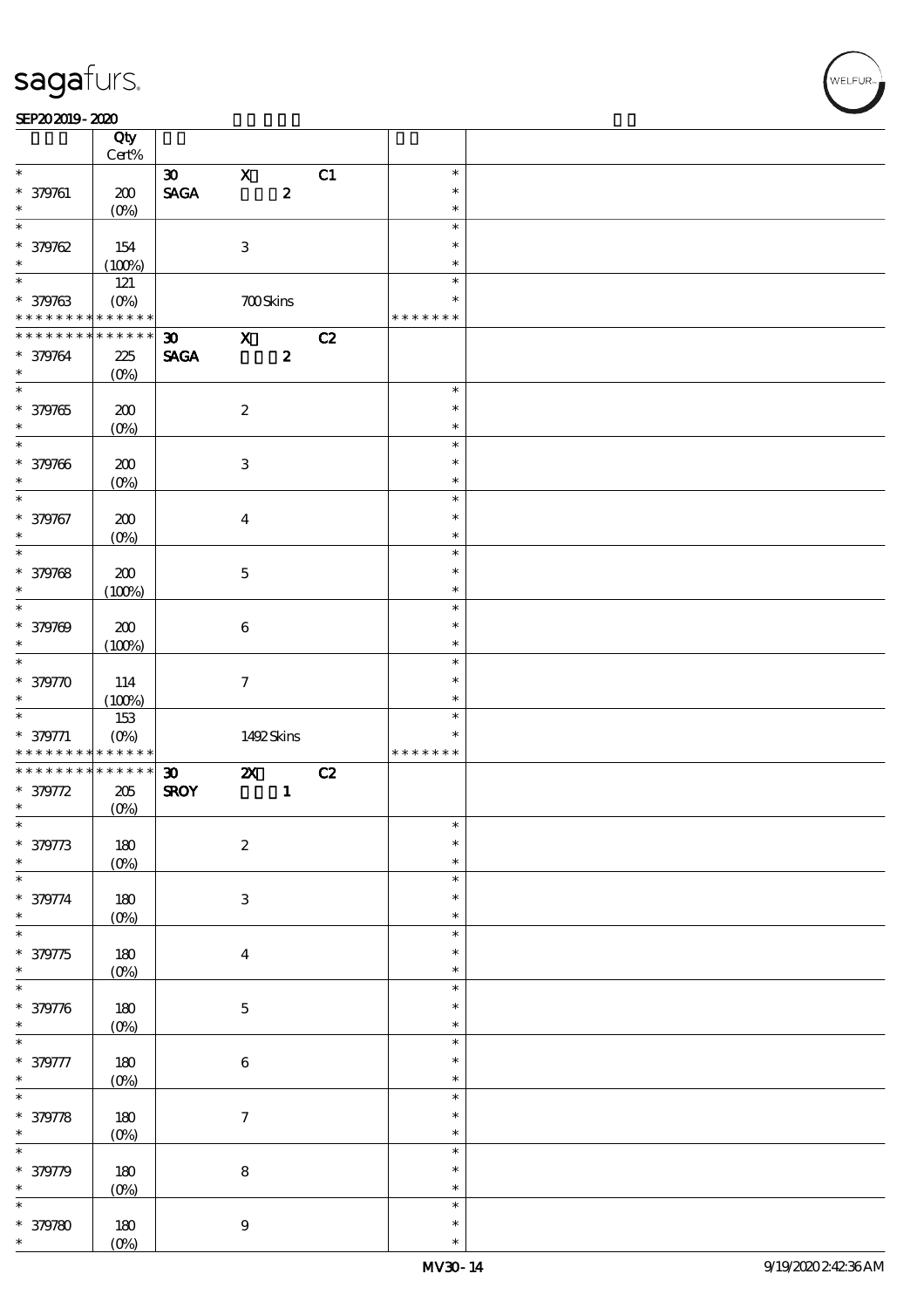#### SEP202019-2020

|                                                             | Qty<br>$Cert\%$        |                                |                           |                  |    |               |  |
|-------------------------------------------------------------|------------------------|--------------------------------|---------------------------|------------------|----|---------------|--|
| $\ast$                                                      |                        |                                |                           |                  |    |               |  |
|                                                             |                        | $\boldsymbol{\mathfrak{D}}$    | $\mathbf X$               |                  | C1 | $\ast$        |  |
| $* 379761$                                                  | 200                    | $\operatorname{\mathsf{SAGA}}$ |                           | $\pmb{2}$        |    | $\ast$        |  |
| $\ast$                                                      | $(O\%)$                |                                |                           |                  |    | $\ast$        |  |
| $\ast$                                                      |                        |                                |                           |                  |    | $\ast$        |  |
| $*379762$                                                   | 154                    |                                | $\ensuremath{\mathbf{3}}$ |                  |    | $\ast$        |  |
| $\ast$                                                      | (100%)                 |                                |                           |                  |    | $\ast$        |  |
| $\overline{\ast}$                                           | 121                    |                                |                           |                  |    | $\ast$        |  |
| * 379763                                                    | $(O\%)$                |                                |                           | <b>700Skins</b>  |    | $\ast$        |  |
| * * * * * * * *                                             | * * * * * *            |                                |                           |                  |    | * * * * * * * |  |
|                                                             |                        |                                |                           |                  |    |               |  |
| * * * * * * * *                                             | * * * * * *            | $\boldsymbol{\mathfrak{D}}$    | $\boldsymbol{\mathrm{X}}$ |                  | C2 |               |  |
| * 379764                                                    | 225                    | <b>SAGA</b>                    |                           | $\boldsymbol{z}$ |    |               |  |
| $\ast$                                                      | $(O\%)$                |                                |                           |                  |    |               |  |
| $\overline{\ast}$                                           |                        |                                |                           |                  |    | $\ast$        |  |
| * 379765                                                    | 200                    |                                | $\boldsymbol{2}$          |                  |    | $\ast$        |  |
| $\ast$                                                      | $(0\%)$                |                                |                           |                  |    | $\ast$        |  |
| $\overline{\phantom{0}}$                                    |                        |                                |                           |                  |    | $\ast$        |  |
| * 379766                                                    | 200                    |                                | $\,3$                     |                  |    | $\ast$        |  |
| $\ast$                                                      |                        |                                |                           |                  |    | $\ast$        |  |
|                                                             | $(O\%)$                |                                |                           |                  |    |               |  |
| $\ast$                                                      |                        |                                |                           |                  |    | $\ast$        |  |
| * 379767                                                    | 200                    |                                | $\bf{4}$                  |                  |    | $\ast$        |  |
| $\ast$                                                      | $(0\%)$                |                                |                           |                  |    | $\ast$        |  |
| $\ast$                                                      |                        |                                |                           |                  |    | $\ast$        |  |
| * 379768                                                    | 200                    |                                | $\mathbf 5$               |                  |    | $\ast$        |  |
| $\ast$                                                      | (100%)                 |                                |                           |                  |    | $\ast$        |  |
| $\overline{\ast}$                                           |                        |                                |                           |                  |    | $\ast$        |  |
| * 379769                                                    | 200                    |                                | $\bf 6$                   |                  |    | $\ast$        |  |
| $\ast$                                                      |                        |                                |                           |                  |    | $\ast$        |  |
| $\overline{\ast}$                                           | (100%)                 |                                |                           |                  |    |               |  |
|                                                             |                        |                                |                           |                  |    | $\ast$        |  |
| * 379770                                                    | 114                    |                                | $\boldsymbol{\tau}$       |                  |    | $\ast$        |  |
|                                                             |                        |                                |                           |                  |    |               |  |
| $\ast$                                                      | (100%)                 |                                |                           |                  |    | $\ast$        |  |
|                                                             | 153                    |                                |                           |                  |    | $\ast$        |  |
|                                                             |                        |                                |                           |                  |    | $\ast$        |  |
| $* 379771$<br>* * * * * * * *                               | $(O\%)$<br>* * * * * * |                                |                           | 1492Skins        |    | * * * * * * * |  |
| * * * * * * * *                                             | $******$               |                                |                           |                  |    |               |  |
|                                                             |                        | $\boldsymbol{\mathfrak{D}}$    | $\boldsymbol{\mathsf{z}}$ |                  | C2 |               |  |
| $* 379772$<br>$\ast$                                        | 205                    | <b>SROY</b>                    |                           | $\mathbf 1$      |    |               |  |
|                                                             | (0%)                   |                                |                           |                  |    |               |  |
| $\ast$                                                      |                        |                                |                           |                  |    | $\ast$        |  |
|                                                             | $180\,$                |                                | $\boldsymbol{2}$          |                  |    | $\ast$        |  |
| * 379773<br>$\ast$                                          | $(0\%)$                |                                |                           |                  |    | $\ast$        |  |
|                                                             |                        |                                |                           |                  |    | $\ast$        |  |
| $\ast$<br>* 379774                                          | $180\,$                |                                | $\,3$                     |                  |    | $\ast$        |  |
| $\ast$                                                      | $(0\%)$                |                                |                           |                  |    | $\ast$        |  |
| $\overline{\ast}$                                           |                        |                                |                           |                  |    | $\ast$        |  |
|                                                             |                        |                                |                           |                  |    | $\ast$        |  |
| * 379775<br>$\ast$                                          | $180\,$                |                                | $\boldsymbol{4}$          |                  |    | $\ast$        |  |
| $\ast$                                                      | $(0\%)$                |                                |                           |                  |    | $\ast$        |  |
|                                                             |                        |                                |                           |                  |    |               |  |
| * 379776                                                    | $180\,$                |                                | $\mathbf 5$               |                  |    | $\ast$        |  |
| $\ast$                                                      | $(0\%)$                |                                |                           |                  |    | $\ast$        |  |
| $\ast$                                                      |                        |                                |                           |                  |    | $\ast$        |  |
| * 379777                                                    | $180\,$                |                                | $\,6\,$                   |                  |    | $\ast$        |  |
|                                                             | (0%)                   |                                |                           |                  |    | $\ast$        |  |
|                                                             |                        |                                |                           |                  |    | $\ast$        |  |
|                                                             | 180                    |                                | $\boldsymbol{7}$          |                  |    | $\ast$        |  |
|                                                             | (0%)                   |                                |                           |                  |    | $\ast$        |  |
| $\ast$<br>$\overline{\ast}$<br>* 379778<br>$\ast$<br>$\ast$ |                        |                                |                           |                  |    | $\ast$        |  |
|                                                             |                        |                                |                           |                  |    | $\ast$        |  |
| * 379779<br>$\ast$                                          | $180\,$                |                                | $\bf 8$                   |                  |    | $\ast$        |  |
| $\ast$                                                      | (0%)                   |                                |                           |                  |    | $\ast$        |  |
|                                                             |                        |                                |                           |                  |    | $\ast$        |  |
| $* 379780$<br>$\ast$                                        | 180<br>$(0\%)$         |                                | $\boldsymbol{9}$          |                  |    | $\ast$        |  |

,<br>WELFUR: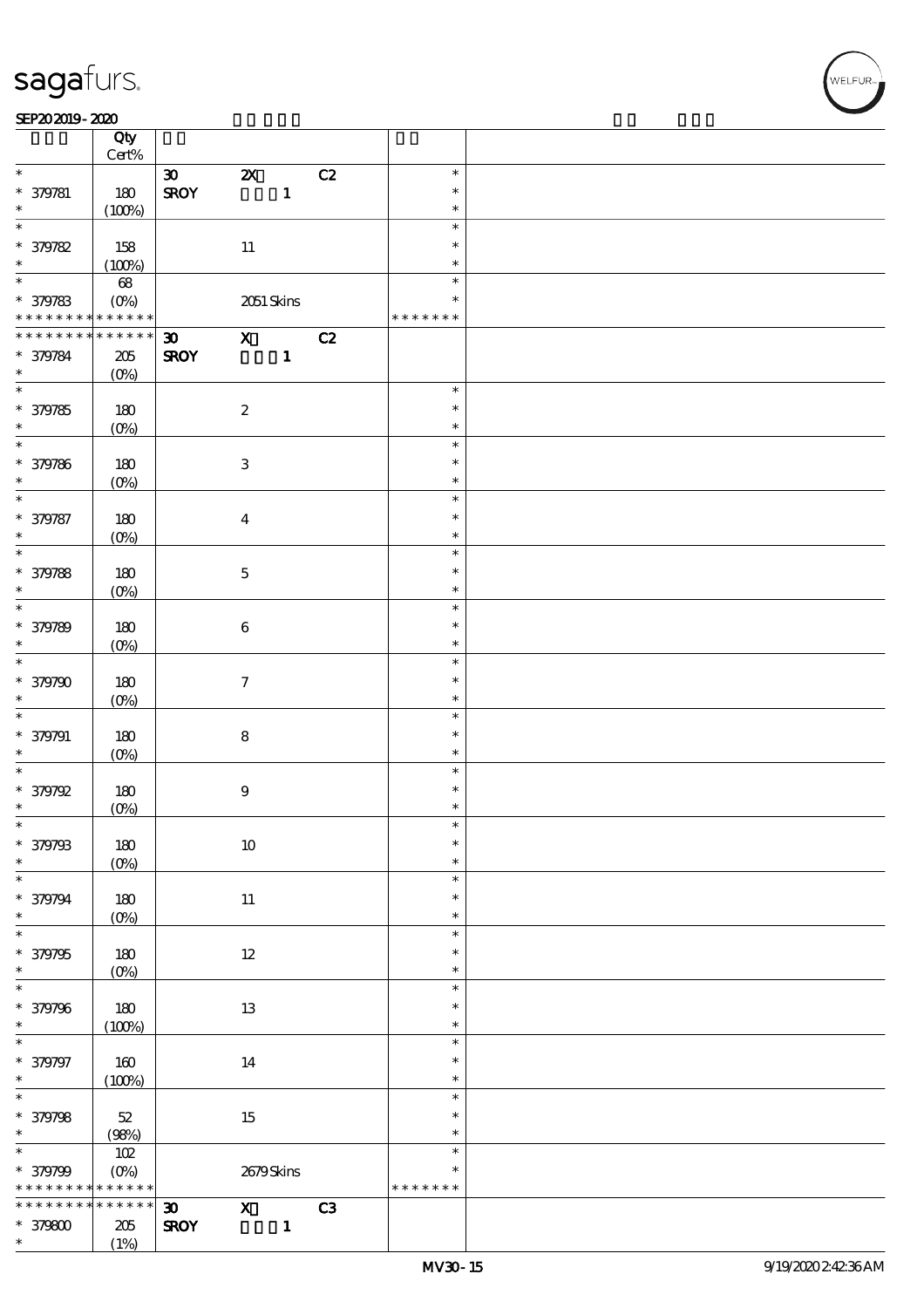#### SEP202019-2020 RED 2020 RED 2020 RED 2020 RED 2020 RED 2020 RED 2020 RED 2020 RED 2020 RED 2020 RED 2020 RED 20

|                   | Qty<br>$\mbox{Cert}\%$  |                             |                           |              |    |               |  |
|-------------------|-------------------------|-----------------------------|---------------------------|--------------|----|---------------|--|
|                   |                         |                             |                           |              |    |               |  |
| $\ast$            |                         | $\boldsymbol{\mathfrak{D}}$ | $\boldsymbol{\mathsf{Z}}$ |              | C2 | $\ast$        |  |
| * 379781          | 180                     | <b>SROY</b>                 |                           | $\mathbf{1}$ |    | $\ast$        |  |
| $\ast$            | (100%)                  |                             |                           |              |    | $\ast$        |  |
| $\ast$            |                         |                             |                           |              |    | $\ast$        |  |
| * 379782          | 158                     |                             | $11\,$                    |              |    | $\ast$        |  |
| $\ast$            | (100%)                  |                             |                           |              |    | $\ast$        |  |
| $\overline{\ast}$ |                         |                             |                           |              |    | $\ast$        |  |
|                   | $68\,$                  |                             |                           |              |    |               |  |
| * 379783          | $(O\%)$                 |                             |                           | 2051 Skins   |    | $\ast$        |  |
| * * * * * * * *   | * * * * * *             |                             |                           |              |    | * * * * * * * |  |
| * * * * * * * *   | * * * * * *             | $\boldsymbol{\mathfrak{D}}$ | $\mathbf{X}$              |              | C2 |               |  |
| * 379784          | $205\,$                 | <b>SROY</b>                 |                           | $\mathbf{1}$ |    |               |  |
| $\ast$            | $(O\%)$                 |                             |                           |              |    |               |  |
|                   |                         |                             |                           |              |    | $\ast$        |  |
|                   |                         |                             |                           |              |    | $\ast$        |  |
| * 379785          | 180                     |                             | $\boldsymbol{2}$          |              |    |               |  |
| $\ast$            | $(O\%)$                 |                             |                           |              |    | $\ast$        |  |
|                   |                         |                             |                           |              |    | $\ast$        |  |
| * 379786          | 180                     |                             | $\ensuremath{\mathbf{3}}$ |              |    | $\ast$        |  |
| $\ast$            | $(O\%)$                 |                             |                           |              |    | $\ast$        |  |
| $\ast$            |                         |                             |                           |              |    | $\ast$        |  |
| * 379787          | 180                     |                             | $\boldsymbol{4}$          |              |    | $\ast$        |  |
| $\ast$            |                         |                             |                           |              |    | $\ast$        |  |
| $\overline{\ast}$ | $(O\%)$                 |                             |                           |              |    | $\ast$        |  |
|                   |                         |                             |                           |              |    |               |  |
| * 379788          | 180                     |                             | $\mathbf 5$               |              |    | $\ast$        |  |
| $\ast$            | $(O\%)$                 |                             |                           |              |    | $\ast$        |  |
| $\overline{\ast}$ |                         |                             |                           |              |    | $\ast$        |  |
| * 379789          | 180                     |                             | $\bf 6$                   |              |    | $\ast$        |  |
| $\ast$            | $(O\%)$                 |                             |                           |              |    | $\ast$        |  |
| $\overline{\ast}$ |                         |                             |                           |              |    | $\ast$        |  |
|                   |                         |                             |                           |              |    |               |  |
| * 379790          | 180                     |                             | $\boldsymbol{\tau}$       |              |    | $\ast$        |  |
| $\ast$            | $(O\%)$                 |                             |                           |              |    | $\ast$        |  |
| $\ast$            |                         |                             |                           |              |    | $\ast$        |  |
| * 379791          | 180                     |                             | ${\bf 8}$                 |              |    | $\ast$        |  |
| $\ast$            | $(O\%)$                 |                             |                           |              |    | $\ast$        |  |
| $\ast$            |                         |                             |                           |              |    | $\ast$        |  |
| * 379792          | 180                     |                             | $\boldsymbol{9}$          |              |    | $\ast$        |  |
| $\ast$            |                         |                             |                           |              |    | $\ast$        |  |
|                   | $(0\%)$                 |                             |                           |              |    |               |  |
| *                 |                         |                             |                           |              |    | $\ast$        |  |
| * 379793          | 180                     |                             | $10\,$                    |              |    | $\ast$        |  |
| $\ast$            | $(0\%)$                 |                             |                           |              |    | $\ast$        |  |
| $\ast$            |                         |                             |                           |              |    | $\ast$        |  |
| * 379794          | 180                     |                             | $11\,$                    |              |    | $\ast$        |  |
| $\ast$            | $(O\%)$                 |                             |                           |              |    | $\ast$        |  |
| $\overline{\ast}$ |                         |                             |                           |              |    | $\ast$        |  |
| * 379795          |                         |                             |                           |              |    | $\ast$        |  |
| $\ast$            | 180                     |                             | $12\,$                    |              |    |               |  |
|                   | $(O\!/\!\delta)$        |                             |                           |              |    | $\ast$        |  |
| $\ast$            |                         |                             |                           |              |    | $\ast$        |  |
| * 379796          | $180\,$                 |                             | $13\,$                    |              |    | $\ast$        |  |
| $\ast$            | (100%)                  |                             |                           |              |    | $\ast$        |  |
| $\ast$            |                         |                             |                           |              |    | $\ast$        |  |
| * 379797          | 160                     |                             | 14                        |              |    | $\ast$        |  |
| $\ast$            |                         |                             |                           |              |    | $\ast$        |  |
| $\overline{\ast}$ | (100%)                  |                             |                           |              |    | $\ast$        |  |
|                   |                         |                             |                           |              |    |               |  |
| * 379798          | 52                      |                             | $15\,$                    |              |    | $\ast$        |  |
| $\ast$            | (98%)                   |                             |                           |              |    | $\ast$        |  |
| $\overline{\ast}$ | 102                     |                             |                           |              |    | $\ast$        |  |
| * 379799          | $(O\!\!\!\!\!\!/\,\!o)$ |                             |                           | 2679Skins    |    | $\ast$        |  |
| * * * * * * * *   | * * * * * *             |                             |                           |              |    | * * * * * * * |  |
| * * * * * * *     | * * * * * *             | $\boldsymbol{\mathfrak{D}}$ | $\mathbf{x}$              |              | C3 |               |  |
|                   |                         |                             |                           |              |    |               |  |
| $*379800$         | 205                     | <b>SROY</b>                 |                           | $\mathbf{1}$ |    |               |  |
| $\ast$            | (1%)                    |                             |                           |              |    |               |  |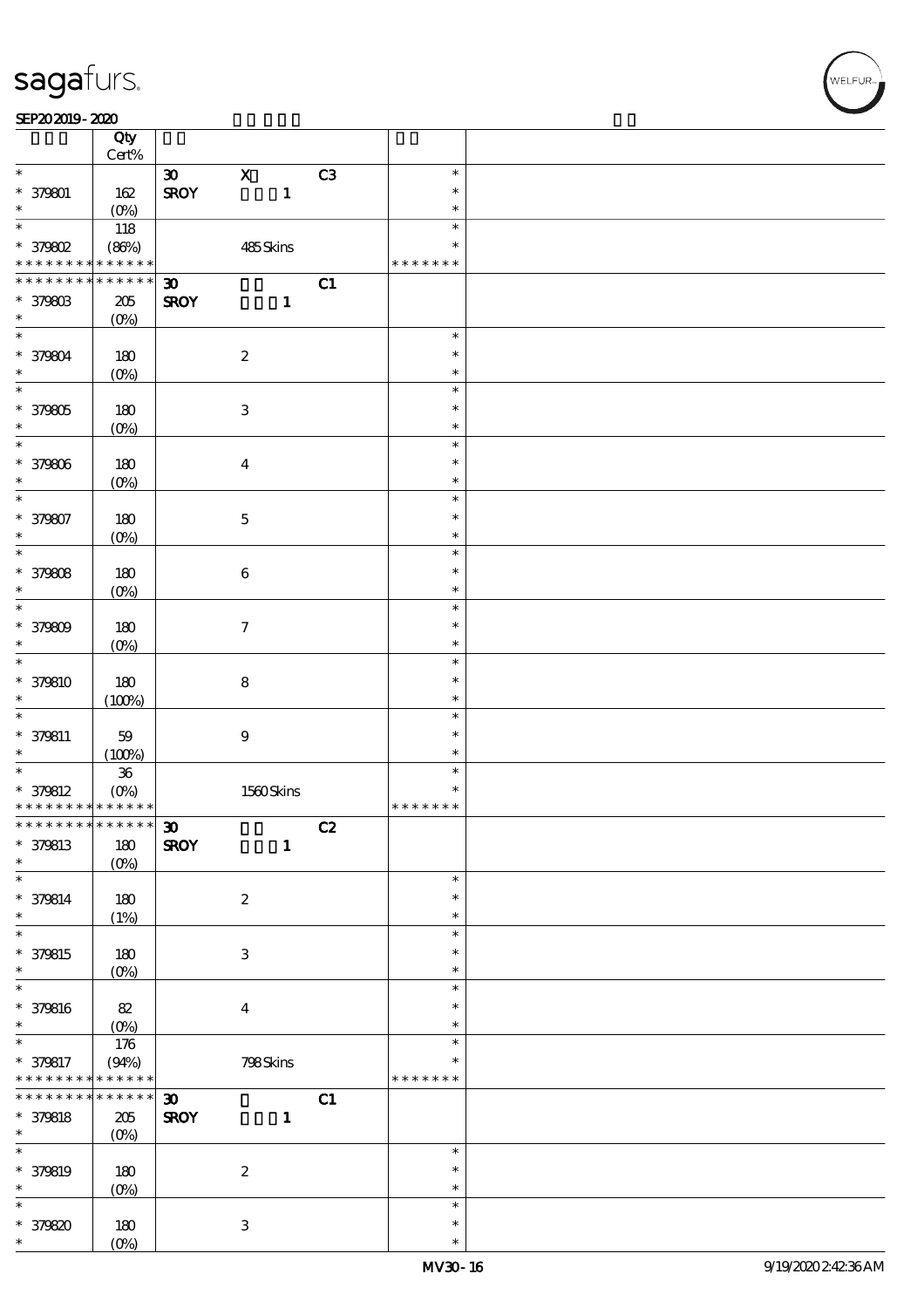#### SEP202019-2020

|                                            | Qty<br>$\mbox{Cert}\%$ |                             |                           |    |               |  |
|--------------------------------------------|------------------------|-----------------------------|---------------------------|----|---------------|--|
| $\ast$                                     |                        |                             | $\boldsymbol{\mathrm{X}}$ | C3 | $\ast$        |  |
|                                            |                        | $\boldsymbol{\mathfrak{D}}$ |                           |    |               |  |
| * 379801                                   | 162                    | <b>SROY</b>                 | $\mathbf{1}$              |    | $\ast$        |  |
| $\ast$                                     | $(O_0)$                |                             |                           |    | $\ast$        |  |
| $\ast$                                     | 118                    |                             |                           |    | $\ast$        |  |
| * 379802                                   | (86%)                  |                             | 485Skins                  |    | $\ast$        |  |
| * * * * * * * *                            | * * * * * *            |                             |                           |    | * * * * * * * |  |
| * * * * * * * *                            | * * * * * *            | $\boldsymbol{\mathfrak{D}}$ |                           | C1 |               |  |
| * 379803                                   | 205                    | <b>SROY</b>                 | $\mathbf{1}$              |    |               |  |
| $\ast$                                     | $(O\%)$                |                             |                           |    |               |  |
| $\overline{\mathbf{r}}$                    |                        |                             |                           |    | $\ast$        |  |
|                                            |                        |                             |                           |    |               |  |
| * 379804                                   | 180                    |                             | $\boldsymbol{2}$          |    | $\ast$        |  |
| $\ast$                                     | $(O\%)$                |                             |                           |    | $\ast$        |  |
| $\overline{\ast}$                          |                        |                             |                           |    | $\ast$        |  |
| * 379805                                   | 180                    |                             | $\ensuremath{\mathbf{3}}$ |    | $\ast$        |  |
| $\ast$                                     | $(O\%)$                |                             |                           |    | $\ast$        |  |
| $\overline{\ast}$                          |                        |                             |                           |    | $\ast$        |  |
| * 379806                                   | 180                    |                             | $\boldsymbol{4}$          |    | $\ast$        |  |
| $\ast$                                     | $(O\%)$                |                             |                           |    | $\ast$        |  |
| $\overline{\ast}$                          |                        |                             |                           |    | $\ast$        |  |
|                                            |                        |                             |                           |    | $\ast$        |  |
| * 379807                                   | 180                    |                             | $\mathbf 5$               |    |               |  |
| $\ast$                                     | $(O\%)$                |                             |                           |    | $\ast$        |  |
| $\overline{\ast}$                          |                        |                             |                           |    | $\ast$        |  |
| * 379808                                   | 180                    |                             | $\bf 6$                   |    | $\ast$        |  |
| $\ast$                                     | $(O\%)$                |                             |                           |    | $\ast$        |  |
| $\overline{\ast}$                          |                        |                             |                           |    | $\ast$        |  |
| * 379809                                   | 180                    |                             | $\tau$                    |    | $\ast$        |  |
| $\ast$                                     | $(O\!/\!\delta)$       |                             |                           |    | $\ast$        |  |
| $\overline{\ast}$                          |                        |                             |                           |    | $\ast$        |  |
| * 379810                                   | 180                    |                             | $\bf8$                    |    | $\ast$        |  |
| $\ast$                                     | (100%)                 |                             |                           |    | $\ast$        |  |
| $\ast$                                     |                        |                             |                           |    | $\ast$        |  |
|                                            |                        |                             |                           |    | $\ast$        |  |
| $* 379811$                                 | 59                     |                             | $\boldsymbol{9}$          |    |               |  |
| $\ast$                                     | (100%)                 |                             |                           |    | $\ast$        |  |
|                                            | ${\bf 36}$             |                             |                           |    | $\ast$        |  |
| $* 379812$                                 | $(O\!/\!o)$            |                             | 1560Skins                 |    | $\ast$        |  |
| * * * * * * * * <mark>* * * * * * *</mark> |                        |                             |                           |    | * * * * * * * |  |
| ************** 30                          |                        |                             |                           | C2 |               |  |
| * 379813                                   | $180$                  | <b>SROY</b>                 | $\mathbf{1}$              |    |               |  |
| $\ast$                                     | $(O\%)$                |                             |                           |    |               |  |
| $\ast$                                     |                        |                             |                           |    | $\ast$        |  |
| * 379814                                   | 180                    |                             | $\boldsymbol{z}$          |    | $\ast$        |  |
| $\ast$                                     | (1%)                   |                             |                           |    | $\ast$        |  |
| $\overline{\ast}$                          |                        |                             |                           |    | $\ast$        |  |
|                                            |                        |                             |                           |    |               |  |
| * 379815                                   | 180                    |                             | $\ensuremath{\mathsf{3}}$ |    | $\ast$        |  |
| $\ast$                                     | $(O\!/\!\delta)$       |                             |                           |    | $\ast$        |  |
| $\ast$                                     |                        |                             |                           |    | $\ast$        |  |
| * 379816                                   | $82\,$                 |                             | $\boldsymbol{4}$          |    | $\ast$        |  |
| $\ast$                                     | $(0\%)$                |                             |                           |    | $\ast$        |  |
| $\ast$                                     | $176$                  |                             |                           |    | $\ast$        |  |
| * 379817                                   | (94%)                  |                             | 798Skins                  |    | $\ast$        |  |
| * * * * * * * *                            | * * * * * *            |                             |                           |    | * * * * * * * |  |
| * * * * * * * *                            | $******$               | $\boldsymbol{\mathfrak{D}}$ |                           | C1 |               |  |
| * 379818                                   | 205                    | <b>SROY</b>                 | $\mathbf{1}$              |    |               |  |
| $\ast$                                     | $(O\%)$                |                             |                           |    |               |  |
| $\ast$                                     |                        |                             |                           |    | $\ast$        |  |
|                                            |                        |                             |                           |    |               |  |
| * 379819                                   | 180                    |                             | $\boldsymbol{2}$          |    | $\ast$        |  |
| $\ast$                                     | $(0\%)$                |                             |                           |    | $\ast$        |  |
| $\ast$                                     |                        |                             |                           |    | $\ast$        |  |
| * 379820                                   | 180                    |                             | 3                         |    | $\ast$        |  |
| $\ast$                                     | $(O\%)$                |                             |                           |    | $\ast$        |  |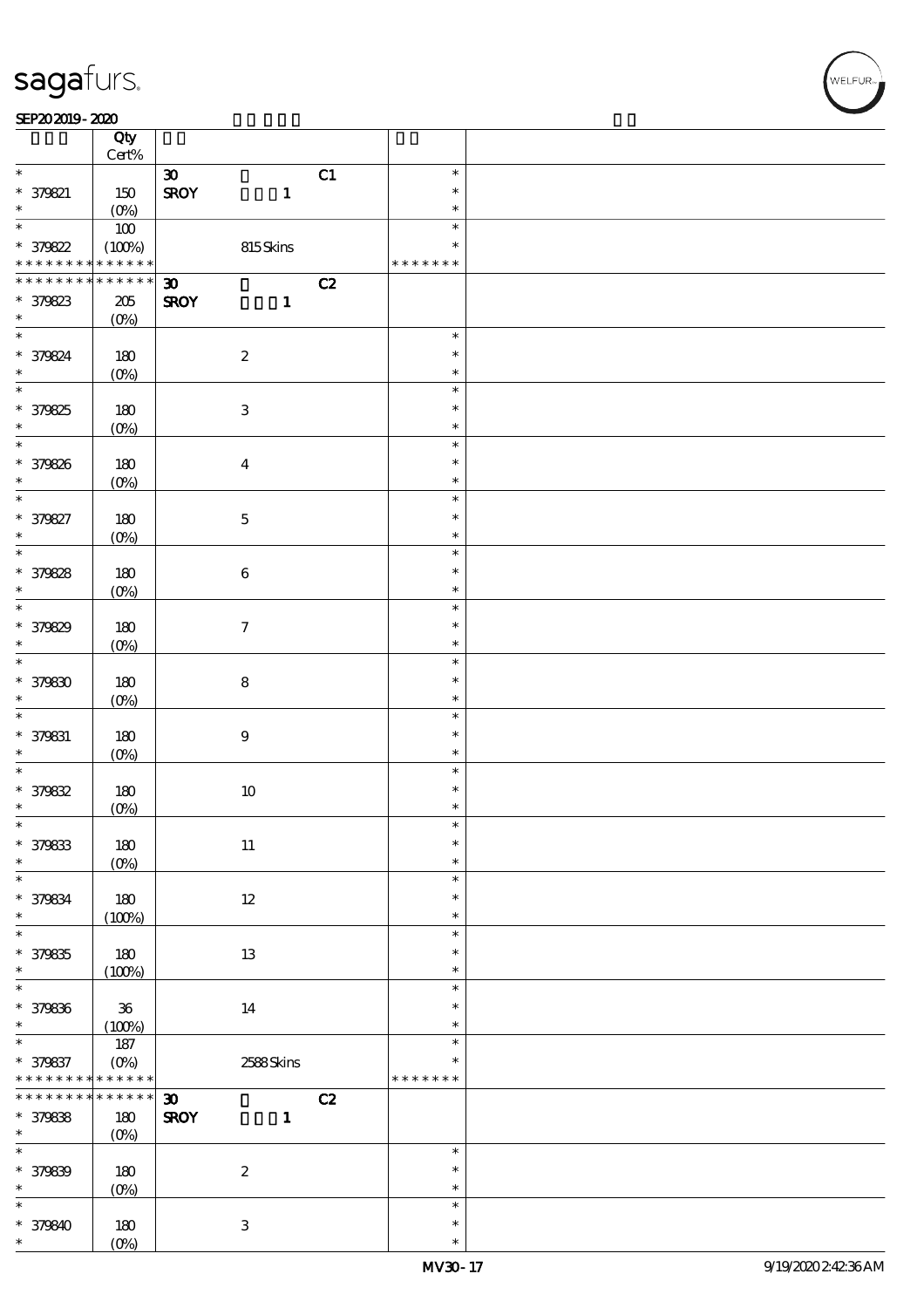#### SEP202019-2020

|                                    | Qty<br>$\mbox{Cert}\%$  |                                             |    |                  |  |
|------------------------------------|-------------------------|---------------------------------------------|----|------------------|--|
| $\ast$                             |                         |                                             |    | $\ast$           |  |
|                                    |                         | $\boldsymbol{\mathfrak{D}}$                 | C1 | $\ast$           |  |
| $* 379821$<br>$\ast$               | 150                     | <b>SROY</b><br>$\mathbf{1}$                 |    | $\ast$           |  |
| $\overline{\ast}$                  | $(O\!/\!o)$<br>100      |                                             |    | $\ast$           |  |
| * 379822                           | (100%)                  | 815Skins                                    |    | $\ast$           |  |
| * * * * * * * *                    | * * * * * *             |                                             |    | * * * * * * *    |  |
| * * * * * * * *                    | * * * * * *             | $\boldsymbol{\mathfrak{D}}$                 | C2 |                  |  |
| * 379823                           | $205\,$                 | <b>SROY</b><br>$\mathbf{1}$                 |    |                  |  |
| $\ast$                             | $(O\%)$                 |                                             |    |                  |  |
| $\overline{\phantom{0}}$           |                         |                                             |    | $\ast$           |  |
| * 379824                           | 180                     | $\boldsymbol{2}$                            |    | $\ast$           |  |
| $\ast$                             | $(O\%)$                 |                                             |    | $\ast$           |  |
| $\overline{\ast}$                  |                         |                                             |    | $\ast$           |  |
| * 379825                           | 180                     | $\ensuremath{\mathbf{3}}$                   |    | $\ast$           |  |
| $\ast$                             | $(O\%)$                 |                                             |    | $\ast$           |  |
| $\overline{\ast}$                  |                         |                                             |    | $\ast$           |  |
| * 379826                           | 180                     | $\boldsymbol{4}$                            |    | $\ast$           |  |
| $\ast$                             | $(O\%)$                 |                                             |    | $\ast$           |  |
| $\overline{\ast}$                  |                         |                                             |    | $\ast$           |  |
| * 379827                           | 180                     | $\bf 5$                                     |    | $\ast$           |  |
| $\ast$                             | $(O\%)$                 |                                             |    | $\ast$           |  |
| $\overline{\ast}$                  |                         |                                             |    | $\ast$           |  |
| * 379828                           | 180                     | $\bf 6$                                     |    | $\ast$           |  |
| $\ast$                             | $(O\%)$                 |                                             |    | $\ast$           |  |
| $\overline{\ast}$                  |                         |                                             |    | $\ast$           |  |
| * 379829<br>$\ast$                 | 180                     | $\boldsymbol{\tau}$                         |    | $\ast$           |  |
| $\overline{\ast}$                  | $(O\%)$                 |                                             |    | $\ast$<br>$\ast$ |  |
| * 379830                           | 180                     | $\bf 8$                                     |    | $\ast$           |  |
| $\ast$                             | $(O\%)$                 |                                             |    | $\ast$           |  |
| $\ast$                             |                         |                                             |    | $\ast$           |  |
| * 379831                           | 180                     | $\boldsymbol{9}$                            |    | $\ast$           |  |
| $\ast$                             | $(O\%)$                 |                                             |    | $\ast$           |  |
| $\overline{\ast}$                  |                         |                                             |    | $\ast$           |  |
| * 379832                           | 180                     | $10\,$                                      |    | $\ast$           |  |
| $\ast$                             | $(0\%)$                 |                                             |    | $\ast$           |  |
| $\ast$                             |                         |                                             |    | $\ast$           |  |
| * 379833                           | 180                     | $11\,$                                      |    | $\ast$           |  |
| $\ast$<br>$\ast$                   | $(0\%)$                 |                                             |    | $\ast$<br>$\ast$ |  |
|                                    |                         |                                             |    | $\ast$           |  |
| * 379834<br>$\ast$                 | 180<br>(100%)           | $12\,$                                      |    | $\ast$           |  |
| $\overline{\ast}$                  |                         |                                             |    | $\ast$           |  |
| * 379835                           | 180                     | 13                                          |    | $\ast$           |  |
| $\ast$                             | (100%)                  |                                             |    | $\ast$           |  |
| $\ast$                             |                         |                                             |    | $\ast$           |  |
| * 379836                           | $36\,$                  | 14                                          |    | $\ast$           |  |
| $\ast$                             | (100%)                  |                                             |    | $\ast$           |  |
| $\ast$                             | $187\,$                 |                                             |    | $\ast$           |  |
| * 379837                           | $(O\%)$                 | 2588Skins                                   |    | $\ast$           |  |
| * * * * * * * *<br>* * * * * * * * | * * * * * *<br>$******$ |                                             |    | * * * * * * *    |  |
| * 379838                           | 180                     | $\boldsymbol{\mathfrak{D}}$<br>$\mathbf{1}$ | C2 |                  |  |
| $\ast$                             | (O <sub>0</sub> )       | <b>SROY</b>                                 |    |                  |  |
| $\ast$                             |                         |                                             |    | $\ast$           |  |
| * 379839                           | 180                     | $\boldsymbol{2}$                            |    | $\ast$           |  |
| $\ast$                             | $(0\%)$                 |                                             |    | $\ast$           |  |
| $\ast$                             |                         |                                             |    | $\ast$           |  |
| * 379840                           | 180                     | $\ensuremath{\mathbf{3}}$                   |    | $\ast$           |  |
| $\ast$                             | $(O\%)$                 |                                             |    | $\ast$           |  |

,<br>WELFUR: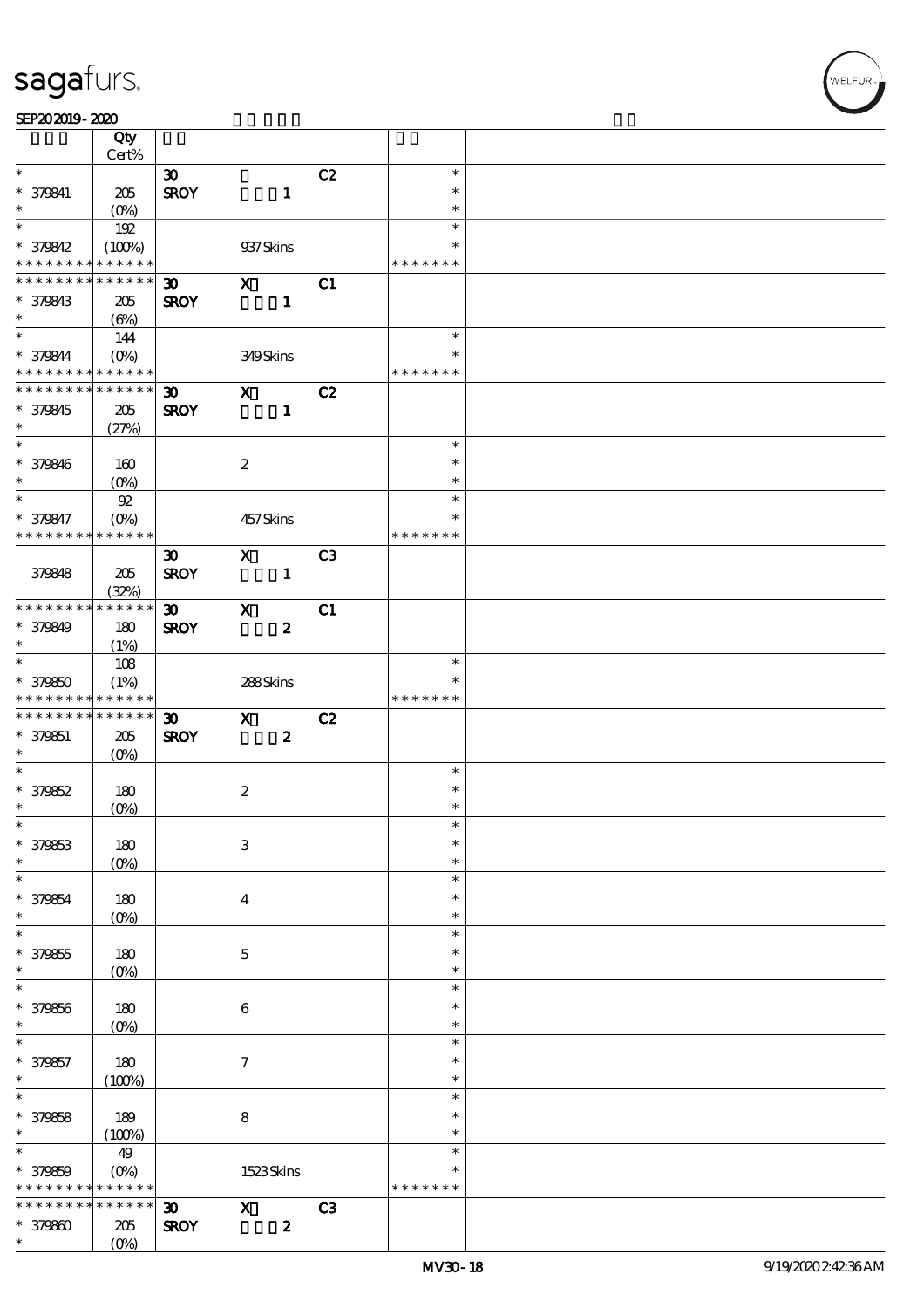#### SEP202019-2020

|                                                      | Qty<br>Cert%      |                             |                           |                  |                |               |  |
|------------------------------------------------------|-------------------|-----------------------------|---------------------------|------------------|----------------|---------------|--|
| $\ast$                                               |                   |                             |                           |                  |                | $\ast$        |  |
|                                                      |                   | $\boldsymbol{\mathfrak{B}}$ |                           |                  | C2             |               |  |
| * 379841                                             | $205\,$           | <b>SROY</b>                 |                           | $\mathbf{1}$     |                | $\ast$        |  |
| $\ast$                                               | $(O\!/\!o)$       |                             |                           |                  |                | $\ast$        |  |
| $\ast$                                               | 192               |                             |                           |                  |                | $\ast$        |  |
| * 379842                                             | (100%)            |                             | 937 Skins                 |                  |                | $\ast$        |  |
| * * * * * * * * <mark>*</mark>                       | * * * * * *       |                             |                           |                  |                | * * * * * * * |  |
| * * * * * * * *                                      | * * * * * *       | $\boldsymbol{\mathfrak{D}}$ | $\mathbf{x}$              |                  | C1             |               |  |
| * 379843                                             | 205               | <b>SROY</b>                 |                           | $\mathbf{1}$     |                |               |  |
| $\ast$                                               | $(\Theta)$        |                             |                           |                  |                |               |  |
| $\ast$                                               | 144               |                             |                           |                  |                | $\ast$        |  |
| * 379844                                             | $(0\%)$           |                             | 349Skins                  |                  |                | $\ast$        |  |
| * * * * * * * * * * * * * *                          |                   |                             |                           |                  |                | * * * * * * * |  |
| * * * * * * * * <mark>* * * * * *</mark>             |                   | $\boldsymbol{\mathfrak{D}}$ | $\mathbf{x}$              |                  | C2             |               |  |
|                                                      |                   |                             |                           |                  |                |               |  |
| * 379845<br>$\ast$                                   | 205               | <b>SROY</b>                 |                           | $\mathbf{1}$     |                |               |  |
| $\overline{\ast}$                                    | (27%)             |                             |                           |                  |                |               |  |
|                                                      |                   |                             |                           |                  |                | $\ast$        |  |
| * 379846                                             | 160               |                             | $\boldsymbol{2}$          |                  |                | $\ast$        |  |
| $\ast$                                               | $(O\%)$           |                             |                           |                  |                | $\ast$        |  |
| $\ast$                                               | $92\,$            |                             |                           |                  |                | $\ast$        |  |
| * 379847                                             | $(O\%)$           |                             | 457Skins                  |                  |                | $\ast$        |  |
| * * * * * * * *                                      | * * * * * *       |                             |                           |                  |                | * * * * * * * |  |
|                                                      |                   | $\boldsymbol{\mathfrak{D}}$ | $\mathbf{x}$              |                  | C <sub>3</sub> |               |  |
| 379848                                               | 205               | <b>SROY</b>                 |                           | $\mathbf{1}$     |                |               |  |
|                                                      | (32%)             |                             |                           |                  |                |               |  |
| * * * * * * * * <mark>* * * * * *</mark>             |                   | $\boldsymbol{\mathfrak{D}}$ | $\mathbf{x}$              |                  | C1             |               |  |
| * 379849                                             | 180               | <b>SROY</b>                 |                           | $\boldsymbol{z}$ |                |               |  |
| $\ast$                                               | (1%)              |                             |                           |                  |                |               |  |
| $\overline{\mathbf{r}}$                              | 108               |                             |                           |                  |                | $\ast$        |  |
| * 379850                                             |                   |                             |                           |                  |                |               |  |
|                                                      | (1%)              |                             | 288Skins                  |                  |                |               |  |
|                                                      |                   |                             |                           |                  |                |               |  |
| * * * * * * * * * * * * * *                          |                   |                             |                           |                  |                | * * * * * * * |  |
|                                                      |                   | $\boldsymbol{\mathfrak{D}}$ | $\mathbf{x}$              |                  | C2             |               |  |
| * * * * * * * * <mark>* * * * * *</mark><br>* 379851 | 205               | <b>SROY</b>                 |                           | $\boldsymbol{z}$ |                |               |  |
| $\ast$                                               | $(O\%)$           |                             |                           |                  |                |               |  |
| $\overline{\ast}$                                    |                   |                             |                           |                  |                | $\ast$        |  |
| * 379852                                             | 180               |                             | $\boldsymbol{2}$          |                  |                | $\ast$        |  |
| $\ast$                                               | $(O_0)$           |                             |                           |                  |                | $\ast$        |  |
|                                                      |                   |                             |                           |                  |                | $\ast$        |  |
|                                                      | 180               |                             | $\,3$                     |                  |                | $\ast$        |  |
| $\ast$<br>* 379853<br>$\ast$                         | $(O\%)$           |                             |                           |                  |                | $\ast$        |  |
| $\ast$                                               |                   |                             |                           |                  |                | $\ast$        |  |
|                                                      | 180               |                             | $\boldsymbol{4}$          |                  |                | $\ast$        |  |
| * 379854<br>$\ast$                                   |                   |                             |                           |                  |                | $\ast$        |  |
| $\ast$                                               | $(O\!/\!o)$       |                             |                           |                  |                | $\ast$        |  |
|                                                      |                   |                             |                           |                  |                | ∗             |  |
| * 379855<br>$\ast$                                   | 180               |                             | $\mathbf 5$               |                  |                | $\ast$        |  |
| $\ast$                                               | $(0\%)$           |                             |                           |                  |                | $\ast$        |  |
|                                                      |                   |                             |                           |                  |                |               |  |
| * 379856                                             | 180               |                             | 6                         |                  |                | $\ast$        |  |
| $\ast$                                               | (O <sub>0</sub> ) |                             |                           |                  |                | $\ast$        |  |
| $\ast$                                               |                   |                             |                           |                  |                | $\ast$        |  |
| * 379857                                             | 180               |                             | $\boldsymbol{\tau}$       |                  |                | $\ast$        |  |
| $\ast$                                               | (100%)            |                             |                           |                  |                | $\ast$        |  |
| $\overline{\ast}$                                    |                   |                             |                           |                  |                | $\ast$        |  |
| * 379858                                             | 189               |                             | $\bf 8$                   |                  |                | $\ast$        |  |
| $\ast$                                               | (100%)            |                             |                           |                  |                | $\ast$        |  |
| $\ast$                                               | 49                |                             |                           |                  |                | $\ast$        |  |
| * 379859                                             | $(O\%)$           |                             |                           | 1523Skins        |                | $\ast$        |  |
| * * * * * * * *                                      | * * * * * *       |                             |                           |                  |                | * * * * * * * |  |
| * * * * * * *                                        | * * * * * *       | $\boldsymbol{\mathfrak{D}}$ | $\boldsymbol{\mathrm{X}}$ |                  | C3             |               |  |
| $*379800$                                            | 205               | <b>SROY</b>                 |                           | $\pmb{2}$        |                |               |  |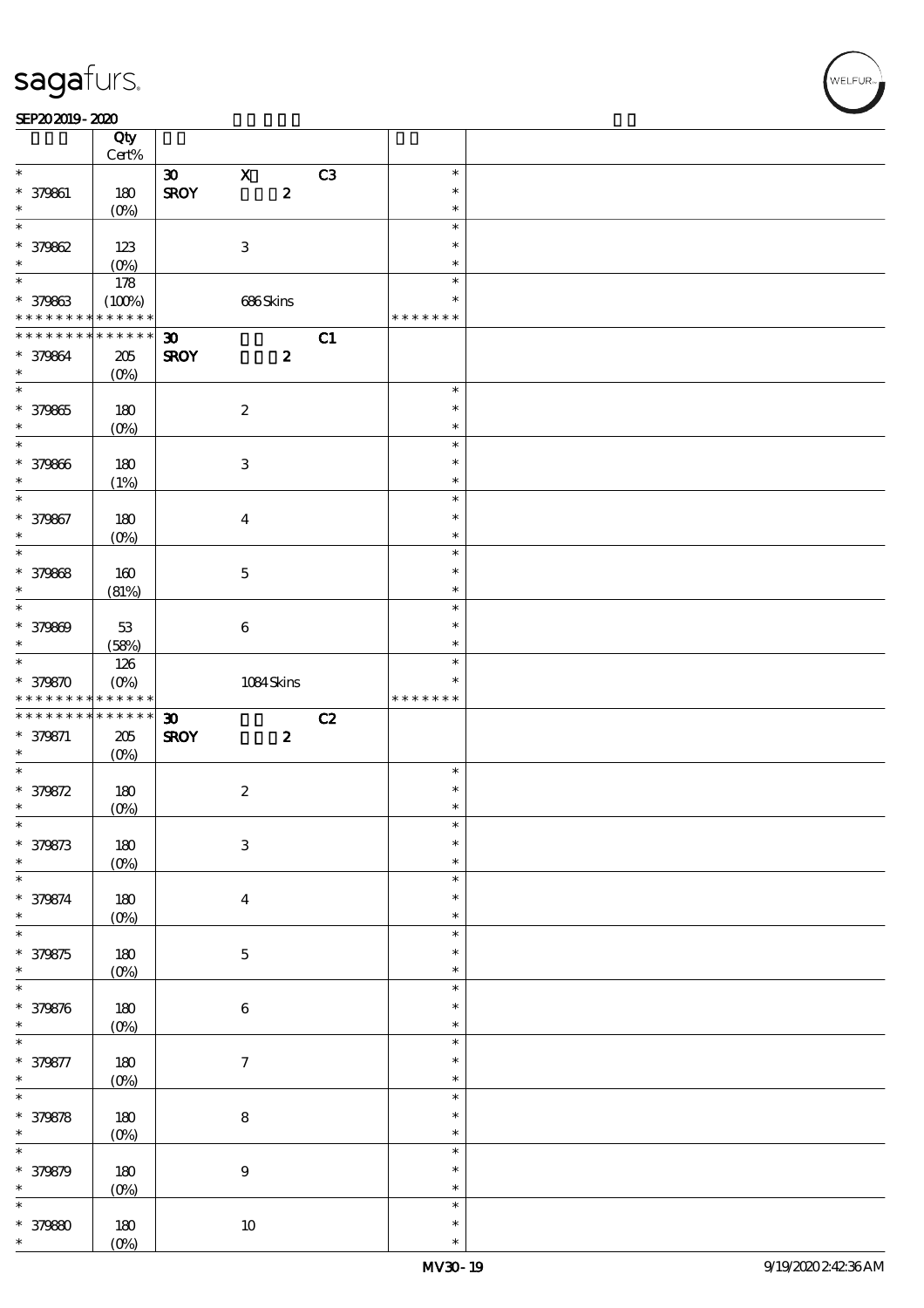#### SEP202019-2020

|                                                                 | Qty                        |                             |                           |                  |    |                  |  |
|-----------------------------------------------------------------|----------------------------|-----------------------------|---------------------------|------------------|----|------------------|--|
| $\ast$                                                          | $Cert\%$                   |                             |                           |                  |    |                  |  |
|                                                                 |                            | $\boldsymbol{\mathfrak{D}}$ | $\mathbf X$               |                  | C3 | $\ast$           |  |
| $* 379861$                                                      | 180                        | <b>SROY</b>                 |                           | $\pmb{2}$        |    | $\ast$           |  |
| $\ast$                                                          | (O <sub>0</sub> )          |                             |                           |                  |    | $\ast$           |  |
| $\ast$                                                          |                            |                             |                           |                  |    | $\ast$           |  |
| $* 379862$                                                      | 123                        |                             | $\ensuremath{\mathbf{3}}$ |                  |    | $\ast$           |  |
| $\ast$<br>$\overline{\ast}$                                     | $(0\%)$                    |                             |                           |                  |    | $\ast$           |  |
|                                                                 | 178                        |                             |                           |                  |    | $\ast$           |  |
| * 379863                                                        | (100%)                     |                             | 686Skins                  |                  |    | $\ast$           |  |
| * * * * * * * *                                                 | * * * * * *                |                             |                           |                  |    | * * * * * * *    |  |
| * * * * * * * *                                                 | $\ast\ast\ast\ast\ast\ast$ | $\boldsymbol{\mathfrak{D}}$ |                           |                  | C1 |                  |  |
| * 379864                                                        | 205                        | <b>SROY</b>                 |                           | $\boldsymbol{z}$ |    |                  |  |
| $\ast$<br>$\overline{\phantom{0}}$                              | $(O\%)$                    |                             |                           |                  |    |                  |  |
|                                                                 |                            |                             |                           |                  |    | $\ast$           |  |
| * 379865                                                        | 180                        |                             | $\boldsymbol{2}$          |                  |    | $\ast$           |  |
| $\ast$<br>$\overline{\phantom{0}}$                              | $(0\%)$                    |                             |                           |                  |    | $\ast$           |  |
|                                                                 |                            |                             |                           |                  |    | $\ast$           |  |
| $* 379866$                                                      | 180                        |                             | $\ensuremath{\mathsf{3}}$ |                  |    | $\ast$           |  |
| $\ast$<br>$\overline{\ast}$                                     | (1%)                       |                             |                           |                  |    | $\ast$           |  |
|                                                                 |                            |                             |                           |                  |    | $\ast$<br>$\ast$ |  |
| * 379867                                                        | 180                        |                             | $\bf{4}$                  |                  |    |                  |  |
| $\ast$<br>$\overline{\phantom{0}}$                              | (O <sub>0</sub> )          |                             |                           |                  |    | $\ast$<br>$\ast$ |  |
|                                                                 |                            |                             |                           |                  |    |                  |  |
| * 379868                                                        | $160$                      |                             | $\mathbf{5}$              |                  |    | $\ast$           |  |
| $\ast$<br>$\overline{\ast}$                                     | (81%)                      |                             |                           |                  |    | $\ast$<br>$\ast$ |  |
|                                                                 |                            |                             |                           |                  |    | $\ast$           |  |
| $* 379809$<br>$\ast$                                            | $53\,$                     |                             | $\bf 6$                   |                  |    | $\ast$           |  |
|                                                                 | (58%)                      |                             |                           |                  |    | $\ast$           |  |
|                                                                 | 126                        |                             |                           |                  |    | ∗                |  |
| * 379870                                                        | $(O\%)$                    |                             | $1084\,$ Skins            |                  |    |                  |  |
|                                                                 |                            |                             |                           |                  |    |                  |  |
| * * * * * * * * * * * * * *                                     |                            |                             |                           |                  |    | * * * * * * *    |  |
| * * * * * * * *                                                 | $* * * * * * *$            | $\boldsymbol{\mathfrak{D}}$ |                           |                  | C2 |                  |  |
| $* 379871$                                                      | $205\,$                    | <b>SROY</b>                 |                           | $\boldsymbol{z}$ |    |                  |  |
| $\ast$                                                          | $(O\%)$                    |                             |                           |                  |    |                  |  |
| $\overline{\ast}$                                               |                            |                             |                           |                  |    | $\ast$           |  |
| * 379872                                                        | 180                        |                             | $\boldsymbol{2}$          |                  |    | $\ast$           |  |
| $\ast$                                                          | $(0\%)$                    |                             |                           |                  |    | $\ast$           |  |
| $\ast$                                                          |                            |                             |                           |                  |    | $\ast$<br>$\ast$ |  |
| $* 379873$<br>$\ast$                                            | $180\,$                    |                             | $\,3$                     |                  |    | $\ast$           |  |
|                                                                 | $(0\%)$                    |                             |                           |                  |    | $\ast$           |  |
| $\ast$                                                          |                            |                             |                           |                  |    | $\ast$           |  |
|                                                                 | $180\,$                    |                             | $\boldsymbol{4}$          |                  |    | $\ast$           |  |
|                                                                 | $(0\%)$                    |                             |                           |                  |    | $\ast$           |  |
|                                                                 |                            |                             |                           |                  |    | ∗                |  |
| * 379874<br>$\ast$<br>$\overline{\ast}$<br>$* 379875$<br>$\ast$ | $180\,$                    |                             | $\mathbf 5$               |                  |    | $\ast$           |  |
|                                                                 | $(0\%)$                    |                             |                           |                  |    | $\ast$           |  |
| $\ast$                                                          |                            |                             |                           |                  |    | $\ast$           |  |
|                                                                 | $180\,$                    |                             | $\,6\,$                   |                  |    | $\ast$           |  |
| * 379876<br>$\ast$<br>$\overline{\ast}$                         | $(0\%)$                    |                             |                           |                  |    | $\ast$           |  |
|                                                                 |                            |                             |                           |                  |    | $\ast$           |  |
| * 379877<br>$\ast$                                              | 180                        |                             | $\boldsymbol{7}$          |                  |    | $\ast$           |  |
| $\overline{\ast}$                                               | (0%)                       |                             |                           |                  |    | $\ast$           |  |
|                                                                 |                            |                             |                           |                  |    | $\ast$           |  |
| * 379878<br>$\ast$                                              | 180                        |                             | $\bf 8$                   |                  |    | $\ast$           |  |
| $\ast$                                                          | (0%)                       |                             |                           |                  |    | $\ast$           |  |
|                                                                 |                            |                             |                           |                  |    | $\ast$           |  |
| * 379879<br>$\ast$                                              | $180$                      |                             | $\boldsymbol{9}$          |                  |    | $\ast$           |  |
| $\ast$                                                          | (0%)                       |                             |                           |                  |    | $\ast$           |  |
| $* 37980$                                                       | 180                        |                             | $10\,$                    |                  |    | $\ast$           |  |

**VELFUR**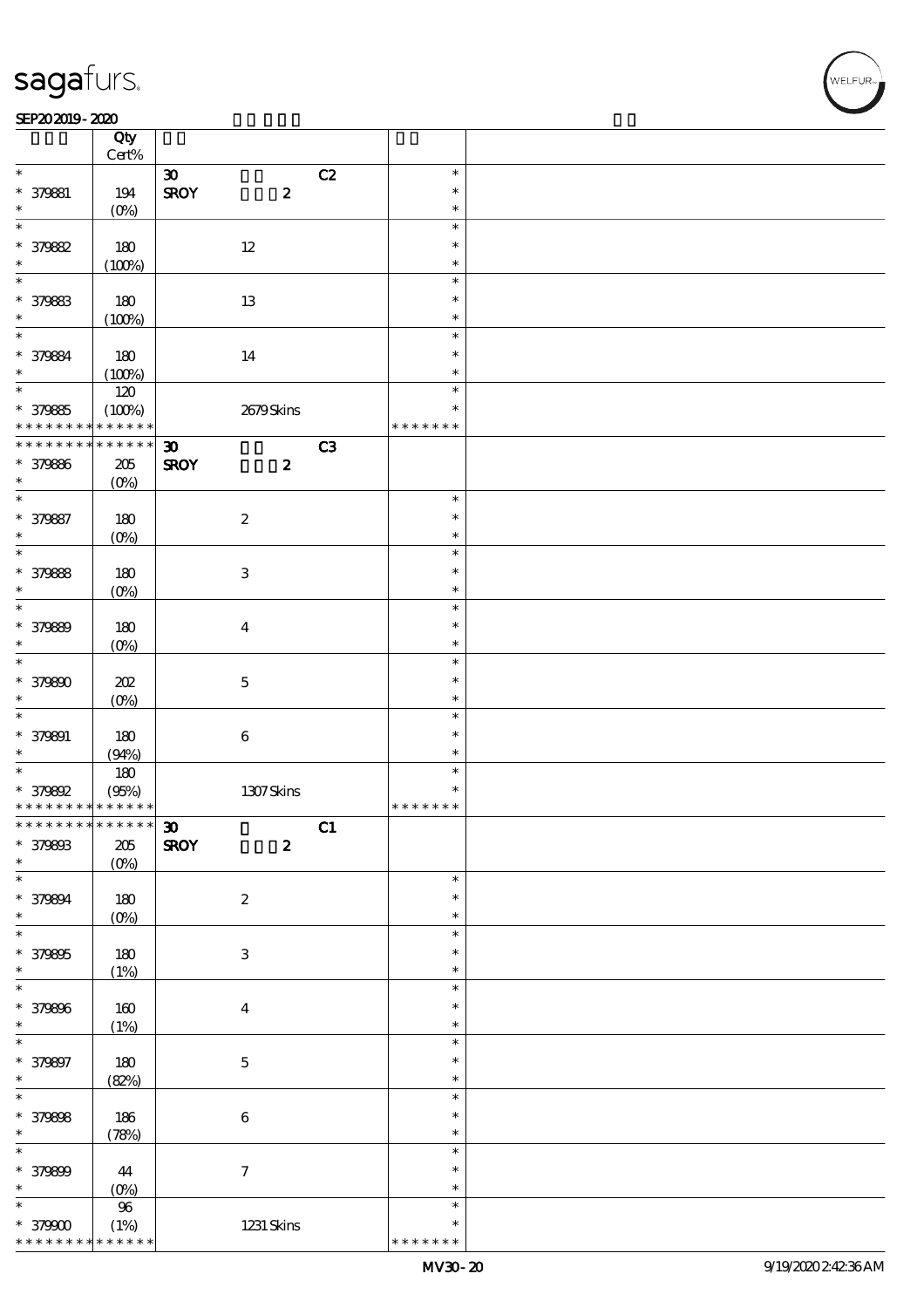#### SEP202019-2020

|                                            | Qty<br>Cert%     |                             |                        |    |                  |  |
|--------------------------------------------|------------------|-----------------------------|------------------------|----|------------------|--|
|                                            |                  |                             |                        |    |                  |  |
| $\ast$                                     |                  | $\boldsymbol{\mathfrak{D}}$ |                        | C2 | $\ast$<br>$\ast$ |  |
| * 379881<br>$\ast$                         | 194<br>$(O\%)$   | <b>SROY</b>                 | $\pmb{2}$              |    | $\ast$           |  |
| $\ast$                                     |                  |                             |                        |    | $\ast$           |  |
| * 379882                                   | 180              |                             | $12\,$                 |    | $\ast$           |  |
| $\ast$                                     | (100%)           |                             |                        |    | $\ast$           |  |
| $\ast$                                     |                  |                             |                        |    | $\ast$           |  |
|                                            |                  |                             |                        |    | $\ast$           |  |
| * 379883                                   | 180              |                             | $1\!3$                 |    |                  |  |
| $\ast$<br>$\ast$                           | (100%)           |                             |                        |    | $\ast$           |  |
|                                            |                  |                             |                        |    | $\ast$           |  |
| * 379884                                   | 180              |                             | 14                     |    | $\ast$           |  |
| $\ast$                                     | (100%)           |                             |                        |    | $\ast$           |  |
| $\overline{\ast}$                          | 120              |                             |                        |    | $\ast$           |  |
| * 379885                                   | (100%)           |                             | 2679Skins              |    | $\ast$           |  |
| * * * * * * * *                            | * * * * * *      |                             |                        |    | * * * * * * *    |  |
| * * * * * * *                              | * * * * * *      | $\boldsymbol{\mathfrak{D}}$ |                        | C3 |                  |  |
| * 379886                                   | $205\,$          | <b>SROY</b>                 | $\boldsymbol{z}$       |    |                  |  |
| $\ast$                                     | $(O\%)$          |                             |                        |    |                  |  |
| $\overline{\ast}$                          |                  |                             |                        |    | $\ast$           |  |
| * 379887                                   | 180              |                             | $\boldsymbol{2}$       |    | $\ast$           |  |
| $\ast$                                     | $(0\%)$          |                             |                        |    | $\ast$           |  |
| $\overline{\ast}$                          |                  |                             |                        |    | $\ast$           |  |
| * 379888                                   | 180              |                             | $\,3$                  |    | $\ast$           |  |
| $\ast$                                     | $(0\%)$          |                             |                        |    | $\ast$           |  |
| $\ast$                                     |                  |                             |                        |    | $\ast$           |  |
| * 379889                                   | 180              |                             | $\boldsymbol{4}$       |    | $\ast$           |  |
| $\ast$                                     | $(O\%)$          |                             |                        |    | $\ast$           |  |
| $\ast$                                     |                  |                             |                        |    | $\ast$           |  |
| * 379890                                   | 202              |                             | $\mathbf 5$            |    | $\ast$           |  |
| $\ast$                                     | $(O\%)$          |                             |                        |    | $\ast$           |  |
| $\ast$                                     |                  |                             |                        |    | $\ast$           |  |
| * 379891                                   | 180              |                             | $\bf 6$                |    | $\ast$           |  |
| $\ast$                                     | (94%)            |                             |                        |    | $\ast$           |  |
| $\ast$                                     |                  |                             |                        |    | $\ast$           |  |
| $*379892$                                  | $180\,$<br>(95%) |                             |                        |    | $\ast$           |  |
| * * * * * * * * <mark>* * * * * * *</mark> |                  |                             | $1307$ Skins           |    | * * * * * * *    |  |
| * * * * * * * * * * * * * * <mark>*</mark> |                  |                             |                        | C1 |                  |  |
| * 379893                                   |                  | $\mathbf{D}$<br><b>SROY</b> | $\boldsymbol{z}$       |    |                  |  |
| $\ast$                                     | $205\,$          |                             |                        |    |                  |  |
| $\ast$                                     | $(O\%)$          |                             |                        |    | $\ast$           |  |
|                                            |                  |                             |                        |    | $\ast$           |  |
| * 379894<br>$\ast$                         | $180\,$          |                             | $\boldsymbol{2}$       |    | $\ast$           |  |
| $\ast$                                     | $(0\%)$          |                             |                        |    | $\ast$           |  |
|                                            |                  |                             |                        |    | $\ast$           |  |
| * 379895<br>$\ast$                         | 180              |                             | $\,3$                  |    | $\ast$           |  |
| $\ast$                                     | (1%)             |                             |                        |    | $\ast$           |  |
|                                            |                  |                             |                        |    |                  |  |
| * 379896                                   | $160$            |                             | $\boldsymbol{4}$       |    | $\ast$           |  |
| $\ast$                                     | (1%)             |                             |                        |    | $\ast$           |  |
| $\ast$                                     |                  |                             |                        |    | $\ast$           |  |
| * 379897                                   | 180              |                             | $\mathbf 5$            |    | $\ast$           |  |
| $\ast$                                     | (82%)            |                             |                        |    | $\ast$           |  |
| $\overline{\ast}$                          |                  |                             |                        |    | $\ast$           |  |
| * 379898                                   | 186              |                             | $\bf 6$                |    | $\ast$           |  |
| $\ast$                                     | (78%)            |                             |                        |    | $\ast$           |  |
| $\ast$                                     |                  |                             |                        |    | $\ast$           |  |
| * 379899                                   | 44               |                             | $\boldsymbol{\tau}$    |    | $\ast$           |  |
| $\ast$                                     | (0%)             |                             |                        |    | $\ast$           |  |
| $\ast$                                     | $9\!6$           |                             |                        |    | $\ast$           |  |
| $*379000$                                  | (1%)             |                             | $1231\,\mathrm{Skins}$ |    | $\ast$           |  |
| * * * * * * * *                            | * * * * * *      |                             |                        |    | * * * * * * *    |  |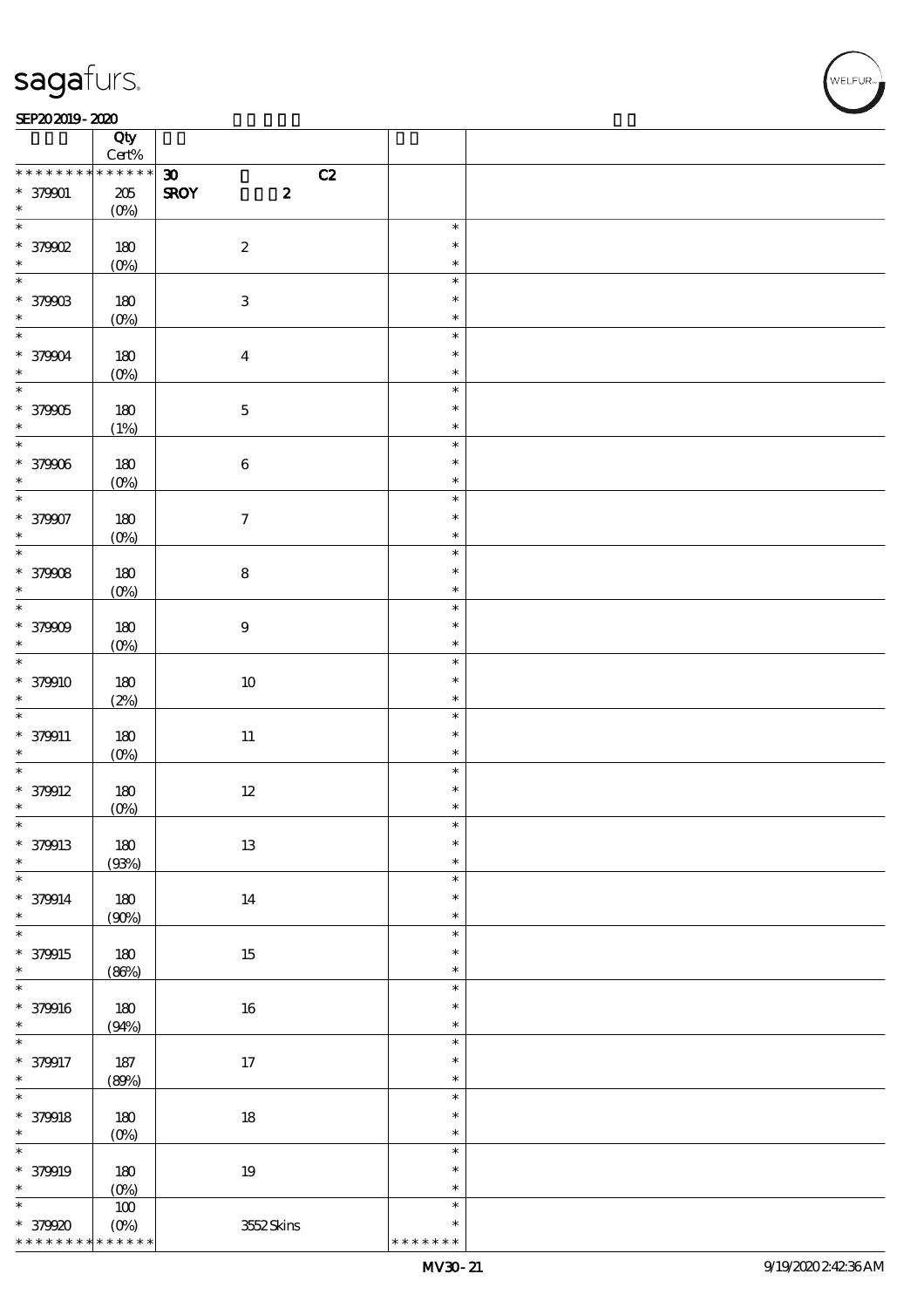#### SEP202019-2020

|                                            | Qty                |                                   |                  |  |
|--------------------------------------------|--------------------|-----------------------------------|------------------|--|
|                                            | Cert%              |                                   |                  |  |
| * * * * * * * *                            | * * * * * *        | $\boldsymbol{\mathfrak{D}}$<br>C2 |                  |  |
| $* 379001$<br>$\ast$                       | $205\,$<br>$(0\%)$ | <b>SROY</b><br>$\boldsymbol{z}$   |                  |  |
| $\overline{\ast}$                          |                    |                                   | $\ast$           |  |
| $*$ 379902                                 | 180                | $\boldsymbol{2}$                  | $\ast$           |  |
| $\ast$                                     | $(0\%)$            |                                   | $\ast$           |  |
|                                            |                    |                                   | $\ast$           |  |
| * 379003                                   | 180                | $\ensuremath{\mathbf{3}}$         | $\ast$           |  |
| $\ast$<br>$\overline{\ast}$                | $(0\%)$            |                                   | $\ast$<br>$\ast$ |  |
| * 379004                                   | $180\,$            | $\boldsymbol{4}$                  | $\ast$           |  |
| $\ast$                                     | (0%)               |                                   | $\ast$           |  |
| $\overline{\ast}$                          |                    |                                   | $\ast$           |  |
| $* 379005$                                 | 180                | $\mathbf 5$                       | $\ast$           |  |
| $\ast$<br>$\overline{\phantom{0}}$         | (1%)               |                                   | $\ast$           |  |
| * 379006                                   | 180                | $\bf 6$                           | $\ast$<br>$\ast$ |  |
| $\ast$                                     | (0%)               |                                   | $\ast$           |  |
| $*$                                        |                    |                                   | $\ast$           |  |
| * 379907                                   | 180                | $\boldsymbol{\tau}$               | $\ast$           |  |
|                                            | (0%)               |                                   | $\ast$           |  |
|                                            |                    |                                   | $\ast$           |  |
| * 37908 *                                  | 180<br>$(0\%)$     | ${\bf 8}$                         | $\ast$<br>$\ast$ |  |
| $\overline{\phantom{0}}$                   |                    |                                   | $\ast$           |  |
| $* 379009$                                 | 180                | $\boldsymbol{9}$                  | $\ast$           |  |
| $\ast$                                     | $(0\%)$            |                                   | $\ast$           |  |
| $\overline{\ast}$                          |                    |                                   | $\ast$           |  |
| $* 379910$                                 | 180                | $10\,$                            | $\ast$           |  |
| $\ast$<br>$\overline{\ast}$                | (2%)               |                                   | $\ast$<br>$\ast$ |  |
| $* 379911$                                 | 180                | $11\,$                            | $\ast$           |  |
| $\ast$                                     | (0%)               |                                   | $\ast$           |  |
| $\overline{\ast}$                          |                    |                                   | $\ast$           |  |
| $* 379912$                                 | 180                | $12\,$                            | $\ast$           |  |
| $\ast$<br>$\ast$                           | (0%)               |                                   | ∗<br>∗           |  |
| * 379913                                   | 180                | $13\,$                            | $\ast$           |  |
| $\ast$                                     | (93%)              |                                   | $\ast$           |  |
| $\overline{\ast}$                          |                    |                                   | $\ast$           |  |
| $* 379914$                                 | 180                | $14\,$                            | $\ast$           |  |
| $\ast$<br>$\ast$                           | (90%)              |                                   | $\ast$           |  |
| * 379915                                   | 180                | $15\,$                            | $\ast$<br>$\ast$ |  |
| $\ast$                                     | (80%)              |                                   | $\ast$           |  |
| $\ast$                                     |                    |                                   | $\ast$           |  |
| * 379916                                   | 180                | $16\,$                            | $\ast$           |  |
| $\ast$                                     | (94%)              |                                   | $\ast$           |  |
| $\ast$                                     |                    |                                   | $\ast$<br>$\ast$ |  |
| * 379917<br>$\ast$                         | $187\,$<br>(80%)   | $17\,$                            | $\ast$           |  |
| $\overline{\ast}$                          |                    |                                   | $\ast$           |  |
| $* 379918$                                 | 180                | $18\,$                            | $\ast$           |  |
| $\ast$                                     | $(0\%)$            |                                   | $\ast$           |  |
| $\overline{\ast}$                          |                    |                                   | $\ast$           |  |
| * 379919<br>$\ast$                         | 180<br>$(0\%)$     | $19\,$                            | $\ast$<br>$\ast$ |  |
| $\ast$                                     | $100\,$            |                                   | $\ast$           |  |
| * 379920                                   | $(0\%)$            | 3552Skins                         | $\ast$           |  |
| * * * * * * * * <mark>* * * * * * *</mark> |                    |                                   | * * * * * * *    |  |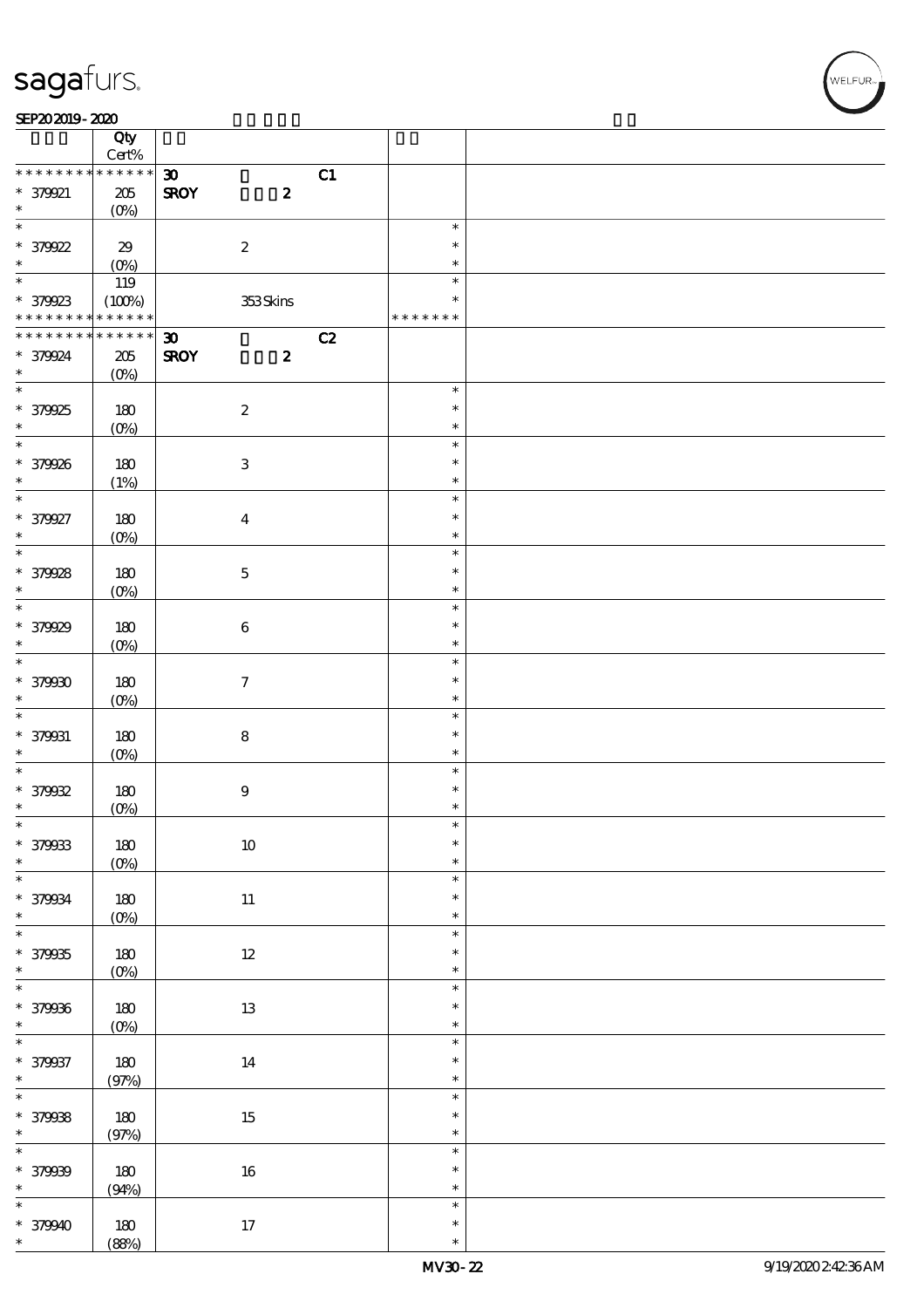#### SEP202019-2020

|                                            | Qty<br>$Cert\%$       |                             |                     |    |                         |  |
|--------------------------------------------|-----------------------|-----------------------------|---------------------|----|-------------------------|--|
| * * * * * * * *                            | * * * * * *           | $\boldsymbol{\mathfrak{D}}$ |                     | C1 |                         |  |
| * 379921<br>$\ast$                         | $205\,$<br>$(O\%)$    | <b>SROY</b>                 | $\boldsymbol{z}$    |    |                         |  |
| $\overline{\ast}$                          |                       |                             |                     |    |                         |  |
| * 379922                                   | $29\,$                |                             | $\boldsymbol{2}$    |    | $\ast$<br>$\ast$        |  |
| $\ast$                                     | $(O\%)$               |                             |                     |    | $\ast$                  |  |
|                                            | 119                   |                             |                     |    | $\ast$                  |  |
| * 379923<br>* * * * * * * * <mark>*</mark> | (100%)<br>* * * * * * |                             | 353Skins            |    | $\ast$<br>* * * * * * * |  |
|                                            |                       |                             |                     |    |                         |  |
| * * * * * * * *                            | * * * * * *           | $\boldsymbol{\mathfrak{D}}$ |                     | C2 |                         |  |
| * 379924                                   | $205\,$               | <b>SROY</b>                 | $\boldsymbol{z}$    |    |                         |  |
| $\ast$                                     | $(O\%)$               |                             |                     |    |                         |  |
| $\overline{\ast}$                          |                       |                             |                     |    | $\ast$                  |  |
|                                            |                       |                             |                     |    |                         |  |
| * 379925                                   | 180                   |                             | $\boldsymbol{2}$    |    | $\ast$                  |  |
| $\ast$                                     | $(O\%)$               |                             |                     |    | $\ast$                  |  |
| $\overline{\ast}$                          |                       |                             |                     |    | $\ast$                  |  |
|                                            |                       |                             |                     |    |                         |  |
| * 379926                                   | 180                   |                             | 3                   |    | $\ast$                  |  |
| $\ast$                                     | (1%)                  |                             |                     |    | $\ast$                  |  |
| $\ast$                                     |                       |                             |                     |    | $\ast$                  |  |
| * 379927                                   |                       |                             |                     |    | $\ast$                  |  |
|                                            | 180                   |                             | $\boldsymbol{4}$    |    |                         |  |
| $\ast$                                     | $(O\%)$               |                             |                     |    | $\ast$                  |  |
| $\overline{\ast}$                          |                       |                             |                     |    | $\ast$                  |  |
| * 379928                                   | 180                   |                             | $\mathbf 5$         |    | $\ast$                  |  |
| $\ast$                                     |                       |                             |                     |    | $\ast$                  |  |
| $\overline{\ast}$                          | $(O\%)$               |                             |                     |    |                         |  |
|                                            |                       |                             |                     |    | $\ast$                  |  |
| * 379929                                   | 180                   |                             | $\bf 6$             |    | $\ast$                  |  |
| $\ast$                                     | $(O\!/\!\!\delta)$    |                             |                     |    | $\ast$                  |  |
| $\overline{\ast}$                          |                       |                             |                     |    | $\ast$                  |  |
|                                            |                       |                             |                     |    |                         |  |
| * 379930                                   | 180                   |                             | $\boldsymbol{\tau}$ |    | $\ast$                  |  |
| $\ast$                                     | $(O\%)$               |                             |                     |    | $\ast$                  |  |
| $\ast$                                     |                       |                             |                     |    | $\ast$                  |  |
| * 379931                                   | 180                   |                             | ${\bf 8}$           |    | $\ast$                  |  |
|                                            |                       |                             |                     |    |                         |  |
| $\ast$                                     | $(O\%)$               |                             |                     |    | $\ast$                  |  |
| $\overline{\ast}$                          |                       |                             |                     |    | $\ast$                  |  |
| $* 379032$                                 | 180                   |                             | $\boldsymbol{9}$    |    | $\ast$                  |  |
| $\ast$                                     | $(0\%)$               |                             |                     |    | $\ast$                  |  |
| $\ast$                                     |                       |                             |                     |    | $\ast$                  |  |
|                                            |                       |                             |                     |    |                         |  |
| * 379933                                   | $180\,$               |                             | $10\,$              |    | $\ast$                  |  |
| $\ast$                                     | $(0\%)$               |                             |                     |    | $\ast$                  |  |
| $\ast$                                     |                       |                             |                     |    | $\ast$                  |  |
| * 379934                                   | 180                   |                             | $11\,$              |    | $\ast$                  |  |
| $\ast$                                     |                       |                             |                     |    | $\ast$                  |  |
| $\overline{\ast}$                          | $(0\%)$               |                             |                     |    |                         |  |
|                                            |                       |                             |                     |    | $\ast$                  |  |
| * 379935                                   | $180\,$               |                             | $12\,$              |    | $\ast$                  |  |
| $\ast$                                     | $(0\%)$               |                             |                     |    | $\ast$                  |  |
| $\overline{\ast}$                          |                       |                             |                     |    | $\ast$                  |  |
| * 379936                                   | $180\,$               |                             | $1\!3$              |    | $\ast$                  |  |
|                                            |                       |                             |                     |    |                         |  |
| $\ast$                                     | $(0\%)$               |                             |                     |    | $\ast$                  |  |
| $\overline{\ast}$                          |                       |                             |                     |    | $\ast$                  |  |
| * 379937                                   | $180\,$               |                             | $14\,$              |    | $\ast$                  |  |
| $\ast$                                     | (97%)                 |                             |                     |    | $\ast$                  |  |
| $\overline{\ast}$                          |                       |                             |                     |    | $\ast$                  |  |
|                                            |                       |                             |                     |    |                         |  |
| * 379938                                   | 180                   |                             | $15\,$              |    | $\ast$                  |  |
| $\ast$                                     | (97%)                 |                             |                     |    | $\ast$                  |  |
| $\ast$                                     |                       |                             |                     |    | $\ast$                  |  |
| * 379939                                   | 180                   |                             | $16\,$              |    | $\ast$                  |  |
|                                            |                       |                             |                     |    |                         |  |
| $\ast$                                     | (94%)                 |                             |                     |    | $\ast$                  |  |
| $\ast$                                     |                       |                             |                     |    | $\ast$                  |  |
| * 379940                                   | 180                   |                             | 17                  |    | $\ast$                  |  |
| $\ast$                                     | (88%)                 |                             |                     |    | $\ast$                  |  |
|                                            |                       |                             |                     |    |                         |  |

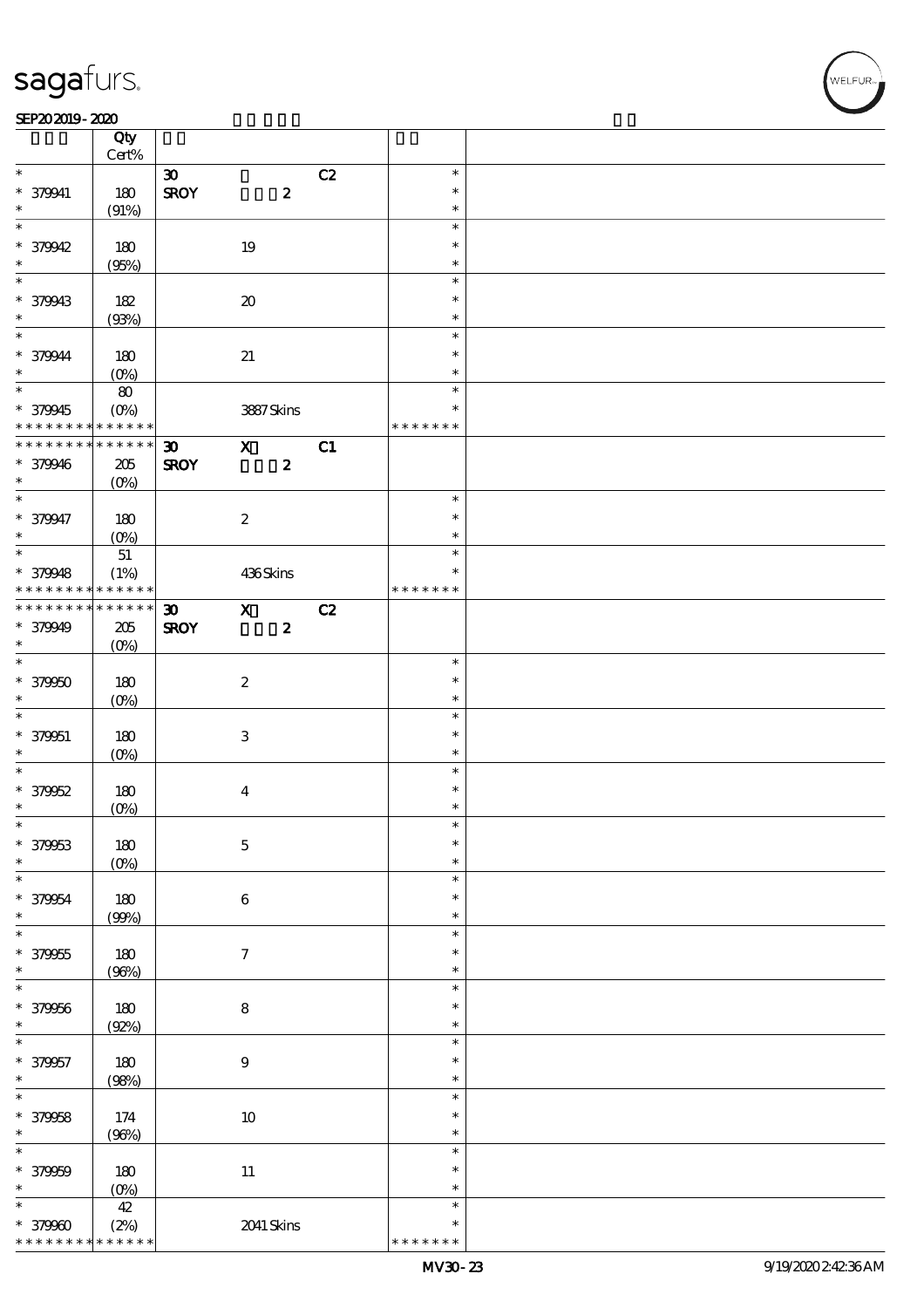#### SEP202019-2020

|                               | Qty<br>Cert%        |                             |                     |    |                         |  |
|-------------------------------|---------------------|-----------------------------|---------------------|----|-------------------------|--|
|                               |                     |                             |                     |    |                         |  |
| $\ast$                        |                     | $\boldsymbol{\mathfrak{D}}$ |                     | C2 | $\ast$                  |  |
| * 379941                      | 180                 | <b>SROY</b>                 | $\pmb{2}$           |    | $\ast$                  |  |
| $\ast$                        | (91%)               |                             |                     |    | $\ast$                  |  |
| $\ast$                        |                     |                             |                     |    | $\ast$                  |  |
|                               |                     |                             |                     |    |                         |  |
| * 379942                      | 180                 |                             | 19                  |    | $\ast$                  |  |
| $\ast$                        | (95%)               |                             |                     |    | $\ast$                  |  |
| $\ast$                        |                     |                             |                     |    | $\ast$                  |  |
|                               |                     |                             |                     |    | $\ast$                  |  |
| * 379943                      | 182                 |                             | $\pmb{\mathcal{X}}$ |    |                         |  |
| $\ast$                        | (93%)               |                             |                     |    | $\ast$                  |  |
| $\ast$                        |                     |                             |                     |    | $\ast$                  |  |
| * 379944                      | 180                 |                             | $2\!1$              |    | $\ast$                  |  |
| $\ast$                        |                     |                             |                     |    |                         |  |
|                               | $(O\%)$             |                             |                     |    | $\ast$                  |  |
| $\overline{\ast}$             | 80                  |                             |                     |    | $\ast$                  |  |
| * 379945                      | $(O\!/\!o)$         |                             | 3887Skins           |    | $\ast$                  |  |
| * * * * * * * *               | * * * * * *         |                             |                     |    | * * * * * * *           |  |
| * * * * * * * *               |                     |                             |                     |    |                         |  |
|                               | * * * * * *         | $\boldsymbol{\mathfrak{D}}$ | $\mathbf{X}$        | C1 |                         |  |
| * 379946                      | $205\,$             | <b>SROY</b>                 | $\boldsymbol{z}$    |    |                         |  |
| $\ast$                        | $(O\%)$             |                             |                     |    |                         |  |
| $\overline{\ast}$             |                     |                             |                     |    | $\ast$                  |  |
|                               |                     |                             |                     |    |                         |  |
| * 379947                      | 180                 |                             | $\boldsymbol{2}$    |    | $\ast$                  |  |
| $\ast$                        | $(O\!/\!o)$         |                             |                     |    | $\ast$                  |  |
|                               | $5\!1$              |                             |                     |    | $\ast$                  |  |
|                               |                     |                             |                     |    | $\ast$                  |  |
| * 379948                      | (1%)                |                             | 436Skins            |    |                         |  |
| * * * * * * * *               | * * * * * *         |                             |                     |    | * * * * * * *           |  |
| * * * * * * * *               | $******$            | $\boldsymbol{\mathfrak{D}}$ | $\mathbf{x}$        | C2 |                         |  |
| * 379949                      | 205                 | <b>SROY</b>                 | $\pmb{2}$           |    |                         |  |
| $\ast$                        |                     |                             |                     |    |                         |  |
|                               | $(O\%)$             |                             |                     |    |                         |  |
| $\ast$                        |                     |                             |                     |    | $\ast$                  |  |
| $* 379950$                    | 180                 |                             | $\boldsymbol{2}$    |    | $\ast$                  |  |
| $\ast$                        | $(O\%)$             |                             |                     |    | $\ast$                  |  |
|                               |                     |                             |                     |    |                         |  |
|                               |                     |                             |                     |    |                         |  |
| $\overline{\ast}$             |                     |                             |                     |    | $\ast$                  |  |
| * 379951                      | 180                 |                             | 3                   |    | $\ast$                  |  |
| $\ast$                        |                     |                             |                     |    | $\ast$                  |  |
| $\ast$                        | $(0\%)$             |                             |                     |    | $\ast$                  |  |
|                               |                     |                             |                     |    |                         |  |
| $* 379952$                    | 180                 |                             | $\boldsymbol{4}$    |    | $\ast$                  |  |
| $\ast$                        | $(0\%)$             |                             |                     |    | $\ast$                  |  |
|                               |                     |                             |                     |    | ж                       |  |
|                               |                     |                             |                     |    | $\ast$                  |  |
| * 379963                      | 180                 |                             | $\mathbf 5$         |    |                         |  |
| $\ast$                        | $(O\%)$             |                             |                     |    | $\ast$                  |  |
| $\ast$                        |                     |                             |                     |    | $\ast$                  |  |
|                               |                     |                             |                     |    | $\ast$                  |  |
| * 379954<br>$\ast$            | $180\,$             |                             | $\bf 6$             |    | $\ast$                  |  |
|                               | (90%)               |                             |                     |    |                         |  |
| $\ast$                        |                     |                             |                     |    | $\ast$                  |  |
| * 379955                      | 180                 |                             | $\boldsymbol{\tau}$ |    | $\ast$                  |  |
| $\ast$                        |                     |                             |                     |    | $\ast$                  |  |
| $\ast$                        | (96%)               |                             |                     |    | $\ast$                  |  |
|                               |                     |                             |                     |    |                         |  |
| * 379956                      | 180                 |                             | $\bf 8$             |    | $\ast$                  |  |
| $\ast$                        | (Q2%)               |                             |                     |    | $\ast$                  |  |
| $\ast$                        |                     |                             |                     |    | $\ast$                  |  |
|                               |                     |                             |                     |    | $\ast$                  |  |
| * 379957                      | 180                 |                             | $9\,$               |    |                         |  |
| $\ast$                        | (98%)               |                             |                     |    | $\ast$                  |  |
| $\ast$                        |                     |                             |                     |    | $\ast$                  |  |
|                               |                     |                             |                     |    | $\ast$                  |  |
| * 379958<br>$\ast$            | 174                 |                             | $10\,$              |    | $\ast$                  |  |
|                               | (96%)               |                             |                     |    |                         |  |
| $\ast$                        |                     |                             |                     |    | $\ast$                  |  |
| * 379959                      | $180$               |                             |                     |    | $\ast$                  |  |
| $\ast$                        |                     |                             | $11\,$              |    | $\ast$                  |  |
|                               | $(0\%)$             |                             |                     |    |                         |  |
| $\ast$                        | $4\!2$              |                             |                     |    | $\ast$                  |  |
| $* 379900$<br>* * * * * * * * | (2%)<br>* * * * * * |                             | 2041 Skins          |    | $\ast$<br>* * * * * * * |  |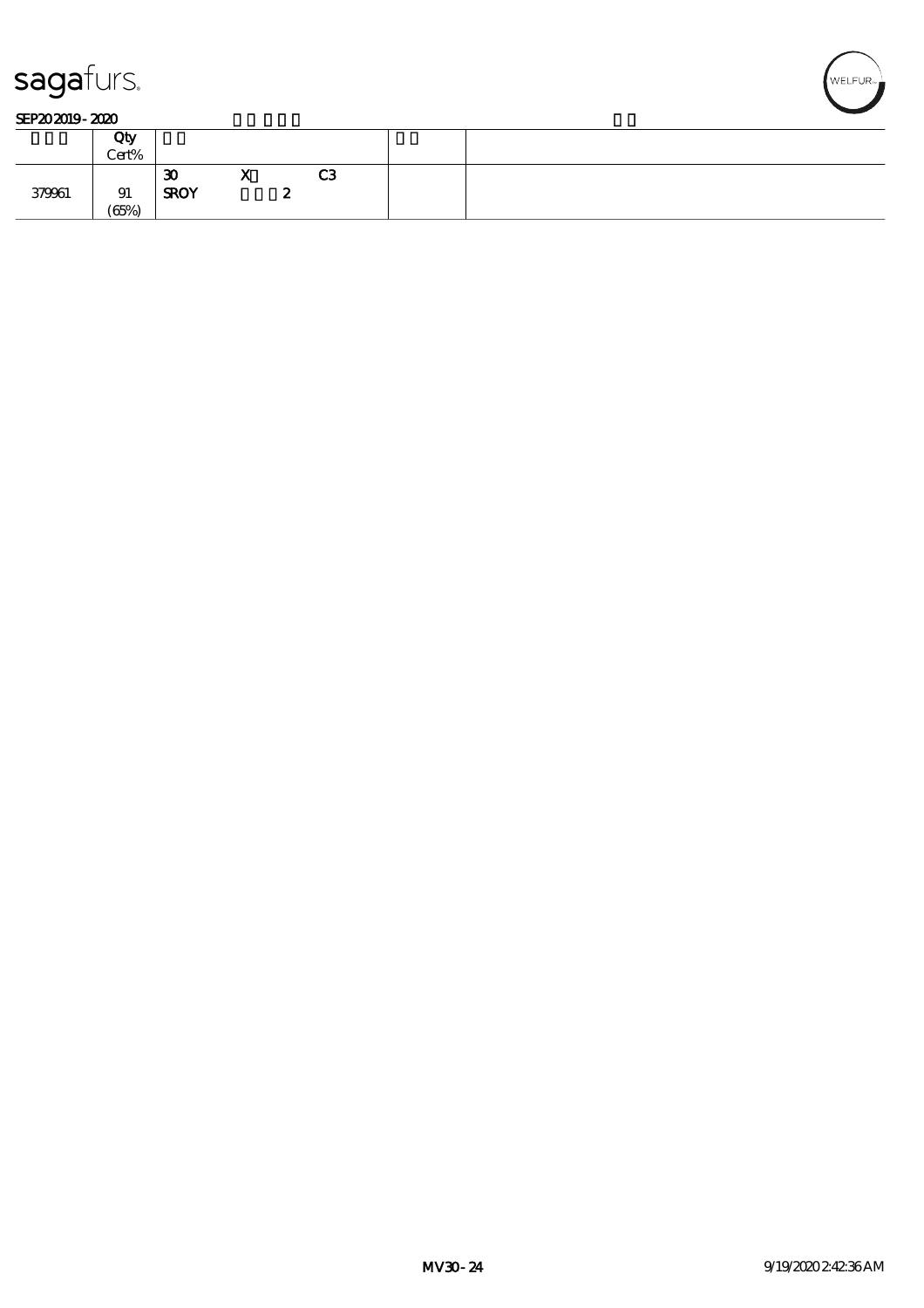

#### SEP202019-2020

|        | Qty<br>Cert% |                   |                    |        |                |  |
|--------|--------------|-------------------|--------------------|--------|----------------|--|
| 379961 | 91<br>(65%)  | 30<br><b>SROY</b> | --<br>$\mathbf{v}$ | -<br>~ | C <sub>3</sub> |  |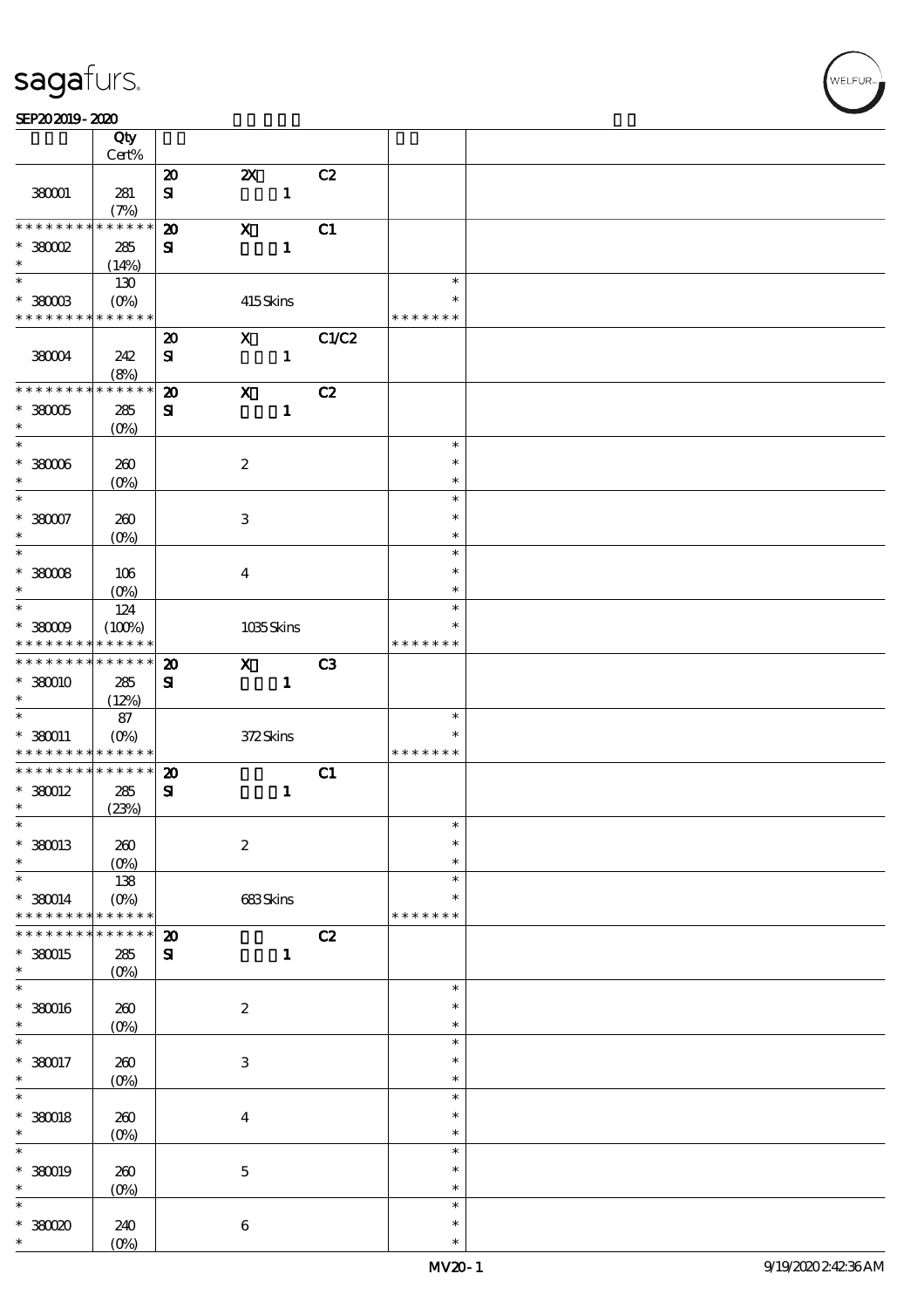#### SEP202019-2020

|                                            | Qty<br>Cert%           |                                           |                           |              |                |               |  |
|--------------------------------------------|------------------------|-------------------------------------------|---------------------------|--------------|----------------|---------------|--|
|                                            |                        |                                           |                           |              |                |               |  |
| 380001                                     | 281                    | $\boldsymbol{\mathbf{z}}$<br>$\mathbf{S}$ | $\boldsymbol{\mathsf{X}}$ | $\mathbf{1}$ | C2             |               |  |
|                                            | (7%)                   |                                           |                           |              |                |               |  |
| * * * * * * * *                            | * * * * * *            | $\boldsymbol{\mathbf{z}}$                 | $\mathbf X$               |              | C1             |               |  |
| $*36002$                                   | 285                    | ${\bf s}$                                 |                           | $\mathbf{1}$ |                |               |  |
| $\ast$                                     | (14%)                  |                                           |                           |              |                |               |  |
| $\overline{\phantom{0}}$                   | 130                    |                                           |                           |              |                | $\ast$        |  |
|                                            |                        |                                           |                           |              |                | ∗             |  |
| $*$ 380003<br>* * * * * * * *              | $(0\%)$<br>* * * * * * |                                           | 415Skins                  |              |                | * * * * * * * |  |
|                                            |                        |                                           |                           |              |                |               |  |
|                                            |                        | $\boldsymbol{\mathsf{20}}$                | $\mathbf x$               |              | C1/C2          |               |  |
| 380004                                     | 242                    | ${\bf s}$                                 |                           | $\mathbf{1}$ |                |               |  |
|                                            | (8%)                   |                                           |                           |              |                |               |  |
| * * * * * * * *                            | * * * * * *            | $\boldsymbol{\mathbf{z}}$                 | $\boldsymbol{\mathrm{X}}$ |              | C2             |               |  |
| $*38005$                                   | 285                    | ${\bf s}$                                 |                           | $\mathbf{1}$ |                |               |  |
| $\ast$                                     | $(O\%)$                |                                           |                           |              |                |               |  |
| $\overline{\ast}$                          |                        |                                           |                           |              |                | $\ast$        |  |
|                                            |                        |                                           |                           |              |                |               |  |
| $^\ast$ 38006                              | 260                    |                                           | $\boldsymbol{2}$          |              |                | $\ast$        |  |
| $\ast$                                     | $(O\%)$                |                                           |                           |              |                | $\ast$        |  |
| $\overline{\ast}$                          |                        |                                           |                           |              |                | $\ast$        |  |
| $*38007$                                   | 260                    |                                           | $\ensuremath{\mathsf{3}}$ |              |                | $\ast$        |  |
| $\ast$                                     | (O <sub>0</sub> )      |                                           |                           |              |                | $\ast$        |  |
| $\overline{\ast}$                          |                        |                                           |                           |              |                | $\ast$        |  |
|                                            |                        |                                           |                           |              |                | $\ast$        |  |
| $*$ 380008                                 | 106                    |                                           | $\bf{4}$                  |              |                |               |  |
| $\ast$                                     | $(0\%)$                |                                           |                           |              |                | $\ast$        |  |
|                                            | 124                    |                                           |                           |              |                | $\ast$        |  |
| $*38009$                                   | (100%)                 |                                           |                           | 1035Skins    |                | ∗             |  |
| * * * * * * * *                            | * * * * * *            |                                           |                           |              |                | * * * * * * * |  |
| * * * * * * * *                            | * * * * * *            | $\boldsymbol{\mathfrak{D}}$               | $\mathbf{x}$              |              | C <sub>3</sub> |               |  |
| * 380010                                   | 285                    | ${\bf s}$                                 |                           | $\mathbf{1}$ |                |               |  |
| $\ast$                                     | (12%)                  |                                           |                           |              |                |               |  |
| $\ast$                                     |                        |                                           |                           |              |                | $\ast$        |  |
|                                            | 87                     |                                           |                           |              |                |               |  |
| $*360011$                                  | $(O_0)$                |                                           | 372Skins                  |              |                | $\ast$        |  |
| * * * * * * * * <mark>* * * * * * *</mark> |                        |                                           |                           |              |                | * * * * * * * |  |
| * * * * * * * *                            | * * * * * *            | $\boldsymbol{\mathbf{z}}$                 |                           |              | C1             |               |  |
| $*$ 380012                                 | 285                    | ${\bf s}$                                 |                           | $\mathbf{1}$ |                |               |  |
| $\ast$                                     | (23%)                  |                                           |                           |              |                |               |  |
| $\ast$                                     |                        |                                           |                           |              |                | $\ast$        |  |
| * 380013                                   | 260                    |                                           | $\boldsymbol{2}$          |              |                | $\ast$        |  |
| $\ast$                                     | $(O\%)$                |                                           |                           |              |                | $\ast$        |  |
| $\ast$                                     |                        |                                           |                           |              |                | $\ast$        |  |
|                                            | 138                    |                                           |                           |              |                |               |  |
| $* 380014$                                 | $(O\%)$                |                                           | 683Skins                  |              |                | ∗             |  |
| * * * * * * * *                            | * * * * * *            |                                           |                           |              |                | * * * * * * * |  |
|                                            | * * * * *              | $\boldsymbol{\mathsf{20}}$                |                           |              | C2             |               |  |
| * 380015                                   | 285                    | ${\bf s}$                                 |                           | $\mathbf{1}$ |                |               |  |
| $\ast$                                     | $(O\!/\!\!\delta)$     |                                           |                           |              |                |               |  |
| $\ast$                                     |                        |                                           |                           |              |                | $\ast$        |  |
| $*380016$                                  | $200$                  |                                           | $\boldsymbol{2}$          |              |                | $\ast$        |  |
| $\ast$                                     | $(O\%)$                |                                           |                           |              |                | $\ast$        |  |
| $\ast$                                     |                        |                                           |                           |              |                | $\ast$        |  |
|                                            |                        |                                           |                           |              |                |               |  |
| $*380017$                                  | 260                    |                                           | $\,3$                     |              |                | $\ast$        |  |
| $\ast$                                     | $(0\%)$                |                                           |                           |              |                | $\ast$        |  |
| $\ast$                                     |                        |                                           |                           |              |                | $\ast$        |  |
| $*$ 380018                                 | 260                    |                                           | $\bf{4}$                  |              |                | $\ast$        |  |
| $\ast$                                     | $(O\!/\!\!\delta)$     |                                           |                           |              |                | $\ast$        |  |
| $\ast$                                     |                        |                                           |                           |              |                | $\ast$        |  |
| * 380019                                   | 260                    |                                           | $\bf 5$                   |              |                | $\ast$        |  |
| $\ast$                                     |                        |                                           |                           |              |                | $\ast$        |  |
|                                            | $(0\%)$                |                                           |                           |              |                |               |  |
| $\ast$                                     |                        |                                           |                           |              |                | $\ast$        |  |
| $*38000$                                   | 240                    |                                           | $\bf 6$                   |              |                | $\ast$        |  |
| $\ast$                                     | $(0\%)$                |                                           |                           |              |                | $\ast$        |  |

**VELFUR**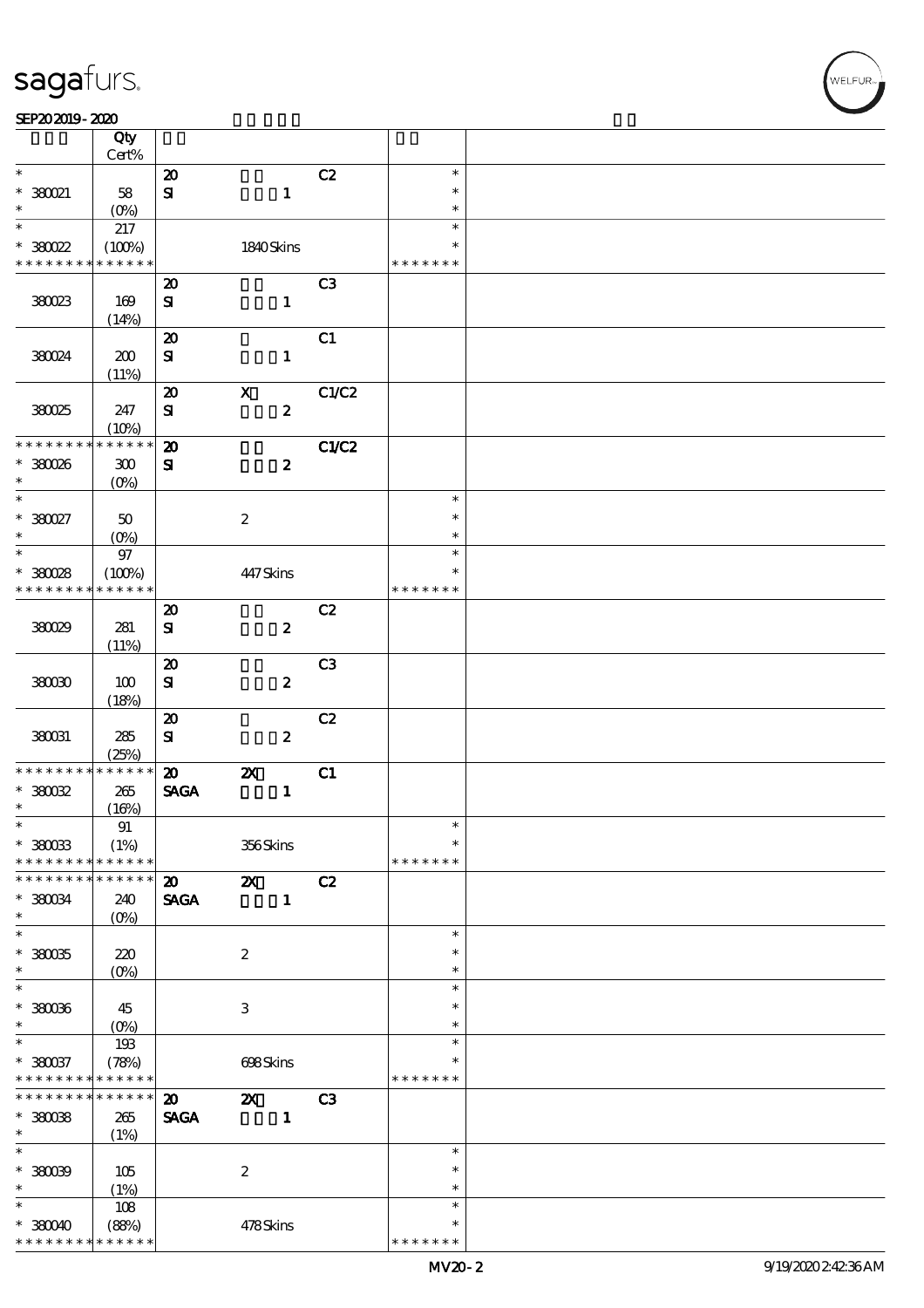|                     | Qty<br>Cert%       |                             |                           |                |               |  |
|---------------------|--------------------|-----------------------------|---------------------------|----------------|---------------|--|
| $\ast$              |                    | $\boldsymbol{\mathbf{z}}$   |                           | C2             | $\ast$        |  |
|                     |                    |                             |                           |                | $\ast$        |  |
| $*380021$<br>$\ast$ | 58                 | ${\bf S}$                   | $\mathbf{1}$              |                |               |  |
|                     | $(O\%)$            |                             |                           |                | $\ast$        |  |
| $\ast$              | 217                |                             |                           |                | $\ast$        |  |
| $*30022$            | (100%)             |                             | 1840Skins                 |                | $\ast$        |  |
| * * * * * * * *     | * * * * * *        |                             |                           |                | * * * * * * * |  |
|                     |                    | $\boldsymbol{\mathbf{z}}$   |                           | C <sub>3</sub> |               |  |
| 380023              | 169                | ${\bf s}$                   | $\mathbf{1}$              |                |               |  |
|                     | (14%)              |                             |                           |                |               |  |
|                     |                    | $\boldsymbol{\mathsf{20}}$  |                           | C1             |               |  |
|                     |                    |                             |                           |                |               |  |
| 380024              | 200                | $\bf S$                     | $\mathbf{1}$              |                |               |  |
|                     | (11%)              |                             |                           |                |               |  |
|                     |                    | $\boldsymbol{\mathfrak{D}}$ | $\boldsymbol{\mathrm{X}}$ | C1/C2          |               |  |
| 380025              | 247                | ${\bf s}$                   | $\pmb{2}$                 |                |               |  |
|                     | (10%)              |                             |                           |                |               |  |
| * * * * * * * *     | * * * * * *        | $\boldsymbol{\mathbf{z}}$   |                           | C1/C2          |               |  |
| $*380026$           | ${\bf 30}$         | $\mathbf{S}$                | $\boldsymbol{z}$          |                |               |  |
| $\ast$              | $(O\!/\!\!\delta)$ |                             |                           |                |               |  |
| $\ast$              |                    |                             |                           |                | $\ast$        |  |
| $*38027$            | $50\,$             |                             | $\boldsymbol{2}$          |                | $\ast$        |  |
| $\ast$              |                    |                             |                           |                | $\ast$        |  |
| $\ast$              | (O <sub>0</sub> )  |                             |                           |                |               |  |
|                     | $9\!7$             |                             |                           |                | $\ast$        |  |
| $*380028$           | (100%)             |                             | 447Skins                  |                | $\ast$        |  |
| * * * * * * * *     | * * * * * *        |                             |                           |                | * * * * * * * |  |
|                     |                    | $\boldsymbol{\mathbf{z}}$   |                           | C2             |               |  |
| 380029              | 281                | ${\bf s}$                   | $\pmb{2}$                 |                |               |  |
|                     | (11%)              |                             |                           |                |               |  |
|                     |                    | $\boldsymbol{\mathsf{20}}$  |                           | C <sub>3</sub> |               |  |
| 38000               | 100                | $\bf S$                     | $\boldsymbol{z}$          |                |               |  |
|                     |                    |                             |                           |                |               |  |
|                     | (18%)              |                             |                           |                |               |  |
|                     |                    | $\boldsymbol{\mathsf{20}}$  |                           | C2             |               |  |
| 380031              | 285                | ${\bf S}$                   | $\pmb{2}$                 |                |               |  |
|                     | (25%)              |                             |                           |                |               |  |
| * * * * * * * *     | * * * * * *        | $\boldsymbol{\mathfrak{D}}$ | $\boldsymbol{\mathsf{z}}$ | C1             |               |  |
| $*30032$            | 265                | <b>SAGA</b>                 | $\mathbf{1}$              |                |               |  |
| $\ast$              | (16%)              |                             |                           |                |               |  |
| $\ast$              | $9\!1$             |                             |                           |                | $\ast$        |  |
| $*$ 380033          | (1%)               |                             | 356Skins                  |                | $\ast$        |  |
| * * * * * * * *     | * * * * * *        |                             |                           |                | * * * * * * * |  |
| * * * * * * *       | * * * * * *        | $\boldsymbol{\mathbf{z}}$   | $\boldsymbol{\mathsf{X}}$ | C2             |               |  |
| * 380034            |                    |                             | $\mathbf{1}$              |                |               |  |
| $\ast$              | 240                | <b>SAGA</b>                 |                           |                |               |  |
| $\overline{\ast}$   | $(O\%)$            |                             |                           |                |               |  |
|                     |                    |                             |                           |                | $\ast$        |  |
| $*38005$            | 220                |                             | $\boldsymbol{z}$          |                | $\ast$        |  |
| $\ast$              | $(0\%)$            |                             |                           |                | $\ast$        |  |
| $\ast$              |                    |                             |                           |                | $\ast$        |  |
| $*36006$            | 45                 |                             | 3                         |                | $\ast$        |  |
| $\ast$              | $(0\%)$            |                             |                           |                | $\ast$        |  |
| $\ast$              | 193                |                             |                           |                | $\ast$        |  |
| $*380037$           | (78%)              |                             | 698Skins                  |                | $\ast$        |  |
| * * * * * * * *     | * * * * * *        |                             |                           |                | * * * * * * * |  |
| * * * * * * * *     | $******$           |                             |                           |                |               |  |
|                     |                    | $\boldsymbol{\mathfrak{D}}$ | $\boldsymbol{\mathsf{z}}$ | C <sub>3</sub> |               |  |
| $*380038$           | 265                | <b>SAGA</b>                 | $\mathbf{1}$              |                |               |  |
| $\ast$              | (1%)               |                             |                           |                |               |  |
| $\ast$              |                    |                             |                           |                | $\ast$        |  |
| $*30009$            | 105                |                             | $\boldsymbol{2}$          |                | $\ast$        |  |
| $\ast$              | (1%)               |                             |                           |                | $\ast$        |  |
| $\ast$              | 108                |                             |                           |                | $\ast$        |  |
| $*38000$            | (88%)              |                             | 478Skins                  |                | $\ast$        |  |
|                     |                    |                             |                           |                | * * * * * * * |  |
| * * * * * * * *     | * * * * * *        |                             |                           |                |               |  |

**VELFUR**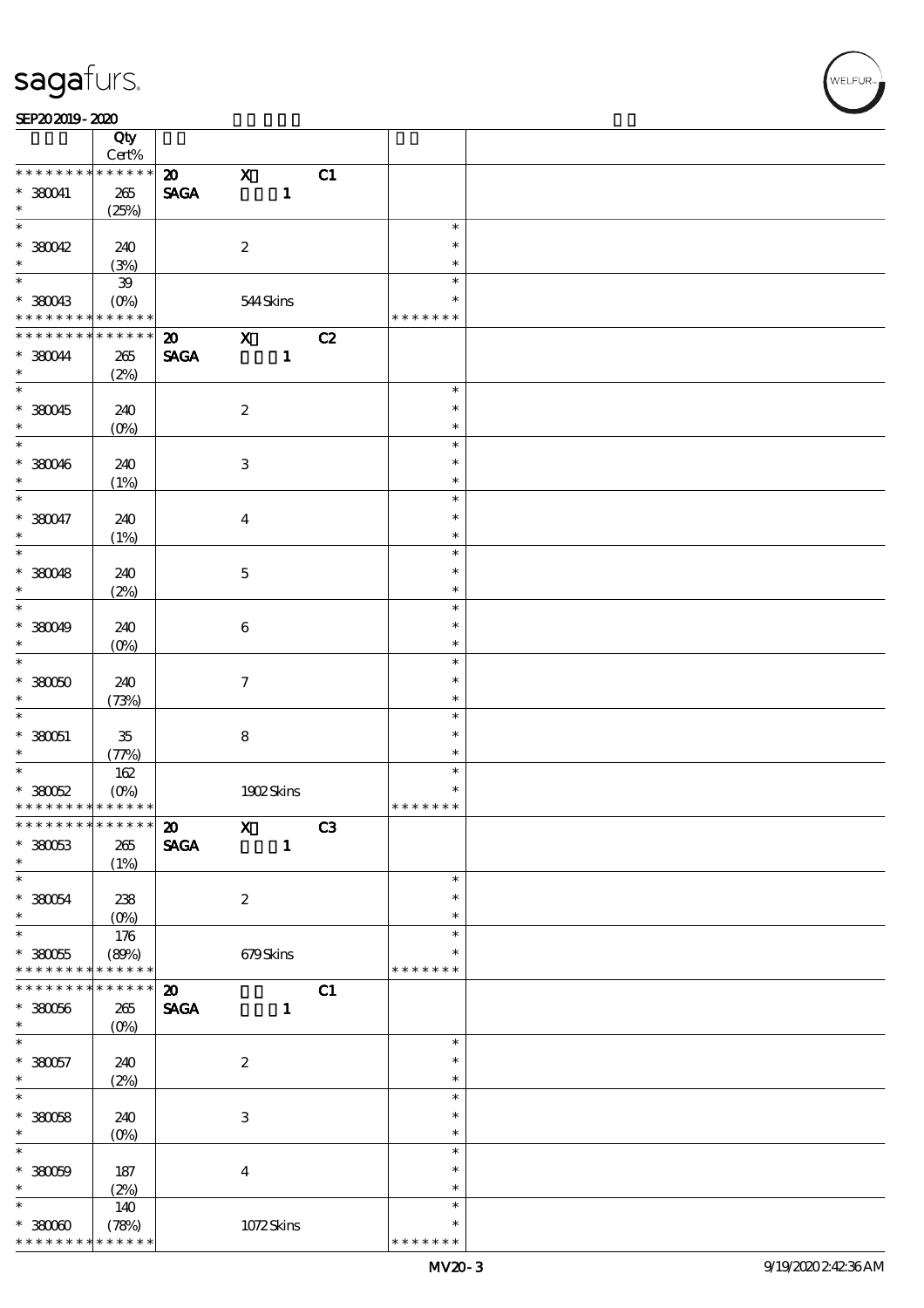#### SEP202019-2020

|                                            | Qty         |                             |                           |              |    |               |  |
|--------------------------------------------|-------------|-----------------------------|---------------------------|--------------|----|---------------|--|
|                                            | Cert%       |                             |                           |              |    |               |  |
| * * * * * * * *                            | * * * * * * | $\boldsymbol{\mathfrak{D}}$ | $\mathbf x$               |              | C1 |               |  |
| $*36041$                                   | 265         | <b>SAGA</b>                 |                           | $\mathbf{1}$ |    |               |  |
| $\ast$<br>$\overline{\phantom{0}}$         | (25%)       |                             |                           |              |    |               |  |
|                                            |             |                             |                           |              |    | $\ast$        |  |
| $*30042$                                   | 240         |                             | $\boldsymbol{2}$          |              |    | $\ast$        |  |
| $\ast$                                     | (3%)        |                             |                           |              |    | $\ast$        |  |
|                                            | ${\bf 39}$  |                             |                           |              |    | $\ast$        |  |
| $*380043$                                  | $(O\!/\!o)$ |                             | 544Skins                  |              |    | $\ast$        |  |
| * * * * * * * *                            | * * * * * * |                             |                           |              |    | * * * * * * * |  |
| * * * * * * * *                            | * * * * * * | $\boldsymbol{\mathfrak{D}}$ | $\mathbf{x}$              |              | C2 |               |  |
| $*36044$                                   | $265\,$     | <b>SAGA</b>                 |                           | $\mathbf{1}$ |    |               |  |
| $\ast$                                     | (2%)        |                             |                           |              |    |               |  |
|                                            |             |                             |                           |              |    | $\ast$        |  |
| $*380045$                                  | 240         |                             | $\boldsymbol{2}$          |              |    | $\ast$        |  |
| $*$                                        | $(0\%)$     |                             |                           |              |    | $\ast$        |  |
| $\overline{\phantom{0}}$                   |             |                             |                           |              |    | $\ast$        |  |
| $*380046$                                  | 240         |                             | $\ensuremath{\mathbf{3}}$ |              |    | $\ast$        |  |
| $\ast$                                     | (1%)        |                             |                           |              |    | $\ast$        |  |
| $\overline{\ast}$                          |             |                             |                           |              |    | $\ast$        |  |
| $*380047$                                  | 240         |                             | $\bf{4}$                  |              |    | $\ast$        |  |
| $\ast$                                     | (1%)        |                             |                           |              |    | $\ast$        |  |
| $\overline{\phantom{0}}$                   |             |                             |                           |              |    | $\ast$        |  |
| $*380048$                                  | 240         |                             | $\mathbf{5}$              |              |    | $\ast$        |  |
| $\ast$                                     | (2%)        |                             |                           |              |    | $\ast$        |  |
|                                            |             |                             |                           |              |    | $\ast$        |  |
| $*36049$                                   | 240         |                             | $\boldsymbol{6}$          |              |    | $\ast$        |  |
| $\ast$                                     | $(0\%)$     |                             |                           |              |    | $\ast$        |  |
|                                            |             |                             |                           |              |    | $\ast$        |  |
| $*30000$                                   | 240         |                             | $\tau$                    |              |    | $\ast$        |  |
| $\ast$                                     | (73%)       |                             |                           |              |    | $\ast$        |  |
| $\ast$                                     |             |                             |                           |              |    | $\ast$        |  |
| $*330051$                                  | $35\,$      |                             | $\bf 8$                   |              |    | $\ast$        |  |
| $\ast$                                     | (77%)       |                             |                           |              |    | $\ast$        |  |
|                                            | 162         |                             |                           |              |    | $\ast$        |  |
| $*30052$                                   | $(O\%)$     |                             |                           | 1902Skins    |    | $\ast$        |  |
| * * * * * * * * <mark>* * * * * * *</mark> |             |                             |                           |              |    | * * * * * * * |  |
| * * * * * * * * <mark>* * * * * * *</mark> |             | $\boldsymbol{\mathfrak{D}}$ | $\boldsymbol{\mathrm{X}}$ |              | C3 |               |  |
| $*30053$                                   | $265\,$     | <b>SAGA</b>                 |                           | $\mathbf{1}$ |    |               |  |
| $\ast$                                     | (1%)        |                             |                           |              |    |               |  |
| $\ast$                                     |             |                             |                           |              |    | $\ast$        |  |
| $* 330054$                                 | 238         |                             | $\boldsymbol{z}$          |              |    | $\ast$        |  |
| $\ast$                                     | $(0\%)$     |                             |                           |              |    | $\ast$        |  |
| $*$                                        | 176         |                             |                           |              |    | $\ast$        |  |
| $*380055$                                  | (80%)       |                             | 679Skins                  |              |    |               |  |
| * * * * * * * *                            | * * * * * * |                             |                           |              |    | * * * * * * * |  |
| * * * * * * *                              | * * * * * * | $\boldsymbol{\mathfrak{D}}$ |                           |              | C1 |               |  |
| $*30056$                                   | $265\,$     | <b>SAGA</b>                 |                           | $\mathbf{1}$ |    |               |  |
| $\ast$                                     | $(O\%)$     |                             |                           |              |    |               |  |
| $\ast$                                     |             |                             |                           |              |    | $\ast$        |  |
| $*380057$                                  | 240         |                             | $\boldsymbol{2}$          |              |    | $\ast$        |  |
| $\ast$                                     | (2%)        |                             |                           |              |    | $\ast$        |  |
| $\overline{\ast}$                          |             |                             |                           |              |    | $\ast$        |  |
| $*30058$                                   | 240         |                             | $\,3$                     |              |    | $\ast$        |  |
| $\ast$                                     | $(0\%)$     |                             |                           |              |    | $\ast$        |  |
| $\ast$                                     |             |                             |                           |              |    | $\ast$        |  |
| $*30009$                                   | 187         |                             | $\boldsymbol{4}$          |              |    | $\ast$        |  |
| $\ast$                                     | (2%)        |                             |                           |              |    | $\ast$        |  |
| $\ast$                                     | 140         |                             |                           |              |    | $\ast$        |  |
| $*3000$                                    | (78%)       |                             |                           | 1072Skins    |    | $\ast$        |  |
| * * * * * * * *                            | * * * * * * |                             |                           |              |    | * * * * * * * |  |

**NELFUR**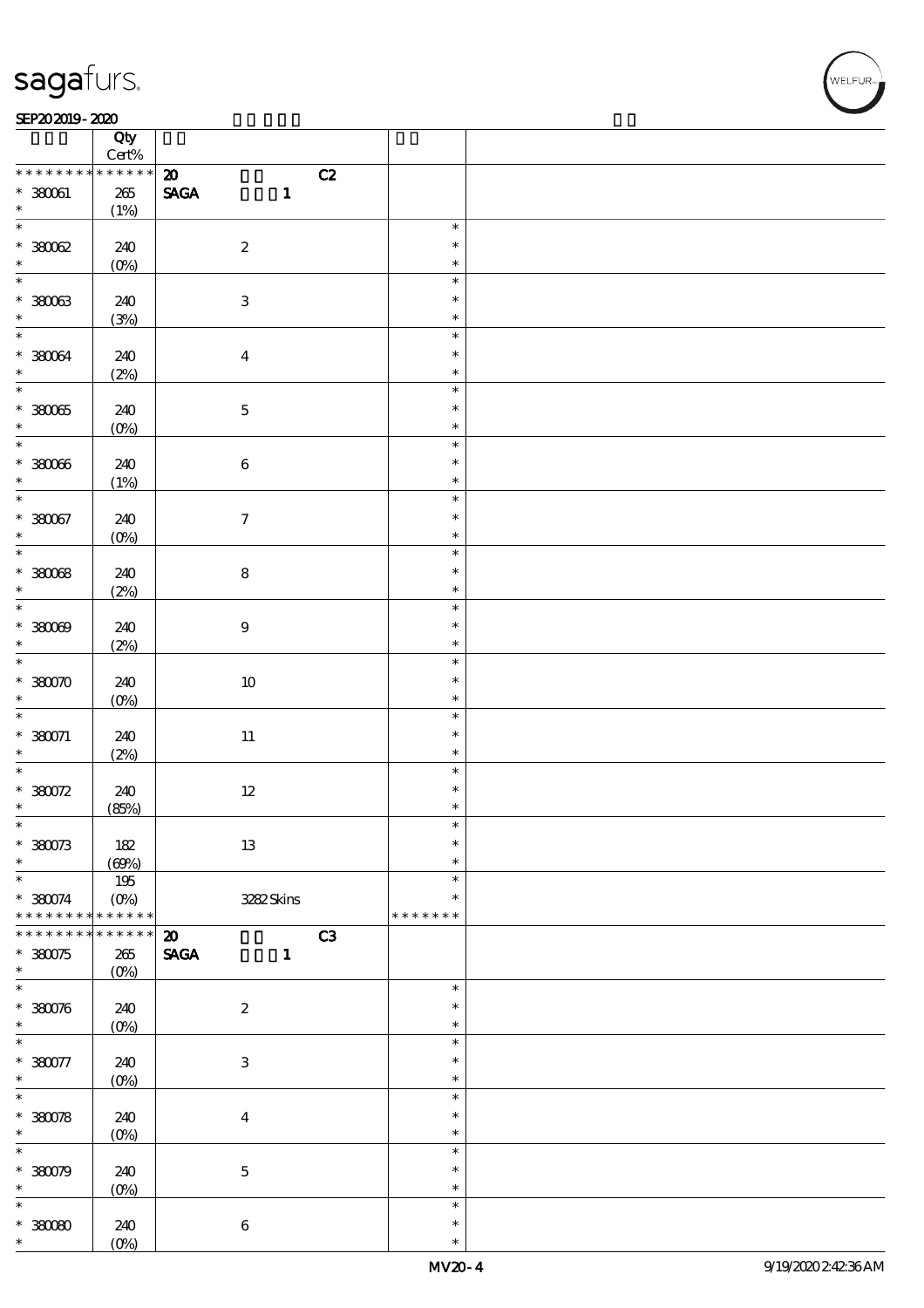#### SEP202019-2020

|                             | Qty<br>$\mbox{Cert}\%$ |                                                                                     |                            |  |
|-----------------------------|------------------------|-------------------------------------------------------------------------------------|----------------------------|--|
| * * * * * * * *             | * * * * * *            |                                                                                     |                            |  |
| $* 380061$<br>$\ast$        | $265\,$                | C2<br>$\boldsymbol{\mathfrak{D}}$<br>$\operatorname{\mathbf{SAGA}}$<br>$\mathbf{1}$ |                            |  |
|                             | (1%)                   |                                                                                     |                            |  |
| $*3002$                     | 240                    | $\boldsymbol{2}$                                                                    | $\ast$<br>$\ast$           |  |
| $\ast$                      | $(0\%)$                |                                                                                     | $\ast$                     |  |
| $\ast$                      |                        |                                                                                     | $\ast$<br>$\ast$           |  |
| $*30003$<br>$\ast$          | 240<br>(3%)            | $\sqrt{3}$                                                                          | $\ast$                     |  |
| $\ast$                      |                        |                                                                                     | $\ast$                     |  |
| $* 38004$<br>$\ast$         | 240<br>(2%)            | $\boldsymbol{4}$                                                                    | $\ast$<br>$\ast$           |  |
| $\overline{\ast}$           |                        |                                                                                     | $\ast$                     |  |
| $*38005$<br>$\ast$          | 240                    | $\mathbf 5$                                                                         | $\ast$<br>$\ast$           |  |
| $\ast$                      | $(0\%)$                |                                                                                     |                            |  |
| $*38006$<br>$\ast$          | 240                    | $\bf 6$                                                                             | $\ast$<br>$\ast$<br>$\ast$ |  |
| $\overline{\ast}$           | (1%)                   |                                                                                     | $\ast$                     |  |
| $* 38007$<br>$\ast$         | 240                    | $\boldsymbol{7}$                                                                    | $\ast$<br>$\ast$           |  |
|                             | $(0\%)$                |                                                                                     |                            |  |
| $*3008$                     | 240                    | ${\bf 8}$                                                                           | $\ast$<br>$\ast$           |  |
| $\ast$                      | (2%)                   |                                                                                     | $\ast$                     |  |
| $\overline{\ast}$           |                        |                                                                                     | $\ast$                     |  |
| $*30009$<br>$\ast$          | 240<br>(2%)            | $\boldsymbol{9}$                                                                    | $\ast$<br>$\ast$           |  |
| $\overline{\ast}$           |                        |                                                                                     | $\ast$                     |  |
| $*$ 380070                  | 240                    | $10\,$                                                                              | $\ast$                     |  |
| $\ast$<br>$\overline{\ast}$ | $(0\%)$                |                                                                                     | $\ast$                     |  |
| $*380071$                   | 240                    | $11\,$                                                                              | $\ast$<br>$\ast$           |  |
| $\ast$                      | (2%)                   |                                                                                     | $\ast$                     |  |
| $\ast$                      |                        |                                                                                     | $\ast$                     |  |
| $*380072$                   | 240                    | $12\,$                                                                              | $\ast$                     |  |
| $\ast$                      | (85%)                  |                                                                                     | $\ast$                     |  |
| $\ast$                      |                        |                                                                                     | ж                          |  |
| $*380073$<br>$\ast$         | $182$                  | $1\!3$                                                                              | $\ast$<br>$\ast$           |  |
| $\ast$                      | (60%)                  |                                                                                     | $\ast$                     |  |
| $*380074$                   | 195<br>$(O\%)$         | 3282Skins                                                                           | $\ast$                     |  |
| * * * * * * * *             | * * * * * *            |                                                                                     | * * * * * * *              |  |
| * * * * * * * *             | $******$               | $\boldsymbol{\mathfrak{D}}$<br>C3                                                   |                            |  |
| $*380075$                   | $265\,$                | <b>SAGA</b><br>$\mathbf{1}$                                                         |                            |  |
| $\ast$                      | $(O\%)$                |                                                                                     |                            |  |
| $\ast$                      |                        |                                                                                     | $\ast$                     |  |
| $* 3800%$<br>$\ast$         | 240                    | $\boldsymbol{2}$                                                                    | $\ast$<br>$\ast$           |  |
| $\ast$                      | $(O\%)$                |                                                                                     | $\ast$                     |  |
| $* 380077$                  | 240                    | $\ensuremath{\mathsf{3}}$                                                           | $\ast$                     |  |
| $\ast$                      | $(0\%)$                |                                                                                     | $\ast$                     |  |
| $\ast$                      |                        |                                                                                     | $\ast$                     |  |
| $*380078$                   | 240                    | $\boldsymbol{4}$                                                                    | $\ast$                     |  |
| $\ast$                      | $(0\%)$                |                                                                                     | $\ast$                     |  |
| $\ast$                      |                        |                                                                                     | $\ast$                     |  |
| $*380079$<br>$\ast$         | 240                    | $\mathbf 5$                                                                         | $\ast$<br>$\ast$           |  |
| $\ast$                      | $(O\%)$                |                                                                                     | $\ast$                     |  |
|                             |                        |                                                                                     | $\ast$                     |  |
| $*30000$<br>$\ast$          | 240<br>$(0\%)$         | $\bf 6$                                                                             | $\ast$                     |  |
|                             |                        |                                                                                     |                            |  |

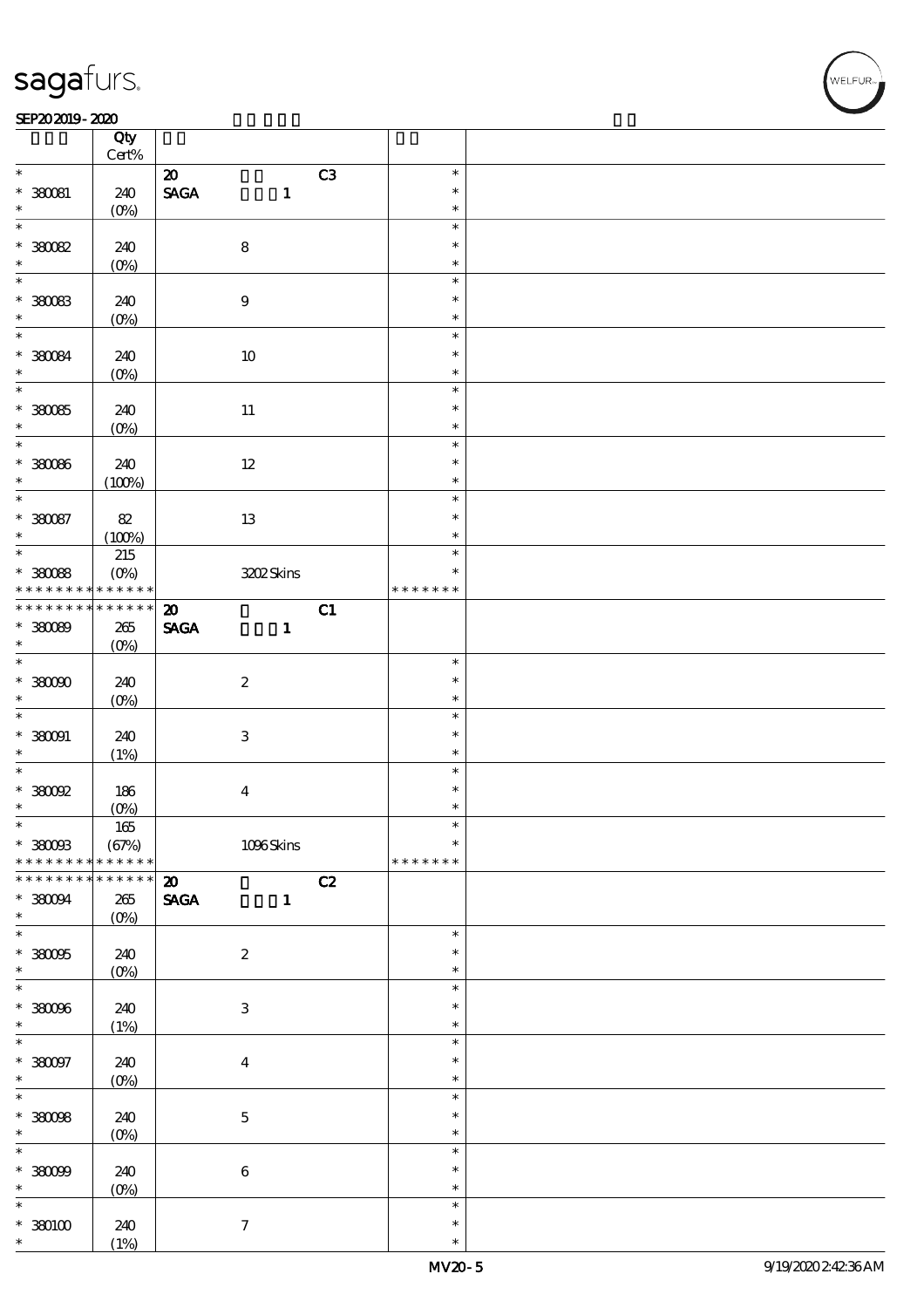#### SEP202019-2020

|                          | Qty             |                                                |                  |  |
|--------------------------|-----------------|------------------------------------------------|------------------|--|
|                          | $\mbox{Cert}\%$ |                                                |                  |  |
| $\ast$                   |                 | C3<br>$\boldsymbol{\mathfrak{D}}$              | $\ast$           |  |
| $*36081$                 | 240             | $\operatorname{\mathbf{SAGA}}$<br>$\mathbf{1}$ | $\ast$           |  |
| $\ast$                   | $(O\%)$         |                                                | $\ast$           |  |
| $\ast$                   |                 |                                                | $\ast$           |  |
| $*30082$                 | 240             | ${\bf 8}$                                      | $\ast$           |  |
| $\ast$                   |                 |                                                | $\ast$           |  |
| $\ast$                   | $(0\%)$         |                                                |                  |  |
|                          |                 |                                                | $\ast$           |  |
| $*30083$                 | 240             | $\boldsymbol{9}$                               | $\ast$           |  |
| $\ast$                   | $(O\%)$         |                                                | $\ast$           |  |
| $\overline{\ast}$        |                 |                                                | $\ast$           |  |
|                          | 240             | $10\,$                                         | $\ast$           |  |
| $* 36084$                |                 |                                                | $\ast$           |  |
| $\overline{\ast}$        | $(0\%)$         |                                                |                  |  |
|                          |                 |                                                | $\ast$           |  |
| $*38005$                 | 240             | $11\,$                                         | $\ast$           |  |
| $\ast$                   | $(0\%)$         |                                                | $\ast$           |  |
| $\ast$                   |                 |                                                | $\ast$           |  |
| $*30086$                 | 240             | $12\,$                                         | $\ast$           |  |
| $\ast$                   | (100%)          |                                                | $\ast$           |  |
| $\ast$                   |                 |                                                |                  |  |
|                          |                 |                                                | $\ast$           |  |
| $*30087$                 | $8\!2$          | $1\!3$                                         | $\ast$           |  |
| $\ast$                   | (100%)          |                                                | $\ast$           |  |
| $\overline{\phantom{0}}$ | $215\,$         |                                                | $\ast$           |  |
| $*30088$                 | $(O\%)$         | 3202Skins                                      | $\ast$           |  |
| * * * * * * * *          | * * * * * *     |                                                | * * * * * * *    |  |
| * * * * * * * *          | $******$        |                                                |                  |  |
|                          |                 | C1<br>$\boldsymbol{\omega}$                    |                  |  |
| $*30089$                 | $265\,$         | <b>SAGA</b><br>$\mathbf{1}$                    |                  |  |
| $\ast$                   | $(O\%)$         |                                                |                  |  |
| $\overline{\ast}$        |                 |                                                | $\ast$           |  |
| $*$ 380000               | 240             | $\boldsymbol{2}$                               | $\ast$           |  |
| $\ast$                   | $(O\%)$         |                                                | $\ast$           |  |
| $\overline{\ast}$        |                 |                                                | $\ast$           |  |
|                          |                 |                                                |                  |  |
| $* 380001$               | 240             | $\ensuremath{\mathsf{3}}$                      | $\ast$           |  |
| $\ast$                   | (1%)            |                                                | $\ast$           |  |
| $\ast$                   |                 |                                                | $\ast$           |  |
| $*38002$                 | 186             | $\boldsymbol{4}$                               | $\ast$           |  |
| $\ast$                   | $(0\%)$         |                                                | $\ast$           |  |
| $\star$                  | $165$           |                                                |                  |  |
|                          |                 |                                                | $\ast$           |  |
| $*$ 38008                | (67%)           | $1096$ Skins                                   |                  |  |
| * * * * * * * *          | * * * * * *     |                                                | * * * * * * *    |  |
| * * * * * * * *          | $******$        | C2<br>$\boldsymbol{\mathfrak{D}}$              |                  |  |
| $*38004$                 | 265             | <b>SAGA</b><br>$\mathbf{1}$                    |                  |  |
| $\ast$                   | $(O\%)$         |                                                |                  |  |
| $\ast$                   |                 |                                                | $\ast$           |  |
| $*38005$                 |                 |                                                |                  |  |
| $\ast$                   |                 |                                                |                  |  |
|                          | 240             | $\boldsymbol{2}$                               | $\ast$           |  |
|                          | $(O\!/\!o)$     |                                                | $\ast$           |  |
| $\overline{\ast}$        |                 |                                                | $\ast$           |  |
| $*38006$                 | 240             | $\,3$                                          | $\ast$           |  |
| $\ast$                   |                 |                                                | $\ast$           |  |
| $\overline{\ast}$        | (1%)            |                                                | $\ast$           |  |
|                          |                 |                                                | $\ast$           |  |
| $*380097$                | 240             | $\boldsymbol{4}$                               |                  |  |
| $\ast$                   | $(O\!/\!o)$     |                                                | $\ast$           |  |
| $\overline{\ast}$        |                 |                                                | $\ast$           |  |
| $*30008$                 | 240             | $\mathbf 5$                                    | $\ast$           |  |
| $\ast$                   | $(O\%)$         |                                                | $\ast$           |  |
| $\overline{\ast}$        |                 |                                                | $\ast$           |  |
|                          |                 |                                                | $\ast$           |  |
| $* 30009$                | 240             | $\,6\,$                                        |                  |  |
| $\ast$                   | $(O\%)$         |                                                | $\ast$           |  |
| $\ast$                   |                 |                                                | $\ast$           |  |
| $*$ 380100<br>$\ast$     | 240<br>(1%)     | $\boldsymbol{\tau}$                            | $\ast$<br>$\ast$ |  |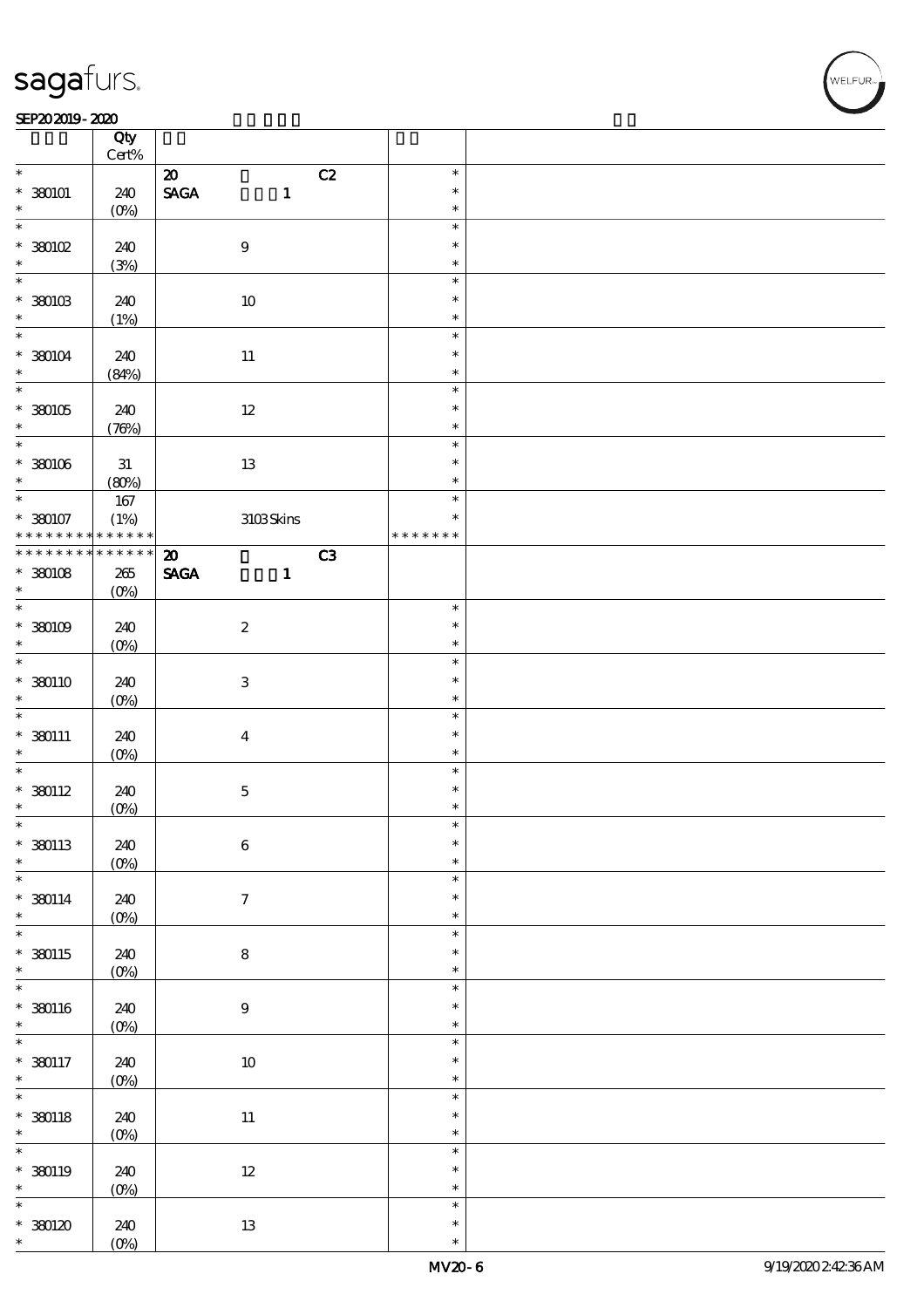#### SEP202019-2020

|                                              | Qty<br>$\mbox{Cert}\%$ |                                                                               |    |                  |  |
|----------------------------------------------|------------------------|-------------------------------------------------------------------------------|----|------------------|--|
| $\ast$                                       |                        |                                                                               |    | $\ast$           |  |
| $*380101$                                    | 240                    | $\boldsymbol{\mathfrak{D}}$<br>$\operatorname{\mathbf{SAGA}}$<br>$\mathbf{1}$ | C2 | $\ast$           |  |
| $\ast$                                       | $(O\%)$                |                                                                               |    | $\ast$           |  |
| $\ast$<br>$*380102$                          | 240                    | $\bf 9$                                                                       |    | $\ast$<br>$\ast$ |  |
|                                              |                        |                                                                               |    |                  |  |
| $\ast$                                       | (3%)                   |                                                                               |    | $\ast$           |  |
| $\ast$                                       |                        |                                                                               |    | $\ast$           |  |
| $*$ 380103                                   | 240                    | $10\,$                                                                        |    | $\ast$           |  |
| $\ast$                                       | (1%)                   |                                                                               |    | $\ast$           |  |
| $\ast$                                       |                        |                                                                               |    | $\ast$           |  |
|                                              |                        |                                                                               |    |                  |  |
| $* 380104$                                   | 240                    | $11\,$                                                                        |    | $\ast$           |  |
| $\ast$                                       | (84%)                  |                                                                               |    | $\ast$           |  |
|                                              |                        |                                                                               |    | $\ast$           |  |
| $* 30005$                                    | 240                    | $12\,$                                                                        |    | $\ast$           |  |
| $\ast$                                       |                        |                                                                               |    |                  |  |
|                                              | (76%)                  |                                                                               |    | $\ast$           |  |
|                                              |                        |                                                                               |    | $\ast$           |  |
| $*30006$                                     | $3\!1$                 | $13\,$                                                                        |    | $\ast$           |  |
| $\ast$                                       | (80%)                  |                                                                               |    | $\ast$           |  |
| $\ddot{x}$                                   | $167$                  |                                                                               |    | $\ast$           |  |
|                                              |                        |                                                                               |    | $\ast$           |  |
| * 380107 (1%)<br>* * * * * * * * * * * * * * |                        | 3103Skins                                                                     |    |                  |  |
|                                              |                        |                                                                               |    | * * * * * * *    |  |
| * * * * * * * *                              | $* * * * * * *$        | $\boldsymbol{\mathfrak{D}}$                                                   | C3 |                  |  |
| $*30008$                                     | $265\,$                | $\ensuremath{\mathsf{SAGA}}$<br>$\mathbf{1}$                                  |    |                  |  |
| $\ast$                                       | $(O\%)$                |                                                                               |    |                  |  |
| $\ast$                                       |                        |                                                                               |    | $\ast$           |  |
|                                              |                        |                                                                               |    |                  |  |
| $*30009$                                     | 240                    | $\boldsymbol{2}$                                                              |    | $\ast$           |  |
| $\ast$                                       | $(0\%)$                |                                                                               |    | $\ast$           |  |
| $\ast$                                       |                        |                                                                               |    | $\ast$           |  |
| $*$ 380110                                   | 240                    | $\ensuremath{\mathbf{3}}$                                                     |    | $\ast$           |  |
|                                              |                        |                                                                               |    |                  |  |
| $\ast$                                       | $(O\%)$                |                                                                               |    | $\ast$           |  |
| $\ast$                                       |                        |                                                                               |    | $\ast$           |  |
| $*$ 380111                                   | 240                    | $\boldsymbol{4}$                                                              |    | $\ast$           |  |
| $\ast$                                       | $(O\%)$                |                                                                               |    | $\ast$           |  |
| $\ast$                                       |                        |                                                                               |    | $\ast$           |  |
|                                              |                        |                                                                               |    | $\ast$           |  |
| $*$ 380112                                   | 240                    | $\mathbf 5$                                                                   |    |                  |  |
| $\ast$                                       | $(0\%)$                |                                                                               |    | $\ast$           |  |
| $\ast$                                       |                        |                                                                               |    | ж                |  |
| $*$ 380113                                   | 240                    | $\bf 6$                                                                       |    | $\ast$           |  |
| $\ast$                                       | $(O\!/\!o)$            |                                                                               |    | $\ast$           |  |
| $\ast$                                       |                        |                                                                               |    | $\ast$           |  |
|                                              |                        |                                                                               |    |                  |  |
| $* 380114$                                   | 240                    | $\boldsymbol{7}$                                                              |    | $\ast$           |  |
| $\ast$                                       | $(0\%)$                |                                                                               |    | $\ast$           |  |
| $\ast$                                       |                        |                                                                               |    | $\ast$           |  |
| $*$ 380115                                   | 240                    | ${\bf 8}$                                                                     |    | $\ast$           |  |
| $\ast$                                       |                        |                                                                               |    | $\ast$           |  |
| $\overline{\ast}$                            | $(0\%)$                |                                                                               |    |                  |  |
|                                              |                        |                                                                               |    | $\ast$           |  |
| $*$ 380116                                   | 240                    | $\boldsymbol{9}$                                                              |    | $\ast$           |  |
| $\ast$                                       | $(0\%)$                |                                                                               |    | $\ast$           |  |
|                                              |                        |                                                                               |    | $\ast$           |  |
| $*$ 380117                                   |                        |                                                                               |    | $\ast$           |  |
|                                              | 240                    | $10\,$                                                                        |    |                  |  |
| $\ast$                                       | $(0\%)$                |                                                                               |    | $\ast$           |  |
| $\overline{\ast}$                            |                        |                                                                               |    | $\ast$           |  |
| $*$ 380118                                   | 240                    | $11\,$                                                                        |    | $\ast$           |  |
| $\ast$                                       | $(0\%)$                |                                                                               |    | $\ast$           |  |
| $\overline{\ast}$                            |                        |                                                                               |    | $\ast$           |  |
|                                              |                        |                                                                               |    |                  |  |
| $* 380119$                                   | 240                    | $12\,$                                                                        |    | $\ast$           |  |
| $\ast$                                       | $(0\%)$                |                                                                               |    | $\ast$           |  |
| $\ast$                                       |                        |                                                                               |    | $\ast$           |  |
| $*30120$                                     | 240                    | $1\!3$                                                                        |    | $\ast$           |  |
|                                              |                        |                                                                               |    |                  |  |
| $\ast$                                       | $(O\%)$                |                                                                               |    | $\ast$           |  |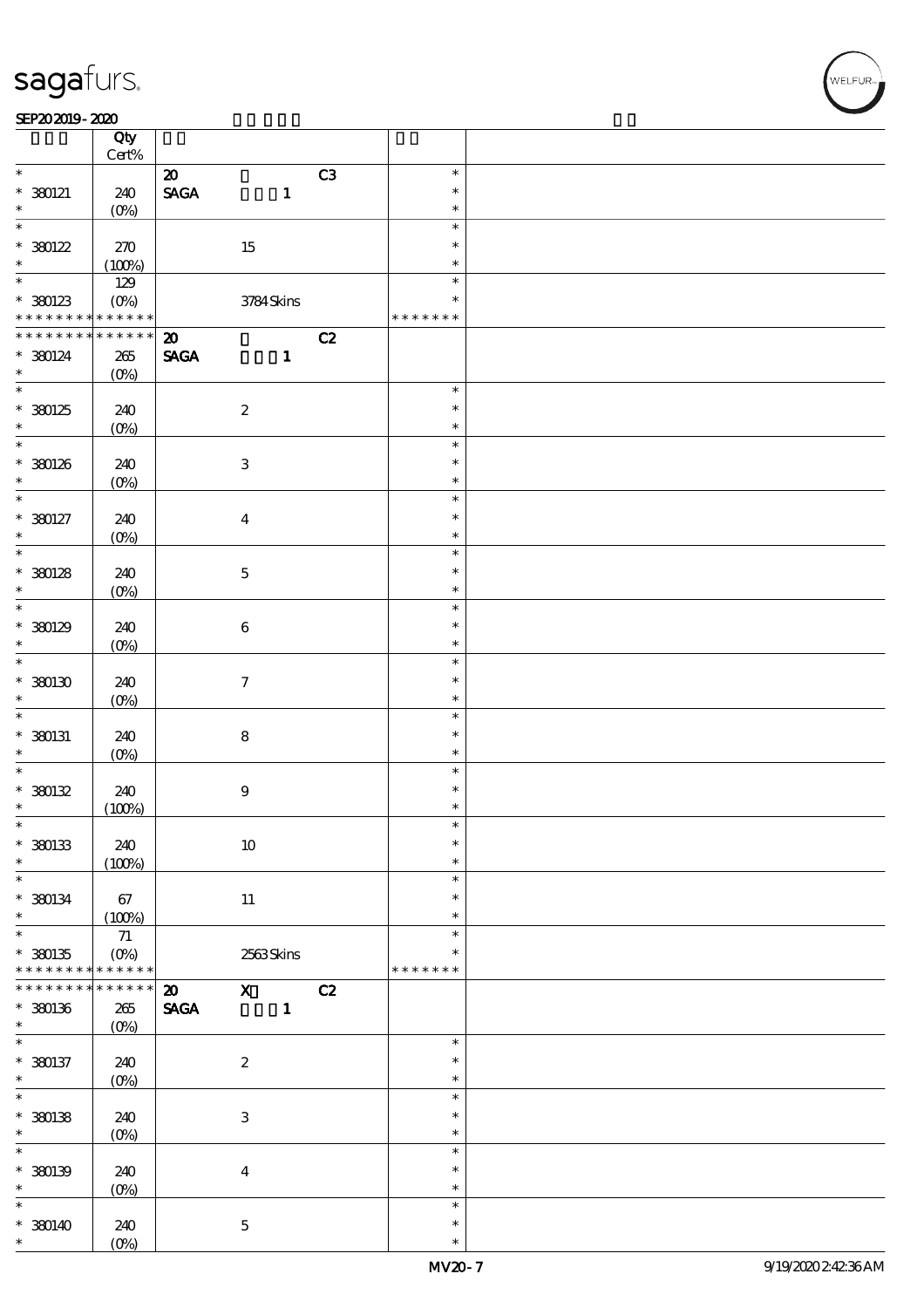#### SEP202019-2020

|                                    | Qty                |                             |                     |    |                  |  |
|------------------------------------|--------------------|-----------------------------|---------------------|----|------------------|--|
| $\ast$                             | $\mbox{Cert}\%$    |                             |                     |    |                  |  |
|                                    |                    | $\boldsymbol{\mathfrak{D}}$ |                     | C3 | $\ast$           |  |
| $* 380121$                         | 240                | <b>SAGA</b>                 | $\mathbf{1}$        |    | $\ast$           |  |
| $\ast$<br>$\overline{\ast}$        | $(O\%)$            |                             |                     |    | $\ast$<br>$\ast$ |  |
|                                    |                    |                             |                     |    | $\ast$           |  |
| $*30122$<br>$\ast$                 | 270                |                             | 15                  |    |                  |  |
|                                    | (100%)             |                             |                     |    | $\ast$           |  |
|                                    | 129                |                             |                     |    | $\ast$           |  |
| * 380123                           | $(0\%)$            |                             | 3784Skins           |    | $\ast$           |  |
|                                    | * * * * * *        |                             |                     |    | * * * * * * *    |  |
| * * * * * * * *                    | * * * * * *        | $\boldsymbol{\mathfrak{D}}$ |                     | C2 |                  |  |
| $*$ 380124                         | $265\,$            | <b>SAGA</b>                 | $\mathbf{1}$        |    |                  |  |
| $\ast$                             | $(O\%)$            |                             |                     |    | $\ast$           |  |
|                                    |                    |                             |                     |    |                  |  |
| $*30125$                           | 240                |                             | $\boldsymbol{2}$    |    | $\ast$           |  |
| $\ast$                             | $(O\%)$            |                             |                     |    | $\ast$           |  |
|                                    |                    |                             |                     |    | $\ast$           |  |
| $*30026$<br>$\ast$                 | 240                |                             | $\,3$               |    | $\ast$<br>$\ast$ |  |
| $\overline{\ast}$                  | $(O\%)$            |                             |                     |    | $\ast$           |  |
|                                    |                    |                             |                     |    | $\ast$           |  |
| $* 380127$<br>$\ast$               | 240                |                             | $\boldsymbol{4}$    |    |                  |  |
|                                    | $(O\%)$            |                             |                     |    | $\ast$<br>$\ast$ |  |
|                                    |                    |                             |                     |    |                  |  |
| $*30128$<br>$\ast$                 | 240                |                             | $\bf 5$             |    | $\ast$           |  |
| $\overline{\ast}$                  | $(O\%)$            |                             |                     |    | $\ast$<br>$\ast$ |  |
|                                    |                    |                             |                     |    | $\ast$           |  |
| $*30129$<br>$\ast$                 | 240                |                             | $\bf 6$             |    | $\ast$           |  |
| $\overline{\ast}$                  | $(O\%)$            |                             |                     |    | $\ast$           |  |
|                                    |                    |                             |                     |    |                  |  |
| $*30030$                           | 240                |                             | $\boldsymbol{\tau}$ |    | $\ast$           |  |
| $\ast$<br>$\ast$                   | $(O\%)$            |                             |                     |    | $\ast$           |  |
|                                    |                    |                             |                     |    | $\ast$           |  |
| $*$ 380131                         | 240                |                             | ${\bf 8}$           |    | $\ast$           |  |
| $\ast$<br>$\overline{\phantom{0}}$ | $(O\%)$            |                             |                     |    | $\ast$<br>$\ast$ |  |
|                                    |                    |                             |                     |    | $\ast$           |  |
| $*30132$<br>$\ast$                 | 240                |                             | $\boldsymbol{9}$    |    | $\ast$           |  |
| $\ast$                             | (100%)             |                             |                     |    | $\ast$           |  |
| $*30033$                           | 240                |                             | $10\,$              |    | $\ast$           |  |
| $\ast$                             | (100%)             |                             |                     |    | $\ast$           |  |
| $\ast$                             |                    |                             |                     |    | $\ast$           |  |
| $*$ 380134                         | 67                 |                             | 11                  |    | $\ast$           |  |
| $\ast$                             | (100%)             |                             |                     |    | $\ast$           |  |
| $\overline{\ast}$                  | 71                 |                             |                     |    | $\ast$           |  |
| $*30035$                           | $(O\%)$            |                             | 2563Skins           |    | *                |  |
| * * * * * * * *                    | * * * * * *        |                             |                     |    | * * * * * * *    |  |
| * * * * * * *                      | * * * * * *        | $\boldsymbol{\mathbf{z}}$   | $\mathbf{X}$        | C2 |                  |  |
| $*$ 380136                         | $265\,$            | <b>SAGA</b>                 | $\mathbf{1}$        |    |                  |  |
| $\ast$                             | $(O\%)$            |                             |                     |    |                  |  |
| $\ast$                             |                    |                             |                     |    | $\ast$           |  |
| $* 380137$                         | 240                |                             | $\boldsymbol{2}$    |    | $\ast$           |  |
| $\ast$                             | $(O_0)$            |                             |                     |    | $\ast$           |  |
| $\overline{\ast}$                  |                    |                             |                     |    | $\ast$           |  |
| $*30038$                           | 240                |                             | $\,3$               |    | $\ast$           |  |
| $\ast$                             | $(O\!/\!o)$        |                             |                     |    | $\ast$           |  |
| $\ast$                             |                    |                             |                     |    | $\ast$           |  |
| $*$ 380139                         | 240                |                             | $\boldsymbol{4}$    |    | $\ast$           |  |
| $\ast$                             | $(0\%)$            |                             |                     |    | $\ast$           |  |
| $\ast$                             |                    |                             |                     |    | $\ast$           |  |
| $* 380140$                         | 240                |                             | $\bf 5$             |    | $\ast$           |  |
| $\ast$                             | $(O\!/\!\!\delta)$ |                             |                     |    | $\ast$           |  |
|                                    |                    |                             |                     |    |                  |  |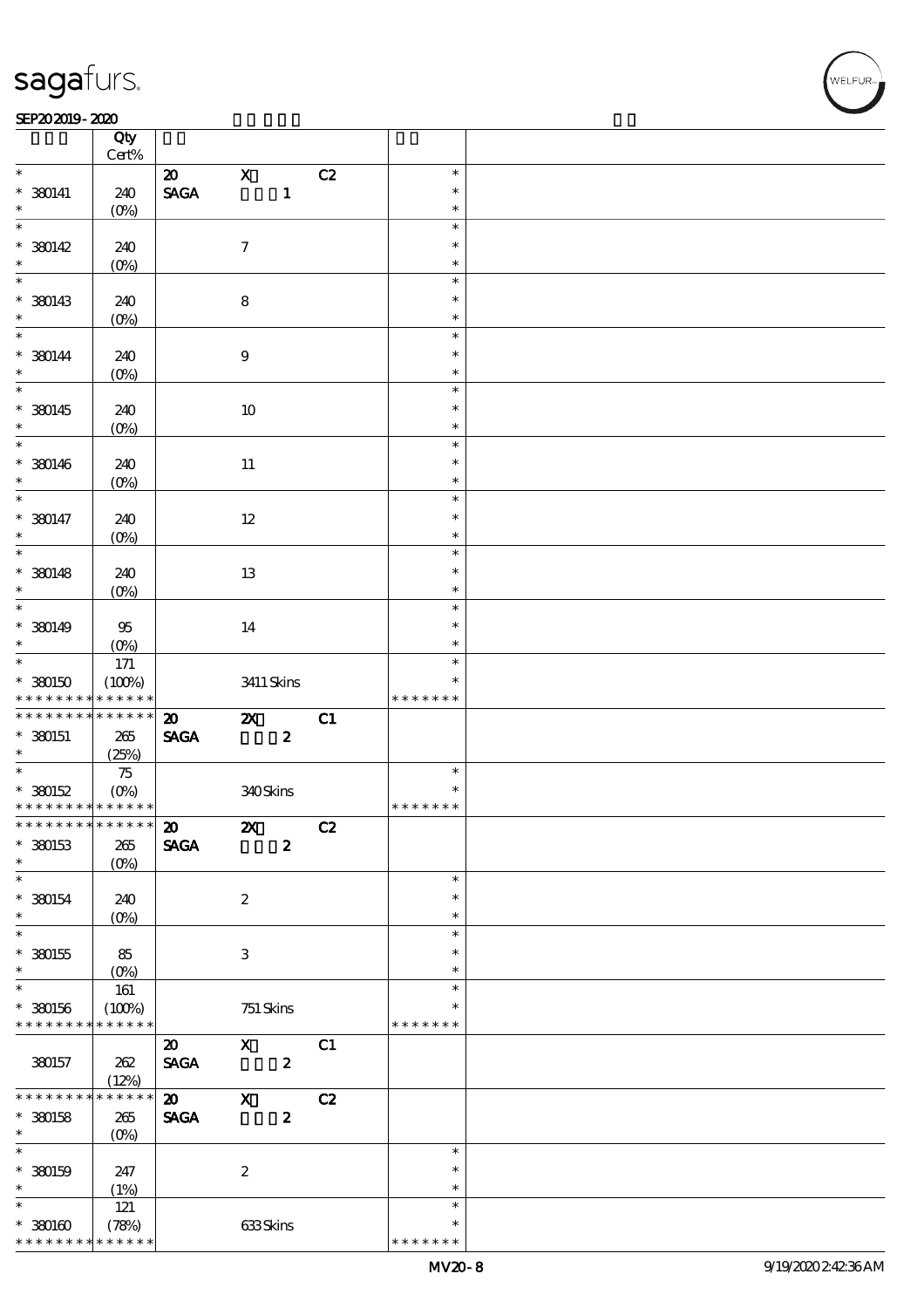#### SEP202019-2020

|                                                        | Qty                   |                                |                          |                  |    |                  |  |
|--------------------------------------------------------|-----------------------|--------------------------------|--------------------------|------------------|----|------------------|--|
|                                                        | Cert%                 |                                |                          |                  |    |                  |  |
|                                                        |                       | $\boldsymbol{\omega}$          | $\mathbf X$              |                  | C2 | $\ast$           |  |
| $* 380141$                                             | 240                   | $\ensuremath{\mathsf{SAGA}}$   |                          | $\mathbf{1}$     |    | $\ast$           |  |
| $\ast$<br>$\ast$                                       | $(O\%)$               |                                |                          |                  |    | $\ast$<br>$\ast$ |  |
|                                                        |                       |                                |                          |                  |    | $\ast$           |  |
| $* 380142$<br>$\ast$                                   | 240                   |                                | $\boldsymbol{\tau}$      |                  |    | $\ast$           |  |
| $\ast$                                                 | $(0\%)$               |                                |                          |                  |    | $\ast$           |  |
|                                                        |                       |                                |                          |                  |    |                  |  |
| $*$ 380143                                             | 240                   |                                | $\bf 8$                  |                  |    | $\ast$           |  |
| $\ast$<br>$\overline{\phantom{0}}$                     | $(0\%)$               |                                |                          |                  |    | $\ast$           |  |
|                                                        |                       |                                |                          |                  |    | $\ast$           |  |
| $* 380144$<br>$\ast$                                   | 240                   |                                | $\boldsymbol{9}$         |                  |    | $\ast$           |  |
|                                                        | (0%)                  |                                |                          |                  |    | $\ast$           |  |
|                                                        |                       |                                |                          |                  |    | $\ast$           |  |
| $*$ 380145                                             | 240                   |                                | 10                       |                  |    | $\ast$           |  |
| $\ast$<br>$\overline{\ast}$                            | $(0\%)$               |                                |                          |                  |    | $\ast$           |  |
|                                                        |                       |                                |                          |                  |    | $\ast$           |  |
| $* 380146$                                             | 240                   |                                | $11\,$                   |                  |    | $\ast$           |  |
| $\ast$<br>$\overline{\phantom{0}}$                     | $(O\%)$               |                                |                          |                  |    | $\ast$           |  |
|                                                        |                       |                                |                          |                  |    | $\ast$           |  |
| $* 380147$                                             | 240                   |                                | $12\,$                   |                  |    | $\ast$           |  |
| $\ast$<br>$\overline{\phantom{0}}$                     | (0%)                  |                                |                          |                  |    | $\ast$           |  |
|                                                        |                       |                                |                          |                  |    | $\ast$           |  |
| $* 380148$                                             | 240                   |                                | 13                       |                  |    | $\ast$           |  |
| $\ast$<br>$\ast$                                       | $(O\%)$               |                                |                          |                  |    | $\ast$           |  |
|                                                        |                       |                                |                          |                  |    | $\ast$           |  |
| $* 380149$                                             | $95\,$                |                                | 14                       |                  |    | $\ast$           |  |
| $\ast$<br>$\overline{\mathbf{r}}$                      | $(O\%)$               |                                |                          |                  |    | $\ast$           |  |
|                                                        | 171                   |                                |                          |                  |    | $\ast$           |  |
| $*30050$                                               | (100%)                |                                |                          | 3411 Skins       |    | $\ast$           |  |
| * * * * * * * *                                        | * * * * * *           |                                |                          |                  |    | * * * * * * *    |  |
| * * * * * * * *                                        | ******                | $\boldsymbol{\mathbf{z}}$      | $\boldsymbol{\alpha}$    |                  | C1 |                  |  |
| $*$ 380151                                             | 265                   | $\operatorname{\mathbf{SAGA}}$ |                          | $\boldsymbol{z}$ |    |                  |  |
| $\ast$<br>$\ast$                                       | (25%)                 |                                |                          |                  |    |                  |  |
|                                                        | $75\,$                |                                |                          |                  |    | $\ast$<br>$\ast$ |  |
| $* 380152$<br>* * * * * * * * <mark>* * * * * *</mark> | $(O\!/\!o)$           |                                | 340Skins                 |                  |    | * * * * * * *    |  |
| *************** 20                                     |                       |                                |                          |                  |    |                  |  |
|                                                        |                       |                                | <b>2X</b> C <sub>2</sub> |                  |    |                  |  |
| $*$ 380153                                             | $265\,$               | <b>SAGA</b>                    |                          | $\boldsymbol{2}$ |    |                  |  |
| $\ast$<br>$\ast$                                       | $(O\%)$               |                                |                          |                  |    | $\ast$           |  |
|                                                        |                       |                                |                          |                  |    |                  |  |
| $* 380154$<br>$\ast$                                   | 240                   |                                | $\boldsymbol{z}$         |                  |    | $\ast$<br>$\ast$ |  |
| $\ast$                                                 | $(O\!/\!o)$           |                                |                          |                  |    | $\ast$           |  |
|                                                        |                       |                                | 3                        |                  |    | $\ast$           |  |
| $*380155$<br>$\ast$                                    | 85                    |                                |                          |                  |    | $\ast$           |  |
| $\overline{\ast}$                                      | $(0\%)$<br>161        |                                |                          |                  |    | $\ast$           |  |
| $* 380156$                                             |                       |                                |                          |                  |    | $\ast$           |  |
| * * * * * * * *                                        | (100%)<br>* * * * * * |                                | 751 Skins                |                  |    | * * * * * * *    |  |
|                                                        |                       | $\boldsymbol{\mathfrak{D}}$    | $\mathbf{X}$             |                  | C1 |                  |  |
|                                                        |                       |                                |                          |                  |    |                  |  |
| 380157                                                 | 262<br>(12%)          | <b>SAGA</b>                    |                          | $\boldsymbol{z}$ |    |                  |  |
| * * * * * * * *                                        | * * * * * *           | $\boldsymbol{\mathsf{20}}$     | $\mathbf{x}$             |                  | C2 |                  |  |
| $*$ 380158                                             | 265                   | <b>SAGA</b>                    |                          | $\boldsymbol{z}$ |    |                  |  |
| $*$                                                    | $(O\!/\!\!\delta)$    |                                |                          |                  |    |                  |  |
| $\overline{\ast}$                                      |                       |                                |                          |                  |    | $\ast$           |  |
| $*$ 380159                                             | 247                   |                                | $\boldsymbol{2}$         |                  |    | $\ast$           |  |
| $\ast$                                                 | (1%)                  |                                |                          |                  |    | $\ast$           |  |
| $\overline{\ast}$                                      | $121$                 |                                |                          |                  |    | $\ast$           |  |
| $*3000$                                                | (78%)                 |                                | 633Skins                 |                  |    | $\ast$           |  |
|                                                        |                       |                                |                          |                  |    |                  |  |
| * * * * * * * *                                        | * * * * * *           |                                |                          |                  |    | * * * * * * *    |  |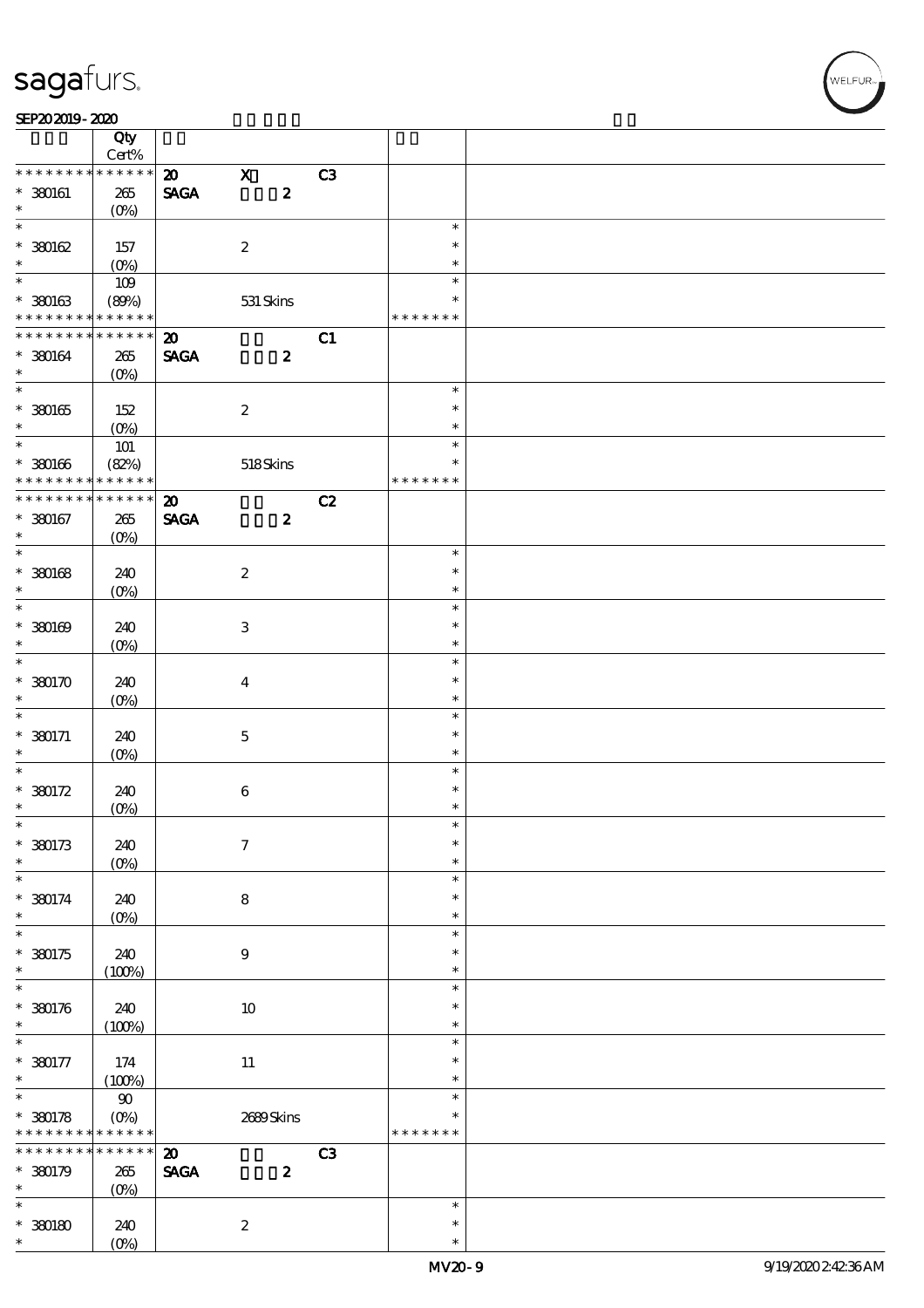#### SEP202019-2020

|                             | Qty<br>Cert%              |                             |                     |                  |    |               |  |
|-----------------------------|---------------------------|-----------------------------|---------------------|------------------|----|---------------|--|
| * * * * * * * *             | * * * * * *               | $\boldsymbol{\mathfrak{D}}$ | $\mathbf x$         |                  | C3 |               |  |
| $*$ 380161                  | $265\,$                   | <b>SAGA</b>                 |                     | $\boldsymbol{2}$ |    |               |  |
| $\ast$                      | $(O\%)$                   |                             |                     |                  |    |               |  |
| $\overline{\ast}$           |                           |                             |                     |                  |    | $\ast$        |  |
| $*30062$                    | 157                       |                             | $\boldsymbol{2}$    |                  |    | $\ast$        |  |
| $\ast$                      | $(O\%)$                   |                             |                     |                  |    | $\ast$        |  |
|                             | 109                       |                             |                     |                  |    | $\ast$        |  |
|                             |                           |                             |                     |                  |    | $\ast$        |  |
| $*30063$<br>* * * * * * * * | (80%)<br>* * * * * *      |                             | $531$ Skins         |                  |    | * * * * * * * |  |
|                             |                           |                             |                     |                  |    |               |  |
| * * * * * * * *             | $* * * * * * *$           | $\boldsymbol{\mathfrak{D}}$ |                     |                  | C1 |               |  |
| $* 380164$                  | $265\,$                   | <b>SAGA</b>                 |                     | $\boldsymbol{z}$ |    |               |  |
| $\ast$                      | $(O\%)$                   |                             |                     |                  |    |               |  |
| $\overline{\ast}$           |                           |                             |                     |                  |    | $\ast$        |  |
| $* 30065$                   | 152                       |                             | $\boldsymbol{2}$    |                  |    | $\ast$        |  |
| $\ast$                      | $(O\%)$                   |                             |                     |                  |    | $\ast$        |  |
| $\overline{\ast}$           | $101$                     |                             |                     |                  |    | $\ast$        |  |
| $* 30066$                   | (82%)                     |                             | $518S$ kins         |                  |    | $\ast$        |  |
| * * * * * * * *             | * * * * * *               |                             |                     |                  |    | * * * * * * * |  |
|                             |                           |                             |                     |                  |    |               |  |
| * * * * * * *               | * * * * * *               | $\boldsymbol{\mathfrak{D}}$ |                     |                  | C2 |               |  |
| $* 380167$                  | 265                       | <b>SAGA</b>                 |                     | $\boldsymbol{z}$ |    |               |  |
| $\ast$                      | $(O\%)$                   |                             |                     |                  |    |               |  |
| $\overline{\ast}$           |                           |                             |                     |                  |    | $\ast$        |  |
| $*30068$                    | 240                       |                             | $\boldsymbol{2}$    |                  |    | $\ast$        |  |
| $\ast$                      | $(O\%)$                   |                             |                     |                  |    | $\ast$        |  |
| $\overline{\ast}$           |                           |                             |                     |                  |    | $\ast$        |  |
| $*30000$                    |                           |                             |                     |                  |    | $\ast$        |  |
| $\ast$                      | 240                       |                             | $\,3$               |                  |    |               |  |
|                             | $(O\!/\!\!\delta)$        |                             |                     |                  |    | $\ast$        |  |
| $\overline{\ast}$           |                           |                             |                     |                  |    | $\ast$        |  |
| $*$ 380170                  | 240                       |                             | $\boldsymbol{4}$    |                  |    | $\ast$        |  |
| $\ast$                      | $(O\%)$                   |                             |                     |                  |    | $\ast$        |  |
| $\ast$                      |                           |                             |                     |                  |    | $\ast$        |  |
| $* 380171$                  | 240                       |                             | $\mathbf 5$         |                  |    | $\ast$        |  |
| $\ast$                      | $(O\%)$                   |                             |                     |                  |    | $\ast$        |  |
| $\ast$                      |                           |                             |                     |                  |    | $\ast$        |  |
| $* 380172$                  | 240                       |                             | $\bf 6$             |                  |    | $\ast$        |  |
| $\ast$                      | $(O\%)$                   |                             |                     |                  |    | $\ast$        |  |
| $\ast$                      |                           |                             |                     |                  |    | $\ast$        |  |
|                             |                           |                             |                     |                  |    | $\ast$        |  |
| $*380173$                   | 240                       |                             | $\boldsymbol{\tau}$ |                  |    |               |  |
| $\ast$                      | $(0\%)$                   |                             |                     |                  |    | $\ast$        |  |
| $\ast$                      |                           |                             |                     |                  |    | $\ast$        |  |
| $* 380174$                  | 240                       |                             | 8                   |                  |    | $\ast$        |  |
| $\ast$                      | $(O\%)$                   |                             |                     |                  |    | $\ast$        |  |
| $\overline{\ast}$           |                           |                             |                     |                  |    | $\ast$        |  |
| $*380175$                   | 240                       |                             | $\boldsymbol{9}$    |                  |    | $\ast$        |  |
| $\ast$                      | (100%)                    |                             |                     |                  |    | $\ast$        |  |
| $\ast$                      |                           |                             |                     |                  |    | $\ast$        |  |
| $*380176$                   | 240                       |                             | $10\,$              |                  |    | $\ast$        |  |
|                             |                           |                             |                     |                  |    |               |  |
| $\ast$<br>$\ast$            | (100%)                    |                             |                     |                  |    | $\ast$        |  |
|                             |                           |                             |                     |                  |    | $\ast$        |  |
| $* 380177$                  | 174                       |                             | $11\,$              |                  |    | $\ast$        |  |
| $\ast$                      | (100%)                    |                             |                     |                  |    | $\ast$        |  |
| $\overline{\ast}$           | $90\,$                    |                             |                     |                  |    | $\ast$        |  |
| $* 380178$                  | $(O\!\!\!\!\!\!\!/\,\!o)$ |                             | 2689Skins           |                  |    | $\ast$        |  |
| * * * * * * * *             | * * * * * *               |                             |                     |                  |    | * * * * * * * |  |
| * * * * * * * *             | $******$                  | $\boldsymbol{\mathfrak{D}}$ |                     |                  | C3 |               |  |
| $*30079$                    | 265                       | <b>SAGA</b>                 |                     | $\boldsymbol{2}$ |    |               |  |
| $\ast$                      | $(O\%)$                   |                             |                     |                  |    |               |  |
| $\ast$                      |                           |                             |                     |                  |    | $\ast$        |  |
|                             |                           |                             |                     |                  |    | $\ast$        |  |
| $*30080$<br>$\ast$          | 240                       |                             | $\boldsymbol{z}$    |                  |    |               |  |
|                             | $(O\!/\!\!\delta)$        |                             |                     |                  |    | $\ast$        |  |

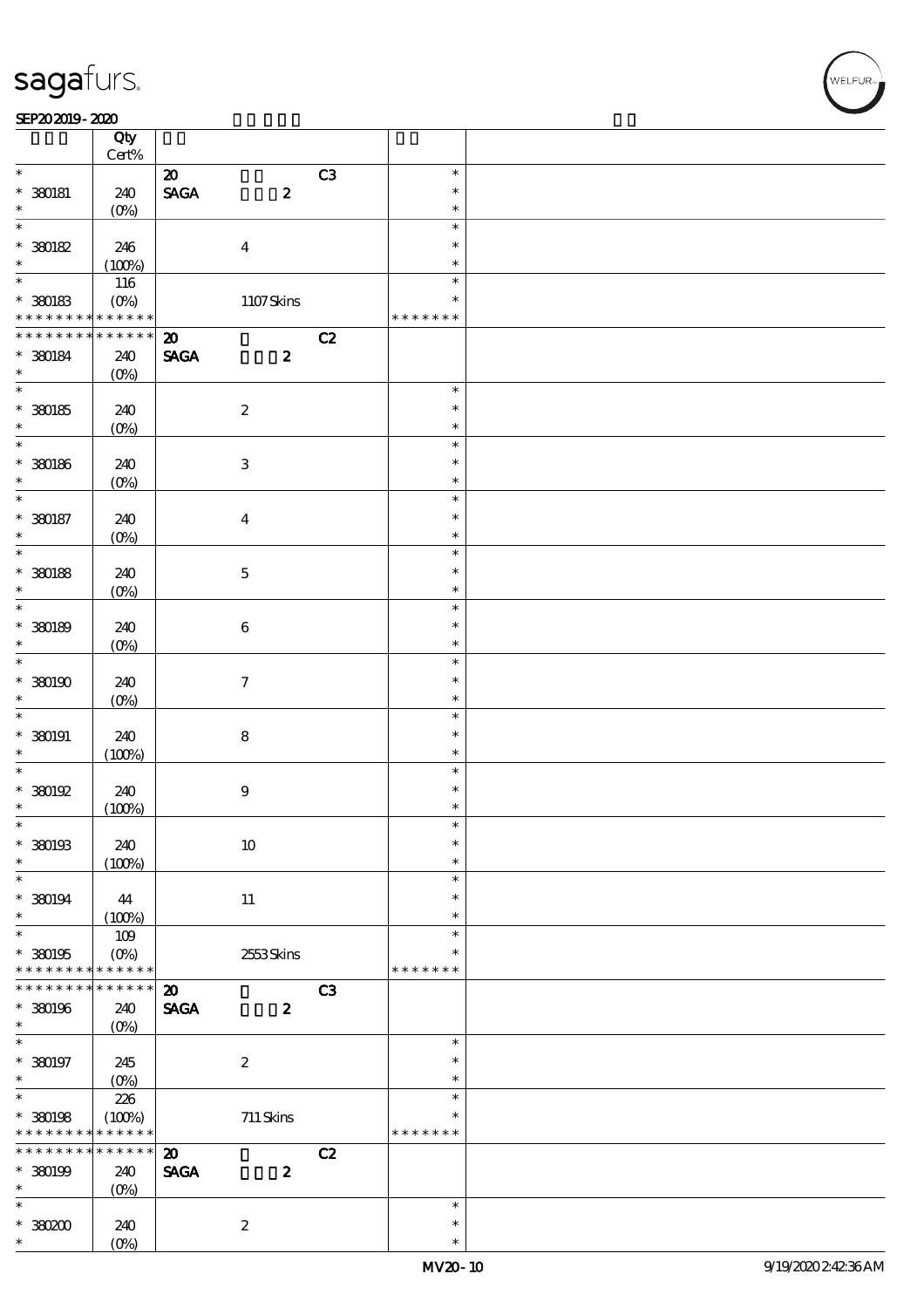#### SEP202019-2020

|                   | Qty<br>$Cert\%$    |                                |                           |                |               |  |
|-------------------|--------------------|--------------------------------|---------------------------|----------------|---------------|--|
| $\ast$            |                    |                                |                           |                |               |  |
|                   |                    | $\boldsymbol{\mathfrak{D}}$    |                           | C3             | $\ast$        |  |
| $*$ 380181        | 240                | $\operatorname{\mathsf{SAGA}}$ | $\boldsymbol{z}$          |                | $\ast$        |  |
| $\ast$            | $(O\%)$            |                                |                           |                | $\ast$        |  |
| $\ast$            |                    |                                |                           |                | $\ast$        |  |
| $*30082$          | 246                |                                | $\boldsymbol{4}$          |                | $\ast$        |  |
| $\ast$            | (100%)             |                                |                           |                | $\ast$        |  |
|                   | 116                |                                |                           |                | $\ast$        |  |
| $*$ 380183        | $(O\%)$            |                                | 1107Skins                 |                | $\ast$        |  |
| * * * * * * * *   | * * * * * *        |                                |                           |                | * * * * * * * |  |
| * * * * * * * *   | * * * * * *        | $\boldsymbol{\mathfrak{D}}$    |                           | C2             |               |  |
| $*$ 380184        | 240                | <b>SAGA</b>                    | $\boldsymbol{z}$          |                |               |  |
| $\ast$            | $(O\%)$            |                                |                           |                |               |  |
|                   |                    |                                |                           |                | $\ast$        |  |
| $* 30085$         | 240                |                                | $\boldsymbol{2}$          |                | $\ast$        |  |
| $\ast$            |                    |                                |                           |                | $\ast$        |  |
| $*$               | $(O\%)$            |                                |                           |                | $\ast$        |  |
|                   |                    |                                |                           |                | $\ast$        |  |
| $*$ 380186        | 240                |                                | $\ensuremath{\mathbf{3}}$ |                |               |  |
| $\ast$            | $(O\%)$            |                                |                           |                | $\ast$        |  |
| $\ast$            |                    |                                |                           |                | $\ast$        |  |
| $*$ 380187        | 240                |                                | $\boldsymbol{4}$          |                | $\ast$        |  |
| $\ast$            | $(O\%)$            |                                |                           |                | $\ast$        |  |
| $\overline{\ast}$ |                    |                                |                           |                | $\ast$        |  |
| $*$ 380188        | 240                |                                | $\mathbf 5$               |                | $\ast$        |  |
| $\ast$            | $(O\%)$            |                                |                           |                | $\ast$        |  |
| $\ast$            |                    |                                |                           |                | $\ast$        |  |
| $*30089$          | 240                |                                | $\bf 6$                   |                | $\ast$        |  |
| $\ast$            | $(O\%)$            |                                |                           |                | $\ast$        |  |
| $\overline{\ast}$ |                    |                                |                           |                | $\ast$        |  |
| $*30000$          | 240                |                                | $\boldsymbol{\tau}$       |                | $\ast$        |  |
| $\ast$            | $(O\%)$            |                                |                           |                | $\ast$        |  |
| $\ast$            |                    |                                |                           |                | $\ast$        |  |
| $*$ 380191        |                    |                                |                           |                | $\ast$        |  |
| $\ast$            | 240                |                                | ${\bf 8}$                 |                | $\ast$        |  |
| $\ast$            | (100%)             |                                |                           |                | $\ast$        |  |
|                   |                    |                                |                           |                |               |  |
| $*30092$          | 240                |                                | $\boldsymbol{9}$          |                | $\ast$        |  |
| $\ast$            | (100%)             |                                |                           |                | $\ast$        |  |
| $\ast$            |                    |                                |                           |                | $\ast$        |  |
| $*$ 380193        | 240                |                                | $10\,$                    |                | $\ast$        |  |
| $\ast$            | (100%)             |                                |                           |                | $\ast$        |  |
| $\ast$            |                    |                                |                           |                | $\ast$        |  |
| $* 380194$        | 44                 |                                | 11                        |                | $\ast$        |  |
| $\ast$            | (100%)             |                                |                           |                | $\ast$        |  |
| $\overline{\ast}$ | 109                |                                |                           |                | $\ast$        |  |
| $*30095$          | $(O\%)$            |                                | 2553Skins                 |                | *             |  |
| * * * * * * * *   | * * * * * *        |                                |                           |                | * * * * * * * |  |
| * * * * * * *     | * * * * * *        | $\boldsymbol{\mathbf{z}}$      |                           | C <sub>3</sub> |               |  |
| * 380196          | 240                | <b>SAGA</b>                    | $\boldsymbol{z}$          |                |               |  |
| $\ast$            | $(0\%)$            |                                |                           |                |               |  |
| $\ast$            |                    |                                |                           |                | $\ast$        |  |
| $* 380197$        | 245                |                                | $\boldsymbol{2}$          |                | $\ast$        |  |
| $\ast$            | $(0\%)$            |                                |                           |                | $\ast$        |  |
| $\overline{\ast}$ | 226                |                                |                           |                | $\ast$        |  |
| $*$ 380198        | (100%)             |                                | $711$ Skins               |                | $\ast$        |  |
| * * * * * * * *   | * * * * * *        |                                |                           |                | * * * * * * * |  |
| * * * * * * * *   | $* * * * * * *$    |                                |                           |                |               |  |
|                   |                    | $\boldsymbol{\mathfrak{D}}$    |                           | C2             |               |  |
| $* 30099$         | 240                | <b>SAGA</b>                    | $\boldsymbol{z}$          |                |               |  |
| $\ast$            | $(0\%)$            |                                |                           |                |               |  |
| $\ast$            |                    |                                |                           |                | $\ast$        |  |
| $*38000$          | 240                |                                | $\boldsymbol{2}$          |                | $\ast$        |  |
| $\ast$            | $(O\!/\!\!\delta)$ |                                |                           |                | $\ast$        |  |

,<br>WELFUR: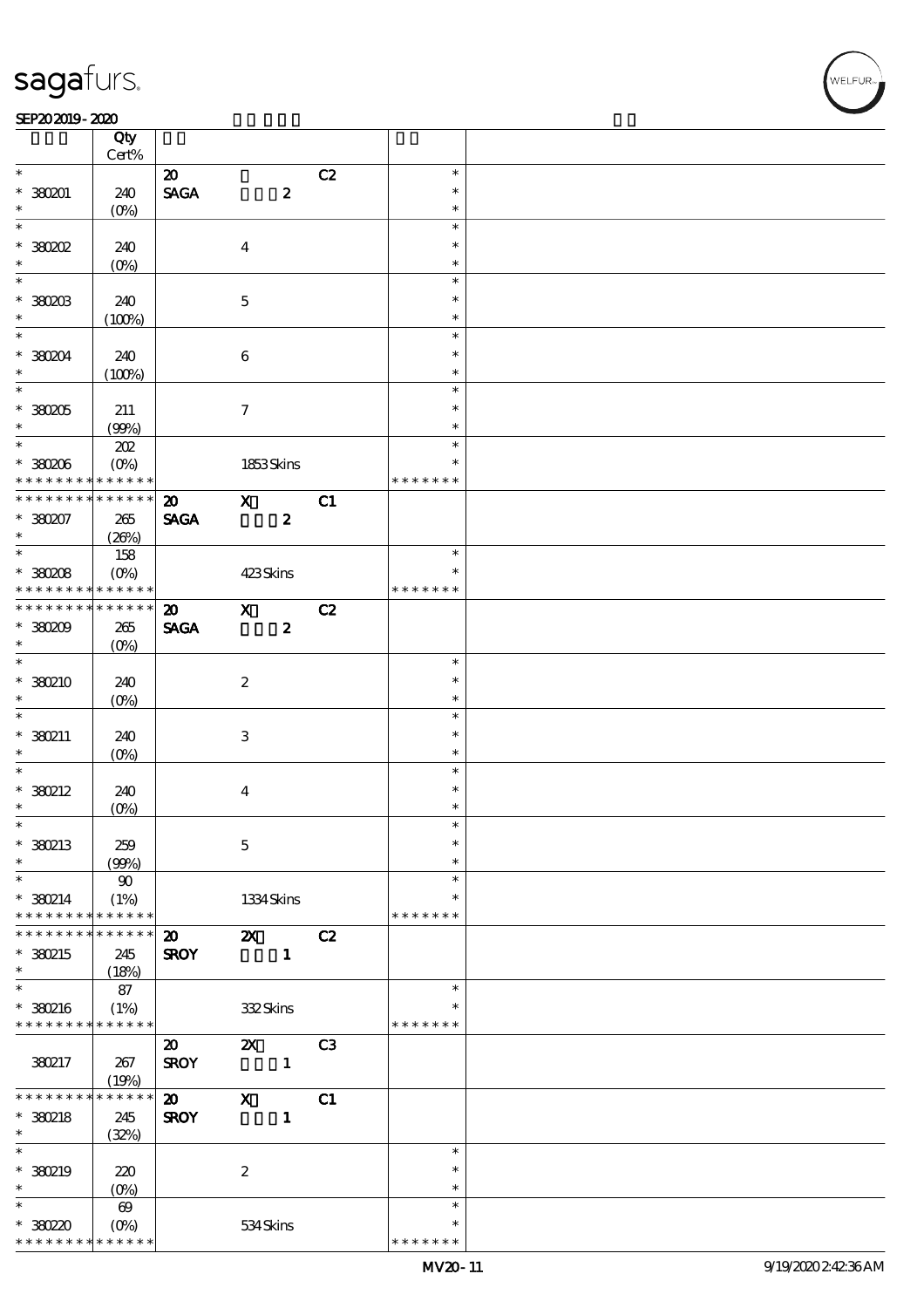#### SEP202019-2020

|                                | Qty                      |                                            |                             |                |                         |  |
|--------------------------------|--------------------------|--------------------------------------------|-----------------------------|----------------|-------------------------|--|
| $\ast$                         | Cert%                    |                                            |                             |                | $\ast$                  |  |
| $*38001$                       |                          | $\boldsymbol{\mathfrak{D}}$                |                             | C2             | $\ast$                  |  |
| $\ast$                         | 240<br>(O <sub>0</sub> ) | $\operatorname{\mathsf{SAGA}}$             | $\boldsymbol{z}$            |                | $\ast$                  |  |
| $\ast$                         |                          |                                            |                             |                | $\ast$                  |  |
| $*38002$                       | 240                      |                                            | $\overline{\mathbf{4}}$     |                | $\ast$                  |  |
| $\ast$                         | $(0\%)$                  |                                            |                             |                | $\ast$                  |  |
| $\ast$                         |                          |                                            |                             |                | $\ast$                  |  |
| $*$ 380203                     | 240                      |                                            | $\bf 5$                     |                | $\ast$                  |  |
| $\ast$                         | (100%)                   |                                            |                             |                | $\ast$                  |  |
| $\ast$                         |                          |                                            |                             |                | $\ast$                  |  |
| * 380204                       | 240                      |                                            | $\bf 6$                     |                | $\ast$                  |  |
| $\ast$                         | (100%)                   |                                            |                             |                | $\ast$                  |  |
|                                |                          |                                            |                             |                | $\ast$                  |  |
| $*38005$                       | 211                      |                                            | $\tau$                      |                | $\ast$                  |  |
| $\ast$                         | (90%)                    |                                            |                             |                | $\ast$                  |  |
|                                | 202                      |                                            |                             |                | $\ast$                  |  |
| $*380006$<br>* * * * * * * *   | $(O\%)$<br>* * * * * *   |                                            | 1853Skins                   |                | $\ast$<br>* * * * * * * |  |
| * * * * * * * *                | $* * * * * * *$          |                                            |                             |                |                         |  |
| $*380207$                      |                          | $\boldsymbol{\mathfrak{D}}$<br><b>SAGA</b> | $\mathbf{x}$                | C1             |                         |  |
| $\ast$                         | 265<br>(20%)             |                                            | $\boldsymbol{z}$            |                |                         |  |
|                                | 158                      |                                            |                             |                | $\ast$                  |  |
| * 380208                       | $(O\%)$                  |                                            | 423Skins                    |                | $\ast$                  |  |
| * * * * * * * *                | * * * * * *              |                                            |                             |                | * * * * * * *           |  |
| * * * * * * * * <mark>*</mark> | * * * * * *              | $\boldsymbol{\mathfrak{D}}$                | $\mathbf{x}$                | C2             |                         |  |
| $*38000$                       | 265                      | <b>SAGA</b>                                | $\boldsymbol{z}$            |                |                         |  |
| $\ast$                         | $(O\%)$                  |                                            |                             |                |                         |  |
| $\ast$                         |                          |                                            |                             |                | $\ast$                  |  |
| * 380210                       | 240                      |                                            | $\boldsymbol{2}$            |                | $\ast$                  |  |
| $\ast$                         | $(O\%)$                  |                                            |                             |                | $\ast$                  |  |
| $\ast$                         |                          |                                            |                             |                | $\ast$                  |  |
| $*360211$                      | 240                      |                                            | 3                           |                | $\ast$                  |  |
| $\ast$                         | $(O\%)$                  |                                            |                             |                | $\ast$                  |  |
| $\ast$                         |                          |                                            |                             |                | $\ast$                  |  |
| $*$ 380212<br>$\ast$           | 240                      |                                            | $\overline{4}$              |                | $\ast$<br>$\ast$        |  |
| $\ast$                         | $(0\%)$                  |                                            |                             |                | ж                       |  |
| * 380213                       | 259                      |                                            | $\mathbf{5}$                |                | $\ast$                  |  |
| $\ast$                         | (90%)                    |                                            |                             |                | $\ast$                  |  |
| $\ast$                         | $90^{\circ}$             |                                            |                             |                | $\ast$                  |  |
| $*380214$                      | (1%)                     |                                            | 1334 Skins                  |                | $\ast$                  |  |
| * * * * * * * *                | * * * * * *              |                                            |                             |                | * * * * * * *           |  |
| * * * * * * * *                | $* * * * * * *$          | $\boldsymbol{\mathfrak{D}}$                | $\boldsymbol{\mathsf{X}}$   | C2             |                         |  |
| * 380215                       | 245                      | <b>SROY</b>                                | $\mathbf{1}$                |                |                         |  |
| $\ast$                         | (18%)                    |                                            |                             |                |                         |  |
| $\ast$                         | 87                       |                                            |                             |                | $\ast$                  |  |
| * 380216                       | (1%)                     |                                            | 332Skins                    |                | $\ast$                  |  |
| * * * * * * * *                | ******                   |                                            |                             |                | * * * * * * *           |  |
|                                |                          | $\boldsymbol{\mathfrak{D}}$                | $\boldsymbol{\mathsf{X}}$   | C <sub>3</sub> |                         |  |
| 380217                         | 267                      | <b>SROY</b>                                | $\mathbf{1}$                |                |                         |  |
| * * * * * * * *                | (19%)<br>* * * * * *     | $\boldsymbol{\mathfrak{D}}$                |                             |                |                         |  |
| * 380218                       | 245                      | <b>SROY</b>                                | $\mathbf x$<br>$\mathbf{1}$ | C1             |                         |  |
| $\ast$                         | (32%)                    |                                            |                             |                |                         |  |
| $\ast$                         |                          |                                            |                             |                | $\ast$                  |  |
| * 380219                       | 220                      |                                            | $\boldsymbol{2}$            |                | $\ast$                  |  |
| $\ast$                         | $(0\%)$                  |                                            |                             |                | $\ast$                  |  |
| $\ast$                         | $\boldsymbol{\omega}$    |                                            |                             |                | $\ast$                  |  |
| * 380220                       | $(O\!/\!o)$              |                                            | 534Skins                    |                | $\ast$                  |  |
| * * * * * * * *                | * * * * * *              |                                            |                             |                | * * * * * * *           |  |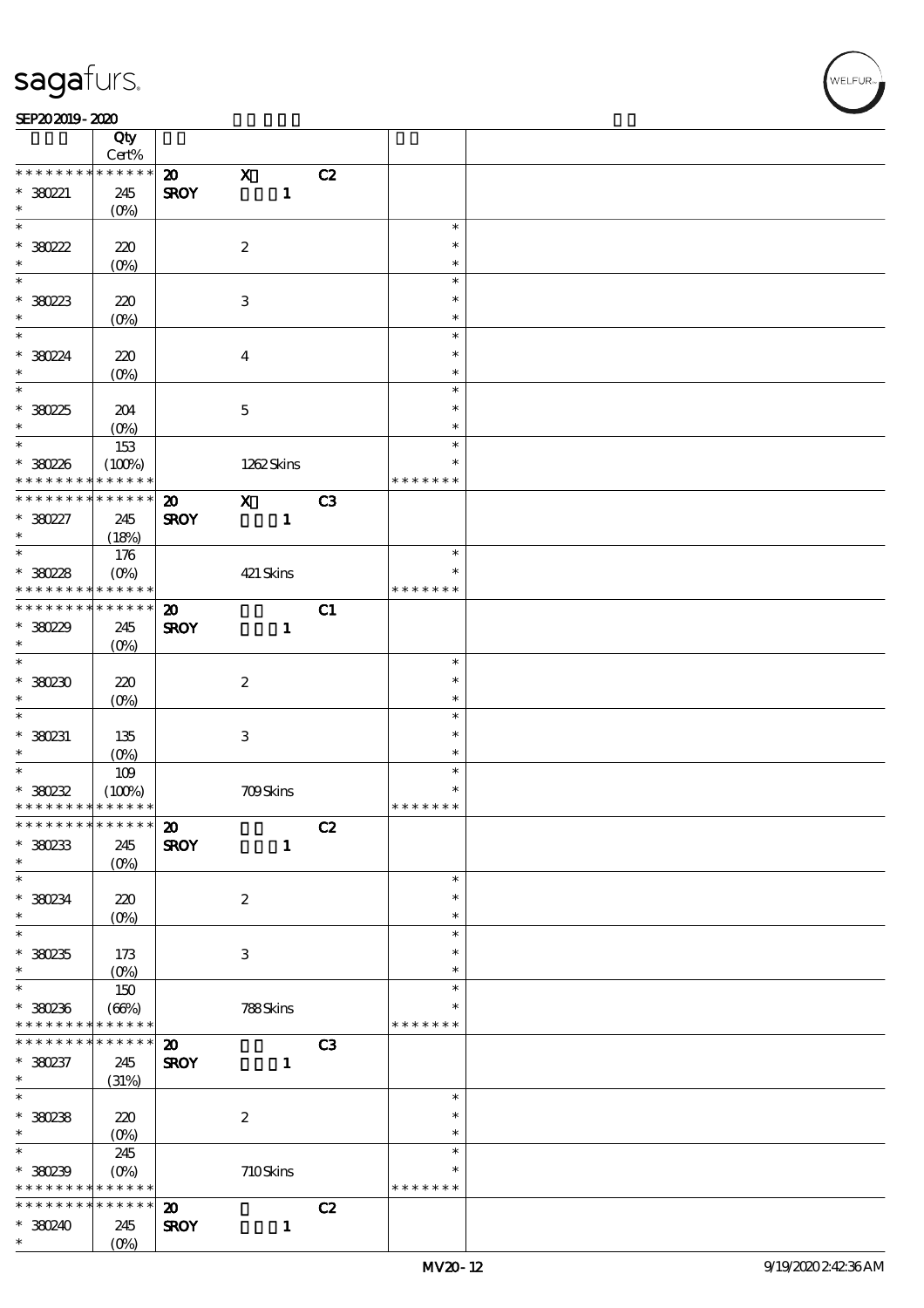т

#### SEP202019-2020

|                                         | Qty<br>Cert%       |                             |                           |    |               |        |  |
|-----------------------------------------|--------------------|-----------------------------|---------------------------|----|---------------|--------|--|
| * * * * * * * *                         | * * * * * *        | $\boldsymbol{\mathfrak{D}}$ | $\mathbf x$               | C2 |               |        |  |
| $*380221$<br>$\ast$                     | 245<br>$(O\%)$     | <b>SROY</b>                 | $\mathbf{1}$              |    |               |        |  |
| $\overline{\ast}$                       |                    |                             |                           |    |               | $\ast$ |  |
| $*30222$                                | 220                |                             | $\boldsymbol{2}$          |    |               | $\ast$ |  |
| $\ast$                                  | (O <sub>0</sub> )  |                             |                           |    |               | $\ast$ |  |
|                                         |                    |                             |                           |    |               | $\ast$ |  |
|                                         |                    |                             |                           |    |               | $\ast$ |  |
| $*380223$<br>$\ast$                     | 220                |                             | $\,3$                     |    |               |        |  |
| $\overline{\mathbf{r}}$                 | (O <sub>0</sub> )  |                             |                           |    |               | $\ast$ |  |
|                                         |                    |                             |                           |    |               | $\ast$ |  |
| * 38024                                 | 220                |                             | $\overline{\mathbf{4}}$   |    |               | $\ast$ |  |
| $\ast$                                  | $(O\!/\!\!\delta)$ |                             |                           |    |               | $\ast$ |  |
| $\overline{\ast}$                       |                    |                             |                           |    |               | $\ast$ |  |
| $*38025$                                | 204                |                             | $\mathbf{5}$              |    |               | $\ast$ |  |
| $\ast$                                  | $(O\%)$            |                             |                           |    |               | $\ast$ |  |
| $\overline{\phantom{0}}$                | 153                |                             |                           |    |               | $\ast$ |  |
| * 380226                                | (100%)             |                             | 1262Skins                 |    |               | $\ast$ |  |
| * * * * * * * *                         | * * * * * *        |                             |                           |    | * * * * * * * |        |  |
| * * * * * * * *                         | * * * * * *        | $\boldsymbol{\mathbf{z}}$   | $\mathbf{x}$              | C3 |               |        |  |
| * 380227                                | 245                | <b>SROY</b>                 | $\mathbf{1}$              |    |               |        |  |
| $\ast$                                  |                    |                             |                           |    |               |        |  |
|                                         | (18%)              |                             |                           |    |               | $\ast$ |  |
|                                         | 176                |                             |                           |    |               |        |  |
| $*380228$                               | $(O\%)$            |                             | 421 Skins                 |    |               | $\ast$ |  |
| * * * * * * * *                         | * * * * * *        |                             |                           |    | * * * * * * * |        |  |
| * * * * * * * *                         | $******$           | $\boldsymbol{\mathbf{z}}$   |                           | C1 |               |        |  |
| $*38029$                                | 245                | <b>SROY</b>                 | $\mathbf{1}$              |    |               |        |  |
| $\ast$                                  | $(O\!/\!\!\delta)$ |                             |                           |    |               |        |  |
| $\overline{\phantom{0}}$                |                    |                             |                           |    |               | $\ast$ |  |
| $*380230$                               | 220                |                             | $\boldsymbol{2}$          |    |               | $\ast$ |  |
| $\ast$                                  | $(O\%)$            |                             |                           |    |               | $\ast$ |  |
| $\ast$                                  |                    |                             |                           |    |               | $\ast$ |  |
| * 380231                                | 135                |                             | $\ensuremath{\mathbf{3}}$ |    |               | $\ast$ |  |
| $\ast$                                  |                    |                             |                           |    |               | $\ast$ |  |
|                                         | $(O\%)$            |                             |                           |    |               | $\ast$ |  |
|                                         | 109                |                             |                           |    |               | $\ast$ |  |
| $*30232$<br>* * * * * * * * * * * * * * | (100%)             |                             | 709Skins                  |    |               |        |  |
|                                         |                    |                             |                           |    | * * * * * * * |        |  |
| ************* 20                        |                    |                             |                           | C2 |               |        |  |
| $*380233$                               | 245                | <b>SROY</b>                 | $\mathbf{1}$              |    |               |        |  |
| $\ast$                                  | $(O\%)$            |                             |                           |    |               |        |  |
| $\ast$                                  |                    |                             |                           |    |               | $\ast$ |  |
| * 380234                                | 220                |                             | $\boldsymbol{2}$          |    |               | $\ast$ |  |
| $\ast$                                  | $(O\%)$            |                             |                           |    |               | $\ast$ |  |
| $\overline{\ast}$                       |                    |                             |                           |    |               | $\ast$ |  |
| $*30235$                                | 173                |                             | 3                         |    |               | $\ast$ |  |
| $\ast$                                  | (O <sub>0</sub> )  |                             |                           |    |               | $\ast$ |  |
| $\ast$                                  | 150                |                             |                           |    |               | $\ast$ |  |
| $*380236$                               | (63%)              |                             | 788Skins                  |    |               | *      |  |
| * * * * * * * *                         | * * * * * *        |                             |                           |    | * * * * * * * |        |  |
| * * * * * * * *                         | $* * * * * * *$    | $\boldsymbol{\mathbf{Z}}$   |                           | C3 |               |        |  |
|                                         |                    |                             |                           |    |               |        |  |
| $*380237$                               | 245                | <b>SROY</b>                 | $\mathbf{1}$              |    |               |        |  |
| $\ast$<br>$\overline{\ast}$             | (31%)              |                             |                           |    |               |        |  |
|                                         |                    |                             |                           |    |               | $\ast$ |  |
| $*30238$                                | 220                |                             | $\boldsymbol{2}$          |    |               | $\ast$ |  |
| $\ast$                                  | $(O\%)$            |                             |                           |    |               | $\ast$ |  |
| $\ast$                                  | 245                |                             |                           |    |               | $\ast$ |  |
| $*380239$                               | $(O\!/\!o)$        |                             | $710S$ kins               |    |               | $\ast$ |  |
| * * * * * * * *                         | * * * * * *        |                             |                           |    | * * * * * * * |        |  |
| * * * * * * * *                         | * * * * * *        | $\boldsymbol{\mathsf{20}}$  |                           | C2 |               |        |  |
| * 380240                                | 245                | <b>SROY</b>                 | $\mathbf{1}$              |    |               |        |  |
| $\ast$                                  | $(O\%)$            |                             |                           |    |               |        |  |
|                                         |                    |                             |                           |    |               |        |  |

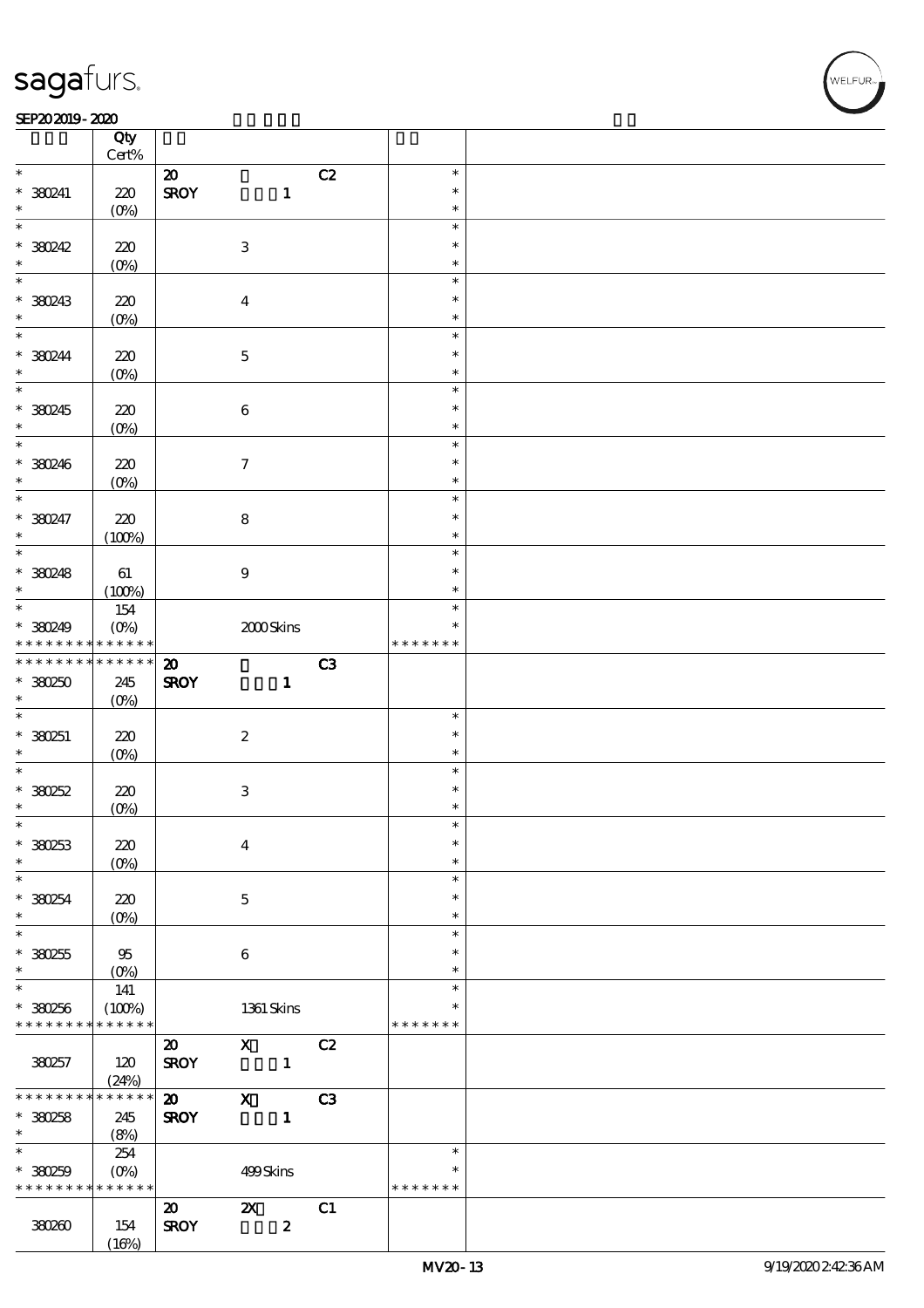#### $SEP202019 - 2020$

|                                | Qty<br>$Cert\%$   |                             |                           |                  |                |               |  |
|--------------------------------|-------------------|-----------------------------|---------------------------|------------------|----------------|---------------|--|
| $\ast$                         |                   | $\boldsymbol{\mathfrak{D}}$ |                           |                  | C2             | $\ast$        |  |
|                                |                   |                             |                           |                  |                | $\ast$        |  |
| $*380241$<br>$\ast$            | 220               | <b>SROY</b>                 |                           | $\mathbf{1}$     |                |               |  |
| $\overline{\ast}$              | $(O\%)$           |                             |                           |                  |                | $\ast$        |  |
|                                |                   |                             |                           |                  |                | $\ast$        |  |
| * 380242                       | 220               |                             | $\,3$                     |                  |                | $\ast$        |  |
| $\ast$                         | $(0\%)$           |                             |                           |                  |                | $\ast$        |  |
|                                |                   |                             |                           |                  |                | $\ast$        |  |
| * 380243                       | 220               |                             | $\overline{\mathbf{4}}$   |                  |                | $\ast$        |  |
| $\ast$                         | (O <sub>0</sub> ) |                             |                           |                  |                | $\ast$        |  |
| $\ast$                         |                   |                             |                           |                  |                | $\ast$        |  |
| * 380244                       | 220               |                             | $\mathbf 5$               |                  |                | $\ast$        |  |
| $\ast$                         | $(O\%)$           |                             |                           |                  |                | $\ast$        |  |
| $\overline{\ast}$              |                   |                             |                           |                  |                | $\ast$        |  |
| * 380245                       | 220               |                             | $\bf 6$                   |                  |                | $\ast$        |  |
| $\ast$                         | $(O\%)$           |                             |                           |                  |                | $\ast$        |  |
| $\overline{\ast}$              |                   |                             |                           |                  |                | $\ast$        |  |
|                                |                   |                             |                           |                  |                | $\ast$        |  |
| * 380246<br>$\ast$             | 220               |                             | $\boldsymbol{\tau}$       |                  |                | $\ast$        |  |
|                                | $(O\!/\!o)$       |                             |                           |                  |                |               |  |
| $\ast$                         |                   |                             |                           |                  |                | $\ast$        |  |
| * 380247                       | 220               |                             | $\bf 8$                   |                  |                | $\ast$        |  |
| $\ast$                         | (100%)            |                             |                           |                  |                | $\ast$        |  |
| $\overline{\ast}$              |                   |                             |                           |                  |                | $\ast$        |  |
| * 380248                       | 61                |                             | $\boldsymbol{9}$          |                  |                | $\ast$        |  |
| $\ast$                         | (100%)            |                             |                           |                  |                | $\ast$        |  |
|                                | 154               |                             |                           |                  |                | $\ast$        |  |
| * 380249                       | $(O\%)$           |                             | 2000Skins                 |                  |                | $\ast$        |  |
| * * * * * * * * <mark>*</mark> | $* * * * * * *$   |                             |                           |                  |                | * * * * * * * |  |
| * * * * * * * *                | $******$          | $\boldsymbol{\mathfrak{D}}$ |                           |                  | C <sub>3</sub> |               |  |
| $*30250$                       | 245               | <b>SROY</b>                 |                           | $\mathbf{1}$     |                |               |  |
|                                |                   |                             |                           |                  |                |               |  |
|                                |                   |                             |                           |                  |                |               |  |
| $\ast$<br>$\ast$               | $(O\%)$           |                             |                           |                  |                | $\ast$        |  |
|                                |                   |                             |                           |                  |                | $\ast$        |  |
| * 380251                       | 220               |                             | $\boldsymbol{2}$          |                  |                |               |  |
| $\ast$                         | $(O\%)$           |                             |                           |                  |                | $\ast$        |  |
| $\ast$                         |                   |                             |                           |                  |                | $\ast$        |  |
| $*380252$                      | 220               |                             | $\ensuremath{\mathbf{3}}$ |                  |                | $\ast$        |  |
| $\ast$                         | $(0\%)$           |                             |                           |                  |                | $\ast$        |  |
| $\ast$                         |                   |                             |                           |                  |                | $\ast$        |  |
| $*380253$                      | 220               |                             | $\boldsymbol{4}$          |                  |                | $\ast$        |  |
| $\ast$                         | $(0\%)$           |                             |                           |                  |                | $\ast$        |  |
| $\ast$                         |                   |                             |                           |                  |                | $\ast$        |  |
| $*380254$                      | 220               |                             | $\mathbf{5}$              |                  |                | $\ast$        |  |
| $\ast$                         | $(0\%)$           |                             |                           |                  |                | $\ast$        |  |
| $\overline{\ast}$              |                   |                             |                           |                  |                | $\ast$        |  |
| $*380255$                      | 95                |                             | $\boldsymbol{6}$          |                  |                | $\ast$        |  |
| $\ast$                         | $(O\%)$           |                             |                           |                  |                | $\ast$        |  |
| $\overline{\ast}$              | 141               |                             |                           |                  |                | $\ast$        |  |
| $*380256$                      | (100%)            |                             | 1361 Skins                |                  |                | $\ast$        |  |
| * * * * * * * *                | * * * * * *       |                             |                           |                  |                | * * * * * * * |  |
|                                |                   | $\boldsymbol{\mathfrak{D}}$ | $\mathbf{X}$              |                  | C2             |               |  |
|                                |                   |                             |                           |                  |                |               |  |
| 380257                         | 120               | <b>SROY</b>                 |                           | $\blacksquare$   |                |               |  |
| * * * * * * * *                | (24%)<br>$******$ |                             |                           |                  |                |               |  |
|                                |                   | $\boldsymbol{\mathsf{20}}$  | $\mathbf{x}$              |                  | C <sub>3</sub> |               |  |
| $*380258$<br>$\ast$            | 245               | <b>SROY</b>                 |                           | $\mathbf{1}$     |                |               |  |
| $\ast$                         | (8%)              |                             |                           |                  |                | $\ast$        |  |
|                                | 254               |                             |                           |                  |                | $\ast$        |  |
| $*380259$                      | $(O\!/\!o)$       |                             | 499Skins                  |                  |                |               |  |
| * * * * * * * *                | * * * * * *       |                             |                           |                  |                | * * * * * * * |  |
|                                |                   | $\boldsymbol{\omega}$       | $\boldsymbol{\mathsf{Z}}$ |                  | C1             |               |  |
| 380260                         | 154<br>(16%)      | <b>SROY</b>                 |                           | $\boldsymbol{z}$ |                |               |  |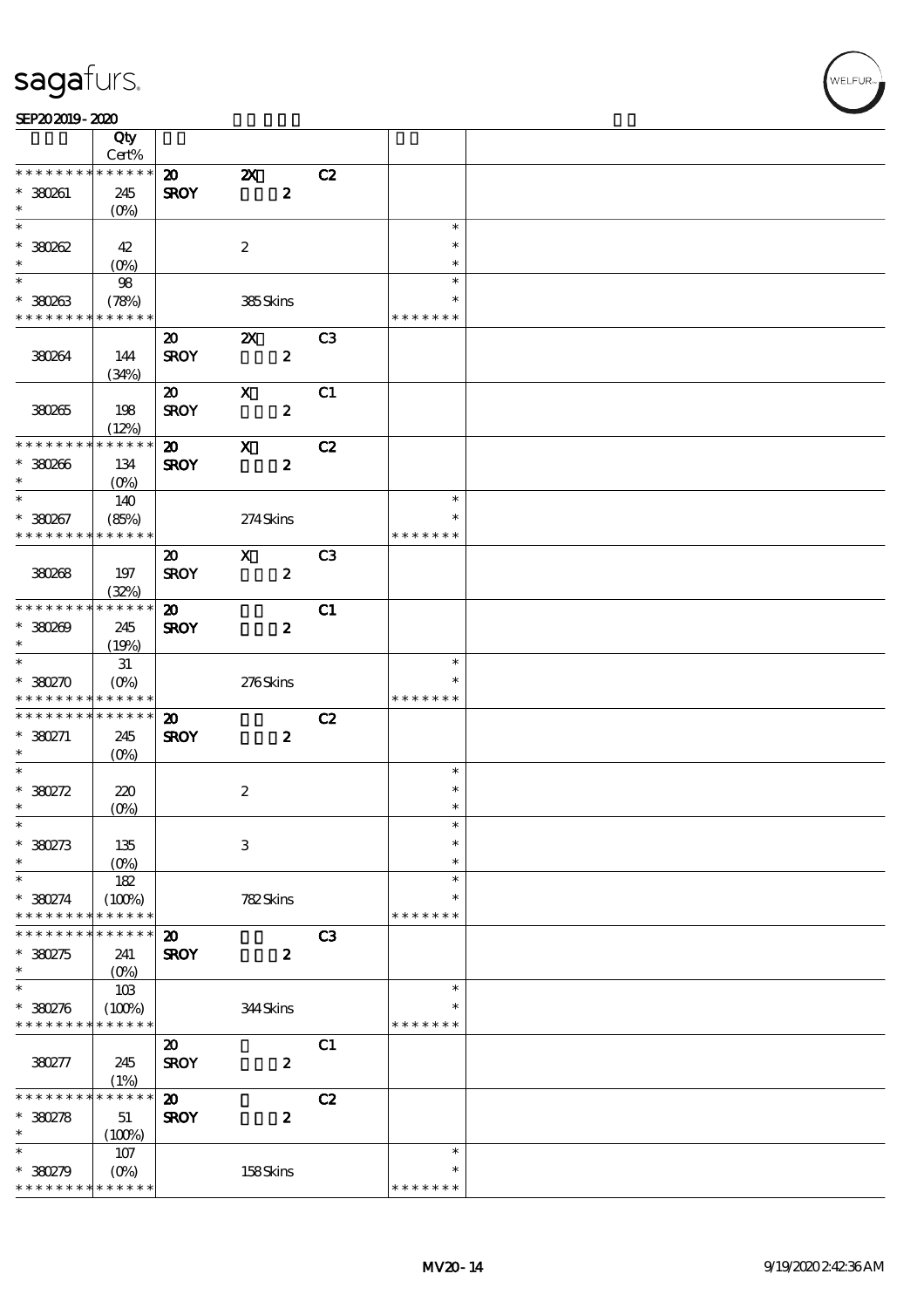#### SEP202019-2020

|                              | Qty                    |                             |                           |                  |                         |  |
|------------------------------|------------------------|-----------------------------|---------------------------|------------------|-------------------------|--|
| * * * * * * * *              | Cert%<br>* * * * * *   |                             |                           |                  |                         |  |
|                              |                        | $\boldsymbol{\mathsf{20}}$  | $\boldsymbol{\mathsf{X}}$ | C2               |                         |  |
| * 380261<br>$\ast$           | 245                    | <b>SROY</b>                 |                           | $\boldsymbol{z}$ |                         |  |
| $\ast$                       | $(0\%)$                |                             |                           |                  | $\ast$                  |  |
|                              |                        |                             |                           |                  |                         |  |
| $*30002$                     | 42                     |                             | $\boldsymbol{2}$          |                  | $\ast$                  |  |
| $\ast$                       |                        |                             |                           |                  | $\ast$                  |  |
| $\overline{\ast}$            | 98                     |                             |                           |                  | $\ast$                  |  |
| $*38083$                     | (78%)                  |                             | 385Skins                  |                  | $\ast$                  |  |
| * * * * * * * * * * * * * *  |                        |                             |                           |                  | * * * * * * *           |  |
|                              |                        | $\boldsymbol{\mathfrak{D}}$ | $\boldsymbol{\mathsf{Z}}$ | C <sub>3</sub>   |                         |  |
| 380264                       | 144                    | <b>SROY</b>                 |                           | $\boldsymbol{z}$ |                         |  |
|                              | (34%)                  |                             |                           |                  |                         |  |
|                              |                        | $\boldsymbol{\mathfrak{D}}$ | $\mathbf{X}$              | C1               |                         |  |
| 380265                       | 198                    | <b>SROY</b>                 |                           | $\boldsymbol{z}$ |                         |  |
|                              | (12%)                  |                             |                           |                  |                         |  |
| * * * * * * * *              | * * * * * *            | $\boldsymbol{\mathsf{20}}$  | $\boldsymbol{\mathrm{X}}$ | C2               |                         |  |
| $*380266$                    | 134                    | <b>SROY</b>                 |                           | $\boldsymbol{z}$ |                         |  |
| $\ast$                       | $(O\%)$                |                             |                           |                  |                         |  |
| $\ast$                       | 140                    |                             |                           |                  | $\ast$                  |  |
| $*380267$                    | (85%)                  |                             | 274Skins                  |                  | $\ast$                  |  |
| * * * * * * * * * * * * * *  |                        |                             |                           |                  | * * * * * * *           |  |
|                              |                        | $\boldsymbol{\mathfrak{D}}$ | $\boldsymbol{\mathsf{X}}$ | C <sub>3</sub>   |                         |  |
|                              |                        |                             |                           |                  |                         |  |
| 380268                       | 197                    | <b>SROY</b>                 |                           | $\boldsymbol{z}$ |                         |  |
| * * * * * * * * * * * * * *  | (32%)                  |                             |                           |                  |                         |  |
|                              |                        | $\boldsymbol{\mathfrak{D}}$ |                           | C1               |                         |  |
| $*380209$                    | 245                    | <b>SROY</b>                 |                           | $\boldsymbol{z}$ |                         |  |
| $\ast$                       | (19%)                  |                             |                           |                  |                         |  |
| $\ast$                       | 31                     |                             |                           |                  | $\ast$                  |  |
|                              |                        |                             |                           |                  |                         |  |
| $*380270$                    | $(0\%)$                |                             | 276Skins                  |                  |                         |  |
| * * * * * * * * * * * * * *  |                        |                             |                           |                  | * * * * * * *           |  |
| * * * * * * * *              | $* * * * * * *$        | $\boldsymbol{\mathfrak{D}}$ |                           | C2               |                         |  |
| $*380271$                    | 245                    | <b>SROY</b>                 |                           | $\boldsymbol{z}$ |                         |  |
| $\ast$                       | $(O\%)$                |                             |                           |                  |                         |  |
| $\ast$                       |                        |                             |                           |                  | $\ast$                  |  |
| $*380272$                    | 220                    |                             | $\boldsymbol{2}$          |                  | $\ast$                  |  |
| $\ast$                       | $(0\%)$                |                             |                           |                  | $\ast$                  |  |
| $*$                          |                        |                             |                           |                  | $\ast$                  |  |
| $*380273$                    | 135                    |                             | $\,3$                     |                  | $\ast$                  |  |
|                              | $(0\%)$                |                             |                           |                  | $\ast$                  |  |
| $\ast$<br>$\ast$             | 182                    |                             |                           |                  | $\ast$                  |  |
| $*380274$                    | (100%)                 |                             | 782Skins                  |                  | $\ast$                  |  |
| * * * * * * *                | * * * * * *            |                             |                           |                  | * * * * * * *           |  |
|                              | * * * * * *            | $\boldsymbol{\mathfrak{D}}$ |                           | C <sub>3</sub>   |                         |  |
|                              | 241                    |                             |                           |                  |                         |  |
| $*30275$<br>$\ast$           |                        | <b>SROY</b>                 |                           | $\boldsymbol{z}$ |                         |  |
| $\ast$                       |                        |                             |                           |                  | $\ast$                  |  |
|                              | 10B                    |                             |                           |                  | $\ast$                  |  |
| $*380276$<br>* * * * * * * * | (100%)<br>* * * * * *  |                             | 344Skins                  |                  | * * * * * * *           |  |
|                              |                        |                             |                           |                  |                         |  |
|                              |                        | $\boldsymbol{\mathfrak{D}}$ |                           | C1               |                         |  |
| 380277                       | 245                    | <b>SROY</b>                 |                           | $\boldsymbol{z}$ |                         |  |
| * * * * * *                  | (1%)<br>* * * * * *    |                             |                           |                  |                         |  |
|                              |                        | $\boldsymbol{\mathfrak{D}}$ |                           | C2               |                         |  |
| $* 380278$                   | 51                     | <b>SROY</b>                 |                           | $\boldsymbol{z}$ |                         |  |
| $\ast$                       | (100%)                 |                             |                           |                  |                         |  |
| $\ast$                       | 107                    |                             |                           |                  | $\ast$                  |  |
| $*380279$<br>* * * * * * * * | $(0\%)$<br>* * * * * * |                             | 158Skins                  |                  | $\ast$<br>* * * * * * * |  |

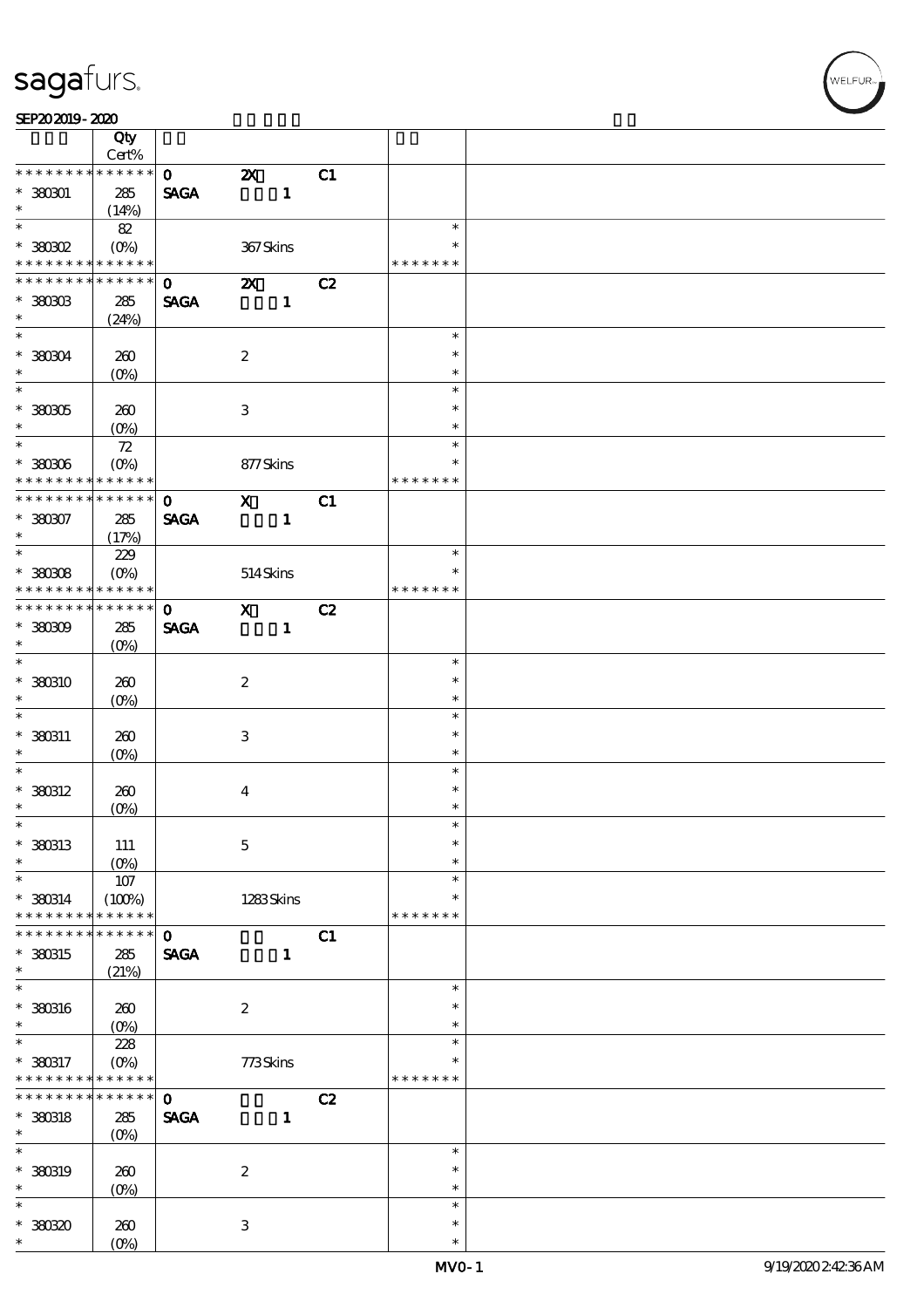| SEP202019-2020 |  |
|----------------|--|
|----------------|--|

|                                     | Qty                        |                              |                           |              |    |                            |  |
|-------------------------------------|----------------------------|------------------------------|---------------------------|--------------|----|----------------------------|--|
| * * * * * * * *                     | Cert%<br>* * * * * *       | $\mathbf{O}$                 |                           |              |    |                            |  |
| $* 380001$<br>$\ast$                | 285<br>(14%)               | <b>SAGA</b>                  | $\boldsymbol{\mathsf{X}}$ | $\mathbf{1}$ | C1 |                            |  |
| $\overline{\ast}$                   | 82                         |                              |                           |              |    | $\ast$                     |  |
| $*30002$<br>* * * * * * * *         | $(O\!/\!o)$<br>* * * * * * |                              | 367Skins                  |              |    | $\ast$<br>* * * * * * *    |  |
| * * * * * * * *                     | $* * * * * * *$            | $\mathbf{O}$                 | $\boldsymbol{\mathsf{X}}$ |              | C2 |                            |  |
| $*$ 380303<br>$\ast$                | 285<br>(24%)               | <b>SAGA</b>                  |                           | $\mathbf{1}$ |    |                            |  |
| $\overline{\ast}$                   |                            |                              |                           |              |    | $\ast$                     |  |
| $*36004$<br>$\ast$                  | 260<br>$(0\%)$             |                              | $\boldsymbol{2}$          |              |    | $\ast$<br>$\ast$           |  |
| $\overline{\phantom{0}}$            |                            |                              |                           |              |    | $\ast$                     |  |
| $^\ast$ 380305<br>$\ast$            | 260<br>$(O\%)$             |                              | $\ensuremath{\mathbf{3}}$ |              |    | $\ast$<br>$\ast$           |  |
|                                     | ${\bf Z}$                  |                              |                           |              |    | $\ast$                     |  |
| $^\ast$ 380306<br>* * * * * * * *   | $(O\%)$<br>* * * * * *     |                              | 877Skins                  |              |    | $\ast$<br>* * * * * * *    |  |
| * * * * * * * *                     | * * * * * *                | $\mathbf{O}$                 | $\mathbf{x}$              |              | C1 |                            |  |
| $* 380007$<br>$\ast$                | 285<br>(17%)               | <b>SAGA</b>                  |                           | $\mathbf{1}$ |    |                            |  |
| $\overline{\ast}$                   | 229                        |                              |                           |              |    | $\ast$                     |  |
| $^*$ 380308 $\,$<br>* * * * * * * * | $(O\%)$<br>* * * * * *     |                              | 514Skins                  |              |    | $\ast$<br>* * * * * * *    |  |
| * * * * * * * *                     | $******$                   | $\mathbf 0$                  | $\mathbf{x}$              |              | C2 |                            |  |
| $*30009$<br>$\ast$                  | 285<br>$(O\!/\!o)$         | <b>SAGA</b>                  |                           | $\mathbf{1}$ |    |                            |  |
| $\ast$                              |                            |                              |                           |              |    | $\ast$                     |  |
| * 380310<br>$\ast$                  | 260<br>$(O\%)$             |                              | $\boldsymbol{2}$          |              |    | $\ast$<br>$\ast$           |  |
| $\overline{\phantom{0}}$            |                            |                              |                           |              |    | $\ast$                     |  |
| * 380311<br>$\ast$                  | 260<br>$(O\%)$             |                              | $\ensuremath{\mathsf{3}}$ |              |    | $\ast$<br>$\ast$           |  |
| $\ast$                              |                            |                              |                           |              |    | $\ast$                     |  |
| $*$ 380312                          | 260                        |                              | $\bf{4}$                  |              |    | $\ast$                     |  |
| $\ast$                              | $(O\!/\!o)$                |                              |                           |              |    | $\ast$                     |  |
| $*$<br>* 380313<br>$\ast$           | 111                        |                              | $\mathbf 5$               |              |    | $\ast$<br>$\ast$<br>$\ast$ |  |
| $\ast$                              | (O <sub>0</sub> )<br>$107$ |                              |                           |              |    | $\ast$                     |  |
| $* 380314$<br>* * * * * * *         | (100%)<br>* * * * * *      |                              | 1283Skins                 |              |    | $\ast$<br>* * * * * * *    |  |
| * * * * * * *                       | * * * * * *                | $\mathbf{o}$                 |                           |              | C1 |                            |  |
| * 380315<br>$\ast$                  | 285<br>(21%)               | <b>SAGA</b>                  |                           | $\mathbf{1}$ |    |                            |  |
| $\ast$                              |                            |                              |                           |              |    | $\ast$                     |  |
| $^*$ 380316 $\,$<br>$\ast$          | 260<br>$(O\%)$             |                              | $\boldsymbol{z}$          |              |    | $\ast$<br>$\ast$           |  |
| $\ast$                              | 228                        |                              |                           |              |    | $\ast$                     |  |
| * 380317<br>* * * * * * * *         | $(O\%)$<br>* * * * * *     |                              | 773Skins                  |              |    | $\ast$<br>* * * * * * *    |  |
| * * * * * * *                       | * * * * * *                | $\mathbf{o}$                 |                           |              | C2 |                            |  |
| $*$ 380318<br>$\ast$                | 285<br>$(O\!/\!\!\delta)$  | $\ensuremath{\mathsf{SAGA}}$ |                           | $\mathbf{1}$ |    |                            |  |
| $\ast$                              |                            |                              |                           |              |    | $\ast$                     |  |
| $*$ 380319<br>$\ast$                | 260<br>$(0\%)$             |                              | $\boldsymbol{2}$          |              |    | $\ast$<br>$\ast$           |  |
| $\ast$                              |                            |                              |                           |              |    | $\ast$                     |  |
| $*30020$<br>$\ast$                  | 260<br>$(O\%)$             |                              | $\ensuremath{\mathsf{3}}$ |              |    | $\ast$<br>$\ast$           |  |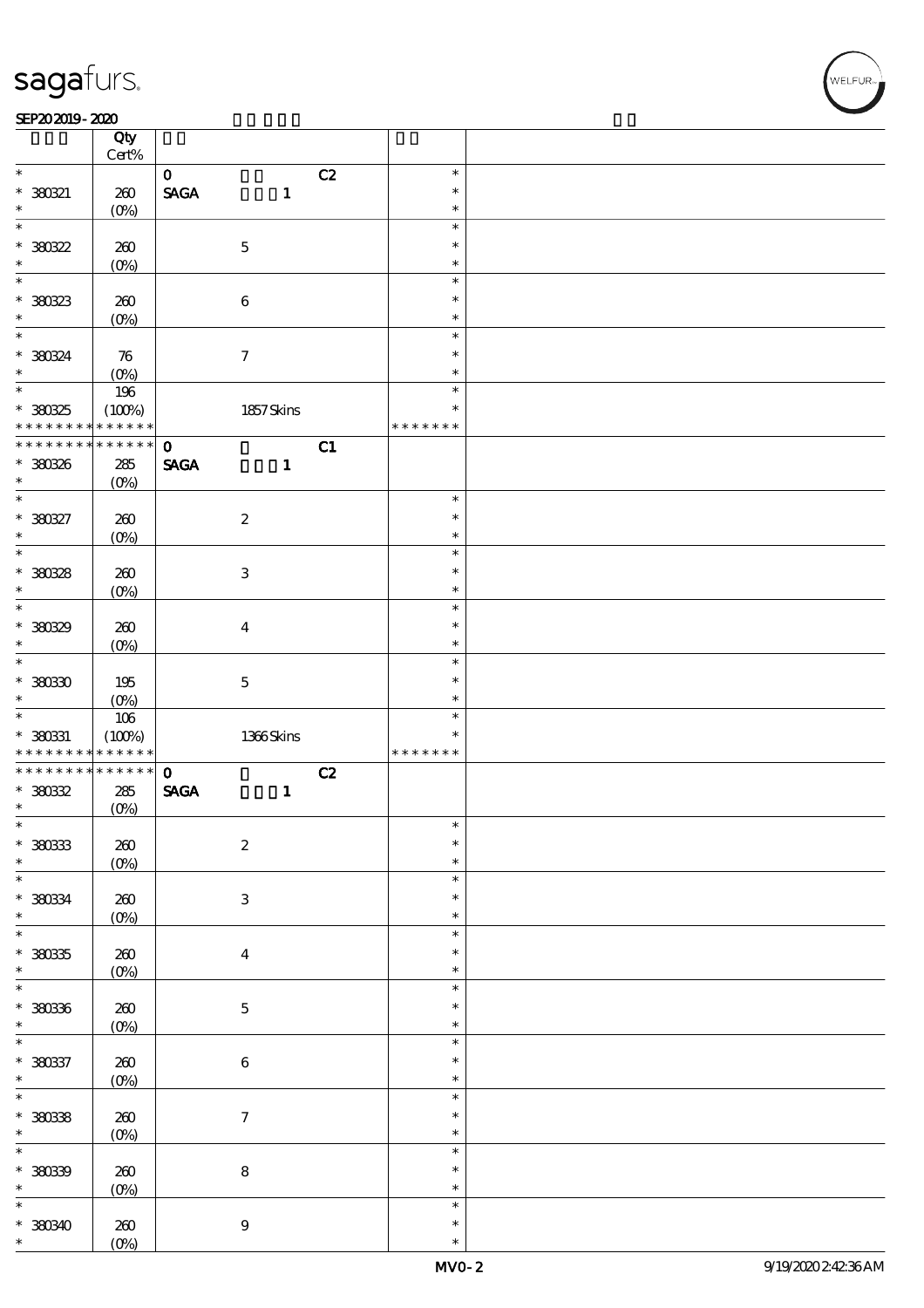#### $SEP202019 - 2020$

|                              | Qty<br>$\mbox{Cert}\%$ |                                |                           |    |                  |  |
|------------------------------|------------------------|--------------------------------|---------------------------|----|------------------|--|
| $\ast$                       |                        |                                |                           |    | $\ast$           |  |
|                              |                        | $\mathbf{O}$                   |                           | C2 |                  |  |
| $*30021$                     | 260                    | $\operatorname{\mathsf{SAGA}}$ | $\mathbf{1}$              |    | $\ast$           |  |
| $\ast$                       | $(O\%)$                |                                |                           |    | $\ast$           |  |
| $\ast$                       |                        |                                |                           |    | $\ast$           |  |
| $* 380322$                   | 260                    |                                | $\mathbf 5$               |    | $\ast$           |  |
| $\ast$                       | $(0\%)$                |                                |                           |    | $\ast$           |  |
| $\overline{\ast}$            |                        |                                |                           |    | $\ast$           |  |
|                              |                        |                                |                           |    |                  |  |
| $*38033$                     | 260                    |                                | $\bf 6$                   |    | $\ast$           |  |
| $\ast$                       | (O <sub>0</sub> )      |                                |                           |    | $\ast$           |  |
| $\ast$                       |                        |                                |                           |    | $\ast$           |  |
|                              |                        |                                |                           |    | $\ast$           |  |
| * 380324                     | $\boldsymbol{\pi}$     |                                | $\boldsymbol{\tau}$       |    |                  |  |
| $\ast$                       | $(O\%)$                |                                |                           |    | $\ast$           |  |
| $\overline{\ast}$            | 196                    |                                |                           |    | $\ast$           |  |
| * 380325                     | (100%)                 |                                | 1857 Skins                |    | $\ast$           |  |
| * * * * * * * *              | * * * * * *            |                                |                           |    | * * * * * * *    |  |
| * * * * * * * *              | $******$               | $\mathbf 0$                    |                           | C1 |                  |  |
|                              |                        |                                |                           |    |                  |  |
| * 380326                     | $285\,$                | <b>SAGA</b>                    | $\mathbf{1}$              |    |                  |  |
| $\ast$                       | $(O\%)$                |                                |                           |    |                  |  |
| $\overline{\ast}$            |                        |                                |                           |    | $\ast$           |  |
| * 380327                     | 260                    |                                | $\boldsymbol{2}$          |    | $\ast$           |  |
| $\ast$                       | $(O\%)$                |                                |                           |    | $\ast$           |  |
|                              |                        |                                |                           |    | $\ast$           |  |
|                              |                        |                                |                           |    |                  |  |
| * 380328                     | 260                    |                                | $\ensuremath{\mathbf{3}}$ |    | $\ast$           |  |
| $\ast$                       | $(O\%)$                |                                |                           |    | $\ast$           |  |
| $\overline{\ast}$            |                        |                                |                           |    | $\ast$           |  |
| * 380329                     | 260                    |                                | $\boldsymbol{4}$          |    | $\ast$           |  |
| $\ast$                       |                        |                                |                           |    | $\ast$           |  |
| $\overline{\ast}$            | $(O\%)$                |                                |                           |    |                  |  |
|                              |                        |                                |                           |    | $\ast$           |  |
| $*30030$                     | 195                    |                                | $\mathbf 5$               |    | $\ast$           |  |
|                              |                        |                                |                           |    |                  |  |
| $\ast$                       |                        |                                |                           |    | $\ast$           |  |
|                              | $(O\%)$                |                                |                           |    | $\ast$           |  |
|                              | $106\,$                |                                |                           |    | $\ast$           |  |
| $* 38031$<br>* * * * * * * * | (100%)<br>* * * * * *  |                                | $1366$ Skins              |    | * * * * * * *    |  |
|                              |                        |                                |                           |    |                  |  |
| * * * * * * * *              | $******$               | $\mathbf{o}$                   |                           | C2 |                  |  |
| $*30032$                     | 285                    | $\operatorname{\mathsf{SAGA}}$ | $\mathbf{1}$              |    |                  |  |
| $\ast$                       | $(0\%)$                |                                |                           |    |                  |  |
| $\ast$                       |                        |                                |                           |    | $\ast$           |  |
| $*38033$                     | $200$                  |                                | $\boldsymbol{2}$          |    | $\ast$           |  |
| $\ast$                       |                        |                                |                           |    | $\ast$           |  |
| $\overline{\ast}$            | $(0\%)$                |                                |                           |    | $\ast$           |  |
|                              |                        |                                |                           |    |                  |  |
| $*$ 38034                    | 260                    |                                | $\ensuremath{\mathbf{3}}$ |    | $\ast$           |  |
| $\ast$                       | $(0\%)$                |                                |                           |    | $\ast$           |  |
| $\overline{\ast}$            |                        |                                |                           |    | $\ast$           |  |
|                              | 260                    |                                | $\bf{4}$                  |    | $\ast$           |  |
| $*38035$<br>$\ast$           |                        |                                |                           |    | $\ast$           |  |
| $\ast$                       | $(0\%)$                |                                |                           |    | $\ast$           |  |
|                              |                        |                                |                           |    |                  |  |
| $*38036$                     | $200$                  |                                | $\bf 5$                   |    | $\ast$           |  |
| $\ast$                       | $(0\%)$                |                                |                           |    | $\ast$           |  |
| $\overline{\ast}$            |                        |                                |                           |    | $\ast$           |  |
|                              |                        |                                |                           |    | $\ast$           |  |
| $* 38037$<br>$\ast$          | $200$                  |                                | $\bf 6$                   |    | $\ast$           |  |
|                              | $(0\%)$                |                                |                           |    |                  |  |
| $\overline{\ast}$            |                        |                                |                           |    | $\ast$           |  |
| $* 38033$                    | 260                    |                                | $\boldsymbol{7}$          |    | $\ast$           |  |
| $\ast$                       | $(0\%)$                |                                |                           |    | $\ast$           |  |
| $\ast$                       |                        |                                |                           |    | $\ast$           |  |
|                              |                        |                                |                           |    | $\ast$           |  |
| $* 38039$                    | 260                    |                                | $\bf 8$                   |    | $\ast$           |  |
| $\ast$                       | $(0\%)$                |                                |                           |    |                  |  |
| $\ast$                       |                        |                                |                           |    | $\ast$           |  |
| * 380340<br>$\ast$           | 260<br>$(O\%)$         |                                | $\boldsymbol{9}$          |    | $\ast$<br>$\ast$ |  |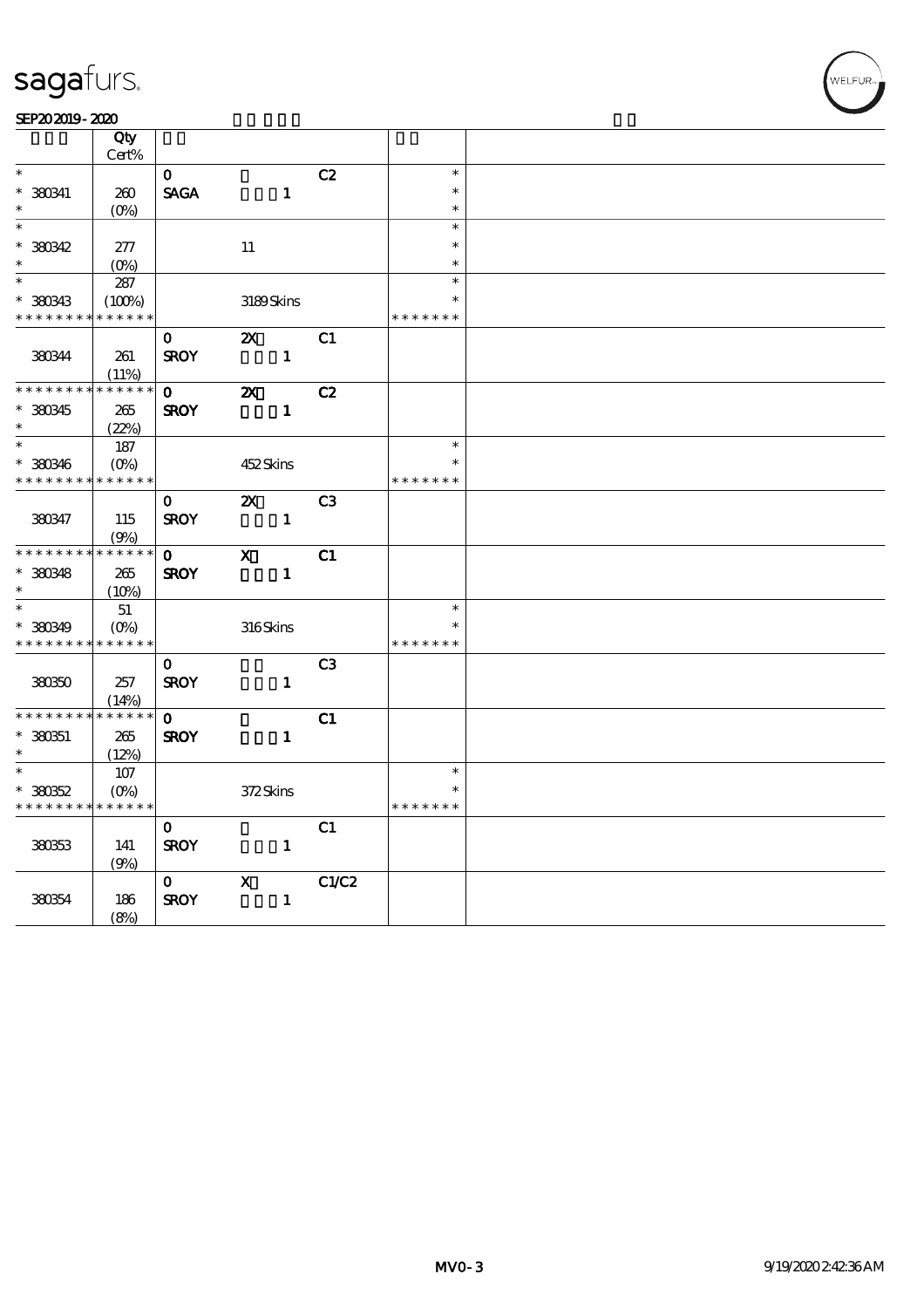| SEP202019-2020 |  |
|----------------|--|
|----------------|--|

|                                            | Qty         |              |                           |                |               |  |
|--------------------------------------------|-------------|--------------|---------------------------|----------------|---------------|--|
|                                            | Cert%       |              |                           |                |               |  |
| $\ast$                                     |             | $\mathbf{o}$ |                           | C2             | $\ast$        |  |
| $*$ 380341                                 | 260         | <b>SAGA</b>  |                           | $\mathbf{1}$   | $\ast$        |  |
| $\ast$                                     | $(O\%)$     |              |                           |                | $\ast$        |  |
| $\overline{\ast}$                          |             |              |                           |                | $\ast$        |  |
| * 380342                                   | 277         |              | $11\,$                    |                | $\ast$        |  |
| $\ast$                                     | $(O\%)$     |              |                           |                | $\ast$        |  |
| $\ast$                                     | 287         |              |                           |                | $\ast$        |  |
| $*36033$                                   | (100%)      |              | 3189Skins                 |                | $\ast$        |  |
| * * * * * * * * * * * * * *                |             |              |                           |                | * * * * * * * |  |
|                                            |             | 0            | $\boldsymbol{\mathsf{Z}}$ | C1             |               |  |
| 380344                                     | 261         | <b>SROY</b>  |                           | $\mathbf{1}$   |               |  |
|                                            | (11%)       |              |                           |                |               |  |
| * * * * * * * *                            | * * * * * * | $\mathbf 0$  | $\boldsymbol{\mathsf{z}}$ | C2             |               |  |
| $* 380345$                                 | 265         | <b>SROY</b>  |                           | $\mathbf{1}$   |               |  |
| $\ast$                                     | (22%)       |              |                           |                |               |  |
| $\ast$                                     | 187         |              |                           |                | $\ast$        |  |
| $* 380346$                                 | $(0\%)$     |              | 452Skins                  |                |               |  |
| * * * * * * * * * * * * * *                |             |              |                           |                | * * * * * * * |  |
|                                            |             | $\mathbf 0$  | $\boldsymbol{\mathsf{Z}}$ | C <sub>3</sub> |               |  |
| 380347                                     | 115         | <b>SROY</b>  |                           | $\mathbf{1}$   |               |  |
|                                            | (9%)        |              |                           |                |               |  |
| * * * * * * * * * * * * * *                |             | $\mathbf{o}$ | $\mathbf{X}$              | C1             |               |  |
| $*360348$                                  | 265         | <b>SROY</b>  |                           | $\mathbf{1}$   |               |  |
| $\ast$                                     | (10%)       |              |                           |                |               |  |
| $\ast$                                     | 51          |              |                           |                | $\ast$        |  |
| * 380349                                   | $(O\%)$     |              | 316Skins                  |                | $\ast$        |  |
| * * * * * * * * * * * * * *                |             |              |                           |                | * * * * * * * |  |
|                                            |             | $\mathbf{O}$ |                           | C <sub>3</sub> |               |  |
| 380350                                     | 257         | <b>SROY</b>  |                           | $\mathbf{1}$   |               |  |
|                                            | (14%)       |              |                           |                |               |  |
| * * * * * * * * <mark>* * * * * * *</mark> |             | $\mathbf{0}$ |                           | C1             |               |  |
| $*380351$                                  | 265         | <b>SROY</b>  |                           | $\mathbf{1}$   |               |  |
| $\ast$                                     | (12%)       |              |                           |                |               |  |
| $\ast$                                     | $107$       |              |                           |                | $\ast$        |  |
| $*30052$                                   | $(O\% )$    |              | 372Skins                  |                | $\ast$        |  |
| * * * * * * * * <mark>* * * * * *</mark>   |             |              |                           |                | * * * * * * * |  |
|                                            |             | $\mathbf 0$  |                           | C1             |               |  |
| 380353                                     | 141         | <b>SROY</b>  |                           | $\mathbf{1}$   |               |  |
|                                            | (9%)        |              |                           |                |               |  |
|                                            |             | $\mathbf{O}$ | $\mathbf{X}$              |                | C1/C2         |  |
| 380354                                     | 186         | <b>SROY</b>  |                           | $\mathbf{1}$   |               |  |
|                                            |             |              |                           |                |               |  |
|                                            | (8%)        |              |                           |                |               |  |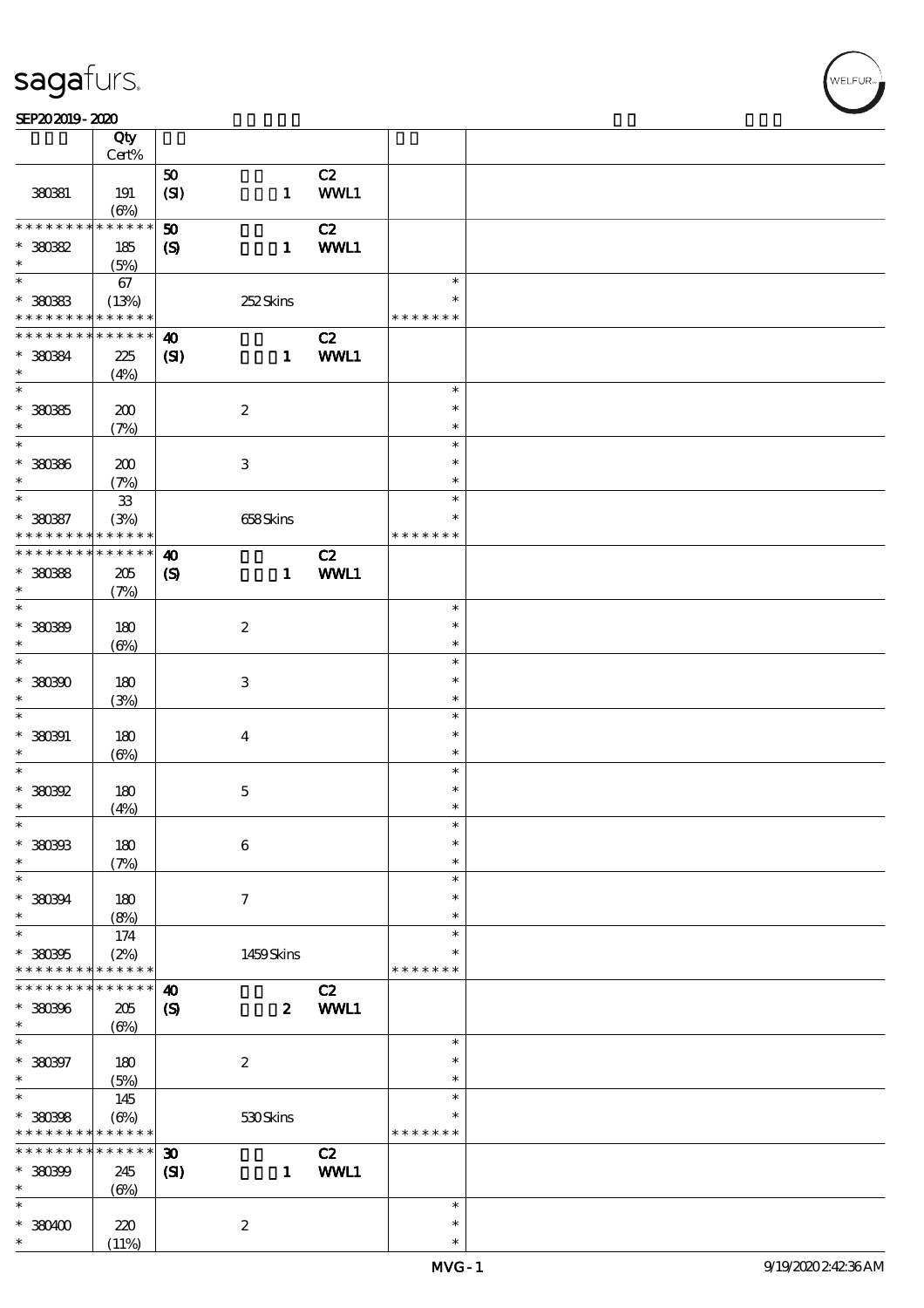#### SEP202019-2020

|                             | Qty<br>Cert%      |                             |                           |            |               |  |
|-----------------------------|-------------------|-----------------------------|---------------------------|------------|---------------|--|
|                             |                   |                             |                           |            |               |  |
| 380381                      | 191<br>$(\Theta)$ | 50<br>(SI)                  | $\mathbf{1}$              | C2<br>WWL1 |               |  |
| * * * * * * * *             | * * * * * *       |                             |                           |            |               |  |
|                             |                   | 50                          |                           | C2         |               |  |
| $*30082$                    | 185               | $\boldsymbol{S}$            | $\mathbf{1}$              | WWL1       |               |  |
| $\ast$                      | (5%)              |                             |                           |            |               |  |
| $\overline{\ast}$           | 67                |                             |                           |            | $\ast$        |  |
| $*30083$                    | (13%)             |                             | 252Skins                  |            | $\ast$        |  |
| * * * * * * * * * * * * * * |                   |                             |                           |            | * * * * * * * |  |
| * * * * * * * *             | * * * * * *       | $\boldsymbol{\omega}$       |                           | C2         |               |  |
|                             |                   |                             |                           |            |               |  |
| * 380384                    | 225               | (S)                         | $\mathbf{1}$              | WWL1       |               |  |
| $\ast$                      | (4%)              |                             |                           |            |               |  |
| $\overline{\ast}$           |                   |                             |                           |            | $\ast$        |  |
| $*30085$                    | 200               |                             | $\boldsymbol{2}$          |            | $\ast$        |  |
| $\ast$                      | (7%)              |                             |                           |            | $\ast$        |  |
| $\ast$                      |                   |                             |                           |            | $\ast$        |  |
| $* 30086$                   |                   |                             |                           |            | $\ast$        |  |
|                             | 200               |                             | $\ensuremath{\mathbf{3}}$ |            |               |  |
| $\ast$                      | (7%)              |                             |                           |            | $\ast$        |  |
| $\ast$                      | ${\bf 33}$        |                             |                           |            | $\ast$        |  |
| $* 38087$                   | (3%)              |                             | 658Skins                  |            | $\ast$        |  |
| * * * * * * * *             | * * * * * *       |                             |                           |            | * * * * * * * |  |
| * * * * * * * * * * * * * * |                   | $\boldsymbol{\omega}$       |                           | C2         |               |  |
| * 380388                    | 205               | $\boldsymbol{\mathrm{(S)}}$ | $\mathbf{1}$              | WWL1       |               |  |
| $\ast$                      |                   |                             |                           |            |               |  |
|                             | (7%)              |                             |                           |            |               |  |
| $\ast$                      |                   |                             |                           |            | $\ast$        |  |
| * 380399                    | 180               |                             | $\boldsymbol{2}$          |            | $\ast$        |  |
| $\ast$                      | $(\Theta)$        |                             |                           |            | $\ast$        |  |
| $\ast$                      |                   |                             |                           |            | $\ast$        |  |
| $*30000$                    | 180               |                             | $\,3$                     |            | $\ast$        |  |
| $\ast$                      |                   |                             |                           |            | $\ast$        |  |
|                             | (3%)              |                             |                           |            |               |  |
| $\ast$                      |                   |                             |                           |            | $\ast$        |  |
| $* 380901$                  | 180               |                             | $\boldsymbol{4}$          |            | $\ast$        |  |
| $\ast$                      | $(\Theta)$        |                             |                           |            | $\ast$        |  |
| $\ast$                      |                   |                             |                           |            | $\ast$        |  |
| $*38092$                    | 180               |                             | $\mathbf 5$               |            | $\ast$        |  |
| $\ast$                      | (4%)              |                             |                           |            | $\ast$        |  |
| $\ast$                      |                   |                             |                           |            | $\ast$        |  |
|                             |                   |                             |                           |            |               |  |
| * 380393                    | 180               |                             | 6                         |            | $\ast$        |  |
| $\ast$                      | (7%)              |                             |                           |            | $\ast$        |  |
| $\ast$                      |                   |                             |                           |            | $\ast$        |  |
| * 380394                    | 180               |                             | 7                         |            | $\ast$        |  |
| $\ast$                      | (8%)              |                             |                           |            | $\ast$        |  |
| $\ast$                      | 174               |                             |                           |            | $\ast$        |  |
|                             |                   |                             |                           |            | *             |  |
| * 380395                    | (2%)              |                             | 1459Skins                 |            |               |  |
| * * * * * * * *             | * * * * * *       |                             |                           |            | * * * * * * * |  |
| * * * * * * * *             | * * * * * *       | $\boldsymbol{\omega}$       |                           | C2         |               |  |
| * 380396                    | $205\,$           | $\boldsymbol{\mathrm{(S)}}$ | $\boldsymbol{z}$          | WWL1       |               |  |
| $\ast$                      | $(\Theta)$        |                             |                           |            |               |  |
| $\ast$                      |                   |                             |                           |            | $\ast$        |  |
| $* 380397$                  | 180               |                             | $\boldsymbol{2}$          |            | $\ast$        |  |
| $\ast$                      |                   |                             |                           |            | $\ast$        |  |
| $\overline{\ast}$           | (5%)              |                             |                           |            |               |  |
|                             | 145               |                             |                           |            | $\ast$        |  |
| $* 380308$                  | $(\Theta\%)$      |                             | 530Skins                  |            | $\ast$        |  |
| * * * * * * * *             | * * * * * *       |                             |                           |            | * * * * * * * |  |
| * * * * * * *               | * * * * * *       | $\boldsymbol{\mathfrak{D}}$ |                           | C2         |               |  |
| $*30000$                    | 245               | (S)                         | $\mathbf{1}$              | WWL1       |               |  |
| $\ast$                      | $(\Theta)$        |                             |                           |            |               |  |
| $\ast$                      |                   |                             |                           |            | $\ast$        |  |
|                             |                   |                             |                           |            |               |  |
| $*380400$                   | 220               |                             | $\boldsymbol{2}$          |            | $\ast$        |  |
| $\ast$                      | (11%)             |                             |                           |            | $\ast$        |  |

,<br>WELFUR: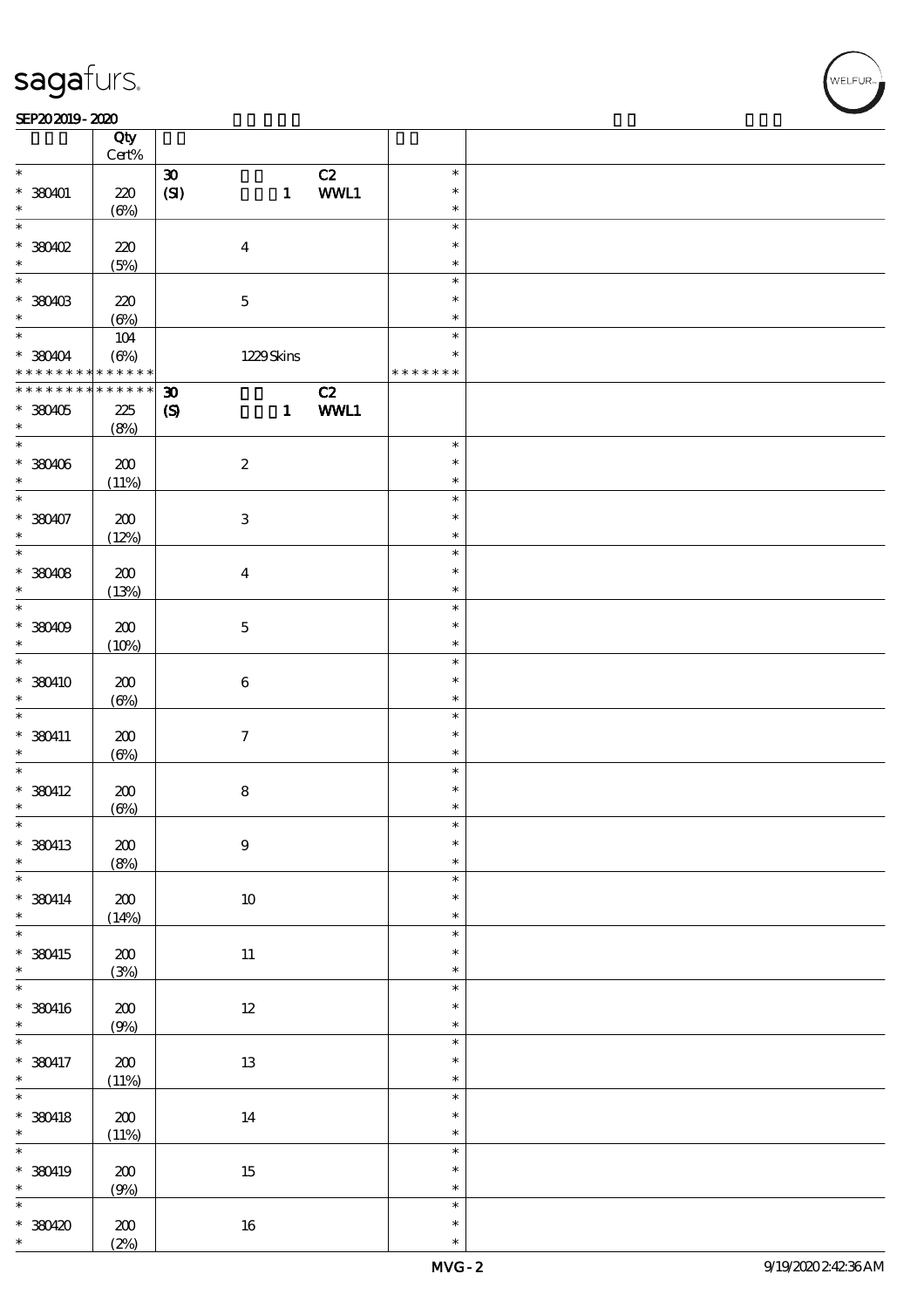#### SEP202019-2020

|                                            | Qty<br>Cert%    |                             |                           |      |               |  |
|--------------------------------------------|-----------------|-----------------------------|---------------------------|------|---------------|--|
|                                            |                 |                             |                           |      |               |  |
| $\ast$                                     |                 | $\boldsymbol{\mathfrak{D}}$ |                           | C2   | $\ast$        |  |
| $*$ 380401                                 | $220$           | (SI)                        | $\mathbf{1}$              | WWL1 | $\ast$        |  |
| $\ast$                                     | $(\Theta\%)$    |                             |                           |      | $\ast$        |  |
| $\ast$                                     |                 |                             |                           |      | $\ast$        |  |
|                                            |                 |                             |                           |      | $\ast$        |  |
| $*$ 380402                                 | 220             |                             | $\boldsymbol{4}$          |      |               |  |
| $\ast$                                     | (5%)            |                             |                           |      | $\ast$        |  |
| $\ast$                                     |                 |                             |                           |      | $\ast$        |  |
| * 380403                                   | 220             |                             | $\bf 5$                   |      | $\ast$        |  |
| $\ast$                                     |                 |                             |                           |      | $\ast$        |  |
|                                            | $(\Theta)$      |                             |                           |      |               |  |
| $\ast$                                     | 104             |                             |                           |      | $\ast$        |  |
| * 380404                                   | $(\Theta)$      |                             | 1229Skins                 |      | $\ast$        |  |
| * * * * * * * * <mark>* * * * * * *</mark> |                 |                             |                           |      | * * * * * * * |  |
| * * * * * * * *                            | $* * * * * * *$ | $\boldsymbol{\mathfrak{D}}$ |                           | C2   |               |  |
|                                            |                 |                             |                           |      |               |  |
| $*380405$                                  | 225             | $\boldsymbol{S}$            | $\mathbf{1}$              | WWL1 |               |  |
| $\ast$                                     | (8%)            |                             |                           |      |               |  |
| $\overline{\ast}$                          |                 |                             |                           |      | $\ast$        |  |
| * 380406                                   | 200             |                             | $\boldsymbol{2}$          |      | $\ast$        |  |
| $\ast$                                     |                 |                             |                           |      | $\ast$        |  |
| $\ast$                                     | (11%)           |                             |                           |      | $\ast$        |  |
|                                            |                 |                             |                           |      |               |  |
| $* 380407$                                 | 200             |                             | $\ensuremath{\mathbf{3}}$ |      | $\ast$        |  |
| $\ast$                                     | (12%)           |                             |                           |      | $\ast$        |  |
|                                            |                 |                             |                           |      | $\ast$        |  |
| $*380408$                                  | $\pmb{30}$      |                             | $\boldsymbol{4}$          |      | $\ast$        |  |
|                                            |                 |                             |                           |      |               |  |
| $\ast$                                     | (13%)           |                             |                           |      | $\ast$        |  |
| $\ast$                                     |                 |                             |                           |      | $\ast$        |  |
| $*380409$                                  | 200             |                             | $\bf 5$                   |      | $\ast$        |  |
| $\ast$                                     | (10%)           |                             |                           |      | $\ast$        |  |
| $\ast$                                     |                 |                             |                           |      | $\ast$        |  |
|                                            |                 |                             |                           |      |               |  |
| * 380410                                   | 200             |                             | $\bf 6$                   |      | $\ast$        |  |
| $\ast$                                     | $(\Theta)$      |                             |                           |      | $\ast$        |  |
| $\ast$                                     |                 |                             |                           |      | $\ast$        |  |
| $*$ 380411                                 | 200             |                             | $\boldsymbol{\tau}$       |      | $\ast$        |  |
| $\ast$                                     |                 |                             |                           |      | $\ast$        |  |
|                                            | $(\Theta)$      |                             |                           |      |               |  |
| $\ast$                                     |                 |                             |                           |      | $\ast$        |  |
| $*$ 380412                                 | 200             |                             | $\bf 8$                   |      | $\ast$        |  |
| $\ast$                                     | $(\Theta)$      |                             |                           |      | $\ast$        |  |
| $\ast$                                     |                 |                             |                           |      | ж             |  |
| * 380413                                   |                 |                             | $\boldsymbol{9}$          |      | $\ast$        |  |
|                                            | $200$           |                             |                           |      |               |  |
| $\ast$                                     | (8%)            |                             |                           |      | $\ast$        |  |
| $\ast$                                     |                 |                             |                           |      | $\ast$        |  |
| $*$ 380414                                 | ${\bf Z0}$      |                             | $10\,$                    |      | $\ast$        |  |
| $*$                                        | (14%)           |                             |                           |      | $\ast$        |  |
| $\ast$                                     |                 |                             |                           |      | $\ast$        |  |
|                                            |                 |                             |                           |      | $\ast$        |  |
| $*$ 380415                                 | $\pmb{30}$      |                             | $11\,$                    |      |               |  |
| $\ast$                                     | (3%)            |                             |                           |      | $\ast$        |  |
|                                            |                 |                             |                           |      | $\ast$        |  |
| $*$ 380416                                 | $200$           |                             | $12\,$                    |      | $\ast$        |  |
| $\ast$                                     | (9%)            |                             |                           |      | $\ast$        |  |
|                                            |                 |                             |                           |      | $\ast$        |  |
|                                            |                 |                             |                           |      |               |  |
| * 380417                                   | ${\bf Z0}$      |                             | $1\!3$                    |      | $\ast$        |  |
| $\ast$                                     | (11%)           |                             |                           |      | $\ast$        |  |
| $\overline{\mathbf{r}}$                    |                 |                             |                           |      | $\ast$        |  |
| $*$ 380418                                 | ${\bf Z0}$      |                             | 14                        |      | $\ast$        |  |
| $\ast$                                     | (11%)           |                             |                           |      | $\ast$        |  |
|                                            |                 |                             |                           |      | $\ast$        |  |
|                                            |                 |                             |                           |      |               |  |
| * 380419                                   | $200$           |                             | $15\,$                    |      | $\ast$        |  |
| $\ast$                                     | (9%)            |                             |                           |      | $\ast$        |  |
| $\ast$                                     |                 |                             |                           |      | $\ast$        |  |
| $*380420$                                  | ${\bf Z0}$      |                             | $1\!\!6$                  |      | $\ast$        |  |
| $\ast$                                     |                 |                             |                           |      | $\ast$        |  |
|                                            | (2%)            |                             |                           |      |               |  |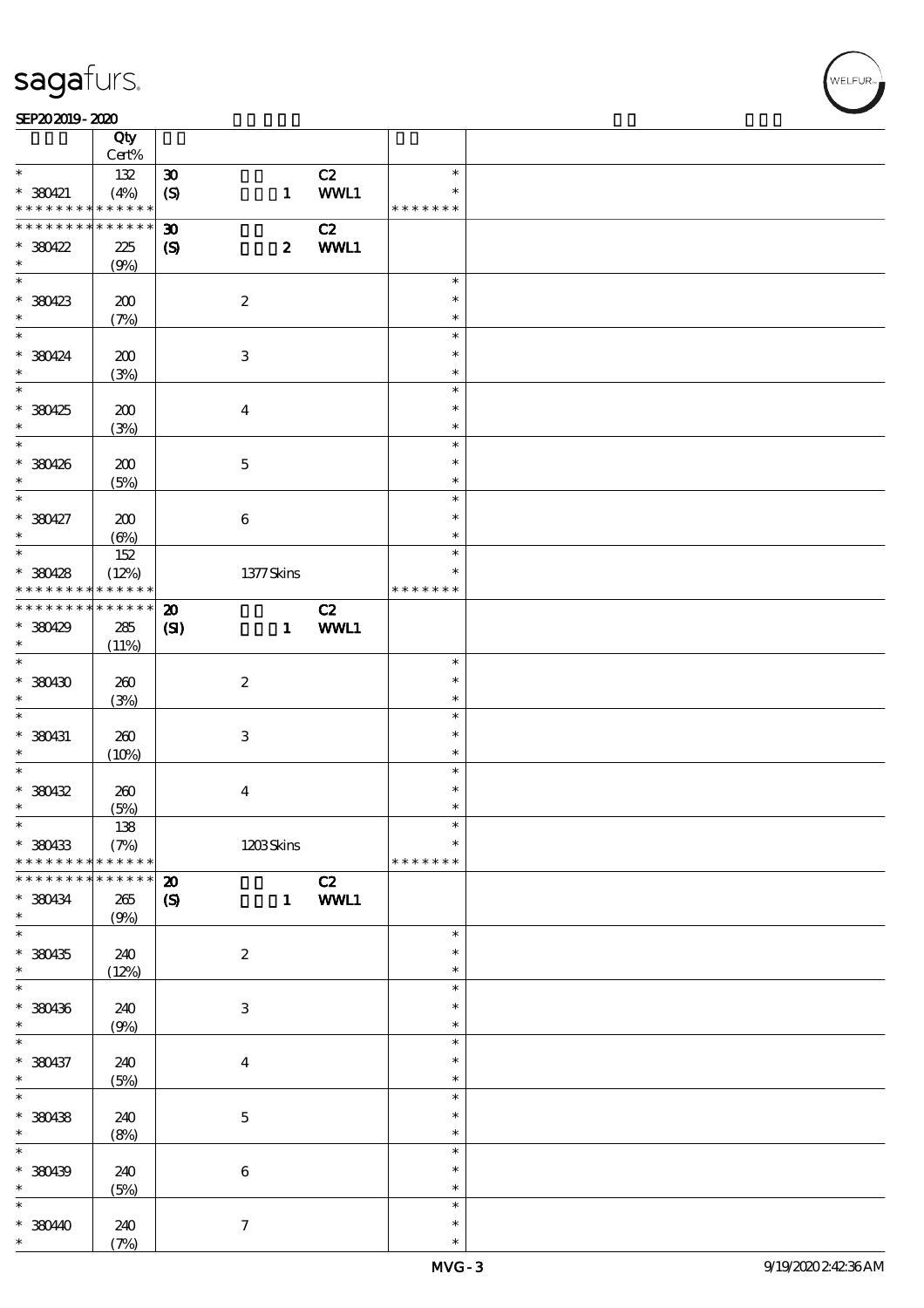#### SEP202019-2020 RESERVED FOR THE SEPERAL SEPERATOR SEPERATOR SOLUTION CONTINUES.

|                              | Qty<br>Cert% |                             |                           |        |                  |  |
|------------------------------|--------------|-----------------------------|---------------------------|--------|------------------|--|
| $\ast$                       |              |                             |                           |        | $\ast$           |  |
|                              | 132          | $\pmb{\mathfrak{D}}$        |                           | C2     |                  |  |
| $*$ 380421                   | (4%)         | (S)                         | $\mathbf{1}$              | WWL1   | $\ast$           |  |
| * * * * * * * *              | * * * * * *  |                             |                           |        | * * * * * * *    |  |
| * * * * * * * *              | * * * * * *  | $\boldsymbol{\mathfrak{D}}$ |                           | C2     |                  |  |
| $*30422$                     | 225          | $\boldsymbol{S}$            | $\boldsymbol{z}$          | WWL1   |                  |  |
| $\ast$                       | (9%)         |                             |                           |        |                  |  |
| $\overline{\phantom{0}}$     |              |                             |                           |        | $\ast$           |  |
|                              |              |                             |                           |        |                  |  |
| $*380423$                    | 200          |                             | $\boldsymbol{2}$          |        | $\ast$           |  |
| $\ast$                       | (7%)         |                             |                           |        | $\ast$           |  |
| $\ast$                       |              |                             |                           |        | $\ast$           |  |
| $*380424$                    | 200          |                             | $\,3$                     |        | $\ast$           |  |
| $\ast$                       | (3%)         |                             |                           |        | $\ast$           |  |
| $\overline{\ast}$            |              |                             |                           |        | $\ast$           |  |
|                              |              |                             |                           |        | $\ast$           |  |
| * 380425                     | 200          |                             | $\boldsymbol{4}$          |        |                  |  |
| $\ast$                       | (3%)         |                             |                           |        | $\ast$           |  |
| $\ast$                       |              |                             |                           |        | $\ast$           |  |
| * 380426                     | 200          |                             | $\mathbf 5$               |        | $\ast$           |  |
| $\ast$                       | (5%)         |                             |                           |        | $\ast$           |  |
| $\overline{\ast}$            |              |                             |                           |        | $\ast$           |  |
| $* 380427$                   | 200          |                             | $\bf 6$                   |        | $\ast$           |  |
| $\ast$                       |              |                             |                           |        | $\ast$           |  |
|                              | $(\Theta\%)$ |                             |                           |        |                  |  |
|                              | 152          |                             |                           |        | $\ast$           |  |
| $*30428$                     | (12%)        |                             | 1377Skins                 |        | $\ast$           |  |
| * * * * * * * *              | * * * * * *  |                             |                           |        | * * * * * * *    |  |
| * * * * * * * *              | $******$     | $\boldsymbol{\mathbf{z}}$   |                           | C2     |                  |  |
| $*380429$                    | 285          | (S)                         | $\mathbf{1}$              | WWL1   |                  |  |
| $\ast$                       | (11%)        |                             |                           |        |                  |  |
| $\overline{\ast}$            |              |                             |                           |        | $\ast$           |  |
|                              |              |                             |                           |        |                  |  |
| $*30430$                     | 260          |                             | $\boldsymbol{2}$          |        | $\ast$           |  |
| $\ast$                       | (3%)         |                             |                           |        | $\ast$           |  |
| $\ast$                       |              |                             |                           |        | $\ast$           |  |
| $*$ 380431                   | 260          |                             | $\ensuremath{\mathbf{3}}$ |        | $\ast$           |  |
| $\ast$                       | (10%)        |                             |                           |        | $\ast$           |  |
| $\ast$                       |              |                             |                           |        | $\ast$           |  |
| $*30432$                     | 260          |                             |                           |        | $\ast$           |  |
|                              |              |                             | $\bf{4}$                  |        |                  |  |
| $\ast$                       | (5%)         |                             |                           |        | $\ast$           |  |
| $\ast$                       | 138          |                             |                           |        | $\ast$           |  |
| * 380433                     | (7%)         |                             | 1203Skins                 |        | $\ast$           |  |
| * * * * * * * *              | * * * * * *  |                             |                           |        | * * * * * * *    |  |
| * * * * * * *                | * * * * * *  | $\boldsymbol{\mathbf{z}}$   |                           | C2     |                  |  |
| * 380434                     | 265          | $\boldsymbol{S}$            |                           | 1 WWL1 |                  |  |
| $\ast$                       | (9%)         |                             |                           |        |                  |  |
| $\overline{\ast}$            |              |                             |                           |        | $\ast$           |  |
|                              |              |                             |                           |        |                  |  |
| $*30435$                     | 240          |                             | $\boldsymbol{2}$          |        | $\ast$           |  |
| $\ast$                       | (12%)        |                             |                           |        | $\ast$           |  |
| $\ast$                       |              |                             |                           |        |                  |  |
| * 380436                     |              |                             |                           |        | $\ast$           |  |
|                              |              |                             |                           |        | $\ast$           |  |
| $\ast$                       | 240          |                             | $\ensuremath{\mathbf{3}}$ |        | $\ast$           |  |
|                              | (9%)         |                             |                           |        | $\ast$           |  |
| $\ast$                       |              |                             |                           |        |                  |  |
| * 380437                     | 240          |                             | $\boldsymbol{4}$          |        | $\ast$           |  |
| $\ast$                       | (5%)         |                             |                           |        | $\ast$           |  |
| $\overline{\ast}$            |              |                             |                           |        | $\ast$           |  |
| * 380438                     | 240          |                             | $\mathbf 5$               |        | $\ast$           |  |
|                              | (8%)         |                             |                           |        | $\ast$           |  |
| $\ast$<br>$\overline{\ast}$  |              |                             |                           |        | $\ast$           |  |
|                              |              |                             |                           |        | $\ast$           |  |
| $*30439$                     | 240          |                             | $\bf 6$                   |        |                  |  |
| $\ast$                       | (5%)         |                             |                           |        | $\ast$           |  |
|                              |              |                             |                           |        | $\ast$           |  |
| $\ast$<br>$*38040$<br>$\ast$ | 240<br>(7%)  |                             | $\tau$                    |        | $\ast$<br>$\ast$ |  |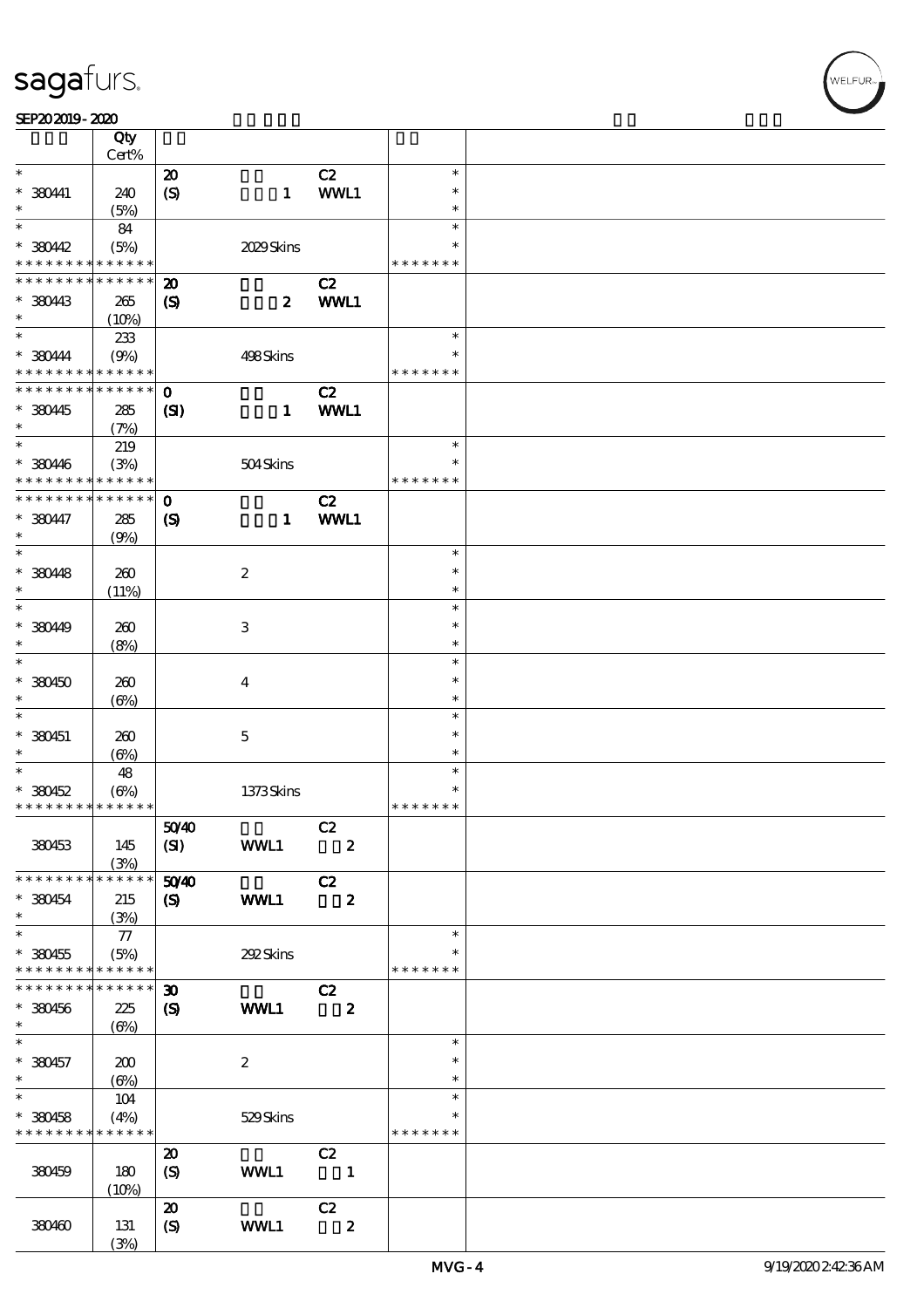|                                                         | Qty<br>Cert%        |                             |                  |                               |                  |  |
|---------------------------------------------------------|---------------------|-----------------------------|------------------|-------------------------------|------------------|--|
| $\ast$                                                  |                     | $\boldsymbol{\mathbf{z}}$   |                  | C2                            | $\ast$           |  |
| $* 38041$                                               | 240                 | $\boldsymbol{S}$            | $\mathbf{1}$     | WWL1                          | $\ast$           |  |
| $\ast$<br>$\ast$                                        | (5%)                |                             |                  |                               | $\ast$           |  |
|                                                         | 84                  |                             |                  |                               | $\ast$<br>$\ast$ |  |
| $*$ 380442<br>* * * * * * * *                           | (5%)<br>* * * * * * |                             | 2029Skins        |                               | * * * * * * *    |  |
| * * * * * * * *                                         | * * * * * *         | $\boldsymbol{\mathbf{z}}$   |                  | C2                            |                  |  |
| * 380443                                                | 265                 | $\boldsymbol{\mathcal{S}}$  | $\boldsymbol{z}$ | WWL1                          |                  |  |
| $\ast$                                                  | (10%)               |                             |                  |                               |                  |  |
| $\ast$                                                  | 233                 |                             |                  |                               | $\ast$           |  |
| $*380444$<br>* * * * * * * * <mark>* * * * * * *</mark> | (9%)                |                             | 498Skins         |                               | $\ast$           |  |
| * * * * * * * * * * * * * * *                           |                     | $\mathbf{o}$                |                  | C2                            | * * * * * * *    |  |
|                                                         |                     |                             |                  |                               |                  |  |
| $*$ 380445<br>$\ast$                                    | 285<br>(7%)         | $\mathbf{C}$                | $\mathbf{1}$     | WWL1                          |                  |  |
| $\ast$                                                  | 219                 |                             |                  |                               | $\ast$           |  |
| * 380446                                                | (3%)                |                             | 504Skins         |                               | $\ast$           |  |
| * * * * * * * *                                         | * * * * * *         |                             |                  |                               | * * * * * * *    |  |
| * * * * * * * *                                         | * * * * * *         | $\mathbf{o}$                |                  | C2                            |                  |  |
| $*3047$                                                 | 285                 | $\boldsymbol{\mathrm{(S)}}$ | $\mathbf{1}$     | WWL1                          |                  |  |
| $\ast$<br>$\ast$                                        | (9%)                |                             |                  |                               | $\ast$           |  |
| $* 380448$                                              | 260                 |                             | $\boldsymbol{z}$ |                               | $\ast$           |  |
| $\ast$                                                  | (11%)               |                             |                  |                               | $\ast$           |  |
| $\ast$                                                  |                     |                             |                  |                               | $\ast$           |  |
| * 380449                                                | 260                 |                             | 3                |                               | $\ast$           |  |
| $\ast$                                                  | (8%)                |                             |                  |                               | $\ast$           |  |
| $\ast$                                                  |                     |                             |                  |                               | $\ast$<br>$\ast$ |  |
| $*380450$<br>$\ast$                                     | 260                 |                             | $\overline{4}$   |                               | $\ast$           |  |
| $\ast$                                                  | $(\Theta)$          |                             |                  |                               | $\ast$           |  |
| $*$ 380451                                              | 260                 |                             | $\mathbf{5}$     |                               | $\ast$           |  |
| $\ast$                                                  | $(\Theta)$          |                             |                  |                               | $\ast$           |  |
|                                                         | 48                  |                             |                  |                               | $\ast$           |  |
| $* 380452$                                              | $(\Theta_0)$        |                             | 1373Skins        |                               | $\ast$           |  |
| * * * * * * * * <mark>* * * * * * *</mark>              |                     |                             |                  |                               | * * * * * * *    |  |
| 380453                                                  | 145                 | 5040<br>(SI)                | WWL1             | C2<br>$\overline{\mathbf{2}}$ |                  |  |
|                                                         | (3%)                |                             |                  |                               |                  |  |
| * * * * * * * *                                         | * * * * * *         | 5040                        |                  | C2                            |                  |  |
| $*$ 380454<br>$\ast$                                    | 215<br>(3%)         | $\boldsymbol{\mathrm{(S)}}$ | WWL1             | $\boldsymbol{z}$              |                  |  |
| $\ast$                                                  | $77\,$              |                             |                  |                               | $\ast$           |  |
| $*$ 380455                                              | (5%)                |                             | 292Skins         |                               | ∗                |  |
| * * * * * * * *                                         | * * * * * *         |                             |                  |                               | * * * * * * *    |  |
| * * * * * * * *                                         | * * * * * *         | $\boldsymbol{\mathfrak{D}}$ |                  | C2                            |                  |  |
| $*$ 380456                                              | 225                 | $\boldsymbol{\mathcal{S}}$  | WWL1             | $\boldsymbol{z}$              |                  |  |
| $\ast$<br>$\ast$                                        | $(\Theta)$          |                             |                  |                               | $\ast$           |  |
| $* 380457$                                              | 200                 |                             | $\boldsymbol{2}$ |                               | $\ast$           |  |
| $\ast$                                                  | $(\Theta)$          |                             |                  |                               | $\ast$           |  |
| $\overline{\ast}$                                       | 104                 |                             |                  |                               | $\ast$           |  |
| $* 380458$                                              | (4%)                |                             | 529Skins         |                               | $\ast$           |  |
| * * * * * * * *                                         | * * * * * *         |                             |                  |                               | * * * * * * *    |  |
|                                                         |                     | $\boldsymbol{\mathfrak{D}}$ |                  | C2<br>$\blacksquare$          |                  |  |
| 380459                                                  | 180<br>(10%)        | $\boldsymbol{S}$            | WWL1             |                               |                  |  |
|                                                         |                     | $\boldsymbol{\mathbf{z}}$   |                  | C2                            |                  |  |
| 380460                                                  | 131                 | $\boldsymbol{S}$            | WWL1             | $\boldsymbol{z}$              |                  |  |
|                                                         | (3%)                |                             |                  |                               |                  |  |

.<br>FLEUR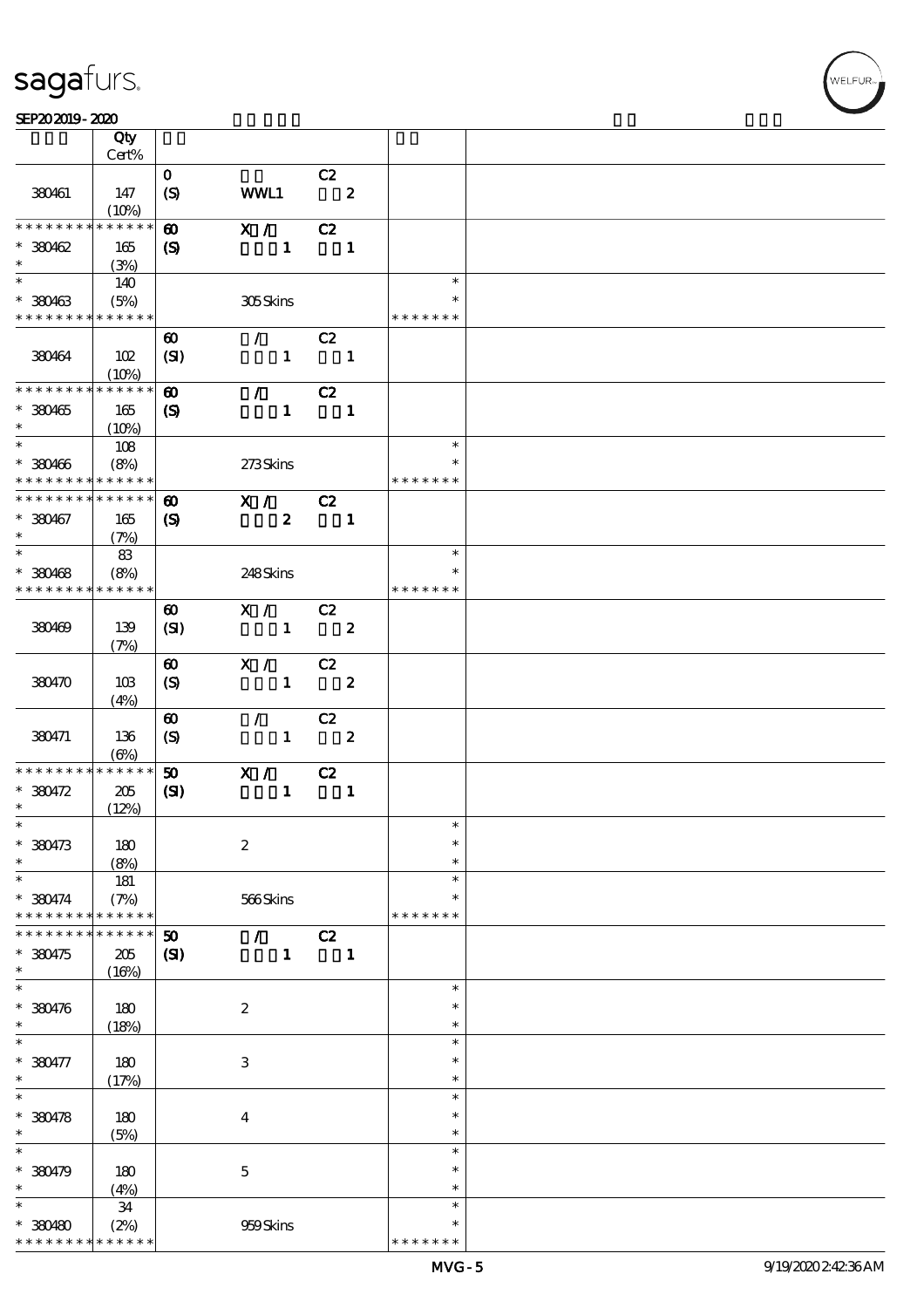#### SEP202019-2020

|                               | Qty                       |                               |                                 |                               |                         |  |
|-------------------------------|---------------------------|-------------------------------|---------------------------------|-------------------------------|-------------------------|--|
|                               | Cert%                     |                               |                                 |                               |                         |  |
| 380461                        | 147<br>(10%)              | $\mathbf{O}$<br>(S)           | WWL1                            | C2<br>$\overline{\mathbf{z}}$ |                         |  |
| * * * * * * * *               | * * * * * *               | $\boldsymbol{\omega}$         | $\mathbf{X}$ /                  | C2                            |                         |  |
| $*380462$                     | 165                       | $\boldsymbol{\mathcal{S}}$    | $\mathbf{1}$                    | $\overline{\phantom{a}}$      |                         |  |
| $\ast$                        | (3%)                      |                               |                                 |                               |                         |  |
|                               | 140                       |                               |                                 |                               | $\ast$                  |  |
| $* 380463$                    | (5%)                      |                               | 305Skins                        |                               |                         |  |
| * * * * * * * * * * * * * *   |                           |                               |                                 |                               | * * * * * * *           |  |
| 380464                        | 102<br>(10%)              | $\boldsymbol{\omega}$<br>(SI) | $\mathcal{L}$ and $\mathcal{L}$ | C2<br>$1 \quad 1$             |                         |  |
| * * * * * * * *               | ******                    | $\boldsymbol{\omega}$         | $\mathcal{L}$ and $\mathcal{L}$ | C2                            |                         |  |
| $* 380465$                    | 165                       | $\boldsymbol{S}$              |                                 | $1 \quad 1$                   |                         |  |
| $\ast$                        | (10%)                     |                               |                                 |                               |                         |  |
|                               | 108                       |                               |                                 |                               | $\ast$                  |  |
| $* 380466$<br>* * * * * * * * | (8%)<br>* * * * * *       |                               | 273Skins                        |                               | $\ast$<br>* * * * * * * |  |
| * * * * * * * *               | * * * * * *               | $\boldsymbol{\omega}$         | X / C2                          |                               |                         |  |
| $* 380467$                    | 165                       | $\boldsymbol{\mathrm{(S)}}$   | $\boldsymbol{z}$                | $\overline{\phantom{a}}$ 1    |                         |  |
| $\ast$                        | (7%)                      |                               |                                 |                               |                         |  |
| $\ast$                        | 83                        |                               |                                 |                               | $\ast$                  |  |
| $* 380468$                    | (8%)                      |                               | 248Skins                        |                               | $\ast$                  |  |
| * * * * * * * *               | $******$                  |                               |                                 |                               | * * * * * * *           |  |
|                               |                           | $\boldsymbol{\omega}$         | X / C2                          |                               |                         |  |
| 380469                        | 139<br>(7%)               | (SI)                          | $1 \t 2$                        |                               |                         |  |
|                               |                           | $\boldsymbol{\omega}$         | $\overline{X}$ / C2             |                               |                         |  |
| 380470                        | 10B                       | (S)                           |                                 | $1 \t 2$                      |                         |  |
|                               | (4%)                      |                               |                                 |                               |                         |  |
|                               |                           | $\boldsymbol{\omega}$         | $\mathcal{L}$                   | C2                            |                         |  |
| 380471                        | 136                       | $\boldsymbol{S}$              |                                 | $1 \t 2$                      |                         |  |
| * * * * * * * *               | $(\Theta)$<br>* * * * * * | 50                            | $\mathbf{X}$ /                  | C2                            |                         |  |
| $* 380472$                    | 205                       | (S)                           | $1 -$                           | $\blacksquare$                |                         |  |
| $\ast$                        | (12%)                     |                               |                                 |                               |                         |  |
| $\ast$                        |                           |                               |                                 |                               | $\ast$                  |  |
| $* 380473$                    | 180                       |                               | $\boldsymbol{2}$                |                               | $\ast$                  |  |
| $\ast$                        | (8%)                      |                               |                                 |                               | $\ast$                  |  |
| $\ast$                        | 181                       |                               |                                 |                               | $\ast$<br>$\ast$        |  |
| * 380474<br>* * * * * * *     | (7%)<br>* * * * * *       |                               | 566Skins                        |                               | * * * * * * *           |  |
|                               | * * * * * *               | 50                            | $\mathcal{L}$                   | C2                            |                         |  |
| $*380475$                     | 205                       | (S)                           | $\mathbf{1}$                    | $\blacksquare$                |                         |  |
| $\ast$                        | (16%)                     |                               |                                 |                               |                         |  |
| $\ast$                        |                           |                               |                                 |                               | $\ast$                  |  |
| $* 380476$                    | 180                       |                               | $\boldsymbol{2}$                |                               | $\ast$                  |  |
| $\ast$<br>$\ast$              | (18%)                     |                               |                                 |                               | $\ast$<br>$\ast$        |  |
| $* 380477$                    | 180                       |                               | $\,3\,$                         |                               | $\ast$                  |  |
| $\ast$                        | (17%)                     |                               |                                 |                               | $\ast$                  |  |
| $\ast$                        |                           |                               |                                 |                               | $\ast$                  |  |
| $* 380478$                    | 180                       |                               | $\boldsymbol{4}$                |                               | $\ast$                  |  |
| $\ast$                        | (5%)                      |                               |                                 |                               | $\ast$                  |  |
| $\ast$                        |                           |                               |                                 |                               | $\ast$                  |  |
| $* 380479$<br>$\ast$          | 180                       |                               | $\mathbf 5$                     |                               | $\ast$<br>$\ast$        |  |
| $\ast$                        | (4%)<br>34                |                               |                                 |                               | $\ast$                  |  |
| $*380480$                     | (2%)                      |                               | 959Skins                        |                               | $\ast$                  |  |
| * * * * * * *                 | * * * * * *               |                               |                                 |                               | * * * * * * *           |  |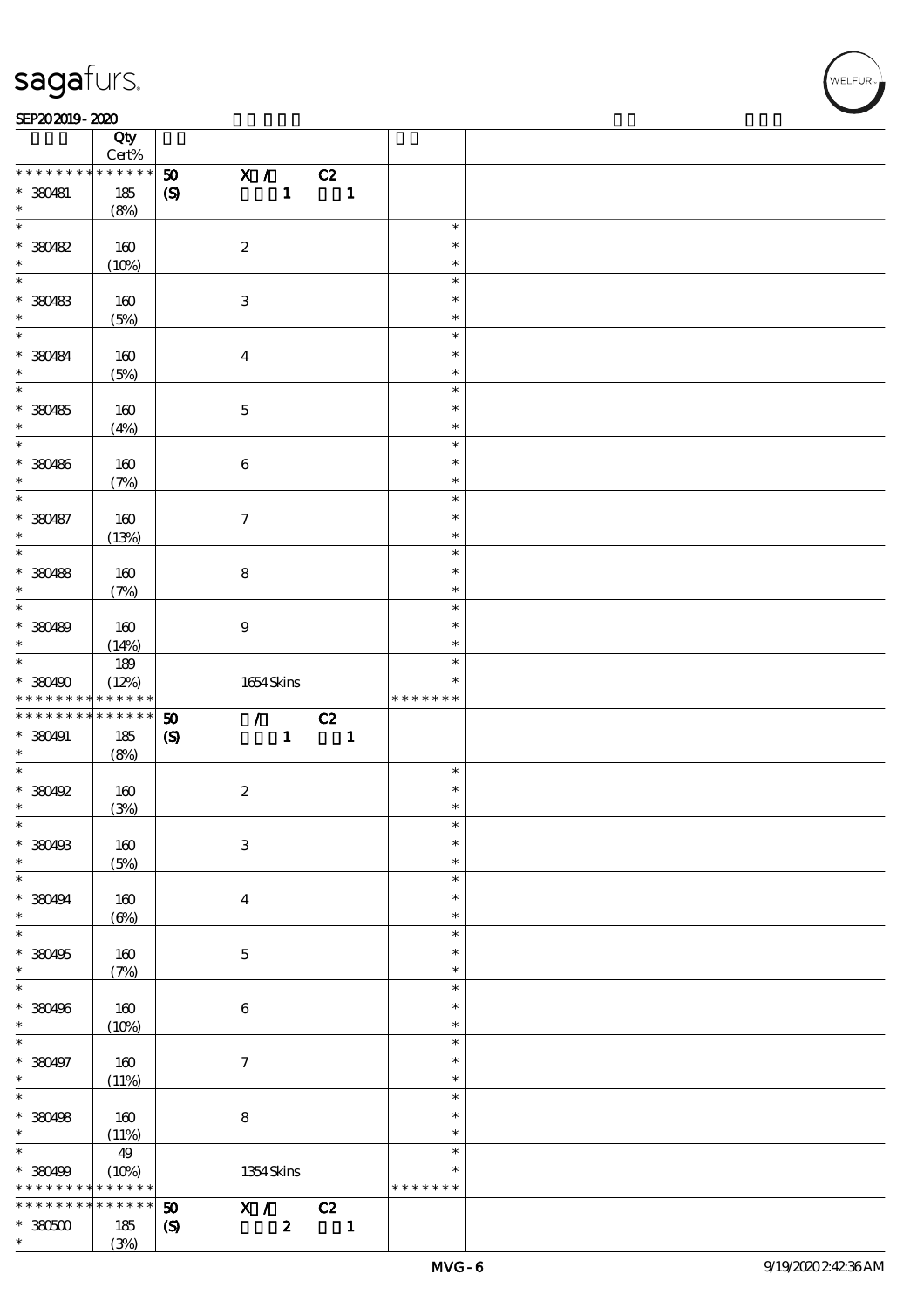$\top$ 

#### SEP202019-2020 RESERVED FOR THE SEPERAL SEPERATOR SEPERATOR SOLUTION CONTINUES.

|                              | Qty<br>Cert%             |                             |                                 |              |                          |               |  |
|------------------------------|--------------------------|-----------------------------|---------------------------------|--------------|--------------------------|---------------|--|
| * * * * * * * *              | * * * * * *              |                             |                                 |              |                          |               |  |
|                              |                          | $\pmb{\mathfrak{D}}$        | $\mathbf{X}$ /                  |              | C2                       |               |  |
| $*$ 380481                   | 185                      | $\boldsymbol{S}$            |                                 | $\mathbf{1}$ | $\blacksquare$           |               |  |
| $\ast$<br>$\overline{\ast}$  | (8%)                     |                             |                                 |              |                          |               |  |
|                              |                          |                             |                                 |              |                          | $\ast$        |  |
| $*30482$                     | 160                      |                             | $\boldsymbol{2}$                |              |                          | $\ast$        |  |
| $\ast$                       | (10%)                    |                             |                                 |              |                          | $\ast$        |  |
| $\overline{\ast}$            |                          |                             |                                 |              |                          | $\ast$        |  |
| $*380483$                    | 160                      |                             | $\ensuremath{\mathbf{3}}$       |              |                          | $\ast$        |  |
| $\ast$                       | (5%)                     |                             |                                 |              |                          | $\ast$        |  |
| $\overline{\ast}$            |                          |                             |                                 |              |                          | $\ast$        |  |
| $* 380484$                   | 160                      |                             | $\overline{4}$                  |              |                          | $\ast$        |  |
| $\ast$                       | (5%)                     |                             |                                 |              |                          | $\ast$        |  |
|                              |                          |                             |                                 |              |                          | $\ast$        |  |
| $* 380485$                   | 160                      |                             | $\mathbf 5$                     |              |                          | $\ast$        |  |
| $\ast$                       | (4%)                     |                             |                                 |              |                          | $\ast$        |  |
| $\overline{\ast}$            |                          |                             |                                 |              |                          | $\ast$        |  |
| * 380486                     |                          |                             |                                 |              |                          | $\ast$        |  |
| $\ast$                       | 160                      |                             | $\bf 6$                         |              |                          | $\ast$        |  |
| $\overline{\ast}$            | (7%)                     |                             |                                 |              |                          |               |  |
|                              |                          |                             |                                 |              |                          | $\ast$        |  |
| * 380487                     | 160                      |                             | $\tau$                          |              |                          | $\ast$        |  |
| $\ast$                       | (13%)                    |                             |                                 |              |                          | $\ast$        |  |
|                              |                          |                             |                                 |              |                          | $\ast$        |  |
| * 380488                     | 160                      |                             | $\bf8$                          |              |                          | $\ast$        |  |
| $\ast$                       | (7%)                     |                             |                                 |              |                          | $\ast$        |  |
| $\overline{\ast}$            |                          |                             |                                 |              |                          | $\ast$        |  |
| * 380489                     | 160                      |                             | $\boldsymbol{9}$                |              |                          | $\ast$        |  |
| $\ast$                       | (14%)                    |                             |                                 |              |                          | $\ast$        |  |
| $\overline{\mathbf{r}}$      | 189                      |                             |                                 |              |                          | $\ast$        |  |
| $*380490$                    | (12%)                    |                             | $1654$ Skins                    |              |                          | $\ast$        |  |
|                              |                          |                             |                                 |              |                          | * * * * * * * |  |
| * * * * * * * *              | * * * * * *              |                             |                                 |              |                          |               |  |
| * * * * * * * *              | $******$                 |                             |                                 |              |                          |               |  |
|                              |                          | $\boldsymbol{\mathfrak{D}}$ | $\mathcal{L}$ and $\mathcal{L}$ |              | C2                       |               |  |
| * 380491                     | 185                      | $\pmb{\infty}$              |                                 | $\mathbf{1}$ | $\overline{\phantom{a}}$ |               |  |
| $\ast$<br>$\overline{\ast}$  | (8%)                     |                             |                                 |              |                          | $\ast$        |  |
|                              |                          |                             |                                 |              |                          |               |  |
| $*$ 380492                   | 160                      |                             | $\boldsymbol{2}$                |              |                          | $\ast$        |  |
| $\ast$                       | (3%)                     |                             |                                 |              |                          | $\ast$        |  |
| $\ast$                       |                          |                             |                                 |              |                          | $\ast$        |  |
| * 380493                     | $160$                    |                             | $\ensuremath{\mathbf{3}}$       |              |                          | $\ast$        |  |
| $\ast$                       | (5%)                     |                             |                                 |              |                          | $\ast$        |  |
| $\ast$                       |                          |                             |                                 |              |                          | $\ast$        |  |
| * 380494                     | 160                      |                             | $\bf{4}$                        |              |                          | $\ast$        |  |
| $\ast$                       | $(\Theta)$               |                             |                                 |              |                          | $\ast$        |  |
| $\overline{\ast}$            |                          |                             |                                 |              |                          | $\ast$        |  |
| * 380495                     | $160$                    |                             | $\mathbf 5$                     |              |                          | $\ast$        |  |
| $\ast$                       | (7%)                     |                             |                                 |              |                          | $\ast$        |  |
| $\ast$                       |                          |                             |                                 |              |                          | $\ast$        |  |
| * 380496                     | 160                      |                             | 6                               |              |                          | $\ast$        |  |
| $\ast$                       | (10%)                    |                             |                                 |              |                          | $\ast$        |  |
| $\ast$                       |                          |                             |                                 |              |                          | $\ast$        |  |
| * 380497                     | 160                      |                             | $\boldsymbol{\tau}$             |              |                          | $\ast$        |  |
| $\ast$                       | (11%)                    |                             |                                 |              |                          | $\ast$        |  |
| $\overline{\ast}$            |                          |                             |                                 |              |                          | $\ast$        |  |
|                              |                          |                             |                                 |              |                          | $\ast$        |  |
| * 380498<br>$\ast$           | 160                      |                             | ${\bf 8}$                       |              |                          | $\ast$        |  |
| $\overline{\ast}$            | (11%)                    |                             |                                 |              |                          | $\ast$        |  |
|                              | 49                       |                             |                                 |              |                          | $\ast$        |  |
| $*380499$<br>* * * * * * * * | (10%)<br>$* * * * * * *$ |                             | 1354Skins                       |              |                          | * * * * * * * |  |
| * * * * * * * *              |                          |                             |                                 |              |                          |               |  |
|                              | * * * * * *              | 50                          | X / C2                          |              |                          |               |  |
| $*3000$<br>$\ast$            | 185<br>(3%)              | $\pmb{\mathcal{S}}$         |                                 | $\pmb{2}$    | $\blacksquare$           |               |  |

 $\overline{\mathbf{r}}$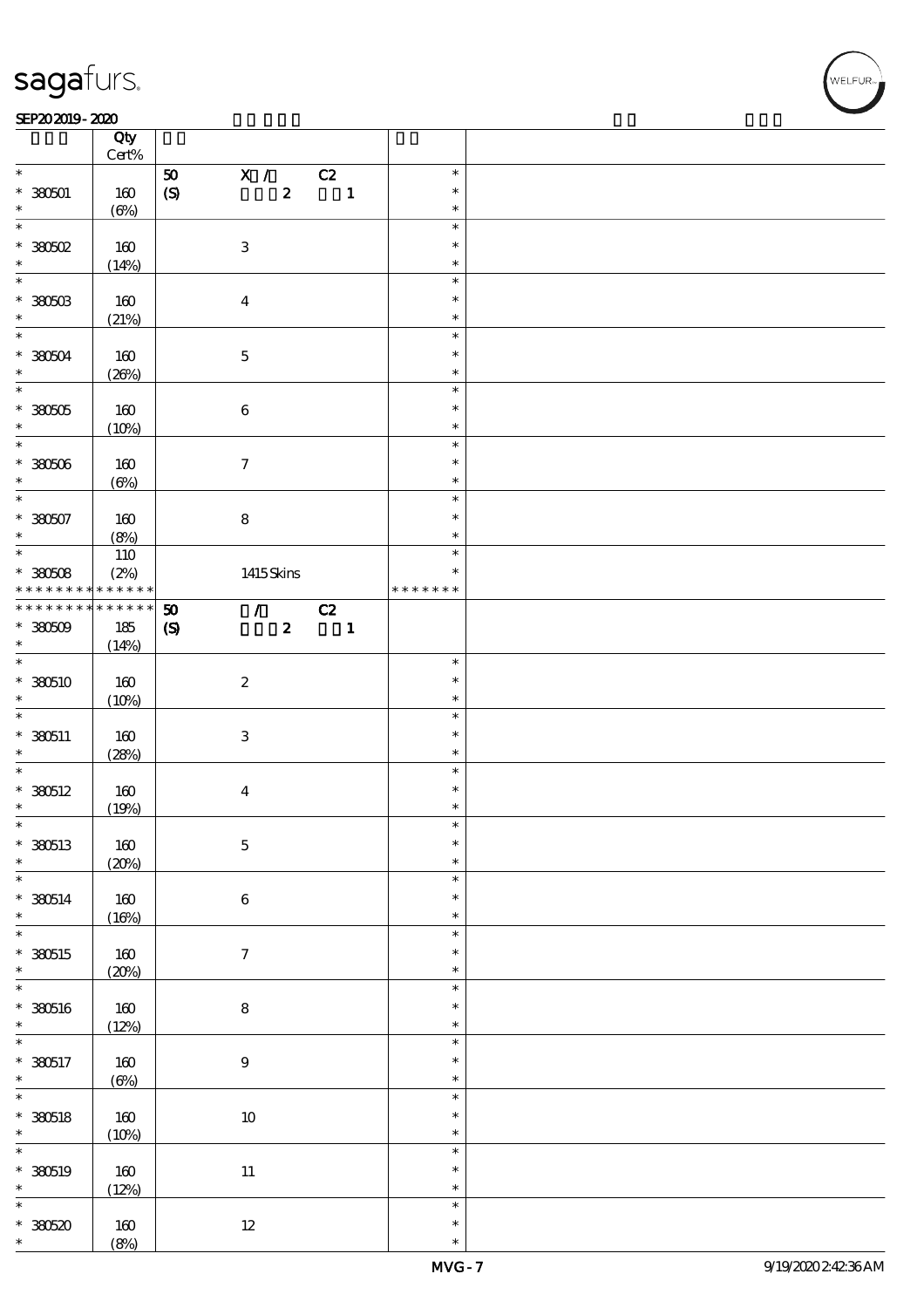#### SEP202019-2020 RESERVED FOR THE SEPERAL SEPERATOR SEPERATOR SOLUTION CONTINUES.

|                                 | Qty<br>$\mbox{Cert}\%$ |                             |                             |                          |                  |  |
|---------------------------------|------------------------|-----------------------------|-----------------------------|--------------------------|------------------|--|
| $\ast$                          |                        |                             |                             |                          | $\ast$           |  |
|                                 |                        | ${\bf 50}$                  | $\mathbf{X}$ /              | C2                       |                  |  |
| $* 380501$                      | 160                    | $\pmb{\text{(S)}}$          | $\boldsymbol{z}$            | $\blacksquare$           | $\ast$           |  |
| $\ast$                          | $(\Theta\%)$           |                             |                             |                          | $\ast$           |  |
| $\overline{\ast}$               |                        |                             |                             |                          | $\ast$           |  |
| $*30002$                        | 160                    | $\ensuremath{\mathbf{3}}$   |                             |                          | $\ast$           |  |
| $\ast$                          |                        |                             |                             |                          |                  |  |
|                                 | (14%)                  |                             |                             |                          | $\ast$           |  |
| $\overline{\ast}$               |                        |                             |                             |                          | $\ast$           |  |
| $*$ 380503                      | 160                    | $\boldsymbol{4}$            |                             |                          | $\ast$           |  |
| $\ast$                          | (21%)                  |                             |                             |                          | $\ast$           |  |
| $\overline{\mathbf{r}}$         |                        |                             |                             |                          | $\ast$           |  |
|                                 |                        |                             |                             |                          |                  |  |
| $* 30004$                       | 160                    | $\mathbf 5$                 |                             |                          | $\ast$           |  |
| $\ast$                          | (20%)                  |                             |                             |                          | $\ast$           |  |
| $\overline{\ast}$               |                        |                             |                             |                          | $\ast$           |  |
| $*30005$                        | 160                    | $\bf 6$                     |                             |                          | $\ast$           |  |
| $\ast$                          |                        |                             |                             |                          | $\ast$           |  |
|                                 | (10%)                  |                             |                             |                          |                  |  |
| $\overline{\ast}$               |                        |                             |                             |                          | $\ast$           |  |
| $* 38000$                       | 160                    | $\boldsymbol{\tau}$         |                             |                          | $\ast$           |  |
| $\ast$                          | $(\Theta\%)$           |                             |                             |                          | $\ast$           |  |
| $\ast$                          |                        |                             |                             |                          | $\ast$           |  |
|                                 |                        |                             |                             |                          | $\ast$           |  |
| $*30007$                        | 160                    | $\bf 8$                     |                             |                          |                  |  |
| $\ast$                          | (8%)                   |                             |                             |                          | $\ast$           |  |
| $\overline{\ast}$               | 110                    |                             |                             |                          | $\ast$           |  |
| $*30008$                        | (2%)                   |                             | 1415Skins                   |                          | $\ast$           |  |
| * * * * * * * *                 | $* * * * * * *$        |                             |                             |                          | * * * * * * *    |  |
|                                 |                        |                             |                             |                          |                  |  |
| * * * * * * * *                 | * * * * * *            | $\boldsymbol{\mathfrak{D}}$ | $\mathcal{F}^{\mathcal{F}}$ | C2                       |                  |  |
| $*30509$                        | 185                    | $\boldsymbol{\mathrm{(S)}}$ | $\boldsymbol{z}$            | $\overline{\phantom{a}}$ |                  |  |
| $\ast$                          | (14%)                  |                             |                             |                          |                  |  |
| $\overline{\ast}$               |                        |                             |                             |                          | $\ast$           |  |
|                                 |                        |                             |                             |                          | $\ast$           |  |
| $*380510$                       | 160                    | $\boldsymbol{2}$            |                             |                          |                  |  |
| $\ast$                          | (10%)                  |                             |                             |                          | $\ast$           |  |
| $\ast$                          |                        |                             |                             |                          | $\ast$           |  |
| $* 330511$                      | 160                    | $\ensuremath{\mathbf{3}}$   |                             |                          | $\ast$           |  |
| $\ast$                          | (28%)                  |                             |                             |                          | $\ast$           |  |
| $*$                             |                        |                             |                             |                          | $\ast$           |  |
|                                 |                        |                             |                             |                          |                  |  |
| $*380512$                       |                        |                             |                             |                          |                  |  |
| $\ast$                          | 160                    | $\boldsymbol{4}$            |                             |                          | $\ast$           |  |
|                                 |                        |                             |                             |                          | $\ast$           |  |
| $\ast$                          | (19%)                  |                             |                             |                          | $\ast$           |  |
|                                 |                        |                             |                             |                          |                  |  |
| * 380513                        | $160$                  | $\mathbf 5$                 |                             |                          | $\ast$           |  |
| $\ast$                          | (20%)                  |                             |                             |                          | $\ast$           |  |
| $\ast$                          |                        |                             |                             |                          | $\ast$           |  |
| $* 380514$                      | 160                    | $\bf 6$                     |                             |                          | $\ast$           |  |
| $\ast$                          |                        |                             |                             |                          | $\ast$           |  |
| $\overline{\ast}$               | (16%)                  |                             |                             |                          | $\ast$           |  |
|                                 |                        |                             |                             |                          |                  |  |
| * 380515                        | $160\,$                | $\tau$                      |                             |                          | $\ast$           |  |
| $\ast$                          | (20%)                  |                             |                             |                          | $\ast$           |  |
| $\ast$                          |                        |                             |                             |                          | $\ast$           |  |
|                                 |                        |                             |                             |                          | $\ast$           |  |
| $* 380516$                      | $160$                  | ${\bf 8}$                   |                             |                          | $\ast$           |  |
| $\ast$                          | (12%)                  |                             |                             |                          |                  |  |
| $\ast$                          |                        |                             |                             |                          | $\ast$           |  |
| $* 330517$                      | 160                    | $\boldsymbol{9}$            |                             |                          | $\ast$           |  |
| $\ast$                          | $(\Theta)$             |                             |                             |                          | $\ast$           |  |
|                                 |                        |                             |                             |                          | $\ast$           |  |
|                                 |                        |                             |                             |                          | $\ast$           |  |
| $\overline{\ast}$<br>$* 330518$ | 160                    | $10\,$                      |                             |                          |                  |  |
| $\ast$                          | (10%)                  |                             |                             |                          | $\ast$           |  |
| $\ast$                          |                        |                             |                             |                          | $\ast$           |  |
| * 380519                        | 160                    |                             |                             |                          | $\ast$           |  |
| $\ast$                          |                        | $11\,$                      |                             |                          | $\ast$           |  |
| $\ast$                          | (12%)                  |                             |                             |                          | $\ast$           |  |
|                                 |                        |                             |                             |                          |                  |  |
| $*30520$<br>$\ast$              | 160<br>(8%)            | $12\,$                      |                             |                          | $\ast$<br>$\ast$ |  |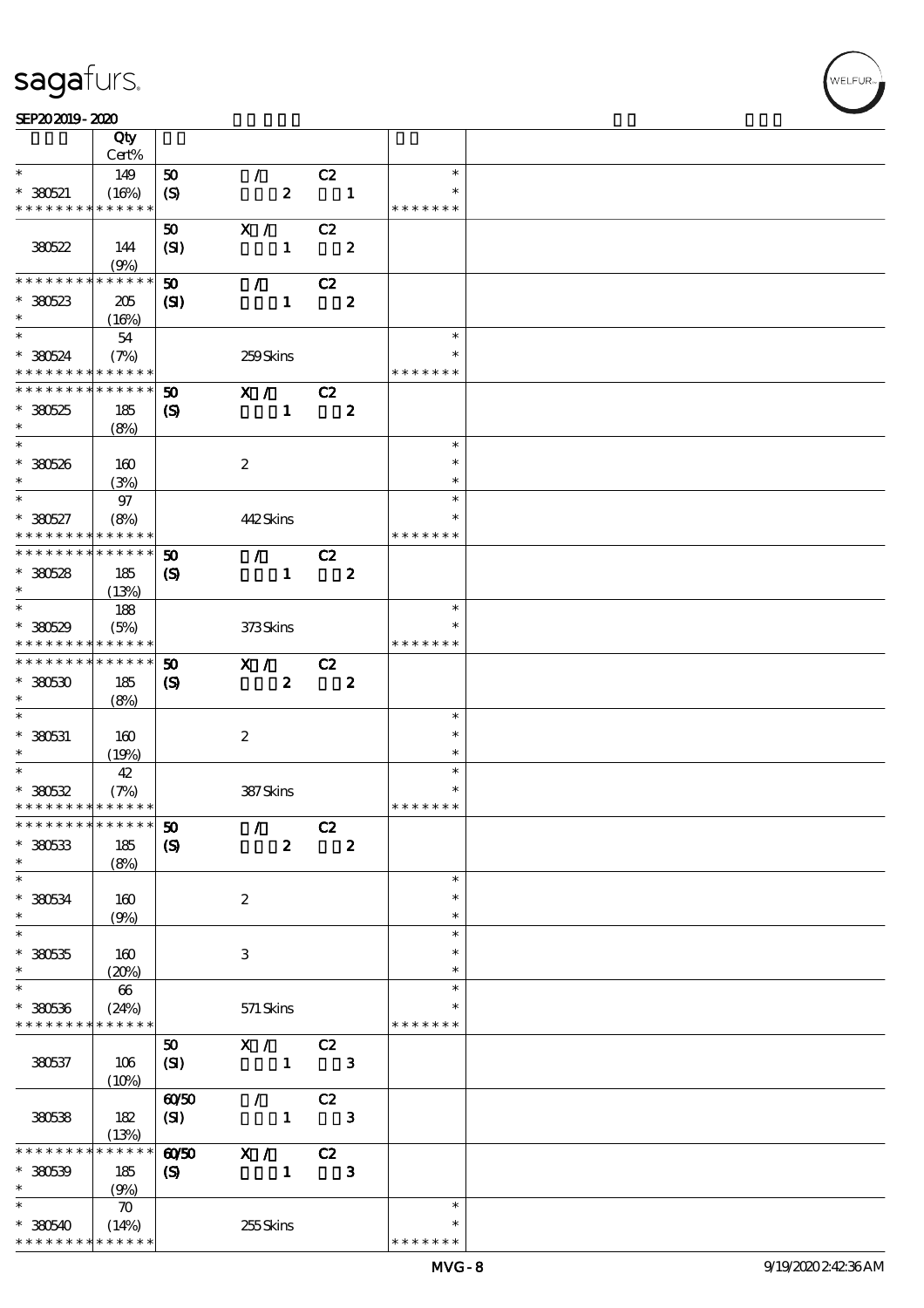#### SEP202019-2020

|                                          | Qty                  |                             |                  |                         |                         |                  |  |
|------------------------------------------|----------------------|-----------------------------|------------------|-------------------------|-------------------------|------------------|--|
|                                          | Cert%                |                             |                  |                         |                         |                  |  |
| $\ast$                                   | 149                  | ${\bf 50}$                  | $\mathcal{L}$    | C2                      |                         | $\ast$<br>$\ast$ |  |
| $* 380521$<br>* * * * * * * *            | (16%)<br>* * * * * * | $\boldsymbol{S}$            | $\boldsymbol{z}$ |                         | $\blacksquare$          | * * * * * * *    |  |
|                                          |                      |                             |                  |                         |                         |                  |  |
|                                          |                      | 50                          | X /              | C2                      |                         |                  |  |
| 380522                                   | 144                  | (SI)                        | $\mathbf{1}$     |                         | $\boldsymbol{z}$        |                  |  |
| * * * * * * * *                          | (9%)<br>* * * * * *  |                             |                  |                         |                         |                  |  |
|                                          |                      | $\boldsymbol{\mathfrak{D}}$ | $\mathcal{F}$    | C2                      |                         |                  |  |
| $*30523$<br>$\ast$                       | 205                  | $\mathbf{Z}$                | $\mathbf{1}$     |                         | $\boldsymbol{z}$        |                  |  |
|                                          | (16%)                |                             |                  |                         |                         | $\ast$           |  |
|                                          | 54                   |                             |                  |                         |                         | $\ast$           |  |
| $*380524$<br>* * * * * * * * * * * * * * | (7%)                 |                             | 259Skins         |                         |                         | * * * * * * *    |  |
| * * * * * * * *                          | * * * * * *          | 50                          | X / C2           |                         |                         |                  |  |
| $*30525$                                 |                      |                             | $\mathbf{1}$     |                         | $\boldsymbol{z}$        |                  |  |
| $\ast$                                   | 185<br>(8%)          | $\boldsymbol{\mathcal{S}}$  |                  |                         |                         |                  |  |
|                                          |                      |                             |                  |                         |                         | $\ast$           |  |
| $*380526$                                | 160                  |                             | $\boldsymbol{z}$ |                         |                         | $\ast$           |  |
| $\ast$                                   | (3%)                 |                             |                  |                         |                         | $\ast$           |  |
| $\ast$                                   | 97                   |                             |                  |                         |                         | $\ast$           |  |
| $* 380527$                               | (8%)                 |                             | 442Skins         |                         |                         | $\ast$           |  |
| * * * * * * * *                          | * * * * * *          |                             |                  |                         |                         | * * * * * * *    |  |
| * * * * * * * * * * * * * *              |                      | 50                          | $\mathcal{L}$    | C2                      |                         |                  |  |
| $*30528$                                 | 185                  | $\boldsymbol{\mathcal{S}}$  | $\mathbf{1}$     | $\overline{\mathbf{2}}$ |                         |                  |  |
| $\ast$                                   | (13%)                |                             |                  |                         |                         |                  |  |
|                                          | 188                  |                             |                  |                         |                         | $\ast$           |  |
| $* 30529$                                | (5%)                 |                             | 373Skins         |                         |                         |                  |  |
| * * * * * * * *                          | * * * * * *          |                             |                  |                         |                         | * * * * * * *    |  |
| * * * * * * * *                          | * * * * * *          | 50                          | X /              | C2                      |                         |                  |  |
| $*30530$                                 | 185                  | $\boldsymbol{S}$            | $\boldsymbol{z}$ |                         | $\boldsymbol{z}$        |                  |  |
| $\ast$                                   | (8%)                 |                             |                  |                         |                         |                  |  |
| $\ast$                                   |                      |                             |                  |                         |                         | $\ast$           |  |
| $* 330531$                               | 160                  |                             | $\boldsymbol{z}$ |                         |                         | $\ast$           |  |
| $\ast$                                   | (19%)                |                             |                  |                         |                         | $\ast$           |  |
| $\ast$                                   | 42                   |                             |                  |                         |                         | $\ast$           |  |
| $*30532$                                 | (7%)                 |                             | 387Skins         |                         |                         | $\ast$           |  |
| * * * * * * * * * * * * * *              |                      |                             |                  |                         |                         | * * * * * * *    |  |
| *************** 50                       |                      |                             | $\mathcal{L}$    | C2                      |                         |                  |  |
| $*30533$                                 | 185                  | $\boldsymbol{S}$            | $\boldsymbol{z}$ |                         | $\overline{\mathbf{2}}$ |                  |  |
| $\ast$                                   | (8%)                 |                             |                  |                         |                         |                  |  |
| $\ast$                                   |                      |                             |                  |                         |                         | $\ast$           |  |
| $* 380534$                               | 160                  |                             | $\boldsymbol{2}$ |                         |                         | $\ast$           |  |
| $\ast$<br>$\overline{\ast}$              | (9%)                 |                             |                  |                         |                         | $\ast$<br>$\ast$ |  |
|                                          |                      |                             |                  |                         |                         | *                |  |
| $*30535$<br>$\ast$                       | 160                  |                             | 3                |                         |                         | $\ast$           |  |
| $\ast$                                   | (20%)                |                             |                  |                         |                         | $\ast$           |  |
| $* 380536$                               | 66                   |                             |                  |                         |                         |                  |  |
| * * * * * * * *                          | (24%)<br>* * * * * * |                             | 571 Skins        |                         |                         | * * * * * * *    |  |
|                                          |                      | 50                          | X /              | C2                      |                         |                  |  |
| 380537                                   | 106                  | (SI)                        | $\mathbf{1}$     |                         | $\mathbf{3}$            |                  |  |
|                                          | (10%)                |                             |                  |                         |                         |                  |  |
|                                          |                      | 6050                        | $\mathcal{L}$    | C2                      |                         |                  |  |
| 380538                                   | 182                  | (SI)                        | $\mathbf{1}$     |                         | $\mathbf{3}$            |                  |  |
|                                          | (13%)                |                             |                  |                         |                         |                  |  |
| * * * * * *                              | * * * * * *          | 6050                        | X /              | C2                      |                         |                  |  |
| $* 380539$                               | 185                  | $\boldsymbol{\mathrm{(S)}}$ | $\mathbf{1}$     |                         | $\mathbf{3}$            |                  |  |
| $\ast$                                   | (9%)                 |                             |                  |                         |                         |                  |  |
| $\ast$                                   | $\boldsymbol{\pi}$   |                             |                  |                         |                         | $\ast$           |  |
| $*30540$                                 | (14%)                |                             | 255Skins         |                         |                         | $\ast$           |  |
| * * * * * * * *                          | * * * * * *          |                             |                  |                         |                         | * * * * * * *    |  |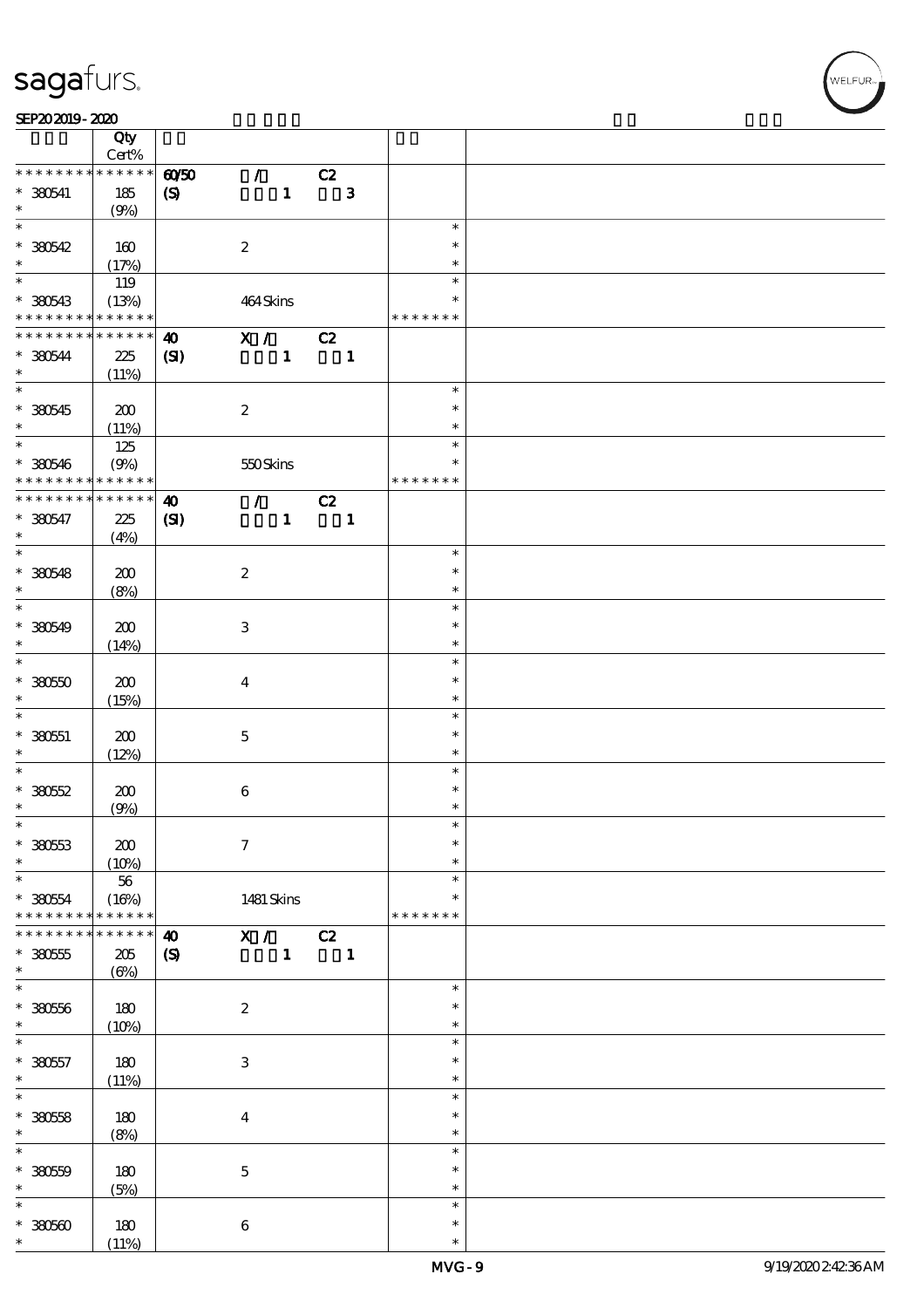#### SEP202019-2020 RESERVED FOR THE SEPERAL SEPERATOR SEPERATOR SOLUTION CONTINUES.

|                   | Qty                  |                             |                             |              |                          |              |               |  |
|-------------------|----------------------|-----------------------------|-----------------------------|--------------|--------------------------|--------------|---------------|--|
|                   | Cert%<br>* * * * * * |                             |                             |              |                          |              |               |  |
| * * * * * * * *   |                      | $\omega$ 50                 | $\mathcal{F}$               |              | C2                       |              |               |  |
| $* 330541$        | 185                  | $\boldsymbol{\mathrm{(S)}}$ |                             | $\mathbf{1}$ |                          | $\mathbf{3}$ |               |  |
| $\ast$            | (9%)                 |                             |                             |              |                          |              |               |  |
| $\overline{\ast}$ |                      |                             |                             |              |                          |              | $\ast$        |  |
| $*30542$          | 160                  |                             | $\boldsymbol{2}$            |              |                          |              | $\ast$        |  |
| $\ast$            | (17%)                |                             |                             |              |                          |              | $\ast$        |  |
|                   | 119                  |                             |                             |              |                          |              | $\ast$        |  |
| * 380543          | (13%)                |                             | 464Skins                    |              |                          |              | $\ast$        |  |
| * * * * * * * *   | * * * * * *          |                             |                             |              |                          |              | * * * * * * * |  |
| * * * * * * * *   | * * * * * *          | $\boldsymbol{\omega}$       | $\mathbf{X}$ /              |              | C2                       |              |               |  |
| $*30544$          | 225                  |                             |                             |              |                          |              |               |  |
| $\ast$            |                      | (S)                         |                             | $\mathbf{1}$ | $\overline{\phantom{a}}$ |              |               |  |
| $\overline{\ast}$ | (11%)                |                             |                             |              |                          |              |               |  |
|                   |                      |                             |                             |              |                          |              | $\ast$        |  |
| $*380545$         | 200                  |                             | $\boldsymbol{2}$            |              |                          |              | $\ast$        |  |
| $\ast$            | (11%)                |                             |                             |              |                          |              | $\ast$        |  |
|                   | 125                  |                             |                             |              |                          |              | $\ast$        |  |
| $* 380546$        | (9%)                 |                             | 550Skins                    |              |                          |              | $\ast$        |  |
| * * * * * * * *   | * * * * * *          |                             |                             |              |                          |              | * * * * * * * |  |
| * * * * * * * *   | * * * * * *          | $\boldsymbol{\omega}$       | $\mathcal{T}^{\mathcal{A}}$ |              | C2                       |              |               |  |
| $* 380547$        | 225                  | (S)                         |                             | $\mathbf{1}$ |                          | $\mathbf{1}$ |               |  |
| $\ast$            | (4%)                 |                             |                             |              |                          |              |               |  |
| $\overline{\ast}$ |                      |                             |                             |              |                          |              | $\ast$        |  |
| $* 380548$        | 200                  |                             | $\boldsymbol{2}$            |              |                          |              | $\ast$        |  |
| $\ast$            |                      |                             |                             |              |                          |              | $\ast$        |  |
| $\overline{\ast}$ | (8%)                 |                             |                             |              |                          |              |               |  |
|                   |                      |                             |                             |              |                          |              | $\ast$        |  |
| $* 380549$        | 200                  |                             | $\ensuremath{\mathbf{3}}$   |              |                          |              | $\ast$        |  |
| $\ast$            | (14%)                |                             |                             |              |                          |              | $\ast$        |  |
| $\overline{\ast}$ |                      |                             |                             |              |                          |              | $\ast$        |  |
| $*30000$          | 200                  |                             | $\boldsymbol{4}$            |              |                          |              | $\ast$        |  |
| $\ast$            | (15%)                |                             |                             |              |                          |              | $\ast$        |  |
| $\ast$            |                      |                             |                             |              |                          |              | $\ast$        |  |
| $* 330551$        | 200                  |                             | $\bf 5$                     |              |                          |              | $\ast$        |  |
| $\ast$            | (12%)                |                             |                             |              |                          |              | $\ast$        |  |
| $\ast$            |                      |                             |                             |              |                          |              | $\ast$        |  |
| $*3052$           | 200                  |                             | $\bf 6$                     |              |                          |              | $\ast$        |  |
| $\ast$            | (9%)                 |                             |                             |              |                          |              | $\ast$        |  |
| $\ast$            |                      |                             |                             |              |                          |              | $\ast$        |  |
|                   |                      |                             |                             |              |                          |              |               |  |
| $* 38053$         | 200                  |                             | $\boldsymbol{7}$            |              |                          |              | $\ast$        |  |
| $\ast$            | (10%)                |                             |                             |              |                          |              | $\ast$        |  |
| $\ast$            | 56                   |                             |                             |              |                          |              | $\ast$        |  |
| $* 38054$         | (16%)                |                             | 1481 Skins                  |              |                          |              | $\ast$        |  |
| * * * * * * * *   | * * * * * *          |                             |                             |              |                          |              | * * * * * * * |  |
| * * * * * * *     | $* * * * * *$        | $\boldsymbol{\omega}$       | X /                         |              | C2                       |              |               |  |
| $*30055$          | 205                  | $\boldsymbol{\mathrm{(S)}}$ |                             | $\mathbf{1}$ | $\blacksquare$           |              |               |  |
| $\ast$            | $(\Theta)$           |                             |                             |              |                          |              |               |  |
| $\ast$            |                      |                             |                             |              |                          |              | $\ast$        |  |
| $*3056$           | 180                  |                             | $\boldsymbol{2}$            |              |                          |              | $\ast$        |  |
| $\ast$            |                      |                             |                             |              |                          |              | $\ast$        |  |
| $\ast$            | (10%)                |                             |                             |              |                          |              | $\ast$        |  |
|                   |                      |                             |                             |              |                          |              |               |  |
| $* 380557$        | 180                  |                             | $\ensuremath{\mathbf{3}}$   |              |                          |              | $\ast$        |  |
| $\ast$            | (11%)                |                             |                             |              |                          |              | $\ast$        |  |
| $\overline{\ast}$ |                      |                             |                             |              |                          |              | $\ast$        |  |
| $* 38058$         | 180                  |                             | $\boldsymbol{4}$            |              |                          |              | $\ast$        |  |
| $\ast$            | (8%)                 |                             |                             |              |                          |              | $\ast$        |  |
| $\ast$            |                      |                             |                             |              |                          |              | $\ast$        |  |
| $*3059$           | 180                  |                             | $\mathbf 5$                 |              |                          |              | $\ast$        |  |
| $\ast$            | (5%)                 |                             |                             |              |                          |              | $\ast$        |  |
| $\ast$            |                      |                             |                             |              |                          |              | $\ast$        |  |
|                   |                      |                             |                             |              |                          |              | $\ast$        |  |
| $*3050$<br>$\ast$ | 180                  |                             | $\bf 6$                     |              |                          |              |               |  |
|                   | (11%)                |                             |                             |              |                          |              | $\ast$        |  |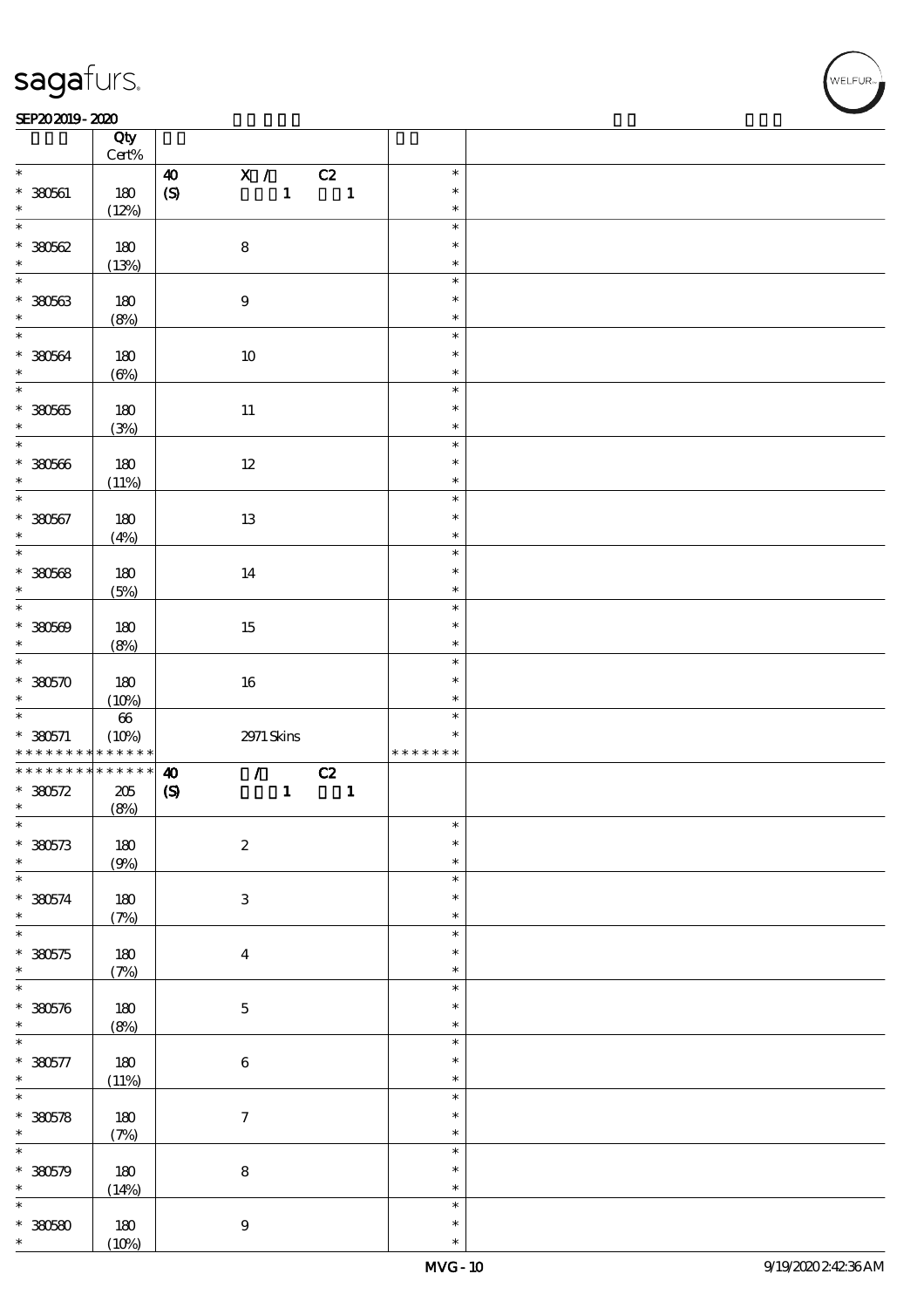#### SEP202019-2020 RESERVED FOR THE SEPERAL SEPERATOR SEPERATOR SOLUTION CONTINUES.

|                                 | Qty<br>$\mbox{Cert}\%$ |                             |                           |                           |                |              |                  |  |
|---------------------------------|------------------------|-----------------------------|---------------------------|---------------------------|----------------|--------------|------------------|--|
| $\ast$                          |                        |                             |                           |                           |                |              | $\ast$           |  |
|                                 |                        | $\boldsymbol{40}$           | $\mathbf{X}$ /            |                           | C2             |              |                  |  |
| $* 380601$                      | 180                    | $\pmb{\text{(S)}}$          |                           | $\mathbf{1}$              | $\blacksquare$ |              | $\ast$           |  |
| $\ast$                          | (12%)                  |                             |                           |                           |                |              | $\ast$           |  |
| $\overline{\ast}$               |                        |                             |                           |                           |                |              | $\ast$           |  |
|                                 |                        |                             |                           |                           |                |              |                  |  |
| $*30562$                        | 180                    |                             | ${\bf 8}$                 |                           |                |              | $\ast$           |  |
| $\ast$                          | (13%)                  |                             |                           |                           |                |              | $\ast$           |  |
| $\overline{\ast}$               |                        |                             |                           |                           |                |              | $\ast$           |  |
|                                 |                        |                             |                           |                           |                |              |                  |  |
| $* 380563$                      | 180                    |                             | $\boldsymbol{9}$          |                           |                |              | $\ast$           |  |
| $\ast$                          | (8%)                   |                             |                           |                           |                |              | $\ast$           |  |
| $*$                             |                        |                             |                           |                           |                |              | $\ast$           |  |
|                                 |                        |                             |                           |                           |                |              |                  |  |
| $* 30064$                       | 180                    |                             | $10\,$                    |                           |                |              | $\ast$           |  |
| $\ast$                          | $(\Theta)$             |                             |                           |                           |                |              | $\ast$           |  |
|                                 |                        |                             |                           |                           |                |              | $\ast$           |  |
|                                 |                        |                             |                           |                           |                |              |                  |  |
| $*30005$                        | $180$                  |                             | $11\,$                    |                           |                |              | $\ast$           |  |
| $\ast$                          | (3%)                   |                             |                           |                           |                |              | $\ast$           |  |
| $\overline{\ast}$               |                        |                             |                           |                           |                |              | $\ast$           |  |
|                                 |                        |                             |                           |                           |                |              |                  |  |
| $* 380566$                      | 180                    |                             | $12\,$                    |                           |                |              | $\ast$           |  |
| $\ast$                          | (11%)                  |                             |                           |                           |                |              | $\ast$           |  |
| $\overline{\ast}$               |                        |                             |                           |                           |                |              | $\ast$           |  |
|                                 |                        |                             |                           |                           |                |              | $\ast$           |  |
| $* 380567$                      | 180                    |                             | $13\,$                    |                           |                |              |                  |  |
| $\ast$                          | (4%)                   |                             |                           |                           |                |              | $\ast$           |  |
| $\overline{\ast}$               |                        |                             |                           |                           |                |              | $\ast$           |  |
|                                 |                        |                             |                           |                           |                |              | $\ast$           |  |
| $*30568$                        | 180                    |                             | 14                        |                           |                |              |                  |  |
| $\ast$                          | (5%)                   |                             |                           |                           |                |              | $\ast$           |  |
| $\overline{\ast}$               |                        |                             |                           |                           |                |              | $\ast$           |  |
| $*30509$                        |                        |                             |                           |                           |                |              | $\ast$           |  |
|                                 | 180                    |                             | 15                        |                           |                |              |                  |  |
| $\ast$                          | (8%)                   |                             |                           |                           |                |              | $\ast$           |  |
| $\ast$                          |                        |                             |                           |                           |                |              | $\ast$           |  |
| $*30570$                        | 180                    |                             |                           |                           |                |              | $\ast$           |  |
|                                 |                        |                             | $16\,$                    |                           |                |              |                  |  |
|                                 |                        |                             |                           |                           |                |              | $\ast$           |  |
| $\ast$                          | (10%)                  |                             |                           |                           |                |              |                  |  |
|                                 |                        |                             |                           |                           |                |              | $\ast$           |  |
|                                 | $\pmb{66}$             |                             |                           |                           |                |              |                  |  |
| $* 380571$                      | (10%)                  |                             | $2971$ Skins              |                           |                |              | $\ast$           |  |
| * * * * * * * *                 | * * * * * *            |                             |                           |                           |                |              | * * * * * * *    |  |
| * * * * * * * *                 | $******$               | $\boldsymbol{\omega}$       |                           | $\mathcal{T}=\mathcal{I}$ |                |              |                  |  |
|                                 |                        |                             |                           |                           | C2             |              |                  |  |
| $* 380572$                      | $205\,$                | $\boldsymbol{\mathrm{(S)}}$ |                           | $\mathbf{1}$              |                | $\mathbf{1}$ |                  |  |
| $\ast$                          | (8%)                   |                             |                           |                           |                |              |                  |  |
| $\ast$                          |                        |                             |                           |                           |                |              | $\ast$           |  |
|                                 |                        |                             |                           |                           |                |              | $\ast$           |  |
| $*380573$                       | $180$                  |                             | $\boldsymbol{2}$          |                           |                |              | $\ast$           |  |
| $\ast$                          | (9%)                   |                             |                           |                           |                |              |                  |  |
| $\ast$                          |                        |                             |                           |                           |                |              | $\ast$           |  |
|                                 | 180                    |                             | $\ensuremath{\mathbf{3}}$ |                           |                |              | $\ast$           |  |
| $* 380574$<br>$\ast$            |                        |                             |                           |                           |                |              | $\ast$           |  |
|                                 | (7%)                   |                             |                           |                           |                |              |                  |  |
| $\overline{\ast}$               |                        |                             |                           |                           |                |              | $\ast$           |  |
| $*30575$                        | 180                    |                             | $\bf{4}$                  |                           |                |              | $\ast$           |  |
| $\ast$                          |                        |                             |                           |                           |                |              | $\ast$           |  |
|                                 | (7%)                   |                             |                           |                           |                |              |                  |  |
| $\ast$                          |                        |                             |                           |                           |                |              | $\ast$           |  |
| $* 380576$                      | $180$                  |                             | $\mathbf 5$               |                           |                |              | $\ast$           |  |
| $\ast$                          |                        |                             |                           |                           |                |              | $\ast$           |  |
|                                 | (8%)                   |                             |                           |                           |                |              |                  |  |
| $\ast$                          |                        |                             |                           |                           |                |              | $\ast$           |  |
|                                 | $180$                  |                             | $\bf 6$                   |                           |                |              | $\ast$           |  |
| $* 380577$<br>$\ast$            |                        |                             |                           |                           |                |              | $\ast$           |  |
|                                 | (11%)                  |                             |                           |                           |                |              | $\ast$           |  |
|                                 |                        |                             |                           |                           |                |              |                  |  |
| $\overline{\ast}$<br>$* 380578$ | 180                    |                             | $\boldsymbol{7}$          |                           |                |              | $\ast$           |  |
| $\ast$                          |                        |                             |                           |                           |                |              | $\ast$           |  |
| $\ast$                          | (7%)                   |                             |                           |                           |                |              | $\ast$           |  |
|                                 |                        |                             |                           |                           |                |              |                  |  |
| $* 380579$                      | 180                    |                             | $\bf 8$                   |                           |                |              | $\ast$           |  |
| $\ast$                          | (14%)                  |                             |                           |                           |                |              | $\ast$           |  |
| $\ast$                          |                        |                             |                           |                           |                |              | $\ast$           |  |
|                                 |                        |                             |                           |                           |                |              |                  |  |
| $*30580$<br>$\ast$              | 180<br>(10%)           |                             | $\boldsymbol{9}$          |                           |                |              | $\ast$<br>$\ast$ |  |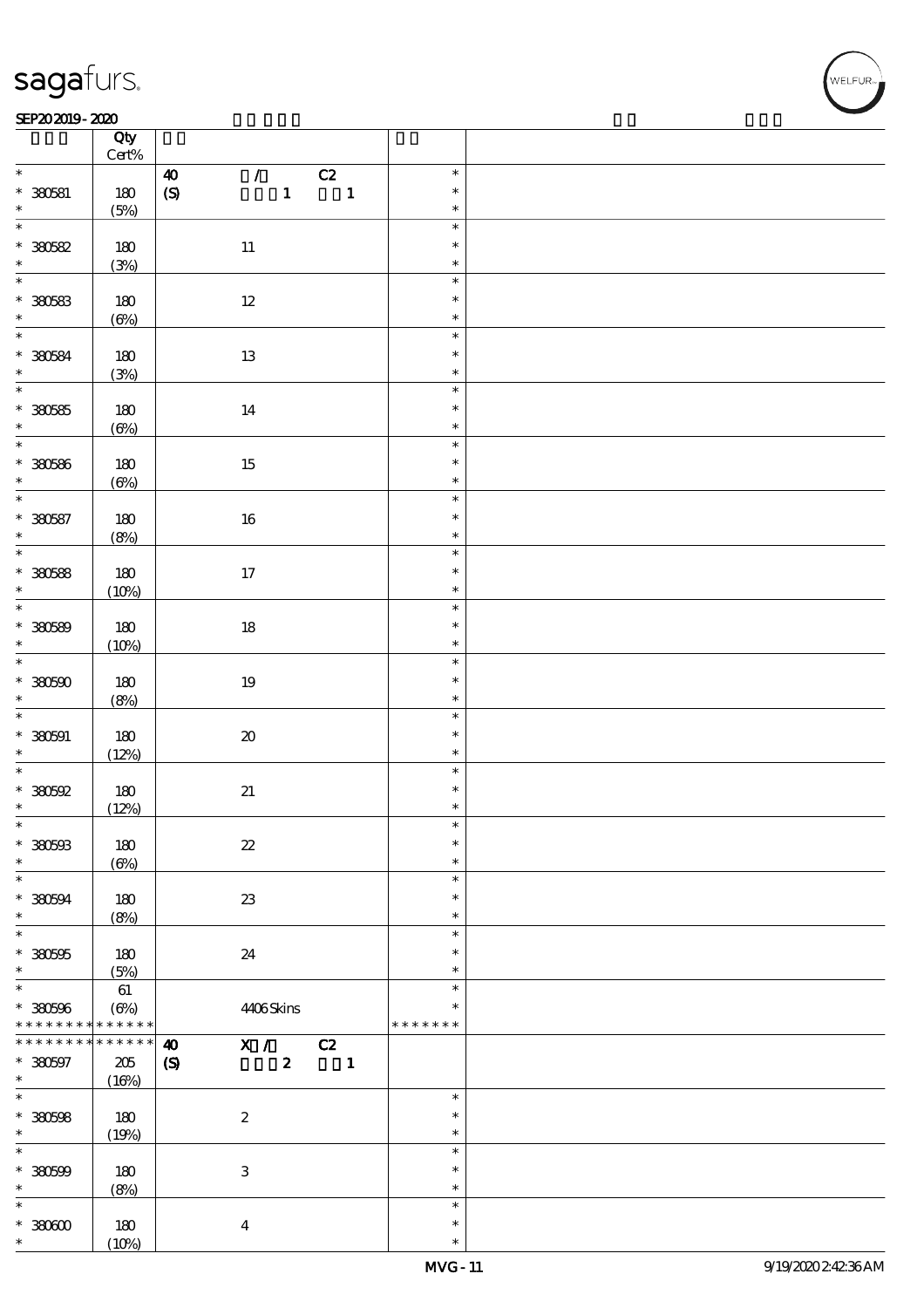#### SEP202019-2020

|                          | Qty<br>Cert%  |                                                                                                                          |               |  |
|--------------------------|---------------|--------------------------------------------------------------------------------------------------------------------------|---------------|--|
| $\ast$                   |               |                                                                                                                          | $\ast$        |  |
| $* 380581$               | 180           | $\mathcal{F}^{\mathcal{F}}$<br>C2<br>$\boldsymbol{40}$<br>$\mathbf{1}$<br>$\pmb{\text{(S)}}$<br>$\overline{\phantom{a}}$ | $\ast$        |  |
| $\ast$                   | (5%)          |                                                                                                                          | $\ast$        |  |
| $\overline{\ast}$        |               |                                                                                                                          | $\ast$        |  |
| $* 30582$                | 180           | $11\,$                                                                                                                   | $\ast$        |  |
|                          | (3%)          |                                                                                                                          | $\ast$        |  |
|                          |               |                                                                                                                          | $\ast$        |  |
|                          | 180           | $12\,$                                                                                                                   | $\ast$        |  |
| $* 30583$                | $(\Theta)$    |                                                                                                                          | $\ast$        |  |
| $\overline{\ast}$        |               |                                                                                                                          | $\ast$        |  |
|                          |               |                                                                                                                          | $\ast$        |  |
| $* 30584$<br>$\ast$      | 180           | $13\,$                                                                                                                   | $\ast$        |  |
| $\overline{\ast}$        | (3%)          |                                                                                                                          |               |  |
|                          |               |                                                                                                                          | $\ast$        |  |
| $*30085$                 | $180$         | $14\,$                                                                                                                   | $\ast$        |  |
| $\ast$                   | $(\Theta)$    |                                                                                                                          | $\ast$        |  |
| $\overline{\ast}$        |               |                                                                                                                          | $\ast$        |  |
| $* 30586$                | 180           | $15\,$                                                                                                                   | $\ast$        |  |
| $\ast$                   | $(\Theta\% )$ |                                                                                                                          | $\ast$        |  |
| $\overline{\ast}$        |               |                                                                                                                          | $\ast$        |  |
| $* 30087$                | 180           | $16\,$                                                                                                                   | $\ast$        |  |
| $\ast$                   | (8%)          |                                                                                                                          | $\ast$        |  |
| $\overline{\ast}$        |               |                                                                                                                          | $\ast$        |  |
| $*30588$                 | 180           | 17                                                                                                                       | $\ast$        |  |
| $\ast$                   |               |                                                                                                                          | $\ast$        |  |
| $\overline{\ast}$        | (10%)         |                                                                                                                          | $\ast$        |  |
|                          |               |                                                                                                                          |               |  |
| $* 30589$                | 180           | $18\,$                                                                                                                   | $\ast$        |  |
| $\ast$                   | (10%)         |                                                                                                                          | $\ast$        |  |
| $\ast$                   |               |                                                                                                                          | $\ast$        |  |
| $*3000$                  | 180           | $19\,$                                                                                                                   | $\ast$        |  |
| $\ast$                   | (8%)          |                                                                                                                          | $\ast$        |  |
| $\overline{\phantom{0}}$ |               |                                                                                                                          | $\ast$        |  |
| $* 380591$               | $180$         | $\pmb{\mathcal{X}}$                                                                                                      | $\ast$        |  |
| $\ast$                   | (12%)         |                                                                                                                          | $\ast$        |  |
|                          |               |                                                                                                                          | $\ast$        |  |
| $*30002$                 | $180$         | $2\hspace{-1.5pt}1$                                                                                                      | $\ast$        |  |
| $\ast$                   | (12%)         |                                                                                                                          | $\ast$        |  |
| $\ast$                   |               |                                                                                                                          | $\ast$        |  |
|                          |               |                                                                                                                          | $\ast$        |  |
| $* 380503$               | 180           | $\boldsymbol{\mathit{z}}$                                                                                                |               |  |
| $\ast$<br>$\ast$         | $(\Theta)$    |                                                                                                                          | $\ast$        |  |
|                          |               |                                                                                                                          | $\ast$        |  |
| $*30004$                 | 180           | $23\,$                                                                                                                   | $\ast$        |  |
| $\ast$                   | (8%)          |                                                                                                                          | $\ast$        |  |
| $\overline{\ast}$        |               |                                                                                                                          | $\ast$        |  |
| $* 380505$               | 180           | 24                                                                                                                       | $\ast$        |  |
| $\ast$                   | (5%)          |                                                                                                                          | $\ast$        |  |
| $\ast$                   | $61\,$        |                                                                                                                          | $\ast$        |  |
| $* 380596$               | $(\Theta\%)$  | 4406Skins                                                                                                                | $\ast$        |  |
| * * * * * * * *          | * * * * * *   |                                                                                                                          | * * * * * * * |  |
| * * * * * * * *          | * * * * * *   | C2<br>X /<br>$\boldsymbol{\omega}$                                                                                       |               |  |
| $* 380597$               | $205\,$       | $\pmb{2}$<br>$\blacksquare$<br>$\boldsymbol{\mathrm{(S)}}$                                                               |               |  |
| $\ast$                   | (16%)         |                                                                                                                          |               |  |
| $\overline{\ast}$        |               |                                                                                                                          | $\ast$        |  |
| $* 380508$               | 180           | $\boldsymbol{2}$                                                                                                         | $\ast$        |  |
| $\ast$                   |               |                                                                                                                          | $\ast$        |  |
| $\ast$                   | (19%)         |                                                                                                                          |               |  |
|                          |               |                                                                                                                          | $\ast$        |  |
| $* 30000$                | 180           | $\ensuremath{\mathbf{3}}$                                                                                                | $\ast$        |  |
| $\ast$                   | (8%)          |                                                                                                                          | $\ast$        |  |
| $\ast$                   |               |                                                                                                                          | $\ast$        |  |
| $*30000$                 | 180           | $\boldsymbol{4}$                                                                                                         | $\ast$        |  |
| *                        | (10%)         |                                                                                                                          | $\ast$        |  |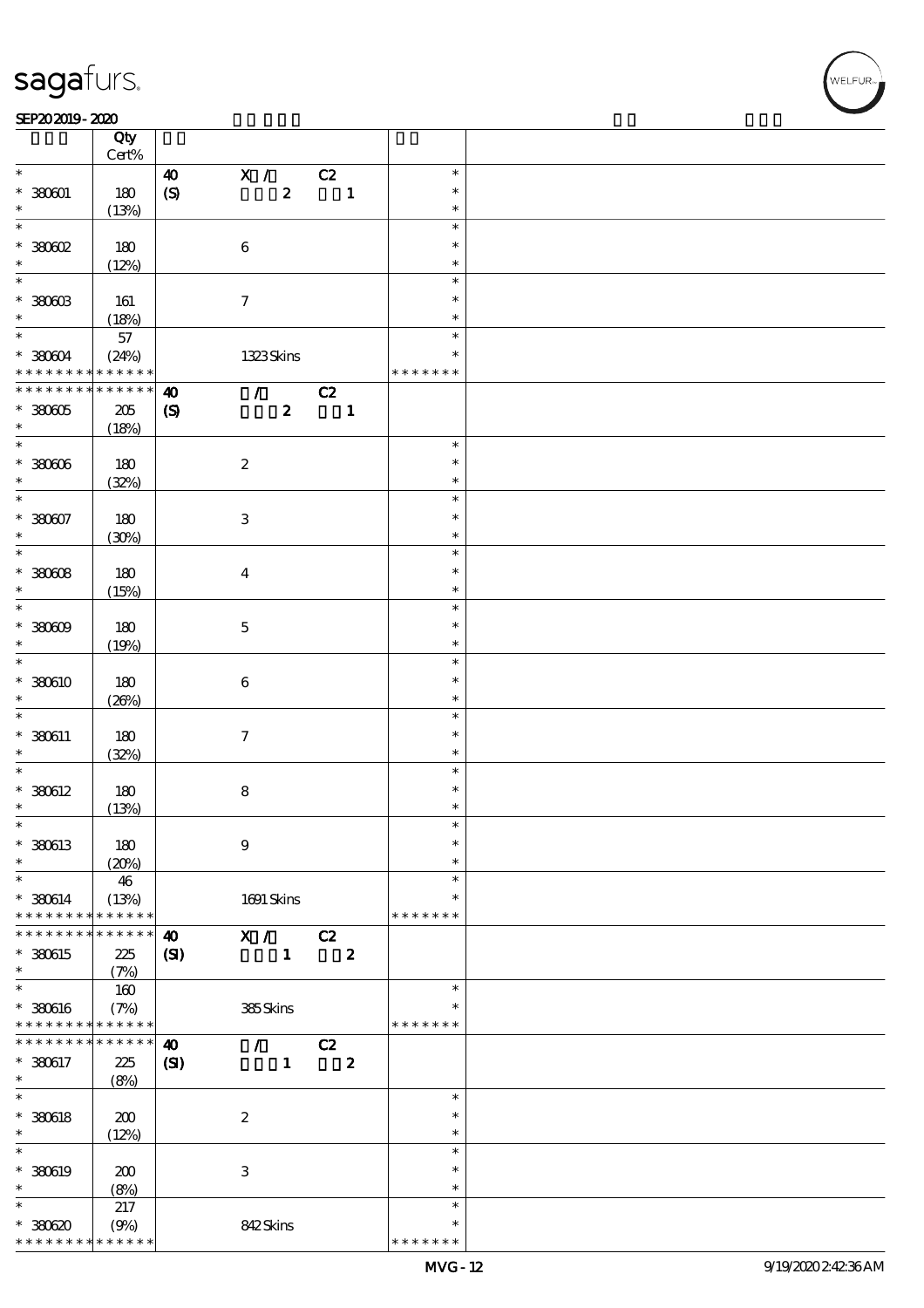#### SEP202019-2020 RESERVED FOR THE SEPERAL SEPERATOR SEPERATOR SOLUTION CONTINUES.

|                                | Qty<br>Cert%               |                            |                     |                      |    |                  |               |  |
|--------------------------------|----------------------------|----------------------------|---------------------|----------------------|----|------------------|---------------|--|
| $\ast$                         |                            |                            |                     |                      |    |                  | $\ast$        |  |
|                                |                            | $\boldsymbol{\omega}$      |                     | X /                  | C2 |                  |               |  |
| $*30001$                       | 180                        | $\pmb{\text{(S)}}$         |                     | $\pmb{2}$            |    | $\mathbf{1}$     | $\ast$        |  |
| $\ast$                         | (13%)                      |                            |                     |                      |    |                  | $\ast$        |  |
| $\ast$                         |                            |                            |                     |                      |    |                  | $\ast$        |  |
| $*30002$                       | 180                        |                            | $\bf 6$             |                      |    |                  | $\ast$        |  |
| $\ast$                         | (12%)                      |                            |                     |                      |    |                  | $\ast$        |  |
| $\overline{\ast}$              |                            |                            |                     |                      |    |                  | $\ast$        |  |
|                                |                            |                            |                     |                      |    |                  |               |  |
| $*$ 380603                     | 161                        |                            | $\boldsymbol{\tau}$ |                      |    |                  | $\ast$        |  |
| $\ast$                         | (18%)                      |                            |                     |                      |    |                  | $\ast$        |  |
| $*$                            | $57\,$                     |                            |                     |                      |    |                  | $\ast$        |  |
| $* 38004$                      | (24%)                      |                            |                     | 1323Skins            |    |                  | $\ast$        |  |
| * * * * * * * * <mark>*</mark> | * * * * * *                |                            |                     |                      |    |                  | * * * * * * * |  |
| * * * * * * * *                | $******$                   | $\boldsymbol{\omega}$      |                     | $\mathcal{L}$        | C2 |                  |               |  |
|                                |                            |                            |                     |                      |    |                  |               |  |
| $*$ 380605                     | $205\,$                    | $\boldsymbol{\mathcal{S}}$ |                     | $\boldsymbol{z}$     |    | $\mathbf{1}$     |               |  |
| $\ast$                         | (18%)                      |                            |                     |                      |    |                  |               |  |
| $\overline{\ast}$              |                            |                            |                     |                      |    |                  | $\ast$        |  |
| $* 380006$                     | 180                        |                            | $\boldsymbol{2}$    |                      |    |                  | $\ast$        |  |
| $\ast$                         | (32%)                      |                            |                     |                      |    |                  | $\ast$        |  |
| $\ast$                         |                            |                            |                     |                      |    |                  | $\ast$        |  |
| $* 380007$                     | 180                        |                            | $\,3$               |                      |    |                  | $\ast$        |  |
| $\ast$                         |                            |                            |                     |                      |    |                  |               |  |
|                                | (30%)                      |                            |                     |                      |    |                  | $\ast$        |  |
| $\overline{\ast}$              |                            |                            |                     |                      |    |                  | $\ast$        |  |
| $*30008$                       | 180                        |                            | $\boldsymbol{4}$    |                      |    |                  | $\ast$        |  |
| $\ast$                         | (15%)                      |                            |                     |                      |    |                  | $\ast$        |  |
| $\overline{\ast}$              |                            |                            |                     |                      |    |                  | $\ast$        |  |
| $*30009$                       | 180                        |                            | $\mathbf 5$         |                      |    |                  | $\ast$        |  |
| $\ast$                         |                            |                            |                     |                      |    |                  | $\ast$        |  |
|                                | (19%)                      |                            |                     |                      |    |                  |               |  |
| $\overline{\ast}$              |                            |                            |                     |                      |    |                  | $\ast$        |  |
| * 380610                       | 180                        |                            | $\bf 6$             |                      |    |                  | $\ast$        |  |
| $\ast$                         | (20%)                      |                            |                     |                      |    |                  | $\ast$        |  |
| $\ast$                         |                            |                            |                     |                      |    |                  | $\ast$        |  |
| $* 330611$                     | 180                        |                            | $\boldsymbol{\tau}$ |                      |    |                  | $\ast$        |  |
| $\ast$                         |                            |                            |                     |                      |    |                  | $\ast$        |  |
| $\ast$                         | (32%)                      |                            |                     |                      |    |                  |               |  |
|                                |                            |                            |                     |                      |    |                  | $\ast$        |  |
| $*$ 380612                     | 180                        |                            | $\bf 8$             |                      |    |                  | $\ast$        |  |
| $\ast$                         | (13%)                      |                            |                     |                      |    |                  | $\ast$        |  |
| $\ast$                         |                            |                            |                     |                      |    |                  | $\ast$        |  |
| * 380613                       | 180                        |                            | $\boldsymbol{9}$    |                      |    |                  | $\ast$        |  |
| $\ast$                         | (20%)                      |                            |                     |                      |    |                  | $\ast$        |  |
| $\ast$                         |                            |                            |                     |                      |    |                  | $\ast$        |  |
|                                | 46                         |                            |                     |                      |    |                  |               |  |
| $* 380614$                     | (13%)                      |                            |                     | $1691$ Skins         |    |                  | ∗             |  |
| * * * * * * * *                | * * * * * *                |                            |                     |                      |    |                  | * * * * * * * |  |
| * * * * * * *                  | * * * * * *                | $\boldsymbol{\omega}$      |                     | X /                  | C2 |                  |               |  |
| * 380615                       | 225                        | (S)                        |                     | $\mathbf{1}$         |    | $\boldsymbol{z}$ |               |  |
| $\ast$                         | (7%)                       |                            |                     |                      |    |                  |               |  |
| $\ast$                         | 160                        |                            |                     |                      |    |                  | $\ast$        |  |
| $* 380616$                     |                            |                            |                     | $385\mathrm{S}$ kins |    |                  | $\ast$        |  |
|                                | (7%)                       |                            |                     |                      |    |                  |               |  |
| * * * * * * * *                | $\ast\ast\ast\ast\ast\ast$ |                            |                     |                      |    |                  | * * * * * * * |  |
| * * * * * * * *                | * * * * * *                | $\boldsymbol{\omega}$      |                     | $\mathcal{L}$        | C2 |                  |               |  |
| * 380617                       | 225                        | $\mathbf{C}$               |                     | $\mathbf{1}$         |    | $\boldsymbol{z}$ |               |  |
| $\ast$                         | (8%)                       |                            |                     |                      |    |                  |               |  |
| $\ast$                         |                            |                            |                     |                      |    |                  | $\ast$        |  |
| $*$ 380618                     | 200                        |                            | $\boldsymbol{2}$    |                      |    |                  | $\ast$        |  |
| $\ast$                         |                            |                            |                     |                      |    |                  | $\ast$        |  |
|                                | (12%)                      |                            |                     |                      |    |                  |               |  |
| $\ast$                         |                            |                            |                     |                      |    |                  | $\ast$        |  |
| * 380619                       | 200                        |                            | $\,3$               |                      |    |                  | $\ast$        |  |
| $\ast$                         | (8%)                       |                            |                     |                      |    |                  | $\ast$        |  |
| $\ast$                         | 217                        |                            |                     |                      |    |                  | $\ast$        |  |
| $*30620$                       | (9%)                       |                            |                     | 842Skins             |    |                  | ∗             |  |
| * * * * * * * *                | * * * * * *                |                            |                     |                      |    |                  | * * * * * * * |  |
|                                |                            |                            |                     |                      |    |                  |               |  |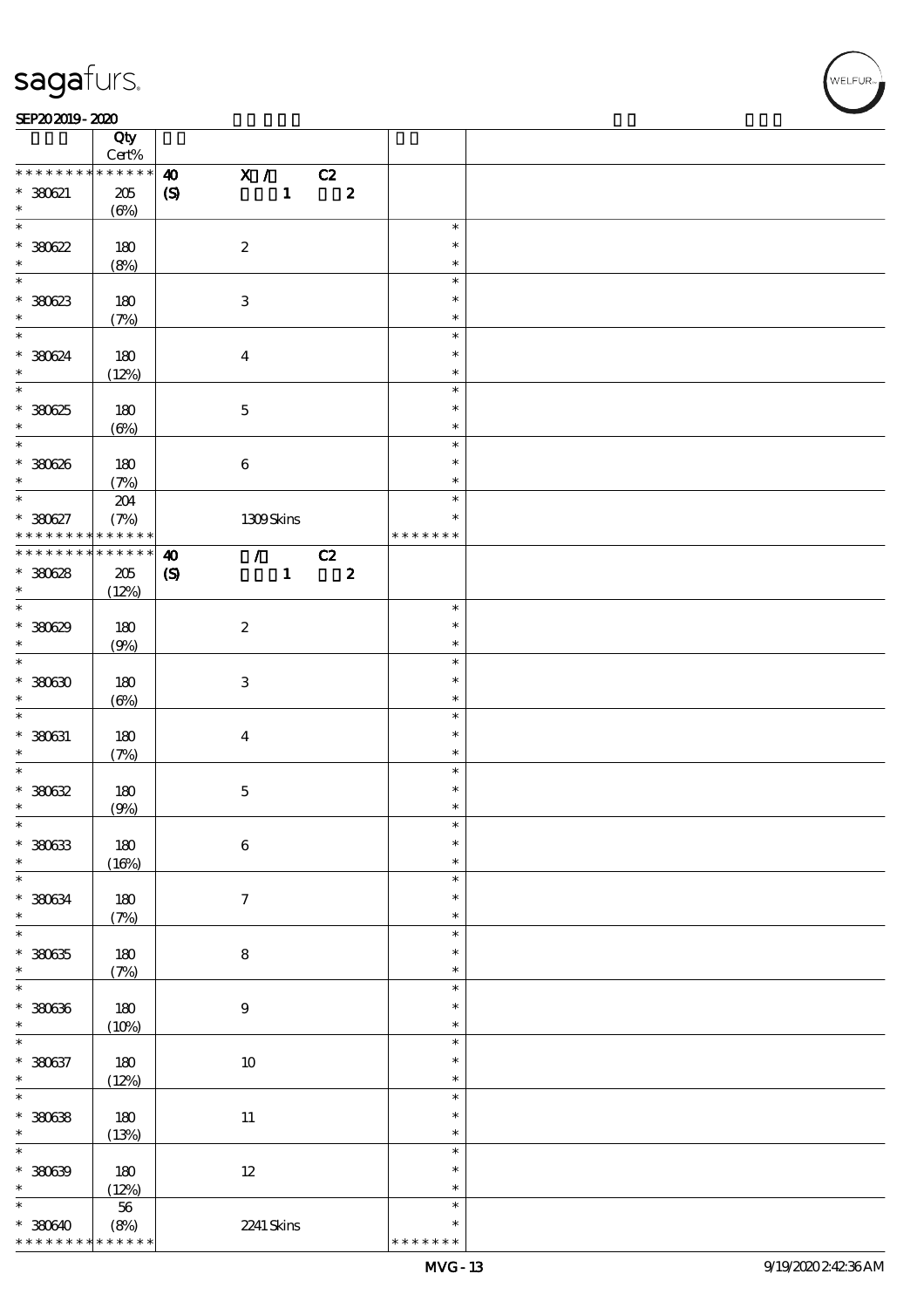#### SEP202019-2020 RESERVED FOR THE SEPERAL SEPERATOR SEPERATOR SOLUTION CONTINUES.

|                               | Qty<br>$\mbox{Cert}\%$         |                            |                           |                                 |                            |                         |                         |  |
|-------------------------------|--------------------------------|----------------------------|---------------------------|---------------------------------|----------------------------|-------------------------|-------------------------|--|
| * * * * * * * *               | * * * * * *                    | $\boldsymbol{\omega}$      | $\mathbf{x}$ /            |                                 | C2                         |                         |                         |  |
| $* 30021$<br>$\ast$           | $205\,$<br>$(\Theta\%)$        | $\pmb{\mathcal{S}}$        |                           | $\mathbf{1}$                    |                            | $\overline{\mathbf{z}}$ |                         |  |
| $\overline{\ast}$             |                                |                            |                           |                                 |                            |                         | $\ast$                  |  |
| $*30022$<br>$\ast$            | 180                            |                            | $\boldsymbol{2}$          |                                 |                            |                         | $\ast$<br>$\ast$        |  |
|                               | (8%)                           |                            |                           |                                 |                            |                         |                         |  |
| $\overline{\phantom{0}}$      |                                |                            |                           |                                 |                            |                         | $\ast$                  |  |
| $*30023$<br>$\ast$            | 180<br>(7%)                    |                            | $\ensuremath{\mathbf{3}}$ |                                 |                            |                         | $\ast$<br>$\ast$        |  |
| $\overline{\ast}$             |                                |                            |                           |                                 |                            |                         | $\ast$                  |  |
| * 380624<br>$\ast$            | 180<br>(12%)                   |                            | $\boldsymbol{4}$          |                                 |                            |                         | $\ast$<br>$\ast$        |  |
| $\overline{\ast}$             |                                |                            |                           |                                 |                            |                         | $\ast$                  |  |
| $*30025$<br>$\ast$            | 180<br>$(\Theta)$              |                            | $\mathbf 5$               |                                 |                            |                         | $\ast$<br>$\ast$        |  |
| $\overline{\ast}$             |                                |                            |                           |                                 |                            |                         | $\ast$                  |  |
| * 380626<br>$\ast$            | 180<br>(7%)                    |                            | $\bf 6$                   |                                 |                            |                         | $\ast$<br>$\ast$        |  |
| $\ast$                        |                                |                            |                           |                                 |                            |                         | $\ast$                  |  |
| $* 380627$<br>* * * * * * * * | $204\,$<br>(7%)<br>* * * * * * |                            | 1309Skins                 |                                 |                            |                         | $\ast$<br>* * * * * * * |  |
| * * * * * * * *               | $* * * * * * *$                |                            |                           |                                 |                            |                         |                         |  |
|                               |                                | $\boldsymbol{\omega}$      |                           | $\mathcal{L}$ and $\mathcal{L}$ | $\overline{c}$             |                         |                         |  |
| $*30628$                      | 205                            | $\boldsymbol{\mathcal{S}}$ |                           | $\mathbf{1}$                    | $\overline{\phantom{a}}$ 2 |                         |                         |  |
| $\ast$                        | (12%)                          |                            |                           |                                 |                            |                         |                         |  |
| $\overline{\ast}$             |                                |                            |                           |                                 |                            |                         | $\ast$                  |  |
| * 380629                      | 180                            |                            | $\boldsymbol{2}$          |                                 |                            |                         | $\ast$                  |  |
| $\ast$                        |                                |                            |                           |                                 |                            |                         | $\ast$                  |  |
| $\overline{\ast}$             | (9%)                           |                            |                           |                                 |                            |                         |                         |  |
|                               |                                |                            |                           |                                 |                            |                         | $\ast$                  |  |
| $*$ 380630                    | 180                            |                            | $\ensuremath{\mathbf{3}}$ |                                 |                            |                         | $\ast$                  |  |
| $\ast$                        | $(\Theta)$                     |                            |                           |                                 |                            |                         | $\ast$                  |  |
| $\ast$                        |                                |                            |                           |                                 |                            |                         | $\ast$                  |  |
| $* 380631$                    | 180                            |                            | $\boldsymbol{4}$          |                                 |                            |                         | $\ast$                  |  |
| $\ast$                        | (7%)                           |                            |                           |                                 |                            |                         | $\ast$                  |  |
| $\ast$                        |                                |                            |                           |                                 |                            |                         | $\ast$                  |  |
|                               |                                |                            |                           |                                 |                            |                         |                         |  |
| $*30032$                      | 180                            |                            | $\mathbf 5$               |                                 |                            |                         | $\ast$                  |  |
| $\ast$                        | (9%)                           |                            |                           |                                 |                            |                         | $\ast$                  |  |
| $\ast$                        |                                |                            |                           |                                 |                            |                         | $\ast$                  |  |
| $*30033$                      | 180                            |                            | $\boldsymbol{6}$          |                                 |                            |                         | $\ast$                  |  |
| $\ast$                        | (16%)                          |                            |                           |                                 |                            |                         | $\ast$                  |  |
| $\ast$                        |                                |                            |                           |                                 |                            |                         | $\ast$                  |  |
| $* 380634$                    | 180                            |                            | $\tau$                    |                                 |                            |                         | $\ast$                  |  |
| $\ast$                        |                                |                            |                           |                                 |                            |                         | $\ast$                  |  |
| $\ast$                        | (7%)                           |                            |                           |                                 |                            |                         | $\ast$                  |  |
|                               |                                |                            |                           |                                 |                            |                         |                         |  |
| $*30035$                      | 180                            |                            | ${\bf 8}$                 |                                 |                            |                         | $\ast$                  |  |
| $\ast$                        | (7%)                           |                            |                           |                                 |                            |                         | $\ast$                  |  |
| $\ast$                        |                                |                            |                           |                                 |                            |                         | $\ast$                  |  |
| $*30036$                      | $180$                          |                            | $9$                       |                                 |                            |                         | $\ast$                  |  |
| $\ast$                        | (10%)                          |                            |                           |                                 |                            |                         | $\ast$                  |  |
| $\ast$                        |                                |                            |                           |                                 |                            |                         | $\ast$                  |  |
| $* 380637$                    | 180                            |                            | $10\,$                    |                                 |                            |                         | $\ast$                  |  |
| $\ast$                        |                                |                            |                           |                                 |                            |                         | $\ast$                  |  |
| $\overline{\ast}$             | (12%)                          |                            |                           |                                 |                            |                         | $\ast$                  |  |
|                               |                                |                            |                           |                                 |                            |                         |                         |  |
| $*30038$                      | 180                            |                            | $11\,$                    |                                 |                            |                         | $\ast$                  |  |
| $\ast$                        | (13%)                          |                            |                           |                                 |                            |                         | $\ast$                  |  |
| $\ast$                        |                                |                            |                           |                                 |                            |                         | $\ast$                  |  |
| $*30039$                      | 180                            |                            | $12\,$                    |                                 |                            |                         | $\ast$                  |  |
| $\ast$                        | (12%)                          |                            |                           |                                 |                            |                         | $\ast$                  |  |
| $\ast$                        |                                |                            |                           |                                 |                            |                         | $\ast$                  |  |
|                               | 56                             |                            |                           |                                 |                            |                         |                         |  |
| $*30040$                      | (8%)                           |                            | 2241 Skins                |                                 |                            |                         | $\ast$                  |  |
| * * * * * * * *               | * * * * * *                    |                            |                           |                                 |                            |                         | * * * * * * *           |  |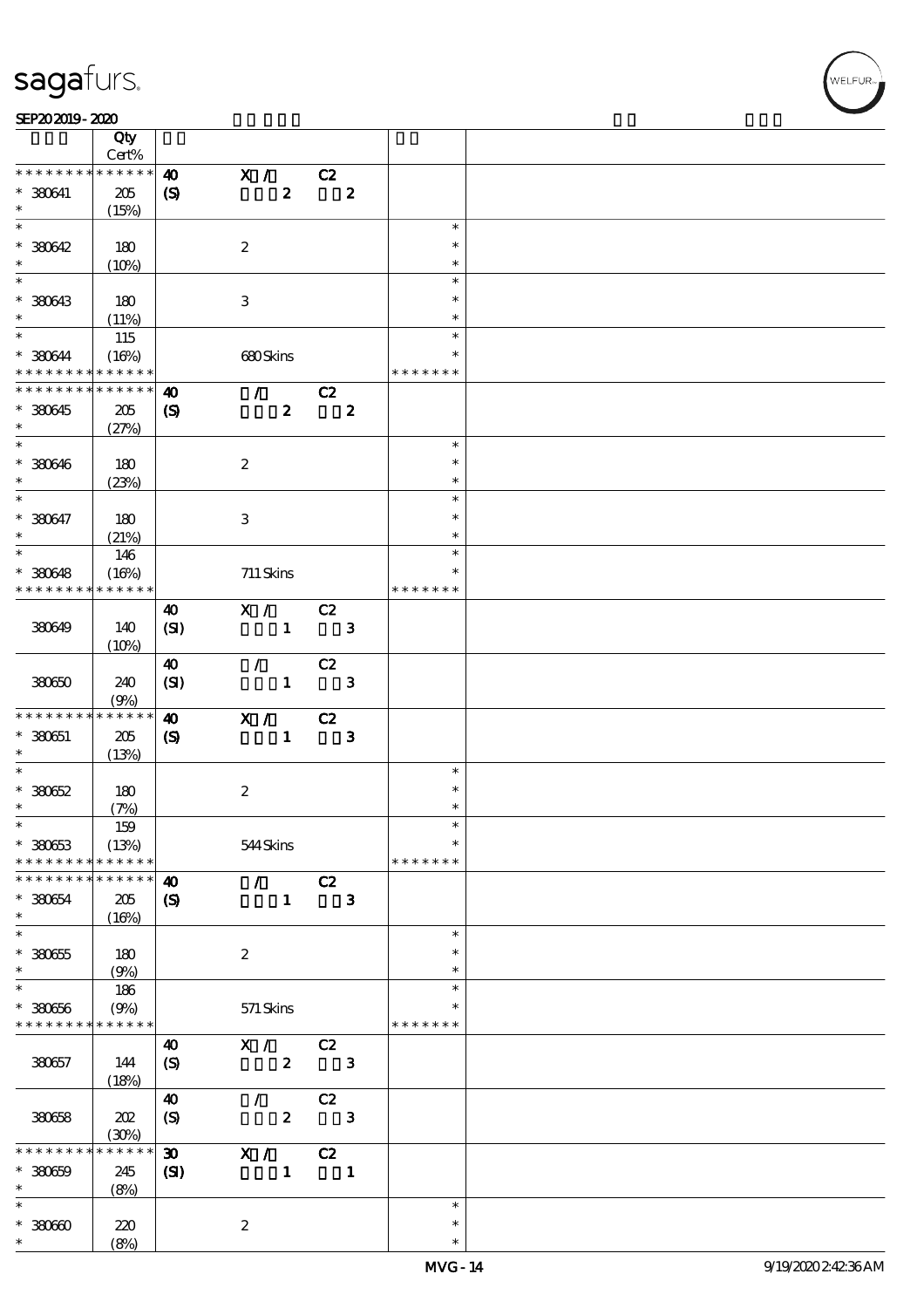#### SEP202019-2020

|                                            | Qty<br>Cert%    |                             |                  |                  |    |                  |               |  |
|--------------------------------------------|-----------------|-----------------------------|------------------|------------------|----|------------------|---------------|--|
| * * * * * * * *                            | * * * * * *     | $\boldsymbol{\omega}$       |                  | X /              | C2 |                  |               |  |
|                                            |                 |                             |                  |                  |    |                  |               |  |
| $* 330641$                                 | 205             | $\boldsymbol{\mathrm{(S)}}$ |                  | $\boldsymbol{z}$ |    | $\boldsymbol{z}$ |               |  |
| $\ast$                                     | (15%)           |                             |                  |                  |    |                  |               |  |
| $\overline{\ast}$                          |                 |                             |                  |                  |    |                  | $\ast$        |  |
| $* 30042$                                  | 180             |                             | $\boldsymbol{2}$ |                  |    |                  | $\ast$        |  |
| $\ast$                                     | (10%)           |                             |                  |                  |    |                  | $\ast$        |  |
|                                            |                 |                             |                  |                  |    |                  | $\ast$        |  |
| * 380643                                   | 180             |                             | $\,3$            |                  |    |                  | $\ast$        |  |
| $\ast$                                     | (11%)           |                             |                  |                  |    |                  | *             |  |
| $*$                                        | 115             |                             |                  |                  |    |                  | $\ast$        |  |
| * 380644                                   | (16%)           |                             |                  | 680Skins         |    |                  | $\ast$        |  |
| * * * * * * * * <mark>* * * * * * *</mark> |                 |                             |                  |                  |    |                  | * * * * * * * |  |
| * * * * * * * *                            | $* * * * * * *$ | $\boldsymbol{\omega}$       |                  | $\mathcal{L}$    | C2 |                  |               |  |
| * 380645                                   | 205             | $\boldsymbol{\mathrm{(S)}}$ |                  | $\boldsymbol{z}$ |    | $\boldsymbol{2}$ |               |  |
| $\ast$                                     | (27%)           |                             |                  |                  |    |                  |               |  |
| $\overline{\phantom{0}}$                   |                 |                             |                  |                  |    |                  | $\ast$        |  |
|                                            |                 |                             |                  |                  |    |                  | $\ast$        |  |
| $* 380646$<br>$\ast$                       | 180             |                             | $\boldsymbol{2}$ |                  |    |                  | $\ast$        |  |
| $\overline{\ast}$                          | (23%)           |                             |                  |                  |    |                  |               |  |
|                                            |                 |                             |                  |                  |    |                  | $\ast$        |  |
| * 380647                                   | 180             |                             | $\,3$            |                  |    |                  | $\ast$        |  |
| $\ast$                                     | (21%)           |                             |                  |                  |    |                  | $\ast$        |  |
| $\overline{\ast}$                          | 146             |                             |                  |                  |    |                  | $\ast$        |  |
| $* 380648$                                 | (16%)           |                             |                  | 711 Skins        |    |                  | $\ast$        |  |
| * * * * * * * *                            | * * * * * *     |                             |                  |                  |    |                  | * * * * * * * |  |
|                                            |                 | $\boldsymbol{\omega}$       |                  | X / C2           |    |                  |               |  |
| 380649                                     | 140             | (SI)                        |                  | $\mathbf{1}$     |    | $\mathbf{3}$     |               |  |
|                                            | (10%)           |                             |                  |                  |    |                  |               |  |
|                                            |                 | $\boldsymbol{\omega}$       |                  | $\mathcal{L}$    | C2 |                  |               |  |
| 380650                                     | 240             | (SI)                        |                  | $\mathbf{1}$     |    | $\mathbf{3}$     |               |  |
|                                            | (9%)            |                             |                  |                  |    |                  |               |  |
| * * * * * * * *                            | * * * * * *     | $\boldsymbol{\omega}$       |                  | X / C2           |    |                  |               |  |
|                                            |                 |                             |                  | $\mathbf{1}$     |    |                  |               |  |
| $* 330651$<br>$\ast$                       | $205\,$         | $\boldsymbol{\mathrm{(S)}}$ |                  |                  |    | $\mathbf{3}$     |               |  |
| $\ast$                                     | (13%)           |                             |                  |                  |    |                  | $\ast$        |  |
|                                            |                 |                             |                  |                  |    |                  | $\ast$        |  |
| $*30052$                                   | 180             |                             | $\boldsymbol{2}$ |                  |    |                  |               |  |
| $\ast$                                     | (7%)            |                             |                  |                  |    |                  | $\ast$        |  |
| $\ast$                                     | $159\,$         |                             |                  |                  |    |                  | $\ast$        |  |
| $* 38063$                                  | (13%)           |                             |                  | 544Skins         |    |                  | $\ast$        |  |
| * * * * * * * *                            | * * * * * *     |                             |                  |                  |    |                  | * * * * * * * |  |
| * * * * * * *                              | * * * * * *     | $\boldsymbol{\omega}$       |                  | $\mathcal{F}$    | C2 |                  |               |  |
| * 380654                                   | 205             | $\boldsymbol{\mathcal{S}}$  |                  | $\mathbf{1}$     |    | $\mathbf{3}$     |               |  |
| $\ast$                                     | (16%)           |                             |                  |                  |    |                  |               |  |
| $\ast$                                     |                 |                             |                  |                  |    |                  | $\ast$        |  |
| $* 380655$                                 | 180             |                             | $\boldsymbol{z}$ |                  |    |                  |               |  |
| $\ast$                                     | (9%)            |                             |                  |                  |    |                  | $\ast$        |  |
| $\ast$                                     | 186             |                             |                  |                  |    |                  | $\ast$        |  |
| $* 380656$                                 | (9%)            |                             |                  | $571$ Skins      |    |                  | $\ast$        |  |
| * * * * * * * *                            | * * * * * *     |                             |                  |                  |    |                  | * * * * * * * |  |
|                                            |                 | 40                          |                  | X /              | C2 |                  |               |  |
| 380657                                     | 144             | $\boldsymbol{\mathrm{(S)}}$ |                  | $\boldsymbol{z}$ |    | $\mathbf{3}$     |               |  |
|                                            | (18%)           |                             |                  |                  |    |                  |               |  |
|                                            |                 |                             |                  | $\mathcal{L}$    |    |                  |               |  |
|                                            |                 | $\boldsymbol{\Lambda}$      |                  |                  | C2 |                  |               |  |
| 380658                                     | 202             | $\boldsymbol{S}$            |                  | $\boldsymbol{z}$ |    | $\mathbf{3}$     |               |  |
|                                            | (30%)           |                             |                  |                  |    |                  |               |  |
| * * * * *                                  | $***$ * * *     | $\boldsymbol{\mathfrak{D}}$ |                  | X /              | C2 |                  |               |  |
| $* 30000$                                  | 245             | $\mathbf{C}$                |                  | $\mathbf{1}$     |    | $\mathbf{1}$     |               |  |
| $\ast$                                     | (8%)            |                             |                  |                  |    |                  |               |  |
| $\ast$                                     |                 |                             |                  |                  |    |                  | $\ast$        |  |
| $*30000$                                   | 220             |                             | $\boldsymbol{2}$ |                  |    |                  | $\ast$        |  |
| $\ast$                                     | (8%)            |                             |                  |                  |    |                  | $\ast$        |  |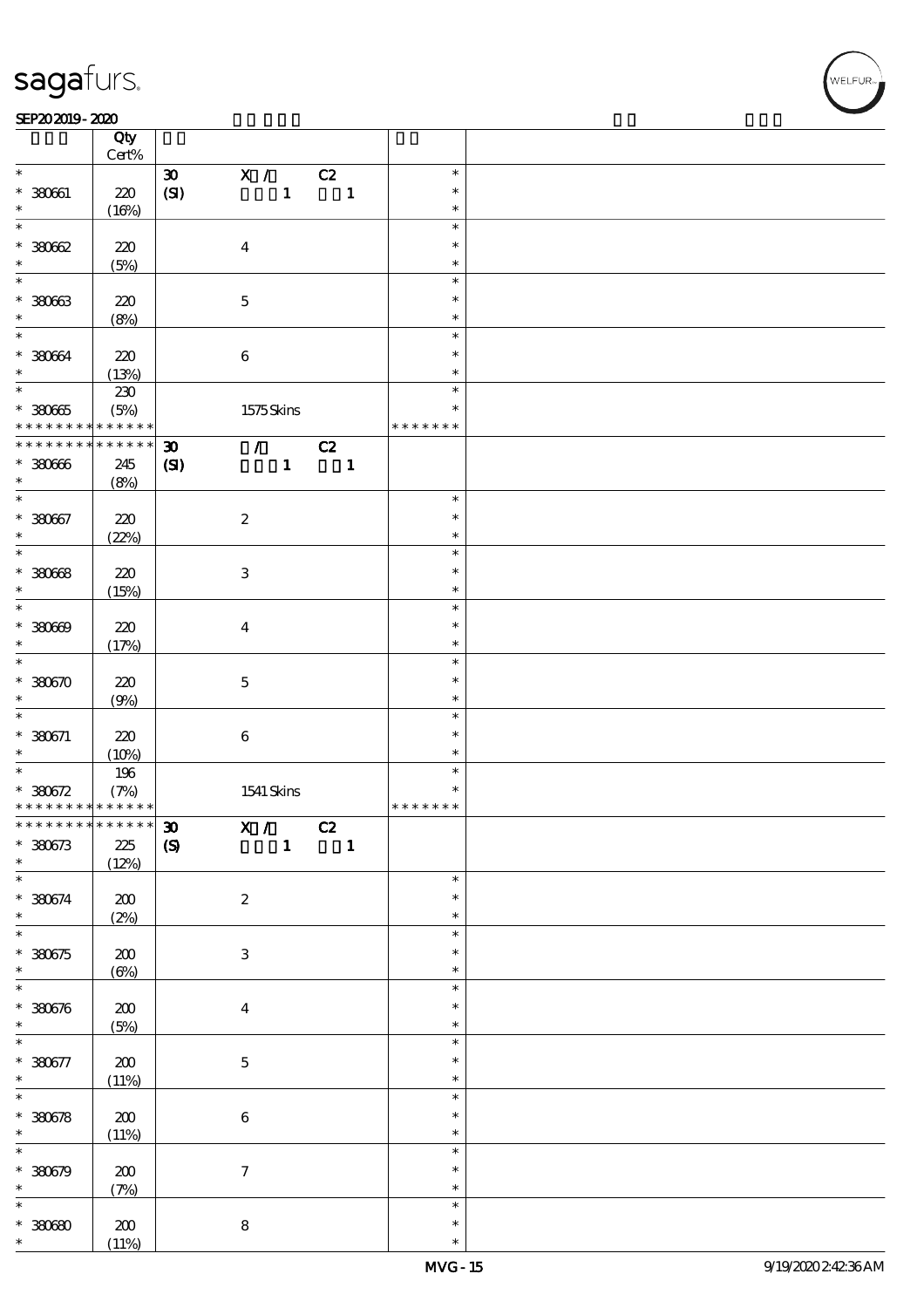$\top$ 

#### SEP202019-2020 RESERVED FOR THE SEPERAL SEPERATOR SEPERATOR SOLUTION CONTINUES.

|                                            | Qty<br>$\mbox{Cert}\%$ |                             |                           |              |                |                |               |  |
|--------------------------------------------|------------------------|-----------------------------|---------------------------|--------------|----------------|----------------|---------------|--|
| $\ast$                                     |                        |                             |                           |              |                |                | $\ast$        |  |
|                                            |                        | $\boldsymbol{\mathfrak{D}}$ | $\mathbf{X}$ /            |              | C2             |                |               |  |
| $* 380601$                                 | 220                    | (SI)                        |                           | $\mathbf{1}$ | $\blacksquare$ |                | $\ast$        |  |
| *                                          | (16%)                  |                             |                           |              |                |                | $\ast$        |  |
| $\ast$                                     |                        |                             |                           |              |                |                | $\ast$        |  |
|                                            |                        |                             |                           |              |                |                |               |  |
| $*30002$                                   | 220                    |                             | $\boldsymbol{4}$          |              |                |                | $\ast$        |  |
| $\ast$                                     | (5%)                   |                             |                           |              |                |                | $\ast$        |  |
| $\ast$                                     |                        |                             |                           |              |                |                | $\ast$        |  |
|                                            |                        |                             |                           |              |                |                |               |  |
| $* 38063$                                  | 220                    |                             | $\mathbf 5$               |              |                |                | $\ast$        |  |
| $\ast$                                     | (8%)                   |                             |                           |              |                |                | $\ast$        |  |
| $\ast$                                     |                        |                             |                           |              |                |                | $\ast$        |  |
|                                            |                        |                             |                           |              |                |                |               |  |
| $* 38064$                                  | 220                    |                             | $\bf 6$                   |              |                |                | $\ast$        |  |
| $\ast$                                     | (13%)                  |                             |                           |              |                |                | $\ast$        |  |
|                                            | $230\,$                |                             |                           |              |                |                | $\ast$        |  |
| $*30005$                                   |                        |                             |                           |              |                |                | $\ast$        |  |
|                                            | (5%)                   |                             | 1575Skins                 |              |                |                |               |  |
| * * * * * * * *                            | * * * * * *            |                             |                           |              |                |                | * * * * * * * |  |
| * * * * * * * *                            | $******$               | $\boldsymbol{\mathfrak{D}}$ | $\mathcal{L}$             |              | C2             |                |               |  |
| $* 38066$                                  | 245                    | $\mathbf{C}$                |                           | $\mathbf{1}$ |                | $\blacksquare$ |               |  |
|                                            |                        |                             |                           |              |                |                |               |  |
| $\ast$                                     | (8%)                   |                             |                           |              |                |                |               |  |
| $\overline{\ast}$                          |                        |                             |                           |              |                |                | $\ast$        |  |
| $* 380667$                                 | 220                    |                             | $\boldsymbol{2}$          |              |                |                | $\ast$        |  |
| $\ast$                                     | (22%)                  |                             |                           |              |                |                | $\ast$        |  |
| $\overline{\ast}$                          |                        |                             |                           |              |                |                |               |  |
|                                            |                        |                             |                           |              |                |                | $\ast$        |  |
| $* 30008$                                  | 220                    |                             | $\ensuremath{\mathbf{3}}$ |              |                |                | $\ast$        |  |
| $\ast$                                     | (15%)                  |                             |                           |              |                |                | $\ast$        |  |
| $\overline{\ast}$                          |                        |                             |                           |              |                |                |               |  |
|                                            |                        |                             |                           |              |                |                | $\ast$        |  |
| $* 30000$                                  | 220                    |                             | $\boldsymbol{4}$          |              |                |                | $\ast$        |  |
| $\ast$                                     | (17%)                  |                             |                           |              |                |                | $\ast$        |  |
| $\overline{\ast}$                          |                        |                             |                           |              |                |                | $\ast$        |  |
|                                            |                        |                             |                           |              |                |                |               |  |
| $* 380670$                                 | 220                    |                             | $\mathbf 5$               |              |                |                | $\ast$        |  |
| $\ast$                                     | (9%)                   |                             |                           |              |                |                | $\ast$        |  |
| $\ast$                                     |                        |                             |                           |              |                |                | $\ast$        |  |
| $* 330671$                                 |                        |                             |                           |              |                |                | $\ast$        |  |
|                                            | 220                    |                             | $\bf 6$                   |              |                |                |               |  |
| $\ast$                                     | (10%)                  |                             |                           |              |                |                | $\ast$        |  |
| $\overline{\ast}$                          | 196                    |                             |                           |              |                |                | $\ast$        |  |
| $* 380672$                                 | (7%)                   |                             | 1541 Skins                |              |                |                | $\ast$        |  |
| * * * * * * * * <mark>* * * * * * *</mark> |                        |                             |                           |              |                |                | * * * * * * * |  |
|                                            |                        |                             |                           |              |                |                |               |  |
| ************** 30                          |                        |                             | X /                       |              | C2             |                |               |  |
| $*380673$                                  | $225\,$                | $\pmb{\infty}$              |                           | $\mathbf{1}$ |                | $\mathbf{1}$   |               |  |
| $\ast$                                     | (12%)                  |                             |                           |              |                |                |               |  |
| $\overline{\ast}$                          |                        |                             |                           |              |                |                |               |  |
|                                            |                        |                             |                           |              |                |                | $\ast$        |  |
| $* 380674$                                 | $200\,$                |                             | $\boldsymbol{2}$          |              |                |                | $\ast$        |  |
| $\ast$                                     | (2%)                   |                             |                           |              |                |                | $\ast$        |  |
| $\overline{\ast}$                          |                        |                             |                           |              |                |                | $\ast$        |  |
|                                            |                        |                             |                           |              |                |                |               |  |
| $*380575$                                  | 200                    |                             | $\ensuremath{\mathbf{3}}$ |              |                |                | $\ast$        |  |
| $\ast$                                     | $(\Theta)$             |                             |                           |              |                |                | $\ast$        |  |
| $\ast$                                     |                        |                             |                           |              |                |                | $\ast$        |  |
|                                            |                        |                             |                           |              |                |                |               |  |
| $* 380676$                                 | $200\,$                |                             | $\boldsymbol{4}$          |              |                |                | $\ast$        |  |
| $\ast$                                     | (5%)                   |                             |                           |              |                |                | $\ast$        |  |
| $\overline{\ast}$                          |                        |                             |                           |              |                |                | $\ast$        |  |
|                                            |                        |                             |                           |              |                |                | $\ast$        |  |
| $* 380677$                                 | 200                    |                             | $\bf 5$                   |              |                |                |               |  |
| $\ast$                                     | (11%)                  |                             |                           |              |                |                | $\ast$        |  |
| $\overline{\ast}$                          |                        |                             |                           |              |                |                | $\ast$        |  |
| $* 380578$                                 | $200$                  |                             | $\bf 6$                   |              |                |                | $\ast$        |  |
| $\ast$                                     |                        |                             |                           |              |                |                | $\ast$        |  |
|                                            | (11%)                  |                             |                           |              |                |                |               |  |
| $\ast$                                     |                        |                             |                           |              |                |                | $\ast$        |  |
| $* 380679$                                 | $200$                  |                             | $\boldsymbol{7}$          |              |                |                | $\ast$        |  |
| $\ast$                                     | (7%)                   |                             |                           |              |                |                | $\ast$        |  |
| $\ast$                                     |                        |                             |                           |              |                |                |               |  |
|                                            |                        |                             |                           |              |                |                | $\ast$        |  |
|                                            |                        |                             | ${\bf 8}$                 |              |                |                | $\ast$        |  |
| $*3000$                                    | 200                    |                             |                           |              |                |                |               |  |

 $\overline{\mathbf{r}}$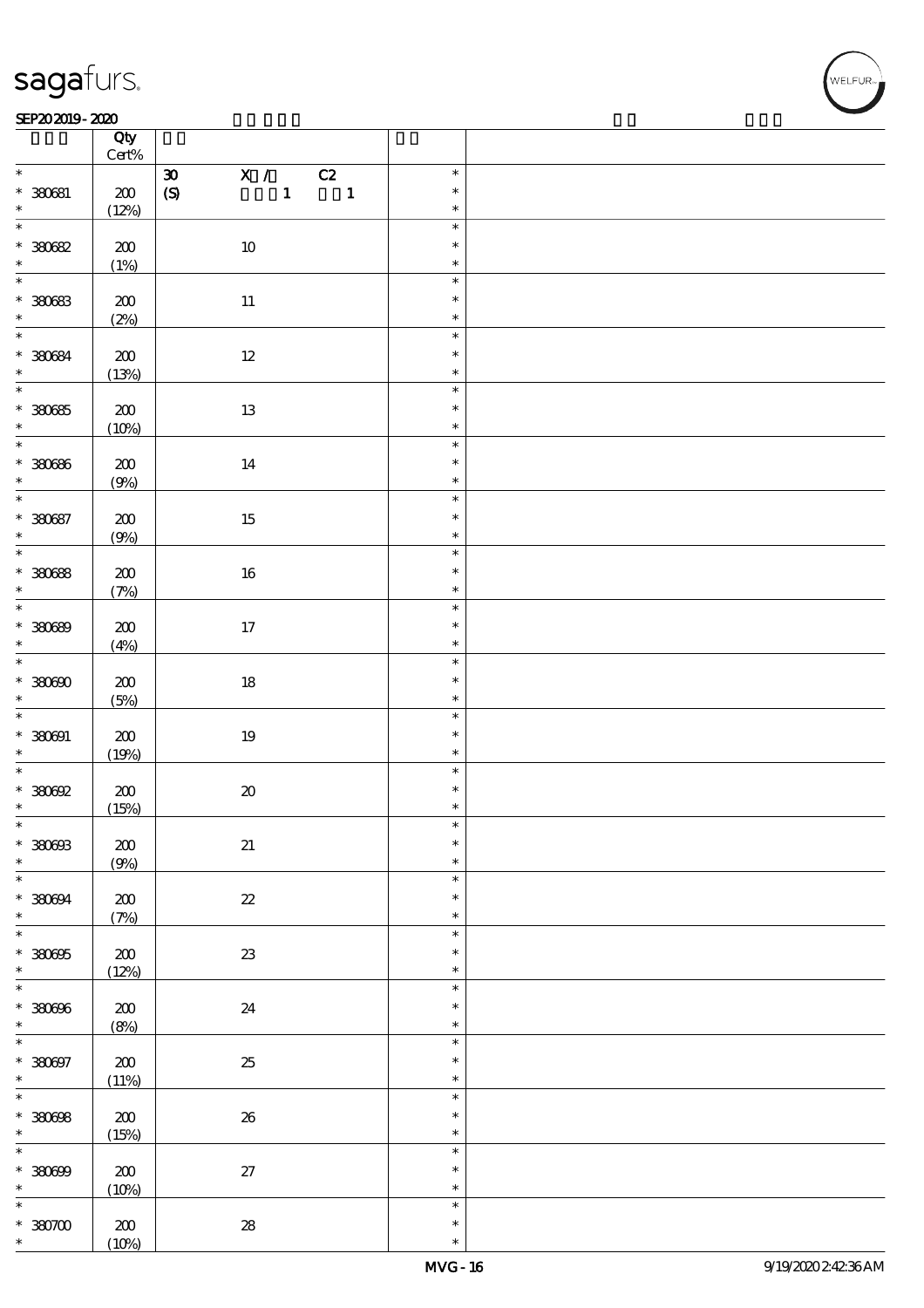#### SEP202019-2020 RESERVED FOR THE SEPERAL SEPERATOR SEPERATOR SOLUTION CONTINUES.

|                                                 | Qty<br>Cert%        |                                                                      |                            |  |
|-------------------------------------------------|---------------------|----------------------------------------------------------------------|----------------------------|--|
| $\ast$                                          |                     | $\mathbf{X}$ /<br>$\pmb{\mathfrak{D}}$                               | $\ast$                     |  |
| $* 30081$                                       | $200\,$             | C2<br>$\pmb{\text{(S)}}$<br>$\mathbf{1}$<br>$\overline{\phantom{a}}$ | $\ast$                     |  |
| $\ast$                                          | (12%)               |                                                                      | $\ast$                     |  |
| $\overline{\ast}$<br>$* 30082$                  | $200\,$             | $10\,$                                                               | $\ast$<br>$\ast$           |  |
|                                                 | (1%)                |                                                                      | $\ast$                     |  |
| $*30083$                                        | 200                 | $11\,$                                                               | $\ast$<br>$\ast$<br>$\ast$ |  |
|                                                 | (2%)                |                                                                      |                            |  |
| $\overline{\phantom{0}}$<br>$* 30084$<br>$\ast$ | $200\,$<br>(13%)    | $12\,$                                                               | $\ast$<br>$\ast$<br>$\ast$ |  |
| $\overline{\ast}$                               |                     |                                                                      | $\ast$                     |  |
| $*30085$<br>$\ast$                              | $200\,$<br>(10%)    | $13\,$                                                               | $\ast$<br>$\ast$           |  |
| $\overline{\phantom{0}}$                        |                     |                                                                      | $\ast$                     |  |
| $* 30086$<br>$\ast$                             | 200<br>(9%)         | 14                                                                   | $\ast$<br>$\ast$           |  |
| $\ast$                                          |                     |                                                                      | $\ast$                     |  |
| $* 30087$<br>$\ast$                             | $200$<br>(9%)       | $15\,$                                                               | $\ast$<br>$\ast$           |  |
| $\overline{\ast}$                               |                     |                                                                      | $\ast$                     |  |
| $*30088$<br>$\ast$                              | $200\,$<br>(7%)     | $16\,$                                                               | $\ast$<br>$\ast$           |  |
| $\overline{\ast}$                               |                     |                                                                      | $\ast$                     |  |
| $* 30089$<br>$\ast$                             | 200<br>(4%)         | 17                                                                   | $\ast$<br>$\ast$           |  |
| $\ast$                                          |                     |                                                                      | $\ast$                     |  |
| $*30000$<br>$\ast$                              | $200$<br>(5%)       | $18\,$                                                               | $\ast$<br>$\ast$           |  |
|                                                 |                     |                                                                      | $\ast$<br>$\ast$           |  |
| $* 380001$<br>$\ast$                            | $200\,$<br>(19%)    | $19\,$                                                               | $\ast$                     |  |
| $\overline{\ast}$                               |                     |                                                                      | $\ast$                     |  |
| $*30002$                                        | $200\,$             | $\pmb{\mathcal{X}}$                                                  | $\ast$                     |  |
| $\ast$                                          | (15%)               |                                                                      | $\ast$                     |  |
| $\ast$                                          |                     |                                                                      | $\ast$                     |  |
| $* 380003$<br>$\ast$                            | $\pmb{30}$<br>(9%)  | $2\!1$                                                               | $\ast$<br>$\ast$           |  |
| $\ast$                                          |                     |                                                                      | $\ast$                     |  |
| $* 380094$<br>$\ast$                            | 200<br>(7%)         | $\boldsymbol{\mathit{z}}$                                            | $\ast$<br>$\ast$           |  |
| $\overline{\ast}$                               |                     |                                                                      | $\ast$                     |  |
| $* 380005$<br>$\ast$                            | $200$<br>(12%)      | $2\!3$                                                               | $\ast$<br>$\ast$           |  |
| $\ast$                                          |                     |                                                                      | $\ast$                     |  |
| $* 380006$<br>$\ast$                            | $200\,$<br>(8%)     | 24                                                                   | $\ast$<br>$\ast$           |  |
| $\overline{\ast}$                               |                     |                                                                      | $\ast$                     |  |
| $* 30007$<br>$\ast$                             | $200$<br>(11%)      | $25\,$                                                               | $\ast$<br>$\ast$           |  |
| $\overline{\ast}$                               |                     |                                                                      | $\ast$                     |  |
| $* 30008$<br>$\ast$                             | ${\bf Z0}$<br>(15%) | ${\bf 26}$                                                           | $\ast$<br>$\ast$           |  |
| $\ast$                                          |                     |                                                                      | $\ast$                     |  |
| $* 30000$<br>$\ast$                             | $200$<br>(10%)      | $27\,$                                                               | $\ast$<br>$\ast$           |  |
| $\ast$                                          |                     |                                                                      | $\ast$                     |  |
| $*3000$<br>$\ast$                               | 200<br>(10%)        | ${\bf 28}$                                                           | $\ast$<br>$\ast$           |  |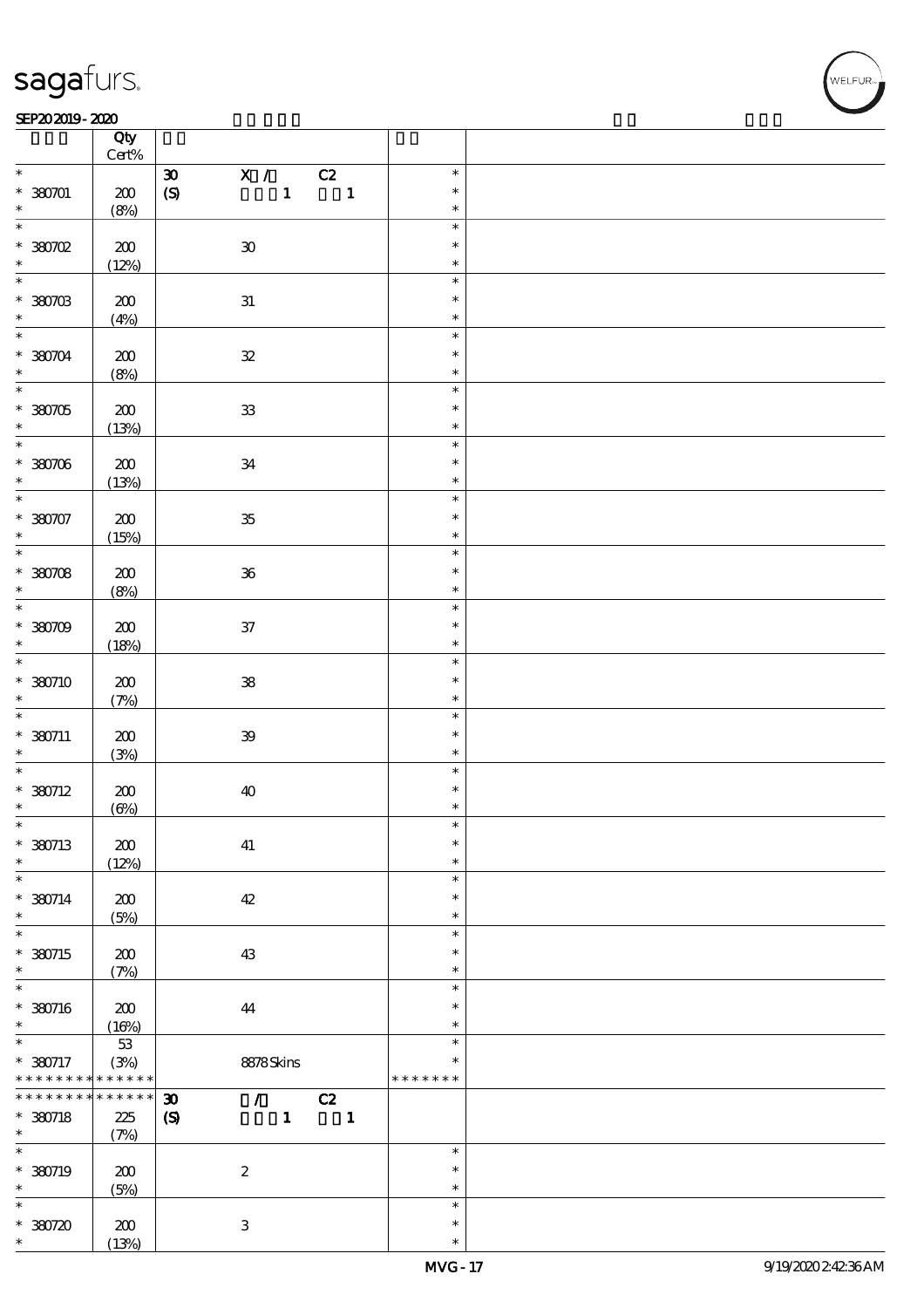### SEP202019-2020

|                                           | Qty                           |                                                                                                              |                              |  |
|-------------------------------------------|-------------------------------|--------------------------------------------------------------------------------------------------------------|------------------------------|--|
|                                           | $Cert\%$                      |                                                                                                              |                              |  |
| $\ast$<br>$* 380701$<br>$\ast$            | 200<br>(8%)                   | $\mathbf{X}$ /<br>C2<br>$\pmb{\mathfrak{D}}$<br>$\mathbf{1}$<br>$\overline{\phantom{a}}$<br>$\boldsymbol{S}$ | $\ast$<br>$\ast$<br>$\ast$   |  |
| $\ast$<br>$*30002$<br>$\ast$              | ${\bf Z0}$<br>(12%)           | $\mathbf{30}$                                                                                                | $\ast$<br>$\ast$<br>$\ast$   |  |
| $\ast$<br>$*380703$<br>$\ast$             | $200$                         | ${\bf 31}$                                                                                                   | $\ast$<br>$\ast$<br>$\ast$   |  |
| $\ast$<br>$*30004$<br>$\ast$              | (4%)<br>200                   | ${\bf \mathcal{Z}}$                                                                                          | $\ast$<br>$\ast$<br>$\ast$   |  |
| $\overline{\ast}$<br>$* 380705$           | (8%)<br>$200$                 | ${\bf 3}$                                                                                                    | $\ast$<br>$\ast$<br>$\ast$   |  |
| $*30706$<br>$\ast$                        | (13%)<br>200                  | ${\bf 34}$                                                                                                   | $\ast$<br>$\ast$<br>$\ast$   |  |
| $\ast$                                    | (13%)                         |                                                                                                              | $\ast$                       |  |
| $* 38007$<br>$\ast$                       | $200$<br>(15%)                | ${\bf 35}$                                                                                                   | $\ast$<br>$\ast$             |  |
| $* 30008$<br>$\ast$                       | $200$<br>(8%)                 | ${\bf 36}$                                                                                                   | $\ast$<br>$\ast$<br>$\ast$   |  |
| $\overline{\ast}$<br>$*30709$<br>$\ast$   | 200<br>(18%)                  | ${\bf 37}$                                                                                                   | $\ast$<br>$\ast$<br>$\ast$   |  |
| $\ast$<br>$*380710$<br>$\ast$             | 200<br>(7%)                   | ${\bf 3\!}$                                                                                                  | $\ast$<br>$\ast$<br>$\ast$   |  |
| $\overline{\ast}$<br>$*$ 380711<br>$\ast$ | 200<br>(3%)                   | $\mathfrak{B}$                                                                                               | $\ast$<br>$\ast$<br>$\ast$   |  |
| $\ast$<br>$*380712$<br>$\ast$             | 200<br>(6%)                   | 40                                                                                                           | $\ast$<br>$\ast$<br>$\ast$   |  |
| $\ast$<br>$*380713$<br>$\ast$             | 200<br>(12%)                  | 41                                                                                                           | ж<br>$\ast$<br>$\ast$        |  |
| $\ast$<br>$* 380714$<br>$\ast$            | $200\,$<br>(5%)               | $42\,$                                                                                                       | $\ast$<br>$\ast$<br>$\ast$   |  |
| $\ast$<br>$*380715$<br>$\ast$             | 200<br>(7%)                   | 43                                                                                                           | $\ast$<br>$\ast$<br>$\ast$   |  |
| $\ast$<br>* 380716<br>$\ast$              | 200<br>(16%)                  | 44                                                                                                           | $\ast$<br>$\ast$<br>$\ast$   |  |
| $\ast$<br>* 380717<br>* * * * * * * *     | $53\,$<br>(3%)<br>* * * * * * | 8878Skins                                                                                                    | $\ast$<br>*<br>* * * * * * * |  |
| * * * * * * *<br>$*$ 380718<br>$\ast$     | * * * * * * *<br>225<br>(7%)  | $\boldsymbol{\mathfrak{D}}$<br>C2<br>$\mathcal{L}$<br>$\boldsymbol{S}$<br>$\mathbf{1}$<br>$\blacksquare$     |                              |  |
| $\ast$<br>* 380719<br>$\ast$              | $200$<br>(5%)                 | $\boldsymbol{z}$                                                                                             | $\ast$<br>$\ast$<br>$\ast$   |  |
| $\ast$<br>$*30720$<br>$\ast$              | ${\bf Z0}$<br>(13%)           | $\,3\,$                                                                                                      | $\ast$<br>$\ast$<br>$\ast$   |  |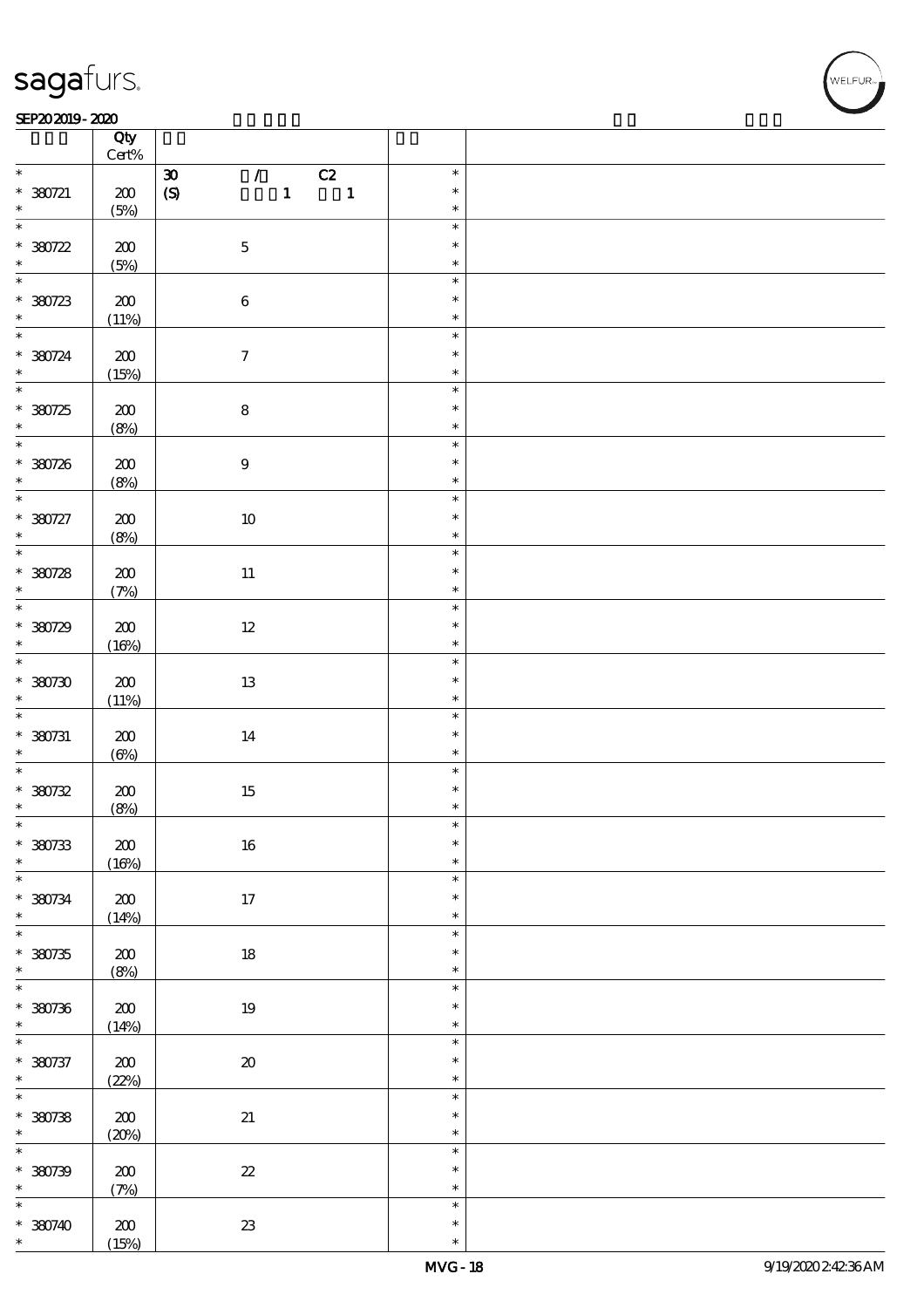#### SEP202019-2020 RESERVED FOR THE SEPERAL SEPERATOR SEPERATOR SOLUTION CONTINUES.

|                          | Qty<br>Cert%            |                                                                |                  |  |
|--------------------------|-------------------------|----------------------------------------------------------------|------------------|--|
| $\ast$                   |                         | $\mathcal{L}$<br>C2<br>$\pmb{\mathfrak{D}}$                    | $\ast$           |  |
| $* 380721$<br>$\ast$     | $200\,$<br>(5%)         | $\mathbf{1}$<br>$\pmb{\text{(S)}}$<br>$\overline{\phantom{a}}$ | $\ast$<br>$\ast$ |  |
| $\overline{\ast}$        |                         |                                                                | $\ast$           |  |
| $*30722$                 | $200\,$<br>(5%)         | $\mathbf 5$                                                    | $\ast$<br>$\ast$ |  |
|                          |                         |                                                                | $\ast$           |  |
| $*30723$                 | 200<br>(11%)            | $\bf 6$                                                        | $\ast$<br>$\ast$ |  |
| $\overline{\phantom{0}}$ |                         |                                                                | $\ast$           |  |
| $* 380724$<br>$\ast$     | $200\,$<br>(15%)        | $\boldsymbol{\tau}$                                            | $\ast$<br>$\ast$ |  |
| $\overline{\ast}$        |                         |                                                                | $\ast$           |  |
| $*30725$<br>$\ast$       | $200\,$<br>(8%)         | ${\bf 8}$                                                      | $\ast$<br>$\ast$ |  |
|                          |                         |                                                                | $\ast$           |  |
| * 380726<br>$\ast$       | 200<br>(8%)             | $\boldsymbol{9}$                                               | $\ast$<br>$\ast$ |  |
| $\ast$                   |                         |                                                                | $\ast$           |  |
| $* 380727$<br>$\ast$     | $200$<br>(8%)           | $10\,$                                                         | $\ast$<br>$\ast$ |  |
| $\overline{\ast}$        |                         |                                                                | $\ast$           |  |
| $*30728$<br>$\ast$       | 200<br>(7%)             | $11\,$                                                         | $\ast$<br>$\ast$ |  |
|                          |                         |                                                                | $\ast$           |  |
| $*30729$<br>$\ast$       | 200<br>(16%)            | $12\,$                                                         | $\ast$<br>$\ast$ |  |
| $\ddot{x}$               |                         |                                                                | $\ast$           |  |
| $*30730$<br>$\ast$       | $200$<br>(11%)          | $13\,$                                                         | $\ast$<br>$\ast$ |  |
|                          |                         |                                                                | $\ast$           |  |
| $* 380731$<br>$\ast$     | $200\,$<br>$(\Theta_0)$ | $14\,$                                                         | $\ast$<br>$\ast$ |  |
| $\overline{\ast}$        |                         |                                                                | $\ast$           |  |
| $* 30732$<br>$\ast$      | 200<br>(8%)             | $15\,$                                                         | $\ast$<br>$\ast$ |  |
| $\ast$                   |                         |                                                                | $\ast$           |  |
| $*30733$<br>$\ast$       | $200$<br>(16%)          | $16\,$                                                         | $\ast$<br>$\ast$ |  |
| $\ast$                   |                         |                                                                | $\ast$           |  |
| $* 380734$<br>$\ast$     | $200\,$<br>(14%)        | $17\,$                                                         | $\ast$<br>$\ast$ |  |
| $\overline{\ast}$        |                         |                                                                | $\ast$           |  |
| $*30735$<br>$\ast$       | 200<br>(8%)             | $18\,$                                                         | $\ast$<br>$\ast$ |  |
| $\ast$                   |                         |                                                                | $\ast$           |  |
| $*30736$<br>$\ast$       | $200\,$<br>(14%)        | $19\,$                                                         | $\ast$<br>$\ast$ |  |
| $\overline{\ast}$        |                         |                                                                | $\ast$           |  |
| $* 380737$<br>$\ast$     | $200$<br>(22%)          | $\pmb{\mathcal{X}}$                                            | $\ast$<br>$\ast$ |  |
| $\overline{\ast}$        |                         |                                                                | $\ast$           |  |
| $* 30738$<br>$\ast$      | ${\bf Z0}$<br>(20%)     | $2\hspace{-1.5pt}1$                                            | $\ast$<br>$\ast$ |  |
| $\ast$                   |                         |                                                                | $\ast$           |  |
| $* 380739$<br>$\ast$     | $200$<br>(7%)           | $2\!2$                                                         | $\ast$<br>$\ast$ |  |
| $\ast$                   |                         |                                                                | $\ast$           |  |
| $* 380740$<br>$\ast$     | 200<br>(15%)            | ${\bf Z}3$                                                     | $\ast$<br>$\ast$ |  |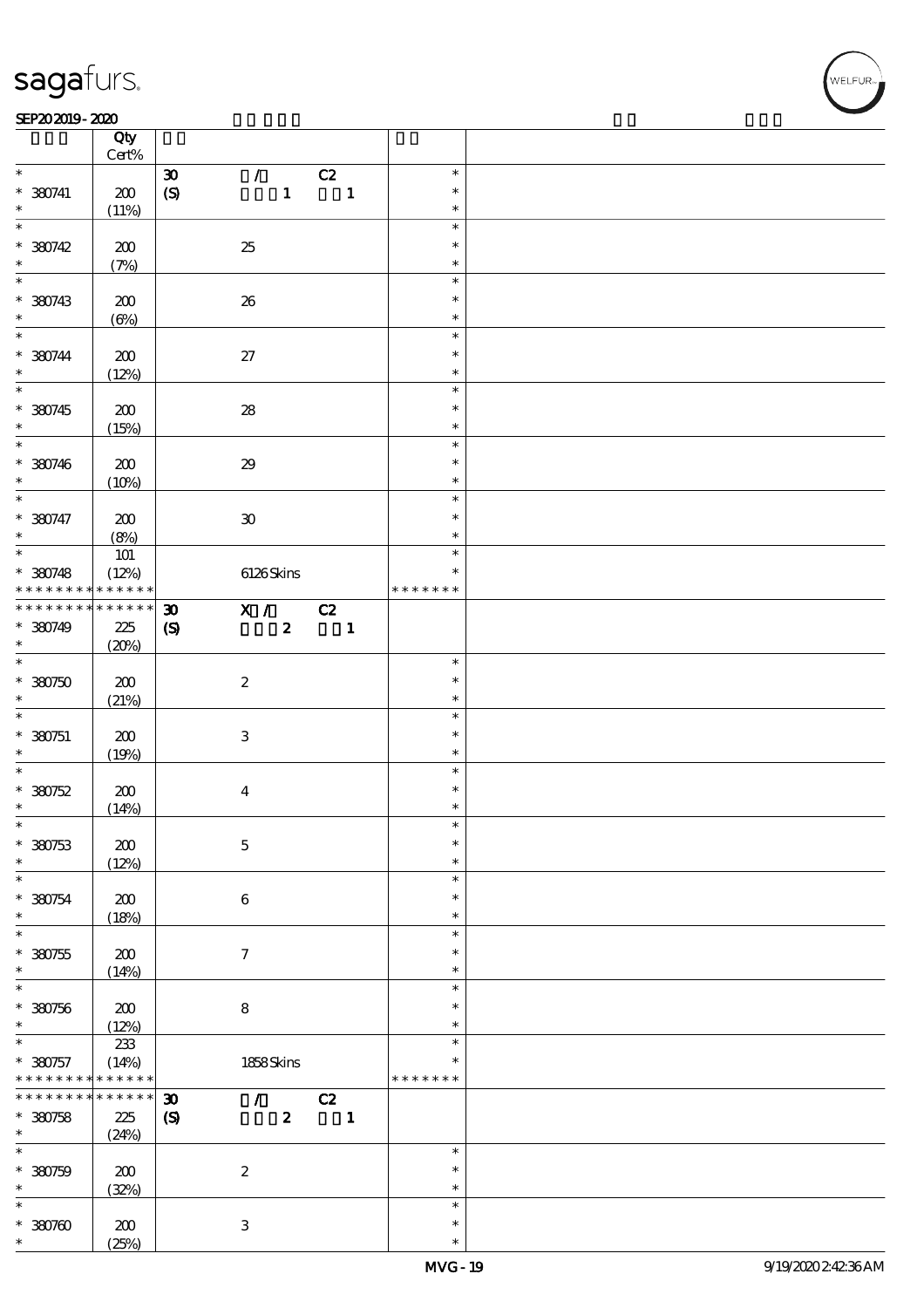$\overline{\mathsf{T}}$ 

#### SEP202019-2020  $\overline{\phantom{a}}$

|                    | Qty<br>$\mbox{Cert}\%$ |                             |                  |                |                  |  |
|--------------------|------------------------|-----------------------------|------------------|----------------|------------------|--|
| $\ast$             |                        | $\boldsymbol{\mathfrak{D}}$ | $\mathcal{L}$    | C2             | $\ast$           |  |
|                    |                        |                             |                  |                | $\ast$           |  |
| $*$ 380741         | 200                    | $\boldsymbol{S}$            | $\mathbf{1}$     | $\mathbf{1}$   |                  |  |
| $\ast$             | (11%)                  |                             |                  |                | $\ast$           |  |
| $\overline{\ast}$  |                        |                             |                  |                | $\ast$           |  |
| $* 380742$         | 200                    | 25                          |                  |                | $\ast$           |  |
| $\ast$             | (7%)                   |                             |                  |                | $\ast$           |  |
| $\overline{\ast}$  |                        |                             |                  |                | $\ast$           |  |
| $* 380743$         | 200                    | 26                          |                  |                | $\ast$           |  |
| $\ast$             |                        |                             |                  |                |                  |  |
|                    | $(\Theta)$             |                             |                  |                | $\ast$           |  |
| $\overline{\ast}$  |                        |                             |                  |                | $\ast$           |  |
| $* 380744$         | 200                    | $27\,$                      |                  |                | $\ast$           |  |
| $\ast$             | (12%)                  |                             |                  |                | $\ast$           |  |
|                    |                        |                             |                  |                | $\ast$           |  |
| $* 380745$         | 200                    | ${\bf 28}$                  |                  |                | $\ast$           |  |
|                    |                        |                             |                  |                | $\ast$           |  |
| $\ast$             | (15%)                  |                             |                  |                |                  |  |
|                    |                        |                             |                  |                | $\ast$           |  |
| $* 380746$         | 200                    | $29\,$                      |                  |                | $\ast$           |  |
| $\ast$             | (10%)                  |                             |                  |                | $\ast$           |  |
| $\overline{\ast}$  |                        |                             |                  |                | $\ast$           |  |
| $* 380747$         | 200                    | $\pmb{\mathfrak{D}}$        |                  |                | $\ast$           |  |
| $\ast$             | (8%)                   |                             |                  |                | $\ast$           |  |
| $\overline{\ast}$  |                        |                             |                  |                | $\ast$           |  |
|                    | $101$                  |                             |                  |                |                  |  |
| $* 380748$         | (12%)                  |                             | 6126Skins        |                | $\ast$           |  |
| * * * * * * * *    | * * * * * *            |                             |                  |                | * * * * * * *    |  |
| * * * * * * * *    | $******$               | $\boldsymbol{\mathfrak{D}}$ | X /              | C2             |                  |  |
| $*$ 380749         | 225                    | $\boldsymbol{S}$            | $\boldsymbol{z}$ | $\blacksquare$ |                  |  |
| $\ast$             | (20%)                  |                             |                  |                |                  |  |
| $\overline{\ast}$  |                        |                             |                  |                | $\ast$           |  |
|                    |                        |                             |                  |                |                  |  |
| $*30750$           | 200                    | $\boldsymbol{2}$            |                  |                | $\ast$           |  |
| $\ast$             | (21%)                  |                             |                  |                | $\ast$           |  |
| $\ast$             |                        |                             |                  |                | $\ast$           |  |
| $* 380751$         | $200\,$                | $\ensuremath{\mathbf{3}}$   |                  |                | $\ast$           |  |
| $\ast$             | (19%)                  |                             |                  |                | $\ast$           |  |
| $\overline{\ast}$  |                        |                             |                  |                | $\ast$           |  |
| $*30752$           |                        |                             |                  |                |                  |  |
| $\ast$             |                        |                             |                  |                |                  |  |
|                    | 200                    | $\bf{4}$                    |                  |                | $\ast$           |  |
|                    | (14%)                  |                             |                  |                | $\ast$           |  |
| $\ast$             |                        |                             |                  |                | $\ast$           |  |
| $*380753$          | 200                    | $\mathbf 5$                 |                  |                | $\ast$           |  |
| $\ast$             |                        |                             |                  |                | $\ast$           |  |
| $\ast$             | (12%)                  |                             |                  |                | $\ast$           |  |
|                    |                        |                             |                  |                | $\ast$           |  |
| $*30754$           | 200                    | $\bf 6$                     |                  |                |                  |  |
| $\ast$             | (18%)                  |                             |                  |                | $\ast$           |  |
| $\ast$             |                        |                             |                  |                | $\ast$           |  |
| $*30755$           | 200                    | $\tau$                      |                  |                | $\ast$           |  |
| $\ast$             | (14%)                  |                             |                  |                | $\ast$           |  |
| $\ast$             |                        |                             |                  |                | $\ast$           |  |
| $*30756$           | $200$                  | $\bf 8$                     |                  |                | $\ast$           |  |
| $\ast$             |                        |                             |                  |                | $\ast$           |  |
| $\ast$             | (12%)                  |                             |                  |                | $\ast$           |  |
|                    | $2\!3$                 |                             |                  |                | $\ast$           |  |
| $* 380757$         | (14%)                  |                             | $1858$ Skins     |                |                  |  |
| * * * * * * * *    | * * * * * *            |                             |                  |                | * * * * * * *    |  |
| * * * * * * * *    | $******$               | $\boldsymbol{\mathfrak{D}}$ | $\mathcal{T}$    | C2             |                  |  |
| $* 380758$         | 225                    | $\boldsymbol{\mathrm{(S)}}$ | $\boldsymbol{z}$ | $\blacksquare$ |                  |  |
| $\ast$             | (24%)                  |                             |                  |                |                  |  |
| $\ast$             |                        |                             |                  |                | $\ast$           |  |
|                    |                        |                             |                  |                | $\ast$           |  |
| $* 380759$         | 200                    | $\boldsymbol{2}$            |                  |                | $\ast$           |  |
| $\ast$             | (32%)                  |                             |                  |                |                  |  |
| $\ast$             |                        |                             |                  |                | $\ast$           |  |
| $*30700$<br>$\ast$ | 200<br>(25%)           | $\ensuremath{\mathbf{3}}$   |                  |                | $\ast$<br>$\ast$ |  |

 $\overline{\mathsf{T}}$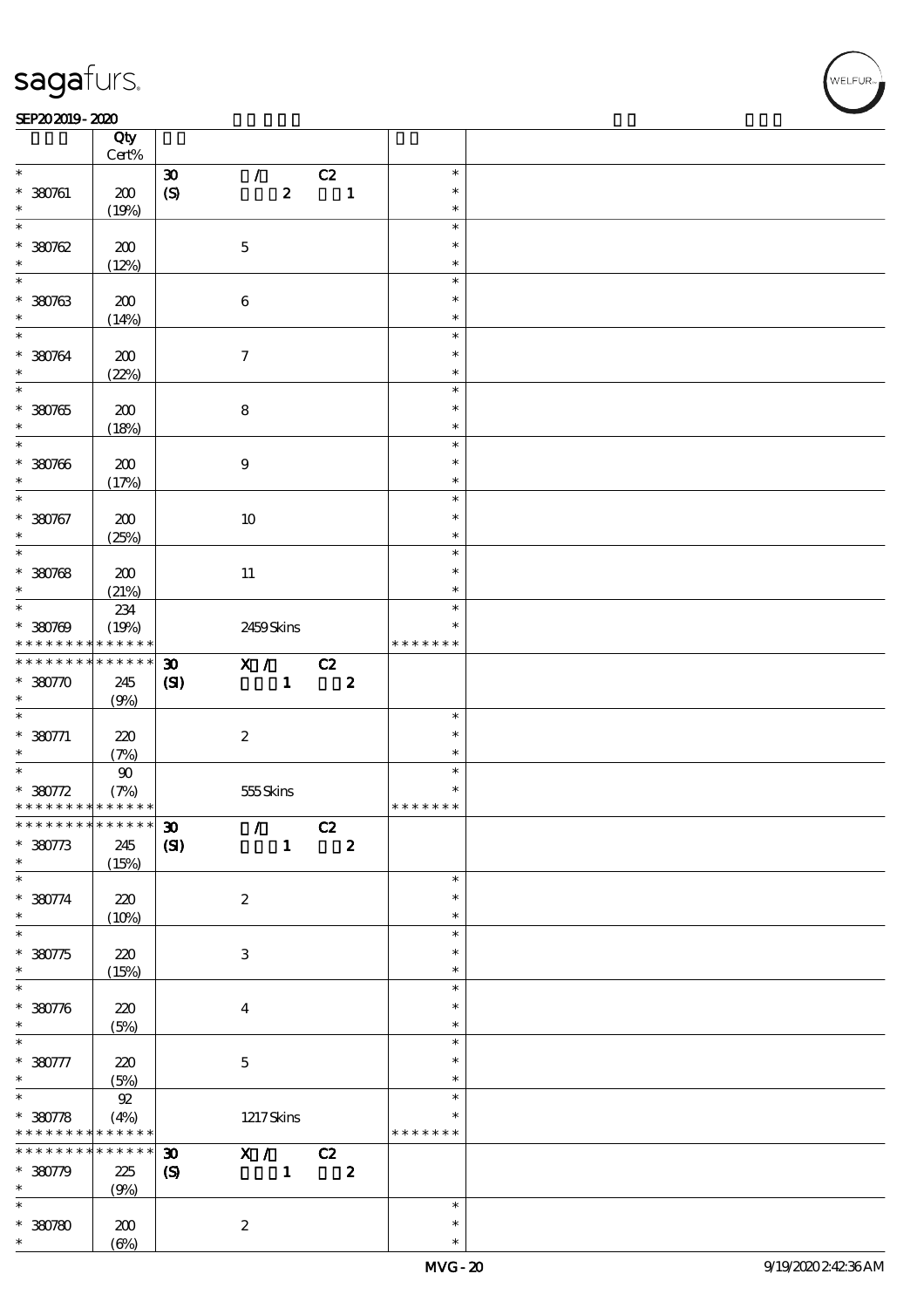#### SEP202019-2020

|                                                                                                          | Qty<br>Cert%      |                             |                                                                                                                                                                                                                                                                                                                                                                                      |                  |                         |                  |  |
|----------------------------------------------------------------------------------------------------------|-------------------|-----------------------------|--------------------------------------------------------------------------------------------------------------------------------------------------------------------------------------------------------------------------------------------------------------------------------------------------------------------------------------------------------------------------------------|------------------|-------------------------|------------------|--|
| $\ast$                                                                                                   |                   |                             |                                                                                                                                                                                                                                                                                                                                                                                      |                  |                         | $\ast$           |  |
|                                                                                                          |                   | $\boldsymbol{\mathfrak{D}}$ | $\mathcal{L}$                                                                                                                                                                                                                                                                                                                                                                        |                  | C2                      |                  |  |
| $* 380761$                                                                                               | 200               | (S)                         |                                                                                                                                                                                                                                                                                                                                                                                      | $\boldsymbol{z}$ | $\mathbf{1}$            | $\ast$           |  |
| $\ast$                                                                                                   | (19%)             |                             |                                                                                                                                                                                                                                                                                                                                                                                      |                  |                         | $\ast$           |  |
| $\ast$                                                                                                   |                   |                             |                                                                                                                                                                                                                                                                                                                                                                                      |                  |                         | $\ast$           |  |
| $*30002$                                                                                                 | 200               |                             | $\mathbf 5$                                                                                                                                                                                                                                                                                                                                                                          |                  |                         | $\ast$           |  |
|                                                                                                          |                   |                             |                                                                                                                                                                                                                                                                                                                                                                                      |                  |                         |                  |  |
| $\ast$                                                                                                   | (12%)             |                             |                                                                                                                                                                                                                                                                                                                                                                                      |                  |                         | $\ast$           |  |
| $\overline{\ast}$                                                                                        |                   |                             |                                                                                                                                                                                                                                                                                                                                                                                      |                  |                         | $\ast$           |  |
| $*380763$                                                                                                | 200               |                             | $\bf 6$                                                                                                                                                                                                                                                                                                                                                                              |                  |                         | $\ast$           |  |
| $\ast$                                                                                                   | (14%)             |                             |                                                                                                                                                                                                                                                                                                                                                                                      |                  |                         | $\ast$           |  |
| $\overline{\ast}$                                                                                        |                   |                             |                                                                                                                                                                                                                                                                                                                                                                                      |                  |                         | $\ast$           |  |
|                                                                                                          |                   |                             |                                                                                                                                                                                                                                                                                                                                                                                      |                  |                         |                  |  |
| * 380764                                                                                                 | 200               |                             | $\boldsymbol{\tau}$                                                                                                                                                                                                                                                                                                                                                                  |                  |                         | $\ast$           |  |
| $\ast$                                                                                                   | (22%)             |                             |                                                                                                                                                                                                                                                                                                                                                                                      |                  |                         | $\ast$           |  |
|                                                                                                          |                   |                             |                                                                                                                                                                                                                                                                                                                                                                                      |                  |                         | $\ast$           |  |
| $*30765$                                                                                                 | 200               |                             | $\bf 8$                                                                                                                                                                                                                                                                                                                                                                              |                  |                         | $\ast$           |  |
|                                                                                                          |                   |                             |                                                                                                                                                                                                                                                                                                                                                                                      |                  |                         | $\ast$           |  |
| $\ast$                                                                                                   | (18%)             |                             |                                                                                                                                                                                                                                                                                                                                                                                      |                  |                         |                  |  |
| $*$                                                                                                      |                   |                             |                                                                                                                                                                                                                                                                                                                                                                                      |                  |                         | $\ast$           |  |
| $* 380766$                                                                                               | 200               |                             | $\boldsymbol{9}$                                                                                                                                                                                                                                                                                                                                                                     |                  |                         | $\ast$           |  |
| $\ast$                                                                                                   | (17%)             |                             |                                                                                                                                                                                                                                                                                                                                                                                      |                  |                         | $\ast$           |  |
| $\overline{\ast}$                                                                                        |                   |                             |                                                                                                                                                                                                                                                                                                                                                                                      |                  |                         | $\ast$           |  |
|                                                                                                          |                   |                             |                                                                                                                                                                                                                                                                                                                                                                                      |                  |                         | $\ast$           |  |
| * 380767                                                                                                 | 200               |                             | $10\,$                                                                                                                                                                                                                                                                                                                                                                               |                  |                         |                  |  |
| $\ast$                                                                                                   | (25%)             |                             |                                                                                                                                                                                                                                                                                                                                                                                      |                  |                         | $\ast$           |  |
| $\overline{\ast}$                                                                                        |                   |                             |                                                                                                                                                                                                                                                                                                                                                                                      |                  |                         | $\ast$           |  |
| $*30768$                                                                                                 | 200               |                             | 11                                                                                                                                                                                                                                                                                                                                                                                   |                  |                         | $\ast$           |  |
| $\ast$                                                                                                   | (21%)             |                             |                                                                                                                                                                                                                                                                                                                                                                                      |                  |                         | $\ast$           |  |
| $\overline{\phantom{0}}$                                                                                 |                   |                             |                                                                                                                                                                                                                                                                                                                                                                                      |                  |                         |                  |  |
|                                                                                                          | 234               |                             |                                                                                                                                                                                                                                                                                                                                                                                      |                  |                         | $\ast$           |  |
| $* 380769$                                                                                               | (19%)             |                             | 2459Skins                                                                                                                                                                                                                                                                                                                                                                            |                  |                         | *                |  |
| * * * * * * * *                                                                                          | * * * * * *       |                             |                                                                                                                                                                                                                                                                                                                                                                                      |                  |                         | * * * * * * *    |  |
| * * * * * * * *                                                                                          | * * * * * *       | $\boldsymbol{\mathfrak{D}}$ | $\overline{X}$ / C <sub>2</sub>                                                                                                                                                                                                                                                                                                                                                      |                  |                         |                  |  |
| $* 380770$                                                                                               | 245               |                             |                                                                                                                                                                                                                                                                                                                                                                                      | $\mathbf{1}$     | $\boldsymbol{z}$        |                  |  |
|                                                                                                          |                   | (S)                         |                                                                                                                                                                                                                                                                                                                                                                                      |                  |                         |                  |  |
|                                                                                                          |                   |                             |                                                                                                                                                                                                                                                                                                                                                                                      |                  |                         |                  |  |
| $\ast$                                                                                                   | (9%)              |                             |                                                                                                                                                                                                                                                                                                                                                                                      |                  |                         |                  |  |
|                                                                                                          |                   |                             |                                                                                                                                                                                                                                                                                                                                                                                      |                  |                         | $\ast$           |  |
|                                                                                                          |                   |                             |                                                                                                                                                                                                                                                                                                                                                                                      |                  |                         | $\ast$           |  |
| $\overline{\phantom{0}}$<br>$* 380771$                                                                   | 220               |                             | $\boldsymbol{2}$                                                                                                                                                                                                                                                                                                                                                                     |                  |                         | $\ast$           |  |
| $\ast$                                                                                                   | (7%)              |                             |                                                                                                                                                                                                                                                                                                                                                                                      |                  |                         |                  |  |
| $\overline{\phantom{0}}$                                                                                 | $90\,$            |                             |                                                                                                                                                                                                                                                                                                                                                                                      |                  |                         | $\ast$           |  |
| $* 380772$                                                                                               | (7%)              |                             | 555Skins                                                                                                                                                                                                                                                                                                                                                                             |                  |                         | $\ast$           |  |
| * * * * * * * * <mark>* * * * * * *</mark>                                                               |                   |                             |                                                                                                                                                                                                                                                                                                                                                                                      |                  |                         | * * * * * * *    |  |
|                                                                                                          |                   |                             |                                                                                                                                                                                                                                                                                                                                                                                      |                  |                         |                  |  |
|                                                                                                          |                   |                             | $\mathcal{L}$                                                                                                                                                                                                                                                                                                                                                                        |                  | C2                      |                  |  |
|                                                                                                          | 245               | (S)                         |                                                                                                                                                                                                                                                                                                                                                                                      | $\mathbf{1}$     | $\overline{\mathbf{2}}$ |                  |  |
|                                                                                                          | (15%)             |                             |                                                                                                                                                                                                                                                                                                                                                                                      |                  |                         |                  |  |
| ************** 30<br>$* 380773$<br>$\ast$<br>$\ast$                                                      |                   |                             |                                                                                                                                                                                                                                                                                                                                                                                      |                  |                         | $\ast$           |  |
|                                                                                                          | 220               |                             | $\boldsymbol{2}$                                                                                                                                                                                                                                                                                                                                                                     |                  |                         | $\ast$           |  |
|                                                                                                          |                   |                             |                                                                                                                                                                                                                                                                                                                                                                                      |                  |                         | $\ast$           |  |
|                                                                                                          | (10%)             |                             |                                                                                                                                                                                                                                                                                                                                                                                      |                  |                         | $\ast$           |  |
| $* 380774$<br>$\ast$<br>$\overline{\ast}$                                                                |                   |                             |                                                                                                                                                                                                                                                                                                                                                                                      |                  |                         |                  |  |
| $* 380775$                                                                                               | 220               |                             | $\ensuremath{\mathbf{3}}$                                                                                                                                                                                                                                                                                                                                                            |                  |                         | $\ast$           |  |
| $\ast$                                                                                                   | (15%)             |                             |                                                                                                                                                                                                                                                                                                                                                                                      |                  |                         | $\ast$           |  |
| $\ast$                                                                                                   |                   |                             |                                                                                                                                                                                                                                                                                                                                                                                      |                  |                         | $\ast$           |  |
|                                                                                                          |                   |                             |                                                                                                                                                                                                                                                                                                                                                                                      |                  |                         | $\ast$           |  |
| $* 380776$<br>$\ast$                                                                                     | $220$             |                             | $\overline{\mathbf{4}}$                                                                                                                                                                                                                                                                                                                                                              |                  |                         | $\ast$           |  |
|                                                                                                          | (5%)              |                             |                                                                                                                                                                                                                                                                                                                                                                                      |                  |                         |                  |  |
| $\ast$                                                                                                   |                   |                             |                                                                                                                                                                                                                                                                                                                                                                                      |                  |                         | $\ast$           |  |
| $* 380777$                                                                                               | 220               |                             | $\mathbf{5}$                                                                                                                                                                                                                                                                                                                                                                         |                  |                         | $\ast$           |  |
| $\ast$                                                                                                   | (5%)              |                             |                                                                                                                                                                                                                                                                                                                                                                                      |                  |                         | $\ast$           |  |
|                                                                                                          |                   |                             |                                                                                                                                                                                                                                                                                                                                                                                      |                  |                         | $\ast$           |  |
|                                                                                                          | ${\mathfrak A}$   |                             |                                                                                                                                                                                                                                                                                                                                                                                      |                  |                         |                  |  |
|                                                                                                          | (4%)              |                             | $1217$ Skins                                                                                                                                                                                                                                                                                                                                                                         |                  |                         |                  |  |
|                                                                                                          |                   |                             |                                                                                                                                                                                                                                                                                                                                                                                      |                  |                         | * * * * * * *    |  |
|                                                                                                          | $******$          | $\boldsymbol{\mathfrak{D}}$ | $\overline{X}$ $\overline{C}$ $\overline{C}$ $\overline{C}$ $\overline{C}$ $\overline{C}$ $\overline{C}$ $\overline{C}$ $\overline{C}$ $\overline{C}$ $\overline{C}$ $\overline{C}$ $\overline{C}$ $\overline{C}$ $\overline{C}$ $\overline{C}$ $\overline{C}$ $\overline{C}$ $\overline{C}$ $\overline{C}$ $\overline{C}$ $\overline{C}$ $\overline{C}$ $\overline{C}$ $\overline{$ |                  |                         |                  |  |
| $\overline{\ast}$<br>$* 380778$<br>* * * * * * * * <mark>* * * * * *</mark><br>* * * * * * *<br>$*30779$ | 225               | $\boldsymbol{S}$            |                                                                                                                                                                                                                                                                                                                                                                                      | $\mathbf{1}$     | $\boldsymbol{z}$        |                  |  |
| $\ast$                                                                                                   |                   |                             |                                                                                                                                                                                                                                                                                                                                                                                      |                  |                         |                  |  |
| $\ast$                                                                                                   | (9%)              |                             |                                                                                                                                                                                                                                                                                                                                                                                      |                  |                         | $\ast$           |  |
|                                                                                                          |                   |                             |                                                                                                                                                                                                                                                                                                                                                                                      |                  |                         |                  |  |
| $*30780$<br>$\ast$                                                                                       | 200<br>$(\Theta)$ |                             | $\boldsymbol{z}$                                                                                                                                                                                                                                                                                                                                                                     |                  |                         | $\ast$<br>$\ast$ |  |

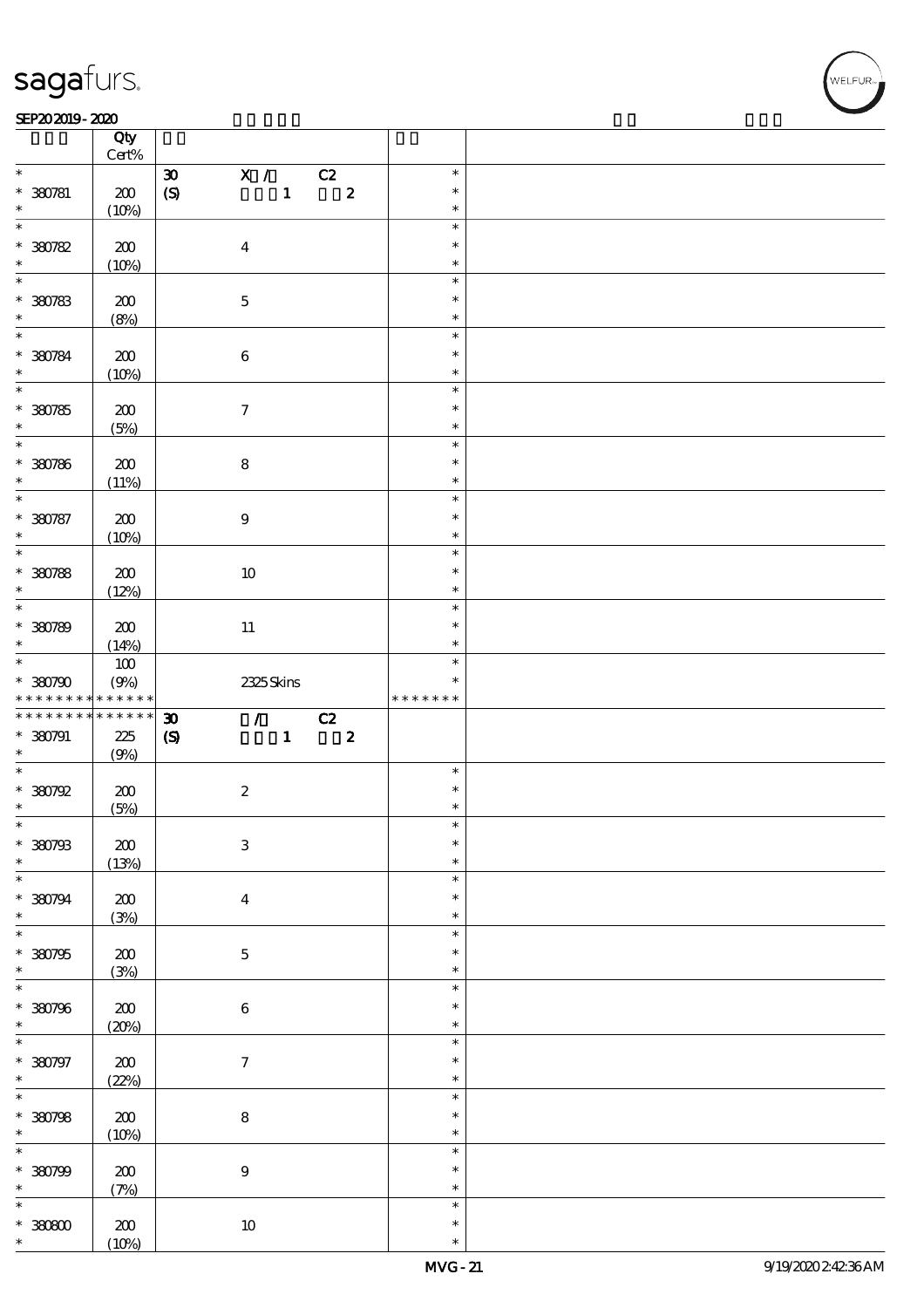$\top$ 

#### SEP202019-2020 RESERVED FOR THE SEPERAL SEPERATOR SEPERATOR SOLUTION CONTINUES.

|                                         | Qty<br>$\mbox{Cert}\%$     |                                                                |                |    |                  |               |  |
|-----------------------------------------|----------------------------|----------------------------------------------------------------|----------------|----|------------------|---------------|--|
| $\ast$                                  |                            | $\mathbf{X}$ /<br>$\pmb{\mathfrak{D}}$                         |                |    |                  | $\ast$        |  |
|                                         |                            |                                                                |                | C2 |                  |               |  |
| $* 380781$                              | 200                        | $\pmb{\text{(S)}}$                                             | $\mathbf{1}$   |    | $\boldsymbol{z}$ | $\ast$        |  |
| $\ast$                                  | (10%)                      |                                                                |                |    |                  | $\ast$        |  |
| $\overline{\ast}$                       |                            |                                                                |                |    |                  | $\ast$        |  |
| $*30782$                                | 200                        | $\boldsymbol{4}$                                               |                |    |                  | $\ast$        |  |
|                                         |                            |                                                                |                |    |                  |               |  |
| $\ast$                                  | (10%)                      |                                                                |                |    |                  | $\ast$        |  |
| $\overline{\ast}$                       |                            |                                                                |                |    |                  | $\ast$        |  |
| $*30783$                                | 200                        | $\mathbf 5$                                                    |                |    |                  | $\ast$        |  |
| $\ast$                                  | (8%)                       |                                                                |                |    |                  | $\ast$        |  |
| $\overline{\ast}$                       |                            |                                                                |                |    |                  |               |  |
|                                         |                            |                                                                |                |    |                  | $\ast$        |  |
| $* 30784$                               | 200                        | $\bf 6$                                                        |                |    |                  | $\ast$        |  |
| $\ast$                                  | (10%)                      |                                                                |                |    |                  | $\ast$        |  |
|                                         |                            |                                                                |                |    |                  | $\ast$        |  |
|                                         |                            |                                                                |                |    |                  | $\ast$        |  |
| $* 30785$                               | 200                        | $\boldsymbol{\tau}$                                            |                |    |                  |               |  |
| $\ast$                                  | (5%)                       |                                                                |                |    |                  | $\ast$        |  |
| $\overline{\ast}$                       |                            |                                                                |                |    |                  | $\ast$        |  |
| * 380786                                | 200                        | $\bf 8$                                                        |                |    |                  | $\ast$        |  |
| $\ast$                                  | (11%)                      |                                                                |                |    |                  | $\ast$        |  |
| $\overline{\ast}$                       |                            |                                                                |                |    |                  | $\ast$        |  |
|                                         |                            |                                                                |                |    |                  |               |  |
| * 380787                                | 200                        | $\boldsymbol{9}$                                               |                |    |                  | $\ast$        |  |
| $\ast$                                  | (10%)                      |                                                                |                |    |                  | $\ast$        |  |
|                                         |                            |                                                                |                |    |                  | $\ast$        |  |
| $*30788$                                |                            |                                                                |                |    |                  | $\ast$        |  |
|                                         | 200                        | $10\,$                                                         |                |    |                  |               |  |
| $\ast$                                  | (12%)                      |                                                                |                |    |                  | $\ast$        |  |
| $\overline{\ast}$                       |                            |                                                                |                |    |                  | $\ast$        |  |
| $* 30789$                               | 200                        | $11\,$                                                         |                |    |                  | $\ast$        |  |
| $\ast$                                  | (14%)                      |                                                                |                |    |                  | $\ast$        |  |
| $\ddot{x}$                              |                            |                                                                |                |    |                  |               |  |
|                                         | $100$                      |                                                                |                |    |                  | $\ast$        |  |
| $*30790$                                | (9%)                       | 2325Skins                                                      |                |    |                  | $\ast$        |  |
|                                         |                            |                                                                |                |    |                  | * * * * * * * |  |
| * * * * * * * * <mark>*</mark>          | $\ast\ast\ast\ast\ast\ast$ |                                                                |                |    |                  |               |  |
|                                         | $******$                   |                                                                |                |    |                  |               |  |
|                                         |                            | $\mathcal{L}$ and $\mathcal{L}$<br>$\boldsymbol{\mathfrak{D}}$ |                | C2 |                  |               |  |
| * * * * * * * *<br>$* 380791$           | $2\!2$                     | $\boldsymbol{\mathcal{S}}$                                     | $\mathbf{1}^-$ |    | $\boldsymbol{z}$ |               |  |
| $\ast$                                  | (9%)                       |                                                                |                |    |                  |               |  |
| $\overline{\phantom{0}}$                |                            |                                                                |                |    |                  | $\ast$        |  |
|                                         |                            |                                                                |                |    |                  | $\ast$        |  |
| $*30792$<br>$\ast$                      | 200                        | $\boldsymbol{2}$                                               |                |    |                  | $\ast$        |  |
|                                         | (5%)                       |                                                                |                |    |                  |               |  |
| $\ast$                                  |                            |                                                                |                |    |                  | $\ast$        |  |
|                                         | $\pmb{30}$                 | $\ensuremath{\mathbf{3}}$                                      |                |    |                  | $\ast$        |  |
|                                         | (13%)                      |                                                                |                |    |                  | $\ast$        |  |
| * 380793<br>$\ast$<br>$\ast$            |                            |                                                                |                |    |                  | $\ast$        |  |
|                                         |                            |                                                                |                |    |                  | $\ast$        |  |
|                                         | $200\,$                    | $\boldsymbol{4}$                                               |                |    |                  |               |  |
|                                         | (3%)                       |                                                                |                |    |                  | $\ast$        |  |
| * 380794<br>$\ast$<br>$\overline{\ast}$ |                            |                                                                |                |    |                  | $\ast$        |  |
| * 380795                                | 200                        | $\mathbf 5$                                                    |                |    |                  | $\ast$        |  |
|                                         |                            |                                                                |                |    |                  | $\ast$        |  |
| $\ast$<br>$\ast$                        | (3%)                       |                                                                |                |    |                  | $\ast$        |  |
|                                         |                            |                                                                |                |    |                  |               |  |
| * 380796                                | $200\,$                    | $\bf 6$                                                        |                |    |                  | $\ast$        |  |
| $\ast$                                  | (20%)                      |                                                                |                |    |                  | $\ast$        |  |
| $\overline{\ast}$                       |                            |                                                                |                |    |                  | $\ast$        |  |
|                                         |                            |                                                                |                |    |                  | $\ast$        |  |
| * 380797                                | $200\,$                    | $\boldsymbol{7}$                                               |                |    |                  |               |  |
| $\ast$                                  | (22%)                      |                                                                |                |    |                  | $\ast$        |  |
|                                         |                            |                                                                |                |    |                  | $\ast$        |  |
| $\overline{\ast}$<br>* 380798           | $200$                      | ${\bf 8}$                                                      |                |    |                  | $\ast$        |  |
| $\ast$                                  |                            |                                                                |                |    |                  | $\ast$        |  |
| $\ast$                                  | (10%)                      |                                                                |                |    |                  | $\ast$        |  |
|                                         |                            |                                                                |                |    |                  |               |  |
| * 380799                                | $200$                      | $\boldsymbol{9}$                                               |                |    |                  | $\ast$        |  |
| $\ast$                                  | (7%)                       |                                                                |                |    |                  | $\ast$        |  |
| ¥                                       |                            |                                                                |                |    |                  | $\ast$        |  |
|                                         |                            |                                                                |                |    |                  | $\ast$        |  |
| $* 30000$<br>$\ast$                     | $200$<br>(10%)             | $10\,$                                                         |                |    |                  | $\ast$        |  |

 $\overline{\mathsf{T}}$ 

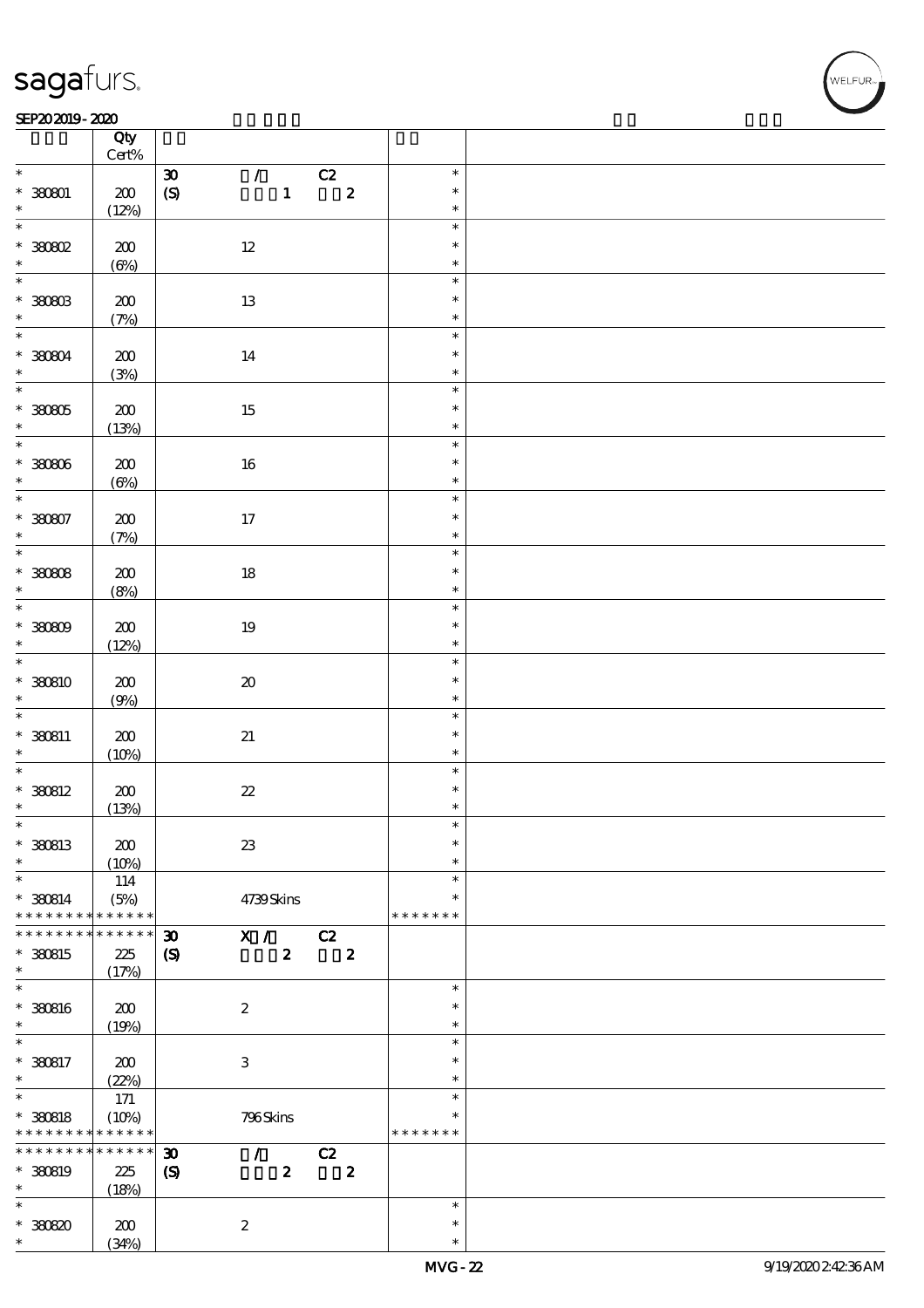$\top$ 

#### SEP202019-2020 RESERVED FOR THE SEPERAL SEPERATOR SEPERATOR SOLUTION CONTINUES.

|                          | Qty<br>$Cert\%$ |                                              |                  |    |                  |               |  |
|--------------------------|-----------------|----------------------------------------------|------------------|----|------------------|---------------|--|
| $\ast$                   |                 |                                              |                  |    |                  | $\ast$        |  |
|                          |                 | $\pmb{\mathfrak{D}}$                         | $\mathcal{L}$    | C2 |                  |               |  |
| $* 38001$                | $200\,$         | $\pmb{\text{(S)}}$                           | $\mathbf{1}$     |    | $\boldsymbol{2}$ | $\ast$        |  |
| $\ast$                   | (12%)           |                                              |                  |    |                  | $\ast$        |  |
| $\overline{\ast}$        |                 |                                              |                  |    |                  | $\ast$        |  |
| $*30002$                 | $200$           | $12\,$                                       |                  |    |                  | $\ast$        |  |
| $\ast$                   | $(\Theta)$      |                                              |                  |    |                  | $\ast$        |  |
|                          |                 |                                              |                  |    |                  | $\ast$        |  |
|                          |                 |                                              |                  |    |                  |               |  |
| $* 30003$                | 200             | 13                                           |                  |    |                  | $\ast$        |  |
| $\ast$                   | (7%)            |                                              |                  |    |                  | $\ast$        |  |
| $\ddot{x}$               |                 |                                              |                  |    |                  | $\ast$        |  |
| * 380804                 | 200             | 14                                           |                  |    |                  | $\ast$        |  |
| $\ast$                   |                 |                                              |                  |    |                  | $\ast$        |  |
| $\overline{\phantom{0}}$ | (3%)            |                                              |                  |    |                  | $\ast$        |  |
|                          |                 |                                              |                  |    |                  |               |  |
| $* 30005$                | $200$           | $15\,$                                       |                  |    |                  | $\ast$        |  |
| $\ast$                   | (13%)           |                                              |                  |    |                  | $\ast$        |  |
| $\overline{\ast}$        |                 |                                              |                  |    |                  | $\ast$        |  |
| $* 30006$                | 200             | 16                                           |                  |    |                  | $\ast$        |  |
| $\ast$                   |                 |                                              |                  |    |                  | $\ast$        |  |
| $\overline{\ast}$        | $(\Theta\%)$    |                                              |                  |    |                  |               |  |
|                          |                 |                                              |                  |    |                  | $\ast$        |  |
| $* 30007$                | 200             | 17                                           |                  |    |                  | $\ast$        |  |
| $\ast$                   | (7%)            |                                              |                  |    |                  | $\ast$        |  |
| $\overline{\ast}$        |                 |                                              |                  |    |                  | $\ast$        |  |
| $*30008$                 | 200             | $18\,$                                       |                  |    |                  | $\ast$        |  |
| $\ast$                   |                 |                                              |                  |    |                  | $\ast$        |  |
| $\overline{\ast}$        | (8%)            |                                              |                  |    |                  |               |  |
|                          |                 |                                              |                  |    |                  | $\ast$        |  |
| $* 30009$                | 200             | 19                                           |                  |    |                  | $\ast$        |  |
| $\ast$                   | (12%)           |                                              |                  |    |                  | $\ast$        |  |
| $\overline{\ast}$        |                 |                                              |                  |    |                  | $\ast$        |  |
| * 380810                 | 200             | $\pmb{\mathcal{X}}$                          |                  |    |                  | $\ast$        |  |
| $\ast$                   |                 |                                              |                  |    |                  | $\ast$        |  |
| $\overline{\phantom{0}}$ | (9%)            |                                              |                  |    |                  |               |  |
|                          |                 |                                              |                  |    |                  | $\ast$        |  |
| $*$ 380811               | $200\,$         | $2\!1$                                       |                  |    |                  | $\ast$        |  |
| $\ast$                   | (10%)           |                                              |                  |    |                  | $\ast$        |  |
| $\overline{\ast}$        |                 |                                              |                  |    |                  | $\ast$        |  |
| * 380812                 | $200\,$         | $2\!2$                                       |                  |    |                  | $\ast$        |  |
| $\ast$                   |                 |                                              |                  |    |                  | $\ast$        |  |
| $\ast$                   | (13%)           |                                              |                  |    |                  | $\ast$        |  |
|                          |                 |                                              |                  |    |                  |               |  |
| * 380813                 | 200             | $2\!3$                                       |                  |    |                  | $\ast$        |  |
| $\ast$                   | (10%)           |                                              |                  |    |                  | $\ast$        |  |
| $\ast$                   | 114             |                                              |                  |    |                  | $\ast$        |  |
| $* 380814$               | (5%)            | 4739Skins                                    |                  |    |                  | ∗             |  |
| * * * * * * * *          | * * * * * *     |                                              |                  |    |                  | * * * * * * * |  |
| * * * * * * *            | * * * * * *     |                                              |                  |    |                  |               |  |
|                          |                 | $\boldsymbol{\mathfrak{D}}$<br>X /           |                  | C2 |                  |               |  |
| * 380815                 | 225             | $\boldsymbol{\mathrm{(S)}}$                  | $\boldsymbol{z}$ |    | $\boldsymbol{z}$ |               |  |
| $\ast$                   | (17%)           |                                              |                  |    |                  |               |  |
| $\ast$                   |                 |                                              |                  |    |                  | $\ast$        |  |
| * 380816                 | 200             | $\boldsymbol{2}$                             |                  |    |                  | $\ast$        |  |
| $\ast$                   | (19%)           |                                              |                  |    |                  | $\ast$        |  |
| $\ast$                   |                 |                                              |                  |    |                  | $\ast$        |  |
|                          |                 |                                              |                  |    |                  | $\ast$        |  |
| $* 380817$               | 200             | $\,3\,$                                      |                  |    |                  |               |  |
| $\ast$                   | (22%)           |                                              |                  |    |                  | $\ast$        |  |
| $\overline{\ast}$        | 171             |                                              |                  |    |                  | $\ast$        |  |
| * 380818                 | (10%)           | 796Skins                                     |                  |    |                  | $\ast$        |  |
| * * * * * * * *          | $* * * * * * *$ |                                              |                  |    |                  | * * * * * * * |  |
| * * * * * * *            | * * * * * *     | $\boldsymbol{\mathfrak{D}}$<br>$\mathcal{L}$ |                  | C2 |                  |               |  |
|                          |                 |                                              |                  |    |                  |               |  |
| * 380819                 | 225             | $\boldsymbol{\mathrm{(S)}}$                  | $\boldsymbol{z}$ |    | $\boldsymbol{2}$ |               |  |
| $\ast$                   | (18%)           |                                              |                  |    |                  |               |  |
| $\ast$                   |                 |                                              |                  |    |                  | $\ast$        |  |
| $*3080$                  | 200             | $\boldsymbol{2}$                             |                  |    |                  | $\ast$        |  |
| $\ast$                   | (34%)           |                                              |                  |    |                  | $\ast$        |  |
|                          |                 |                                              |                  |    |                  |               |  |

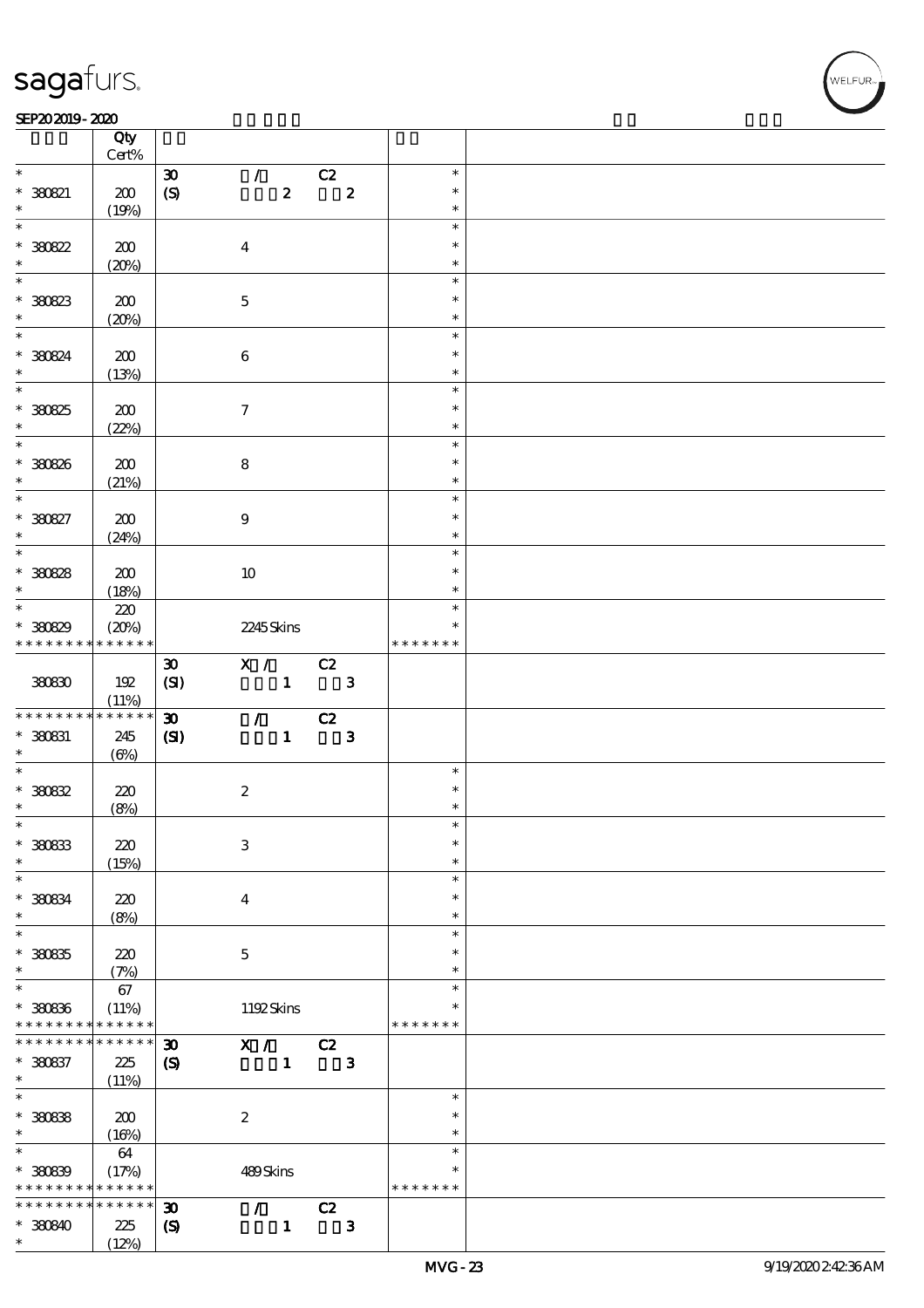#### SEP202019-2020 RESERVED FOR THE SEPERAL SEPERATOR SEPERATOR SOLUTION CONTINUES.

|                          | Qty<br>Cert%    |                             |                         |                                 |             |                  |               |  |
|--------------------------|-----------------|-----------------------------|-------------------------|---------------------------------|-------------|------------------|---------------|--|
| $\ast$                   |                 | $\boldsymbol{\mathfrak{D}}$ |                         | $\mathcal{L}$                   |             |                  | $\ast$        |  |
|                          |                 |                             |                         |                                 | C2          |                  | $\ast$        |  |
| $* 30021$                | 200             | (S)                         |                         | $\boldsymbol{z}$                |             | $\boldsymbol{z}$ |               |  |
| $\ast$                   | (19%)           |                             |                         |                                 |             |                  | $\ast$        |  |
| $\overline{\phantom{0}}$ |                 |                             |                         |                                 |             |                  | $\ast$        |  |
| $*30822$                 | 200             |                             | $\overline{\mathbf{4}}$ |                                 |             |                  | $\ast$        |  |
| $\ast$                   | (20%)           |                             |                         |                                 |             |                  | $\ast$        |  |
|                          |                 |                             |                         |                                 |             |                  | $\ast$        |  |
|                          |                 |                             |                         |                                 |             |                  | $\ast$        |  |
| * 380823<br>$\ast$       | 200             |                             | $\mathbf 5$             |                                 |             |                  |               |  |
|                          | (20%)           |                             |                         |                                 |             |                  | $\ast$        |  |
| $\overline{\phantom{0}}$ |                 |                             |                         |                                 |             |                  | $\ast$        |  |
| * 380824                 | 200             |                             | $\bf 6$                 |                                 |             |                  | $\ast$        |  |
| $\ast$                   | (13%)           |                             |                         |                                 |             |                  | $\ast$        |  |
| $\overline{\phantom{0}}$ |                 |                             |                         |                                 |             |                  | $\ast$        |  |
| * 380825                 | 200             |                             | $\tau$                  |                                 |             |                  | $\ast$        |  |
| $\ast$                   |                 |                             |                         |                                 |             |                  | $\ast$        |  |
|                          | (22%)           |                             |                         |                                 |             |                  |               |  |
|                          |                 |                             |                         |                                 |             |                  | $\ast$        |  |
| * 380826                 | 200             |                             | $\bf 8$                 |                                 |             |                  | $\ast$        |  |
| $\ast$                   | (21%)           |                             |                         |                                 |             |                  | $\ast$        |  |
| $\overline{\ast}$        |                 |                             |                         |                                 |             |                  | $\ast$        |  |
| * 380827                 | 200             |                             | $\boldsymbol{9}$        |                                 |             |                  | $\ast$        |  |
| $\ast$                   | (24%)           |                             |                         |                                 |             |                  | $\ast$        |  |
|                          |                 |                             |                         |                                 |             |                  | $\ast$        |  |
|                          |                 |                             |                         |                                 |             |                  | $\ast$        |  |
| $* 30028$                | 200             |                             | 10                      |                                 |             |                  |               |  |
| $\ast$                   | (18%)           |                             |                         |                                 |             |                  | $\ast$        |  |
| $\ast$                   | 220             |                             |                         |                                 |             |                  | $\ast$        |  |
| * 380829                 | (20%)           |                             | 2245Skins               |                                 |             |                  | *             |  |
| * * * * * * * *          | $* * * * * * *$ |                             |                         |                                 |             |                  | * * * * * * * |  |
|                          |                 | $\boldsymbol{\mathfrak{D}}$ | X / C2                  |                                 |             |                  |               |  |
| 380830                   | 192             | (SI)                        |                         |                                 | $1 \quad 3$ |                  |               |  |
|                          |                 |                             |                         |                                 |             |                  |               |  |
|                          | (11%)           |                             |                         |                                 |             |                  |               |  |
|                          |                 |                             |                         |                                 |             |                  |               |  |
| * * * * * * * *          | $* * * * * * *$ | $\boldsymbol{\mathfrak{D}}$ |                         | $\mathcal{L}$ and $\mathcal{L}$ | C2          |                  |               |  |
| * 380831                 | 245             | $\mathbf{S}$                |                         | $\mathbf{1}$                    |             | $\mathbf{3}$     |               |  |
| $\ast$                   | $(\Theta)$      |                             |                         |                                 |             |                  |               |  |
|                          |                 |                             |                         |                                 |             |                  | $\ast$        |  |
|                          | 220             |                             |                         |                                 |             |                  | $\ast$        |  |
| $*30032$<br>$\ast$       |                 |                             | $\boldsymbol{2}$        |                                 |             |                  | $\ast$        |  |
| $\ast$                   | (8%)            |                             |                         |                                 |             |                  | $\ast$        |  |
|                          |                 |                             |                         |                                 |             |                  | $\ast$        |  |
| * 380833                 | 220             |                             | $\mathbf{3}$            |                                 |             |                  |               |  |
| $\ast$                   | (15%)           |                             |                         |                                 |             |                  | $\ast$        |  |
| $\ast$                   |                 |                             |                         |                                 |             |                  | $\ast$        |  |
| * 380834                 | 220             |                             | $\bf{4}$                |                                 |             |                  | $\ast$        |  |
| $\ast$                   | (8%)            |                             |                         |                                 |             |                  | $\ast$        |  |
| $\ast$                   |                 |                             |                         |                                 |             |                  | $\ast$        |  |
| $*30035$                 | 220             |                             | $\mathbf 5$             |                                 |             |                  | $\ast$        |  |
| $\ast$                   |                 |                             |                         |                                 |             |                  | $\ast$        |  |
| $\ast$                   | (7%)            |                             |                         |                                 |             |                  | $\ast$        |  |
|                          | 67              |                             |                         |                                 |             |                  | $\ast$        |  |
| * 380836                 | (11%)           |                             | 1192Skins               |                                 |             |                  |               |  |
| * * * * * * * *          | * * * * * *     |                             |                         |                                 |             |                  | * * * * * * * |  |
| * * * * * * * *          | * * * * * *     | $\boldsymbol{\mathfrak{D}}$ | X /                     |                                 | C2          |                  |               |  |
| $* 380837$               | 225             | $\boldsymbol{\mathrm{(S)}}$ |                         | $\mathbf{1}$                    |             | $\mathbf{3}$     |               |  |
| $\ast$                   | (11%)           |                             |                         |                                 |             |                  |               |  |
| $\overline{\ast}$        |                 |                             |                         |                                 |             |                  | $\ast$        |  |
|                          |                 |                             |                         |                                 |             |                  | $\ast$        |  |
| $* 30033$<br>$\ast$      | 200             |                             | $\boldsymbol{2}$        |                                 |             |                  | $\ast$        |  |
| $\ast$                   | (16%)           |                             |                         |                                 |             |                  | $\ast$        |  |
|                          | 64              |                             |                         |                                 |             |                  | $\ast$        |  |
| $* 30009$                | (17%)           |                             | 489Skins                |                                 |             |                  |               |  |
| * * * * * * * *          | * * * * * *     |                             |                         |                                 |             |                  | * * * * * * * |  |
| * * * * * * * *          | * * * * * *     | $\boldsymbol{\mathfrak{D}}$ | $\mathcal{F}$           |                                 | C2          |                  |               |  |
| $*30840$                 | 225<br>(12%)    | $\boldsymbol{\mathrm{(S)}}$ |                         | $\mathbf{1}$                    |             | $\mathbf{3}$     |               |  |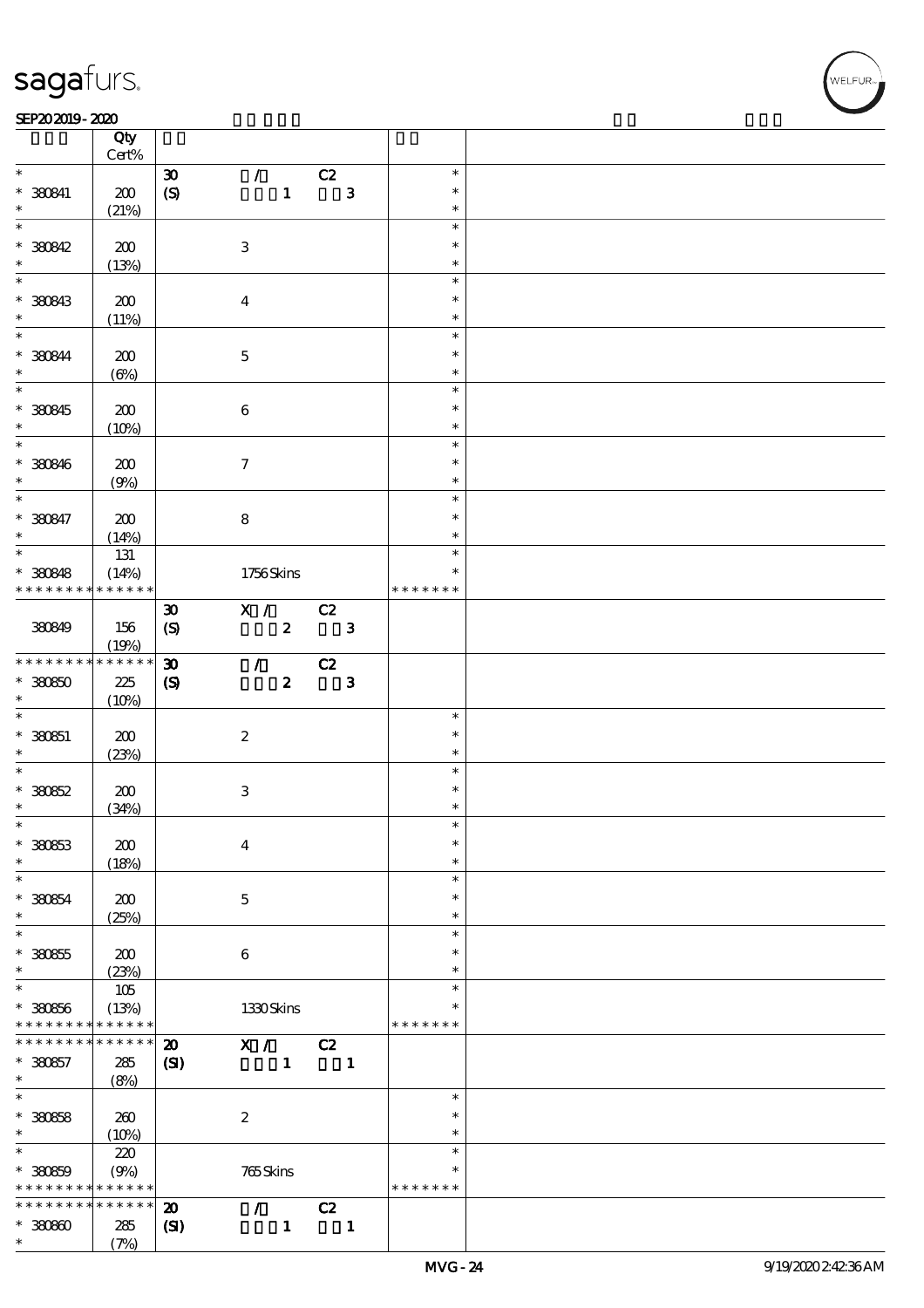#### SEP202019-2020 RESERVED FOR THE SEPERAL SEPERATOR SEPERATOR SOLUTION CONTINUES.

|                                    | Qty<br>Cert% |                             |                           |                  |                            |                |               |  |
|------------------------------------|--------------|-----------------------------|---------------------------|------------------|----------------------------|----------------|---------------|--|
| $\ast$                             |              |                             |                           |                  |                            |                | $\ast$        |  |
|                                    |              | $\boldsymbol{\mathfrak{D}}$ | $\mathcal{F}$             |                  | C2                         |                | $\ast$        |  |
| $*$ 380841                         | 200          | (S)                         |                           | $\mathbf{1}$     |                            | $\mathbf{3}$   |               |  |
| $\ast$                             | (21%)        |                             |                           |                  |                            |                | $\ast$        |  |
| $\overline{\ast}$                  |              |                             |                           |                  |                            |                | $\ast$        |  |
| $* 300342$                         | 200          |                             | $\ensuremath{\mathbf{3}}$ |                  |                            |                | $\ast$        |  |
| $\ast$                             | (13%)        |                             |                           |                  |                            |                | $\ast$        |  |
|                                    |              |                             |                           |                  |                            |                | $\ast$        |  |
| * 380843                           | 200          |                             | $\overline{\mathbf{4}}$   |                  |                            |                | $\ast$        |  |
| $\ast$                             | (11%)        |                             |                           |                  |                            |                | $\ast$        |  |
| $\overline{\mathbf{r}}$            |              |                             |                           |                  |                            |                | $\ast$        |  |
| * 380844                           | 200          |                             | $\mathbf 5$               |                  |                            |                | $\ast$        |  |
| $\ast$                             | $(\Theta\%)$ |                             |                           |                  |                            |                | $\ast$        |  |
| $\overline{\ast}$                  |              |                             |                           |                  |                            |                | $\ast$        |  |
| * 380845                           | 200          |                             | $\bf 6$                   |                  |                            |                | $\ast$        |  |
| $\ast$                             |              |                             |                           |                  |                            |                | $\ast$        |  |
| $\overline{\phantom{0}}$           | (10%)        |                             |                           |                  |                            |                | $\ast$        |  |
|                                    |              |                             |                           |                  |                            |                |               |  |
| * 380846                           | 200          |                             | $\tau$                    |                  |                            |                | $\ast$        |  |
| $\ast$                             | (9%)         |                             |                           |                  |                            |                | $\ast$        |  |
| $\overline{\ast}$                  |              |                             |                           |                  |                            |                | $\ast$        |  |
| * 380847                           | 200          |                             | $\bf 8$                   |                  |                            |                | $\ast$        |  |
| $\ast$                             | (14%)        |                             |                           |                  |                            |                | $\ast$        |  |
| $\overline{\ast}$                  | 131          |                             |                           |                  |                            |                | $\ast$        |  |
| * 380848                           | (14%)        |                             | 1756Skins                 |                  |                            |                | $\ast$        |  |
| * * * * * * * *                    | * * * * * *  |                             |                           |                  |                            |                | * * * * * * * |  |
|                                    |              | $\boldsymbol{\mathfrak{D}}$ | X /                       |                  | C2                         |                |               |  |
| 380849                             | 156          | $\boldsymbol{S}$            |                           | $\mathbf{2}$     | $\overline{\phantom{a}}$ 3 |                |               |  |
|                                    | (19%)        |                             |                           |                  |                            |                |               |  |
| * * * * * * * *                    | * * * * * *  | $\boldsymbol{\mathfrak{D}}$ | $\mathcal{T} =$           |                  | C2                         |                |               |  |
| $*30000$                           | 225          | $\boldsymbol{\mathrm{(S)}}$ |                           | $\boldsymbol{z}$ |                            | $\mathbf{3}$   |               |  |
| $\ast$                             | (10%)        |                             |                           |                  |                            |                |               |  |
| $\ast$                             |              |                             |                           |                  |                            |                | $\ast$        |  |
|                                    |              |                             |                           |                  |                            |                | $\ast$        |  |
| $* 33051$                          | 200          |                             | $\boldsymbol{2}$          |                  |                            |                |               |  |
| $\ast$<br>$\overline{\phantom{0}}$ | (23%)        |                             |                           |                  |                            |                | $\ast$        |  |
|                                    |              |                             |                           |                  |                            |                | $\ast$        |  |
| $*30052$                           | 200          |                             | $\ensuremath{\mathbf{3}}$ |                  |                            |                | $\ast$        |  |
| $\ast$                             | (34%)        |                             |                           |                  |                            |                | $\ast$        |  |
| $\ast$                             |              |                             |                           |                  |                            |                | $\ast$        |  |
| * 380853                           | 200          |                             | $\boldsymbol{4}$          |                  |                            |                | $\ast$        |  |
| $\ast$                             | (18%)        |                             |                           |                  |                            |                | $\ast$        |  |
| $\ast$                             |              |                             |                           |                  |                            |                | $\ast$        |  |
| $* 38064$                          | 200          |                             | $\mathbf 5$               |                  |                            |                | $\ast$        |  |
| $\ast$                             | (25%)        |                             |                           |                  |                            |                | $\ast$        |  |
| $\overline{\ast}$                  |              |                             |                           |                  |                            |                | $\ast$        |  |
| $* 30055$                          | 200          |                             | $\boldsymbol{6}$          |                  |                            |                | $\ast$        |  |
| $\ast$                             | (23%)        |                             |                           |                  |                            |                | $\ast$        |  |
| $\ast$                             | 105          |                             |                           |                  |                            |                | $\ast$        |  |
| $* 38066$                          | (13%)        |                             | 1330Skins                 |                  |                            |                | $\ast$        |  |
| * * * * * * * *                    | * * * * * *  |                             |                           |                  |                            |                | * * * * * * * |  |
| * * * * * * * *                    |              |                             |                           |                  |                            |                |               |  |
|                                    |              |                             |                           |                  |                            |                |               |  |
| $*360657$<br>$\ast$                | * * * * * *  | $\boldsymbol{\mathbf{z}}$   | $\mathbf{X}$ /            |                  | C2                         |                |               |  |
|                                    | 285          | $\mathbf{C}$                |                           | $\mathbf{1}$     |                            | $\blacksquare$ |               |  |
|                                    | (8%)         |                             |                           |                  |                            |                |               |  |
|                                    |              |                             |                           |                  |                            |                | $\ast$        |  |
| $\overline{\ast}$<br>$* 30858$     | 260          |                             | $\boldsymbol{2}$          |                  |                            |                | $\ast$        |  |
| $\ast$                             | (10%)        |                             |                           |                  |                            |                | $\ast$        |  |
| $\ast$                             | 220          |                             |                           |                  |                            |                | $\ast$        |  |
| $* 30000$                          | (9%)         |                             | 765Skins                  |                  |                            |                | $\ast$        |  |
| * * * * * * * *                    | * * * * * *  |                             |                           |                  |                            |                | * * * * * * * |  |
| * * * * * * * *                    | * * * * * *  | $\boldsymbol{\mathbf{z}}$   | $\mathcal{L}$             |                  | C2                         |                |               |  |
| $*3000$                            | 285          | $\mathbf{S}$                |                           | $\mathbf{1}$     |                            | $\mathbf{1}$   |               |  |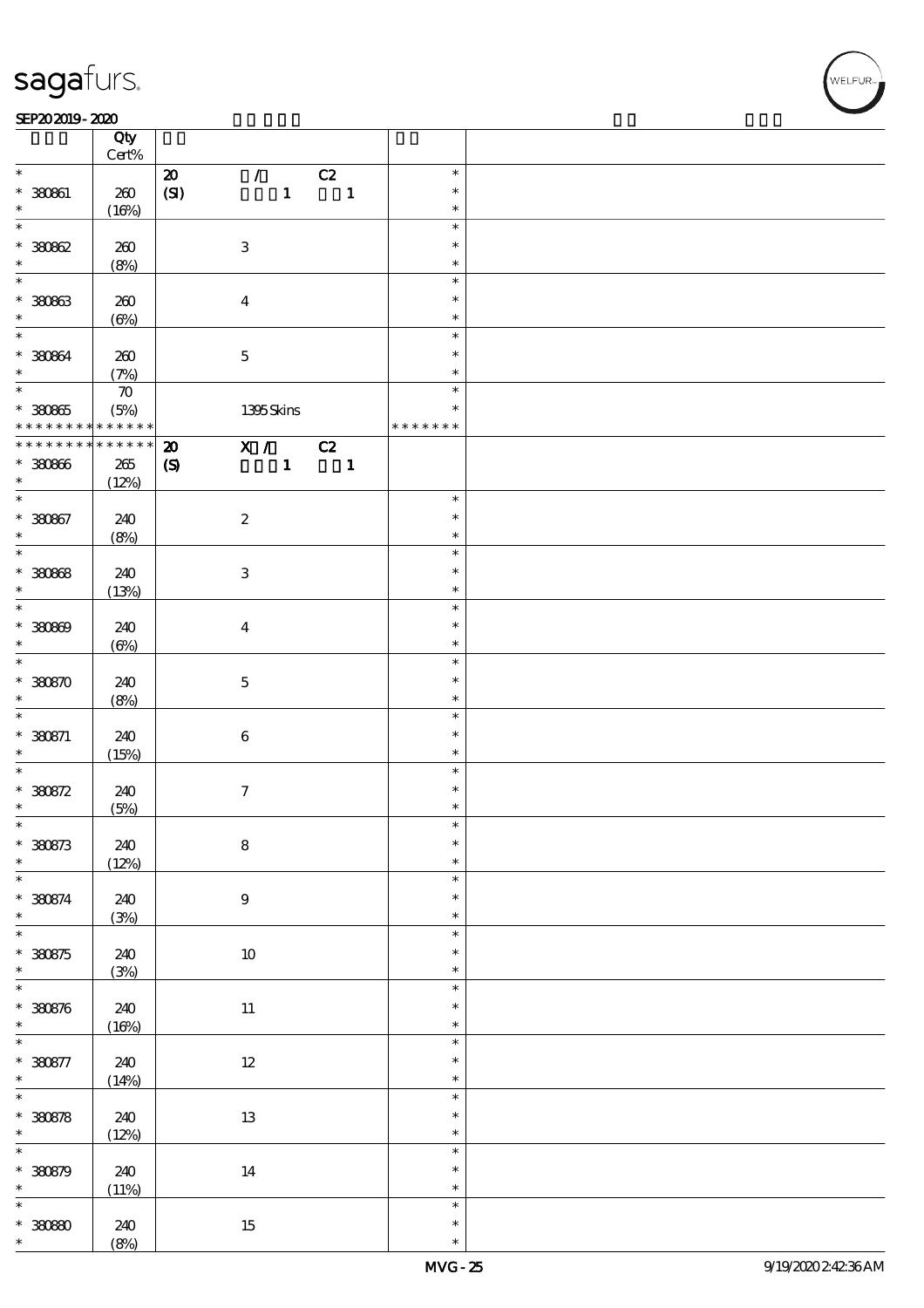#### SEP202019-2020 RESERVED FOR THE SEPERAL SEPERATOR SEPERATOR SOLUTION CONTINUES.

|                                | Qty<br>$Cert\%$    |                            |                                 |    |                          |               |  |
|--------------------------------|--------------------|----------------------------|---------------------------------|----|--------------------------|---------------|--|
| $\ast$                         |                    |                            | $\mathcal{L}$                   |    |                          | $\ast$        |  |
|                                |                    | $\boldsymbol{\mathsf{20}}$ | $\mathbf{1}$                    | C2 |                          | $\ast$        |  |
| $* 30061$<br>$\ast$            | 260                | (SI)                       |                                 |    | $\blacksquare$           | $\ast$        |  |
| $\overline{\ast}$              | (16%)              |                            |                                 |    |                          | $\ast$        |  |
|                                |                    |                            |                                 |    |                          | $\ast$        |  |
| $*30002$                       | 260                |                            | $\ensuremath{\mathbf{3}}$       |    |                          |               |  |
| $\ast$                         | (8%)               |                            |                                 |    |                          | $\ast$        |  |
| $\overline{\ast}$              |                    |                            |                                 |    |                          | $\ast$        |  |
| $* 30063$                      | 260                |                            | $\overline{4}$                  |    |                          | $\ast$        |  |
| $\ast$                         | $(\Theta)$         |                            |                                 |    |                          | $\ast$        |  |
| $\overline{\ast}$              |                    |                            |                                 |    |                          | $\ast$        |  |
| $* 30064$                      | 260                |                            | $\mathbf 5$                     |    |                          | $\ast$        |  |
| $\ast$                         | (7%)               |                            |                                 |    |                          | $\ast$        |  |
|                                | $\boldsymbol{\pi}$ |                            |                                 |    |                          | $\ast$        |  |
| $* 30005$                      | (5%)               |                            | $1395$ Skins                    |    |                          | $\ast$        |  |
| * * * * * * * * <mark>*</mark> | * * * * * *        |                            |                                 |    |                          | * * * * * * * |  |
| * * * * * * * *                | $******$           | $\boldsymbol{\mathbf{z}}$  | $\overline{X}$ / C <sub>2</sub> |    |                          |               |  |
| $* 30000$                      | 265                | $\boldsymbol{\mathcal{S}}$ | $\mathbf{1}$                    |    | $\overline{\phantom{a}}$ |               |  |
| $\ast$                         |                    |                            |                                 |    |                          |               |  |
| $\overline{\ast}$              | (12%)              |                            |                                 |    |                          | $\ast$        |  |
|                                |                    |                            |                                 |    |                          | $\ast$        |  |
| $* 380867$                     | 240                |                            | $\boldsymbol{2}$                |    |                          |               |  |
| $\ast$                         | (8%)               |                            |                                 |    |                          | $\ast$        |  |
|                                |                    |                            |                                 |    |                          | $\ast$        |  |
| $* 30008$                      | 240                |                            | $\ensuremath{\mathbf{3}}$       |    |                          | $\ast$        |  |
| $\ast$                         | (13%)              |                            |                                 |    |                          | $\ast$        |  |
| $\overline{\ast}$              |                    |                            |                                 |    |                          | $\ast$        |  |
| $* 30000$                      | 240                |                            | $\overline{\mathbf{4}}$         |    |                          | $\ast$        |  |
| $\ast$                         | $(\Theta\%)$       |                            |                                 |    |                          | $\ast$        |  |
| $\overline{\ast}$              |                    |                            |                                 |    |                          | $\ast$        |  |
| $*3000$                        | 240                |                            | $\bf 5$                         |    |                          | $\ast$        |  |
| $\ast$                         | (8%)               |                            |                                 |    |                          | $\ast$        |  |
| $\ast$                         |                    |                            |                                 |    |                          | $\ast$        |  |
| $* 380871$                     | 240                |                            | $\bf 6$                         |    |                          | $\ast$        |  |
| $\ast$                         | (15%)              |                            |                                 |    |                          | $\ast$        |  |
| $\overline{\ast}$              |                    |                            |                                 |    |                          | $\ast$        |  |
| $* 380872$                     | 240                |                            | $\boldsymbol{\tau}$             |    |                          | $\ast$        |  |
| $\ast$                         |                    |                            |                                 |    |                          | $\ast$        |  |
| $\ast$                         | (5%)               |                            |                                 |    |                          | $\ast$        |  |
|                                |                    |                            |                                 |    |                          | $\ast$        |  |
| $* 380873$                     | 240                |                            | ${\bf 8}$                       |    |                          |               |  |
| $\ast$<br>$\overline{\ast}$    | (12%)              |                            |                                 |    |                          | $\ast$        |  |
|                                |                    |                            |                                 |    |                          | $\ast$        |  |
| $* 380874$                     | 240                |                            | $\boldsymbol{9}$                |    |                          | $\ast$        |  |
| $\ast$                         | (3%)               |                            |                                 |    |                          | $\ast$        |  |
| $\overline{\ast}$              |                    |                            |                                 |    |                          | $\ast$        |  |
| $*30875$                       | 240                |                            | $10\,$                          |    |                          | $\ast$        |  |
| $\ast$                         | (3%)               |                            |                                 |    |                          | $\ast$        |  |
| $\overline{\ast}$              |                    |                            |                                 |    |                          | $\ast$        |  |
| $* 380876$                     | 240                |                            | $11\,$                          |    |                          | $\ast$        |  |
| $\ast$                         | (16%)              |                            |                                 |    |                          | $\ast$        |  |
| $\overline{\ast}$              |                    |                            |                                 |    |                          | $\ast$        |  |
| $* 380877$                     | 240                |                            | $12\,$                          |    |                          | $\ast$        |  |
| $\ast$                         | (14%)              |                            |                                 |    |                          | $\ast$        |  |
| $\overline{\ast}$              |                    |                            |                                 |    |                          | $\ast$        |  |
| $* 30878$                      | 240                |                            | $1\!3$                          |    |                          | $\ast$        |  |
| $\ast$                         | (12%)              |                            |                                 |    |                          | $\ast$        |  |
| $\overline{\ast}$              |                    |                            |                                 |    |                          | $\ast$        |  |
| $* 380879$                     | 240                |                            | $14\,$                          |    |                          | $\ast$        |  |
| $\ast$                         |                    |                            |                                 |    |                          | $\ast$        |  |
| $\ast$                         | (11%)              |                            |                                 |    |                          | $\ast$        |  |
|                                |                    |                            |                                 |    |                          |               |  |
| $* 3000$                       | 240                |                            | $15\,$                          |    |                          | $\ast$        |  |
| $\ast$                         | (8%)               |                            |                                 |    |                          | $\ast$        |  |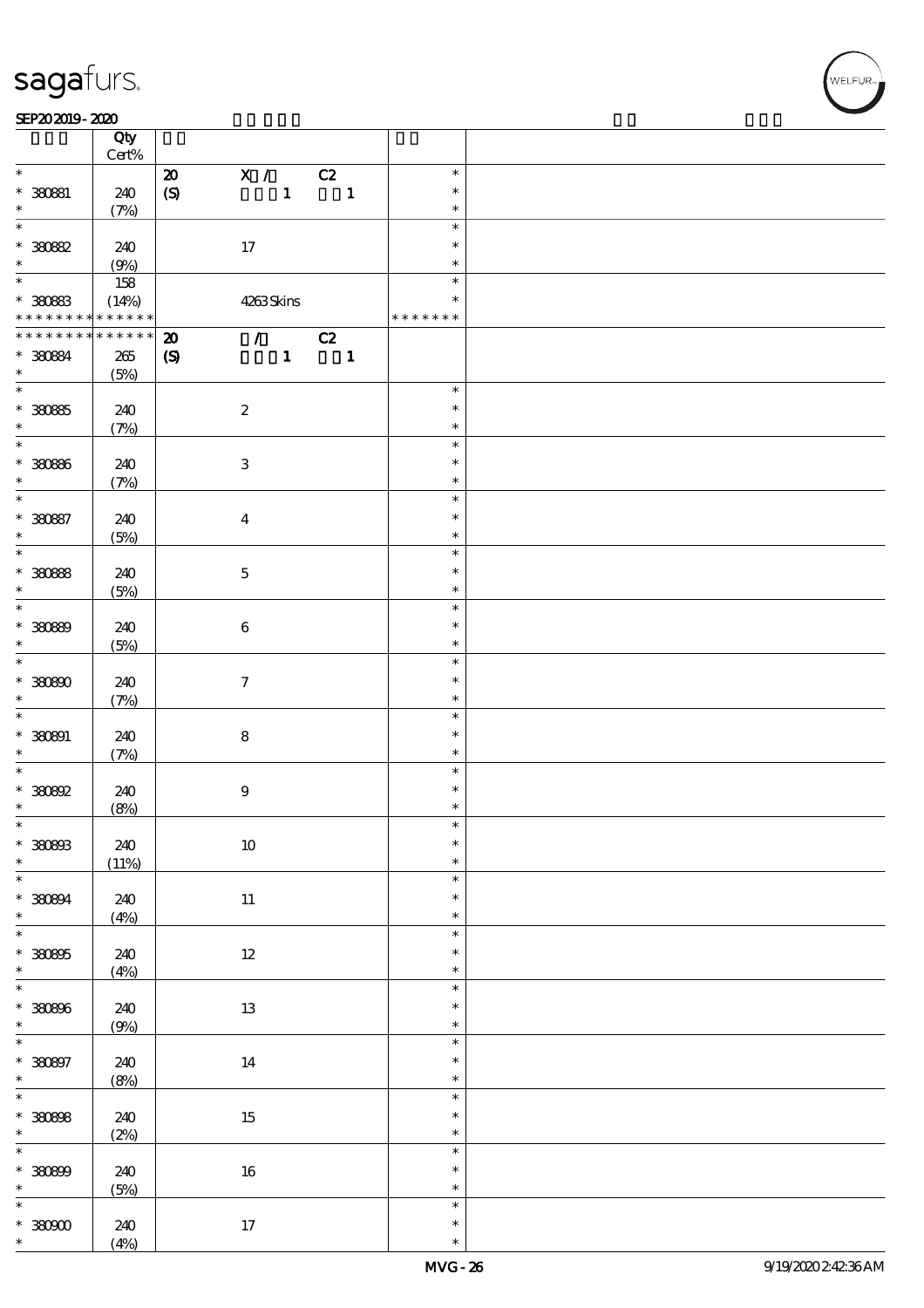#### SEP202019-2020 RESERVED FOR THE SEPERAL SEPERATOR SEPERATOR SOLUTION CONTINUES.

|                             | Qty<br>$Cert\%$ |                             |                           |                             |                          |               |  |
|-----------------------------|-----------------|-----------------------------|---------------------------|-----------------------------|--------------------------|---------------|--|
|                             |                 |                             |                           |                             |                          |               |  |
| $\ast$                      |                 | $\boldsymbol{\mathsf{20}}$  | $\mathbf{X}$ /            |                             | C2                       | $\ast$        |  |
| $* 30081$                   | 240             | $\boldsymbol{S}$            |                           | $\mathbf{1}$                | $\overline{\phantom{a}}$ | $\ast$        |  |
| $\ast$                      | (7%)            |                             |                           |                             |                          | $\ast$        |  |
| $\overline{\ast}$           |                 |                             |                           |                             |                          | $\ast$        |  |
| $*3082$                     | 240             |                             | 17                        |                             |                          | $\ast$        |  |
| $\ast$                      | (9%)            |                             |                           |                             |                          | $\ast$        |  |
|                             |                 |                             |                           |                             |                          | $\ast$        |  |
|                             | 158             |                             |                           |                             |                          |               |  |
| $*30083$                    | (14%)           |                             | 4263Skins                 |                             |                          | $\ast$        |  |
| * * * * * * * * * * * * * * |                 |                             |                           |                             |                          | * * * * * * * |  |
| * * * * * * * *             | $* * * * * * *$ | $\boldsymbol{\mathbf{z}}$   |                           | $\mathcal{T} = \mathcal{I}$ | C2                       |               |  |
| * 380894                    | $265\,$         | $\boldsymbol{\mathrm{(S)}}$ |                           | $\mathbf{1}$                | $\overline{\phantom{a}}$ |               |  |
| $\ast$                      | (5%)            |                             |                           |                             |                          |               |  |
| $\overline{\phantom{0}}$    |                 |                             |                           |                             |                          | $\ast$        |  |
| $* 30005$                   | 240             |                             | $\boldsymbol{2}$          |                             |                          | $\ast$        |  |
| $\ast$                      |                 |                             |                           |                             |                          | $\ast$        |  |
|                             | (7%)            |                             |                           |                             |                          |               |  |
|                             |                 |                             |                           |                             |                          | $\ast$        |  |
| * 380866                    | 240             |                             | $\ensuremath{\mathbf{3}}$ |                             |                          | $\ast$        |  |
| $\ast$                      | (7%)            |                             |                           |                             |                          | $\ast$        |  |
| $\overline{\ast}$           |                 |                             |                           |                             |                          | $\ast$        |  |
| * 380887                    | 240             |                             | $\boldsymbol{4}$          |                             |                          | $\ast$        |  |
| $\ast$                      | (5%)            |                             |                           |                             |                          | $\ast$        |  |
|                             |                 |                             |                           |                             |                          | $\ast$        |  |
| * 380888                    | 240             |                             | $\mathbf 5$               |                             |                          | $\ast$        |  |
| $\ast$                      |                 |                             |                           |                             |                          | $\ast$        |  |
| $\overline{\ast}$           | (5%)            |                             |                           |                             |                          | $\ast$        |  |
|                             |                 |                             |                           |                             |                          |               |  |
| $* 3089$                    | 240             |                             | $\bf 6$                   |                             |                          | $\ast$        |  |
| $\ast$                      | (5%)            |                             |                           |                             |                          | $\ast$        |  |
| $\overline{\ast}$           |                 |                             |                           |                             |                          | $\ast$        |  |
| $*3000$                     | 240             |                             | $\boldsymbol{\tau}$       |                             |                          | $\ast$        |  |
| $\ast$                      | (7%)            |                             |                           |                             |                          | $\ast$        |  |
| $\ast$                      |                 |                             |                           |                             |                          | $\ast$        |  |
| $* 380891$                  | 240             |                             | ${\bf 8}$                 |                             |                          | $\ast$        |  |
| $\ast$                      | (7%)            |                             |                           |                             |                          | $\ast$        |  |
| $\overline{\ast}$           |                 |                             |                           |                             |                          | $\ast$        |  |
| $*30002$                    | 240             |                             | $\boldsymbol{9}$          |                             |                          | $\ast$        |  |
| $\ast$                      |                 |                             |                           |                             |                          | $\ast$        |  |
| $\ast$                      | (8%)            |                             |                           |                             |                          | $\ast$        |  |
|                             |                 |                             |                           |                             |                          | $\ast$        |  |
| $* 300003$                  | 240             |                             | $10\,$                    |                             |                          |               |  |
| $\ast$                      | (11%)           |                             |                           |                             |                          | $\ast$        |  |
|                             |                 |                             |                           |                             |                          | $\ast$        |  |
| * 380894                    | 240             |                             | $11\,$                    |                             |                          | $\ast$        |  |
| $\ast$                      | (4%)            |                             |                           |                             |                          | $\ast$        |  |
| $\overline{\ast}$           |                 |                             |                           |                             |                          | $\ast$        |  |
| $* 30005$                   | 240             |                             | $12\,$                    |                             |                          | $\ast$        |  |
| $\ast$                      | (4%)            |                             |                           |                             |                          | $\ast$        |  |
| $\overline{\ast}$           |                 |                             |                           |                             |                          | $\ast$        |  |
| * 380896                    | 240             |                             | $13\,$                    |                             |                          | $\ast$        |  |
| $\ast$                      | (9%)            |                             |                           |                             |                          | $\ast$        |  |
|                             |                 |                             |                           |                             |                          | $\ast$        |  |
|                             |                 |                             |                           |                             |                          | $\ast$        |  |
| $* 30007$                   | 240             |                             | $14\,$                    |                             |                          |               |  |
| $\ast$                      | (8%)            |                             |                           |                             |                          | $\ast$        |  |
| $\overline{\ast}$           |                 |                             |                           |                             |                          | $\ast$        |  |
| $* 30008$                   | 240             |                             | $15\,$                    |                             |                          | $\ast$        |  |
| $\ast$                      | (2%)            |                             |                           |                             |                          | $\ast$        |  |
| $\overline{\ast}$           |                 |                             |                           |                             |                          | $\ast$        |  |
| $* 30000$                   | 240             |                             | $16\,$                    |                             |                          | $\ast$        |  |
| $\ast$                      | (5%)            |                             |                           |                             |                          | $\ast$        |  |
| $\overline{\ast}$           |                 |                             |                           |                             |                          | $\ast$        |  |
| $* 30000$                   | 240             |                             | $17\,$                    |                             |                          | $\ast$        |  |
| $\ast$                      | (4%)            |                             |                           |                             |                          | $\ast$        |  |
|                             |                 |                             |                           |                             |                          |               |  |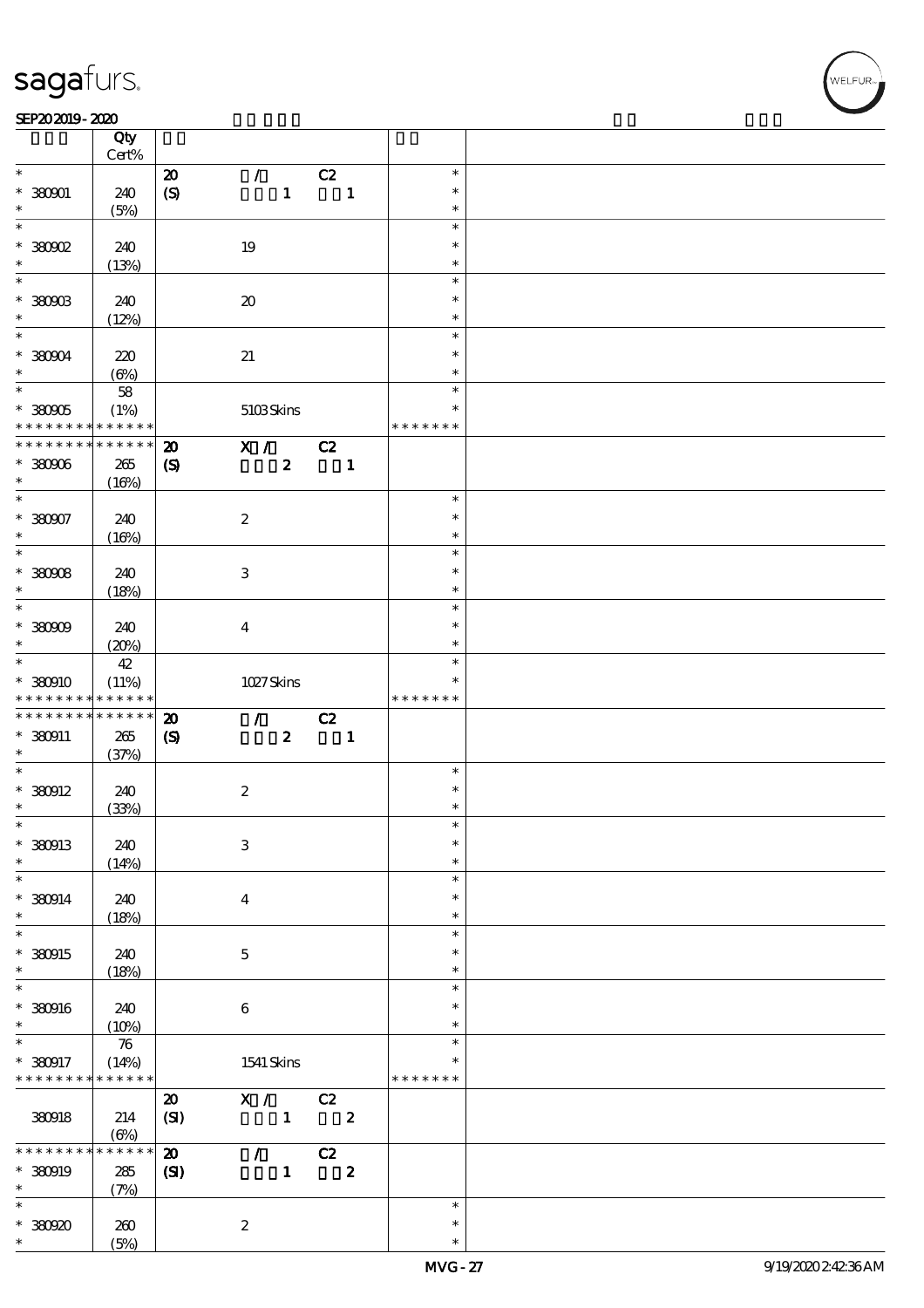#### SEP202019-2020

|                                                                                                                                                     | Qty<br>Cert%         |                             |                             |                         |               |  |
|-----------------------------------------------------------------------------------------------------------------------------------------------------|----------------------|-----------------------------|-----------------------------|-------------------------|---------------|--|
| $\ast$                                                                                                                                              |                      |                             | $\mathcal{L}$               |                         | $\ast$        |  |
|                                                                                                                                                     |                      | $\pmb{\mathcal{D}}$         |                             | C2                      |               |  |
| $*380001$                                                                                                                                           | 240                  | $\boldsymbol{S}$            | $\mathbf{1}$                | $\mathbf{1}$            | $\ast$        |  |
| $\ast$                                                                                                                                              | (5%)                 |                             |                             |                         | $\ast$        |  |
| $\ast$                                                                                                                                              |                      |                             |                             |                         | $\ast$        |  |
| $*380902$                                                                                                                                           | 240                  |                             | 19                          |                         | $\ast$        |  |
|                                                                                                                                                     |                      |                             |                             |                         |               |  |
| $\ast$                                                                                                                                              | (13%)                |                             |                             |                         | $\ast$        |  |
| $\overline{\ast}$                                                                                                                                   |                      |                             |                             |                         | $\ast$        |  |
| $*$ 380903                                                                                                                                          | 240                  |                             | $\boldsymbol{\mathfrak{D}}$ |                         | $\ast$        |  |
| $\ast$                                                                                                                                              |                      |                             |                             |                         | $\ast$        |  |
| $\overline{\ast}$                                                                                                                                   | (12%)                |                             |                             |                         |               |  |
|                                                                                                                                                     |                      |                             |                             |                         | $\ast$        |  |
| $*38004$                                                                                                                                            | 220                  |                             | $2\!1$                      |                         | $\ast$        |  |
| $\ast$                                                                                                                                              | $(\Theta\%)$         |                             |                             |                         | $\ast$        |  |
|                                                                                                                                                     | ${\bf 58}$           |                             |                             |                         | $\ast$        |  |
|                                                                                                                                                     |                      |                             |                             |                         |               |  |
| $* 38005$                                                                                                                                           | (1%)                 |                             | 5103Skins                   |                         | $\ast$        |  |
| * * * * * * * * <mark>*</mark>                                                                                                                      | * * * * * *          |                             |                             |                         | * * * * * * * |  |
| * * * * * * * *                                                                                                                                     | $******$             | $\boldsymbol{\mathbf{z}}$   | $\mathbf{X}$ /              | C2                      |               |  |
| $* 380006$                                                                                                                                          | 265                  | $\boldsymbol{\mathcal{S}}$  | $\boldsymbol{z}$            | $\blacksquare$          |               |  |
|                                                                                                                                                     |                      |                             |                             |                         |               |  |
| $\ast$                                                                                                                                              | (16%)                |                             |                             |                         |               |  |
| $\overline{\ast}$                                                                                                                                   |                      |                             |                             |                         | $\ast$        |  |
| $* 380007$                                                                                                                                          | 240                  |                             | $\boldsymbol{2}$            |                         | $\ast$        |  |
| $\ast$                                                                                                                                              | (16%)                |                             |                             |                         | $\ast$        |  |
|                                                                                                                                                     |                      |                             |                             |                         | $\ast$        |  |
|                                                                                                                                                     |                      |                             |                             |                         |               |  |
| $* 38008$                                                                                                                                           | 240                  |                             | $\ensuremath{\mathbf{3}}$   |                         | $\ast$        |  |
| $\ast$                                                                                                                                              | (18%)                |                             |                             |                         | $\ast$        |  |
| $\overline{\ast}$                                                                                                                                   |                      |                             |                             |                         | $\ast$        |  |
|                                                                                                                                                     |                      |                             |                             |                         | $\ast$        |  |
| $* 38000$                                                                                                                                           | 240                  |                             | $\overline{\mathbf{4}}$     |                         |               |  |
| $\ast$                                                                                                                                              | (20%)                |                             |                             |                         | $\ast$        |  |
| $\overline{\mathbf{r}}$                                                                                                                             | 42                   |                             |                             |                         | $\ast$        |  |
| $*380910$                                                                                                                                           | (11%)                |                             | $1027$ Skins                |                         | $\ast$        |  |
| * * * * * * * *                                                                                                                                     | * * * * * *          |                             |                             |                         | * * * * * * * |  |
|                                                                                                                                                     |                      |                             |                             |                         |               |  |
|                                                                                                                                                     |                      |                             |                             |                         |               |  |
|                                                                                                                                                     | $******$             | $\boldsymbol{\mathbf{z}}$   | $\mathcal{F}$               | C2                      |               |  |
| * * * * * * * *<br>$*$ 380911                                                                                                                       | $265\,$              |                             | $\boldsymbol{z}$            |                         |               |  |
| $\ast$                                                                                                                                              |                      | $\boldsymbol{\mathrm{(S)}}$ |                             | $\blacksquare$          |               |  |
| $\overline{\ast}$                                                                                                                                   | (37%)                |                             |                             |                         | $\ast$        |  |
|                                                                                                                                                     |                      |                             |                             |                         |               |  |
|                                                                                                                                                     | 240                  |                             | $\boldsymbol{2}$            |                         | $\ast$        |  |
| $*$ 380912<br>$\ast$                                                                                                                                | (33%)                |                             |                             |                         | $\ast$        |  |
|                                                                                                                                                     |                      |                             |                             |                         | $\ast$        |  |
|                                                                                                                                                     |                      |                             |                             |                         | $\ast$        |  |
| $\ast$<br>* 380913                                                                                                                                  | 240                  |                             | $\,3$                       |                         |               |  |
| $\ast$                                                                                                                                              | (14%)                |                             |                             |                         | $\ast$        |  |
|                                                                                                                                                     |                      |                             |                             |                         | $\ast$        |  |
|                                                                                                                                                     | 240                  |                             | $\overline{\mathbf{4}}$     |                         | $\ast$        |  |
|                                                                                                                                                     |                      |                             |                             |                         | $\ast$        |  |
|                                                                                                                                                     | (18%)                |                             |                             |                         | $\ast$        |  |
|                                                                                                                                                     |                      |                             |                             |                         |               |  |
|                                                                                                                                                     | 240                  |                             | $\mathbf 5$                 |                         | $\ast$        |  |
|                                                                                                                                                     | (18%)                |                             |                             |                         | $\ast$        |  |
|                                                                                                                                                     |                      |                             |                             |                         | $\ast$        |  |
|                                                                                                                                                     |                      |                             |                             |                         | $\ast$        |  |
|                                                                                                                                                     | 240                  |                             | $\bf 6$                     |                         |               |  |
|                                                                                                                                                     | (10%)                |                             |                             |                         | $\ast$        |  |
|                                                                                                                                                     | $\boldsymbol{\pi}$   |                             |                             |                         | $\ast$        |  |
|                                                                                                                                                     |                      |                             |                             |                         | $\ast$        |  |
|                                                                                                                                                     | (14%)<br>* * * * * * |                             | $1541\,$ Skins              |                         | * * * * * * * |  |
|                                                                                                                                                     |                      |                             |                             |                         |               |  |
|                                                                                                                                                     |                      | $\boldsymbol{\mathfrak{D}}$ | X /                         | C2                      |               |  |
| 380918                                                                                                                                              | 214                  | (SI)                        | $\mathbf{1}$                | $\overline{\mathbf{c}}$ |               |  |
|                                                                                                                                                     | $(\Theta\%)$         |                             |                             |                         |               |  |
| * * * * * *                                                                                                                                         | * * * * * *          |                             |                             |                         |               |  |
|                                                                                                                                                     |                      | $\boldsymbol{\mathbf{z}}$   | $\mathcal{L}$               | C2                      |               |  |
| $\ast$<br>$*$ 380914<br>$\ast$<br>$\ast$<br>* 380915<br>$\ast$<br>$\ast$<br>* 380916<br>$\ast$<br>$\ast$<br>* 380917<br>* * * * * * * *<br>* 380919 | 285                  | $\mathbf{C}$                | $\mathbf{1}$                | $\boldsymbol{2}$        |               |  |
| $\ast$                                                                                                                                              | (7%)                 |                             |                             |                         |               |  |
| $\ast$                                                                                                                                              |                      |                             |                             |                         | $\ast$        |  |
|                                                                                                                                                     |                      |                             |                             |                         | $\ast$        |  |
| * 380920<br>$\ast$                                                                                                                                  | 260<br>(5%)          |                             | $\boldsymbol{z}$            |                         | $\ast$        |  |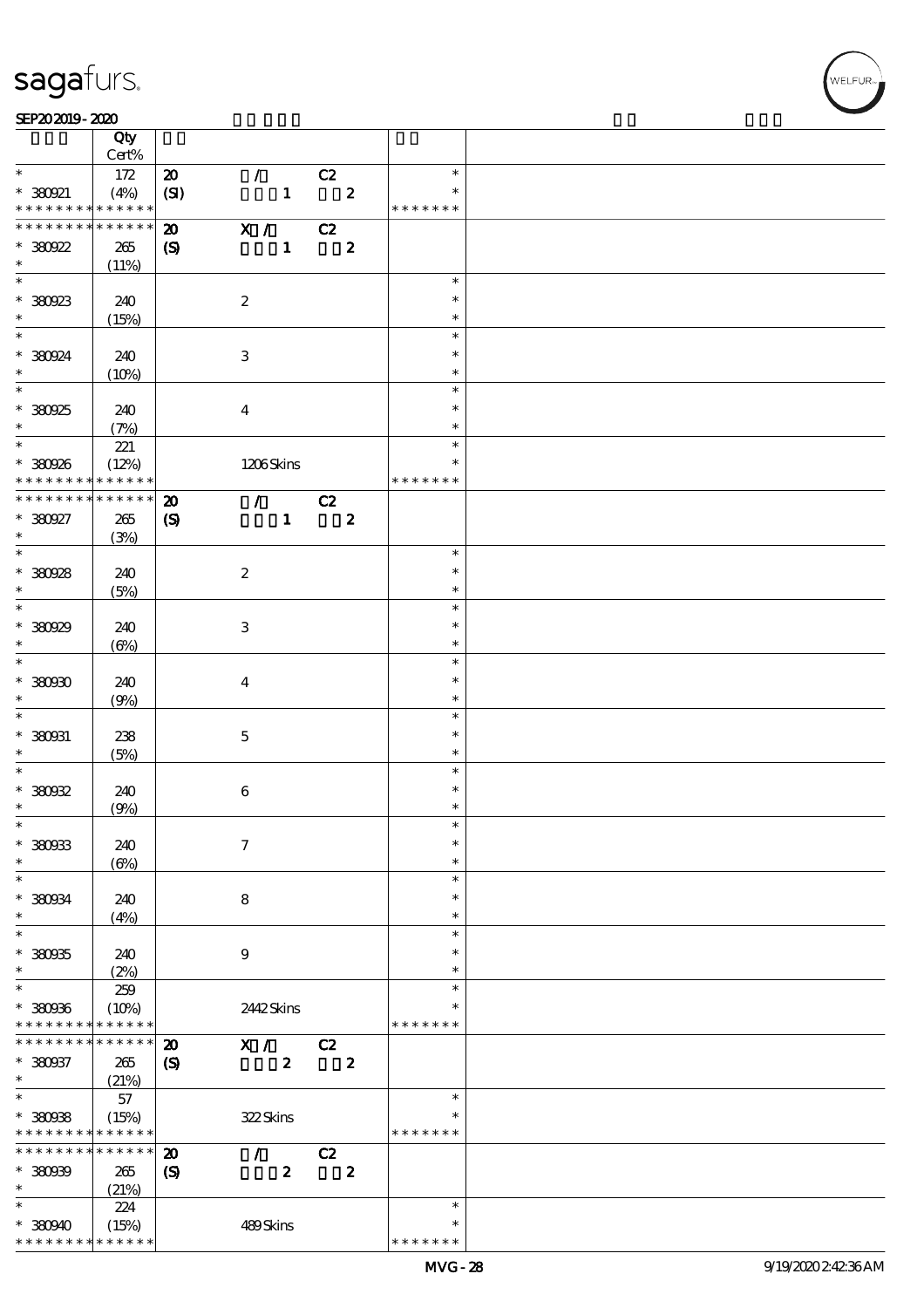$\overline{\mathsf{T}}$ 

#### SEP202019-2020 RESERVED FOR THE SEPERAL SEPERATOR SEPERATOR SOLUTION CONTINUES.

|                                          | Qty<br>Cert%         |                             |                             |                  |    |                         |               |  |
|------------------------------------------|----------------------|-----------------------------|-----------------------------|------------------|----|-------------------------|---------------|--|
| $\ast$                                   |                      |                             |                             |                  |    |                         |               |  |
|                                          | 172                  | $\pmb{\mathcal{D}}$         | $\mathcal{L}$               |                  | C2 |                         | $\ast$        |  |
| $*380921$                                | (4%)                 | (SI)                        |                             | $\mathbf{1}$     |    | $\overline{\mathbf{2}}$ | $\ast$        |  |
| * * * * * * * *                          | * * * * * *          |                             |                             |                  |    |                         | * * * * * * * |  |
| * * * * * * * *                          | * * * * * *          | $\boldsymbol{\mathbf{z}}$   | $\mathbf{X}$ /              |                  | C2 |                         |               |  |
| $*380922$                                | 265                  | $\boldsymbol{\mathrm{(S)}}$ |                             | $\mathbf{1}$     |    | $\boldsymbol{z}$        |               |  |
| $\ast$                                   | (11%)                |                             |                             |                  |    |                         |               |  |
|                                          |                      |                             |                             |                  |    |                         | $\ast$        |  |
| $*380923$                                | 240                  |                             | $\boldsymbol{2}$            |                  |    |                         | $\ast$        |  |
| $\ast$                                   | (15%)                |                             |                             |                  |    |                         | $\ast$        |  |
| $\overline{\mathbf{r}}$                  |                      |                             |                             |                  |    |                         | $\ast$        |  |
| * 380924                                 | 240                  |                             | $\,3$                       |                  |    |                         | $\ast$        |  |
| $\ast$                                   | (10%)                |                             |                             |                  |    |                         | $\ast$        |  |
| $\overline{\ast}$                        |                      |                             |                             |                  |    |                         | $\ast$        |  |
| * 380925                                 | 240                  |                             | $\boldsymbol{4}$            |                  |    |                         | $\ast$        |  |
| $\ast$                                   | (7%)                 |                             |                             |                  |    |                         | $\ast$        |  |
|                                          | 221                  |                             |                             |                  |    |                         | $\ast$        |  |
| * 380926                                 | (12%)                |                             | 1206Skins                   |                  |    |                         | $\ast$        |  |
| * * * * * * * *                          | * * * * * *          |                             |                             |                  |    |                         | * * * * * * * |  |
| * * * * * * * *                          | * * * * * *          |                             |                             |                  |    |                         |               |  |
|                                          |                      | $\boldsymbol{\mathbf{z}}$   | $\mathcal{T} = \mathcal{I}$ |                  | C2 |                         |               |  |
| * 380927                                 | 265                  | $\boldsymbol{\mathrm{(S)}}$ |                             | $\mathbf{1}$     |    | $\boldsymbol{z}$        |               |  |
| $\ast$<br>$\overline{\ast}$              | (3%)                 |                             |                             |                  |    |                         | $\ast$        |  |
|                                          |                      |                             |                             |                  |    |                         |               |  |
| $*380928$                                | 240                  |                             | $\boldsymbol{2}$            |                  |    |                         | $\ast$        |  |
| $\ast$                                   | (5%)                 |                             |                             |                  |    |                         | $\ast$        |  |
|                                          |                      |                             |                             |                  |    |                         | $\ast$        |  |
| * 380929                                 | 240                  |                             | $\ensuremath{\mathbf{3}}$   |                  |    |                         | $\ast$        |  |
| $\ast$                                   | $(\Theta)$           |                             |                             |                  |    |                         | $\ast$        |  |
| $\overline{\ast}$                        |                      |                             |                             |                  |    |                         | $\ast$        |  |
| $*30000$                                 | 240                  |                             | $\boldsymbol{4}$            |                  |    |                         | $\ast$        |  |
| $\ast$                                   | (9%)                 |                             |                             |                  |    |                         | $\ast$        |  |
| $\ast$                                   |                      |                             |                             |                  |    |                         | $\ast$        |  |
| $* 380031$                               | 238                  |                             | $\bf 5$                     |                  |    |                         | $\ast$        |  |
| $\ast$                                   | (5%)                 |                             |                             |                  |    |                         | $\ast$        |  |
| $\ast$                                   |                      |                             |                             |                  |    |                         | $\ast$        |  |
| $*30002$                                 | 240                  |                             | $\bf 6$                     |                  |    |                         | $\ast$        |  |
| $\ast$                                   | (9%)                 |                             |                             |                  |    |                         | $\ast$        |  |
| $\ast$                                   |                      |                             |                             |                  |    |                         | $\ast$        |  |
| * 380933                                 | 240                  |                             | $\tau$                      |                  |    |                         | $\ast$        |  |
| $\ast$                                   | $(\Theta)$           |                             |                             |                  |    |                         | $\ast$        |  |
| $\ast$                                   |                      |                             |                             |                  |    |                         | $\ast$        |  |
| * 380934                                 | 240                  |                             | 8                           |                  |    |                         | $\ast$        |  |
| $\ast$                                   | (4%)                 |                             |                             |                  |    |                         | $\ast$        |  |
| $\ast$                                   |                      |                             |                             |                  |    |                         | $\ast$        |  |
| $*380935$                                | 240                  |                             | $\boldsymbol{9}$            |                  |    |                         | $\ast$        |  |
| $\ast$                                   | (2%)                 |                             |                             |                  |    |                         | $\ast$        |  |
| $\ast$                                   | 259                  |                             |                             |                  |    |                         | $\ast$        |  |
|                                          |                      |                             |                             |                  |    |                         | $\ast$        |  |
| * 380936<br>* * * * * * * *              | (10%)<br>* * * * * * |                             | 2442Skins                   |                  |    |                         | * * * * * * * |  |
| * * * * * * * *                          | * * * * * *          |                             |                             |                  |    |                         |               |  |
|                                          |                      | $\boldsymbol{\mathbf{z}}$   | X /                         |                  | C2 |                         |               |  |
| $* 380037$                               | 265                  | $\boldsymbol{\mathrm{(S)}}$ |                             | $\boldsymbol{z}$ |    | $\boldsymbol{z}$        |               |  |
| $\ast$<br>$\overline{\ast}$              | (21%)                |                             |                             |                  |    |                         |               |  |
|                                          | 57                   |                             |                             |                  |    |                         | $\ast$        |  |
| $*30008$                                 | (15%)                |                             | 322Skins                    |                  |    |                         | $\ast$        |  |
| * * * * * * * * <mark>* * * * * *</mark> |                      |                             |                             |                  |    |                         | * * * * * * * |  |
| * * * * * * * *                          | * * * * * *          | $\boldsymbol{\mathbf{z}}$   | $\mathcal{L}$               |                  | C2 |                         |               |  |
| $*30000$                                 | 265                  | $\boldsymbol{\mathrm{(S)}}$ |                             | $\boldsymbol{z}$ |    | $\boldsymbol{2}$        |               |  |
| $\ast$                                   | (21%)                |                             |                             |                  |    |                         |               |  |
| $\ast$                                   | 224                  |                             |                             |                  |    |                         | $\ast$        |  |
| $*38090$                                 | (15%)                |                             | 489Skins                    |                  |    |                         | $\ast$        |  |
| * * * * * * * * <mark>* * * * * *</mark> |                      |                             |                             |                  |    |                         | * * * * * * * |  |

WELFUR<br>
VELFUR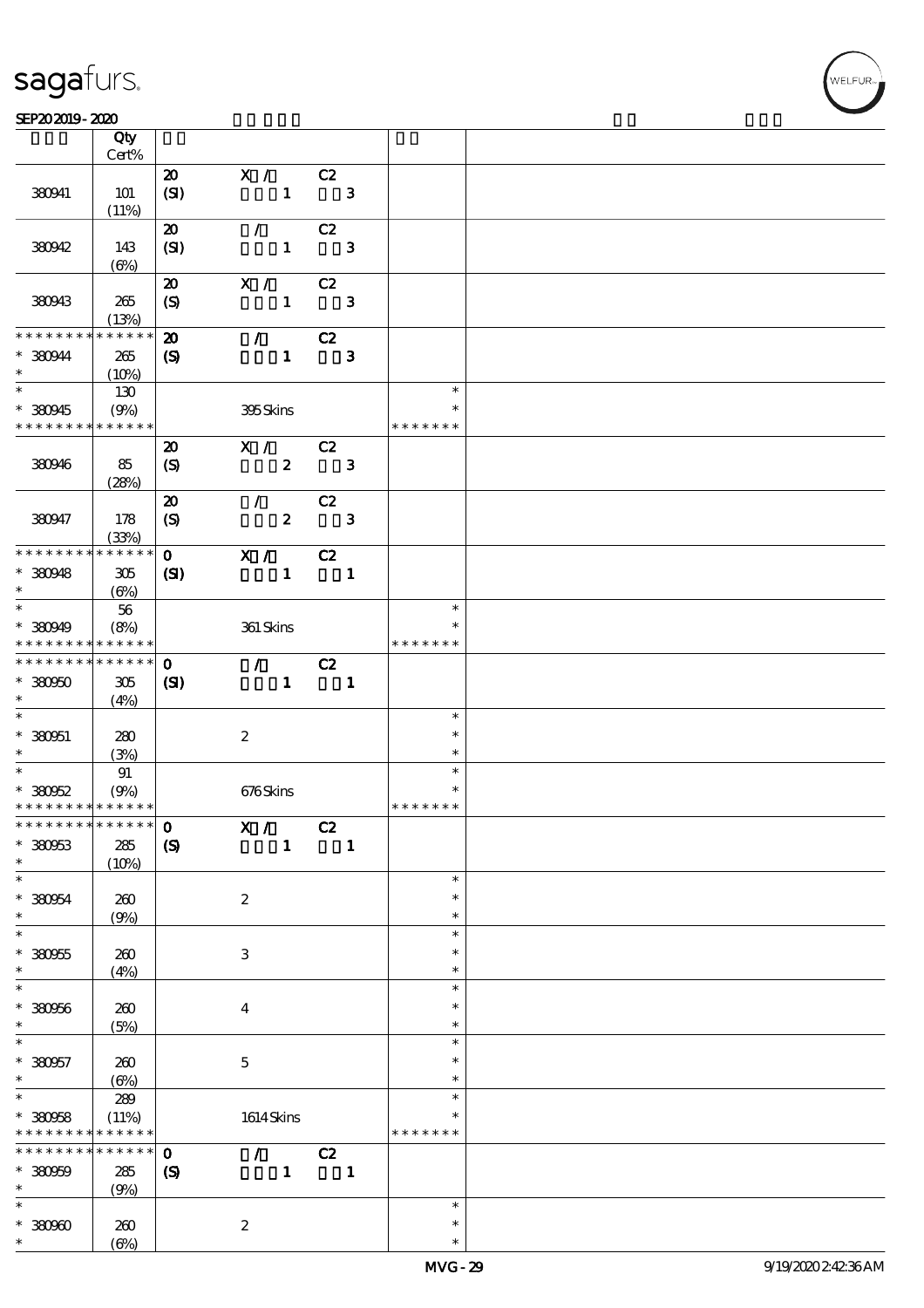$\top$ 

#### SEP202019-2020 RESERVED FOR THE SEPERAL SEPERATOR SEPERATOR SOLUTION CONTINUES.

|                               | Qty<br>Cert%         |                                    |                                 |                               |                         |               |  |
|-------------------------------|----------------------|------------------------------------|---------------------------------|-------------------------------|-------------------------|---------------|--|
|                               |                      |                                    |                                 |                               |                         |               |  |
| 380941                        | 101                  | $\boldsymbol{\mathsf{20}}$<br>(SI) | X /<br>$\mathbf{1}$             | C2<br>$\overline{\mathbf{3}}$ |                         |               |  |
|                               | (11%)                |                                    |                                 |                               |                         |               |  |
|                               |                      | $\boldsymbol{\mathfrak{D}}$        | $\mathcal{L}$                   | C2                            |                         |               |  |
| 380942                        | 143                  | (SI)                               | $\mathbf{1}$                    |                               | $\mathbf{3}$            |               |  |
|                               | $(\Theta)$           |                                    |                                 |                               |                         |               |  |
|                               |                      | $\boldsymbol{\mathbf{z}}$          | X /                             | C2                            |                         |               |  |
| 380943                        | 265                  | $\boldsymbol{S}$                   | $\mathbf{1}$                    |                               | $\mathbf{3}$            |               |  |
|                               | (13%)                |                                    |                                 |                               |                         |               |  |
| * * * * * * * *               | * * * * * *          | $\boldsymbol{\mathfrak{D}}$        | $\mathcal{F}$                   | C2                            |                         |               |  |
| * 380944                      | 265                  | $\boldsymbol{\mathrm{(S)}}$        | $\mathbf{1}$                    |                               | $\mathbf{3}$            |               |  |
| $\ast$                        | (10%)                |                                    |                                 |                               |                         |               |  |
| $\overline{\phantom{0}}$      | 130                  |                                    |                                 |                               |                         | $\ast$        |  |
| * 380945                      | (9%)                 |                                    | 395Skins                        |                               |                         | $\ast$        |  |
| * * * * * * * *               | * * * * * *          |                                    |                                 |                               |                         | * * * * * * * |  |
|                               |                      | $\boldsymbol{\mathbf{z}}$          | $X / \sqrt{2}$                  | C2                            |                         |               |  |
| 380946                        | 85                   | $\boldsymbol{S}$                   | $\boldsymbol{z}$                |                               | $\overline{\mathbf{3}}$ |               |  |
|                               | (28%)                |                                    |                                 |                               |                         |               |  |
|                               |                      | $\boldsymbol{\mathbf{z}}$          | $\mathcal{L}$                   | C2                            |                         |               |  |
| 380947                        | 178                  |                                    | $\boldsymbol{z}$                |                               | $\mathbf{3}$            |               |  |
|                               | (33%)                | $\boldsymbol{S}$                   |                                 |                               |                         |               |  |
| * * * * * * * *               | * * * * * *          | $\mathbf{O}$                       | X /                             | C2                            |                         |               |  |
|                               |                      |                                    |                                 |                               |                         |               |  |
| $*$ 380948<br>$\ast$          | 305                  | (S)                                | $\mathbf{1}$                    | $\blacksquare$                |                         |               |  |
|                               | $(\Theta)$           |                                    |                                 |                               |                         | $\ast$        |  |
|                               | 56                   |                                    |                                 |                               |                         |               |  |
| $* 380949$                    | (8%)                 |                                    | 361 Skins                       |                               |                         | *             |  |
| * * * * * * * *               | * * * * * *          |                                    |                                 |                               |                         | * * * * * * * |  |
| * * * * * * * *               | * * * * * *          | $\mathbf{O}$                       | $\mathcal{F}$ and $\mathcal{F}$ | C2                            |                         |               |  |
| $*30000$                      | 305                  | (S)                                | $\mathbf{1}$                    | $\overline{\phantom{a}}$ 1    |                         |               |  |
| $\ast$                        | (4%)                 |                                    |                                 |                               |                         |               |  |
| $\ast$                        |                      |                                    |                                 |                               |                         | $\ast$        |  |
| $* 330051$                    | 280                  |                                    | $\boldsymbol{z}$                |                               |                         | $\ast$        |  |
| $\ast$                        | (3%)                 |                                    |                                 |                               |                         | $\ast$        |  |
| $*$                           | 91                   |                                    |                                 |                               |                         | $\ast$        |  |
| $*30052$                      | (9%)                 |                                    | 676Skins                        |                               |                         | $\ast$        |  |
| * * * * * * * * * * * * * *   |                      |                                    |                                 |                               |                         | * * * * * * * |  |
| ******** <sup>****** 0</sup>  |                      |                                    | X /                             | C2                            |                         |               |  |
| $* 38063$                     | 285                  | $\boldsymbol{S}$                   | $\mathbf{1}$                    |                               | $\mathbf{1}$            |               |  |
| $\ast$                        | (10%)                |                                    |                                 |                               |                         |               |  |
| $\ast$                        |                      |                                    |                                 |                               |                         | $\ast$        |  |
| $* 380054$                    | 260                  |                                    | $\boldsymbol{z}$                |                               |                         | $\ast$        |  |
| $\ast$                        | (9%)                 |                                    |                                 |                               |                         | $\ast$        |  |
| $\overline{\ast}$             |                      |                                    |                                 |                               |                         | $\ast$        |  |
| $* 380955$                    | 260                  |                                    | 3                               |                               |                         | $\ast$        |  |
| $\ast$                        | (4%)                 |                                    |                                 |                               |                         | $\ast$        |  |
| $\ast$                        |                      |                                    |                                 |                               |                         | $\ast$        |  |
| $* 380056$                    | 260                  |                                    | $\bf{4}$                        |                               |                         | $\ast$        |  |
| $\ast$                        | (5%)                 |                                    |                                 |                               |                         | $\ast$        |  |
| $\ast$                        |                      |                                    |                                 |                               |                         | $\ast$        |  |
| $* 380957$                    | 260                  |                                    | $\mathbf 5$                     |                               |                         | $\ast$        |  |
| $\ast$                        |                      |                                    |                                 |                               |                         | $\ast$        |  |
| $\overline{\ast}$             | $(\Theta)$<br>289    |                                    |                                 |                               |                         | $\ast$        |  |
|                               |                      |                                    |                                 |                               |                         |               |  |
| $* 380058$<br>* * * * * * * * | (11%)<br>* * * * * * |                                    | 1614Skins                       |                               |                         | * * * * * * * |  |
| * * * * * * *                 | * * * * * *          |                                    |                                 |                               |                         |               |  |
|                               |                      | $\mathbf 0$                        | $\mathcal{L}$ and $\mathcal{L}$ | C2                            |                         |               |  |
| $* 380009$                    | 285                  | $\boldsymbol{\mathcal{S}}$         | $\mathbf{1}$                    | $\blacksquare$                |                         |               |  |
| $\ast$                        | (9%)                 |                                    |                                 |                               |                         |               |  |
| $\ast$                        |                      |                                    |                                 |                               |                         | $\ast$        |  |
| $*30000$                      | 260                  |                                    | $\boldsymbol{z}$                |                               |                         | $\ast$        |  |
| $\ast$                        | $(\Theta)$           |                                    |                                 |                               |                         | $\ast$        |  |

 $\overline{\mathbf{r}}$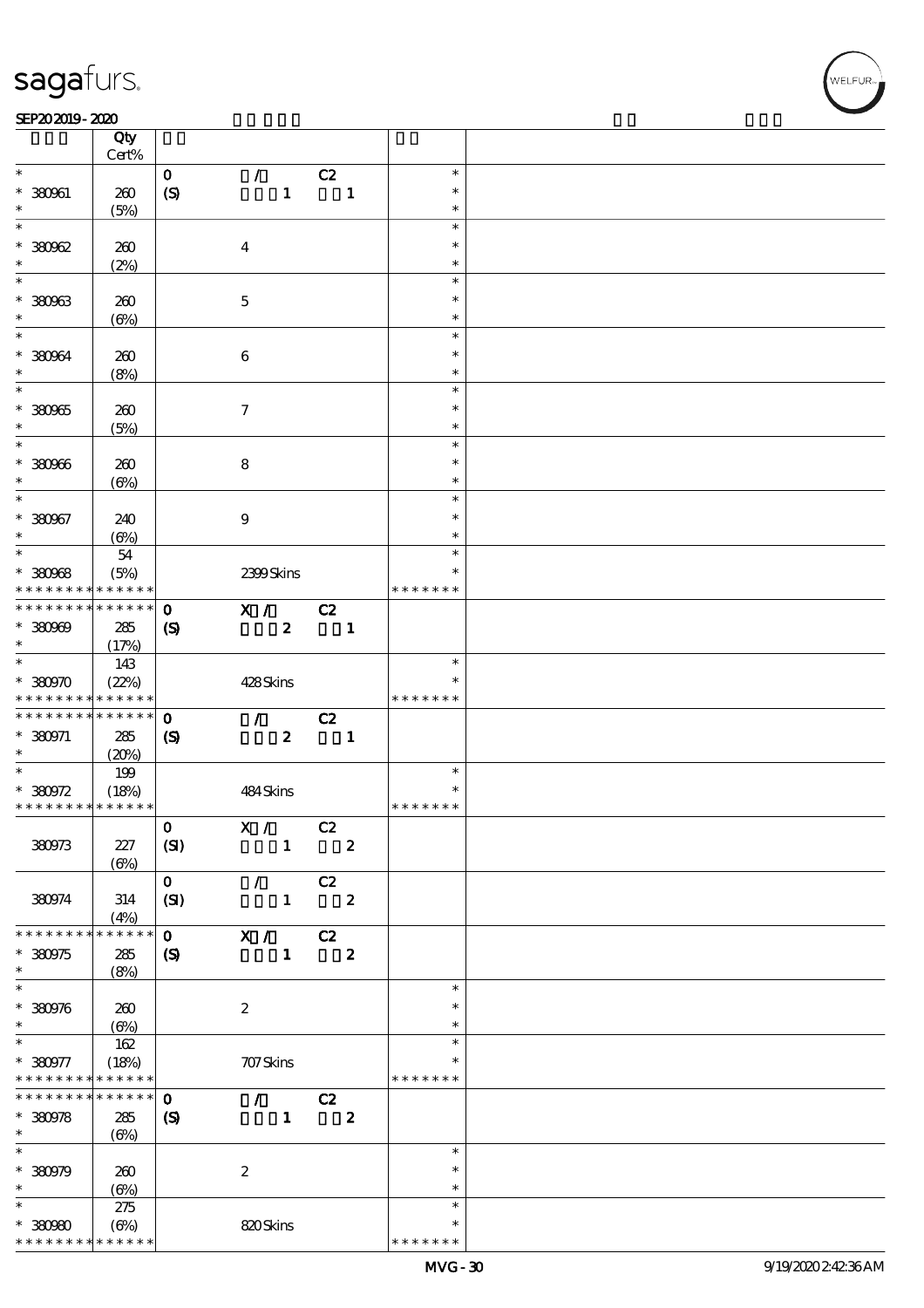$\overline{\mathsf{T}}$ 

#### SEP202019-2020 RESERVED FOR THE SEPERAL SEPERATOR SEPERATOR SOLUTION CONTINUES.

|                                            | Qty<br>Cert% |                             |                            |                         |                  |               |  |
|--------------------------------------------|--------------|-----------------------------|----------------------------|-------------------------|------------------|---------------|--|
| $\ast$                                     |              |                             |                            |                         |                  | $\ast$        |  |
|                                            |              | $\mathbf{o}$                | $\mathcal{L}$              | C2                      |                  |               |  |
| $* 380961$                                 | 260          | $\boldsymbol{S}$            | $\mathbf{1}$               |                         | $\mathbf{1}$     | $\ast$        |  |
| $\ast$                                     | (5%)         |                             |                            |                         |                  | $\ast$        |  |
| $\ast$                                     |              |                             |                            |                         |                  | $\ast$        |  |
| $*30062$                                   | 260          |                             | $\overline{\mathbf{4}}$    |                         |                  | $\ast$        |  |
| $\ast$                                     | (2%)         |                             |                            |                         |                  | $\ast$        |  |
| $\overline{\ast}$                          |              |                             |                            |                         |                  | $\ast$        |  |
|                                            |              |                             |                            |                         |                  |               |  |
| $* 380963$                                 | 260          |                             | $\mathbf{5}$               |                         |                  | $\ast$        |  |
| $\ast$                                     | $(\Theta)$   |                             |                            |                         |                  | $\ast$        |  |
| $\ast$                                     |              |                             |                            |                         |                  | $\ast$        |  |
| * 380964                                   | 260          |                             | $\bf 6$                    |                         |                  | $\ast$        |  |
| $\ast$                                     | (8%)         |                             |                            |                         |                  | $\ast$        |  |
| $\overline{\ast}$                          |              |                             |                            |                         |                  | $\ast$        |  |
| * 380965                                   |              |                             |                            |                         |                  | $\ast$        |  |
|                                            | 260          |                             | $\tau$                     |                         |                  |               |  |
| $\ast$                                     | (5%)         |                             |                            |                         |                  | $\ast$        |  |
| $\ast$                                     |              |                             |                            |                         |                  | $\ast$        |  |
| $* 30006$                                  | 260          |                             | 8                          |                         |                  | $\ast$        |  |
| $\ast$                                     | $(\Theta)$   |                             |                            |                         |                  | $\ast$        |  |
| $\ast$                                     |              |                             |                            |                         |                  | $\ast$        |  |
| $* 380967$                                 | 240          |                             | $\boldsymbol{9}$           |                         |                  | $\ast$        |  |
| $\ast$                                     | $(\Theta)$   |                             |                            |                         |                  | $\ast$        |  |
| $\overline{\ast}$                          |              |                             |                            |                         |                  | $\ast$        |  |
|                                            | $5\!4$       |                             |                            |                         |                  |               |  |
| $* 380968$                                 | (5%)         |                             | 2399Skins                  |                         |                  | $\ast$        |  |
| * * * * * * * *                            | * * * * * *  |                             |                            |                         |                  | * * * * * * * |  |
| * * * * * * * *                            | ******       | $\mathbf 0$                 | X /                        | C2                      |                  |               |  |
| $*30000$                                   | 285          | $\boldsymbol{\mathcal{S}}$  | $\boldsymbol{z}$           | $\blacksquare$          |                  |               |  |
| $\ast$                                     | (17%)        |                             |                            |                         |                  |               |  |
|                                            | 143          |                             |                            |                         |                  | $\ast$        |  |
|                                            |              |                             |                            |                         |                  | $\ast$        |  |
| $*$ 380970                                 | (22%)        |                             | 428Skins                   |                         |                  |               |  |
| * * * * * * * * * * * * * *                |              |                             |                            |                         |                  | * * * * * * * |  |
| * * * * * * * * * * * * * * *              |              | $\mathbf 0$                 | $\mathcal{F}$              | C2                      |                  |               |  |
| $* 380971$                                 | 285          | $\boldsymbol{\mathrm{(S)}}$ | $\boldsymbol{z}$           |                         | $\blacksquare$   |               |  |
| $\ast$                                     | (20%)        |                             |                            |                         |                  |               |  |
| $\overline{\phantom{0}}$                   | 199          |                             |                            |                         |                  | $\ast$        |  |
| $*380972$                                  | (18%)        |                             | 484Skins                   |                         |                  | $\ast$        |  |
| * * * * * * * * <mark>* * * * * * *</mark> |              |                             |                            |                         |                  | * * * * * * * |  |
|                                            |              |                             |                            |                         |                  |               |  |
|                                            |              | $\mathbf{0}$                | X /                        | C2                      |                  |               |  |
| 380973                                     | 227          | (SI)                        | $\mathbf{1}$               |                         | $\boldsymbol{z}$ |               |  |
|                                            | $(\Theta)$   |                             |                            |                         |                  |               |  |
|                                            |              | $\mathbf{O}$                | $\mathcal{F}$              | C2                      |                  |               |  |
| 380974                                     | 314          | (SI)                        | $\mathbf{1}$               |                         | $\boldsymbol{z}$ |               |  |
|                                            | (4%)         |                             |                            |                         |                  |               |  |
| * * * * * * * *                            | * * * * * *  | $\mathbf{o}$                | X /                        | C2                      |                  |               |  |
| * 380975                                   | 285          |                             | $\mathbf{1}$               | $\overline{\mathbf{2}}$ |                  |               |  |
|                                            |              | $\boldsymbol{S}$            |                            |                         |                  |               |  |
| $\ast$                                     | (8%)         |                             |                            |                         |                  |               |  |
| $\ast$                                     |              |                             |                            |                         |                  | $\ast$        |  |
| $* 380976$                                 | 260          |                             | $\boldsymbol{2}$           |                         |                  | $\ast$        |  |
| $\ast$                                     | $(\Theta)$   |                             |                            |                         |                  | $\ast$        |  |
| $\ast$                                     | $162$        |                             |                            |                         |                  | $\ast$        |  |
| $* 380977$                                 | (18%)        |                             | 707Skins                   |                         |                  | $\ast$        |  |
| * * * * * * * *                            | * * * * * *  |                             |                            |                         |                  | * * * * * * * |  |
| * * * * * * * *                            | $******$     |                             |                            |                         |                  |               |  |
|                                            |              | $\mathbf 0$                 | $\mathcal{T} = \mathbb{R}$ | C2                      |                  |               |  |
| $*380978$                                  | ${\bf 285}$  | $\boldsymbol{\mathsf{(S)}}$ | $\mathbf{1}$               |                         | $\boldsymbol{z}$ |               |  |
| $\ast$                                     | $(\Theta)$   |                             |                            |                         |                  |               |  |
| $\ast$                                     |              |                             |                            |                         |                  | $\ast$        |  |
| $*30079$                                   | 260          |                             | $\boldsymbol{2}$           |                         |                  | $\ast$        |  |
| $\ast$                                     | $(\Theta)$   |                             |                            |                         |                  | $\ast$        |  |
| $\ast$                                     | 275          |                             |                            |                         |                  | $\ast$        |  |
|                                            |              |                             |                            |                         |                  | $\ast$        |  |
| $*30000$                                   | (6%)         |                             | 820Skins                   |                         |                  |               |  |
| * * * * * * * * <mark>* * * * * *</mark>   |              |                             |                            |                         |                  | * * * * * * * |  |

WELFUR<br>
VELFUR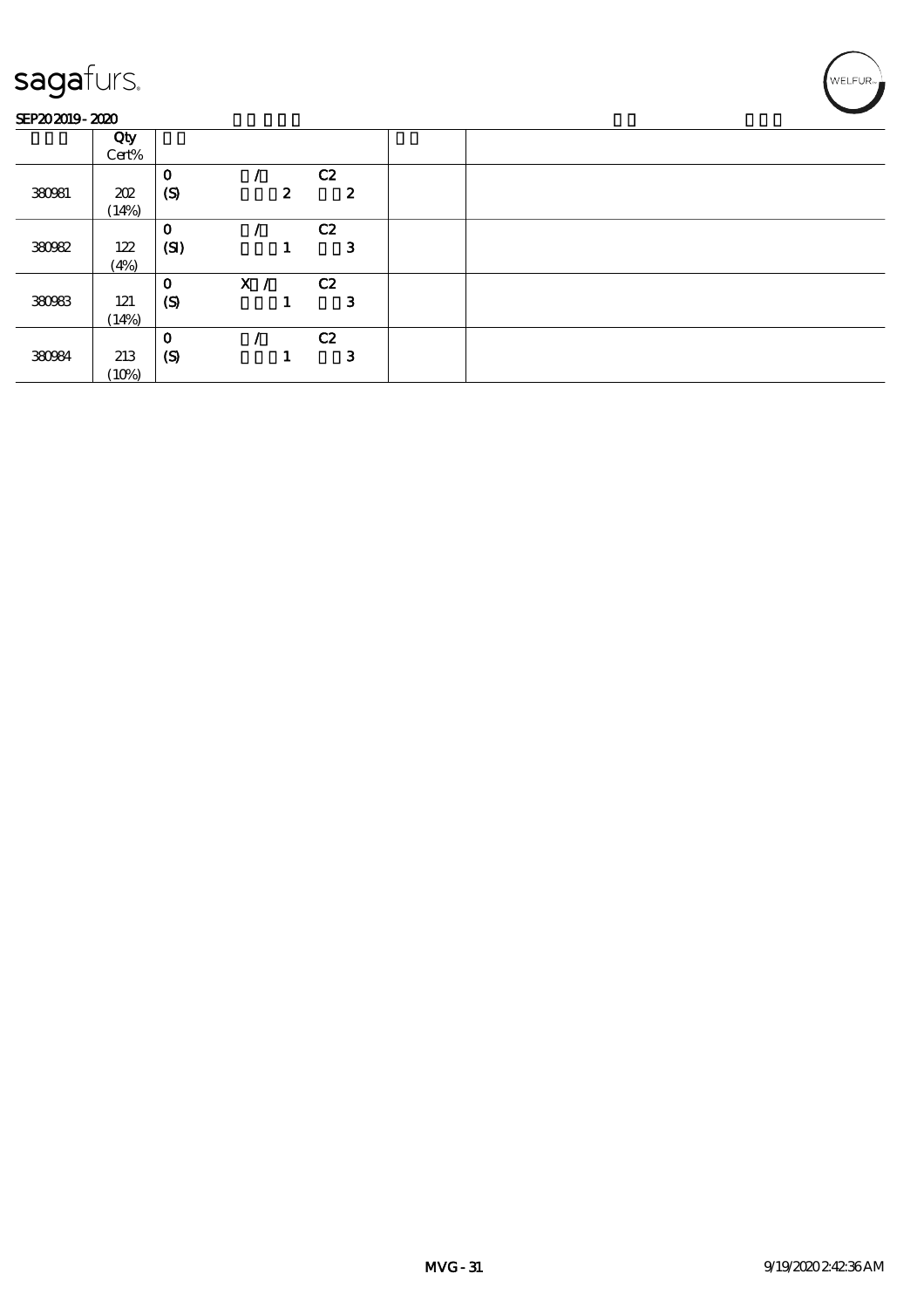#### SEP202019-2020

| .      | ________ |                  |     |                  |                  |  |
|--------|----------|------------------|-----|------------------|------------------|--|
|        | Qty      |                  |     |                  |                  |  |
|        | Cert%    |                  |     |                  |                  |  |
|        |          | $\mathbf{o}$     |     |                  | C2               |  |
| 380981 | 202      | (S)              |     | $\boldsymbol{z}$ | $\boldsymbol{z}$ |  |
|        | (14%)    |                  |     |                  |                  |  |
|        |          | $\mathbf 0$      |     |                  | C2               |  |
| 38092  | 122      | (SI)             |     |                  | 3                |  |
|        | (4%)     |                  |     |                  |                  |  |
|        |          | $\mathbf 0$      | X / |                  | C2               |  |
| 380983 | 121      | $\boldsymbol{S}$ |     |                  | 3                |  |
|        | (14%)    |                  |     |                  |                  |  |
|        |          | $\mathbf 0$      |     |                  | C2               |  |
| 380984 | 213      | $\boldsymbol{S}$ |     |                  | 3                |  |
|        | (10%)    |                  |     |                  |                  |  |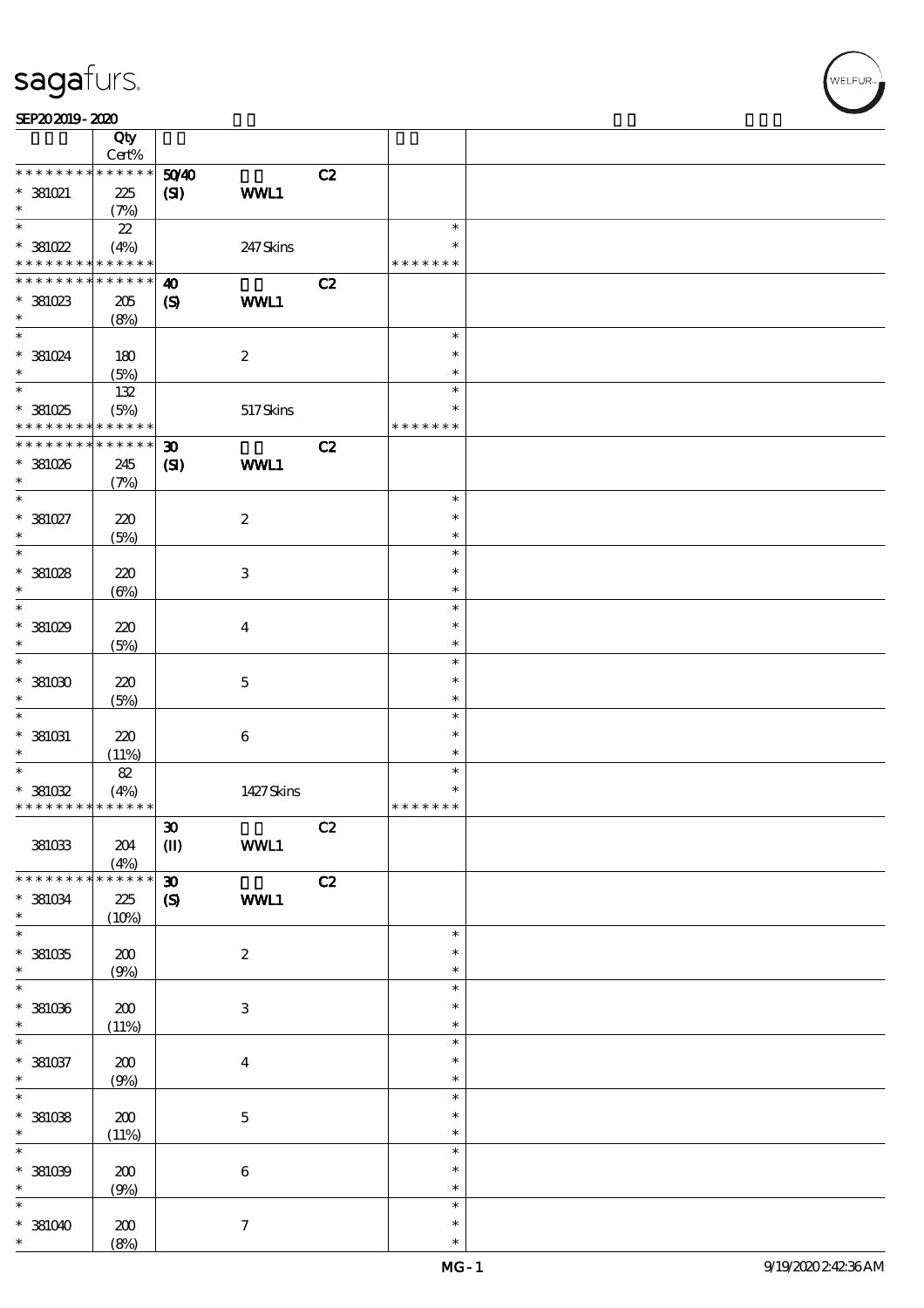| SEP202019-2020 |  |
|----------------|--|

|                                                           | Qty                            |                                                        |                           |    |                                   |  |
|-----------------------------------------------------------|--------------------------------|--------------------------------------------------------|---------------------------|----|-----------------------------------|--|
| * * * * * * * *                                           | Cert%<br>$******$              |                                                        |                           |    |                                   |  |
| $\hspace{0.1cm}^*$ 381021<br>$\ast$                       | 225<br>(7%)                    | 5040<br>(S)                                            | WWL1                      | C2 |                                   |  |
| $\ast$<br>$*381022$                                       | $2\!2$<br>(4%)                 |                                                        | 247 Skins                 |    | $\ast$<br>$\ast$                  |  |
| * * * * * * * * <mark>* * * * * * *</mark>                |                                |                                                        |                           |    | * * * * * * *                     |  |
| * * * * * * * *<br>$*381023$<br>$\ast$                    | $* * * * * * *$<br>205<br>(8%) | $\boldsymbol{\omega}$<br>$\boldsymbol{\mathcal{S}}$    | WWL1                      | C2 |                                   |  |
| $\ast$<br>$* 381024$<br>$\ast$                            | 180<br>(5%)                    |                                                        | $\boldsymbol{2}$          |    | $\ast$<br>$\ast$<br>$\ast$        |  |
| $\overline{\ast}$<br>$*381025$<br>* * * * * * * *         | $132\,$<br>(5%)<br>* * * * * * |                                                        | 517Skins                  |    | $\ast$<br>$\ast$<br>* * * * * * * |  |
| * * * * * * * * * * * * * *<br>$*381026$<br>$\ast$        | 245<br>(7%)                    | $\boldsymbol{\mathfrak{D}}$<br>$\mathbf{C}$            | WWL1                      | C2 |                                   |  |
| $\ast$<br>$^*$ 381027 $\,$<br>$\ast$                      | 220<br>(5%)                    |                                                        | $\boldsymbol{z}$          |    | $\ast$<br>$\ast$<br>$\ast$        |  |
| $\ast$<br>$*381028$<br>$\ast$                             | 220<br>$(\Theta)$              |                                                        | $\ensuremath{\mathsf{3}}$ |    | $\ast$<br>$\ast$<br>$\ast$        |  |
| $\ast$<br>$*381029$<br>$\ast$                             | 220<br>(5%)                    |                                                        | $\overline{\mathbf{4}}$   |    | $\ast$<br>$\ast$<br>$\ast$        |  |
| $\ast$<br>$*381030$<br>$\ast$                             | 220<br>(5%)                    |                                                        | $\mathbf 5$               |    | $\ast$<br>$\ast$<br>$\ast$        |  |
| $\ast$<br>$^*$ 381031 $\,$<br>$\ast$                      | 220<br>(11%)                   |                                                        | $\,6\,$                   |    | $\ast$<br>$\ast$<br>$\ast$        |  |
| $\ast$<br>$^*$ 381032 $\,$<br>* * * * * * * * * * * * * * | $8\!2$<br>(4%)                 |                                                        | 1427Skins                 |    | $\ast$<br>$\ast$<br>* * * * * * * |  |
| 381033                                                    | 204<br>(4%)                    | $\pmb{\mathfrak{D}}$<br>$\textcircled{\scriptsize{I}}$ | WWL1                      | C2 |                                   |  |
| * * * * * * * *<br>$^\ast$ 381034<br>$\ast$               | $******$<br>225<br>(10%)       | $\boldsymbol{\mathfrak{D}}$<br>$\pmb{\mathcal{S}}$     | WWL1                      | C2 |                                   |  |
| $\overline{\ast}$<br>$*381035$<br>$\ast$                  | 200<br>(9%)                    |                                                        | $\boldsymbol{2}$          |    | $\ast$<br>$\ast$<br>$\ast$        |  |
| $\ast$<br>$^\ast$ 381036<br>$\ast$                        | ${\bf Z0}$<br>(11%)            |                                                        | $\ensuremath{\mathbf{3}}$ |    | $\ast$<br>$\ast$<br>$\ast$        |  |
| $\ast$<br>$* 381037$<br>$\ast$                            | ${\bf Z0}$<br>(9%)             |                                                        | $\boldsymbol{4}$          |    | $\ast$<br>$\ast$<br>$\ast$        |  |
| $\ast$<br>$^\ast$ 381038<br>$\ast$                        | 200<br>(11%)                   |                                                        | $\bf 5$                   |    | $\ast$<br>$\ast$<br>$\ast$        |  |
| $\ast$<br>$* 381039$<br>$\ast$                            | 200<br>(9%)                    |                                                        | $\,6\,$                   |    | $\ast$<br>$\ast$<br>$\ast$        |  |
| $\ast$<br>$*381040$<br>$\ast$                             | 200<br>(8%)                    |                                                        | $\boldsymbol{\tau}$       |    | $\ast$<br>$\ast$<br>$\ast$        |  |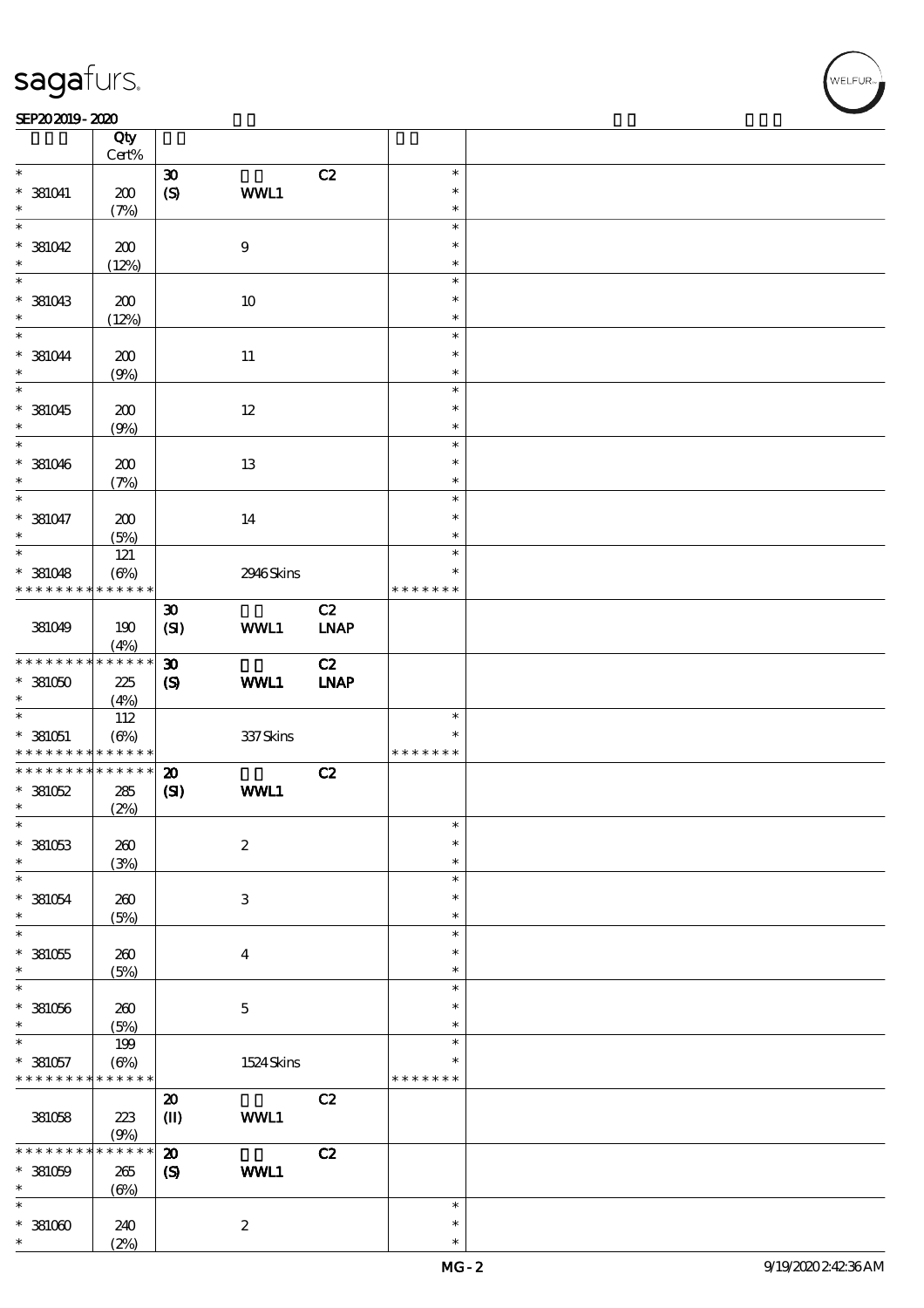$\top$ 

#### SEP202019-2020 REPORTED TO A REPORT OF THE SEPEDENT CONTROL SECTION OF THE SEPEDENT CONTROL SECTION OF THE SAM

|                                            | Qty<br>Cert%     |                                     |                  |              |                  |  |
|--------------------------------------------|------------------|-------------------------------------|------------------|--------------|------------------|--|
| $\ast$                                     |                  | $\boldsymbol{\mathfrak{D}}$         |                  | C2           | $\ast$           |  |
| $*$ 381041                                 | 200              | (S)                                 | WWL1             |              | $\ast$           |  |
| $\ast$                                     | (7%)             |                                     |                  |              | $\ast$           |  |
| $\overline{\ast}$<br>$*381042$             | 200              |                                     | $\boldsymbol{9}$ |              | $\ast$<br>$\ast$ |  |
| $\ast$                                     | (12%)            |                                     |                  |              | $\ast$           |  |
|                                            |                  |                                     |                  |              | $\ast$           |  |
| $*$ 381043<br>$\ast$                       | 200<br>(12%)     |                                     | $10\,$           |              | $\ast$<br>$\ast$ |  |
| $\ast$                                     |                  |                                     |                  |              | $\ast$           |  |
| $*381044$<br>$\ast$                        | 200<br>(9%)      |                                     | $11\,$           |              | $\ast$<br>$\ast$ |  |
| $\overline{\ast}$                          |                  |                                     |                  |              | $\ast$           |  |
| $*381045$<br>$\ast$                        | 200<br>(9%)      |                                     | $12\,$           |              | $\ast$<br>$\ast$ |  |
| $\ast$                                     |                  |                                     |                  |              | $\ast$           |  |
| $*$ 381046<br>$\ast$                       | 200<br>(7%)      |                                     | 13               |              | $\ast$<br>$\ast$ |  |
| $\ast$                                     |                  |                                     |                  |              | $\ast$           |  |
| $* 381047$<br>$\ast$                       | 200<br>(5%)      |                                     | 14               |              | $\ast$<br>$\ast$ |  |
| $\overline{\ast}$                          |                  |                                     |                  |              | $\ast$           |  |
|                                            | 121              |                                     |                  |              |                  |  |
| $*$ 381048                                 | $(\Theta\%)$     |                                     | 2946Skins        |              | $\ast$           |  |
| * * * * * * * *                            | $* * * * * * *$  |                                     |                  |              | * * * * * * *    |  |
| 381049                                     | 190<br>(4%)      | $\boldsymbol{\mathfrak{D}}$<br>(SI) | WWL1             | C2<br>$IMAP$ |                  |  |
|                                            |                  |                                     |                  |              |                  |  |
| * * * * * * * *                            | * * * * * *      | $\boldsymbol{\mathfrak{D}}$         |                  | C2           |                  |  |
| $*381050$                                  | 225              | $\boldsymbol{\mathrm{(S)}}$         | WWL1             | <b>INAP</b>  |                  |  |
| $\ast$                                     | (4%)             |                                     |                  |              |                  |  |
|                                            |                  |                                     |                  |              | $\ast$           |  |
|                                            | 112              |                                     |                  |              |                  |  |
| $* 381051$                                 | $(\Theta\%)$     |                                     | 337 Skins        |              | $\ast$           |  |
| * * * * * * * * <mark>* * * * * * *</mark> |                  |                                     |                  |              | * * * * * * *    |  |
| * * * * * * * *                            | $******$         | $\boldsymbol{\mathfrak{D}}$         |                  | C2           |                  |  |
| $*381052$                                  | $285\,$          | (S)                                 | <b>WWL1</b>      |              |                  |  |
| $\ast$                                     | (2%)             |                                     |                  |              |                  |  |
| $\ast$                                     |                  |                                     |                  |              | $\ast$           |  |
|                                            |                  |                                     |                  |              |                  |  |
| $*381053$                                  | 260              |                                     | $\boldsymbol{2}$ |              | $\ast$           |  |
| $\ast$                                     | (3%)             |                                     |                  |              | $\ast$           |  |
| $\ast$                                     |                  |                                     |                  |              | $\ast$           |  |
| $*381054$                                  | 260              |                                     | $\,3$            |              | $\ast$           |  |
| $\ast$                                     | (5%)             |                                     |                  |              | $\ast$           |  |
| $\ast$                                     |                  |                                     |                  |              | $\ast$           |  |
|                                            |                  |                                     |                  |              | $\ast$           |  |
| $*381055$                                  | 260              |                                     | $\bf{4}$         |              |                  |  |
| $\ast$                                     | (5%)             |                                     |                  |              | $\ast$           |  |
| $\ast$                                     |                  |                                     |                  |              | $\ast$           |  |
| $*381056$                                  | 260              |                                     | $\mathbf 5$      |              | $\ast$           |  |
| $\ast$                                     | (5%)             |                                     |                  |              | $\ast$           |  |
| $\ast$                                     | 199              |                                     |                  |              | $\ast$           |  |
| $* 381057$                                 | $(\Theta\%)$     |                                     | 1524Skins        |              | $\ast$           |  |
| * * * * * * * *                            | * * * * * *      |                                     |                  |              | * * * * * * *    |  |
|                                            |                  |                                     |                  |              |                  |  |
|                                            |                  | $\boldsymbol{\mathsf{20}}$          |                  | C2           |                  |  |
| 381058                                     | 223              | $\mathbf{I}$                        | WWL1             |              |                  |  |
|                                            | (9%)             |                                     |                  |              |                  |  |
| * * * * *                                  | $***$ * * *<br>* | $\boldsymbol{\mathbf{z}}$           |                  | C2           |                  |  |
| $*$ 381059                                 | 265              | $\boldsymbol{\mathcal{S}}$          | WWL1             |              |                  |  |
| $\ast$                                     | $(\Theta)$       |                                     |                  |              |                  |  |
| $\ast$                                     |                  |                                     |                  |              | $\ast$           |  |
|                                            |                  |                                     |                  |              |                  |  |
| $*381000$                                  | 240              |                                     | $\boldsymbol{2}$ |              | $\ast$           |  |
| $\ast$                                     | (2%)             |                                     |                  |              | $\ast$           |  |

 $\overline{\mathbf{r}}$ 

**NELFUR**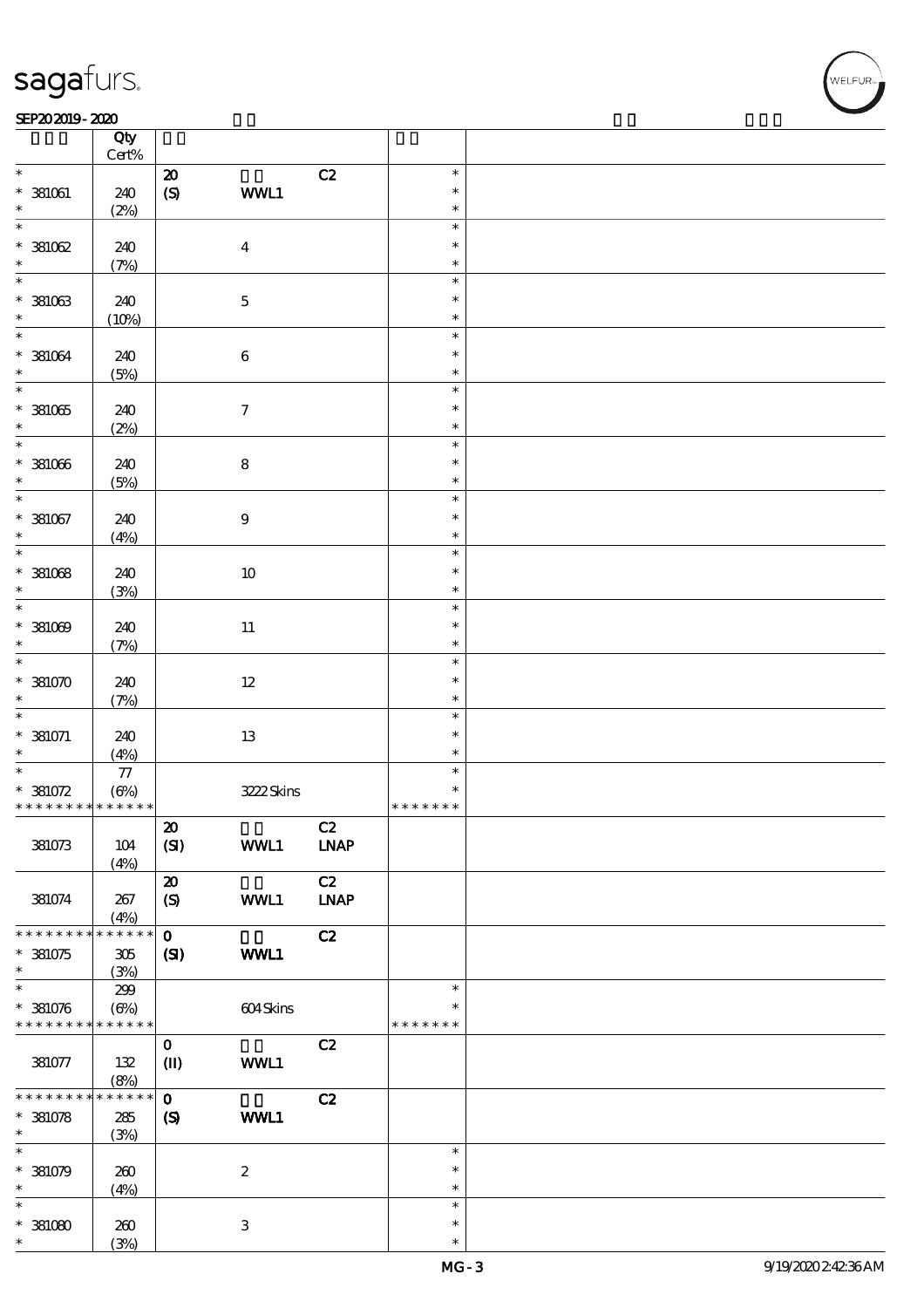#### SEP202019-2020 REPORTED TO A REPORT OF THE SEPEDENT CONTROL SECTION OF THE SEPEDENT CONTROL SECTION OF THE SAM

|                                           | Qty<br>Cert%  |                             |                           |                                    |                         |  |
|-------------------------------------------|---------------|-----------------------------|---------------------------|------------------------------------|-------------------------|--|
| $\ast$                                    |               | ${\bf Z}$                   |                           | C2                                 | $\ast$                  |  |
| $*$ 381061<br>$\ast$                      | 240<br>(2%)   | $\pmb{\in}$                 | WWL1                      |                                    | $\ast$<br>$\ast$        |  |
| $\ast$                                    |               |                             |                           |                                    | $\ast$                  |  |
| $*381062$<br>$\ast$                       | 240<br>(7%)   |                             | $\boldsymbol{4}$          |                                    | $\ast$<br>$\ast$        |  |
| $\overline{\ast}$                         |               |                             |                           |                                    | $\ast$                  |  |
| $* 381063$<br>$\ast$                      | 240<br>(10%)  |                             | $\mathbf 5$               |                                    | $\ast$<br>$\ast$        |  |
| $\ast$                                    |               |                             |                           |                                    | $\ast$                  |  |
| $* 381064$<br>$\ast$                      | 240<br>(5%)   |                             | $\,6\,$                   |                                    | $\ast$<br>$\ast$        |  |
| $\overline{\ast}$                         |               |                             |                           |                                    | $\ast$                  |  |
| $*381065$<br>$\ast$                       | 240<br>(2%)   |                             | $\boldsymbol{7}$          |                                    | $\ast$<br>$\ast$        |  |
| $\ast$                                    |               |                             |                           |                                    | $\ast$                  |  |
| $*381006$<br>$\ast$                       | 240<br>(5%)   |                             | ${\bf 8}$                 |                                    | $\ast$<br>$\ast$        |  |
| $\ast$                                    |               |                             |                           |                                    | $\ast$                  |  |
| $*$ 381067<br>$\ast$                      | 240<br>(4%)   |                             | $\boldsymbol{9}$          |                                    | $\ast$<br>$\ast$        |  |
| $\ast$                                    |               |                             |                           |                                    | $\ast$                  |  |
| $*381068$<br>$\ast$                       | 240<br>(3%)   |                             | 10                        |                                    | $\ast$<br>$\ast$        |  |
| $\ast$                                    |               |                             |                           |                                    | $\ast$                  |  |
| $*381009$                                 | 240           |                             | $11\,$                    |                                    | $\ast$                  |  |
| $\ast$                                    | (7%)          |                             |                           |                                    | $\ast$                  |  |
| $\ast$                                    |               |                             |                           |                                    | $\ast$                  |  |
| $*381070$<br>$\ast$                       | 240<br>(7%)   |                             | $12\,$                    |                                    | $\ast$<br>$\ast$        |  |
| $\ast$                                    |               |                             |                           |                                    | $\ast$                  |  |
| $* 381071$<br>$\ast$                      | 240<br>(4%)   |                             | $13\,$                    |                                    | $\ast$<br>$\ast$        |  |
| $\ast$                                    | $77\,$        |                             |                           |                                    | $\ast$                  |  |
| $* 381072$                                | $(\Theta)$    |                             | 3222 Skins                |                                    | $\ast$                  |  |
| * * * * * * * * * * * * * *               |               |                             |                           |                                    | * * * * * * *           |  |
| 381073                                    | $104$<br>(4%) | $\pmb{\mathcal{Z}}$<br>(SI) | WWL1                      | C2<br>$\ensuremath{\mathbf{INAP}}$ |                         |  |
|                                           |               | $\boldsymbol{\mathsf{20}}$  |                           | C2                                 |                         |  |
| 381074                                    | 267<br>(4%)   | $\boldsymbol{S}$            | WWL1                      | <b>LNAP</b>                        |                         |  |
| * * * * * * * *                           | * * * * * *   | $\mathbf{o}$                |                           | C2                                 |                         |  |
| $* 381075$<br>$\ast$                      | 305<br>(3%)   | (SI)                        | <b>WWL1</b>               |                                    |                         |  |
| $\ast$                                    | 299           |                             |                           |                                    | $\ast$                  |  |
| $* 381076$<br>* * * * * * * * * * * * * * | $(\Theta\%)$  |                             | 604Skins                  |                                    | $\ast$<br>* * * * * * * |  |
|                                           |               | $\mathbf{O}$                |                           | C2                                 |                         |  |
| 381077                                    | 132<br>(8%)   | $\mathbf{I}$                | WWL1                      |                                    |                         |  |
| * * * * * * * *                           | * * * * * *   | $\mathbf{o}$                |                           | C2                                 |                         |  |
| $* 381078$                                | 285           | $\boldsymbol{S}$            | WWL1                      |                                    |                         |  |
| $\ast$                                    | (3%)          |                             |                           |                                    |                         |  |
| $\ast$                                    |               |                             |                           |                                    | $\ast$                  |  |
| $* 381079$                                | 260           |                             | $\boldsymbol{2}$          |                                    | $\ast$                  |  |
| $\ast$                                    | (4%)          |                             |                           |                                    | $\ast$                  |  |
| $\ast$                                    |               |                             |                           |                                    | $\ast$                  |  |
| $*381080$                                 | 260           |                             | $\ensuremath{\mathbf{3}}$ |                                    | $\ast$                  |  |
| $\ast$                                    | (3%)          |                             |                           |                                    | $\ast$                  |  |

,<br>WELFUR: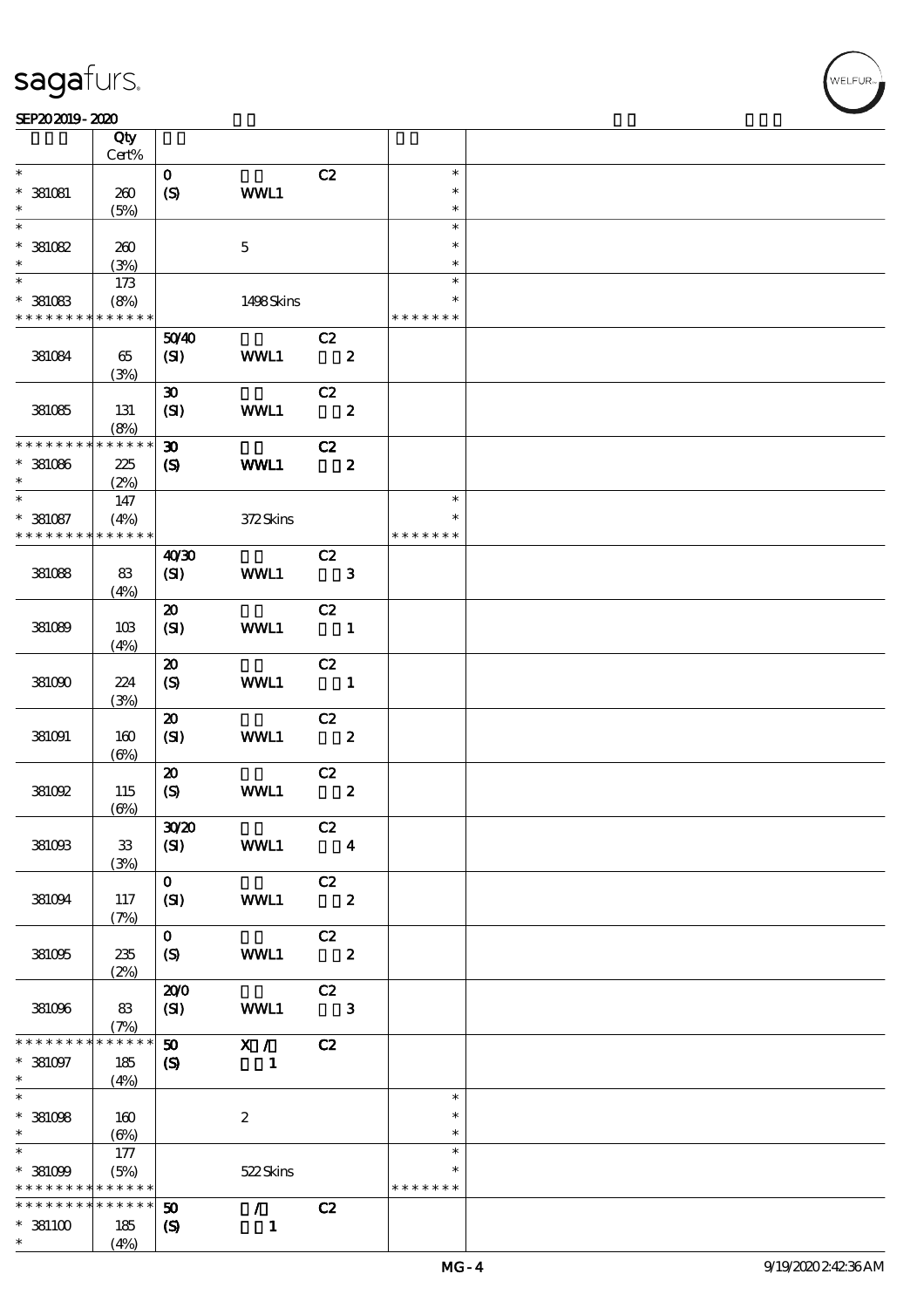|                                          | Qty                 |                             |                                 |                            |                         |                         |  |
|------------------------------------------|---------------------|-----------------------------|---------------------------------|----------------------------|-------------------------|-------------------------|--|
|                                          | Cert%               |                             |                                 |                            |                         |                         |  |
| $\ast$                                   |                     | $\mathbf{o}$                |                                 | C2                         |                         | $\ast$<br>$\ast$        |  |
| $*$ 381081<br>$\ast$                     | 260<br>(5%)         | (S)                         | WWL1                            |                            |                         | $\ast$                  |  |
| $\ast$                                   |                     |                             |                                 |                            |                         | $\ast$                  |  |
| $*381082$                                | 260                 |                             | $\mathbf 5$                     |                            |                         | $\ast$                  |  |
| $\ast$                                   | (3%)                |                             |                                 |                            |                         | $\ast$                  |  |
| $*$                                      | 173                 |                             |                                 |                            |                         | $\ast$                  |  |
| $*$ 381083                               | (8%)                |                             | 1498Skins                       |                            |                         | $\ast$                  |  |
| * * * * * * * * * * * * * *              |                     |                             |                                 |                            |                         | * * * * * * *           |  |
|                                          |                     | 5040                        |                                 | C2                         |                         |                         |  |
| 381084                                   | 65                  | (SI)                        | WWL1                            |                            | $\overline{\mathbf{2}}$ |                         |  |
|                                          | (3%)                |                             |                                 |                            |                         |                         |  |
|                                          |                     | $\boldsymbol{\mathfrak{D}}$ |                                 | C2                         |                         |                         |  |
| 381085                                   | 131                 | (SI)                        | WWL1                            |                            | $\overline{\mathbf{2}}$ |                         |  |
|                                          | (8%)                |                             |                                 |                            |                         |                         |  |
| * * * * * * * *                          | * * * * * *         | $\boldsymbol{\mathfrak{D}}$ |                                 | C2                         |                         |                         |  |
| $*$ 381086                               | 225                 | $\boldsymbol{\mathcal{S}}$  | WWL1                            |                            | $\mathbf{z}$            |                         |  |
| $\ast$                                   | (2%)                |                             |                                 |                            |                         |                         |  |
| $\ast$                                   | 147                 |                             |                                 |                            |                         | $\ast$                  |  |
| $* 381087$<br>* * * * * * * *            | (4%)<br>* * * * * * |                             | 372Skins                        |                            |                         | $\ast$<br>* * * * * * * |  |
|                                          |                     |                             |                                 | C2                         |                         |                         |  |
| 381088                                   | 83                  | 40'30<br>(SI)               | WWL1                            | $\overline{\mathbf{3}}$    |                         |                         |  |
|                                          | (4%)                |                             |                                 |                            |                         |                         |  |
|                                          |                     | $\boldsymbol{\mathfrak{D}}$ |                                 | C2                         |                         |                         |  |
| 381089                                   | 10B                 | (SI)                        | WWL1                            | $\blacksquare$             |                         |                         |  |
|                                          | (4%)                |                             |                                 |                            |                         |                         |  |
|                                          |                     | $\boldsymbol{\mathfrak{D}}$ |                                 | C2                         |                         |                         |  |
| 381090                                   | 224                 | (S)                         | WWL1                            | $\blacksquare$             |                         |                         |  |
|                                          | (3%)                |                             |                                 |                            |                         |                         |  |
|                                          |                     | $\boldsymbol{\mathfrak{D}}$ |                                 | C2                         |                         |                         |  |
| 381091                                   | 160                 | (SI)                        | WWL1                            | $\overline{\mathbf{2}}$    |                         |                         |  |
|                                          | $(\Theta)$          |                             |                                 |                            |                         |                         |  |
|                                          |                     | $\boldsymbol{\mathfrak{D}}$ |                                 | C2                         |                         |                         |  |
| 381092                                   | 115                 | $\boldsymbol{S}$            | WWL1                            |                            | $\boldsymbol{2}$        |                         |  |
|                                          | $(\Theta)$          |                             |                                 |                            |                         |                         |  |
|                                          |                     | 3020                        |                                 | C2                         |                         |                         |  |
| 381093                                   | ${\bf 33}$          | (SI)                        | WWL1                            |                            | $\overline{\mathbf{4}}$ |                         |  |
|                                          | (3%)                | $\mathbf{O}$                |                                 | C2                         |                         |                         |  |
| 381094                                   | 117                 | (SI)                        | WWL1                            | $\overline{\phantom{a}}$ 2 |                         |                         |  |
|                                          | (7%)                |                             |                                 |                            |                         |                         |  |
|                                          |                     | $\mathbf{O}$                |                                 | C2                         |                         |                         |  |
| 381095                                   | 235                 | (S)                         | WWL1                            | $\overline{\phantom{a}}$ 2 |                         |                         |  |
|                                          | (2%)                |                             |                                 |                            |                         |                         |  |
|                                          |                     | 200                         |                                 | C2                         |                         |                         |  |
| 381096                                   | 83                  | (SI)                        | WWL1                            |                            | 3                       |                         |  |
|                                          | (7%)                |                             |                                 |                            |                         |                         |  |
| * * * * * * *                            | * * * * * *         | $\boldsymbol{\mathfrak{D}}$ | X /                             | C2                         |                         |                         |  |
| $* 381097$                               | $185\,$             | $\boldsymbol{\mathcal{S}}$  | $\mathbf{1}$                    |                            |                         |                         |  |
| $*$<br>$\overline{\ast}$                 | (4%)                |                             |                                 |                            |                         | $\ast$                  |  |
|                                          |                     |                             |                                 |                            |                         | $\ast$                  |  |
| $*$ 381098<br>$\ast$                     | 160                 |                             | $\boldsymbol{2}$                |                            |                         | $\ast$                  |  |
| $\ast$                                   | $(\Theta)$<br>177   |                             |                                 |                            |                         | $\ast$                  |  |
| $* 381009$                               | (5%)                |                             | 522Skins                        |                            |                         | $\ast$                  |  |
| * * * * * * * * <mark>* * * * * *</mark> |                     |                             |                                 |                            |                         | * * * * * * *           |  |
| * * * * * * * *                          | $* * * * * * *$     | 50                          | $\mathcal{F}$ and $\mathcal{F}$ | C2                         |                         |                         |  |
| $*381100$                                | 185                 | $\boldsymbol{\mathcal{S}}$  | $\mathbf{1}$                    |                            |                         |                         |  |
| $\ast$                                   | (4%)                |                             |                                 |                            |                         |                         |  |

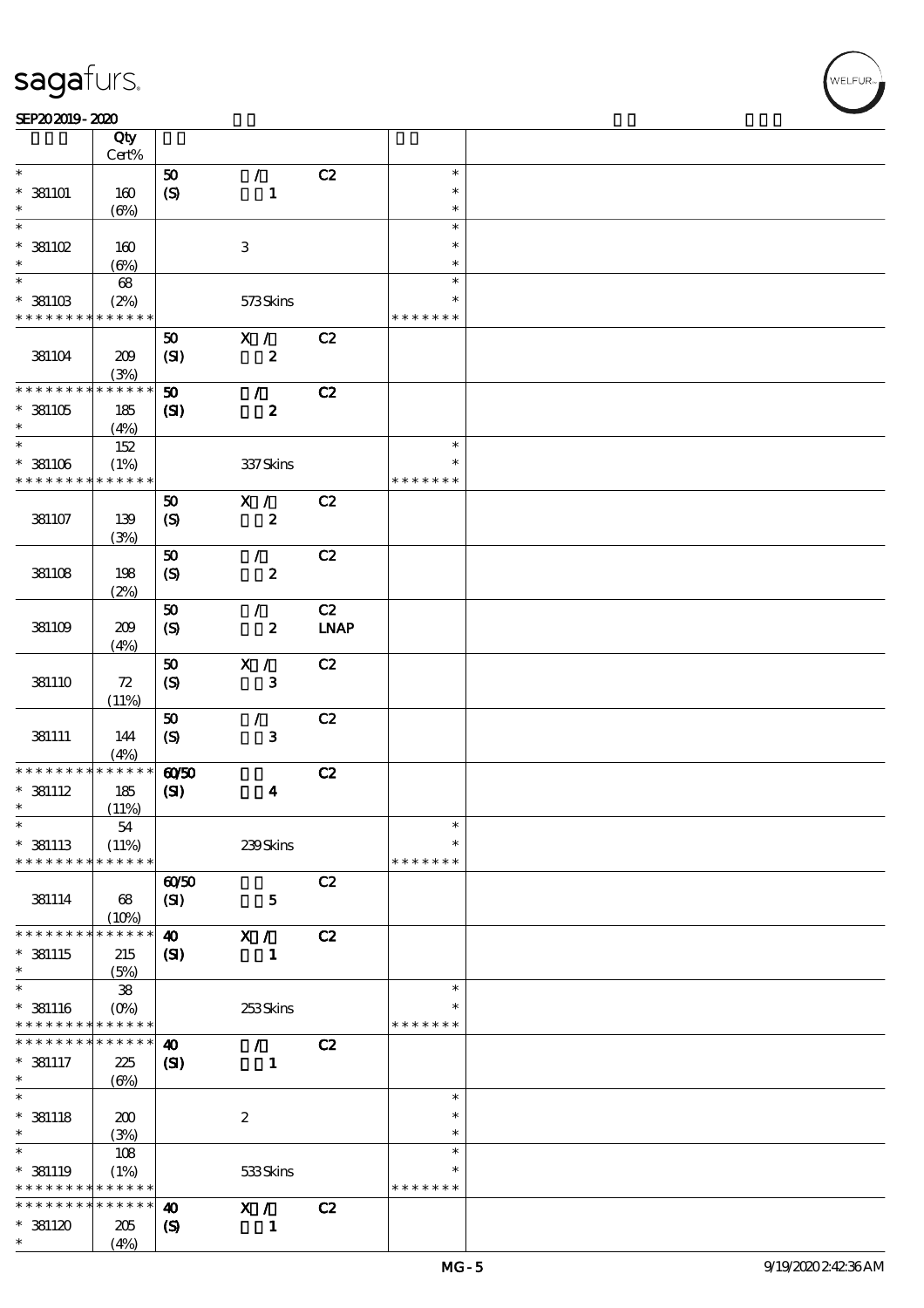#### SEP202019-2020 REPORTED TO A REPORT OF THE SEPEDENT CONTROL SECTION OF THE SEPEDENT CONTROL SECTION OF THE SAM

|                               | Qty                    |                             |                         |             |                  |  |
|-------------------------------|------------------------|-----------------------------|-------------------------|-------------|------------------|--|
|                               | Cert%                  |                             |                         |             |                  |  |
| $\ast$                        |                        | 50                          | $\mathcal{L}$           | C2          | $\ast$<br>$\ast$ |  |
| $*$ 381101<br>$\ast$          | 160<br>$(\Theta)$      | $\boldsymbol{S}$            | $\mathbf{1}$            |             | $\ast$           |  |
| $\ast$                        |                        |                             |                         |             | $\ast$           |  |
| $*$ 381102                    | 160                    |                             | $\,3\,$                 |             | $\ast$           |  |
| $\ast$                        | $(\Theta)$             |                             |                         |             | $\ast$           |  |
| $\overline{\phantom{0}}$      | 68                     |                             |                         |             | $\ast$           |  |
| $*$ 381103                    | (2%)                   |                             | 573Skins                |             | *                |  |
| * * * * * * * *               | * * * * * *            |                             |                         |             | * * * * * * *    |  |
|                               |                        | 50                          | X /                     | C2          |                  |  |
| 381104                        | 209                    | (SI)                        | $\boldsymbol{z}$        |             |                  |  |
| * * * * * * * *               | (3%)<br>* * * * * *    |                             |                         |             |                  |  |
|                               |                        | 50                          | $\mathcal{L}$           | C2          |                  |  |
| $*381105$<br>$\ast$           | 185<br>(4%)            | $\mathbf{C}$                | $\boldsymbol{z}$        |             |                  |  |
| $\ast$                        | 152                    |                             |                         |             | $\ast$           |  |
| $*$ 381106                    | (1%)                   |                             | 337 Skins               |             | $\ast$           |  |
| * * * * * * * *               | * * * * * *            |                             |                         |             | * * * * * * *    |  |
|                               |                        | ${\bf 50}$                  | X /                     | C2          |                  |  |
| 381107                        | 139                    | $\boldsymbol{\mathrm{(S)}}$ | $\boldsymbol{z}$        |             |                  |  |
|                               | (3%)                   |                             |                         |             |                  |  |
|                               |                        | ${\bf 50}$                  | $\mathcal{T}$           | C2          |                  |  |
| 38108                         | 198                    | $\boldsymbol{S}$            | $\boldsymbol{2}$        |             |                  |  |
|                               | (2%)                   |                             |                         |             |                  |  |
|                               |                        | 50                          | $\mathcal{L}$           | C2          |                  |  |
| 381109                        | 209<br>(4%)            | $\boldsymbol{\mathrm{(S)}}$ | $\boldsymbol{z}$        | <b>LNAP</b> |                  |  |
|                               |                        | ${\bf 50}$                  | X /                     | C2          |                  |  |
| 381110                        | 72                     | $\boldsymbol{S}$            | $\bf{3}$                |             |                  |  |
|                               | (11%)                  |                             |                         |             |                  |  |
|                               |                        | 50                          | $\sqrt{2}$              | C2          |                  |  |
| 381111                        | 144                    | $\boldsymbol{\mathrm{(S)}}$ | $\mathbf{3}$            |             |                  |  |
|                               | (4%)                   |                             |                         |             |                  |  |
| * * * * * * *                 | * * * * * *            | $\omega$ 50                 |                         | C2          |                  |  |
| $*$ 381112                    | 185                    | (S)                         | $\overline{\mathbf{4}}$ |             |                  |  |
| $\ast$<br>$\ast$              | (11%)<br>${\bf 54}$    |                             |                         |             | $\ast$           |  |
| $*$ 381113                    | (11%)                  |                             | $239S$ kins             |             | $\ast$           |  |
| * * * * * * * *               | * * * * * *            |                             |                         |             | * * * * * * *    |  |
|                               |                        | $\omega$ 50                 |                         | C2          |                  |  |
| 381114                        | 68                     | (SI)                        | $\mathbf{5}$            |             |                  |  |
|                               | (10%)                  |                             |                         |             |                  |  |
| * * * * * * * *               | * * * * * *            | $\boldsymbol{\omega}$       | X /                     | C2          |                  |  |
| $*$ 381115                    | 215                    | (S)                         | 1                       |             |                  |  |
| $\ast$                        | (5%)                   |                             |                         |             |                  |  |
| $\ast$                        | ${\bf 38}$             |                             |                         |             | $\ast$           |  |
| $*$ 381116<br>* * * * * * * * | $(O\%)$<br>* * * * * * |                             | 253Skins                |             | * * * * * * *    |  |
| * * * * * * * *               | * * * * * *            | $\boldsymbol{\omega}$       | $\mathcal{L}$           | C2          |                  |  |
| $*$ 381117                    | 225                    | $\mathbf{C}$                | $\mathbf{1}$            |             |                  |  |
| $\ast$                        | $(\Theta)$             |                             |                         |             |                  |  |
| $\overline{\ast}$             |                        |                             |                         |             | $\ast$           |  |
| $*$ 381118                    | 200                    |                             | $\boldsymbol{z}$        |             | $\ast$           |  |
| $\ast$                        | (3%)                   |                             |                         |             | $\ast$           |  |
| $\ast$                        | 108                    |                             |                         |             | $\ast$           |  |
| $*$ 381119                    | (1%)                   |                             | 533Skins                |             | $\ast$           |  |
| * * * * * * * *               | * * * * * *            |                             |                         |             | * * * * * * *    |  |
| * * * * * * * *               | $* * * * * * *$        | $\boldsymbol{\omega}$       | X /                     | C2          |                  |  |
| $*381120$<br>$\ast$           | 205                    | $\boldsymbol{\mathcal{S}}$  | $\mathbf{1}$            |             |                  |  |
|                               | (4%)                   |                             |                         |             |                  |  |

,<br>WELFUR: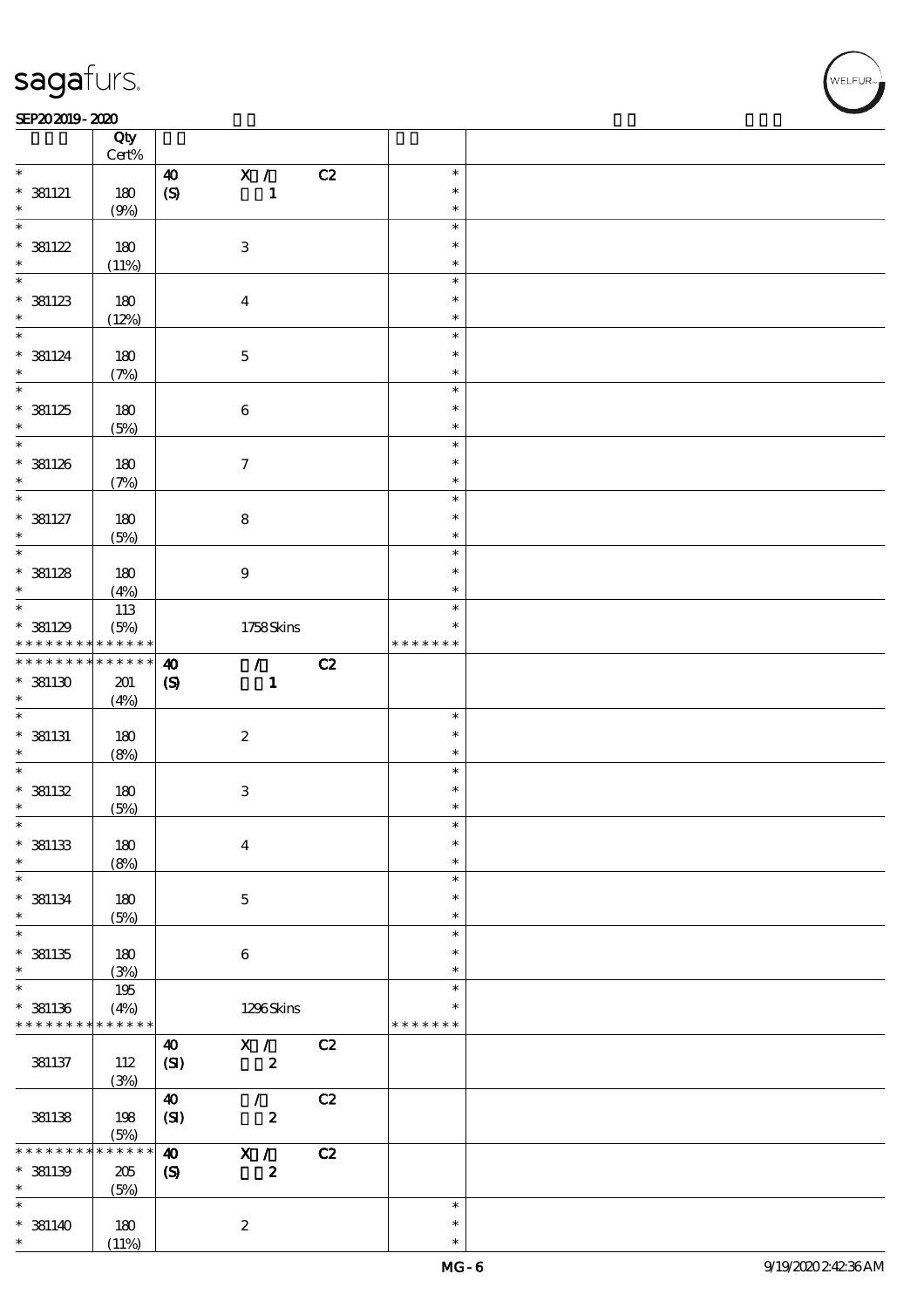┯

#### SEP202019-2020 REPORTED TO A REPORT OF THE SEPEDENT CONTROL SECTION OF THE SEPEDENT CONTROL SECTION OF THE SAM

|                                | Qty<br>Cert%    |                             |                           |    |               |  |
|--------------------------------|-----------------|-----------------------------|---------------------------|----|---------------|--|
| $\ast$                         |                 | $\boldsymbol{\omega}$       | X /                       | C2 | $\ast$        |  |
|                                |                 |                             |                           |    |               |  |
| $*$ 381121                     | 180             | $\boldsymbol{S}$            | $\mathbf{1}$              |    | $\ast$        |  |
| $\ast$                         | (9%)            |                             |                           |    | $\ast$        |  |
| $\overline{\ast}$              |                 |                             |                           |    | $\ast$        |  |
| $* 381122$                     | 180             |                             | $\ensuremath{\mathbf{3}}$ |    | $\ast$        |  |
| $\ast$                         | (11%)           |                             |                           |    | $\ast$        |  |
|                                |                 |                             |                           |    | $\ast$        |  |
|                                |                 |                             |                           |    |               |  |
| $*$ 381123                     | 180             |                             | $\overline{\mathbf{4}}$   |    | $\ast$        |  |
| $\ast$                         | (12%)           |                             |                           |    | $\ast$        |  |
| $\ast$                         |                 |                             |                           |    | $\ast$        |  |
| $*$ 381124                     | 180             |                             | $\mathbf 5$               |    | $\ast$        |  |
| $\ast$                         | (7%)            |                             |                           |    | $\ast$        |  |
|                                |                 |                             |                           |    | $\ast$        |  |
|                                |                 |                             |                           |    | $\ast$        |  |
| $* 381125$                     | 180             |                             | $\bf 6$                   |    |               |  |
| $\ast$                         | (5%)            |                             |                           |    | $\ast$        |  |
| $*$                            |                 |                             |                           |    | $\ast$        |  |
| $*$ 381126                     | 180             |                             | $\boldsymbol{\tau}$       |    | $\ast$        |  |
| $\ast$                         | (7%)            |                             |                           |    | $\ast$        |  |
| $\overline{\ast}$              |                 |                             |                           |    | $\ast$        |  |
| $*$ 381127                     | 180             |                             | $\bf 8$                   |    | $\ast$        |  |
| $\ast$                         |                 |                             |                           |    | $\ast$        |  |
|                                | (5%)            |                             |                           |    |               |  |
|                                |                 |                             |                           |    | $\ast$        |  |
| $*$ 381128                     | 180             |                             | $\boldsymbol{9}$          |    | $\ast$        |  |
| $\ast$                         | (4%)            |                             |                           |    | $\ast$        |  |
|                                | 113             |                             |                           |    | $\ast$        |  |
| $*$ 381129                     | (5%)            |                             | 1758Skins                 |    | $\ast$        |  |
| * * * * * * * * <mark>*</mark> | $* * * * * * *$ |                             |                           |    | * * * * * * * |  |
| * * * * * * * *                | $******$        |                             |                           |    |               |  |
|                                |                 | $\boldsymbol{\omega}$       | $\mathcal{T}$             | C2 |               |  |
|                                |                 |                             | $\mathbf{1}$              |    |               |  |
| $*$ 381130                     | 201             | $\boldsymbol{\mathrm{(S)}}$ |                           |    |               |  |
| $\ast$                         | (4%)            |                             |                           |    |               |  |
| $\ast$                         |                 |                             |                           |    | $\ast$        |  |
|                                |                 |                             |                           |    | $\ast$        |  |
| $*$ 381131                     | 180             |                             | $\boldsymbol{2}$          |    |               |  |
| $\ast$                         | (8%)            |                             |                           |    | $\ast$        |  |
| $\ast$                         |                 |                             |                           |    | $\ast$        |  |
| $* 381132$                     | 180             |                             | $\ensuremath{\mathbf{3}}$ |    | $\ast$        |  |
| $\ast$                         | (5%)            |                             |                           |    | $\ast$        |  |
| $\ast$                         |                 |                             |                           |    | $\ast$        |  |
|                                |                 |                             |                           |    | $\ast$        |  |
| $*$ 381133<br>$\ast$           | 180             |                             | $\boldsymbol{4}$          |    | $\ast$        |  |
| $\ast$                         | (8%)            |                             |                           |    | $\ast$        |  |
|                                |                 |                             |                           |    |               |  |
| $*$ 381134                     | 180             |                             | $\mathbf 5$               |    | $\ast$        |  |
| $\ast$                         | (5%)            |                             |                           |    | $\ast$        |  |
| $\overline{\ast}$              |                 |                             |                           |    | $\ast$        |  |
| $* 381135$                     | 180             |                             | $\boldsymbol{6}$          |    | $\ast$        |  |
| $\ast$                         | (3%)            |                             |                           |    | $\ast$        |  |
| $\ast$                         |                 |                             |                           |    | $\ast$        |  |
|                                | 195             |                             |                           |    | $\ast$        |  |
| $*$ 381136                     | (4%)            |                             | 1296Skins                 |    |               |  |
| * * * * * * * *                | * * * * * *     |                             |                           |    | * * * * * * * |  |
|                                |                 | $\boldsymbol{\omega}$       | X /                       | C2 |               |  |
| 381137                         | 112             | (SI)                        | $\boldsymbol{z}$          |    |               |  |
|                                | (3%)            |                             |                           |    |               |  |
|                                |                 | $\boldsymbol{\omega}$       | $\mathcal{L}$             | C2 |               |  |
|                                |                 |                             |                           |    |               |  |
| 381138                         | 198             | (SI)                        | $\boldsymbol{2}$          |    |               |  |
|                                | (5%)            |                             |                           |    |               |  |
| * * * * *                      | * * * * * *     | $\boldsymbol{\omega}$       | X /                       | C2 |               |  |
| $*$ 381139                     | 205             | $\boldsymbol{\mathcal{S}}$  | $\boldsymbol{2}$          |    |               |  |
| $\ast$                         | (5%)            |                             |                           |    |               |  |
| $\ast$                         |                 |                             |                           |    | $\ast$        |  |
|                                |                 |                             |                           |    | $\ast$        |  |
| $*$ 381140<br>$\ast$           | 180<br>(11%)    |                             | $\boldsymbol{2}$          |    | $\ast$        |  |

 $\overline{\mathbf{r}}$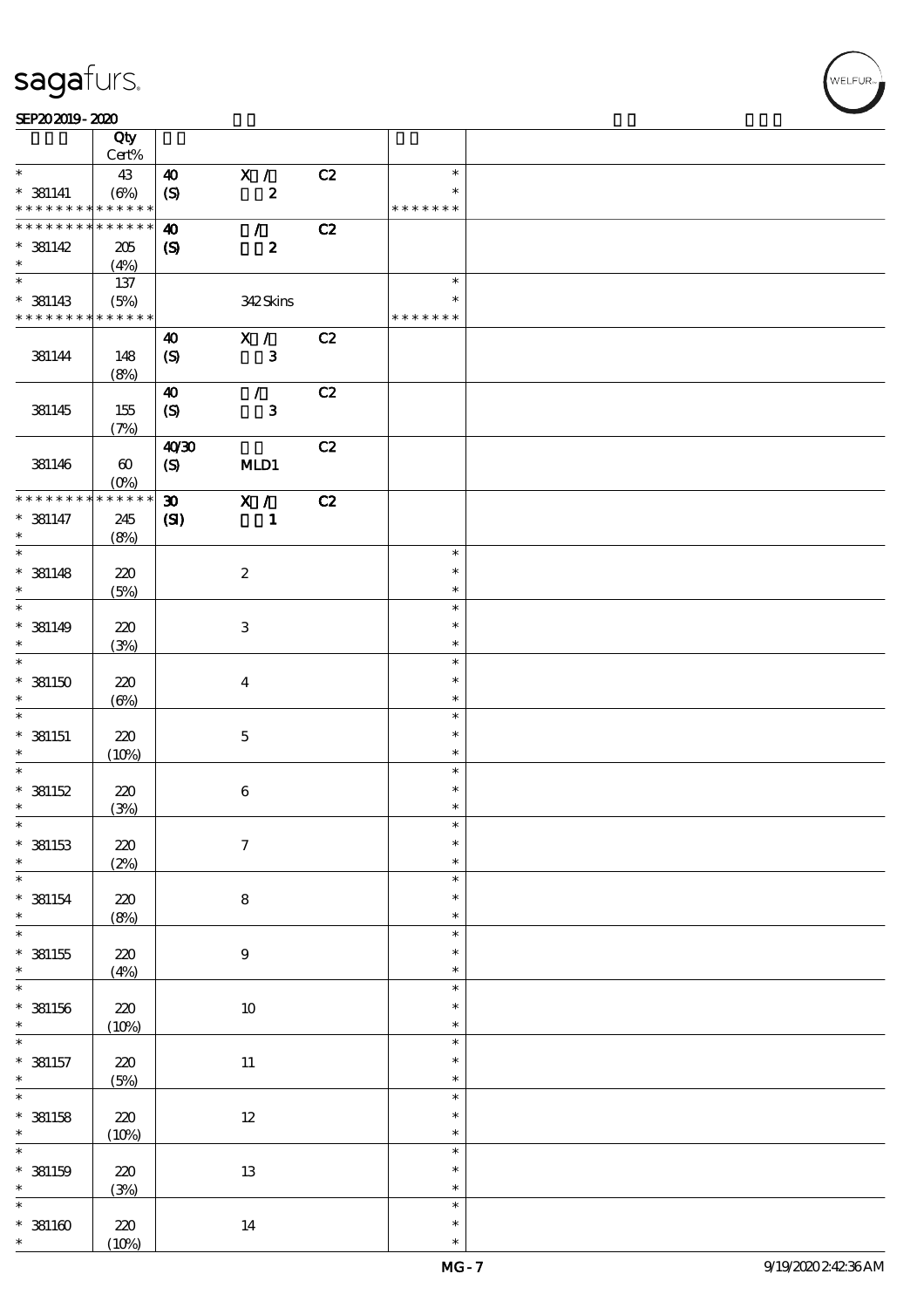#### SEP202019-2020

|                               | Qty<br>Cert%                    |                             |                           |    |                         |  |
|-------------------------------|---------------------------------|-----------------------------|---------------------------|----|-------------------------|--|
|                               |                                 |                             |                           |    |                         |  |
| $\ast$                        | 43                              | $\boldsymbol{\omega}$       | X /                       | C2 | $\ast$                  |  |
| $*$ 381141<br>* * * * * * * * | $(\Theta\%)$<br>$* * * * * * *$ | $\boldsymbol{S}$            | $\pmb{2}$                 |    | $\ast$<br>* * * * * * * |  |
| * * * * * * * *               | * * * * * *                     |                             |                           |    |                         |  |
|                               |                                 | $\boldsymbol{\omega}$       | $\mathcal{L}$             | C2 |                         |  |
| $*$ 381142                    | 205                             | $\boldsymbol{\mathrm{(S)}}$ | $\boldsymbol{z}$          |    |                         |  |
| $\ast$                        | (4%)                            |                             |                           |    |                         |  |
| $\overline{\phantom{0}}$      | 137                             |                             |                           |    | $\ast$                  |  |
| $*$ 381143                    | (5%)                            |                             | 342Skins                  |    | ∗                       |  |
| * * * * * * * * * * * * * *   |                                 |                             |                           |    | * * * * * * *           |  |
|                               |                                 | $\boldsymbol{\omega}$       | X /                       | C2 |                         |  |
|                               |                                 |                             |                           |    |                         |  |
| 381144                        | 148                             | $\boldsymbol{S}$            | $\mathbf{3}$              |    |                         |  |
|                               | (8%)                            |                             |                           |    |                         |  |
|                               |                                 | $\boldsymbol{\omega}$       | $\mathcal{L}$             | C2 |                         |  |
| 381145                        | 155                             | $\boldsymbol{\mathrm{(S)}}$ | $\mathbf{3}$              |    |                         |  |
|                               | (7%)                            |                             |                           |    |                         |  |
|                               |                                 | 40'30                       |                           | C2 |                         |  |
| 381146                        | $\boldsymbol{\omega}$           | (S)                         | MLD1                      |    |                         |  |
|                               |                                 |                             |                           |    |                         |  |
|                               | $(O\%)$<br>* * * * * *          |                             |                           |    |                         |  |
| * * * * * * * *               |                                 | $\boldsymbol{\mathfrak{D}}$ | X /                       | C2 |                         |  |
| $* 381147$                    | 245                             | (S)                         | $\mathbf{1}$              |    |                         |  |
| $\ast$                        | (8%)                            |                             |                           |    |                         |  |
| $\overline{\ast}$             |                                 |                             |                           |    | $\ast$                  |  |
| $*$ 381148                    | 220                             |                             | $\boldsymbol{z}$          |    | $\ast$                  |  |
| $\ast$                        | (5%)                            |                             |                           |    | $\ast$                  |  |
| $\ast$                        |                                 |                             |                           |    | $\ast$                  |  |
|                               |                                 |                             |                           |    | $\ast$                  |  |
| $*$ 381149                    | 220                             |                             | $\ensuremath{\mathsf{3}}$ |    |                         |  |
| $\ast$                        | (3%)                            |                             |                           |    | $\ast$                  |  |
| $\ast$                        |                                 |                             |                           |    | $\ast$                  |  |
| $*$ 381150                    | 220                             |                             | $\boldsymbol{4}$          |    | $\ast$                  |  |
| $\ast$                        | $(\Theta\% )$                   |                             |                           |    | $\ast$                  |  |
| $\ast$                        |                                 |                             |                           |    | $\ast$                  |  |
| $*$ 381151                    | 220                             |                             | $\mathbf 5$               |    | $\ast$                  |  |
| $\ast$                        | (10%)                           |                             |                           |    | $\ast$                  |  |
| $\ast$                        |                                 |                             |                           |    | $\ast$                  |  |
|                               |                                 |                             |                           |    |                         |  |
| * 381152                      | 220                             |                             | $\bf 6$                   |    | $\ast$                  |  |
| $\ast$                        | (3%)                            |                             |                           |    | $\ast$                  |  |
| $*$                           |                                 |                             |                           |    | $\ast$                  |  |
| $*$ 381153                    | 220                             |                             | $\boldsymbol{\tau}$       |    | $\ast$                  |  |
| $\ast$                        | (2%)                            |                             |                           |    | $\ast$                  |  |
| $\ast$                        |                                 |                             |                           |    | $\ast$                  |  |
| $* 381154$                    | $220\,$                         |                             | $\bf 8$                   |    | $\ast$                  |  |
| $\ast$                        | (8%)                            |                             |                           |    | $\ast$                  |  |
| $\overline{\ast}$             |                                 |                             |                           |    | $\ast$                  |  |
|                               |                                 |                             |                           |    | $\ast$                  |  |
| $^*$ 381155                   | 220                             |                             | $\boldsymbol{9}$          |    |                         |  |
| $\ast$                        | (4%)                            |                             |                           |    | $\ast$                  |  |
| $\ast$                        |                                 |                             |                           |    | $\ast$                  |  |
| $*$ 381156                    | $220\,$                         |                             | $10\,$                    |    | $\ast$                  |  |
| $\ast$                        | (10%)                           |                             |                           |    | $\ast$                  |  |
| $\ast$                        |                                 |                             |                           |    | $\ast$                  |  |
| $*$ 381157                    | $220\,$                         |                             | $11\,$                    |    | $\ast$                  |  |
| $\ast$                        | (5%)                            |                             |                           |    | $\ast$                  |  |
| $\overline{\ast}$             |                                 |                             |                           |    | $\ast$                  |  |
|                               |                                 |                             |                           |    |                         |  |
| $*$ 381158                    | 220                             |                             | $12\,$                    |    | $\ast$                  |  |
| $\ast$                        | (10%)                           |                             |                           |    | $\ast$                  |  |
| $\ast$                        |                                 |                             |                           |    | $\ast$                  |  |
| $*$ 381159                    | 220                             |                             | $13\,$                    |    | $\ast$                  |  |
| $\ast$                        | (3%)                            |                             |                           |    | $\ast$                  |  |
| $\ast$                        |                                 |                             |                           |    | $\ast$                  |  |
| $* 381160$                    | 220                             |                             | $14\,$                    |    | $\ast$                  |  |
| $\ast$                        | (10%)                           |                             |                           |    | $\ast$                  |  |

,<br>WELFUR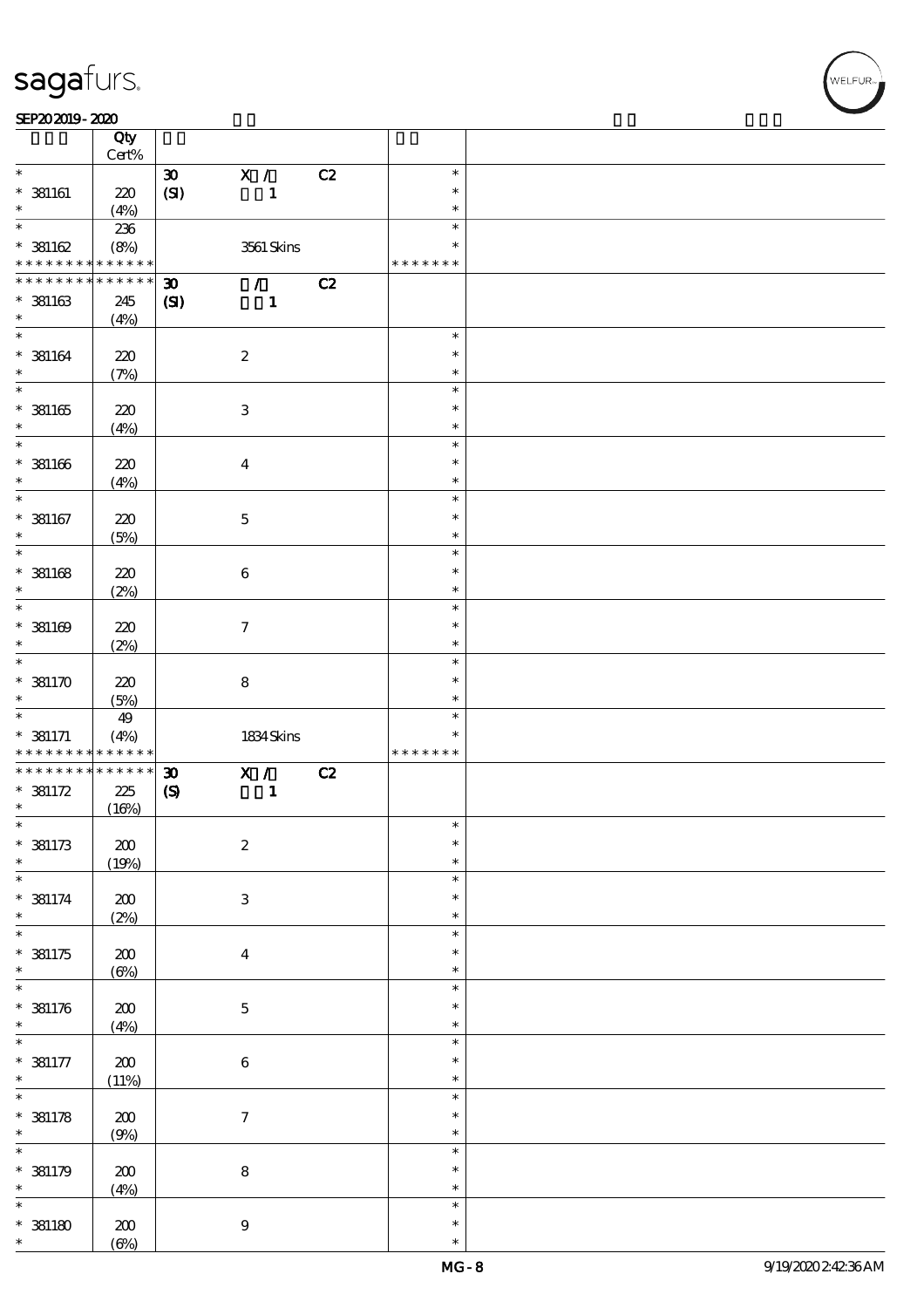#### SEP202019-2020

|                                           | Qty<br>Cert%            |                             |                           |    |               |  |
|-------------------------------------------|-------------------------|-----------------------------|---------------------------|----|---------------|--|
| $\ast$                                    |                         |                             |                           |    | $\ast$        |  |
|                                           |                         | $\boldsymbol{\mathfrak{D}}$ | X /                       | C2 |               |  |
| $*$ 381161                                | 220                     | (SI)                        | $\mathbf{1}$              |    | $\ast$        |  |
| $\ast$                                    | (4%)                    |                             |                           |    | $\ast$        |  |
| $\overline{\ast}$                         | 236                     |                             |                           |    | $\ast$        |  |
| $*381162$                                 | (8%)                    |                             | 3561 Skins                |    | $\ast$        |  |
| * * * * * * * *                           | * * * * * *             |                             |                           |    | * * * * * * * |  |
| * * * * * * * *                           | * * * * * *             |                             |                           |    |               |  |
|                                           |                         | $\boldsymbol{\mathfrak{D}}$ | $\mathcal{L}$             | C2 |               |  |
| $*$ 381163                                | 245                     | $\mathbf{C}$                | $\mathbf{1}$              |    |               |  |
| $\ast$                                    | (4%)                    |                             |                           |    |               |  |
| $\overline{\phantom{0}}$                  |                         |                             |                           |    | $\ast$        |  |
| $*$ 381164                                | 220                     |                             | $\boldsymbol{2}$          |    | $\ast$        |  |
| $\ast$                                    | (7%)                    |                             |                           |    | $\ast$        |  |
|                                           |                         |                             |                           |    | $\ast$        |  |
|                                           |                         |                             |                           |    | $\ast$        |  |
| $* 381165$                                | 220                     |                             | $\ensuremath{\mathbf{3}}$ |    |               |  |
| $\ast$                                    | (4%)                    |                             |                           |    | $\ast$        |  |
| $\ast$                                    |                         |                             |                           |    | $\ast$        |  |
| $* 381166$                                | 220                     |                             | $\bf{4}$                  |    | $\ast$        |  |
| $\ast$                                    | (4%)                    |                             |                           |    | $\ast$        |  |
| $\overline{\ast}$                         |                         |                             |                           |    | $\ast$        |  |
| $*$ 381167                                | 220                     |                             | $\mathbf 5$               |    | $\ast$        |  |
| $\ast$                                    |                         |                             |                           |    | $\ast$        |  |
| $\overline{\ast}$                         | (5%)                    |                             |                           |    | $\ast$        |  |
|                                           |                         |                             |                           |    |               |  |
| $*$ 381168                                | 220                     |                             | $\bf 6$                   |    | $\ast$        |  |
| $\ast$                                    | (2%)                    |                             |                           |    | $\ast$        |  |
| $\overline{\ast}$                         |                         |                             |                           |    | $\ast$        |  |
| $* 381169$                                | 220                     |                             | $\tau$                    |    | $\ast$        |  |
| $\ast$                                    | (2%)                    |                             |                           |    | $\ast$        |  |
| $\overline{\ast}$                         |                         |                             |                           |    | $\ast$        |  |
| $*381170$                                 |                         |                             |                           |    | $\ast$        |  |
|                                           | 220                     |                             | ${\bf 8}$                 |    |               |  |
|                                           |                         |                             |                           |    |               |  |
|                                           | (5%)                    |                             |                           |    | $\ast$        |  |
|                                           | 49                      |                             |                           |    | $\ast$        |  |
| $\ast$<br>$\ast$                          |                         |                             |                           |    | ∗             |  |
| $* 381171$<br>* * * * * * * *             | (4%)<br>$* * * * * * *$ |                             | 1834Skins                 |    | * * * * * * * |  |
| * * * * * * * *                           | $******$                |                             |                           |    |               |  |
|                                           |                         | $\boldsymbol{\mathfrak{D}}$ | X /                       | C2 |               |  |
| $* 381172$                                | 225                     | $\boldsymbol{\mathrm{(S)}}$ | $\mathbf{1}$              |    |               |  |
| $\ast$                                    | (16%)                   |                             |                           |    |               |  |
| $\ast$                                    |                         |                             |                           |    | $\ast$        |  |
|                                           | $200$                   |                             | $\boldsymbol{2}$          |    | $\ast$        |  |
| $*$ 381173<br>$\ast$                      | (19%)                   |                             |                           |    | $\ast$        |  |
| $\overline{\ast}$                         |                         |                             |                           |    | $\ast$        |  |
|                                           |                         |                             |                           |    | $\ast$        |  |
|                                           | $200\,$                 |                             | $\,3\,$                   |    | $\ast$        |  |
|                                           | (2%)                    |                             |                           |    | $\ast$        |  |
| $*$ 381174<br>$\ast$<br>$\overline{\ast}$ |                         |                             |                           |    | $\ast$        |  |
|                                           | 200                     |                             | $\bf{4}$                  |    |               |  |
| $*381175$<br>$\ast$                       | $(\Theta)$              |                             |                           |    | $\ast$        |  |
| $\overline{\ast}$                         |                         |                             |                           |    | $\ast$        |  |
|                                           | $200\,$                 |                             | $\mathbf 5$               |    | $\ast$        |  |
|                                           | (4%)                    |                             |                           |    | $\ast$        |  |
| $*381176$<br>$\ast$<br>$\ast$             |                         |                             |                           |    | $\ast$        |  |
|                                           |                         |                             |                           |    | $\ast$        |  |
| $* 381177$<br>$\ast$                      | $200\,$                 |                             | $\,6\,$                   |    | $\ast$        |  |
|                                           | (11%)                   |                             |                           |    |               |  |
| $\overline{\ast}$                         |                         |                             |                           |    | $\ast$        |  |
| $* 381178$                                | 200                     |                             | $\tau$                    |    | $\ast$        |  |
| $\ast$                                    | (9%)                    |                             |                           |    | $\ast$        |  |
| $\overline{\ast}$                         |                         |                             |                           |    | $\ast$        |  |
|                                           | $200$                   |                             | $\bf 8$                   |    | $\ast$        |  |
| $*381179$<br>$\ast$                       |                         |                             |                           |    | $\ast$        |  |
| $\ast$                                    | (4%)                    |                             |                           |    | $\ast$        |  |
|                                           |                         |                             |                           |    | $\ast$        |  |
| $*$ 381180<br>$\ast$                      | $200$<br>$(\Theta\%)$   |                             | $9\,$                     |    | $\ast$        |  |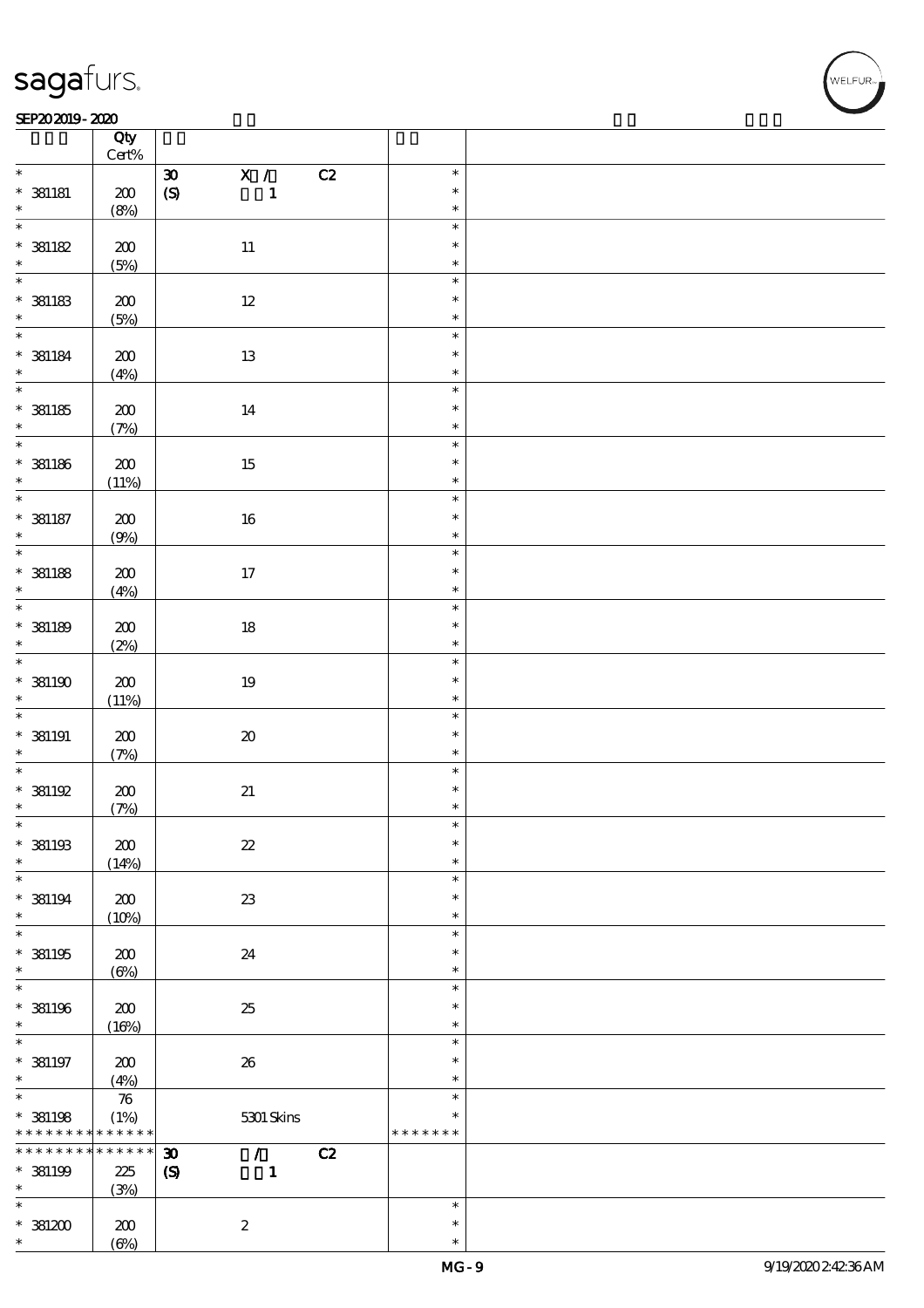### SEP202019-2020 REPORTED TO A REPORT OF THE SEPEDENT CONTROL SECTION OF THE SEPEDENT CONTROL SECTION OF THE SAM

|                                    | Qty<br>$\mbox{Cert}\%$ |                                                                |                  |  |
|------------------------------------|------------------------|----------------------------------------------------------------|------------------|--|
| $\ast$                             |                        | $\overline{\mathbf{x}}$ /<br>C2<br>$\boldsymbol{\mathfrak{D}}$ | $\ast$           |  |
| $* 381181$                         | $200\,$                | $\pmb{\in}$<br>$\mathbf 1$                                     | $\ast$           |  |
| $\ast$                             | (8%)                   |                                                                | $\ast$           |  |
| $\ast$                             |                        |                                                                | $\ast$           |  |
| $*$ 381182                         | $200\,$                | $11\,$                                                         | $\ast$           |  |
| $\ast$<br>$\overline{\phantom{0}}$ | (5%)                   |                                                                | $\ast$           |  |
|                                    |                        |                                                                | $\ast$           |  |
| $^\ast$ 38183                      | $200\,$                | $12\,$                                                         | $\ast$<br>$\ast$ |  |
| $\overline{\ast}$                  | (5%)                   |                                                                | $\ast$           |  |
|                                    | $\pmb{30}$             | 13                                                             | $\ast$           |  |
| $^*$ 381184<br>$\ast$              | (4%)                   |                                                                | $\ast$           |  |
| $\overline{\phantom{0}}$           |                        |                                                                | $\ast$           |  |
| $^\ast$ 381185                     | $\pmb{30}$             | $14\,$                                                         | $\ast$           |  |
| $\ast$                             | (7%)                   |                                                                | $\ast$           |  |
| $\overline{\ast}$                  |                        |                                                                | $\ast$           |  |
| $*$ 381186                         | $200\,$                | $15\,$                                                         | $\ast$           |  |
| $\ast$                             | (11%)                  |                                                                | $\ast$           |  |
| $\ast$                             |                        |                                                                | $\ast$           |  |
| $*$ 381187                         | 200                    | $16\,$                                                         | $\ast$           |  |
| $\ast$<br>$\overline{\phantom{0}}$ | (9%)                   |                                                                | $\ast$           |  |
|                                    |                        |                                                                | $\ast$           |  |
| $*$ 381188<br>$\ast$               | $200\,$                | $17\,$                                                         | $\ast$<br>$\ast$ |  |
| $\overline{\ast}$                  | (4%)                   |                                                                | $\ast$           |  |
| $*$ 381189                         | 200                    | $18\,$                                                         | $\ast$           |  |
| $\ast$                             | (2%)                   |                                                                | $\ast$           |  |
| $\overline{\ast}$                  |                        |                                                                | $\ast$           |  |
| $*$ 381190                         | $200\,$                | $19\,$                                                         | $\ast$           |  |
| $\ast$                             | (11%)                  |                                                                | $\ast$           |  |
| $\overline{\ast}$                  |                        |                                                                | $\ast$           |  |
| $*$ 381191                         | $\pmb{30}$             | $\pmb{\mathcal{X}}$                                            | $\ast$           |  |
| $\ast$                             | (7%)                   |                                                                | $\ast$           |  |
| $\ast$                             |                        |                                                                | $\ast$           |  |
| $^*$ 381192<br>$\ast$              | $200\,$                | $2\hspace{-0.05cm}1$                                           | $\ast$           |  |
| $\ast$                             | (7%)                   |                                                                | $\ast$<br>$\ast$ |  |
| $^*$ 381193                        | 200                    | $2\!2$                                                         | $\ast$           |  |
| $\ast$                             | (14%)                  |                                                                | $\ast$           |  |
| $\ast$                             |                        |                                                                | $\ast$           |  |
| $* 381194$                         | $200\,$                | $2\!3$                                                         | $\ast$           |  |
| $\ast$                             | (10%)                  |                                                                | $\ast$           |  |
| $\ast$                             |                        |                                                                | $\ast$           |  |
| $*$ 381195                         | 200                    | 24                                                             | $\ast$           |  |
| $\ast$                             | $(\Theta)$             |                                                                | $\ast$           |  |
| $\ast$                             |                        |                                                                | $\ast$           |  |
| $*$ 381196                         | 200                    | $25\,$                                                         | $\ast$           |  |
| $\ast$<br>$\ast$                   | (16%)                  |                                                                | $\ast$<br>$\ast$ |  |
| $*$ 381197                         | 200                    | ${\bf 26}$                                                     | $\ast$           |  |
| $\ast$                             | (4%)                   |                                                                | $\ast$           |  |
| $\overline{\ast}$                  | ${\bf 76}$             |                                                                | $\ast$           |  |
| $*$ 381198                         | (1%)                   | 5301 Skins                                                     | $\ast$           |  |
| * * * * * * * *                    | ******                 |                                                                | * * * * * * *    |  |
| * * * * * * * *                    | * * * * * *            | $\mathcal{F}$<br>C2<br>$\boldsymbol{\mathfrak{D}}$             |                  |  |
| $* 381199$                         | 225                    | $\boldsymbol{\mathcal{S}}$<br>$\mathbf{1}$                     |                  |  |
| $\ast$                             | (3%)                   |                                                                |                  |  |
| $\ast$                             |                        |                                                                | $\ast$           |  |
| $*381200$                          | 200                    | $\boldsymbol{2}$                                               | $\ast$           |  |
| $\ast$                             | $(\Theta\%)$           |                                                                | $\ast$           |  |

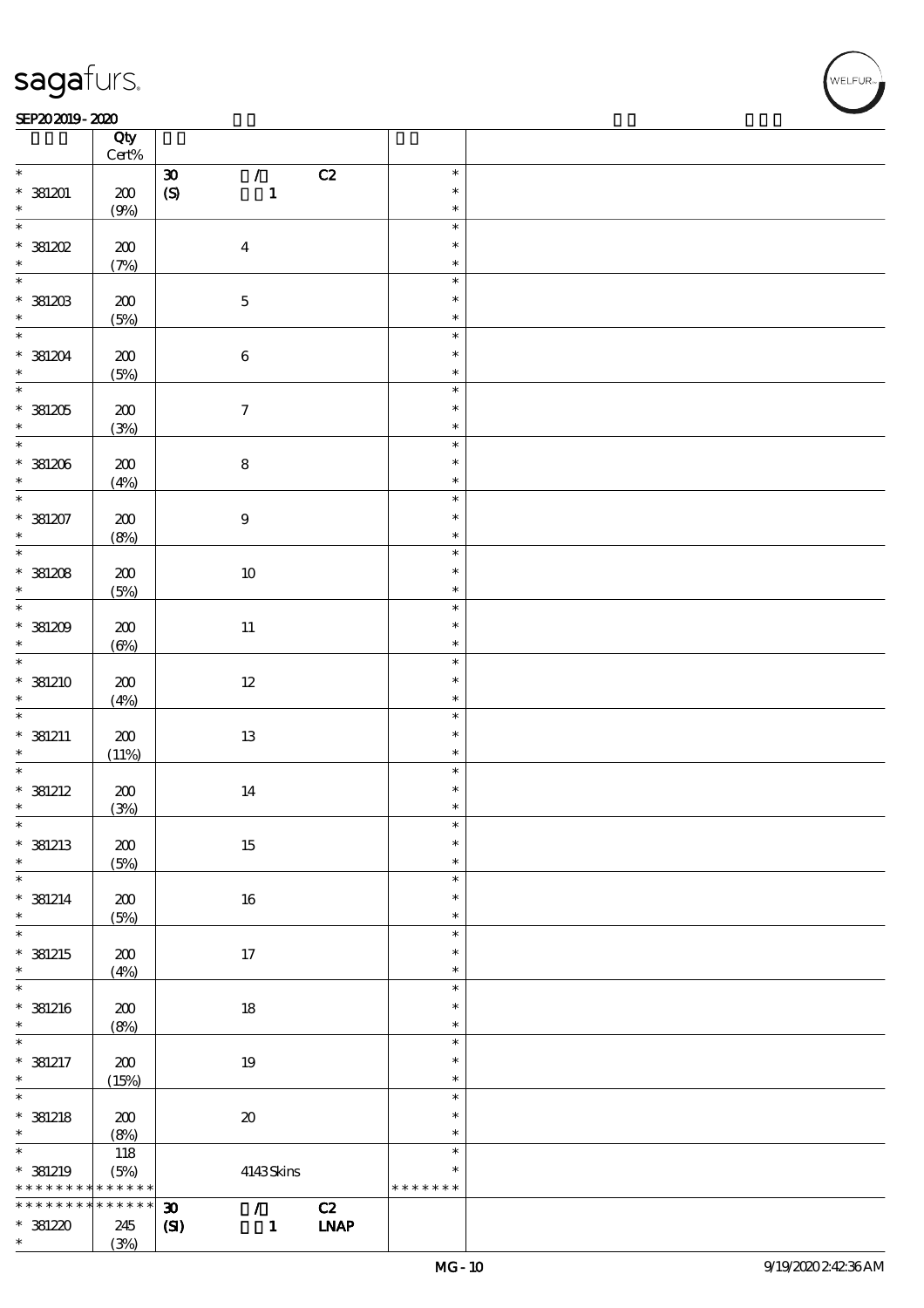$\top$ 

### SEP202019-2020 REPORTED TO A REPORT OF THE SEPEDENT CONTROL SECTION OF THE SEPEDENT CONTROL SECTION OF THE SAM

|                          | Qty<br>$Cert\%$ |                                                            |               |  |
|--------------------------|-----------------|------------------------------------------------------------|---------------|--|
| $\ast$                   |                 | $\mathcal{L}$<br>C2<br>$\pmb{\mathfrak{D}}$                | $\ast$        |  |
|                          |                 |                                                            |               |  |
| $*381201$                | $200$           | $\boldsymbol{S}$<br>$\mathbf{1}$                           | $\ast$        |  |
| $\ast$                   | (9%)            |                                                            | $\ast$        |  |
| $\overline{\ast}$        |                 |                                                            | $\ast$        |  |
| $*381202$                | $200\,$         | $\boldsymbol{4}$                                           | $\ast$        |  |
| $\ast$                   | (7%)            |                                                            | $\ast$        |  |
|                          |                 |                                                            | $\ast$        |  |
|                          |                 |                                                            | $\ast$        |  |
| $*39.203$                | 200             | $\mathbf 5$                                                |               |  |
|                          | (5%)            |                                                            | $\ast$        |  |
| $\ddot{x}$               |                 |                                                            | $\ast$        |  |
| $*381204$                | $200$           | $\bf 6$                                                    | $\ast$        |  |
| $\ast$                   | (5%)            |                                                            | $\ast$        |  |
| $\overline{\ast}$        |                 |                                                            | $\ast$        |  |
|                          |                 |                                                            | $\ast$        |  |
| $*381205$                | $200\,$         | $\boldsymbol{\tau}$                                        |               |  |
| $\ast$                   | (3%)            |                                                            | $\ast$        |  |
| $\overline{\phantom{0}}$ |                 |                                                            | $\ast$        |  |
| $*381206$                | 200             | $\bf 8$                                                    | $\ast$        |  |
| $\ast$                   | (4%)            |                                                            | $\ast$        |  |
| $\overline{\ast}$        |                 |                                                            | $\ast$        |  |
| $*381207$                | 200             | $\boldsymbol{9}$                                           | $\ast$        |  |
| $\ast$                   |                 |                                                            | $\ast$        |  |
| $\overline{\ast}$        | (8%)            |                                                            |               |  |
|                          |                 |                                                            | $\ast$        |  |
| $*381208$                | 200             | $10\,$                                                     | $\ast$        |  |
| $\ast$                   | (5%)            |                                                            | $\ast$        |  |
| $*$                      |                 |                                                            | $\ast$        |  |
| $*381209$                | 200             | $11\,$                                                     | $\ast$        |  |
| $\ast$                   |                 |                                                            | $\ast$        |  |
| $\overline{\mathbf{r}}$  | $(\Theta)$      |                                                            |               |  |
|                          |                 |                                                            | $\ast$        |  |
| * 381210                 | 200             | $12\,$                                                     | $\ast$        |  |
| $\ast$                   | (4%)            |                                                            | $\ast$        |  |
| $\ast$                   |                 |                                                            | $\ast$        |  |
| $*$ 381211               | $200\,$         | $13\,$                                                     | $\ast$        |  |
| $\ast$                   | (11%)           |                                                            | $\ast$        |  |
| $\overline{\phantom{0}}$ |                 |                                                            | $\ast$        |  |
|                          |                 |                                                            |               |  |
| $*$ 381212               | 200             | 14                                                         | $\ast$        |  |
| $\ast$                   | (3%)            |                                                            | $\ast$        |  |
| $\ast$                   |                 |                                                            | $\ast$        |  |
| $*$ 381213               | $\pmb{30}$      | 15                                                         | $\ast$        |  |
| $\ast$                   | (5%)            |                                                            | $\ast$        |  |
| $\ast$                   |                 |                                                            | $\ast$        |  |
|                          |                 |                                                            | $\ast$        |  |
| $*$ 381214               | 200             | 16                                                         |               |  |
| $\ast$                   | (5%)            |                                                            | $\ast$        |  |
| $\overline{\ast}$        |                 |                                                            | $\ast$        |  |
| $*$ 381215               | 200             | 17                                                         | $\ast$        |  |
| $\ast$                   | (4%)            |                                                            | $\ast$        |  |
| $\ast$                   |                 |                                                            | $\ast$        |  |
| $*$ 381216               | $200$           | $18\,$                                                     | $\ast$        |  |
| $\ast$                   |                 |                                                            | $\ast$        |  |
|                          | (8%)            |                                                            |               |  |
| $\ast$                   |                 |                                                            | $\ast$        |  |
| $* 381217$               | $200$           | 19                                                         | $\ast$        |  |
| $\ast$                   | (15%)           |                                                            | $\ast$        |  |
| $\ast$                   |                 |                                                            | $\ast$        |  |
| $*$ 381218               | 200             | $\pmb{\mathcal{X}}$                                        | $\ast$        |  |
| $\ast$                   |                 |                                                            | $\ast$        |  |
| $\overline{\ast}$        | (8%)            |                                                            |               |  |
|                          | 118             |                                                            | $\ast$        |  |
| $*$ 381219               | (5%)            | 4143Skins                                                  | $\ast$        |  |
| * * * * * * * *          | * * * * * *     |                                                            | * * * * * * * |  |
| * * * * * * * *          | * * * * * *     | $\boldsymbol{\mathfrak{D}}$<br>C2<br>$\mathcal{L}$         |               |  |
| $*381220$                | 245             | $\ensuremath{\text{IMAP}}$<br>$\mathbf{C}$<br>$\mathbf{1}$ |               |  |
| $\ast$                   | (3%)            |                                                            |               |  |
|                          |                 |                                                            |               |  |

 $\overline{\mathbf{r}}$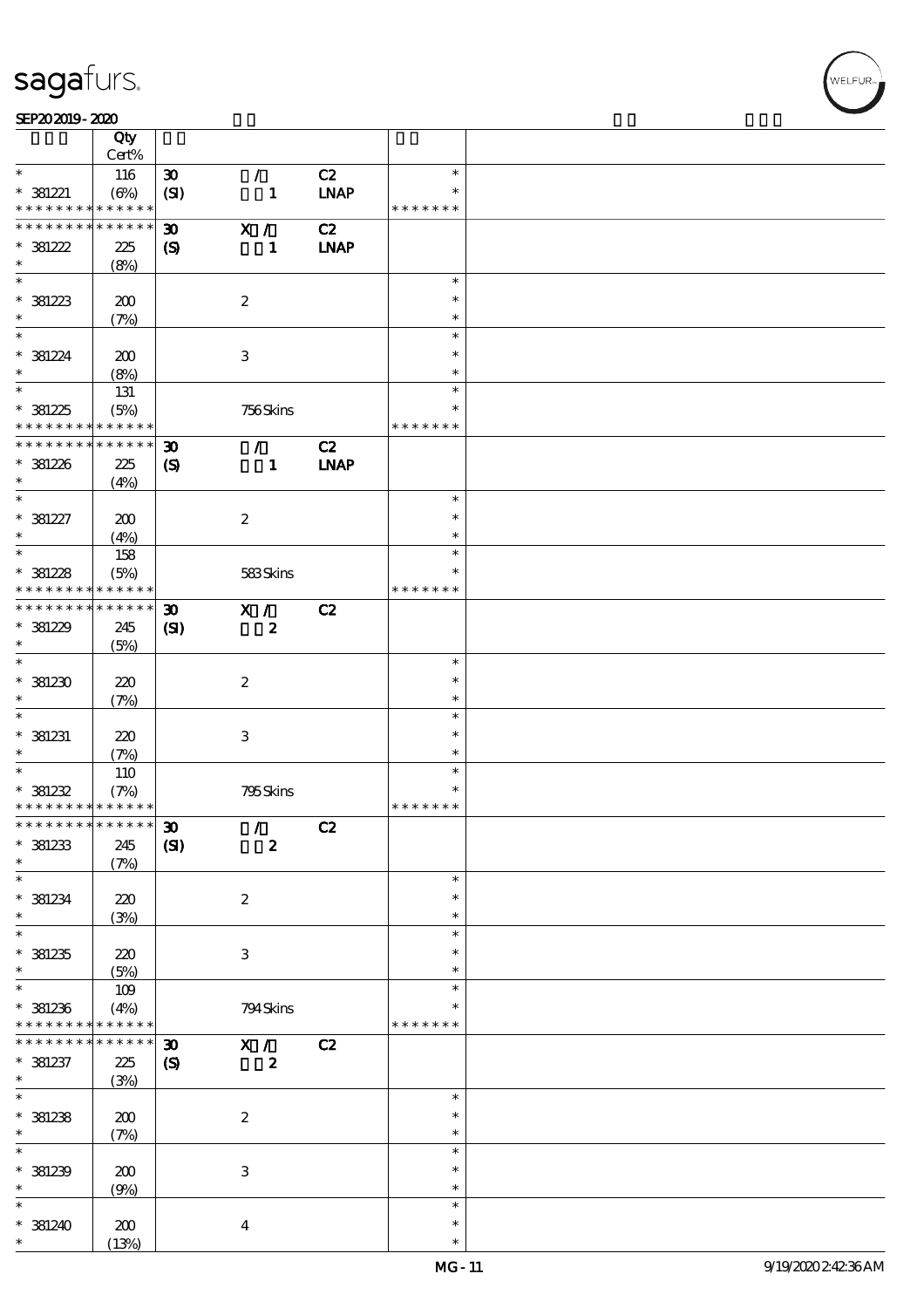### SEP202019-2020

|                                            | Qty<br>Cert%               |                             |                           |             |                  |  |
|--------------------------------------------|----------------------------|-----------------------------|---------------------------|-------------|------------------|--|
| $\ast$                                     |                            |                             | $\mathcal{F}$             |             | $\ast$           |  |
|                                            | 116                        | $\pmb{\mathfrak{D}}$        |                           | C2          |                  |  |
| $* 381221$                                 | $(\Theta)$                 | (SI)                        | $\mathbf{1}$              | <b>LNAP</b> | $\ast$           |  |
| * * * * * * * * <mark>* * * * * *</mark>   |                            |                             |                           |             | * * * * * * *    |  |
| * * * * * * * *                            | $\ast\ast\ast\ast\ast\ast$ | $\boldsymbol{\mathfrak{D}}$ | X /                       | C2          |                  |  |
|                                            |                            |                             |                           |             |                  |  |
| $*381222$                                  | 225                        | $\boldsymbol{\mathrm{(S)}}$ | $\mathbf{1}$              | <b>LNAP</b> |                  |  |
| $\ast$                                     | (8%)                       |                             |                           |             |                  |  |
|                                            |                            |                             |                           |             | $\ast$           |  |
| $*381223$                                  | 200                        |                             | $\boldsymbol{2}$          |             | $\ast$           |  |
|                                            |                            |                             |                           |             |                  |  |
| $\ast$                                     | (7%)                       |                             |                           |             | $\ast$           |  |
| $\ast$                                     |                            |                             |                           |             | $\ast$           |  |
| $* 381224$                                 | 200                        |                             | 3                         |             | $\ast$           |  |
| $\ast$                                     | (8%)                       |                             |                           |             | $\ast$           |  |
|                                            |                            |                             |                           |             |                  |  |
|                                            | 131                        |                             |                           |             | $\ast$           |  |
| $*381225$                                  | (5%)                       |                             | 756Skins                  |             | $\ast$           |  |
| * * * * * * * *                            | $\ast\ast\ast\ast\ast\ast$ |                             |                           |             | * * * * * * *    |  |
| * * * * * * * *                            | $******$                   | $\boldsymbol{\mathfrak{D}}$ | $\mathcal{L}$             | C2          |                  |  |
|                                            |                            |                             |                           |             |                  |  |
| $* 381226$                                 | 225                        | $\boldsymbol{\mathcal{S}}$  | $\mathbf{1}$              | <b>LNAP</b> |                  |  |
| $\ast$                                     | (4%)                       |                             |                           |             |                  |  |
| $\ast$                                     |                            |                             |                           |             | $\ast$           |  |
| $* 381227$                                 | 200                        |                             | $\boldsymbol{2}$          |             | $\ast$           |  |
| $\ast$                                     |                            |                             |                           |             | $\ast$           |  |
|                                            | (4%)                       |                             |                           |             |                  |  |
| $\overline{\ast}$                          | 158                        |                             |                           |             | $\ast$           |  |
| $* 381228$                                 | (5%)                       |                             | 583Skins                  |             | $\ast$           |  |
| * * * * * * * *                            | $******$                   |                             |                           |             | * * * * * * *    |  |
| * * * * * * * *                            | * * * * * *                |                             |                           |             |                  |  |
|                                            |                            | $\boldsymbol{\mathfrak{D}}$ | X /                       | C2          |                  |  |
| $*381229$                                  | 245                        | (S)                         | $\boldsymbol{z}$          |             |                  |  |
| $\ast$                                     | (5%)                       |                             |                           |             |                  |  |
| $\overline{\ast}$                          |                            |                             |                           |             | $\ast$           |  |
| $*381230$                                  | 220                        |                             | $\boldsymbol{2}$          |             | $\ast$           |  |
|                                            |                            |                             |                           |             |                  |  |
| $\ast$                                     | (7%)                       |                             |                           |             | $\ast$           |  |
| $\ast$                                     |                            |                             |                           |             | $\ast$           |  |
| $*$ 381231                                 | 220                        |                             | $\ensuremath{\mathbf{3}}$ |             | $\ast$           |  |
| $\ast$                                     |                            |                             |                           |             | $\ast$           |  |
| $\overline{\ast}$                          | (7%)                       |                             |                           |             |                  |  |
|                                            | 110                        |                             |                           |             | $\ast$           |  |
| $* 381232$                                 | (7%)                       |                             | 795Skins                  |             | $\ast$           |  |
| * * * * * * * * <mark>* * * * * * *</mark> |                            |                             |                           |             | * * * * * * *    |  |
| ************** 30                          |                            |                             | $\mathcal{L}$             | C2          |                  |  |
|                                            |                            |                             |                           |             |                  |  |
| $* 381233$                                 | 245                        | (S)                         | $\boldsymbol{2}$          |             |                  |  |
| $\ast$                                     | (7%)                       |                             |                           |             |                  |  |
| $\ast$                                     |                            |                             |                           |             | $\ast$           |  |
| $*$ 381234                                 | 220                        |                             | $\boldsymbol{2}$          |             | $\ast$           |  |
| $\ast$                                     |                            |                             |                           |             | $\ast$           |  |
|                                            | (3%)                       |                             |                           |             |                  |  |
| $\overline{\ast}$                          |                            |                             |                           |             | $\ast$           |  |
| $*381235$                                  | 220                        |                             | $\,3$                     |             | $\ast$           |  |
| $\ast$                                     | (5%)                       |                             |                           |             | $\ast$           |  |
| $\ast$                                     |                            |                             |                           |             | $\ast$           |  |
|                                            | $109$                      |                             |                           |             |                  |  |
| $*$ 381236                                 | (4%)                       |                             | 794Skins                  |             |                  |  |
| * * * * * * * *                            | * * * * * *                |                             |                           |             | * * * * * * *    |  |
| * * * * * * * *                            | * * * * * *                | $\boldsymbol{\mathfrak{D}}$ | X /                       | C2          |                  |  |
| $*$ 381237                                 |                            |                             | $\boldsymbol{z}$          |             |                  |  |
|                                            | 225                        | $\boldsymbol{\mathrm{(S)}}$ |                           |             |                  |  |
| $\ast$                                     | (3%)                       |                             |                           |             |                  |  |
| $\overline{\ast}$                          |                            |                             |                           |             | $\ast$           |  |
| $*381238$                                  | 200                        |                             | $\boldsymbol{2}$          |             | $\ast$           |  |
| $\ast$                                     | (7%)                       |                             |                           |             | $\ast$           |  |
| $\ast$                                     |                            |                             |                           |             |                  |  |
|                                            |                            |                             |                           |             | $\ast$           |  |
| $*$ 381239                                 | 200                        |                             | $\ensuremath{\mathbf{3}}$ |             | $\ast$           |  |
| $\ast$                                     | (9%)                       |                             |                           |             | $\ast$           |  |
| $\ast$                                     |                            |                             |                           |             | $\ast$           |  |
|                                            |                            |                             |                           |             |                  |  |
|                                            |                            |                             |                           |             |                  |  |
| $*$ 381240<br>$\ast$                       | 200<br>(13%)               |                             | $\boldsymbol{4}$          |             | $\ast$<br>$\ast$ |  |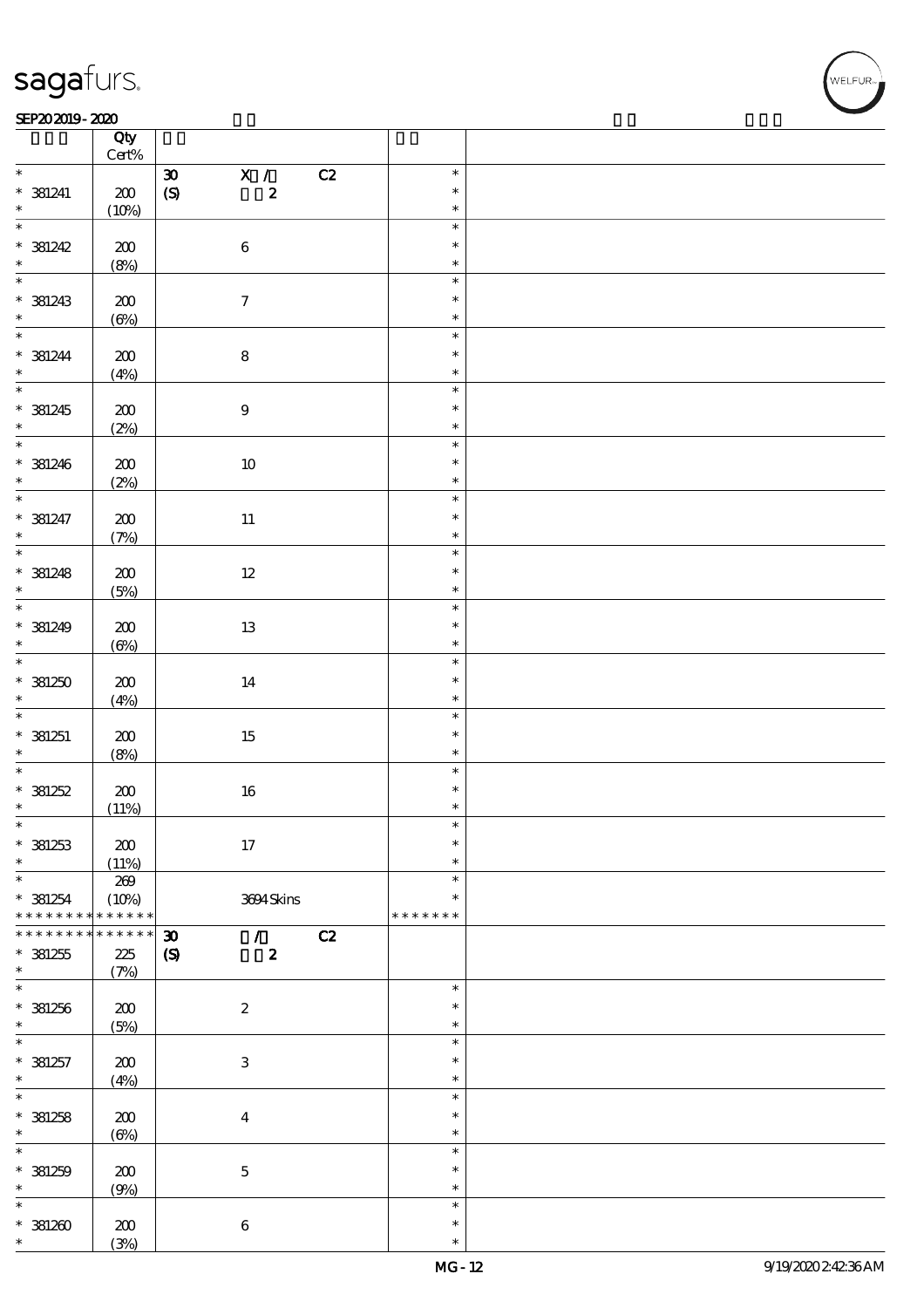### SEP202019-2020 REPORTED TO A REPORT OF THE SEPEDENT CONTROL SECTION OF THE SEPEDENT CONTROL SECTION OF THE SAM

|                          | Qty<br>$Cert\%$ |                                                         |               |  |
|--------------------------|-----------------|---------------------------------------------------------|---------------|--|
| $\ast$                   |                 |                                                         | $\ast$        |  |
|                          |                 | $\overline{\mathbf{x}}$ /<br>C2<br>$\pmb{\mathfrak{D}}$ |               |  |
| $*$ 381241               | $200\,$         | $\boldsymbol{2}$<br>$\boldsymbol{S}$                    | $\ast$        |  |
| $\ast$                   | (10%)           |                                                         | $\ast$        |  |
|                          |                 |                                                         | $\ast$        |  |
| $* 381242$               | $200\,$         | $\bf 6$                                                 | $\ast$        |  |
|                          |                 |                                                         |               |  |
| $\ast$                   | (8%)            |                                                         | $\ast$        |  |
|                          |                 |                                                         | $\ast$        |  |
| $* 381243$               | 200             | $\boldsymbol{\tau}$                                     | $\ast$        |  |
| $\ast$                   |                 |                                                         | $\ast$        |  |
|                          | $(\Theta)$      |                                                         |               |  |
| $\ddot{x}$               |                 |                                                         | $\ast$        |  |
| $* 381244$               | $200$           | ${\bf 8}$                                               | $\ast$        |  |
| $\ast$                   | (4%)            |                                                         | $\ast$        |  |
| $\overline{\phantom{0}}$ |                 |                                                         | $\ast$        |  |
|                          |                 |                                                         |               |  |
| $* 381245$               | $200$           | $\bf 9$                                                 | $\ast$        |  |
| $\ast$                   | (2%)            |                                                         | $\ast$        |  |
| $\overline{\phantom{0}}$ |                 |                                                         | $\ast$        |  |
|                          |                 |                                                         | $\ast$        |  |
| $* 381246$               | 200             | $10\,$                                                  |               |  |
| $\ast$                   | (2%)            |                                                         | $\ast$        |  |
| $\overline{\ast}$        |                 |                                                         | $\ast$        |  |
| $* 381247$               | $200$           | $11\,$                                                  | $\ast$        |  |
| $\ast$                   |                 |                                                         | $\ast$        |  |
| $\overline{\ast}$        | (7%)            |                                                         |               |  |
|                          |                 |                                                         | $\ast$        |  |
| $* 381248$               | 200             | $12\,$                                                  | $\ast$        |  |
| $\ast$                   | (5%)            |                                                         | $\ast$        |  |
|                          |                 |                                                         | $\ast$        |  |
|                          |                 |                                                         |               |  |
| $* 381249$               | 200             | 13                                                      | $\ast$        |  |
| $\ast$                   | $(\Theta)$      |                                                         | $\ast$        |  |
|                          |                 |                                                         | $\ast$        |  |
|                          |                 |                                                         | $\ast$        |  |
| $*381250$                | $200$           | 14                                                      |               |  |
| $\ast$                   | (4%)            |                                                         | $\ast$        |  |
|                          |                 |                                                         | $\ast$        |  |
| $* 381251$               | 200             | $15\,$                                                  | $\ast$        |  |
| $\ast$                   | (8%)            |                                                         | $\ast$        |  |
| $\overline{\phantom{0}}$ |                 |                                                         |               |  |
|                          |                 |                                                         | $\ast$        |  |
| $* 381252$               | 200             | $16\,$                                                  | $\ast$        |  |
| $\ast$                   | (11%)           |                                                         | $\ast$        |  |
| $\ast$                   |                 |                                                         | $\ast$        |  |
|                          |                 |                                                         | $\ast$        |  |
| $*$ 381253               | 200             | 17                                                      |               |  |
| $\ast$                   | (11%)           |                                                         | $\ast$        |  |
| $\ast$                   | 269             |                                                         | $\ast$        |  |
| $* 381254$               | (10%)           | 3694Skins                                               | $\ast$        |  |
| * * * * * * * *          | * * * * * *     |                                                         | * * * * * * * |  |
| * * * * * * *            | * * * * * *     |                                                         |               |  |
|                          |                 | C2<br>$\boldsymbol{\mathfrak{D}}$<br>$\mathcal{F}$      |               |  |
| $*381255$                | 225             | $\boldsymbol{\mathrm{(S)}}$<br>$\boldsymbol{z}$         |               |  |
| $\ast$                   | (7%)            |                                                         |               |  |
| $\ast$                   |                 |                                                         | $\ast$        |  |
| $*381256$                |                 |                                                         | $\ast$        |  |
|                          | $200$           | $\boldsymbol{2}$                                        |               |  |
| $\ast$                   | (5%)            |                                                         | $\ast$        |  |
| $\ast$                   |                 |                                                         | $\ast$        |  |
| $* 381257$               | $200$           | $\ensuremath{\mathbf{3}}$                               | $\ast$        |  |
| $\ast$                   | (4%)            |                                                         | $\ast$        |  |
| $\ast$                   |                 |                                                         | $\ast$        |  |
|                          |                 |                                                         |               |  |
| $* 381258$               | 200             | $\bf{4}$                                                | $\ast$        |  |
| $\ast$                   | $(\Theta\%)$    |                                                         | $\ast$        |  |
| $\ast$                   |                 |                                                         | $\ast$        |  |
|                          |                 |                                                         | $\ast$        |  |
| $*$ 381259               | 200             | $\mathbf 5$                                             |               |  |
| $\ast$                   | (9%)            |                                                         | $\ast$        |  |
| $\ast$                   |                 |                                                         | $\ast$        |  |
| $*381200$                | 200             | $\bf 6$                                                 | $\ast$        |  |
| $\ast$                   | (3%)            |                                                         | $\ast$        |  |
|                          |                 |                                                         |               |  |

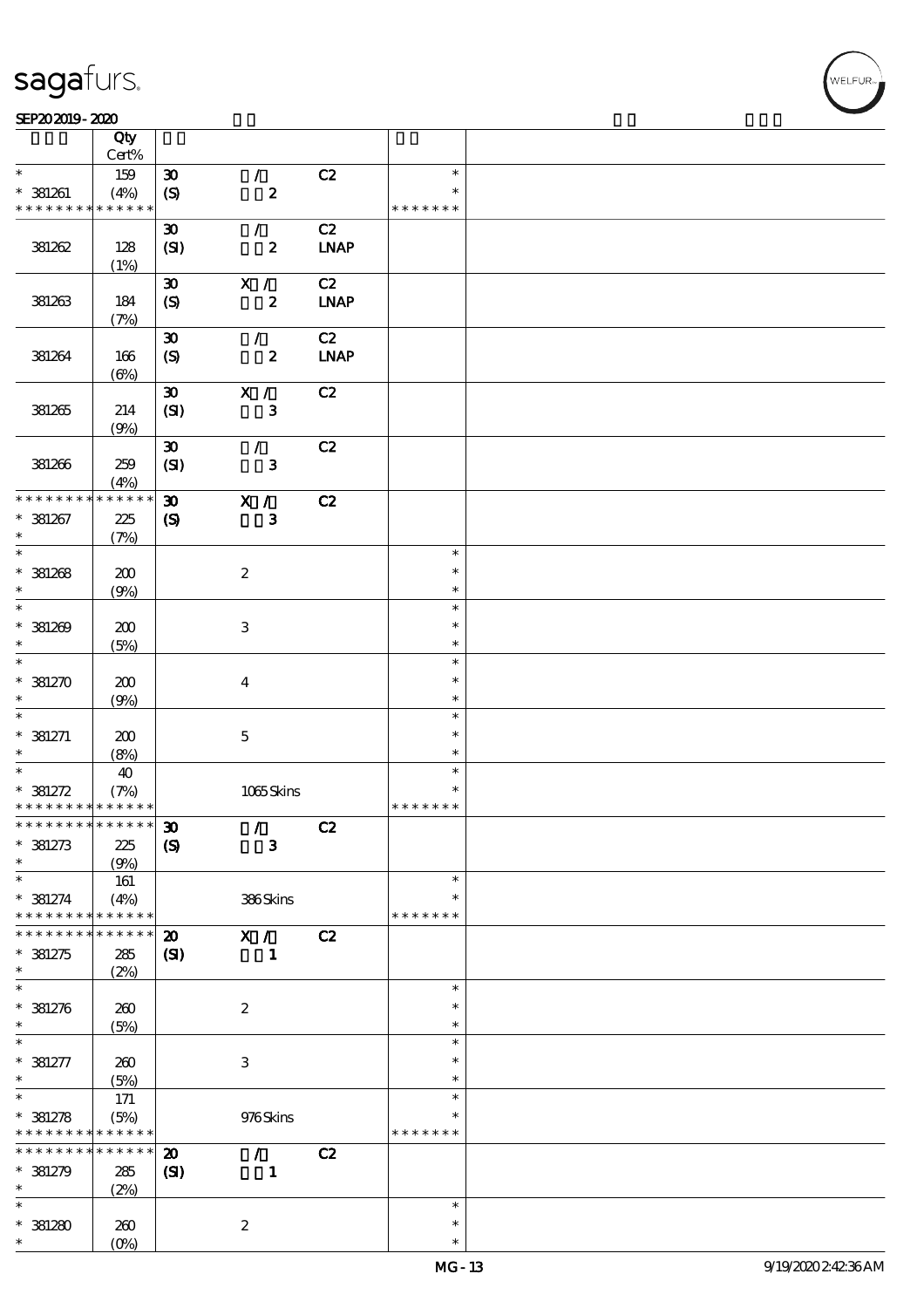$\top$ 

### SEP202019-2020 REPORTED TO A REPORT OF THE SEPEDENT CONTROL SECTION OF THE SEPEDENT CONTROL SECTION OF THE SAM

|                                            | Qty         |                             |                           |             |               |  |
|--------------------------------------------|-------------|-----------------------------|---------------------------|-------------|---------------|--|
| $\ast$                                     | Cert%       |                             |                           |             | $\ast$        |  |
|                                            | 159         | $\boldsymbol{\mathfrak{D}}$ | $\mathcal{F}$             | C2          |               |  |
| $*$ 381261                                 | (4%)        | $\boldsymbol{S}$            | $\pmb{2}$                 |             | $\ast$        |  |
| * * * * * * * *                            | * * * * * * |                             |                           |             | * * * * * * * |  |
|                                            |             | $\boldsymbol{\mathfrak{D}}$ | $\mathcal{L}$             | C2          |               |  |
| 381262                                     | 128         | (SI)                        | $\boldsymbol{z}$          | <b>LNAP</b> |               |  |
|                                            | (1%)        |                             |                           |             |               |  |
|                                            |             | $\pmb{\mathfrak{D}}$        | X /                       | C2          |               |  |
| 381263                                     | 184         | $\boldsymbol{S}$            | $\boldsymbol{z}$          | <b>INAP</b> |               |  |
|                                            | (7%)        |                             |                           |             |               |  |
|                                            |             | $\boldsymbol{\mathfrak{D}}$ | $\mathcal{L}$             | C2          |               |  |
| 381264                                     | 166         | $\boldsymbol{\mathrm{(S)}}$ | $\boldsymbol{z}$          | <b>LNAP</b> |               |  |
|                                            | (6%)        |                             |                           |             |               |  |
|                                            |             | $\pmb{\mathfrak{D}}$        | X /                       | C2          |               |  |
| 381265                                     | 214         | (SI)                        | $\mathbf{3}$              |             |               |  |
|                                            | (9%)        |                             |                           |             |               |  |
|                                            |             | $\pmb{\mathfrak{D}}$        | $\mathcal{L}$             | C2          |               |  |
| 381266                                     | 259         | (SI)                        | ${\bf 3}$                 |             |               |  |
|                                            | (4%)        |                             |                           |             |               |  |
| * * * * * * * *                            | * * * * * * | $\boldsymbol{\mathfrak{D}}$ | X /                       | C2          |               |  |
| $* 381267$                                 | 225         | $\boldsymbol{\mathrm{(S)}}$ | $\mathbf{3}$              |             |               |  |
| $\ast$                                     | (7%)        |                             |                           |             |               |  |
| $\overline{\phantom{0}}$                   |             |                             |                           |             | $\ast$        |  |
|                                            |             |                             |                           |             | $\ast$        |  |
| $*381268$<br>$\ast$                        | 200         |                             | $\boldsymbol{z}$          |             | $\ast$        |  |
| $\overline{\phantom{0}}$                   | (9%)        |                             |                           |             |               |  |
|                                            |             |                             |                           |             | $\ast$        |  |
| $*381209$                                  | 200         |                             | $\ensuremath{\mathbf{3}}$ |             | $\ast$        |  |
| $\ast$                                     | (5%)        |                             |                           |             | $\ast$        |  |
|                                            |             |                             |                           |             | $\ast$        |  |
| $*381270$                                  | 200         |                             | $\bf{4}$                  |             | $\ast$        |  |
| $\ast$                                     | (9%)        |                             |                           |             | $\ast$        |  |
| $\ast$                                     |             |                             |                           |             | $\ast$        |  |
| $* 381271$                                 | 200         |                             | $\mathbf 5$               |             | $\ast$        |  |
| $\ast$                                     | (8%)        |                             |                           |             | $\ast$        |  |
| $\overline{\ast}$                          | 40          |                             |                           |             | $\ast$        |  |
| $* 381272$                                 | (7%)        |                             | 1065Skins                 |             | $\ast$        |  |
| * * * * * * * * <mark>* * * * * * *</mark> |             |                             |                           |             | * * * * * * * |  |
| *************** 30                         |             |                             | $\mathcal{L}$             | C2          |               |  |
| $* 381273$                                 | 225         | $\boldsymbol{S}$            | $\mathbf{3}$              |             |               |  |
| $\ast$                                     | (9%)        |                             |                           |             |               |  |
| $\ast$                                     | 161         |                             |                           |             | $\ast$        |  |
| $* 381274$                                 | (4%)        |                             | 386Skins                  |             | $\ast$        |  |
| * * * * * * * *                            | * * * * * * |                             |                           |             | * * * * * * * |  |
| * * * * * * *                              | * * * * *   | $\boldsymbol{\mathfrak{D}}$ | X /                       | C2          |               |  |
| $* 381275$                                 | 285         | (S)                         | 1                         |             |               |  |
| $\ast$                                     | (2%)        |                             |                           |             |               |  |
| $\ast$                                     |             |                             |                           |             | $\ast$        |  |
| $* 381276$                                 | 260         |                             | $\boldsymbol{2}$          |             | $\ast$        |  |
| $\ast$                                     |             |                             |                           |             | $\ast$        |  |
| $\ast$                                     | (5%)        |                             |                           |             | $\ast$        |  |
|                                            |             |                             |                           |             | $\ast$        |  |
| $* 381277$                                 | 260         |                             | $\,3\,$                   |             |               |  |
| $\ast$                                     | (5%)        |                             |                           |             | $\ast$        |  |
| $\ast$                                     | 171         |                             |                           |             | $\ast$        |  |
| $* 381278$                                 | (5%)        |                             | 976Skins                  |             | $\ast$        |  |
| * * * * * * * *                            | * * * * * * |                             |                           |             | * * * * * * * |  |
| * * * * * * *                              | * * * * * * | $\boldsymbol{\mathbf{z}}$   | $\mathcal{F}$             | C2          |               |  |
| $* 381279$                                 | 285         | $\mathbf{C}$                | $\mathbf{1}$              |             |               |  |
| $\ast$                                     | (2%)        |                             |                           |             |               |  |
| $\ast$                                     |             |                             |                           |             | $\ast$        |  |
| $*381280$                                  | 260         |                             | $\boldsymbol{z}$          |             | $\ast$        |  |
| $\ast$                                     | $(O\%)$     |                             |                           |             | $\ast$        |  |

 $\overline{\mathbf{r}}$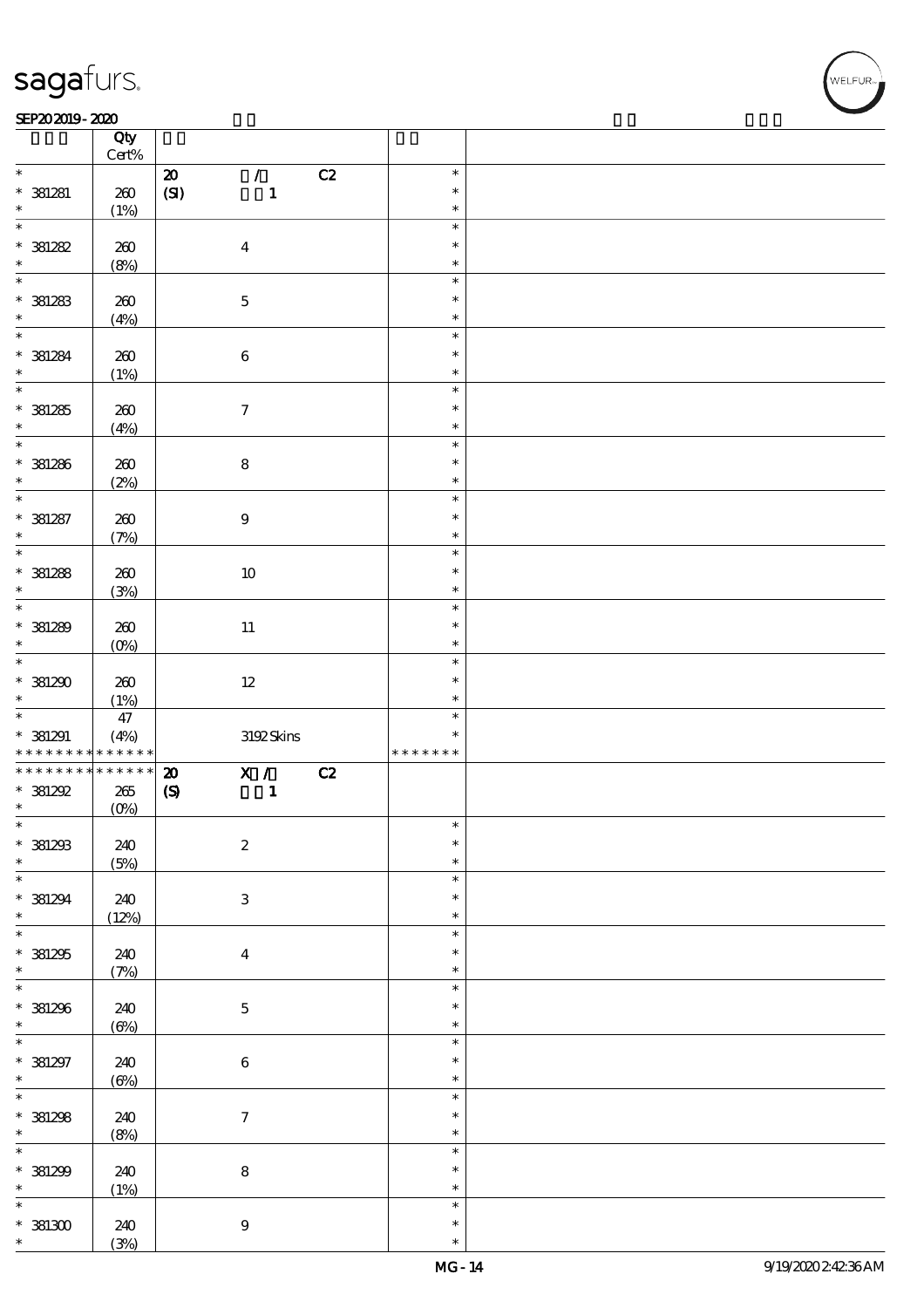### SEP202019-2020 REPORTED TO A REPORT OF THE SEPEDENT CONTROL SECTION OF THE SEPEDENT CONTROL SECTION OF THE SAM

|                                                         | Qty<br>$\mbox{Cert}\%$ |                                             |    |               |  |
|---------------------------------------------------------|------------------------|---------------------------------------------|----|---------------|--|
| $\ast$                                                  |                        |                                             | C2 | $\ast$        |  |
|                                                         |                        | $\mathcal{L}$<br>$\pmb{\mathcal{D}}$        |    |               |  |
| $*$ 381281                                              | 260                    | (SI)<br>$\mathbf{1}$                        |    | $\ast$        |  |
| $\ast$                                                  | (1%)                   |                                             |    | $\ast$        |  |
| $\overline{\ast}$                                       |                        |                                             |    | $\ast$        |  |
| $* 381282$                                              | 260                    | $\boldsymbol{4}$                            |    | $\ast$        |  |
|                                                         |                        |                                             |    |               |  |
| $\ast$                                                  | (8%)                   |                                             |    | $\ast$        |  |
| $\overline{\ast}$                                       |                        |                                             |    | $\ast$        |  |
| $* 381283$                                              | 260                    | $\mathbf 5$                                 |    | $\ast$        |  |
| $\ast$                                                  |                        |                                             |    | $\ast$        |  |
|                                                         | (4%)                   |                                             |    |               |  |
| $\overline{\ast}$                                       |                        |                                             |    | $\ast$        |  |
| $* 381284$                                              | 260                    | $\bf 6$                                     |    | $\ast$        |  |
| $\ast$                                                  | (1%)                   |                                             |    | $\ast$        |  |
| $\overline{\ast}$                                       |                        |                                             |    | $\ast$        |  |
|                                                         |                        |                                             |    |               |  |
| $* 381285$                                              | 260                    | $\boldsymbol{7}$                            |    | $\ast$        |  |
| $\ast$                                                  | (4%)                   |                                             |    | $\ast$        |  |
| $\overline{\ast}$                                       |                        |                                             |    | $\ast$        |  |
|                                                         |                        |                                             |    |               |  |
| $* 381286$                                              | 260                    | $\bf 8$                                     |    | $\ast$        |  |
| $\ast$                                                  | (2%)                   |                                             |    | $\ast$        |  |
| $\overline{\ast}$                                       |                        |                                             |    | $\ast$        |  |
| $* 381287$                                              | 260                    | $\boldsymbol{9}$                            |    | $\ast$        |  |
| $\ast$                                                  |                        |                                             |    | $\ast$        |  |
|                                                         | (7%)                   |                                             |    |               |  |
|                                                         |                        |                                             |    | $\ast$        |  |
| $* 381288$                                              | 260                    | $10\,$                                      |    | $\ast$        |  |
| $\ast$                                                  | (3%)                   |                                             |    | $\ast$        |  |
| $\overline{\phantom{0}}$                                |                        |                                             |    | $\ast$        |  |
|                                                         |                        |                                             |    |               |  |
| $* 381289$                                              | 260                    | $11\,$                                      |    | $\ast$        |  |
| $\ast$                                                  | $(0\%)$                |                                             |    | $\ast$        |  |
| $\overline{\ast}$                                       |                        |                                             |    | $\ast$        |  |
|                                                         | 260                    |                                             |    | $\ast$        |  |
|                                                         |                        | $12\,$                                      |    |               |  |
| $*381290$                                               |                        |                                             |    |               |  |
| $\ast$                                                  | (1%)                   |                                             |    | $\ast$        |  |
|                                                         |                        |                                             |    | $\ast$        |  |
|                                                         | $47\,$                 |                                             |    | $\ast$        |  |
| $*$ 381291                                              | (4%)                   | 3192Skins                                   |    | * * * * * * * |  |
| * * * * * * * *                                         | * * * * * *            |                                             |    |               |  |
| * * * * * * * *                                         | $******$               | X /<br>$\pmb{\mathcal{Z}}$                  | C2 |               |  |
| $*381292$                                               | $265\,$                | $\mathbf{1}$<br>$\boldsymbol{\mathrm{(S)}}$ |    |               |  |
| $\ast$                                                  |                        |                                             |    |               |  |
| $\ast$                                                  | (0%)                   |                                             |    | $\ast$        |  |
|                                                         |                        |                                             |    | $\ast$        |  |
| $*$ 381293                                              | 240                    | $\boldsymbol{2}$                            |    |               |  |
| $\ast$                                                  | (5%)                   |                                             |    | $\ast$        |  |
| $\overline{\ast}$                                       |                        |                                             |    | $\ast$        |  |
|                                                         |                        |                                             |    | $\ast$        |  |
| $* 381294$<br>$\ast$                                    | 240                    | $\ensuremath{\mathbf{3}}$                   |    | $\ast$        |  |
|                                                         | (12%)                  |                                             |    |               |  |
| $\overline{\ast}$                                       |                        |                                             |    | $\ast$        |  |
| $*381295$                                               | 240                    | $\bf{4}$                                    |    | $\ast$        |  |
| $\ast$                                                  | (7%)                   |                                             |    | $\ast$        |  |
| $\ast$                                                  |                        |                                             |    | $\ast$        |  |
|                                                         |                        |                                             |    |               |  |
| $*381296$                                               | 240                    | $\bf 5$                                     |    | $\ast$        |  |
| $\ast$                                                  | $(\Theta)$             |                                             |    | $\ast$        |  |
|                                                         |                        |                                             |    | $\ast$        |  |
|                                                         |                        |                                             |    | $\ast$        |  |
| $* 381297$                                              | 240                    | $\bf 6$                                     |    | $\ast$        |  |
| $\ast$                                                  | $(\Theta)$             |                                             |    |               |  |
| $\overline{\ast}$                                       |                        |                                             |    | $\ast$        |  |
|                                                         | 240                    | $\boldsymbol{\tau}$                         |    | $\ast$        |  |
|                                                         |                        |                                             |    | $\ast$        |  |
|                                                         | (8%)                   |                                             |    | $\ast$        |  |
|                                                         |                        |                                             |    |               |  |
| $* 381298$<br>$\ast$<br>$\overline{\ast}$<br>$* 381299$ | 240                    | $\bf 8$                                     |    | $\ast$        |  |
| $\ast$                                                  | (1%)                   |                                             |    | $\ast$        |  |
| $\ast$                                                  |                        |                                             |    | $\ast$        |  |
|                                                         |                        |                                             |    | $\ast$        |  |
| $*381300$<br>$\ast$                                     | 240<br>(3%)            | $9\,$                                       |    | $\ast$        |  |

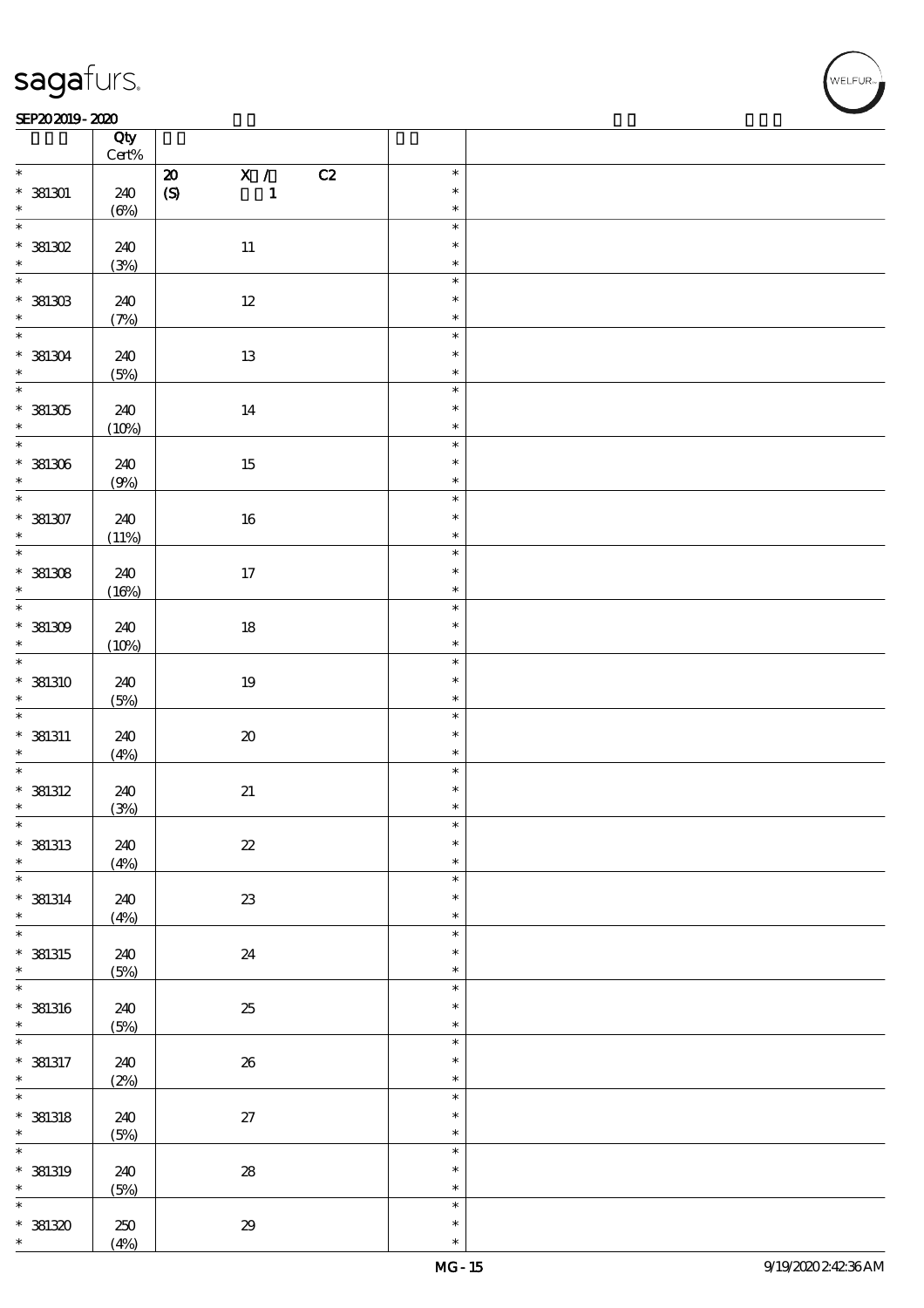### SEP202019-2020 REPORTED TO A REPORT OF THE SEPEDENT CONTROL SECTION OF THE SEPEDENT CONTROL SECTION OF THE SAM

|                                 | Qty<br>Cert% |                            |                                 |                  |  |
|---------------------------------|--------------|----------------------------|---------------------------------|------------------|--|
| $\ast$                          |              | ${\bf Z}$                  | $\overline{\mathbf{x}}$ /<br>C2 | $\ast$           |  |
| $*$ 381301                      | 240          | $\pmb{\text{(S)}}$         | $\mathbf{1}$                    | $\ast$           |  |
| $\ast$                          | $(\Theta)$   |                            |                                 | $\ast$           |  |
| $\overline{\ast}$<br>$*$ 381302 | 240          | $11\,$                     |                                 | $\ast$<br>$\ast$ |  |
| $\ast$                          |              |                            |                                 | $\ast$           |  |
|                                 | (3%)         |                            |                                 |                  |  |
|                                 |              |                            |                                 | $\ast$           |  |
| $*$ 381303                      | 240          | $12\,$                     |                                 | $\ast$           |  |
| $\ast$                          | (7%)         |                            |                                 | $\ast$           |  |
| $\overline{\phantom{0}}$        |              |                            |                                 |                  |  |
|                                 |              |                            |                                 | $\ast$           |  |
| $* 381304$                      | 240          | $13\,$                     |                                 | $\ast$           |  |
| $\ast$                          | (5%)         |                            |                                 | $\ast$           |  |
| $\overline{\ast}$               |              |                            |                                 | $\ast$           |  |
|                                 |              |                            |                                 |                  |  |
| $*381305$                       | 240          | 14                         |                                 | $\ast$           |  |
| $\star$                         | (10%)        |                            |                                 | $\ast$           |  |
|                                 |              |                            |                                 | $\ast$           |  |
|                                 |              |                            |                                 | $\ast$           |  |
| $*381306$                       | 240          | 15                         |                                 |                  |  |
| $\ast$                          | (9%)         |                            |                                 | $\ast$           |  |
| $\overline{\ast}$               |              |                            |                                 | $\ast$           |  |
| $*381307$                       | 240          | $16\,$                     |                                 | $\ast$           |  |
| $\ast$                          |              |                            |                                 | $\ast$           |  |
| $\overline{\ast}$               | (11%)        |                            |                                 |                  |  |
|                                 |              |                            |                                 | $\ast$           |  |
| $*381308$                       | 240          | 17                         |                                 | $\ast$           |  |
| $\ast$                          | (16%)        |                            |                                 | $\ast$           |  |
|                                 |              |                            |                                 | $\ast$           |  |
|                                 |              |                            |                                 |                  |  |
| $*381309$                       | 240          | $18\,$                     |                                 | $\ast$           |  |
| $\ast$                          | (10%)        |                            |                                 | $\ast$           |  |
| $\overline{\ast}$               |              |                            |                                 | $\ast$           |  |
| * 381310                        | 240          | $19\,$                     |                                 | $\ast$           |  |
|                                 |              |                            |                                 |                  |  |
| $\ast$                          | (5%)         |                            |                                 | $\ast$           |  |
| $\overline{\phantom{0}}$        |              |                            |                                 | $\ast$           |  |
| $*$ 381311                      | 240          | $\pmb{\mathcal{X}}$        |                                 | $\ast$           |  |
| $\ast$                          | (4%)         |                            |                                 | $\ast$           |  |
| $\overline{\phantom{0}}$        |              |                            |                                 | $\ast$           |  |
|                                 |              |                            |                                 |                  |  |
| $*$ 381312                      | 240          | $2\hspace{-1.5pt}1$        |                                 | $\ast$           |  |
| $\ast$                          | (3%)         |                            |                                 | $\ast$           |  |
| $\ast$                          |              |                            |                                 | $\ast$           |  |
| $*$ 381313                      | 240          | $\boldsymbol{\mathit{z}}$  |                                 | $\ast$           |  |
| $\ast$                          |              |                            |                                 | $\ast$           |  |
| $\ast$                          | (4%)         |                            |                                 |                  |  |
|                                 |              |                            |                                 | $\ast$           |  |
| $*$ 381314                      | 240          | $23\,$                     |                                 | $\ast$           |  |
| $\ast$                          | (4%)         |                            |                                 | $\ast$           |  |
| $\overline{\ast}$               |              |                            |                                 | $\ast$           |  |
|                                 |              |                            |                                 | $\ast$           |  |
| $*$ 381315                      | 240          | 24                         |                                 |                  |  |
| $\ast$                          | (5%)         |                            |                                 | $\ast$           |  |
| $\ast$                          |              |                            |                                 | $\ast$           |  |
| $*$ 381316                      | 240          | $25\,$                     |                                 | $\ast$           |  |
| $\ast$                          | (5%)         |                            |                                 | $\ast$           |  |
| $\ast$                          |              |                            |                                 | $\ast$           |  |
|                                 |              |                            |                                 |                  |  |
| $*$ 381317                      | 240          | ${\bf 26}$                 |                                 | $\ast$           |  |
| $\ast$                          | (2%)         |                            |                                 | $\ast$           |  |
| $\overline{\ast}$               |              |                            |                                 | $\ast$           |  |
| $*$ 381318                      | 240          | $27\,$                     |                                 | $\ast$           |  |
|                                 |              |                            |                                 |                  |  |
| $\ast$                          | (5%)         |                            |                                 | $\ast$           |  |
| $\ast$                          |              |                            |                                 | $\ast$           |  |
| $*$ 381319                      | 240          | ${\bf 28}$                 |                                 | $\ast$           |  |
| $\ast$                          | (5%)         |                            |                                 | $\ast$           |  |
| $\ast$                          |              |                            |                                 | $\ast$           |  |
|                                 |              |                            |                                 |                  |  |
| $*381320$                       | 250          | $\pmb{\mathcal{Z}}\pmb{9}$ |                                 | $\ast$           |  |
| $\ast$                          | (4%)         |                            |                                 | $\ast$           |  |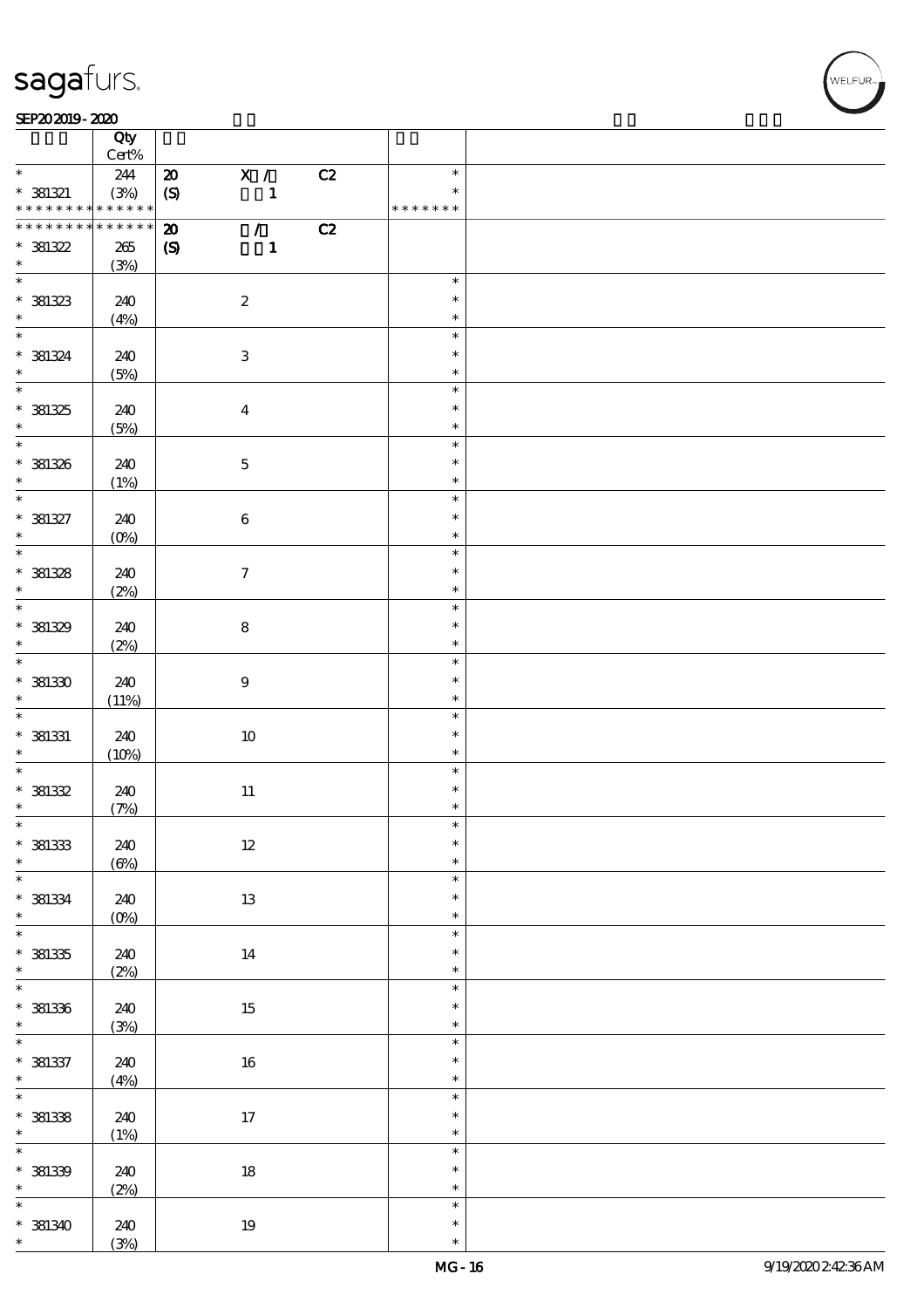### SEP202019-2020 REPORTED TO A REPORT OF THE SEPEDENT CONTROL SECTION OF THE SEPEDENT CONTROL SECTION OF THE SAM

|                             | Qty<br>Cert% |                            |                           |                |    |                  |  |
|-----------------------------|--------------|----------------------------|---------------------------|----------------|----|------------------|--|
| $\ast$                      |              |                            |                           |                |    | $\ast$           |  |
|                             | 244          | $\boldsymbol{\mathsf{20}}$ |                           | $\mathbf{X}$ / | C2 | $\ast$           |  |
| $* 381321$                  | (3%)         | $\boldsymbol{S}$           |                           | $\mathbf{1}$   |    |                  |  |
| * * * * * * * *             | * * * * * *  |                            |                           |                |    | * * * * * * *    |  |
| * * * * * * * *             | * * * * * *  | $\pmb{\mathcal{Z}}$        |                           | $\mathcal{L}$  | C2 |                  |  |
| $*381322$                   | $265\,$      | $\boldsymbol{S}$           |                           | $\mathbf{1}$   |    |                  |  |
| $\ast$                      | (3%)         |                            |                           |                |    |                  |  |
|                             |              |                            |                           |                |    | $\ast$           |  |
| $* 381323$                  | 240          |                            | $\boldsymbol{2}$          |                |    | $\ast$           |  |
| $\ast$                      | (4%)         |                            |                           |                |    | $\ast$           |  |
| $\overline{\mathbf{r}}$     |              |                            |                           |                |    | $\ast$           |  |
| $* 381324$                  | 240          |                            | $\ensuremath{\mathbf{3}}$ |                |    | $\ast$           |  |
| $\ast$                      | (5%)         |                            |                           |                |    | $\ast$           |  |
| $\overline{\ast}$           |              |                            |                           |                |    | $\ast$           |  |
| $* 381325$                  | 240          |                            | $\boldsymbol{4}$          |                |    | $\ast$           |  |
| $\ast$                      | (5%)         |                            |                           |                |    | $\ast$           |  |
| $\overline{\phantom{0}}$    |              |                            |                           |                |    | $\ast$           |  |
| * 381326                    |              |                            |                           |                |    | $\ast$           |  |
| $*$                         | 240          |                            | $\mathbf 5$               |                |    | $\ast$           |  |
| $\overline{\ast}$           | (1%)         |                            |                           |                |    |                  |  |
|                             |              |                            |                           |                |    | $\ast$<br>$\ast$ |  |
| $* 381327$                  | 240          |                            | $\bf 6$                   |                |    |                  |  |
| $\ast$                      | $(O\%)$      |                            |                           |                |    | $\ast$           |  |
|                             |              |                            |                           |                |    | $\ast$           |  |
| $* 381328$                  | 240          |                            | $\boldsymbol{7}$          |                |    | $\ast$           |  |
| $\ast$                      | (2%)         |                            |                           |                |    | $\ast$           |  |
| $\overline{\phantom{0}}$    |              |                            |                           |                |    | $\ast$           |  |
| * 381329                    | 240          |                            | $\bf 8$                   |                |    | $\ast$           |  |
| $\ast$                      | (2%)         |                            |                           |                |    | $\ast$           |  |
| $\overline{\phantom{0}}$    |              |                            |                           |                |    | $\ast$           |  |
| $*381330$                   | 240          |                            | $\boldsymbol{9}$          |                |    | $\ast$           |  |
| $\ast$                      | (11%)        |                            |                           |                |    | $\ast$           |  |
| $\ast$                      |              |                            |                           |                |    | $\ast$           |  |
| $*$ 381331                  | 240          |                            | $10\,$                    |                |    | $\ast$           |  |
| $\ast$                      | (10%)        |                            |                           |                |    | $\ast$           |  |
| $\overline{\ast}$           |              |                            |                           |                |    | $\ast$           |  |
| $*381332$                   | 240          |                            | $11\,$                    |                |    | $\ast$           |  |
| $\ast$                      | (7%)         |                            |                           |                |    | $\ast$           |  |
| $\ast$                      |              |                            |                           |                |    | $\ast$           |  |
| $*381333$                   | 240          |                            | 12                        |                |    | $\ast$           |  |
| $\ast$                      |              |                            |                           |                |    | $\ast$           |  |
| $\overline{\ast}$           | $(\Theta)$   |                            |                           |                |    | $\ast$           |  |
|                             |              |                            |                           |                |    | $\ast$           |  |
| $* 381334$                  | 240          |                            | $13\,$                    |                |    |                  |  |
| $\ast$<br>$\overline{\ast}$ | $(0\%)$      |                            |                           |                |    | $\ast$           |  |
|                             |              |                            |                           |                |    | $\ast$           |  |
| $*381335$                   | 240          |                            | 14                        |                |    | $\ast$           |  |
| $\ast$                      | (2%)         |                            |                           |                |    | $\ast$           |  |
| $\overline{\ast}$           |              |                            |                           |                |    | $\ast$           |  |
| $* 381336$                  | 240          |                            | $15\,$                    |                |    | $\ast$           |  |
| $\ast$                      | (3%)         |                            |                           |                |    | $\ast$           |  |
| $\overline{\ast}$           |              |                            |                           |                |    | $\ast$           |  |
| $* 381337$                  | 240          |                            | $16\,$                    |                |    | $\ast$           |  |
| $\ast$                      | (4%)         |                            |                           |                |    | $\ast$           |  |
| $\overline{\ast}$           |              |                            |                           |                |    | $\ast$           |  |
| $*$ 381338                  | 240          |                            | $17\,$                    |                |    | $\ast$           |  |
| $\ast$                      | (1%)         |                            |                           |                |    | $\ast$           |  |
| $\overline{\ast}$           |              |                            |                           |                |    | $\ast$           |  |
| $* 381339$                  | 240          |                            | $18\,$                    |                |    | $\ast$           |  |
| $\ast$                      | (2%)         |                            |                           |                |    | $\ast$           |  |
| $\overline{\ast}$           |              |                            |                           |                |    | $\ast$           |  |
| * 381340                    | 240          |                            | $19\,$                    |                |    | $\ast$           |  |
| $\ast$                      | (3%)         |                            |                           |                |    | $\ast$           |  |
|                             |              |                            |                           |                |    |                  |  |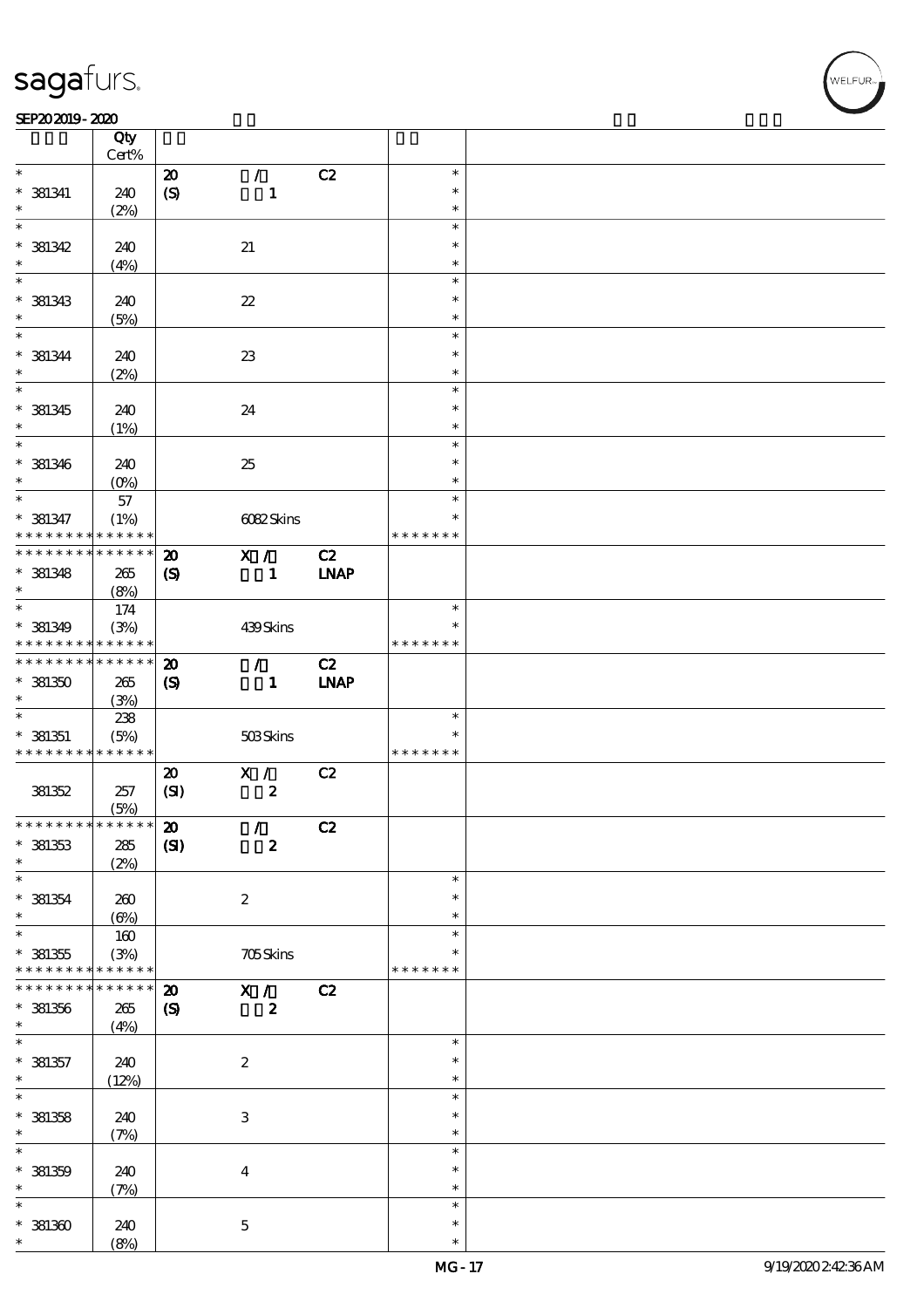$\top$ 

### SEP202019-2020 REPORTED TO A REPORT OF THE SEPEDENT CONTROL SECTION OF THE SEPEDENT CONTROL SECTION OF THE SAM

|                                          | Qty<br>Cert%      |                             |                            |             |               |  |
|------------------------------------------|-------------------|-----------------------------|----------------------------|-------------|---------------|--|
| $\ast$                                   |                   |                             |                            |             | $\ast$        |  |
|                                          |                   | $\boldsymbol{\mathfrak{D}}$ | $\mathcal{L}$              | C2          |               |  |
| $*$ 381341                               | 240               | (S)                         | $\mathbf{1}$               |             | $\ast$        |  |
| $\ast$                                   | (2%)              |                             |                            |             | $\ast$        |  |
| $\ast$                                   |                   |                             |                            |             | $\ast$        |  |
| $*$ 381342                               | 240               |                             | $2\!1$                     |             | $\ast$        |  |
| $\ast$                                   | (4%)              |                             |                            |             | $\ast$        |  |
| $\overline{\ast}$                        |                   |                             |                            |             | $\ast$        |  |
|                                          |                   |                             |                            |             |               |  |
| $*$ 381343                               | 240               |                             | $\boldsymbol{\mathcal{Z}}$ |             | $\ast$        |  |
| $\ast$                                   | (5%)              |                             |                            |             | $\ast$        |  |
| $\overline{\ast}$                        |                   |                             |                            |             | $\ast$        |  |
| $* 381344$                               | 240               |                             | $23\,$                     |             | $\ast$        |  |
| $\ast$                                   | (2%)              |                             |                            |             | $\ast$        |  |
| $\overline{\ast}$                        |                   |                             |                            |             | $\ast$        |  |
|                                          |                   |                             |                            |             |               |  |
| $*$ 381345                               | 240               |                             | 24                         |             | $\ast$        |  |
| $\ast$                                   | (1%)              |                             |                            |             | $\ast$        |  |
| $\ast$                                   |                   |                             |                            |             | $\ast$        |  |
| $*$ 381346                               | 240               |                             | 25                         |             | $\ast$        |  |
| $\ast$                                   | (O <sub>0</sub> ) |                             |                            |             | $\ast$        |  |
| $\ast$                                   |                   |                             |                            |             |               |  |
|                                          | 57                |                             |                            |             | $\ast$        |  |
| $* 381347$                               | (1%)              |                             | 6082Skins                  |             | $\ast$        |  |
| * * * * * * * *                          | * * * * * *       |                             |                            |             | * * * * * * * |  |
| * * * * * * * * * * * * * *              |                   | $\boldsymbol{\mathbf{z}}$   | X /                        | C2          |               |  |
| $*$ 381348                               | 265               | $\boldsymbol{S}$            | $\mathbf{1}$               | <b>INAP</b> |               |  |
| $\ast$                                   | (8%)              |                             |                            |             |               |  |
| $*$                                      |                   |                             |                            |             | $\ast$        |  |
|                                          | 174               |                             |                            |             |               |  |
| $*$ 381349                               | (3%)              |                             | 439Skins                   |             | *             |  |
| * * * * * * * *                          | * * * * * *       |                             |                            |             | * * * * * * * |  |
| * * * * * * * *                          | * * * * * *       | $\boldsymbol{\mathfrak{D}}$ | $\mathcal{L}$              | C2          |               |  |
| $*381350$                                | 265               | $\boldsymbol{\mathrm{(S)}}$ | $\mathbf{1}$               | <b>LNAP</b> |               |  |
| $\ast$                                   | (3%)              |                             |                            |             |               |  |
| $\ast$                                   |                   |                             |                            |             | $\ast$        |  |
|                                          | 238               |                             |                            |             |               |  |
| $*$ 381351                               | (5%)              |                             | 503Skins                   |             | $\ast$        |  |
| * * * * * * * * <mark>* * * * * *</mark> |                   |                             |                            |             | * * * * * * * |  |
|                                          |                   | $\boldsymbol{\mathsf{20}}$  | X /                        | C2          |               |  |
| 381352                                   | 257               | (SI)                        | $\pmb{2}$                  |             |               |  |
|                                          | (5%)              |                             |                            |             |               |  |
| * * * * * * * * * * * * * * *            |                   |                             |                            |             |               |  |
|                                          |                   | $\boldsymbol{\mathsf{20}}$  | $\mathcal{L}$              | C2          |               |  |
| $*$ 381353                               | $285\,$           | (S)                         | $\boldsymbol{2}$           |             |               |  |
| $\ast$                                   | (2%)              |                             |                            |             |               |  |
| $\ast$                                   |                   |                             |                            |             | $\ast$        |  |
| $* 381354$                               | 260               |                             | $\boldsymbol{2}$           |             | $\ast$        |  |
| $\ast$                                   | $(\Theta)$        |                             |                            |             | $\ast$        |  |
| $\ast$                                   |                   |                             |                            |             | $\ast$        |  |
|                                          | 160               |                             |                            |             |               |  |
| $* 381355$                               | (3%)              |                             | 705Skins                   |             |               |  |
| * * * * * * * *                          | * * * * * *       |                             |                            |             | * * * * * * * |  |
| * * * * * * * *                          | * * * * * *       | $\boldsymbol{\mathbf{z}}$   | X /                        | C2          |               |  |
| $*$ 381356                               | $265\,$           | $\boldsymbol{S}$            | $\boldsymbol{2}$           |             |               |  |
| $\ast$                                   | (4%)              |                             |                            |             |               |  |
| $\ast$                                   |                   |                             |                            |             | $\ast$        |  |
|                                          |                   |                             |                            |             | $\ast$        |  |
| $* 381357$                               | 240               |                             | $\boldsymbol{2}$           |             |               |  |
| $\ast$                                   | (12%)             |                             |                            |             | $\ast$        |  |
| $\overline{\ast}$                        |                   |                             |                            |             | $\ast$        |  |
| $*$ 381358                               | 240               |                             | $\ensuremath{\mathbf{3}}$  |             | $\ast$        |  |
| $\ast$                                   | (7%)              |                             |                            |             | $\ast$        |  |
| $\ast$                                   |                   |                             |                            |             | $\ast$        |  |
|                                          |                   |                             |                            |             | $\ast$        |  |
| $* 381359$                               | 240               |                             | $\boldsymbol{4}$           |             |               |  |
| $\ast$                                   | (7%)              |                             |                            |             | $\ast$        |  |
| $\ast$                                   |                   |                             |                            |             | $\ast$        |  |
| $*381360$                                | 240               |                             | $\mathbf 5$                |             | $\ast$        |  |
| $\ast$                                   | (8%)              |                             |                            |             | $\ast$        |  |

 $\top$ 

,<br>WELFUR: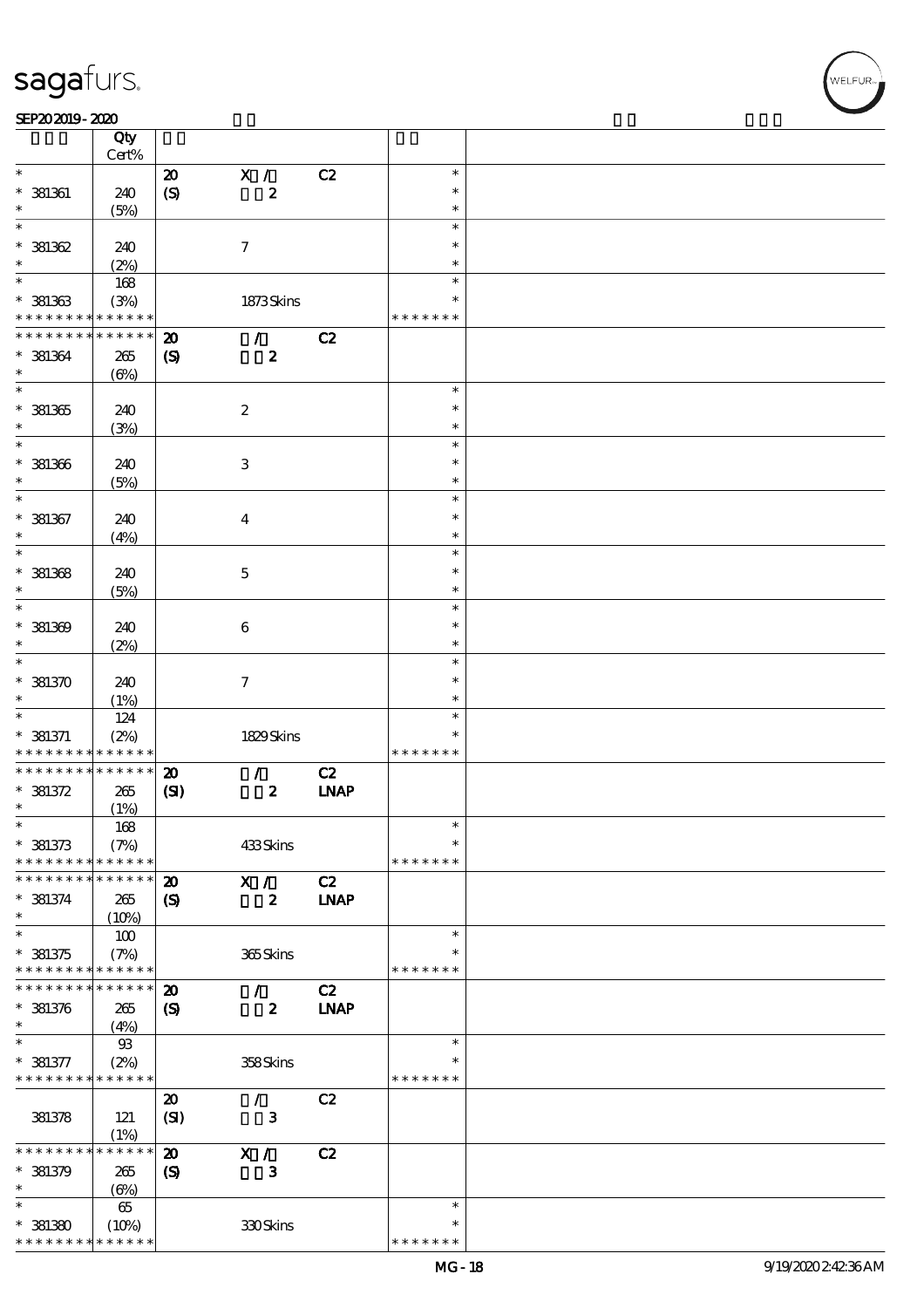### SEP202019-2020

|                                    | Qty          |                             |                     |             |                  |  |
|------------------------------------|--------------|-----------------------------|---------------------|-------------|------------------|--|
|                                    | Cert%        |                             |                     |             |                  |  |
| $\ast$                             |              | $\boldsymbol{\mathbf{z}}$   | X /                 | C2          | $\ast$           |  |
| $*$ 381361                         | 240          | $\boldsymbol{S}$            | $\pmb{2}$           |             | $\ast$           |  |
|                                    | (5%)         |                             |                     |             | $\ast$           |  |
| $\ast$                             |              |                             |                     |             | $\ast$           |  |
| $*381362$                          | 240          |                             | $\boldsymbol{\tau}$ |             | $\ast$           |  |
| $\ast$                             | (2%)         |                             |                     |             | $\ast$           |  |
| $\overline{\ast}$                  | 168          |                             |                     |             | $\ast$           |  |
| $*$ 381363                         | (3%)         |                             | 1873Skins           |             | ∗                |  |
| * * * * * * * *                    | * * * * * *  |                             |                     |             | * * * * * * *    |  |
| * * * * * * * *                    | * * * * * *  | $\boldsymbol{\mathfrak{D}}$ | $\mathcal{T}$       | C2          |                  |  |
| $* 381364$                         | 265          | $\boldsymbol{\mathrm{(S)}}$ | $\boldsymbol{z}$    |             |                  |  |
| $\ast$<br>$\overline{\phantom{0}}$ | $(\Theta\%)$ |                             |                     |             |                  |  |
|                                    |              |                             |                     |             | $\ast$           |  |
| $*381365$                          | 240          |                             | $\boldsymbol{2}$    |             | $\ast$           |  |
| $\ast$                             | (3%)         |                             |                     |             | $\ast$           |  |
|                                    |              |                             |                     |             | $\ast$           |  |
| $* 381366$                         | 240          |                             | $\,3$               |             | $\ast$           |  |
| $\ast$<br>$\ast$                   | (5%)         |                             |                     |             | $\ast$           |  |
|                                    |              |                             |                     |             | $\ast$<br>$\ast$ |  |
| $* 381367$<br>$\ast$               | 240          |                             | $\boldsymbol{4}$    |             | $\ast$           |  |
| $\ast$                             | (4%)         |                             |                     |             | $\ast$           |  |
|                                    |              |                             |                     |             | $\ast$           |  |
| $*$ 381368<br>$\ast$               | 240          |                             | $\mathbf 5$         |             | $\ast$           |  |
| $\ast$                             | (5%)         |                             |                     |             | $\ast$           |  |
|                                    |              |                             |                     |             | $\ast$           |  |
| $*$ 381369<br>$\ast$               | 240          |                             | 6                   |             | $\ast$           |  |
| $\ast$                             | (2%)         |                             |                     |             | $\ast$           |  |
| $*381370$                          | 240          |                             | $\boldsymbol{\tau}$ |             | $\ast$           |  |
| $\ast$                             |              |                             |                     |             | $\ast$           |  |
| $\ast$                             | (1%)<br>124  |                             |                     |             | $\ast$           |  |
| $*$ 381371                         | (2%)         |                             | 1829Skins           |             | $\ast$           |  |
| * * * * * * * *                    | * * * * * *  |                             |                     |             | * * * * * * *    |  |
| * * * * * * * *                    | * * * * * *  | $\boldsymbol{\mathfrak{D}}$ | $\mathcal{L}$       | C2          |                  |  |
| $*$ 381372                         | $265\,$      | (S)                         | $\pmb{2}$           | <b>INAP</b> |                  |  |
| $\ast$                             | (1%)         |                             |                     |             |                  |  |
| $\ast$                             | 168          |                             |                     |             | $\ast$           |  |
| $* 381373$                         | (7%)         |                             | 433Skins            |             | $\ast$           |  |
| * * * * * * * *                    | * * * * * *  |                             |                     |             | * * * * * * *    |  |
| * * * * * * *                      | * * * * * *  | $\boldsymbol{\mathbf{z}}$   | X /                 | C2          |                  |  |
| $* 381374$                         | 265          | $\boldsymbol{\mathcal{S}}$  | $\boldsymbol{z}$    | <b>INAP</b> |                  |  |
| $\ast$                             | (10%)        |                             |                     |             |                  |  |
| $\ast$                             | 100          |                             |                     |             | $\ast$           |  |
| $* 381375$                         | (7%)         |                             | 365Skins            |             |                  |  |
| * * * * * * * *                    | * * * * * *  |                             |                     |             | * * * * * * *    |  |
| * * * * * * * *                    | * * * * * *  | $\boldsymbol{\mathbf{z}}$   | $\mathcal{L}$       | C2          |                  |  |
| $* 381376$                         | 265          | $\boldsymbol{\mathcal{S}}$  | $\boldsymbol{z}$    | <b>INAP</b> |                  |  |
| $\ast$                             | (4%)         |                             |                     |             |                  |  |
| $\ast$                             | $93$         |                             |                     |             | $\ast$           |  |
| $* 381377$                         | (2%)         |                             | 358Skins            |             | ∗                |  |
| * * * * * * * *                    | * * * * * *  |                             |                     |             | * * * * * * *    |  |
|                                    |              | $\boldsymbol{\mathsf{20}}$  | $\mathcal{L}$       | C2          |                  |  |
| 381378                             | 121          | (SI)                        | 3                   |             |                  |  |
|                                    | (1%)         |                             |                     |             |                  |  |
| * * * * * * *                      | * * * * * *  | $\boldsymbol{\mathbf{z}}$   | X /                 | C2          |                  |  |
| $* 381379$                         | 265          | $\boldsymbol{\mathcal{S}}$  | 3                   |             |                  |  |
| $\ast$                             | $(\Theta)$   |                             |                     |             |                  |  |
| $\ast$                             | 65           |                             |                     |             | $\ast$           |  |
| $*381380$                          | (10%)        |                             | 330Skins            |             | $\ast$           |  |
| * * * * * * * *                    | * * * * * *  |                             |                     |             | * * * * * * *    |  |

WELFUR-<br>NELFUR-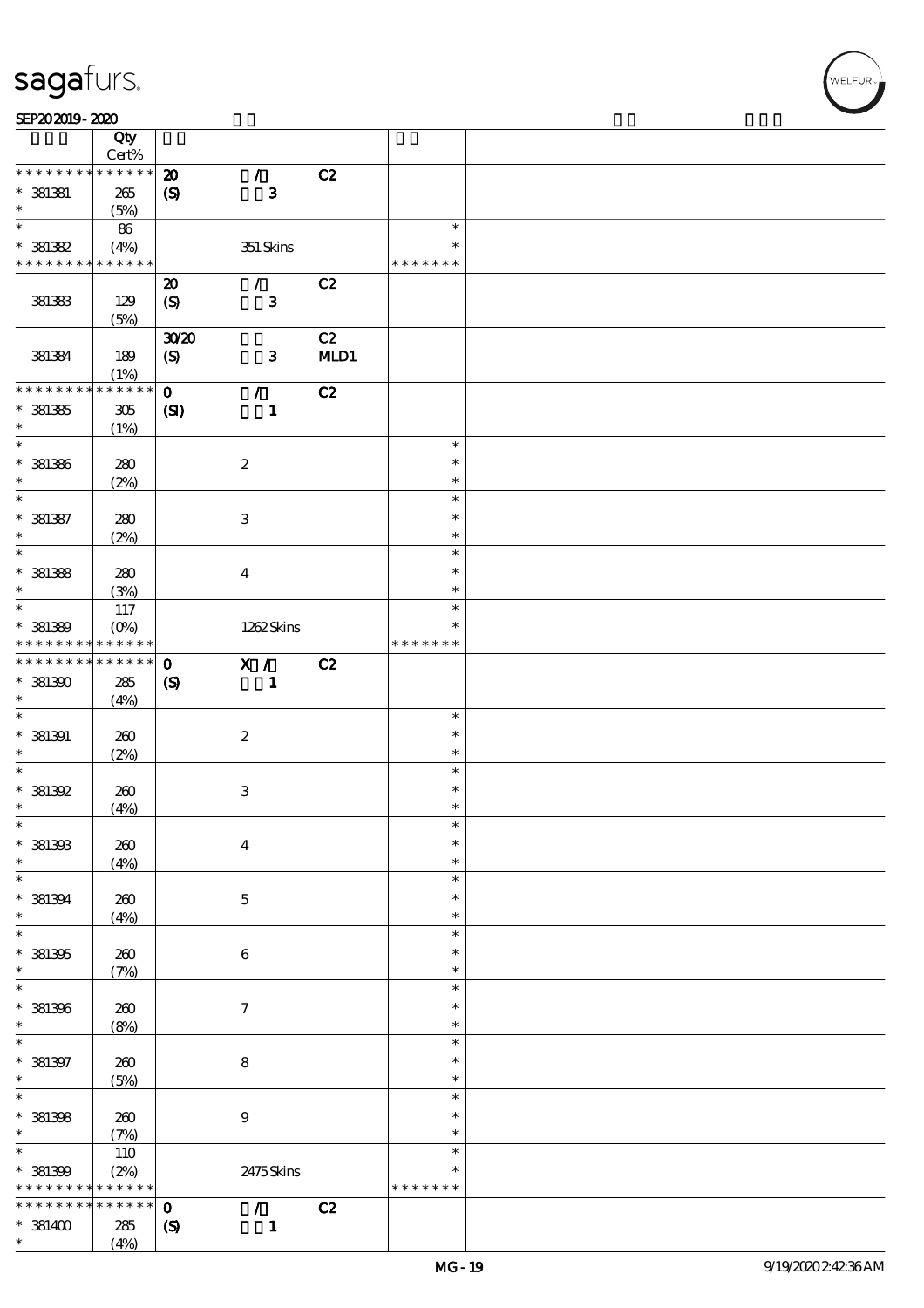|                             | Qty<br>Cert%               |                             |                           |      |               |  |
|-----------------------------|----------------------------|-----------------------------|---------------------------|------|---------------|--|
| * * * * * * * *             | $******$                   |                             |                           |      |               |  |
|                             |                            | $\boldsymbol{\mathfrak{D}}$ | $\mathcal{T}$             | C2   |               |  |
| $*$ 381381                  | 265                        | $\pmb{\mathcal{S}}$         | $\mathbf{3}$              |      |               |  |
| $\ast$                      | (5%)                       |                             |                           |      |               |  |
| $\overline{\ast}$           | 86                         |                             |                           |      | $\ast$        |  |
| $* 381382$                  | (4%)                       |                             | $351$ Skins               |      | $\ast$        |  |
| * * * * * * * *             | * * * * * *                |                             |                           |      | * * * * * * * |  |
|                             |                            | $\boldsymbol{\mathbf{z}}$   | $\mathcal{L}$             | C2   |               |  |
| 381383                      | 129                        | $\boldsymbol{\mathrm{(S)}}$ | $\mathbf{3}$              |      |               |  |
|                             | (5%)                       |                             |                           |      |               |  |
|                             |                            | 3020                        |                           | C2   |               |  |
|                             |                            |                             |                           |      |               |  |
| 381384                      | 189                        | $\boldsymbol{S}$            | $\mathbf{3}$              | MLD1 |               |  |
|                             | (1%)                       |                             |                           |      |               |  |
| * * * * * * * *             | * * * * * *                | $\mathbf{O}$                | $\mathcal{L}$             | C2   |               |  |
| $*381335$                   | 305                        | $\mathbf{C}$                | $\mathbf{1}$              |      |               |  |
| $\ast$                      | (1%)                       |                             |                           |      |               |  |
| $\ast$                      |                            |                             |                           |      | $\ast$        |  |
| $* 381386$                  | 280                        |                             | $\boldsymbol{2}$          |      | $\ast$        |  |
| $\ast$                      | (2%)                       |                             |                           |      | $\ast$        |  |
| $\ast$                      |                            |                             |                           |      | $\ast$        |  |
| $* 381387$                  | 280                        |                             | 3                         |      | $\ast$        |  |
| $\ast$                      |                            |                             |                           |      | $\ast$        |  |
| $\overline{\ast}$           | (2%)                       |                             |                           |      | $\ast$        |  |
|                             |                            |                             |                           |      |               |  |
| $* 381338$                  | 280                        |                             | $\bf{4}$                  |      | $\ast$        |  |
| $\ast$                      | (3%)                       |                             |                           |      | $\ast$        |  |
| $\overline{\ast}$           | 117                        |                             |                           |      | $\ast$        |  |
| $* 381389$                  | $(O\%)$                    |                             | 1262Skins                 |      | $\ast$        |  |
| * * * * * * * *             | * * * * * *                |                             |                           |      | * * * * * * * |  |
| * * * * * * * *             | $\ast\ast\ast\ast\ast\ast$ | $\mathbf 0$                 | X /                       | C2   |               |  |
| $*381300$                   | 285                        | $\boldsymbol{\mathrm{(S)}}$ | $\mathbf{1}$              |      |               |  |
| $\ast$                      |                            |                             |                           |      |               |  |
| $\ast$                      | (4%)                       |                             |                           |      | $\ast$        |  |
|                             |                            |                             |                           |      |               |  |
| $*$ 381391                  | 260                        |                             | $\boldsymbol{2}$          |      | $\ast$        |  |
| $\ast$                      | (2%)                       |                             |                           |      | $\ast$        |  |
| $\ast$                      |                            |                             |                           |      | $\ast$        |  |
| $*381392$                   | 260                        |                             | $\ensuremath{\mathsf{3}}$ |      | $\ast$        |  |
| $\ast$                      | (4%)                       |                             |                           |      | $\ast$        |  |
| $\ast$                      |                            |                             |                           |      | $\ast$        |  |
| $*$ 381393                  | 200                        |                             | $\boldsymbol{4}$          |      | $\ast$        |  |
| $\ast$                      | (4%)                       |                             |                           |      | $\ast$        |  |
| $\ast$                      |                            |                             |                           |      | $\ast$        |  |
|                             |                            |                             |                           |      | $\ast$        |  |
| $*$ 381394                  | 260                        |                             | $\mathbf 5$               |      |               |  |
| $\ast$<br>$\overline{\ast}$ | (4%)                       |                             |                           |      | $\ast$        |  |
|                             |                            |                             |                           |      | $\ast$        |  |
| $*$ 381395                  | 260                        |                             | 6                         |      | $\ast$        |  |
| $\ast$                      | (7%)                       |                             |                           |      | $\ast$        |  |
| $\ast$                      |                            |                             |                           |      | $\ast$        |  |
| * 381396                    | $200$                      |                             | $\boldsymbol{\tau}$       |      | $\ast$        |  |
| $\ast$                      | (8%)                       |                             |                           |      | $\ast$        |  |
| $\ast$                      |                            |                             |                           |      | $\ast$        |  |
| $* 381397$                  | 260                        |                             | $\bf8$                    |      | $\ast$        |  |
| $\ast$                      |                            |                             |                           |      | $\ast$        |  |
| $\overline{\ast}$           | (5%)                       |                             |                           |      | $\ast$        |  |
|                             |                            |                             |                           |      |               |  |
| $*$ 381398                  | 260                        |                             | $\boldsymbol{9}$          |      | $\ast$        |  |
| $\ast$                      | (7%)                       |                             |                           |      | $\ast$        |  |
| $\ast$                      | 110                        |                             |                           |      | $\ast$        |  |
| * 381399                    | (2%)                       |                             | 2475Skins                 |      | $\ast$        |  |
| * * * * * * * *             |                            |                             |                           |      | * * * * * * * |  |
|                             | * * * * * *                |                             |                           |      |               |  |
| * * * * * * *               | * * * * * *                | $\mathbf{o}$                | $\mathcal{T}$             |      |               |  |
|                             |                            |                             |                           | C2   |               |  |
| $*$ 381400<br>$\ast$        | 285<br>(4%)                | $\pmb{\mathcal{S}}$         | $\mathbf{1}$              |      |               |  |

т

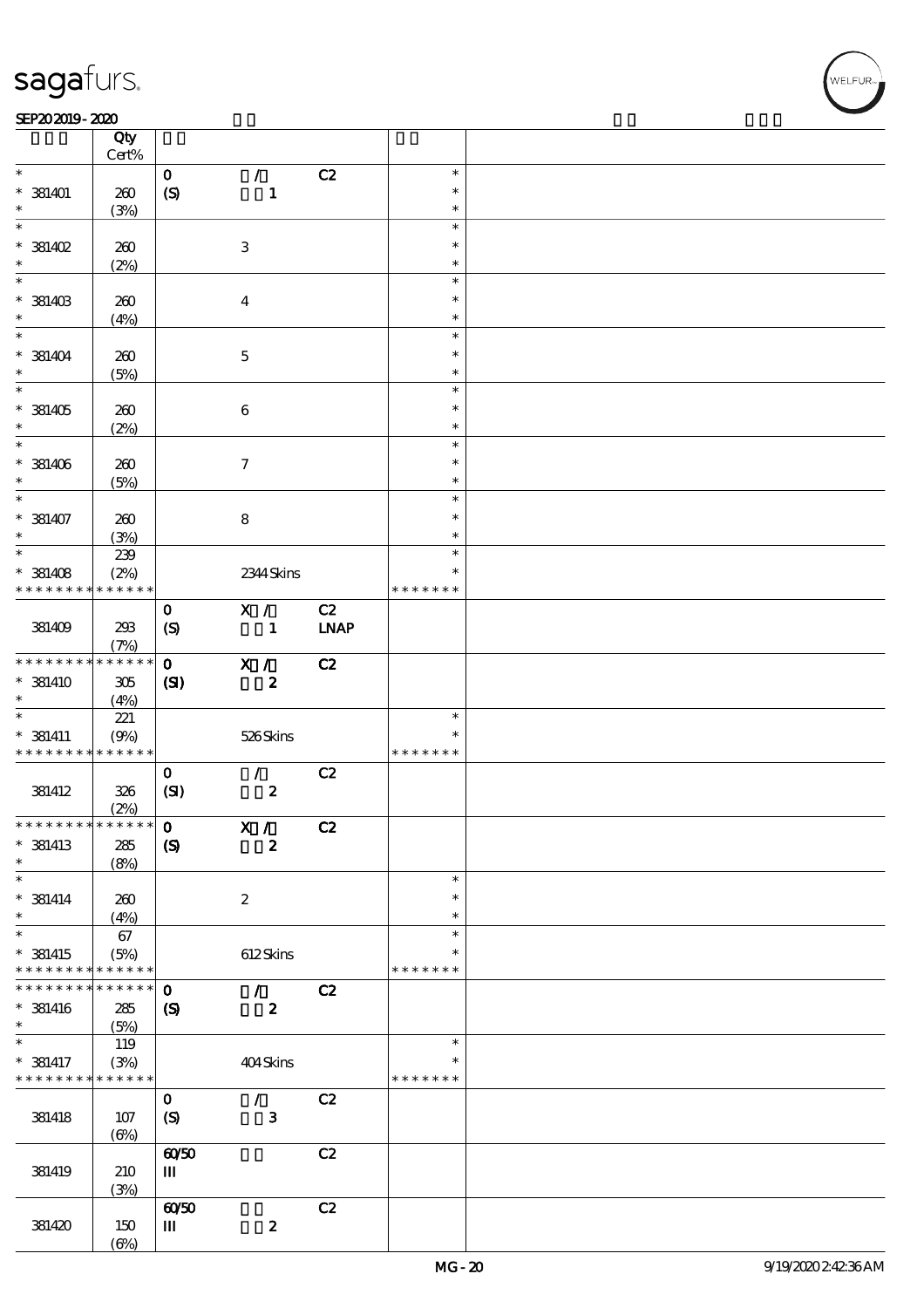### SEP202019-2020 REPORTED TO A REPORT OF THE SEPEDENT CONTROL SECTION OF THE SEPEDENT CONTROL SECTION OF THE SAM

|                                            | Qty<br>$Cert\%$         |                                  |                     |                   |                         |  |
|--------------------------------------------|-------------------------|----------------------------------|---------------------|-------------------|-------------------------|--|
| $\ast$                                     |                         | $\mathbf{o}$                     | $\mathcal{L}$       | C2                | $\ast$                  |  |
| $* 381401$<br>$\ast$                       | 260                     | $\boldsymbol{S}$                 | $\mathbf{1}$        |                   | $\ast$<br>$\ast$        |  |
| $\overline{\ast}$                          | (3%)                    |                                  |                     |                   | $\ast$                  |  |
| $*$ 381402<br>$\ast$                       | 260                     |                                  | $\,3\,$             |                   | $\ast$<br>$\ast$        |  |
|                                            | (2%)                    |                                  |                     |                   | $\ast$                  |  |
| $*$ 381403<br>$\ast$                       | 260<br>(4%)             |                                  | $\boldsymbol{4}$    |                   | $\ast$<br>$\ast$        |  |
|                                            |                         |                                  |                     |                   | $\ast$                  |  |
| $*$ 381404<br>$\ast$                       | 260<br>(5%)             |                                  | $\mathbf{5}$        |                   | $\ast$<br>$\ast$        |  |
| $\overline{\phantom{0}}$                   |                         |                                  |                     |                   | $\ast$                  |  |
| $*$ 381405<br>$\ast$                       | 260<br>(2%)             |                                  | $\bf 6$             |                   | $\ast$<br>$\ast$        |  |
| $\overline{\phantom{0}}$                   |                         |                                  |                     |                   | $\ast$                  |  |
| $*$ 381406<br>$\ast$                       | 260<br>(5%)             |                                  | $\boldsymbol{\tau}$ |                   | $\ast$<br>$\ast$        |  |
| $\overline{\ast}$                          |                         |                                  |                     |                   | $\ast$                  |  |
| $* 381407$<br>$\ast$                       | 260<br>(3%)             |                                  | $\bf 8$             |                   | $\ast$<br>$\ast$        |  |
| $\ast$                                     | 239                     |                                  |                     |                   | $\ast$                  |  |
| $*$ 381408                                 | (2%)                    |                                  | 2344 Skins          |                   | $\ast$                  |  |
| * * * * * * * *                            | * * * * * *             |                                  |                     |                   | * * * * * * *           |  |
| 381409                                     | 293<br>(7%)             | $\mathbf{O}$<br>$\boldsymbol{S}$ | X /<br>$\mathbf{1}$ | C2<br><b>LNAP</b> |                         |  |
| * * * * * * * *                            | * * * * * *             | $\mathbf{O}$                     | X /                 | C2                |                         |  |
| $*$ 381410<br>$\ast$                       | $305\,$<br>(4%)         | (S)                              | $\boldsymbol{2}$    |                   |                         |  |
| $\ast$                                     | 221                     |                                  |                     |                   | $\ast$                  |  |
| $*$ 381411                                 | (9%)                    |                                  | 526Skins            |                   | $\ast$                  |  |
| * * * * * * * * <mark>* * * * * * *</mark> |                         |                                  |                     |                   | * * * * * * *           |  |
|                                            |                         | $\mathbf{O}$                     | $\mathcal{L}$       | C2                |                         |  |
| 381412                                     | 326                     | (SI)                             | $\pmb{2}$           |                   |                         |  |
|                                            | (2%)                    |                                  |                     |                   |                         |  |
| ************** 0                           |                         |                                  | X /                 | C2                |                         |  |
| $*$ 381413<br>$\ast$                       | 285<br>(8%)             | $\boldsymbol{S}$                 | $\boldsymbol{2}$    |                   |                         |  |
| $\ast$                                     |                         |                                  |                     |                   | $\ast$                  |  |
| $*$ 381414<br>$\ast$                       | 260<br>(4%)             |                                  | $\boldsymbol{z}$    |                   | $\ast$<br>$\ast$        |  |
| $\ast$                                     | 67                      |                                  |                     |                   | $\ast$                  |  |
| $*$ 381415<br>* * * * * * * *              | (5%)<br>* * * * * *     |                                  | 612Skins            |                   | ∗<br>* * * * * * *      |  |
| * * * * * * * *                            | * * * * * *             | $\mathbf 0$                      | $\mathcal{L}$       | C2                |                         |  |
| $*$ 381416<br>$\ast$                       | 285<br>(5%)             | $\boldsymbol{\mathcal{S}}$       | $\boldsymbol{z}$    |                   |                         |  |
| $\ast$                                     | 119                     |                                  |                     |                   | $\ast$                  |  |
| $*$ 381417<br>* * * * * * * *              | (3%)<br>$* * * * * * *$ |                                  | 404Skins            |                   | $\ast$<br>* * * * * * * |  |
|                                            |                         | $\mathbf 0$                      | $\mathcal{L}$       | C2                |                         |  |
| 381418                                     | 107<br>$(\Theta)$       | $\boldsymbol{\mathrm{(S)}}$      | $\mathbf{3}$        |                   |                         |  |
|                                            |                         | 6050                             |                     | C2                |                         |  |
| 381419                                     | 210<br>(3%)             | $\mathbf{m}$                     |                     |                   |                         |  |
|                                            |                         | 6050                             |                     | C2                |                         |  |
| 381420                                     | 150                     | Ш                                | $\pmb{2}$           |                   |                         |  |
|                                            | $(\Theta)$              |                                  |                     |                   |                         |  |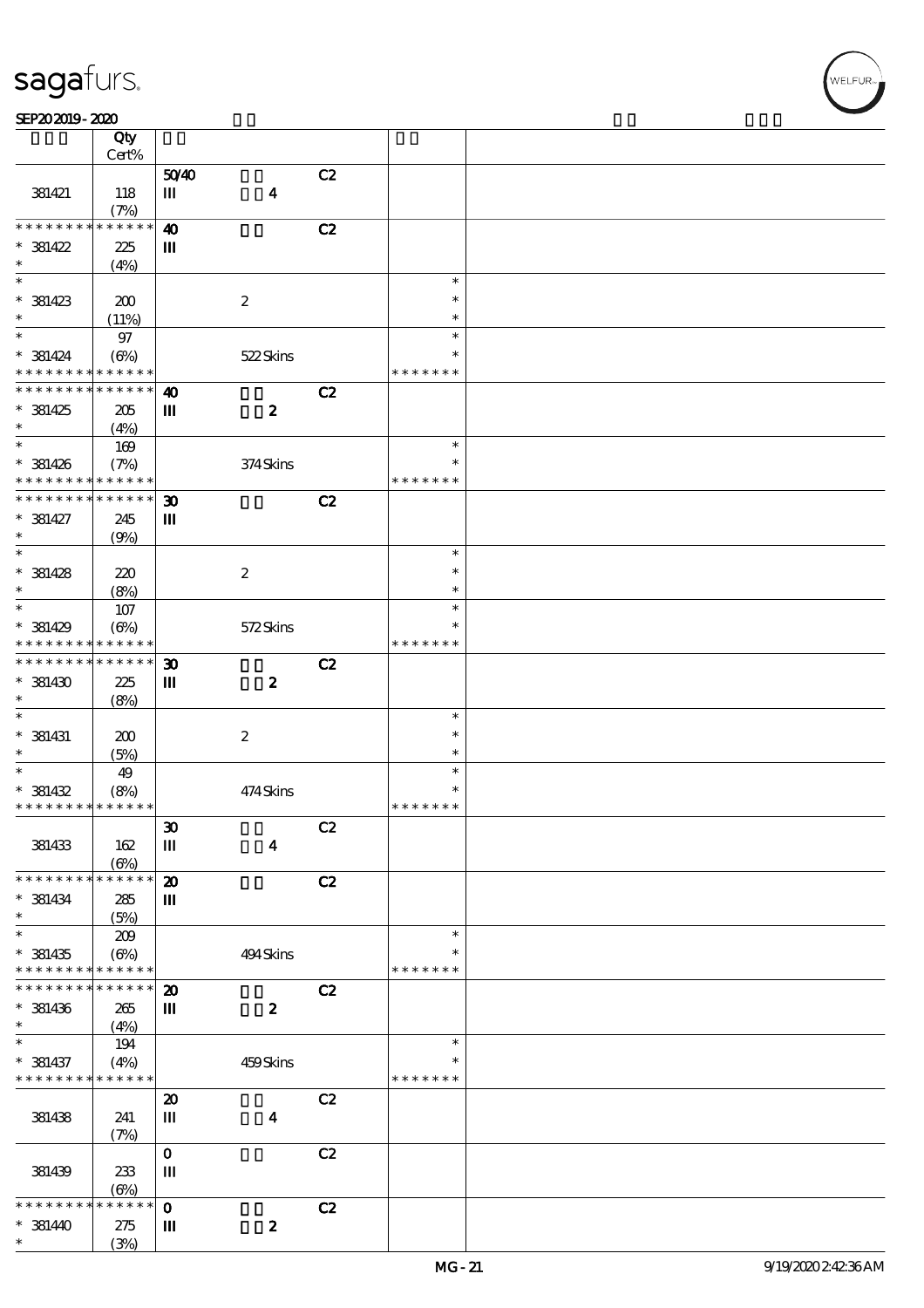$\top$ 

### SEP202019-2020 REPORTED TO A REPORT OF THE SEPEDENT CONTROL SECTION OF THE SEPEDENT CONTROL SECTION OF THE SAM

|                               | Qty                 |                                       |                  |    |               |  |
|-------------------------------|---------------------|---------------------------------------|------------------|----|---------------|--|
|                               | Cert%               |                                       |                  |    |               |  |
|                               |                     | 5040                                  |                  | C2 |               |  |
| 381421                        | 118                 | Ш                                     | $\boldsymbol{4}$ |    |               |  |
| * * * * * * * *               | (7%)<br>* * * * * * | $\boldsymbol{\omega}$                 |                  | C2 |               |  |
| $* 381422$                    | 225                 | $\mathbf{m}$                          |                  |    |               |  |
| $\ast$                        | (4%)                |                                       |                  |    |               |  |
|                               |                     |                                       |                  |    | $\ast$        |  |
| $*$ 381423                    | 200                 |                                       | $\boldsymbol{2}$ |    | $\ast$        |  |
| $\ast$                        | (11%)               |                                       |                  |    | $\ast$        |  |
| $*$                           | $97\,$              |                                       |                  |    | $\ast$        |  |
| $*$ 381424                    | $(\Theta\%)$        |                                       | 522Skins         |    | $\ast$        |  |
| * * * * * * * *               | * * * * * *         |                                       |                  |    | * * * * * * * |  |
| * * * * * * * *               | * * * * * *         | $\boldsymbol{\omega}$                 |                  | C2 |               |  |
| $*381425$                     | 205                 | $\rm I\hspace{-.1em}I\hspace{-.1em}I$ | $\boldsymbol{z}$ |    |               |  |
| $\ast$                        | (4%)                |                                       |                  |    |               |  |
| $\ast$                        | 169                 |                                       |                  |    | $\ast$        |  |
| $* 381426$                    | (7%)                |                                       | 374Skins         |    | $\ast$        |  |
| * * * * * * * *               | * * * * * *         |                                       |                  |    | * * * * * * * |  |
| * * * * * * * *               | * * * * * *         | $\boldsymbol{\mathfrak{D}}$           |                  | C2 |               |  |
| $* 381427$                    | 245                 | Ш                                     |                  |    |               |  |
| $\ast$                        | (9%)                |                                       |                  |    |               |  |
| $\overline{\ast}$             |                     |                                       |                  |    | $\ast$        |  |
| $*$ 381428                    | 220                 |                                       | $\boldsymbol{2}$ |    | $\ast$        |  |
| $\ast$                        | (8%)                |                                       |                  |    | $\ast$        |  |
| $\ast$                        | 107                 |                                       |                  |    | $\ast$        |  |
| $*$ 381429                    | (6%)                |                                       | 572Skins         |    | $\ast$        |  |
| * * * * * * * *               | * * * * * *         |                                       |                  |    | * * * * * * * |  |
| * * * * * * * *               | * * * * * *         | $\boldsymbol{\mathfrak{D}}$           |                  | C2 |               |  |
| $*$ 381430                    | 225                 | $\mathbf m$                           | $\boldsymbol{z}$ |    |               |  |
| $\ast$                        | (8%)                |                                       |                  |    |               |  |
| $\ast$                        |                     |                                       |                  |    | $\ast$        |  |
| $*$ 381431                    | 200                 |                                       | $\boldsymbol{2}$ |    | $\ast$        |  |
| $\ast$                        | (5%)                |                                       |                  |    | $\ast$        |  |
| $\ast$                        | 49                  |                                       |                  |    | $\ast$        |  |
| $* 381432$                    | (8%)                |                                       | 474Skins         |    | $\ast$        |  |
| * * * * * * * *               | * * * * * *         |                                       |                  |    | * * * * * * * |  |
|                               |                     | $\pmb{\mathfrak{D}}$                  |                  | C2 |               |  |
| 381433                        | 162                 | Ш                                     | $\boldsymbol{4}$ |    |               |  |
|                               | $(\Theta)$          |                                       |                  |    |               |  |
| * * * * * * * *               | * * * * * *         | $\boldsymbol{\mathsf{z}}$             |                  | C2 |               |  |
| $* 381434$                    | 285                 | Ш                                     |                  |    |               |  |
| $\ast$                        | (5%)                |                                       |                  |    |               |  |
| $\ast$                        | 209                 |                                       |                  |    | $\ast$        |  |
| $*$ 381435                    | $(\Theta\%)$        |                                       | 494 Skins        |    |               |  |
| * * * * * * * *               | * * * * * *         |                                       |                  |    | * * * * * * * |  |
| * * * * * * * *               | * * * * * *         | $\boldsymbol{\mathbf{z}}$             |                  | C2 |               |  |
| $*$ 381436<br>$\ast$          | 265                 | $\mathbf{I}\mathbf{I}$                | $\boldsymbol{z}$ |    |               |  |
| $\ast$                        | (4%)                |                                       |                  |    | $\ast$        |  |
|                               | 194                 |                                       |                  |    | ∗             |  |
| $* 381437$<br>* * * * * * * * | (4%)<br>* * * * * * |                                       | 459Skins         |    | * * * * * * * |  |
|                               |                     | $\boldsymbol{\mathsf{20}}$            |                  | C2 |               |  |
| 381438                        | 241                 | Ш                                     |                  |    |               |  |
|                               | (7%)                |                                       | $\boldsymbol{4}$ |    |               |  |
|                               |                     | $\mathbf 0$                           |                  | C2 |               |  |
| 381439                        | 233                 | $\mathbf m$                           |                  |    |               |  |
|                               | $(\Theta)$          |                                       |                  |    |               |  |
| * * * * * *                   | * * * * *<br>$\ast$ | $\mathbf{o}$                          |                  | C2 |               |  |
| $* 381440$                    | 275                 | Ш                                     | $\pmb{2}$        |    |               |  |
| $\ast$                        | (3%)                |                                       |                  |    |               |  |
|                               |                     |                                       |                  |    |               |  |

 $\overline{\mathbf{r}}$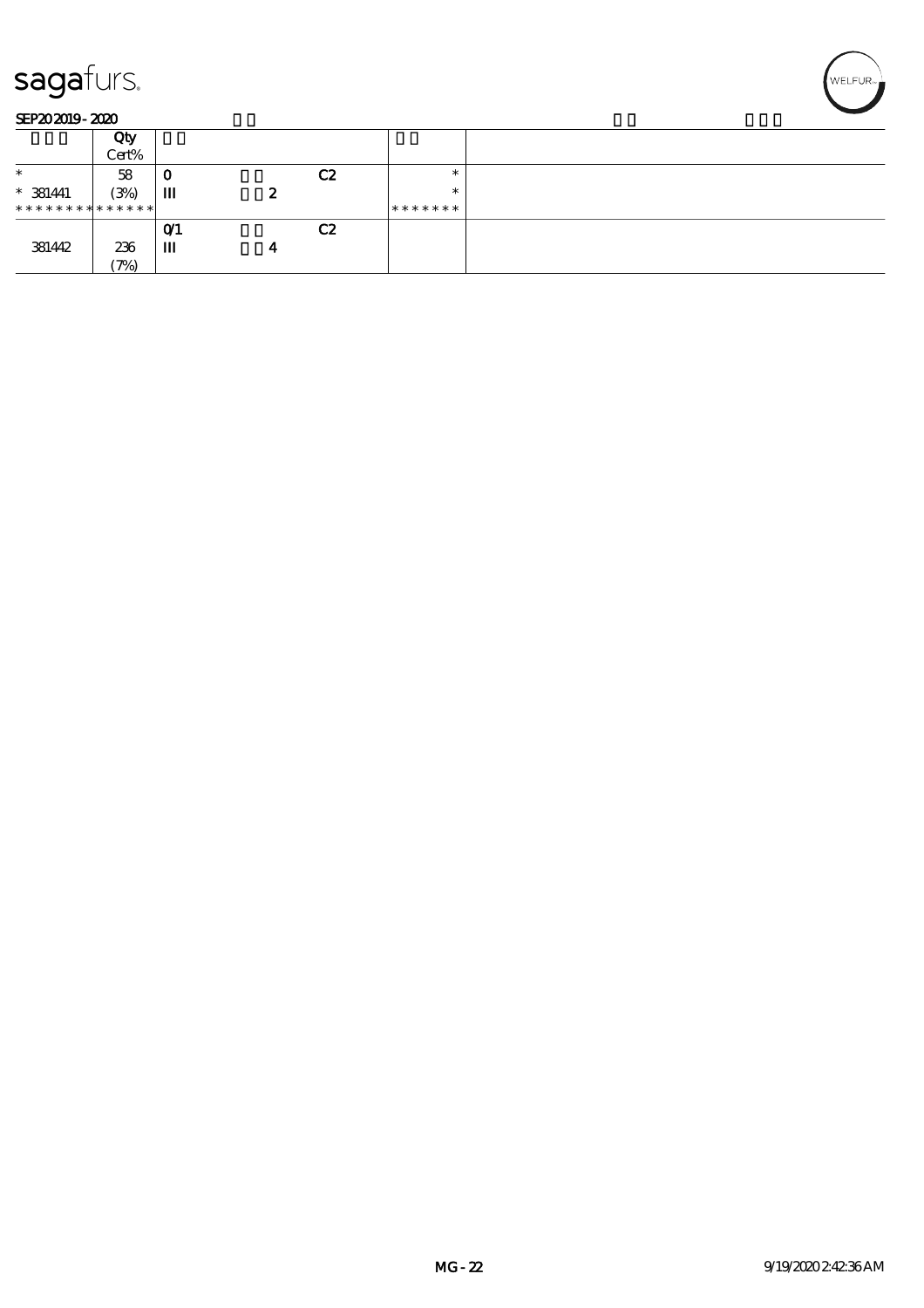

### SEP202019-2020

|                               | Qty   |      |   |    |         |  |
|-------------------------------|-------|------|---|----|---------|--|
|                               | Cert% |      |   |    |         |  |
| $\ast$                        | 58    | 0    |   | C2 | ж       |  |
| $* 381441$                    | (3%)  | Ш    | 2 |    | $\ast$  |  |
| * * * * * * * * * * * * * * * |       |      |   |    | ******* |  |
|                               |       | O(1) |   | C2 |         |  |
| 381442                        | 236   | Ш    | 4 |    |         |  |
|                               | (7%)  |      |   |    |         |  |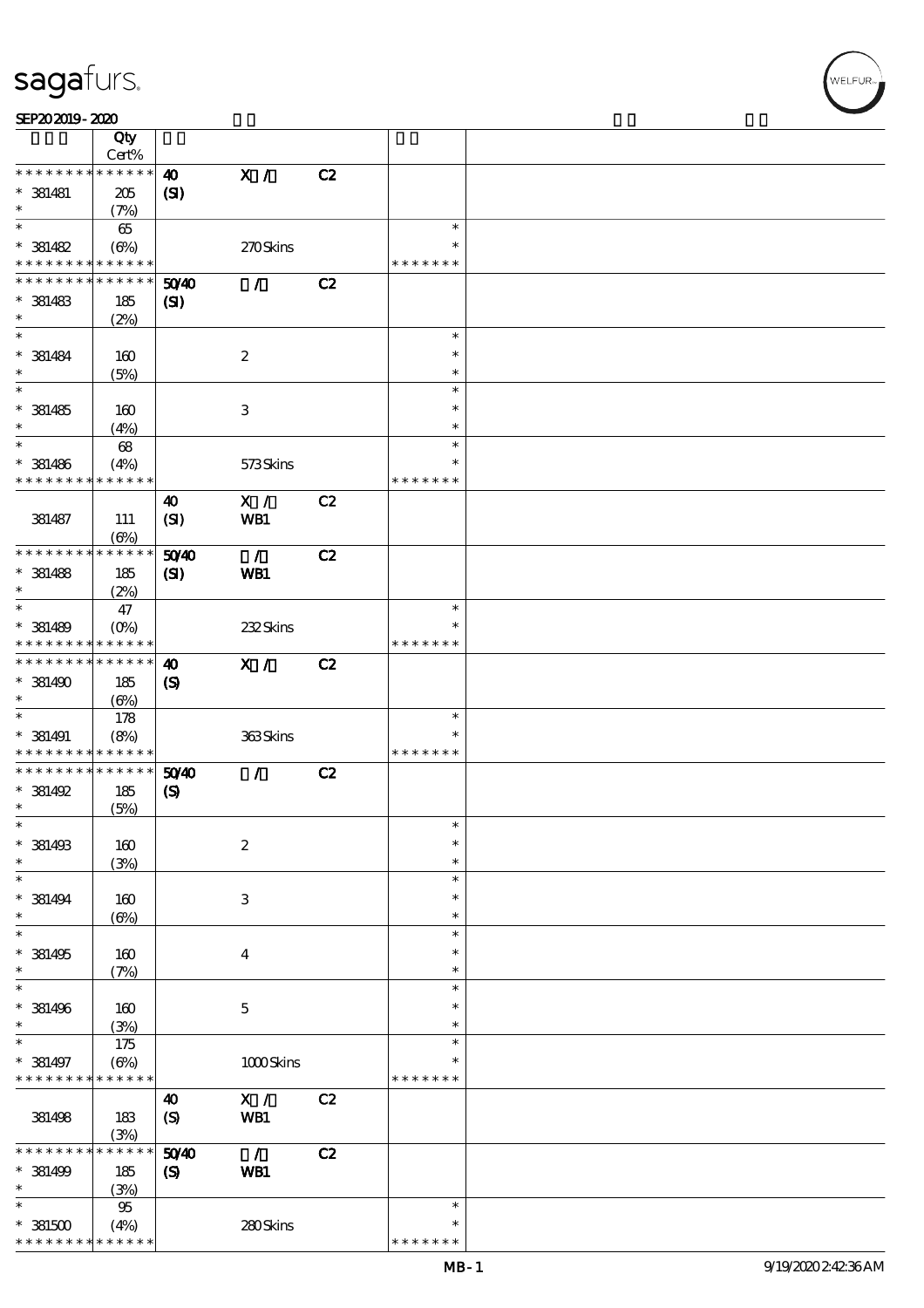|                                                        | Qty                      |                             |                           |    |                    |  |
|--------------------------------------------------------|--------------------------|-----------------------------|---------------------------|----|--------------------|--|
|                                                        | Cert%                    |                             |                           |    |                    |  |
| * * * * * * * *                                        | * * * * * *              | $\boldsymbol{\omega}$       | $\mathbf{X}$ /            | C2 |                    |  |
| $* 381481$<br>$\ast$                                   | 205                      | (SI)                        |                           |    |                    |  |
| $\ast$                                                 | (7%)                     |                             |                           |    | $\ast$             |  |
|                                                        | 65                       |                             |                           |    | $\ast$             |  |
| $* 381482$<br>* * * * * * * * <mark>* * * * * *</mark> | $(\Theta)$               |                             | 270Skins                  |    | * * * * * * *      |  |
| * * * * * * * *                                        | * * * * * *              |                             |                           |    |                    |  |
|                                                        |                          | 5040                        | $\mathcal{L}$             | C2 |                    |  |
| $*$ 381483<br>$\ast$                                   | 185                      | $\mathbf{C}$                |                           |    |                    |  |
| $\ast$                                                 | (2%)                     |                             |                           |    | $\ast$             |  |
| $* 381484$                                             | 160                      |                             | $\boldsymbol{2}$          |    | $\ast$             |  |
| $\ast$                                                 | (5%)                     |                             |                           |    | $\ast$             |  |
| $\overline{\ast}$                                      |                          |                             |                           |    | $\ast$             |  |
| $* 381485$                                             | 160                      |                             | $\ensuremath{\mathbf{3}}$ |    | $\ast$             |  |
| $\ast$                                                 | (4%)                     |                             |                           |    | $\ast$             |  |
| $\ast$                                                 | 68                       |                             |                           |    | $\ast$             |  |
| $*$ 381486                                             | (4%)                     |                             | 573Skins                  |    | $\ast$             |  |
| * * * * * * * *                                        | * * * * * *              |                             |                           |    | * * * * * * *      |  |
|                                                        |                          | $\boldsymbol{\omega}$       | X /                       | C2 |                    |  |
| 381487                                                 | 111                      | (SI)                        | WB1                       |    |                    |  |
|                                                        | $(\Theta\%)$             |                             |                           |    |                    |  |
| * * * * * * * *                                        | * * * * * *              | 50Y40                       | $\mathcal{L}$             | C2 |                    |  |
| $*$ 381488                                             | 185                      | (S)                         | WB1                       |    |                    |  |
| $\ast$                                                 | (2%)                     |                             |                           |    |                    |  |
| $\ast$                                                 | 47                       |                             |                           |    | $\ast$             |  |
| $* 381489$                                             | $(O\%)$                  |                             | 232Skins                  |    | ∗                  |  |
| * * * * * * * * <mark>* * * * * *</mark>               |                          |                             |                           |    | * * * * * * *      |  |
| * * * * * * * * <mark>* * * * * *</mark>               |                          | $\boldsymbol{\omega}$       | X /                       | C2 |                    |  |
| $*$ 381490                                             | 185                      | $\boldsymbol{\mathrm{(S)}}$ |                           |    |                    |  |
| $\ast$                                                 | $(\underline{\Theta\%})$ |                             |                           |    |                    |  |
| $\ast$                                                 | 178                      |                             |                           |    | $\ast$             |  |
| $*$ 381491                                             | (8%)                     |                             | 363Skins                  |    | ∗                  |  |
| * * * * * * * * <mark>* * * * * *</mark>               |                          |                             |                           |    | * * * * * * *      |  |
| * * * * * * * *                                        | * * * * * *              | 50 <sup>/40</sup>           | $\mathcal{L}$             | C2 |                    |  |
| $* 381492$<br>$\ast$                                   | 185                      | $\boldsymbol{\mathcal{S}}$  |                           |    |                    |  |
| $*$                                                    | (5%)                     |                             |                           |    | $\ast$             |  |
| $* 381493$                                             | 160                      |                             | $\boldsymbol{2}$          |    | $\ast$             |  |
| $\ast$                                                 | (3%)                     |                             |                           |    | $\ast$             |  |
| $\ast$                                                 |                          |                             |                           |    | $\ast$             |  |
| $* 381494$                                             | 160                      |                             | $\,3$                     |    | $\ast$             |  |
| $\ast$                                                 | $(\Theta)$               |                             |                           |    | $\ast$             |  |
| $\ast$                                                 |                          |                             |                           |    | $\ast$             |  |
| $* 381495$                                             | 160                      |                             | $\overline{4}$            |    | ∗                  |  |
| $\ast$                                                 | (7%)                     |                             |                           |    | $\ast$             |  |
| $\ast$                                                 |                          |                             |                           |    |                    |  |
| $*$ 381496                                             |                          |                             |                           |    | $\ast$             |  |
|                                                        | 160                      |                             |                           |    | $\ast$             |  |
| $\ast$                                                 | (3%)                     |                             | $\mathbf 5$               |    | $\ast$             |  |
| $\ast$                                                 | 175                      |                             |                           |    | $\ast$             |  |
| $* 381497$                                             | $(\Theta)$               |                             | $1000$ Skins              |    | ∗                  |  |
| * * * * * * * * <mark>* * * * * *</mark>               |                          |                             |                           |    | * * * * * * *      |  |
|                                                        |                          | $\boldsymbol{\omega}$       | X /                       | C2 |                    |  |
| 381498                                                 | 183                      | (S)                         | WB1                       |    |                    |  |
|                                                        | (3%)                     |                             |                           |    |                    |  |
| * * * * * * * *                                        | * * * * * *              | 5040                        | $\mathcal{L}$             | C2 |                    |  |
| $* 381499$                                             | $185\,$                  | $\boldsymbol{\mathrm{(S)}}$ | WB1                       |    |                    |  |
| $\ast$                                                 | (3%)                     |                             |                           |    |                    |  |
| $\ast$                                                 | $95\,$                   |                             |                           |    | $\ast$             |  |
| $^\ast$ 381500<br>* * * * * * * *                      | (4%)<br>* * * * * *      |                             | 280Skins                  |    | ∗<br>* * * * * * * |  |

WELFUR-<br>NELFUR-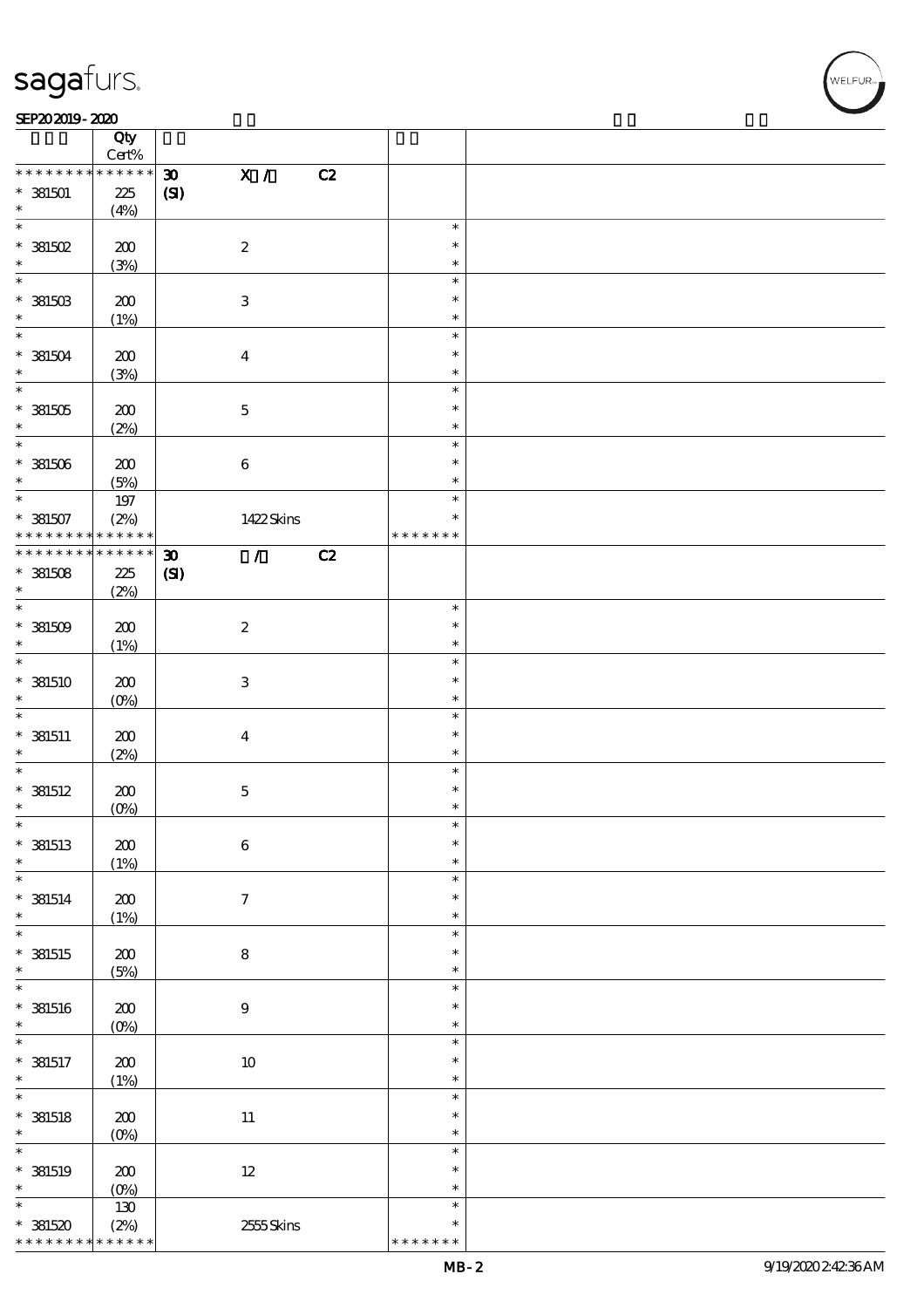### SEP202019-2020 REVENUES AND REVENUES AND RELEASED FOR DEVELOPMENT OF THE SEP  $\frac{\text{SEP202019-2020}}{\text{City}}$

|                   | Qty<br>$\mbox{Cert}\%$ |                             |                            |    |               |  |
|-------------------|------------------------|-----------------------------|----------------------------|----|---------------|--|
| * * * * * * * *   | * * * * * *            | $\boldsymbol{\mathfrak{D}}$ | X /                        | C2 |               |  |
| $* 381501$        | 225                    | (S)                         |                            |    |               |  |
| $\ast$            |                        |                             |                            |    |               |  |
| $\overline{\ast}$ | (4%)                   |                             |                            |    |               |  |
|                   |                        |                             |                            |    | $\ast$        |  |
| $*$ 381502        | 200                    |                             | $\boldsymbol{2}$           |    | $\ast$        |  |
| $\ast$            | (3%)                   |                             |                            |    | $\ast$        |  |
| $\overline{\ast}$ |                        |                             |                            |    | $\ast$        |  |
| $*$ 381503        | 200                    |                             | $\ensuremath{\mathbf{3}}$  |    | $\ast$        |  |
| $\ast$            | (1%)                   |                             |                            |    | $\ast$        |  |
| $\overline{\ast}$ |                        |                             |                            |    | $\ast$        |  |
|                   |                        |                             |                            |    |               |  |
| $* 381504$        | 200                    |                             | $\boldsymbol{4}$           |    | $\ast$        |  |
| $\ast$            | (3%)                   |                             |                            |    | $\ast$        |  |
|                   |                        |                             |                            |    | $\ast$        |  |
| $*381505$         | 200                    |                             | $\mathbf 5$                |    | $\ast$        |  |
| $\ast$            | (2%)                   |                             |                            |    | $\ast$        |  |
| $*$               |                        |                             |                            |    | $\ast$        |  |
| $*381506$         | 200                    |                             | $\bf 6$                    |    | $\ast$        |  |
| $\ast$            | (5%)                   |                             |                            |    | $\ast$        |  |
| $\ast$            |                        |                             |                            |    | $\ast$        |  |
|                   | 197                    |                             |                            |    |               |  |
| $* 381507$        | (2%)                   |                             | 1422Skins                  |    | $\ast$        |  |
| * * * * * * * *   | * * * * * *            |                             |                            |    | * * * * * * * |  |
| * * * * * * * *   | $* * * * * * *$        | $\boldsymbol{\mathfrak{D}}$ | $\mathcal{T}^{\mathbb{Z}}$ | C2 |               |  |
| $*381508$         | 225                    | $\mathbf{C}$                |                            |    |               |  |
| $\ast$            | (2%)                   |                             |                            |    |               |  |
| $\overline{\ast}$ |                        |                             |                            |    | $\ast$        |  |
| $*381509$         | 200                    |                             | $\boldsymbol{2}$           |    | $\ast$        |  |
| $\ast$            | (1%)                   |                             |                            |    | $\ast$        |  |
| $\overline{\ast}$ |                        |                             |                            |    | $\ast$        |  |
|                   |                        |                             |                            |    |               |  |
| $*$ 381510        | 200                    |                             | $\ensuremath{\mathbf{3}}$  |    | $\ast$        |  |
| $\ast$            | $(O\%)$                |                             |                            |    | $\ast$        |  |
| $\ast$            |                        |                             |                            |    | $\ast$        |  |
| $*$ 381511        | 200                    |                             | $\boldsymbol{4}$           |    | $\ast$        |  |
| $\ast$            | (2%)                   |                             |                            |    | $\ast$        |  |
| $\ast$            |                        |                             |                            |    | $\ast$        |  |
| $*$ 381512        | 200                    |                             | $\mathbf 5$                |    | $\ast$        |  |
| $\ast$            |                        |                             |                            |    | $\ast$        |  |
| $\ast$            | $(0\%)$                |                             |                            |    | $\ast$        |  |
|                   |                        |                             |                            |    |               |  |
| $*$ 381513        | $\pmb{30}$             |                             | $\bf 6$                    |    | $\ast$        |  |
| $\ast$            | (1%)                   |                             |                            |    | $\ast$        |  |
| $\ast$            |                        |                             |                            |    | $\ast$        |  |
| $*$ 381514        | 200                    |                             | $\boldsymbol{7}$           |    | $\ast$        |  |
| $\ast$            | (1%)                   |                             |                            |    | $\ast$        |  |
| $\overline{\ast}$ |                        |                             |                            |    | $\ast$        |  |
| $*$ 381515        | 200                    |                             | $\bf 8$                    |    | $\ast$        |  |
| $\ast$            | (5%)                   |                             |                            |    | $\ast$        |  |
| $\ast$            |                        |                             |                            |    | $\ast$        |  |
|                   |                        |                             |                            |    |               |  |
| $*$ 381516        | $200$                  |                             | $9$                        |    | $\ast$        |  |
| $\ast$            | $(0\%)$                |                             |                            |    | $\ast$        |  |
| $\ast$            |                        |                             |                            |    | $\ast$        |  |
| $*$ 381517        | $200$                  |                             | $10\,$                     |    | $\ast$        |  |
| $\ast$            | (1%)                   |                             |                            |    | $\ast$        |  |
| $\overline{\ast}$ |                        |                             |                            |    | $\ast$        |  |
| $*$ 381518        | $200$                  |                             | $11\,$                     |    | $\ast$        |  |
| $\ast$            | $(O_0)$                |                             |                            |    | $\ast$        |  |
| $\ast$            |                        |                             |                            |    | $\ast$        |  |
|                   |                        |                             |                            |    | $\ast$        |  |
| $*$ 381519        | $200$                  |                             | $12\,$                     |    |               |  |
| $\ast$            | $(0\%)$                |                             |                            |    | $\ast$        |  |
| $\ast$            | 130                    |                             |                            |    | $\ast$        |  |
| $*381520$         | (2%)                   |                             | 2555Skins                  |    | $\ast$        |  |
| * * * * * * * *   | * * * * * *            |                             |                            |    | * * * * * * * |  |

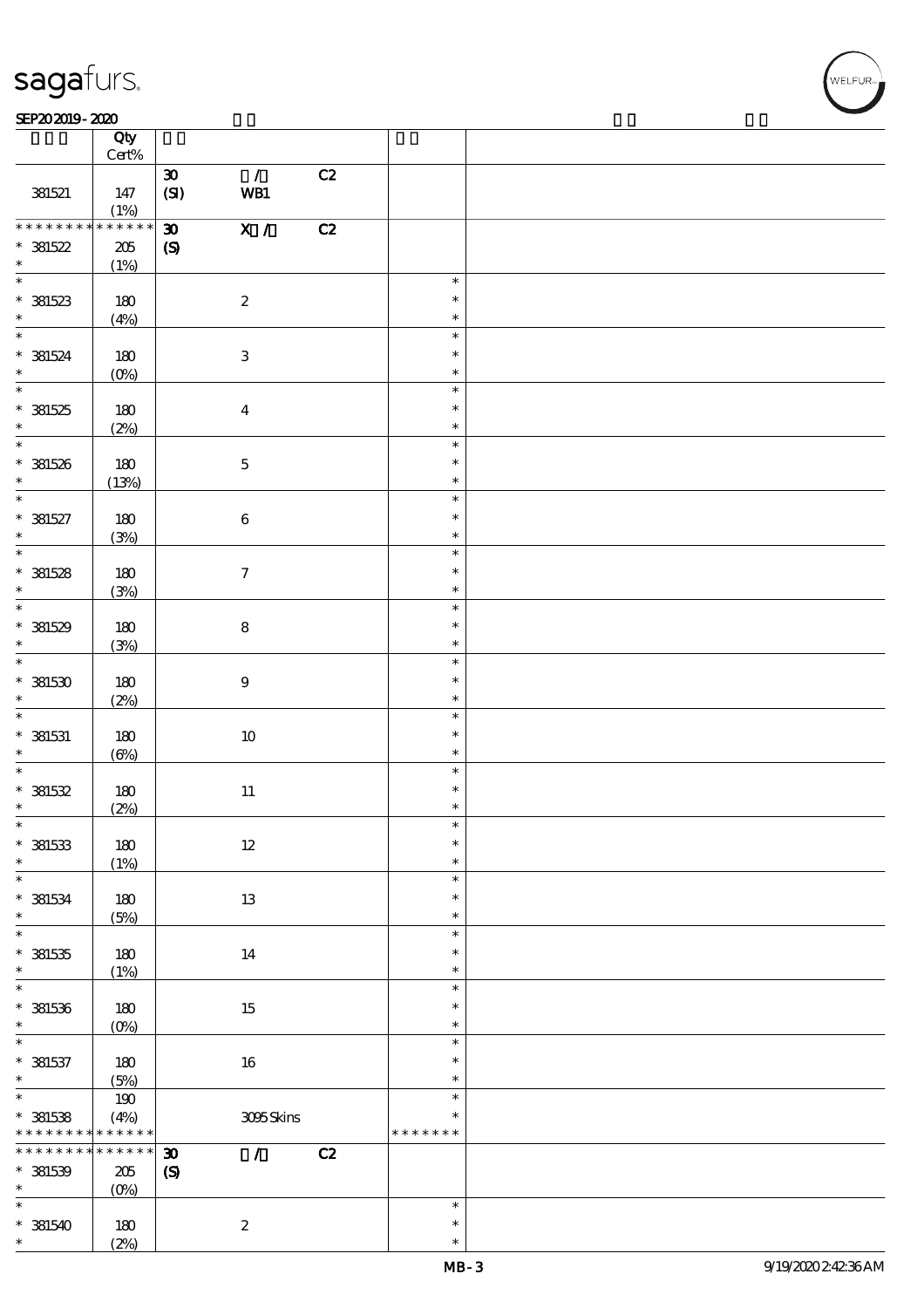### SEP202019-2020 REVENUES AND REVENUES AND RELEASED FOR DEVELOPMENT OF THE SEP

|                             | Qty<br>$Cert\%$     |                             |                                      |    |                  |  |
|-----------------------------|---------------------|-----------------------------|--------------------------------------|----|------------------|--|
|                             |                     | $\boldsymbol{\mathfrak{D}}$ | $\mathcal{L}$                        | C2 |                  |  |
| 381521                      | 147<br>(1%)         | (SI)                        | WB1                                  |    |                  |  |
| * * * * * * * *             | $******$            | $\boldsymbol{\mathfrak{D}}$ | $\overline{\mathbf{x} / \mathbf{z}}$ | C2 |                  |  |
| $* 381522$<br>$\ast$        | 205<br>(1%)         | $\boldsymbol{\mathrm{(S)}}$ |                                      |    |                  |  |
|                             |                     |                             |                                      |    | $\ast$           |  |
| $* 381523$                  | 180<br>(4%)         |                             | $\boldsymbol{2}$                     |    | $\ast$<br>$\ast$ |  |
|                             |                     |                             |                                      |    | $\ast$           |  |
| $* 381524$<br>$\ast$        | 180<br>$(0\%)$      |                             | $\ensuremath{\mathbf{3}}$            |    | $\ast$<br>$\ast$ |  |
|                             |                     |                             |                                      |    | $\ast$           |  |
| $* 381525$<br>$*$           | 180<br>(2%)         |                             | $\bf{4}$                             |    | $\ast$<br>$\ast$ |  |
| $\overline{\phantom{0}}$    |                     |                             |                                      |    | $\ast$           |  |
| $* 381526$<br>$\ast$        | 180<br>(13%)        |                             | $\bf 5$                              |    | $\ast$<br>$\ast$ |  |
| $\overline{\ast}$           |                     |                             |                                      |    | $\ast$           |  |
| $* 381527$<br>$\ast$        | 180<br>(3%)         |                             | $\bf 6$                              |    | $\ast$<br>$\ast$ |  |
| $\overline{\phantom{0}}$    |                     |                             |                                      |    | $\ast$           |  |
| $* 381528$<br>$\ast$        | 180<br>(3%)         |                             | $\boldsymbol{\tau}$                  |    | $\ast$<br>$\ast$ |  |
|                             |                     |                             |                                      |    | $\ast$           |  |
| $*$ 381529<br>$\ast$<br>$*$ | 180<br>(3%)         |                             | $\bf8$                               |    | $\ast$<br>$\ast$ |  |
|                             |                     |                             |                                      |    | $\ast$           |  |
| $*$ 381530<br>$*$           | 180<br>(2%)         |                             | $\boldsymbol{9}$                     |    | $\ast$<br>$\ast$ |  |
| $\ast$                      |                     |                             |                                      |    | $\ast$           |  |
| $*$ 381531<br>$\ast$        | 180<br>$(\Theta_0)$ |                             | $10\,$                               |    | $\ast$<br>$\ast$ |  |
| $\ast$                      |                     |                             |                                      |    | $\ast$           |  |
| * 381532<br>$\ast$          | 180                 |                             | $11\,$                               |    | $\ast$<br>$\ast$ |  |
| $*$                         | (2%)                |                             |                                      |    |                  |  |
| $*$ 381533                  | $180\,$             |                             | $12\,$                               |    | $\ast$<br>$\ast$ |  |
| $\ast$                      | (1%)                |                             |                                      |    | $\ast$           |  |
| $\ast$                      |                     |                             |                                      |    | $\ast$           |  |
| $*$ 381534<br>$\ast$        | 180<br>(5%)         |                             | 13                                   |    | $\ast$<br>$\ast$ |  |
| $\overline{\ast}$           |                     |                             |                                      |    | $\ast$           |  |
| $* 381535$                  | 180                 |                             | 14                                   |    | $\ast$           |  |
| $\ast$                      | (1%)                |                             |                                      |    | $\ast$           |  |
| $\ast$                      |                     |                             |                                      |    | $\ast$           |  |
| $* 381536$                  | 180                 |                             | $15\,$                               |    | $\ast$           |  |
| $\ast$<br>$\ast$            | $(O\%)$             |                             |                                      |    | $\ast$<br>$\ast$ |  |
| $* 381537$                  |                     |                             |                                      |    | $\ast$           |  |
| $\ast$                      | 180<br>(5%)         |                             | 16                                   |    | $\ast$           |  |
| $\overline{\phantom{0}}$    | 190                 |                             |                                      |    | $\ast$           |  |
| $* 381538$                  | (4%)                |                             | 3095Skins                            |    | $\ast$           |  |
| * * * * * * * *             | * * * * * *         |                             |                                      |    | * * * * * * *    |  |
| * * * * * * * *             | * * * * * *         | $\boldsymbol{\mathfrak{D}}$ | $\mathcal{L}$                        | C2 |                  |  |
| $*$ 381539                  | $205\,$             | $\boldsymbol{\mathrm{(S)}}$ |                                      |    |                  |  |
| $\ast$                      | $(0\%)$             |                             |                                      |    |                  |  |
| $\ast$                      |                     |                             |                                      |    | $\ast$           |  |
| $* 381540$                  | 180                 |                             | $\boldsymbol{2}$                     |    | $\ast$           |  |
| $\ast$                      | (2%)                |                             |                                      |    | $\ast$           |  |

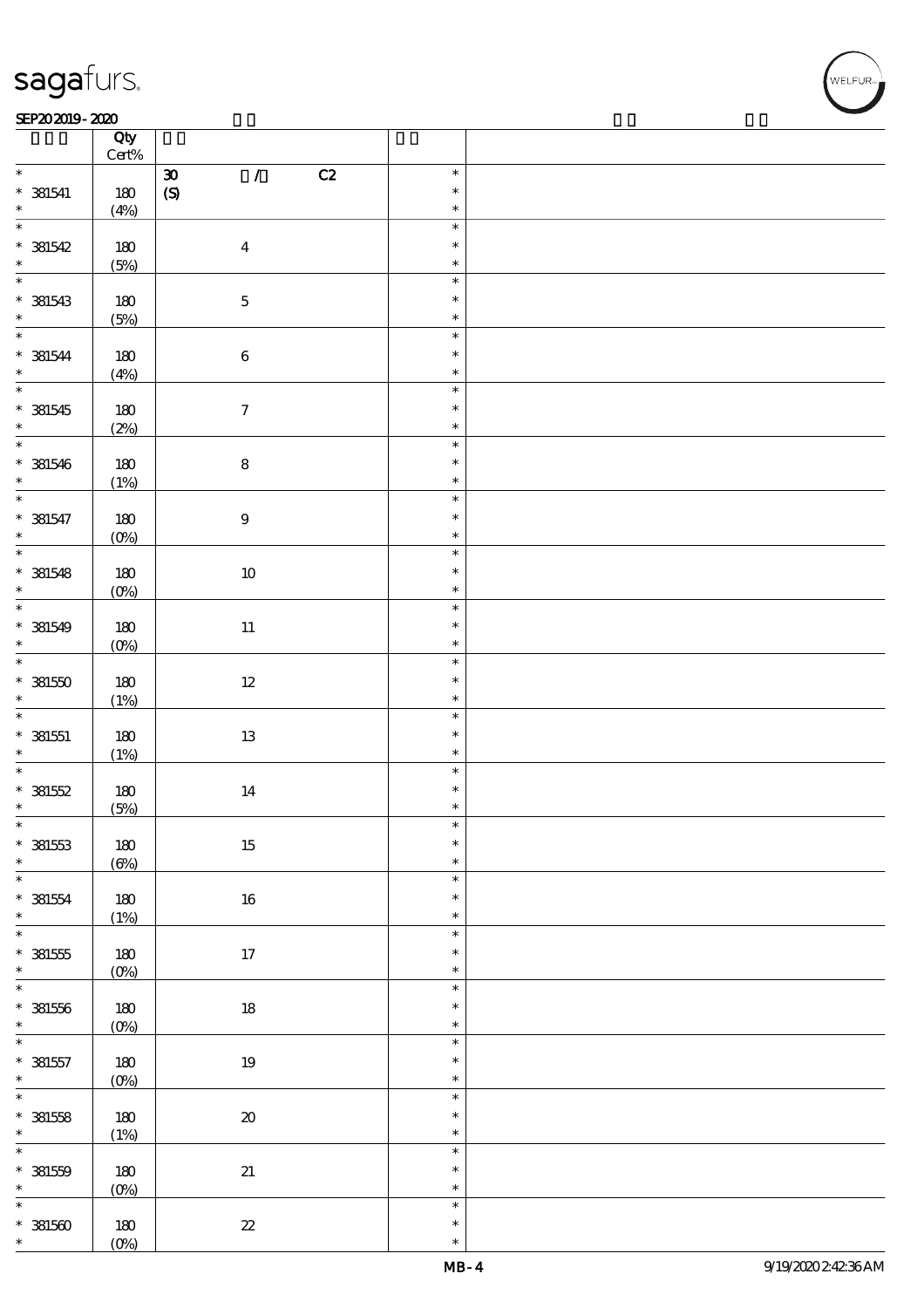### $SEP202019 - 2020$

|                             | Qty              |                      |                     |    |                  |  |
|-----------------------------|------------------|----------------------|---------------------|----|------------------|--|
|                             | $\mbox{Cert}\%$  |                      |                     |    |                  |  |
| $\ast$                      |                  | $\pmb{\mathfrak{D}}$ | $\mathcal{L}$       | C2 | $\ast$           |  |
| $*$ 381541                  | $180$            | $\pmb{\in}$          |                     |    | $\ast$           |  |
| $\ast$                      | (4%)             |                      |                     |    | $\ast$           |  |
| $\ast$                      |                  |                      |                     |    | $\ast$           |  |
| $* 381542$                  | $180$            |                      | $\boldsymbol{4}$    |    | $\ast$           |  |
| $\ast$<br>$\overline{\ast}$ | (5%)             |                      |                     |    | $\ast$           |  |
|                             |                  |                      |                     |    | $\ast$<br>$\ast$ |  |
| $*$ 381543<br>$\ast$        | 180              |                      | $\mathbf 5$         |    | $\ast$           |  |
| $\overline{\ast}$           | (5%)             |                      |                     |    | $\ast$           |  |
| $* 381544$                  | $180$            |                      | $\bf 6$             |    | $\ast$           |  |
| $\ast$                      | (4%)             |                      |                     |    | $\ast$           |  |
| $\overline{\ast}$           |                  |                      |                     |    | $\ast$           |  |
|                             | 180              |                      | $\boldsymbol{7}$    |    | $\ast$           |  |
| $*$ 381545                  | (2%)             |                      |                     |    | $\ast$           |  |
| $\overline{\ast}$           |                  |                      |                     |    | $\ast$           |  |
| $* 381546$                  | 180              |                      | $\bf8$              |    | $\ast$           |  |
| $\ast$                      | (1%)             |                      |                     |    | $\ast$           |  |
| $\overline{\ast}$           |                  |                      |                     |    | $\ast$           |  |
| $* 381547$                  | $180$            |                      | $\boldsymbol{9}$    |    | $\ast$           |  |
| $\ast$                      | (0%)             |                      |                     |    | $\ast$           |  |
|                             |                  |                      |                     |    | $\ast$           |  |
| $* 381548$                  | 180              |                      | $10\,$              |    | $\ast$           |  |
| $\ast$                      | (0%)             |                      |                     |    | $\ast$           |  |
| $\overline{\ast}$           |                  |                      |                     |    | $\ast$           |  |
| $* 381549$<br>$\ast$        | 180              |                      | $11\,$              |    | $\ast$           |  |
| $\overline{\ast}$           | $(0\%)$          |                      |                     |    | $\ast$<br>$\ast$ |  |
| $*381550$                   |                  |                      |                     |    | $\ast$           |  |
| $\ast$                      | 180<br>(1%)      |                      | $12\,$              |    | $\ast$           |  |
| $\overline{\ast}$           |                  |                      |                     |    | $\ast$           |  |
| $* 381551$                  | 180              |                      | 13                  |    | $\ast$           |  |
| $\ast$                      | (1%)             |                      |                     |    | $\ast$           |  |
| $\overline{\ast}$           |                  |                      |                     |    | $\ast$           |  |
| $* 381552$                  | 180              |                      | $14\,$              |    | $\ast$           |  |
| $\ast$                      | (5%)             |                      |                     |    |                  |  |
| $\ast$                      |                  |                      |                     |    | ∗                |  |
| $* 381553$                  | $180$            |                      | $15\,$              |    | $\ast$           |  |
| $\ast$<br>$\overline{\ast}$ | $(\Theta_0)$     |                      |                     |    | $\ast$           |  |
|                             |                  |                      |                     |    | $\ast$<br>$\ast$ |  |
| $* 381554$<br>$\ast$        | 180              |                      | $16\,$              |    | $\ast$           |  |
| $\ast$                      | (1%)             |                      |                     |    | $\ast$           |  |
| $* 381555$                  | $180$            |                      | $17\,$              |    | $\ast$           |  |
| $\ast$                      | $(0\%)$          |                      |                     |    | $\ast$           |  |
| $\overline{\ast}$           |                  |                      |                     |    | $\ast$           |  |
| $* 381556$                  | 180              |                      | $18\,$              |    | $\ast$           |  |
| $\ast$                      | (0%)             |                      |                     |    | $\ast$           |  |
| $\ast$                      |                  |                      |                     |    | $\ast$           |  |
| $* 381557$                  | 180              |                      | $19\,$              |    | $\ast$           |  |
| $\ast$                      | $(0\%)$          |                      |                     |    | $\ast$           |  |
| $\overline{\ast}$           |                  |                      |                     |    | $\ast$           |  |
| $* 381558$<br>$\ast$        | 180              |                      | $\pmb{\mathcal{X}}$ |    | $\ast$           |  |
| $\overline{\ast}$           | (1%)             |                      |                     |    | $\ast$<br>$\ast$ |  |
|                             |                  |                      |                     |    | $\ast$           |  |
| $* 381559$<br>$\ast$        | $180$<br>$(0\%)$ |                      | $2\hspace{-1.5pt}1$ |    | $\ast$           |  |
| $\ast$                      |                  |                      |                     |    | $\ast$           |  |
| $*381500$                   | 180              |                      | $\pmb{\mathcal{Z}}$ |    | $\ast$           |  |
| $\ast$                      | $(0\%)$          |                      |                     |    | $\ast$           |  |
|                             |                  |                      |                     |    |                  |  |

**VELFUR**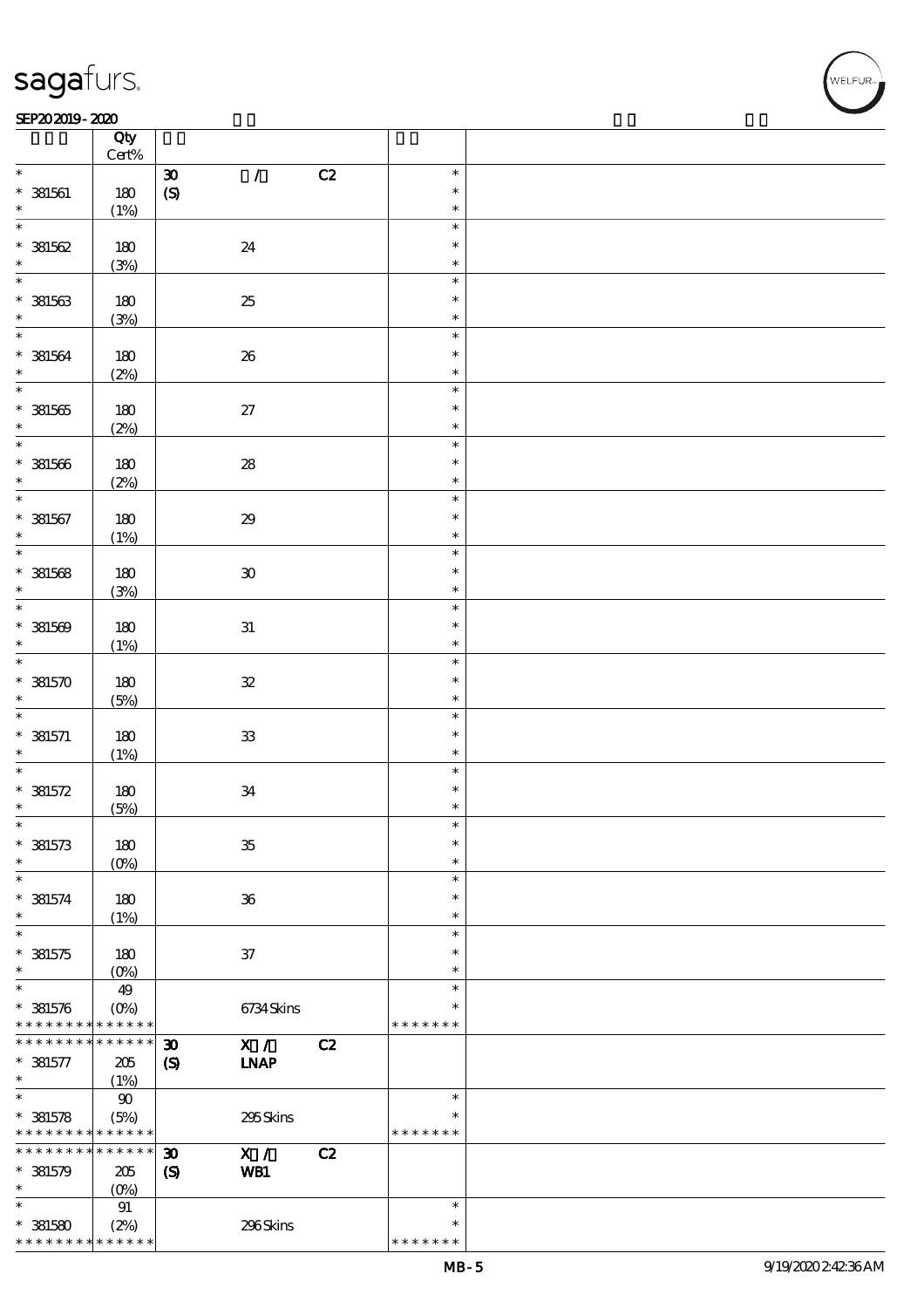### SEP202019-2020 REVENUES AND REVENUES AND RELEASED FOR DEVELOPMENT OF THE SEP  $\frac{\text{SEP202019-2020}}{\text{log}}$

|                                            | Qty<br>$\mbox{Cert}\%$ |                                           |    |               |  |
|--------------------------------------------|------------------------|-------------------------------------------|----|---------------|--|
| $\ast$                                     |                        | $\mathcal{L}$                             |    | $\ast$        |  |
|                                            |                        | $\boldsymbol{\mathfrak{D}}$               | C2 | $\ast$        |  |
| $*$ 381561                                 | 180                    | $\pmb{\in}$                               |    |               |  |
| $\ast$                                     | (1%)                   |                                           |    | $\ast$        |  |
| $\overline{\ast}$                          |                        |                                           |    | $\ast$        |  |
| $* 381562$                                 | 180                    | 24                                        |    | $\ast$        |  |
| $\ast$                                     | (3%)                   |                                           |    | $\ast$        |  |
|                                            |                        |                                           |    | $\ast$        |  |
| $* 381563$                                 | 180                    | $25\,$                                    |    | $\ast$        |  |
| $\ast$                                     | (3%)                   |                                           |    | $\ast$        |  |
| $\overline{\ast}$                          |                        |                                           |    | $\ast$        |  |
|                                            |                        |                                           |    | $\ast$        |  |
| $* 381564$                                 | $180$                  | 26                                        |    |               |  |
| $\ast$                                     | (2%)                   |                                           |    | $\ast$        |  |
|                                            |                        |                                           |    | $\ast$        |  |
| $*381565$                                  | 180                    | $27\,$                                    |    | $\ast$        |  |
| $\ast$                                     | (2%)                   |                                           |    | $\ast$        |  |
| $\overline{\ast}$                          |                        |                                           |    | $\ast$        |  |
| $* 381566$                                 | 180                    | ${\bf 28}$                                |    | $\ast$        |  |
| $\ast$                                     | (2%)                   |                                           |    | $\ast$        |  |
| $\overline{\ast}$                          |                        |                                           |    | $\ast$        |  |
| $* 381567$                                 | 180                    | $29\,$                                    |    | $\ast$        |  |
|                                            |                        |                                           |    |               |  |
| $\ast$<br>$\overline{\ast}$                | (1%)                   |                                           |    | $\ast$        |  |
|                                            |                        |                                           |    | $\ast$        |  |
| $* 381568$                                 | 180                    | $\pmb{\mathfrak{D}}$                      |    | $\ast$        |  |
| $\ast$                                     | (3%)                   |                                           |    | $\ast$        |  |
| $\overline{\ast}$                          |                        |                                           |    | $\ast$        |  |
| $* 381569$                                 | 180                    | $3\!1$                                    |    | $\ast$        |  |
| $\ast$                                     | (1%)                   |                                           |    | $\ast$        |  |
| $\overline{\ast}$                          |                        |                                           |    | $\ast$        |  |
| $* 381570$                                 | 180                    | ${\bf 3\!2}$                              |    | $\ast$        |  |
| $\ast$                                     |                        |                                           |    | $\ast$        |  |
| $\ast$                                     | (5%)                   |                                           |    | $\ast$        |  |
|                                            |                        |                                           |    |               |  |
| $* 381571$                                 | $180$                  | ${\bf 3}$                                 |    | $\ast$        |  |
| $\ast$                                     | (1%)                   |                                           |    | $\ast$        |  |
| $\ast$                                     |                        |                                           |    | $\ast$        |  |
| $* 381572$                                 | 180                    | $3\!4$                                    |    | $\ast$        |  |
| $\ast$                                     | (5%)                   |                                           |    | $\ast$        |  |
| $\ast$                                     |                        |                                           |    | $\ast$        |  |
| $* 381573$                                 | 180                    | ${\bf 35}$                                |    | $\ast$        |  |
| $\ast$                                     | (O <sub>0</sub> )      |                                           |    | $\ast$        |  |
| $\ast$                                     |                        |                                           |    | $\ast$        |  |
| $* 381574$                                 | 180                    | $36\,$                                    |    | $\ast$        |  |
| $\ast$                                     |                        |                                           |    | $\ast$        |  |
| $\ast$                                     | (1%)                   |                                           |    |               |  |
|                                            |                        |                                           |    | $\ast$        |  |
| $* 381575$                                 | 180                    | ${\bf 37}$                                |    | $\ast$        |  |
| $\ast$                                     | $(0\%)$                |                                           |    | $\ast$        |  |
| $\ast$                                     | 49                     |                                           |    | $\ast$        |  |
| $* 381576$                                 | $(O\%)$                | 6734Skins                                 |    | $\ast$        |  |
| * * * * * * * *                            | * * * * * *            |                                           |    | * * * * * * * |  |
| * * * * * * * *                            | * * * * * *            | X /<br>$\boldsymbol{\mathfrak{D}}$        | C2 |               |  |
| $* 381577$                                 | 205                    | <b>INAP</b><br>$\boldsymbol{\mathcal{S}}$ |    |               |  |
| $\ast$                                     | (1%)                   |                                           |    |               |  |
| $\ast$                                     | $90\,$                 |                                           |    | $\ast$        |  |
|                                            |                        |                                           |    |               |  |
| $* 381578$                                 | (5%)                   | 295Skins                                  |    | * * * * * * * |  |
| * * * * * * * * <mark>* * * * * * *</mark> |                        |                                           |    |               |  |
| * * * * * * * *                            | * * * * * *            | X /<br>$\boldsymbol{\mathfrak{D}}$        | C2 |               |  |
| $*$ 381579                                 | 205                    | $\boldsymbol{\mathrm{(S)}}$<br>WB1        |    |               |  |
| $\ast$                                     | (O <sub>0</sub> )      |                                           |    |               |  |
| $\ast$                                     | 91                     |                                           |    | $\ast$        |  |
| $*381580$                                  | (2%)                   | 296Skins                                  |    | ∗             |  |
| * * * * * * * *                            | * * * * * *            |                                           |    | * * * * * * * |  |

WELFUR<br>
VELFUR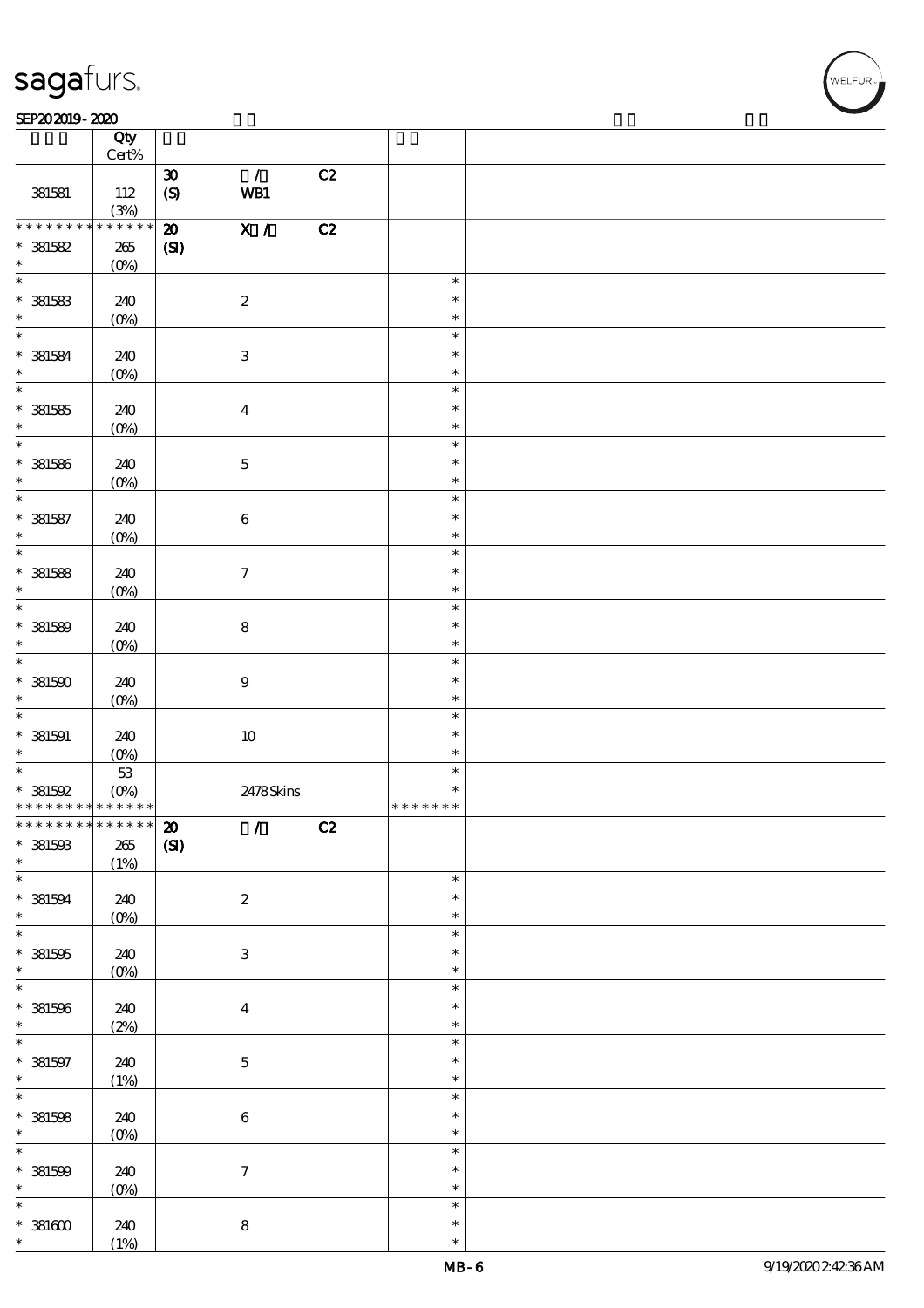### SEP202019-2020

|                                                  | Qty                 |                             |                                 |    |                    |  |
|--------------------------------------------------|---------------------|-----------------------------|---------------------------------|----|--------------------|--|
|                                                  | $\mbox{Cert}\%$     |                             |                                 |    |                    |  |
|                                                  |                     | $\boldsymbol{\mathfrak{D}}$ | $\mathcal{L}$                   | C2 |                    |  |
| 381581                                           | 112                 | $\pmb{\text{(S)}}$          | WB1                             |    |                    |  |
| * * * * * * * *                                  | (3%)<br>* * * * * * | $\boldsymbol{\mathfrak{D}}$ | $\overline{X}$ /                | C2 |                    |  |
| $*$ 381582                                       | $265\,$             | (S)                         |                                 |    |                    |  |
| $\ast$                                           | $(0\%)$             |                             |                                 |    |                    |  |
| $\ast$                                           |                     |                             |                                 |    | $\ast$             |  |
| $*$ 381583                                       | 240                 |                             | $\boldsymbol{2}$                |    | $\ast$             |  |
| $\ast$                                           | $(0\%)$             |                             |                                 |    | $\ast$             |  |
| $\overline{\phantom{0}}$                         |                     |                             |                                 |    | $\ast$             |  |
| $*$ 381584                                       | 240                 |                             | $\,3$                           |    | $\ast$             |  |
| $\ast$                                           | $(0\%)$             |                             |                                 |    | $\ast$             |  |
| $\overline{\phantom{0}}$                         |                     |                             |                                 |    | $\ast$             |  |
| $*$ 381585                                       | 240                 |                             | $\boldsymbol{4}$                |    | $\ast$             |  |
| $\ast$                                           | $(0\%)$             |                             |                                 |    | $\ast$             |  |
| $\overline{\phantom{0}}$                         |                     |                             |                                 |    | $\ast$             |  |
| $* 381586$                                       | 240                 |                             | $\mathbf 5$                     |    | $\ast$             |  |
| $\ast$                                           | $(0\%)$             |                             |                                 |    | $\ast$             |  |
| $\overline{\phantom{0}}$                         |                     |                             |                                 |    | $\ast$             |  |
| $*$ 381587                                       | 240                 |                             | $\bf 6$                         |    | $\ast$             |  |
| $\ast$                                           | $(0\%)$             |                             |                                 |    | $\ast$             |  |
| $\overline{\ast}$                                |                     |                             |                                 |    | $\ast$             |  |
| $*$ 381588                                       | 240                 |                             | $\boldsymbol{7}$                |    | $\ast$             |  |
| $\ast$                                           | (0%)                |                             |                                 |    | $\ast$             |  |
| $\ast$                                           |                     |                             |                                 |    | $\ast$             |  |
| $* 381589$                                       | 240                 |                             | $\bf 8$                         |    | $\ast$             |  |
| $\ast$                                           | $(0\%)$             |                             |                                 |    | $\ast$             |  |
| $\overline{\phantom{0}}$                         |                     |                             |                                 |    | $\ast$             |  |
| $*381500$                                        | 240                 |                             | $\boldsymbol{9}$                |    | $\ast$             |  |
| $\ast$                                           | $(0\%)$             |                             |                                 |    | $\ast$             |  |
|                                                  |                     |                             |                                 |    | $\ast$             |  |
| $*$ 381591                                       | 240                 |                             | $10\,$                          |    | $\ast$             |  |
| $\ast$                                           | $(0\%)$             |                             |                                 |    | $\ast$             |  |
| $\ast$                                           | $5\!3$              |                             |                                 |    | $\ast$             |  |
| $*381592$                                        | $(0\%)$             |                             | 2478Skins                       |    | ∗<br>* * * * * * * |  |
| * * * * * * * * * * * * * *<br>************** 20 |                     |                             |                                 |    |                    |  |
| $*$ 381593                                       |                     |                             | $\mathcal{L}$ and $\mathcal{L}$ | C2 |                    |  |
| $*$                                              | 265<br>(1%)         | (S)                         |                                 |    |                    |  |
|                                                  |                     |                             |                                 |    | $\ast$             |  |
| $*$ 381594                                       | 240                 |                             | $\boldsymbol{2}$                |    | $\ast$             |  |
| $\ast$                                           | $(0\%)$             |                             |                                 |    | $\ast$             |  |
|                                                  |                     |                             |                                 |    | $\ast$             |  |
| $* 381505$                                       | 240                 |                             | $\ensuremath{\mathsf{3}}$       |    | $\ast$             |  |
| $\ast$                                           | $(0\%)$             |                             |                                 |    | $\ast$             |  |
|                                                  |                     |                             |                                 |    | $\ast$             |  |
| $* 381596$                                       | 240                 |                             | $\bf{4}$                        |    | $\ast$             |  |
| $\ast$                                           | (2%)                |                             |                                 |    | $\ast$             |  |
|                                                  |                     |                             |                                 |    | $\ast$             |  |
| $* 381597$                                       | 240                 |                             | $\bf 5$                         |    | $\ast$             |  |
| $\ast$                                           | (1%)                |                             |                                 |    | $\ast$             |  |
| $*$                                              |                     |                             |                                 |    | $\ast$             |  |
| $*$ 381598                                       | 240                 |                             | $\,6\,$                         |    | $\ast$             |  |
| $*$                                              | (0%)                |                             |                                 |    | $\ast$             |  |
|                                                  |                     |                             |                                 |    | $\ast$             |  |
| $* 381500$                                       | 240                 |                             | $\boldsymbol{7}$                |    | $\ast$             |  |
| $*$                                              | (0%)                |                             |                                 |    | $\ast$             |  |
| $\overline{\ast}$                                |                     |                             |                                 |    | $\ast$             |  |
| $^\ast$ 381600                                   | 240                 |                             | $\bf 8$                         |    | $\ast$             |  |
| $\ast$                                           | (1%)                |                             |                                 |    | $\ast$             |  |

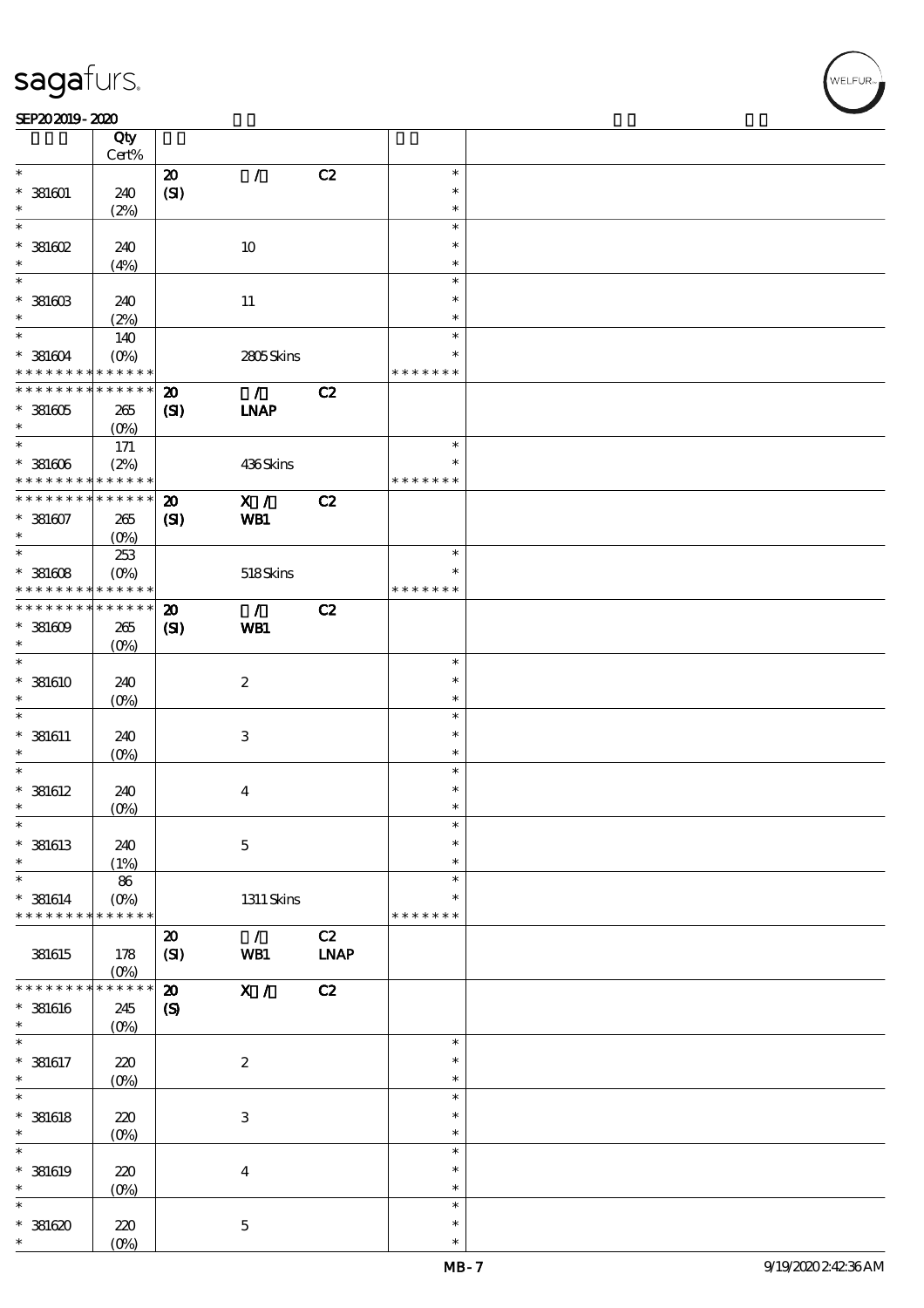### SEP202019-2020

|                                | Qty<br>Cert%       |                            |                           |             |               |  |
|--------------------------------|--------------------|----------------------------|---------------------------|-------------|---------------|--|
| $\ast$                         |                    | $\boldsymbol{\mathsf{20}}$ | $\mathcal{L}$             | C2          | $\ast$        |  |
|                                |                    |                            |                           |             | $\ast$        |  |
| $* 381601$                     | 240                | (SI)                       |                           |             |               |  |
| *                              | (2%)               |                            |                           |             | $\ast$        |  |
| $\ast$                         |                    |                            |                           |             | $\ast$        |  |
| $*$ 381602                     | 240                |                            | 10                        |             | $\ast$        |  |
| $\ast$                         | (4%)               |                            |                           |             | $\ast$        |  |
| $\ast$                         |                    |                            |                           |             | $\ast$        |  |
| $*$ 381603                     | 240                |                            |                           |             | $\ast$        |  |
| $\ast$                         |                    |                            | 11                        |             |               |  |
|                                | (2%)               |                            |                           |             | $\ast$        |  |
| $\ast$                         | 140                |                            |                           |             | $\ast$        |  |
| $* 381604$                     | $(O\%)$            |                            | 2805Skins                 |             | $\ast$        |  |
| * * * * * * * *                | * * * * * *        |                            |                           |             | * * * * * * * |  |
| * * * * * * * * <mark>*</mark> | $* * * * * * *$    | $\boldsymbol{\mathbf{z}}$  | $\mathcal{L}$             | C2          |               |  |
| $*381605$                      | 265                | (SI)                       | <b>LNAP</b>               |             |               |  |
| $\ast$                         |                    |                            |                           |             |               |  |
| $\ast$                         | $(O\%)$            |                            |                           |             |               |  |
|                                | $171$              |                            |                           |             | $\ast$        |  |
| $*381606$                      | (2%)               |                            | 436Skins                  |             | $\ast$        |  |
| * * * * * * * *                | * * * * * *        |                            |                           |             | * * * * * * * |  |
| * * * * * * * *                | * * * * * *        | $\boldsymbol{\mathbf{z}}$  | X /                       | C2          |               |  |
| $*381607$                      | 265                | (S)                        | WB1                       |             |               |  |
| $\ast$                         | $(O\%)$            |                            |                           |             |               |  |
| $\ast$                         |                    |                            |                           |             | $\ast$        |  |
|                                | 253                |                            |                           |             |               |  |
| $*381608$                      | $(O\%)$            |                            | 518Skins                  |             | $\ast$        |  |
| * * * * * * * *                | $* * * * * * *$    |                            |                           |             | * * * * * * * |  |
| * * * * * * * *                | * * * * * *        | $\boldsymbol{\mathbf{z}}$  | $\mathcal{L}$             | C2          |               |  |
| $*381609$                      | 265                | (S)                        | WB1                       |             |               |  |
| $\ast$                         | $(O\!/\!\!\delta)$ |                            |                           |             |               |  |
| $\ast$                         |                    |                            |                           |             | $\ast$        |  |
|                                |                    |                            |                           |             | $\ast$        |  |
| $*$ 381610                     | 240                |                            | $\boldsymbol{2}$          |             |               |  |
| $\ast$                         | $(O\%)$            |                            |                           |             | $\ast$        |  |
| $\ast$                         |                    |                            |                           |             | $\ast$        |  |
| $*$ 381611                     | 240                |                            | $\ensuremath{\mathbf{3}}$ |             | $\ast$        |  |
| $\ast$                         | $(O\%)$            |                            |                           |             | $\ast$        |  |
| $\ast$                         |                    |                            |                           |             | $\ast$        |  |
| $*$ 381612                     | 240                |                            | $\bf{4}$                  |             | $\ast$        |  |
| $\ast$                         |                    |                            |                           |             | $\ast$        |  |
|                                | $(O\!/\!\!\delta)$ |                            |                           |             |               |  |
| $\ast$                         |                    |                            |                           |             | $\ast$        |  |
| $*$ 381613                     | 240                |                            | $\mathbf 5$               |             | $\ast$        |  |
| $\ast$                         | (1%)               |                            |                           |             | $\ast$        |  |
| $\ast$                         | 86                 |                            |                           |             | $\ast$        |  |
| $* 381614$                     | $(O\%)$            |                            | $1311$ Skins              |             | $\ast$        |  |
| * * * * * * * *                | * * * * * *        |                            |                           |             | * * * * * * * |  |
|                                |                    |                            |                           |             |               |  |
|                                |                    | $\boldsymbol{\mathbf{z}}$  | $\mathcal{L}$             | C2          |               |  |
| 381615                         | 178                | (SI)                       | WB1                       | <b>LNAP</b> |               |  |
|                                | $(O\!/\!\!\delta)$ |                            |                           |             |               |  |
| * * * * * *                    | * * * * * *        | $\boldsymbol{\mathbf{z}}$  | X /                       | C2          |               |  |
| $*$ 381616                     | 245                | $\boldsymbol{S}$           |                           |             |               |  |
| $\ast$                         | $(0\%)$            |                            |                           |             |               |  |
| $\ast$                         |                    |                            |                           |             | $\ast$        |  |
| $* 381617$                     | 220                |                            | $\boldsymbol{2}$          |             | $\ast$        |  |
|                                |                    |                            |                           |             |               |  |
| $\ast$                         | $(O\!/\!o)$        |                            |                           |             | $\ast$        |  |
| $\ast$                         |                    |                            |                           |             | $\ast$        |  |
| $*$ 381618                     | 220                |                            | $\ensuremath{\mathbf{3}}$ |             | $\ast$        |  |
| $\ast$                         | $(O\!/\!\!\delta)$ |                            |                           |             | $\ast$        |  |
| $\ast$                         |                    |                            |                           |             | $\ast$        |  |
| $*$ 381619                     | $220$              |                            | $\boldsymbol{4}$          |             | $\ast$        |  |
| $\ast$                         |                    |                            |                           |             | $\ast$        |  |
| $\ast$                         | $(0\%)$            |                            |                           |             |               |  |
|                                |                    |                            |                           |             | $\ast$        |  |
| $*381620$                      | 220                |                            | $\mathbf 5$               |             | $\ast$        |  |
| $\ast$                         | (O <sub>0</sub> )  |                            |                           |             | $\ast$        |  |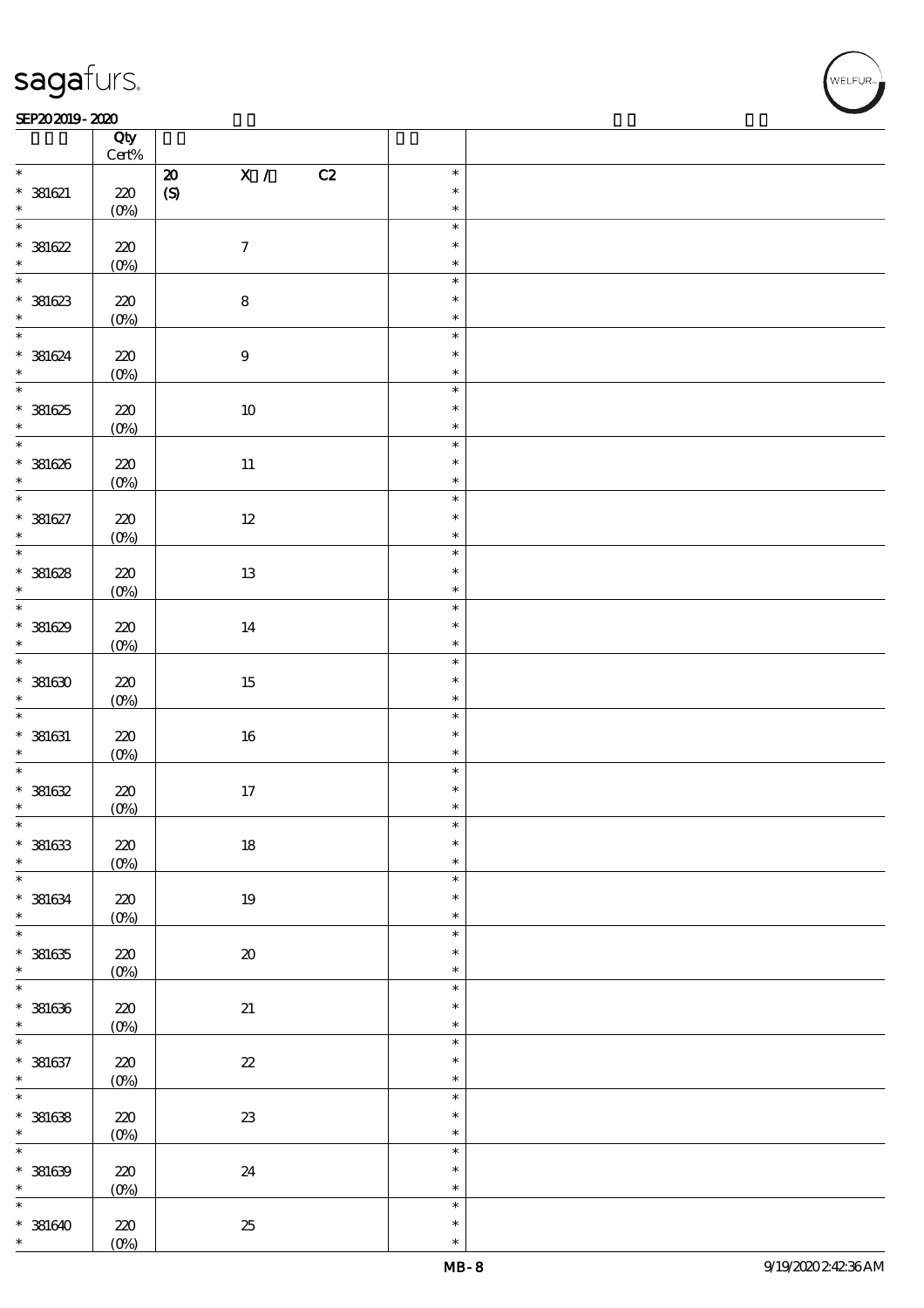### SEP202019-2020 REVENUES AND REVENUES AND RELEASED FOR DEVELOPMENT OF THE SEP

|                                 | Qty<br>Cert% |                                              |                  |  |
|---------------------------------|--------------|----------------------------------------------|------------------|--|
| $\ast$                          |              | $\overline{\mathbf{x}}$ /<br>C2<br>${\bf Z}$ | $\ast$           |  |
| $* 381621$                      | $220$        | $\pmb{\text{(S)}}$                           | $\ast$           |  |
| $\ast$                          | $(0\%)$      |                                              | $\ast$           |  |
| $\overline{\ast}$<br>$* 381622$ | $220$        | $\boldsymbol{7}$                             | $\ast$<br>$\ast$ |  |
| $\ast$                          | $(0\%)$      |                                              | $\ast$           |  |
| $\overline{\phantom{0}}$        |              |                                              | $\ast$           |  |
|                                 |              |                                              | $\ast$           |  |
| $*39623$                        | 220          | ${\bf 8}$                                    |                  |  |
|                                 | $(0\%)$      |                                              | $\ast$           |  |
| $*$                             |              |                                              | $\ast$           |  |
| $* 381624$                      | 220          | $\bf 9$                                      | $\ast$           |  |
| $\ast$                          | $(0\%)$      |                                              | $\ast$           |  |
| $\overline{\ast}$               |              |                                              | $\ast$           |  |
| $*381625$                       | $220$        | $10\,$                                       | $\ast$           |  |
| $\ast$                          | $(0\%)$      |                                              | $\ast$           |  |
| $\overline{\phantom{0}}$        |              |                                              | $\ast$           |  |
|                                 |              |                                              | $\ast$           |  |
| $* 381626$                      | 220          | $11\,$                                       |                  |  |
| $\ast$                          | $(0\%)$      |                                              | $\ast$           |  |
| $\overline{\ast}$               |              |                                              | $\ast$           |  |
| $* 381627$                      | 220          | $12\,$                                       | $\ast$           |  |
| $\ast$                          | $(0\%)$      |                                              | $\ast$           |  |
| $\overline{\ast}$               |              |                                              | $\ast$           |  |
| $* 381628$                      | $220$        | $13\,$                                       | $\ast$           |  |
| $\ast$                          | $(0\%)$      |                                              | $\ast$           |  |
|                                 |              |                                              | $\ast$           |  |
| $* 381629$                      | 220          | 14                                           | $\ast$           |  |
| $\ast$                          |              |                                              | $\ast$           |  |
| $\overline{\mathbf{r}}$         | $(0\%)$      |                                              |                  |  |
|                                 |              |                                              | $\ast$           |  |
| $*381630$                       | 220          | 15                                           | $\ast$           |  |
| $\ast$                          | $(0\%)$      |                                              | $\ast$           |  |
| $*$                             |              |                                              | $\ast$           |  |
| $* 381631$                      | $220$        | $16\,$                                       | $\ast$           |  |
| $\ast$                          | $(0\%)$      |                                              | $\ast$           |  |
| $\overline{\ast}$               |              |                                              | $\ast$           |  |
| $* 381632$                      | $220$        | $17\,$                                       | $\ast$           |  |
| $\ast$                          | (0%)         |                                              | $\ast$           |  |
| $\ast$                          |              |                                              | $\ast$           |  |
| $* 381633$                      | $220$        | $18\,$                                       | $\ast$           |  |
| $\ast$                          | $(0\%)$      |                                              | $\ast$           |  |
| $\ast$                          |              |                                              | $\ast$           |  |
|                                 |              |                                              | $\ast$           |  |
| $* 381634$<br>$\ast$            | 220          | $19\,$                                       | $\ast$           |  |
| $\overline{\ast}$               | $(0\%)$      |                                              |                  |  |
|                                 |              |                                              | $\ast$           |  |
| $* 381635$                      | 220          | $\pmb{\mathcal{X}}$                          | $\ast$           |  |
| $\ast$                          | $(0\%)$      |                                              | $\ast$           |  |
| $\overline{\ast}$               |              |                                              | $\ast$           |  |
| $* 381636$                      | $220\,$      | 21                                           | $\ast$           |  |
| $\ast$                          | $(0\%)$      |                                              | $\ast$           |  |
| $\overline{\ast}$               |              |                                              | $\ast$           |  |
| $* 381637$                      | $220$        | $2\!2$                                       | $\ast$           |  |
| $\ast$                          | $(0\%)$      |                                              | $\ast$           |  |
| $\overline{\ast}$               |              |                                              | $\ast$           |  |
|                                 |              |                                              | $\ast$           |  |
| $* 381638$                      | $220$        | ${\bf 23}$                                   |                  |  |
| $\ast$                          | $(0\%)$      |                                              | $\ast$           |  |
| $\ast$                          |              |                                              | $\ast$           |  |
| $* 381639$                      | $220$        | $2\!4$                                       | $\ast$           |  |
| $\ast$                          | $(0\%)$      |                                              | $\ast$           |  |
| $\ast$                          |              |                                              | $\ast$           |  |
| $* 381640$                      | 220          | $25\,$                                       | $\ast$           |  |
| $\ast$                          | $(O\%)$      |                                              | $\ast$           |  |
|                                 |              |                                              |                  |  |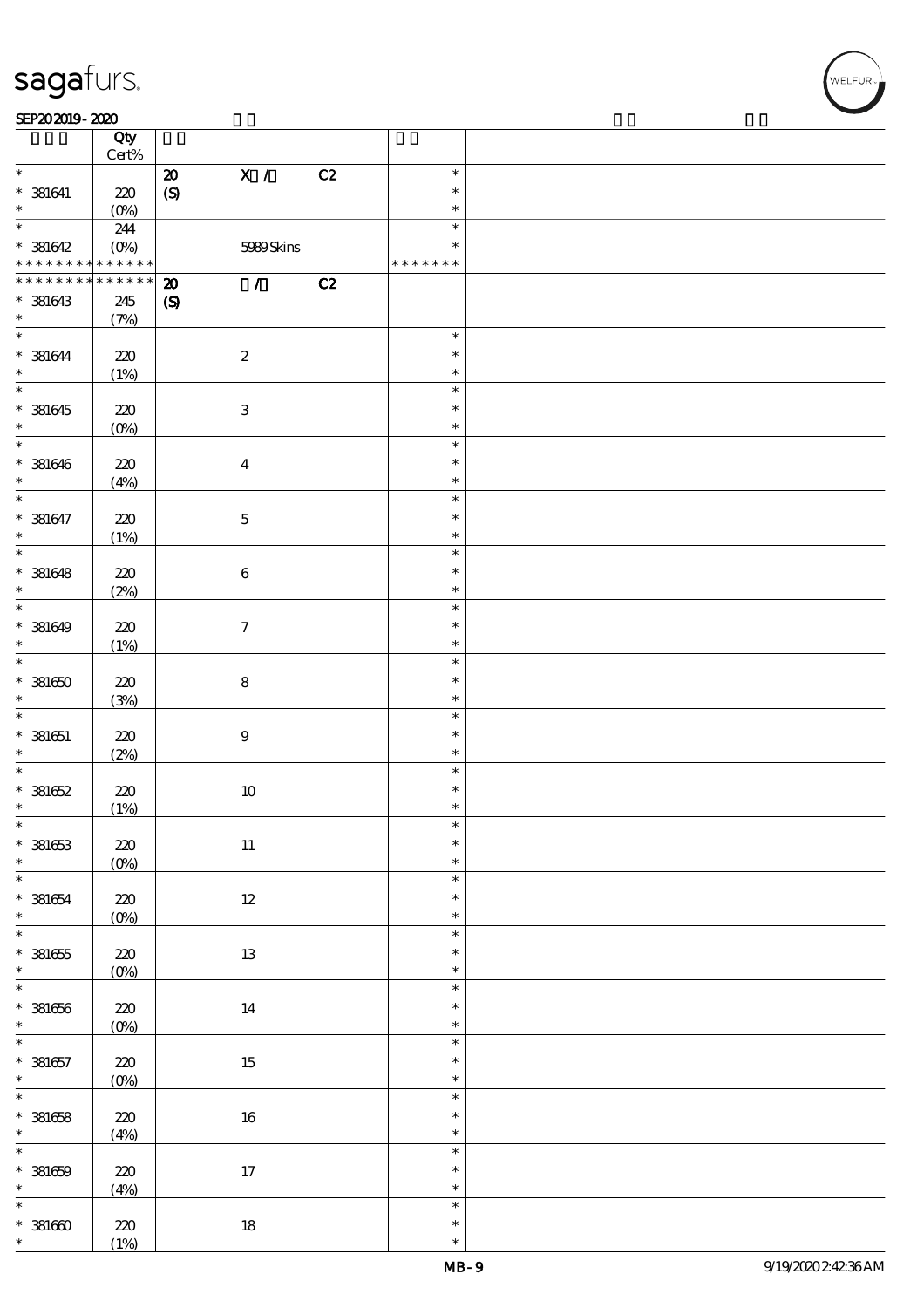### SEP202019-2020

|                   | Qty<br>$\mbox{Cert}\%$ |                                            |    |               |  |
|-------------------|------------------------|--------------------------------------------|----|---------------|--|
| $\ast$            |                        | X /                                        | C2 | $\ast$        |  |
|                   |                        | $\boldsymbol{\mathsf{20}}$                 |    |               |  |
| $*$ 381641        | 220                    | $\pmb{\text{(S)}}$                         |    | $\ast$        |  |
| $\ast$            | (0%)                   |                                            |    | $\ast$        |  |
| $\overline{\ast}$ | 244                    |                                            |    | $\ast$        |  |
| $* 381642$        | $(0\%)$                | 5989Skins                                  |    | $\ast$        |  |
|                   | * * * * * *            |                                            |    |               |  |
| * * * * * * * *   |                        |                                            |    | * * * * * * * |  |
| * * * * * * * *   | * * * * * *            | $\mathcal{L}$<br>$\boldsymbol{\mathbf{z}}$ | C2 |               |  |
| $* 381643$        | 245                    | $\boldsymbol{\mathcal{S}}$                 |    |               |  |
| $\ast$            | (7%)                   |                                            |    |               |  |
| $\ast$            |                        |                                            |    | $\ast$        |  |
|                   |                        |                                            |    |               |  |
| $* 381644$        | 220                    | $\boldsymbol{2}$                           |    | $\ast$        |  |
| $\ast$            | (1%)                   |                                            |    | $\ast$        |  |
| $\overline{\ast}$ |                        |                                            |    | $\ast$        |  |
| $* 381645$        | 220                    | $\ensuremath{\mathbf{3}}$                  |    | $\ast$        |  |
| $\ast$            | $(O\%)$                |                                            |    | $\ast$        |  |
| $*$               |                        |                                            |    | $\ast$        |  |
|                   |                        |                                            |    |               |  |
| $* 381646$        | 220                    | $\boldsymbol{4}$                           |    | $\ast$        |  |
| $\ast$            | (4%)                   |                                            |    | $\ast$        |  |
| $\overline{\ast}$ |                        |                                            |    | $\ast$        |  |
| $* 381647$        | 220                    | $\bf 5$                                    |    | $\ast$        |  |
| $\ast$            |                        |                                            |    | $\ast$        |  |
| $\overline{\ast}$ | (1%)                   |                                            |    |               |  |
|                   |                        |                                            |    | $\ast$        |  |
| $* 381648$        | 220                    | $\bf 6$                                    |    | $\ast$        |  |
| $\ast$            | (2%)                   |                                            |    | $\ast$        |  |
| $\overline{\ast}$ |                        |                                            |    | $\ast$        |  |
| $* 381649$        | 220                    | $\boldsymbol{\tau}$                        |    | $\ast$        |  |
| $\ast$            |                        |                                            |    | $\ast$        |  |
|                   | (1%)                   |                                            |    |               |  |
| $\overline{\ast}$ |                        |                                            |    | $\ast$        |  |
| $*381650$         | 220                    | ${\bf 8}$                                  |    | $\ast$        |  |
| $\ast$            | (3%)                   |                                            |    | $\ast$        |  |
| $\ast$            |                        |                                            |    | $\ast$        |  |
| $* 381651$        | 220                    | $\boldsymbol{9}$                           |    | $\ast$        |  |
| $\ast$            | (2%)                   |                                            |    | $\ast$        |  |
| $\ast$            |                        |                                            |    | $\ast$        |  |
|                   |                        |                                            |    |               |  |
| $* 381652$        | 220                    | $10\,$                                     |    | $\ast$        |  |
| $\ast$            | (1%)                   |                                            |    | $\ast$        |  |
| $\ast$            |                        |                                            |    | $\ast$        |  |
| $* 381653$        | $220\,$                | $11\,$                                     |    | $\ast$        |  |
| $\ast$            | $(0\%)$                |                                            |    | $\ast$        |  |
| $\overline{\ast}$ |                        |                                            |    | $\ast$        |  |
|                   |                        |                                            |    |               |  |
| $* 381654$        | 220                    | $12\,$                                     |    | $\ast$        |  |
| $\ast$            | $(0\%)$                |                                            |    | $\ast$        |  |
| $\overline{\ast}$ |                        |                                            |    | $\ast$        |  |
| $* 381655$        | 220                    | $13\,$                                     |    | $\ast$        |  |
| $\ast$            | $(0\%)$                |                                            |    | $\ast$        |  |
| $\overline{\ast}$ |                        |                                            |    | $\ast$        |  |
|                   |                        |                                            |    |               |  |
| $* 381656$        | $220\,$                | 14                                         |    | $\ast$        |  |
| $\ast$            | $(0\%)$                |                                            |    | $\ast$        |  |
| $\overline{\ast}$ |                        |                                            |    | $\ast$        |  |
| $* 381657$        | $220$                  | $15\,$                                     |    | $\ast$        |  |
| $\ast$            | $(0\%)$                |                                            |    | $\ast$        |  |
| $\overline{\ast}$ |                        |                                            |    | $\ast$        |  |
|                   |                        |                                            |    | $\ast$        |  |
| $* 381658$        | $220$                  | $16\,$                                     |    |               |  |
| $\ast$            | (4%)                   |                                            |    | $\ast$        |  |
| $\ast$            |                        |                                            |    | $\ast$        |  |
| $* 381659$        | $220$                  | $17\,$                                     |    | $\ast$        |  |
| $\ast$            | (4%)                   |                                            |    | $\ast$        |  |
| $\ast$            |                        |                                            |    | $\ast$        |  |
| $*38000$          | 220                    | $18\,$                                     |    | $\ast$        |  |
| $\ast$            |                        |                                            |    | $\ast$        |  |
|                   | (1%)                   |                                            |    |               |  |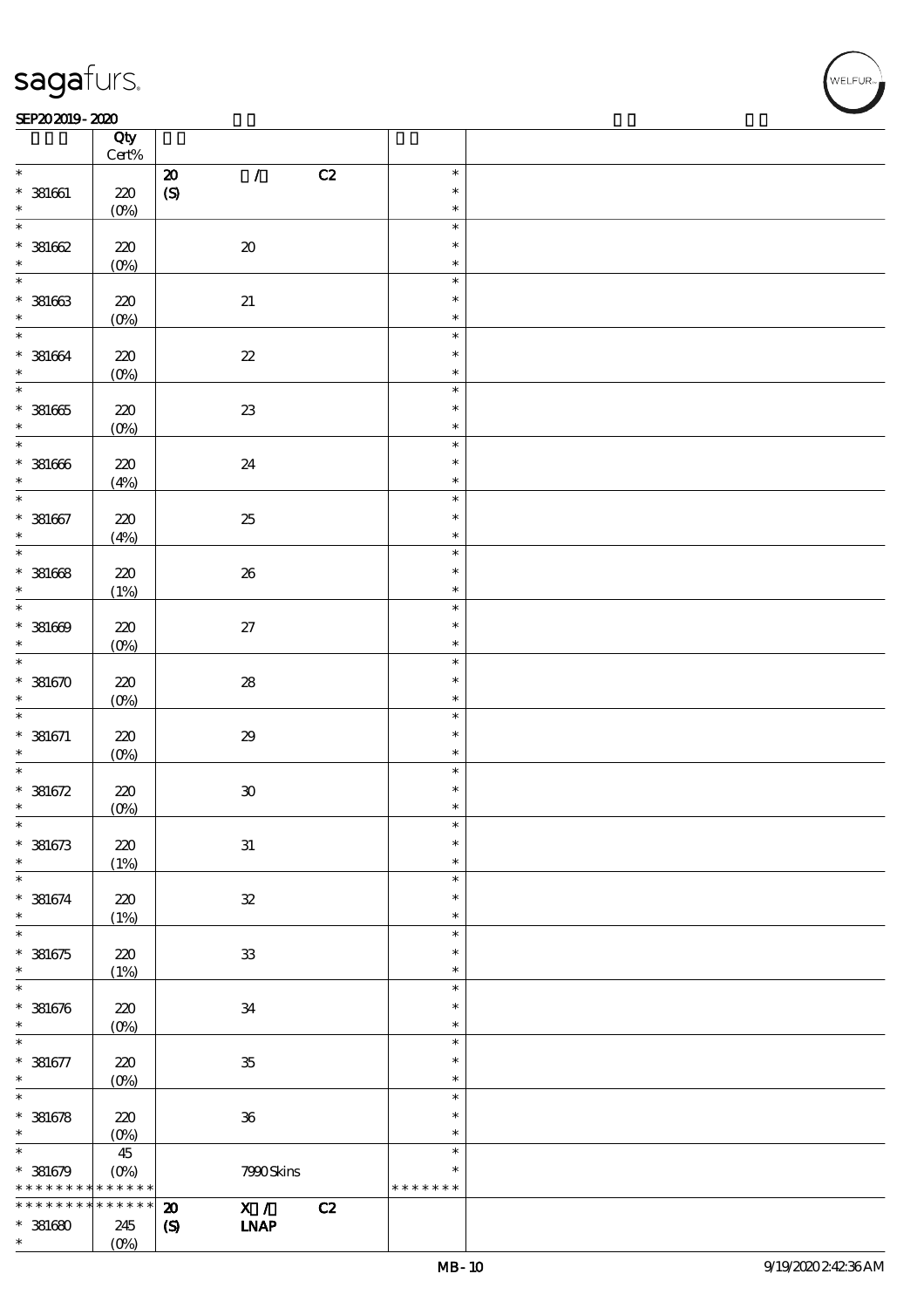### SEP202019-2020 REVENUES AND REVENUES AND RELEASED FOR DEVELOPMENT OF THE SEP

|                             | $Qty$<br>Cert%             |                                         |                  |  |
|-----------------------------|----------------------------|-----------------------------------------|------------------|--|
| $\ast$                      |                            | $\mathcal{L}$<br>C2<br>${\bf Z}$        | $\ast$           |  |
| $* 381661$                  | 220                        | $\pmb{\text{(S)}}$                      | $\ast$           |  |
| $\ast$                      | (0%)                       |                                         | $\ast$           |  |
| $\ast$                      |                            |                                         | $\ast$           |  |
| $*381662$                   | $220\,$                    | $\pmb{\mathcal{X}}$                     | $\ast$           |  |
| $\ast$                      | $(0\%)$                    |                                         | $\ast$           |  |
| $\overline{\phantom{0}}$    |                            |                                         | $\ast$           |  |
| $* 381663$                  | 220                        | $2\!1$                                  | $\ast$           |  |
| $\ast$                      | $(0\%)$                    |                                         | $\ast$           |  |
|                             |                            |                                         | $\ast$           |  |
| $* 381664$                  | $220\,$                    | $2\!2$                                  | $\ast$           |  |
| $\ast$                      | $(0\%)$                    |                                         | $\ast$           |  |
|                             |                            |                                         | $\ast$           |  |
| $* 381665$                  | $220\,$                    | ${\bf Z}$                               | $\ast$           |  |
| $*$                         | $(0\%)$                    |                                         | $\ast$           |  |
| $\overline{\phantom{0}}$    |                            |                                         | $\ast$           |  |
| $* 381666$                  | 220                        | 24                                      | $\ast$           |  |
| $\ast$                      | (4%)                       |                                         | $\ast$           |  |
| $\overline{\ast}$           |                            |                                         | $\ast$           |  |
| $* 381667$                  | 220                        | $25\,$                                  | $\ast$           |  |
| $\ast$                      | (4%)                       |                                         | $\ast$           |  |
| $\overline{\phantom{0}}$    |                            |                                         | $\ast$           |  |
| $* 381668$                  | 220                        | ${\bf 26}$                              | $\ast$           |  |
| $\ast$<br>$\overline{\ast}$ | (1%)                       |                                         | $\ast$           |  |
|                             |                            |                                         | $\ast$           |  |
| $* 381609$<br>$\ast$        | 220                        | $27\,$                                  | $\ast$<br>$\ast$ |  |
|                             | $(0\%)$                    |                                         | $\ast$           |  |
| $* 381670$                  |                            |                                         | $\ast$           |  |
| $\ast$                      | 220                        | ${\bf 28}$                              | $\ast$           |  |
| $\ast$                      | $(0\%)$                    |                                         | $\ast$           |  |
| $* 381671$                  | 220                        | $2\!9$                                  | $\ast$           |  |
| $\ast$                      | $(0\%)$                    |                                         | $\ast$           |  |
| $\ast$                      |                            |                                         | $\ast$           |  |
| $* 381672$                  | $220\,$                    | $\pmb{\mathfrak{V}}$                    | $\ast$           |  |
| $\ast$                      | (0%)                       |                                         | $\ast$           |  |
| $\ast$                      |                            |                                         | $\ast$           |  |
| $* 381673$                  | $220\,$                    | ${\bf 31}$                              | $\ast$           |  |
| $\ast$                      | (1%)                       |                                         | $\ast$           |  |
| $\ast$                      |                            |                                         | $\ast$           |  |
| $* 381674$                  | 220                        | ${\bf 3\!}$                             | $\ast$           |  |
| $\ast$                      | (1%)                       |                                         | $\ast$           |  |
| $\overline{\ast}$           |                            |                                         | $\ast$           |  |
| $* 381675$                  | 220                        | ${\bf 3}$                               | $\ast$           |  |
| $\ast$                      | (1%)                       |                                         | $\ast$           |  |
| $\ast$                      |                            |                                         | $\ast$           |  |
| $* 381676$                  | 220                        | 34                                      | $\ast$           |  |
| $\ast$                      | $(O\%)$                    |                                         | $\ast$           |  |
| $\ast$                      |                            |                                         | $\ast$<br>$\ast$ |  |
| $* 381677$<br>$\ast$        | 220                        | ${\bf 35}$                              | $\ast$           |  |
| $\overline{\ast}$           | $(0\%)$                    |                                         | $\ast$           |  |
| $* 381678$                  | 220                        | ${\bf 36}$                              | $\ast$           |  |
| $\ast$                      | $(O\%)$                    |                                         | $\ast$           |  |
| $\ast$                      | 45                         |                                         | $\ast$           |  |
| $* 381679$                  | $(0\%)$                    | 7990Skins                               | $\ast$           |  |
| * * * * * * * *             | $\ast\ast\ast\ast\ast\ast$ |                                         | * * * * * * *    |  |
| * * * * * * *               | * * * * * *                | X /<br>C2<br>$\boldsymbol{\mathsf{20}}$ |                  |  |
| $*381680$                   | 245                        | <b>INAP</b><br>$\pmb{\mathcal{S}}$      |                  |  |
| $\ast$                      | (0%)                       |                                         |                  |  |
|                             |                            |                                         |                  |  |

.<br>NELFUR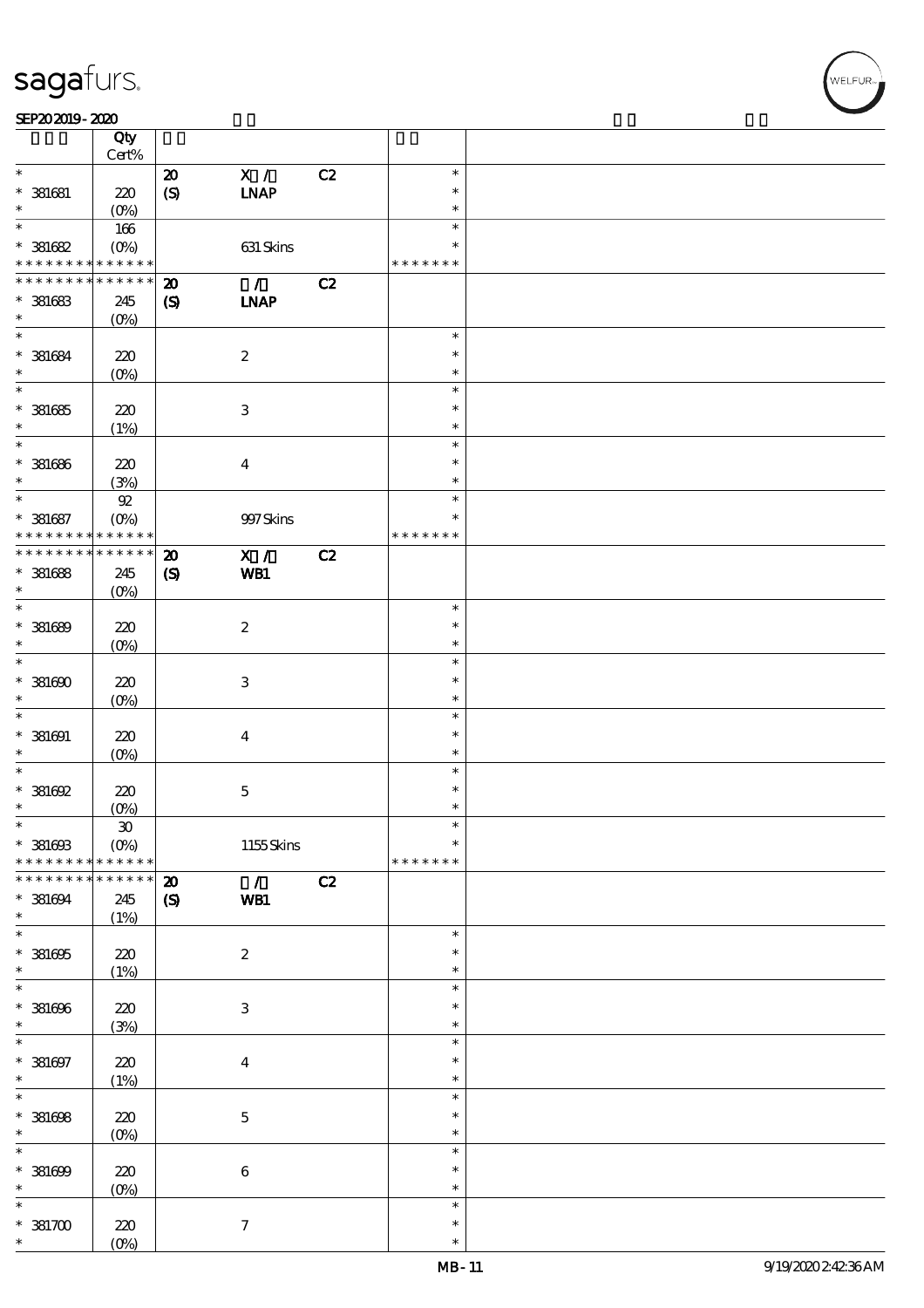| SEP202019-2020 |  |
|----------------|--|
|----------------|--|

|                                            | Qty<br>$Cert\%$ |                             |                  |    |               |  |
|--------------------------------------------|-----------------|-----------------------------|------------------|----|---------------|--|
|                                            |                 |                             |                  |    |               |  |
| $\ast$                                     |                 | $\boldsymbol{\mathfrak{D}}$ | X /              | C2 | $\ast$        |  |
| $*$ 381681                                 | 220             | $\boldsymbol{S}$            | <b>INAP</b>      |    | $\ast$        |  |
| $\ast$                                     | $(0\%)$         |                             |                  |    | $\ast$        |  |
| $\ast$                                     | 166             |                             |                  |    | $\ast$        |  |
| $^\ast$ 381682                             | $(O\%)$         |                             | 631 Skins        |    | $\ast$        |  |
| * * * * * * * * <mark>* * * * * * *</mark> |                 |                             |                  |    | * * * * * * * |  |
| * * * * * * * *                            | * * * * * *     | $\boldsymbol{\mathbf{z}}$   | $\mathcal{L}$    | C2 |               |  |
| $* 381683$                                 | 245             | $\boldsymbol{\mathcal{S}}$  | <b>INAP</b>      |    |               |  |
| $\ast$                                     |                 |                             |                  |    |               |  |
| $\ast$                                     | $(O\%)$         |                             |                  |    | $\ast$        |  |
|                                            |                 |                             |                  |    |               |  |
| $* 381684$                                 | 220             |                             | $\boldsymbol{2}$ |    | $\ast$        |  |
| $\ast$                                     | $(O\%)$         |                             |                  |    | $\ast$        |  |
| $\overline{\ast}$                          |                 |                             |                  |    | $\ast$        |  |
| $*$ 381685                                 | 220             |                             | $\,3$            |    | $\ast$        |  |
| $\ast$                                     | (1%)            |                             |                  |    | $\ast$        |  |
| $\ast$                                     |                 |                             |                  |    | $\ast$        |  |
| $^\ast$ 381686                             | 220             |                             | $\boldsymbol{4}$ |    | $\ast$        |  |
| $\ast$                                     | (3%)            |                             |                  |    | $\ast$        |  |
| $\ast$                                     | ${\mathfrak A}$ |                             |                  |    | $\ast$        |  |
| $* 381687$                                 | $(O\%)$         |                             | 997 Skins        |    | $\ast$        |  |
| * * * * * * * *                            | * * * * * *     |                             |                  |    | * * * * * * * |  |
| * * * * * * * *                            | * * * * * *     | $\boldsymbol{\mathbf{z}}$   | X /              | C2 |               |  |
|                                            |                 |                             |                  |    |               |  |
| $*$ 381688<br>$\ast$                       | 245             | $\boldsymbol{S}$            | WB1              |    |               |  |
| $\ast$                                     | $(0\%)$         |                             |                  |    |               |  |
|                                            |                 |                             |                  |    | $\ast$        |  |
| $* 381689$                                 | 220             |                             | $\boldsymbol{2}$ |    | $\ast$        |  |
| $\ast$                                     | $(O\%)$         |                             |                  |    | $\ast$        |  |
| $\ast$                                     |                 |                             |                  |    | $\ast$        |  |
| $*381600$                                  | 220             |                             | $\,3$            |    | $\ast$        |  |
| $\ast$                                     | $(0\%)$         |                             |                  |    | $\ast$        |  |
| $\ast$                                     |                 |                             |                  |    | $\ast$        |  |
| $*$ 381691                                 | 220             |                             | $\boldsymbol{4}$ |    | $\ast$        |  |
| $\ast$                                     | $(0\%)$         |                             |                  |    | $\ast$        |  |
| $\ast$                                     |                 |                             |                  |    | $\ast$        |  |
| $^*$ 381692                                | 220             |                             | $\mathbf 5$      |    | $\ast$        |  |
| $\ast$                                     | $(0\%)$         |                             |                  |    | $\ast$        |  |
| $\ast$                                     | $\mathbf{30}$   |                             |                  |    | $\ast$        |  |
| $^\ast$ 381603                             | $(O\%)$         |                             | $1155$ Skins     |    | $\ast$        |  |
| * * * * * * * *                            | * * * * * *     |                             |                  |    | * * * * * * * |  |
|                                            |                 |                             |                  |    |               |  |
| * * * * * * *                              | * * * * * *     | ${\bf Z}$                   | $\mathcal{L}$    | C2 |               |  |
| $* 381694$                                 | 245             | $\boldsymbol{\mathcal{S}}$  | WB1              |    |               |  |
| $\ast$                                     | (1%)            |                             |                  |    |               |  |
| $\overline{\ast}$                          |                 |                             |                  |    | $\ast$        |  |
| $^\ast$ 381695                             | 220             |                             | $\boldsymbol{2}$ |    | $\ast$        |  |
| $\ast$                                     | (1%)            |                             |                  |    | $\ast$        |  |
| $\ast$                                     |                 |                             |                  |    | $\ast$        |  |
| $* 381696$                                 | $220\,$         |                             | $\,3$            |    | $\ast$        |  |
| $\ast$                                     | (3%)            |                             |                  |    | $\ast$        |  |
| $\ast$                                     |                 |                             |                  |    | $\ast$        |  |
| $* 381697$                                 | $220\,$         |                             | $\boldsymbol{4}$ |    | $\ast$        |  |
| $\ast$                                     | (1%)            |                             |                  |    | $\ast$        |  |
| $\overline{\ast}$                          |                 |                             |                  |    | $\ast$        |  |
| $* 381608$                                 | $220\,$         |                             | $\bf 5$          |    | $\ast$        |  |
| $\ast$                                     | $(0\%)$         |                             |                  |    | $\ast$        |  |
| $\ast$                                     |                 |                             |                  |    | $\ast$        |  |
| $* 381609$                                 | 220             |                             | $\,6\,$          |    | $\ast$        |  |
| $\ast$                                     | $(0\%)$         |                             |                  |    | $\ast$        |  |
| $\ast$                                     |                 |                             |                  |    | $\ast$        |  |
| $*381700$                                  |                 |                             |                  |    | $\ast$        |  |
| $\ast$                                     | 220<br>$(O\%)$  |                             | $\boldsymbol{7}$ |    | $\ast$        |  |
|                                            |                 |                             |                  |    |               |  |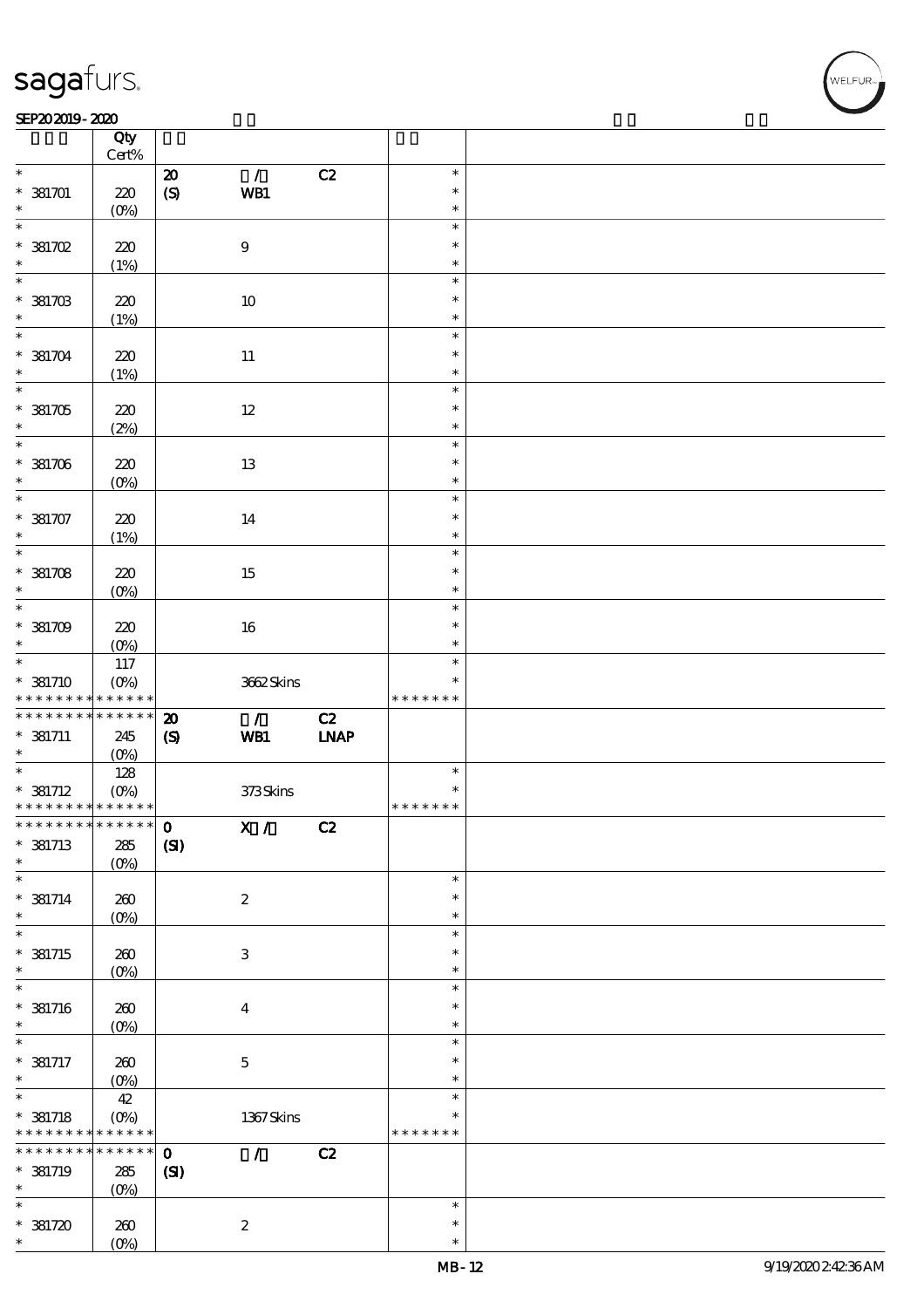### SEP202019-2020

|                                            | Qty<br>Cert%       |                             |                           |        |               |  |
|--------------------------------------------|--------------------|-----------------------------|---------------------------|--------|---------------|--|
| $\ast$                                     |                    | $\pmb{\mathcal{D}}$         | $\mathcal{L}$             | C2     | $\ast$        |  |
|                                            |                    |                             |                           |        |               |  |
| $*381701$                                  | 220                | $\boldsymbol{S}$            | WB1                       |        | $\ast$        |  |
| $\ast$                                     | $(O\%)$            |                             |                           |        | $\ast$        |  |
| $\overline{\ast}$                          |                    |                             |                           |        | $\ast$        |  |
| $*381702$                                  | 220                |                             | $\boldsymbol{9}$          |        | $\ast$        |  |
| $\ast$                                     |                    |                             |                           |        | $\ast$        |  |
|                                            | (1%)               |                             |                           |        |               |  |
|                                            |                    |                             |                           |        | $\ast$        |  |
| $*381703$                                  | 220                |                             | $10\,$                    |        | $\ast$        |  |
| $\ast$                                     | (1%)               |                             |                           |        | $\ast$        |  |
| $\overline{\ast}$                          |                    |                             |                           |        | $\ast$        |  |
|                                            |                    |                             |                           |        | $\ast$        |  |
| $*381704$                                  | 220                |                             | $11\,$                    |        |               |  |
| $\ast$                                     | (1%)               |                             |                           |        | $\ast$        |  |
|                                            |                    |                             |                           |        | $\ast$        |  |
| $*381705$                                  | 220                |                             | $12\,$                    |        | $\ast$        |  |
| $\ast$                                     | (2%)               |                             |                           |        | $\ast$        |  |
| $*$                                        |                    |                             |                           |        | $\ast$        |  |
|                                            |                    |                             |                           |        |               |  |
| $*381706$                                  | 220                |                             | 13                        |        | $\ast$        |  |
| $\ast$                                     | $(O\!/\!\!\delta)$ |                             |                           |        | $\ast$        |  |
| $\overline{\ast}$                          |                    |                             |                           |        | $\ast$        |  |
| $*381707$                                  | 220                |                             | 14                        |        | $\ast$        |  |
| $\ast$                                     | (1%)               |                             |                           |        | $\ast$        |  |
| $\overline{\ast}$                          |                    |                             |                           |        | $\ast$        |  |
|                                            |                    |                             |                           |        |               |  |
| $*381708$                                  | 220                |                             | 15                        |        | $\ast$        |  |
| $\ast$                                     | $(O\%)$            |                             |                           |        | $\ast$        |  |
|                                            |                    |                             |                           |        | $\ast$        |  |
| $*381709$                                  | 220                |                             | 16                        |        | $\ast$        |  |
| $\ast$                                     | $(O\%)$            |                             |                           |        | $\ast$        |  |
| $*$                                        |                    |                             |                           |        | $\ast$        |  |
|                                            | 117                |                             |                           |        |               |  |
| $*$ 381710                                 | $(O\%)$            |                             | 362Skins                  |        | $\ast$        |  |
| * * * * * * * * <mark>*</mark>             | $******$           |                             |                           |        | * * * * * * * |  |
| * * * * * * * *                            | $* * * * * * *$    | $\boldsymbol{\mathbf{z}}$   | $\mathcal{L}$             | C2     |               |  |
| $*$ 381711                                 | 245                | $\boldsymbol{\mathrm{(S)}}$ | WB1                       | $IMAP$ |               |  |
| $\ast$                                     | $(O\%)$            |                             |                           |        |               |  |
| $\overline{\phantom{0}}$                   |                    |                             |                           |        | $\ast$        |  |
|                                            | 128                |                             |                           |        |               |  |
| $* 381712$                                 | $(O\%)$            |                             | 373Skins                  |        | $\ast$        |  |
| * * * * * * * * <mark>* * * * * * *</mark> |                    |                             |                           |        | * * * * * * * |  |
|                                            |                    |                             | X /                       | C2     |               |  |
| $* 381713$                                 | $285\,$            | (S)                         |                           |        |               |  |
| $\ast$                                     | $(O\%)$            |                             |                           |        |               |  |
| $\ast$                                     |                    |                             |                           |        | $\ast$        |  |
|                                            |                    |                             |                           |        | $\ast$        |  |
| $* 381714$                                 | 260                |                             | $\boldsymbol{2}$          |        |               |  |
| $\ast$                                     | (O <sub>0</sub> )  |                             |                           |        | $\ast$        |  |
| $\ast$                                     |                    |                             |                           |        | $\ast$        |  |
| $*$ 381715                                 | $200$              |                             | $\ensuremath{\mathbf{3}}$ |        | $\ast$        |  |
| $\ast$                                     | $(O\!/\!\!\delta)$ |                             |                           |        | $\ast$        |  |
| $\ast$                                     |                    |                             |                           |        | $\ast$        |  |
|                                            |                    |                             |                           |        |               |  |
| $*$ 381716                                 | 260                |                             | $\boldsymbol{4}$          |        | $\ast$        |  |
| $\ast$                                     | $(0\%)$            |                             |                           |        | $\ast$        |  |
| $\ast$                                     |                    |                             |                           |        | $\ast$        |  |
| $* 381717$                                 | 260                |                             | $\bf 5$                   |        | $\ast$        |  |
| $\ast$                                     | $(0\%)$            |                             |                           |        | $\ast$        |  |
| $\overline{\ast}$                          |                    |                             |                           |        | $\ast$        |  |
|                                            | 42                 |                             |                           |        |               |  |
| $* 381718$                                 | $(O\!/\!o)$        |                             | 1367Skins                 |        | $\ast$        |  |
| * * * * * * * *                            | * * * * * *        |                             |                           |        | * * * * * * * |  |
| * * * * * * * *                            | $* * * * * * *$    | $\mathbf 0$                 | $\mathcal{L}$             | C2     |               |  |
| $*$ 381719                                 | $285\,$            | (SI)                        |                           |        |               |  |
| $\ast$                                     | $(O\%)$            |                             |                           |        |               |  |
| $\ast$                                     |                    |                             |                           |        | $\ast$        |  |
|                                            |                    |                             |                           |        |               |  |
| $*381720$                                  | 260                |                             | $\boldsymbol{2}$          |        | $\ast$        |  |
| $\ast$                                     | (O <sub>0</sub> )  |                             |                           |        | $\ast$        |  |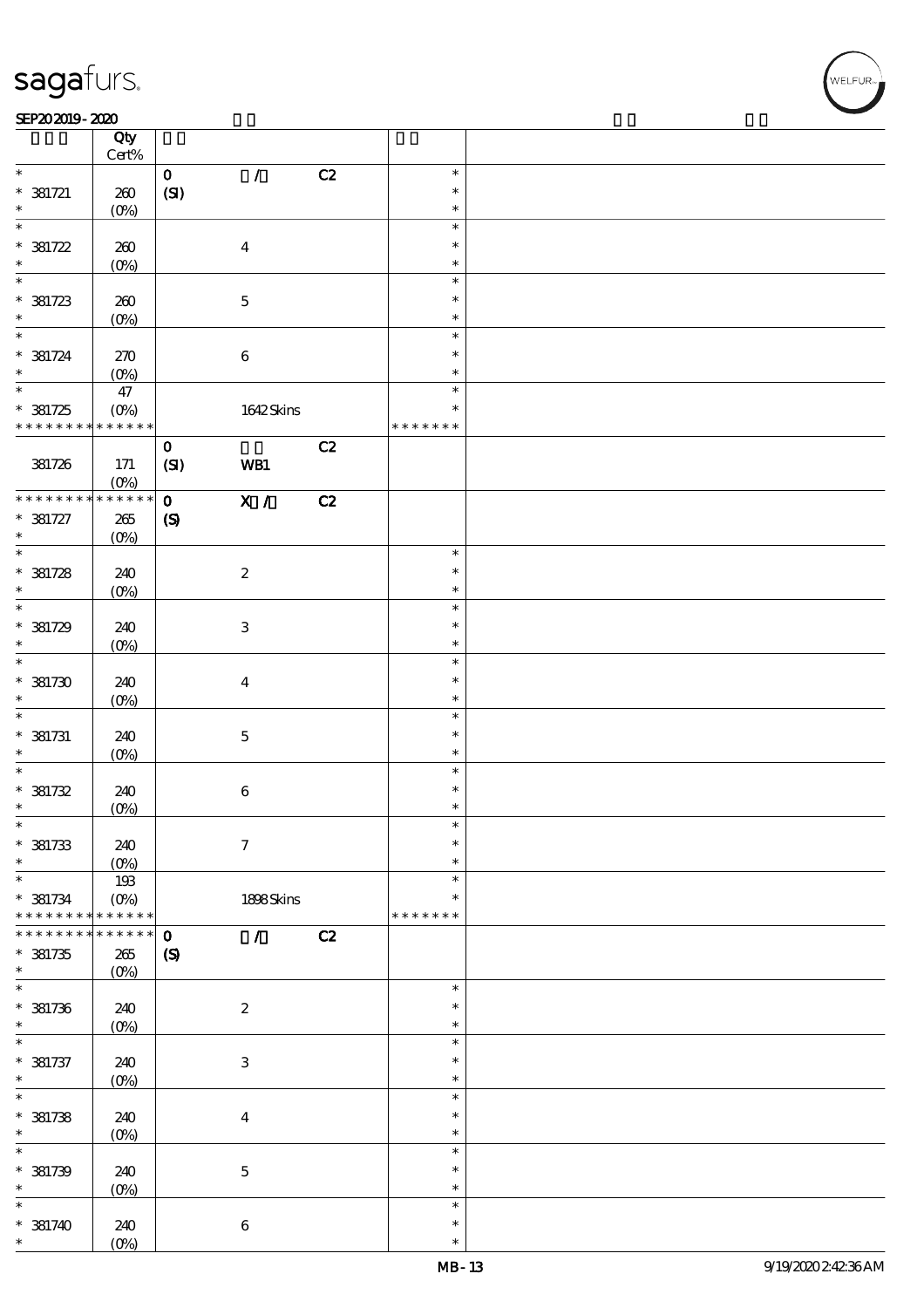### SEP202019-2020

|                          | Qty<br>$Cert\%$            |                             |                           |    |                  |  |
|--------------------------|----------------------------|-----------------------------|---------------------------|----|------------------|--|
| $\ast$                   |                            |                             |                           |    | $\ast$           |  |
| $* 381721$               | 260                        | $\mathbf{o}$<br>(SI)        | $\mathcal{L}$             | C2 | $\ast$           |  |
| $\ast$                   | $(0\%)$                    |                             |                           |    | $\ast$           |  |
| $\ast$                   |                            |                             |                           |    | $\ast$<br>$\ast$ |  |
| $*381722$<br>$\ast$      | 260<br>$(0\%)$             |                             | $\boldsymbol{4}$          |    | $\ast$           |  |
| $\overline{\ast}$        |                            |                             |                           |    | $\ast$           |  |
| $*381723$                | 260                        |                             | $\mathbf 5$               |    | $\ast$           |  |
| $\ast$                   | $(0\%)$                    |                             |                           |    | $\ast$           |  |
| $* 381724$               | 270                        |                             |                           |    | $\ast$<br>$\ast$ |  |
| $\ast$                   | $(0\%)$                    |                             | $\bf 6$                   |    | $\ast$           |  |
| $\overline{\ast}$        | 47                         |                             |                           |    | $\ast$           |  |
| $*381725$                | $(O\%)$                    |                             | 1642Skins                 |    | $\ast$           |  |
| * * * * * * * *          | $\ast\ast\ast\ast\ast\ast$ |                             |                           |    | * * * * * * *    |  |
| 381726                   | $171$                      | $\mathbf 0$<br>(SI)         | WB1                       | C2 |                  |  |
| * * * * * * * *          | $(O\%)$<br>$******$        | $\mathbf{o}$                | $\overline{X}$ /          | C2 |                  |  |
| $* 381727$               | $265\,$                    | $\pmb{\infty}$              |                           |    |                  |  |
| $\ast$                   | $(0\%)$                    |                             |                           |    |                  |  |
| $\overline{\phantom{0}}$ |                            |                             |                           |    | $\ast$           |  |
| $* 381728$<br>$\ast$     | 240                        |                             | $\boldsymbol{z}$          |    | $\ast$<br>$\ast$ |  |
| $\overline{\phantom{0}}$ | (0%)                       |                             |                           |    | $\ast$           |  |
| $* 381729$               | 240                        |                             | $\ensuremath{\mathsf{3}}$ |    | $\ast$           |  |
| $\ast$                   | $(0\%)$                    |                             |                           |    | $\ast$           |  |
| $\overline{\ast}$        |                            |                             |                           |    | $\ast$           |  |
| $*381730$<br>$\ast$      | 240                        |                             | $\bf{4}$                  |    | $\ast$<br>$\ast$ |  |
| $\ast$                   | $(O\%)$                    |                             |                           |    | $\ast$           |  |
| $* 381731$               | 240                        |                             | $\bf 5$                   |    | $\ast$           |  |
| $\ast$                   | $(O\%)$                    |                             |                           |    | $\ast$           |  |
| $\ast$<br>* 381732       | 240                        |                             |                           |    | $\ast$<br>$\ast$ |  |
| $\ast$                   | (0%)                       |                             | $\bf 6$                   |    | $\ast$           |  |
| $\ast$                   |                            |                             |                           |    | $\ast$           |  |
| $*381733$                | 240                        |                             | $\boldsymbol{\tau}$       |    | $\ast$           |  |
| $\ast$<br>$\ast$         | $(O\%)$                    |                             |                           |    | $\ast$<br>$\ast$ |  |
| $* 381734$               | 193<br>$(O\%)$             |                             | 1898Skins                 |    | $\ast$           |  |
| * * * * * * * *          | * * * * * *                |                             |                           |    | * * * * * * *    |  |
|                          | * * * * *                  | $\mathbf{o}$                | $\mathcal{L}$             | C2 |                  |  |
| $*381735$<br>$\ast$      | $265\,$                    | $\boldsymbol{\mathrm{(S)}}$ |                           |    |                  |  |
| $\ast$                   | $(0\%)$                    |                             |                           |    | $\ast$           |  |
| $* 381736$               | 240                        |                             | $\boldsymbol{2}$          |    | $\ast$           |  |
| $\ast$                   | $(0\%)$                    |                             |                           |    | $\ast$           |  |
| $\ast$                   |                            |                             |                           |    | $\ast$           |  |
| $* 381737$<br>$\ast$     | 240<br>$(0\%)$             |                             | $\,3$                     |    | $\ast$<br>$\ast$ |  |
| $\ast$                   |                            |                             |                           |    | $\ast$           |  |
| $*381738$                | 240                        |                             | $\boldsymbol{4}$          |    | $\ast$           |  |
| $\ast$                   | $(0\%)$                    |                             |                           |    | $\ast$           |  |
| $\ast$<br>$*$ 381739     | 240                        |                             | $\mathbf 5$               |    | $\ast$<br>$\ast$ |  |
| $\ast$                   | (0%)                       |                             |                           |    | $\ast$           |  |
| $\ast$                   |                            |                             |                           |    | $\ast$           |  |
| $* 381740$               | 240                        |                             | $\bf 6$                   |    | $\ast$           |  |
| $\ast$                   | $(0\%)$                    |                             |                           |    | $\ast$           |  |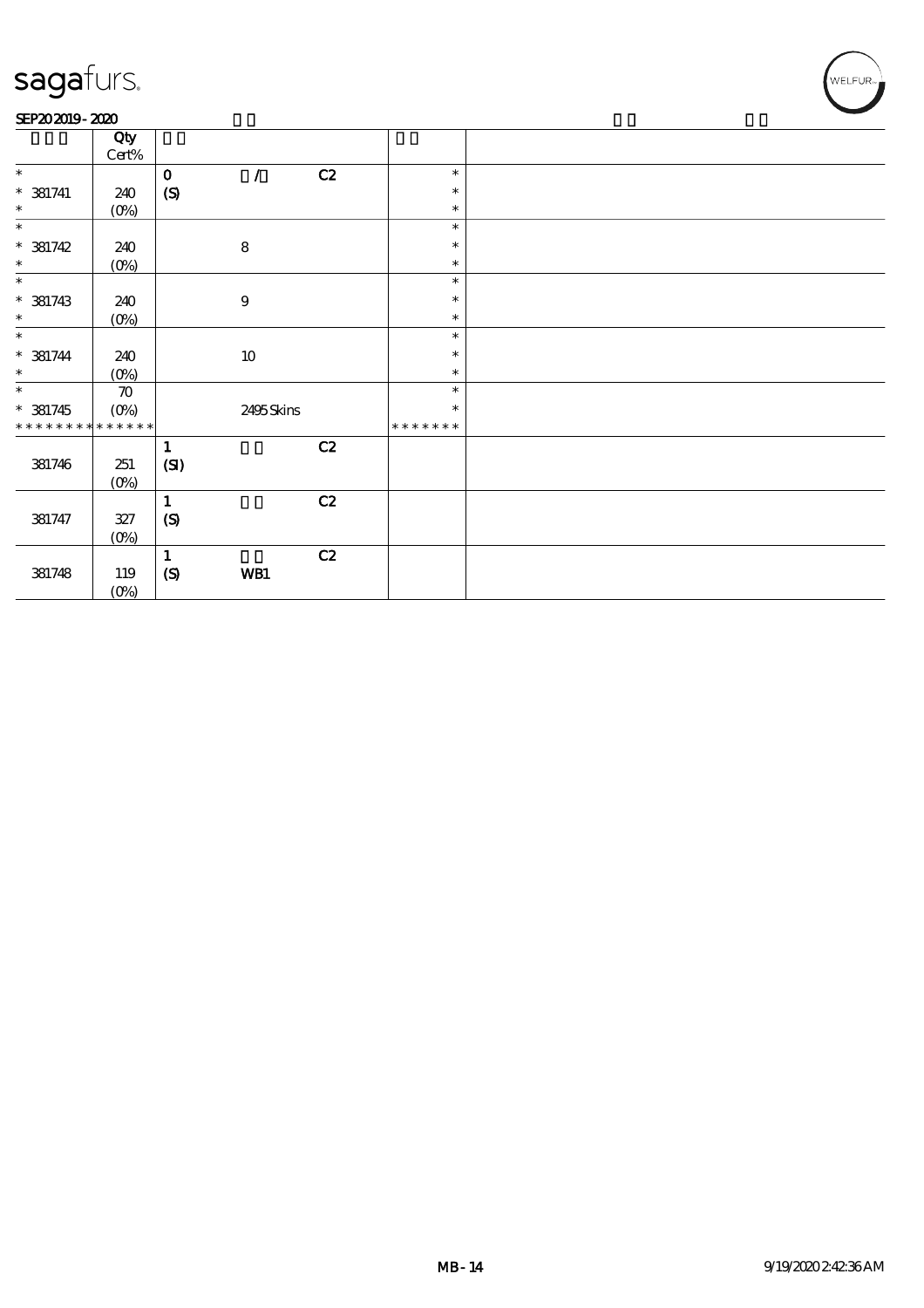### SEP202019-2020

|                             | Qty                       |              |                  |               |         |  |
|-----------------------------|---------------------------|--------------|------------------|---------------|---------|--|
|                             | $\mbox{Cert}\%$           |              |                  |               |         |  |
| $\ast$                      |                           | $\mathbf 0$  | $\prime$         | C2            | $\ast$  |  |
| $* 381741$                  | 240                       | (S)          |                  |               | $\ast$  |  |
| $\ast$                      | $(0\%)$                   |              |                  |               | $\ast$  |  |
| $\ast$                      |                           |              |                  |               | $\ast$  |  |
| $* 381742$                  | 240                       |              | ${\bf 8}$        |               | $\ast$  |  |
| $\ast$                      | $(0\%)$                   |              |                  |               | $\ast$  |  |
| $\ast$                      |                           |              |                  |               | $\ast$  |  |
|                             |                           |              |                  |               | $\ast$  |  |
| $* 381743$                  | 240                       |              | $\boldsymbol{9}$ |               |         |  |
| $\ast$                      | $(0\%)$                   |              |                  |               | $\ast$  |  |
| $\ast$                      |                           |              |                  |               | $\ast$  |  |
| $* 381744$                  | 240                       |              | $10\,$           |               | $\ast$  |  |
| $\ast$                      | $(0\%)$                   |              |                  |               | $\ast$  |  |
| $\ast$                      | $\boldsymbol{\pi}$        |              |                  |               | $\ast$  |  |
| $* 381745$                  | $(O\%)$                   |              | 2495Skins        |               | $\ast$  |  |
| * * * * * * * * * * * * * * |                           |              |                  |               | ******* |  |
|                             |                           | $\mathbf{1}$ |                  | C2            |         |  |
| 381746                      | 251                       | (SI)         |                  |               |         |  |
|                             | $(0\%)$                   |              |                  |               |         |  |
|                             |                           | $\mathbf{1}$ |                  | $\mathbf{C2}$ |         |  |
| 381747                      | $327\,$                   | (S)          |                  |               |         |  |
|                             |                           |              |                  |               |         |  |
|                             | $(0\%)$                   |              |                  |               |         |  |
|                             |                           | $\mathbf{1}$ |                  | C2            |         |  |
| 381748                      | 119                       | (S)          | WB1              |               |         |  |
|                             | $(O\!\!\!\!\!\!\!/\,\!o)$ |              |                  |               |         |  |

WELFUR<sub>m</sub>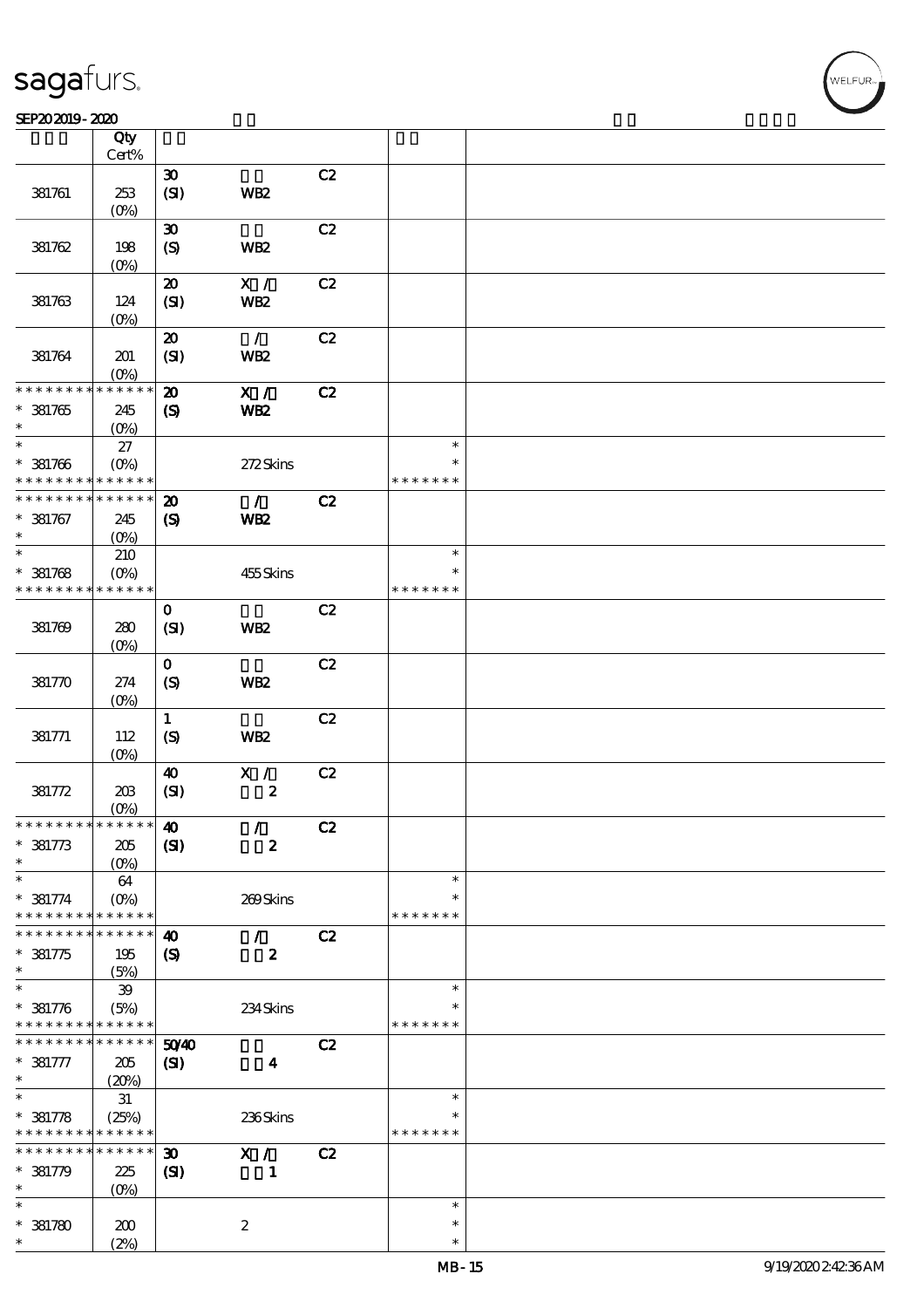### SEP202019-2020

|                               | Qty<br>Cert%      |                             |                  |    |               |  |
|-------------------------------|-------------------|-----------------------------|------------------|----|---------------|--|
|                               |                   |                             |                  |    |               |  |
|                               |                   | $\boldsymbol{\mathfrak{D}}$ |                  | C2 |               |  |
| 381761                        | 253               | (SI)                        | WB <sub>2</sub>  |    |               |  |
|                               | $(O\%)$           |                             |                  |    |               |  |
|                               |                   | $\boldsymbol{\mathfrak{D}}$ |                  | C2 |               |  |
| 381762                        | 198               | (S)                         | WB <sub>2</sub>  |    |               |  |
|                               | (O <sub>0</sub> ) |                             |                  |    |               |  |
|                               |                   | $\boldsymbol{\mathfrak{D}}$ | $\mathbf{X}$ /   | C2 |               |  |
| 381763                        | 124               | (SI)                        | <b>WB2</b>       |    |               |  |
|                               | (O <sub>0</sub> ) |                             |                  |    |               |  |
|                               |                   | $\boldsymbol{\mathfrak{D}}$ | $\mathcal{L}$    | C2 |               |  |
| 381764                        | 201               | (SI)                        | WB <sub>2</sub>  |    |               |  |
|                               | (O <sub>0</sub> ) |                             |                  |    |               |  |
| * * * * * * *                 | * * * * * *       | $\boldsymbol{\mathfrak{D}}$ | X /              | C2 |               |  |
| * 381765                      | 245               | $\boldsymbol{\mathcal{S}}$  | WB <sub>2</sub>  |    |               |  |
| $\ast$                        | $(O\%)$           |                             |                  |    |               |  |
| $\ast$                        | 27                |                             |                  |    | $\ast$        |  |
| $* 381766$                    | $(O\%)$           |                             | 272Skins         |    | $\ast$        |  |
| * * * * * * * *               | * * * * * *       |                             |                  |    | * * * * * * * |  |
| * * * * * * * *               | * * * * * *       | $\boldsymbol{\mathbf{z}}$   | $\mathcal{L}$    | C2 |               |  |
| $* 381767$                    | 245               | $\boldsymbol{\mathrm{(S)}}$ | <b>WB2</b>       |    |               |  |
| $\ast$                        | (O <sub>0</sub> ) |                             |                  |    |               |  |
| $\ast$                        | 210               |                             |                  |    | $\ast$        |  |
| $* 381768$                    | $(0\%)$           |                             | 455Skins         |    | $\ast$        |  |
| * * * * * * * *               | * * * * * *       |                             |                  |    | * * * * * * * |  |
|                               |                   | $\mathbf 0$                 |                  | C2 |               |  |
| 381769                        | 280               | (SI)                        | WB <sub>2</sub>  |    |               |  |
|                               | (O <sub>0</sub> ) |                             |                  |    |               |  |
|                               |                   | $\mathbf 0$                 |                  | C2 |               |  |
| 381770                        | 274               | (S)                         | WB <sub>2</sub>  |    |               |  |
|                               | $(O\%)$           |                             |                  |    |               |  |
|                               |                   | $\mathbf{1}$                |                  | C2 |               |  |
| 381771                        | 112               | $\boldsymbol{\mathrm{(S)}}$ | WB <sub>2</sub>  |    |               |  |
|                               | $(O\%)$           |                             |                  |    |               |  |
|                               |                   | $\boldsymbol{\omega}$       | $\mathbf{X}$ /   | C2 |               |  |
| 381772                        | 203               | (SI)                        | $\pmb{2}$        |    |               |  |
|                               | (O <sub>0</sub> ) |                             |                  |    |               |  |
| * * * * * * * * * * * * * * * |                   | $\boldsymbol{\omega}$       | $\mathcal{L}$    | C2 |               |  |
| $* 381773$                    | 205               | (S)                         | $\boldsymbol{2}$ |    |               |  |
| *                             | $(0\%)$           |                             |                  |    |               |  |
| $\ast$                        | 64                |                             |                  |    | $\ast$        |  |
| $* 381774$                    | (O <sub>0</sub> ) |                             | 269Skins         |    | ∗             |  |
| * * * * * * * *               | * * * * * *       |                             |                  |    | * * * * * * * |  |
| * * * * * * *                 | * * * * * *       | $\boldsymbol{\omega}$       | $\mathcal{L}$    | C2 |               |  |
| $* 381775$                    | 195               | $\boldsymbol{\mathrm{(S)}}$ | $\boldsymbol{z}$ |    |               |  |
| $\ast$                        | (5%)              |                             |                  |    |               |  |
| $\ast$                        | 39                |                             |                  |    | $\ast$        |  |
| $* 381776$                    | (5%)              |                             | 234Skins         |    | $\ast$        |  |
| * * * * * * * *               | * * * * * *       |                             |                  |    | * * * * * * * |  |
| * * * * * * *                 | * * * * * *       | 5040                        |                  | C2 |               |  |
| $* 381777$                    | 205               | $\mathbf{C}$                | $\boldsymbol{4}$ |    |               |  |
| $\ast$                        | (20%)             |                             |                  |    |               |  |
| $\ast$                        | 31                |                             |                  |    | $\ast$        |  |
| $* 381778$                    | (25%)             |                             | 236Skins         |    |               |  |
| * * * * * * * *               | * * * * * *       |                             |                  |    | * * * * * * * |  |
| * * * * * * *                 | * * * * * *       | $\boldsymbol{\mathfrak{D}}$ | X /              | C2 |               |  |
| $* 381779$                    | 225               | $\mathbf{C}$                | $\mathbf{1}$     |    |               |  |
| $\ast$                        | $(0\%)$           |                             |                  |    |               |  |
| $\ast$                        |                   |                             |                  |    | $\ast$        |  |
| $*381780$                     | 200               |                             | $\boldsymbol{2}$ |    | $\ast$        |  |
| $\ast$                        | (2%)              |                             |                  |    | $\ast$        |  |

,<br>WELFUR: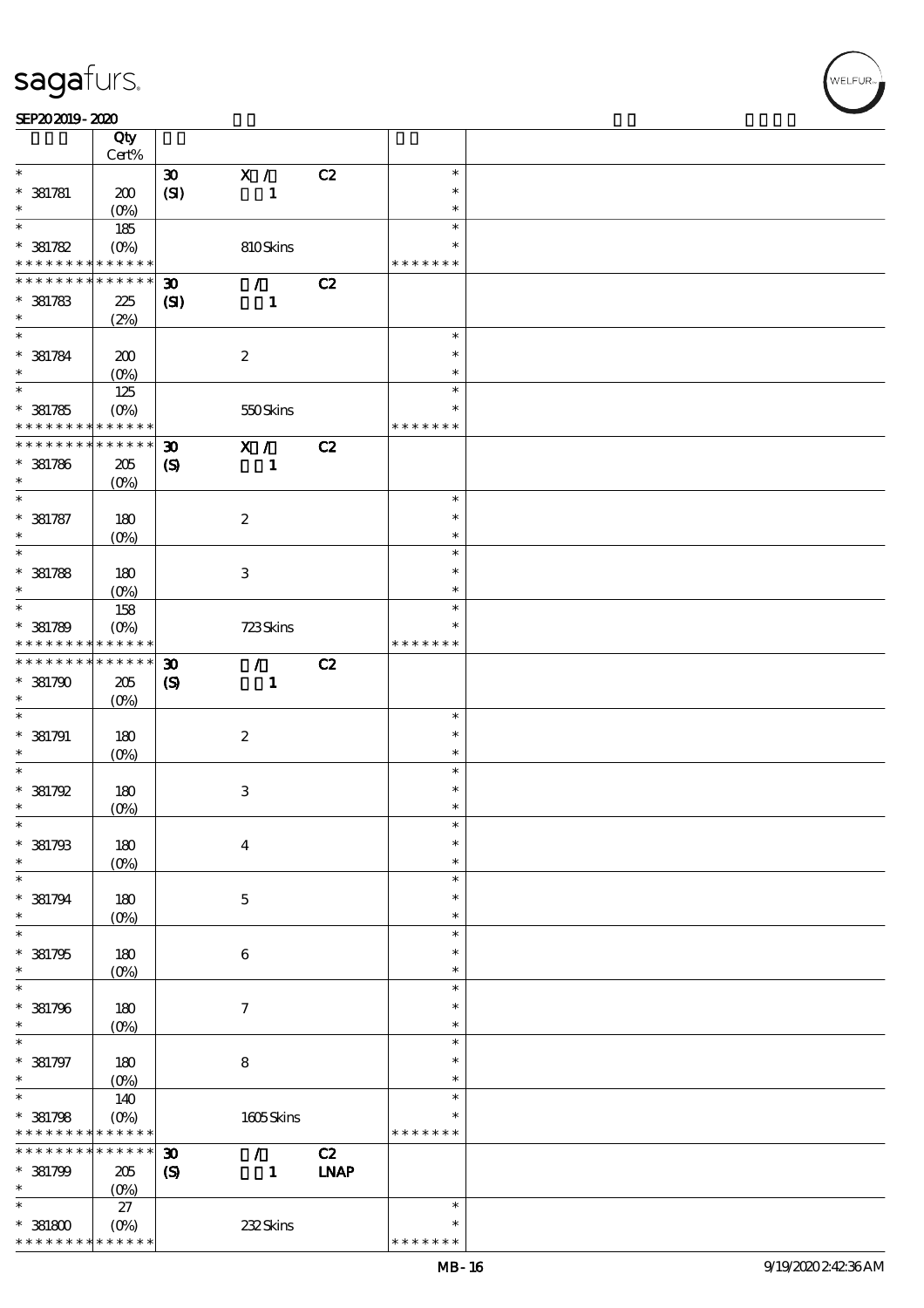### SEP202019-2020

|                     | Qty               |                             |                           |             |               |  |
|---------------------|-------------------|-----------------------------|---------------------------|-------------|---------------|--|
|                     | Cert%             |                             |                           |             |               |  |
| $\ast$              |                   | $\boldsymbol{\mathfrak{D}}$ | X /                       | C2          | $\ast$        |  |
| $* 381781$          | 200               | (SI)                        | $\mathbf{1}$              |             | $\ast$        |  |
|                     | $(O\%)$           |                             |                           |             | $\ast$        |  |
| $\ast$              | 185               |                             |                           |             | $\ast$        |  |
| $*381782$           | $(O\%)$           |                             | 810Skins                  |             | $\ast$        |  |
| * * * * * * * *     | $* * * * * * *$   |                             |                           |             | * * * * * * * |  |
| * * * * * * *       | * * * * * *       | $\boldsymbol{\mathfrak{D}}$ | $\mathcal{F}$             | C2          |               |  |
| $*381783$           | 225               | (S)                         | $\mathbf{1}$              |             |               |  |
| $\ast$              | (2%)              |                             |                           |             |               |  |
| $\overline{\ast}$   |                   |                             |                           |             | $\ast$        |  |
| $* 381784$          | 200               |                             | $\boldsymbol{2}$          |             | $\ast$        |  |
| $\ast$              | $(O\%)$           |                             |                           |             | $\ast$        |  |
| $\overline{\ast}$   | 125               |                             |                           |             | $\ast$        |  |
| $*381785$           | $(O\%)$           |                             | 550Skins                  |             | $\ast$        |  |
| * * * * * * * *     | $* * * * * * *$   |                             |                           |             | * * * * * * * |  |
| * * * * * * * *     | * * * * * *       | $\boldsymbol{\mathfrak{D}}$ | $X / \sqrt{2}$            | C2          |               |  |
| $* 381786$          | 205               | $\boldsymbol{\mathcal{S}}$  | $\mathbf{1}$              |             |               |  |
| $\ast$              | $(O\%)$           |                             |                           |             |               |  |
| $\ast$              |                   |                             |                           |             | $\ast$        |  |
| $* 381787$          | 180               |                             | $\boldsymbol{2}$          |             | $\ast$        |  |
| $\ast$              | $(O\%)$           |                             |                           |             | $\ast$        |  |
| $\ast$              |                   |                             |                           |             | $\ast$        |  |
| $* 381788$          | 180               |                             | $\ensuremath{\mathsf{3}}$ |             | $\ast$        |  |
| $\ast$              | (O <sub>0</sub> ) |                             |                           |             | $\ast$        |  |
| $\ast$              | 158               |                             |                           |             | $\ast$        |  |
| $* 381789$          | $(O\%)$           |                             | 723Skins                  |             | ∗             |  |
| * * * * * * * *     | * * * * * *       |                             |                           |             | * * * * * * * |  |
| * * * * * * * *     | * * * * * *       | $\boldsymbol{\mathfrak{D}}$ | $\mathcal{L}$             | C2          |               |  |
| $*381790$           | $205\,$           | $\boldsymbol{\mathrm{(S)}}$ | $\mathbf{1}$              |             |               |  |
| $\ast$              | $(O\%)$           |                             |                           |             |               |  |
| $\ast$              |                   |                             |                           |             | $\ast$        |  |
| $* 381791$          | 180               |                             | $\boldsymbol{2}$          |             | $\ast$        |  |
| $\ast$              | $(O\%)$           |                             |                           |             | $\ast$        |  |
| $\ast$              |                   |                             |                           |             | $\ast$        |  |
| * 381792            | 180               |                             | $\,3\,$                   |             | $\ast$        |  |
| $\ast$              | $(0\%)$           |                             |                           |             | $\ast$        |  |
| $\ast$              |                   |                             |                           |             | $\ast$        |  |
| $*381793$           | $180\,$           |                             | $\boldsymbol{4}$          |             | $\ast$        |  |
| $\ast$              | $(O\%)$           |                             |                           |             | $\ast$        |  |
| $\ast$              |                   |                             |                           |             | $\ast$        |  |
| $* 381794$          | 180               |                             | $\mathbf 5$               |             | $\ast$        |  |
| $\ast$              | $(O\%)$           |                             |                           |             | $\ast$        |  |
| $\ast$              |                   |                             |                           |             | $\ast$        |  |
| $*381795$           | 180               |                             | 6                         |             | $\ast$        |  |
| $\ast$              | $(O\%)$           |                             |                           |             | $\ast$        |  |
| $\ast$              |                   |                             |                           |             | $\ast$        |  |
| $*$ 381796          | $180$             |                             | $\boldsymbol{\tau}$       |             | $\ast$        |  |
| $\ast$              | $(O\%)$           |                             |                           |             | $\ast$        |  |
| $\ast$              |                   |                             |                           |             | $\ast$        |  |
| $* 381797$          | 180               |                             | $\bf 8$                   |             | $\ast$        |  |
| $\ast$              | $(0\%)$           |                             |                           |             | $\ast$        |  |
| $\ast$              | 140               |                             |                           |             | $\ast$        |  |
| $* 381798$          | $(O\%)$           |                             | 1605Skins                 |             | $\ast$        |  |
| * * * * * * * *     | * * * * * *       |                             |                           |             | * * * * * * * |  |
| * * * * * * * *     | * * * * * *       | $\boldsymbol{\mathfrak{D}}$ | $\mathcal{L}$             | C2          |               |  |
|                     |                   |                             |                           |             |               |  |
| $*381799$<br>$\ast$ | $205\,$           | $\boldsymbol{\mathrm{(S)}}$ | $\mathbf{1}$              | <b>INAP</b> |               |  |
| $\ast$              | $(0\%)$           |                             |                           |             | $\ast$        |  |
|                     | 27                |                             |                           |             |               |  |
| $*381800$           | $(O\%)$           |                             | 232Skins                  |             | $\ast$        |  |
| * * * * * * * *     | * * * * * *       |                             |                           |             | * * * * * * * |  |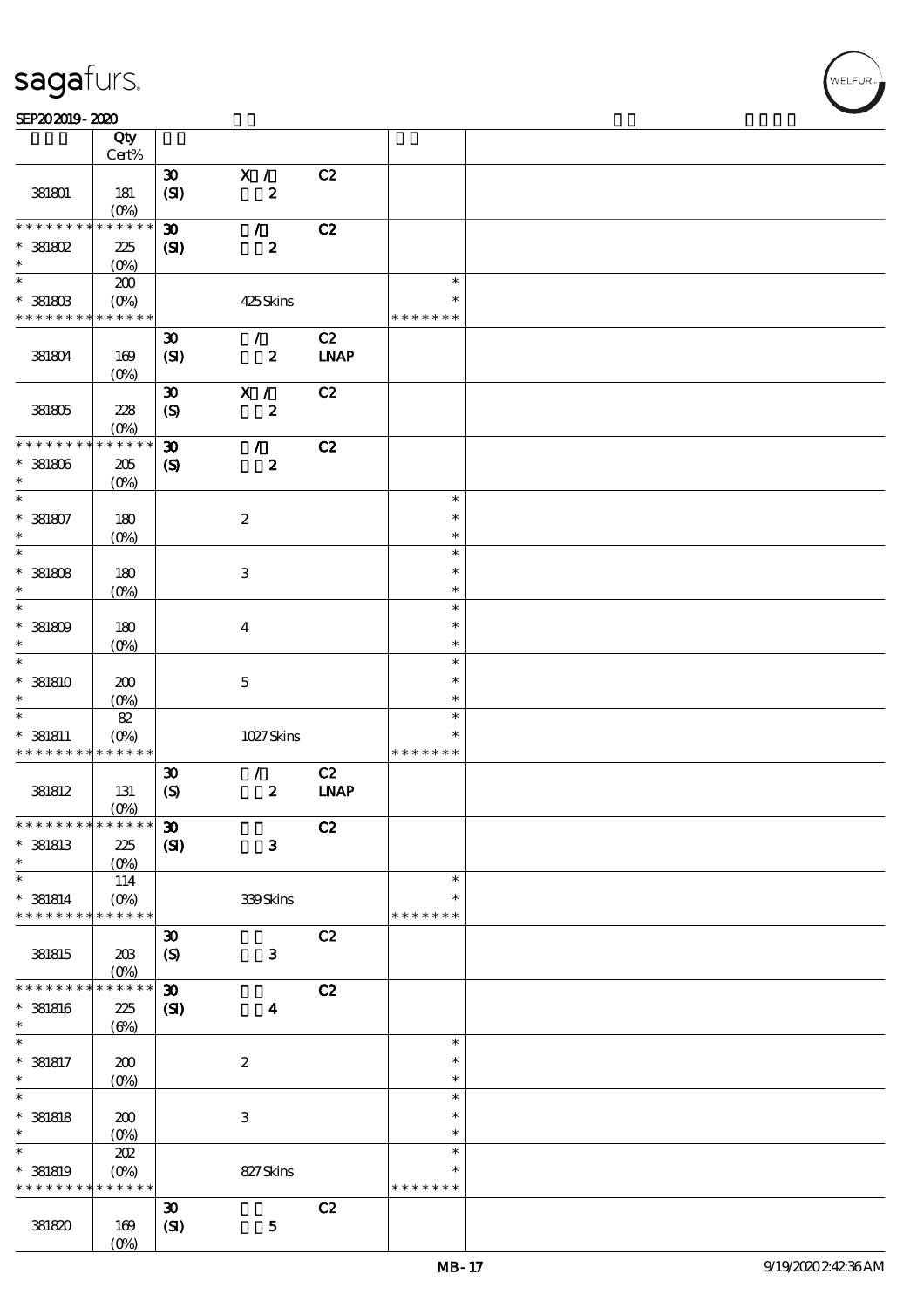$\top$ 

### SEP202019-2020 REPORTED TO A REPORT OF THE SEPENDENT CONTROL SECTION OF THE SHAPE OF THE SHAPE OF THE SHAPE OF

|                                            | Qty<br>Cert%              |                             |                      |             |               |  |
|--------------------------------------------|---------------------------|-----------------------------|----------------------|-------------|---------------|--|
|                                            |                           |                             |                      |             |               |  |
|                                            |                           | $\boldsymbol{\mathfrak{D}}$ | X /                  | C2          |               |  |
| 381801                                     | 181                       | (SI)                        | $\boldsymbol{2}$     |             |               |  |
|                                            | (O <sub>0</sub> )         |                             |                      |             |               |  |
| * * * * * * * *                            | * * * * * *               | $\boldsymbol{\mathfrak{D}}$ | $\mathcal{L}$        | C2          |               |  |
| $*$ 381802                                 | 225                       | (S)                         | $\boldsymbol{z}$     |             |               |  |
| $\ast$                                     | $(O\%)$                   |                             |                      |             |               |  |
| $\ast$                                     | 200                       |                             |                      |             | $\ast$        |  |
| $^*$ 381803 $\,$                           | $(O\%)$                   |                             | 425Skins             |             | $\ast$        |  |
| * * * * * * * * <mark>* * * * * * *</mark> |                           |                             |                      |             | * * * * * * * |  |
|                                            |                           |                             |                      |             |               |  |
|                                            |                           | $\boldsymbol{\mathfrak{D}}$ | $\mathcal{L}$        | C2          |               |  |
| 381804                                     | 169                       | (SI)                        | $\boldsymbol{z}$     | <b>LNAP</b> |               |  |
|                                            | (O <sub>0</sub> )         |                             |                      |             |               |  |
|                                            |                           | $\boldsymbol{\mathfrak{D}}$ | X /                  | C2          |               |  |
| 381805                                     | 228                       | $\mathcal{S}$               | $\pmb{2}$            |             |               |  |
|                                            | $(0\%)$                   |                             |                      |             |               |  |
| * * * * * * * *                            | * * * * * *               | $\boldsymbol{\mathfrak{D}}$ | $\mathcal{L}$        | C2          |               |  |
| $*$ 381806                                 | $205\,$                   | $\boldsymbol{\mathcal{S}}$  | $\boldsymbol{z}$     |             |               |  |
| $\ast$                                     |                           |                             |                      |             |               |  |
| $\ast$                                     | $(O\%)$                   |                             |                      |             | $\ast$        |  |
|                                            |                           |                             |                      |             |               |  |
| $* 381807$                                 | 180                       |                             | $\boldsymbol{2}$     |             | $\ast$        |  |
| $\ast$                                     | $(O\%)$                   |                             |                      |             | $\ast$        |  |
| $\ast$                                     |                           |                             |                      |             | $\ast$        |  |
| $*$ 381808                                 | 180                       |                             | $\,3$                |             | $\ast$        |  |
| $\ast$                                     | $(0\%)$                   |                             |                      |             | $\ast$        |  |
| $\ast$                                     |                           |                             |                      |             | $\ast$        |  |
| $^\ast$ 381809                             | 180                       |                             | $\boldsymbol{4}$     |             | $\ast$        |  |
| $\ast$                                     | $(O\!/\!\delta)$          |                             |                      |             | $\ast$        |  |
| $\ast$                                     |                           |                             |                      |             | $\ast$        |  |
|                                            |                           |                             |                      |             | $\ast$        |  |
| $*$ 381810<br>$\ast$                       | 200                       |                             | $\mathbf 5$          |             |               |  |
|                                            | $(O\%)$                   |                             |                      |             | $\ast$        |  |
| $\ast$                                     | $8\!2$                    |                             |                      |             | $\ast$        |  |
| $* 381811$                                 | $(O\!/\!\!\delta)$        |                             | 1027Skins            |             | $\ast$        |  |
| * * * * * * * * <mark>* * * * * *</mark>   |                           |                             |                      |             | * * * * * * * |  |
|                                            |                           | $\boldsymbol{\mathfrak{D}}$ | $\mathcal{F}$        | C2          |               |  |
| 381812                                     | 131                       | (S)                         | $\pmb{2}$            | <b>LNAP</b> |               |  |
|                                            | $(0\%)$                   |                             |                      |             |               |  |
| * * * * * * * * * * * * * * *              |                           | $\pmb{\mathfrak{D}}$        |                      | C2          |               |  |
| $*$ 381813                                 | $225\,$                   | (S)                         | $\mathbf{3}$         |             |               |  |
| $\ast$                                     | $(O\%)$                   |                             |                      |             |               |  |
| $\ast$                                     | 114                       |                             |                      |             | $\ast$        |  |
| $*$ 381814                                 | $(O\%)$                   |                             | 339Skins             |             | $\ast$        |  |
| * * * * * * * *                            | * * * * * *               |                             |                      |             | * * * * * * * |  |
|                                            |                           | $\boldsymbol{\mathfrak{D}}$ |                      | C2          |               |  |
|                                            |                           |                             |                      |             |               |  |
| 381815                                     | 203                       | (S)                         | $\mathbf{3}$         |             |               |  |
| * * * * * * *                              | $(O\%)$                   |                             |                      |             |               |  |
|                                            | * * * * * *               | $\boldsymbol{\mathfrak{D}}$ |                      | C2          |               |  |
| $*$ 381816                                 | $225\,$                   | $\mathbf{C}$                | $\blacktriangleleft$ |             |               |  |
| $\ast$                                     | $(\Theta)$                |                             |                      |             |               |  |
| $\ast$                                     |                           |                             |                      |             | $\ast$        |  |
| $*$ 381817                                 | 200                       |                             | $\boldsymbol{2}$     |             | $\ast$        |  |
| $\ast$                                     | $(O\%)$                   |                             |                      |             | $\ast$        |  |
| $\ast$                                     |                           |                             |                      |             | $\ast$        |  |
| $*$ 381818                                 | 200                       |                             | $\,3\,$              |             | $\ast$        |  |
| $\ast$                                     | $(O\%)$                   |                             |                      |             | $\ast$        |  |
| $\ast$                                     | 202                       |                             |                      |             | $\ast$        |  |
| $*$ 381819                                 | $(O\%)$                   |                             | 827Skins             |             | $\ast$        |  |
| * * * * * * * *                            |                           |                             |                      |             | * * * * * * * |  |
|                                            |                           |                             |                      |             |               |  |
|                                            | * * * * * *               |                             |                      |             |               |  |
|                                            |                           | $\boldsymbol{\mathfrak{D}}$ |                      | C2          |               |  |
| 381820                                     | 169<br>$(O\!/\!\!\delta)$ | (SI)                        | ${\bf 5}$            |             |               |  |

 $\overline{\mathbf{r}}$ 

,<br>WELFUR: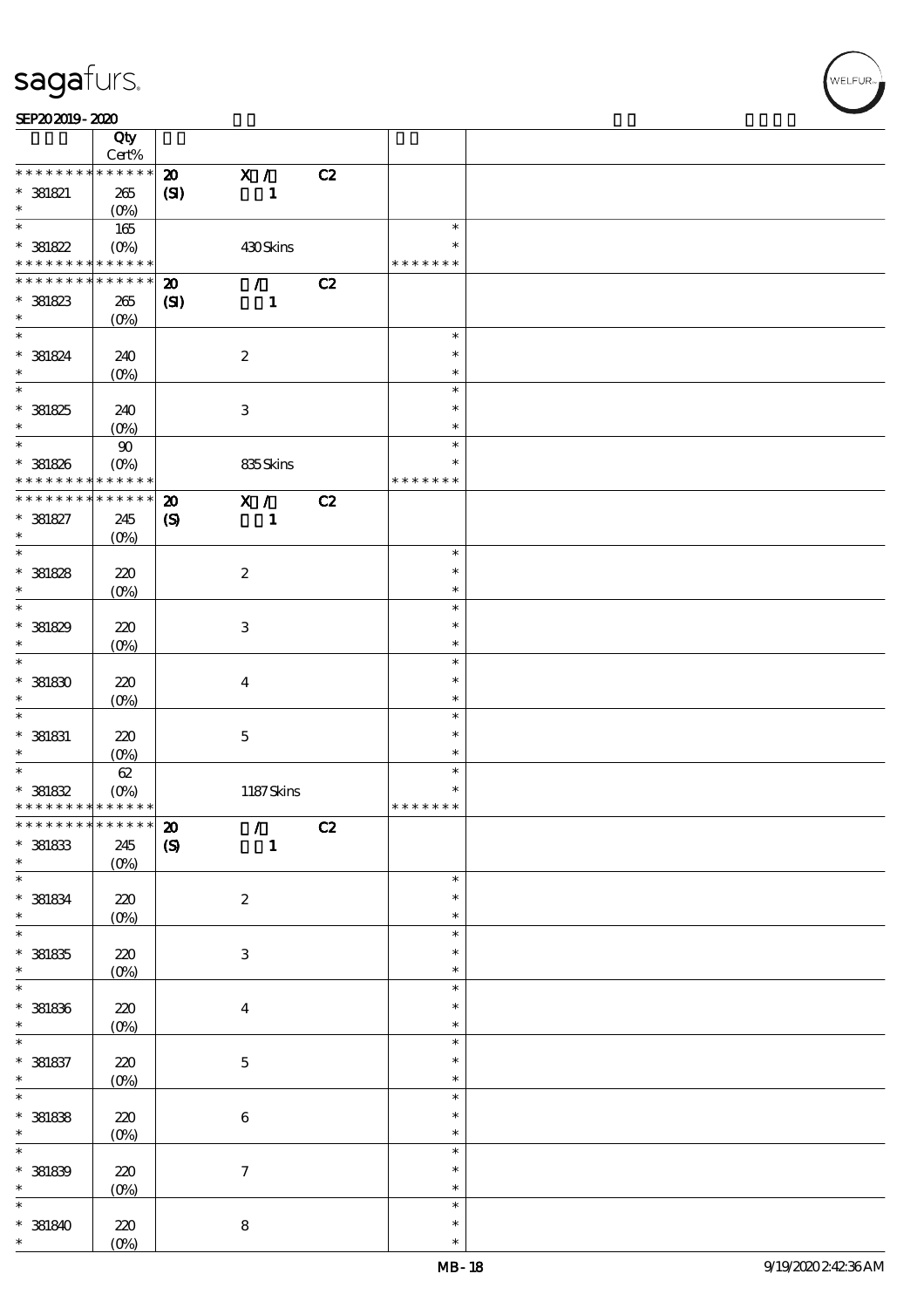|                                            | Qty                    |                             |                            |    |               |  |
|--------------------------------------------|------------------------|-----------------------------|----------------------------|----|---------------|--|
|                                            | $Cert\%$               |                             |                            |    |               |  |
| * * * * * * *                              | * * * * * *            | $\boldsymbol{\mathfrak{D}}$ | $\mathbf{X}$ /             | C2 |               |  |
| $* 381821$                                 | 265                    | (S)                         | $\mathbf{1}$               |    |               |  |
| $\ast$                                     | $(O_0)$                |                             |                            |    |               |  |
| $\ast$                                     | 165                    |                             |                            |    | $\ast$        |  |
| $* 381822$                                 | $(O\%)$                |                             | 430Skins                   |    | $\ast$        |  |
| * * * * * * * * <mark>* * * * * * *</mark> |                        |                             |                            |    | * * * * * * * |  |
| * * * * * * * *                            | * * * * * *            | $\boldsymbol{\mathbf{z}}$   | $\mathcal{L}$              | C2 |               |  |
| $* 381823$                                 | 265                    | $\mathbf{C}$                | $\mathbf{1}$               |    |               |  |
| $\ast$                                     | (O <sub>0</sub> )      |                             |                            |    |               |  |
| $\ast$                                     |                        |                             |                            |    | $\ast$        |  |
| $* 381824$                                 | 240                    |                             | $\boldsymbol{2}$           |    | $\ast$        |  |
| $\ast$                                     | $(Q_0)$                |                             |                            |    | $\ast$        |  |
| $\overline{\ast}$                          |                        |                             |                            |    | $\ast$        |  |
| $* 381825$                                 | 240                    |                             | $\,3$                      |    | $\ast$        |  |
| $\ast$                                     | $(O\%)$                |                             |                            |    | $\ast$        |  |
| $\ast$                                     |                        |                             |                            |    | $\ast$        |  |
|                                            | $90\,$                 |                             |                            |    | $\ast$        |  |
| $* 381826$<br>* * * * * * * *              | $(O\%)$<br>* * * * * * |                             | 835Skins                   |    | * * * * * * * |  |
|                                            | * * * * * *            |                             |                            |    |               |  |
| * * * * * * *                              |                        | $\boldsymbol{\mathfrak{D}}$ | X /                        | C2 |               |  |
| $* 381827$                                 | 245                    | $\boldsymbol{S}$            | $\mathbf{1}$               |    |               |  |
| $\ast$                                     | $(0\%)$                |                             |                            |    |               |  |
| $\ast$                                     |                        |                             |                            |    | $\ast$        |  |
| $* 381828$                                 | 220                    |                             | $\boldsymbol{2}$           |    | $\ast$        |  |
| $\ast$                                     | $(0\%)$                |                             |                            |    | $\ast$        |  |
| $\ast$                                     |                        |                             |                            |    | $\ast$        |  |
| $*$ 381829                                 | 220                    |                             | $\ensuremath{\mathsf{3}}$  |    | $\ast$        |  |
| $\ast$                                     | $(O\!/\!o)$            |                             |                            |    | $\ast$        |  |
| $\ast$                                     |                        |                             |                            |    | $\ast$        |  |
| $^\ast$ 381830                             | 220                    |                             | $\boldsymbol{4}$           |    | $\ast$        |  |
| $\ast$                                     | $(0\%)$                |                             |                            |    | $\ast$        |  |
| $\ast$                                     |                        |                             |                            |    | $\ast$        |  |
| $*$ 381831                                 | 220                    |                             | $\mathbf 5$                |    | $\ast$        |  |
| $\ast$                                     | (0%)                   |                             |                            |    | $\ast$        |  |
| $\ast$                                     | 62                     |                             |                            |    | $\ast$        |  |
| $* 381832$                                 | $(O\!/\!o)$            |                             | 1187Skins                  |    | $\ast$        |  |
| * * * * * * * * * * * * * *                |                        |                             |                            |    | * * * * * * * |  |
| ************** 20                          |                        |                             | $\mathcal{F}(\mathcal{F})$ | C2 |               |  |
| $^\ast$ 381833                             | 245                    | $\boldsymbol{S}$            | $\mathbf{1}$               |    |               |  |
| $\ast$                                     |                        |                             |                            |    |               |  |
| $\ast$                                     | $(0\%)$                |                             |                            |    | $\ast$        |  |
|                                            |                        |                             |                            |    | $\ast$        |  |
| $^\ast$ 381834<br>$\ast$                   | $220$                  |                             | $\boldsymbol{2}$           |    |               |  |
| $\ast$                                     | $(0\%)$                |                             |                            |    | $\ast$        |  |
|                                            |                        |                             |                            |    | $\ast$        |  |
| $^\ast$ 381835                             | $220$                  |                             | $\ensuremath{\mathbf{3}}$  |    | $\ast$        |  |
| $\ast$                                     | $(0\%)$                |                             |                            |    | $\ast$        |  |
| $\ast$                                     |                        |                             |                            |    | $\ast$        |  |
| $*$ 381836                                 | 220                    |                             | $\boldsymbol{4}$           |    | $\ast$        |  |
| $\ast$                                     | $(0\%)$                |                             |                            |    | $\ast$        |  |
|                                            |                        |                             |                            |    | $\ast$        |  |
| $*$ 381837                                 | $220\,$                |                             | $\mathbf 5$                |    | $\ast$        |  |
| $\ast$                                     | $(0\%)$                |                             |                            |    | $\ast$        |  |
| $\ast$                                     |                        |                             |                            |    | $\ast$        |  |
| $*$ 381838                                 | $220$                  |                             | $\,6\,$                    |    | $\ast$        |  |
| $\ast$                                     | $(0\%)$                |                             |                            |    | $\ast$        |  |
| $\ast$                                     |                        |                             |                            |    | $\ast$        |  |
| $*$ 381839                                 | 220                    |                             | $\boldsymbol{7}$           |    | $\ast$        |  |
| $\ast$                                     | $(0\%)$                |                             |                            |    | $\ast$        |  |
| $\ast$                                     |                        |                             |                            |    | $\ast$        |  |
| $*$ 381840                                 | 220                    |                             | $\bf 8$                    |    | $\ast$        |  |
| $\ast$                                     | $(O\%)$                |                             |                            |    | $\ast$        |  |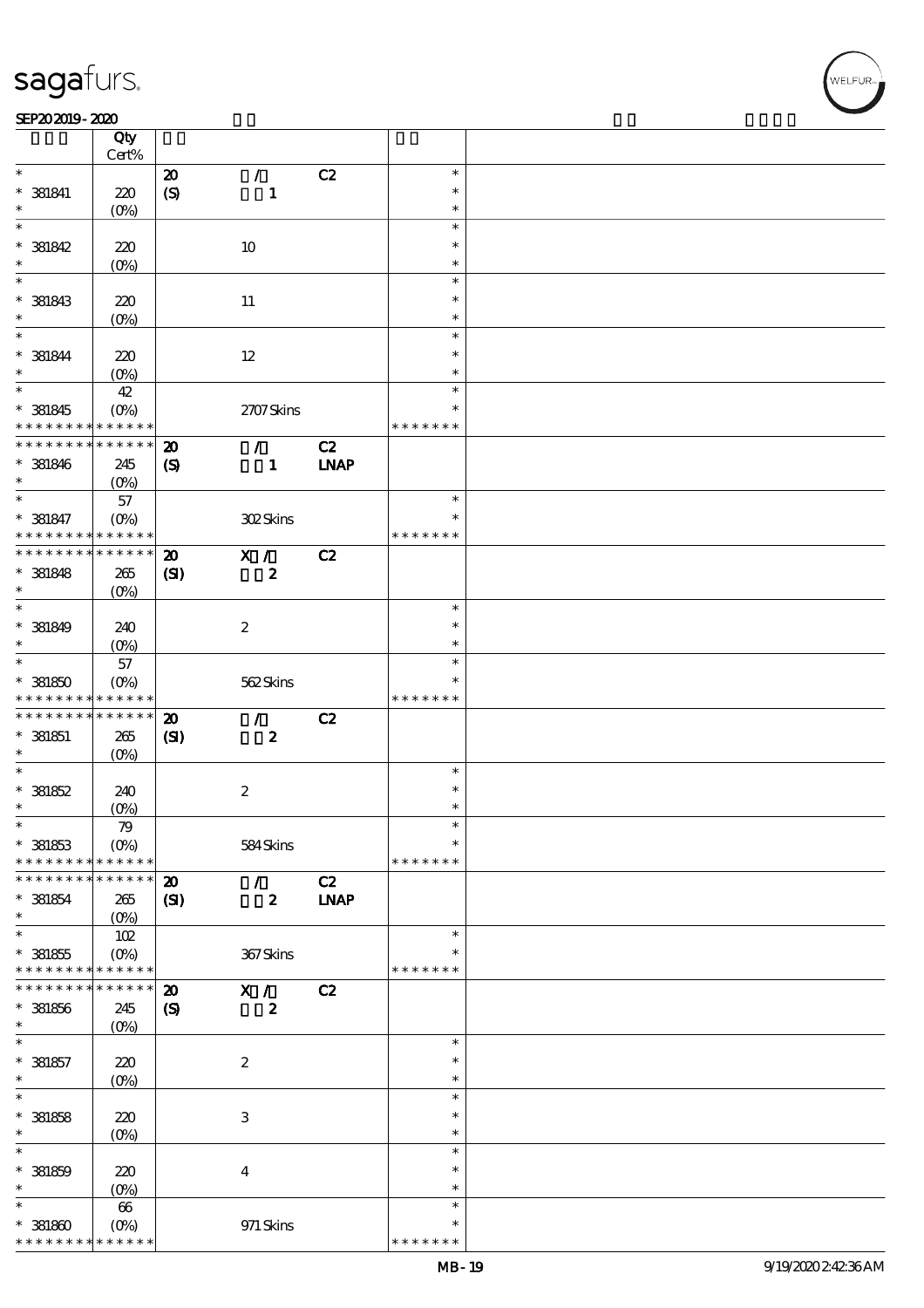### SEP202019-2020 REPORTED TO A REPORT OF THE SEPENDENT CONTROL SECTION OF THE SHAPE OF THE SHAPE OF THE SHAPE OF  $\frac{\text{SP}202019 - 2020}{\text{C} \text{tv}}$

|                                            | Qty<br>Cert%           |                             |                  |             |                         |  |
|--------------------------------------------|------------------------|-----------------------------|------------------|-------------|-------------------------|--|
| $\ast$                                     |                        |                             |                  |             | $\ast$                  |  |
|                                            |                        | $\boldsymbol{\mathfrak{D}}$ | $\mathcal{L}$    | C2          |                         |  |
| $*$ 381841                                 | 220                    | (S)                         | $\mathbf{1}$     |             | $\ast$                  |  |
| $\ast$                                     | $(O\!/\!\!\delta)$     |                             |                  |             | $\ast$                  |  |
| $\ast$                                     |                        |                             |                  |             | $\ast$                  |  |
| $* 381842$                                 | 220                    |                             | 10               |             | $\ast$                  |  |
| $\ast$                                     |                        |                             |                  |             |                         |  |
|                                            | (O <sub>0</sub> )      |                             |                  |             | $\ast$                  |  |
| $\ast$                                     |                        |                             |                  |             | $\ast$                  |  |
| * 381843                                   | 220                    |                             | 11               |             | $\ast$                  |  |
| $\ast$                                     | (O <sub>0</sub> )      |                             |                  |             | $\ast$                  |  |
| $\ast$                                     |                        |                             |                  |             | $\ast$                  |  |
|                                            |                        |                             |                  |             |                         |  |
| $* 381844$                                 | 220                    |                             | 12               |             | $\ast$                  |  |
| $\ast$                                     | $(O\!/\!\!\delta)$     |                             |                  |             | $\ast$                  |  |
| $\overline{\ast}$                          | $4\!2$                 |                             |                  |             | $\ast$                  |  |
| $*$ 381845                                 | (O <sub>0</sub> )      |                             | 2707Skins        |             | $\ast$                  |  |
|                                            |                        |                             |                  |             |                         |  |
| * * * * * * * *                            | * * * * * *            |                             |                  |             | * * * * * * *           |  |
| * * * * * * * *                            | $* * * * * * *$        | $\boldsymbol{\mathbf{z}}$   | $\mathcal{L}$    | C2          |                         |  |
| $* 381846$                                 | 245                    | $\boldsymbol{\mathcal{S}}$  | $\mathbf{1}$     | <b>LNAP</b> |                         |  |
| $\ast$                                     | $(O\%)$                |                             |                  |             |                         |  |
| $\ast$                                     | 57                     |                             |                  |             | $\ast$                  |  |
|                                            |                        |                             |                  |             |                         |  |
| * 381847                                   | $(O\%)$                |                             | 302Skins         |             | $\ast$                  |  |
| * * * * * * * *                            | * * * * * *            |                             |                  |             | * * * * * * *           |  |
| * * * * * * * * <mark>* * * * * * *</mark> |                        | $\boldsymbol{\mathbf{z}}$   | X /              | C2          |                         |  |
| $* 381848$                                 | 265                    | (S)                         | $\boldsymbol{2}$ |             |                         |  |
| $\ast$                                     |                        |                             |                  |             |                         |  |
| $\ast$                                     | (O <sub>0</sub> )      |                             |                  |             |                         |  |
|                                            |                        |                             |                  |             | $\ast$                  |  |
| $* 381849$                                 | 240                    |                             | $\boldsymbol{2}$ |             | $\ast$                  |  |
| $\ast$                                     | (O <sub>0</sub> )      |                             |                  |             | $\ast$                  |  |
| $\ast$                                     | 57                     |                             |                  |             | $\ast$                  |  |
|                                            |                        |                             |                  |             | $\ast$                  |  |
| $* 381850$                                 | $(O\%)$                |                             | 562Skins         |             |                         |  |
|                                            | * * * * * *            |                             |                  |             | * * * * * * *           |  |
| * * * * * * * *                            |                        |                             |                  |             |                         |  |
| * * * * * * * *                            | * * * * * *            | $\boldsymbol{\mathbf{z}}$   | $\mathcal{F}$    | C2          |                         |  |
|                                            |                        |                             |                  |             |                         |  |
| $*$ 381851                                 | 265                    | (S)                         | $\boldsymbol{z}$ |             |                         |  |
| $\ast$                                     | $(O\%)$                |                             |                  |             |                         |  |
| $\ast$                                     |                        |                             |                  |             | $\ast$                  |  |
| $* 381852$                                 | 240                    |                             | $\boldsymbol{2}$ |             | $\ast$                  |  |
| $\ast$                                     | $(O\!/\!\!\delta)$     |                             |                  |             | $\ast$                  |  |
| $\ast$                                     |                        |                             |                  |             | $\ast$                  |  |
|                                            | 79                     |                             |                  |             | $\ast$                  |  |
| $* 381853$                                 | $(O\%)$                |                             | 584Skins         |             |                         |  |
| * * * * * * * *                            | * * * * * *            |                             |                  |             | * * * * * * *           |  |
| * * * * * * *                              | * * * * * *            | $\boldsymbol{\mathbf{z}}$   | $\mathcal{L}$    | C2          |                         |  |
| $*$ 381854                                 | 265                    | $\mathbf{C}$                | $\boldsymbol{z}$ | <b>LNAP</b> |                         |  |
| $\ast$                                     |                        |                             |                  |             |                         |  |
| $\ast$                                     | $(O\%)$                |                             |                  |             | $\ast$                  |  |
|                                            | 102                    |                             |                  |             |                         |  |
| $* 381855$                                 | $(O\%)$                |                             | 367Skins         |             |                         |  |
| * * * * * * * *                            | * * * * * *            |                             |                  |             | * * * * * * *           |  |
| * * * * * * * *                            | * * * * * *            | $\boldsymbol{\mathfrak{D}}$ | X /              | C2          |                         |  |
|                                            |                        |                             |                  |             |                         |  |
| $* 381856$<br>$\ast$                       | 245                    | $\boldsymbol{\mathrm{(S)}}$ | $\boldsymbol{z}$ |             |                         |  |
|                                            | (O <sub>0</sub> )      |                             |                  |             |                         |  |
| $\ast$                                     |                        |                             |                  |             | $\ast$                  |  |
| $* 381857$                                 | 220                    |                             | $\boldsymbol{2}$ |             | $\ast$                  |  |
| $\ast$                                     | $(O\!/\!o)$            |                             |                  |             | $\ast$                  |  |
| $\ast$                                     |                        |                             |                  |             | $\ast$                  |  |
|                                            |                        |                             |                  |             | $\ast$                  |  |
| $* 381858$                                 | 220                    |                             | $\,3$            |             |                         |  |
| $\ast$                                     | $(O\!/\!\!\delta)$     |                             |                  |             | $\ast$                  |  |
| $\ast$                                     |                        |                             |                  |             | $\ast$                  |  |
|                                            | 220                    |                             | $\boldsymbol{4}$ |             | $\ast$                  |  |
| $* 381859$<br>$\ast$                       |                        |                             |                  |             | $\ast$                  |  |
|                                            | (O <sub>0</sub> )      |                             |                  |             |                         |  |
| $\ast$                                     | 66                     |                             |                  |             | $\ast$                  |  |
| $*381800$<br>* * * * * * * *               | $(0\%)$<br>* * * * * * |                             | 971 Skins        |             | $\ast$<br>* * * * * * * |  |

WELFUR<br>
WELFUR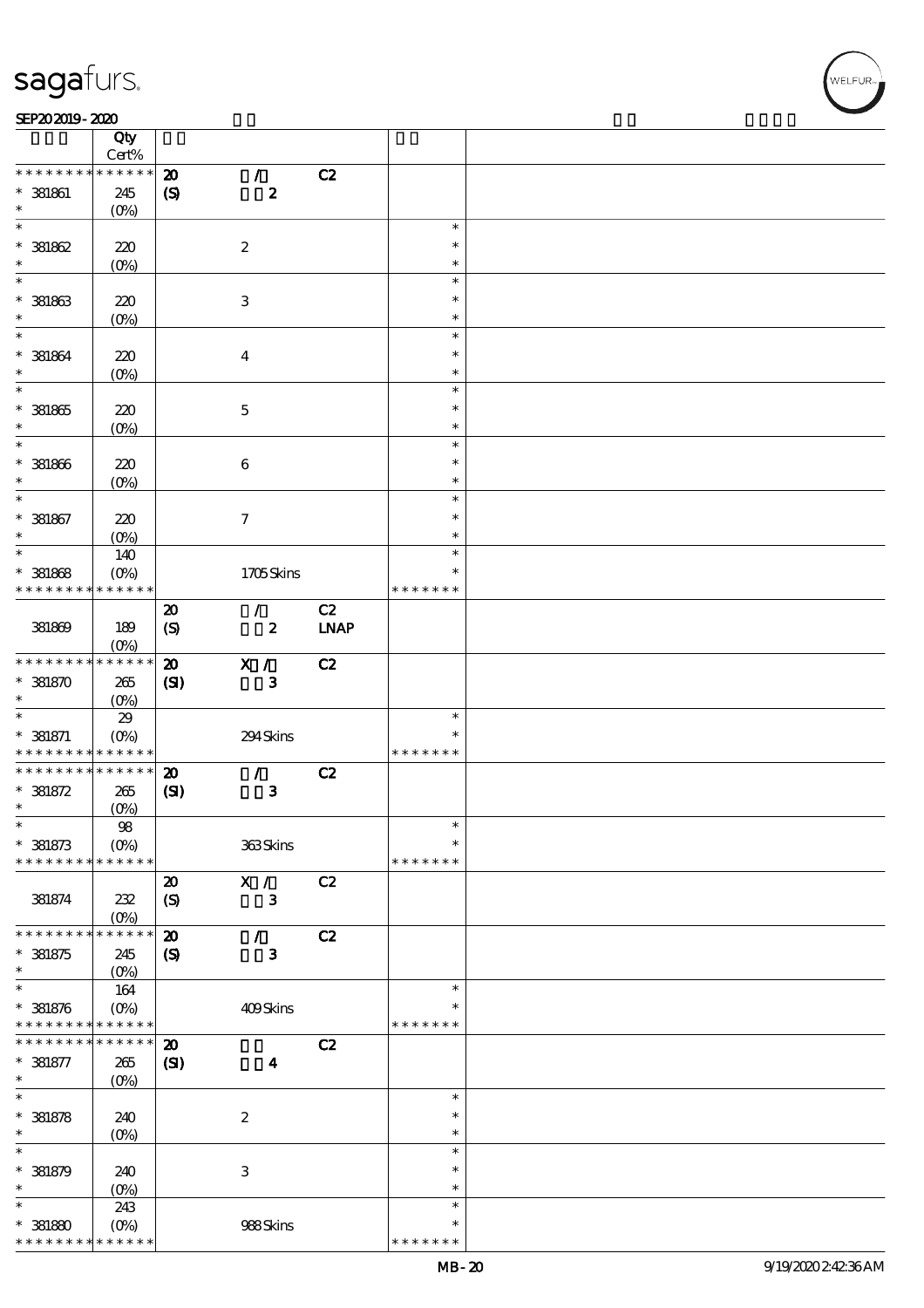$\top$ 

### SEP202019-2020 REPORTED TO A REPORT OF THE SEPENDENT CONTROL SECTION OF THE SHAPE OF THE SHAPE OF THE SHAPE OF

|                                                        | Qty                             |                             |                           |             |                  |  |
|--------------------------------------------------------|---------------------------------|-----------------------------|---------------------------|-------------|------------------|--|
|                                                        | Cert%                           |                             |                           |             |                  |  |
| * * * * * * *                                          | * * * * * *                     | $\boldsymbol{\mathfrak{D}}$ | $\mathcal{L}$             | C2          |                  |  |
| $*$ 381861                                             | 245                             | $\pmb{\infty}$              | $\boldsymbol{z}$          |             |                  |  |
| $\ast$<br>$\ast$                                       | $(0\%)$                         |                             |                           |             |                  |  |
|                                                        |                                 |                             |                           |             | $\ast$<br>$\ast$ |  |
| $*381862$                                              | 220                             |                             | $\boldsymbol{2}$          |             |                  |  |
| $\ast$<br>$\ast$                                       | $(O\%)$                         |                             |                           |             | $\ast$<br>$\ast$ |  |
|                                                        |                                 |                             |                           |             |                  |  |
| $* 381863$<br>$\ast$                                   | 220                             |                             | $\ensuremath{\mathsf{3}}$ |             | $\ast$           |  |
| $\ast$                                                 | $(0\%)$                         |                             |                           |             | $\ast$           |  |
|                                                        |                                 |                             |                           |             | $\ast$           |  |
| $* 381864$<br>$\ast$                                   | 220                             |                             | $\boldsymbol{4}$          |             | $\ast$           |  |
| $\ast$                                                 | $(O\%)$                         |                             |                           |             | $\ast$           |  |
|                                                        |                                 |                             |                           |             | $\ast$           |  |
| $*$ 381865                                             | $220$                           |                             | $\mathbf 5$               |             | $\ast$           |  |
| $\ast$<br>$\ast$                                       | $(0\%)$                         |                             |                           |             | $\ast$           |  |
|                                                        |                                 |                             |                           |             | $\ast$           |  |
| $* 381866$                                             | 220                             |                             | 6                         |             | $\ast$           |  |
| $\ast$<br>$\ast$                                       | $(O\!/\!o)$                     |                             |                           |             | $\ast$           |  |
|                                                        |                                 |                             |                           |             | $\ast$           |  |
| $*$ 381867<br>$\ast$                                   | 220                             |                             | $\boldsymbol{\tau}$       |             | $\ast$           |  |
| $\ast$                                                 | $(0\%)$                         |                             |                           |             | $\ast$<br>$\ast$ |  |
|                                                        | 140                             |                             |                           |             |                  |  |
| $*$ 381868<br>* * * * * * * *                          | $(O\%)$                         |                             | 1705Skins                 |             | $\ast$           |  |
|                                                        | * * * * * *                     |                             |                           |             | * * * * * * *    |  |
|                                                        |                                 | $\boldsymbol{\mathsf{20}}$  | $\mathcal{L}$             | C2          |                  |  |
| 381869                                                 | 189                             | $\boldsymbol{S}$            | $\boldsymbol{z}$          | <b>LNAP</b> |                  |  |
| * * * * * * * *                                        | $(O\%)$<br>* * * * * *          |                             |                           |             |                  |  |
|                                                        |                                 | $\boldsymbol{\mathbf{D}}$   | X /                       | C2          |                  |  |
| $* 381870$<br>$\ast$                                   | 265                             | (S)                         | ${\bf 3}$                 |             |                  |  |
| $\ast$                                                 | (O <sub>0</sub> )               |                             |                           |             | $\ast$           |  |
|                                                        | $29\,$                          |                             |                           |             | $\ast$           |  |
| $*$ 381871<br>* * * * * * * * <mark>* * * * * *</mark> | $(0\%)$                         |                             | 294Skins                  |             | * * * * * * *    |  |
| * * * * * * * *                                        | $\ast\ast\ast\ast\ast\ast$      |                             | $\mathcal{L}$             |             |                  |  |
|                                                        |                                 | $\boldsymbol{\mathfrak{D}}$ |                           | C2          |                  |  |
| $* 381872$<br>$\ast$                                   | 265                             | (S)                         | $\bf{3}$                  |             |                  |  |
| $\ast$                                                 | $(0\%)$<br>${\bf 98}$           |                             |                           |             | $\ast$           |  |
| $* 381873$                                             | $(O\%)$                         |                             | 363Skins                  |             | $\ast$           |  |
| * * * * * * * *                                        | * * * * * *                     |                             |                           |             | * * * * * * *    |  |
|                                                        |                                 | $\boldsymbol{\mathbf{z}}$   | X /                       | C2          |                  |  |
| 381874                                                 | 232                             | $\boldsymbol{S}$            | $\mathbf 3$               |             |                  |  |
|                                                        | $(O\%)$                         |                             |                           |             |                  |  |
| * * * * * * * *                                        | * * * * * *                     | $\boldsymbol{\mathfrak{D}}$ | $\mathcal{L}$             | C2          |                  |  |
| $* 381875$                                             | 245                             | $\boldsymbol{\mathrm{(S)}}$ | $\mathbf{3}$              |             |                  |  |
| $\ast$                                                 | $(O\%)$                         |                             |                           |             |                  |  |
| $\ast$                                                 | 164                             |                             |                           |             | $\ast$           |  |
| $* 381876$                                             | $(O\%)$                         |                             | 409Skins                  |             | $\ast$           |  |
| * * * * * * * * * * * * * *                            |                                 |                             |                           |             | * * * * * * *    |  |
| * * * * * * *                                          | * * * * * *                     | $\boldsymbol{\mathbf{z}}$   |                           | C2          |                  |  |
| $* 381877$                                             | 265                             | $\mathbf{C}$                | $\boldsymbol{4}$          |             |                  |  |
| $\ast$                                                 | $(O\%)$                         |                             |                           |             |                  |  |
| $\ast$                                                 |                                 |                             |                           |             | $\ast$           |  |
| $* 381878$                                             | 240                             |                             | $\boldsymbol{2}$          |             | $\ast$           |  |
| $\ast$                                                 | $(O\%)$                         |                             |                           |             | $\ast$           |  |
| $\ast$                                                 |                                 |                             |                           |             | $\ast$           |  |
| $* 381879$                                             | 240                             |                             | $\ensuremath{\mathsf{3}}$ |             | $\ast$           |  |
| $\ast$                                                 | $(0\%)$                         |                             |                           |             | $\ast$           |  |
| $\ast$                                                 | 243                             |                             |                           |             | $\ast$           |  |
| $* 381880$                                             | $(O\!\!\!\!\!\!\backslash\rho)$ |                             | 988Skins                  |             | $\ast$           |  |
| * * * * * * * *                                        | * * * * * *                     |                             |                           |             | * * * * * * *    |  |

 $\overline{\mathbf{r}}$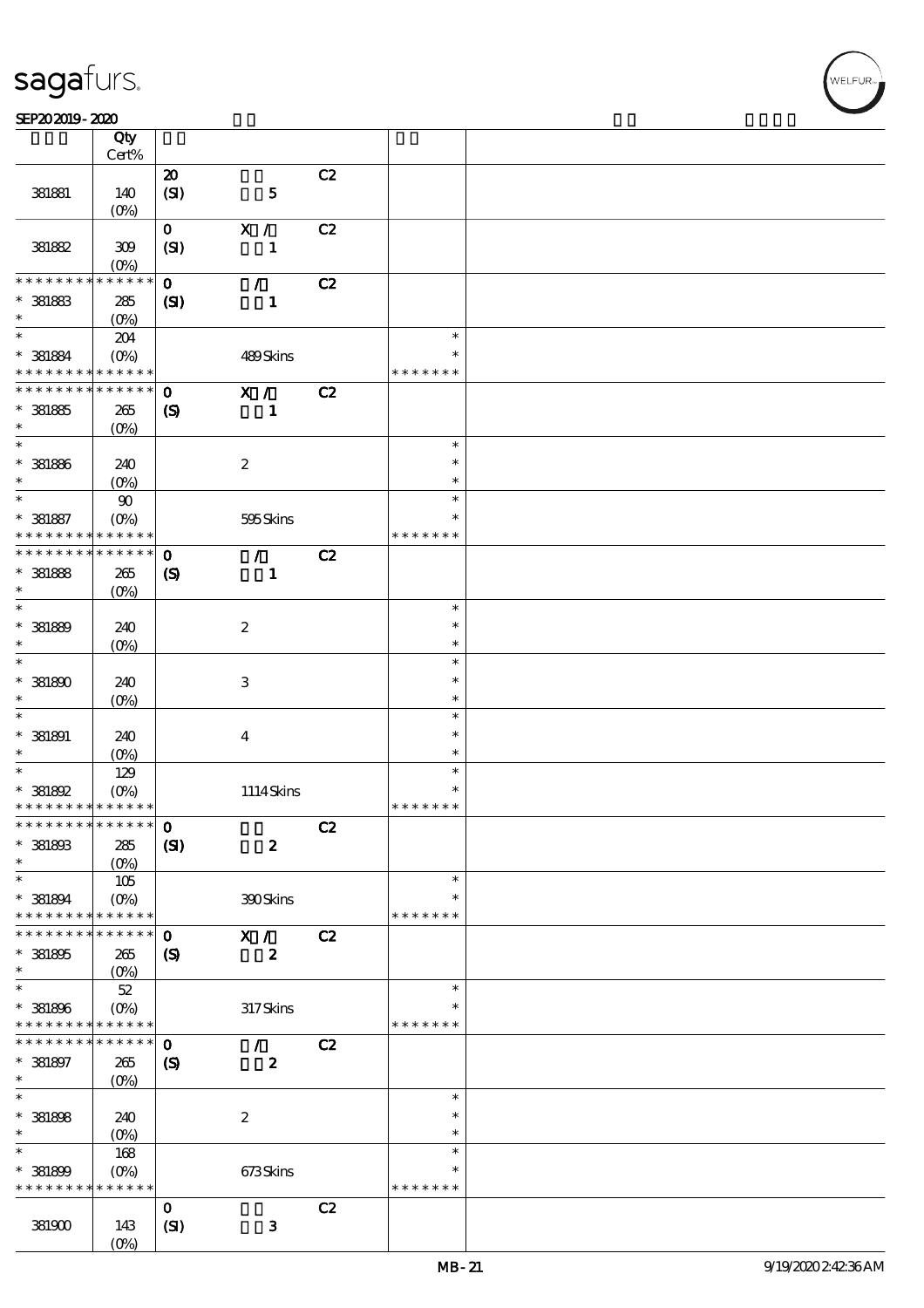$\top$ 

#### SEP202019-2020 REPORTED TO A REPORT OF THE SEPENDENT CONTROL SECTION OF THE SHAPE OF THE SHAPE OF THE SHAPE OF

|                                            | Qty<br>Cert%                     |                             |                               |    |                         |  |
|--------------------------------------------|----------------------------------|-----------------------------|-------------------------------|----|-------------------------|--|
|                                            |                                  | $\boldsymbol{\mathsf{20}}$  |                               | C2 |                         |  |
| 381881                                     | 140<br>$(O\%)$                   | (SI)                        | ${\bf 5}$                     |    |                         |  |
|                                            |                                  |                             |                               |    |                         |  |
| 381882                                     | 309<br>$(O\%)$                   | $\mathbf{O}$<br>(SI)        | X /<br>$\mathbf{1}$           | C2 |                         |  |
| * * * * * * * *                            | * * * * * *                      |                             |                               |    |                         |  |
| $*$ 381863<br>$\ast$                       | 285<br>(O <sub>0</sub> )         | $\mathbf 0$<br>$\mathbf{C}$ | $\mathcal{L}$<br>$\mathbf{1}$ | C2 |                         |  |
| $\ast$                                     |                                  |                             |                               |    | $\ast$                  |  |
| $*$ 381884<br>* * * * * * * *              | 204<br>$(O\%)$<br>* * * * * *    |                             | 489Skins                      |    | $\ast$<br>* * * * * * * |  |
| * * * * * * * *                            | $* * * * * * *$                  | $\mathbf 0$                 | $\mathbf{X}$ /                | C2 |                         |  |
| $*381885$<br>$\ast$                        | 265<br>$(O\%)$                   | $\boldsymbol{\mathcal{S}}$  | $\mathbf{1}$                  |    |                         |  |
| $\ast$                                     |                                  |                             |                               |    | $\ast$                  |  |
| $* 381886$<br>$\ast$                       | 240<br>$(O\%)$                   |                             | $\boldsymbol{2}$              |    | $\ast$<br>$\ast$        |  |
| $\ast$                                     | $90\,$                           |                             |                               |    | $\ast$                  |  |
| $* 381887$<br>* * * * * * * *              | $(O\%)$<br>* * * * * *           |                             | 595Skins                      |    | $\ast$<br>* * * * * * * |  |
| * * * * * * * *                            | * * * * * *                      | $\mathbf 0$                 | $\mathcal{F}$                 | C2 |                         |  |
| $*$ 381868<br>$\ast$                       | 265<br>$(O\%)$                   | $\boldsymbol{\mathcal{S}}$  | $\mathbf{1}$                  |    |                         |  |
| $\ast$                                     |                                  |                             |                               |    | $\ast$                  |  |
| $* 381889$<br>$\ast$                       | 240<br>$(O\!/\!\!\delta)$        |                             | $\boldsymbol{2}$              |    | $\ast$<br>$\ast$        |  |
| $\ast$                                     |                                  |                             |                               |    | $\ast$                  |  |
| $*381800$<br>$\ast$                        | 240<br>$(O\%)$                   |                             | $\,3$                         |    | $\ast$<br>$\ast$        |  |
| $\ast$                                     |                                  |                             |                               |    | $\ast$                  |  |
| $*$ 381891                                 | 240                              |                             | $\boldsymbol{4}$              |    | $\ast$                  |  |
| $\ast$                                     | $(O\%)$                          |                             |                               |    | $\ast$                  |  |
| $\ast$                                     | 129                              |                             |                               |    | $\ast$                  |  |
| * 381892                                   | $(O\%)$                          |                             | 1114Skins                     |    | $\ast$                  |  |
| * * * * * * * * <mark>* * * * * * *</mark> |                                  |                             |                               |    | * * * * * * *           |  |
| ************** 0                           |                                  |                             |                               | C2 |                         |  |
| * 381893<br>$\ast$                         | 285<br>$(0\%)$                   | (S)                         | $\boldsymbol{2}$              |    |                         |  |
| $\ast$                                     | 105                              |                             |                               |    | $\ast$                  |  |
| $*$ 381894<br>* * * * * * * *              | (O <sub>0</sub> )<br>* * * * * * |                             | 390Skins                      |    | $\ast$<br>* * * * * * * |  |
| * * * * * * *                              | * * * * * *                      | $\mathbf 0$                 | X /                           | C2 |                         |  |
| $*$ 381895                                 | 265                              | $\boldsymbol{\mathsf{(S)}}$ | $\boldsymbol{z}$              |    |                         |  |
| $\ast$                                     | $(0\%)$                          |                             |                               |    |                         |  |
| $\ast$                                     | $5\!2$                           |                             |                               |    | $\ast$                  |  |
| * 381896<br>* * * * * * * *                | $(O\%)$<br>* * * * * *           |                             | 317Skins                      |    | *<br>* * * * * * *      |  |
| * * * * * * * *                            | * * * * * *                      | $\mathbf 0$                 | $\mathcal{F}$                 | C2 |                         |  |
| $* 381897$                                 | 265                              | $\boldsymbol{\mathrm{(S)}}$ | $\boldsymbol{z}$              |    |                         |  |
| $\ast$                                     | (O <sub>0</sub> )                |                             |                               |    |                         |  |
| $\ast$                                     |                                  |                             |                               |    | $\ast$                  |  |
| $* 381808$                                 | 240                              |                             | $\boldsymbol{2}$              |    | $\ast$                  |  |
| $\ast$                                     | $(O\!/\!\!\delta)$               |                             |                               |    | $\ast$                  |  |
| $\ast$                                     | 168                              |                             |                               |    | $\ast$                  |  |
|                                            |                                  |                             | 673Skins                      |    | $\ast$                  |  |
| * 381899<br>* * * * * * * *                | $(O\!/\!o)$<br>* * * * * *       |                             |                               |    | * * * * * * *           |  |
|                                            |                                  |                             |                               |    |                         |  |
|                                            |                                  | $\mathbf{o}$                |                               | C2 |                         |  |
| 381900                                     | 143<br>(O <sub>0</sub> )         | (SI)                        | $\mathbf{3}$                  |    |                         |  |

 $\overline{\mathbf{r}}$ 

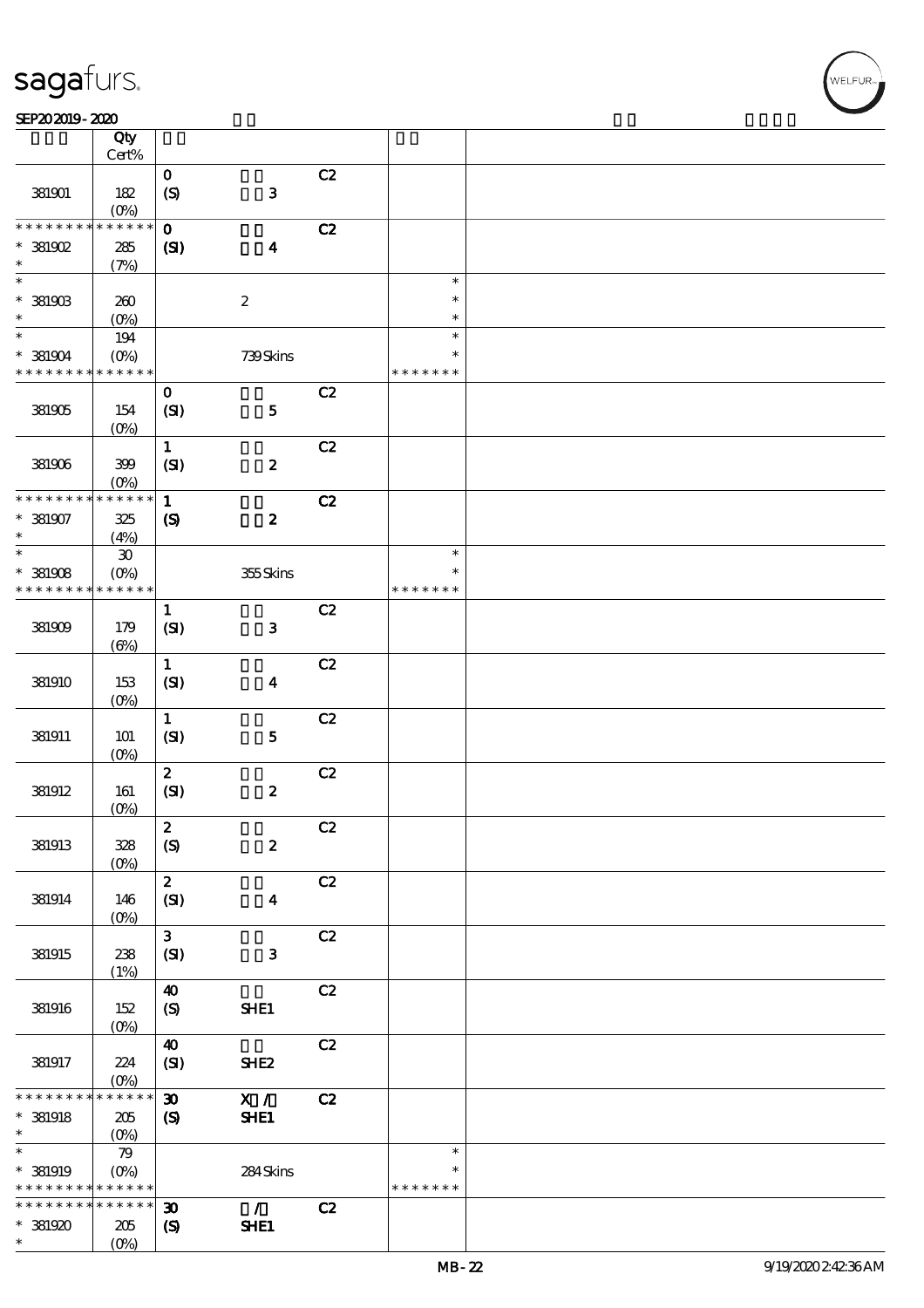### SEP202019-2020 REPORTED TO A REPORT OF THE SEPENDENT CONTROL SECTION OF THE SHAPE OF THE SHAPE OF THE SHAPE OF

|                 | Qty<br>Cert%                |                             |                      |    |               |  |
|-----------------|-----------------------------|-----------------------------|----------------------|----|---------------|--|
|                 |                             | $\mathbf{o}$                |                      | C2 |               |  |
| 381901          | 182<br>$(O\%)$              | $\boldsymbol{S}$            | ${\bf 3}$            |    |               |  |
| * * * * * * * * | $* * * * * * *$             | $\mathbf 0$                 |                      | C2 |               |  |
|                 |                             |                             |                      |    |               |  |
| $*$ 381902      | $285\,$                     | (S)                         | $\blacktriangleleft$ |    |               |  |
| $\ast$          | (7%)                        |                             |                      |    |               |  |
| $\ast$          |                             |                             |                      |    | $\ast$        |  |
| $*$ 381903      | 260                         |                             | $\boldsymbol{2}$     |    | $\ast$        |  |
| $\ast$          | $(O\!/\!o)$                 |                             |                      |    | $\ast$        |  |
| $\ast$          | 194                         |                             |                      |    | $\ast$        |  |
|                 |                             |                             |                      |    | $\ast$        |  |
| $*$ 381904      | $(O\%)$                     |                             | 739Skins             |    |               |  |
| * * * * * * * * | * * * * * *                 |                             |                      |    | * * * * * * * |  |
|                 |                             | $\mathbf{o}$                |                      | C2 |               |  |
| 381905          | 154                         | (SI)                        | ${\bf 5}$            |    |               |  |
|                 | $(O\%)$                     |                             |                      |    |               |  |
|                 |                             | $\mathbf{1}$                |                      | C2 |               |  |
| 381906          | 399                         | (SI)                        | $\pmb{2}$            |    |               |  |
|                 |                             |                             |                      |    |               |  |
|                 | (O <sub>0</sub> )           |                             |                      |    |               |  |
| * * * * * * * * | * * * * * *                 | $\mathbf{1}$                |                      | C2 |               |  |
| $*$ 381907      | 325                         | $\boldsymbol{S}$            | $\pmb{2}$            |    |               |  |
| $\ast$          | (4%)                        |                             |                      |    |               |  |
| $\ast$          | $\boldsymbol{\mathfrak{D}}$ |                             |                      |    | $\ast$        |  |
| $*$ 381908      | $(O\!/\!\!\delta)$          |                             | 355Skins             |    | $\ast$        |  |
| * * * * * * * * | * * * * * *                 |                             |                      |    | * * * * * * * |  |
|                 |                             | $\mathbf{1}$                |                      | C2 |               |  |
|                 |                             |                             |                      |    |               |  |
| 381909          | 179                         | (SI)                        | ${\bf 3}$            |    |               |  |
|                 | $(\Theta)$                  |                             |                      |    |               |  |
|                 |                             | $\mathbf{1}$                |                      | C2 |               |  |
| 381910          | 153                         | (SI)                        | $\boldsymbol{4}$     |    |               |  |
|                 | $(0\%)$                     |                             |                      |    |               |  |
|                 |                             | $\mathbf{1}$                |                      | C2 |               |  |
| 381911          | 101                         | (SI)                        | ${\bf 5}$            |    |               |  |
|                 |                             |                             |                      |    |               |  |
|                 | $(O\%)$                     |                             |                      |    |               |  |
|                 |                             | $\boldsymbol{z}$            |                      | C2 |               |  |
| 381912          | 161                         | (SI)                        | $\boldsymbol{2}$     |    |               |  |
|                 | $(O\%)$                     |                             |                      |    |               |  |
|                 |                             | $\boldsymbol{2}$            |                      | C2 |               |  |
| 381913          | 328                         | (S)                         | $\boldsymbol{2}$     |    |               |  |
|                 | $(O\%)$                     |                             |                      |    |               |  |
|                 |                             | $\mathbf{z}$                |                      | C2 |               |  |
| 381914          | 146                         | (SI)                        | $\boldsymbol{4}$     |    |               |  |
|                 | $(O\%)$                     |                             |                      |    |               |  |
|                 |                             |                             |                      |    |               |  |
|                 |                             | 3 <sup>1</sup>              |                      | C2 |               |  |
| 381915          | 238                         | (SI)                        | $\mathbf{3}$         |    |               |  |
|                 | (1%)                        |                             |                      |    |               |  |
|                 |                             | $\boldsymbol{40}$           |                      | C2 |               |  |
| 381916          | 152                         | (S)                         | SHE1                 |    |               |  |
|                 | $(0\%)$                     |                             |                      |    |               |  |
|                 |                             | $\boldsymbol{\omega}$       |                      | C2 |               |  |
| 381917          | 224                         | (SI)                        | SHE <sub>2</sub>     |    |               |  |
|                 | $(O\%)$                     |                             |                      |    |               |  |
| * * * * * * * * | $******$                    |                             |                      |    |               |  |
|                 |                             | $\boldsymbol{\mathfrak{D}}$ | X /                  | C2 |               |  |
| $*$ 381918      | 205                         | $\boldsymbol{S}$            | SHE1                 |    |               |  |
| $\ast$          | $(O\%)$                     |                             |                      |    |               |  |
| $\ast$          | 79                          |                             |                      |    | $\ast$        |  |
| * 381919        | $(O\!/\!o)$                 |                             | 284Skins             |    | *             |  |
| * * * * * * * * | * * * * * *                 |                             |                      |    | * * * * * * * |  |
| * * * * * * * * | $\ast\ast\ast\ast\ast\ast$  | $\boldsymbol{\mathfrak{D}}$ | $\mathcal{L}$        | C2 |               |  |
| * 381920        | 205                         | $\boldsymbol{\mathcal{S}}$  | SHE1                 |    |               |  |
| $\ast$          | $(O\!/\!\!\delta)$          |                             |                      |    |               |  |
|                 |                             |                             |                      |    |               |  |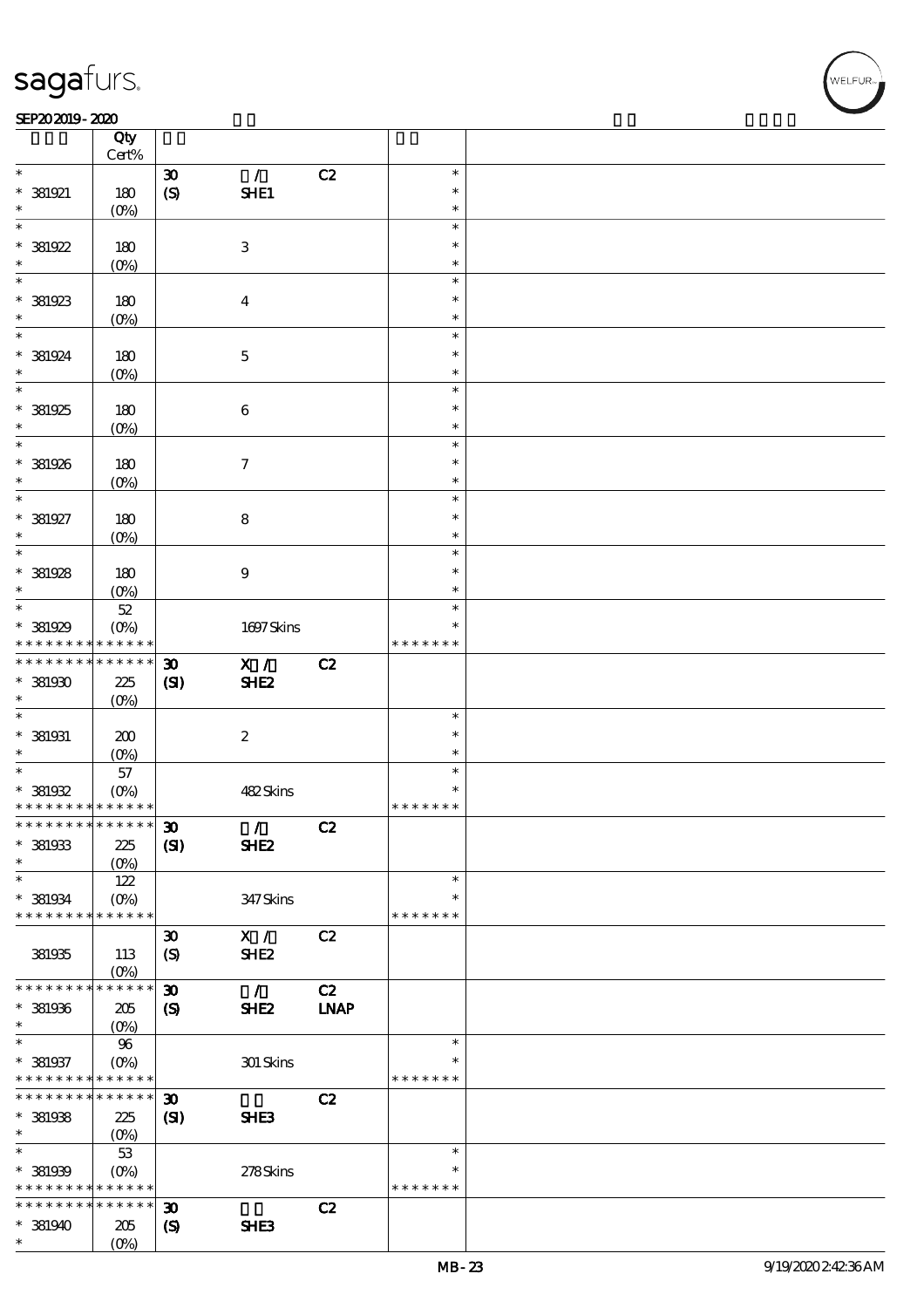#### SEP202019-2020 REPORTED TO A REPORT OF THE SEPENDENT CONTROL SECTION OF THE SHAPE OF THE SHAPE OF THE SHAPE OF

|                                          | Qty<br>Cert%               |                             |                     |             |                  |  |
|------------------------------------------|----------------------------|-----------------------------|---------------------|-------------|------------------|--|
| $\ast$                                   |                            |                             |                     |             | $\ast$           |  |
| * 381921                                 |                            | $\boldsymbol{\mathfrak{D}}$ | $\mathcal{T}$       | C2          | $\ast$           |  |
| $\ast$                                   | 180<br>$(O\%)$             | $\boldsymbol{S}$            | SHE1                |             | $\ast$           |  |
| $\overline{\ast}$                        |                            |                             |                     |             | $\ast$           |  |
| $* 381922$                               | 180                        |                             | $\,3$               |             | $\ast$           |  |
| $\ast$                                   |                            |                             |                     |             | $\ast$           |  |
| $\overline{\phantom{0}}$                 | $(0\%)$                    |                             |                     |             | $\ast$           |  |
|                                          |                            |                             |                     |             | $\ast$           |  |
| $*$ 381923<br>$\ast$                     | 180                        |                             | $\boldsymbol{4}$    |             | $\ast$           |  |
|                                          | $(O\%)$                    |                             |                     |             | $\ast$           |  |
|                                          |                            |                             |                     |             |                  |  |
| $* 381924$<br>$\ast$                     | 180                        |                             | $\mathbf{5}$        |             | $\ast$           |  |
| $\overline{\phantom{0}}$                 | $(O\%)$                    |                             |                     |             | $\ast$<br>$\ast$ |  |
|                                          |                            |                             |                     |             |                  |  |
| $*381925$                                | 180                        |                             | $\boldsymbol{6}$    |             | $\ast$           |  |
| $\ast$<br>$\overline{\ast}$              | $(O\%)$                    |                             |                     |             | $\ast$           |  |
|                                          |                            |                             |                     |             | $\ast$           |  |
| * 381926                                 | 180                        |                             | $\boldsymbol{\tau}$ |             | $\ast$           |  |
| $\ast$<br>$\overline{\ast}$              | $(O\%)$                    |                             |                     |             | $\ast$           |  |
|                                          |                            |                             |                     |             | $\ast$<br>$\ast$ |  |
| $* 381927$                               | 180                        |                             | $\bf 8$             |             |                  |  |
| $\ast$<br>$\overline{\phantom{0}}$       | $(O\%)$                    |                             |                     |             | $\ast$           |  |
|                                          |                            |                             |                     |             | $\ast$           |  |
| $*$ 381928                               | 180                        |                             | $\boldsymbol{9}$    |             | $\ast$           |  |
| $\ast$                                   | (O <sub>0</sub> )          |                             |                     |             | $\ast$           |  |
|                                          | $52\,$                     |                             |                     |             | $\ast$           |  |
| * 381929                                 | $(O\%)$                    |                             | 1697Skins           |             | ∗                |  |
| * * * * * * * *                          | * * * * * *                |                             |                     |             | * * * * * * *    |  |
| * * * * * * * *                          | * * * * * *                | $\boldsymbol{\mathfrak{D}}$ | X /                 | C2          |                  |  |
| $*$ 381930                               | 225                        | (S)                         | SHE <sub>2</sub>    |             |                  |  |
| $\ast$                                   | $(O\%)$                    |                             |                     |             |                  |  |
| $\ast$                                   |                            |                             |                     |             | $\ast$           |  |
| $*$ 381931                               | 200                        |                             | $\boldsymbol{2}$    |             | $\ast$           |  |
| $\ast$                                   | $(O\%)$                    |                             |                     |             | $\ast$           |  |
| $*$                                      | $57\,$                     |                             |                     |             | $\ast$           |  |
| $*$ 381932                               | $(O\%)$                    |                             | 482Skins            |             | $\ast$           |  |
| * * * * * * * * * * * * * *              |                            |                             |                     |             | * * * * * * *    |  |
| * * * * * * * * * * * * * * <sup> </sup> |                            | $\boldsymbol{\mathfrak{D}}$ | $\mathcal{L}$       | C2          |                  |  |
| $*$ 381933                               | 225                        | (S)                         | <b>SHE2</b>         |             |                  |  |
| $\ast$                                   | $(0\%)$                    |                             |                     |             |                  |  |
| $\ast$                                   | 122                        |                             |                     |             | $\ast$           |  |
| $*$ 381934                               | $(O\!/\!\delta)$           |                             | 347 Skins           |             | $\ast$           |  |
| * * * * * * * *                          | * * * * * *                |                             |                     |             | * * * * * * *    |  |
|                                          |                            | $\boldsymbol{\mathfrak{D}}$ | X /                 | C2          |                  |  |
| 381935                                   | 113                        | $\boldsymbol{S}$            | SHE <sub>2</sub>    |             |                  |  |
|                                          | $(O\%)$                    |                             |                     |             |                  |  |
| * * * * * * * *                          | * * * * * *                | $\boldsymbol{\mathfrak{D}}$ | $\mathcal{L}$       | C2          |                  |  |
| $*$ 381936                               | 205                        | $\boldsymbol{\mathcal{S}}$  | SHE <sub>2</sub>    | <b>INAP</b> |                  |  |
| $\ast$                                   | $(0\%)$                    |                             |                     |             |                  |  |
| $\ast$                                   | 96                         |                             |                     |             | $\ast$           |  |
| $* 381937$                               | $(0\%)$                    |                             | $301$ Skins         |             | ∗                |  |
| * * * * * * * * <mark>* * * * * *</mark> |                            |                             |                     |             | * * * * * * *    |  |
| * * * * * * * *                          | $\ast\ast\ast\ast\ast\ast$ | $\boldsymbol{\mathfrak{D}}$ |                     | C2          |                  |  |
| $*$ 381938                               | 225                        | (S)                         | SHE3                |             |                  |  |
| $\ast$                                   | $(0\%)$                    |                             |                     |             |                  |  |
| $\ast$                                   | 53                         |                             |                     |             | $\ast$           |  |
| $* 381939$                               | $(0\%)$                    |                             | 278Skins            |             | $\ast$           |  |
| * * * * * * * *                          | * * * * * *                |                             |                     |             | * * * * * * *    |  |
| * * * * * * * *                          | $* * * * * * *$            | $\boldsymbol{\mathfrak{D}}$ |                     | C2          |                  |  |
| $*$ 381940                               | 205                        | $\boldsymbol{\mathcal{S}}$  | SHE3                |             |                  |  |
| $\ast$                                   | $(O\%)$                    |                             |                     |             |                  |  |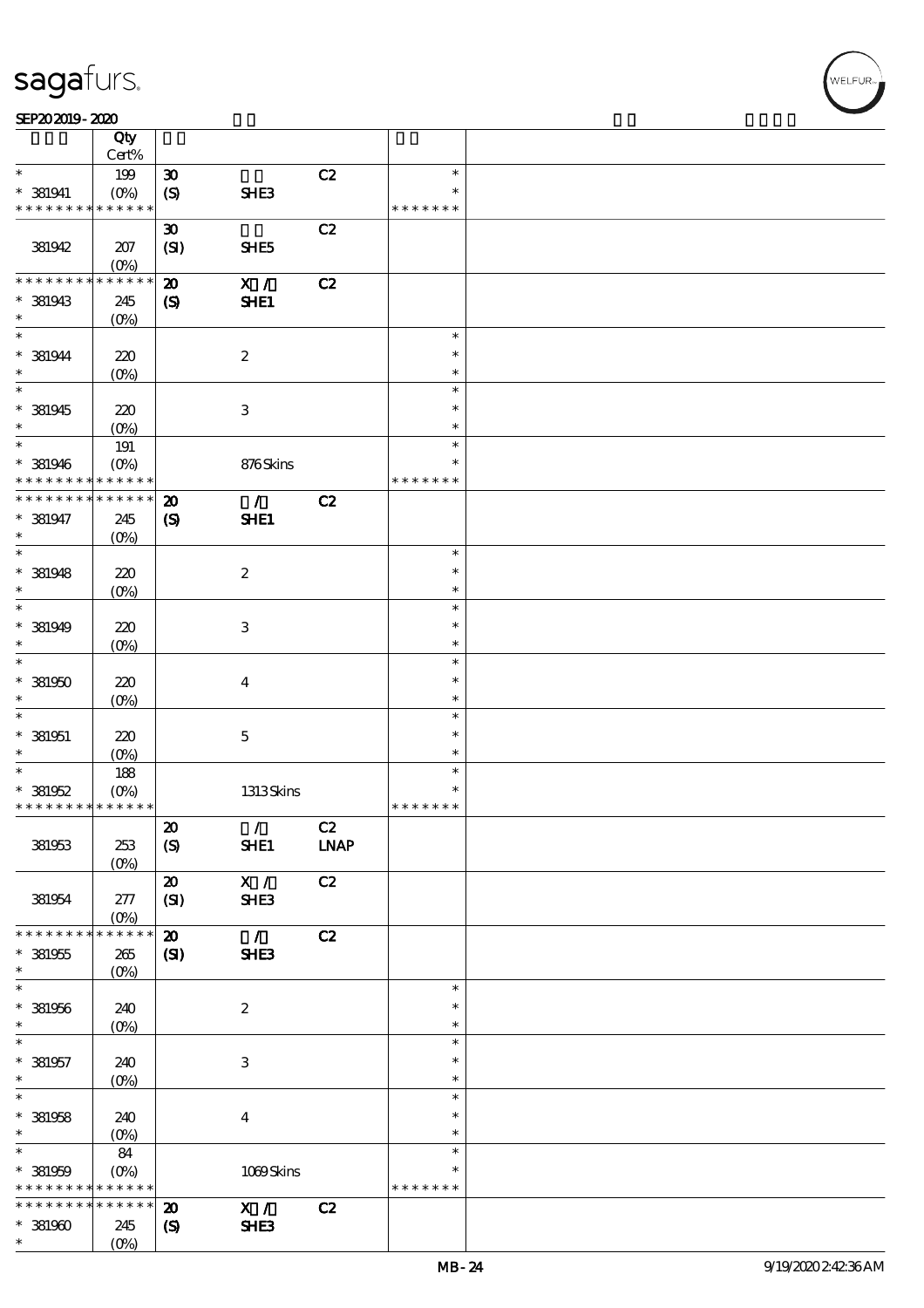#### SEP202019-2020 REPORTED TO A REPORT OF THE SEPENDENT CONTROL SECTION OF THE SHAPE OF THE SHAPE OF THE SHAPE OF

|                                            | Qty                        |                             |                           |             |                  |  |
|--------------------------------------------|----------------------------|-----------------------------|---------------------------|-------------|------------------|--|
|                                            | Cert%                      |                             |                           |             |                  |  |
| $\ast$                                     | 199                        | $\boldsymbol{\mathfrak{D}}$ |                           | C2          | $\ast$<br>$\ast$ |  |
| $*$ 381941<br>* * * * * * * *              | $(O\%)$<br>* * * * * *     | $\boldsymbol{S}$            | SHE3                      |             | * * * * * * *    |  |
|                                            |                            | $\boldsymbol{\mathfrak{D}}$ |                           | C2          |                  |  |
| 381942                                     | 207                        | (SI)                        | SHE <sub>5</sub>          |             |                  |  |
|                                            | $(0\%)$                    |                             |                           |             |                  |  |
| * * * * * * * *                            | * * * * * *                | $\boldsymbol{\mathsf{z}}$   | X /                       | C2          |                  |  |
| $*$ 381943                                 | 245                        | $\boldsymbol{\mathcal{S}}$  | SHE1                      |             |                  |  |
| $\ast$                                     | $(0\%)$                    |                             |                           |             |                  |  |
| $\ast$                                     |                            |                             |                           |             | $\ast$           |  |
| $* 381944$                                 | 220                        |                             | $\boldsymbol{2}$          |             | $\ast$           |  |
| $\ast$<br>$\overline{\ast}$                | $(O\%)$                    |                             |                           |             | $\ast$           |  |
|                                            |                            |                             |                           |             | $\ast$           |  |
| $*$ 381945<br>$\ast$                       | 220                        |                             | $\ensuremath{\mathbf{3}}$ |             | $\ast$<br>$\ast$ |  |
| $*$                                        | $(O\%)$<br>191             |                             |                           |             | $\ast$           |  |
| $*$ 381946                                 | $(O\%)$                    |                             | 876Skins                  |             | $\ast$           |  |
| * * * * * * * *                            | * * * * * *                |                             |                           |             | * * * * * * *    |  |
| * * * * * * * *                            | * * * * * *                | $\boldsymbol{\mathfrak{D}}$ | $\mathcal{L}$             | C2          |                  |  |
| $* 381947$                                 | 245                        | $\boldsymbol{\mathrm{(S)}}$ | SHE1                      |             |                  |  |
| $\ast$                                     | $(O\%)$                    |                             |                           |             |                  |  |
| $\ast$                                     |                            |                             |                           |             | $\ast$           |  |
| $*$ 381948                                 | 220                        |                             | $\boldsymbol{2}$          |             | $\ast$           |  |
| $\ast$                                     | $(0\%)$                    |                             |                           |             | $\ast$           |  |
| $\ast$                                     |                            |                             |                           |             | $\ast$           |  |
| $*$ 381949<br>$\ast$                       | 220                        |                             | 3                         |             | $\ast$           |  |
| $\ast$                                     | $(O\!/\!o)$                |                             |                           |             | $\ast$<br>$\ast$ |  |
| $* 381950$                                 | 220                        |                             | $\boldsymbol{4}$          |             | $\ast$           |  |
| $\ast$                                     | $(0\%)$                    |                             |                           |             | $\ast$           |  |
| $\ast$                                     |                            |                             |                           |             | $\ast$           |  |
| $*$ 381951                                 | 220                        |                             | $\mathbf 5$               |             | $\ast$           |  |
| $\ast$                                     | $(O\%)$                    |                             |                           |             | $\ast$           |  |
| $\ast$                                     | 188                        |                             |                           |             | $\ast$           |  |
| $* 381952$                                 | $(O\%)$                    |                             | 1313Skins                 |             | $\ast$           |  |
| * * * * * * * * * * * * * *                |                            |                             |                           |             | * * * * * * *    |  |
|                                            |                            | $\pmb{\mathcal{X}}$         | $\mathcal{L}$             | C2          |                  |  |
| 381953                                     | 253                        | $\boldsymbol{\mathrm{(S)}}$ | SHE1                      | <b>LNAP</b> |                  |  |
|                                            | $(O\%)$                    |                             |                           |             |                  |  |
|                                            |                            | $\boldsymbol{\mathfrak{D}}$ | X /<br>SHE3               | C2          |                  |  |
| 381954                                     | 277<br>$(O\%)$             | (SI)                        |                           |             |                  |  |
| * * * * * * * *                            | * * * * * *                | $\boldsymbol{\mathfrak{D}}$ | $\mathcal{L}$             | C2          |                  |  |
| $* 381955$                                 | 265                        | (S)                         | SHE3                      |             |                  |  |
| $\ast$                                     | $(0\%)$                    |                             |                           |             |                  |  |
| $\ast$                                     |                            |                             |                           |             | $\ast$           |  |
| $*$ 381956                                 | 240                        |                             | $\boldsymbol{z}$          |             | $\ast$           |  |
| $\ast$                                     | $(0\%)$                    |                             |                           |             | $\ast$           |  |
| $\ast$                                     |                            |                             |                           |             | $\ast$           |  |
| $*$ 381957                                 | 240                        |                             | $\ensuremath{\mathsf{3}}$ |             | $\ast$           |  |
| $\ast$<br>$\overline{\ast}$                | $(O\%)$                    |                             |                           |             | $\ast$<br>$\ast$ |  |
| $*$ 381958                                 | 240                        |                             | $\boldsymbol{4}$          |             | $\ast$           |  |
| $\ast$                                     | $(0\%)$                    |                             |                           |             | $\ast$           |  |
| $\ast$                                     | 84                         |                             |                           |             | $\ast$           |  |
| $* 381959$                                 | $(O\%)$                    |                             | 1009Skins                 |             | $\ast$           |  |
| * * * * * * * * <mark>* * * * * * *</mark> |                            |                             |                           |             | * * * * * * *    |  |
| * * * * * * * *                            | $\ast\ast\ast\ast\ast\ast$ | $\boldsymbol{\mathbf{z}}$   | X /                       | C2          |                  |  |
| $*381900$                                  | 245                        | $\boldsymbol{\mathcal{S}}$  | SHE3                      |             |                  |  |
| $\ast$                                     | $(O\%)$                    |                             |                           |             |                  |  |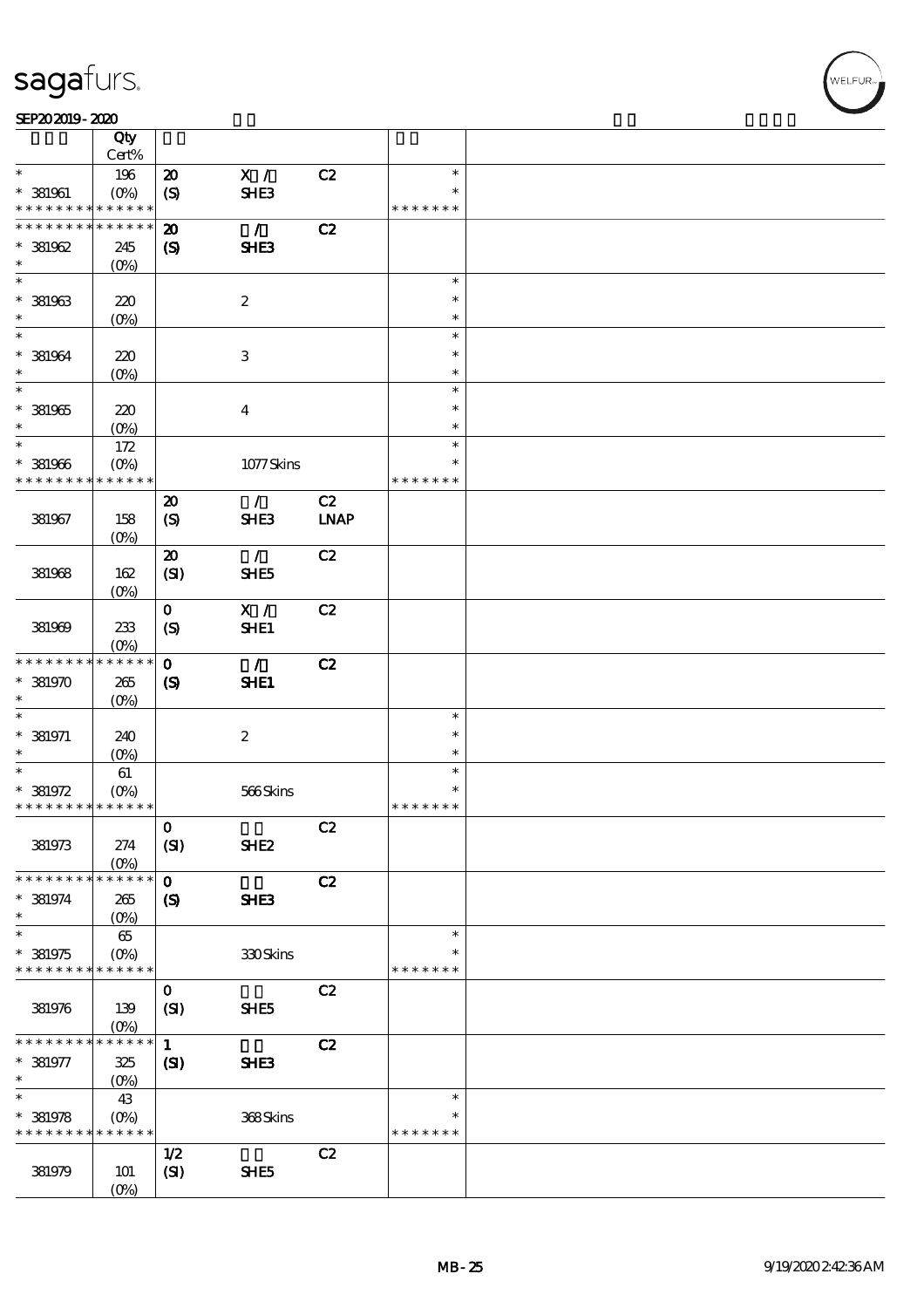#### SEP202019-2020

|                               | Qty                             |                             |                  |             |               |  |
|-------------------------------|---------------------------------|-----------------------------|------------------|-------------|---------------|--|
|                               | Cert%                           |                             |                  |             |               |  |
| $\ast$                        | 196                             | $\boldsymbol{\mathfrak{D}}$ | $\mathbf{X}$ /   | C2          | $\ast$        |  |
| $*$ 381961                    | $(O\!\!\!\!\!\!\backslash\rho)$ | $\boldsymbol{S}$            | SHE3             |             | $\ast$        |  |
| * * * * * * * *               | * * * * * *                     |                             |                  |             | * * * * * * * |  |
| * * * * * * * *               | * * * * * *                     | $\boldsymbol{\mathfrak{D}}$ | $\mathcal{L}$    | C2          |               |  |
| $* 381962$                    | 245                             | $\boldsymbol{\mathcal{S}}$  | SHE <sub>3</sub> |             |               |  |
| $\ast$                        | $(0\%)$                         |                             |                  |             |               |  |
| $\ast$                        |                                 |                             |                  |             | $\ast$        |  |
| $^*$ 381963 $\,$              | 220                             |                             | $\boldsymbol{2}$ |             | $\ast$        |  |
| $\ast$                        | $(O\%)$                         |                             |                  |             | $\ast$        |  |
| $\ast$                        |                                 |                             |                  |             | $\ast$        |  |
| $*$ 381964                    | 220                             |                             | $\,3$            |             | $\ast$        |  |
| $\ast$                        | $(O\%)$                         |                             |                  |             | $\ast$        |  |
| $\overline{\ast}$             |                                 |                             |                  |             | $\ast$        |  |
| $^\ast$ 381965                | 220                             |                             | $\boldsymbol{4}$ |             | $\ast$        |  |
| $\ast$                        | $(O\%)$                         |                             |                  |             | $\ast$        |  |
| $\ast$                        | 172                             |                             |                  |             | $\ast$        |  |
| $*$ 381966                    | $(O\%)$                         |                             | 1077Skins        |             | $\ast$        |  |
| * * * * * * * *               | * * * * * *                     |                             |                  |             | * * * * * * * |  |
|                               |                                 | $\boldsymbol{\mathbf{z}}$   | $\mathcal{L}$    | C2          |               |  |
| 381967                        | 158                             | (S)                         | SHE3             | <b>LNAP</b> |               |  |
|                               | $(O_0)$                         |                             |                  |             |               |  |
|                               |                                 | $\boldsymbol{\mathfrak{D}}$ | $\mathcal{F}$    | C2          |               |  |
| 381968                        | 162                             | (SI)                        | SHE5             |             |               |  |
|                               | $(0\%)$                         |                             |                  |             |               |  |
|                               |                                 | $\mathbf{o}$                | X /              | C2          |               |  |
| 381969                        | 233                             | $\boldsymbol{S}$            | SHE1             |             |               |  |
|                               | $(O\%)$                         |                             |                  |             |               |  |
| * * * * * * * *               | * * * * * *                     | $\mathbf{O}$                | $\mathcal{L}$    | C2          |               |  |
| $* 381970$                    | 265                             | $\boldsymbol{S}$            | SHE1             |             |               |  |
| $\ast$                        | $(O\%)$                         |                             |                  |             |               |  |
| $\ast$                        |                                 |                             |                  |             | $\ast$        |  |
| $*$ 381971                    | 240                             |                             | $\boldsymbol{2}$ |             | $\ast$        |  |
| $\ast$                        | $(O\%)$                         |                             |                  |             | $\ast$        |  |
| $\ast$                        | 61                              |                             |                  |             | $\ast$        |  |
| $* 381972$                    | $(O\%)$                         |                             | 566Skins         |             | $\ast$        |  |
| * * * * * * * * * * * * * *   |                                 |                             |                  |             | * * * * * * * |  |
|                               |                                 | $\mathbf 0$                 |                  | C2          |               |  |
| 381973                        | 274                             | (SI)                        | SHE <sub>2</sub> |             |               |  |
|                               | $(0\%)$                         |                             |                  |             |               |  |
| * * * * * * * *               | * * * * * *                     | $\mathbf{o}$                |                  | C2          |               |  |
| $* 381974$                    | 265                             | $\boldsymbol{\mathcal{S}}$  | SHE3             |             |               |  |
| $\ast$                        | $(O\%)$                         |                             |                  |             |               |  |
| $\ast$                        | 65                              |                             |                  |             | $\ast$        |  |
| $* 381975$<br>* * * * * * * * | $(O\%)$<br>* * * * * *          |                             | 330Skins         |             | ∗             |  |
|                               |                                 |                             |                  |             | * * * * * * * |  |
|                               |                                 | $\mathbf 0$                 |                  | C2          |               |  |
| 381976                        | 139                             | (SI)                        | SHE5             |             |               |  |
| * * * * * * * *               | $(O\%)$<br>* * * * * *          |                             |                  |             |               |  |
|                               |                                 | $\mathbf{1}$                |                  | C2          |               |  |
| $* 381977$<br>$\ast$          | 325                             | $\mathbf{C}$                | SHE3             |             |               |  |
| $\overline{\ast}$             | $(0\%)$                         |                             |                  |             | $\ast$        |  |
|                               | 43                              |                             |                  |             | $\ast$        |  |
| $* 381978$<br>* * * * * * * * | $(0\%)$<br>* * * * * *          |                             | 368Skins         |             | * * * * * * * |  |
|                               |                                 |                             |                  |             |               |  |
|                               |                                 | 1/2                         |                  | C2          |               |  |
| 381979                        | <b>101</b>                      | (SI)                        | SHE5             |             |               |  |
|                               | $(O\%)$                         |                             |                  |             |               |  |

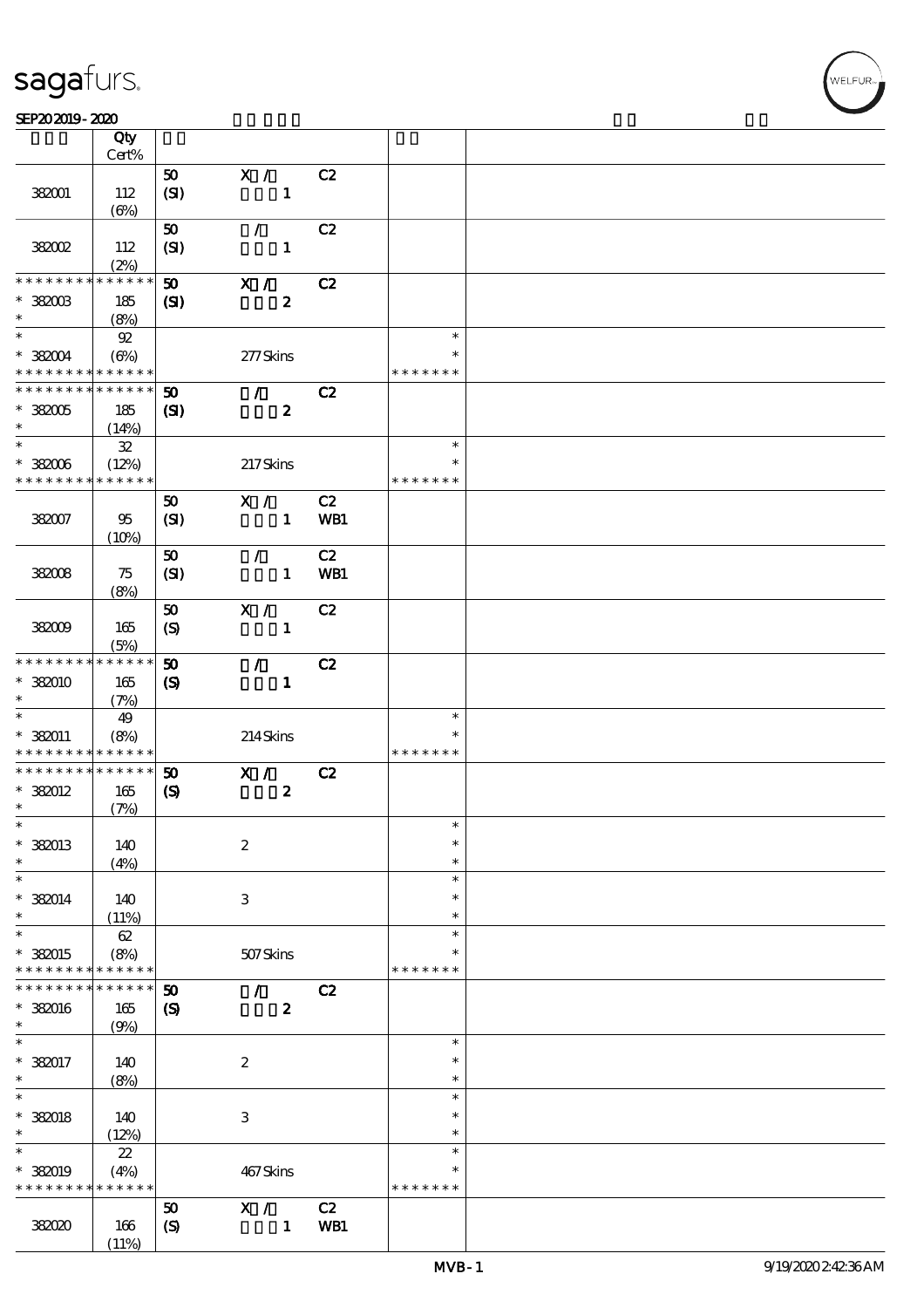#### SEP202019-2020  $\overline{\phantom{a}}$  Qty  $\overline{\phantom{a}}$

|                                            | Qty                        |                             |                  |     |               |  |
|--------------------------------------------|----------------------------|-----------------------------|------------------|-----|---------------|--|
|                                            | Cert%                      |                             |                  |     |               |  |
|                                            |                            | 50                          | X /              | C2  |               |  |
| 382001                                     | 112                        | (SI)                        | $\mathbf{1}$     |     |               |  |
|                                            | $(\Theta)$                 |                             |                  |     |               |  |
|                                            |                            | 50                          | $\mathcal{L}$    | C2  |               |  |
| <b>38002</b>                               | 112                        | (SI)                        | $\mathbf{1}$     |     |               |  |
| * * * * * * * *                            | (2%)<br>* * * * * *        |                             |                  |     |               |  |
|                                            |                            | 50                          | X /              | C2  |               |  |
| $*$ 382003<br>$\ast$                       | 185                        | $\mathbf{C}$                | $\boldsymbol{z}$ |     |               |  |
| $\ast$                                     | (8%)<br>${\mathfrak{A}}$   |                             |                  |     | $\ast$        |  |
| $*382004$                                  | $(\Theta)$                 |                             | 277Skins         |     | $\ast$        |  |
| * * * * * * * * * * * * * *                |                            |                             |                  |     | * * * * * * * |  |
| * * * * * * * * * * * * * *                |                            | $\boldsymbol{\mathfrak{D}}$ | $\mathcal{L}$    | C2  |               |  |
| $*382005$                                  | 185                        | (S)                         | $\boldsymbol{z}$ |     |               |  |
| $\ast$                                     | (14%)                      |                             |                  |     |               |  |
| $\ast$                                     | ${\bf 3\!}$                |                             |                  |     | $\ast$        |  |
| $^\ast$ 382006                             | (12%)                      |                             | 217Skins         |     | $\ast$        |  |
| * * * * * * * * * * * * * *                |                            |                             |                  |     | * * * * * * * |  |
|                                            |                            | 50                          | X /              | C2  |               |  |
| 382007                                     | 95                         | (SI)                        | $\mathbf{1}$     | WB1 |               |  |
|                                            | (10%)                      |                             |                  |     |               |  |
|                                            |                            | 50                          | $\mathcal{F}$    | C2  |               |  |
| 382008                                     | 75                         | (SI)                        | $\mathbf{1}$     | WB1 |               |  |
|                                            | (8%)                       |                             |                  |     |               |  |
|                                            |                            | 50                          | X /              | C2  |               |  |
| 382009                                     | 165                        | $\boldsymbol{S}$            | $\mathbf{1}$     |     |               |  |
|                                            | (5%)                       |                             |                  |     |               |  |
| * * * * * * * *                            | $* * * * * * *$            | 50                          | $\mathcal{L}$    | C2  |               |  |
| * 382010                                   | 165                        | $\boldsymbol{S}$            | $\mathbf{1}$     |     |               |  |
| $\ast$                                     | (7%)                       |                             |                  |     |               |  |
| $\ast$                                     | 49                         |                             |                  |     | $\ast$        |  |
| $*382011$                                  | (8%)                       |                             | 214Skins         |     | $\ast$        |  |
| * * * * * * * * <mark>* * * * * * *</mark> |                            |                             |                  |     | * * * * * * * |  |
| * * * * * * * * * * * * * *                |                            | 50                          | X /              | C2  |               |  |
| * 382012                                   | 165                        | $\boldsymbol{\mathrm{(S)}}$ | $\boldsymbol{2}$ |     |               |  |
| $\ast$                                     | (7%)                       |                             |                  |     |               |  |
| $\ast$                                     |                            |                             |                  |     | $\ast$        |  |
| * 382013                                   | 140                        |                             | $\boldsymbol{2}$ |     | $\ast$        |  |
| $\ast$                                     | (4%)                       |                             |                  |     | $\ast$        |  |
| $\ast$                                     |                            |                             |                  |     | $\ast$        |  |
| $* 382014$                                 | 140                        |                             | $\,3$            |     | $\ast$        |  |
| $\ast$                                     | (11%)                      |                             |                  |     | $\ast$        |  |
| $\ast$                                     | 62                         |                             |                  |     | $\ast$        |  |
| * 382015                                   | (8%)                       |                             | 507Skins         |     | $\ast$        |  |
| * * * * * * * *<br>* * * * * * * *         | * * * * * *<br>* * * * * * |                             |                  |     | * * * * * * * |  |
|                                            |                            | $\boldsymbol{\mathfrak{w}}$ | Z.               | C2  |               |  |
| * 382016<br>$\ast$                         | 165                        | $\boldsymbol{\mathcal{S}}$  | $\bf{2}$         |     |               |  |
| $\ast$                                     | (9%)                       |                             |                  |     | $\ast$        |  |
| * 382017                                   | 140                        |                             | $\boldsymbol{2}$ |     | $\ast$        |  |
| $\ast$                                     | (8%)                       |                             |                  |     | $\ast$        |  |
| $\ast$                                     |                            |                             |                  |     | $\ast$        |  |
| $*$ 382018                                 | 140                        |                             | $\,3$            |     | $\ast$        |  |
| $\ast$                                     | (12%)                      |                             |                  |     | $\ast$        |  |
| $\ast$                                     | $2\!2$                     |                             |                  |     | $\ast$        |  |
| * 382019                                   | (4%)                       |                             | 467Skins         |     | $\ast$        |  |
| * * * * * * * *                            | * * * * * *                |                             |                  |     | * * * * * * * |  |
|                                            |                            | 50                          | X /              | C2  |               |  |
| 382020                                     | 166                        | $\boldsymbol{S}$            | $\mathbf{1}$     | WB1 |               |  |
|                                            | (11%)                      |                             |                  |     |               |  |

 $\overline{\mathsf{T}}$ 

.<br>FLEUR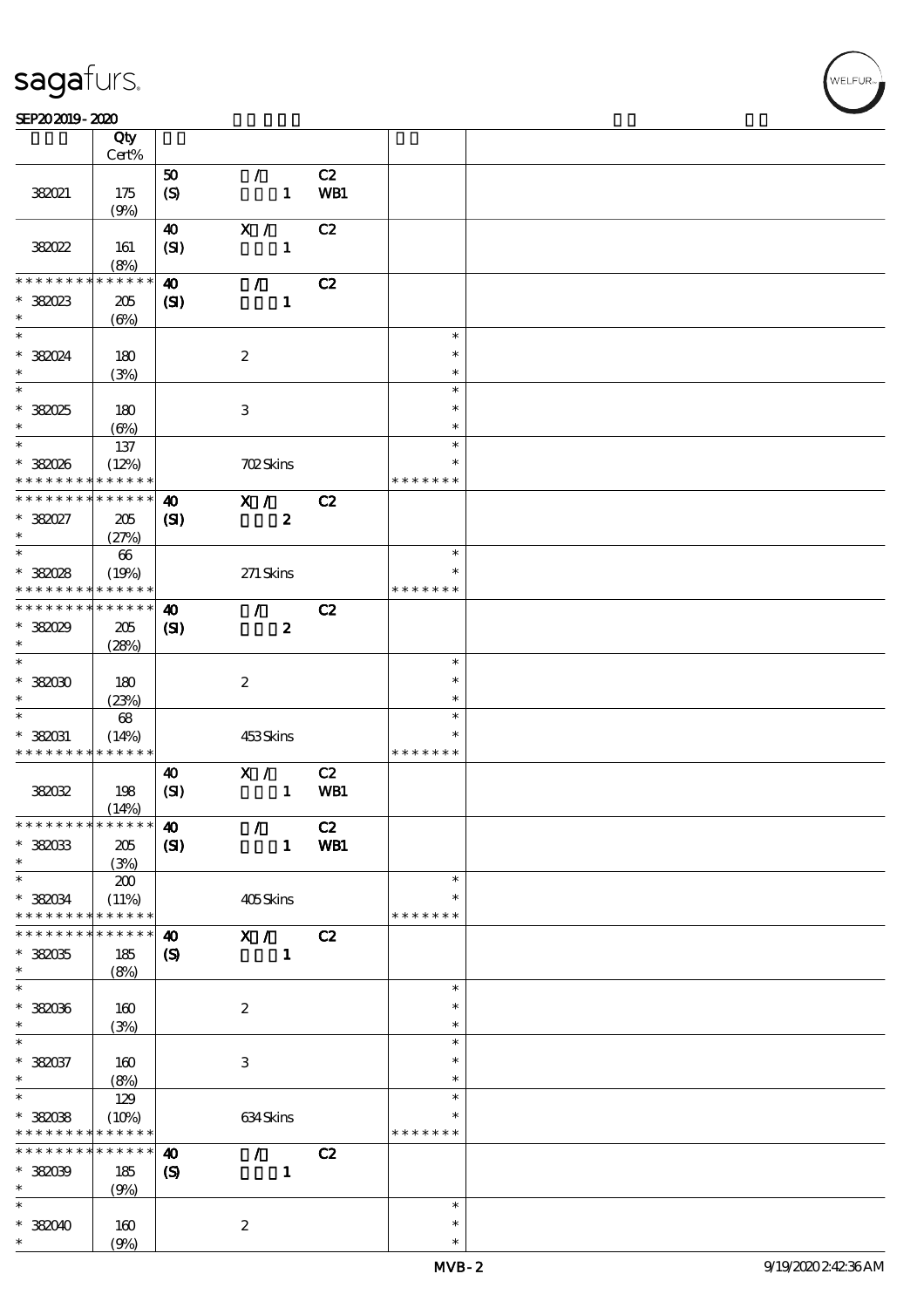#### SEP202019-2020

|                               | Qty                        |                             |                  |     |               |  |
|-------------------------------|----------------------------|-----------------------------|------------------|-----|---------------|--|
|                               | Cert%                      |                             |                  |     |               |  |
|                               |                            | ${\bf 50}$                  | $\mathcal{L}$    | C2  |               |  |
| 382021                        | 175                        | $\pmb{\in}$                 | $\mathbf{1}$     | WB1 |               |  |
|                               | (9%)                       |                             |                  |     |               |  |
|                               |                            | $\boldsymbol{\Lambda}$      | X /              | C2  |               |  |
| 38022                         | 161                        | (SI)                        | $\mathbf{1}$     |     |               |  |
|                               | (8%)                       |                             |                  |     |               |  |
| * * * * * * *                 | * * * * * *                |                             |                  |     |               |  |
|                               |                            | $\boldsymbol{\omega}$       | $\mathcal{L}$    | C2  |               |  |
| * 382023                      | 205                        | $\mathbf{C}$                | $\mathbf{1}$     |     |               |  |
| $\ast$                        | $(\Theta)$                 |                             |                  |     |               |  |
| $\overline{\ast}$             |                            |                             |                  |     | $\ast$        |  |
| * 382024                      | 180                        |                             | $\boldsymbol{2}$ |     | $\ast$        |  |
| $\ast$                        | (3%)                       |                             |                  |     | $\ast$        |  |
| $\overline{\phantom{0}}$      |                            |                             |                  |     | $\ast$        |  |
| $*38025$                      |                            |                             | $\,3$            |     | $\ast$        |  |
|                               | 180                        |                             |                  |     |               |  |
| $\ast$                        | $(\Theta)$                 |                             |                  |     | $\ast$        |  |
| $*$                           | 137                        |                             |                  |     | $\ast$        |  |
| * 382026                      | (12%)                      |                             | <b>702Skins</b>  |     | $\ast$        |  |
| * * * * * * * *               | * * * * * *                |                             |                  |     | * * * * * * * |  |
| * * * * * * * *               | $\ast\ast\ast\ast\ast\ast$ | $\boldsymbol{\omega}$       | X /              | C2  |               |  |
| * 382027                      | 205                        | (S)                         | $\boldsymbol{2}$ |     |               |  |
| $\ast$                        | (27%)                      |                             |                  |     |               |  |
| $\overline{\phantom{0}}$      | $66\,$                     |                             |                  |     | $\ast$        |  |
|                               |                            |                             |                  |     | $\ast$        |  |
| * 382028                      | (19%)                      |                             | $271$ Skins      |     |               |  |
| * * * * * * * *               | * * * * * *                |                             |                  |     | * * * * * * * |  |
| * * * * * * * *               | * * * * * *                | $\boldsymbol{\omega}$       | $\mathcal{F}$    | C2  |               |  |
| $*38029$                      | 205                        | $\mathbf{C}$                | $\boldsymbol{z}$ |     |               |  |
| $\ast$                        | (28%)                      |                             |                  |     |               |  |
| $\overline{\ast}$             |                            |                             |                  |     | $\ast$        |  |
| $*38200$                      | 180                        |                             | $\boldsymbol{z}$ |     | $\ast$        |  |
| $\ast$                        | (23%)                      |                             |                  |     | $\ast$        |  |
| $\ast$                        | $68\,$                     |                             |                  |     | $\ast$        |  |
|                               |                            |                             |                  |     | $\ast$        |  |
| $*$ 382031                    | (14%)                      |                             | 453Skins         |     | * * * * * * * |  |
| * * * * * * * *               | $* * * * * * *$            |                             |                  |     |               |  |
|                               |                            | $\boldsymbol{\omega}$       | X /              | C2  |               |  |
| 38032                         | 198                        | (SI)                        | $\mathbf{1}$     | WB1 |               |  |
|                               | (14%)                      |                             |                  |     |               |  |
| * * * * * * * * * * * * * * * |                            | $\boldsymbol{\omega}$       | $\mathcal{L}$    | C2  |               |  |
| $*382033$                     | 205                        | (S)                         | $\mathbf{1}$     | WB1 |               |  |
| $\ast$                        | (3%)                       |                             |                  |     |               |  |
| $\ast$                        | 200                        |                             |                  |     | $\ast$        |  |
|                               |                            |                             |                  |     | $\ast$        |  |
| $*382034$<br>* * * * * * * *  | (11%)<br>* * * * * *       |                             | 405Skins         |     | * * * * * * * |  |
|                               |                            |                             |                  |     |               |  |
| * * * * * * *                 | * * * * * *                | $\boldsymbol{\omega}$       | X /              | C2  |               |  |
| * 382035                      | 185                        | $\boldsymbol{\mathrm{(S)}}$ | $\mathbf{1}$     |     |               |  |
| $\ast$                        | (8%)                       |                             |                  |     |               |  |
| $\ast$                        |                            |                             |                  |     | $\ast$        |  |
| $*382036$                     | $160$                      |                             | $\boldsymbol{2}$ |     | $\ast$        |  |
| $\ast$                        | (3%)                       |                             |                  |     | $\ast$        |  |
| $\ast$                        |                            |                             |                  |     | $\ast$        |  |
| $*382037$                     |                            |                             | $\,3$            |     | $\ast$        |  |
| $\ast$                        | 160                        |                             |                  |     | $\ast$        |  |
| $\overline{\ast}$             | (8%)                       |                             |                  |     | $\ast$        |  |
|                               | 129                        |                             |                  |     |               |  |
| $*38008$                      | (10%)                      |                             | 634Skins         |     | ∗             |  |
| * * * * * * * *               | * * * * * *                |                             |                  |     | * * * * * * * |  |
| * * * * * * * *               | * * * * * *                | $\boldsymbol{\omega}$       | $\mathcal{L}$    | C2  |               |  |
| $*382039$                     | 185                        | $\boldsymbol{\mathrm{(S)}}$ | $\mathbf{1}$     |     |               |  |
| $\ast$                        | (9%)                       |                             |                  |     |               |  |
| $\ast$                        |                            |                             |                  |     | $\ast$        |  |
| $*38000$                      |                            |                             |                  |     | $\ast$        |  |
| $\ast$                        | 160                        |                             | $\boldsymbol{z}$ |     |               |  |
|                               | (9%)                       |                             |                  |     | $\ast$        |  |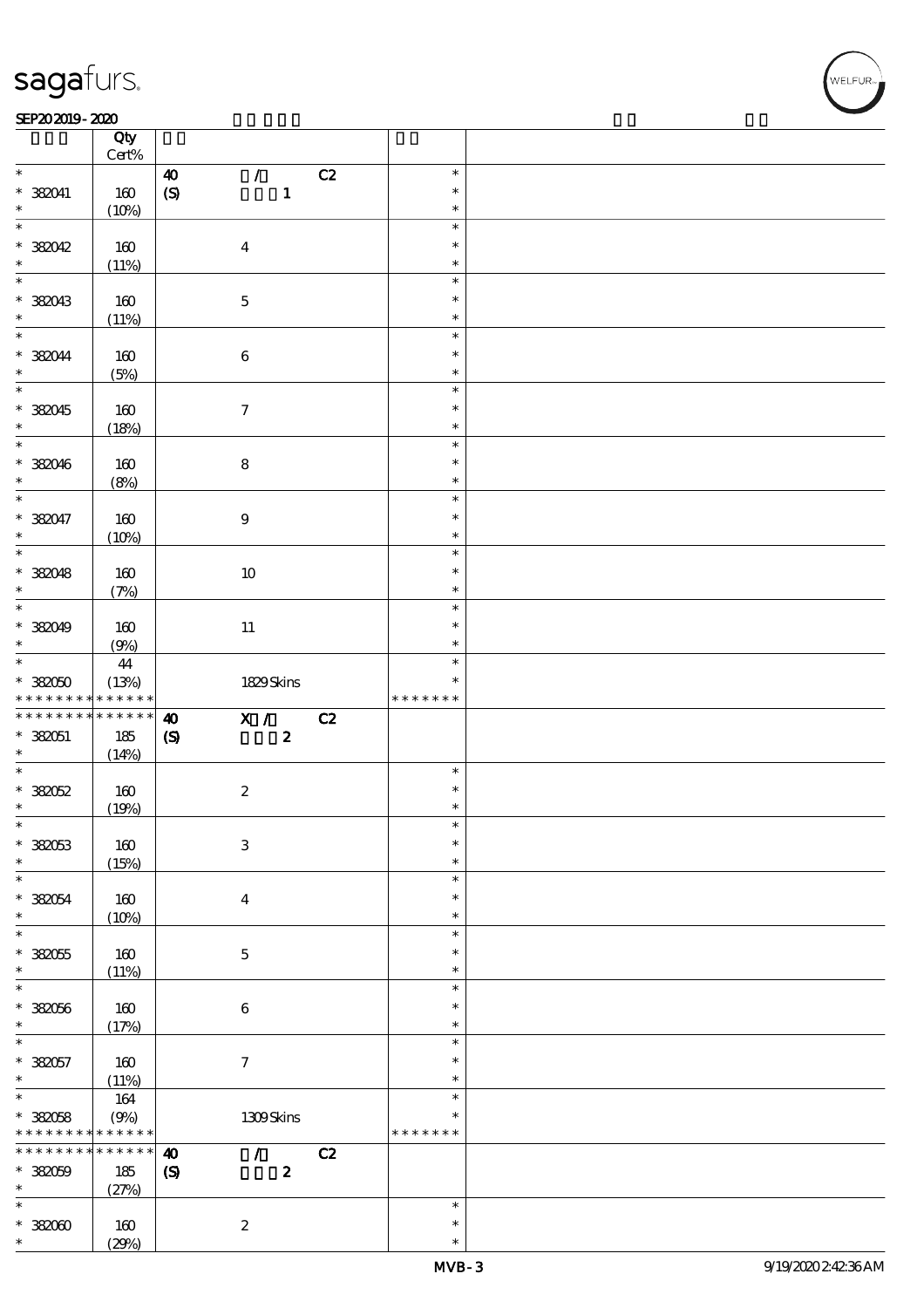#### SEP202019-2020 REPORTED TO A REPORT OF THE SEPENDENT CONTROL AND THE SEPENDENT CONTROL OF THE SEPENDENT CONTROL OF THE SEPENDENT CONTROL OF THE SEPENDENT CONTROL OF THE SEPENDENT CONTROL OF THE SEPENDENT CONTROL OF THE SEP

|                          | Qty<br>$Cert\%$ |                                                |                  |  |
|--------------------------|-----------------|------------------------------------------------|------------------|--|
| $\ast$                   |                 | $\mathcal{L}$<br>C2<br>$\boldsymbol{\omega}$   | $\ast$           |  |
| * 382041                 | 160             | $\mathbf{1}$                                   | $\ast$           |  |
| $\ast$                   |                 | $\pmb{\in}$                                    | $\ast$           |  |
| $\overline{\ast}$        | (10%)           |                                                | $\ast$           |  |
|                          |                 |                                                |                  |  |
| $*382042$                | 160             | $\boldsymbol{4}$                               | $\ast$           |  |
| $\ast$                   | (11%)           |                                                | $\ast$           |  |
|                          |                 |                                                | $\ast$           |  |
| $*382043$                | 160             | $\mathbf 5$                                    | $\ast$           |  |
| $\ast$                   | (11%)           |                                                | $\ast$           |  |
| $*$                      |                 |                                                | $\ast$           |  |
| * 382044                 | 160             | $\,6\,$                                        | $\ast$           |  |
| $\ast$                   | (5%)            |                                                | $\ast$           |  |
|                          |                 |                                                | $\ast$           |  |
| * 382045                 | 160             | $\boldsymbol{7}$                               | $\ast$           |  |
| $\ast$                   | (18%)           |                                                | $\ast$           |  |
| $\overline{\ast}$        |                 |                                                | $\ast$           |  |
|                          |                 |                                                | $\ast$           |  |
| $*$ 382046<br>$\ast$     | 160             | $\bf 8$                                        | $\ast$           |  |
| $\overline{\ast}$        | (8%)            |                                                |                  |  |
|                          |                 |                                                | $\ast$           |  |
| * 382047                 | 160             | $\boldsymbol{9}$                               | $\ast$           |  |
| $\ast$                   | (10%)           |                                                | $\ast$           |  |
| $\overline{\phantom{0}}$ |                 |                                                | $\ast$           |  |
| * 382048                 | $160$           | 10                                             | $\ast$           |  |
| $\ast$                   | (7%)            |                                                | $\ast$           |  |
| $\overline{\phantom{0}}$ |                 |                                                | $\ast$           |  |
| * 382049                 | 160             | $11\,$                                         | $\ast$           |  |
| $\ast$                   | (9%)            |                                                | $\ast$           |  |
| $*$                      | 44              |                                                | $\ast$           |  |
| $*38000$                 | (13%)           | 1829Skins                                      | $\ast$           |  |
|                          |                 |                                                | * * * * * * *    |  |
|                          |                 |                                                |                  |  |
| * * * * * * * *          | * * * * * *     |                                                |                  |  |
| * * * * * * * *          | * * * * * *     | X / C2<br>$\boldsymbol{\omega}$                |                  |  |
| $* 382051$               | 185             | $\boldsymbol{2}$<br>$\pmb{\infty}$             |                  |  |
| $\ast$                   | (14%)           |                                                |                  |  |
| $*$                      |                 |                                                | $\ast$           |  |
| $*38052$                 | 160             | $\boldsymbol{2}$                               | $\ast$           |  |
| $\ast$                   | (19%)           |                                                | $\ast$           |  |
| $*$                      |                 |                                                | $\ast$           |  |
| $*382053$                | $160$           | $\,3$                                          | $\ast$           |  |
| $\ast$                   | (15%)           |                                                | $\ast$           |  |
| $\ast$                   |                 |                                                | $\ast$           |  |
| $*382054$                | 160             | $\bf{4}$                                       | $\ast$           |  |
| $\ast$                   | (10%)           |                                                | $\ast$           |  |
| $\ast$                   |                 |                                                | $\ast$           |  |
| $* 38005$                | 160             | $\mathbf 5$                                    | $\ast$           |  |
| $\ast$                   | (11%)           |                                                | $\ast$           |  |
| $\ast$                   |                 |                                                | $\ast$           |  |
| $*382056$                | 160             | $\bf 6$                                        | $\ast$           |  |
| $\ast$                   |                 |                                                | $\ast$           |  |
| $\ast$                   | (17%)           |                                                | $\ast$           |  |
|                          |                 |                                                | $\ast$           |  |
| $* 382057$<br>$\ast$     | 160             | $\boldsymbol{\tau}$                            | $\ast$           |  |
|                          | (11%)           |                                                | $\ast$           |  |
| $\overline{\ast}$        | 164             |                                                | $\ast$           |  |
| $*38058$                 | (9%)            | 1309Skins                                      |                  |  |
| * * * * * * * *          | * * * * * *     |                                                | * * * * * * *    |  |
| * * * * * * * *          | $******$        | C2<br>$\boldsymbol{\omega}$<br>$\mathcal{L}$   |                  |  |
| $*38000$                 | 185             | $\boldsymbol{2}$<br>$\boldsymbol{\mathcal{S}}$ |                  |  |
| $\ast$                   | (27%)           |                                                |                  |  |
| $\ast$                   |                 |                                                | $\ast$           |  |
| $*38000$<br>$\ast$       | 160<br>(29%)    | $\boldsymbol{2}$                               | $\ast$<br>$\ast$ |  |

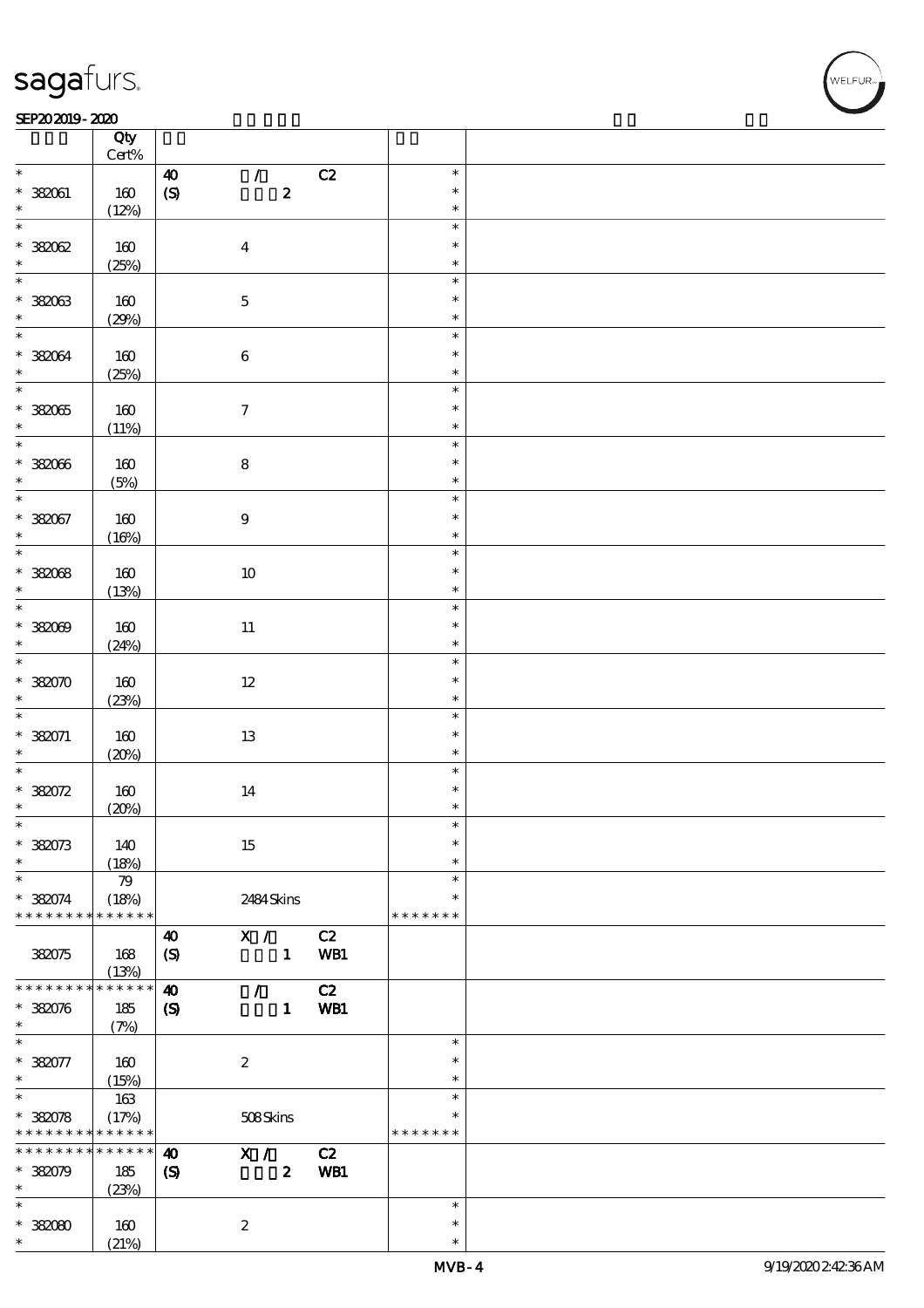#### SEP202019-2020 REPORTED TO A REPORT OF THE SEPENDENT CONTROL AND THE SEPENDENT CONTROL OF THE SEPENDENT CONTROL OF THE SEPENDENT CONTROL OF THE SEPENDENT CONTROL OF THE SEPENDENT CONTROL OF THE SEPENDENT CONTROL OF THE SEP

|                                    | Qty<br>$\mbox{Cert}\%$ |                             |                  |     |                  |  |
|------------------------------------|------------------------|-----------------------------|------------------|-----|------------------|--|
| $\ast$                             |                        | $\boldsymbol{\omega}$       | $\mathcal{L}$    | C2  | $\ast$           |  |
| $* 382061$                         | 160                    | $\pmb{\text{(S)}}$          | $\boldsymbol{2}$ |     | $\ast$           |  |
| $\ast$                             | (12%)                  |                             |                  |     | $\ast$           |  |
| $\overline{\ast}$                  |                        |                             |                  |     | $\ast$           |  |
| $*38002$                           | 160                    |                             | $\boldsymbol{4}$ |     | $\ast$           |  |
| $\ast$                             | (25%)                  |                             |                  |     | $\ast$           |  |
| $\overline{\ast}$                  |                        |                             |                  |     | $\ast$           |  |
| $* 38003$                          | 160                    |                             | $\mathbf 5$      |     | $\ast$           |  |
| $\ast$                             | (29%)                  |                             |                  |     | $\ast$           |  |
| $\overline{\ast}$                  |                        |                             |                  |     | $\ast$           |  |
| * 382064                           | 160                    |                             | $\bf 6$          |     | $\ast$           |  |
| $\ast$<br>$\overline{\phantom{0}}$ | (25%)                  |                             |                  |     | $\ast$<br>$\ast$ |  |
|                                    |                        |                             |                  |     | $\ast$           |  |
| $* 38005$<br>$\ast$                | 160                    |                             | $\boldsymbol{7}$ |     | $\ast$           |  |
|                                    | (11%)                  |                             |                  |     | $\ast$           |  |
| $* 382066$                         | 160                    |                             | $\bf 8$          |     | $\ast$           |  |
| $\ast$                             | (5%)                   |                             |                  |     | $\ast$           |  |
| $\overline{\ast}$                  |                        |                             |                  |     | $\ast$           |  |
| $* 382067$                         | 160                    |                             | $\boldsymbol{9}$ |     | $\ast$           |  |
| $\ast$                             | (16%)                  |                             |                  |     | $\ast$           |  |
|                                    |                        |                             |                  |     | $\ast$           |  |
| $*38008$                           | 160                    |                             | 10               |     | $\ast$           |  |
| $\ast$                             | (13%)                  |                             |                  |     | $\ast$           |  |
|                                    |                        |                             |                  |     | $\ast$           |  |
| $*382009$                          | 160                    |                             | $11\,$           |     | $\ast$           |  |
| $\ast$                             | (24%)                  |                             |                  |     | $\ast$           |  |
| $\overline{\ast}$                  |                        |                             |                  |     | $\ast$           |  |
| $* 382070$                         | 160                    |                             | $12\,$           |     | $\ast$           |  |
| $\ast$<br>$\overline{\ast}$        | (23%)                  |                             |                  |     | $\ast$           |  |
|                                    |                        |                             |                  |     | $\ast$<br>$\ast$ |  |
| $* 382071$<br>$\ast$               | 160                    |                             | $1\!3$           |     | $\ast$           |  |
| $\ast$                             | (20%)                  |                             |                  |     | $\ast$           |  |
| * 382072                           | 160                    |                             | 14               |     | $\ast$           |  |
| $\ast$                             | (20%)                  |                             |                  |     | $\ast$           |  |
| $\ast$                             |                        |                             |                  |     | $\ast$           |  |
| $*382073$                          | 140                    |                             | 15               |     | $\ast$           |  |
| $\ast$                             | (18%)                  |                             |                  |     | $\ast$           |  |
| $\ast$                             | 79                     |                             |                  |     | $\ast$           |  |
| * 382074                           | (18%)                  |                             | 2484Skins        |     | $\ast$           |  |
| * * * * * * * *                    | * * * * * *            |                             |                  |     | * * * * * * *    |  |
|                                    |                        | $\boldsymbol{\omega}$       | X /              | C2  |                  |  |
| 382075                             | 168                    | $\boldsymbol{S}$            | $\mathbf{1}$     | WB1 |                  |  |
|                                    | (13%)                  |                             |                  |     |                  |  |
| * * * * * * * *                    | * * * * * *            | $\boldsymbol{\omega}$       | $\mathcal{L}$    | C2  |                  |  |
| $* 382076$<br>$\ast$               | 185                    | $\boldsymbol{\mathcal{S}}$  | $\mathbf{1}$     | WB1 |                  |  |
| $\ast$                             | (7%)                   |                             |                  |     | $\ast$           |  |
| $* 382077$                         | 160                    |                             | $\boldsymbol{2}$ |     | $\ast$           |  |
| $\ast$                             | (15%)                  |                             |                  |     | $\ast$           |  |
| $\overline{\ast}$                  | 163                    |                             |                  |     | $\ast$           |  |
| $* 380078$                         | (17%)                  |                             | 508Skins         |     | $\ast$           |  |
| * * * * * * * *                    | * * * * * *            |                             |                  |     | * * * * * * *    |  |
| * * * * * * * *                    | * * * * * *            | $\boldsymbol{\omega}$       | X /              | C2  |                  |  |
| $*38079$                           | 185                    | $\boldsymbol{\mathrm{(S)}}$ | $\boldsymbol{z}$ | WB1 |                  |  |
| $\ast$                             | (23%)                  |                             |                  |     |                  |  |
| $\ast$                             |                        |                             |                  |     | $\ast$           |  |
| $*38000$                           | 160                    |                             | $\boldsymbol{z}$ |     | $\ast$           |  |
| $\ast$                             | (21%)                  |                             |                  |     | $\ast$           |  |

.<br>WELFUR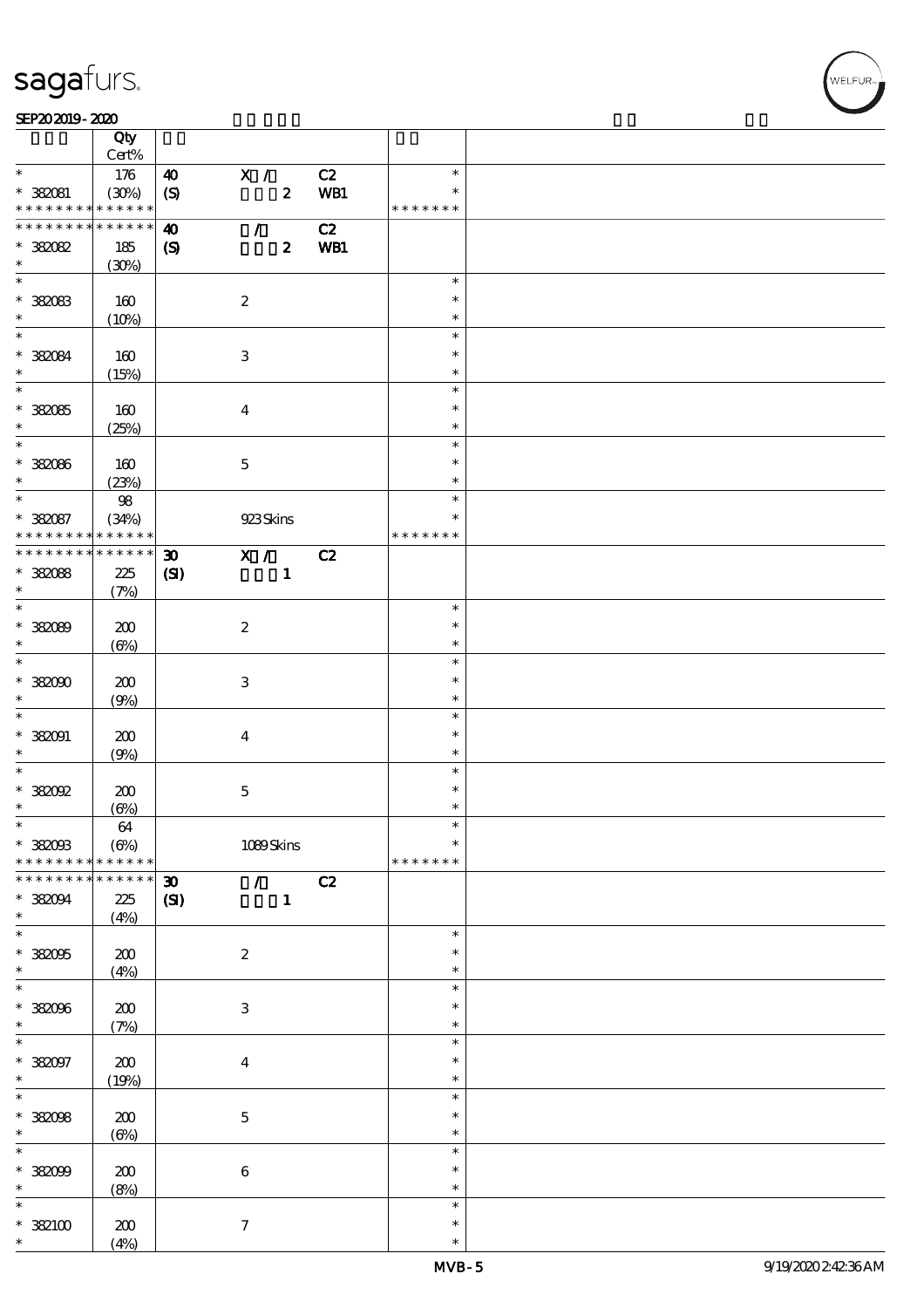$\top$ 

#### SEP202019-2020 REPORTED TO A REPORT OF THE SEPENDENT CONTROL AND THE SEPENDENT CONTROL OF THE SEPENDENT CONTROL OF THE SEPENDENT CONTROL OF THE SEPENDENT CONTROL OF THE SEPENDENT CONTROL OF THE SEPENDENT CONTROL OF THE SEP

|                                          | Qty<br>Cert%               |                             |                           |                  |     |               |  |
|------------------------------------------|----------------------------|-----------------------------|---------------------------|------------------|-----|---------------|--|
| $\ast$                                   |                            |                             |                           |                  |     | $\ast$        |  |
|                                          | 176                        | $\boldsymbol{\omega}$       | X /                       |                  | C2  |               |  |
| * 382081                                 | (30%)                      | (S)                         |                           | $\boldsymbol{z}$ | WB1 | $\ast$        |  |
| * * * * * * * * <mark>* * * * * *</mark> |                            |                             |                           |                  |     | * * * * * * * |  |
| * * * * * * * *                          | $\ast\ast\ast\ast\ast\ast$ | 40                          | $\mathcal{L}$             |                  | C2  |               |  |
| * 382082                                 | 185                        | $\boldsymbol{\mathrm{(S)}}$ |                           | $\boldsymbol{z}$ | WB1 |               |  |
| $\ast$                                   |                            |                             |                           |                  |     |               |  |
| $\overline{\phantom{0}}$                 | (30%)                      |                             |                           |                  |     |               |  |
|                                          |                            |                             |                           |                  |     | $\ast$        |  |
| $*38083$                                 | 160                        |                             | $\boldsymbol{2}$          |                  |     | $\ast$        |  |
| $\ast$                                   | (10%)                      |                             |                           |                  |     | $\ast$        |  |
| $\overline{\mathbf{r}}$                  |                            |                             |                           |                  |     | $\ast$        |  |
|                                          |                            |                             |                           |                  |     | $\ast$        |  |
| * 382084                                 | 160                        |                             | $\,3$                     |                  |     |               |  |
| $\ast$                                   | (15%)                      |                             |                           |                  |     | $\ast$        |  |
| $\overline{\ast}$                        |                            |                             |                           |                  |     | $\ast$        |  |
| $* 38085$                                | 160                        |                             | $\boldsymbol{4}$          |                  |     | $\ast$        |  |
| $\ast$                                   | (25%)                      |                             |                           |                  |     | $\ast$        |  |
| $\overline{\ast}$                        |                            |                             |                           |                  |     | $\ast$        |  |
|                                          |                            |                             |                           |                  |     |               |  |
| * 382086                                 | 160                        |                             | $\mathbf{5}$              |                  |     | $\ast$        |  |
| $\ast$                                   | (23%)                      |                             |                           |                  |     | $\ast$        |  |
| $\ast$                                   | 98                         |                             |                           |                  |     | $\ast$        |  |
| * 382087                                 | (34%)                      |                             | 923Skins                  |                  |     | $\ast$        |  |
| * * * * * * * *                          | * * * * * *                |                             |                           |                  |     | * * * * * * * |  |
| * * * * * * * * * * * * * * *            |                            | $\boldsymbol{\mathfrak{D}}$ | X /                       |                  | C2  |               |  |
|                                          |                            |                             |                           |                  |     |               |  |
| $*38088$                                 | 225                        | (SI)                        |                           | $\mathbf{1}$     |     |               |  |
| $\ast$                                   | (7%)                       |                             |                           |                  |     |               |  |
|                                          |                            |                             |                           |                  |     | $\ast$        |  |
| * 382089                                 | 200                        |                             | $\boldsymbol{2}$          |                  |     | $\ast$        |  |
| $\ast$                                   | $(\Theta)$                 |                             |                           |                  |     | $\ast$        |  |
| $\overline{\ast}$                        |                            |                             |                           |                  |     | $\ast$        |  |
|                                          |                            |                             |                           |                  |     | $\ast$        |  |
| $*38000$                                 | 200                        |                             | 3                         |                  |     |               |  |
| $\ast$                                   | (9%)                       |                             |                           |                  |     | $\ast$        |  |
| $\ast$                                   |                            |                             |                           |                  |     | $\ast$        |  |
| $*382091$                                | 200                        |                             | $\boldsymbol{4}$          |                  |     | $\ast$        |  |
| $\ast$                                   | (9%)                       |                             |                           |                  |     | $\ast$        |  |
| $\ast$                                   |                            |                             |                           |                  |     | $\ast$        |  |
| $*38002$                                 |                            |                             |                           |                  |     | $\ast$        |  |
|                                          | 200                        |                             | $\mathbf 5$               |                  |     |               |  |
| $\ast$                                   | $(\Theta\%)$               |                             |                           |                  |     | $\ast$        |  |
| $\ast$                                   | $64\,$                     |                             |                           |                  |     | $\ast$        |  |
| $*38003$                                 | $(\Theta\%)$               |                             | 1089Skins                 |                  |     | $\ast$        |  |
| * * * * * * * *                          | * * * * * *                |                             |                           |                  |     | * * * * * * * |  |
| * * * * * * *                            | * * * * * *                | $\boldsymbol{\mathfrak{D}}$ | $\mathcal{T}=\mathcal{I}$ |                  | C2  |               |  |
|                                          |                            |                             |                           | $\mathbf{1}$     |     |               |  |
| * 382094                                 | 225                        | $\mathbf{C}$                |                           |                  |     |               |  |
| $\ast$                                   | (4%)                       |                             |                           |                  |     |               |  |
| $\overline{\ast}$                        |                            |                             |                           |                  |     | $\ast$        |  |
| $*38005$                                 | 200                        |                             | $\boldsymbol{2}$          |                  |     | $\ast$        |  |
| $\ast$                                   | (4%)                       |                             |                           |                  |     | $\ast$        |  |
| $\ast$                                   |                            |                             |                           |                  |     | $\ast$        |  |
| * 382096                                 | $200$                      |                             | $\ensuremath{\mathbf{3}}$ |                  |     | $\ast$        |  |
| $\ast$                                   |                            |                             |                           |                  |     |               |  |
|                                          | (7%)                       |                             |                           |                  |     | $\ast$        |  |
| $\ast$                                   |                            |                             |                           |                  |     | $\ast$        |  |
| * 382097                                 | $200$                      |                             | $\overline{\mathbf{4}}$   |                  |     | $\ast$        |  |
| $\ast$                                   | (19%)                      |                             |                           |                  |     | $\ast$        |  |
| $\overline{\ast}$                        |                            |                             |                           |                  |     | $\ast$        |  |
| * 382098                                 |                            |                             |                           |                  |     | $\ast$        |  |
|                                          | 200                        |                             | $\mathbf 5$               |                  |     |               |  |
| $\ast$                                   | $(\Theta)$                 |                             |                           |                  |     | $\ast$        |  |
| $\ast$                                   |                            |                             |                           |                  |     | $\ast$        |  |
| $*38009$                                 | $200$                      |                             | $\bf 6$                   |                  |     | $\ast$        |  |
| $\ast$                                   | (8%)                       |                             |                           |                  |     | $\ast$        |  |
| $\ast$                                   |                            |                             |                           |                  |     | $\ast$        |  |
| $*382100$                                | 200                        |                             | $\tau$                    |                  |     | $\ast$        |  |
| $\ast$                                   |                            |                             |                           |                  |     | $\ast$        |  |
|                                          | (4%)                       |                             |                           |                  |     |               |  |

 $\overline{\mathbf{r}}$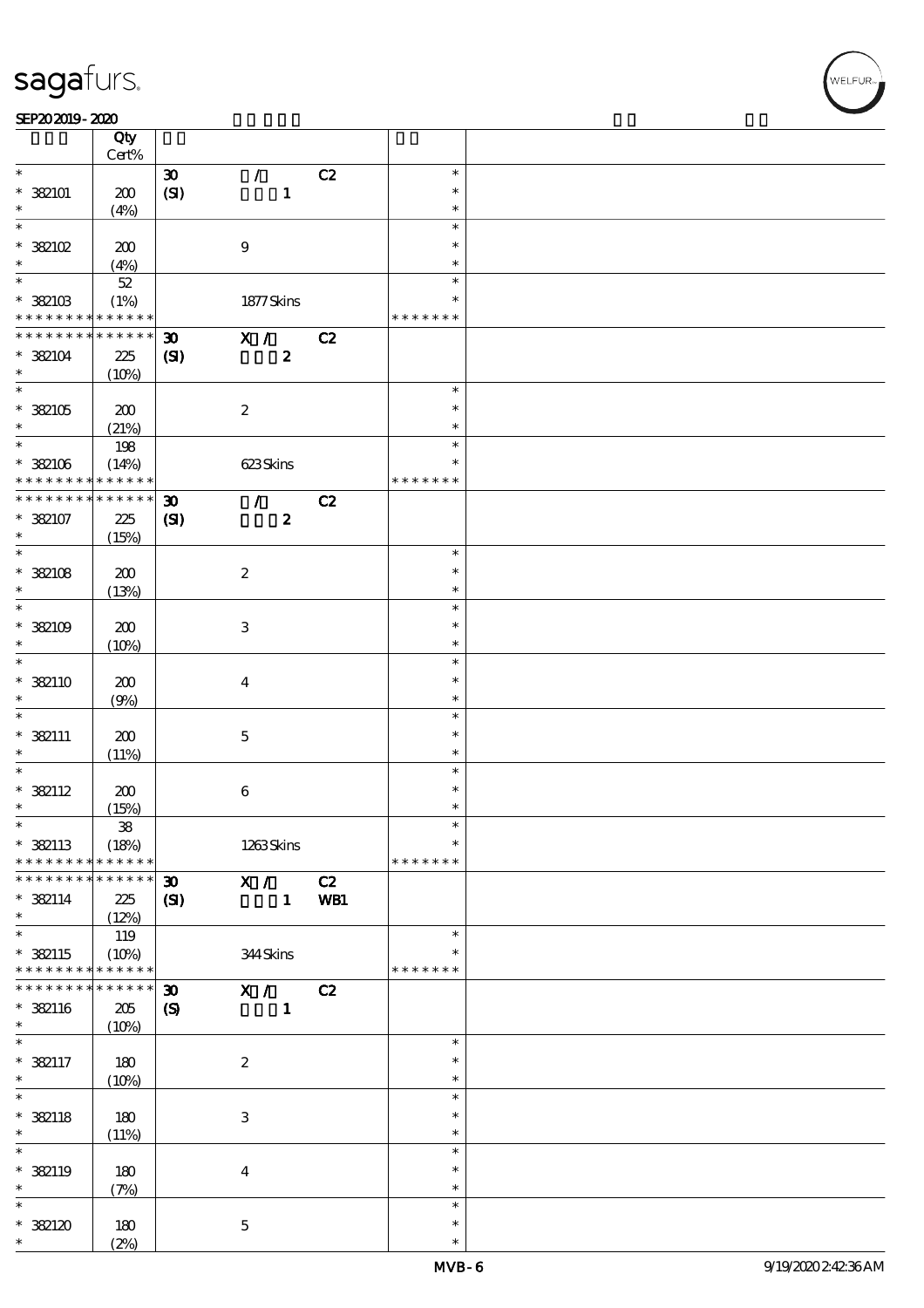#### SEP202019-2020

|                          | Qty<br>Cert%        |                             |                           |     |               |  |
|--------------------------|---------------------|-----------------------------|---------------------------|-----|---------------|--|
| $\ast$                   |                     | $\boldsymbol{\mathfrak{D}}$ | $\mathcal{L}$             | C2  | $\ast$        |  |
|                          |                     |                             |                           |     | $\ast$        |  |
| $*$ 382101               | 200                 | (SI)                        | $\mathbf{1}$              |     |               |  |
| $\ast$                   | (4%)                |                             |                           |     | $\ast$        |  |
| $\ast$                   |                     |                             |                           |     | $\ast$        |  |
| $*$ 382102               | 200                 |                             | $\boldsymbol{9}$          |     | $\ast$        |  |
| $\ast$                   | (4%)                |                             |                           |     | $\ast$        |  |
| $\overline{\ast}$        | $52\,$              |                             |                           |     | $\ast$        |  |
| $*$ 382103               |                     |                             |                           |     | $\ast$        |  |
| * * * * * * * *          | (1%)<br>* * * * * * |                             | 1877 Skins                |     | * * * * * * * |  |
|                          |                     |                             |                           |     |               |  |
| * * * * * * * *          | * * * * * *         | $\boldsymbol{\mathfrak{D}}$ | X /                       | C2  |               |  |
| $*$ 382104               | 225                 | (S)                         | $\boldsymbol{z}$          |     |               |  |
| $\ast$                   | (10%)               |                             |                           |     |               |  |
| $\overline{\phantom{0}}$ |                     |                             |                           |     | $\ast$        |  |
| $*382105$                | 200                 |                             | $\boldsymbol{2}$          |     | $\ast$        |  |
| $\ast$                   | (21%)               |                             |                           |     | $\ast$        |  |
| $\overline{\ast}$        |                     |                             |                           |     | $\ast$        |  |
|                          | 198                 |                             |                           |     |               |  |
| $* 32106$                | (14%)               |                             | 623Skins                  |     | $\ast$        |  |
| * * * * * * * *          | * * * * * *         |                             |                           |     | * * * * * * * |  |
| * * * * * * * *          | * * * * * *         | $\boldsymbol{\mathfrak{D}}$ | $\mathcal{L}$             | C2  |               |  |
| $* 382107$               | 225                 | (S)                         | $\boldsymbol{z}$          |     |               |  |
| $\ast$                   | (15%)               |                             |                           |     |               |  |
| $\overline{\ast}$        |                     |                             |                           |     | $\ast$        |  |
|                          |                     |                             |                           |     | $\ast$        |  |
| $*$ 382108               | 200                 |                             | $\boldsymbol{2}$          |     |               |  |
| $\ast$                   | (13%)               |                             |                           |     | $\ast$        |  |
| $\ast$                   |                     |                             |                           |     | $\ast$        |  |
| $*382109$                | 200                 |                             | $\ensuremath{\mathsf{3}}$ |     | $\ast$        |  |
| $\ast$                   | (10%)               |                             |                           |     | $\ast$        |  |
| $\ast$                   |                     |                             |                           |     | $\ast$        |  |
| $*$ 382110               | 200                 |                             | $\boldsymbol{4}$          |     | $\ast$        |  |
| $\ast$                   |                     |                             |                           |     | $\ast$        |  |
| $\ast$                   | (9%)                |                             |                           |     |               |  |
|                          |                     |                             |                           |     | $\ast$        |  |
| $*$ 382111               | 200                 |                             | $\mathbf 5$               |     | $\ast$        |  |
| $\ast$                   | (11%)               |                             |                           |     | $\ast$        |  |
| $\ast$                   |                     |                             |                           |     | $\ast$        |  |
| $* 382112$               | 200                 |                             | $\bf 6$                   |     | $\ast$        |  |
| $\ast$                   | (15%)               |                             |                           |     | $\ast$        |  |
| $\ast$                   | ${\bf 3\!8}$        |                             |                           |     | $\ast$        |  |
|                          |                     |                             |                           |     | $\ast$        |  |
| $*$ 382113               | (18%)               |                             | 1263Skins                 |     |               |  |
| * * * * * * * *          | * * * * * *         |                             |                           |     | * * * * * * * |  |
| * * * * * * * *          | * * * * * *         | $\boldsymbol{\mathfrak{D}}$ | X /                       | C2  |               |  |
| $* 322114$               | 225                 | $\mathbf{C}$                | $\mathbf{1}$              | WB1 |               |  |
| $\ast$                   | (12%)               |                             |                           |     |               |  |
| $\overline{\ast}$        | 119                 |                             |                           |     | $\ast$        |  |
| $*$ 382115               | (10%)               |                             | 344Skins                  |     | ∗             |  |
| * * * * * * * *          | $* * * * * * *$     |                             |                           |     | * * * * * * * |  |
| * * * * * * * *          | * * * * * *         |                             |                           |     |               |  |
|                          |                     | $\boldsymbol{\mathfrak{D}}$ | X /                       | C2  |               |  |
| * 382116                 | $205\,$             | $\boldsymbol{\mathrm{(S)}}$ | $\mathbf{1}$              |     |               |  |
| $\ast$                   | (10%)               |                             |                           |     |               |  |
| $\ast$                   |                     |                             |                           |     | $\ast$        |  |
| $* 382117$               | 180                 |                             | $\boldsymbol{2}$          |     | $\ast$        |  |
| $\ast$                   | (10%)               |                             |                           |     | $\ast$        |  |
| $\overline{\ast}$        |                     |                             |                           |     | $\ast$        |  |
|                          |                     |                             |                           |     | $\ast$        |  |
| $* 382118$               | 180                 |                             | $\ensuremath{\mathsf{3}}$ |     |               |  |
| $\ast$                   | (11%)               |                             |                           |     | $\ast$        |  |
| $\ast$                   |                     |                             |                           |     | $\ast$        |  |
| * 382119                 | 180                 |                             | $\boldsymbol{4}$          |     | $\ast$        |  |
| $\ast$                   | (7%)                |                             |                           |     | $\ast$        |  |
| $\ast$                   |                     |                             |                           |     | $\ast$        |  |
| * 382120                 | 180                 |                             | $\mathbf{5}$              |     | $\ast$        |  |
| $\ast$                   | (2%)                |                             |                           |     | $\ast$        |  |
|                          |                     |                             |                           |     |               |  |

**NELFUR**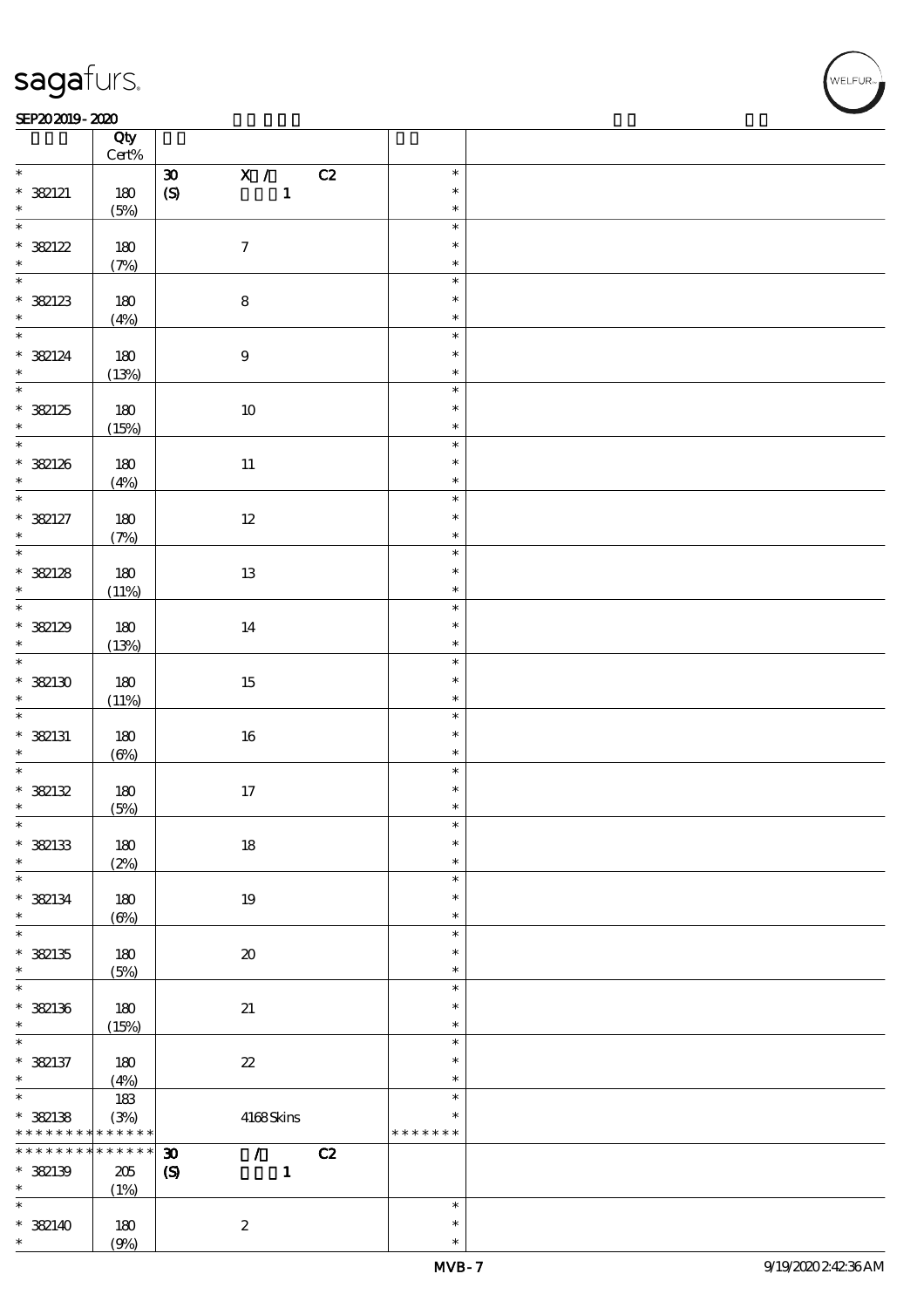#### SEP202019-2020 REPORTED TO A REPORT OF THE SEPENDENT CONTROL AND THE SEPENDENT CONTROL OF THE SEPENDENT CONTROL OF THE SEPENDENT CONTROL OF THE SEPENDENT CONTROL OF THE SEPENDENT CONTROL OF THE SEPENDENT CONTROL OF THE SEP

|                     | Qty<br>$Cert\%$ |                                                                |                  |  |
|---------------------|-----------------|----------------------------------------------------------------|------------------|--|
| $\ast$              |                 | $\overline{\mathbf{x}}$ /<br>C2<br>$\boldsymbol{\mathfrak{D}}$ | $\ast$           |  |
| $* 382121$          | 180             | $\pmb{\in}$<br>$\mathbf{1}$                                    | $\ast$           |  |
| $\ast$              | (5%)            |                                                                | $\ast$           |  |
| $\overline{\ast}$   |                 |                                                                | $\ast$           |  |
|                     | $180$           | $\boldsymbol{7}$                                               | $\ast$           |  |
| * 382122            | (7%)            |                                                                | $\ast$           |  |
|                     |                 |                                                                | $\ast$           |  |
|                     | 180             | $\bf8$                                                         | $\ast$           |  |
| * 382123            |                 |                                                                | $\ast$           |  |
|                     | (4%)            |                                                                | $\ast$           |  |
|                     |                 |                                                                | $\ast$           |  |
| * 382124<br>$\ast$  | 180             | $\boldsymbol{9}$                                               | $\ast$           |  |
|                     | (13%)           |                                                                | $\ast$           |  |
|                     |                 |                                                                | $\ast$           |  |
| * 382125            | 180             | $10\,$                                                         |                  |  |
| $\ast$              | (15%)           |                                                                | $\ast$<br>$\ast$ |  |
|                     |                 |                                                                | $\ast$           |  |
| $*382126$<br>$\ast$ | 180             | $11\,$                                                         | $\ast$           |  |
|                     | (4%)            |                                                                |                  |  |
|                     |                 |                                                                | $\ast$           |  |
| $* 382127$          | 180             | $12 \,$                                                        | $\ast$           |  |
| $\ast$              | (7%)            |                                                                | $\ast$           |  |
|                     |                 |                                                                | $\ast$           |  |
| * 382128            | 180             | 13                                                             | $\ast$           |  |
| $\ast$              | (11%)           |                                                                | $\ast$           |  |
|                     |                 |                                                                | $\ast$           |  |
| * 382129            | 180             | 14                                                             | $\ast$           |  |
| $\ast$              | (13%)           |                                                                | $\ast$           |  |
|                     |                 |                                                                | $\ast$           |  |
| * 382130            | 180             | 15                                                             | $\ast$           |  |
| $*$                 | (11%)           |                                                                | $\ast$           |  |
|                     |                 |                                                                | $\ast$           |  |
| $* 382131$          | 180             | $16\,$                                                         | $\ast$           |  |
| $*$                 | $(\Theta)$      |                                                                | $\ast$           |  |
|                     |                 |                                                                | $\ast$           |  |
| * 382132            | $180$           | $17\,$                                                         | $\ast$           |  |
| $\ast$              | (5%)            |                                                                | $\ast$           |  |
| $*$                 |                 |                                                                | $\ast$           |  |
| $*$ 362133          | 180             | $18\,$                                                         | $\ast$           |  |
| $\ast$              | (2%)            |                                                                | $\ast$           |  |
| $\ast$              |                 |                                                                | $\ast$           |  |
| $*$ 382134          | 180             | 19                                                             | $\ast$           |  |
| $\ast$              | $(\Theta)$      |                                                                | $\ast$           |  |
| $\overline{\ast}$   |                 |                                                                | $\ast$           |  |
| $* 382135$          | 180             | $\boldsymbol{\mathfrak{D}}$                                    | $\ast$           |  |
| $\ast$              | (5%)            |                                                                | $\ast$           |  |
| $\ast$              |                 |                                                                | $\ast$           |  |
| $*$ 382136          | 180             | 21                                                             | $\ast$           |  |
| $\ast$              | (15%)           |                                                                | $\ast$           |  |
| $\ast$              |                 |                                                                | $\ast$           |  |
| $* 382137$          | 180             | $\boldsymbol{\mathcal{Z}}$                                     | $\ast$           |  |
| $\ast$              | (4%)            |                                                                | $\ast$           |  |
| $\overline{\ast}$   | 183             |                                                                | $\ast$           |  |
| $* 32138$           | (3%)            | 4168Skins                                                      | $\ast$           |  |
| * * * * * * * *     | * * * * * *     |                                                                | * * * * * * *    |  |
| * * * * * * * *     | * * * * * *     | $\boldsymbol{\mathfrak{D}}$<br>$\mathcal{L}$<br>C2             |                  |  |
| $*$ 382139          | 205             | $\mathbf{1}$<br>$\boldsymbol{\mathcal{S}}$                     |                  |  |
| $\ast$              | (1%)            |                                                                |                  |  |
| $\ast$              |                 |                                                                | $\ast$           |  |
| $* 382140$          | 180             | $\boldsymbol{z}$                                               | $\ast$           |  |
| $\ast$              | (9%)            |                                                                | $\ast$           |  |

**VELFUR**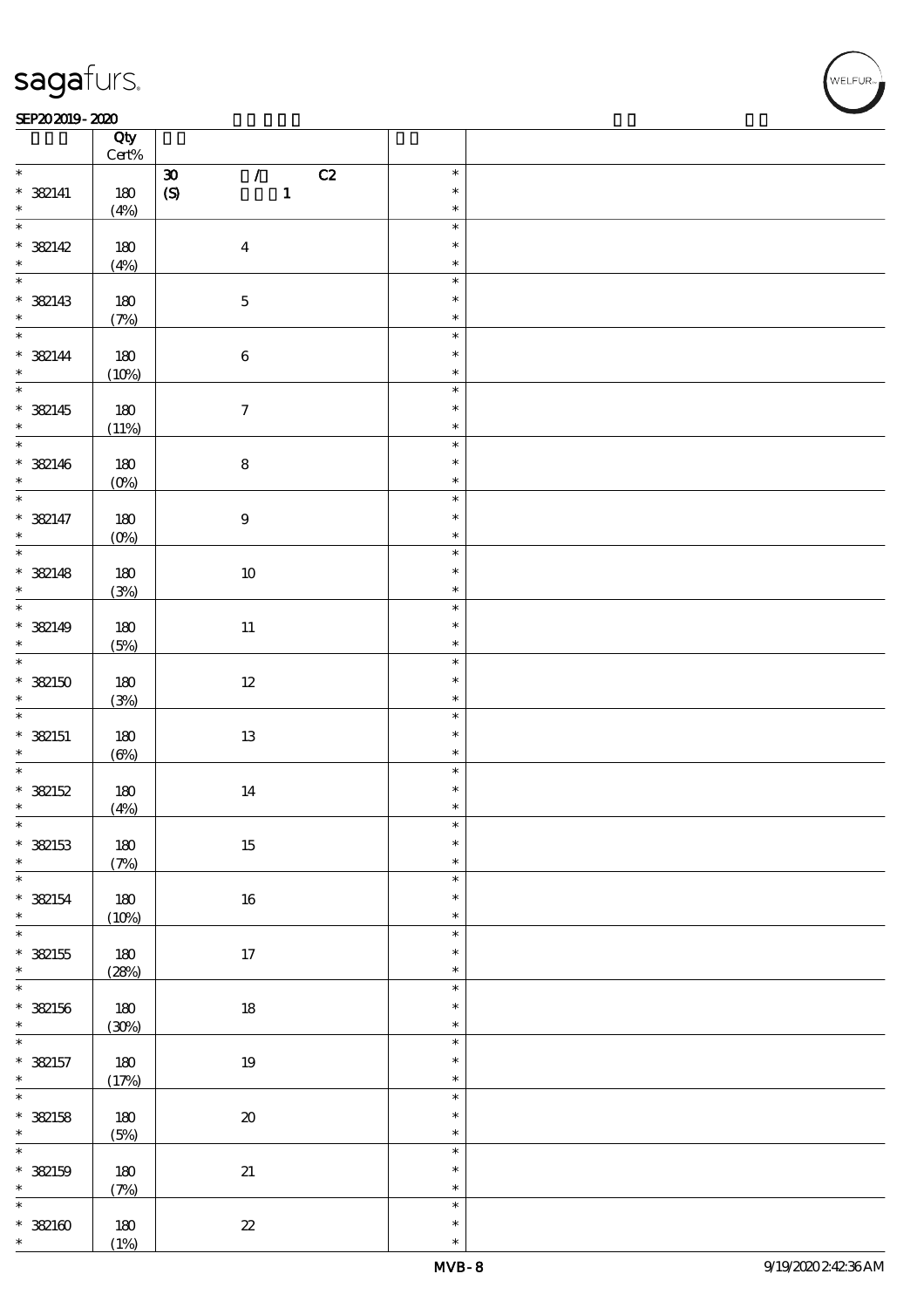#### SEP202019-2020 REPORTED TO A REPORT OF THE SEPENDENT CONTROL AND THE SEPENDENT CONTROL OF THE SEPENDENT CONTROL OF THE SEPENDENT CONTROL OF THE SEPENDENT CONTROL OF THE SEPENDENT CONTROL OF THE SEPENDENT CONTROL OF THE SEP

|                                        | Qty<br>$Cert\%$     |                                             |                            |  |
|----------------------------------------|---------------------|---------------------------------------------|----------------------------|--|
| $\ast$                                 |                     | $\mathcal{L}$<br>C2<br>$\pmb{\mathfrak{D}}$ | $\ast$                     |  |
| $*$ 382141                             | 180                 | $\mathbf{1}$<br>$\boldsymbol{S}$            | $\ast$                     |  |
| $\ast$                                 | (4%)                |                                             | $\ast$                     |  |
| $\overline{\phantom{0}}$<br>* 382142   | 180                 | $\boldsymbol{4}$                            | $\ast$<br>$\ast$           |  |
|                                        | (4%)                |                                             | $\ast$                     |  |
| * 382143                               | 180                 | $\mathbf 5$                                 | $\ast$<br>$\ast$           |  |
|                                        | (7%)                |                                             | $\ast$                     |  |
| $\overline{\phantom{0}}$<br>$* 382144$ | $180$               | $\bf 6$                                     | $\ast$<br>$\ast$           |  |
| $\ast$                                 | (10%)               |                                             | $\ast$                     |  |
| $* 382145$<br>$\star$                  | $180$<br>(11%)      | $\boldsymbol{\tau}$                         | $\ast$<br>$\ast$<br>$\ast$ |  |
| $\overline{\phantom{0}}$               |                     |                                             | $\ast$                     |  |
| $* 382146$<br>$\ast$                   | 180<br>$(0\%)$      | $\bf 8$                                     | $\ast$<br>$\ast$           |  |
| $\ast$                                 |                     |                                             | $\ast$                     |  |
| $* 382147$<br>$\ast$                   | 180<br>$(0\%)$      | $\boldsymbol{9}$                            | $\ast$<br>$\ast$           |  |
|                                        |                     |                                             | $\ast$                     |  |
| $* 382148$<br>$\star$                  | 180<br>(3%)         | $10\,$                                      | $\ast$<br>$\ast$           |  |
|                                        |                     |                                             | $\ast$                     |  |
| $* 382149$<br>$\ast$                   | 180<br>(5%)         | $11\,$                                      | $\ast$<br>$\ast$           |  |
| $\overline{\phantom{0}}$               |                     |                                             | $\ast$                     |  |
| $*382150$<br>$\ast$                    | 180<br>(3%)         | $12\,$                                      | $\ast$<br>$\ast$           |  |
|                                        |                     |                                             | $\ast$                     |  |
| $* 382151$<br>$\ast$                   | 180<br>$(\Theta_0)$ | $1\!3$                                      | $\ast$<br>$\ast$           |  |
|                                        |                     |                                             | $\ast$                     |  |
| $* 382152$<br>$\ast$                   | 180<br>(4%)         | $14\,$                                      | $\ast$<br>$\ast$           |  |
| $\ast$                                 |                     |                                             | $\ast$                     |  |
| $*$ 382153<br>$\ast$                   | $180$<br>(7%)       | $15\,$                                      | $\ast$<br>$\ast$           |  |
| $\ast$                                 |                     |                                             | $\ast$                     |  |
| $* 382154$<br>$\ast$                   | 180<br>(10%)        | $16\,$                                      | $\ast$<br>$\ast$           |  |
| $\overline{\ast}$                      |                     |                                             | $\ast$                     |  |
| $* 382155$<br>$\ast$                   | 180<br>(28%)        | 17                                          | $\ast$<br>$\ast$           |  |
| $\ast$                                 |                     |                                             | $\ast$                     |  |
| $* 322156$<br>$\ast$                   | $180\,$<br>(30%)    | $18\,$                                      | $\ast$<br>$\ast$           |  |
| $\overline{\ast}$                      |                     |                                             | $\ast$                     |  |
| $* 32157$<br>$\ast$                    | $180\,$<br>(17%)    | $19\,$                                      | $\ast$<br>$\ast$           |  |
| $\overline{\ast}$                      |                     |                                             | $\ast$                     |  |
| $* 32158$<br>$\ast$                    | 180<br>(5%)         | $\pmb{\mathcal{X}}$                         | $\ast$<br>$\ast$           |  |
| $\ast$                                 |                     |                                             | $\ast$                     |  |
| $* 32159$<br>$\ast$                    | 180<br>(7%)         | $2\hspace{-1.5pt}1$                         | $\ast$<br>$\ast$           |  |
| $\ast$                                 |                     |                                             | $\ast$                     |  |
| $* 32100$<br>$\ast$                    | 180<br>(1%)         | $2\!2$                                      | $\ast$<br>$\ast$           |  |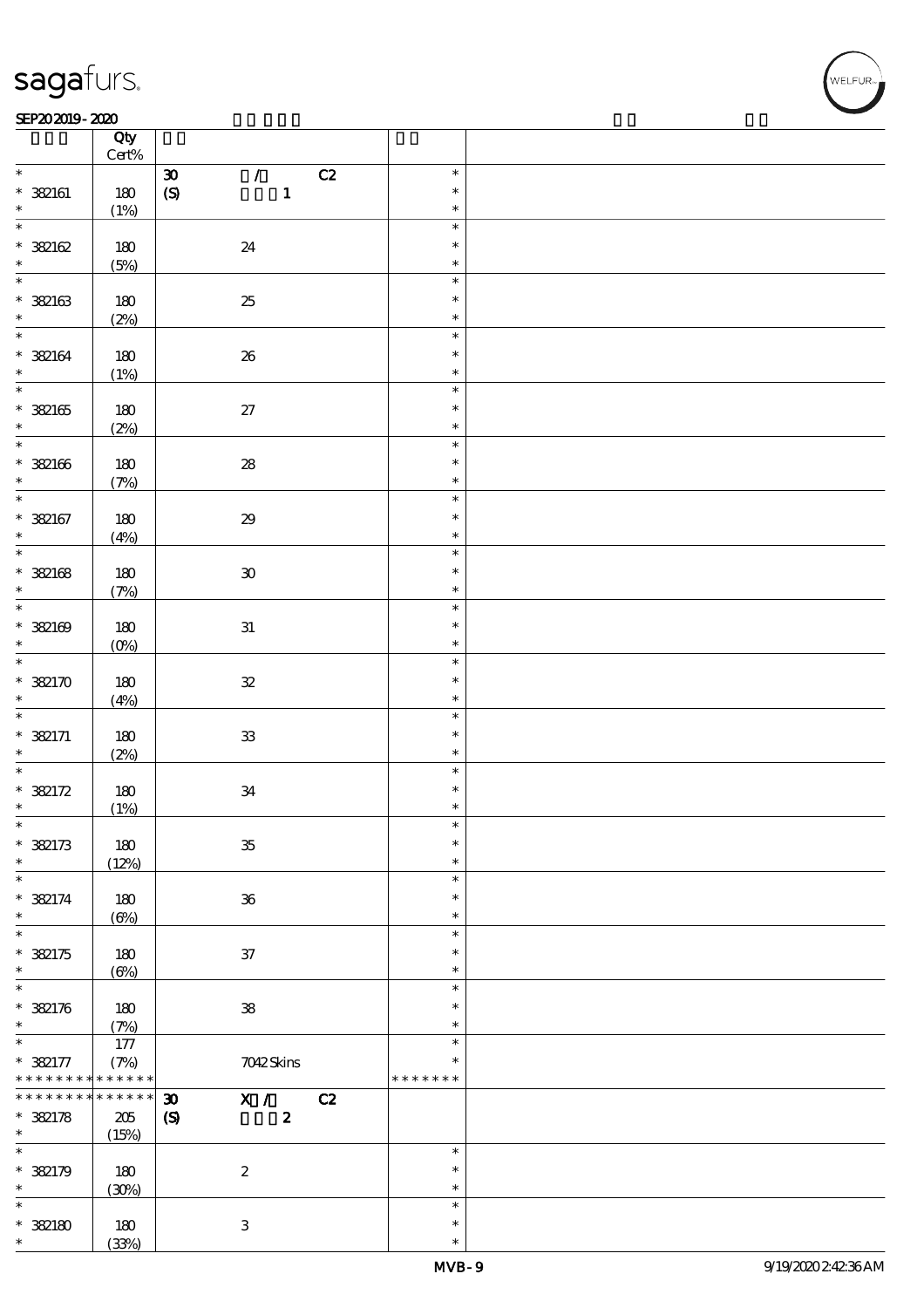### SEP202019-2020

|                                           | Qty                          |                                                                                        |                                   |  |
|-------------------------------------------|------------------------------|----------------------------------------------------------------------------------------|-----------------------------------|--|
| $\ast$                                    | $\mbox{Cert}\%$              |                                                                                        | $\ast$                            |  |
| $*$ 382161<br>$\ast$                      | 180<br>(1%)                  | C2<br>$\boldsymbol{\mathfrak{D}}$<br>$\mathcal{L}$<br>$\mathbf{1}$<br>$\boldsymbol{S}$ | $\ast$<br>$\ast$                  |  |
| $\ast$<br>* 382162<br>$\ast$              | 180                          | 24                                                                                     | $\ast$<br>$\ast$<br>$\ast$        |  |
| $\ast$<br>$* 32163$                       | (5%)<br>180                  | $2\!5$                                                                                 | $\ast$<br>$\ast$                  |  |
| $\ast$<br>$\ast$                          | (2%)                         |                                                                                        | $\ast$<br>$\ast$                  |  |
| $* 32164$<br>$\ast$<br>$\overline{\ast}$  | 180<br>(1%)                  | ${\bf 26}$                                                                             | $\ast$<br>$\ast$                  |  |
| $* 32165$<br>$\ast$                       | 180<br>(2%)                  | $27\,$                                                                                 | $\ast$<br>$\ast$<br>$\ast$        |  |
| $\overline{\ast}$<br>$* 32166$<br>$\ast$  | 180<br>(7%)                  | ${\bf 28}$                                                                             | $\ast$<br>$\ast$<br>$\ast$        |  |
| $\overline{\ast}$<br>$* 32167$            | 180                          | $2\!9$                                                                                 | $\ast$<br>$\ast$                  |  |
| $\ast$<br>$\overline{\ast}$               | (4%)                         |                                                                                        | $\ast$<br>$\ast$                  |  |
| $* 32168$<br>$\ast$                       | $180$<br>(7%)                | $\mathbf{30}$                                                                          | $\ast$<br>$\ast$                  |  |
| $\ast$<br>$* 32169$<br>$\ast$             | 180<br>$(0\%)$               | ${\bf 31}$                                                                             | $\ast$<br>$\ast$<br>$\ast$        |  |
| $\ast$<br>$*382170$<br>$\ast$             | 180<br>(4%)                  | ${\bf 3\!}$                                                                            | $\ast$<br>$\ast$<br>$\ast$        |  |
| $\overline{\ast}$<br>$* 382171$<br>$\ast$ | 180<br>(2%)                  | ${\bf 3}$                                                                              | $\ast$<br>$\ast$<br>$\ast$        |  |
| $\ast$<br>$* 382172$<br>$\ast$            | 180<br>(1%)                  | $3\!4$                                                                                 | $\ast$<br>$\ast$<br>$\ast$        |  |
| $\ast$<br>$* 382173$<br>$\ast$            | 180<br>(12%)                 | ${\bf 35}$                                                                             | ж<br>$\ast$<br>$\ast$             |  |
| $\ast$<br>$* 382174$<br>$\ast$            | 180<br>$(\Theta\%)$          | ${\bf 36}$                                                                             | $\ast$<br>$\ast$<br>$\ast$        |  |
| $\ast$<br>$* 382175$<br>$\ast$            | 180<br>$(\Theta\%)$          | $3\!7$                                                                                 | $\ast$<br>$\ast$<br>$\ast$        |  |
| $\ast$<br>$* 322176$<br>$\ast$            | 180<br>(7%)                  | ${\bf 38}$                                                                             | $\ast$<br>$\ast$<br>$\ast$        |  |
| $\ast$<br>$* 382177$<br>* * * * * * * *   | 177<br>(7%)<br>* * * * * *   | 7042Skins                                                                              | $\ast$<br>$\ast$<br>* * * * * * * |  |
| * * * * * * *<br>$* 32178$<br>$\ast$      | $******$<br>$205\,$<br>(15%) | C2<br>$\boldsymbol{\mathfrak{D}}$<br>$X / \sqrt{2}$<br>$\boldsymbol{S}$<br>$\pmb{2}$   |                                   |  |
| $\ast$<br>$* 382179$<br>$\ast$            | 180<br>(30%)                 | $\boldsymbol{2}$                                                                       | $\ast$<br>$\ast$<br>$\ast$        |  |
| $\ast$<br>$*382180$<br>$\ast$             | $180\,$<br>(33%)             | $\,3$                                                                                  | $\ast$<br>$\ast$<br>$\ast$        |  |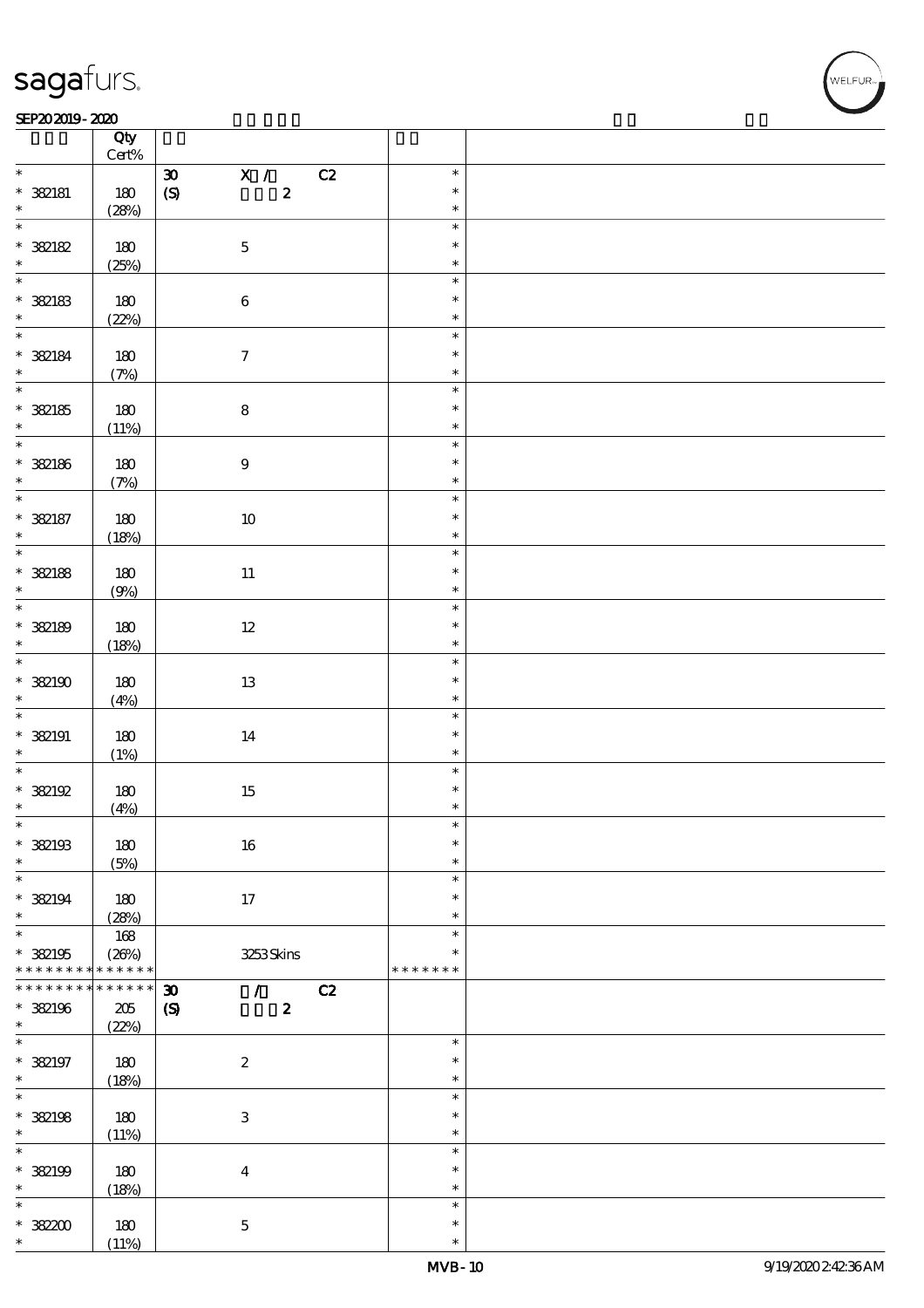$\top$ 

#### SEP202019-2020 REPORTED TO A REPORT OF THE SEPENDENT CONTROL AND THE SEPENDENT CONTROL OF THE SEPENDENT CONTROL OF THE SEPENDENT CONTROL OF THE SEPENDENT CONTROL OF THE SEPENDENT CONTROL OF THE SEPENDENT CONTROL OF THE SEP

|                                    | Qty<br>$Cert\%$      |                                                                                                 |                         |  |
|------------------------------------|----------------------|-------------------------------------------------------------------------------------------------|-------------------------|--|
| $\ast$                             |                      |                                                                                                 | $\ast$                  |  |
| $* 32181$                          | 180                  | $\overline{\mathbf{x}}$ /<br>C2<br>$\pmb{\mathfrak{D}}$<br>$\boldsymbol{S}$<br>$\boldsymbol{2}$ | $\ast$                  |  |
| $\ast$                             | (28%)                |                                                                                                 | $\ast$                  |  |
| $\overline{\ast}$                  |                      |                                                                                                 | $\ast$                  |  |
| * 382182                           | 180                  | $\mathbf 5$                                                                                     | $\ast$                  |  |
| $\ast$                             | (25%)                |                                                                                                 | $\ast$                  |  |
|                                    |                      |                                                                                                 | $\ast$                  |  |
| $* 32183$                          | 180                  | $\bf 6$                                                                                         | $\ast$                  |  |
| $\ddot{x}$                         | (22%)                |                                                                                                 | $\ast$<br>$\ast$        |  |
|                                    |                      |                                                                                                 | $\ast$                  |  |
| $* 32184$<br>$\ast$                | 180<br>(7%)          | $\boldsymbol{\tau}$                                                                             | $\ast$                  |  |
| $\overline{\ast}$                  |                      |                                                                                                 | $\ast$                  |  |
| $* 32185$                          | 180                  | ${\bf 8}$                                                                                       | $\ast$                  |  |
| $\ast$                             | (11%)                |                                                                                                 | $\ast$                  |  |
|                                    |                      |                                                                                                 | $\ast$                  |  |
| * 382186                           | 180                  | $\boldsymbol{9}$                                                                                | $\ast$                  |  |
| $\ast$                             | (7%)                 |                                                                                                 | $\ast$                  |  |
| $\overline{\ast}$                  |                      |                                                                                                 | $\ast$                  |  |
| $* 32187$                          | 180                  | $10\,$                                                                                          | $\ast$                  |  |
| $\ast$                             | (18%)                |                                                                                                 | $\ast$                  |  |
| $\overline{\ast}$                  |                      |                                                                                                 | $\ast$                  |  |
| * 382188                           | 180                  | $11\,$                                                                                          | $\ast$                  |  |
| $\ast$                             | (9%)                 |                                                                                                 | $\ast$                  |  |
|                                    |                      |                                                                                                 | $\ast$                  |  |
| * 382189                           | 180                  | $12 \,$                                                                                         | $\ast$                  |  |
| $\ast$<br>$\overline{\mathbf{r}}$  | (18%)                |                                                                                                 | $\ast$                  |  |
|                                    |                      |                                                                                                 | $\ast$<br>$\ast$        |  |
| $*382190$<br>$\ast$                | 180                  | $13\,$                                                                                          | $\ast$                  |  |
|                                    | (4%)                 |                                                                                                 | $\ast$                  |  |
| $*$ 382191                         | 180                  | $14\,$                                                                                          | $\ast$                  |  |
| $\ast$                             | (1%)                 |                                                                                                 | $\ast$                  |  |
| $\overline{\ast}$                  |                      |                                                                                                 | $\ast$                  |  |
| * 382192                           | 180                  | $15\,$                                                                                          | $\ast$                  |  |
| $\ast$                             | (4%)                 |                                                                                                 | $\ast$                  |  |
| $\ast$                             |                      |                                                                                                 | $\ast$                  |  |
| $*$ 382193                         | 180                  | 16                                                                                              | $\ast$                  |  |
| $\ast$                             | (5%)                 |                                                                                                 | $\ast$                  |  |
| $\ast$                             |                      |                                                                                                 | $\ast$                  |  |
| $* 382194$                         | 180                  | 17                                                                                              | $\ast$                  |  |
| $\ast$                             | (28%)                |                                                                                                 | $\ast$                  |  |
| $\overline{\ast}$                  | 168                  |                                                                                                 | $\ast$                  |  |
| $*$ 382195                         | (20%)<br>* * * * * * | 3253Skins                                                                                       | $\ast$<br>* * * * * * * |  |
| * * * * * * * *<br>* * * * * * * * | * * * * * *          |                                                                                                 |                         |  |
|                                    |                      | $\boldsymbol{\mathfrak{D}}$<br>C2<br>$\mathcal{L}$                                              |                         |  |
| * 382196<br>$\ast$                 | $205\,$<br>(22%)     | $\boldsymbol{\mathcal{S}}$<br>$\boldsymbol{z}$                                                  |                         |  |
| $\ast$                             |                      |                                                                                                 | $\ast$                  |  |
| * 382197                           | 180                  | $\boldsymbol{2}$                                                                                | $\ast$                  |  |
| $\ast$                             | (18%)                |                                                                                                 | $\ast$                  |  |
| $\overline{\ast}$                  |                      |                                                                                                 | $\ast$                  |  |
| * 382198                           | 180                  | $\ensuremath{\mathbf{3}}$                                                                       | $\ast$                  |  |
| $\ast$                             | (11%)                |                                                                                                 | $\ast$                  |  |
| $\ast$                             |                      |                                                                                                 | $\ast$                  |  |
| * 382199                           | 180                  | $\boldsymbol{4}$                                                                                | $\ast$                  |  |
| $\ast$                             | (18%)                |                                                                                                 | $\ast$                  |  |
| $\ast$                             |                      |                                                                                                 | $\ast$                  |  |
| $* 38200$                          | 180                  | $\bf 5$                                                                                         | $\ast$                  |  |
| $\ast$                             | (11%)                |                                                                                                 | $\ast$                  |  |

 $\overline{\mathbf{r}}$ 

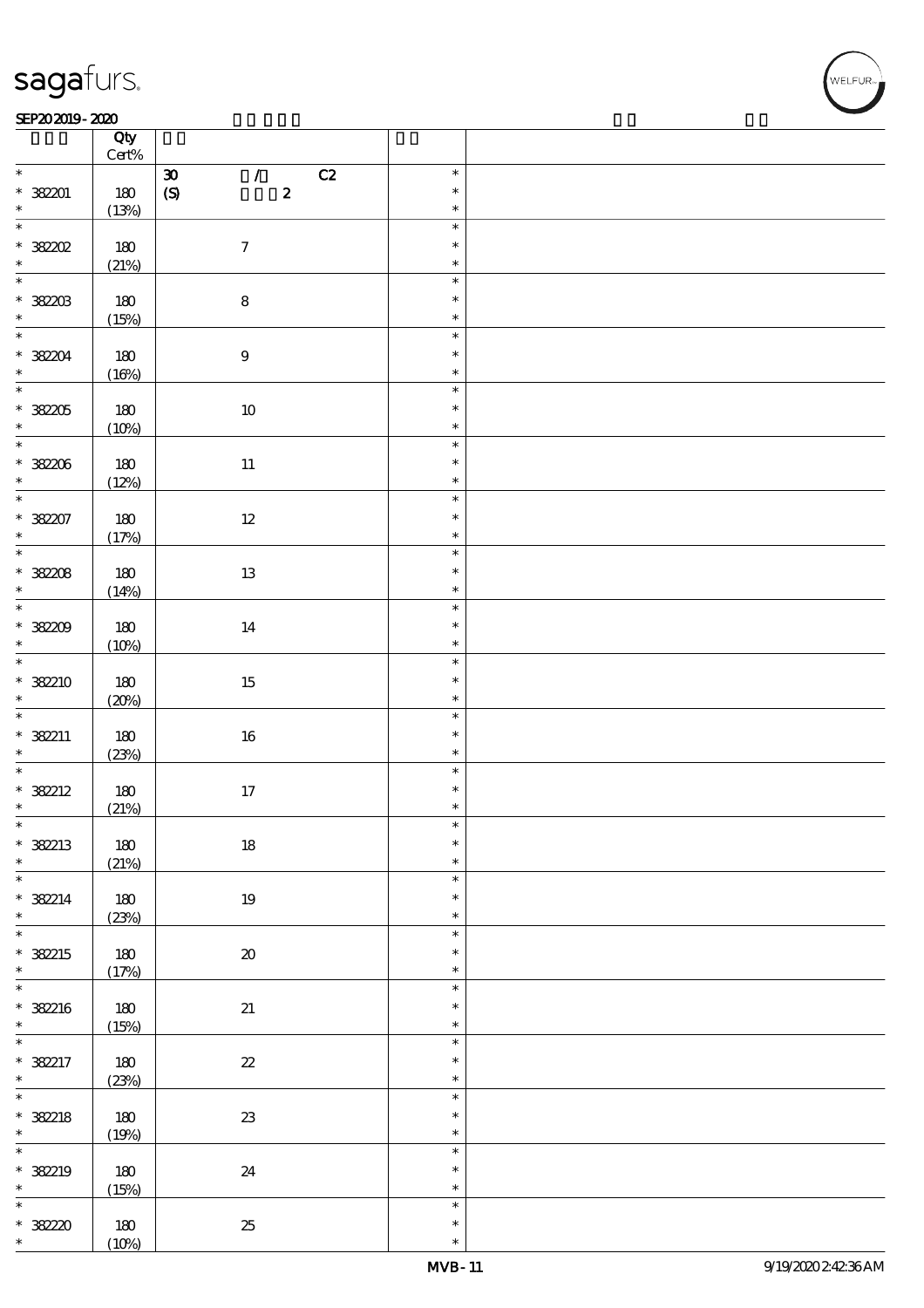#### $SEP202019 - 2020$  $\overline{\phantom{a}}$  Qty  $\overline{\phantom{a}}$

|                          | Qty<br>$Cert\%$  |                                                           |                            |  |
|--------------------------|------------------|-----------------------------------------------------------|----------------------------|--|
| $*$                      |                  | C2<br>$\pmb{\mathfrak{D}}$<br>$\mathcal{T} = \mathcal{I}$ | $\ast$                     |  |
| $* 38201$                | 180              | $\boldsymbol{2}$<br>$\boldsymbol{S}$                      | $\ast$<br>$\ast$           |  |
|                          | (13%)            |                                                           |                            |  |
| * 38202                  | 180              | $\boldsymbol{7}$                                          | $\ast$<br>$\ast$<br>$\ast$ |  |
|                          | (21%)            |                                                           |                            |  |
| $* 32203$                | 180<br>(15%)     | $\bf 8$                                                   | $\ast$<br>$\ast$<br>$\ast$ |  |
| $\overline{\phantom{0}}$ |                  |                                                           | $\ast$                     |  |
| $* 38204$                | $180$<br>(16%)   | $\boldsymbol{9}$                                          | $\ast$<br>$\ast$           |  |
| $\overline{\ast}$        |                  |                                                           | $\ast$                     |  |
| * 38205<br>$\ast$        | 180<br>(10%)     | $10\,$                                                    | $\ast$<br>$\ast$           |  |
| $\overline{\ast}$        |                  |                                                           | $\ast$                     |  |
| $* 38206$<br>$\ast$      | 180<br>(12%)     | $11\,$                                                    | $\ast$<br>$\ast$           |  |
| $\ast$                   |                  |                                                           | $\ast$                     |  |
| $* 38207$<br>$\star$     | 180<br>(17%)     | $12\,$                                                    | $\ast$<br>$\ast$           |  |
| $\overline{\phantom{0}}$ |                  |                                                           | $\ast$                     |  |
| * 382208<br>$\ast$       | 180<br>(14%)     | $13\,$                                                    | $\ast$<br>$\ast$           |  |
| $\overline{\phantom{0}}$ |                  |                                                           | $\ast$                     |  |
| * 382209<br>$\ast$       | 180<br>(10%)     | 14                                                        | $\ast$<br>$\ast$           |  |
| $\ast$                   |                  |                                                           | $\ast$                     |  |
| * 382210<br>$\ast$       | 180<br>(20%)     | 15                                                        | $\ast$<br>$\ast$           |  |
|                          |                  |                                                           | $\ast$                     |  |
| * 382211<br>$\ast$       | 180<br>(23%)     | $16\,$                                                    | $\ast$<br>$\ast$           |  |
| $\overline{\ast}$        |                  |                                                           | $\ast$                     |  |
| $* 382212$<br>$\ast$     | 180<br>(21%)     | $17\,$                                                    | $\ast$<br>$\ast$           |  |
| $\ast$                   |                  |                                                           | $\ast$                     |  |
| $*$ 382213<br>$\ast$     | 180<br>(21%)     | $18\,$                                                    | $\ast$<br>$\ast$           |  |
| $\ast$                   |                  |                                                           | $\ast$                     |  |
| $* 382214$<br>$\ast$     | 180<br>(23%)     | $19\,$                                                    | $\ast$<br>$\ast$           |  |
| $\overline{\ast}$        |                  |                                                           | $\ast$                     |  |
| * 382215<br>$\ast$       | $180$<br>(17%)   | $\pmb{\mathcal{X}}$                                       | $\ast$<br>$\ast$           |  |
| $\ast$                   |                  |                                                           | $\ast$                     |  |
| $* 382216$<br>$\ast$     | $180\,$<br>(15%) | $2\!1$                                                    | $\ast$<br>$\ast$           |  |
| $\ast$                   |                  |                                                           | $\ast$                     |  |
| $* 382217$<br>$\ast$     | 180<br>(23%)     | $\boldsymbol{\mathit{z}}$                                 | $\ast$<br>$\ast$           |  |
| $\overline{\ast}$        |                  |                                                           | $\ast$                     |  |
| $* 382218$<br>$\ast$     | 180<br>(19%)     | ${\bf 23}$                                                | $\ast$<br>$\ast$           |  |
| $\ast$                   |                  |                                                           | $\ast$                     |  |
| * 382219<br>$\ast$       | 180<br>(15%)     | 24                                                        | $\ast$<br>$\ast$           |  |
| $\ast$                   |                  |                                                           | $\ast$                     |  |
| * 38220<br>$\ast$        | 180<br>(10%)     | $25\,$                                                    | $\ast$<br>$\ast$           |  |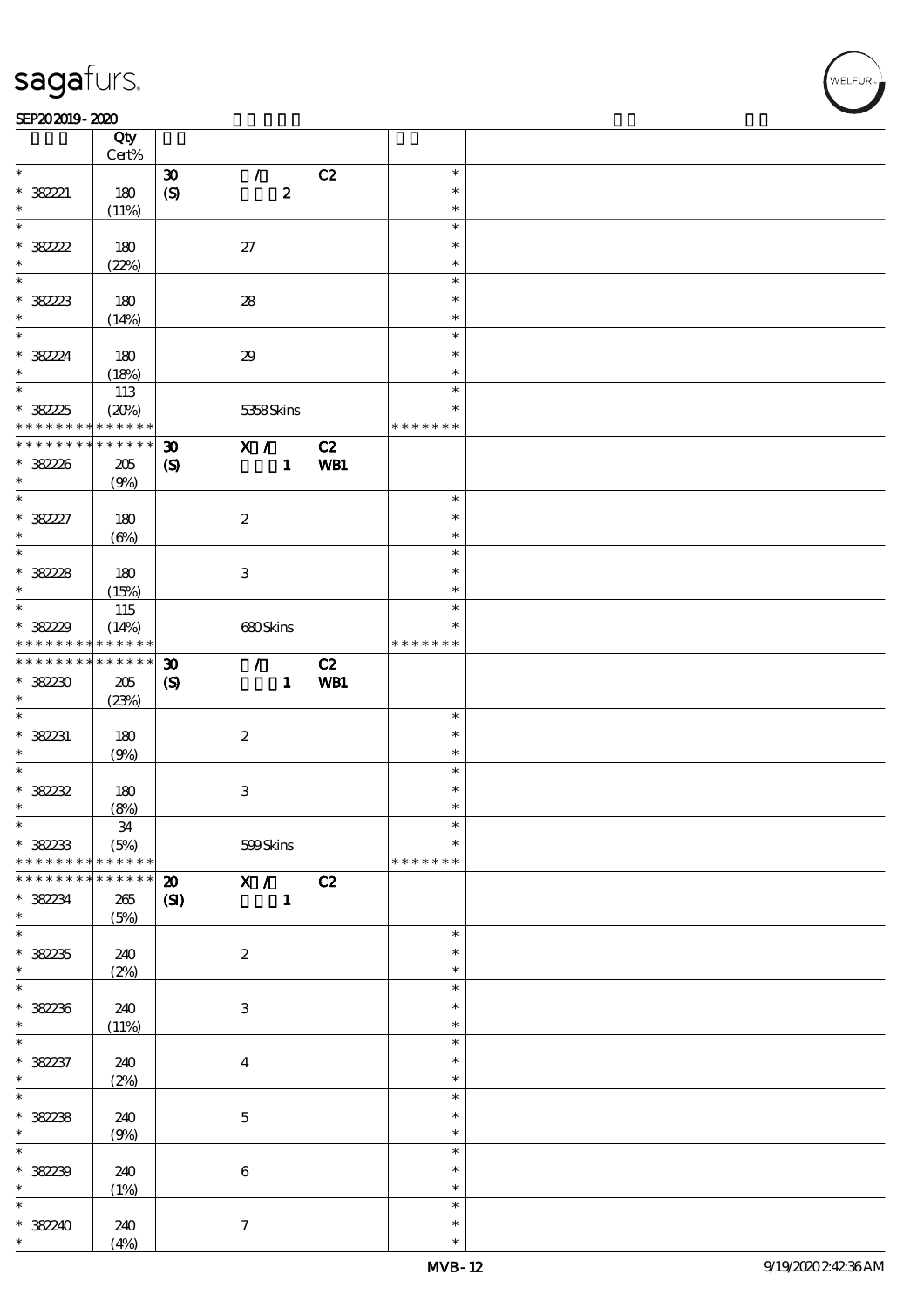#### SEP202019-2020

|                     | Qty             |                             |                           |                           |     |                  |  |
|---------------------|-----------------|-----------------------------|---------------------------|---------------------------|-----|------------------|--|
|                     | $Cert\%$        |                             |                           |                           |     |                  |  |
| $*$                 |                 | $\boldsymbol{\mathfrak{D}}$ |                           | $\mathcal{L}$             | C2  | $\ast$           |  |
| $* 38221$<br>$\ast$ | 180             | $\boldsymbol{S}$            |                           | $\pmb{2}$                 |     | $\ast$           |  |
| $\ast$              | (11%)           |                             |                           |                           |     | $\ast$<br>$\ast$ |  |
|                     |                 |                             |                           |                           |     | $\ast$           |  |
| $* 38222$           | 180             |                             | $27\,$                    |                           |     |                  |  |
| $\ast$<br>$\ast$    | (22%)           |                             |                           |                           |     | $\ast$           |  |
|                     |                 |                             |                           |                           |     | $\ast$           |  |
| $* 38223$           | 180             |                             | ${\bf 28}$                |                           |     | $\ast$           |  |
| $\ast$              | (14%)           |                             |                           |                           |     | $\ast$           |  |
| $\overline{\ast}$   |                 |                             |                           |                           |     | $\ast$           |  |
| $* 38224$           | 180             |                             | $29\,$                    |                           |     | $\ast$           |  |
| $\ast$              | (18%)           |                             |                           |                           |     | $\ast$           |  |
|                     | 113             |                             |                           |                           |     | $\ast$           |  |
| $* 38225$           | (20%)           |                             |                           | 5358Skins                 |     | $\ast$           |  |
| * * * * * * * *     | * * * * * *     |                             |                           |                           |     | * * * * * * *    |  |
| * * * * * * * *     | $* * * * * * *$ | $\boldsymbol{\mathfrak{D}}$ |                           | X /                       | C2  |                  |  |
| * 382226            | $205\,$         | $\boldsymbol{\mathcal{S}}$  |                           | $\mathbf{1}$              | WB1 |                  |  |
| $\ast$              | (9%)            |                             |                           |                           |     |                  |  |
| $\overline{\ast}$   |                 |                             |                           |                           |     | $\ast$           |  |
| $* 38227$           | 180             |                             | $\boldsymbol{2}$          |                           |     | $\ast$           |  |
| $\ast$              | $(\Theta\%)$    |                             |                           |                           |     | $\ast$           |  |
| $\overline{\ast}$   |                 |                             |                           |                           |     | $\ast$           |  |
| $* 38228$           | 180             |                             | $\ensuremath{\mathbf{3}}$ |                           |     | $\ast$           |  |
| $\ast$              | (15%)           |                             |                           |                           |     | $\ast$           |  |
| $\ast$              | 115             |                             |                           |                           |     | $\ast$           |  |
| $* 38229$           | (14%)           |                             |                           | 680Skins                  |     | $\ast$           |  |
| * * * * * * * *     | * * * * * *     |                             |                           |                           |     | * * * * * * *    |  |
| * * * * * * * *     | $* * * * * * *$ | $\boldsymbol{\mathfrak{D}}$ |                           | $\mathcal{L}$             | C2  |                  |  |
| $*38230$            | 205             | $\boldsymbol{\mathrm{(S)}}$ |                           | $\mathbf{1}$              | WB1 |                  |  |
| $\ast$              | (23%)           |                             |                           |                           |     |                  |  |
| $\ast$              |                 |                             |                           |                           |     | $\ast$           |  |
| $* 382231$          | 180             |                             | $\boldsymbol{2}$          |                           |     | $\ast$           |  |
| $\ast$              | (9%)            |                             |                           |                           |     | $\ast$           |  |
| $\ast$              |                 |                             |                           |                           |     | $\ast$           |  |
| $* 38222$           | 180             |                             | 3                         |                           |     | $\ast$           |  |
| $\ast$              | (8%)            |                             |                           |                           |     | $\ast$           |  |
| $\star$             | 34              |                             |                           |                           |     |                  |  |
| $*38233$            | (5%)            |                             |                           | 599Skins                  |     | $\ast$           |  |
| * * * * * * * *     | * * * * * *     |                             |                           |                           |     | * * * * * * *    |  |
| * * * * * * * *     | * * * * * *     | $\boldsymbol{\mathfrak{D}}$ |                           | $\overline{\mathbf{x}}$ / | C2  |                  |  |
| $*38234$            | 265             | (S)                         |                           | $\mathbf{1}$              |     |                  |  |
| $\ast$              | (5%)            |                             |                           |                           |     |                  |  |
| $\ast$              |                 |                             |                           |                           |     | $\ast$           |  |
| $* 38235$           | 240             |                             | $\boldsymbol{2}$          |                           |     | $\ast$           |  |
| $\ast$              | (2%)            |                             |                           |                           |     | $\ast$           |  |
| $\overline{\ast}$   |                 |                             |                           |                           |     | $\ast$           |  |
| $* 38236$           | 240             |                             | $\ensuremath{\mathsf{3}}$ |                           |     | $\ast$           |  |
| $\ast$              | (11%)           |                             |                           |                           |     | $\ast$           |  |
|                     |                 |                             |                           |                           |     | $\ast$           |  |
| $* 382237$          | 240             |                             | $\overline{\mathbf{4}}$   |                           |     | $\ast$           |  |
| $\ast$              | (2%)            |                             |                           |                           |     | $\ast$           |  |
| $\ast$              |                 |                             |                           |                           |     | $\ast$           |  |
| $* 382238$          | 240             |                             | $\mathbf{5}$              |                           |     | $\ast$           |  |
| $\ast$              | (9%)            |                             |                           |                           |     | $\ast$           |  |
| $\overline{\ast}$   |                 |                             |                           |                           |     | $\ast$           |  |
| $* 38239$           | 240             |                             | $\,6\,$                   |                           |     | $\ast$           |  |
| $\ast$              | (1%)            |                             |                           |                           |     | $\ast$           |  |
| $\ast$              |                 |                             |                           |                           |     | $\ast$           |  |
| $* 38240$           | 240             |                             | $\boldsymbol{\tau}$       |                           |     | $\ast$           |  |
| $\ast$              | (4%)            |                             |                           |                           |     | $\ast$           |  |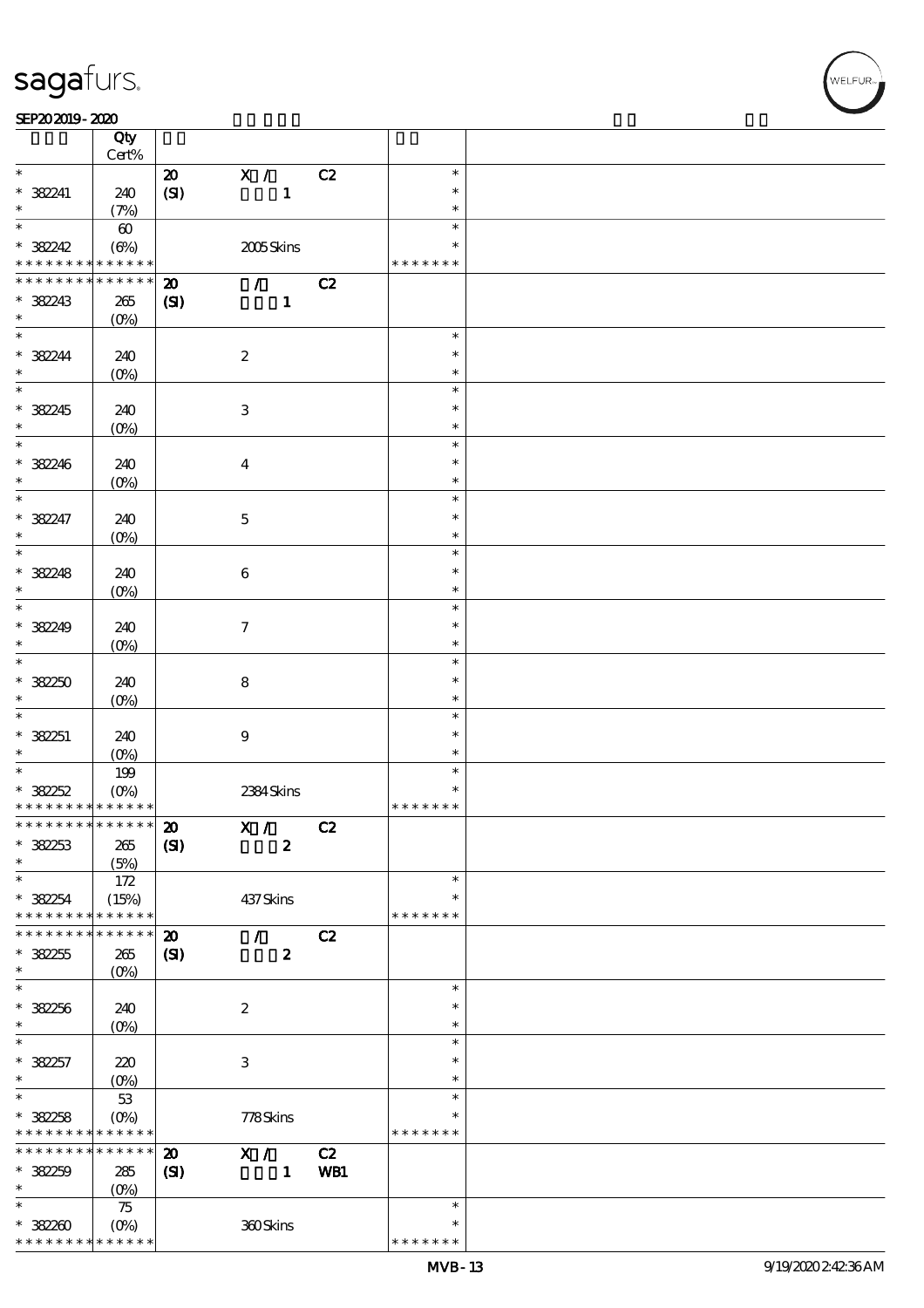#### SEP202019-2020

|                                    | Qty                    |                             |                             |     |               |  |
|------------------------------------|------------------------|-----------------------------|-----------------------------|-----|---------------|--|
|                                    | Cert%                  |                             |                             |     |               |  |
| $\ast$                             |                        | $\boldsymbol{\mathsf{20}}$  | $\mathbf{X}$ /              | C2  | $\ast$        |  |
| $* 38241$                          | 240                    | (SI)                        | $\mathbf{1}$                |     | $\ast$        |  |
| $\ast$                             | (7%)                   |                             |                             |     | $\ast$        |  |
| $\overline{\ast}$                  | $\boldsymbol{\omega}$  |                             |                             |     | $\ast$        |  |
| $* 38242$                          | $(\Theta)$             |                             | 2005Skins                   |     | $\ast$        |  |
| * * * * * * * *                    | * * * * * *            |                             |                             |     | * * * * * * * |  |
| * * * * * * * *                    | * * * * * *            | $\boldsymbol{\mathbf{z}}$   | $\mathcal{L} = \mathcal{L}$ | C2  |               |  |
| * 382243                           | 265                    | $\mathbf{C}$                | $\mathbf{1}$                |     |               |  |
| $\ast$                             | (O <sub>0</sub> )      |                             |                             |     |               |  |
| $\overline{\phantom{0}}$           |                        |                             |                             |     | $\ast$        |  |
| $* 38244$                          | 240                    |                             | $\boldsymbol{2}$            |     | $\ast$        |  |
| $\ast$                             | $(O\%)$                |                             |                             |     | $\ast$        |  |
| $\overline{\phantom{0}}$           |                        |                             |                             |     | $\ast$        |  |
| * 382245                           | 240                    |                             | $\ensuremath{\mathbf{3}}$   |     | $\ast$        |  |
| $\ast$                             | $(O\%)$                |                             |                             |     | $\ast$        |  |
| $\ast$                             |                        |                             |                             |     | $\ast$        |  |
| * 382246                           | 240                    |                             | $\bf{4}$                    |     | $\ast$        |  |
| $\ast$                             |                        |                             |                             |     | $\ast$        |  |
| $\overline{\ast}$                  | $(O\!/\!\!\delta)$     |                             |                             |     | $\ast$        |  |
| $* 382247$                         | 240                    |                             |                             |     | $\ast$        |  |
| $\ast$                             |                        |                             | $\mathbf 5$                 |     | $\ast$        |  |
| $\overline{\ast}$                  | $(O\!/\!\!\delta)$     |                             |                             |     | $\ast$        |  |
|                                    |                        |                             |                             |     |               |  |
| $* 38248$                          | 240                    |                             | $\bf 6$                     |     | $\ast$        |  |
| $\ast$<br>$\overline{\phantom{0}}$ | $(O\%)$                |                             |                             |     | $\ast$        |  |
|                                    |                        |                             |                             |     | $\ast$        |  |
| $* 38249$                          | 240                    |                             | $\boldsymbol{\tau}$         |     | $\ast$        |  |
| $\ast$                             | $(O\!/\!\!\delta)$     |                             |                             |     | $\ast$        |  |
| $\overline{\ast}$                  |                        |                             |                             |     | $\ast$        |  |
| $*38250$                           | 240                    |                             | $\bf8$                      |     | $\ast$        |  |
| $\ast$                             | $(O\%)$                |                             |                             |     | $\ast$        |  |
|                                    |                        |                             |                             |     | $\ast$        |  |
| $* 38251$                          | 240                    |                             | $\boldsymbol{9}$            |     | $\ast$        |  |
| $\ast$                             | $(O\%)$                |                             |                             |     | $\ast$        |  |
| $\overline{\ast}$                  | 199                    |                             |                             |     | $\ast$        |  |
| $* 38252$                          | $(O\%)$                |                             | 2384Skins                   |     | $\ast$        |  |
| * * * * * * * * * * * * * *        |                        |                             |                             |     | * * * * * * * |  |
| ************** 20                  |                        |                             | X /                         | C2  |               |  |
| $* 38253$                          | 265                    | (S)                         | $\boldsymbol{z}$            |     |               |  |
| $\ast$                             | (5%)                   |                             |                             |     |               |  |
| $\ast$                             | 172                    |                             |                             |     | $\ast$        |  |
| $* 38254$                          | (15%)                  |                             | 437Skins                    |     | $\ast$        |  |
| * * * * * * * *                    | * * * * * *            |                             |                             |     | * * * * * * * |  |
| * * * * * * *                      | * * * * * *            | $\boldsymbol{\mathfrak{D}}$ | $\mathcal{F}$               | C2  |               |  |
| $* 38255$                          | 265                    | (S)                         | $\boldsymbol{z}$            |     |               |  |
| $\ast$                             | $(0\%)$                |                             |                             |     |               |  |
| $\ast$                             |                        |                             |                             |     | $\ast$        |  |
| $* 382256$                         | 240                    |                             | $\boldsymbol{z}$            |     | $\ast$        |  |
| $\ast$                             | (O <sub>0</sub> )      |                             |                             |     | $\ast$        |  |
| $\ast$                             |                        |                             |                             |     | $\ast$        |  |
| * 382257                           | 220                    |                             | $\ensuremath{\mathbf{3}}$   |     | $\ast$        |  |
| $\ast$                             | $(O_0)$                |                             |                             |     | $\ast$        |  |
| $\overline{\ast}$                  | $5\!3$                 |                             |                             |     | $\ast$        |  |
|                                    |                        |                             |                             |     | $\ast$        |  |
| $* 382258$<br>* * * * * * * *      | $(O\%)$<br>* * * * * * |                             | 778Skins                    |     | * * * * * * * |  |
| * * * * * * * *                    | $******$               |                             |                             |     |               |  |
|                                    |                        | $\boldsymbol{\mathbf{z}}$   | X /                         | C2  |               |  |
| $*38259$                           | $285\,$                | $\mathbf{C}$                | $\mathbf{1}$                | WB1 |               |  |
| $\ast$                             | (O <sub>0</sub> )      |                             |                             |     |               |  |
| $\ast$                             | $75\,$                 |                             |                             |     | $\ast$        |  |
| $*38280$                           | $(O\%)$                |                             | 360Skins                    |     | $\ast$        |  |
| * * * * * * * *                    | * * * * * *            |                             |                             |     | * * * * * * * |  |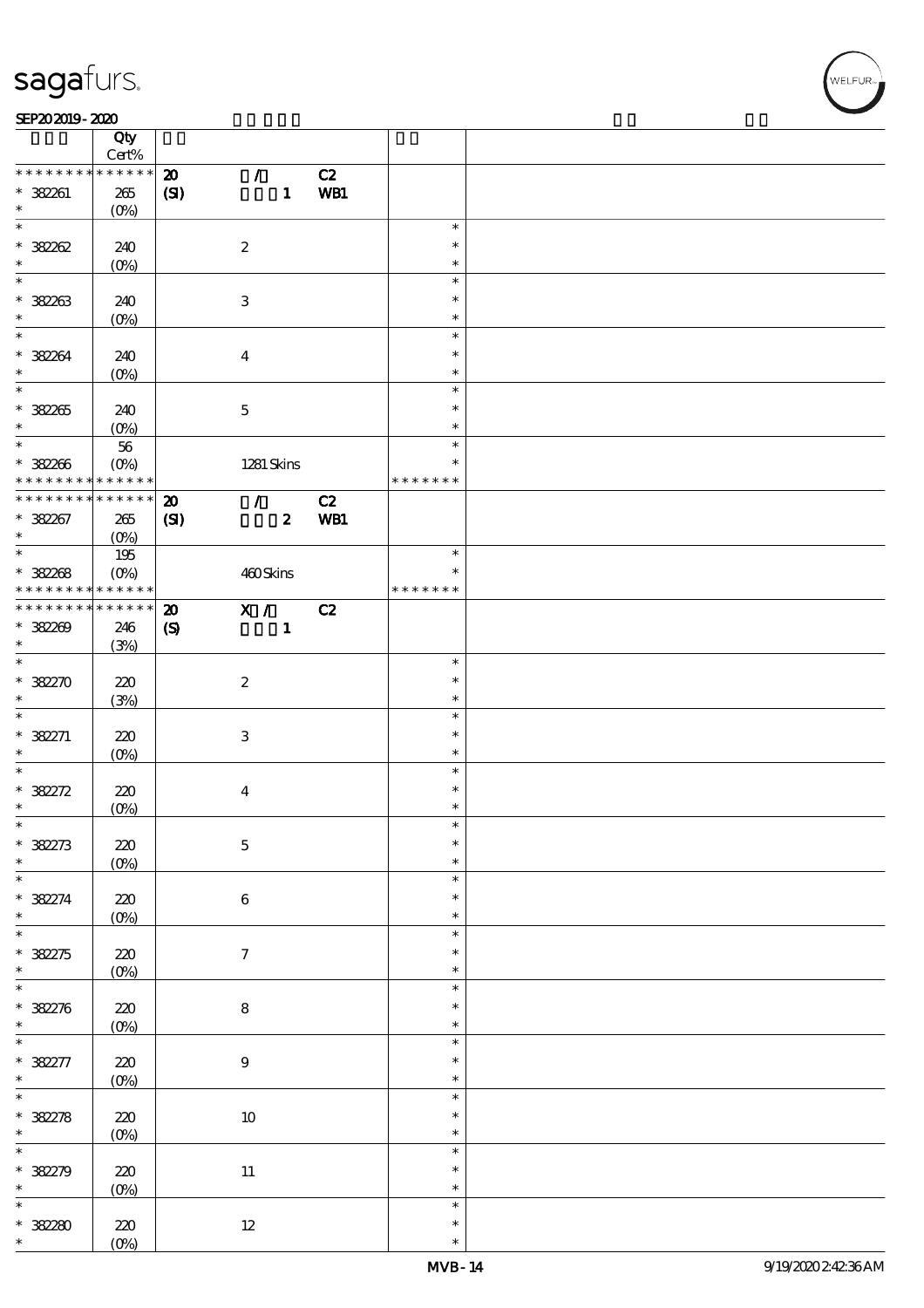#### SEP202019-2020

|                                                        | Qty               |                             |                  |                  |     |               |  |
|--------------------------------------------------------|-------------------|-----------------------------|------------------|------------------|-----|---------------|--|
|                                                        | $Cert\%$          |                             |                  |                  |     |               |  |
| * * * * * * * *                                        | $* * * * * * *$   | $\boldsymbol{\mathfrak{D}}$ | $\mathcal{F}$    |                  | C2  |               |  |
| * 382261                                               | $265\,$           | (SI)                        |                  | $\mathbf{1}$     | WB1 |               |  |
| $\ast$                                                 | $(O\%)$           |                             |                  |                  |     |               |  |
| $\ast$                                                 |                   |                             |                  |                  |     | $\ast$        |  |
| $* 38202$                                              | 240               |                             | $\boldsymbol{2}$ |                  |     | $\ast$        |  |
| $\ast$                                                 | $(0\%)$           |                             |                  |                  |     | $\ast$        |  |
| $\ast$                                                 |                   |                             |                  |                  |     | $\ast$        |  |
| $* 382263$                                             | 240               |                             | 3                |                  |     | $\ast$        |  |
| $\ast$                                                 | (O <sub>0</sub> ) |                             |                  |                  |     | $\ast$        |  |
| $\overline{\ast}$                                      |                   |                             |                  |                  |     | $\ast$        |  |
| * 382264                                               | 240               |                             | $\boldsymbol{4}$ |                  |     | $\ast$        |  |
| $\ast$                                                 | $(O\%)$           |                             |                  |                  |     | $\ast$        |  |
| $\overline{\ast}$                                      |                   |                             |                  |                  |     | $\ast$        |  |
| $* 382205$                                             | 240               |                             | $\mathbf 5$      |                  |     | $\ast$        |  |
| $\ast$                                                 | $(0\%)$           |                             |                  |                  |     | $\ast$        |  |
|                                                        | ${\bf 56}$        |                             |                  |                  |     | $\ast$        |  |
|                                                        |                   |                             |                  |                  |     | $\ast$        |  |
| * 382266<br>* * * * * * * * <mark>* * * * * * *</mark> | $(O\%)$           |                             |                  | $1281$ Skins     |     | * * * * * * * |  |
| * * * * * * * * * * * * * * *                          |                   |                             |                  |                  |     |               |  |
|                                                        |                   | $\boldsymbol{\mathbf{z}}$   | $\mathcal{L}$    |                  | C2  |               |  |
| $* 382267$                                             | 265               | (S)                         |                  | $\boldsymbol{z}$ | WB1 |               |  |
| $\ast$<br>$\ast$                                       | $(O\%)$           |                             |                  |                  |     | $\ast$        |  |
|                                                        | 195               |                             |                  |                  |     |               |  |
| $* 382268$                                             | $(O\!/\!o)$       |                             | 460Skins         |                  |     | $\ast$        |  |
| * * * * * * * *                                        | $* * * * * * *$   |                             |                  |                  |     | * * * * * * * |  |
| * * * * * * * *                                        | * * * * * *       | $\boldsymbol{\mathbf{z}}$   | X /              |                  | C2  |               |  |
| $* 38200$                                              | 246               | $\pmb{\mathcal{S}}$         |                  | $\mathbf{1}$     |     |               |  |
| $\ast$                                                 | (3%)              |                             |                  |                  |     |               |  |
| $\overline{\ast}$                                      |                   |                             |                  |                  |     | $\ast$        |  |
| $* 38270$                                              | 220               |                             | $\boldsymbol{2}$ |                  |     | $\ast$        |  |
| $\ast$                                                 | (3%)              |                             |                  |                  |     | $\ast$        |  |
| $\overline{\ast}$                                      |                   |                             |                  |                  |     | $\ast$        |  |
| $* 382271$                                             | 220               |                             | 3                |                  |     | $\ast$        |  |
| $\ast$                                                 | (O <sub>0</sub> ) |                             |                  |                  |     | $\ast$        |  |
| $\ast$                                                 |                   |                             |                  |                  |     | $\ast$        |  |
| $* 382272$                                             | 220               |                             | $\boldsymbol{4}$ |                  |     | $\ast$        |  |
| $\ast$                                                 | $(0\%)$           |                             |                  |                  |     | $\ast$        |  |
| $\star$                                                |                   |                             |                  |                  |     |               |  |
| $* 38273$                                              | $220\,$           |                             | $\mathbf 5$      |                  |     | $\ast$        |  |
| $\ast$                                                 | $(0\%)$           |                             |                  |                  |     | $\ast$        |  |
|                                                        |                   |                             |                  |                  |     | $\ast$        |  |
| $* 38274$                                              | 220               |                             | $\bf 6$          |                  |     | $\ast$        |  |
| $\ast$                                                 |                   |                             |                  |                  |     | $\ast$        |  |
| $\overline{\ast}$                                      | $(0\%)$           |                             |                  |                  |     | $\ast$        |  |
|                                                        | $220$             |                             | $\tau$           |                  |     | $\ast$        |  |
| $* 38275$<br>$\ast$                                    |                   |                             |                  |                  |     | $\ast$        |  |
| $\overline{\ast}$                                      | $(0\%)$           |                             |                  |                  |     | $\ast$        |  |
|                                                        |                   |                             |                  |                  |     |               |  |
| * 382276                                               | 220               |                             | ${\bf 8}$        |                  |     | $\ast$        |  |
| $\ast$                                                 | $(0\%)$           |                             |                  |                  |     | $\ast$        |  |
|                                                        |                   |                             |                  |                  |     | $\ast$        |  |
| * 382277                                               | 220               |                             | $\boldsymbol{9}$ |                  |     | $\ast$        |  |
| $\ast$                                                 | $(0\%)$           |                             |                  |                  |     | $\ast$        |  |
| $\overline{\mathbf{r}}$                                |                   |                             |                  |                  |     | $\ast$        |  |
| $* 38278$                                              | $220$             |                             | $10\,$           |                  |     | $\ast$        |  |
| $\ast$                                                 | $(0\%)$           |                             |                  |                  |     | $\ast$        |  |
| $\overline{\ast}$                                      |                   |                             |                  |                  |     | $\ast$        |  |
| * 38279                                                | $220$             |                             | $11\,$           |                  |     | $\ast$        |  |
| $\ast$                                                 | $(0\%)$           |                             |                  |                  |     | $\ast$        |  |
| $\ast$                                                 |                   |                             |                  |                  |     | $\ast$        |  |
| $*38280$                                               | $220\,$           |                             | $12\,$           |                  |     | $\ast$        |  |
|                                                        | $(O\%)$           |                             |                  |                  |     | $\ast$        |  |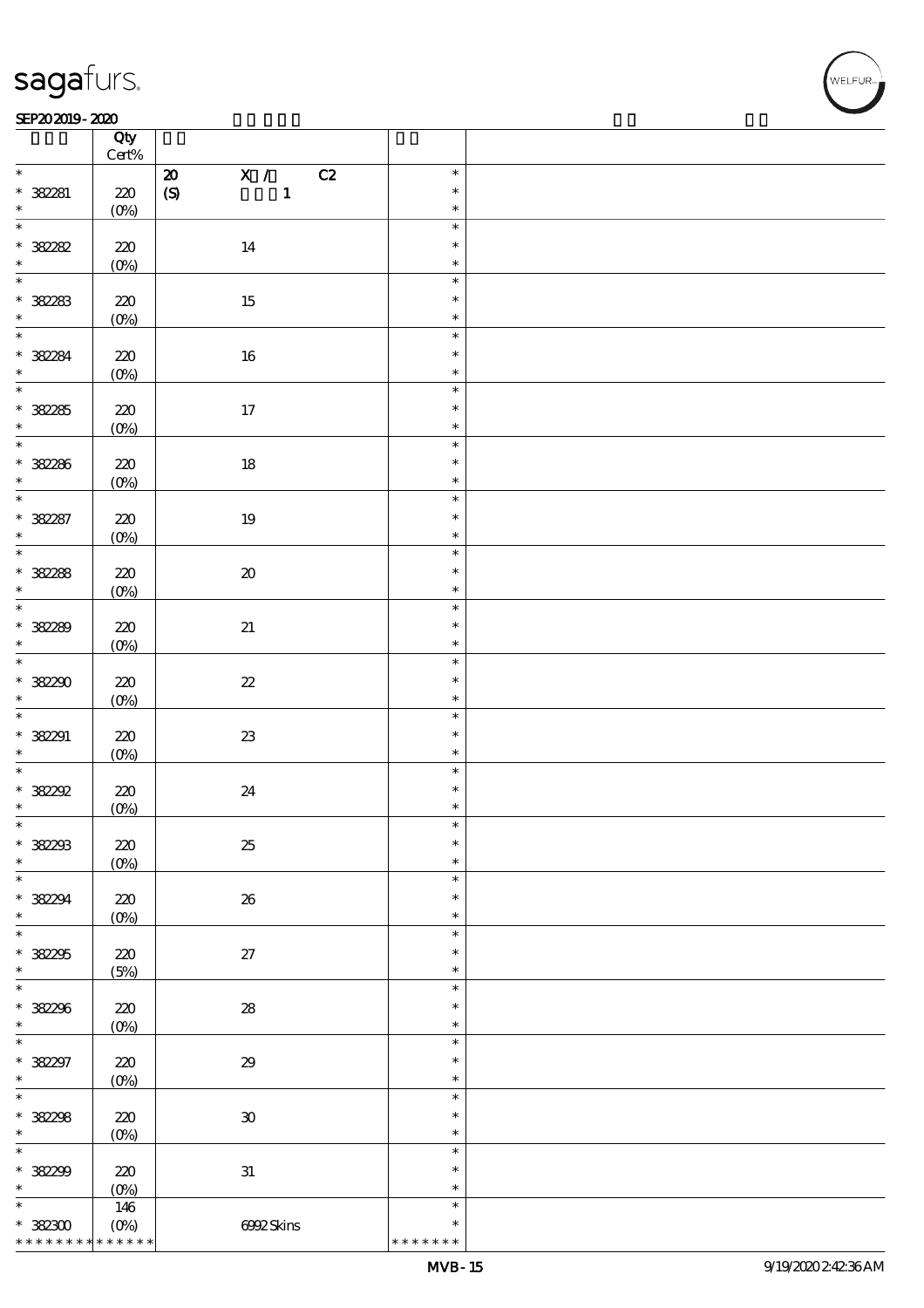#### SEP202019-2020 REPORTED TO A REPORT OF THE SEPENDENT CONTROL AND THE SEPENDENT CONTROL OF THE SEPENDENT CONTROL OF THE SEPENDENT CONTROL OF THE SEPENDENT CONTROL OF THE SEPENDENT CONTROL OF THE SEPENDENT CONTROL OF THE SEP

|                          | Qty<br>$\mbox{Cert}\%$ |                                             |               |  |
|--------------------------|------------------------|---------------------------------------------|---------------|--|
|                          |                        |                                             |               |  |
| $\ast$                   |                        | $\mathbf{X}$ /<br>C2<br>$\pmb{\mathcal{Z}}$ | $\ast$        |  |
| * 38281                  | $220\,$                | $\pmb{\text{(S)}}$<br>$\mathbf{1}$          | $\ast$        |  |
| $\ast$                   | $(0\%)$                |                                             | $\ast$        |  |
|                          |                        |                                             | $\ast$        |  |
|                          |                        |                                             |               |  |
| $* 38282$                | $220$                  | 14                                          | $\ast$        |  |
| $\ast$                   | $(0\%)$                |                                             | $\ast$        |  |
| $\overline{\ast}$        |                        |                                             | $\ast$        |  |
|                          |                        |                                             |               |  |
| $* 38283$                | $220\,$                | 15                                          | $\ast$        |  |
| $\ast$                   | $(0\%)$                |                                             | $\ast$        |  |
| $\overline{\ast}$        |                        |                                             | $\ast$        |  |
| * 38284                  |                        |                                             | $\ast$        |  |
|                          | $220\,$                | $16\,$                                      |               |  |
| $\ast$                   | $(0\%)$                |                                             | $\ast$        |  |
| $\overline{\ast}$        |                        |                                             | $\ast$        |  |
| $* 38285$                | 220                    | $17\,$                                      | $\ast$        |  |
| $\ast$                   |                        |                                             | $\ast$        |  |
|                          | $(0\%)$                |                                             |               |  |
| $*$                      |                        |                                             | $\ast$        |  |
| $* 32286$                | 220                    | $18\,$                                      | $\ast$        |  |
|                          | $(0\%)$                |                                             | $\ast$        |  |
|                          |                        |                                             | $\ast$        |  |
|                          |                        |                                             |               |  |
| * 38287                  | $220$                  | $19\,$                                      | $\ast$        |  |
|                          | (0%)                   |                                             | $\ast$        |  |
|                          |                        |                                             | $\ast$        |  |
|                          |                        |                                             |               |  |
| $* 38288$                | 220                    | $\pmb{\mathcal{X}}$                         | $\ast$        |  |
|                          | $(0\%)$                |                                             | $\ast$        |  |
| $\overline{\phantom{0}}$ |                        |                                             | $\ast$        |  |
|                          |                        |                                             | $\ast$        |  |
| $* 38289$                | 220                    | $2\hspace{-1.5pt}1$                         |               |  |
|                          | $(0\%)$                |                                             | $\ast$        |  |
| $\overline{\ast}$        |                        |                                             | $\ast$        |  |
| $*38230$                 | $220\,$                | $\boldsymbol{\mathcal{Z}}$                  | $\ast$        |  |
| $\ast$                   |                        |                                             | $\ast$        |  |
|                          | $(0\%)$                |                                             |               |  |
| $\overline{\ast}$        |                        |                                             | $\ast$        |  |
| $* 38291$                | 220                    | ${\bf Z}3$                                  | $\ast$        |  |
| $\ast$                   | $(0\%)$                |                                             | $\ast$        |  |
| $\ast$                   |                        |                                             | $\ast$        |  |
|                          |                        |                                             |               |  |
| * 382292                 | 220                    | $2\!4$                                      | $\ast$        |  |
| $\ast$                   | $(0\%)$                |                                             | $\ast$        |  |
| $\ast$                   |                        |                                             | $\ast$        |  |
|                          |                        |                                             | $\ast$        |  |
| * 382293                 | 220                    | $2\!5$                                      |               |  |
| *                        | $(0\%)$                |                                             | $\ast$        |  |
| $\ast$                   |                        |                                             | $\ast$        |  |
| * 382294                 | 220                    | ${\bf 26}$                                  | $\ast$        |  |
| $\ast$                   |                        |                                             | $\ast$        |  |
|                          | $(0\%)$                |                                             |               |  |
| $\ast$                   |                        |                                             | $\ast$        |  |
| $* 38225$                | 220                    | $27\,$                                      | $\ast$        |  |
| $\ast$                   |                        |                                             | $\ast$        |  |
|                          | (5%)                   |                                             |               |  |
| $\ast$                   |                        |                                             | $\ast$        |  |
| * 38296                  | 220                    | ${\bf 28}$                                  | $\ast$        |  |
| $\ast$                   | $(0\%)$                |                                             | $\ast$        |  |
| $\ast$                   |                        |                                             | $\ast$        |  |
|                          |                        |                                             |               |  |
| * 382297                 | 220                    | $29\,$                                      | $\ast$        |  |
| $\ast$                   | $(0\%)$                |                                             | $\ast$        |  |
| $\ast$                   |                        |                                             | $\ast$        |  |
|                          |                        |                                             | $\ast$        |  |
| $* 382288$               | 220                    | $\mathbf{3}0$                               |               |  |
| $\ast$                   | $(0\%)$                |                                             | $\ast$        |  |
| $\ast$                   |                        |                                             | $\ast$        |  |
| * 382299                 | 220                    | ${\bf 31}$                                  | $\ast$        |  |
| $\ast$                   |                        |                                             | $\ast$        |  |
|                          | $(0\%)$                |                                             |               |  |
| $\ast$                   | 146                    |                                             | $\ast$        |  |
| $*382300$                | $(O\!/\!\!\delta)$     | 6992Skins                                   | $\ast$        |  |
| * * * * * * * *          | * * * * * *            |                                             | * * * * * * * |  |
|                          |                        |                                             |               |  |

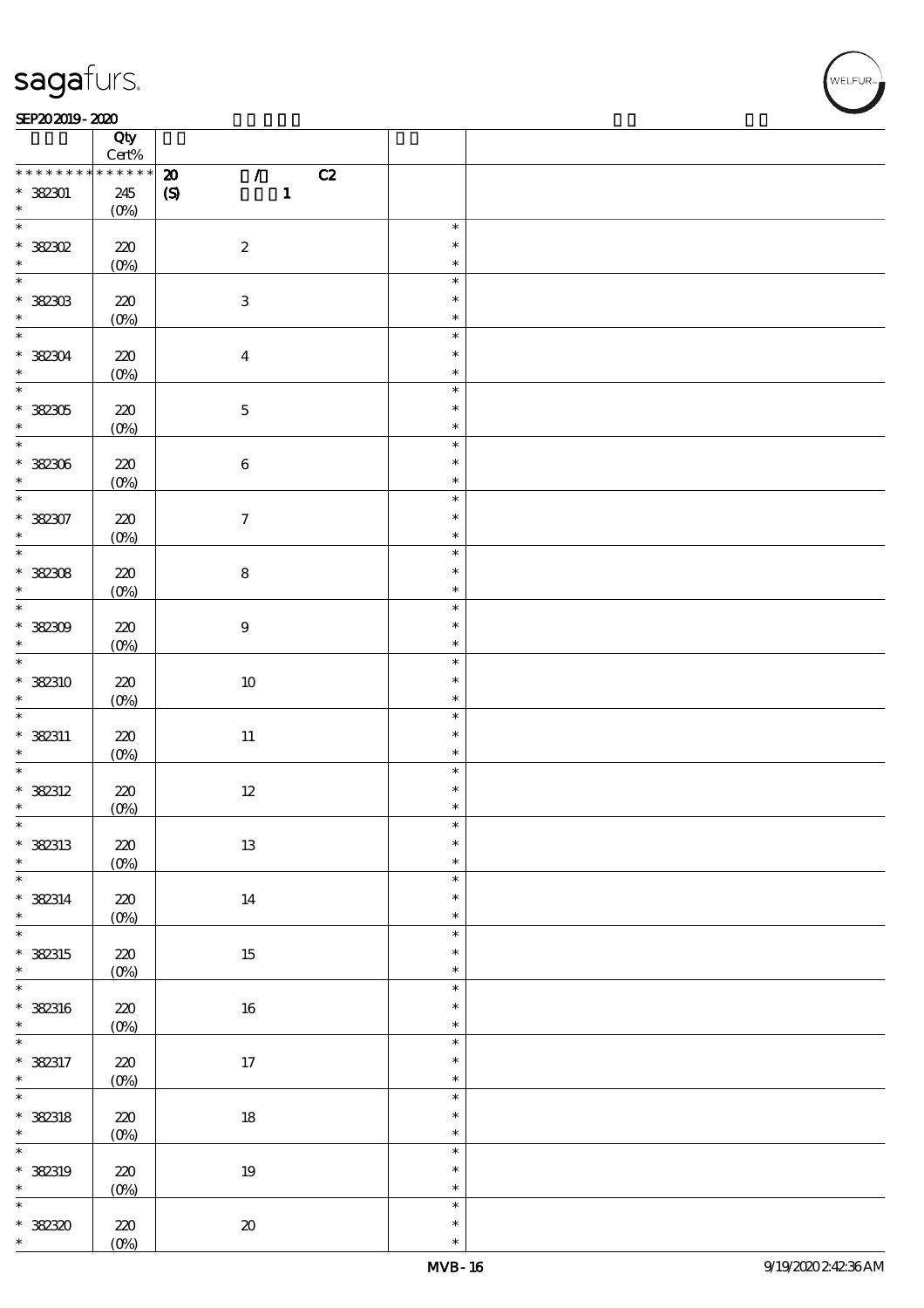### $SEP202019 - 2020$

|                   | Qty<br>$\mbox{Cert}\%$ |                                            |        |  |
|-------------------|------------------------|--------------------------------------------|--------|--|
| * * * * * * * *   | * * * * * *            |                                            |        |  |
|                   |                        | C2<br>$\pmb{\mathcal{Z}}$<br>$\mathcal{L}$ |        |  |
| $*382301$         | 245                    | $\mathbf{1}$<br>$\pmb{\mathcal{S}}$        |        |  |
| $\ast$            | $(0\%)$                |                                            |        |  |
| $\overline{\ast}$ |                        |                                            | $\ast$ |  |
| $*38202$          | $220$                  | $\boldsymbol{2}$                           | $\ast$ |  |
|                   |                        |                                            |        |  |
| $\ast$            | $(0\%)$                |                                            | $\ast$ |  |
|                   |                        |                                            | $\ast$ |  |
| $* 32303$         | 220                    | $\ensuremath{\mathbf{3}}$                  | $\ast$ |  |
| $\ast$            | $(0\%)$                |                                            | $\ast$ |  |
| $\ast$            |                        |                                            | $\ast$ |  |
|                   |                        |                                            |        |  |
| * 382304          | 220                    | $\boldsymbol{4}$                           | $\ast$ |  |
|                   | $(0\%)$                |                                            | $\ast$ |  |
| $\overline{\ast}$ |                        |                                            | $\ast$ |  |
| * 382305          | 220                    | $\mathbf 5$                                | $\ast$ |  |
| $\ast$            |                        |                                            | $\ast$ |  |
|                   | $(0\%)$                |                                            |        |  |
| $*$               |                        |                                            | $\ast$ |  |
| $* 32306$         | 220                    | $\bf 6$                                    | $\ast$ |  |
| $\ast$            | $(0\%)$                |                                            | $\ast$ |  |
| $\ast$            |                        |                                            | $\ast$ |  |
|                   |                        |                                            | $\ast$ |  |
| $* 382307$        | 220                    | $\boldsymbol{7}$                           |        |  |
|                   | $(0\%)$                |                                            | $\ast$ |  |
|                   |                        |                                            | $\ast$ |  |
| $*382308$         | $220$                  | ${\bf 8}$                                  | $\ast$ |  |
| $\ast$            | $(0\%)$                |                                            | $\ast$ |  |
| $\overline{\ast}$ |                        |                                            | $\ast$ |  |
|                   |                        |                                            |        |  |
| $*382309$         | 220                    | $\boldsymbol{9}$                           | $\ast$ |  |
| $\ast$            | $(0\%)$                |                                            | $\ast$ |  |
| $\overline{\ast}$ |                        |                                            | $\ast$ |  |
| * 382310          | 220                    | $10\,$                                     | $\ast$ |  |
|                   |                        |                                            |        |  |
| $\ast$            | $(O\%)$                |                                            | $\ast$ |  |
| $\overline{\ast}$ |                        |                                            | $\ast$ |  |
| $*$ 382311        | 220                    | $11\,$                                     | $\ast$ |  |
| $\ast$            | $(0\%)$                |                                            | $\ast$ |  |
| $\ast$            |                        |                                            | $\ast$ |  |
|                   |                        |                                            | $\ast$ |  |
| * 382312          | 220                    | $12\,$                                     |        |  |
| $\ast$            | $(0\%)$                |                                            | $\ast$ |  |
| $\ast$            |                        |                                            | ж      |  |
| * 382313          | $220$                  | $13\,$                                     | $\ast$ |  |
| $\ast$            | $(O\%)$                |                                            | $\ast$ |  |
| $\overline{\ast}$ |                        |                                            | $\ast$ |  |
|                   |                        |                                            |        |  |
| $*$ 382314        | $220\,$                | 14                                         | $\ast$ |  |
| $\ast$            | $(0\%)$                |                                            | $\ast$ |  |
| $\ast$            |                        |                                            | $\ast$ |  |
| * 382315          | $220$                  | $15\,$                                     | $\ast$ |  |
| $\ast$            |                        |                                            | $\ast$ |  |
| $\overline{\ast}$ | $(0\%)$                |                                            |        |  |
|                   |                        |                                            | $\ast$ |  |
| * 382316          | 220                    | $16\,$                                     | $\ast$ |  |
| $\ast$            | $(0\%)$                |                                            | $\ast$ |  |
| $\overline{\ast}$ |                        |                                            | $\ast$ |  |
|                   |                        |                                            | $\ast$ |  |
| * 382317          | $220\,$                | 17                                         |        |  |
| $\ast$            | $(0\%)$                |                                            | $\ast$ |  |
| $\overline{\ast}$ |                        |                                            | $\ast$ |  |
| * 382318          | $220\,$                | $18\,$                                     | $\ast$ |  |
| $\ast$            | $(0\%)$                |                                            | $\ast$ |  |
| $\overline{\ast}$ |                        |                                            | $\ast$ |  |
|                   |                        |                                            |        |  |
| * 382319          | $220$                  | $19\,$                                     | $\ast$ |  |
| $\ast$            | $(0\%)$                |                                            | $\ast$ |  |
| $\ast$            |                        |                                            | $\ast$ |  |
| $* 38230$         | $220\,$                | $\pmb{\mathcal{X}}$                        | $\ast$ |  |
| $\ast$            |                        |                                            | $\ast$ |  |
|                   | $(0\%)$                |                                            |        |  |

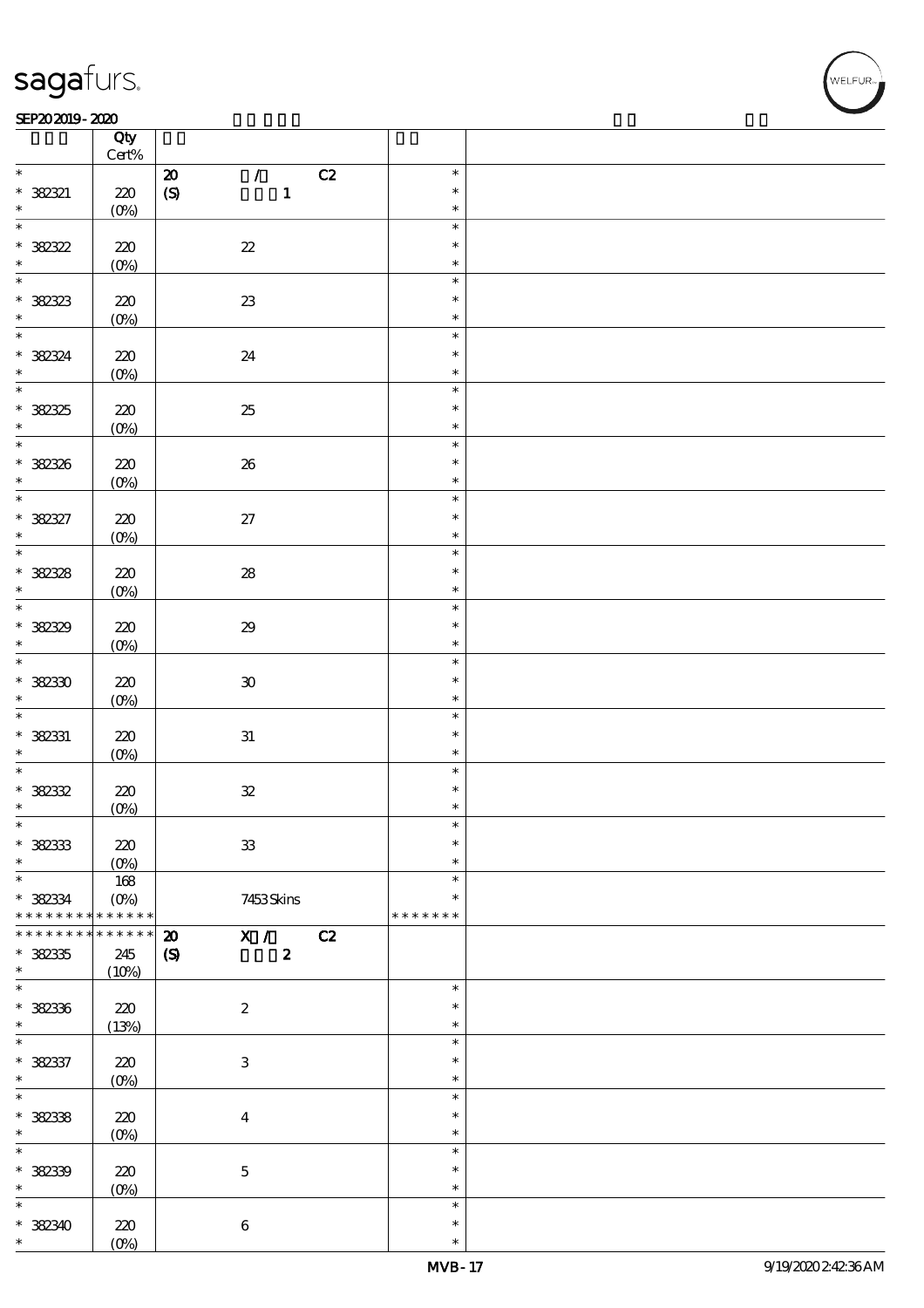### $SEP202019 - 2020$

|                    | Qty<br>$\mbox{Cert}\%$ |                                                                |                  |  |
|--------------------|------------------------|----------------------------------------------------------------|------------------|--|
|                    |                        |                                                                |                  |  |
| $\ast$             |                        | C2<br>$\pmb{\mathcal{Z}}$<br>$\mathcal{T}$                     | $\ast$           |  |
| $* 382321$         | $220$                  | $\mathbf{1}$<br>$\boldsymbol{S}$                               | $\ast$           |  |
| $\ast$             | $(0\%)$                |                                                                | $\ast$           |  |
| $\ast$             |                        |                                                                | $\ast$           |  |
|                    |                        |                                                                |                  |  |
| $* 38232$          | $220$                  | $2\!2$                                                         | $\ast$           |  |
| $\ast$             | $(0\%)$                |                                                                | $\ast$           |  |
| $\overline{\ast}$  |                        |                                                                | $\ast$           |  |
|                    |                        |                                                                |                  |  |
| $* 38233$          | 220                    | ${\bf Z}3$                                                     | $\ast$           |  |
| $\ast$             | $(0\%)$                |                                                                | $\ast$           |  |
| $\ast$             |                        |                                                                | $\ast$           |  |
|                    |                        |                                                                |                  |  |
| * 382324           | 220                    | $2\!4$                                                         | $\ast$           |  |
| $\ast$             | $(0\%)$                |                                                                | $\ast$           |  |
| $\overline{\ast}$  |                        |                                                                | $\ast$           |  |
|                    |                        |                                                                |                  |  |
|                    | 220                    | $25\,$                                                         | $\ast$           |  |
| $* 38235$          | $(0\%)$                |                                                                | $\ast$           |  |
| $*$                |                        |                                                                |                  |  |
|                    |                        |                                                                | $\ast$           |  |
| * 382326           | 220                    | ${\bf 26}$                                                     | $\ast$           |  |
| $\ast$             | $(0\%)$                |                                                                | $\ast$           |  |
| $\ast$             |                        |                                                                | $\ast$           |  |
|                    |                        |                                                                |                  |  |
|                    | 220                    | $27\,$                                                         | $\ast$           |  |
| $* 382327$         | $(0\%)$                |                                                                | $\ast$           |  |
| $\overline{\ast}$  |                        |                                                                | $\ast$           |  |
|                    |                        |                                                                |                  |  |
| $* 38238$          | $220$                  | ${\bf 28}$                                                     | $\ast$           |  |
| $\ast$             | $(0\%)$                |                                                                | $\ast$           |  |
| $\overline{\ast}$  |                        |                                                                | $\ast$           |  |
|                    |                        |                                                                |                  |  |
| * 382329           | 220                    | $\pmb{\mathcal{Z}}\pmb{9}$                                     | $\ast$           |  |
| $\ast$             | $(0\%)$                |                                                                | $\ast$           |  |
| $\ast$             |                        |                                                                | $\ast$           |  |
|                    |                        |                                                                |                  |  |
| $*38230$           | 220                    | $\boldsymbol{\mathfrak{D}}$                                    | $\ast$           |  |
| $\ast$             | $(O\%)$                |                                                                | $\ast$           |  |
| $\overline{\ast}$  |                        |                                                                | $\ast$           |  |
|                    |                        |                                                                |                  |  |
| $*$ 382331         | 220                    | ${\bf 31}$                                                     | $\ast$           |  |
| $\ast$             | $(0\%)$                |                                                                | $\ast$           |  |
| $\ast$             |                        |                                                                | $\ast$           |  |
|                    |                        |                                                                |                  |  |
| $* 38232$          | 220                    | ${\mathcal Z}$                                                 | $\ast$           |  |
| $\ast$             | $(0\%)$                |                                                                | $\ast$           |  |
| *                  |                        |                                                                | ж                |  |
|                    |                        |                                                                |                  |  |
| $* 38233$          | 220                    | ${\bf 3}$                                                      | $\ast$           |  |
| $\ast$             | $(O\%)$                |                                                                | $\ast$           |  |
| $\ast$             | 168                    |                                                                | $\ast$           |  |
|                    |                        |                                                                |                  |  |
| $*$ 382334         | $(O\%)$                | 7453Skins                                                      | $\ast$           |  |
| * * * * * * * *    | * * * * * *            |                                                                | * * * * * * *    |  |
| * * * * * * * *    |                        |                                                                |                  |  |
|                    | $******$               |                                                                |                  |  |
|                    |                        | $\overline{\mathbf{x}}$ /<br>C2<br>$\boldsymbol{\mathfrak{D}}$ |                  |  |
| $* 38235$          | 245                    | $\pmb{2}$<br>$\pmb{\mathcal{S}}$                               |                  |  |
| $\ast$             | (10%)                  |                                                                |                  |  |
| $\ast$             |                        |                                                                | $\ast$           |  |
|                    |                        |                                                                |                  |  |
| * 382336           | 220                    | $\boldsymbol{2}$                                               | $\ast$           |  |
| $\ast$             | (13%)                  |                                                                | $\ast$           |  |
| $\overline{\ast}$  |                        |                                                                | $\ast$           |  |
|                    |                        |                                                                |                  |  |
| * 382337           | $220$                  | $\ensuremath{\mathbf{3}}$                                      | $\ast$           |  |
| $\ast$             | $(0\%)$                |                                                                | $\ast$           |  |
| $\overline{\ast}$  |                        |                                                                | $\ast$           |  |
|                    |                        |                                                                |                  |  |
| $* 382338$         | $220$                  | $\boldsymbol{4}$                                               | $\ast$           |  |
| $\ast$             | $(0\%)$                |                                                                | $\ast$           |  |
| $\ast$             |                        |                                                                | $\ast$           |  |
|                    |                        |                                                                |                  |  |
| * 382339           | 220                    | $\bf 5$                                                        | $\ast$           |  |
| $\ast$             | $(O\%)$                |                                                                | $\ast$           |  |
| $\ast$             |                        |                                                                | $\ast$           |  |
|                    |                        |                                                                |                  |  |
| * 382340<br>$\ast$ | $220$<br>$(0\%)$       | $\bf 6$                                                        | $\ast$<br>$\ast$ |  |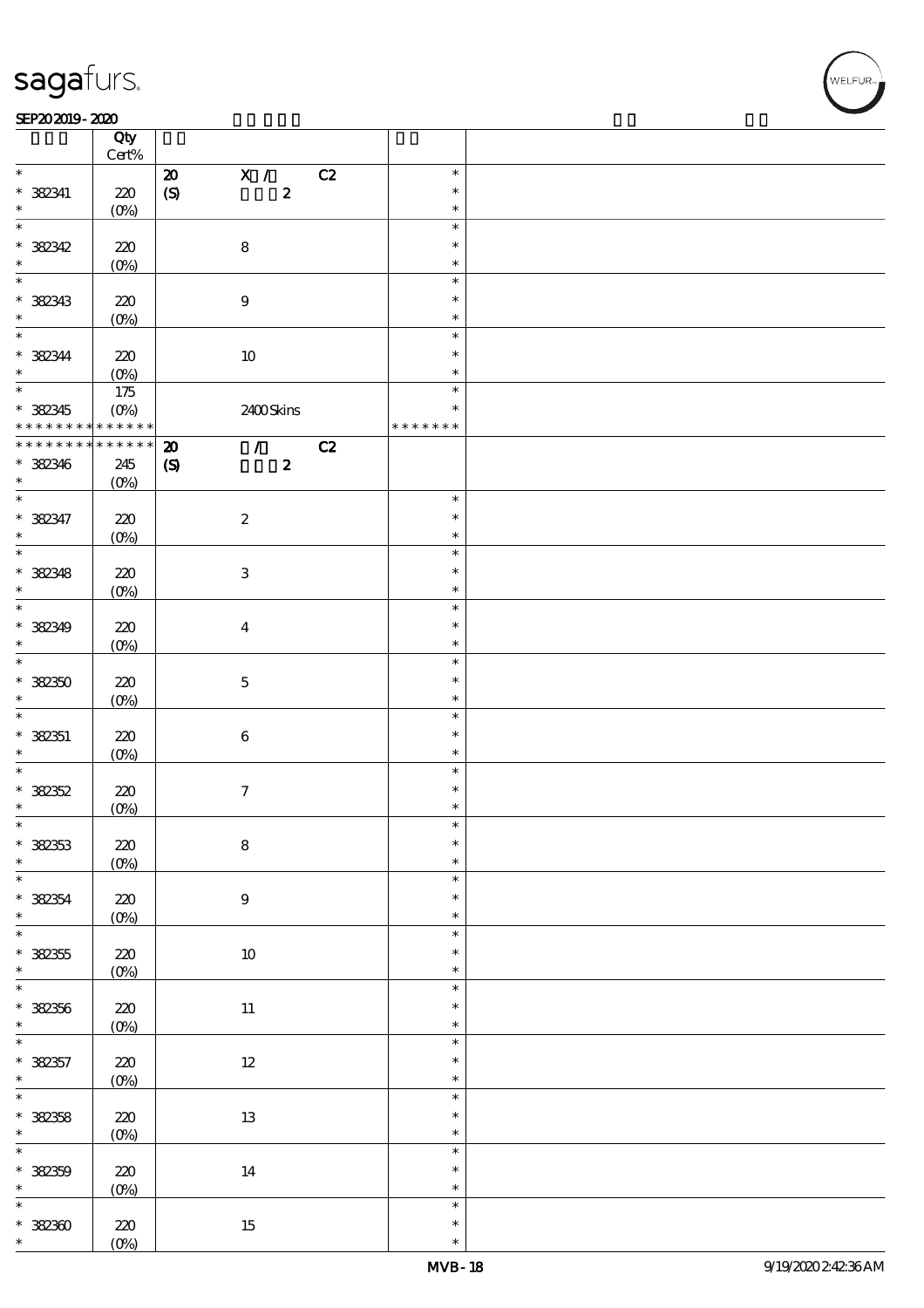#### SEP202019-2020 REPORTED TO A REPORT OF THE SEPENDENT CONTROL AND THE SEPENDENT CONTROL OF THE SEPENDENT CONTROL OF THE SEPENDENT CONTROL OF THE SEPENDENT CONTROL OF THE SEPENDENT CONTROL OF THE SEPENDENT CONTROL OF THE SEP

|                                | Qty<br>$Cert\%$   |                             |                           |                           |    |               |  |
|--------------------------------|-------------------|-----------------------------|---------------------------|---------------------------|----|---------------|--|
| $\ast$                         |                   |                             |                           |                           |    |               |  |
|                                |                   | $\boldsymbol{\mathsf{20}}$  |                           | X /                       | C2 | $\ast$        |  |
| $*$ 382341                     | 220               | $\boldsymbol{S}$            |                           | $\boldsymbol{z}$          |    | $\ast$        |  |
| $\ast$                         | $(O\%)$           |                             |                           |                           |    | $\ast$        |  |
| $\overline{\ast}$              |                   |                             |                           |                           |    | $\ast$        |  |
| $* 382342$                     | 220               |                             | $\bf 8$                   |                           |    | $\ast$        |  |
| $\ast$                         |                   |                             |                           |                           |    |               |  |
|                                | $(0\%)$           |                             |                           |                           |    | $\ast$        |  |
| $\overline{\ast}$              |                   |                             |                           |                           |    | $\ast$        |  |
| * 382343                       | 220               |                             | $\boldsymbol{9}$          |                           |    | $\ast$        |  |
| $\ast$                         | (O <sub>0</sub> ) |                             |                           |                           |    | $\ast$        |  |
| $\overline{\mathbf{r}}$        |                   |                             |                           |                           |    | $\ast$        |  |
|                                |                   |                             |                           |                           |    |               |  |
| $* 382344$                     | 220               |                             | $10\,$                    |                           |    | $\ast$        |  |
| $\ast$                         | $(0\%)$           |                             |                           |                           |    | $\ast$        |  |
| $\overline{\ast}$              | 175               |                             |                           |                           |    | $\ast$        |  |
| * 382345                       | $(O\%)$           |                             |                           | 2400Skins                 |    | $\ast$        |  |
| * * * * * * * * <mark>*</mark> | $* * * * * * *$   |                             |                           |                           |    | * * * * * * * |  |
|                                |                   |                             |                           |                           |    |               |  |
| * * * * * * * *                | $******$          | $\boldsymbol{\mathbf{z}}$   |                           | $\mathcal{T}=\mathcal{I}$ | C2 |               |  |
| * 382346                       | 245               | $\boldsymbol{\mathrm{(S)}}$ |                           | $\boldsymbol{2}$          |    |               |  |
| $\ast$                         | $(O\%)$           |                             |                           |                           |    |               |  |
| $\overline{\ast}$              |                   |                             |                           |                           |    | $\ast$        |  |
| * 382347                       | 220               |                             | $\boldsymbol{2}$          |                           |    | $\ast$        |  |
|                                |                   |                             |                           |                           |    |               |  |
| $\ast$                         | $(O\%)$           |                             |                           |                           |    | $\ast$        |  |
|                                |                   |                             |                           |                           |    | $\ast$        |  |
| * 382348                       | 220               |                             | $\ensuremath{\mathbf{3}}$ |                           |    | $\ast$        |  |
| $\ast$                         | $(O\%)$           |                             |                           |                           |    | $\ast$        |  |
| $\overline{\ast}$              |                   |                             |                           |                           |    | $\ast$        |  |
|                                |                   |                             |                           |                           |    |               |  |
| * 382349                       | 220               |                             | $\overline{\mathbf{4}}$   |                           |    | $\ast$        |  |
| $\ast$                         | $(O\%)$           |                             |                           |                           |    | $\ast$        |  |
| $\overline{\ast}$              |                   |                             |                           |                           |    | $\ast$        |  |
| $*38250$                       | 220               |                             | $\mathbf 5$               |                           |    | $\ast$        |  |
| $\ast$                         |                   |                             |                           |                           |    | $\ast$        |  |
|                                | $(O\%)$           |                             |                           |                           |    |               |  |
|                                |                   |                             |                           |                           |    | $\ast$        |  |
| $* 38251$                      | 220               |                             | $\bf 6$                   |                           |    | $\ast$        |  |
| $\ast$                         | $(O\%)$           |                             |                           |                           |    | $\ast$        |  |
| $\overline{\ast}$              |                   |                             |                           |                           |    | $\ast$        |  |
| $* 38252$                      | 220               |                             | $\boldsymbol{\tau}$       |                           |    | $\ast$        |  |
| $\ast$                         |                   |                             |                           |                           |    | $\ast$        |  |
|                                | $(0\%)$           |                             |                           |                           |    |               |  |
| $\ast$                         |                   |                             |                           |                           |    | $\ast$        |  |
| $* 32353$                      | $220$             |                             | ${\bf 8}$                 |                           |    | $\ast$        |  |
| $\ast$                         | $(0\%)$           |                             |                           |                           |    | $\ast$        |  |
| $\overline{\ast}$              |                   |                             |                           |                           |    | $\ast$        |  |
|                                |                   |                             |                           |                           |    | $\ast$        |  |
| $* 38254$                      | $220$             |                             | $\boldsymbol{9}$          |                           |    |               |  |
| $\ast$                         | $(0\%)$           |                             |                           |                           |    | $\ast$        |  |
| $\overline{\ast}$              |                   |                             |                           |                           |    | $\ast$        |  |
| $* 382355$                     | 220               |                             | $10\,$                    |                           |    | $\ast$        |  |
| $\ast$                         | $(0\%)$           |                             |                           |                           |    | $\ast$        |  |
| $\overline{\ast}$              |                   |                             |                           |                           |    | $\ast$        |  |
|                                |                   |                             |                           |                           |    |               |  |
| $* 382356$                     | $220\,$           |                             | $11\,$                    |                           |    | $\ast$        |  |
| $\ast$                         | $(0\%)$           |                             |                           |                           |    | $\ast$        |  |
| $\overline{\ast}$              |                   |                             |                           |                           |    | $\ast$        |  |
| $* 382357$                     | $220$             |                             | $12\,$                    |                           |    | $\ast$        |  |
| $\ast$                         | $(0\%)$           |                             |                           |                           |    | $\ast$        |  |
| $\overline{\ast}$              |                   |                             |                           |                           |    | $\ast$        |  |
|                                |                   |                             |                           |                           |    |               |  |
| * 382358                       | $220$             |                             | $13\,$                    |                           |    | $\ast$        |  |
| $\ast$                         | $(0\%)$           |                             |                           |                           |    | $\ast$        |  |
| $\overline{\ast}$              |                   |                             |                           |                           |    | $\ast$        |  |
| $* 38259$                      | $220$             |                             | $14\,$                    |                           |    | $\ast$        |  |
|                                |                   |                             |                           |                           |    |               |  |
| $\ast$                         | $(0\%)$           |                             |                           |                           |    | $\ast$        |  |
| $\ast$                         |                   |                             |                           |                           |    | $\ast$        |  |
| $* 32300$                      | 220               |                             | $15\,$                    |                           |    | $\ast$        |  |
| $\ast$                         | $(O\%)$           |                             |                           |                           |    | $\ast$        |  |
|                                |                   |                             |                           |                           |    |               |  |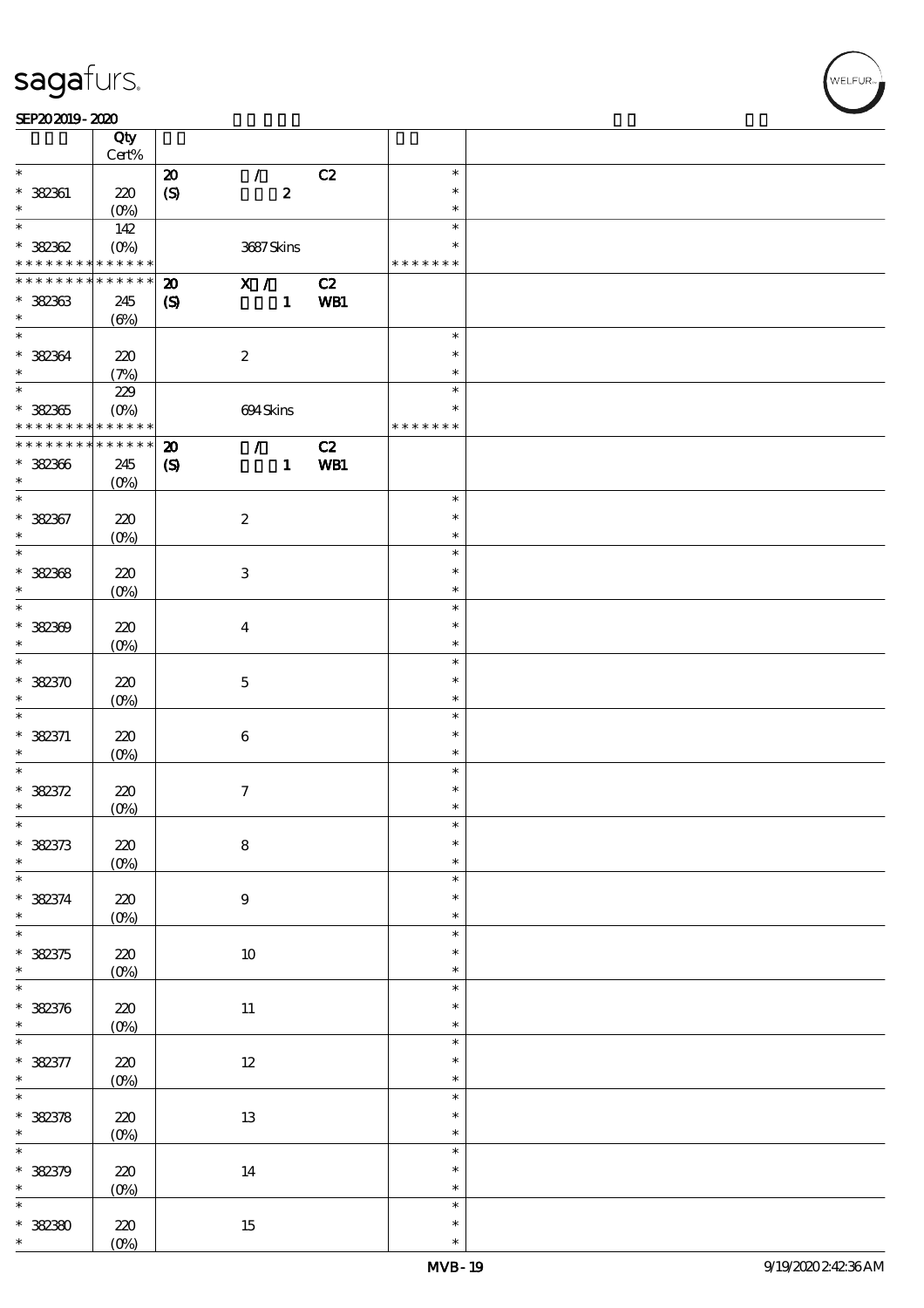### SEP202019-2020

|                                                         | Qty<br>Cert%                      |                                                         |                           |                  |           |                                   |  |
|---------------------------------------------------------|-----------------------------------|---------------------------------------------------------|---------------------------|------------------|-----------|-----------------------------------|--|
| $\ast$                                                  |                                   | $\boldsymbol{\mathsf{20}}$                              | $\mathcal{L}$             |                  | C2        | $\ast$                            |  |
| $* 382361$<br>$\ast$                                    | 220                               | $\boldsymbol{S}$                                        |                           | $\boldsymbol{z}$ |           | $\ast$<br>$\ast$                  |  |
|                                                         | $(O_0)$                           |                                                         |                           |                  |           |                                   |  |
| $\ast$<br>$* 32362$                                     | 142                               |                                                         | 3687Skins                 |                  |           | $\ast$<br>$\ast$                  |  |
| * * * * * * * *                                         | $\ast\ast\ast\ast\ast\ast$        |                                                         |                           |                  |           | * * * * * * *                     |  |
| * * * * * * * *                                         | * * * * * *                       | $\boldsymbol{\mathbf{z}}$                               | $\mathbf{X}$ /            |                  | C2        |                                   |  |
| $* 32363$<br>$\ast$                                     | 245<br>$(\Theta)$                 | $\boldsymbol{\mathcal{S}}$                              |                           | $\mathbf{1}$     | WB1       |                                   |  |
| $\ast$                                                  |                                   |                                                         |                           |                  |           | $\ast$                            |  |
| $* 32364$<br>$\ast$                                     | 220<br>(7%)                       |                                                         | $\boldsymbol{2}$          |                  |           | $\ast$<br>$\ast$                  |  |
|                                                         |                                   |                                                         |                           |                  |           |                                   |  |
| $* 32365$<br>* * * * * * * * <mark>* * * * * * *</mark> | 229<br>$(O\!/\!o)$                |                                                         | 694Skins                  |                  |           | $\ast$<br>$\ast$<br>* * * * * * * |  |
|                                                         |                                   |                                                         |                           |                  |           |                                   |  |
| * * * * * * * *<br>* 382366<br>$\ast$                   | $* * * * * * *$<br>245<br>$(O\%)$ | $\boldsymbol{\mathbf{z}}$<br>$\boldsymbol{\mathcal{S}}$ | $\mathcal{T}$             | $\mathbf{1}$     | C2<br>WB1 |                                   |  |
| $\overline{\ast}$                                       |                                   |                                                         |                           |                  |           | $\ast$                            |  |
| * 382367<br>$\ast$                                      | 220<br>$(O\!/\!o)$                |                                                         | $\boldsymbol{2}$          |                  |           | $\ast$<br>$\ast$                  |  |
| $\overline{\ast}$                                       |                                   |                                                         |                           |                  |           | $\ast$                            |  |
| $* 32368$<br>$\ast$                                     | 220                               |                                                         | $\ensuremath{\mathbf{3}}$ |                  |           | $\ast$<br>$\ast$                  |  |
|                                                         | $(O\%)$                           |                                                         |                           |                  |           |                                   |  |
| $\overline{\ast}$<br>$* 382309$<br>$\ast$               | 220<br>$(O\!/\!\!\delta)$         |                                                         | $\overline{\mathbf{4}}$   |                  |           | $\ast$<br>$\ast$<br>$\ast$        |  |
|                                                         |                                   |                                                         |                           |                  |           |                                   |  |
| $\overline{\ast}$<br>$* 382370$<br>$\ast$               | 220<br>$(O\%)$                    |                                                         | $\mathbf{5}$              |                  |           | $\ast$<br>$\ast$<br>$\ast$        |  |
| $\ast$                                                  |                                   |                                                         |                           |                  |           | $\ast$                            |  |
| $* 382371$<br>$\ast$                                    | 220<br>$(O\%)$                    |                                                         | $\bf 6$                   |                  |           | $\ast$<br>$\ast$                  |  |
| $\overline{\ast}$                                       |                                   |                                                         |                           |                  |           | $\ast$                            |  |
| $* 382372$<br>$\ast$                                    | 220<br>$(O\%)$                    |                                                         | $\mathcal I$              |                  |           | $\ast$<br>$\ast$                  |  |
| $\ast$                                                  |                                   |                                                         |                           |                  |           | $\ast$                            |  |
| $* 382373$<br>$\ast$                                    | $220$<br>$(0\%)$                  |                                                         | ${\bf 8}$                 |                  |           | $\ast$<br>$\ast$                  |  |
| $\overline{\ast}$                                       |                                   |                                                         |                           |                  |           | $\ast$                            |  |
| $* 382374$<br>$\ast$                                    | $220$<br>$(0\%)$                  |                                                         | $\boldsymbol{9}$          |                  |           | $\ast$<br>$\ast$                  |  |
| $\overline{\ast}$                                       |                                   |                                                         |                           |                  |           | $\ast$                            |  |
| $* 382375$<br>$\ast$                                    | 220<br>$(0\%)$                    |                                                         | $10\,$                    |                  |           | $\ast$<br>$\ast$                  |  |
| $\ast$                                                  |                                   |                                                         |                           |                  |           | $\ast$                            |  |
| $* 382376$<br>$\ast$                                    | $220\,$<br>$(0\%)$                |                                                         | $11\,$                    |                  |           | $\ast$<br>$\ast$                  |  |
| $\overline{\ast}$                                       |                                   |                                                         |                           |                  |           | $\ast$                            |  |
| $* 382377$<br>$\ast$                                    | $220$<br>$(0\%)$                  |                                                         | $12\,$                    |                  |           | $\ast$<br>$\ast$                  |  |
| $\overline{\ast}$<br>$* 32378$                          | $220$<br>$(0\%)$                  |                                                         | $13\,$                    |                  |           | $\ast$<br>$\ast$<br>$\ast$        |  |
| $\overline{\ast}$                                       |                                   |                                                         |                           |                  |           | $\ast$                            |  |
| $* 382379$<br>$\ast$                                    | $220$<br>$(0\%)$                  |                                                         | $14\,$                    |                  |           | $\ast$<br>$\ast$                  |  |
| $\ast$                                                  |                                   |                                                         |                           |                  |           | $\ast$                            |  |
| $* 3230$<br>$\ast$                                      | 220<br>$(O\%)$                    |                                                         | $15\,$                    |                  |           | $\ast$<br>$\ast$                  |  |
|                                                         |                                   |                                                         |                           |                  |           |                                   |  |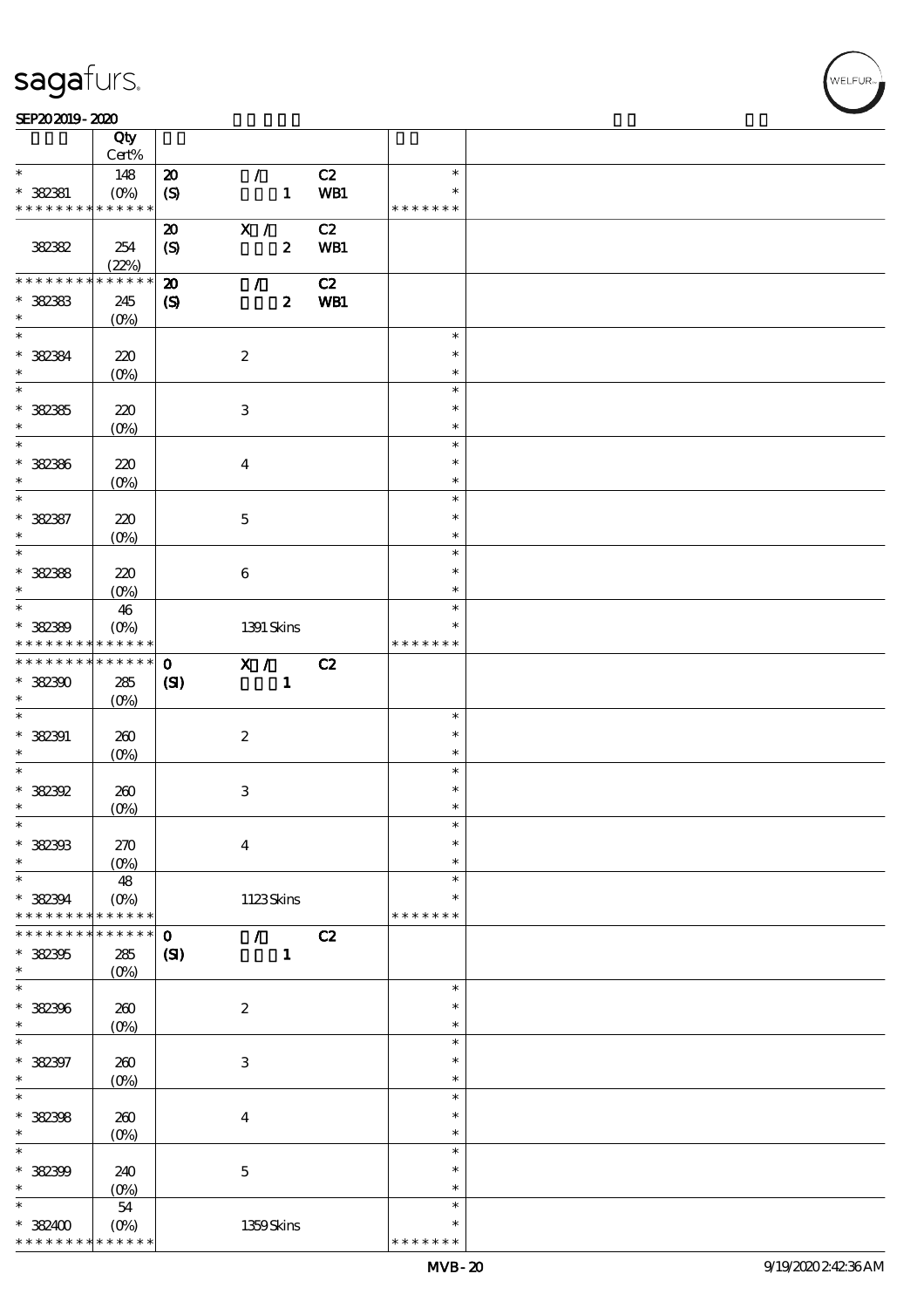#### SEP202019-2020

|                                          | $\overline{Q}$ ty  |                             |                           |               |               |  |
|------------------------------------------|--------------------|-----------------------------|---------------------------|---------------|---------------|--|
|                                          | $Cert\%$           |                             |                           |               |               |  |
| $\ast$                                   | 148                | $\boldsymbol{\mathbf{z}}$   | $\mathcal{F}$             | $\mathbf{C2}$ | $\ast$        |  |
| $* 382381$                               | $(0\%)$            | $\boldsymbol{\mathrm{(S)}}$ | $\mathbf{1}$              | WB1           | $\ast$        |  |
| * * * * * * * * * * * * * *              |                    |                             |                           |               | * * * * * * * |  |
|                                          |                    | $\boldsymbol{\mathfrak{D}}$ | X /                       | C2            |               |  |
| 382382                                   | 254                | $\boldsymbol{S}$            | $\boldsymbol{z}$          | WB1           |               |  |
|                                          | (22%)              |                             |                           |               |               |  |
| * * * * * * * *                          | $******$           | $\boldsymbol{\mathsf{z}}$   | $\mathcal{L}$             | C2            |               |  |
| $* 32333$                                | 245                | $\pmb{\mathcal{S}}$         | $\boldsymbol{z}$          | WB1           |               |  |
| $\ast$                                   | $(O\%)$            |                             |                           |               |               |  |
| $*$                                      |                    |                             |                           |               | $\ast$        |  |
| $*$ 382384                               | 220                |                             | $\boldsymbol{2}$          |               | $\ast$        |  |
| $\ast$                                   |                    |                             |                           |               | $\ast$        |  |
|                                          | $(0\%)$            |                             |                           |               | $\ast$        |  |
|                                          |                    |                             |                           |               | $\ast$        |  |
| $* 32335$<br>$\ast$                      | 220                |                             | $\ensuremath{\mathsf{3}}$ |               |               |  |
| $\overline{\phantom{0}}$                 | $(0\%)$            |                             |                           |               | $\ast$        |  |
|                                          |                    |                             |                           |               | $\ast$        |  |
| $* 32386$                                | 220                |                             | $\boldsymbol{4}$          |               | $\ast$        |  |
| $\ast$                                   | $(O\!/\!\!\delta)$ |                             |                           |               | $\ast$        |  |
|                                          |                    |                             |                           |               | $\ast$        |  |
| $* 382387$                               | 220                |                             | $\mathbf 5$               |               | $\ast$        |  |
| $\ast$                                   | $(O\%)$            |                             |                           |               | $\ast$        |  |
| $\ast$                                   |                    |                             |                           |               | $\ast$        |  |
| $* 32388$                                | 220                |                             | $\bf 6$                   |               | $\ast$        |  |
| $\ast$                                   | (O <sub>0</sub> )  |                             |                           |               | $\ast$        |  |
| $\ast$                                   | 46                 |                             |                           |               | $\ast$        |  |
| $* 38230$                                | $(O\%)$            |                             | 1391 Skins                |               | $\ast$        |  |
| * * * * * * * *                          | * * * * * *        |                             |                           |               | * * * * * * * |  |
| * * * * * * * * <mark>* * * * * *</mark> |                    | $\mathbf 0$                 | X /                       | C2            |               |  |
| $*32300$                                 | 285                | (S)                         | $\mathbf{1}$              |               |               |  |
| $\ast$                                   | $(0\%)$            |                             |                           |               |               |  |
|                                          |                    |                             |                           |               | $\ast$        |  |
| $*$ 382391                               | 260                |                             | $\boldsymbol{z}$          |               | $\ast$        |  |
| $\ast$                                   | $(0\%)$            |                             |                           |               | $\ast$        |  |
| $\ast$                                   |                    |                             |                           |               | $\ast$        |  |
| $*382392$                                | 260                |                             | 3                         |               | $\ast$        |  |
| $\ast$                                   | $(0\%)$            |                             |                           |               | $\ast$        |  |
|                                          |                    |                             |                           |               |               |  |
| $\ast$                                   |                    |                             |                           |               |               |  |
|                                          |                    |                             |                           |               | $\ast$        |  |
| * 382303<br>$\ast$                       | 270                |                             | $\boldsymbol{4}$          |               | $\ast$        |  |
|                                          | $(O\%)$            |                             |                           |               | $\ast$        |  |
| $\ast$                                   | 48                 |                             |                           |               | $\ast$        |  |
| $* 382394$                               | $(O\%)$            |                             | 1123Skins                 |               |               |  |
| * * * * * * * *                          | * * * * * *        |                             |                           |               | * * * * * * * |  |
| * * * * * * *                            | * * * * * *        | $\mathbf{o}$                | $\mathcal{L}$             | C2            |               |  |
| $* 32305$                                | 285                | (S)                         | $\mathbf{1}$              |               |               |  |
| $\ast$                                   | $(O\%)$            |                             |                           |               |               |  |
| $\overline{\ast}$                        |                    |                             |                           |               | $\ast$        |  |
| * 382306                                 | 260                |                             | $\boldsymbol{z}$          |               | $\ast$        |  |
| $\ast$                                   | (0%                |                             |                           |               | $\ast$        |  |
| $\overline{\ast}$                        |                    |                             |                           |               | $\ast$        |  |
| $* 382397$                               | 260                |                             | $\,3$                     |               | $\ast$        |  |
| $\ast$                                   | $(O\!/\!o)$        |                             |                           |               | $\ast$        |  |
| $\ast$                                   |                    |                             |                           |               | $\ast$        |  |
| $* 382308$                               | 260                |                             | $\boldsymbol{4}$          |               | $\ast$        |  |
| $\ast$                                   | $(O\%)$            |                             |                           |               | $\ast$        |  |
| $\ast$                                   |                    |                             |                           |               | $\ast$        |  |
| * 382399                                 | 240                |                             | $\mathbf 5$               |               | $\ast$        |  |
| $\ast$                                   | (0%)               |                             |                           |               | $\ast$        |  |
| $\ast$                                   | $54\,$             |                             |                           |               | $\ast$        |  |
| $* 382400$                               | $(O\%)$            |                             | 1359Skins                 |               | ∗             |  |

.<br>FUR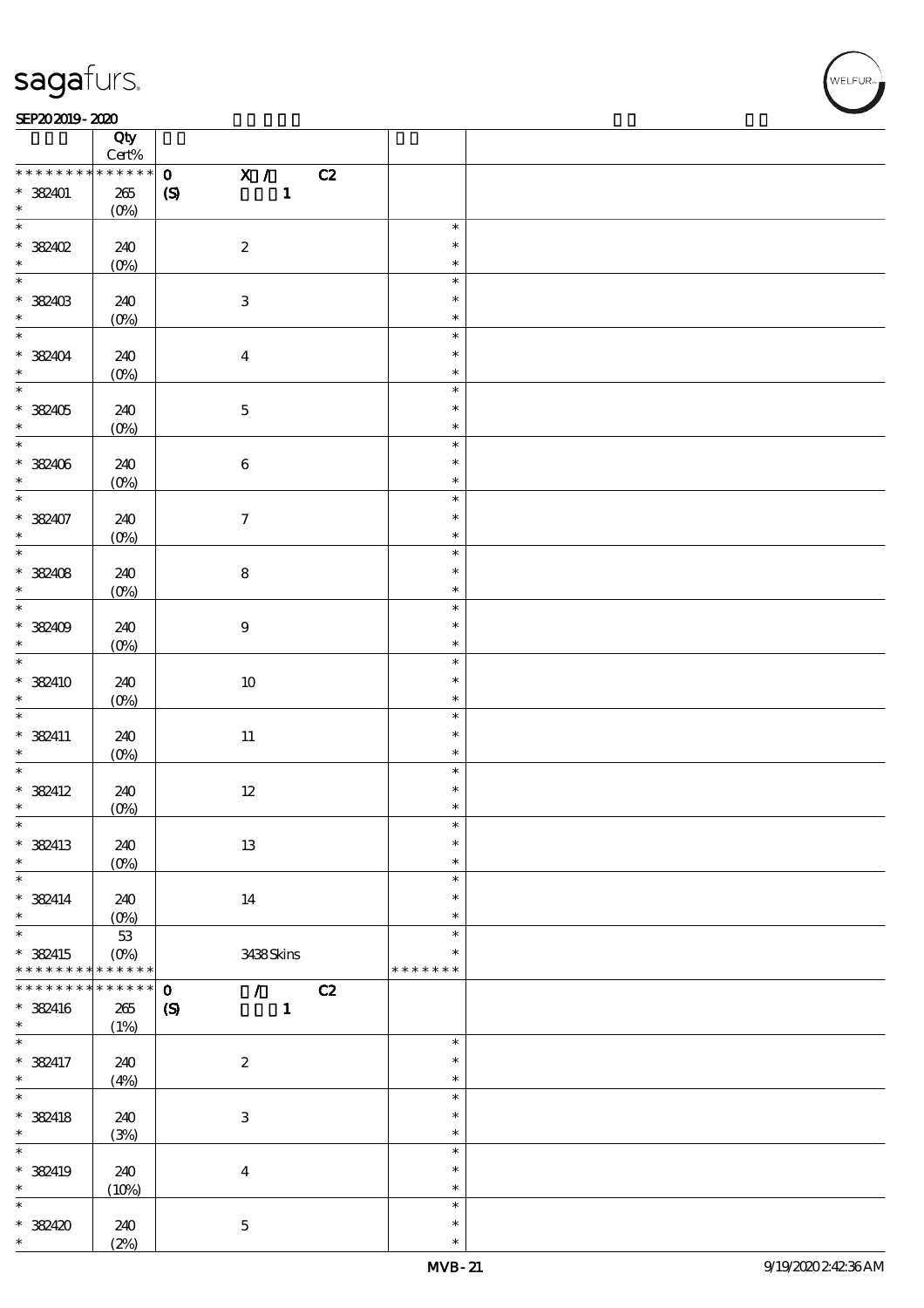### SEP202019-2020

|                                    | Qty                            |                                                 |               |  |
|------------------------------------|--------------------------------|-------------------------------------------------|---------------|--|
|                                    | $\mbox{Cert}\%$<br>* * * * * * |                                                 |               |  |
| * * * * * * * *                    |                                | $\overline{\mathbf{x}}$ /<br>$\mathbf{o}$<br>C2 |               |  |
| $*$ 382401                         | $265\,$                        | $\mathbf{1}$<br>$\boldsymbol{S}$                |               |  |
| $\ast$<br>$\overline{\phantom{0}}$ | $(O\!/\!o)$                    |                                                 |               |  |
|                                    |                                |                                                 | $\ast$        |  |
| * 382402                           | 240                            | $\boldsymbol{2}$                                | $\ast$        |  |
| $\ast$                             | $(0\%)$                        |                                                 | $\ast$        |  |
| $\ast$                             |                                |                                                 | $\ast$        |  |
| * 382403                           | 240                            | $\ensuremath{\mathbf{3}}$                       | $\ast$        |  |
| $\ast$                             | $(O\%)$                        |                                                 | $\ast$        |  |
| $\overline{\phantom{0}}$           |                                |                                                 | $\ast$        |  |
| $* 38404$                          | 240                            | $\boldsymbol{4}$                                | $\ast$        |  |
|                                    | (0%)                           |                                                 | $\ast$        |  |
|                                    |                                |                                                 | $\ast$        |  |
| * 382405                           | 240                            | $\mathbf 5$                                     | $\ast$        |  |
| $\ast$                             | $(0\%)$                        |                                                 | $\ast$        |  |
|                                    |                                |                                                 | $\ast$        |  |
| * 382406                           | 240                            | $\bf 6$                                         | $\ast$        |  |
| $\ast$                             |                                |                                                 | $\ast$        |  |
| $\overline{\ast}$                  | $(O\%)$                        |                                                 | $\ast$        |  |
|                                    |                                |                                                 |               |  |
| * 382407                           | 240                            | $\boldsymbol{\tau}$                             | $\ast$        |  |
| $\ast$<br>$\overline{\ast}$        | (0%)                           |                                                 | $\ast$        |  |
|                                    |                                |                                                 | $\ast$        |  |
| $* 382408$                         | 240                            | ${\bf 8}$                                       | $\ast$        |  |
| $\ast$                             | $(0\%)$                        |                                                 | $\ast$        |  |
| $\ast$                             |                                |                                                 | $\ast$        |  |
| * 382409                           | 240                            | $9\,$                                           | $\ast$        |  |
| $\ast$                             | $(O\%)$                        |                                                 | $\ast$        |  |
| $\overline{\ast}$                  |                                |                                                 | $\ast$        |  |
| $*$ 382410                         | 240                            | $10\,$                                          | $\ast$        |  |
| $\ast$                             | $(0\%)$                        |                                                 | $\ast$        |  |
| $\ast$                             |                                |                                                 | $\ast$        |  |
| $*$ 382411                         | 240                            | $11\,$                                          | $\ast$        |  |
| $\ast$                             | $(O\%)$                        |                                                 | $\ast$        |  |
| $\ast$                             |                                |                                                 | $\ast$        |  |
| $*$ 382412                         | 240                            | $12\,$                                          | $\ast$        |  |
| $\ast$                             | $(0\%)$                        |                                                 | $\ast$        |  |
| $\ast$                             |                                |                                                 |               |  |
| * 382413                           | 240                            | $1\!3$                                          | $\ast$        |  |
| $\ast$                             |                                |                                                 | $\ast$        |  |
| $\ast$                             | $(0\%)$                        |                                                 | $\ast$        |  |
|                                    |                                |                                                 | $\ast$        |  |
| $* 382414$<br>$\ast$               | 240                            | 14                                              | $\ast$        |  |
| $\ast$                             | $(O\!/\!o)$                    |                                                 | $\ast$        |  |
|                                    | $5\!3$                         |                                                 |               |  |
| * 382415                           | $(O\!/\!o)$                    | 3438Skins                                       | $\ast$        |  |
| * * * * * * * *                    | * * * * * *                    |                                                 | * * * * * * * |  |
| * * * * * * * *                    | $******$                       | $\mathbf{o}$<br>$\mathcal{T}$<br>C2             |               |  |
| * 382416                           | 265                            | $\mathbf{1}$<br>$\boldsymbol{S}$                |               |  |
| $\ast$                             | (1%)                           |                                                 |               |  |
| $\overline{\ast}$                  |                                |                                                 | $\ast$        |  |
| $* 382417$                         | 240                            | $\boldsymbol{2}$                                | $\ast$        |  |
| $\ast$                             | (4%)                           |                                                 | $\ast$        |  |
| $\ast$                             |                                |                                                 | $\ast$        |  |
| $* 382418$                         | 240                            | 3                                               | $\ast$        |  |
| $\ast$                             | (3%)                           |                                                 | $\ast$        |  |
| $\ast$                             |                                |                                                 | $\ast$        |  |
| * 382419                           | 240                            | $\boldsymbol{4}$                                | $\ast$        |  |
| $\ast$                             | (10%)                          |                                                 | $\ast$        |  |
| $\ast$                             |                                |                                                 | $\ast$        |  |
| * 382420                           | 240                            | $\mathbf 5$                                     | $\ast$        |  |
| $\ast$                             | (2%)                           |                                                 | $\ast$        |  |
|                                    |                                |                                                 |               |  |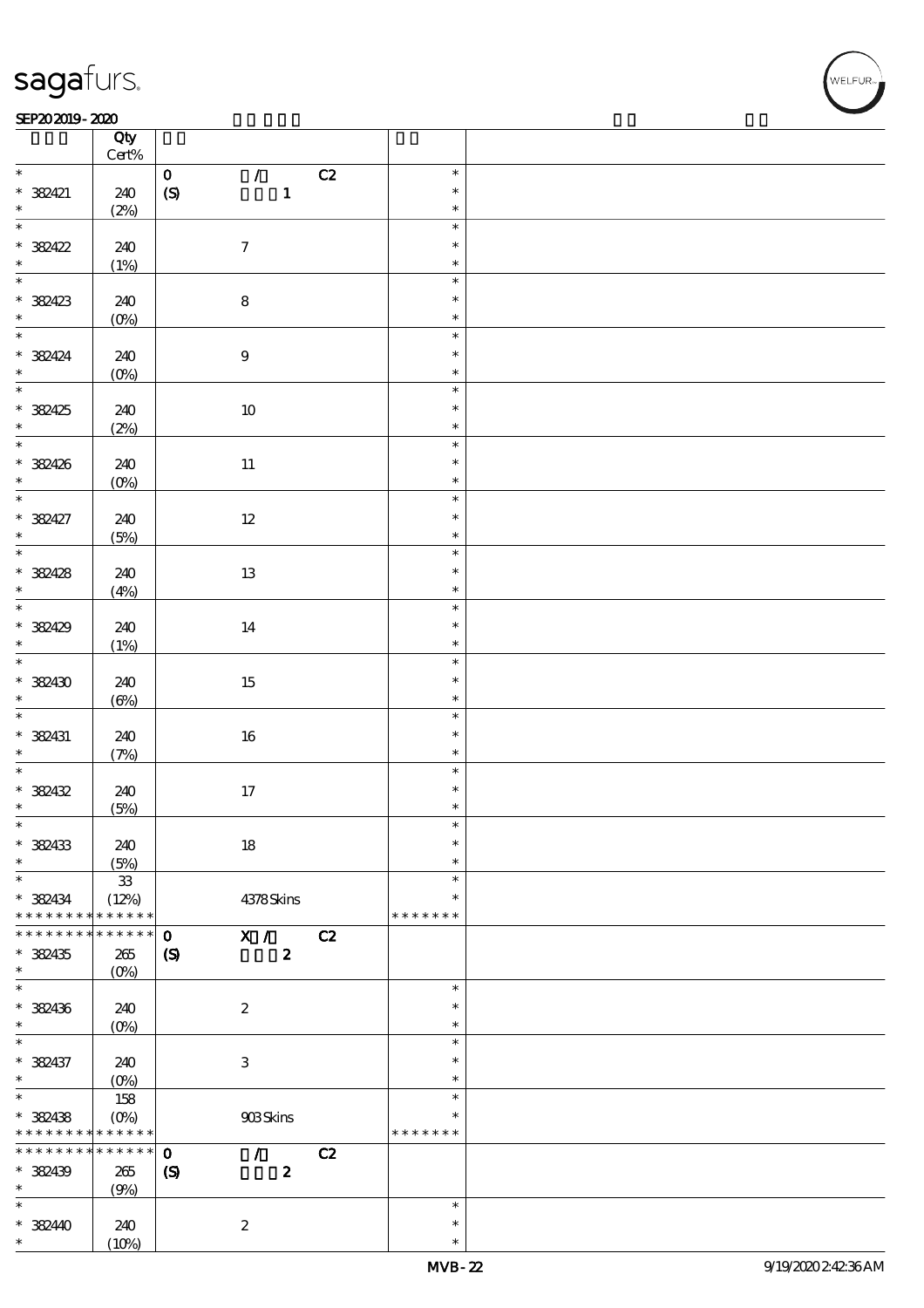#### SEP202019-2020 REPORTED TO A REPORT OF THE SEPENDENT CONTROL AND THE SEPENDENT CONTROL OF THE SEPENDENT CONTROL OF THE SEPENDENT CONTROL OF THE SEPENDENT CONTROL OF THE SEPENDENT CONTROL OF THE SEPENDENT CONTROL OF THE SEP

|                                       | Qty<br>$Cert\%$    |                                                 |                  |  |
|---------------------------------------|--------------------|-------------------------------------------------|------------------|--|
| $*$                                   |                    | $\mathcal{L}$<br>C2<br>$\mathbf{O}$             | $\ast$           |  |
| $* 38421$                             | 240                | $\boldsymbol{S}$<br>$\mathbf{1}$                | $\ast$           |  |
| $\ast$                                | (2%)               |                                                 | $\ast$           |  |
| $\overline{\phantom{0}}$<br>$* 38422$ | 240                | $\boldsymbol{7}$                                | $\ast$<br>$\ast$ |  |
|                                       | (1%)               |                                                 | $\ast$           |  |
|                                       |                    |                                                 | $\ast$           |  |
|                                       |                    |                                                 |                  |  |
| $* 38423$                             | 240                | $\bf 8$                                         | $\ast$           |  |
|                                       | $(0\%)$            |                                                 | $\ast$           |  |
| $\ast$                                |                    |                                                 | $\ast$           |  |
|                                       |                    |                                                 | $\ast$           |  |
| $* 38424$                             | 240                | $\boldsymbol{9}$                                |                  |  |
| $\ast$                                | $(O\%)$            |                                                 | $\ast$           |  |
| $\overline{\ast}$                     |                    |                                                 | $\ast$           |  |
| * 382425                              | 240                | $10\,$                                          | $\ast$           |  |
| $\ast$                                | (2%)               |                                                 | $\ast$           |  |
|                                       |                    |                                                 | $\ast$           |  |
|                                       |                    |                                                 |                  |  |
| * 382426                              | 240                | $11\,$                                          | $\ast$           |  |
| $\ast$                                | $(0\%)$            |                                                 | $\ast$           |  |
| $\ast$                                |                    |                                                 | $\ast$           |  |
| $* 38427$                             | 240                | $12\,$                                          | $\ast$           |  |
| $\ast$                                | (5%)               |                                                 | $\ast$           |  |
| $\overline{\ast}$                     |                    |                                                 | $\ast$           |  |
|                                       |                    |                                                 |                  |  |
| $* 38428$                             | 240                | $13\,$                                          | $\ast$           |  |
| $\ast$                                | (4%)               |                                                 | $\ast$           |  |
|                                       |                    |                                                 | $\ast$           |  |
| * 382429                              | 240                | 14                                              | $\ast$           |  |
| $\ast$                                |                    |                                                 | $\ast$           |  |
| $\ast$                                | (1%)               |                                                 |                  |  |
|                                       |                    |                                                 | $\ast$           |  |
| * 382430                              | 240                | 15                                              | $\ast$           |  |
| $\ast$                                | $(\Theta)$         |                                                 | $\ast$           |  |
|                                       |                    |                                                 | $\ast$           |  |
| * 382431                              | 240                | $16\,$                                          | $\ast$           |  |
| $\ast$                                |                    |                                                 | $\ast$           |  |
| $\overline{\ast}$                     | (7%)               |                                                 | $\ast$           |  |
|                                       |                    |                                                 |                  |  |
| * 382432                              | 240                | $17\,$                                          | $\ast$           |  |
| $\ast$                                | (5%)               |                                                 | $\ast$           |  |
| $\ast$                                |                    |                                                 | $\ast$           |  |
| * 382433                              | 240                | $18\,$                                          | $\ast$           |  |
| $\ast$                                | (5%)               |                                                 | $\ast$           |  |
| $\ast$                                |                    |                                                 | $\ast$           |  |
|                                       | ${\bf 33}$         |                                                 |                  |  |
| $* 382434$                            | (12%)              | 4378Skins                                       | $\ast$           |  |
| * * * * * * * *                       | * * * * * *        |                                                 | * * * * * * *    |  |
| * * * * * * *                         | * * * * * *        | $\mathbf 0$<br>X /<br>C2                        |                  |  |
| * 382435                              | 265                | $\boldsymbol{z}$<br>$\boldsymbol{\mathsf{(S)}}$ |                  |  |
| $\ast$                                | $(O\!/\!\!\delta)$ |                                                 |                  |  |
| $\ast$                                |                    |                                                 | $\ast$           |  |
|                                       |                    |                                                 | $\ast$           |  |
| * 382436                              | 240                | $\boldsymbol{2}$                                |                  |  |
| $\ast$                                | $(0\%)$            |                                                 | $\ast$           |  |
| $\ast$                                |                    |                                                 | $\ast$           |  |
| * 382437                              | 240                | $\ensuremath{\mathbf{3}}$                       | $\ast$           |  |
| $\ast$                                | $(0\%)$            |                                                 | $\ast$           |  |
| $\overline{\ast}$                     | 158                |                                                 | $\ast$           |  |
|                                       |                    |                                                 | $\ast$           |  |
| * 382438                              | $(O\!/\!o)$        | 908Skins                                        |                  |  |
| * * * * * * * *                       | $******$           |                                                 | * * * * * * *    |  |
| * * * * * * * *                       | $* * * * * * *$    | $\mathbf 0$<br>$\mathcal{L}$<br>C2              |                  |  |
| * 382439                              | 265                | $\boldsymbol{2}$<br>$\boldsymbol{S}$            |                  |  |
| $\ast$                                | (9%)               |                                                 |                  |  |
| $\ast$                                |                    |                                                 | $\ast$           |  |
| $* 38240$                             | 240                | $\boldsymbol{2}$                                | $\ast$           |  |
| $\ast$                                |                    |                                                 | $\ast$           |  |
|                                       | (10%)              |                                                 |                  |  |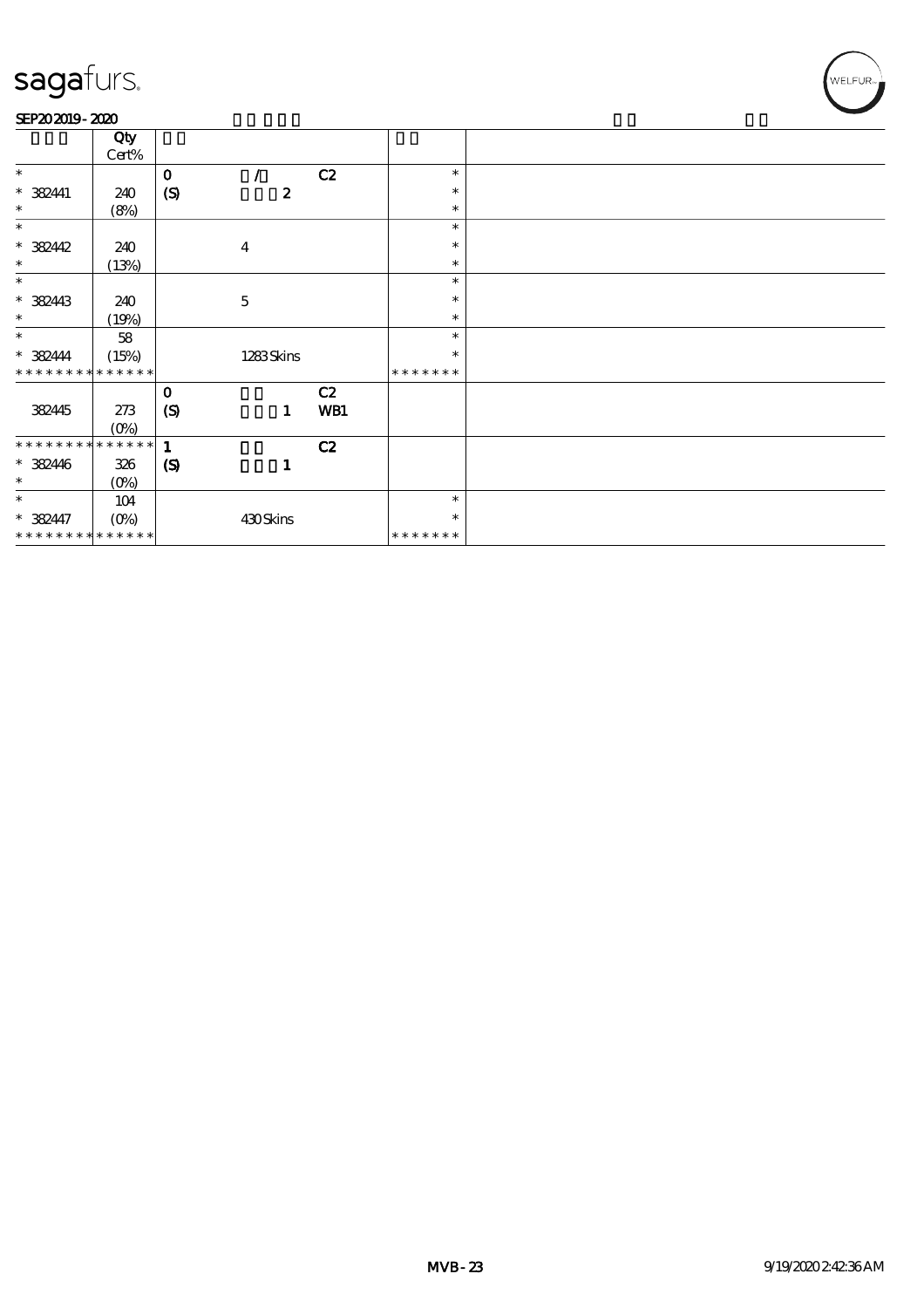#### SEP202019-2020

|                               | Qty             |                            |                  |     |               |  |
|-------------------------------|-----------------|----------------------------|------------------|-----|---------------|--|
|                               | Cert%           |                            |                  |     |               |  |
| $\ast$                        |                 | $\mathbf{o}$               |                  | C2  | $\ast$        |  |
|                               |                 |                            |                  |     | $\ast$        |  |
| $* 382411$                    | 240             | $\boldsymbol{S}$           | $\boldsymbol{z}$ |     |               |  |
| $\ast$                        | (8%)            |                            |                  |     | $\ast$        |  |
| $\ast$                        |                 |                            |                  |     | $\ast$        |  |
| $* 382442$                    | 240             |                            | $\boldsymbol{4}$ |     | ∗             |  |
| $\ast$                        |                 |                            |                  |     | $\ast$        |  |
|                               | (13%)           |                            |                  |     |               |  |
| $\ast$                        |                 |                            |                  |     | $\ast$        |  |
| $* 382443$                    | 240             |                            | $\mathbf 5$      |     | $\ast$        |  |
| $\ast$                        | (19%)           |                            |                  |     | $\ast$        |  |
| $\ast$                        | 58              |                            |                  |     | $\ast$        |  |
| $* 382444$                    |                 |                            |                  |     | $\ast$        |  |
|                               | (15%)           |                            | 1283Skins        |     |               |  |
| * * * * * * * *               | * * * * * *     |                            |                  |     | * * * * * * * |  |
|                               |                 | $\mathbf{o}$               |                  | C2  |               |  |
| 382445                        | 273             | (S)                        | $\mathbf{1}$     | WB1 |               |  |
|                               | $(0\%)$         |                            |                  |     |               |  |
| * * * * * * * *               | $* * * * * * *$ |                            |                  |     |               |  |
|                               |                 | $\mathbf{1}$               |                  | C2  |               |  |
| $* 382446$                    | 326             | $\boldsymbol{\mathcal{S}}$ | 1                |     |               |  |
| $\ast$                        | $(O\!/\!o)$     |                            |                  |     |               |  |
| $\ast$                        | 104             |                            |                  |     | $\ast$        |  |
| $* 382447$                    |                 |                            | 430Skins         |     | ∗             |  |
|                               |                 |                            |                  |     |               |  |
| * * * * * * * * * * * * * * * |                 |                            |                  |     | * * * * * * * |  |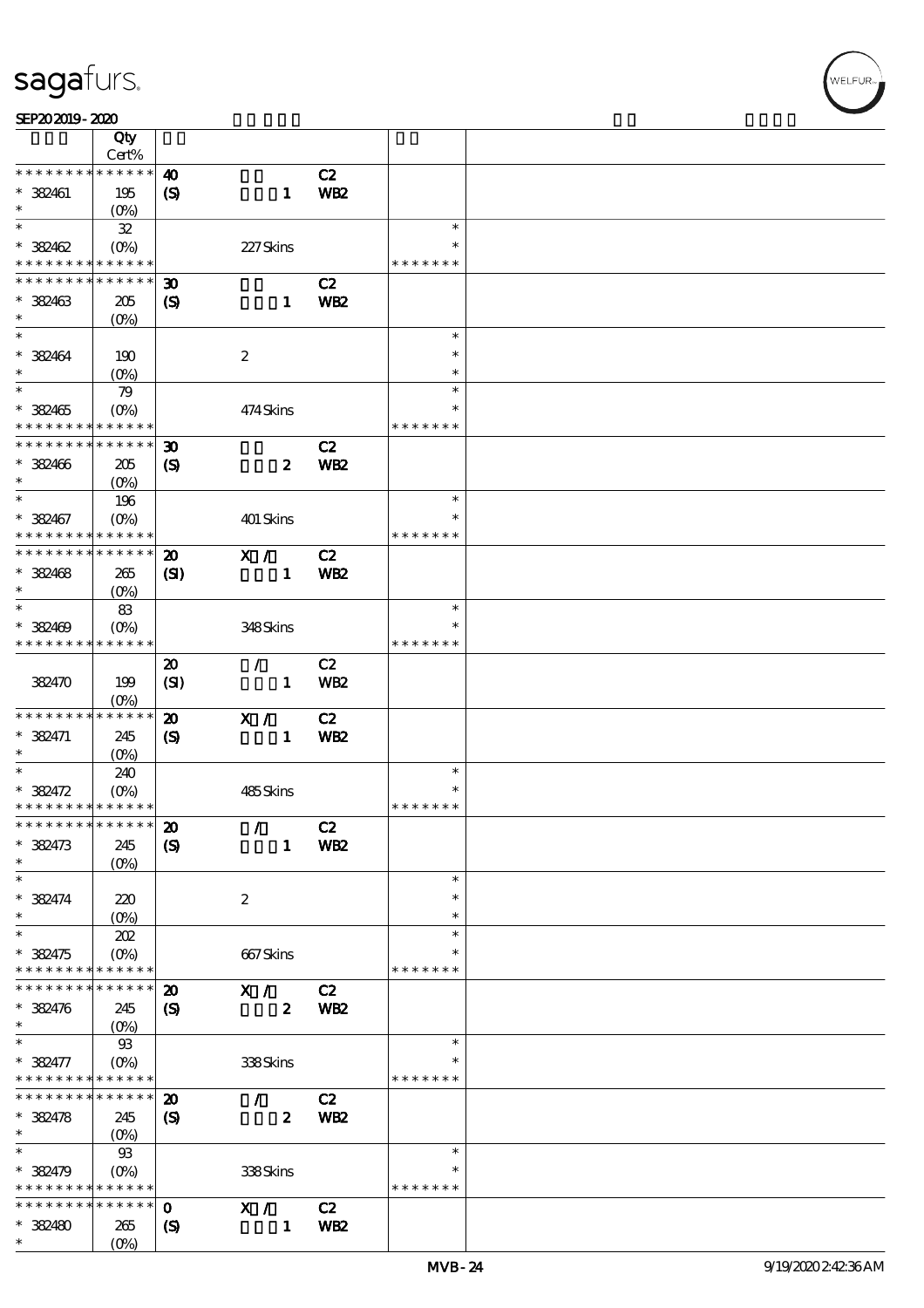| SEP202019-2020 |  |  |
|----------------|--|--|
|                |  |  |

|                                                                                        | Qty                                               |                             |                                 |                 |               |  |
|----------------------------------------------------------------------------------------|---------------------------------------------------|-----------------------------|---------------------------------|-----------------|---------------|--|
|                                                                                        | Cert%                                             |                             |                                 |                 |               |  |
| * * * * * * * *                                                                        | ******                                            | $\boldsymbol{\omega}$       |                                 | C2              |               |  |
| $* 382461$                                                                             | 195                                               | $\boldsymbol{\mathcal{S}}$  | $\mathbf{1}$                    | WB <sub>2</sub> |               |  |
| $\ast$<br>$\ast$                                                                       | $(O\% )$                                          |                             |                                 |                 | $\ast$        |  |
|                                                                                        | ${\bf 3\!}$                                       |                             |                                 |                 | $\ast$        |  |
| $* 382462$<br>* * * * * * * * <mark>* * * * * * *</mark>                               | $(O\!\!\!\!\!\!\backslash\rho)$                   |                             | 227Skins                        |                 | * * * * * * * |  |
| * * * * * * * *                                                                        | $* * * * * * *$                                   | $\boldsymbol{\mathfrak{D}}$ |                                 | C2              |               |  |
|                                                                                        |                                                   |                             |                                 |                 |               |  |
| $*$ 382463<br>$\ast$                                                                   | 205                                               | $\boldsymbol{\mathcal{S}}$  | $\mathbf{1}$                    | WB <sub>2</sub> |               |  |
| $\ast$                                                                                 | $(O\%)$                                           |                             |                                 |                 | $\ast$        |  |
| $* 382464$                                                                             |                                                   |                             | $\boldsymbol{z}$                |                 | $\ast$        |  |
| $\ast$                                                                                 | 190<br>$(O\%)$                                    |                             |                                 |                 | $\ast$        |  |
| $\ast$                                                                                 | 79                                                |                             |                                 |                 | $\ast$        |  |
| $* 382465$                                                                             | $(O\%)$                                           |                             | 474Skins                        |                 | $\ast$        |  |
| * * * * * * * *                                                                        | * * * * * *                                       |                             |                                 |                 | * * * * * * * |  |
| * * * * * * * * * * * * * *                                                            |                                                   | $\boldsymbol{\mathfrak{D}}$ |                                 | C2              |               |  |
| $* 382406$                                                                             | 205                                               | $\boldsymbol{\mathcal{S}}$  | $\boldsymbol{z}$                | <b>WB2</b>      |               |  |
| $\ast$                                                                                 | $(O\%)$                                           |                             |                                 |                 |               |  |
| $\ast$                                                                                 | 196                                               |                             |                                 |                 | $\ast$        |  |
| $* 382467$                                                                             |                                                   |                             | 401 Skins                       |                 | $\ast$        |  |
| * * * * * * * * <mark>* * * * * *</mark>                                               |                                                   |                             |                                 |                 | * * * * * * * |  |
| * * * * * * * *                                                                        | * * * * * *                                       | $\boldsymbol{\mathbf{z}}$   | X /                             | C2              |               |  |
| $* 38468$                                                                              | 265                                               | $\mathbf{C}$                | $\mathbf{1}$                    | WB <sub>2</sub> |               |  |
| $\ast$                                                                                 | $(0\%)$                                           |                             |                                 |                 |               |  |
| $\ast$                                                                                 | 83                                                |                             |                                 |                 | $\ast$        |  |
| $* 382409$                                                                             | $(O\%)$                                           |                             | 348Skins                        |                 | *             |  |
| * * * * * * * * * * * * * *                                                            |                                                   |                             |                                 |                 | * * * * * * * |  |
|                                                                                        |                                                   | $\boldsymbol{\mathfrak{D}}$ | $\mathcal{L}$                   | C2              |               |  |
| 382470                                                                                 | 199                                               | (SI)                        | $\mathbf{1}$                    | <b>WB2</b>      |               |  |
|                                                                                        | $(O\%)$                                           |                             |                                 |                 |               |  |
| * * * * * * * *                                                                        | $******$                                          | $\boldsymbol{\mathbf{z}}$   | X /                             | C2              |               |  |
| $* 382471$                                                                             | 245                                               | $\boldsymbol{\mathcal{S}}$  | $\mathbf{1}$                    | <b>WB2</b>      |               |  |
| $\ast$                                                                                 | $(O\%)$                                           |                             |                                 |                 |               |  |
| $\ast$                                                                                 | 240                                               |                             |                                 |                 | $\ast$        |  |
| $* 382472$                                                                             | $(O\!\!\!\!\!\!\!\backslash \!\!\!\!\!\backslash$ |                             | 485Skins                        |                 | $\ast$        |  |
| * * * * * * * * * * * * * *                                                            |                                                   |                             |                                 |                 | * * * * * * * |  |
| *************** 20                                                                     |                                                   |                             | $\mathcal{L}$ and $\mathcal{L}$ | C2              |               |  |
| $* 382473$                                                                             | 245                                               | $\boldsymbol{\mathrm{(S)}}$ | $\mathbf{1}$                    | WB <sub>2</sub> |               |  |
| $\ast$                                                                                 | $(O\%)$                                           |                             |                                 |                 |               |  |
| $\ast$                                                                                 |                                                   |                             |                                 |                 | $\ast$        |  |
| $* 382474$                                                                             | 220                                               |                             | $\boldsymbol{2}$                |                 | $\ast$        |  |
| $\ast$                                                                                 | $(O\%)$                                           |                             |                                 |                 | $\ast$        |  |
| $\ast$                                                                                 | 202                                               |                             |                                 |                 | $\ast$        |  |
| * 382475                                                                               | $(O\%)$                                           |                             | 667Skins                        |                 | *             |  |
| * * * * * * * * * * * * * *                                                            |                                                   |                             |                                 |                 | * * * * * * * |  |
| * * * * * * * * <mark>* * * * * * *</mark>                                             |                                                   | $\boldsymbol{\mathfrak{D}}$ | X /                             | C2              |               |  |
| $* 382476$                                                                             | 245                                               | $\boldsymbol{S}$            | $\mathbf{z}$                    | <b>WB2</b>      |               |  |
| $\ast$<br>$\ast$                                                                       | $(O\!\!\!\!\!\!\!/\,\!o)$                         |                             |                                 |                 | $\ast$        |  |
|                                                                                        | $93\,$                                            |                             |                                 |                 |               |  |
| $* 382477$                                                                             | $(O\%)$                                           |                             | 338Skins                        |                 | * * * * * * * |  |
| * * * * * * * * <mark>* * * * * *</mark><br>* * * * * * * * <mark>* * * * * * *</mark> |                                                   | $\boldsymbol{\mathfrak{D}}$ |                                 |                 |               |  |
|                                                                                        |                                                   |                             | $\mathcal{F}$                   | C2              |               |  |
| $* 38478$<br>$\ast$                                                                    | 245                                               | $\boldsymbol{\mathrm{(S)}}$ | $\boldsymbol{z}$                | WB <sub>2</sub> |               |  |
| $\ast$                                                                                 | $93$                                              |                             |                                 |                 | $\ast$        |  |
| $* 382479$                                                                             | $(O\%)$                                           |                             | 338Skins                        |                 | $\ast$        |  |
| * * * * * * * * <mark>* * * * * * *</mark>                                             |                                                   |                             |                                 |                 | * * * * * * * |  |
| * * * * * * * * <mark>* * * * * * *</mark>                                             |                                                   | $\mathbf{o}$                | X /                             | C2              |               |  |
| * 382480                                                                               | 265                                               | $\boldsymbol{\mathcal{S}}$  | $\mathbf{1}$                    | WB <sub>2</sub> |               |  |
| $\ast$                                                                                 | $(O\%)$                                           |                             |                                 |                 |               |  |
|                                                                                        |                                                   |                             |                                 |                 |               |  |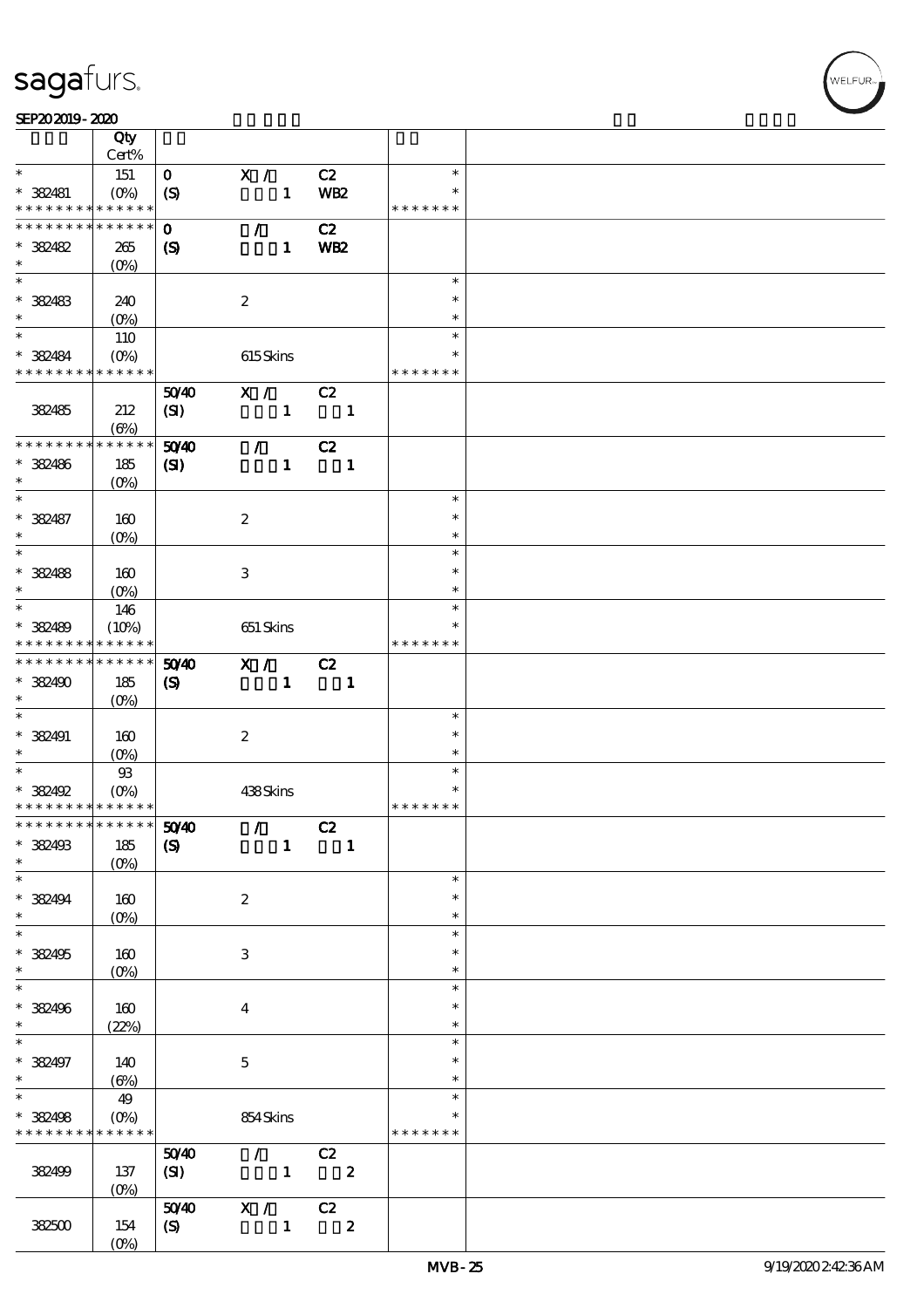#### SEP202019-2020

|                                            | Qty<br>Cert%                    |                             |                                 |                            |               |  |
|--------------------------------------------|---------------------------------|-----------------------------|---------------------------------|----------------------------|---------------|--|
| $\ast$                                     |                                 |                             |                                 |                            | $\ast$        |  |
|                                            | 151                             | $\mathbf{O}$                | X /                             | C2                         |               |  |
| $*$ 382481                                 |                                 | $\boldsymbol{S}$            | $\mathbf{1}$                    | WB <sub>2</sub>            | $\ast$        |  |
| * * * * * * * *                            | * * * * * *                     |                             |                                 |                            | * * * * * * * |  |
| * * * * * * * *                            | $\ast\ast\ast\ast\ast\ast$      | $\mathbf 0$                 | $\mathcal{L}$                   | C2                         |               |  |
| * 382482                                   | 265                             | $\boldsymbol{S}$            | $\mathbf{1}$                    | <b>WB2</b>                 |               |  |
| $\ast$                                     | $(0\%)$                         |                             |                                 |                            |               |  |
|                                            |                                 |                             |                                 |                            | $\ast$        |  |
| * 382483                                   | 240                             |                             | $\boldsymbol{2}$                |                            | $\ast$        |  |
| $\ast$                                     | $(O\%)$                         |                             |                                 |                            | $\ast$        |  |
|                                            | 110                             |                             |                                 |                            | $\ast$        |  |
| * 382484                                   | $(O\%)$                         |                             | 615Skins                        |                            | $\ast$        |  |
| * * * * * * * * * * * * * *                |                                 |                             |                                 |                            | * * * * * * * |  |
|                                            |                                 |                             |                                 |                            |               |  |
|                                            |                                 | 5040                        | X /                             | C2                         |               |  |
| 382485                                     | 212                             | (SI)                        | $\mathbf{1}$                    | $\overline{\phantom{a}}$ 1 |               |  |
|                                            | (6%)                            |                             |                                 |                            |               |  |
| * * * * * * * *                            | * * * * * *                     | 5040                        | $\mathcal{L}$                   | C2                         |               |  |
| * 382486                                   | 185                             | $\mathbf{C}$                | $\mathbf{1}$                    | $\blacksquare$             |               |  |
| $\ast$                                     | $(O\%)$                         |                             |                                 |                            |               |  |
| $\ast$                                     |                                 |                             |                                 |                            | $\ast$        |  |
| * 382487                                   | 160                             |                             | $\boldsymbol{2}$                |                            | $\ast$        |  |
| $\ast$                                     | (O <sub>0</sub> )               |                             |                                 |                            | $\ast$        |  |
| $\overline{\phantom{0}}$                   |                                 |                             |                                 |                            | $\ast$        |  |
| $* 38488$                                  | 160                             |                             | 3                               |                            | $\ast$        |  |
| $\ast$                                     | (O <sub>0</sub> )               |                             |                                 |                            | $\ast$        |  |
|                                            |                                 |                             |                                 |                            | $\ast$        |  |
|                                            | 146                             |                             |                                 |                            |               |  |
| * 382489                                   | (10%)                           |                             | 651 Skins                       |                            |               |  |
| * * * * * * * *                            | * * * * * *                     |                             |                                 |                            | * * * * * * * |  |
| * * * * * * * *                            | $\ast\ast\ast\ast\ast\ast$      | 50 <sup>/40</sup>           | X / C2                          |                            |               |  |
| * 382490                                   | 185                             | $\boldsymbol{S}$            | $\mathbf{1}$                    | $\overline{\phantom{a}}$   |               |  |
| $\ast$                                     | $(O\%)$                         |                             |                                 |                            |               |  |
| $\ast$                                     |                                 |                             |                                 |                            | $\ast$        |  |
| $* 382491$                                 | 160                             |                             | $\boldsymbol{z}$                |                            | $\ast$        |  |
| $\ast$                                     | (O <sub>0</sub> )               |                             |                                 |                            | $\ast$        |  |
| $*$                                        | $93$                            |                             |                                 |                            | $\ast$        |  |
| * 382492                                   | $(O\!\!\!\!\!\!\!/\,\!o)$       |                             | 438Skins                        |                            | $\ast$        |  |
| * * * * * * * * <mark>* * * * * * *</mark> |                                 |                             |                                 |                            | * * * * * * * |  |
| ************** 5040                        |                                 |                             | $\mathcal{L}$ and $\mathcal{L}$ | C2                         |               |  |
| * 382493                                   | 185                             | $\boldsymbol{\mathrm{(S)}}$ | $\mathbf{1}$                    | $\blacksquare$             |               |  |
| $\ast$                                     | $(0\%)$                         |                             |                                 |                            |               |  |
| $\ast$                                     |                                 |                             |                                 |                            | $\ast$        |  |
|                                            |                                 |                             |                                 |                            | $\ast$        |  |
| * 382494<br>$\ast$                         | 160                             |                             | $\boldsymbol{z}$                |                            |               |  |
| $\overline{\ast}$                          | $(O\!\!\!\!\!\!\backslash\rho)$ |                             |                                 |                            | $\ast$        |  |
|                                            |                                 |                             |                                 |                            | $\ast$        |  |
| * 382495                                   | 160                             |                             | 3                               |                            | ∗             |  |
| $\ast$                                     | $(0\%)$                         |                             |                                 |                            | $\ast$        |  |
| $\ast$                                     |                                 |                             |                                 |                            | $\ast$        |  |
| * 382496                                   | 160                             |                             | $\bf{4}$                        |                            | $\ast$        |  |
| $*$                                        | (22%)                           |                             |                                 |                            | $\ast$        |  |
| $\ast$                                     |                                 |                             |                                 |                            | $\ast$        |  |
| * 382497                                   | 140                             |                             | $\mathbf{5}$                    |                            | $\ast$        |  |
| $\ast$                                     | $(\Theta)$                      |                             |                                 |                            | $\ast$        |  |
| $\overline{\ast}$                          | 49                              |                             |                                 |                            | $\ast$        |  |
| * 382498                                   | $(O\%)$                         |                             | 854Skins                        |                            |               |  |
| * * * * * * * *                            | * * * * * *                     |                             |                                 |                            | * * * * * * * |  |
|                                            |                                 | 5040                        | $\mathcal{L}$ and $\mathcal{L}$ | C2                         |               |  |
|                                            |                                 |                             |                                 |                            |               |  |
| 382499                                     | 137                             | (SI)                        | $\sim$ 1                        | $\overline{\mathbf{2}}$    |               |  |
|                                            | $(0\%)$                         |                             |                                 |                            |               |  |
|                                            |                                 | 5040                        | $\mathbf{X}$ /                  | C2                         |               |  |
| 382500                                     | 154                             | $\boldsymbol{S}$            | $\mathbf{1}$                    | $\boldsymbol{2}$           |               |  |
|                                            | $(0\%)$                         |                             |                                 |                            |               |  |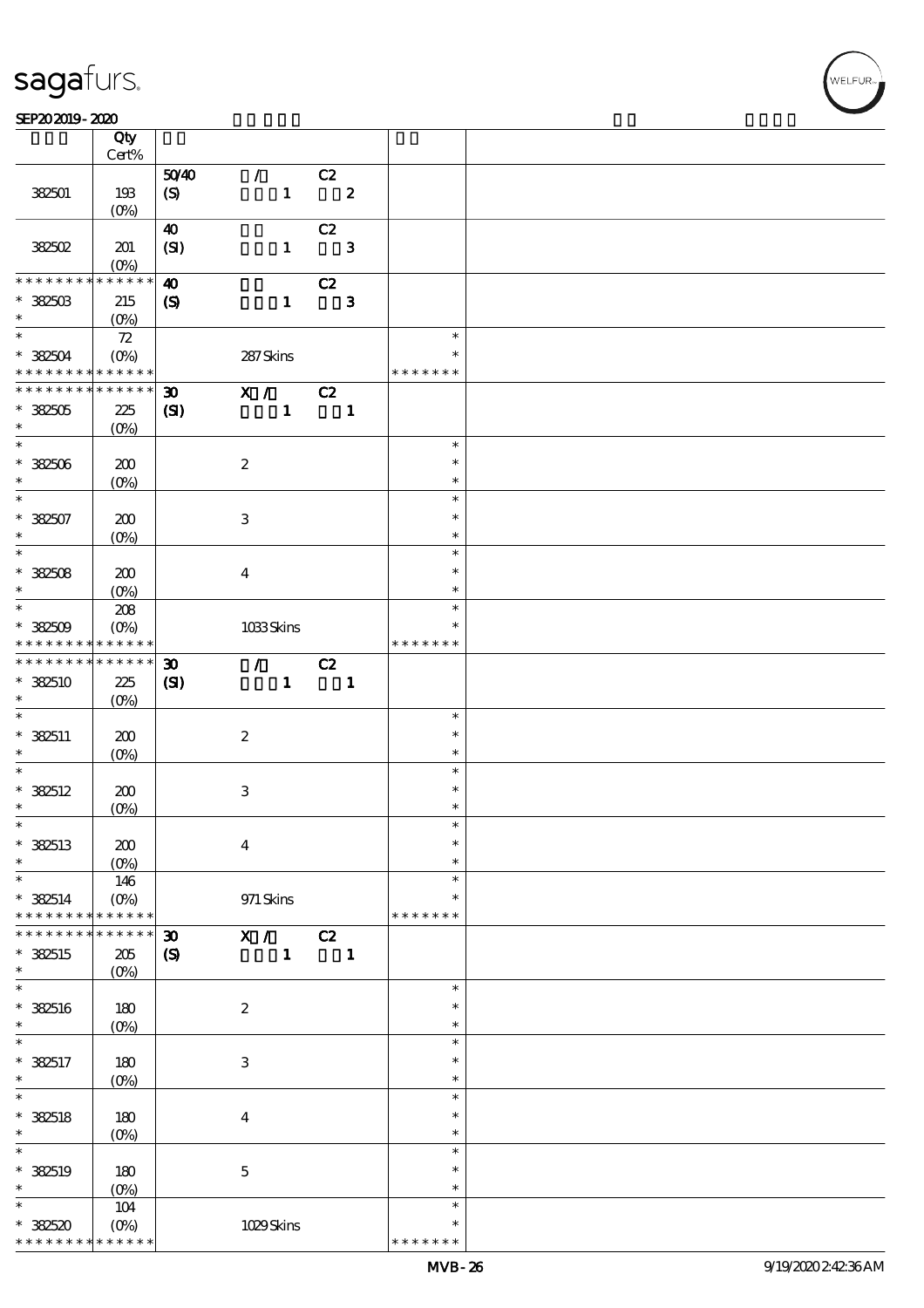### $SEP202019 - 2020$

|                                            | Qty                |                             |                  |                           |                            |                |               |  |
|--------------------------------------------|--------------------|-----------------------------|------------------|---------------------------|----------------------------|----------------|---------------|--|
|                                            | $Cert\%$           |                             |                  |                           |                            |                |               |  |
|                                            |                    | 5040                        | $\mathcal{L}$    |                           | C2                         |                |               |  |
| 382501                                     | 193                | (S)                         |                  |                           | $1 \t 2$                   |                |               |  |
|                                            | $(0\%)$            |                             |                  |                           |                            |                |               |  |
|                                            |                    | $\boldsymbol{\omega}$       |                  |                           | C2                         |                |               |  |
| 382502                                     | 201                | (SI)                        |                  | $\mathbf{I}$              |                            | $\mathbf{3}$   |               |  |
|                                            | (0%)               |                             |                  |                           |                            |                |               |  |
| * * * * * * * *                            | * * * * * *        | $\boldsymbol{\omega}$       |                  |                           | C2                         |                |               |  |
| $^*$ 382503 $\,$                           | 215                |                             |                  | $\mathbf{1}$              |                            | $\mathbf{3}$   |               |  |
| $\ast$                                     |                    | $\boldsymbol{\mathcal{S}}$  |                  |                           |                            |                |               |  |
| $\ast$                                     |                    |                             |                  |                           |                            |                | $\ast$        |  |
|                                            | 72                 |                             |                  |                           |                            |                |               |  |
| $*382504$                                  | $(O\% )$           |                             | 287Skins         |                           |                            |                |               |  |
| * * * * * * * * <mark>* * * * * * *</mark> |                    |                             |                  |                           |                            |                | * * * * * * * |  |
| * * * * * * * *                            | * * * * * *        | $\boldsymbol{\mathfrak{D}}$ | X / C2           |                           |                            |                |               |  |
| $*382505$                                  | 225                | (SI)                        |                  | $\mathbf{1}$              | $\overline{\phantom{a}}$   |                |               |  |
| $\ast$                                     | $(0\%)$            |                             |                  |                           |                            |                |               |  |
| $\overline{\ast}$                          |                    |                             |                  |                           |                            |                | $\ast$        |  |
| $* 382506$                                 | 200                |                             | $\boldsymbol{2}$ |                           |                            |                | $\ast$        |  |
| $\ast$                                     | $(O\%)$            |                             |                  |                           |                            |                | $\ast$        |  |
|                                            |                    |                             |                  |                           |                            |                | $\ast$        |  |
|                                            |                    |                             |                  |                           |                            |                |               |  |
| $* 382507$<br>$\ast$                       | 200                |                             | $\,3$            |                           |                            |                | $\ast$        |  |
|                                            | $(O\%)$            |                             |                  |                           |                            |                | $\ast$        |  |
| $\overline{\ast}$                          |                    |                             |                  |                           |                            |                | $\ast$        |  |
| $* 382508$                                 | 200                |                             | $\boldsymbol{4}$ |                           |                            |                | $\ast$        |  |
| $\ast$                                     | $(O\%)$            |                             |                  |                           |                            |                | $\ast$        |  |
| $*$                                        | 208                |                             |                  |                           |                            |                | $\ast$        |  |
| $* 32509$                                  | $(O\!/\!o)$        |                             | 1033Skins        |                           |                            |                | $\ast$        |  |
| * * * * * * * *                            | ******             |                             |                  |                           |                            |                | * * * * * * * |  |
| * * * * * * * *                            | * * * * * *        | $\boldsymbol{\mathfrak{D}}$ |                  | $\mathcal{T}=\mathcal{I}$ | C2                         |                |               |  |
| $* 382510$                                 |                    |                             |                  |                           |                            |                |               |  |
| $\ast$                                     | 225                | (SI)                        |                  | $\mathbf{1}$              | $\overline{\phantom{a}}$ 1 |                |               |  |
| $\overline{\ast}$                          | $(O\%)$            |                             |                  |                           |                            |                |               |  |
|                                            |                    |                             |                  |                           |                            |                | $\ast$        |  |
| $*382511$                                  | 200                |                             | $\boldsymbol{2}$ |                           |                            |                | $\ast$        |  |
| $\ast$                                     | $(O\!/\!o)$        |                             |                  |                           |                            |                | $\ast$        |  |
| $\overline{\ast}$                          |                    |                             |                  |                           |                            |                | $\ast$        |  |
| $* 382512$                                 | 200                |                             | $\,3$            |                           |                            |                | $\ast$        |  |
| $\ast$                                     | (0%)               |                             |                  |                           |                            |                | $\ast$        |  |
| $\ast$                                     |                    |                             |                  |                           |                            |                |               |  |
| $*$ 382513                                 | 200                |                             | $\boldsymbol{4}$ |                           |                            |                | $\ast$        |  |
| $\ast$                                     | $(O\%)$            |                             |                  |                           |                            |                | $\ast$        |  |
| $\ast$                                     | 146                |                             |                  |                           |                            |                | $\ast$        |  |
|                                            |                    |                             |                  |                           |                            |                | $\ast$        |  |
| $* 382514$                                 | $(O\!/\!\!\delta)$ |                             | $971$ Skins      |                           |                            |                | * * * * * * * |  |
| * * *                                      | * * * * * *        |                             |                  |                           |                            |                |               |  |
| * * * * * * *                              | * * * * * *        | $\boldsymbol{\mathfrak{D}}$ | $\mathbf{X}$ /   |                           | C2                         |                |               |  |
| $*$ 382515                                 | $205\,$            | $\boldsymbol{\mathrm{(S)}}$ |                  | $\mathbf{1}$              |                            | $\blacksquare$ |               |  |
| $\ast$                                     | $(O\%)$            |                             |                  |                           |                            |                |               |  |
| $\ast$                                     |                    |                             |                  |                           |                            |                | $\ast$        |  |
| $*$ 382516                                 | 180                |                             | $\boldsymbol{2}$ |                           |                            |                | $\ast$        |  |
| $\ast$                                     | $(0\%)$            |                             |                  |                           |                            |                | $\ast$        |  |
| $\ast$                                     |                    |                             |                  |                           |                            |                | $\ast$        |  |
| $* 382517$                                 | 180                |                             | $\,3$            |                           |                            |                | $\ast$        |  |
| $\ast$                                     |                    |                             |                  |                           |                            |                | $\ast$        |  |
| $\ast$                                     | $(O\%)$            |                             |                  |                           |                            |                |               |  |
|                                            |                    |                             |                  |                           |                            |                | $\ast$        |  |
| $*$ 382518                                 | 180                |                             | $\bf{4}$         |                           |                            |                | $\ast$        |  |
| $\ast$                                     | $(O\%)$            |                             |                  |                           |                            |                | $\ast$        |  |
| $\ast$                                     |                    |                             |                  |                           |                            |                | $\ast$        |  |
| $*$ 382519                                 | 180                |                             | $\mathbf 5$      |                           |                            |                | $\ast$        |  |
| $\ast$                                     | $(O\%)$            |                             |                  |                           |                            |                | $\ast$        |  |
| $\ast$                                     | 104                |                             |                  |                           |                            |                | $\ast$        |  |
| $*382520$                                  | $(O\%)$            |                             | 1029Skins        |                           |                            |                | $\ast$        |  |
| * * * * * * * *                            | * * * * * *        |                             |                  |                           |                            |                | * * * * * *   |  |
|                                            |                    |                             |                  |                           |                            |                |               |  |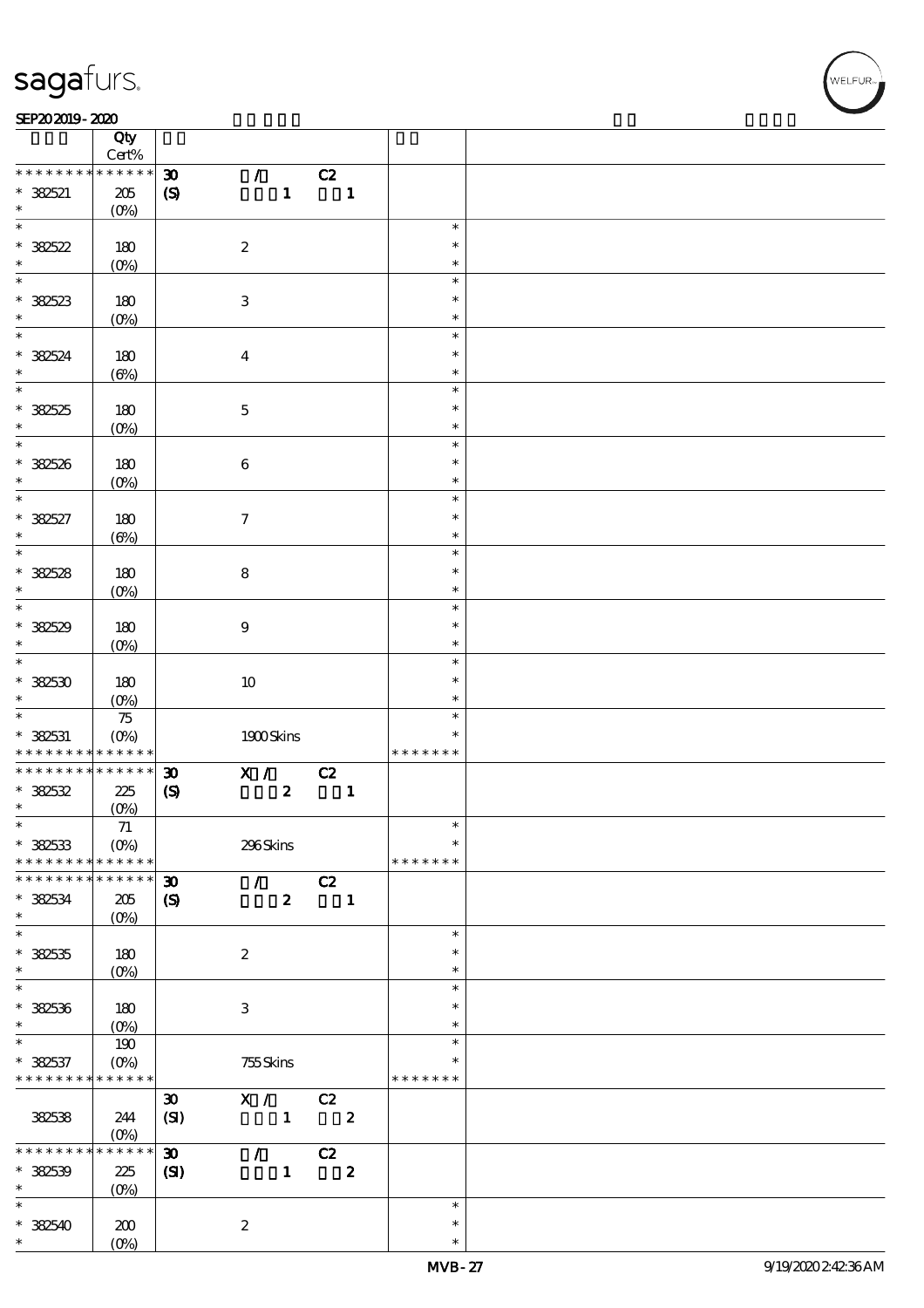#### SEP202019-2020

|                                | Qty<br>Cert%             |                             |                           |                  |    |                         |               |  |
|--------------------------------|--------------------------|-----------------------------|---------------------------|------------------|----|-------------------------|---------------|--|
| * * * * * * * *                | $******$                 | $\boldsymbol{\mathfrak{D}}$ | $\mathcal{T}^{\pm}$       |                  | C2 |                         |               |  |
| $* 382521$                     | $205\,$                  | $\boldsymbol{\mathrm{(S)}}$ |                           | $\mathbf{1}$     |    | $\blacksquare$          |               |  |
| $\ast$                         | $(O\%)$                  |                             |                           |                  |    |                         |               |  |
| $\overline{\ast}$              |                          |                             |                           |                  |    |                         | $\ast$        |  |
|                                |                          |                             |                           |                  |    |                         | $\ast$        |  |
| $* 38522$                      | 180                      |                             | $\boldsymbol{2}$          |                  |    |                         |               |  |
| $\ast$                         | $(0\%)$                  |                             |                           |                  |    |                         | $\ast$        |  |
| $\overline{\phantom{0}}$       |                          |                             |                           |                  |    |                         | $\ast$        |  |
| $* 382523$                     | 180                      |                             | $\ensuremath{\mathbf{3}}$ |                  |    |                         | $\ast$        |  |
| $\ast$                         | $(0\%)$                  |                             |                           |                  |    |                         | $\ast$        |  |
| $\overline{\ast}$              |                          |                             |                           |                  |    |                         | $\ast$        |  |
| $* 382524$                     | 180                      |                             | $\boldsymbol{4}$          |                  |    |                         | $\ast$        |  |
| $\ast$                         |                          |                             |                           |                  |    |                         | $\ast$        |  |
|                                | $(\Theta)$               |                             |                           |                  |    |                         | $\ast$        |  |
|                                |                          |                             |                           |                  |    |                         |               |  |
| $* 382525$                     | 180                      |                             | $\mathbf 5$               |                  |    |                         | $\ast$        |  |
| $\ast$                         | $(O\%)$                  |                             |                           |                  |    |                         | $\ast$        |  |
| $\overline{\ast}$              |                          |                             |                           |                  |    |                         | $\ast$        |  |
| * 382526                       | 180                      |                             | $\bf 6$                   |                  |    |                         | $\ast$        |  |
| $\ast$                         | $(O\!/\!\!\delta)$       |                             |                           |                  |    |                         | $\ast$        |  |
| $\ast$                         |                          |                             |                           |                  |    |                         | $\ast$        |  |
| $* 382527$                     | 180                      |                             | $\boldsymbol{7}$          |                  |    |                         | $\ast$        |  |
| $\ast$                         |                          |                             |                           |                  |    |                         | $\ast$        |  |
| $\overline{\ast}$              | $(\Theta)$               |                             |                           |                  |    |                         | $\ast$        |  |
|                                |                          |                             |                           |                  |    |                         |               |  |
| $* 382528$                     | 180                      |                             | $\bf 8$                   |                  |    |                         | $\ast$        |  |
| $\ast$                         | $(O\%)$                  |                             |                           |                  |    |                         | $\ast$        |  |
| $\overline{\ast}$              |                          |                             |                           |                  |    |                         | $\ast$        |  |
| $* 382529$                     | 180                      |                             | $\boldsymbol{9}$          |                  |    |                         | $\ast$        |  |
| $\ast$                         | $(O\!/\!\!\delta)$       |                             |                           |                  |    |                         | $\ast$        |  |
| $\overline{\ast}$              |                          |                             |                           |                  |    |                         | $\ast$        |  |
| $*382530$                      | 180                      |                             | $10\,$                    |                  |    |                         | $\ast$        |  |
| $\ast$                         |                          |                             |                           |                  |    |                         | $\ast$        |  |
|                                | $(0\%)$                  |                             |                           |                  |    |                         |               |  |
|                                | $75\,$                   |                             |                           |                  |    |                         | $\ast$        |  |
| $* 32531$                      | $(0\%)$                  |                             | $1900$ Skins              |                  |    |                         | $\ast$        |  |
| * * * * * * * *                | * * * * * *              |                             |                           |                  |    |                         | * * * * * * * |  |
| * * * * * * * *                | $******$                 | $\boldsymbol{\mathfrak{D}}$ | X /                       |                  | C2 |                         |               |  |
| $* 382532$                     | 225                      | $\boldsymbol{\mathrm{(S)}}$ |                           | $\boldsymbol{2}$ |    | $\blacksquare$          |               |  |
| $\ast$                         | $(0\%)$                  |                             |                           |                  |    |                         |               |  |
| $\ast$                         | $7\!1$                   |                             |                           |                  |    |                         | $\ast$        |  |
| $*32533$                       | $(O\%)$                  |                             | 296Skins                  |                  |    |                         | $\ast$        |  |
| * * * * * * * *                | * * * * * *              |                             |                           |                  |    |                         | * * * * * * * |  |
| * * * * * * *                  | * * * * * *              | $\boldsymbol{\mathfrak{D}}$ | $\mathcal{T}$             |                  | C2 |                         |               |  |
|                                |                          |                             |                           |                  |    |                         |               |  |
| * 382534                       | 205                      | $\boldsymbol{\mathcal{S}}$  |                           | $\boldsymbol{z}$ |    | $\blacksquare$          |               |  |
| $\ast$                         | $(O\%)$                  |                             |                           |                  |    |                         |               |  |
| $\overline{\ast}$              |                          |                             |                           |                  |    |                         | $\ast$        |  |
| $* 32535$                      | 180                      |                             | $\boldsymbol{2}$          |                  |    |                         | $\ast$        |  |
| $\ast$                         | $(0\%)$                  |                             |                           |                  |    |                         | $\ast$        |  |
| $\ast$                         |                          |                             |                           |                  |    |                         | $\ast$        |  |
| $* 32536$                      | 180                      |                             | $\ensuremath{\mathbf{3}}$ |                  |    |                         | $\ast$        |  |
| $\ast$                         | $(0\%)$                  |                             |                           |                  |    |                         | $\ast$        |  |
| $\ast$                         | 190                      |                             |                           |                  |    |                         | $\ast$        |  |
|                                |                          |                             |                           |                  |    |                         | $\ast$        |  |
| $* 382537$                     | $(O\%)$                  |                             | $755$ Skins               |                  |    |                         | * * * * * * * |  |
| * * * * * * * * <mark>*</mark> | * * * * * *              |                             |                           |                  |    |                         |               |  |
|                                |                          | $\pmb{\mathfrak{D}}$        | X /                       |                  | C2 |                         |               |  |
| 382538                         | 244                      | (SI)                        |                           | $\mathbf{1}$     |    | $\overline{\mathbf{z}}$ |               |  |
|                                | $(O\%)$                  |                             |                           |                  |    |                         |               |  |
| * * * * * *                    | * * * * * *              | $\boldsymbol{\mathfrak{D}}$ | $\mathcal{L}$             |                  | C2 |                         |               |  |
| $*32539$                       | 225                      | $\mathbf{C}$                |                           | $\mathbf{1}$     |    | $\boldsymbol{z}$        |               |  |
| $\ast$                         | $(0\%)$                  |                             |                           |                  |    |                         |               |  |
| $\ast$                         |                          |                             |                           |                  |    |                         |               |  |
|                                |                          |                             |                           |                  |    |                         | $\ast$        |  |
|                                |                          |                             |                           |                  |    |                         | $\ast$        |  |
| $* 382540$<br>$\ast$           | 200<br>(O <sub>0</sub> ) |                             | $\boldsymbol{2}$          |                  |    |                         | $\ast$        |  |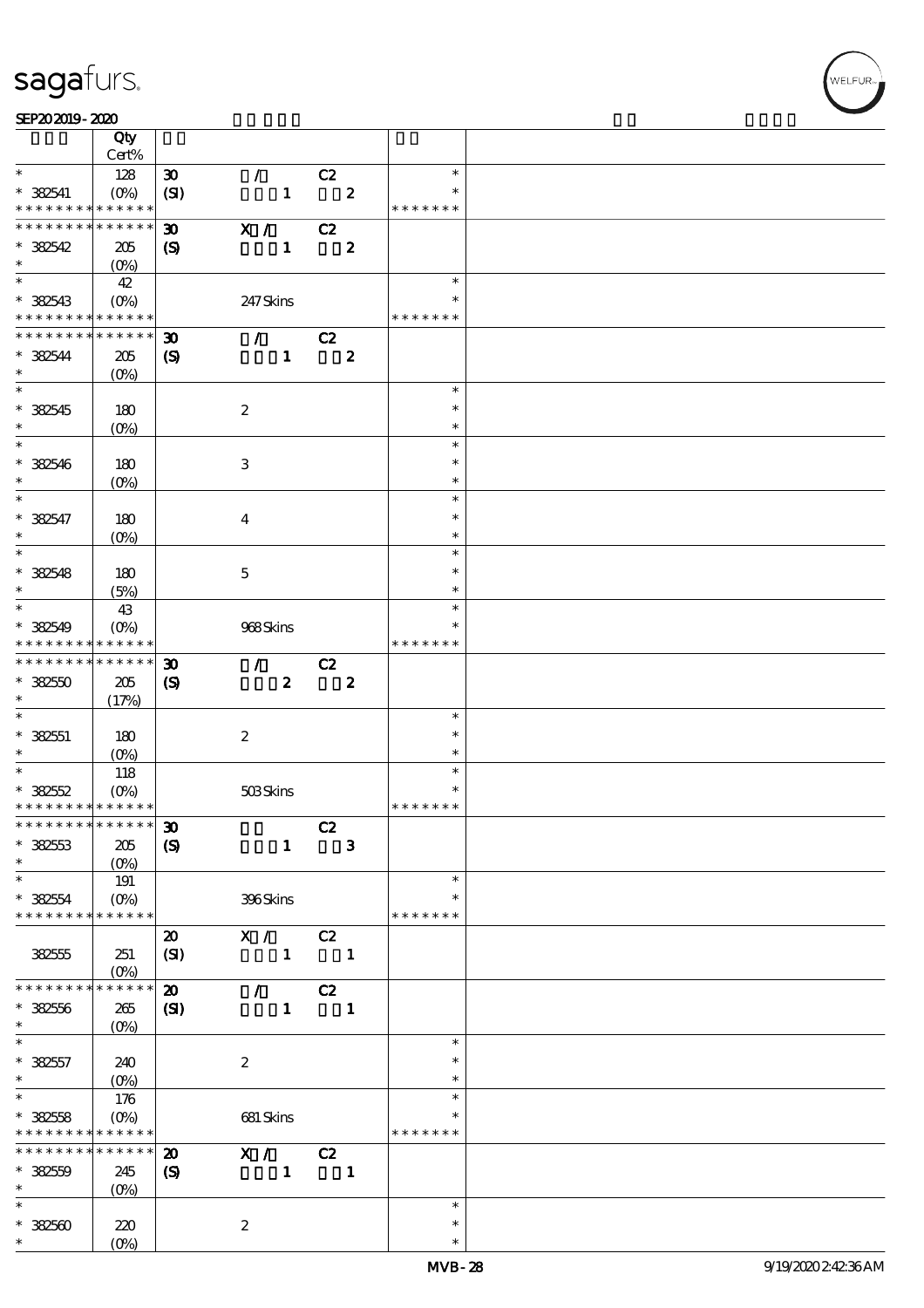#### SEP202019-2020

|                                           | Qty                                            |                             |                                 |                            |                  |                         |  |
|-------------------------------------------|------------------------------------------------|-----------------------------|---------------------------------|----------------------------|------------------|-------------------------|--|
|                                           | Cert%                                          |                             |                                 |                            |                  |                         |  |
| $\ast$                                    | 128                                            | $\boldsymbol{\mathfrak{D}}$ | $\mathcal{L}$                   | C2                         |                  | $\ast$                  |  |
| $* 382541$<br>* * * * * * * *             | $(O\!\!\!\!\!\!\backslash\rho)$<br>* * * * * * | (SI)                        | $\mathbf{1}$                    |                            | $\mathbf{2}$     | $\ast$<br>* * * * * * * |  |
| * * * * * * * *                           | * * * * * *                                    |                             |                                 |                            |                  |                         |  |
| $* 382542$                                |                                                | $\boldsymbol{\mathfrak{D}}$ | X /                             | C2                         |                  |                         |  |
| $\ast$                                    | 205                                            | $\boldsymbol{S}$            | $\mathbf{1}$                    |                            | $\boldsymbol{z}$ |                         |  |
|                                           | $(0\%)$                                        |                             |                                 |                            |                  | $\ast$                  |  |
|                                           | 42                                             |                             |                                 |                            |                  |                         |  |
| $* 382543$<br>* * * * * * * * * * * * * * | $(O\%)$                                        |                             | 247 Skins                       |                            |                  | * * * * * * *           |  |
| * * * * * * * *                           | * * * * * *                                    |                             | $\mathcal{L}$                   |                            |                  |                         |  |
| $* 382544$                                |                                                | $\boldsymbol{\mathfrak{D}}$ |                                 | C2                         |                  |                         |  |
| $\ast$                                    | 205<br>$(O\%)$                                 | $\boldsymbol{\mathrm{(S)}}$ | $\mathbf{1}$                    |                            | $\boldsymbol{z}$ |                         |  |
|                                           |                                                |                             |                                 |                            |                  | $\ast$                  |  |
| $* 382545$                                | 180                                            |                             | $\boldsymbol{2}$                |                            |                  | $\ast$                  |  |
| $\ast$                                    | $(0\%)$                                        |                             |                                 |                            |                  | $\ast$                  |  |
|                                           |                                                |                             |                                 |                            |                  | $\ast$                  |  |
| $* 382546$                                | 180                                            |                             | 3                               |                            |                  | $\ast$                  |  |
| $\ast$                                    | $(O\%)$                                        |                             |                                 |                            |                  | $\ast$                  |  |
| $\overline{\ast}$                         |                                                |                             |                                 |                            |                  | $\ast$                  |  |
| $* 382547$                                | 180                                            |                             | $\bf{4}$                        |                            |                  | $\ast$                  |  |
| $\ast$                                    | $(O\%)$                                        |                             |                                 |                            |                  | $\ast$                  |  |
| $\overline{\phantom{0}}$                  |                                                |                             |                                 |                            |                  | $\ast$                  |  |
| $* 382548$                                | 180                                            |                             | $\mathbf{5}$                    |                            |                  | $\ast$                  |  |
| $\ast$                                    | (5%)                                           |                             |                                 |                            |                  | $\ast$                  |  |
| $*$                                       | 43                                             |                             |                                 |                            |                  | $\ast$                  |  |
| * 382549                                  | $(O\%)$                                        |                             | 968Skins                        |                            |                  | *                       |  |
| * * * * * * * *                           | * * * * * *                                    |                             |                                 |                            |                  | * * * * * * *           |  |
| * * * * * * * *                           | * * * * * *                                    | $\boldsymbol{\mathfrak{D}}$ | $\mathcal{L}$                   | C2                         |                  |                         |  |
| $*3250$                                   | 205                                            | $\boldsymbol{S}$            | $\boldsymbol{z}$                |                            | $\boldsymbol{z}$ |                         |  |
| $\ast$                                    | (17%)                                          |                             |                                 |                            |                  |                         |  |
| $\ast$                                    |                                                |                             |                                 |                            |                  | $\ast$                  |  |
| $* 382551$                                | 180                                            |                             | $\boldsymbol{2}$                |                            |                  | $\ast$                  |  |
| $\ast$                                    | $(O\% )$                                       |                             |                                 |                            |                  | $\ast$                  |  |
| $\overline{\phantom{0}}$                  | 118                                            |                             |                                 |                            |                  | $\ast$                  |  |
| $* 32552$                                 | $(O\%)$                                        |                             | 503Skins                        |                            |                  | $\ast$                  |  |
| * * * * * * * * * * * * * *               |                                                |                             |                                 |                            |                  | * * * * * * *           |  |
| ************** 30                         |                                                |                             |                                 | C2                         |                  |                         |  |
| $* 32553$                                 | 205                                            | $\boldsymbol{S}$            | $\mathbf{1}$                    | $\overline{\phantom{a}}$ 3 |                  |                         |  |
| $\ast$                                    | $(0\%)$                                        |                             |                                 |                            |                  |                         |  |
| $\ast$                                    | 191                                            |                             |                                 |                            |                  | $\ast$                  |  |
| $* 382554$                                | $(O\!/\!\delta)$                               |                             | 396Skins                        |                            |                  | $\ast$                  |  |
| * * * * * * * *                           | * * * * * *                                    |                             |                                 |                            |                  | * * * * * * *           |  |
|                                           |                                                | $\boldsymbol{\mathfrak{D}}$ | X /                             | C2                         |                  |                         |  |
| 332555                                    | 251                                            | (SI)                        | $\mathbf{1}$                    | $\blacksquare$             |                  |                         |  |
|                                           | $(O\!/\!\delta)$                               |                             |                                 |                            |                  |                         |  |
| * * * * * * *                             | * * * * * *                                    | $\boldsymbol{\mathfrak{D}}$ | $\mathcal{L}$ and $\mathcal{L}$ | C2                         |                  |                         |  |
| $* 382556$                                | 265                                            | $\mathbf{S}$                | $\mathbf{1}$                    | $\blacksquare$             |                  |                         |  |
| $\ast$                                    | $(0\%)$                                        |                             |                                 |                            |                  |                         |  |
| $*$                                       |                                                |                             |                                 |                            |                  | $\ast$                  |  |
| $* 382557$                                | 240                                            |                             | $\boldsymbol{z}$                |                            |                  | $\ast$                  |  |
| $\ast$                                    |                                                |                             |                                 |                            |                  | $\ast$                  |  |
| $\overline{\ast}$                         | 176                                            |                             |                                 |                            |                  | $\ast$                  |  |
| $* 32558$                                 | $(O\%)$                                        |                             | 681 Skins                       |                            |                  |                         |  |
| * * * * * * * *                           | * * * * * *                                    |                             |                                 |                            |                  | * * * * * * *           |  |
| * * * * * * * *                           | * * * * * *                                    | $\boldsymbol{\mathfrak{D}}$ | X /                             | C2                         |                  |                         |  |
| $* 382559$                                | 245                                            | $\boldsymbol{\mathrm{(S)}}$ | $\mathbf{1}$                    | $\overline{\phantom{a}}$ 1 |                  |                         |  |
| $\ast$                                    | $(0\%)$                                        |                             |                                 |                            |                  |                         |  |
| $\ast$                                    |                                                |                             |                                 |                            |                  | $\ast$                  |  |
| $* 32500$                                 | 220                                            |                             | $\boldsymbol{z}$                |                            |                  | $\ast$                  |  |
| $\ast$                                    | $(0\%)$                                        |                             |                                 |                            |                  | $\ast$                  |  |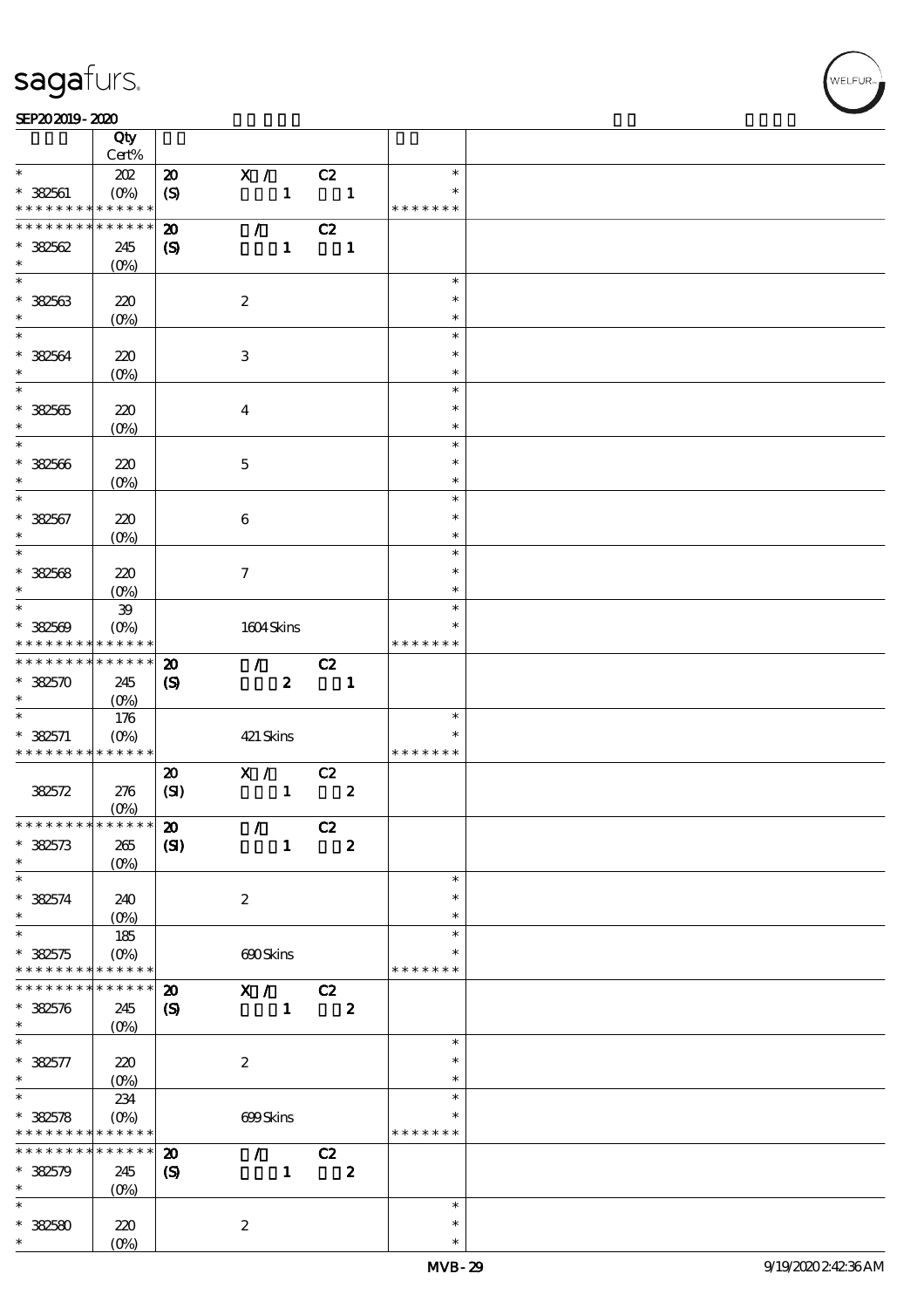#### SEP202019-2020 REVENUES AND REVENUES AND RELEASED FOR DEVELOPMENT OF THE SHAPE AND RELEASED FOR DEVELOPMENT OF

|                                                                                                                                                                                                    | Qty                      |                             |                     |                  |    |                  |                  |  |
|----------------------------------------------------------------------------------------------------------------------------------------------------------------------------------------------------|--------------------------|-----------------------------|---------------------|------------------|----|------------------|------------------|--|
|                                                                                                                                                                                                    | Cert%                    |                             |                     |                  |    |                  |                  |  |
| $\ast$                                                                                                                                                                                             | 202                      | $\boldsymbol{\mathsf{20}}$  | X /                 |                  | C2 |                  | $\ast$           |  |
| $* 382561$                                                                                                                                                                                         | $(O\%)$                  | $\boldsymbol{S}$            |                     | $\mathbf{1}$     |    | $\blacksquare$   |                  |  |
| * * * * * * * *                                                                                                                                                                                    | * * * * * *              |                             |                     |                  |    |                  | * * * * * * *    |  |
| * * * * * * * *                                                                                                                                                                                    | * * * * * *              | $\boldsymbol{\mathbf{z}}$   | $\mathcal{L}$       |                  | C2 |                  |                  |  |
| $*32562$                                                                                                                                                                                           | 245                      | $\boldsymbol{S}$            |                     | $\mathbf{1}$     |    | $\mathbf{1}$     |                  |  |
| $\ast$<br>$\ast$                                                                                                                                                                                   | (O <sub>0</sub> )        |                             |                     |                  |    |                  |                  |  |
|                                                                                                                                                                                                    |                          |                             |                     |                  |    |                  | $\ast$           |  |
| $* 32563$                                                                                                                                                                                          | 220                      |                             | $\boldsymbol{2}$    |                  |    |                  | $\ast$           |  |
| $\ast$<br>$\overline{\ast}$                                                                                                                                                                        | $(O\%)$                  |                             |                     |                  |    |                  | $\ast$           |  |
|                                                                                                                                                                                                    |                          |                             |                     |                  |    |                  | $\ast$           |  |
| $*32564$                                                                                                                                                                                           | 220                      |                             | $\,3$               |                  |    |                  | $\ast$           |  |
| $\ast$                                                                                                                                                                                             | (O <sub>0</sub> )        |                             |                     |                  |    |                  | $\ast$           |  |
| $\overline{\ast}$                                                                                                                                                                                  |                          |                             |                     |                  |    |                  | $\ast$           |  |
| $* 32565$                                                                                                                                                                                          | 220                      |                             | $\boldsymbol{4}$    |                  |    |                  | $\ast$           |  |
| $\ast$                                                                                                                                                                                             | $(O\%)$                  |                             |                     |                  |    |                  | $\ast$           |  |
| $\ast$                                                                                                                                                                                             |                          |                             |                     |                  |    |                  | $\ast$           |  |
| $* 32566$                                                                                                                                                                                          | 220                      |                             | $\mathbf 5$         |                  |    |                  | $\ast$           |  |
| $\ast$                                                                                                                                                                                             | $(O\!/\!o)$              |                             |                     |                  |    |                  | $\ast$           |  |
| $\ast$                                                                                                                                                                                             |                          |                             |                     |                  |    |                  | $\ast$<br>$\ast$ |  |
| $* 382567$                                                                                                                                                                                         | 220                      |                             | $\boldsymbol{6}$    |                  |    |                  |                  |  |
| $\ast$<br>$\ast$                                                                                                                                                                                   | (O <sub>0</sub> )        |                             |                     |                  |    |                  | $\ast$<br>$\ast$ |  |
|                                                                                                                                                                                                    |                          |                             |                     |                  |    |                  |                  |  |
| $* 32568$                                                                                                                                                                                          | 220                      |                             | $\boldsymbol{\tau}$ |                  |    |                  | $\ast$           |  |
| $\ast$<br>$\overline{\ast}$                                                                                                                                                                        | (O <sub>0</sub> )        |                             |                     |                  |    |                  | $\ast$           |  |
|                                                                                                                                                                                                    | ${\bf 39}$               |                             |                     |                  |    |                  | $\ast$           |  |
| $* 32509$                                                                                                                                                                                          | $(O\%)$                  |                             | 1604Skins           |                  |    |                  |                  |  |
| * * * * * * * *<br>* * * * * * * *                                                                                                                                                                 | * * * * * *              |                             |                     |                  |    |                  | * * * * * * *    |  |
|                                                                                                                                                                                                    | * * * * * *              | $\boldsymbol{\mathbf{z}}$   | $\mathcal{L}$       |                  | C2 |                  |                  |  |
| $* 382570$                                                                                                                                                                                         | 245                      | $\boldsymbol{\mathrm{(S)}}$ |                     | $\boldsymbol{z}$ |    | $\mathbf{1}$     |                  |  |
| $\ast$<br>$\overline{\ast}$                                                                                                                                                                        | $(0\%)$                  |                             |                     |                  |    |                  |                  |  |
|                                                                                                                                                                                                    | 176                      |                             |                     |                  |    |                  | $\ast$           |  |
|                                                                                                                                                                                                    |                          |                             |                     |                  |    |                  |                  |  |
| $* 382571$                                                                                                                                                                                         | $(O\%)$                  |                             | 421 Skins           |                  |    |                  | $\ast$           |  |
| * * * * * * * * <mark>* * * * * * *</mark>                                                                                                                                                         |                          |                             |                     |                  |    |                  | * * * * * * *    |  |
|                                                                                                                                                                                                    |                          | $\boldsymbol{\mathbf{z}}$   | X /                 |                  | C2 |                  |                  |  |
| 382572                                                                                                                                                                                             | 276                      | (SI)                        |                     | $\mathbf{1}$     |    | $\boldsymbol{2}$ |                  |  |
|                                                                                                                                                                                                    | $(0\%)$                  |                             |                     |                  |    |                  |                  |  |
| * * * * * * * * * * * * * * *                                                                                                                                                                      |                          | $\boldsymbol{\mathfrak{D}}$ | $\mathcal{L}$       |                  | C2 |                  |                  |  |
|                                                                                                                                                                                                    | 265                      | (S)                         |                     | $\mathbf{1}$     |    | $\boldsymbol{2}$ |                  |  |
| $* 32573$<br>$\ast$                                                                                                                                                                                | $(0\%)$                  |                             |                     |                  |    |                  |                  |  |
| $\ast$                                                                                                                                                                                             |                          |                             |                     |                  |    |                  | $\ast$           |  |
|                                                                                                                                                                                                    | 240                      |                             | $\boldsymbol{2}$    |                  |    |                  | $\ast$           |  |
|                                                                                                                                                                                                    | $(0\%)$                  |                             |                     |                  |    |                  | $\ast$<br>$\ast$ |  |
|                                                                                                                                                                                                    | 185                      |                             |                     |                  |    |                  |                  |  |
| $* 382574$<br>$\ast$<br>$\ast$<br>$* 382575$<br>* * * * * * * *                                                                                                                                    | $(O\%)$<br>* * * * * *   |                             | 690Skins            |                  |    |                  | * * * * * * *    |  |
|                                                                                                                                                                                                    | * * * * * *              |                             |                     |                  |    |                  |                  |  |
|                                                                                                                                                                                                    |                          | $\boldsymbol{\mathbf{z}}$   | $\overline{X}$ / C2 |                  |    |                  |                  |  |
|                                                                                                                                                                                                    | 245                      | $\boldsymbol{\mathcal{S}}$  |                     | $\mathbf{1}$     |    | $\boldsymbol{z}$ |                  |  |
|                                                                                                                                                                                                    | $(0\%)$                  |                             |                     |                  |    |                  | $\ast$           |  |
|                                                                                                                                                                                                    |                          |                             |                     |                  |    |                  | $\ast$           |  |
|                                                                                                                                                                                                    | 220                      |                             | $\boldsymbol{2}$    |                  |    |                  | $\ast$           |  |
|                                                                                                                                                                                                    | $(0\%)$                  |                             |                     |                  |    |                  | $\ast$           |  |
|                                                                                                                                                                                                    | 234                      |                             |                     |                  |    |                  |                  |  |
|                                                                                                                                                                                                    | $(O\%)$                  |                             | 699Skins            |                  |    |                  | * * * * * * *    |  |
|                                                                                                                                                                                                    | * * * * * *              |                             |                     |                  |    |                  |                  |  |
|                                                                                                                                                                                                    |                          | $\boldsymbol{\mathfrak{D}}$ | $\mathcal{L}$       |                  | C2 |                  |                  |  |
| * * * * * * * *<br>$* 382576$<br>$\ast$<br>$\ast$<br>$* 382577$<br>$\ast$<br>$\overline{\ast}$<br>$* 382578$<br>* * * * * * * * <mark>* * * * * * *</mark><br>* * * * * * *<br>$* 32579$<br>$\ast$ | 245                      | $\boldsymbol{S}$            |                     | $\mathbf{1}$     |    | $\boldsymbol{z}$ |                  |  |
| $\ast$                                                                                                                                                                                             | $(0\%)$                  |                             |                     |                  |    |                  | $\ast$           |  |
|                                                                                                                                                                                                    |                          |                             |                     |                  |    |                  | $\ast$           |  |
| $* 32580$<br>$\ast$                                                                                                                                                                                | 220<br>(O <sub>0</sub> ) |                             | $\boldsymbol{2}$    |                  |    |                  | $\ast$           |  |

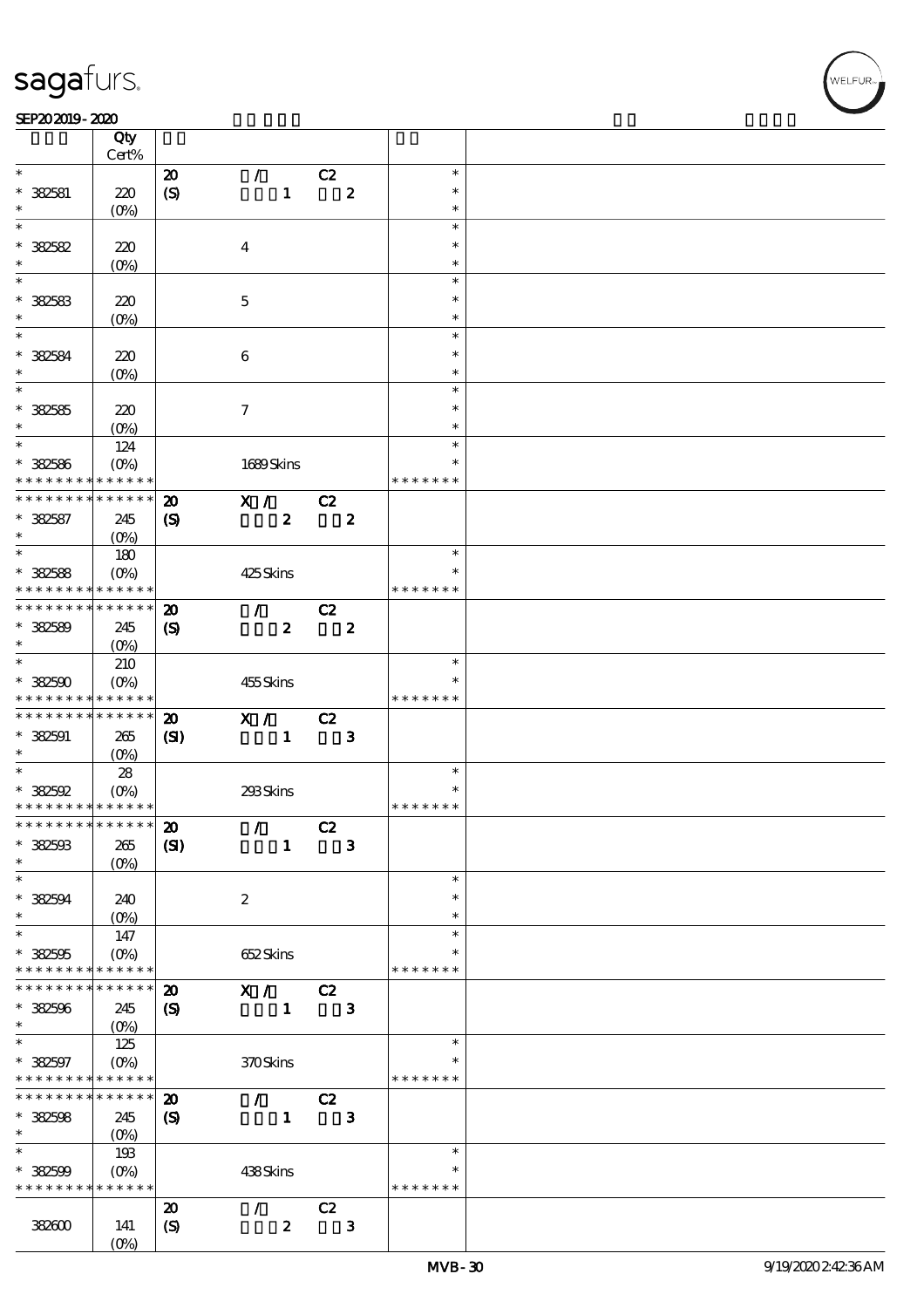### SEP202019-2020

|                                            | Qty<br>Cert%       |                             |                                    |    |                  |               |  |
|--------------------------------------------|--------------------|-----------------------------|------------------------------------|----|------------------|---------------|--|
| $\ast$                                     |                    |                             |                                    |    |                  | $\ast$        |  |
|                                            |                    | $\boldsymbol{\mathbf{z}}$   | $\mathcal{L}$                      | C2 |                  |               |  |
| * 382581                                   | 220                | $\boldsymbol{\mathrm{(S)}}$ | $\mathbf{1}$                       |    | $\boldsymbol{z}$ | $\ast$        |  |
| *                                          | $(O\!/\!\!\delta)$ |                             |                                    |    |                  | $\ast$        |  |
| $\ast$                                     |                    |                             |                                    |    |                  | $\ast$        |  |
| $* 382582$                                 | 220                |                             | $\boldsymbol{4}$                   |    |                  | $\ast$        |  |
| $\ast$                                     | (O <sub>0</sub> )  |                             |                                    |    |                  | $\ast$        |  |
| $\overline{\ast}$                          |                    |                             |                                    |    |                  | $\ast$        |  |
| $* 32583$                                  | 220                |                             | $\mathbf 5$                        |    |                  | $\ast$        |  |
| $\ast$                                     |                    |                             |                                    |    |                  | $\ast$        |  |
| $\ast$                                     | $(0\%)$            |                             |                                    |    |                  |               |  |
|                                            |                    |                             |                                    |    |                  | $\ast$        |  |
| * 382584                                   | 220                |                             | $\bf 6$                            |    |                  | $\ast$        |  |
| $\ast$                                     | $(O\!/\!\!\delta)$ |                             |                                    |    |                  | $\ast$        |  |
| $\overline{\ast}$                          |                    |                             |                                    |    |                  | $\ast$        |  |
| $* 32585$                                  | 220                |                             | $\tau$                             |    |                  | $\ast$        |  |
| $\ast$                                     | $(O\%)$            |                             |                                    |    |                  | $\ast$        |  |
| $\ast$                                     | 124                |                             |                                    |    |                  | $\ast$        |  |
|                                            |                    |                             |                                    |    |                  | $\ast$        |  |
| $* 32586$<br>* * * * * * * *               | $(O\%)$            |                             | 1689Skins                          |    |                  | * * * * * * * |  |
|                                            | * * * * * *        |                             |                                    |    |                  |               |  |
| * * * * * * * *                            | * * * * * *        | $\boldsymbol{\mathbf{z}}$   | X /                                | C2 |                  |               |  |
| $* 32587$                                  | 245                | $\boldsymbol{S}$            | $\boldsymbol{z}$                   |    | $\boldsymbol{z}$ |               |  |
| $\ast$                                     | $(O\%)$            |                             |                                    |    |                  |               |  |
| $\overline{\ast}$                          | 180                |                             |                                    |    |                  | $\ast$        |  |
| $* 32588$                                  | $(O\%)$            |                             | 425Skins                           |    |                  | $\ast$        |  |
| * * * * * * * *                            | $* * * * * * *$    |                             |                                    |    |                  | * * * * * * * |  |
| * * * * * * * *                            | $* * * * * * *$    | $\boldsymbol{\mathbf{z}}$   | $\mathcal{T} \subset \mathbb{R}^n$ | C2 |                  |               |  |
|                                            |                    |                             |                                    |    |                  |               |  |
| $* 32589$                                  | 245                | $\boldsymbol{\mathrm{(S)}}$ | $\boldsymbol{z}$                   |    | $\boldsymbol{z}$ |               |  |
| $\ast$<br>$\overline{\ast}$                | $(O\%)$            |                             |                                    |    |                  |               |  |
|                                            | 210                |                             |                                    |    |                  | $\ast$        |  |
| $*382500$                                  | $(O\%)$            |                             | 455Skins                           |    |                  |               |  |
| * * * * * * * * <mark>* * * * * * *</mark> |                    |                             |                                    |    |                  | * * * * * * * |  |
| * * * * * * * * <mark>* * * * * *</mark>   |                    | $\boldsymbol{\mathbf{z}}$   | $\mathbf{X}$ /                     | C2 |                  |               |  |
| $* 382591$                                 | 265                | (S)                         | $\mathbf{1}$                       |    | $\mathbf{3}$     |               |  |
| $\ast$                                     | $(O\!/\!o)$        |                             |                                    |    |                  |               |  |
| $\overline{\ast}$                          | 28                 |                             |                                    |    |                  | $\ast$        |  |
| $*382592$                                  | $(O\%)$            |                             | 293Skins                           |    |                  | $\ast$        |  |
| * * * * * * * * * * * * * *                |                    |                             |                                    |    |                  | * * * * * * * |  |
|                                            |                    |                             |                                    |    |                  |               |  |
| ************** 20                          |                    |                             | $\mathcal{L}$                      | C2 |                  |               |  |
| $*32503$                                   | 265                | (S)                         | $\mathbf{1}$                       |    | $\mathbf{3}$     |               |  |
| *                                          | (O <sub>0</sub> )  |                             |                                    |    |                  |               |  |
| $\ast$                                     |                    |                             |                                    |    |                  | $\ast$        |  |
| * 382594                                   | 240                |                             | $\boldsymbol{2}$                   |    |                  | $\ast$        |  |
| $\ast$                                     | $(O\%)$            |                             |                                    |    |                  | $\ast$        |  |
| $\ast$                                     | 147                |                             |                                    |    |                  | $\ast$        |  |
| $* 382505$                                 | $(O\%)$            |                             | 652Skins                           |    |                  | *             |  |
| * * * * * * * *                            | * * * * * *        |                             |                                    |    |                  | * * * * * * * |  |
| * * * * * * * *                            | * * * * * *        |                             |                                    |    |                  |               |  |
|                                            |                    | $\boldsymbol{\mathbf{z}}$   | X /                                | C2 |                  |               |  |
| $* 32506$                                  | 245                | $\boldsymbol{\mathrm{(S)}}$ | $\mathbf{1}$                       |    | $\mathbf{3}$     |               |  |
| $\ast$                                     | $(0\%)$            |                             |                                    |    |                  |               |  |
| $\ast$                                     | 125                |                             |                                    |    |                  | $\ast$        |  |
| $* 32597$                                  | $(O\!/\!o)$        |                             | 370Skins                           |    |                  | $\ast$        |  |
| * * * * * * * *                            | * * * * * *        |                             |                                    |    |                  | * * * * * * * |  |
| * * * * * * * *                            | * * * * * *        | $\boldsymbol{\mathfrak{D}}$ | $\mathcal{L}$                      | C2 |                  |               |  |
| $* 32508$                                  | 245                | $\boldsymbol{S}$            | $\mathbf{1}$                       |    | $\mathbf{3}$     |               |  |
| $\ast$                                     | $(O\%)$            |                             |                                    |    |                  |               |  |
| $\ast$                                     | 193                |                             |                                    |    |                  | $\ast$        |  |
|                                            |                    |                             |                                    |    |                  | $\ast$        |  |
| $* 382509$                                 | $(O\%)$            |                             | 438Skins                           |    |                  |               |  |
| * * * * * * * *                            | * * * * * *        |                             |                                    |    |                  | * * * * * * * |  |
|                                            |                    | $\boldsymbol{\mathbf{z}}$   | $\mathcal{L}$                      | C2 |                  |               |  |
| 382600                                     | 141                | $\boldsymbol{\mathrm{(S)}}$ | $\boldsymbol{z}$                   |    | $\mathbf{3}$     |               |  |
|                                            | $(0\%)$            |                             |                                    |    |                  |               |  |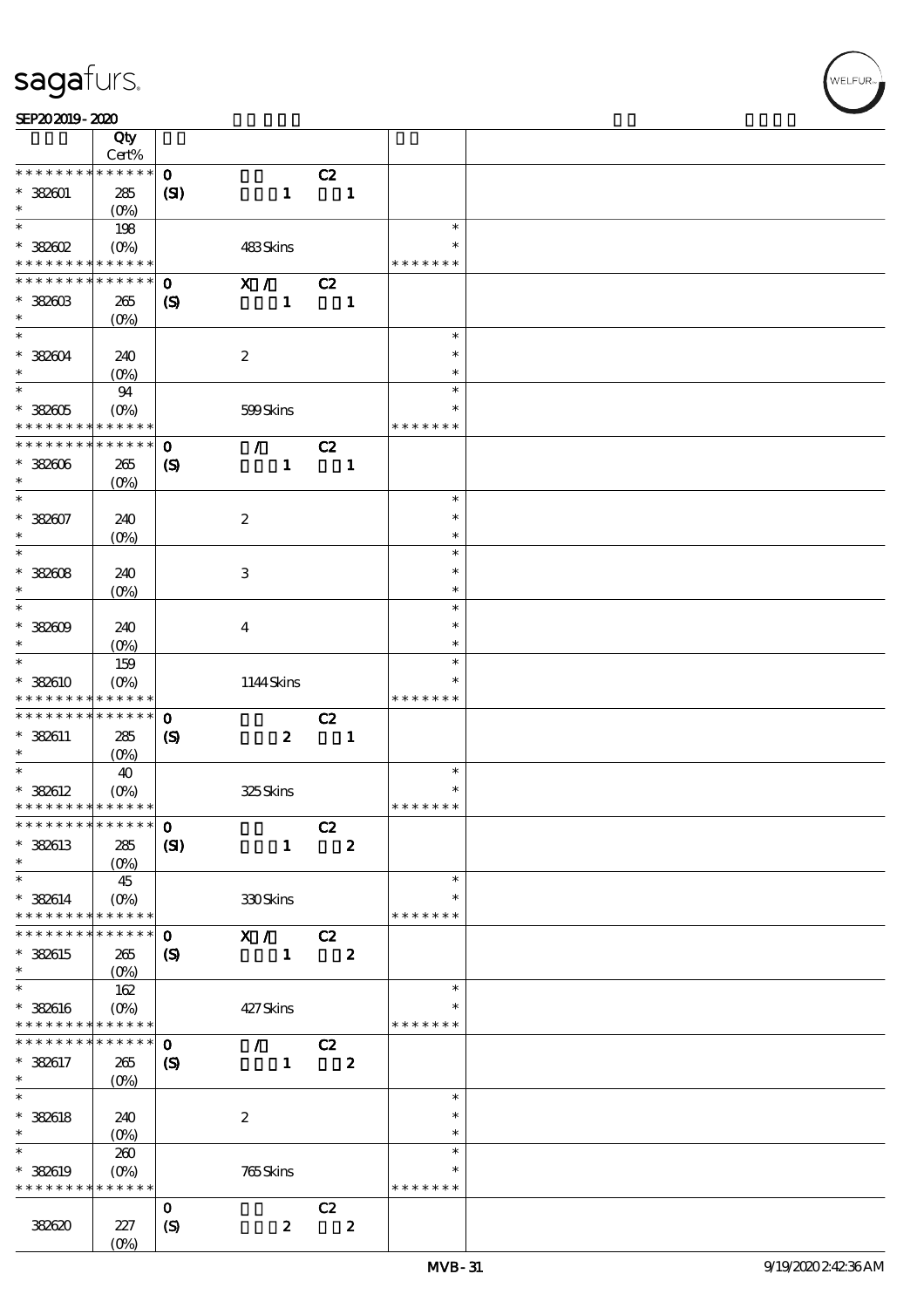| SEP202019-2020 |  |
|----------------|--|
|----------------|--|

|                                    | Qty                              |                             |                  |                |                  |                  |  |
|------------------------------------|----------------------------------|-----------------------------|------------------|----------------|------------------|------------------|--|
|                                    | Cert%                            |                             |                  |                |                  |                  |  |
| * * * * * * * *                    | * * * * * *                      | $\mathbf{o}$                |                  | C2             |                  |                  |  |
| $* 382001$<br>$\ast$               | 285<br>(O <sub>0</sub> )         | (S)                         | $\mathbf{1}$     |                | $\mathbf{1}$     |                  |  |
| $\ast$                             | 198                              |                             |                  |                |                  | $\ast$           |  |
| $*$ 382602                         | $(O\%)$                          |                             | 483Skins         |                |                  | $\ast$           |  |
| * * * * * * * * <mark>*</mark>     | * * * * * *                      |                             |                  |                |                  | * * * * * * *    |  |
| * * * * * * * *                    | $* * * * * * *$                  | $\mathbf{o}$                | X /              | C2             |                  |                  |  |
| $* 3880B$                          | 265                              | $\boldsymbol{\mathcal{S}}$  | $\mathbf{1}$     | $\blacksquare$ |                  |                  |  |
| $\ast$                             | (O <sub>0</sub> )                |                             |                  |                |                  |                  |  |
| $\ast$                             |                                  |                             |                  |                |                  | $\ast$           |  |
| $*382004$                          | 240                              |                             | $\boldsymbol{2}$ |                |                  | $\ast$           |  |
| $\ast$<br>$\overline{\phantom{0}}$ | (O <sub>0</sub> )                |                             |                  |                |                  | $\ast$<br>$\ast$ |  |
| $*382005$                          | 94                               |                             |                  |                |                  | $\ast$           |  |
| * * * * * * * *                    | (O <sub>0</sub> )<br>* * * * * * |                             | 599Skins         |                |                  | * * * * * * *    |  |
| * * * * * * * *                    | $\ast\ast\ast\ast\ast\ast$       | $\mathbf{o}$                | $\mathcal{T}$    | C2             |                  |                  |  |
| $*382006$                          | 265                              | $\boldsymbol{\mathcal{S}}$  | $\mathbf{1}$     |                | $\mathbf{1}$     |                  |  |
| $\ast$                             | $(O\!/\!\!\delta)$               |                             |                  |                |                  |                  |  |
| $\ast$                             |                                  |                             |                  |                |                  | $\ast$           |  |
| $* 382007$                         | 240                              |                             | $\boldsymbol{2}$ |                |                  | $\ast$           |  |
| $\ast$                             | $(O\!/\!\!\delta)$               |                             |                  |                |                  | $\ast$           |  |
| $\ast$                             |                                  |                             |                  |                |                  | $\ast$           |  |
| $* 38808$                          | 240                              |                             | $\,3\,$          |                |                  | $\ast$           |  |
| $\ast$<br>$\ast$                   | $(0\%)$                          |                             |                  |                |                  | $\ast$           |  |
|                                    |                                  |                             |                  |                |                  | $\ast$<br>$\ast$ |  |
| $* 38200$<br>$\ast$                | 240                              |                             | $\bf{4}$         |                |                  | $\ast$           |  |
| $\ast$                             | $(O\!/\!\!\delta)$<br>159        |                             |                  |                |                  | $\ast$           |  |
| $* 38800$                          | $(O\%)$                          |                             | 1144Skins        |                |                  | $\ast$           |  |
| * * * * * * * *                    | $\ast\ast\ast\ast\ast\ast$       |                             |                  |                |                  | * * * * * * *    |  |
| * * * * * * * *                    | $\ast\ast\ast\ast\ast\ast$       | $\mathbf{o}$                |                  | C2             |                  |                  |  |
| * 382611                           | 285                              | $\boldsymbol{\mathcal{S}}$  | $\boldsymbol{2}$ |                | $\blacksquare$   |                  |  |
| $\ast$                             | (O <sub>0</sub> )                |                             |                  |                |                  |                  |  |
| $\ast$                             | 40                               |                             |                  |                |                  | $\ast$           |  |
| $* 382612$                         | $(O\% )$                         |                             | 325Skins         |                |                  | $\ast$           |  |
| * * * * * * * * * * * * * *        |                                  |                             |                  |                |                  | * * * * * * *    |  |
| *************** 0                  |                                  |                             |                  | C2             |                  |                  |  |
| * 382613<br>$\ast$                 | 285                              | (S)                         | $\mathbf{1}$     |                | $\boldsymbol{2}$ |                  |  |
| $\ast$                             | $(0\%)$<br>45                    |                             |                  |                |                  | $\ast$           |  |
| $* 382614$                         | (O <sub>0</sub> )                |                             | 330Skins         |                |                  | ∗                |  |
| * * * * * * * *                    | * * * * * *                      |                             |                  |                |                  | * * * * * * *    |  |
| * * * * * * *                      | * * * * * *                      | $\mathbf{o}$                | X /              | C2             |                  |                  |  |
| * 382615                           | 265                              | $\boldsymbol{\mathsf{(S)}}$ | $\mathbf{1}$     |                | $\boldsymbol{z}$ |                  |  |
| $\ast$                             | (O <sub>0</sub> )                |                             |                  |                |                  |                  |  |
| $\ast$                             | 162                              |                             |                  |                |                  | $\ast$           |  |
| $* 388016$                         | $(O\%)$                          |                             | 427Skins         |                |                  | $\ast$           |  |
| * * * * * * * *                    | $\ast\ast\ast\ast\ast\ast$       |                             |                  |                |                  | * * * * * * *    |  |
| * * * * * * *                      | * * * * * *                      | $\mathbf{o}$                | $\mathcal{F}$    | C2             |                  |                  |  |
| * 382617                           | 265                              | (S)                         | $\mathbf{1}$     |                | $\boldsymbol{z}$ |                  |  |
| $\ast$<br>$\ast$                   | $(O\!/\!o)$                      |                             |                  |                |                  | $\ast$           |  |
| $* 382618$                         | 240                              |                             | $\boldsymbol{2}$ |                |                  | $\ast$           |  |
| $\ast$                             | $(O\!/\!\delta)$                 |                             |                  |                |                  | $\ast$           |  |
| $\ast$                             | 260                              |                             |                  |                |                  | $\ast$           |  |
| * 382619                           | $(O\%)$                          |                             | $765$ Skins      |                |                  | $\ast$           |  |
| * * * * * * * *                    | * * * * * *                      |                             |                  |                |                  | * * * * * * *    |  |
|                                    |                                  | $\mathbf 0$                 |                  | C2             |                  |                  |  |
| 382620                             | 227                              | $\boldsymbol{S}$            | $\pmb{2}$        |                | $\boldsymbol{z}$ |                  |  |
|                                    | $(O\%)$                          |                             |                  |                |                  |                  |  |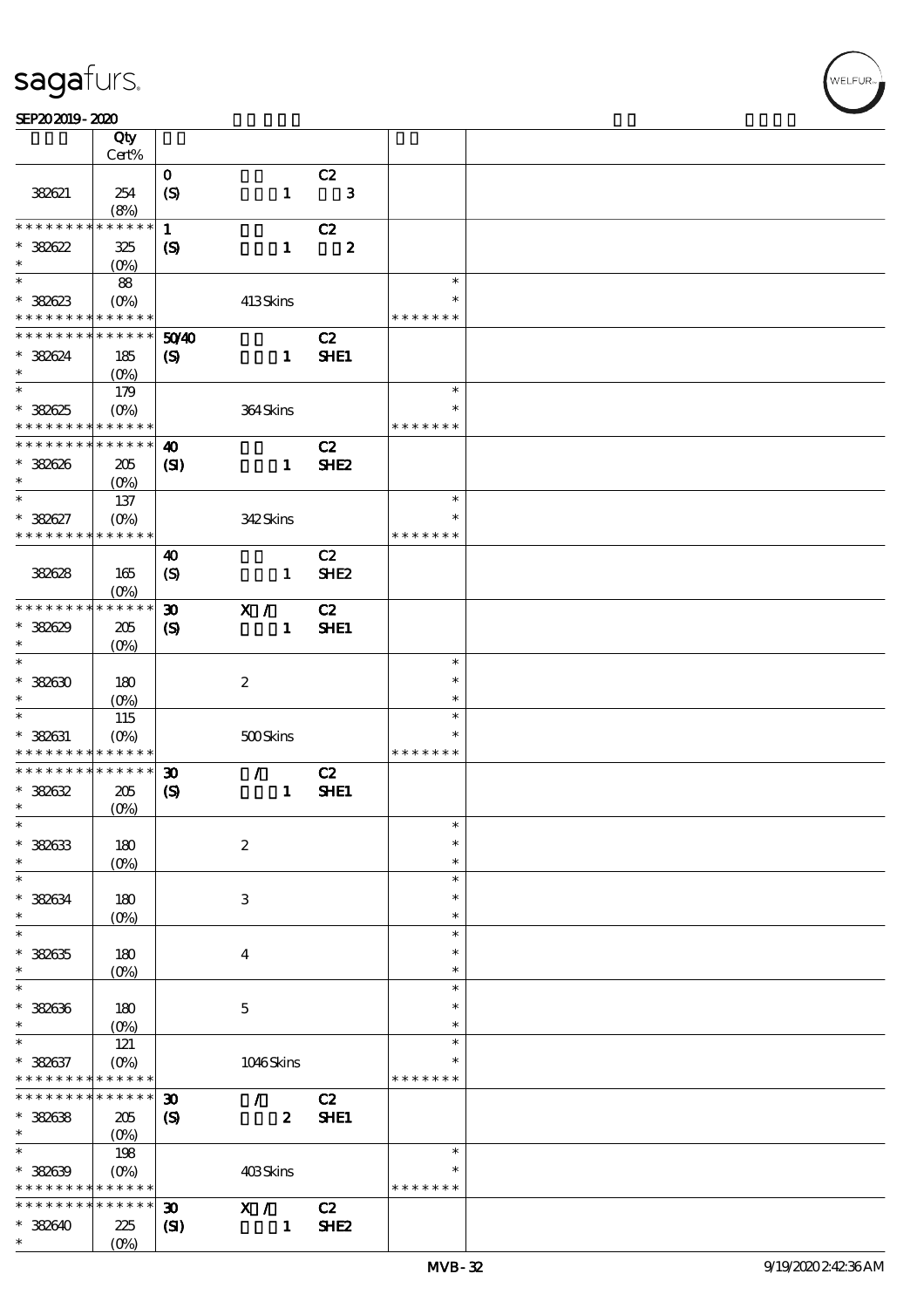#### SEP202019-2020 REVENUES AND REVENUES AND RELEASED FOR DEVELOPMENT OF THE SHAPE AND RELEASED FOR DEVELOPMENT OF

|                                            | Qty<br>Cert%             |                             |                           |                  |                    |               |  |
|--------------------------------------------|--------------------------|-----------------------------|---------------------------|------------------|--------------------|---------------|--|
|                                            |                          |                             |                           |                  |                    |               |  |
| 382621                                     | 254<br>(8%)              | $\mathbf{o}$<br>(S)         |                           | $\mathbf{1}$     | C2<br>$\mathbf{3}$ |               |  |
| * * * * * * * *                            | * * * * * *              | $\mathbf{1}$                |                           |                  | C2                 |               |  |
|                                            |                          |                             |                           |                  |                    |               |  |
| $* 38822$<br>$\ast$                        | 325<br>(O <sub>0</sub> ) | $\boldsymbol{\mathcal{S}}$  |                           | $\mathbf{1}$     | $\boldsymbol{2}$   |               |  |
| $\ast$                                     | 88                       |                             |                           |                  |                    | $\ast$        |  |
| $* 38833$                                  | (O <sub>0</sub> )        |                             | 413Skins                  |                  |                    | $\ast$        |  |
| * * * * * * * *                            | * * * * * *              |                             |                           |                  |                    | * * * * * * * |  |
| * * * * * * * *                            | * * * * * *              | 5040                        |                           |                  | C2                 |               |  |
| * 382624                                   | 185                      | $\boldsymbol{\mathrm{(S)}}$ |                           | $\mathbf{1}$     | SHE1               |               |  |
| $\ast$                                     | $(O\%)$                  |                             |                           |                  |                    |               |  |
| $\ast$                                     |                          |                             |                           |                  |                    | $\ast$        |  |
|                                            | 179                      |                             |                           |                  |                    |               |  |
| * 382625                                   | (O <sub>0</sub> )        |                             | 364Skins                  |                  |                    | $\ast$        |  |
| * * * * * * * *                            | * * * * * *              |                             |                           |                  |                    | * * * * * * * |  |
| * * * * * * * *                            | * * * * * *              | $\boldsymbol{\omega}$       |                           |                  | C2                 |               |  |
| * 382626                                   | 205                      | $\mathbf{C}$                |                           | $\mathbf{1}$     | SHE <sub>2</sub>   |               |  |
| $\ast$                                     | $(O\%)$                  |                             |                           |                  |                    |               |  |
| $\ast$                                     | 137                      |                             |                           |                  |                    | $\ast$        |  |
| * 382627                                   | $(O\%)$                  |                             | 342Skins                  |                  |                    | $\ast$        |  |
| * * * * * * * *                            | * * * * * *              |                             |                           |                  |                    | * * * * * * * |  |
|                                            |                          | 40                          |                           |                  | C2                 |               |  |
| 382628                                     | 165                      | $\boldsymbol{S}$            |                           | $\mathbf{1}$     | SHE <sub>2</sub>   |               |  |
|                                            | (O <sub>0</sub> )        |                             |                           |                  |                    |               |  |
| * * * * * * * *                            | * * * * * *              | $\boldsymbol{\mathfrak{D}}$ |                           |                  | C2                 |               |  |
|                                            |                          |                             | X /                       |                  |                    |               |  |
| * 382629                                   | 205                      | $\boldsymbol{\mathcal{S}}$  |                           | $\mathbf{1}$     | SHE1               |               |  |
| $\ast$                                     | $(0\%)$                  |                             |                           |                  |                    |               |  |
| $\ast$                                     |                          |                             |                           |                  |                    | $\ast$        |  |
| $*38830$                                   | 180                      |                             | $\boldsymbol{2}$          |                  |                    | $\ast$        |  |
| $\ast$                                     | (O <sub>0</sub> )        |                             |                           |                  |                    | $\ast$        |  |
| $\ast$                                     | 115                      |                             |                           |                  |                    | $\ast$        |  |
| * 382631                                   | $(O\%)$                  |                             | 500Skins                  |                  |                    | $\ast$        |  |
| * * * * * * * *                            | * * * * * *              |                             |                           |                  |                    | * * * * * * * |  |
| * * * * * * * *                            | * * * * * *              | $\boldsymbol{\mathfrak{D}}$ | $\mathcal{L}$             |                  | C2                 |               |  |
| $*38832$                                   | 205                      | $\boldsymbol{\mathcal{S}}$  |                           | $\mathbf{1}$     | SHE1               |               |  |
| $\ast$                                     | (O <sub>0</sub> )        |                             |                           |                  |                    |               |  |
| $\ast$                                     |                          |                             |                           |                  |                    | $\ast$        |  |
| * 382633                                   | 180                      |                             | $\boldsymbol{2}$          |                  |                    | $\ast$        |  |
| $\ast$                                     | (O <sub>0</sub> )        |                             |                           |                  |                    | $\ast$        |  |
| $\ast$                                     |                          |                             |                           |                  |                    | $\ast$        |  |
| $* 38834$                                  | 180                      |                             | $\ensuremath{\mathbf{3}}$ |                  |                    | $\ast$        |  |
| $\ast$                                     | $(0\%)$                  |                             |                           |                  |                    | $\ast$        |  |
| $\ast$                                     |                          |                             |                           |                  |                    | $\ast$        |  |
| $* 38835$                                  | 180                      |                             | $\bf{4}$                  |                  |                    | ∗             |  |
| $\ast$                                     | $(0\%)$                  |                             |                           |                  |                    | $\ast$        |  |
| $\ast$                                     |                          |                             |                           |                  |                    | $\ast$        |  |
| * 382636                                   | 180                      |                             | $\mathbf{5}$              |                  |                    | $\ast$        |  |
| $\ast$                                     |                          |                             |                           |                  |                    | $\ast$        |  |
| $\ast$                                     | $(0\%)$                  |                             |                           |                  |                    | $\ast$        |  |
|                                            | 121                      |                             |                           |                  |                    | $\ast$        |  |
| $* 38837$                                  | $(O\%)$                  |                             | 1046Skins                 |                  |                    |               |  |
| * * * * * * * *                            | * * * * * *              |                             |                           |                  |                    | * * * * * * * |  |
| * * * * * * * *                            | * * * * * *              | $\boldsymbol{\mathfrak{D}}$ | $\mathcal{L}$             |                  | C2                 |               |  |
| * 382638                                   | 205                      | $\boldsymbol{\mathsf{(S)}}$ |                           | $\boldsymbol{z}$ | SHE1               |               |  |
| $\ast$                                     | (O <sub>0</sub> )        |                             |                           |                  |                    |               |  |
| $\ast$                                     | 198                      |                             |                           |                  |                    | $\ast$        |  |
| $* 38839$                                  | $(O\!/\!o)$              |                             | 403Skins                  |                  |                    | $\ast$        |  |
| * * * * * * * * <mark>* * * * * * *</mark> |                          |                             |                           |                  |                    | * * * * * * * |  |
| * * * * * * * *                            | * * * * * *              | $\boldsymbol{\mathfrak{D}}$ | X /                       |                  | C2                 |               |  |
| $*382640$                                  | 225                      | $\mathbf{C}$                |                           | $\mathbf{1}$     | SHE <sub>2</sub>   |               |  |
| $\ast$                                     | (O <sub>0</sub> )        |                             |                           |                  |                    |               |  |
|                                            |                          |                             |                           |                  |                    |               |  |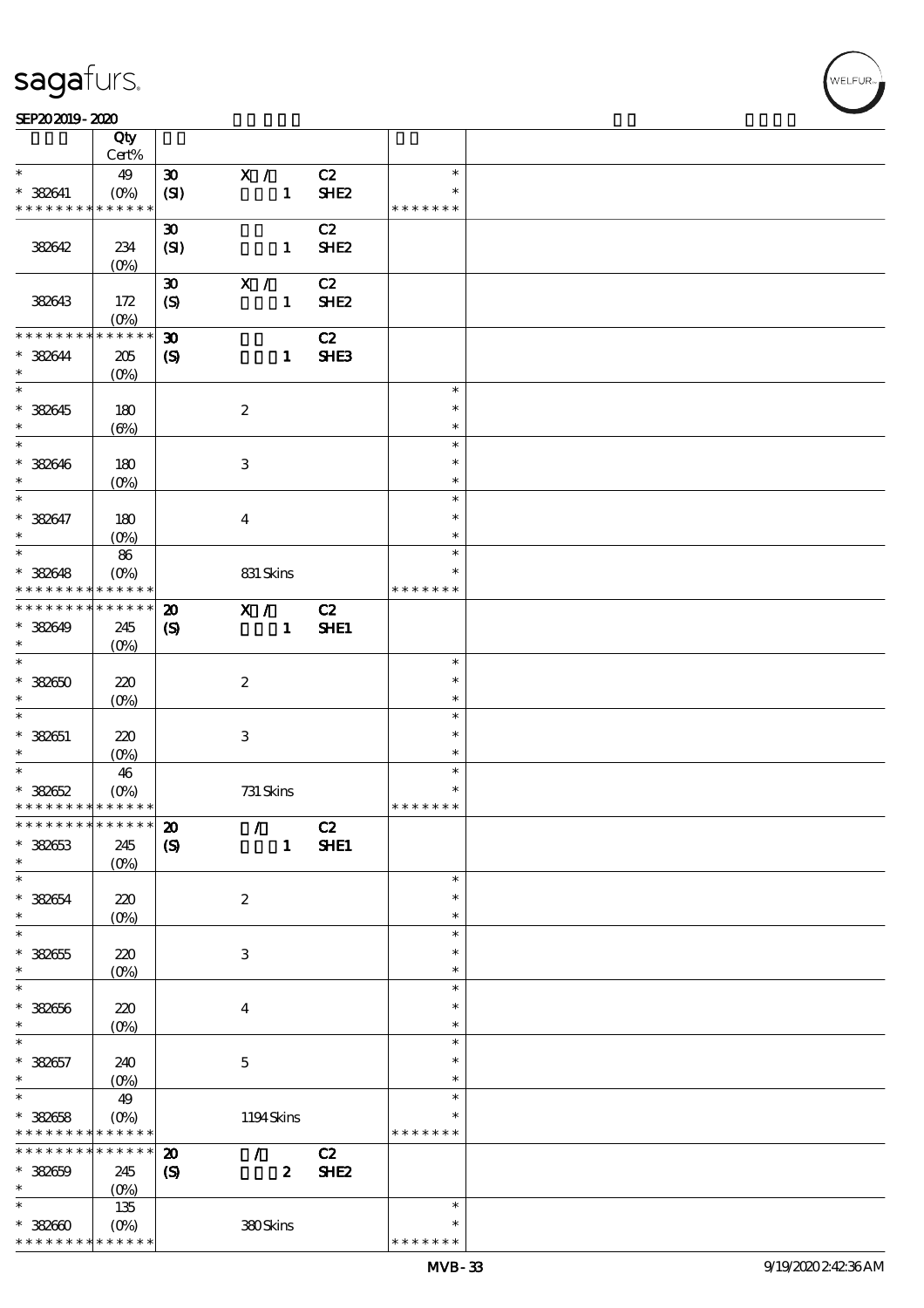$\top$ 

#### SEP202019-2020 REVENUES AND REVENUES AND RELEASED FOR DEVELOPMENT OF THE SHAPE AND RELEASED FOR DEVELOPMENT OF

|                               | Qty                    |                             |                                 |                  |               |  |
|-------------------------------|------------------------|-----------------------------|---------------------------------|------------------|---------------|--|
|                               | Cert%                  |                             |                                 |                  |               |  |
| $\ast$                        | 49                     | $\boldsymbol{\mathfrak{D}}$ | X /                             | C2               | $\ast$        |  |
| $* 388641$                    | $(0\%)$                | (SI)                        | $\mathbf{1}$                    | SHE <sub>2</sub> | $\ast$        |  |
| * * * * * * * *               | * * * * * *            |                             |                                 |                  | * * * * * * * |  |
|                               |                        | $\boldsymbol{\mathfrak{D}}$ |                                 | C2               |               |  |
| 382642                        | 234                    | (SI)                        | $\mathbf{1}$                    | SHE <sub>2</sub> |               |  |
|                               | $(0\%)$                |                             |                                 |                  |               |  |
|                               |                        | $\boldsymbol{\mathfrak{D}}$ | X /                             | C2               |               |  |
| 382643                        | 172                    | $\boldsymbol{S}$            | $\mathbf{1}$                    | SHE <sub>2</sub> |               |  |
|                               |                        |                             |                                 |                  |               |  |
| * * * * * * * *               | $(O\%)$<br>* * * * * * |                             |                                 |                  |               |  |
|                               |                        | $\boldsymbol{\mathfrak{D}}$ |                                 | C2               |               |  |
| * 382644                      | $205\,$                | $\boldsymbol{\mathrm{(S)}}$ | $\mathbf{1}$                    | SHE <sub>3</sub> |               |  |
| $\ast$                        | $(O\%)$                |                             |                                 |                  |               |  |
| $\overline{\phantom{0}}$      |                        |                             |                                 |                  | $\ast$        |  |
| $* 388645$                    | 180                    |                             | $\boldsymbol{2}$                |                  | $\ast$        |  |
| $\ast$                        | $(\Theta)$             |                             |                                 |                  | $\ast$        |  |
| $\overline{\ast}$             |                        |                             |                                 |                  | $\ast$        |  |
| $* 388646$                    | 180                    |                             | $\,3$                           |                  | $\ast$        |  |
| $\ast$                        |                        |                             |                                 |                  | $\ast$        |  |
|                               | $(O\%)$                |                             |                                 |                  |               |  |
| $\ast$                        |                        |                             |                                 |                  | $\ast$        |  |
| * 382647                      | 180                    |                             | $\bf{4}$                        |                  | $\ast$        |  |
| $\ast$                        | $(O\%)$                |                             |                                 |                  | $\ast$        |  |
| $\ast$                        | 86                     |                             |                                 |                  | $\ast$        |  |
| * 382648                      | $(O\%)$                |                             | 831 Skins                       |                  | $\ast$        |  |
| * * * * * * * *               | * * * * * *            |                             |                                 |                  | * * * * * * * |  |
| * * * * * * * *               | * * * * * *            | $\boldsymbol{\mathbf{z}}$   | X /                             | C2               |               |  |
|                               |                        |                             |                                 |                  |               |  |
| * 382649                      | 245                    | $\boldsymbol{\mathcal{S}}$  | $\mathbf{1}$                    | SHE1             |               |  |
| $\ast$                        | $(O\%)$                |                             |                                 |                  |               |  |
| $\overline{\ast}$             |                        |                             |                                 |                  | $\ast$        |  |
| $* 382650$                    | 220                    |                             | $\boldsymbol{2}$                |                  | $\ast$        |  |
| $\ast$                        | $(O\%)$                |                             |                                 |                  | $\ast$        |  |
| $\ast$                        |                        |                             |                                 |                  | $\ast$        |  |
| $* 382651$                    | 220                    |                             | $\ensuremath{\mathsf{3}}$       |                  | $\ast$        |  |
| $\ast$                        | $(O\%)$                |                             |                                 |                  | $\ast$        |  |
| $\ast$                        |                        |                             |                                 |                  | $\ast$        |  |
|                               | 46                     |                             |                                 |                  | $\ast$        |  |
| $* 382652$                    | $(O\%)$                |                             | 731 Skins                       |                  |               |  |
| * * * * * * * * * * * * * *   |                        |                             |                                 |                  | * * * * * * * |  |
| * * * * * * * * * * * * * * * |                        | $\boldsymbol{\mathbf{z}}$   | $\mathcal{F}$ and $\mathcal{F}$ | C2               |               |  |
| $* 382653$                    | 245                    | $\boldsymbol{S}$            | $\mathbf{1}$                    | SHE1             |               |  |
| $\ast$                        | $(O\%)$                |                             |                                 |                  |               |  |
| $\ast$                        |                        |                             |                                 |                  | $\ast$        |  |
| $* 382654$                    | 220                    |                             | $\boldsymbol{z}$                |                  | $\ast$        |  |
| $\ast$                        | $(O\%)$                |                             |                                 |                  | $\ast$        |  |
| $\ast$                        |                        |                             |                                 |                  | $\ast$        |  |
|                               |                        |                             |                                 |                  | $\ast$        |  |
| $* 382655$                    | 220                    |                             | 3                               |                  |               |  |
| $\ast$                        | $(O\!/\!\delta)$       |                             |                                 |                  | $\ast$        |  |
| $\ast$                        |                        |                             |                                 |                  | $\ast$        |  |
| $* 382656$                    | 220                    |                             | $\boldsymbol{4}$                |                  | $\ast$        |  |
| $\ast$                        | $(0\%)$                |                             |                                 |                  | $\ast$        |  |
| $\ast$                        |                        |                             |                                 |                  | $\ast$        |  |
| $* 388657$                    | 240                    |                             | $\mathbf 5$                     |                  | $\ast$        |  |
| $\ast$                        | (0%)                   |                             |                                 |                  | $\ast$        |  |
| $\ast$                        | 49                     |                             |                                 |                  | $\ast$        |  |
|                               |                        |                             |                                 |                  |               |  |
| $* 388658$                    | $(O\%)$                |                             | 1194Skins                       |                  | $\ast$        |  |
| * * * * * * * *               | * * * * * *            |                             |                                 |                  | * * * * * * * |  |
| * * * * * * * *               | * * * * * *            | $\boldsymbol{\mathbf{z}}$   | $\mathcal{L}$                   | C2               |               |  |
| $* 382659$                    | 245                    | $\boldsymbol{\mathrm{(S)}}$ | $\boldsymbol{z}$                | SHE <sub>2</sub> |               |  |
| $\ast$                        | (O <sub>0</sub> )      |                             |                                 |                  |               |  |
| $\ast$                        | 135                    |                             |                                 |                  | $\ast$        |  |
| $*38000$                      | $(0\%)$                |                             | 380Skins                        |                  | $\ast$        |  |
| * * * * * * * *               | * * * * * *            |                             |                                 |                  | * * * * * * * |  |
|                               |                        |                             |                                 |                  |               |  |

 $\overline{\mathbf{r}}$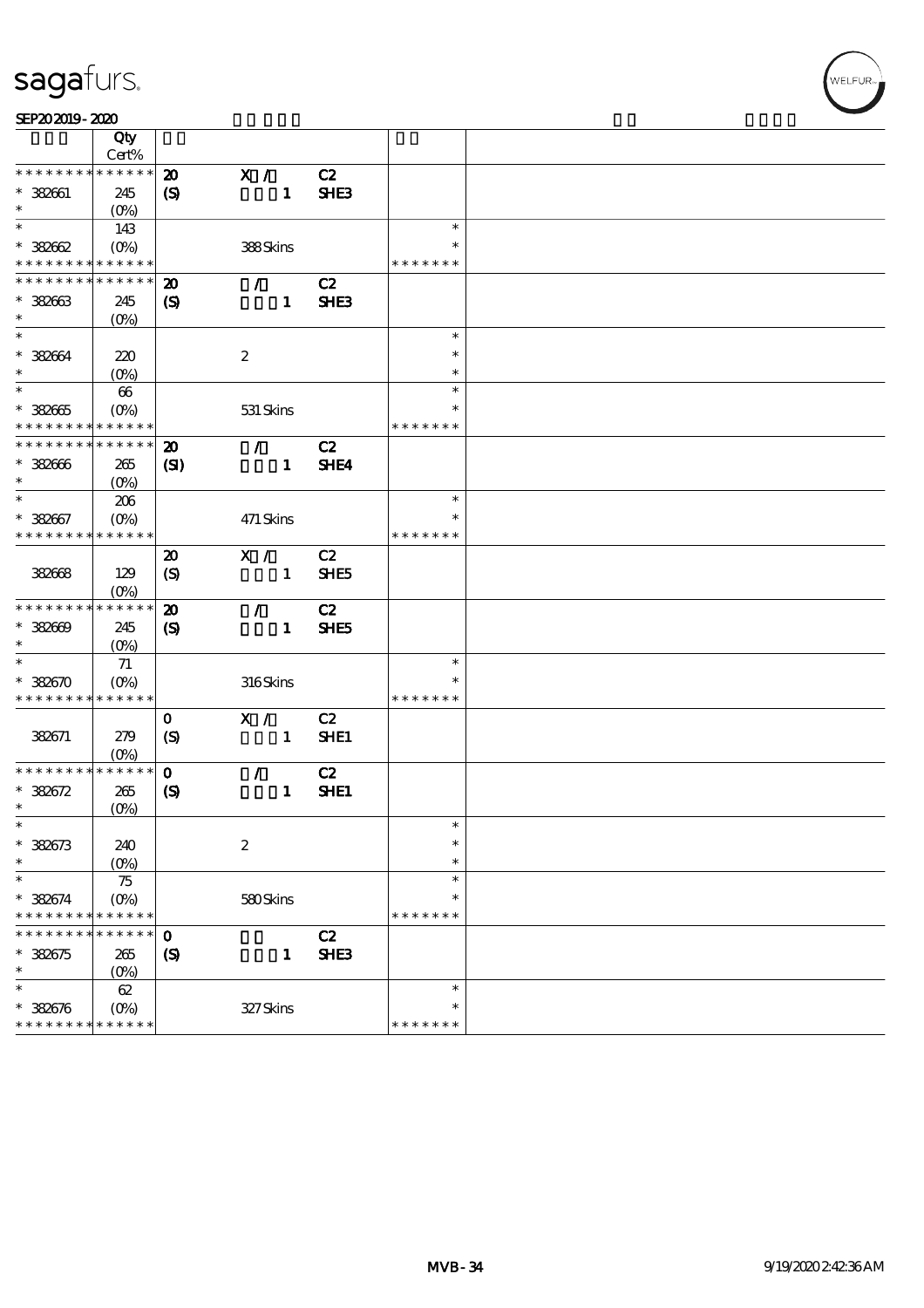## sagafurs.

| SEP202019-2020 |  |
|----------------|--|
|----------------|--|

|                                          | Qty                    |                             |                  |                  |               |  |
|------------------------------------------|------------------------|-----------------------------|------------------|------------------|---------------|--|
|                                          | Cert%                  |                             |                  |                  |               |  |
| * * * * * * * *                          | * * * * * *            | $\boldsymbol{\mathfrak{D}}$ | X /              | C2               |               |  |
| $* 382661$                               | 245                    | $\boldsymbol{S}$            | $\mathbf{1}$     | SHE3             |               |  |
| $\ast$                                   | $(O_0)$                |                             |                  |                  |               |  |
| $\ast$                                   | 143                    |                             |                  |                  | $\ast$        |  |
| $* 38862$                                | $(O_0)$                |                             | 388Skins         |                  | $\ast$        |  |
| * * * * * * * * <mark>* * * * * *</mark> |                        |                             |                  |                  | * * * * * * * |  |
| * * * * * * * *                          | * * * * * *            | $\boldsymbol{\mathbf{z}}$   | $\mathcal{L}$    | C2               |               |  |
| $* 38863$                                | 245                    |                             | $\mathbf{1}$     | SHE <sub>3</sub> |               |  |
| $\ast$                                   |                        | $\boldsymbol{\mathcal{S}}$  |                  |                  |               |  |
| $\ast$                                   | $(0\%)$                |                             |                  |                  | $\ast$        |  |
|                                          |                        |                             |                  |                  | $\ast$        |  |
| $* 382664$                               | 220                    |                             | $\boldsymbol{2}$ |                  |               |  |
| $\ast$                                   | (O <sub>0</sub> )      |                             |                  |                  | $\ast$        |  |
| $\overline{\ast}$                        | 66                     |                             |                  |                  | $\ast$        |  |
| $* 38265$                                | (O <sub>0</sub> )      |                             | 531 Skins        |                  | $\ast$        |  |
| * * * * * * * *                          | * * * * * *            |                             |                  |                  | * * * * * * * |  |
| * * * * * * * *                          | * * * * * *            | $\boldsymbol{\mathbf{z}}$   | $\mathcal{L}$    | C2               |               |  |
| $* 38866$                                | 265                    | $\mathbf{S}$                | $\mathbf{1}$     | SHE4             |               |  |
| $\ast$                                   | (O <sub>0</sub> )      |                             |                  |                  |               |  |
| $\ast$                                   | 206                    |                             |                  |                  | $\ast$        |  |
| $* 382667$                               | $(O\%)$                |                             | 471 Skins        |                  | $\ast$        |  |
| * * * * * * * *                          | * * * * * *            |                             |                  |                  | * * * * * * * |  |
|                                          |                        | $\boldsymbol{\mathfrak{D}}$ | X /              | C2               |               |  |
|                                          |                        |                             | $\mathbf{1}$     | SHE5             |               |  |
| 382668                                   | 129                    | $\boldsymbol{S}$            |                  |                  |               |  |
| * * * * * * * *                          | $(O\%)$<br>* * * * * * |                             |                  |                  |               |  |
|                                          |                        | $\boldsymbol{\mathfrak{D}}$ | $\mathcal{L}$    | C2               |               |  |
| $* 38800$                                | 245                    | $\boldsymbol{\mathcal{S}}$  | $\mathbf{1}$     | SHE5             |               |  |
| $\ast$                                   | $(0\%)$                |                             |                  |                  |               |  |
| $\ast$                                   | 71                     |                             |                  |                  | $\ast$        |  |
| $* 38850$                                | (O <sub>0</sub> )      |                             | 316Skins         |                  |               |  |
| * * * * * * * * * * * * * *              |                        |                             |                  |                  | * * * * * * * |  |
|                                          |                        | $\mathbf 0$                 | X /              | C2               |               |  |
| 382671                                   | 279                    | $\boldsymbol{S}$            | $\mathbf{1}$     | SHE1             |               |  |
|                                          | $(O\%)$                |                             |                  |                  |               |  |
| * * * * * * * *                          | ******                 | $\mathbf{o}$                | $\mathcal{L}$    | C2               |               |  |
| $* 382672$                               | 265                    | $\boldsymbol{\mathrm{(S)}}$ | $\mathbf{1}$     | SHE1             |               |  |
| $\ast$                                   | $(0\%)$                |                             |                  |                  |               |  |
| $\ast$                                   |                        |                             |                  |                  | $\ast$        |  |
| $* 382673$                               | 240                    |                             | $\boldsymbol{2}$ |                  | $\ast$        |  |
| $\ast$                                   |                        |                             |                  |                  | $\ast$        |  |
| $\ast$                                   | $(0\%)$                |                             |                  |                  | $\ast$        |  |
|                                          | 75                     |                             |                  |                  |               |  |
| * 382674                                 | (O <sub>0</sub> )      |                             | 580Skins         |                  | $\ast$        |  |
| * * * * * * *                            | * * * * * *            |                             |                  |                  | * * * * * * * |  |
|                                          | * * * * *              | $\mathbf{o}$                |                  | C2               |               |  |
| $* 38855$                                | 265                    | $\boldsymbol{\mathrm{(S)}}$ | 1                | SHE3             |               |  |
| $\ast$                                   | $(0\%)$                |                             |                  |                  |               |  |
| $\ast$                                   | 62                     |                             |                  |                  | $\ast$        |  |
| $* 388676$                               | $(O\!/\!o)$            |                             | 327Skins         |                  | $\ast$        |  |
| * * * * * * * *                          | * * * * * *            |                             |                  |                  | * * * * * * * |  |
|                                          |                        |                             |                  |                  |               |  |

WELFUR<sub>7</sub>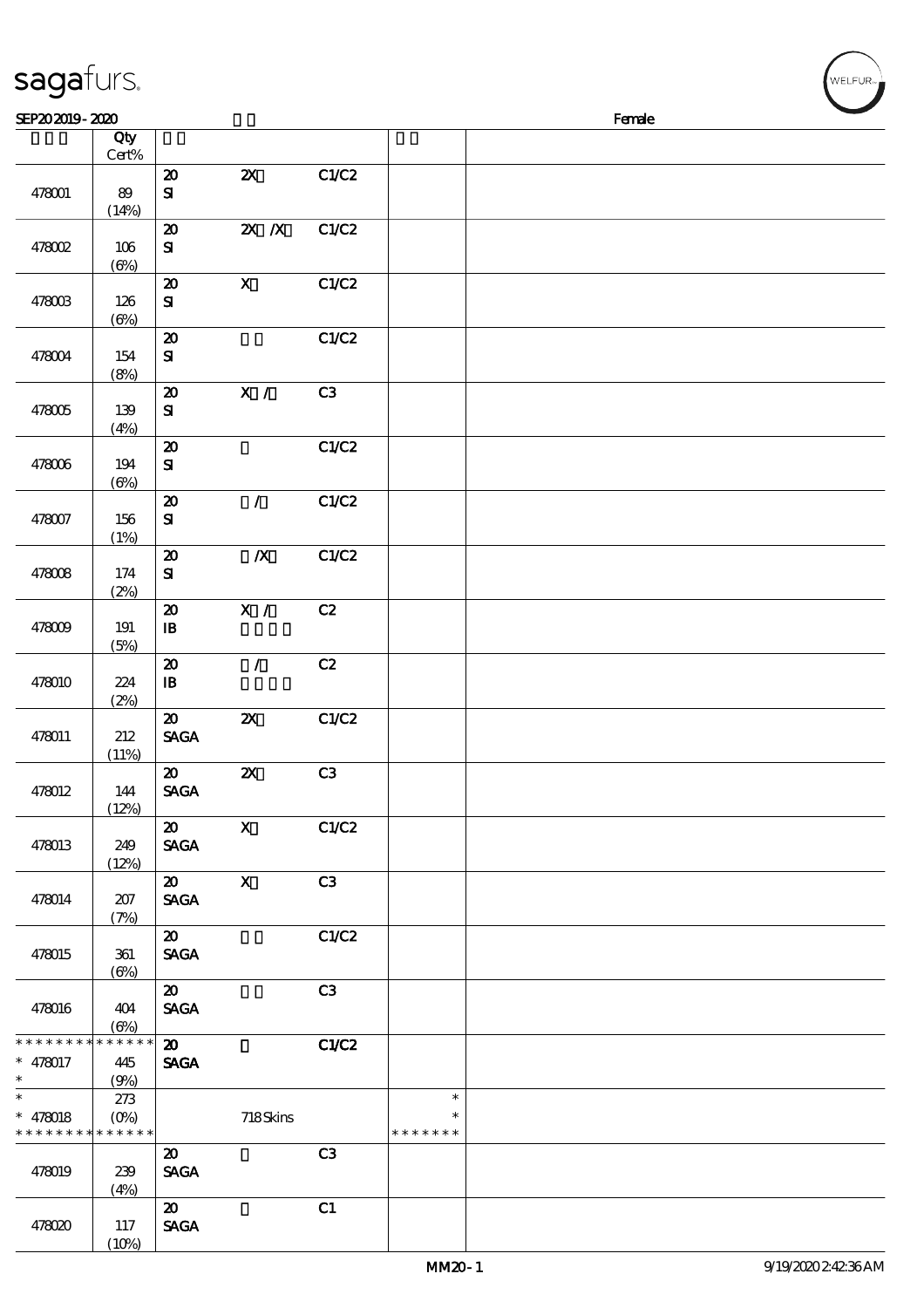| sagafurs.                                                          |                           |                                            |                           |       |                                   | WELFUR <sub>™</sub> |
|--------------------------------------------------------------------|---------------------------|--------------------------------------------|---------------------------|-------|-----------------------------------|---------------------|
| SEP202019-2020                                                     |                           |                                            |                           |       |                                   | Female              |
|                                                                    | Qty<br>Cert%              |                                            |                           |       |                                   |                     |
| 478001                                                             | 89                        | $\boldsymbol{\mathsf{20}}$<br>$\mathbf{S}$ | $\boldsymbol{\mathsf{z}}$ | C1/C2 |                                   |                     |
| 478002                                                             | (14%)<br>106<br>(6%)      | $\boldsymbol{\mathfrak{D}}$<br>${\bf s}$   | $X$ $N$                   | C1/C2 |                                   |                     |
| 478003                                                             | 126<br>$(\Theta)$         | $\pmb{\mathcal{X}}$<br>${\bf S}$           | $\boldsymbol{\mathsf{X}}$ | C1/C2 |                                   |                     |
| 478004                                                             | 154<br>(8%)               | $\boldsymbol{\mathsf{20}}$<br>$\mathbf{S}$ |                           | C1/C2 |                                   |                     |
| 478005                                                             | 139<br>(4%)               | $\pmb{\mathcal{X}}$<br>$\mathbf{S}$        | $\overline{\mathbf{x}}$ / | C3    |                                   |                     |
| 478006                                                             | 194<br>$(\Theta)$         | $\boldsymbol{\mathsf{20}}$<br>$\mathbf{S}$ |                           | C1/C2 |                                   |                     |
| 478007                                                             | 156<br>(1%)               | $\boldsymbol{\mathsf{20}}$<br>$\mathbf{S}$ | $\mathcal{L}$             | C1/C2 |                                   |                     |
| 478008                                                             | 174<br>(2%)               | $\boldsymbol{\mathfrak{D}}$<br>${\bf s}$   | $\boldsymbol{X}$          | C1/C2 |                                   |                     |
| 478009                                                             | 191<br>(5%)               | $\pmb{\mathcal{X}}$<br>$\mathbf{B}$        | $\mathbf{X}$ /            | C2    |                                   |                     |
| 478010                                                             | 224<br>(2%)               | $\pmb{\mathcal{X}}$<br>$\mathbf{B}$        | $\overline{1}$            | C2    |                                   |                     |
| 478011                                                             | 212<br>(11%)              | $\boldsymbol{\mathbf{z}}$<br><b>SAGA</b>   | ${\bf z}$                 | C1/C2 |                                   |                     |
| 478012                                                             | 144<br>(12%)              | $\boldsymbol{\mathfrak{D}}$<br><b>SAGA</b> | $\boldsymbol{\mathsf{Z}}$ | C3    |                                   |                     |
| 478013                                                             | 249<br>(12%)              | $\boldsymbol{\mathfrak{D}}$<br><b>SAGA</b> | $\mathbf{X}$              | C1/C2 |                                   |                     |
| 478014                                                             | 207<br>(7%)               | $\boldsymbol{\mathsf{20}}$<br><b>SAGA</b>  | $\mathbf{x}$              | C3    |                                   |                     |
| 478015                                                             | 361<br>$(\Theta)$         | $\boldsymbol{\mathfrak{D}}$<br><b>SAGA</b> |                           | C1/C2 |                                   |                     |
| 478016                                                             | 404<br>$(\Theta)$         | $\boldsymbol{\mathfrak{D}}$<br><b>SAGA</b> |                           | C3    |                                   |                     |
| * * * * * * * * <mark>* * * * * * *</mark><br>$* 478017$<br>$\ast$ | 445<br>(9%)               | $\boldsymbol{\mathfrak{D}}$<br><b>SAGA</b> |                           | C1/C2 |                                   |                     |
| $\ast$<br>$* 478018$<br>* * * * * * * * * * * * * *                | 273<br>$(O\!/\!\!\delta)$ |                                            | 718Skins                  |       | $\ast$<br>$\ast$<br>* * * * * * * |                     |
| 478019                                                             | 239<br>(4%)               | $\boldsymbol{\mathfrak{D}}$<br><b>SAGA</b> |                           | C3    |                                   |                     |
| 478020                                                             | 117                       | $\boldsymbol{\mathfrak{D}}$<br><b>SAGA</b> |                           | C1    |                                   |                     |

 $(10%)$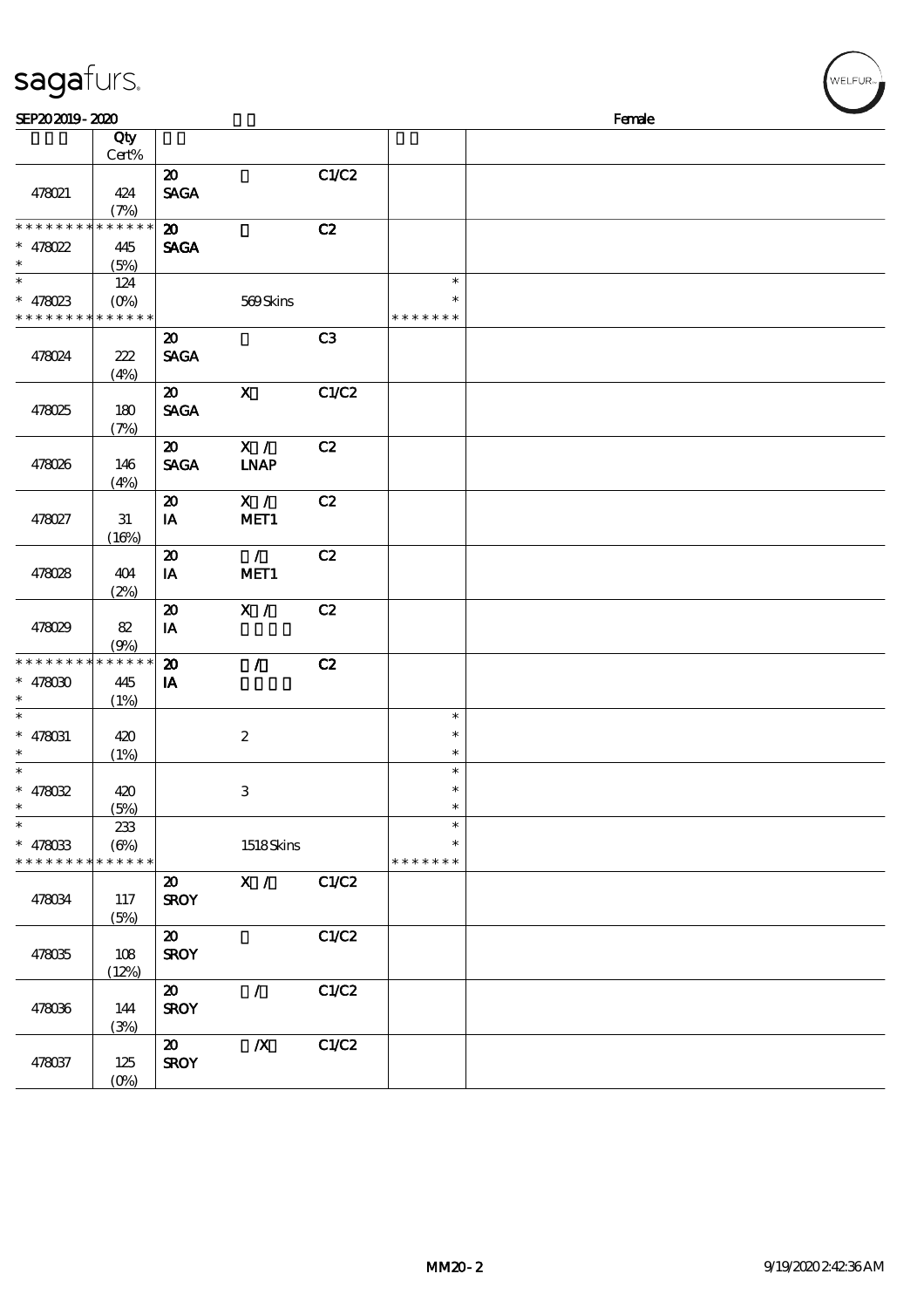| SEP202019-2020<br>Female<br>Qty<br>Cert%<br>$\boldsymbol{\mathsf{20}}$<br>C1/C2<br><b>SAGA</b><br>478021<br>424<br>(7%)<br>* * * * * * * * <mark>* * * * * * *</mark><br>$\boldsymbol{\mathfrak{D}}$<br>C2<br><b>SAGA</b><br>$* 478022$<br>445<br>(5%)<br>$\ast$<br>$\ast$<br>124<br>$* 478023$<br>569Skins<br>$(0\%)$<br>$\ast$<br>* * * * * * * * * * * * * *<br>* * * * * * *<br>C3<br>$\boldsymbol{\mathsf{20}}$<br><b>SAGA</b><br>478024<br>222<br>(4%)<br>C1/C2<br>$\mathbf{x}$<br>$\boldsymbol{\mathfrak{D}}$<br><b>SAGA</b><br>478025<br>180<br>(7%)<br>X /<br>C2<br>$\boldsymbol{\mathfrak{D}}$<br><b>SAGA</b><br><b>LNAP</b><br>478026<br>146<br>(4%)<br>X /<br>$\boldsymbol{\mathfrak{D}}$<br>C2<br>MET1<br>478027<br>31<br>IA<br>(16%)<br>$\mathcal{L}$<br>C2<br>$\boldsymbol{\mathfrak{D}}$<br>MET1<br>IA<br>478028<br>404<br>(2%)<br>X /<br>C2<br>$\boldsymbol{\mathbf{z}}$<br>$\mathbf{I}\mathbf{A}$<br>478029<br>82<br>(9%)<br>$******$<br>$\mathcal{L}$<br>C2<br>* * * * * * * *<br>$\boldsymbol{\mathfrak{D}}$<br>$* 478000$<br>445<br>IA<br>$\ast$<br>(1%)<br>$\ast$<br>$\ast$<br>$* 478031$<br>$\boldsymbol{2}$<br>420<br>$\ast$<br>$\ast$<br>$\ast$<br>(1%)<br>$\ast$<br>$\ast$<br>$* 478032$<br>3<br>420<br>*<br>$\ast$<br>$\ast$<br>(5%)<br>$\ast$<br>$\ast$<br>233<br>$(\Theta\%)$<br>1518Skins<br>$* 478033$<br>* * * * * * * * <mark>* * * * * *</mark><br>* * * * * * * | WELFUR <sub>™I</sub> |
|----------------------------------------------------------------------------------------------------------------------------------------------------------------------------------------------------------------------------------------------------------------------------------------------------------------------------------------------------------------------------------------------------------------------------------------------------------------------------------------------------------------------------------------------------------------------------------------------------------------------------------------------------------------------------------------------------------------------------------------------------------------------------------------------------------------------------------------------------------------------------------------------------------------------------------------------------------------------------------------------------------------------------------------------------------------------------------------------------------------------------------------------------------------------------------------------------------------------------------------------------------------------------------------------------------------------------------------------------------------------------------------------------|----------------------|
|                                                                                                                                                                                                                                                                                                                                                                                                                                                                                                                                                                                                                                                                                                                                                                                                                                                                                                                                                                                                                                                                                                                                                                                                                                                                                                                                                                                                    |                      |
|                                                                                                                                                                                                                                                                                                                                                                                                                                                                                                                                                                                                                                                                                                                                                                                                                                                                                                                                                                                                                                                                                                                                                                                                                                                                                                                                                                                                    |                      |
|                                                                                                                                                                                                                                                                                                                                                                                                                                                                                                                                                                                                                                                                                                                                                                                                                                                                                                                                                                                                                                                                                                                                                                                                                                                                                                                                                                                                    |                      |
|                                                                                                                                                                                                                                                                                                                                                                                                                                                                                                                                                                                                                                                                                                                                                                                                                                                                                                                                                                                                                                                                                                                                                                                                                                                                                                                                                                                                    |                      |
|                                                                                                                                                                                                                                                                                                                                                                                                                                                                                                                                                                                                                                                                                                                                                                                                                                                                                                                                                                                                                                                                                                                                                                                                                                                                                                                                                                                                    |                      |
|                                                                                                                                                                                                                                                                                                                                                                                                                                                                                                                                                                                                                                                                                                                                                                                                                                                                                                                                                                                                                                                                                                                                                                                                                                                                                                                                                                                                    |                      |
|                                                                                                                                                                                                                                                                                                                                                                                                                                                                                                                                                                                                                                                                                                                                                                                                                                                                                                                                                                                                                                                                                                                                                                                                                                                                                                                                                                                                    |                      |
|                                                                                                                                                                                                                                                                                                                                                                                                                                                                                                                                                                                                                                                                                                                                                                                                                                                                                                                                                                                                                                                                                                                                                                                                                                                                                                                                                                                                    |                      |
|                                                                                                                                                                                                                                                                                                                                                                                                                                                                                                                                                                                                                                                                                                                                                                                                                                                                                                                                                                                                                                                                                                                                                                                                                                                                                                                                                                                                    |                      |
|                                                                                                                                                                                                                                                                                                                                                                                                                                                                                                                                                                                                                                                                                                                                                                                                                                                                                                                                                                                                                                                                                                                                                                                                                                                                                                                                                                                                    |                      |
|                                                                                                                                                                                                                                                                                                                                                                                                                                                                                                                                                                                                                                                                                                                                                                                                                                                                                                                                                                                                                                                                                                                                                                                                                                                                                                                                                                                                    |                      |
|                                                                                                                                                                                                                                                                                                                                                                                                                                                                                                                                                                                                                                                                                                                                                                                                                                                                                                                                                                                                                                                                                                                                                                                                                                                                                                                                                                                                    |                      |
|                                                                                                                                                                                                                                                                                                                                                                                                                                                                                                                                                                                                                                                                                                                                                                                                                                                                                                                                                                                                                                                                                                                                                                                                                                                                                                                                                                                                    |                      |
|                                                                                                                                                                                                                                                                                                                                                                                                                                                                                                                                                                                                                                                                                                                                                                                                                                                                                                                                                                                                                                                                                                                                                                                                                                                                                                                                                                                                    |                      |
|                                                                                                                                                                                                                                                                                                                                                                                                                                                                                                                                                                                                                                                                                                                                                                                                                                                                                                                                                                                                                                                                                                                                                                                                                                                                                                                                                                                                    |                      |
|                                                                                                                                                                                                                                                                                                                                                                                                                                                                                                                                                                                                                                                                                                                                                                                                                                                                                                                                                                                                                                                                                                                                                                                                                                                                                                                                                                                                    |                      |
|                                                                                                                                                                                                                                                                                                                                                                                                                                                                                                                                                                                                                                                                                                                                                                                                                                                                                                                                                                                                                                                                                                                                                                                                                                                                                                                                                                                                    |                      |
|                                                                                                                                                                                                                                                                                                                                                                                                                                                                                                                                                                                                                                                                                                                                                                                                                                                                                                                                                                                                                                                                                                                                                                                                                                                                                                                                                                                                    |                      |
|                                                                                                                                                                                                                                                                                                                                                                                                                                                                                                                                                                                                                                                                                                                                                                                                                                                                                                                                                                                                                                                                                                                                                                                                                                                                                                                                                                                                    |                      |
|                                                                                                                                                                                                                                                                                                                                                                                                                                                                                                                                                                                                                                                                                                                                                                                                                                                                                                                                                                                                                                                                                                                                                                                                                                                                                                                                                                                                    |                      |
|                                                                                                                                                                                                                                                                                                                                                                                                                                                                                                                                                                                                                                                                                                                                                                                                                                                                                                                                                                                                                                                                                                                                                                                                                                                                                                                                                                                                    |                      |
|                                                                                                                                                                                                                                                                                                                                                                                                                                                                                                                                                                                                                                                                                                                                                                                                                                                                                                                                                                                                                                                                                                                                                                                                                                                                                                                                                                                                    |                      |
|                                                                                                                                                                                                                                                                                                                                                                                                                                                                                                                                                                                                                                                                                                                                                                                                                                                                                                                                                                                                                                                                                                                                                                                                                                                                                                                                                                                                    |                      |
| X /<br>C1/C2<br>$\boldsymbol{\mathfrak{D}}$<br><b>SROY</b><br>478034<br>117<br>(5%)                                                                                                                                                                                                                                                                                                                                                                                                                                                                                                                                                                                                                                                                                                                                                                                                                                                                                                                                                                                                                                                                                                                                                                                                                                                                                                                |                      |
| C1/C2<br>$\boldsymbol{\mathfrak{D}}$<br><b>SROY</b><br>478035<br>108<br>(12%)                                                                                                                                                                                                                                                                                                                                                                                                                                                                                                                                                                                                                                                                                                                                                                                                                                                                                                                                                                                                                                                                                                                                                                                                                                                                                                                      |                      |
| $\mathcal{L}$<br>C1/C2<br>$\boldsymbol{\mathfrak{D}}$<br><b>SROY</b><br>478036<br>144<br>(3%)                                                                                                                                                                                                                                                                                                                                                                                                                                                                                                                                                                                                                                                                                                                                                                                                                                                                                                                                                                                                                                                                                                                                                                                                                                                                                                      |                      |
| $\boldsymbol{X}$<br>C1/C2<br>$\boldsymbol{\mathfrak{D}}$<br><b>SROY</b><br>478037<br>125<br>$(O\%)$                                                                                                                                                                                                                                                                                                                                                                                                                                                                                                                                                                                                                                                                                                                                                                                                                                                                                                                                                                                                                                                                                                                                                                                                                                                                                                |                      |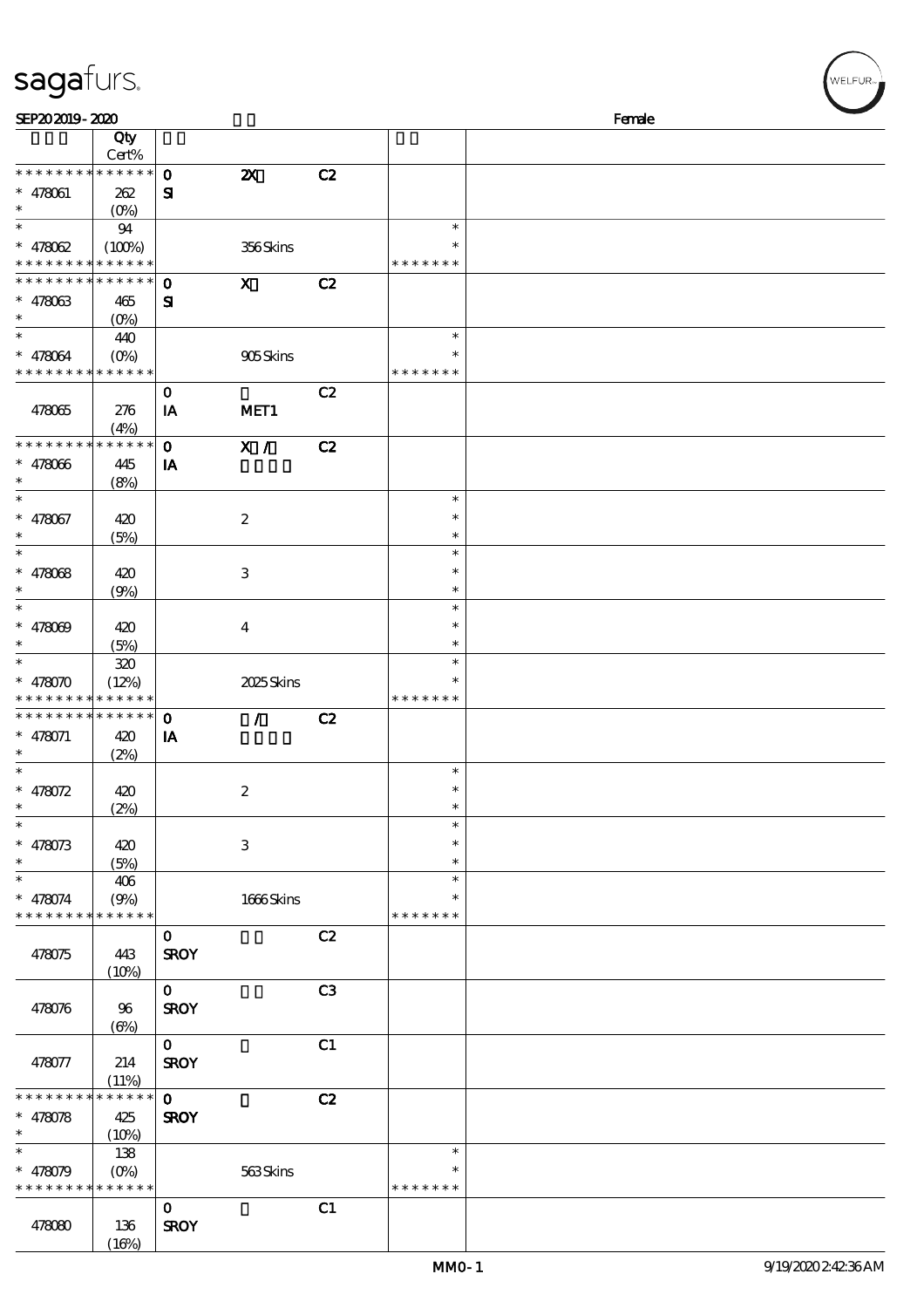### sagafurs.

| SEP202019-2020                                      |                               |                             |                           |    |                                      | Female |
|-----------------------------------------------------|-------------------------------|-----------------------------|---------------------------|----|--------------------------------------|--------|
|                                                     | Qty<br>Cert%                  |                             |                           |    |                                      |        |
| * * * * * * * *<br>$* 478061$<br>$\ast$             | * * * * * *<br>262<br>$(O_0)$ | $\mathbf 0$<br>${\bf s}$    | $\boldsymbol{\mathsf{X}}$ | C2 |                                      |        |
| $\ast$<br>$* 478062$<br>* * * * * * * *             | 94<br>(100%)<br>* * * * * *   |                             | 356Skins                  |    | $\ast$<br>* * * * * * *              |        |
| $*********$<br>$* 478063$<br>$\ast$                 | * * * * * *<br>465<br>$(O_0)$ | $\mathbf 0$<br>$\mathbf{S}$ | $\boldsymbol{\mathsf{X}}$ | C2 |                                      |        |
| $\ast$<br>$* 478064$<br>* * * * * * * * * * * * * * | 440<br>$(O\%)$                |                             | 905Skins                  |    | $\ast$<br>*<br>* * * * * * *         |        |
| 478065                                              | 276<br>(4%)                   | $\bf{0}$<br>IA              | MET <sub>1</sub>          | C2 |                                      |        |
| * * * * * * * *<br>$* 478066$<br>$\ast$<br>$\ast$   | * * * * * *<br>445<br>(8%)    | $\mathbf 0$<br>IA           | X /                       | C2 |                                      |        |
| $* 478067$<br>$\ast$<br>$\ast$                      | 420<br>(5%)                   |                             | $\boldsymbol{2}$          |    | $\ast$<br>$\ast$<br>$\ast$           |        |
| $* 478068$<br>$\ast$<br>$\ast$                      | 420<br>(9%)                   |                             | $\ensuremath{\mathbf{3}}$ |    | $\ast$<br>$\ast$<br>$\ast$<br>$\ast$ |        |
| $* 478009$<br>$\ast$<br>$\ast$                      | 420<br>(5%)                   |                             | $\bf{4}$                  |    | $\ast$<br>$\ast$<br>$\ast$           |        |
| $* 478070$<br>* * * * * * * *                       | 320<br>(12%)<br>* * * * * *   |                             | 2025Skins                 |    | $\ast$<br>* * * * * * *              |        |
| * * * * * * * *<br>$* 478071$<br>$\ast$             | ******<br>420<br>(2%)         | $\mathbf 0$<br>IA           | $\mathcal{L}$             | C2 |                                      |        |
| $\ast$<br>* $478072$<br>∗<br>$\ast$                 | 420<br>(2%)                   |                             | $\boldsymbol{2}$          |    | $\ast$<br>$\ast$                     |        |
| $* 478073$<br>$\ast$                                | 420<br>(5%)                   |                             | 3                         |    | $\ast$<br>$\ast$<br>$\ast$           |        |
| $\ast$<br>$* 478074$<br>* * * * * * * *             | 406<br>(9%)<br>* * * * * *    |                             | 1666Skins                 |    | $\ast$<br>$\ast$<br>* * * * * * *    |        |
| 478075                                              | 443<br>(10%)                  | $\mathbf{o}$<br><b>SROY</b> |                           | C2 |                                      |        |
| 478076                                              | 96<br>$(\Theta)$              | $\mathbf{O}$<br><b>SROY</b> |                           | C3 |                                      |        |
| 478077                                              | 214<br>(11%)                  | $\mathbf 0$<br><b>SROY</b>  |                           | C1 |                                      |        |
| * * * * * * * *<br>$* 478078$<br>$\ast$             | * * * * * *<br>425<br>(10%)   | $\mathbf 0$<br><b>SROY</b>  |                           | C2 |                                      |        |
| $* 478079$<br>* * * * * * * * * * * * * *           | 138<br>$(O\%)$                |                             | 563Skins                  |    | $\ast$<br>* * * * * * *              |        |
| 478080                                              | 136<br>(16%)                  | $\mathbf{o}$<br><b>SROY</b> |                           | C1 |                                      |        |

,<br>WELFUR<sub>™</sub>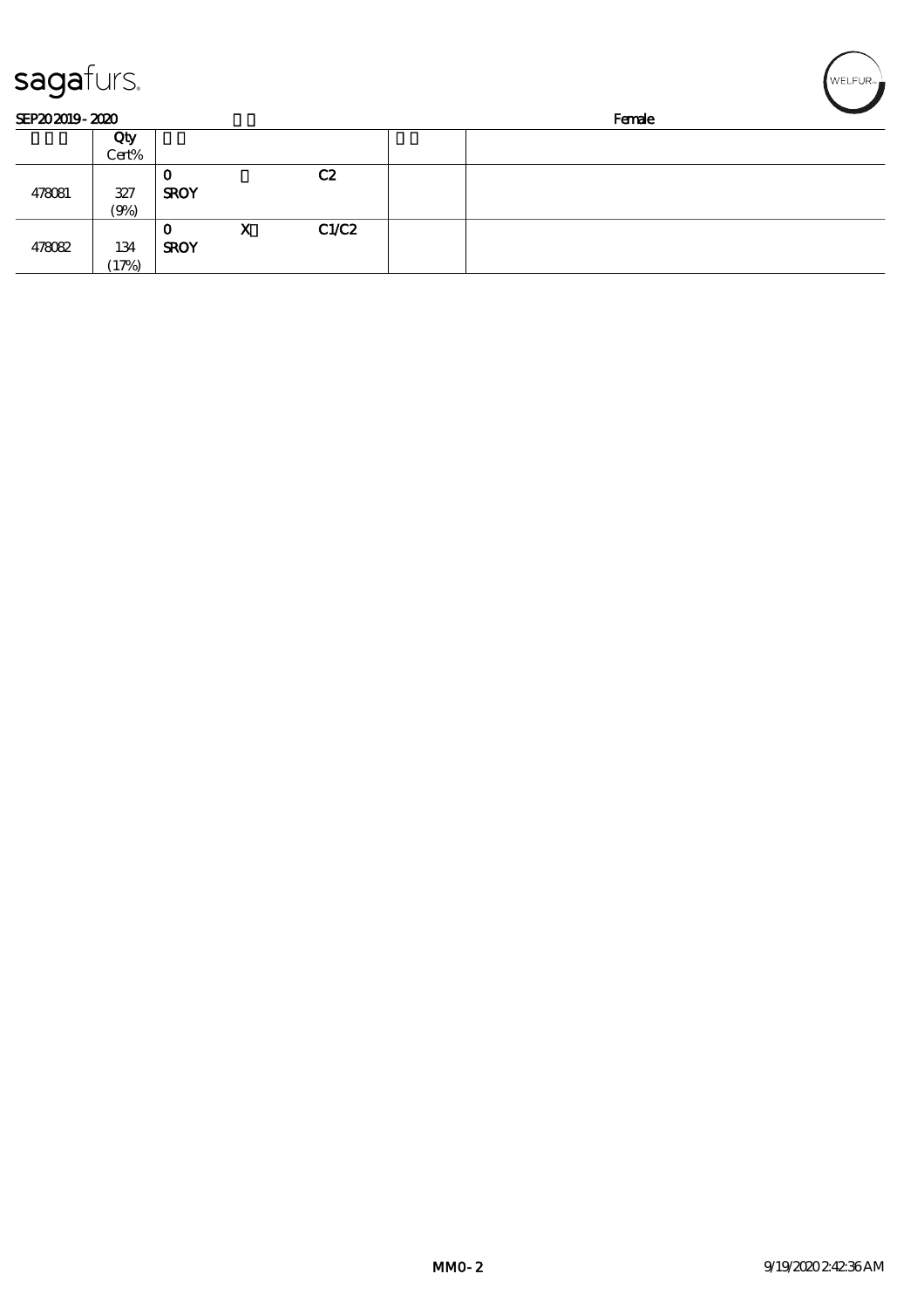| sagafurs.      |       |             |   |       |  |        | NELFUR <sub>™</sub> |
|----------------|-------|-------------|---|-------|--|--------|---------------------|
| SEP202019-2020 |       |             |   |       |  | Female |                     |
|                | Qty   |             |   |       |  |        |                     |
|                | Cert% |             |   |       |  |        |                     |
|                |       | 0           |   | C2    |  |        |                     |
| 478081         | 327   | <b>SROY</b> |   |       |  |        |                     |
|                | (9%)  |             |   |       |  |        |                     |
|                |       | $\mathbf 0$ | X | C1/C2 |  |        |                     |
| 478082         | 134   | <b>SROY</b> |   |       |  |        |                     |
|                | (17%) |             |   |       |  |        |                     |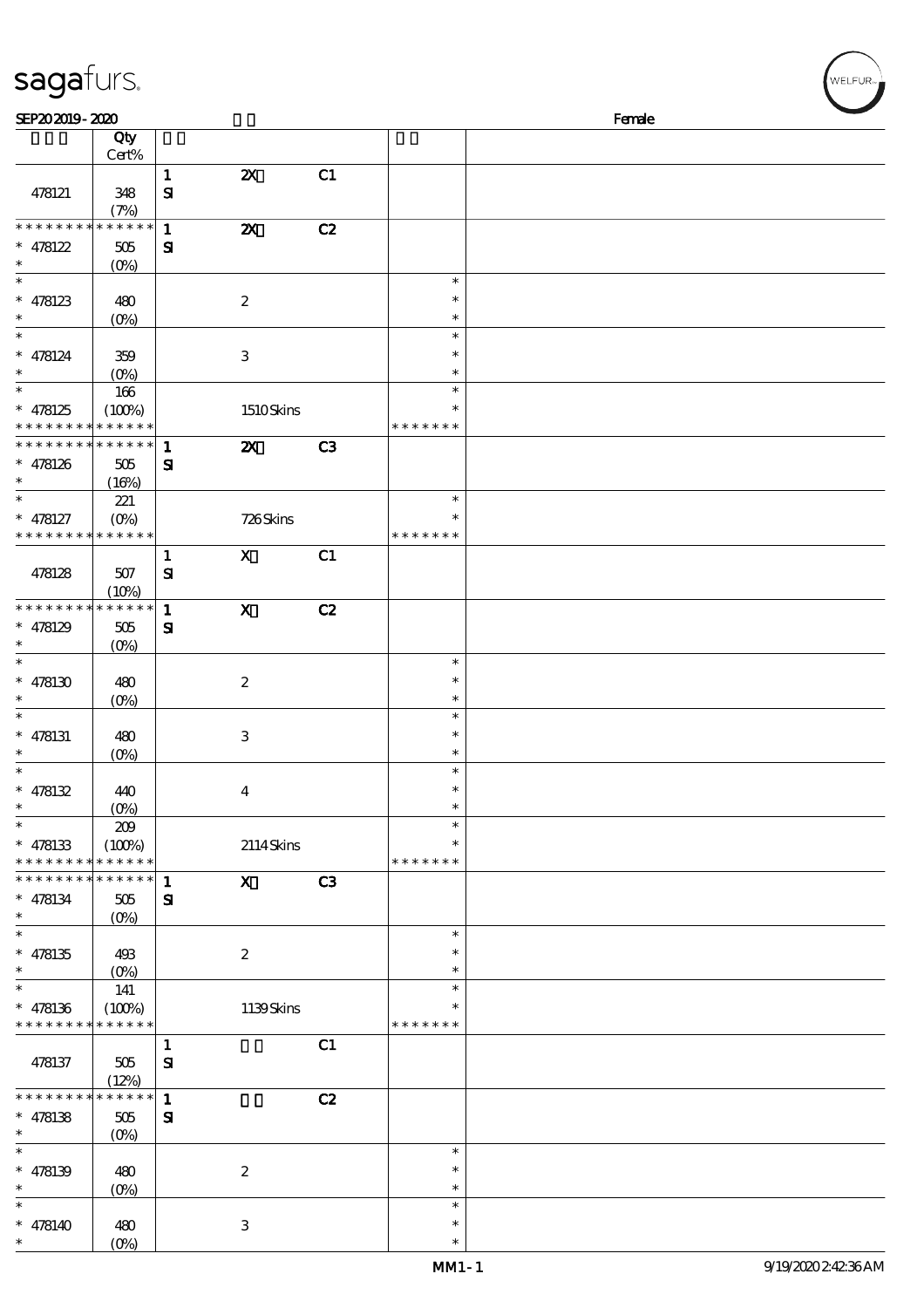| sagafurs.                                                          |                                         |                              |                           |                |                                   |        | .<br>WELFUR <sub>™I</sub> |
|--------------------------------------------------------------------|-----------------------------------------|------------------------------|---------------------------|----------------|-----------------------------------|--------|---------------------------|
| SEP202019-2020                                                     |                                         |                              |                           |                |                                   | Female |                           |
|                                                                    | Qty<br>Cert%                            |                              |                           |                |                                   |        |                           |
| 478121                                                             | 348                                     | $\mathbf{1}$<br>$\mathbf{S}$ | $\boldsymbol{\mathsf{z}}$ | C1             |                                   |        |                           |
| * * * * * * * * * * * * * *                                        | (7%)                                    | $\mathbf 1$                  | $\boldsymbol{\mathsf{z}}$ | C2             |                                   |        |                           |
| $* 478122$<br>$\ast$                                               | 505<br>(O <sub>0</sub> )                | ${\bf s}$                    |                           |                |                                   |        |                           |
| $\ast$<br>$* 478123$                                               | 480                                     |                              | $\boldsymbol{2}$          |                | $\ast$<br>$\ast$                  |        |                           |
| $\ast$                                                             | (O <sub>0</sub> )                       |                              |                           |                | $\ast$<br>$\ast$                  |        |                           |
| $* 478124$<br>$\ast$                                               | 359<br>$(O\%)$                          |                              | $\,3\,$                   |                | $\ast$<br>$\ast$                  |        |                           |
| $\ast$<br>$* 478125$<br>* * * * * * * *                            | 166<br>(100%)<br>* * * * * *            |                              | 1510Skins                 |                | $\ast$<br>$\ast$<br>* * * * * * * |        |                           |
| * * * * * * * * <mark>* * * * * * *</mark><br>$* 478126$<br>$\ast$ | 505                                     | $\mathbf{1}$<br>$\mathbf{S}$ | $\boldsymbol{\mathsf{X}}$ | C3             |                                   |        |                           |
| $\ast$<br>$* 478127$                                               | (16%)<br>221<br>$(O\%)$                 |                              | 726Skins                  |                | $\ast$<br>∗                       |        |                           |
| * * * * * * * * * * * * * *                                        |                                         | $\mathbf{1}$                 | $\mathbf{X}$              | C1             | * * * * * * *                     |        |                           |
| 478128                                                             | $507$<br>(10%)                          | ${\bf s}$                    |                           |                |                                   |        |                           |
| * * * * * * * *<br>$* 478129$                                      | * * * * * *<br>$505\,$                  | $\mathbf{1}$<br>$\mathbf{S}$ | $\mathbf x$               | C2             |                                   |        |                           |
| $\ast$                                                             | (O <sub>0</sub> )                       |                              |                           |                | $\ast$                            |        |                           |
| $* 478130$<br>$\ast$                                               | 480<br>$(O\%)$                          |                              | $\boldsymbol{2}$          |                | $\ast$<br>$\ast$                  |        |                           |
| $\ast$<br>$* 478131$<br>$\ast$                                     | 480<br>$(0\%)$                          |                              | $\,3$                     |                | $\ast$<br>$\ast$<br>$\ast$        |        |                           |
| $\ast$<br>$* 478132$                                               | 440                                     |                              | $\boldsymbol{4}$          |                | $\ast$<br>∗                       |        |                           |
| $\ast$<br>$\ast$<br>$* 478133$                                     | $(O\%)$<br>209<br>(100%)                |                              | 2114Skins                 |                | $\ast$<br>$\ast$<br>∗             |        |                           |
| * * * * * * * * * * * * * *<br>* * * * * * * *                     | * * * * * *                             | $\mathbf{1}$                 | $\mathbf{X}$              | C <sub>3</sub> | * * * * * * *                     |        |                           |
| $* 478134$<br>$\ast$                                               | 505<br>$(O\%)$                          | ${\bf s}$                    |                           |                |                                   |        |                           |
| $\ast$<br>$* 478135$<br>$\ast$                                     | 493<br>$(O\%)$                          |                              | $\boldsymbol{2}$          |                | $\ast$<br>$\ast$<br>$\ast$        |        |                           |
| $\ast$<br>$* 478136$<br>* * * * * * * *                            | 141<br>(100%)<br>* * * * * *            |                              | 1139Skins                 |                | $\ast$<br>$\ast$<br>* * * * * * * |        |                           |
| 478137                                                             | 505<br>(12%)                            | $\mathbf{1}$<br>${\bf S}$    |                           | C1             |                                   |        |                           |
| * * * * * * * *<br>$* 478138$<br>$\ast$                            | * * * * * *<br>505<br>(O <sub>0</sub> ) | $\mathbf{1}$<br>$\mathbf{S}$ |                           | C2             |                                   |        |                           |
| $\overline{\phantom{0}}$<br>$* 478139$<br>$\ast$                   | 480                                     |                              | $\boldsymbol{2}$          |                | $\ast$<br>$\ast$<br>$\ast$        |        |                           |
| $\ast$<br>$* 478140$                                               | $(0\%)$<br>480                          |                              | 3                         |                | $\ast$<br>$\ast$                  |        |                           |
| $\ast$                                                             | $(O\%)$                                 |                              |                           |                | $\ast$                            |        |                           |

(0%)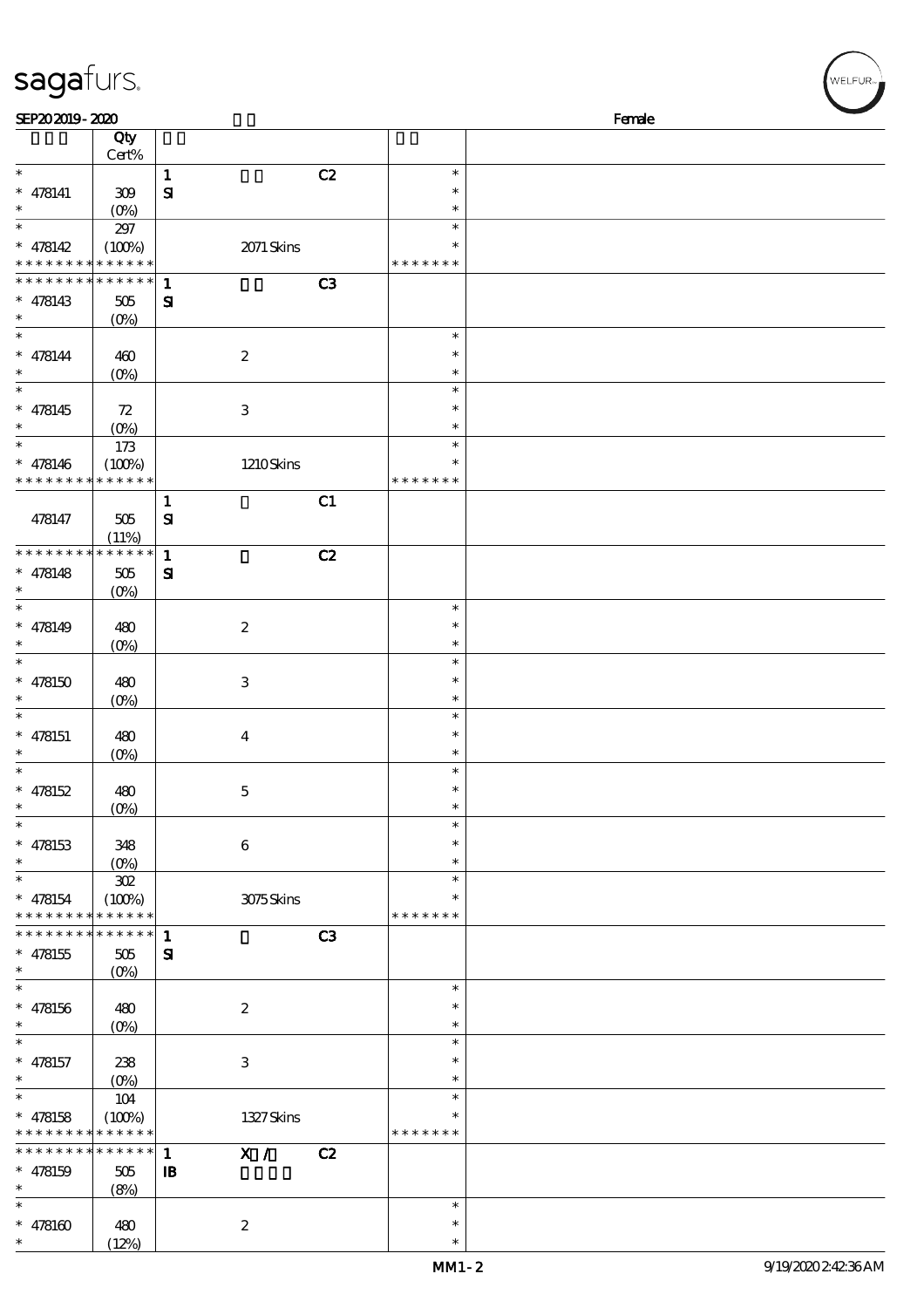| sagafurs.                                                        |                                         |                                     |               |                                      | WELFUR <sub>™</sub> |
|------------------------------------------------------------------|-----------------------------------------|-------------------------------------|---------------|--------------------------------------|---------------------|
| SEP202019-2020                                                   |                                         |                                     |               | Female                               |                     |
|                                                                  | Qty<br>Cert%                            |                                     |               |                                      |                     |
| $\ast$<br>$* 478141$<br>$\ast$                                   | 309<br>$(0\%)$                          | $\mathbf{1}$<br>$\mathbf{S}$        | C2            | $\ast$<br>$\ast$<br>$\ast$           |                     |
| $\ast$<br>$* 478142$<br>* * * * * * * * <mark>* * * * * *</mark> | 297<br>(100%)                           | 2071 Skins                          | * * * * * * * | $\ast$<br>$\ast$                     |                     |
| * * * * * * * * * * * * * *<br>$* 478143$<br>$\ast$              | 505<br>(0%)                             | $\mathbf{1}$<br>${\bf s}$           | C3            |                                      |                     |
| $\ast$<br>$* 478144$<br>$\ast$<br>$\ast$                         | 460<br>$(0\%)$                          | $\boldsymbol{2}$                    |               | $\ast$<br>$\ast$<br>$\ast$           |                     |
| $* 478145$                                                       | 72<br>$(0\%)$                           | $\,3$                               |               | $\ast$<br>$\ast$<br>$\ast$           |                     |
| $\ast$<br>$* 478146$<br>* * * * * * * *                          | $173$<br>(100%)<br>* * * * * *          | 1210Skins                           | * * * * * * * | $\ast$<br>$\ast$                     |                     |
| 478147                                                           | 505<br>(11%)                            | $\mathbf{1}$<br>${\bf S}$           | C1            |                                      |                     |
| * * * * * * * *<br>$* 478148$<br>$\ast$                          | * * * * * *<br>505<br>$(0\%)$           | $\mathbf{1}$<br>$\mathbf{S}$        | C2            |                                      |                     |
| $\ast$<br>$* 478149$<br>$\ast$                                   | 480<br>$(O\%)$                          | $\boldsymbol{2}$                    |               | $\ast$<br>$\ast$<br>$\ast$<br>$\ast$ |                     |
| $* 478150$                                                       | 480<br>$(0\%)$                          | $\,3$                               |               | $\ast$<br>$\ast$                     |                     |
| $\ast$<br>$* 478151$<br>$\ast$                                   | 480<br>(0%)                             | $\boldsymbol{4}$                    |               | $\ast$<br>$\ast$<br>$\ast$           |                     |
| $\ast$<br>$* 478152$<br>$\ast$                                   | 480<br>$(O\%)$                          | $\mathbf 5$                         |               | $\ast$<br>$\ast$<br>$\ast$           |                     |
| $\ast$<br>$* 478153$<br>$\ast$                                   | 348<br>$(O\%)$                          | 6                                   |               | $\ast$<br>$\ast$<br>$\ast$           |                     |
| $\ast$<br>$* 478154$<br>* * * * * * * * * * * * * *              | $302\,$<br>(100%)                       | 3075Skins                           | * * * * * * * | $\ast$<br>*                          |                     |
| * * * * * * * *<br>$* 478155$<br>$\ast$                          | * * * * * *<br>505<br>(O <sub>0</sub> ) | $\mathbf{1}$<br>${\bf s}$           | C3            |                                      |                     |
| $\ast$<br>$* 478156$<br>$\ast$                                   | 480<br>$(0\%)$                          | $\boldsymbol{2}$                    |               | $\ast$<br>$\ast$<br>$\ast$           |                     |
| $\ast$<br>$* 478157$<br>$\ast$                                   | 238<br>$(O\%)$                          | $\,3$                               |               | $\ast$<br>$\ast$<br>$\ast$           |                     |
| $\ast$<br>* $478158$<br>* * * * *                                | 104<br>(100%)<br>* * * * * *            | 1327Skins                           | * * * * * * * | $\ast$<br>$\ast$                     |                     |
| * * * * * * * *<br>$* 478159$<br>$\ast$                          | * * * * * *<br>505<br>(8%)              | X /<br>$\mathbf{1}$<br>$\mathbf{B}$ | C2            |                                      |                     |
| $\ast$<br>$* 478160$<br>$\ast$                                   | 480<br>(12%)                            | $\boldsymbol{2}$                    |               | $\ast$<br>$\ast$<br>$\ast$           |                     |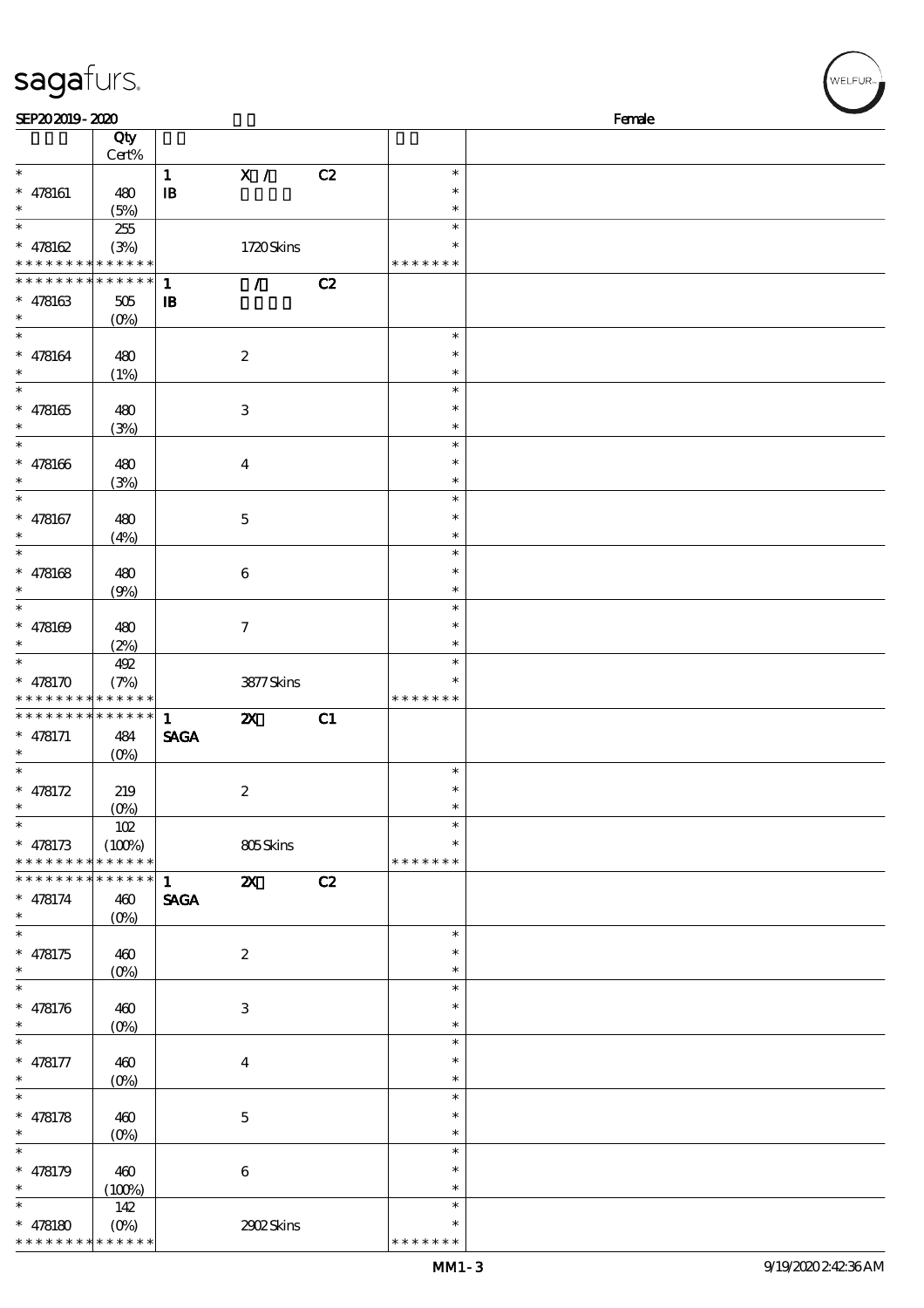| SEP202019-2020                           |                 |              |                           |    |               | Female |
|------------------------------------------|-----------------|--------------|---------------------------|----|---------------|--------|
|                                          | Qty             |              |                           |    |               |        |
|                                          | $Cert\%$        |              |                           |    |               |        |
| $\ast$                                   |                 | $\mathbf{1}$ | X /                       | C2 | $\ast$        |        |
| $* 478161$                               | 480             | $\mathbf{B}$ |                           |    | $\ast$        |        |
| $\ast$                                   |                 |              |                           |    | $\ast$        |        |
| $\ast$                                   | (5%)            |              |                           |    | $\ast$        |        |
|                                          | 255             |              |                           |    |               |        |
| $* 478162$                               | (3%)            |              | 1720Skins                 |    | ∗             |        |
| * * * * * * * * <mark>* * * * * *</mark> |                 |              |                           |    | * * * * * * * |        |
| * * * * * * * *                          | * * * * * *     | $\mathbf{1}$ | $\mathcal{L}$             | C2 |               |        |
| $* 478163$                               | $505\,$         | $\mathbf{B}$ |                           |    |               |        |
| $\ast$                                   | $(O\%)$         |              |                           |    |               |        |
| $\ast$                                   |                 |              |                           |    | $\ast$        |        |
| $* 478164$                               | 480             |              | $\boldsymbol{2}$          |    | $\ast$        |        |
| $\ast$                                   | (1%)            |              |                           |    | $\ast$        |        |
| $\ast$                                   |                 |              |                           |    | $\ast$        |        |
|                                          |                 |              |                           |    | $\ast$        |        |
| $* 478165$<br>$\ast$                     | 480             |              | 3                         |    | $\ast$        |        |
| $\ast$                                   | (3%)            |              |                           |    |               |        |
|                                          |                 |              |                           |    | $\ast$        |        |
| $* 478166$                               | 480             |              | $\bf{4}$                  |    | $\ast$        |        |
| $\ast$                                   | (3%)            |              |                           |    | $\ast$        |        |
| $\ast$                                   |                 |              |                           |    | $\ast$        |        |
| $* 478167$                               | 480             |              | $\mathbf 5$               |    | $\ast$        |        |
| $\ast$                                   | (4%)            |              |                           |    | $\ast$        |        |
| $\ast$                                   |                 |              |                           |    | $\ast$        |        |
| $* 478168$                               | 480             |              | $\boldsymbol{6}$          |    | $\ast$        |        |
| $\ast$                                   | (9%)            |              |                           |    | $\ast$        |        |
| $\ast$                                   |                 |              |                           |    | $\ast$        |        |
|                                          |                 |              |                           |    | $\ast$        |        |
| $* 478169$                               | 480             |              | $\tau$                    |    |               |        |
| $\ast$                                   | (2%)            |              |                           |    | $\ast$        |        |
| $\ast$                                   | 492             |              |                           |    | $\ast$        |        |
| $* 478170$                               | (7%)            |              | 3877Skins                 |    |               |        |
| * * * * * * * * <mark>* * * * * *</mark> |                 |              |                           |    | * * * * * * * |        |
| * * * * * * * *                          | $* * * * * * *$ | $\mathbf{1}$ | $\boldsymbol{\mathsf{z}}$ | C1 |               |        |
| $* 478171$                               | 484             | <b>SAGA</b>  |                           |    |               |        |
| $\ast$                                   | $(O\%)$         |              |                           |    |               |        |
| $\ast$                                   |                 |              |                           |    | $\ast$        |        |
| * $478172$                               | 219             |              | $\boldsymbol{2}$          |    | $\ast$        |        |
| $*$                                      | (0%)            |              |                           |    | $\ast$        |        |
| $\ast$                                   |                 |              |                           |    | $\ast$        |        |
|                                          | 102             |              |                           |    | $\ast$        |        |
| $* 478173$                               | (100%)          |              | 805Skins                  |    |               |        |
| * * * * * * * *                          | * * * * * *     |              |                           |    | * * * * * * * |        |
| * * * * * * *                            | * * * * * *     | $\mathbf{1}$ | $\boldsymbol{\mathsf{X}}$ | C2 |               |        |
| $* 478174$                               | 460             | <b>SAGA</b>  |                           |    |               |        |
| $\ast$                                   | $(O_0)$         |              |                           |    |               |        |
| $\ast$                                   |                 |              |                           |    | $\ast$        |        |
| $* 478175$                               | 460             |              | $\boldsymbol{z}$          |    | $\ast$        |        |
| $\ast$                                   | $(0\%)$         |              |                           |    | $\ast$        |        |
| $\overline{\ast}$                        |                 |              |                           |    | $\ast$        |        |
| $* 478176$                               | 460             |              | 3                         |    | $\ast$        |        |
| $\ast$                                   | $(0\%)$         |              |                           |    | $\ast$        |        |
| $\ast$                                   |                 |              |                           |    | $\ast$        |        |
| $* 478177$                               | 460             |              | $\boldsymbol{4}$          |    | $\ast$        |        |
| $\ast$                                   |                 |              |                           |    | $\ast$        |        |
| $\ast$                                   | $(O\!/\!o)$     |              |                           |    | $\ast$        |        |
|                                          |                 |              |                           |    |               |        |
| $* 478178$                               | 460             |              | $\bf 5$                   |    | $\ast$        |        |
| $\ast$                                   | $(O\!/\!o)$     |              |                           |    | $\ast$        |        |
| $\ast$                                   |                 |              |                           |    | $\ast$        |        |
| * $478179$                               | 460             |              | $\bf 6$                   |    | $\ast$        |        |
| $\ast$                                   | (100%)          |              |                           |    | $\ast$        |        |
| $\ast$                                   | 142             |              |                           |    | $\ast$        |        |
| * $478180$                               |                 |              | 2902Skins                 |    |               |        |
| * * * * * * * *                          | * * * * * *     |              |                           |    | * * * * * * * |        |

**ELFUR**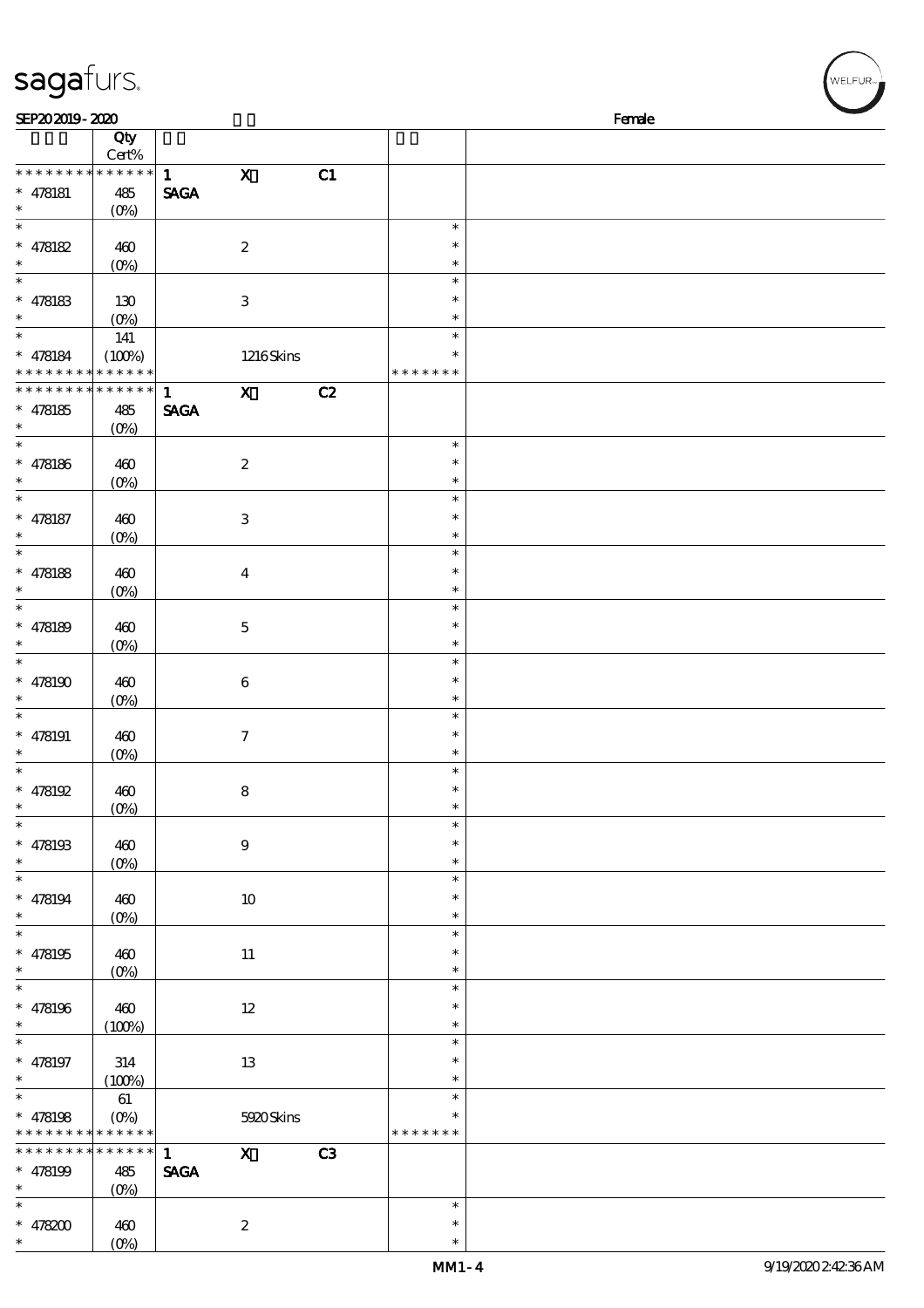| sagafurs.                          |                            |                             |                                                                                                                                                                                                                                                                                                                                 |    |                  | /<br>WELFUR <sub>™I</sub> |
|------------------------------------|----------------------------|-----------------------------|---------------------------------------------------------------------------------------------------------------------------------------------------------------------------------------------------------------------------------------------------------------------------------------------------------------------------------|----|------------------|---------------------------|
| SEP202019-2020                     |                            |                             |                                                                                                                                                                                                                                                                                                                                 |    |                  | Female                    |
|                                    | Qty<br>Cert%               |                             |                                                                                                                                                                                                                                                                                                                                 |    |                  |                           |
| * * * * * * * *                    | * * * * * *                | $\mathbf{1}$                | $\mathbf X$                                                                                                                                                                                                                                                                                                                     | C1 |                  |                           |
| $* 478181$                         | 485                        | <b>SAGA</b>                 |                                                                                                                                                                                                                                                                                                                                 |    |                  |                           |
| $\ast$                             | (O <sub>0</sub> )          |                             |                                                                                                                                                                                                                                                                                                                                 |    |                  |                           |
| $\ast$                             |                            |                             |                                                                                                                                                                                                                                                                                                                                 |    | $\ast$           |                           |
| $* 478182$<br>$\ast$               | 460                        |                             | $\boldsymbol{2}$                                                                                                                                                                                                                                                                                                                |    | $\ast$<br>$\ast$ |                           |
| $\ast$                             | $(0\%)$                    |                             |                                                                                                                                                                                                                                                                                                                                 |    | $\ast$           |                           |
| $* 478183$                         | 130                        |                             | $\,3$                                                                                                                                                                                                                                                                                                                           |    | $\ast$           |                           |
|                                    | (0%)                       |                             |                                                                                                                                                                                                                                                                                                                                 |    | $\ast$           |                           |
| $\ast$                             | 141                        |                             |                                                                                                                                                                                                                                                                                                                                 |    | $\ast$           |                           |
| $* 478184$                         | (100%)                     |                             | $1216$ Skins                                                                                                                                                                                                                                                                                                                    |    | $\ast$           |                           |
| * * * * * * * *<br>* * * * * * * * | * * * * * *<br>* * * * * * |                             |                                                                                                                                                                                                                                                                                                                                 |    | * * * * * * *    |                           |
| $* 478185$                         | 485                        | $\mathbf{1}$<br><b>SAGA</b> | $\mathbf{X}$                                                                                                                                                                                                                                                                                                                    | C2 |                  |                           |
| $\ast$                             | $(0\%)$                    |                             |                                                                                                                                                                                                                                                                                                                                 |    |                  |                           |
| $\ast$                             |                            |                             |                                                                                                                                                                                                                                                                                                                                 |    | $\ast$           |                           |
| $* 478186$                         | 460                        |                             | $\boldsymbol{2}$                                                                                                                                                                                                                                                                                                                |    | $\ast$           |                           |
| $\ast$                             | $(0\%)$                    |                             |                                                                                                                                                                                                                                                                                                                                 |    | $\ast$           |                           |
| $\ast$                             |                            |                             |                                                                                                                                                                                                                                                                                                                                 |    | $\ast$<br>$\ast$ |                           |
| $* 478187$<br>$\ast$               | 460<br>(0%)                |                             | $\,3$                                                                                                                                                                                                                                                                                                                           |    | $\ast$           |                           |
| $\ast$                             |                            |                             |                                                                                                                                                                                                                                                                                                                                 |    | $\ast$           |                           |
| $* 478188$                         | 460                        |                             | $\boldsymbol{4}$                                                                                                                                                                                                                                                                                                                |    | $\ast$           |                           |
| $\ast$                             | $(O\%)$                    |                             |                                                                                                                                                                                                                                                                                                                                 |    | $\ast$           |                           |
| $\ast$                             |                            |                             |                                                                                                                                                                                                                                                                                                                                 |    | $\ast$           |                           |
| $* 478189$                         | 460                        |                             | $\bf 5$                                                                                                                                                                                                                                                                                                                         |    | $\ast$           |                           |
| $\ast$                             | $(0\%)$                    |                             |                                                                                                                                                                                                                                                                                                                                 |    | $\ast$<br>$\ast$ |                           |
| $* 478190$                         | 460                        |                             | $\,6\,$                                                                                                                                                                                                                                                                                                                         |    | $\ast$           |                           |
|                                    | $(O\%)$                    |                             |                                                                                                                                                                                                                                                                                                                                 |    | $\ast$           |                           |
| $\ast$                             |                            |                             |                                                                                                                                                                                                                                                                                                                                 |    | $\ast$           |                           |
| $* 478191$                         | 460                        |                             | $\boldsymbol{7}$                                                                                                                                                                                                                                                                                                                |    | $\ast$           |                           |
| $\ast$                             | (0%)                       |                             |                                                                                                                                                                                                                                                                                                                                 |    | $\ast$           |                           |
| $\ast$                             |                            |                             |                                                                                                                                                                                                                                                                                                                                 |    | $\ast$<br>$\ast$ |                           |
| $* 478192$<br>$\ast$               | 460<br>$(O\!/\!o)$         |                             | 8                                                                                                                                                                                                                                                                                                                               |    | $\ast$           |                           |
| $\ast$                             |                            |                             |                                                                                                                                                                                                                                                                                                                                 |    | $\ast$           |                           |
| $* 478193$                         | 460                        |                             | $9\phantom{.0}$                                                                                                                                                                                                                                                                                                                 |    | $\ast$           |                           |
| $\ast$                             | $(0\%)$                    |                             |                                                                                                                                                                                                                                                                                                                                 |    | $\ast$           |                           |
| $\ast$                             |                            |                             |                                                                                                                                                                                                                                                                                                                                 |    | $\ast$           |                           |
| $* 478194$<br>$\ast$               | 460                        |                             | $10\,$                                                                                                                                                                                                                                                                                                                          |    | $\ast$<br>$\ast$ |                           |
| $\overline{\phantom{a}}$           | $(O\!\!\!\!\!\!\!/\,\!o)$  |                             |                                                                                                                                                                                                                                                                                                                                 |    | $\ast$           |                           |
| $* 478195$                         | 460                        |                             | $11\,$                                                                                                                                                                                                                                                                                                                          |    | $\ast$           |                           |
| $\ast$                             | $(0\%)$                    |                             |                                                                                                                                                                                                                                                                                                                                 |    | $\ast$           |                           |
| $\ast$                             |                            |                             |                                                                                                                                                                                                                                                                                                                                 |    | $\ast$           |                           |
| $* 478196$                         | 460                        |                             | $12\,$                                                                                                                                                                                                                                                                                                                          |    | $\ast$           |                           |
| $\ast$<br>$\ast$                   | (100%)                     |                             |                                                                                                                                                                                                                                                                                                                                 |    | $\ast$<br>$\ast$ |                           |
| $* 478197$                         | 314                        |                             | 13                                                                                                                                                                                                                                                                                                                              |    | $\ast$           |                           |
| $\ast$                             | (100%)                     |                             |                                                                                                                                                                                                                                                                                                                                 |    | $\ast$           |                           |
| $\ast$                             | 61                         |                             |                                                                                                                                                                                                                                                                                                                                 |    | $\ast$           |                           |
| * $478198$                         | (0%)                       |                             | 5920Skins                                                                                                                                                                                                                                                                                                                       |    | $\ast$           |                           |
|                                    | * * * * * * * * * * *      |                             |                                                                                                                                                                                                                                                                                                                                 |    | * * * * * * *    |                           |
| * * * * * * * *                    | * * * * * *                | $\mathbf{1}$                | $\mathbf x$ and $\mathbf x$ and $\mathbf x$ and $\mathbf x$ and $\mathbf x$ and $\mathbf x$ and $\mathbf x$ and $\mathbf x$ and $\mathbf x$ and $\mathbf x$ and $\mathbf x$ and $\mathbf x$ and $\mathbf x$ and $\mathbf x$ and $\mathbf x$ and $\mathbf x$ and $\mathbf x$ and $\mathbf x$ and $\mathbf x$ and $\mathbf x$ and | C3 |                  |                           |
| $* 478199$<br>$\ast$               | 485<br>$(O\%)$             | <b>SAGA</b>                 |                                                                                                                                                                                                                                                                                                                                 |    |                  |                           |
|                                    |                            |                             |                                                                                                                                                                                                                                                                                                                                 |    |                  |                           |

\* \*

\*

\*

\* 478200 460

 $(0%)$ 

2

 $(w$ elfur<sub>»</sub>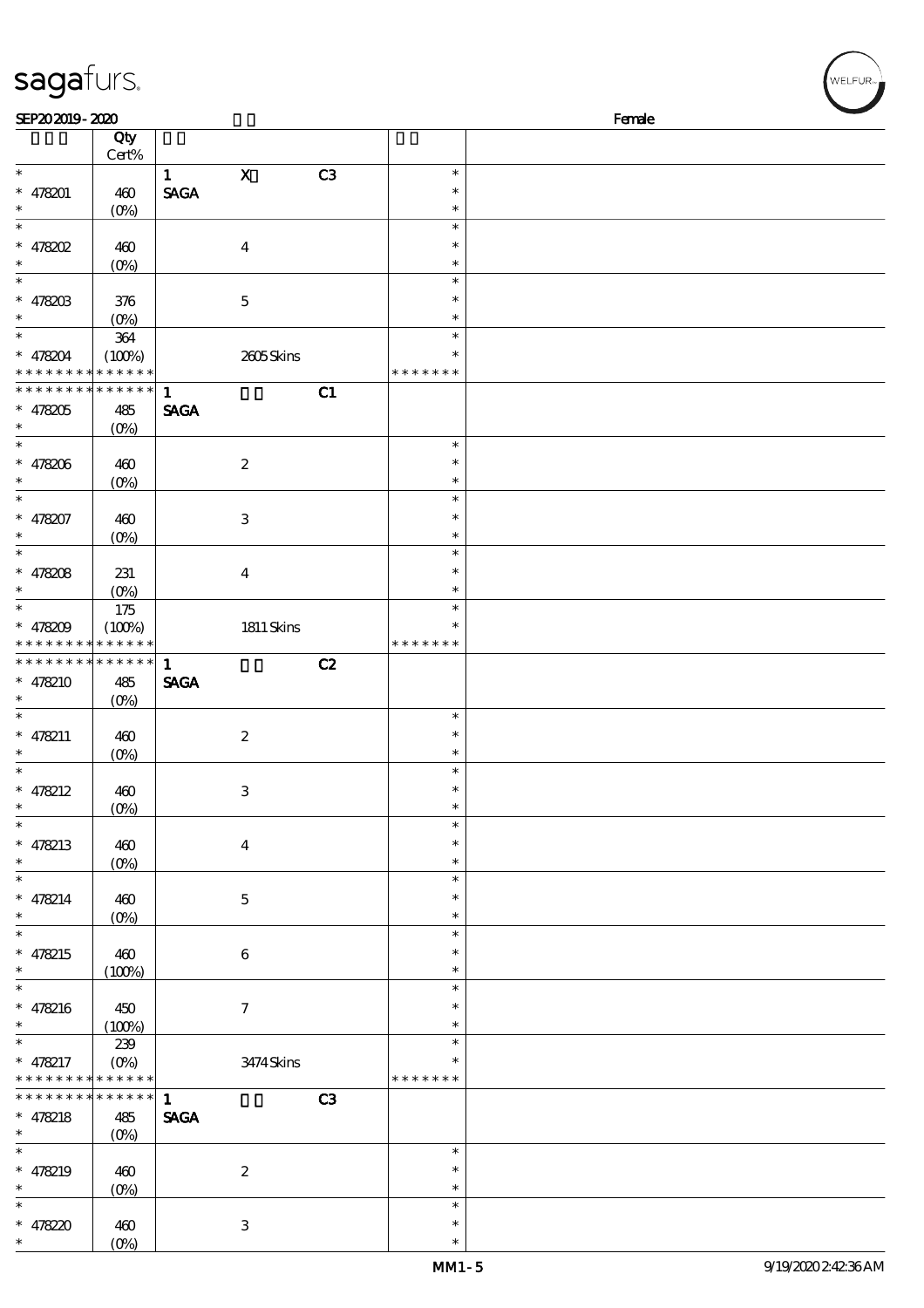| SEP202019-2020       |                    |              |                  |                |                    | Female |  |
|----------------------|--------------------|--------------|------------------|----------------|--------------------|--------|--|
|                      | Qty                |              |                  |                |                    |        |  |
|                      | Cert%              |              |                  |                |                    |        |  |
| $\ast$               |                    | $\mathbf{1}$ | $\mathbf X$      | C <sub>3</sub> | $\ast$             |        |  |
| $* 478201$           | 460                | <b>SAGA</b>  |                  |                | $\ast$             |        |  |
| $\ast$               | $(0\%)$            |              |                  |                | $\ast$             |        |  |
| $\ast$               |                    |              |                  |                | $\ast$             |        |  |
| $*$ 478202           | 460                |              | $\boldsymbol{4}$ |                | $\ast$             |        |  |
| $\ast$<br>$\ast$     | $(O\%)$            |              |                  |                | $\ast$             |        |  |
|                      |                    |              |                  |                | $\ast$<br>$\ast$   |        |  |
| * $478203$<br>$\ast$ | 376                |              | $\mathbf 5$      |                | $\ast$             |        |  |
| $\overline{\ast}$    | $(0\%)$<br>$364\,$ |              |                  |                | $\ast$             |        |  |
| * 478204             | (100%)             |              | 2605Skins        |                | $\ast$             |        |  |
| * * * * * * * *      | * * * * * *        |              |                  |                | * * * * * * *      |        |  |
| * * * * * * * *      | * * * * * *        | $\mathbf{1}$ |                  | C1             |                    |        |  |
| * 478205             | 485                | <b>SAGA</b>  |                  |                |                    |        |  |
| $\ast$               | $(O\%)$            |              |                  |                |                    |        |  |
| $\ast$               |                    |              |                  |                | $\ast$             |        |  |
| * 478206             | 460                |              | $\boldsymbol{2}$ |                | $\ast$             |        |  |
| $\ast$               | $(0\%)$            |              |                  |                | $\ast$             |        |  |
| $\overline{\ast}$    |                    |              |                  |                | $\ast$             |        |  |
| * 478207             | 460                |              | $\,3\,$          |                | $\ast$             |        |  |
| $\ast$               | $(0\%)$            |              |                  |                | $\ast$             |        |  |
| $\overline{\ast}$    |                    |              |                  |                | $\ast$             |        |  |
| $* 478208$           | 231                |              | $\boldsymbol{4}$ |                | $\ast$             |        |  |
| $\ast$               | $(O\%)$            |              |                  |                | $\ast$             |        |  |
| $\overline{\ast}$    | 175                |              |                  |                | $\ast$             |        |  |
| * $478209$           | (100%)             |              | $1811$ Skins     |                | $\ast$             |        |  |
| * * * * * * * *      | * * * * * *        |              |                  |                | * * * * *<br>$***$ |        |  |
| * * * * * * * *      | $******$           | $\mathbf{1}$ |                  | C2             |                    |        |  |
| $* 478210$           | 485                | <b>SAGA</b>  |                  |                |                    |        |  |
| $\ast$<br>$\ast$     | $(O\%)$            |              |                  |                |                    |        |  |
|                      |                    |              |                  |                | $\ast$<br>$\ast$   |        |  |
| * $478211$<br>$\ast$ | 460                |              | $\boldsymbol{2}$ |                | $\ast$             |        |  |
| $\ast$               | $(0\%)$            |              |                  |                | $\ast$             |        |  |
| * $478212$           | 460                |              | $\,3$            |                | $\ast$             |        |  |
| ∗                    | $(0\%)$            |              |                  |                | $\ast$             |        |  |
| $\ast$               |                    |              |                  |                | $\ast$             |        |  |
| * $478213$           | 460                |              | $\boldsymbol{4}$ |                | $\ast$             |        |  |
| $\ast$               | $(0\%)$            |              |                  |                | $\ast$             |        |  |
| $\ast$               |                    |              |                  |                | $\ast$             |        |  |
| $* 478214$           | 460                |              | $\mathbf 5$      |                | $\ast$             |        |  |
| $\ast$               | $(0\%)$            |              |                  |                | $\ast$             |        |  |
| ¥                    |                    |              |                  |                | $\ast$             |        |  |
| * $478215$           | 460                |              | $\bf 6$          |                | $\ast$             |        |  |
| $\ast$               | (100%)             |              |                  |                | $\ast$             |        |  |
| $\ast$               |                    |              |                  |                | $\ast$             |        |  |
| $* 478216$           | 450                |              | $\boldsymbol{7}$ |                | $\ast$             |        |  |
| *                    | (100%)             |              |                  |                | $\ast$             |        |  |
| $\ast$               | $239\,$            |              |                  |                | $\ast$             |        |  |
| * $478217$           | $(O\%)$            |              | 3474Skins        |                | $\ast$             |        |  |
| * * * * * * * *      | * * * * * *        |              |                  |                | * * * * * * *      |        |  |
| * * * * * * *        | * * * * * *        | $\mathbf{1}$ |                  | C3             |                    |        |  |
| $* 478218$<br>$\ast$ | 485                | <b>SAGA</b>  |                  |                |                    |        |  |
| $\ast$               | $(O\%)$            |              |                  |                | $\ast$             |        |  |
|                      |                    |              |                  |                | $\ast$             |        |  |
| * $478219$<br>*      | 460                |              | $\boldsymbol{2}$ |                | $\ast$             |        |  |
| $\ast$               | (0%)               |              |                  |                | $\ast$             |        |  |
|                      |                    |              |                  |                |                    |        |  |

\* \* 478220

sagafurs.

 $\frac{400}{(0\%)}$ 

3

,<br>WELFUR<sub>™</sub>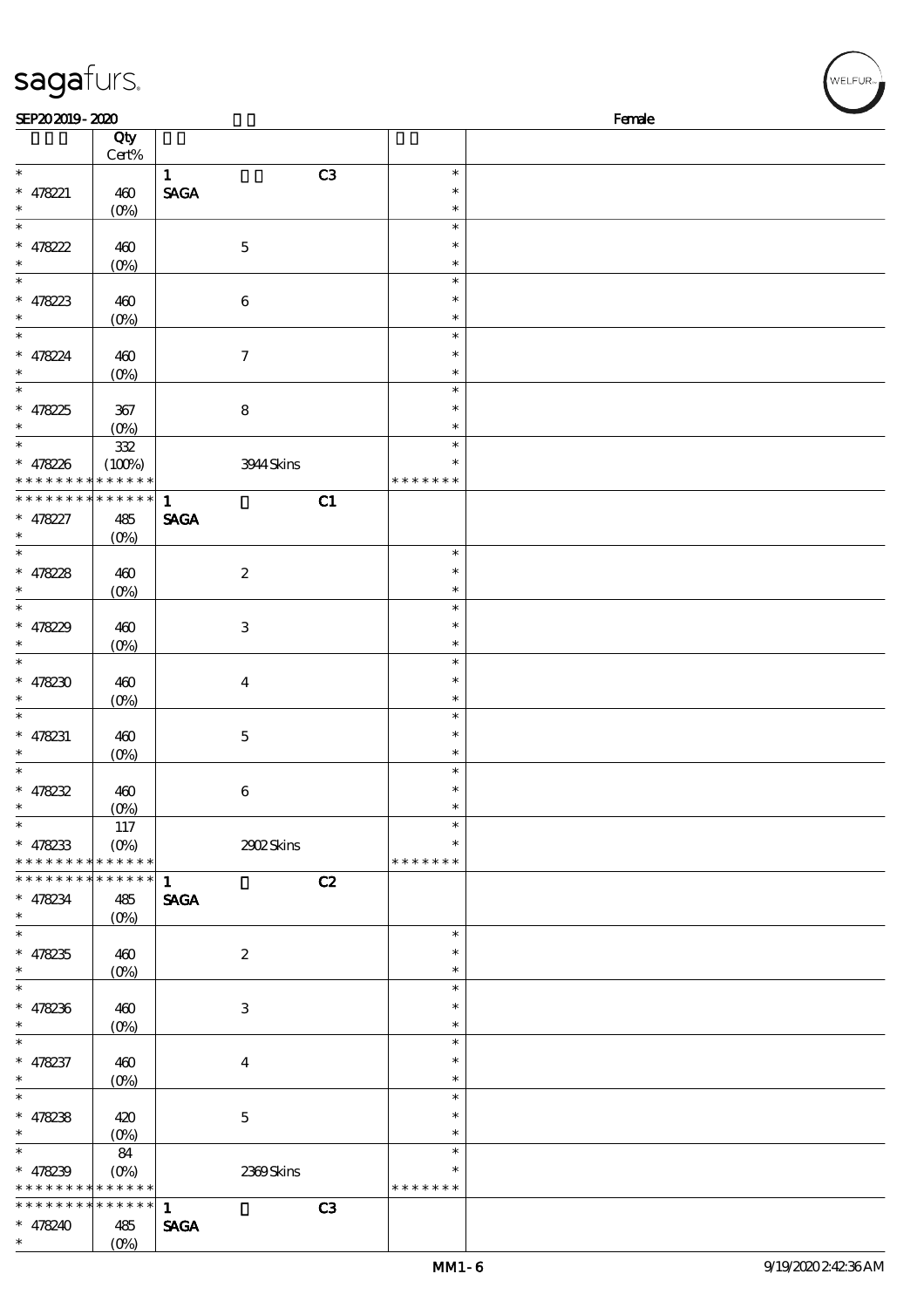| sagafurs.                                                          |                                               |                                                      |                                   |        | WELFUR <sub>™</sub> |
|--------------------------------------------------------------------|-----------------------------------------------|------------------------------------------------------|-----------------------------------|--------|---------------------|
| SEP202019-2020                                                     |                                               |                                                      |                                   | Female |                     |
|                                                                    | Qty<br>Cert%                                  |                                                      |                                   |        |                     |
| $\overline{\phantom{0}}$<br>$* 478221$<br>$\ast$                   | 460                                           | C3<br>$\mathbf{1}$<br>$\ensuremath{\mathsf{SAGA}}$   | $\ast$<br>$\ast$<br>$\ast$        |        |                     |
| $\ast$<br>$* 478222$                                               | $(O\%)$<br>460                                | $\mathbf 5$                                          | $\ast$<br>$\ast$                  |        |                     |
| $\ast$<br>$\ast$                                                   | $(0\%)$                                       |                                                      | $\ast$<br>$\ast$                  |        |                     |
| $* 478223$<br>$\ast$<br>$\ast$                                     | 460<br>(O <sub>0</sub> )                      | $\boldsymbol{6}$                                     | $\ast$<br>$\ast$<br>$\ast$        |        |                     |
| $* 478224$<br>$\ast$                                               | 460<br>$(O\!/\!o)$                            | $\boldsymbol{7}$                                     | $\ast$<br>$\ast$                  |        |                     |
| $\ast$<br>$* 47825$<br>$\ast$                                      | 367<br>$(0\%)$                                | $\bf 8$                                              | $\ast$<br>$\ast$<br>$\ast$        |        |                     |
| $\ast$<br>$* 478226$<br>* * * * * * * *                            | 332<br>(100%)<br>* * * * * *                  | 3944 Skins                                           | $\ast$<br>$\ast$<br>* * * * * * * |        |                     |
| * * * * * * * * * * * * * *                                        |                                               | C1<br>$\mathbf{1}$                                   |                                   |        |                     |
| $* 478227$<br>$\ast$<br>$\ast$                                     | 485<br>(0%)                                   | <b>SAGA</b>                                          | $\ast$                            |        |                     |
| $* 478228$<br>$\ast$                                               | 460<br>$(0\%)$                                | $\boldsymbol{2}$                                     | $\ast$<br>$\ast$                  |        |                     |
| $\ast$<br>* $47829$<br>$\ast$                                      | 460<br>$(0\%)$                                | $\,3$                                                | $\ast$<br>$\ast$<br>$\ast$        |        |                     |
| $\ast$<br>$* 478230$<br>$\ast$                                     | 460<br>$(0\%)$                                | $\boldsymbol{4}$                                     | $\ast$<br>$\ast$<br>$\ast$        |        |                     |
| $\ast$<br>$* 478231$<br>$\ast$                                     | 460<br>$(O\%)$                                | $\mathbf 5$                                          | $\ast$<br>$\ast$<br>$\ast$        |        |                     |
| $\ast$<br>$* 478232$<br>$\ast$                                     | 460<br>$(O\%)$                                | $\,6\,$                                              | $\ast$<br>$\ast$<br>$\ast$        |        |                     |
| $\ast$<br>$* 478233$<br>* * * * * * * * <mark>* * * * * *</mark> * | 117<br>$(O\%)$                                | 2902Skins                                            | $\ast$<br>$\ast$<br>* * * * * * * |        |                     |
| * * * * * * * *<br>$* 478234$<br>$\ast$                            | --<br>* * * * * *<br>485<br>(O <sub>0</sub> ) | $\mathbf{1}$<br>C2<br>$\operatorname{\mathbf{SAGA}}$ |                                   |        |                     |
| $\ast$<br>$* 478235$<br>$\ast$                                     | 460<br>$(O\!/\!o)$                            | $\boldsymbol{2}$                                     | $\ast$<br>$\ast$<br>$\ast$        |        |                     |
| $\ast$<br>$* 478236$<br>$\ast$                                     | 460<br>$(0\%)$                                | $\,3$                                                | $\ast$<br>$\ast$<br>$\ast$        |        |                     |
| $\ast$<br>$* 478237$<br>$\ast$                                     | 460<br>$(O\!/\!o)$                            | $\boldsymbol{4}$                                     | $\ast$<br>$\ast$<br>$\ast$        |        |                     |
| $\ast$<br>$* 478238$<br>$\ast$                                     | 420<br>(O <sub>0</sub> )                      | $\mathbf 5$                                          | $\ast$<br>$\ast$<br>$\ast$        |        |                     |
| $\overline{\ast}$<br>$* 478239$<br>* * * * * * * *                 | 84<br>$(O\%)$<br>* * * * * *                  | 2369Skins                                            | $\ast$<br>$\ast$<br>* * * * * * * |        |                     |
| * * * * * * * *<br>$* 478240$                                      | $******$<br>485                               | C <sub>3</sub><br>$\mathbf{1}$<br><b>SAGA</b>        |                                   |        |                     |

(0%)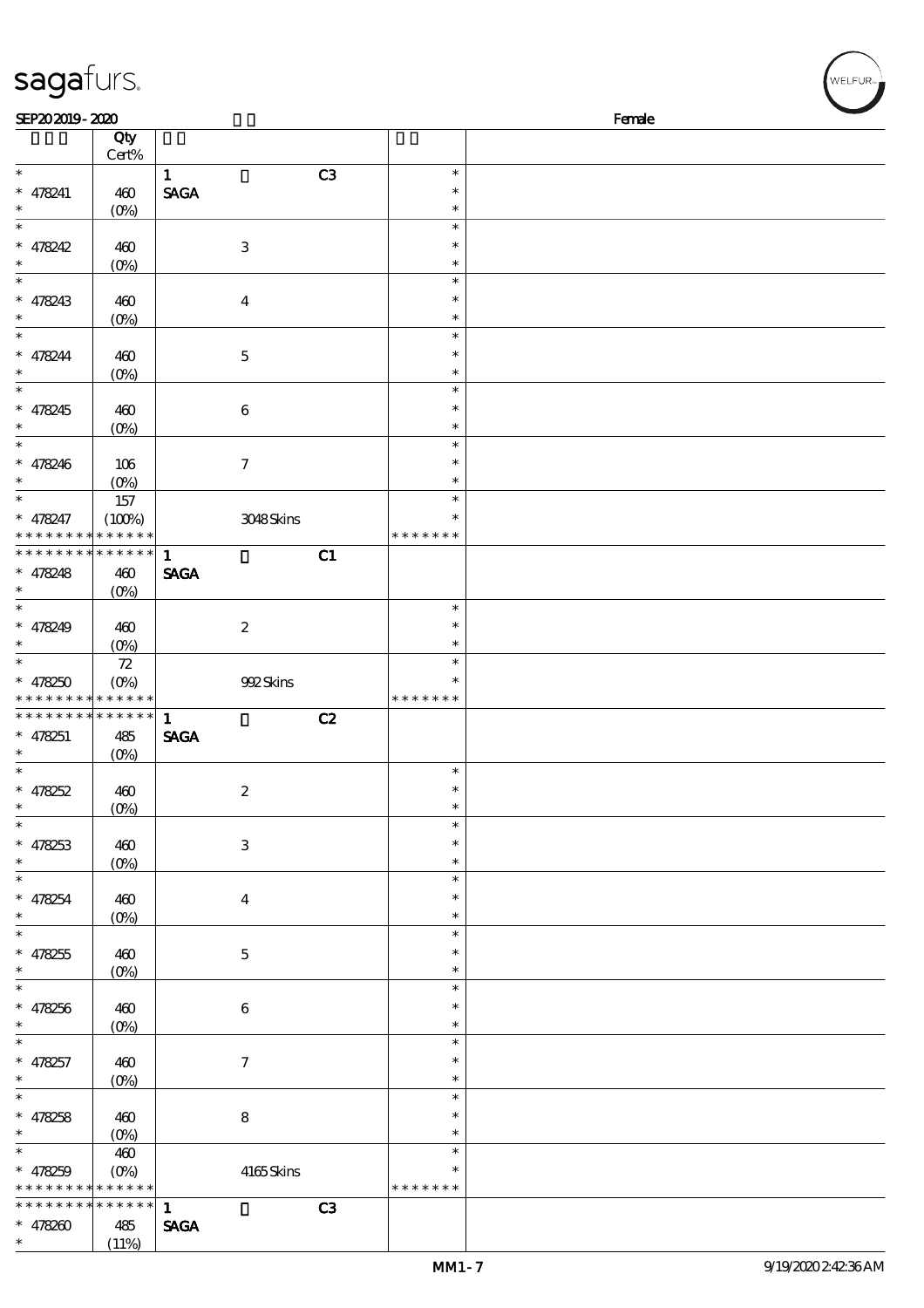| sagafurs.                                |                            |                                |                  | WELFUR <sub>"</sub> |
|------------------------------------------|----------------------------|--------------------------------|------------------|---------------------|
| SEP202019-2020                           |                            |                                |                  | Female              |
|                                          | Qty<br>$Cert\%$            |                                |                  |                     |
| $\overline{\phantom{0}}$                 |                            | C <sub>3</sub><br>$\mathbf{1}$ | $\ast$           |                     |
| $* 478241$                               | 460                        | <b>SAGA</b>                    | $\ast$           |                     |
| $\ast$<br>$\ast$                         | $(0\%)$                    |                                | $\ast$<br>$\ast$ |                     |
| $* 478242$                               | 460                        | $\ensuremath{\mathbf{3}}$      | $\ast$           |                     |
| $\ast$                                   | (O <sub>0</sub> )          |                                | $\ast$           |                     |
| $\ast$                                   |                            |                                | $\ast$           |                     |
| $* 478243$<br>$\ast$                     | 460<br>$(0\%)$             | $\boldsymbol{4}$               | $\ast$<br>$\ast$ |                     |
| $\ast$                                   |                            |                                | $\ast$           |                     |
| $* 478244$                               | 460                        | $\mathbf 5$                    | $\ast$           |                     |
| $\ast$                                   | $(0\%)$                    |                                | $\ast$           |                     |
| $\ast$<br>$* 478245$                     | 460                        | 6                              | $\ast$<br>$\ast$ |                     |
| $\ast$                                   | (O <sub>0</sub> )          |                                | $\ast$           |                     |
| $\ast$                                   |                            |                                | $\ast$           |                     |
| $* 478246$<br>$\ast$                     | $106$                      | $\boldsymbol{7}$               | $\ast$           |                     |
| $\overline{\ast}$                        | $(0\%)$<br>$157\,$         |                                | $\ast$<br>$\ast$ |                     |
| $* 478247$                               | (100%)                     | 3048Skins                      | $\ast$           |                     |
| * * * * * * * *                          | * * * * * *                |                                | * * * * * * *    |                     |
| * * * * * * * *                          | $******$                   | $\mathbf{1}$<br>C1             |                  |                     |
| $* 478248$<br>$\ast$                     | 460<br>(O <sub>0</sub> )   | $\operatorname{\mathsf{SAGA}}$ |                  |                     |
| $\ast$                                   |                            |                                | $\ast$           |                     |
| $* 478249$                               | 460                        | $\boldsymbol{2}$               | $\ast$           |                     |
| $\ast$<br>$\ast$                         | $(0\%)$                    |                                | $\ast$           |                     |
| $* 478250$                               | ${\bf Z}$<br>$(0\%)$       | 992Skins                       | $\ast$<br>$\ast$ |                     |
| * * * * * * * * <mark>* * * * * *</mark> |                            |                                | * * * * * * *    |                     |
| * * * * * * *                            | * * * * * *                | C2<br>$\mathbf{1}$             |                  |                     |
| $* 478251$<br>$\ast$                     | 485                        | <b>SAGA</b>                    |                  |                     |
| $\ast$                                   | $(O\%)$                    |                                | $\ast$           |                     |
| $* 478252$                               | 460                        | $\boldsymbol{2}$               | $\ast$           |                     |
| $\ast$                                   | $(0\%)$                    |                                | $\ast$           |                     |
| $\ast$<br>$* 478253$                     | 460                        | $\,3\,$                        | $\ast$<br>$\ast$ |                     |
| $\ast$                                   | $(0\%)$                    |                                | $\ast$           |                     |
| $\ast$                                   |                            |                                | $\ast$           |                     |
| $* 478254$                               | 460                        | $\boldsymbol{4}$               | $\ast$           |                     |
| $\ast$<br>$\ast$                         | $(0\%)$                    |                                | $\ast$<br>$\ast$ |                     |
| $* 478255$                               | 460                        | $\mathbf 5$                    | $\ast$           |                     |
| $\ast$                                   | $(0\%)$                    |                                | $\ast$           |                     |
| $\ast$                                   |                            |                                | $\ast$           |                     |
| $* 478256$<br>$\ast$                     | 460<br>$(0\%)$             | $\,6\,$                        | $\ast$<br>$\ast$ |                     |
| $\ast$                                   |                            |                                | $\ast$           |                     |
| $* 478257$                               | 460                        | $\boldsymbol{7}$               | $\ast$           |                     |
| $\ast$                                   | $(0\%)$                    |                                | $\ast$           |                     |
| $\ast$                                   | 460                        | $\bf 8$                        | $\ast$<br>$\ast$ |                     |
| $* 478258$<br>$\ast$                     | $(0\%)$                    |                                | $\ast$           |                     |
| $\ast$                                   | 460                        |                                | $\ast$           |                     |
| $* 478259$                               | $(O\!/\!\!\delta)$         | $4165$ Skins                   | $\ast$           |                     |
| * * * * * * *                            | * * * * * *<br>* * * * * * | C3<br>$\mathbf{1}$             | * * * * * * *    |                     |
| $* 478200$                               | 485                        | <b>SAGA</b>                    |                  |                     |

 $(11%)$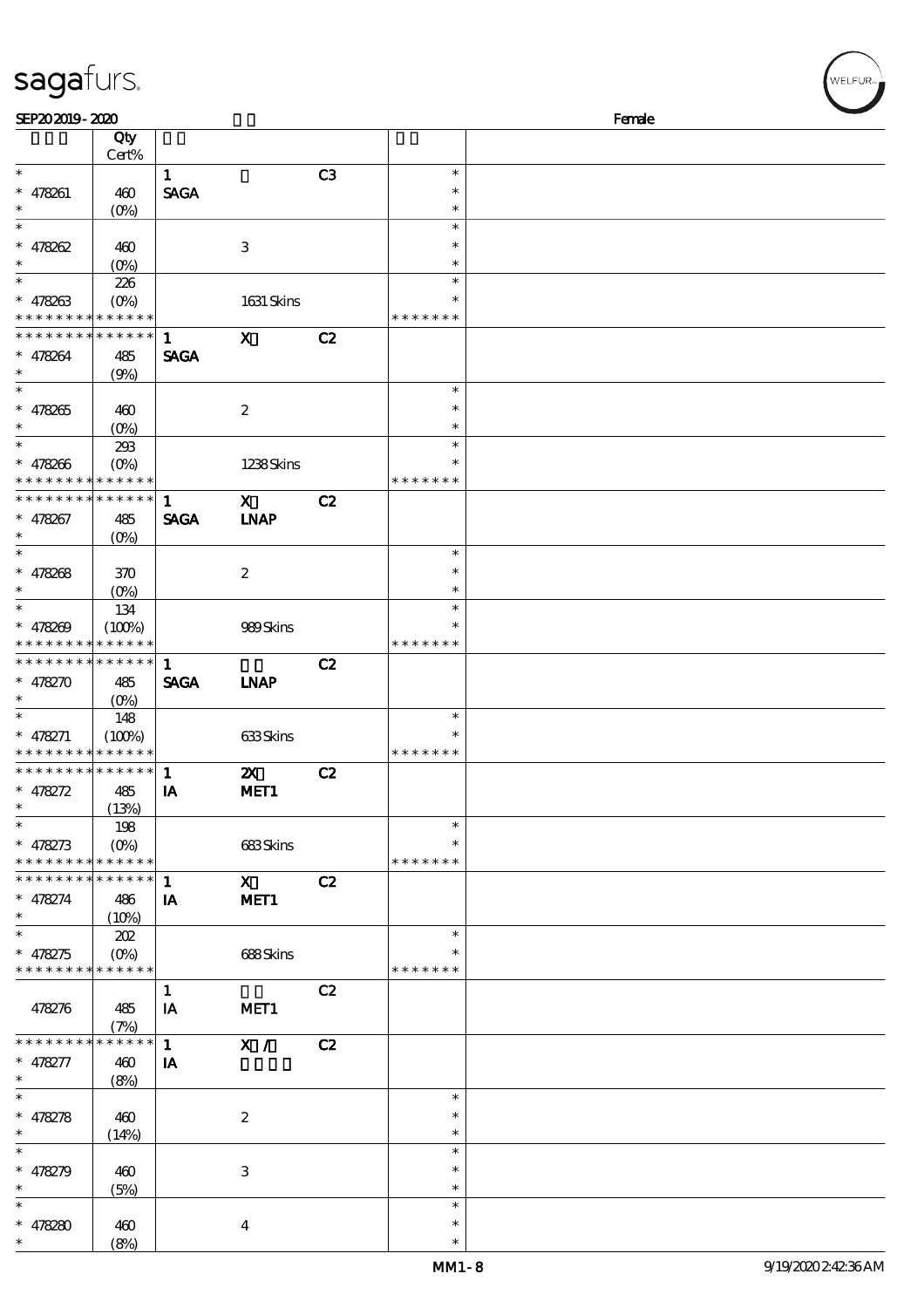| SEP202019-2020                |                       |              |                           |    |               | Female |
|-------------------------------|-----------------------|--------------|---------------------------|----|---------------|--------|
|                               | Qty                   |              |                           |    |               |        |
|                               | Cert%                 |              |                           |    |               |        |
| $\ast$                        |                       | $\mathbf{1}$ |                           | C3 | $\ast$        |        |
| * 478261                      | 460                   | <b>SAGA</b>  |                           |    | $\ast$        |        |
| $\ast$                        | $(O\%)$               |              |                           |    | $\ast$        |        |
| $\ast$                        |                       |              |                           |    | $\ast$        |        |
| * 478262                      | 460                   |              | $\,3$                     |    | $\ast$        |        |
| $\ast$                        | $(0\%)$               |              |                           |    | $\ast$        |        |
| $\ast$                        | 226                   |              |                           |    | $\ast$        |        |
| $* 478263$                    | $(0\%)$               |              | 1631 Skins                |    | $\ast$        |        |
| * * * * * * * *               | * * * * * *           |              |                           |    | * * * * * * * |        |
| * * * * * * * *               | $******$              | $\mathbf{1}$ | $\mathbf x$               | C2 |               |        |
| * 478264                      | 485                   | <b>SAGA</b>  |                           |    |               |        |
| $\ast$                        | (9%)                  |              |                           |    |               |        |
|                               |                       |              |                           |    | $\ast$        |        |
| $* 478265$                    | 460                   |              | $\boldsymbol{2}$          |    | $\ast$        |        |
| $\ast$                        | $(0\%)$               |              |                           |    | $\ast$        |        |
| $\overline{\phantom{0}}$      | 293                   |              |                           |    | $\ast$        |        |
| $* 478266$                    | $(O\%)$               |              | 1238Skins                 |    | $\ast$        |        |
| * * * * * * * *               | $* * * * * * *$       |              |                           |    | * * * * *     |        |
| * * * * * * * *               | * * * * * *           | $\mathbf{1}$ | $\mathbf{x}$              | C2 |               |        |
| * 478267                      | 485                   | <b>SAGA</b>  | <b>INAP</b>               |    |               |        |
| $\ast$                        | $(O\%)$               |              |                           |    |               |        |
| $\overline{\ast}$             |                       |              |                           |    | $\ast$        |        |
| * 478268                      | 370                   |              | $\boldsymbol{2}$          |    | $\ast$        |        |
| $\ast$                        |                       |              |                           |    | $\ast$        |        |
| $\ast$                        | $(O\%)$               |              |                           |    | $\ast$        |        |
| $* 478209$                    | 134                   |              |                           |    | $\ast$        |        |
| * * * * * * * *               | (100%)<br>* * * * * * |              | 989Skins                  |    | * * * * * * * |        |
| * * * * * * * * * * * * * *   |                       |              |                           |    |               |        |
|                               |                       | $\mathbf{1}$ |                           | C2 |               |        |
| * $478270$<br>$\ast$          | 485                   | <b>SAGA</b>  | <b>INAP</b>               |    |               |        |
| $\ast$                        | (O <sub>0</sub> )     |              |                           |    | $\ast$        |        |
|                               | 148                   |              |                           |    |               |        |
| $* 478271$<br>* * * * * * * * | (100%)<br>* * * * * * |              | 633Skins                  |    |               |        |
|                               |                       |              |                           |    | * * * * * * * |        |
| * * * * * * * *               | * * * * * *           | 1            | $\boldsymbol{\mathsf{X}}$ | C2 |               |        |
| * $478272$                    | 485                   | IA           | MET <sub>1</sub>          |    |               |        |
| ∗                             | (13%)                 |              |                           |    |               |        |
| $\ast$                        | 198                   |              |                           |    | $\ast$        |        |
| * $478273$                    | $(O\%)$               |              | 683Skins                  |    | $\ast$        |        |
| * * * * * * * *               | * * * * * *           |              |                           |    | * * * * * * * |        |
| * * * * * * * *               | * * * * * *           | $\mathbf{1}$ | $\mathbf{x}$              | C2 |               |        |
| * 478274                      | 486                   | IA           | MET <sub>1</sub>          |    |               |        |
| $\ast$                        | (10%)                 |              |                           |    |               |        |
| $\ast$                        | 202                   |              |                           |    | $\ast$        |        |
| * 478275                      | $(O\%)$               |              | 688Skins                  |    | $\ast$        |        |
| * * * * * * * *               | * * * * * *           |              |                           |    | * * * * * * * |        |
|                               |                       | $\mathbf{1}$ |                           | C2 |               |        |
| 478276                        | 485                   | IA           | MET <sub>1</sub>          |    |               |        |
|                               | (7%)                  |              |                           |    |               |        |
| * * * * * * * *               | * * * * * *           | $\mathbf{1}$ | X /                       | C2 |               |        |
| * 478277                      | 460                   | IA           |                           |    |               |        |
| $\ast$                        | (8%)                  |              |                           |    |               |        |
| $\ast$                        |                       |              |                           |    | $\ast$        |        |
| * 478278                      | 460                   |              | $\boldsymbol{2}$          |    | $\ast$        |        |
| $\ast$                        | (14%)                 |              |                           |    | $\ast$        |        |
| $\ast$                        |                       |              |                           |    | $\ast$        |        |
| * 478279                      | 460                   |              | $\,3$                     |    | $\ast$        |        |
| $\ast$                        | (5%)                  |              |                           |    | $\ast$        |        |
| $\ast$                        |                       |              |                           |    | $\ast$        |        |
| * $478280$                    | 460                   |              | $\boldsymbol{4}$          |    | $\ast$        |        |
|                               | (8%)                  |              |                           |    | $\ast$        |        |

# sagafurs.

(8%)

WELFUR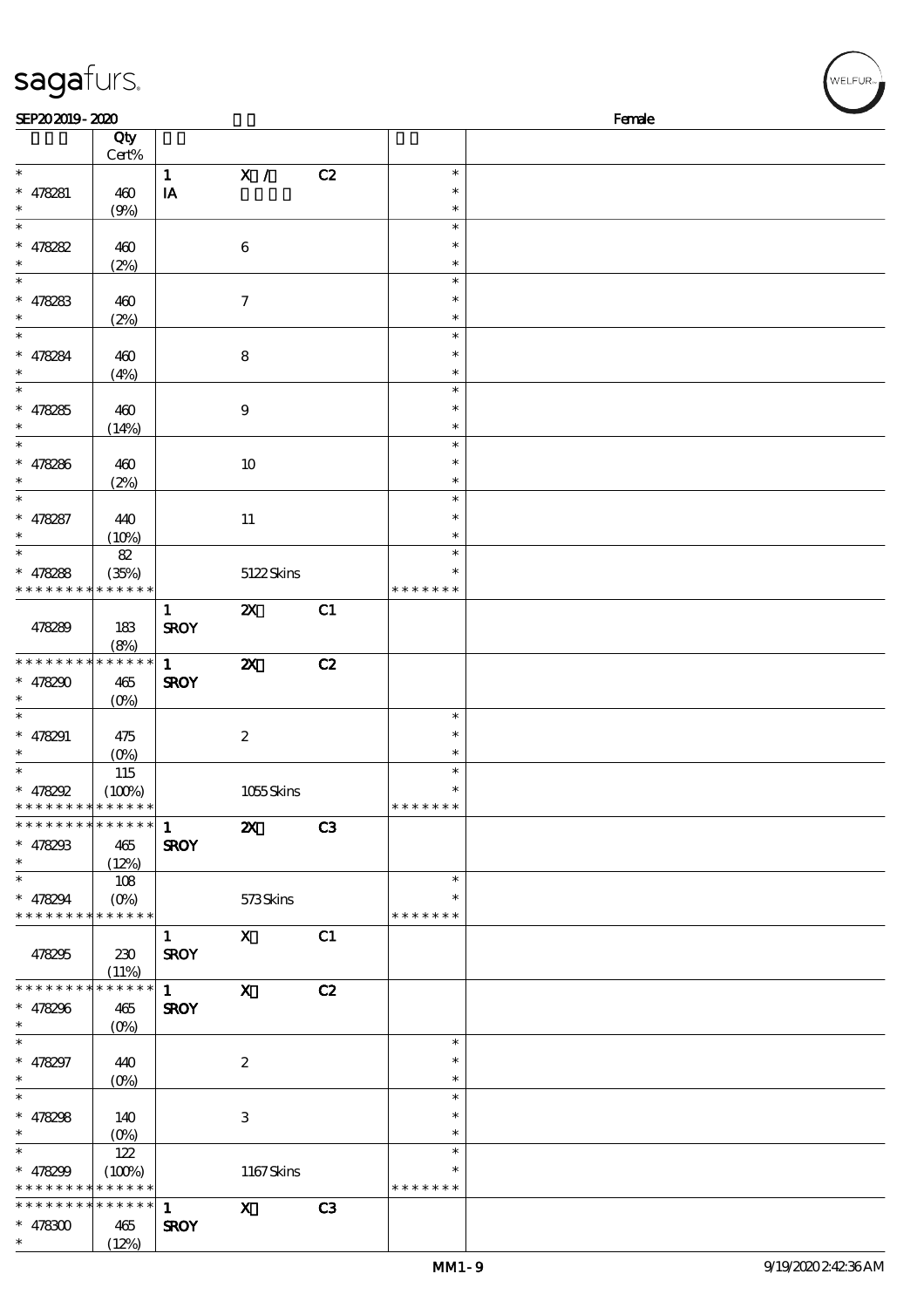| sagafurs.                                                        |                                                                   |                             |                           |    |                                   | WELFUR <sub>™</sub> |
|------------------------------------------------------------------|-------------------------------------------------------------------|-----------------------------|---------------------------|----|-----------------------------------|---------------------|
| SEP202019-2020                                                   |                                                                   |                             |                           |    |                                   | Female              |
|                                                                  | Qty<br>Cert%                                                      |                             |                           |    |                                   |                     |
| $\ast$<br>$* 478281$                                             | 460                                                               | $\mathbf{1}$<br>IA          | $\mathbf{X}$ /            | C2 | $\ast$<br>$\ast$                  |                     |
| $\ast$<br>$\ast$                                                 | (9%)                                                              |                             |                           |    | $\ast$<br>$\ast$                  |                     |
| $* 478282$<br>$\ast$                                             | 460<br>(2%)                                                       |                             | $\boldsymbol{6}$          |    | $\ast$<br>$\ast$                  |                     |
| $\ast$<br>$* 478283$                                             | 460<br>(2%)                                                       |                             | $\boldsymbol{7}$          |    | $\ast$<br>$\ast$<br>$\ast$        |                     |
| $\ast$<br>$* 478284$                                             | 460<br>(4%)                                                       |                             | $\bf 8$                   |    | $\ast$<br>$\ast$<br>$\ast$        |                     |
| $\ast$<br>$* 478285$                                             | 460<br>(14%)                                                      |                             | $\boldsymbol{9}$          |    | $\ast$<br>$\ast$<br>$\ast$        |                     |
| $\ast$<br>$* 478286$                                             | 460                                                               |                             | $10\,$                    |    | $\ast$<br>$\ast$<br>$\ast$        |                     |
| $\ast$<br>$* 478287$                                             | (2%)<br>440                                                       |                             | $11\,$                    |    | $\ast$<br>∗                       |                     |
| $\ast$<br>$\ast$<br>* $478288$                                   | (10%)<br>82<br>(35%)                                              |                             | 5122Skins                 |    | $\ast$<br>$\ast$                  |                     |
| * * * * * * * *                                                  | * * * * * *                                                       |                             |                           |    | * * * * * * *                     |                     |
| 478289                                                           | 183<br>(8%)                                                       | $\mathbf{1}$<br><b>SROY</b> | $\boldsymbol{\mathsf{Z}}$ | C1 |                                   |                     |
| * * * * * * * * <mark>* * * * * *</mark><br>$* 478290$           | 465<br>$(O\%)$                                                    | $\mathbf{1}$<br><b>SROY</b> | $\boldsymbol{\mathsf{z}}$ | C2 |                                   |                     |
| $\ast$<br>$* 478291$<br>$\ast$                                   | 475<br>$(0\%)$                                                    |                             | $\boldsymbol{2}$          |    | $\ast$<br>$\ast$<br>$\ast$        |                     |
| $\ast$<br>$* 478292$<br>* * * * * * * * * * * * * *              | 115<br>(100%)                                                     |                             | 1055Skins                 |    | $\ast$<br>$\ast$<br>* * * * * * * |                     |
| * * * * * * * * * * * * * *<br>$* 478293$<br>$\ast$              | 465                                                               | $\mathbf{1}$<br><b>SROY</b> | $\mathbf{x}$              | C3 |                                   |                     |
| $\ast$<br>$* 478294$<br>* * * * * * * * * * * * * *              | (12%)<br>108<br>$(O\!\!\!\!\!\!\!\backslash \!\!\!\!\!\backslash$ |                             | 573Skins                  |    | $\ast$<br>* * * * * * *           |                     |
| 478295                                                           | 230<br>(11%)                                                      | $\mathbf{1}$<br><b>SROY</b> | $\mathbf{x}$              | C1 |                                   |                     |
| * * * * * * * * * * * * * *<br>$* 478296$<br>$\ast$              | 465<br>$(O\%)$                                                    | $\mathbf{1}$<br><b>SROY</b> | $\mathbf{X}$              | C2 |                                   |                     |
| $\ast$<br>$* 478297$<br>$\ast$                                   | 440<br>$(O\%)$                                                    |                             | $\boldsymbol{2}$          |    | $\ast$<br>$\ast$<br>$\ast$        |                     |
| $\ast$<br>* $478298$<br>$\ast$                                   | 140<br>$(O\%)$                                                    |                             | $\ensuremath{\mathbf{3}}$ |    | $\ast$<br>$\ast$<br>$\ast$        |                     |
| $\ast$<br>* $478299$<br>* * * * * * * * <mark>* * * * * *</mark> | 122<br>(100%)                                                     |                             | 1167Skins                 |    | $\ast$<br>$\ast$<br>* * * * * * * |                     |
| * * * * * * * *<br>$* 478300$                                    | * * * * * *<br>465                                                | $\mathbf{1}$<br><b>SROY</b> | $\mathbf{x}$              | C3 |                                   |                     |

\*\*

(12%)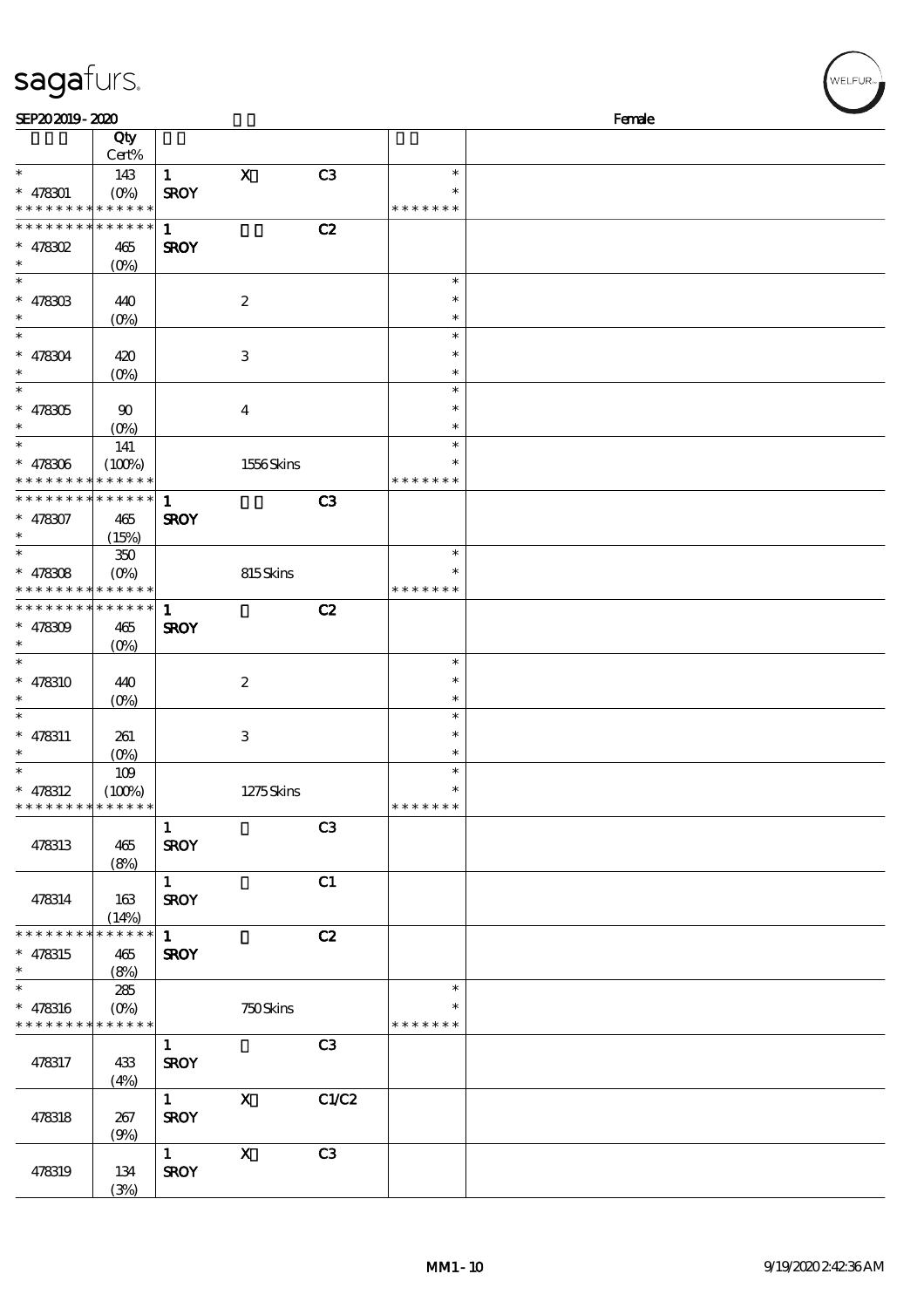| sagafurs.                                |                                  |              |                           |                |                         |        | WELFUR <sub>™</sub> |
|------------------------------------------|----------------------------------|--------------|---------------------------|----------------|-------------------------|--------|---------------------|
| SEP202019-2020                           |                                  |              |                           |                |                         | Female |                     |
|                                          | Qty                              |              |                           |                |                         |        |                     |
|                                          | Cert%                            |              |                           |                |                         |        |                     |
| $\ast$                                   | 143                              | $\mathbf{1}$ | $\mathbf X$               | C <sub>3</sub> | $\ast$                  |        |                     |
| $* 478301$                               | $(O_0)$<br>* * * * * * * * * * * | <b>SROY</b>  |                           |                | $\ast$<br>* * * * * * * |        |                     |
| * * * * * * * *                          | * * * * * *                      | $\mathbf{1}$ |                           | C2             |                         |        |                     |
| $*$ 478302                               | 465                              | <b>SROY</b>  |                           |                |                         |        |                     |
| $\ast$                                   | (O <sub>0</sub> )                |              |                           |                |                         |        |                     |
| $\ast$                                   |                                  |              |                           |                | $\ast$                  |        |                     |
| $* 47830B$                               | 440                              |              | $\boldsymbol{2}$          |                | $\ast$                  |        |                     |
| $\ast$                                   | $(O\%)$                          |              |                           |                | $\ast$                  |        |                     |
| $\ast$                                   |                                  |              |                           |                | $\ast$                  |        |                     |
| $* 478304$                               | 420                              |              | $\,3$                     |                | $\ast$                  |        |                     |
|                                          | $(O\%)$                          |              |                           |                | $\ast$                  |        |                     |
| $\ast$                                   |                                  |              |                           |                | $\ast$                  |        |                     |
| $* 478305$                               | 90                               |              | $\overline{\mathbf{4}}$   |                | $\ast$<br>$\ast$        |        |                     |
| $\ast$                                   | (O <sub>0</sub> )                |              |                           |                | $\ast$                  |        |                     |
| $* 478306$                               | 141<br>(100%)                    |              | 1556Skins                 |                | $\ast$                  |        |                     |
| * * * * * * * *                          | * * * * * *                      |              |                           |                | * * * * * * *           |        |                     |
| * * * * * * * * * * * * * *              |                                  | $\mathbf{1}$ |                           | C <sub>3</sub> |                         |        |                     |
| $* 478307$                               | 465                              | <b>SROY</b>  |                           |                |                         |        |                     |
| $\ast$                                   | (15%)                            |              |                           |                |                         |        |                     |
| $\ast$                                   | $350\,$                          |              |                           |                | $\ast$                  |        |                     |
| $* 478308$                               | $(O\%)$                          |              | 815Skins                  |                |                         |        |                     |
| * * * * * * * * <mark>* * * * * *</mark> |                                  |              |                           |                | * * * * * * *           |        |                     |
| * * * * * * * *                          | * * * * * *                      | $\mathbf{1}$ |                           | C2             |                         |        |                     |
| $* 478309$                               | 465                              | <b>SROY</b>  |                           |                |                         |        |                     |
| $\ast$                                   | $(O\%)$                          |              |                           |                |                         |        |                     |
|                                          |                                  |              |                           |                | $\ast$<br>$\ast$        |        |                     |
| $* 478310$                               | 440<br>$(O\%)$                   |              | $\boldsymbol{2}$          |                | $\ast$                  |        |                     |
| $\ast$                                   |                                  |              |                           |                | $\ast$                  |        |                     |
| $* 478311$                               | 261                              |              | $\,3$                     |                | $\ast$                  |        |                     |
| $\ast$                                   | $(0\%)$                          |              |                           |                | $\ast$                  |        |                     |
| $\ast$                                   | 109                              |              |                           |                | $\ast$                  |        |                     |
| $* 478312$                               | (100%)                           |              | 1275Skins                 |                | $\ast$                  |        |                     |
| * * * * * * * *                          | * * * * * *                      |              |                           |                | * * * * * * *           |        |                     |
|                                          |                                  | $\mathbf{1}$ |                           | C <sub>3</sub> |                         |        |                     |
| 478313                                   | 465                              | <b>SROY</b>  |                           |                |                         |        |                     |
|                                          | (8%)                             |              |                           |                |                         |        |                     |
|                                          |                                  | $\mathbf{1}$ |                           | C1             |                         |        |                     |
| 478314                                   | 163                              | <b>SROY</b>  |                           |                |                         |        |                     |
| * * * * * * * *                          | (14%)<br>* * * * * *             | $\mathbf{1}$ |                           | C2             |                         |        |                     |
| $* 478315$                               | 465                              | <b>SROY</b>  |                           |                |                         |        |                     |
|                                          | (8%)                             |              |                           |                |                         |        |                     |
| $\overline{\ast}$                        | 285                              |              |                           |                | $\ast$                  |        |                     |
| $* 478316$                               | $(O\%)$                          |              | 750Skins                  |                | $\ast$                  |        |                     |
| * * * * * * * * * * * * * *              |                                  |              |                           |                | * * * * * * *           |        |                     |
|                                          |                                  | $\mathbf{1}$ |                           | C3             |                         |        |                     |
| 478317                                   | 433                              | <b>SROY</b>  |                           |                |                         |        |                     |
|                                          | (4%)                             |              |                           |                |                         |        |                     |
|                                          |                                  | $\mathbf{1}$ | $\mathbf x$               | C1/C2          |                         |        |                     |
| 478318                                   | 267                              | <b>SROY</b>  |                           |                |                         |        |                     |
|                                          | (9%)                             | $\mathbf{1}$ | $\boldsymbol{\mathsf{X}}$ | C3             |                         |        |                     |
| 478319                                   | 134                              | <b>SROY</b>  |                           |                |                         |        |                     |

 $\frac{101}{(3/8)}$ 

 $(w$ ELFUR<sub><sup>22</sup></sub>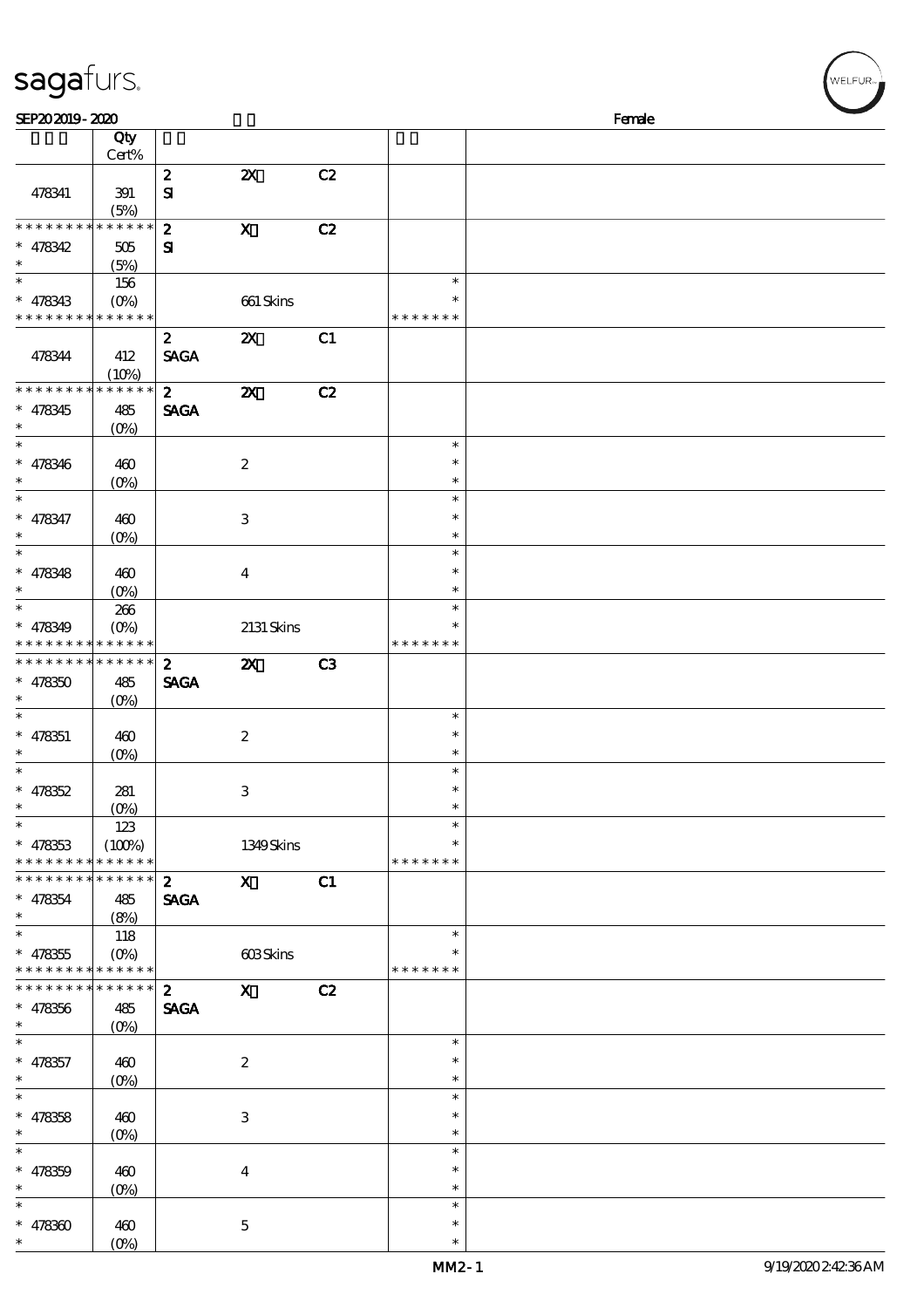| sagafurs. |  |
|-----------|--|
|           |  |

| SEP202019-2020                                                                        |                               |                                 |                           |                |                                      | Female |  |
|---------------------------------------------------------------------------------------|-------------------------------|---------------------------------|---------------------------|----------------|--------------------------------------|--------|--|
|                                                                                       | Qty<br>Cert%                  |                                 |                           |                |                                      |        |  |
| 478341                                                                                | 391<br>(5%)                   | $\boldsymbol{z}$<br>${\bf S}$   | $\boldsymbol{\mathsf{Z}}$ | C2             |                                      |        |  |
| * * * * * * * * * * * * * *<br>$* 478342$<br>$\ast$                                   | 505<br>(5%)                   | $\boldsymbol{z}$<br>${\bf s}$   | $\mathbf X$               | C2             |                                      |        |  |
| $\ast$<br>$* 478343$<br>* * * * * * * * <mark>* * * * * *</mark>                      | 156<br>$(O\!/\!o)$            |                                 | 661 Skins                 |                | $\ast$<br>$\ast$<br>* * * * * * *    |        |  |
| 478344                                                                                | 412<br>(10%)                  | $\mathbf{2}$<br><b>SAGA</b>     | $\boldsymbol{\mathsf{Z}}$ | C1             |                                      |        |  |
| * * * * * * * *<br>$* 478345$<br>$\ast$                                               | * * * * * *<br>485<br>$(0\%)$ | $\mathbf{2}$<br><b>SAGA</b>     | $\boldsymbol{\mathsf{z}}$ | C2             |                                      |        |  |
| $\ast$<br>$* 478346$<br>$\ast$                                                        | 460<br>$(0\%)$                |                                 | $\boldsymbol{2}$          |                | $\ast$<br>$\ast$<br>$\ast$           |        |  |
| $\ast$<br>$* 478347$<br>$\ast$<br>$_{*}^{-}$                                          | 460<br>$(O\!/\!o)$            |                                 | $\,3$                     |                | $\ast$<br>$\ast$<br>$\ast$<br>$\ast$ |        |  |
| $* 478348$<br>$\ast$<br>$\overline{\phantom{a}}$                                      | 460<br>(O <sub>0</sub> )      |                                 | $\bf{4}$                  |                | $\ast$<br>$\ast$<br>$\ast$           |        |  |
| $* 478349$<br>* * * * * * * * <mark>* * * * * *</mark>                                | 266<br>$(O\%)$                |                                 | 2131 Skins                |                | $\ast$<br>* * * * * * *              |        |  |
| * * * * * * * * * * * * * *<br>$* 478350$<br>$\overline{\ast}$                        | 485<br>(O <sub>0</sub> )      | $\boldsymbol{2}$<br><b>SAGA</b> | $\boldsymbol{\mathsf{Z}}$ | C <sub>3</sub> |                                      |        |  |
| $* 478351$<br>$\ast$<br>$\ast$                                                        | 460<br>$(O\%)$                |                                 | $\boldsymbol{2}$          |                | $\ast$<br>$\ast$<br>$\ast$<br>$\ast$ |        |  |
| $* 478352$<br>$\ast$<br>$\ast$                                                        | 281<br>$(0\%)$<br>123         |                                 | $\,3$                     |                | $\ast$<br>$\ast$<br>$\ast$           |        |  |
| $* 478353$<br>* * * * * * * * * * * * * *                                             | (100%)                        |                                 | 1349Skins                 |                | $\ast$<br>* * * * * * *              |        |  |
| * * * * * * * * * * * * * *<br>$* 478354$<br>$\ast$<br>$\overline{\phantom{0}}$       | 485<br>(8%)                   | $\boldsymbol{2}$<br><b>SAGA</b> | $\mathbf{X}$              | C1             |                                      |        |  |
| $* 478355$<br>* * * * * * * * <mark>* * * * * *</mark><br>* * * * * * * * * * * * * * | 118<br>$(O\%)$                |                                 | 603Skins                  |                | $\ast$<br>$\ast$<br>* * * * * * *    |        |  |
| $* 478356$<br>$\ast$<br>$\overline{\phantom{0}}$                                      | 485<br>$(0\%)$                | $\mathbf{2}$<br><b>SAGA</b>     | $\mathbf{X}$              | C2             |                                      |        |  |
| $* 478357$<br>$\ast$<br>$\ast$                                                        | 460<br>$(O\%)$                |                                 | $\boldsymbol{2}$          |                | $\ast$<br>$\ast$<br>$\ast$<br>$\ast$ |        |  |
| $* 478358$<br>$\ast$<br>$\ast$                                                        | 460<br>$(O\!/\!o)$            |                                 | $\,3$                     |                | $\ast$<br>$\ast$<br>$\ast$           |        |  |
| $* 478359$<br>$\ast$<br>$\ast$                                                        | 460<br>$(0\%)$                |                                 | $\boldsymbol{4}$          |                | $\ast$<br>$\ast$<br>$\ast$           |        |  |
| $* 478300$<br>$\ast$                                                                  | 460<br>$(O\%)$                |                                 | $\mathbf 5$               |                | $\ast$<br>$\ast$                     |        |  |

WELFUR<sub>"</sub>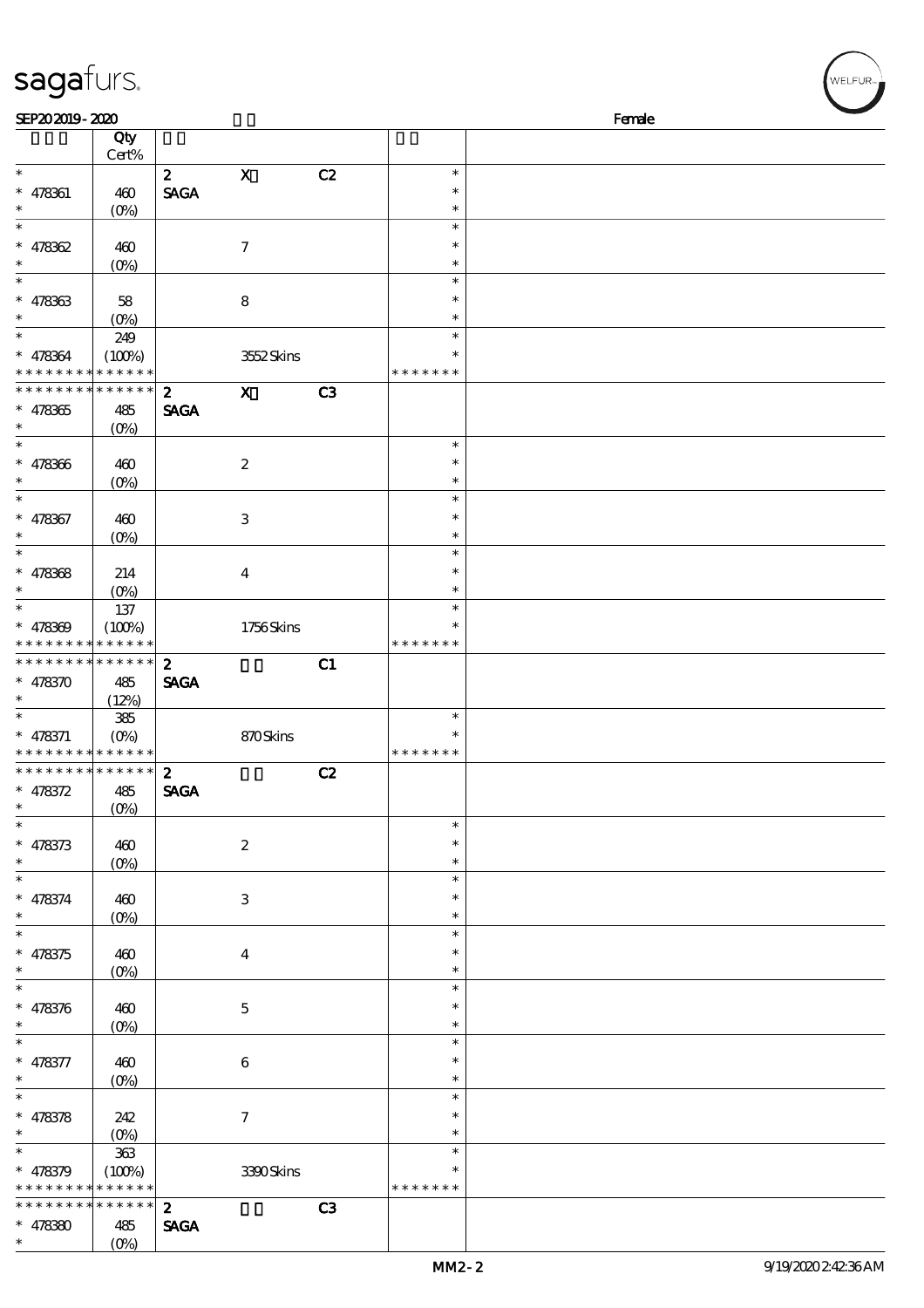| SEP202019-2020                             |                   |                  |                  |                |               | Female |
|--------------------------------------------|-------------------|------------------|------------------|----------------|---------------|--------|
|                                            | Qty               |                  |                  |                |               |        |
|                                            | Cert%             |                  |                  |                |               |        |
| $\ast$                                     |                   |                  |                  |                | $\ast$        |        |
|                                            |                   | $\mathbf{z}$     | $\mathbf X$      | C2             |               |        |
| $* 478361$                                 | 460               | <b>SAGA</b>      |                  |                | $\ast$        |        |
| $\ast$                                     | (O <sub>0</sub> ) |                  |                  |                | $\ast$        |        |
| $\ast$                                     |                   |                  |                  |                | $\ast$        |        |
|                                            |                   |                  |                  |                |               |        |
| $* 478362$                                 | 460               |                  | $\tau$           |                | $\ast$        |        |
| $\ast$                                     | $(0\%)$           |                  |                  |                | $\ast$        |        |
| $\overline{\ast}$                          |                   |                  |                  |                | $\ast$        |        |
| $* 478363$                                 | 58                |                  | 8                |                | $\ast$        |        |
| $\ast$                                     |                   |                  |                  |                |               |        |
|                                            | $(0\%)$           |                  |                  |                | $\ast$        |        |
| $\overline{\ast}$                          | 249               |                  |                  |                | $\ast$        |        |
| * 478364                                   | (100%)            |                  | 3552Skins        |                | $\ast$        |        |
| * * * * * * * *                            | * * * * * *       |                  |                  |                | * * * * * * * |        |
| * * * * * * * *                            | * * * * * *       |                  |                  |                |               |        |
|                                            |                   | $\boldsymbol{z}$ | $\mathbf{x}$     | C <sub>3</sub> |               |        |
| $* 478365$                                 | 485               | <b>SAGA</b>      |                  |                |               |        |
| $\ast$                                     | $(0\%)$           |                  |                  |                |               |        |
| $\overline{\ast}$                          |                   |                  |                  |                | $\ast$        |        |
|                                            |                   |                  |                  |                | $\ast$        |        |
| $* 478366$                                 | 460               |                  | $\boldsymbol{z}$ |                |               |        |
| $\ast$                                     | $(O\!/\!o)$       |                  |                  |                | $\ast$        |        |
| $\ast$                                     |                   |                  |                  |                | $\ast$        |        |
| $* 478367$                                 | 460               |                  | $\,3$            |                | $\ast$        |        |
| $\ast$                                     |                   |                  |                  |                | $\ast$        |        |
|                                            | $(O\!/\!o)$       |                  |                  |                |               |        |
| $\ast$                                     |                   |                  |                  |                | $\ast$        |        |
| $* 478368$                                 | 214               |                  | $\bf{4}$         |                | $\ast$        |        |
| $\ast$                                     | $(0\%)$           |                  |                  |                | $\ast$        |        |
| $\overline{\ast}$                          |                   |                  |                  |                | $\ast$        |        |
|                                            | 137               |                  |                  |                |               |        |
| $* 478309$                                 | (100%)            |                  | 1756Skins        |                |               |        |
| * * * * * * * *                            | * * * * * *       |                  |                  |                | * * * * * * * |        |
| * * * * * * * *                            | $* * * * * * *$   | $\boldsymbol{z}$ |                  | C1             |               |        |
|                                            |                   |                  |                  |                |               |        |
| $* 478370$                                 | 485               | <b>SAGA</b>      |                  |                |               |        |
| $\ast$                                     | (12%)             |                  |                  |                |               |        |
| $\ast$                                     | $385\,$           |                  |                  |                | $\ast$        |        |
| $* 478371$                                 | $(O\%)$           |                  | 870Skins         |                | $\ast$        |        |
| * * * * * * * * <mark>* * * * * * *</mark> |                   |                  |                  |                | * * * * * * * |        |
|                                            | ******            |                  |                  |                |               |        |
| * * * * * * * * <mark>*</mark>             |                   | $\boldsymbol{2}$ |                  | C2             |               |        |
| * $478372$                                 | 485               | <b>SAGA</b>      |                  |                |               |        |
| $\ast$                                     | (0%)              |                  |                  |                |               |        |
| $\ast$                                     |                   |                  |                  |                | $\ast$        |        |
|                                            |                   |                  |                  |                |               |        |
| $* 478373$                                 | 460               |                  | $\boldsymbol{2}$ |                | $\ast$        |        |
| $\ast$                                     | $(0\%)$           |                  |                  |                | $\ast$        |        |
| $\ast$                                     |                   |                  |                  |                | $\ast$        |        |
| $* 478374$                                 | 460               |                  | $\,3$            |                | $\ast$        |        |
| $\ast$                                     |                   |                  |                  |                |               |        |
|                                            | (O <sub>0</sub> ) |                  |                  |                | $\ast$        |        |
| $\ast$                                     |                   |                  |                  |                | $\ast$        |        |
| $* 478375$                                 | 460               |                  | $\bf{4}$         |                | $\ast$        |        |
| $\ast$                                     | (O <sub>0</sub> ) |                  |                  |                | $\ast$        |        |
| $\ast$                                     |                   |                  |                  |                | $\ast$        |        |
|                                            |                   |                  |                  |                |               |        |
| $* 478376$                                 | 460               |                  | $\mathbf 5$      |                | $\ast$        |        |
| $\ast$                                     | $(0\%)$           |                  |                  |                | $\ast$        |        |
| $\ast$                                     |                   |                  |                  |                | $\ast$        |        |
|                                            |                   |                  |                  |                |               |        |
| * 478377                                   | 460               |                  | $\,6\,$          |                | $\ast$        |        |
| $\ast$                                     | $(O\!/\!o)$       |                  |                  |                | $\ast$        |        |
| $\overline{\ast}$                          |                   |                  |                  |                | $\ast$        |        |
| $* 478378$                                 | 242               |                  | $\boldsymbol{7}$ |                | $\ast$        |        |
| $\ast$                                     |                   |                  |                  |                | $\ast$        |        |
|                                            | $(0\%)$           |                  |                  |                |               |        |
| $\ast$                                     | $363\,$           |                  |                  |                | $\ast$        |        |
| $* 478379$                                 | (100%)            |                  | 3390Skins        |                | ∗             |        |
| * * * * * * * *                            | * * * * * *       |                  |                  |                | * * * * * * * |        |
| * * * * * * *                              | * * * * * *       |                  |                  |                |               |        |
|                                            |                   | $\boldsymbol{z}$ |                  | C3             |               |        |

SAGA

\* \*

478380 485

sagafurs.

 $(0%)$ 

WELFUR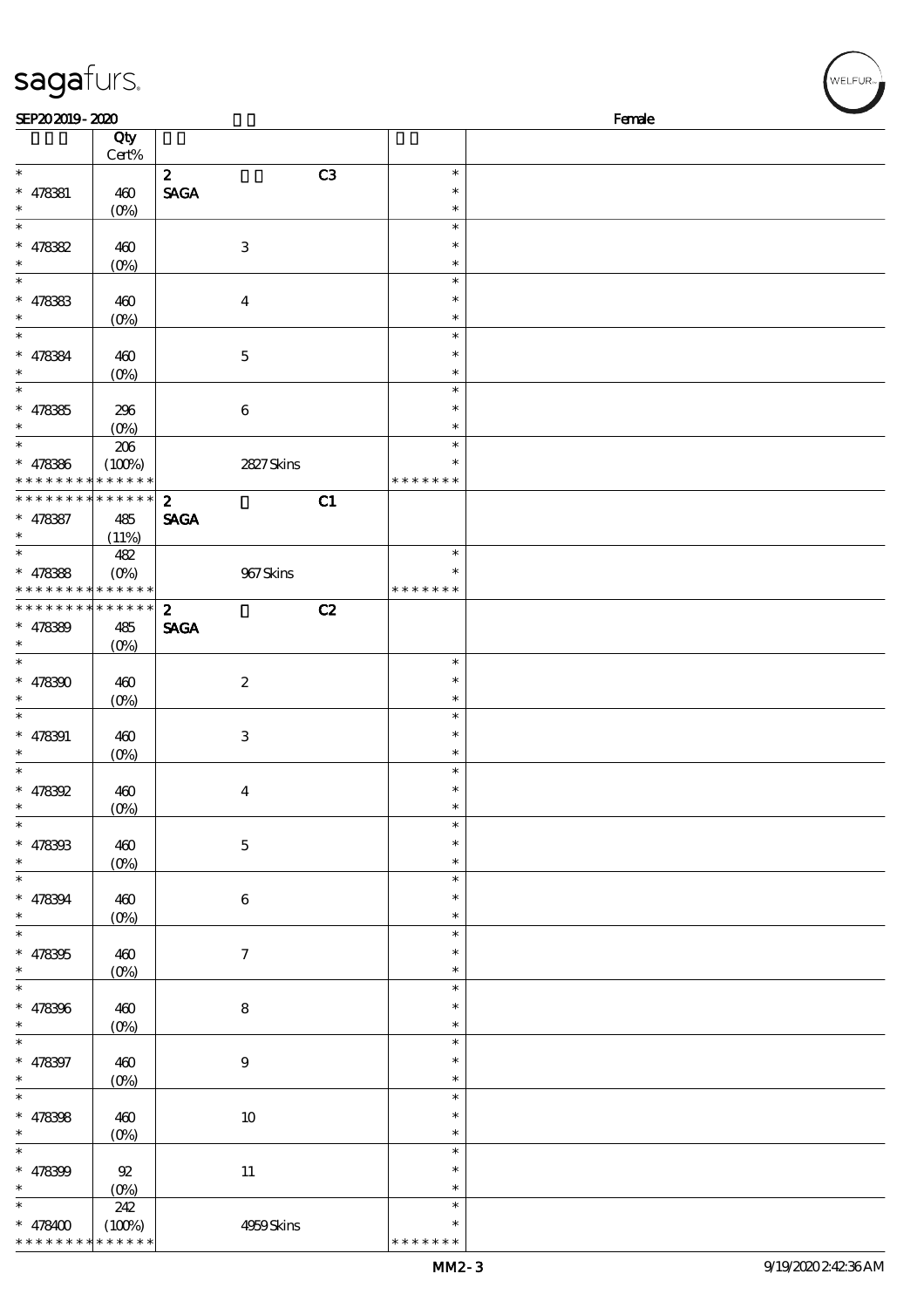| sagafurs.                                       |                       |                                       |                  | WELFUR <sub>™</sub> |
|-------------------------------------------------|-----------------------|---------------------------------------|------------------|---------------------|
| SEP202019-2020                                  |                       |                                       |                  | Female              |
|                                                 | Qty<br>Cert%          |                                       |                  |                     |
| $\ast$                                          |                       | C3<br>$\boldsymbol{z}$                | $\ast$           |                     |
| $* 478381$                                      | 460                   | <b>SAGA</b>                           | $\ast$           |                     |
| $\ast$                                          | $(0\%)$               |                                       | $\ast$           |                     |
| $\ast$                                          |                       |                                       | $\ast$           |                     |
| $* 478382$<br>$\ast$                            | 460                   | $\,3$                                 | $\ast$<br>$\ast$ |                     |
| $\ast$                                          | $(0\%)$               |                                       | $\ast$           |                     |
| $* 478383$                                      | 460                   | $\boldsymbol{4}$                      | $\ast$           |                     |
| $\ast$                                          | $(0\%)$               |                                       | $\ast$           |                     |
| $\ast$                                          |                       |                                       | $\ast$           |                     |
| $* 478384$                                      | 460                   | $\mathbf 5$                           | $\ast$<br>$\ast$ |                     |
| $\ast$                                          | $(0\%)$               |                                       | $\ast$           |                     |
| $* 478365$                                      | 296                   | $\,6\,$                               | $\ast$           |                     |
| $\ast$                                          | $(O\%)$               |                                       | $\ast$           |                     |
| $\ast$                                          | $206\,$               |                                       | $\ast$           |                     |
| $* 478366$                                      | (100%)                | 2827Skins                             | $\ast$           |                     |
| * * * * * * * *<br>******** <mark>******</mark> | * * * * * *           | $\boldsymbol{z}$<br>C1                | * * * * * * *    |                     |
| $* 478387$                                      | 485                   | <b>SAGA</b>                           |                  |                     |
| $\ast$                                          | (11%)                 |                                       |                  |                     |
| $\ast$                                          | 482                   |                                       | $\ast$           |                     |
| $* 478388$                                      | $(O\%)$               | $967$ Skins                           |                  |                     |
| * * * * * * * * <mark>* * * * * * *</mark>      | * * * * * * * * * * * |                                       | * * * * * * *    |                     |
| $* 478389$                                      | 485                   | C2<br>$\boldsymbol{z}$<br><b>SAGA</b> |                  |                     |
|                                                 | $(O\%)$               |                                       |                  |                     |
| $\ast$                                          |                       |                                       | $\ast$           |                     |
| $* 478300$                                      | 460                   | $\boldsymbol{2}$                      | $\ast$           |                     |
| $\ast$                                          | $(O\%)$               |                                       | $\ast$           |                     |
| $* 478391$                                      | 460                   | $\,3$                                 | $\ast$<br>$\ast$ |                     |
| $\ast$                                          | $(O\!/\!\delta)$      |                                       | $\ast$           |                     |
| $\ast$                                          |                       |                                       | $\ast$           |                     |
| $* 478392$                                      | 460                   | $\boldsymbol{4}$                      | $\ast$           |                     |
| $\ast$<br>$\ast$                                | (0%)                  |                                       | $\ast$           |                     |
| $* 478303$                                      | 460                   | $\bf 5$                               | $\ast$<br>$\ast$ |                     |
| $\ast$                                          | $(0\%)$               |                                       | $\ast$           |                     |
| $\ast$                                          |                       |                                       | $\ast$           |                     |
| $* 478394$                                      | 460                   | $\,6$                                 | ∗                |                     |
| $\ast$                                          | $(0\%)$               |                                       | $\ast$           |                     |
| $\ast$<br>$* 478305$                            |                       |                                       | $\ast$<br>$\ast$ |                     |
| $\ast$                                          | 460<br>$(0\%)$        | $\boldsymbol{\tau}$                   | $\ast$           |                     |
| $\overline{\phantom{0}}$                        |                       |                                       | $\ast$           |                     |
| $* 478396$                                      | 460                   | $\bf 8$                               | $\ast$           |                     |
| $\ast$                                          | $(0\%)$               |                                       | $\ast$           |                     |
| $\ast$                                          |                       |                                       | $\ast$<br>$\ast$ |                     |
| $* 478397$<br>$\ast$                            | 460<br>$(0\%)$        | $\boldsymbol{9}$                      | $\ast$           |                     |
| $\ast$                                          |                       |                                       | $\ast$           |                     |
| $* 478398$                                      | 460                   | $10\,$                                | $\ast$           |                     |
| $\ast$                                          | (0%)                  |                                       | $\ast$           |                     |
| $_{*}^{-}$                                      |                       |                                       | $\ast$           |                     |
| $* 478399$<br>$\ast$                            | $92\,$                | $11\,$                                | $\ast$<br>$\ast$ |                     |
| $\ast$                                          | $(0\%)$<br>242        |                                       | $\ast$           |                     |
| $* 478400$                                      | (100%)                | 4959Skins                             | $\ast$           |                     |

\* \* \* \* \* \* \*

\* \* \* \* \* \* \* \* <mark>\* \* \* \* \* \* \*</mark>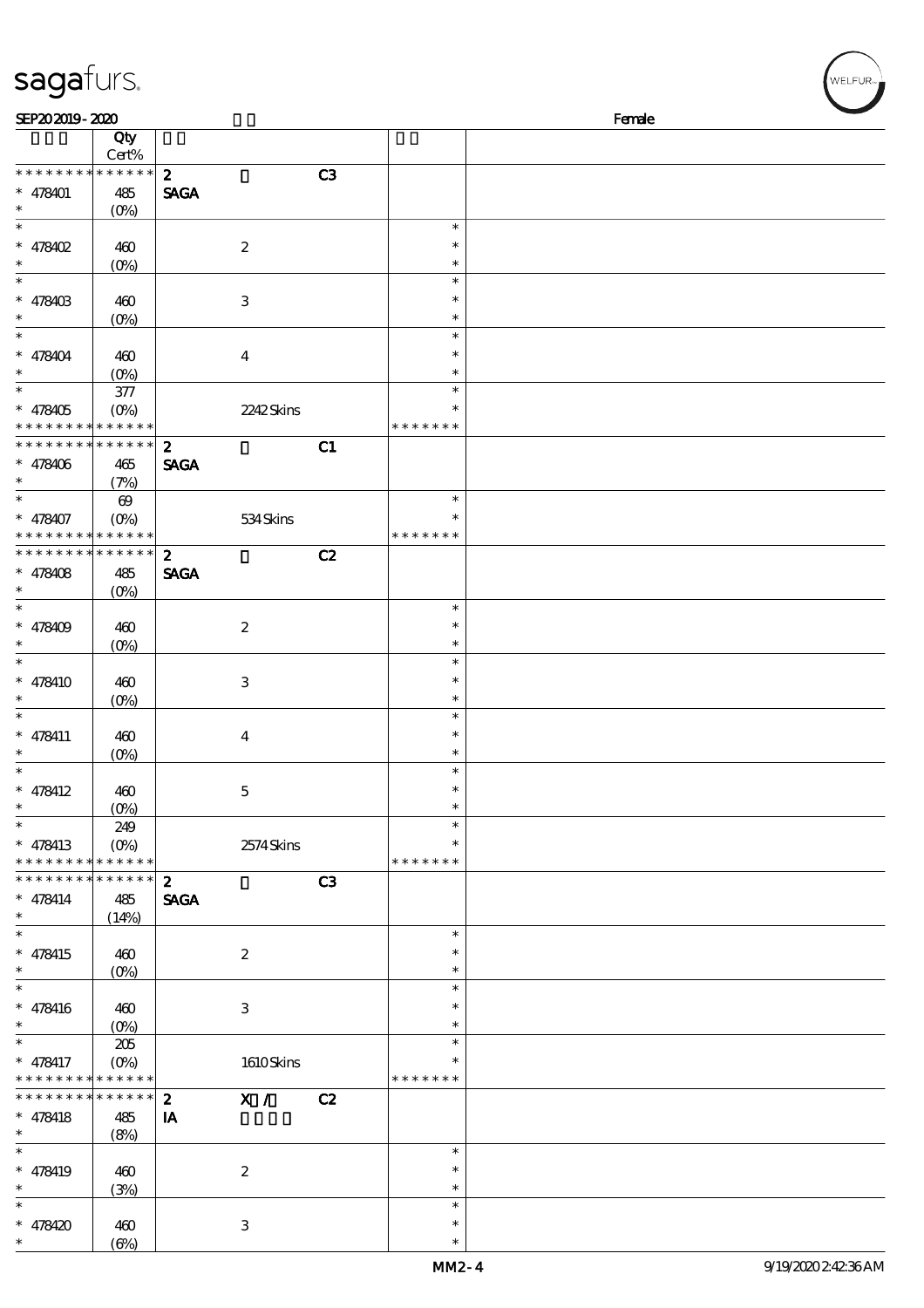| <b>saga</b> turs.                  |                            |                             |                  |    |                  | WELFUR <sub>"</sub> |
|------------------------------------|----------------------------|-----------------------------|------------------|----|------------------|---------------------|
| SEP202019-2020                     |                            |                             |                  |    |                  | Female              |
|                                    | Qty                        |                             |                  |    |                  |                     |
| * * * * * * * *                    | $Cert\%$<br>* * * * * *    | $\boldsymbol{z}$            |                  | C3 |                  |                     |
| $* 478401$                         | 485                        | <b>SAGA</b>                 |                  |    |                  |                     |
| $\ast$                             | (0%)                       |                             |                  |    |                  |                     |
| $\ast$<br>* 478402                 | 460                        |                             | $\boldsymbol{2}$ |    | $\ast$<br>$\ast$ |                     |
| $\ast$                             | $(0\%)$                    |                             |                  |    | $\ast$           |                     |
| $\ast$                             |                            |                             |                  |    | $\ast$           |                     |
| * 478403<br>$\ast$                 | 460                        |                             | $\,3\,$          |    | $\ast$<br>$\ast$ |                     |
| $\ast$                             | $(0\%)$                    |                             |                  |    | $\ast$           |                     |
| * 478404                           | 460                        |                             | $\boldsymbol{4}$ |    | $\ast$           |                     |
| $\ast$<br>$\ast$                   | $(0\%)$                    |                             |                  |    | $\ast$           |                     |
| * 478405                           | $377\,$<br>$(O\%)$         |                             | 2242Skins        |    | $\ast$<br>$\ast$ |                     |
| * * * * * * * *                    | * * * * * *                |                             |                  |    | * * * * * * *    |                     |
| * * * * * * * *                    | * * * * * *                | $\boldsymbol{z}$            |                  | C1 |                  |                     |
| $* 478406$<br>*                    | 465<br>(7%)                | <b>SAGA</b>                 |                  |    |                  |                     |
| $\ast$                             | $\boldsymbol{\Theta}$      |                             |                  |    | $\ast$           |                     |
| $* 478407$                         | $(O\%)$                    |                             | 534Skins         |    | $\ast$           |                     |
| * * * * * * * *<br>* * * * * * * * | * * * * * *<br>* * * * * * |                             |                  |    | * * * * * * *    |                     |
| * $478408$                         | 485                        | $\mathbf{z}$<br><b>SAGA</b> |                  | C2 |                  |                     |
| $\ast$                             | $(0\%)$                    |                             |                  |    |                  |                     |
| $\ast$                             |                            |                             |                  |    | $\ast$           |                     |
| * $478409$<br>$\ast$               | 460<br>$(0\%)$             |                             | $\boldsymbol{2}$ |    | $\ast$<br>$\ast$ |                     |
| $\ast$                             |                            |                             |                  |    | $\ast$           |                     |
| * 478410                           | 460                        |                             | $\,3\,$          |    | $\ast$           |                     |
| $\ast$<br>$\ast$                   | $(O\%)$                    |                             |                  |    | $\ast$<br>$\ast$ |                     |
| $*$ 478411                         | 460                        |                             | $\boldsymbol{4}$ |    | $\ast$           |                     |
| $\ast$                             | (0%)                       |                             |                  |    | $\ast$           |                     |
| $\ast$                             |                            |                             |                  |    | $\ast$<br>$\ast$ |                     |
| $* 478412$<br>$\ast$               | 460<br>$(O\%)$             |                             | $\mathbf 5$      |    | $\ast$           |                     |
| $\ast$                             | 249                        |                             |                  |    | $\ast$           |                     |
| $* 478413$                         | $(O\%)$                    |                             | 2574Skins        |    | $\ast$           |                     |
| * * * * * * * *<br>* * * * * * *   | * * * * * *<br>* * * * * * | $\mathbf{z}$                |                  | C3 | * * * * * * *    |                     |
| $* 478414$                         | 485                        | <b>SAGA</b>                 |                  |    |                  |                     |
| $\ast$                             | (14%)                      |                             |                  |    |                  |                     |
| $\ast$<br>$* 478415$               | 460                        |                             | $\boldsymbol{2}$ |    | $\ast$<br>$\ast$ |                     |
| $\ast$                             | $(O\!/\!o)$                |                             |                  |    | $\ast$           |                     |
| $\ast$                             |                            |                             |                  |    | $\ast$           |                     |
| $* 478416$<br>$\ast$               | 460                        |                             | $\,3\,$          |    | $\ast$<br>$\ast$ |                     |
| $\ast$                             | $(0\%)$<br>205             |                             |                  |    | $\ast$           |                     |
| * 478417                           | $(O\%)$                    |                             | 1610Skins        |    | *                |                     |
| * * * * * * * *                    | * * * * * *<br>* * * * * * |                             |                  |    | * * * * * * *    |                     |
| * * * * * * * *<br>$* 478418$      | 485                        | $\boldsymbol{z}$<br>IA      | X /              | C2 |                  |                     |
| $\ast$                             | (8%)                       |                             |                  |    |                  |                     |
| $\ast$                             |                            |                             |                  |    | $\ast$           |                     |
| $* 478419$<br>$\ast$               | 460<br>(3%)                |                             | $\boldsymbol{2}$ |    | $\ast$<br>$\ast$ |                     |
| $\ast$                             |                            |                             |                  |    | $\ast$           |                     |
| $* 478420$                         | 460                        |                             | $\,3\,$          |    | $\ast$           |                     |
| $\ast$                             | $(\Theta)$                 |                             |                  |    | $\ast$           |                     |

 $\epsilon$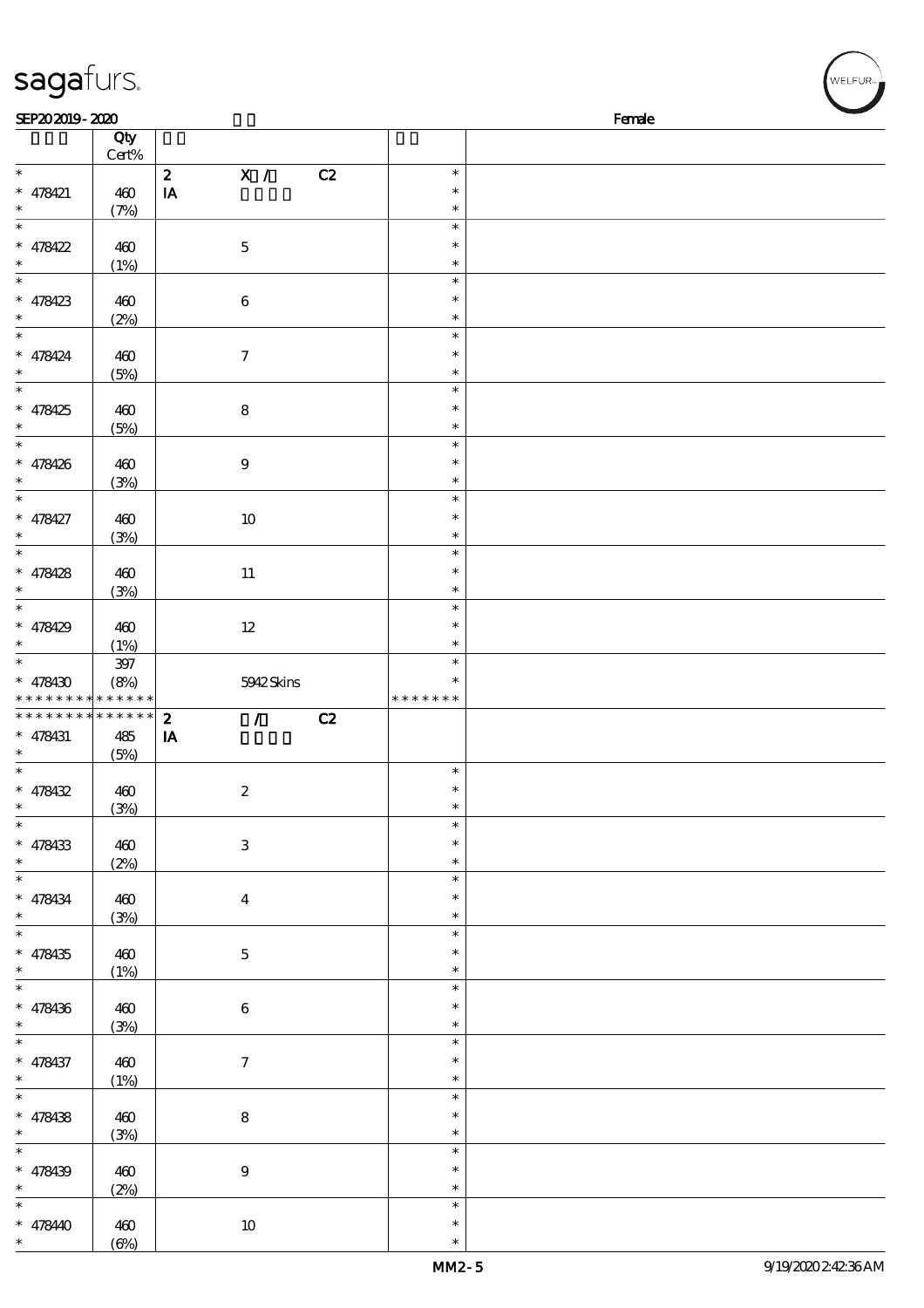| sagafurs.                |                               |                                    |               | /<br> WELFUR <sub>™ </sub> |
|--------------------------|-------------------------------|------------------------------------|---------------|----------------------------|
| SEP202019-2020           |                               |                                    |               | Female                     |
|                          | Qty                           |                                    |               |                            |
|                          | Cert%                         |                                    |               |                            |
| $\ast$                   |                               | $\mathbf{X}$ /<br>$\boldsymbol{z}$ | C2            | $\ast$                     |
| $* 478421$               | 460                           | IA                                 |               | $\ast$                     |
| $\ast$<br>$\ast$         | (7%)                          |                                    |               | $\ast$<br>$\ast$           |
| $* 478422$               | 460                           | $\mathbf 5$                        |               | $\ast$                     |
| $\ast$                   | (1%)                          |                                    |               | $\ast$                     |
| $\overline{\phantom{a}}$ |                               |                                    |               | $\ast$                     |
| $* 478423$               | 460                           | $\,6\,$                            |               | $\ast$                     |
| $\ast$                   | (2%)                          |                                    |               | $\ast$                     |
| $\ast$                   |                               |                                    |               | $\ast$                     |
| $* 478424$               | 460                           | $\boldsymbol{7}$                   |               | $\ast$                     |
| $\ast$                   | (5%)                          |                                    |               | $\ast$                     |
| $\ast$                   |                               |                                    |               | $\ast$                     |
| $* 478425$               | 460                           | $\bf 8$                            |               | $\ast$                     |
| $\ast$                   | (5%)                          |                                    |               | $\ast$                     |
| $\ast$                   |                               |                                    |               | $\ast$                     |
| $* 478426$               | 460                           | $\boldsymbol{9}$                   |               | $\ast$                     |
| $\ast$                   | (3%)                          |                                    |               | $\ast$                     |
| $\ast$                   |                               |                                    |               | $\ast$                     |
| $* 478427$               | 460                           | $10\,$                             |               | $\ast$                     |
| $\ast$                   | (3%)                          |                                    |               | $\ast$                     |
| $\ast$                   |                               |                                    |               | $\ast$                     |
| $* 478428$               | 460                           | $11\,$                             |               | $\ast$                     |
| $\ast$                   | (3%)                          |                                    |               | $\ast$                     |
| $\ast$                   |                               |                                    |               | $\ast$                     |
| $* 478429$               | 460                           | $12\,$                             |               | $\ast$                     |
| $\ast$<br>$\ast$         | (1%)                          |                                    |               | $\ast$<br>$\ast$           |
|                          | 397                           |                                    |               | $\ast$                     |
| $* 478430$               | (8%)<br>* * * * * * * * * * * | 5942Skins                          | * * * * * * * |                            |
| * * * * * * * *          | --<br>* * * * * *             | $\boldsymbol{z}$<br>$\mathcal{L}$  | C2            |                            |
| $* 478431$               | 485                           | IA                                 |               |                            |
| $*$                      | (5%)                          |                                    |               |                            |
| $\ast$                   |                               |                                    |               | $\ast$                     |
| $* 478432$               | 460                           | $\boldsymbol{2}$                   |               | *                          |
| $\ast$                   | (3%)                          |                                    |               | $\ast$                     |
| $\overline{\ast}$        |                               |                                    |               | $\ast$                     |
| $* 478433$               | 460                           | $\mathbf{3}$                       |               | *                          |
| $\ast$                   | (2%)                          |                                    |               | $\ast$                     |
| $\overline{\phantom{0}}$ |                               |                                    |               | $\ast$                     |
| $* 478434$               | 460                           | $\bf{4}$                           |               | *                          |
| $\ast$                   | (3%)                          |                                    |               | $\ast$                     |
| $\ast$                   |                               |                                    |               | $\ast$                     |
| * $478435$               | 460                           | $\mathbf{5}$                       |               | $\ast$                     |
| $\ast$<br>$\ast$         | (1%)                          |                                    |               | $\ast$                     |
|                          |                               |                                    |               | $\ast$                     |
| $* 478436$               | 460                           | $\bf 6$                            |               | $\ast$                     |
| $\ast$<br>$\ast$         | (3%)                          |                                    |               | $\ast$                     |
|                          |                               |                                    |               | $\ast$<br>$\ast$           |
| $* 478437$<br>$*$        | 460                           | $\boldsymbol{7}$                   |               | $\ast$                     |
| $\ast$                   | (1%)                          |                                    |               | $\ast$                     |
| $* 478438$               |                               | $\bf 8$                            |               | $\ast$                     |
| $\ast$                   | 460<br>(3%)                   |                                    |               | $\ast$                     |
| $\ast$                   |                               |                                    |               | $\ast$                     |
| $* 478439$               | 460                           | $\boldsymbol{9}$                   |               | $\ast$                     |
| $\ast$                   | (2%)                          |                                    |               | ∗                          |
| $\ast$                   |                               |                                    |               | $\ast$                     |

\* \* 478440 460

 $(6%)$ 

10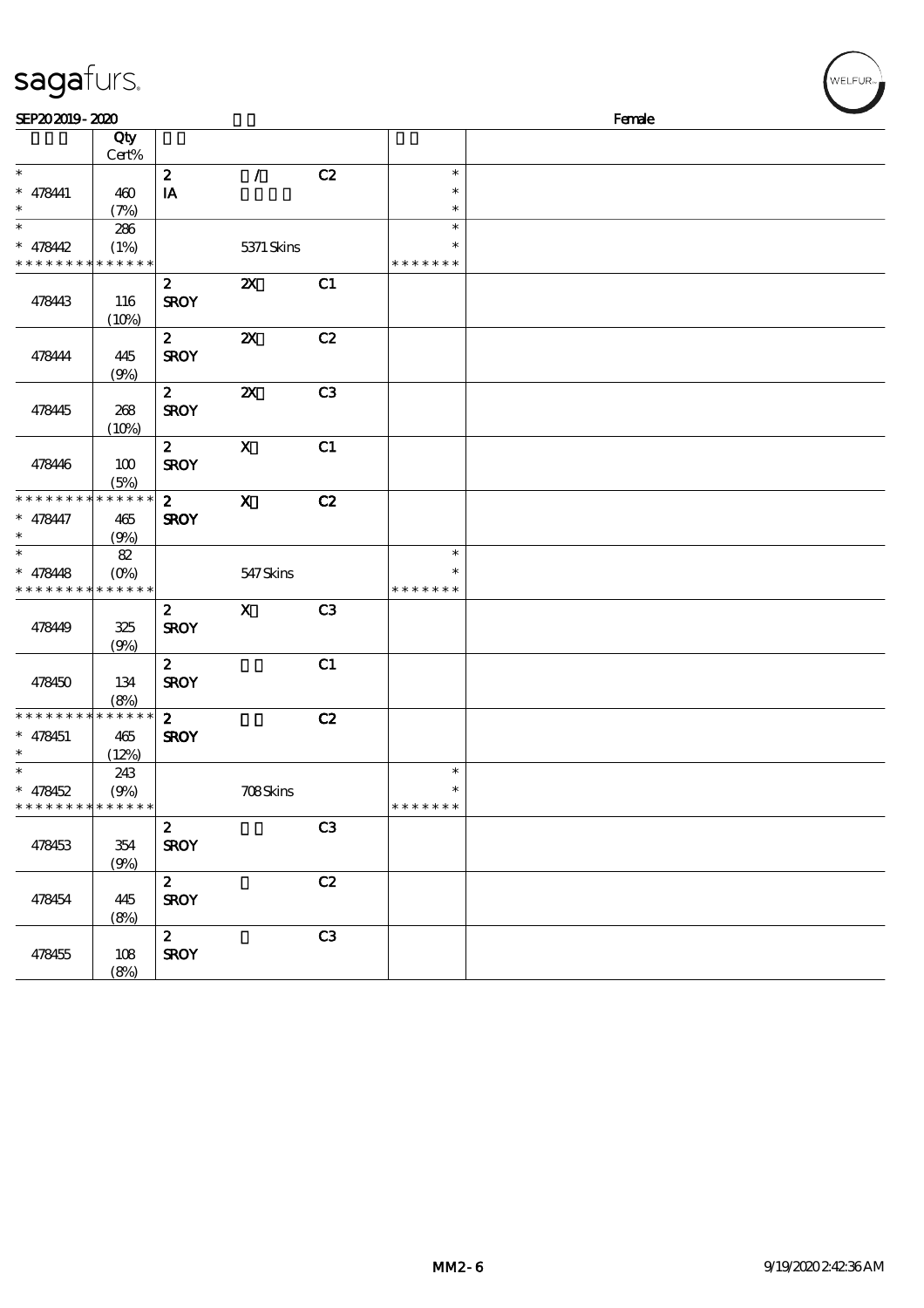| ーーコ<br>. .                               | $\sim$ $\sim$ $\sim$ |                  |                           |                |               |        |  |
|------------------------------------------|----------------------|------------------|---------------------------|----------------|---------------|--------|--|
| SEP202019-2020                           |                      |                  |                           |                |               | Female |  |
|                                          | Qty<br>Cert%         |                  |                           |                |               |        |  |
| $\ast$                                   |                      |                  | $\mathcal{L}$             |                | $\ast$        |        |  |
|                                          |                      | $\boldsymbol{z}$ |                           | C2             | $\ast$        |        |  |
| * 478441<br>$\ast$                       | 460                  | IA               |                           |                | $\ast$        |        |  |
| $\ast$                                   | (7%)                 |                  |                           |                |               |        |  |
|                                          | 286                  |                  |                           |                | $\ast$        |        |  |
| $* 478442$                               | (1%)                 |                  | 5371 Skins                |                |               |        |  |
| * * * * * * * *                          | * * * * * *          |                  |                           |                | * * * * * * * |        |  |
|                                          |                      | $\boldsymbol{z}$ | $\boldsymbol{\mathsf{z}}$ | C1             |               |        |  |
| 478443                                   | 116                  | <b>SROY</b>      |                           |                |               |        |  |
|                                          | (10%)                |                  |                           |                |               |        |  |
|                                          |                      | $\boldsymbol{z}$ | $\boldsymbol{\mathsf{z}}$ | C2             |               |        |  |
| 478444                                   | 445                  | <b>SROY</b>      |                           |                |               |        |  |
|                                          | (9%)                 |                  |                           |                |               |        |  |
|                                          |                      | $\boldsymbol{z}$ | $\boldsymbol{\mathsf{z}}$ | C <sub>3</sub> |               |        |  |
| 478445                                   | 268                  | <b>SROY</b>      |                           |                |               |        |  |
|                                          | (10%)                |                  |                           |                |               |        |  |
|                                          |                      | $\boldsymbol{2}$ | $\mathbf x$               | C1             |               |        |  |
| 478446                                   | 100                  | <b>SROY</b>      |                           |                |               |        |  |
|                                          | (5%)                 |                  |                           |                |               |        |  |
| * * * * * * * *                          | * * * * * *          | $\mathbf{z}$     | $\mathbf x$               | C2             |               |        |  |
| * 478447                                 | 465                  | <b>SROY</b>      |                           |                |               |        |  |
| $\ast$                                   | (9%)                 |                  |                           |                |               |        |  |
| $\ast$                                   | $82\,$               |                  |                           |                | $\ast$        |        |  |
| $* 478448$                               | $(O\%)$              |                  | 547 Skins                 |                | $\ast$        |        |  |
| * * * * * * * *                          | * * * * * *          |                  |                           |                | * * * * * * * |        |  |
|                                          |                      | $\mathbf{z}$     | $\mathbf X$               | C <sub>3</sub> |               |        |  |
| 47849                                    | 325                  | <b>SROY</b>      |                           |                |               |        |  |
|                                          | (9%)                 |                  |                           |                |               |        |  |
|                                          |                      | $\mathbf{z}$     |                           | C1             |               |        |  |
| 478450                                   | 134                  | <b>SROY</b>      |                           |                |               |        |  |
|                                          |                      |                  |                           |                |               |        |  |
| * * * * * * * *                          | (8%)<br>* * * * * *  | $\mathbf{z}$     |                           |                |               |        |  |
|                                          |                      |                  |                           | C2             |               |        |  |
| * 478451<br>$\ast$                       | 465                  | <b>SROY</b>      |                           |                |               |        |  |
| $\ast$                                   | (12%)                |                  |                           |                |               |        |  |
|                                          | 243                  |                  |                           |                | $\ast$        |        |  |
| * 478452                                 | (9%)                 |                  | <b>708Skins</b>           |                |               |        |  |
| * * * * * * * * <mark>* * * * * *</mark> |                      |                  |                           |                | * * * * * * * |        |  |
|                                          |                      | $\boldsymbol{z}$ |                           | C <sub>3</sub> |               |        |  |
| 478453                                   | 354                  | <b>SROY</b>      |                           |                |               |        |  |
|                                          | (9%)                 |                  |                           |                |               |        |  |
|                                          |                      | $\mathbf{z}$     |                           | C2             |               |        |  |
| 478454                                   | 445                  | <b>SROY</b>      |                           |                |               |        |  |
|                                          | (8%)                 |                  |                           |                |               |        |  |
|                                          |                      | $\mathbf{z}$     |                           | C <sub>3</sub> |               |        |  |
| 478455                                   | 108                  | <b>SROY</b>      |                           |                |               |        |  |
|                                          | (8%)                 |                  |                           |                |               |        |  |

#### sagafurs.

 $(w$ ELFUR<sub>"</sub>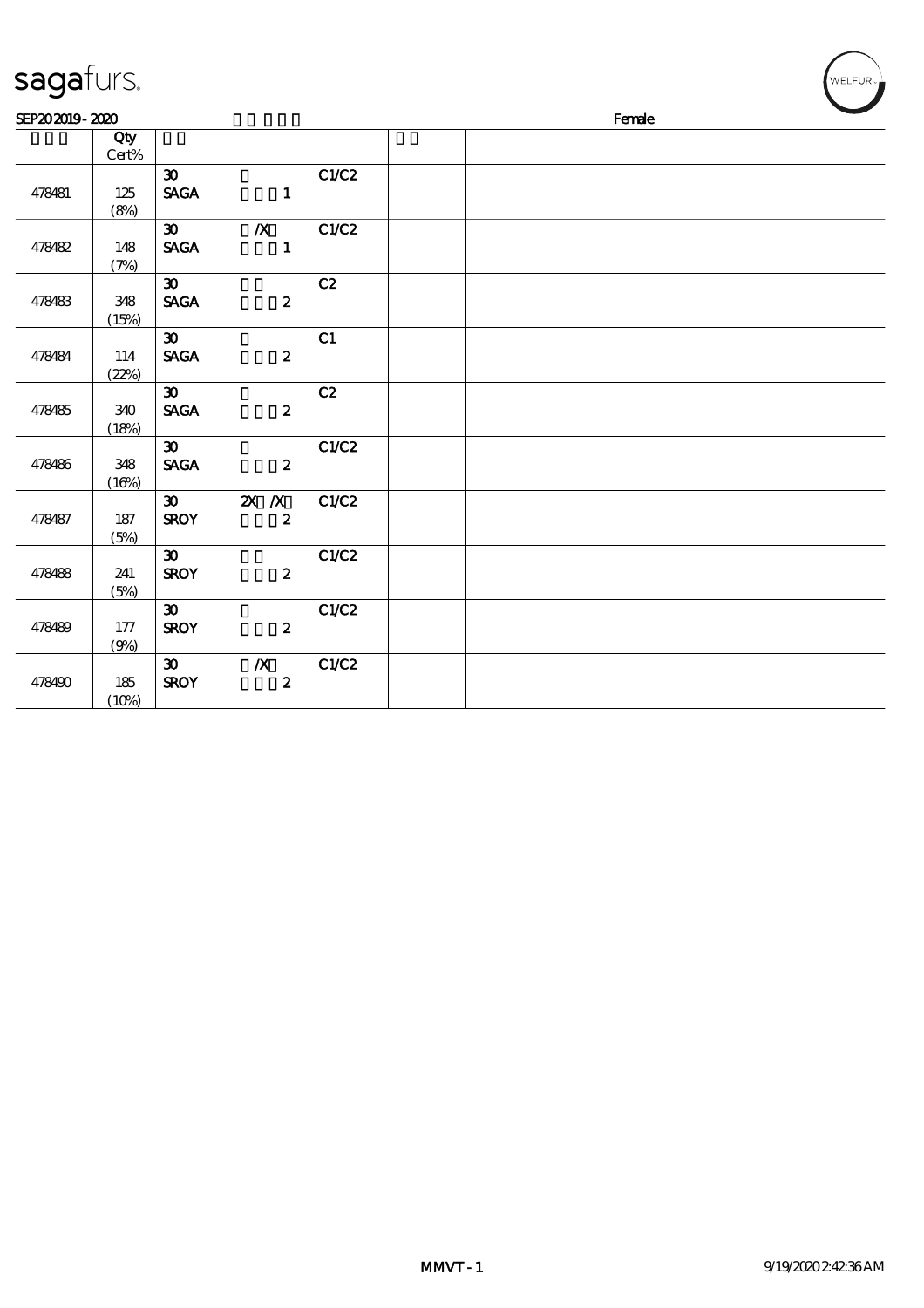| sagafurs.      |                        |                             |                                      |       |  |        | MELFUR <sub>™</sub> |
|----------------|------------------------|-----------------------------|--------------------------------------|-------|--|--------|---------------------|
| SEP202019-2020 |                        |                             |                                      |       |  | Female |                     |
|                | Qty<br>$\mbox{Cert}\%$ |                             |                                      |       |  |        |                     |
|                |                        | $\boldsymbol{\mathfrak{D}}$ |                                      | C1/C2 |  |        |                     |
| 478481         | 125<br>(8%)            | <b>SAGA</b>                 | $\blacksquare$                       |       |  |        |                     |
|                |                        | $\infty$                    | $\chi$ C1/C2                         |       |  |        |                     |
| 478482         | 148<br>(7%)            | <b>SAGA</b>                 | $\mathbf{1}$                         |       |  |        |                     |
|                |                        | $\infty$ <sup>-</sup>       |                                      | C2    |  |        |                     |
| 478483         | 348                    | <b>SAGA</b>                 | $\boldsymbol{2}$                     |       |  |        |                     |
|                | (15%)                  | $\infty$                    |                                      | C1    |  |        |                     |
| 478484         | 114                    | <b>SAGA</b>                 | $\boldsymbol{z}$                     |       |  |        |                     |
|                | (22%)                  |                             |                                      |       |  |        |                     |
|                |                        | $\boldsymbol{\mathfrak{D}}$ |                                      | C2    |  |        |                     |
| 478485         | 340<br>(18%)           | <b>SAGA</b>                 | $\boldsymbol{z}$                     |       |  |        |                     |
|                |                        | $\boldsymbol{\mathfrak{D}}$ |                                      | C1/C2 |  |        |                     |
| 478486         | 348                    | <b>SAGA</b>                 | $\boldsymbol{2}$                     |       |  |        |                     |
|                | (16%)                  |                             |                                      |       |  |        |                     |
|                | 187                    | $\infty$<br><b>SROY</b>     | $\overline{X}$ X<br>$\boldsymbol{z}$ | C1/C2 |  |        |                     |
| 478487         | (5%)                   |                             |                                      |       |  |        |                     |
|                |                        | $\boldsymbol{\mathfrak{D}}$ |                                      | C1/C2 |  |        |                     |
| 478488         | 241                    | <b>SROY</b>                 | $\boldsymbol{z}$                     |       |  |        |                     |
|                | (5%)                   |                             |                                      |       |  |        |                     |
|                |                        | $\boldsymbol{\mathfrak{D}}$ |                                      | C1/C2 |  |        |                     |
| 478489         | 177                    | <b>SROY</b>                 | $\overline{\mathbf{2}}$              |       |  |        |                     |
|                | (9%)                   |                             |                                      |       |  |        |                     |
| 478490         | 185                    | $\infty$<br><b>SROY</b>     | $\mathbb{X}$<br>$\boldsymbol{z}$     | C1/C2 |  |        |                     |
|                | (10%)                  |                             |                                      |       |  |        |                     |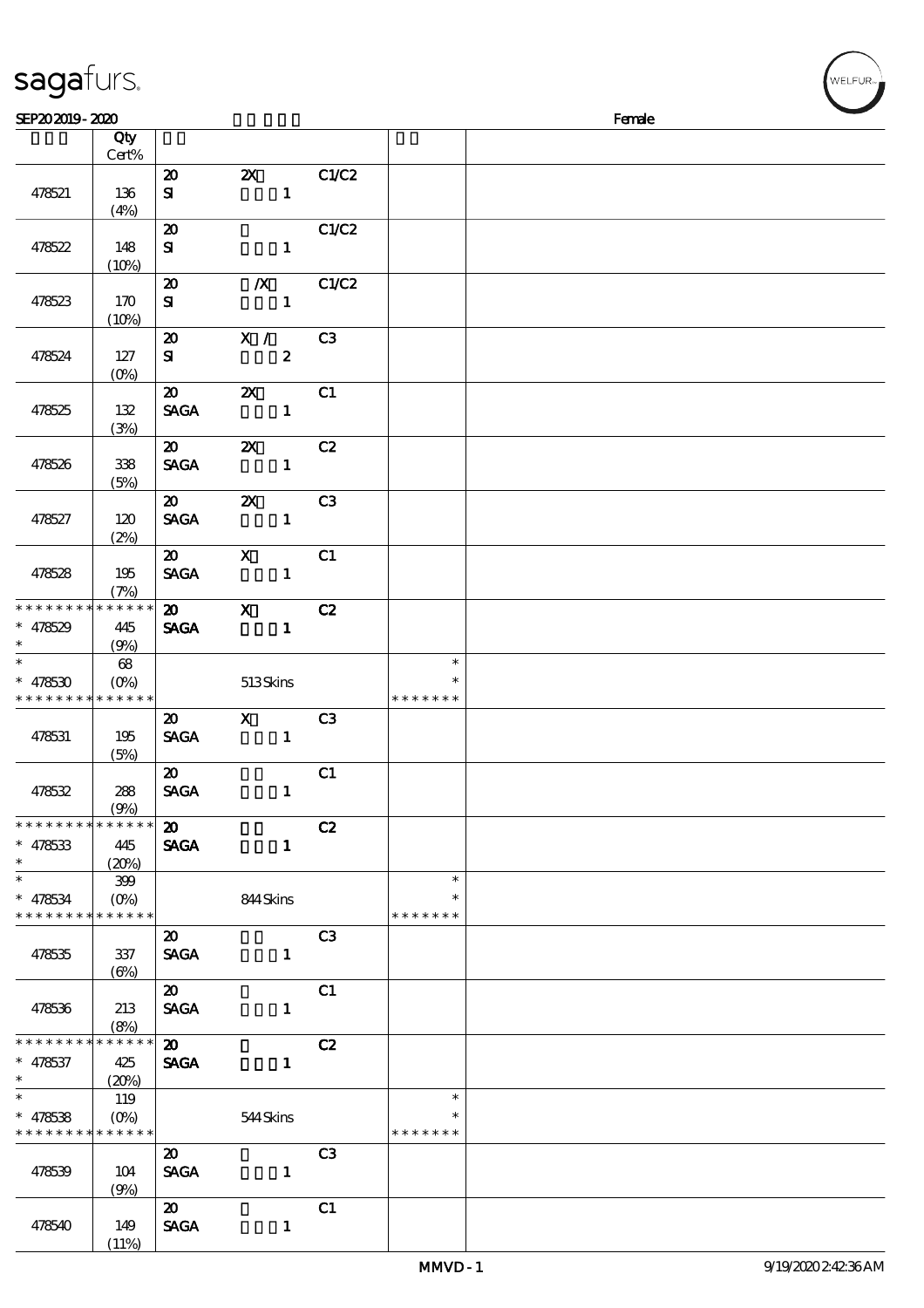| sagafurs.                                              |                |                                            |                                           |                |                         |        | WELFUR <sub>74</sub> |
|--------------------------------------------------------|----------------|--------------------------------------------|-------------------------------------------|----------------|-------------------------|--------|----------------------|
| SEP202019-2020                                         |                |                                            |                                           |                |                         | Female |                      |
|                                                        | Qty<br>Cert%   |                                            |                                           |                |                         |        |                      |
| 478521                                                 | 136            | $\boldsymbol{\mathsf{20}}$<br>${\bf s}$    | $\boldsymbol{\mathsf{Z}}$<br>$\mathbf{1}$ | C1/C2          |                         |        |                      |
|                                                        | (4%)           |                                            |                                           |                |                         |        |                      |
|                                                        |                | $\boldsymbol{\mathsf{20}}$                 |                                           | C1/C2          |                         |        |                      |
| 478522                                                 | 148<br>(10%)   | ${\bf s}$                                  | $\mathbf{1}$                              |                |                         |        |                      |
|                                                        |                | $\boldsymbol{\mathbf{z}}$                  | $\boldsymbol{X}$                          | C1/C2          |                         |        |                      |
| 478523                                                 | 170<br>(10%)   | $\mathbf{S}$                               | $\mathbf{1}$                              |                |                         |        |                      |
|                                                        |                | $\boldsymbol{\mathbf{z}}$                  | X /                                       | C3             |                         |        |                      |
| 478524                                                 | 127<br>$(0\%)$ | $\bf S$                                    | $\boldsymbol{z}$                          |                |                         |        |                      |
|                                                        |                | $\boldsymbol{\mathfrak{D}}$                | $\boldsymbol{\mathsf{z}}$                 | C1             |                         |        |                      |
| 478525                                                 | 132            | <b>SAGA</b>                                | $\mathbf{1}$                              |                |                         |        |                      |
|                                                        | (3%)           | $\boldsymbol{\mathfrak{D}}$                | $\boldsymbol{\mathsf{X}}$                 | C2             |                         |        |                      |
| 478526                                                 | 338            | <b>SAGA</b>                                | $\mathbf{1}$                              |                |                         |        |                      |
|                                                        | (5%)           | $\boldsymbol{\mathfrak{D}}$                | $\boldsymbol{\mathsf{z}}$                 | C3             |                         |        |                      |
| 478527                                                 | 120            | <b>SAGA</b>                                | $\mathbf{1}$                              |                |                         |        |                      |
|                                                        | (2%)           |                                            |                                           |                |                         |        |                      |
| 478528                                                 | 195            | $\boldsymbol{\mathfrak{D}}$<br><b>SAGA</b> | $\boldsymbol{\mathsf{X}}$<br>$\mathbf{1}$ | C1             |                         |        |                      |
|                                                        | (7%)           |                                            |                                           |                |                         |        |                      |
| * * * * * * * *                                        | * * * * * *    | $\boldsymbol{\mathfrak{D}}$                | $\mathbf{x}$                              | C2             |                         |        |                      |
| $* 478529$                                             | 445            | <b>SAGA</b>                                | $\mathbf{1}$                              |                |                         |        |                      |
| $\ast$                                                 | (9%)<br>68     |                                            |                                           |                | $\ast$                  |        |                      |
| $* 478530$                                             | $(0\%)$        |                                            | 513Skins                                  |                | $\ast$                  |        |                      |
| * * * * * * * * <mark>* * * * * *</mark>               |                |                                            |                                           |                | * * * * * * *           |        |                      |
|                                                        |                | $\boldsymbol{\mathsf{20}}$                 | $\mathbf X$                               | C <sub>3</sub> |                         |        |                      |
| 478531                                                 | 195<br>(5%)    | <b>SAGA</b>                                | $\mathbf{1}$                              |                |                         |        |                      |
|                                                        |                | $\boldsymbol{\mathfrak{D}}$                |                                           | C1             |                         |        |                      |
| 478532                                                 | 288<br>(9%)    | <b>SAGA</b>                                | $\mathbf{1}$                              |                |                         |        |                      |
| * * * * * * * * * * * * * *                            |                | $\boldsymbol{\mathfrak{D}}$                |                                           | C2             |                         |        |                      |
| $* 478533$                                             | 445            | <b>SAGA</b>                                | $\mathbf{1}$                              |                |                         |        |                      |
| $\ast$<br>$\ast$                                       | (20%)<br>399   |                                            |                                           |                | $\ast$                  |        |                      |
| $* 478534$                                             |                |                                            | 844Skins                                  |                | ∗                       |        |                      |
| * * * * * * * * * * * * * *                            |                |                                            |                                           |                | * * * * * * *           |        |                      |
|                                                        |                | $\boldsymbol{\mathfrak{D}}$                |                                           | C <sub>3</sub> |                         |        |                      |
| 478535                                                 | 337<br>(6%)    | <b>SAGA</b>                                | $\mathbf{1}$                              |                |                         |        |                      |
|                                                        |                | $\boldsymbol{\mathfrak{D}}$                |                                           | C1             |                         |        |                      |
| 478536                                                 | 213<br>(8%)    | <b>SAGA</b>                                | $\mathbf{1}$                              |                |                         |        |                      |
| * * * * * * * *                                        | * * * * * *    | $\boldsymbol{\mathfrak{D}}$                |                                           | C2             |                         |        |                      |
| $* 478537$<br>$\ast$                                   | 425<br>(20%)   | <b>SAGA</b>                                | $\mathbf{1}$                              |                |                         |        |                      |
| $\ast$                                                 | 119            |                                            |                                           |                | $\ast$                  |        |                      |
| $* 478538$<br>* * * * * * * * <mark>* * * * * *</mark> |                |                                            | 544Skins                                  |                | $\ast$<br>* * * * * * * |        |                      |
|                                                        |                | $\boldsymbol{\mathfrak{D}}$                |                                           | C <sub>3</sub> |                         |        |                      |
| 478539                                                 | 104            | <b>SAGA</b>                                | $\mathbf{1}$                              |                |                         |        |                      |
|                                                        | (9%)           | $\boldsymbol{\mathfrak{D}}$                |                                           | C1             |                         |        |                      |
| 478540                                                 | 149            | <b>SAGA</b>                                | $\mathbf{1}$                              |                |                         |        |                      |

 $(11%)$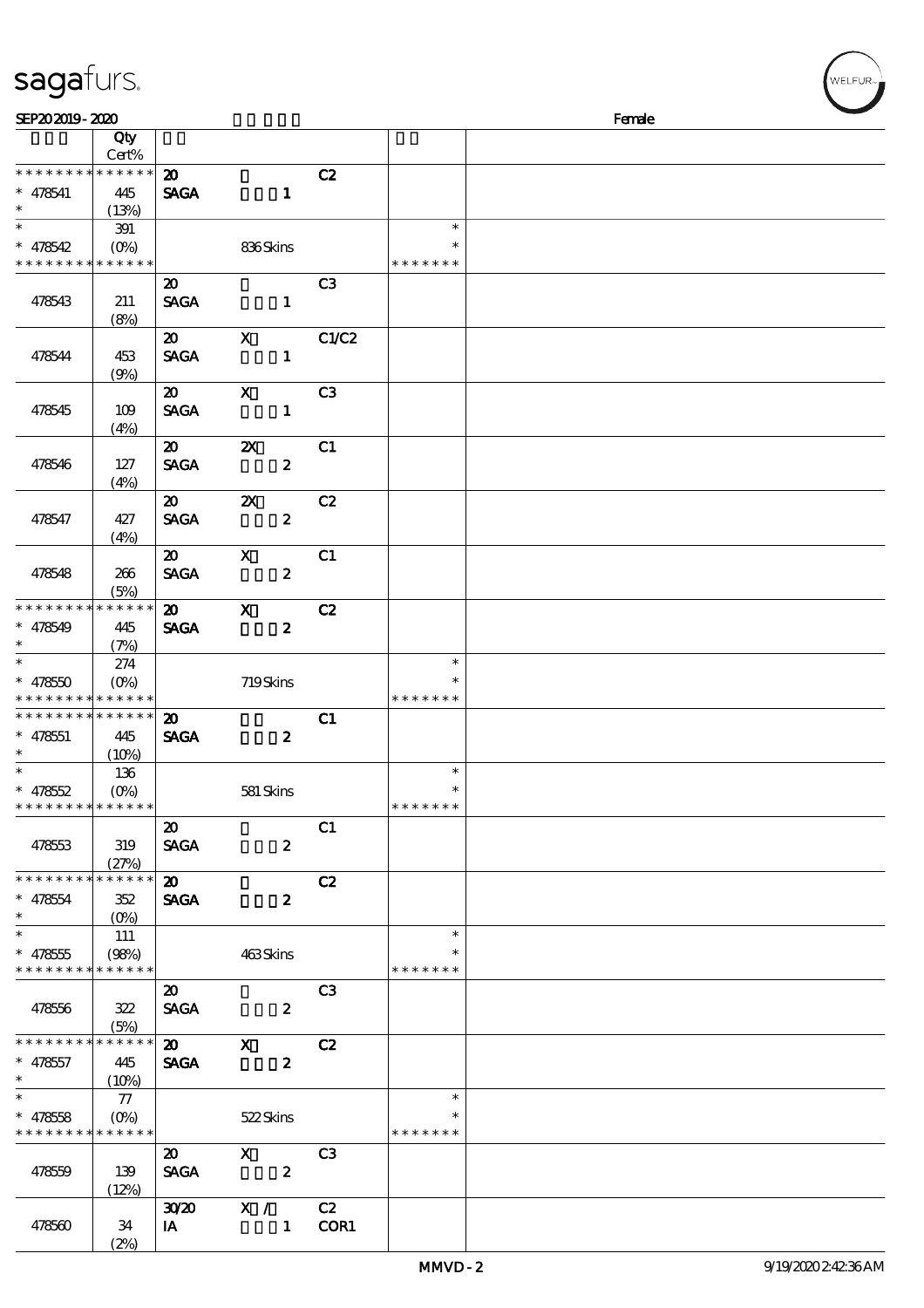| sagafurs.                                                        |                                         |                                            |                                               |                |                                   |        | WELFUR <sub>™</sub> |
|------------------------------------------------------------------|-----------------------------------------|--------------------------------------------|-----------------------------------------------|----------------|-----------------------------------|--------|---------------------|
| SEP202019-2020                                                   |                                         |                                            |                                               |                |                                   | Female |                     |
|                                                                  | Qty<br>Cert%                            |                                            |                                               |                |                                   |        |                     |
| * * * * * * * * * * * * * *<br>$* 478541$<br>$\ast$              | 445<br>(13%)                            | $\boldsymbol{\mathbf{z}}$<br><b>SAGA</b>   | $\mathbf{1}$                                  | C2             |                                   |        |                     |
| $\ast$<br>$* 478542$<br>* * * * * * * * <mark>* * * * * *</mark> | 391<br>$(O\%)$                          |                                            | 836Skins                                      |                | $\ast$<br>$\ast$<br>* * * * * * * |        |                     |
| 478543                                                           | 211<br>(8%)                             | $\boldsymbol{\mathsf{20}}$<br><b>SAGA</b>  | $\mathbf{1}$                                  | C <sub>3</sub> |                                   |        |                     |
| 478544                                                           | 453<br>(9%)                             | $\boldsymbol{\mathfrak{D}}$<br><b>SAGA</b> | $\mathbf X$<br>$\mathbf{1}$                   | C1/C2          |                                   |        |                     |
| 478545                                                           | 109<br>(4%)                             | $\boldsymbol{\mathfrak{D}}$<br><b>SAGA</b> | $\boldsymbol{\mathrm{X}}$<br>$\mathbf{1}$     | C <sub>3</sub> |                                   |        |                     |
| 478546                                                           | 127<br>(4%)                             | $\boldsymbol{\mathfrak{D}}$<br><b>SAGA</b> | $\boldsymbol{\mathsf{z}}$<br>$\boldsymbol{z}$ | C1             |                                   |        |                     |
| 478547                                                           | 427<br>(4%)                             | $\boldsymbol{\mathfrak{D}}$<br><b>SAGA</b> | $\boldsymbol{\mathsf{X}}$<br>$\boldsymbol{z}$ | C2             |                                   |        |                     |
| 478548                                                           | 266<br>(5%)                             | $\boldsymbol{\mathfrak{D}}$<br><b>SAGA</b> | $\mathbf{x}$<br>$\boldsymbol{z}$              | C1             |                                   |        |                     |
| * * * * * * * * <mark>* * * * * * *</mark><br>$* 478549$         | 445<br>(7%)                             | $\boldsymbol{\mathfrak{D}}$<br><b>SAGA</b> | $\mathbf{x}$<br>$\boldsymbol{z}$              | C2             |                                   |        |                     |
| $\ast$<br>$* 47850$                                              | 274<br>$(O\%)$<br>* * * * * * * * * * * |                                            | 719Skins                                      |                | $\ast$<br>$\ast$<br>* * * * * * * |        |                     |
| * * * * * * * * * * * * * *<br>$* 478551$<br>$\ast$              | 445<br>(10%)                            | $\boldsymbol{\mathbf{z}}$<br><b>SAGA</b>   | $\boldsymbol{2}$                              | C1             |                                   |        |                     |
| $\ast$<br>$* 478552$<br>* * * * * * * * * * * * * *              | 136<br>$(0\%)$                          |                                            | 581 Skins                                     |                | $\ast$<br>$\ast$<br>* * * * * * * |        |                     |
| 478553                                                           | 319<br>(27%)                            | $\boldsymbol{\mathfrak{D}}$<br><b>SAGA</b> | $\boldsymbol{z}$                              | C1             |                                   |        |                     |
| * * * * * * * *<br>$* 478554$<br>$\ast$                          | * * * * * *<br>352<br>$(O\%)$           | $\boldsymbol{\mathfrak{D}}$<br><b>SAGA</b> | $\boldsymbol{z}$                              | C2             |                                   |        |                     |
| $\ast$<br>$* 478555$<br>* * * * * * * * * * * * * *              | 111<br>(98%)                            |                                            | 463Skins                                      |                | $\ast$<br>∗<br>* * * * * * *      |        |                     |
| 478556                                                           | 322<br>(5%)                             | $\boldsymbol{\mathfrak{D}}$<br><b>SAGA</b> | $\boldsymbol{z}$                              | C <sub>3</sub> |                                   |        |                     |
| * * * * * * * *<br>$* 478557$<br>$\ast$                          | * * * * * *<br>-445<br>(10%)            | $\boldsymbol{\omega}$<br><b>SAGA</b>       | $\mathbf{x}$<br>$\boldsymbol{z}$              | C2             |                                   |        |                     |
| $\ast$<br>$* 478558$<br>* * * * * * * * * * * * * *              | $\mathcal{L}$<br>$(O\!/\!\!\delta)$     |                                            | 522Skins                                      |                | $\ast$<br>$\ast$<br>* * * * * * * |        |                     |
| 478559                                                           | 139<br>(12%)                            | $\boldsymbol{\mathfrak{D}}$<br><b>SAGA</b> | $\mathbf{X}$<br>$\overline{\mathbf{z}}$       | C <sub>3</sub> |                                   |        |                     |
| 478560                                                           | 34                                      | 3020<br>IA                                 | $X / \sqrt{2}$<br>$\mathbf{1}$                | C2<br>COR1     |                                   |        |                     |

(2%)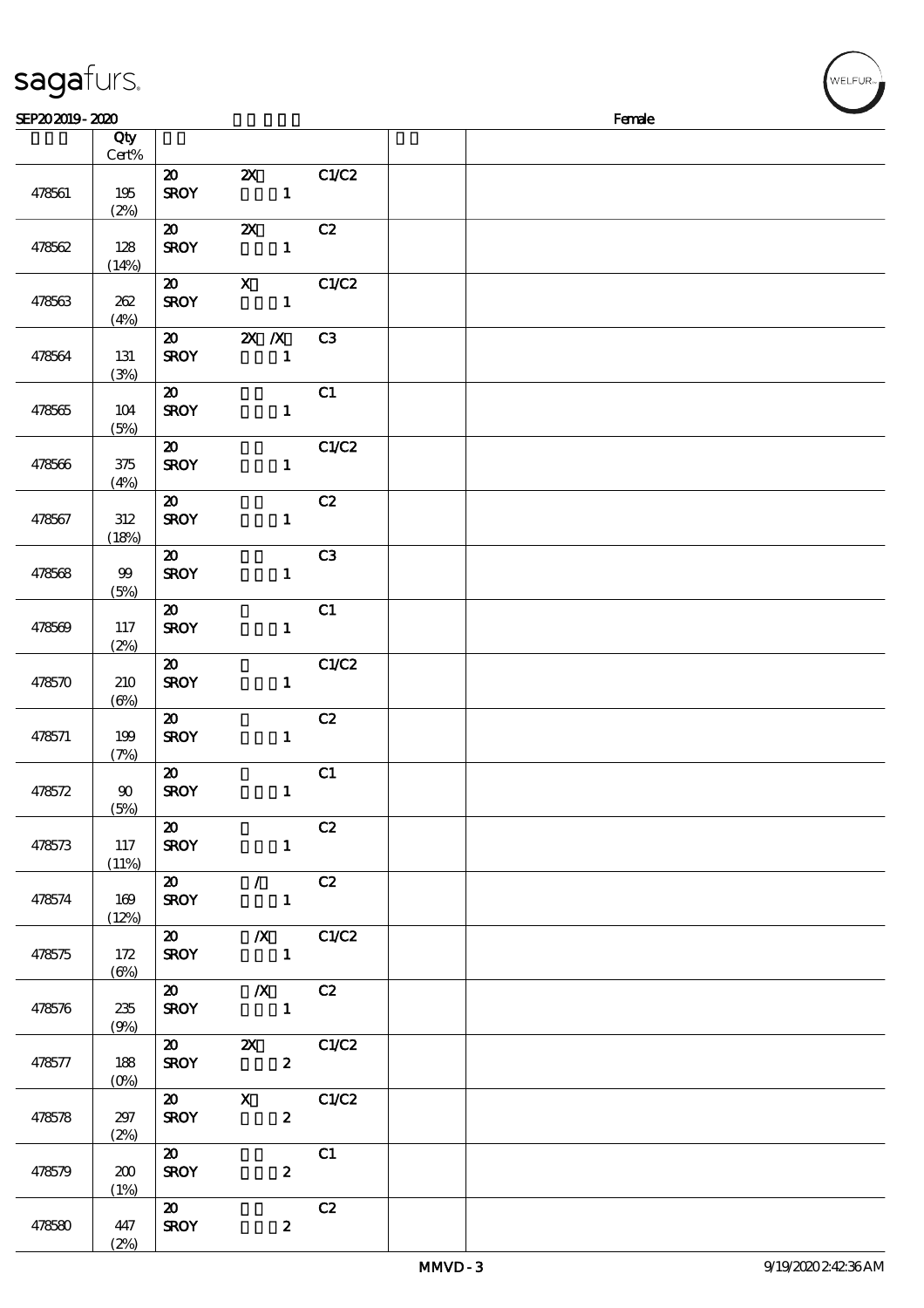| sagafurs.<br>SEP202019-2020 |             |                                           |                           |                |  | Female |  |
|-----------------------------|-------------|-------------------------------------------|---------------------------|----------------|--|--------|--|
|                             | Qty         |                                           |                           |                |  |        |  |
|                             | Cert%       |                                           |                           |                |  |        |  |
|                             |             | $\boldsymbol{\mathfrak{D}}$               | $\boldsymbol{\mathsf{Z}}$ | C1/C2          |  |        |  |
| 478561                      | 195         | <b>SROY</b>                               | $\mathbf{1}$              |                |  |        |  |
|                             | (2%)        | $\boldsymbol{\mathfrak{D}}$               | $\boldsymbol{\mathsf{z}}$ | C2             |  |        |  |
| 478562                      | 128         | <b>SROY</b>                               | $\mathbf{1}$              |                |  |        |  |
|                             | (14%)       |                                           |                           |                |  |        |  |
|                             |             | $\boldsymbol{\mathfrak{D}}$               | $\boldsymbol{\mathsf{X}}$ | C1/C2          |  |        |  |
| 478563                      | 262         | <b>SROY</b>                               | $\mathbf{1}$              |                |  |        |  |
|                             | (4%)        |                                           |                           |                |  |        |  |
| 478564                      | 131         | $\boldsymbol{\mathsf{20}}$<br><b>SROY</b> | $X$ $N$<br>$\mathbf{1}$   | C3             |  |        |  |
|                             | (3%)        |                                           |                           |                |  |        |  |
|                             |             | $\boldsymbol{\mathfrak{D}}$               |                           | C1             |  |        |  |
| 478565                      | 104         | <b>SROY</b>                               | $\mathbf{1}$              |                |  |        |  |
|                             | (5%)        |                                           |                           |                |  |        |  |
|                             |             | $\boldsymbol{\mathfrak{D}}$               |                           | C1/C2          |  |        |  |
| 478566                      | 375<br>(4%) | <b>SROY</b>                               | $\mathbf{1}$              |                |  |        |  |
|                             |             | $\boldsymbol{\mathfrak{D}}$               |                           | C2             |  |        |  |
| 478567                      | 312         | <b>SROY</b>                               | $\mathbf{1}$              |                |  |        |  |
|                             | (18%)       |                                           |                           |                |  |        |  |
|                             |             | $\boldsymbol{\mathfrak{D}}$               |                           | C <sub>3</sub> |  |        |  |
| 478568                      | 99          | <b>SROY</b>                               | $\mathbf{1}$              |                |  |        |  |
|                             | (5%)        | $\boldsymbol{\mathfrak{D}}$               |                           | C1             |  |        |  |
| 478569                      | 117         | <b>SROY</b>                               | $\mathbf{1}$              |                |  |        |  |
|                             | (2%)        |                                           |                           |                |  |        |  |
|                             |             | $\boldsymbol{\mathfrak{D}}$               |                           | C1/C2          |  |        |  |
| 478570                      | 210         | <b>SROY</b>                               | $\mathbf{1}$              |                |  |        |  |
|                             | $(\Theta)$  | $\boldsymbol{\mathfrak{D}}$               |                           | C2             |  |        |  |
| 478571                      | 199         | <b>SROY</b>                               | $\mathbf{1}$              |                |  |        |  |
|                             | (7%)        |                                           |                           |                |  |        |  |
|                             |             | $\boldsymbol{\mathfrak{D}}$               |                           | C1             |  |        |  |
| 478572                      | 90          | <b>SROY</b>                               | $\mathbf{1}$              |                |  |        |  |
|                             | (5%)        | $\boldsymbol{\mathsf{20}}$                |                           | C2             |  |        |  |
| 478573                      | 117         | <b>SROY</b>                               | $\mathbf{1}$              |                |  |        |  |
|                             | (11%)       |                                           |                           |                |  |        |  |
|                             |             | $\boldsymbol{\mathfrak{D}}$               | $\sqrt{C^2}$              |                |  |        |  |
| 478574                      | 169         | <b>SROY</b>                               | $\mathbf{1}$              |                |  |        |  |
|                             | (12%)       | $\boldsymbol{\mathsf{20}}$                |                           | $\chi$ C1/C2   |  |        |  |
| 478575                      | 172         | <b>SROY</b>                               |                           |                |  |        |  |
|                             | $(\Theta)$  |                                           |                           |                |  |        |  |
|                             |             | $\boldsymbol{\omega}$                     | $\chi$ C <sub>2</sub>     |                |  |        |  |
| 478576                      | 235         | <b>SROY</b>                               | $\overline{1}$            |                |  |        |  |
|                             | (9%)        | $\boldsymbol{\omega}$                     | 2X C1/C2                  |                |  |        |  |
| 478577                      | 188         | <b>SROY</b>                               | $\boldsymbol{z}$          |                |  |        |  |
|                             | $(O\%)$     |                                           |                           |                |  |        |  |
|                             |             | $\boldsymbol{\mathsf{20}}$                | $\mathbf{X}$              | C1/C2          |  |        |  |
| 478578                      | 297         | <b>SROY</b>                               | $\boldsymbol{z}$          |                |  |        |  |
|                             | (2%)        | $\boldsymbol{\omega}$                     |                           | C1             |  |        |  |
| 478579                      | 200         | <b>SROY</b>                               | $\boldsymbol{z}$          |                |  |        |  |
|                             | (1%)        |                                           |                           |                |  |        |  |
|                             |             | $\boldsymbol{\mathfrak{D}}$               |                           | C2             |  |        |  |
| 478580                      | 447         | <b>SROY</b>                               | $\boldsymbol{z}$          |                |  |        |  |

 $(2%)$ 

 $(w$ elfur $_{w}$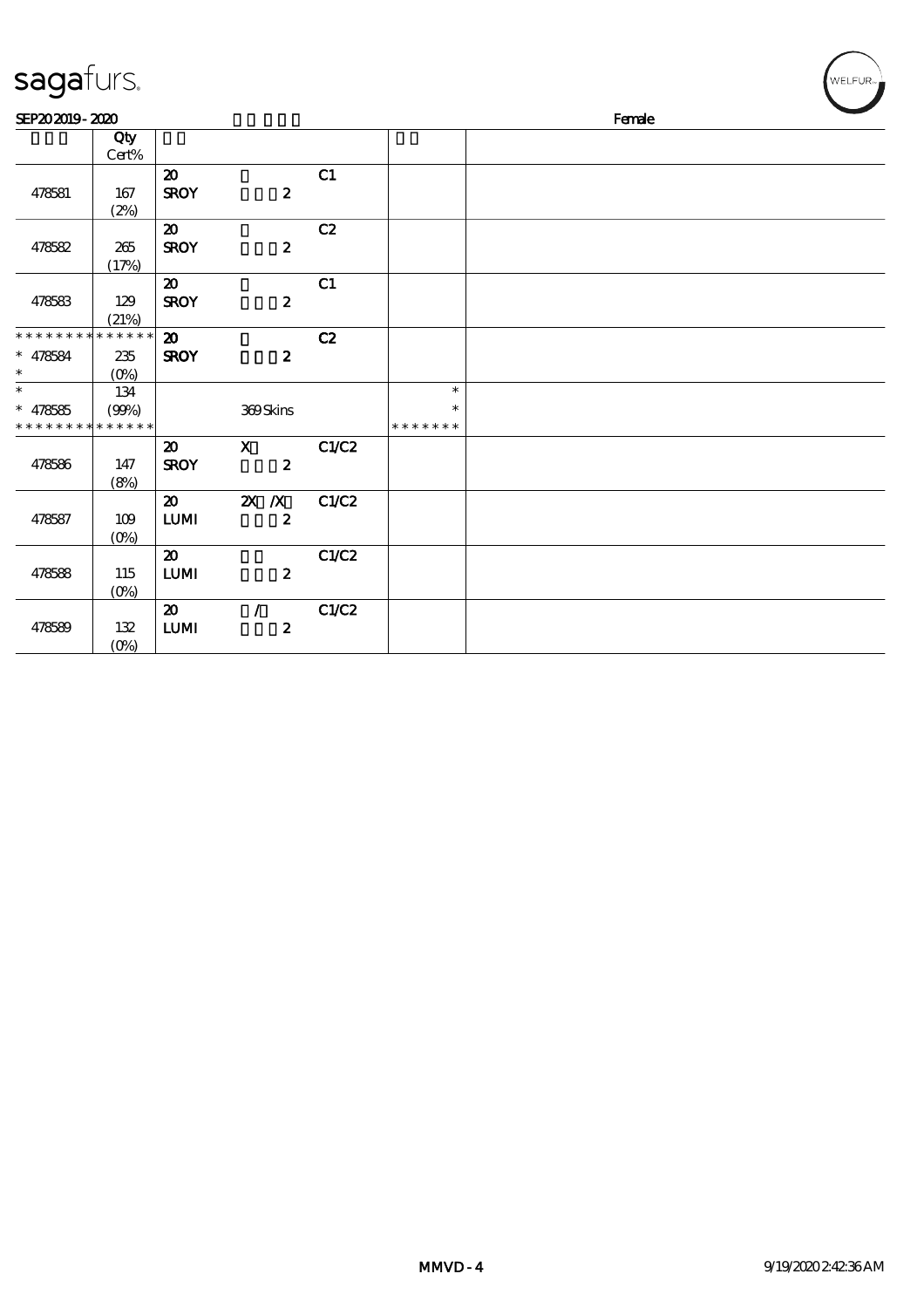| sagafurs.                                                          |                                       |                                            |                                  |       |                                   | WELFUR <sub>74</sub> |
|--------------------------------------------------------------------|---------------------------------------|--------------------------------------------|----------------------------------|-------|-----------------------------------|----------------------|
| SEP202019-2020                                                     |                                       |                                            |                                  |       |                                   | Female               |
|                                                                    | Qty<br>Cert%                          |                                            |                                  |       |                                   |                      |
| 478581                                                             | 167<br>(2%)                           | $\boldsymbol{\mathbf{z}}$<br><b>SROY</b>   | $\boldsymbol{z}$                 | C1    |                                   |                      |
| 478582                                                             | 265<br>(17%)                          | $\boldsymbol{\mathfrak{D}}$<br><b>SROY</b> | $\boldsymbol{z}$                 | C2    |                                   |                      |
| 478583                                                             | 129<br>(21%)                          | $\boldsymbol{\mathfrak{D}}$<br><b>SROY</b> | $\boldsymbol{z}$                 | C1    |                                   |                      |
| * * * * * * * * <mark>* * * * * * *</mark><br>$* 478584$<br>$\ast$ | 235<br>$(O\%)$                        | $\boldsymbol{\mathbf{z}}$<br><b>SROY</b>   | $\boldsymbol{z}$                 | C2    |                                   |                      |
| $\ast$<br>$* 478585$                                               | 134<br>(90%)<br>* * * * * * * * * * * |                                            | 369Skins                         |       | $\ast$<br>$\ast$<br>* * * * * * * |                      |
| 478586                                                             | 147<br>(8%)                           | $\boldsymbol{\mathbf{z}}$<br><b>SROY</b>   | $\mathbf{x}$<br>$\boldsymbol{2}$ | C1/C2 |                                   |                      |
| 478587                                                             | 109<br>$(O\%)$                        | $\boldsymbol{\mathfrak{D}}$<br><b>LUMI</b> | $X$ $N$<br>$\boldsymbol{2}$      | C1/C2 |                                   |                      |
| 478588                                                             | 115<br>$(O\%)$                        | $\boldsymbol{\mathfrak{D}}$<br><b>LUMI</b> | $\boldsymbol{z}$                 | C1/C2 |                                   |                      |
| 478589                                                             | 132<br>$(O\!/\!\!\delta)$             | $\boldsymbol{\mathfrak{D}}$<br>${\bf LUM}$ | $\sqrt{ }$<br>$\boldsymbol{2}$   | C1/C2 |                                   |                      |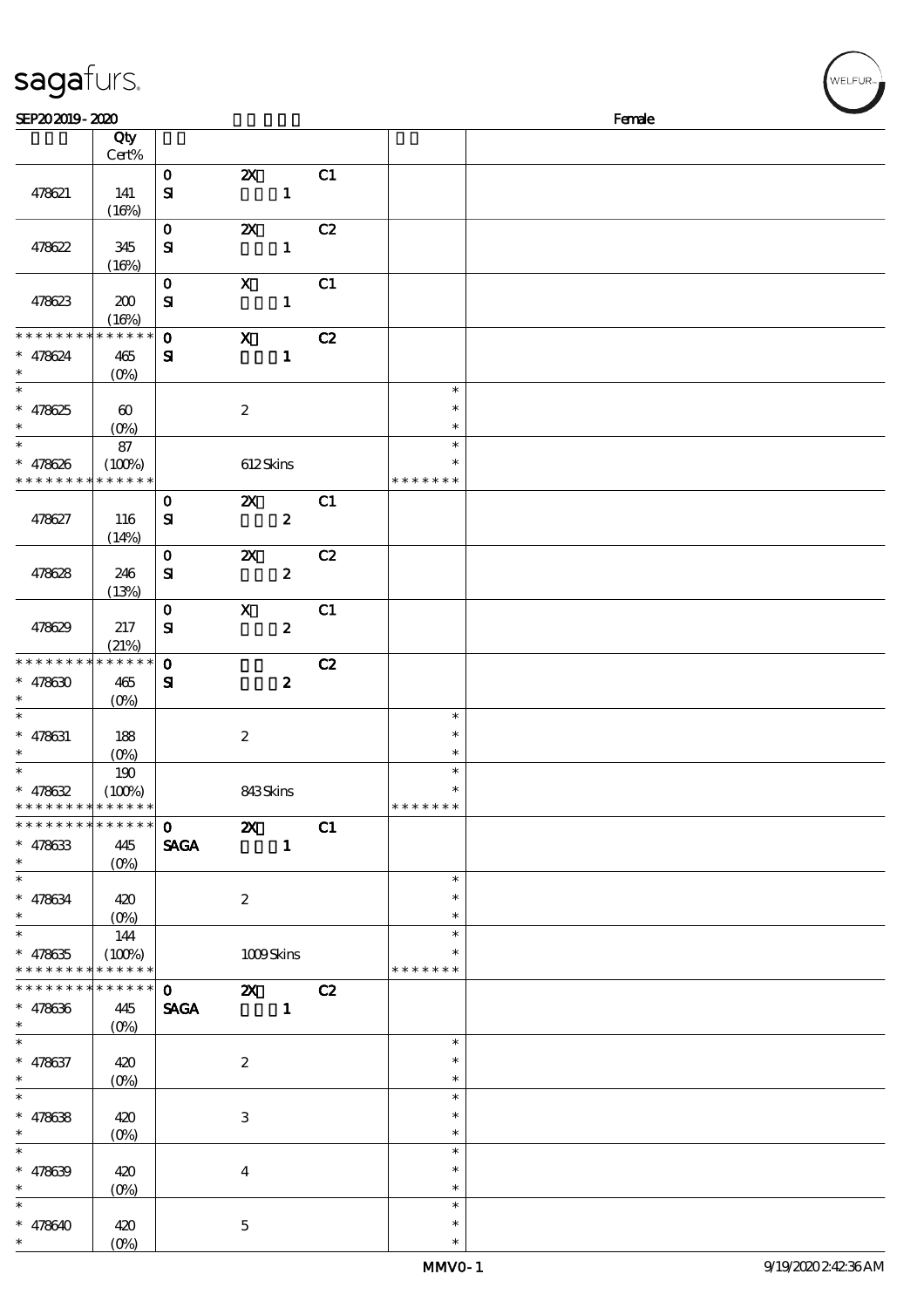| sagafurs.                                             |                                            |                              |                                      |                |    |                                   |        | WELFUR <sub>™</sub> |
|-------------------------------------------------------|--------------------------------------------|------------------------------|--------------------------------------|----------------|----|-----------------------------------|--------|---------------------|
| SEP202019-2020                                        |                                            |                              |                                      |                |    |                                   | Female |                     |
|                                                       | Qty<br>Cert%                               |                              |                                      |                |    |                                   |        |                     |
| 478621                                                | 141<br>(16%)                               | $\mathbf{o}$<br>$\mathbf{S}$ | $\boldsymbol{\mathsf{z}}$            | $\mathbf{1}$   | C1 |                                   |        |                     |
| 478622                                                | 345<br>(16%)                               | $\mathbf 0$<br>${\bf s}$     | $\boldsymbol{\mathsf{z}}$            | $\mathbf{1}$   | C2 |                                   |        |                     |
| 478623                                                | 200<br>(16%)                               | $\mathbf 0$<br>$\mathbf{S}$  | $\boldsymbol{\mathrm{X}}$            | $\mathbf{1}$   | C1 |                                   |        |                     |
| * * * * * * * *<br>$* 478624$                         | * * * * * *<br>$465$<br>$(O\%)$            | $\mathbf{o}$<br>$\mathbf{S}$ | $\mathbf X$                          | $\mathbf 1$    | C2 |                                   |        |                     |
| $\ast$<br>$* 478625$                                  | $\boldsymbol{\omega}$<br>(O <sub>0</sub> ) |                              | $\boldsymbol{2}$                     |                |    | $\ast$<br>$\ast$<br>$\ast$        |        |                     |
| $\ast$<br>$* 478626$<br>* * * * * * * *               | 87<br>(100%)<br>* * * * * *                |                              | 612Skins                             |                |    | $\ast$<br>$\ast$<br>* * * * * * * |        |                     |
| 478627                                                | 116<br>(14%)                               | $\mathbf{o}$<br>${\bf s}$    | $\boldsymbol{\mathsf{z}}$            | $\pmb{2}$      | C1 |                                   |        |                     |
| 478628                                                | 246<br>(13%)                               | $\mathbf 0$<br>${\bf s}$     | $\pmb{\mathsf{Z}}$                   | $\pmb{2}$      | C2 |                                   |        |                     |
| 478629                                                | $217\,$<br>(21%)                           | $\mathbf 0$<br>$\mathbf{S}$  | $\mathbf X$                          | $\pmb{2}$      | C1 |                                   |        |                     |
| * * * * * * * *<br>$* 478630$                         | * * * * * *<br>465<br>$(O\%)$              | $\mathbf 0$<br>$\mathbf{S}$  |                                      | $\pmb{2}$      | C2 |                                   |        |                     |
| $\ast$<br>$* 478631$<br>$\ast$                        | 188<br>(0%)                                |                              | $\boldsymbol{2}$                     |                |    | $\ast$<br>$\ast$<br>$\ast$        |        |                     |
| $\ast$<br>$* 478632$<br>* * * * * * * *               | 190<br>(100%)<br>* * * * * *               |                              | 843Skins                             |                |    | $\ast$<br>$\ast$<br>* * * * * * * |        |                     |
| * * * * * * * * * * * * * *<br>$* 478633$<br>$\ast$   | 445                                        | $\mathbf 0$<br><b>SAGA</b>   | <b>2X</b> C1                         | $\blacksquare$ |    |                                   |        |                     |
| $\ast$<br>$* 478634$<br>$\ast$                        | 420                                        |                              | $\boldsymbol{2}$                     |                |    | $\ast$<br>∗<br>$\ast$             |        |                     |
| $\ast$<br>$* 478635$<br>* * * * * * * * * * * * * *   | 144<br>(100%)                              |                              | 1009Skins                            |                |    | $\ast$<br>* * * * * * *           |        |                     |
| * * * * * * * * * * * * * * *<br>$* 478636$<br>$\ast$ | 445<br>$(O\%)$                             | $\mathbf{0}$<br><b>SAGA</b>  | <b>2X</b> C <sub>2</sub><br>$\sim$ 1 |                |    |                                   |        |                     |
| $\ast$<br>$* 478637$<br>$\ast$                        | 420<br>$(0\%)$                             |                              | $\boldsymbol{2}$                     |                |    | $\ast$<br>$\ast$<br>$\ast$        |        |                     |
| $\ast$<br>$* 478638$<br>$\ast$                        | 420<br>$(0\%)$                             |                              | $\,3$                                |                |    | $\ast$<br>$\ast$<br>$\ast$        |        |                     |
| $\ast$<br>$* 478639$<br>$\ast$                        | 420<br>$(O\%)$                             |                              | $\bf{4}$                             |                |    | $\ast$<br>$\ast$<br>$\ast$        |        |                     |

\*\*\*

 $\ast$  $\ast$ 

\*\*\*

 $\ast$ 

 $* 478640 | 420$ 

 $(0%)$ 

5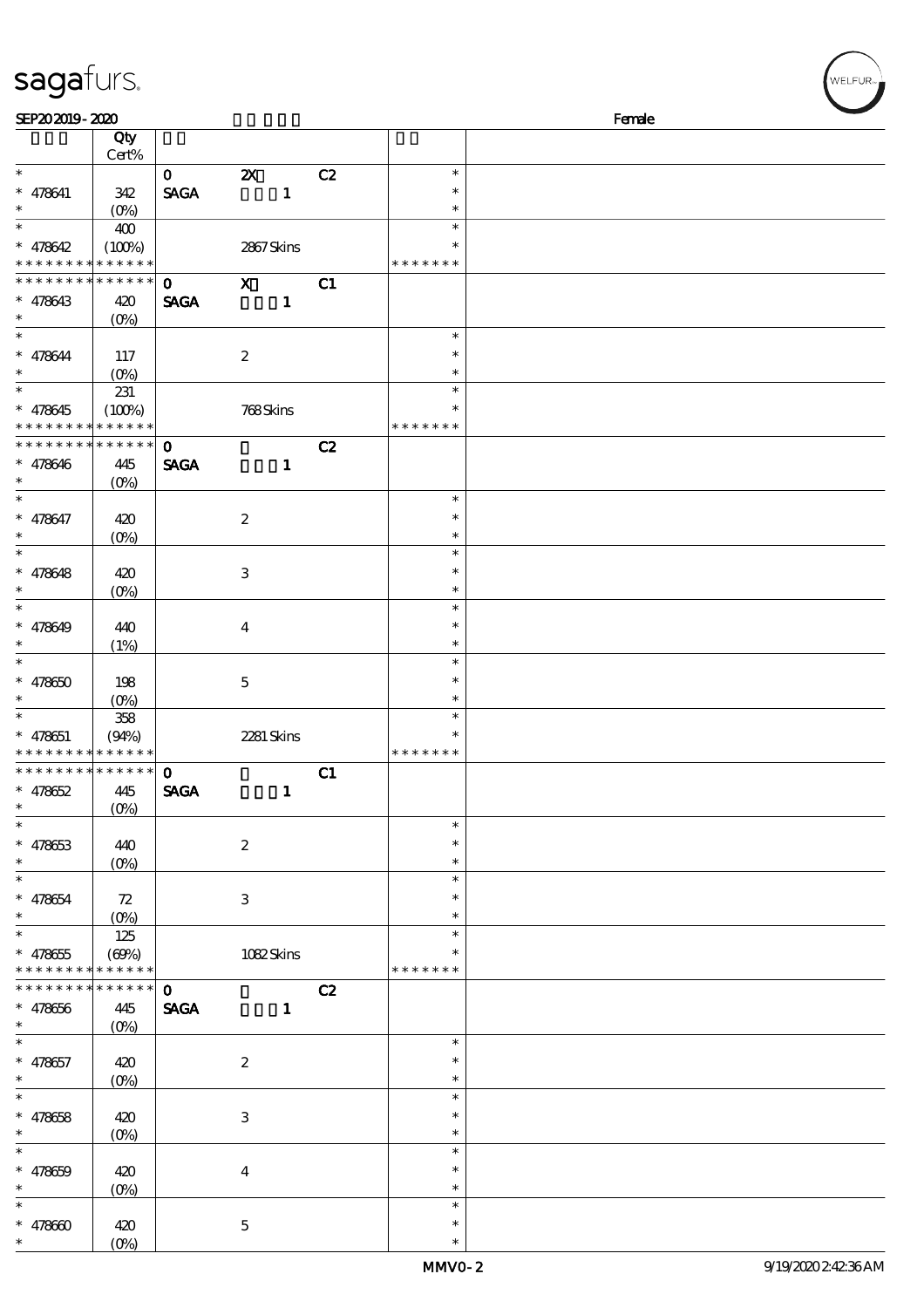#### sagafurs.

| SEP202019-2020              |                    |                              |                           |    |               | Female |
|-----------------------------|--------------------|------------------------------|---------------------------|----|---------------|--------|
|                             | Qty                |                              |                           |    |               |        |
|                             | $Cert\%$           |                              |                           |    |               |        |
| $\ast$                      |                    | $\mathbf{0}$                 | $\boldsymbol{\mathsf{z}}$ | C2 | $\ast$        |        |
| $* 478641$                  | 342                | $\ensuremath{\mathsf{SAGA}}$ | $\mathbf{1}$              |    | $\ast$        |        |
| $\ast$                      |                    |                              |                           |    | $\ast$        |        |
| $\ast$                      | $(O_0)$            |                              |                           |    | $\ast$        |        |
|                             | 400                |                              |                           |    |               |        |
| $* 478642$                  | (100%)             |                              | 2867Skins                 |    | $\ast$        |        |
| * * * * * * * * * * * * * * |                    |                              |                           |    | * * * * * * * |        |
| * * * * * * * *             | * * * * * *        | $\mathbf 0$                  | $\mathbf{x}$              | C1 |               |        |
| $* 478643$                  | 420                | <b>SAGA</b>                  | $\mathbf{1}$              |    |               |        |
| $\ast$                      | $(0\%)$            |                              |                           |    |               |        |
| $\ast$                      |                    |                              |                           |    | $\ast$        |        |
| $* 478644$                  |                    |                              |                           |    | $\ast$        |        |
| $\ast$                      | 117                |                              | $\boldsymbol{2}$          |    | $\ast$        |        |
|                             | (0%)               |                              |                           |    |               |        |
| $\ast$                      | 231                |                              |                           |    | $\ast$        |        |
| $* 478645$                  | (100%)             |                              | 768Skins                  |    | $\ast$        |        |
| * * * * * * * *             | * * * * * *        |                              |                           |    | * * * * * * * |        |
| * * * * * * * *             | $******$           | $\mathbf{o}$                 |                           | C2 |               |        |
| $* 478646$                  | 445                | <b>SAGA</b>                  | $\mathbf{1}$              |    |               |        |
| $\ast$                      | $(O\%)$            |                              |                           |    |               |        |
| $\ast$                      |                    |                              |                           |    | $\ast$        |        |
|                             |                    |                              |                           |    | $\ast$        |        |
| $* 478647$                  | 420                |                              | $\boldsymbol{z}$          |    |               |        |
| $\ast$                      | $(O\!/\!\delta)$   |                              |                           |    | $\ast$        |        |
| $\ast$                      |                    |                              |                           |    | $\ast$        |        |
| $* 478648$                  | 420                |                              | 3                         |    | $\ast$        |        |
| $\ast$                      | $(0\%)$            |                              |                           |    | $\ast$        |        |
| $\ast$                      |                    |                              |                           |    | $\ast$        |        |
| $* 478649$                  | 440                |                              | $\overline{\mathbf{4}}$   |    | $\ast$        |        |
| $\ast$                      | (1%)               |                              |                           |    | $\ast$        |        |
| $\ast$                      |                    |                              |                           |    | $\ast$        |        |
|                             |                    |                              |                           |    | $\ast$        |        |
| $* 478650$                  | 198                |                              | $\mathbf{5}$              |    |               |        |
| $\ast$                      | $(0\%)$            |                              |                           |    | $\ast$        |        |
| $\ast$                      | 358                |                              |                           |    | $\ast$        |        |
| $* 478651$                  | (94%)              |                              | 2281 Skins                |    |               |        |
| * * * * * * * * * * * * * * |                    |                              |                           |    | * * * * * * * |        |
| **************              |                    | $\mathbf{o}$                 |                           | C1 |               |        |
| $* 478652$                  | 445                | <b>SAGA</b>                  | $\mathbf{1}$              |    |               |        |
| $*$                         | $(0\%)$            |                              |                           |    |               |        |
| $\ast$                      |                    |                              |                           |    | $\ast$        |        |
|                             |                    |                              |                           |    | $\ast$        |        |
| $* 478653$                  | 440                |                              | $\boldsymbol{2}$          |    |               |        |
| $\ast$                      | $(0\%)$            |                              |                           |    | $\ast$        |        |
| $\ast$                      |                    |                              |                           |    | $\ast$        |        |
| $* 478654$                  | 72                 |                              | 3                         |    | $\ast$        |        |
| $\ast$                      | $(0\%)$            |                              |                           |    | $\ast$        |        |
| $\ast$                      | 125                |                              |                           |    | $\ast$        |        |
| $* 478655$                  | (60%)              |                              | 1082Skins                 |    |               |        |
| * * * * * * * *             | * * * * * *        |                              |                           |    | * * * * * * * |        |
| * * * * * * * *             | * * * * * *        | $\mathbf 0$                  |                           | C2 |               |        |
|                             |                    |                              |                           |    |               |        |
| $* 478656$                  | 445                | <b>SAGA</b>                  | $\mathbf{1}$              |    |               |        |
| $\ast$                      | $(0\%)$            |                              |                           |    |               |        |
| $\ast$                      |                    |                              |                           |    | $\ast$        |        |
| $* 478657$                  | 420                |                              | $\boldsymbol{2}$          |    | $\ast$        |        |
| $\ast$                      | $(O\!/\!\!\delta)$ |                              |                           |    | $\ast$        |        |
| $\ast$                      |                    |                              |                           |    | $\ast$        |        |
| $* 478658$                  | 420                |                              | $\ensuremath{\mathsf{3}}$ |    | $\ast$        |        |
| $\ast$                      | $(0\%)$            |                              |                           |    | $\ast$        |        |
| $\ast$                      |                    |                              |                           |    | $\ast$        |        |
|                             |                    |                              |                           |    |               |        |
| $* 478659$                  | 420                |                              | $\bf{4}$                  |    | $\ast$        |        |
| $\ast$                      | $(0\%)$            |                              |                           |    | $\ast$        |        |
| $\ast$                      |                    |                              |                           |    | $\ast$        |        |
| $* 478600$                  | 420                |                              | $\mathbf{5}$              |    | $\ast$        |        |
| $\ast$                      | $(O\%)$            |                              |                           |    | $\ast$        |        |

WELFUR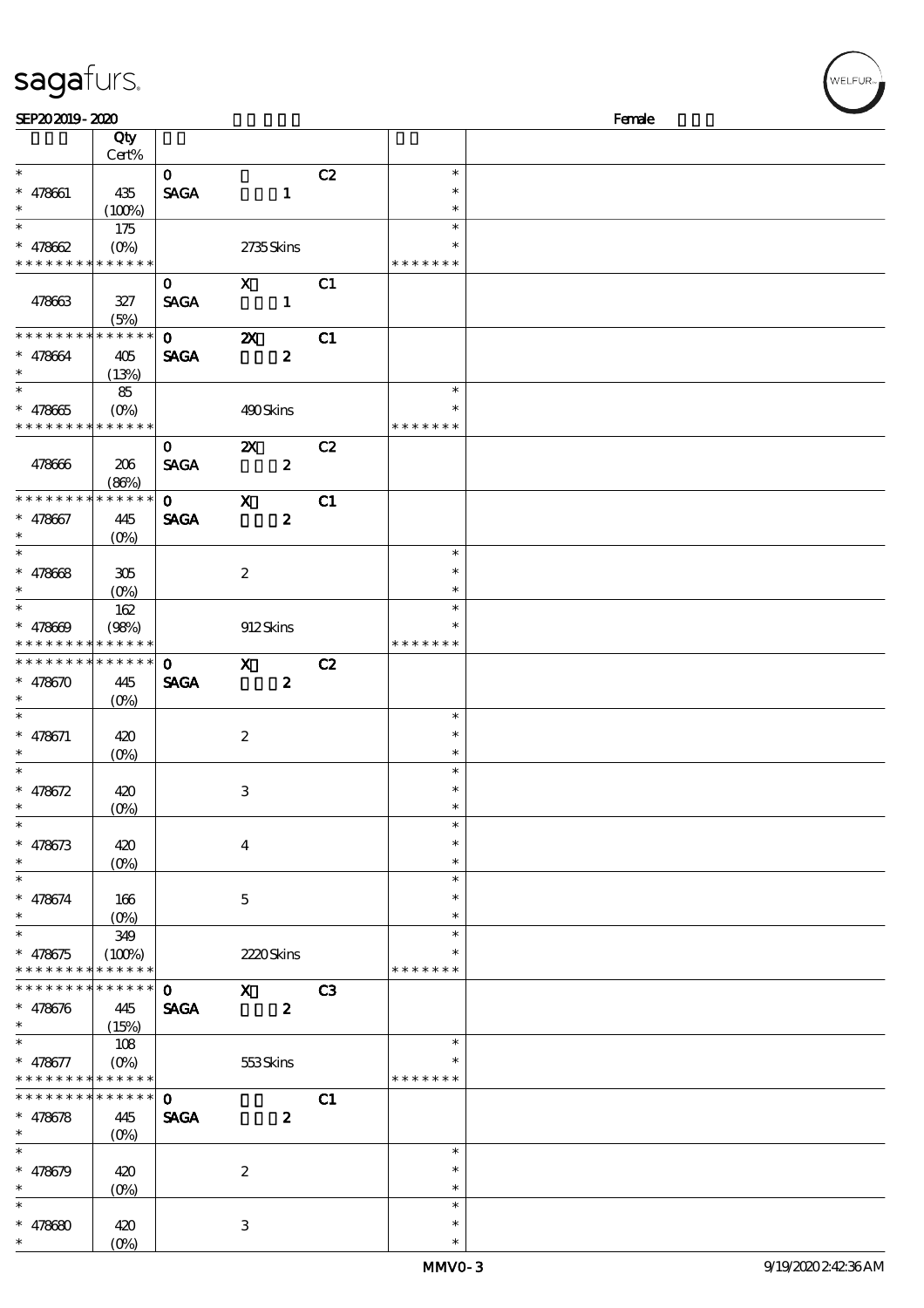#### sagafurs.

| SEP202019-2020              |                             |              |                           |    |               | Female |
|-----------------------------|-----------------------------|--------------|---------------------------|----|---------------|--------|
|                             | Qty                         |              |                           |    |               |        |
|                             | Cert%                       |              |                           |    |               |        |
| $\ast$                      |                             | $\mathbf{O}$ |                           | C2 | $\ast$        |        |
| $* 478661$                  | 435                         | <b>SAGA</b>  | $\mathbf{1}$              |    | $\ast$        |        |
| $\ast$                      |                             |              |                           |    | $\ast$        |        |
| $\overline{\phantom{0}}$    | (100%)                      |              |                           |    | $\ast$        |        |
|                             | 175                         |              |                           |    |               |        |
| $* 478662$                  | $(O\!\!\!\!\!\!\!\!/\,\!o)$ |              | 2735Skins                 |    | $\ast$        |        |
| * * * * * * * * * * * * * * |                             |              |                           |    | * * * * * * * |        |
|                             |                             | $\mathbf{o}$ | $\mathbf{x}$              | C1 |               |        |
| 478663                      | 327                         | <b>SAGA</b>  | $\mathbf{1}$              |    |               |        |
|                             | (5%)                        |              |                           |    |               |        |
| * * * * * * * * * * * * * * |                             | $\mathbf{0}$ | $\boldsymbol{\mathsf{z}}$ | C1 |               |        |
| $* 478664$                  | 405                         | <b>SAGA</b>  | $\boldsymbol{z}$          |    |               |        |
| $\ast$                      | (13%)                       |              |                           |    |               |        |
| $\overline{\phantom{1}}$    | 85                          |              |                           |    | $\ast$        |        |
|                             |                             |              |                           |    | $\ast$        |        |
| $* 478665$                  |                             |              | 490Skins                  |    |               |        |
| * * * * * * * * * * * * * * |                             |              |                           |    | * * * * * * * |        |
|                             |                             | $\mathbf{0}$ | $\mathbf{x}$              | C2 |               |        |
| 478666                      | 206                         | <b>SAGA</b>  | $\boldsymbol{z}$          |    |               |        |
|                             | (80%)                       |              |                           |    |               |        |
| * * * * * * * *             | * * * * * *                 | $\mathbf{O}$ | $\mathbf{x}$              | C1 |               |        |
| $* 478667$                  | 445                         | <b>SAGA</b>  | $\boldsymbol{z}$          |    |               |        |
| $\ast$                      | $(O\%)$                     |              |                           |    |               |        |
| $\overline{\phantom{0}}$    |                             |              |                           |    | $\ast$        |        |
|                             |                             |              |                           |    | $\ast$        |        |
| $* 478668$                  | 305                         |              | $\boldsymbol{z}$          |    |               |        |
| $\ast$                      | $(0\%)$                     |              |                           |    | $\ast$        |        |
| $\ast$                      | 162                         |              |                           |    | $\ast$        |        |
| $* 478609$                  | (98%)                       |              | 912Skins                  |    | $\ast$        |        |
| * * * * * * * * * * * * * * |                             |              |                           |    | * * * * * * * |        |
| * * * * * * * * * * * * * * |                             | $\mathbf{0}$ | $\mathbf{X}$              | C2 |               |        |
| $* 478670$                  | 445                         | <b>SAGA</b>  | $\boldsymbol{z}$          |    |               |        |
| $\ast$                      | $(O\%)$                     |              |                           |    |               |        |
| $\ast$                      |                             |              |                           |    | $\ast$        |        |
|                             |                             |              |                           |    | $\ast$        |        |
| $* 478671$                  | 420                         |              | $\boldsymbol{2}$          |    |               |        |
| $\ast$<br>$\ast$            | $(O\%)$                     |              |                           |    | $\ast$        |        |
|                             |                             |              |                           |    | $\ast$        |        |
| * $478672$                  | 420                         |              | $\ensuremath{\mathsf{3}}$ |    | $\ast$        |        |
| $*$                         | (0%)                        |              |                           |    | $\ast$        |        |
| $\ast$                      |                             |              |                           |    | $\ast$        |        |
| $* 478673$                  | 420                         |              | $\boldsymbol{4}$          |    | $\ast$        |        |
| $\ast$                      | $(0\%)$                     |              |                           |    | $\ast$        |        |
| $\ast$                      |                             |              |                           |    | $\ast$        |        |
| $* 478674$                  | 166                         |              | $\mathbf 5$               |    | $\ast$        |        |
| $\ast$                      | $(O\%)$                     |              |                           |    | $\ast$        |        |
| $\ast$                      | 349                         |              |                           |    | $\ast$        |        |
|                             | (100%)                      |              |                           |    | ∗             |        |
| $* 478675$                  |                             |              | 2220Skins                 |    |               |        |
| * * * * * * * *             | * * * * * *                 |              |                           |    | * * * * * * * |        |
| * * * * * * *               | * * * * * *                 | $\mathbf 0$  | $\mathbf{x}$              | C3 |               |        |
| $* 478676$                  | 445                         | <b>SAGA</b>  | $\boldsymbol{z}$          |    |               |        |
| $\ast$                      | (15%)                       |              |                           |    |               |        |
| $\ast$                      | 108                         |              |                           |    | $\ast$        |        |
| $* 478677$                  | $(O\%)$                     |              | 553Skins                  |    | $\ast$        |        |
| * * * * * * * * * * * * * * |                             |              |                           |    | * * * * * * * |        |
| * * * * * * * *             | * * * * * *                 | $\mathbf{O}$ |                           | C1 |               |        |
| $* 478678$                  | 445                         | <b>SAGA</b>  | $\boldsymbol{z}$          |    |               |        |
| $\ast$                      | (O <sub>0</sub> )           |              |                           |    |               |        |
| $\ast$                      |                             |              |                           |    | $\ast$        |        |
|                             |                             |              |                           |    |               |        |
| $* 478679$                  | 420                         |              | $\boldsymbol{2}$          |    | $\ast$        |        |
| $\ast$                      | $(0\%)$                     |              |                           |    | $\ast$        |        |
| $\ast$                      |                             |              |                           |    | $\ast$        |        |
| $* 478680$                  | 420                         |              | 3                         |    | $\ast$        |        |
| $\ast$                      | (O <sub>0</sub> )           |              |                           |    | $\ast$        |        |

WELFUR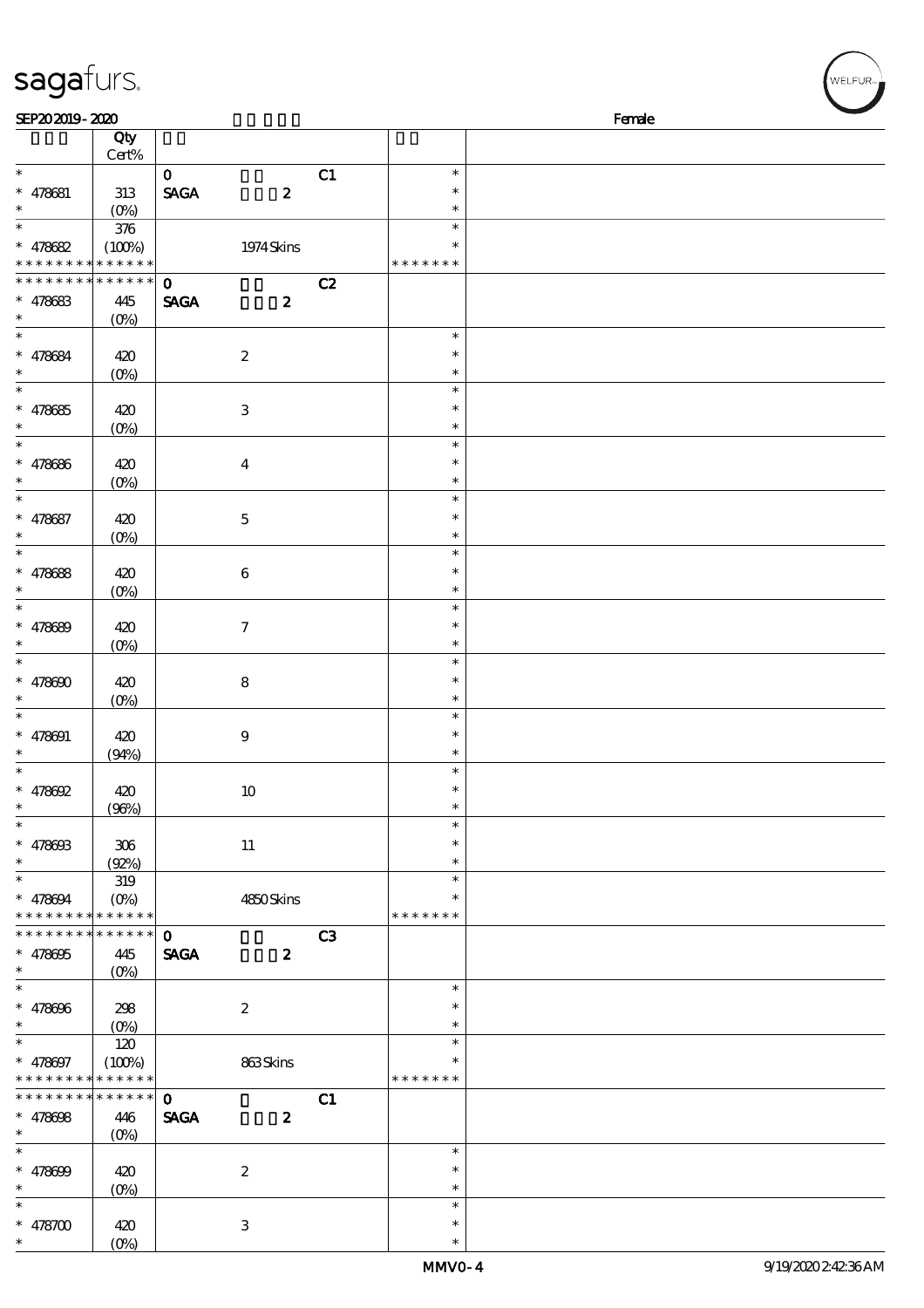| sagafurs.                            |                   |              |                  |    |                  | WELFUR <sub>™</sub> |
|--------------------------------------|-------------------|--------------|------------------|----|------------------|---------------------|
| SEP202019-2020                       |                   |              |                  |    |                  | Female              |
|                                      | Qty<br>Cert%      |              |                  |    |                  |                     |
| $\ast$                               |                   | $\mathbf 0$  |                  | C1 | $\ast$           |                     |
| $* 478681$                           | 313               | <b>SAGA</b>  | $\pmb{2}$        |    | $\ast$           |                     |
| $\ast$                               | $(O_0)$           |              |                  |    | $\ast$           |                     |
| $\ast$                               | $376\,$           |              |                  |    | $\ast$           |                     |
| $* 478682$                           | (100%)            |              | 1974 Skins       |    | $\ast$           |                     |
| * * * * * * * *                      | * * * * * *       |              |                  |    | * * * * * * *    |                     |
| * * * * *<br>* * *                   | * * * * * *       | $\mathbf{o}$ |                  | C2 |                  |                     |
| $* 478683$                           | 445               | <b>SAGA</b>  | $\boldsymbol{z}$ |    |                  |                     |
| $\ast$<br>$\ast$                     | $(O\%)$           |              |                  |    | $\ast$           |                     |
|                                      |                   |              |                  |    | $\ast$           |                     |
| $* 478684$                           | 420               |              | $\boldsymbol{2}$ |    | $\ast$           |                     |
| $\ast$                               | $(0\%)$           |              |                  |    | $\ast$           |                     |
| $* 478685$                           | 420               |              | $\,3$            |    | $\ast$           |                     |
| $\ast$                               | $(0\%)$           |              |                  |    | $\ast$           |                     |
| $\ast$                               |                   |              |                  |    | $\ast$           |                     |
| $* 478686$                           | 420               |              | $\boldsymbol{4}$ |    | $\ast$           |                     |
| $\ast$                               | $(0\%)$           |              |                  |    | $\ast$           |                     |
| $\ast$                               |                   |              |                  |    | $\ast$           |                     |
| $* 478687$                           | 420               |              | $\bf 5$          |    | $\ast$           |                     |
| $\ast$                               | (0%)              |              |                  |    | $\ast$           |                     |
| $\ast$                               |                   |              |                  |    | $\ast$           |                     |
| $* 478688$                           | 420               |              | 6                |    | $\ast$           |                     |
| $\ast$                               | (O <sub>0</sub> ) |              |                  |    | $\ast$           |                     |
| $\ast$                               |                   |              |                  |    | $\ast$           |                     |
| $* 478689$                           | 420               |              | $\boldsymbol{7}$ |    | $\ast$           |                     |
|                                      | $(O\%)$           |              |                  |    | $\ast$           |                     |
| $\ast$                               |                   |              |                  |    | $\ast$           |                     |
| $* 478600$                           | 420               |              | 8                |    | $\ast$           |                     |
|                                      | $(O\%)$           |              |                  |    | $\ast$           |                     |
| $\ast$                               |                   |              |                  |    | $\ast$           |                     |
| $* 478001$                           | 420               |              | $\boldsymbol{9}$ |    | $\ast$           |                     |
| $\ast$<br>$\ast$                     | (94%)             |              |                  |    | $\ast$<br>$\ast$ |                     |
| $* 478692$                           | 420               |              |                  |    | $\ast$           |                     |
| $\ast$                               | (96%)             |              | $10\,$           |    | $\ast$           |                     |
| $\ast$                               |                   |              |                  |    | $\ast$           |                     |
| $* 47860B$                           | 306               |              | $11\,$           |    | $\ast$           |                     |
| $\ast$                               | (Q2%)             |              |                  |    | $\ast$           |                     |
| $\ast$                               | 319               |              |                  |    | $\ast$           |                     |
| $* 478094$                           | $(O\% )$          |              | 4850Skins        |    |                  |                     |
| * * * * * * * * * * * * * *          |                   |              |                  |    | * * * * * * *    |                     |
| * * * * * * * *                      | * * * * * *       | $\mathbf 0$  |                  | C3 |                  |                     |
| $* 478605$                           | 445               | <b>SAGA</b>  | $\boldsymbol{z}$ |    |                  |                     |
| $\ast$                               | $(O_0)$           |              |                  |    |                  |                     |
| $\frac{1}{\ast}$                     |                   |              |                  |    | $\ast$           |                     |
| $* 478606$                           | 298               |              | $\boldsymbol{z}$ |    | $\ast$           |                     |
| $\ast$                               |                   |              |                  |    | $\ast$           |                     |
| $\ast$                               | 120               |              |                  |    | $\ast$           |                     |
| $* 478097$                           | (100%)            |              | 863Skins         |    | $\ast$           |                     |
| * * * * * * * *                      | * * * * * *       |              |                  |    | * * * * * * *    |                     |
| * * * * * * * *                      | * * * * * *       | $\mathbf{o}$ |                  | C1 |                  |                     |
| $* 478608$                           | 446               | <b>SAGA</b>  | $\boldsymbol{z}$ |    |                  |                     |
| $\ast$<br>$\overline{\phantom{a}^*}$ | $(O_0)$           |              |                  |    |                  |                     |
|                                      |                   |              |                  |    | $\ast$           |                     |
| $* 478699$<br>$\ast$                 | 420               |              | $\boldsymbol{2}$ |    | $\ast$           |                     |
| $\ast$                               | $(0\%)$           |              |                  |    | $\ast$<br>$\ast$ |                     |
|                                      |                   |              |                  |    | $\ast$           |                     |
| $* 478700$                           | 420               |              | 3                |    |                  |                     |

\* \*

(0%)

 $(\sqrt{\text{WELFUR}_{\text{max}}})$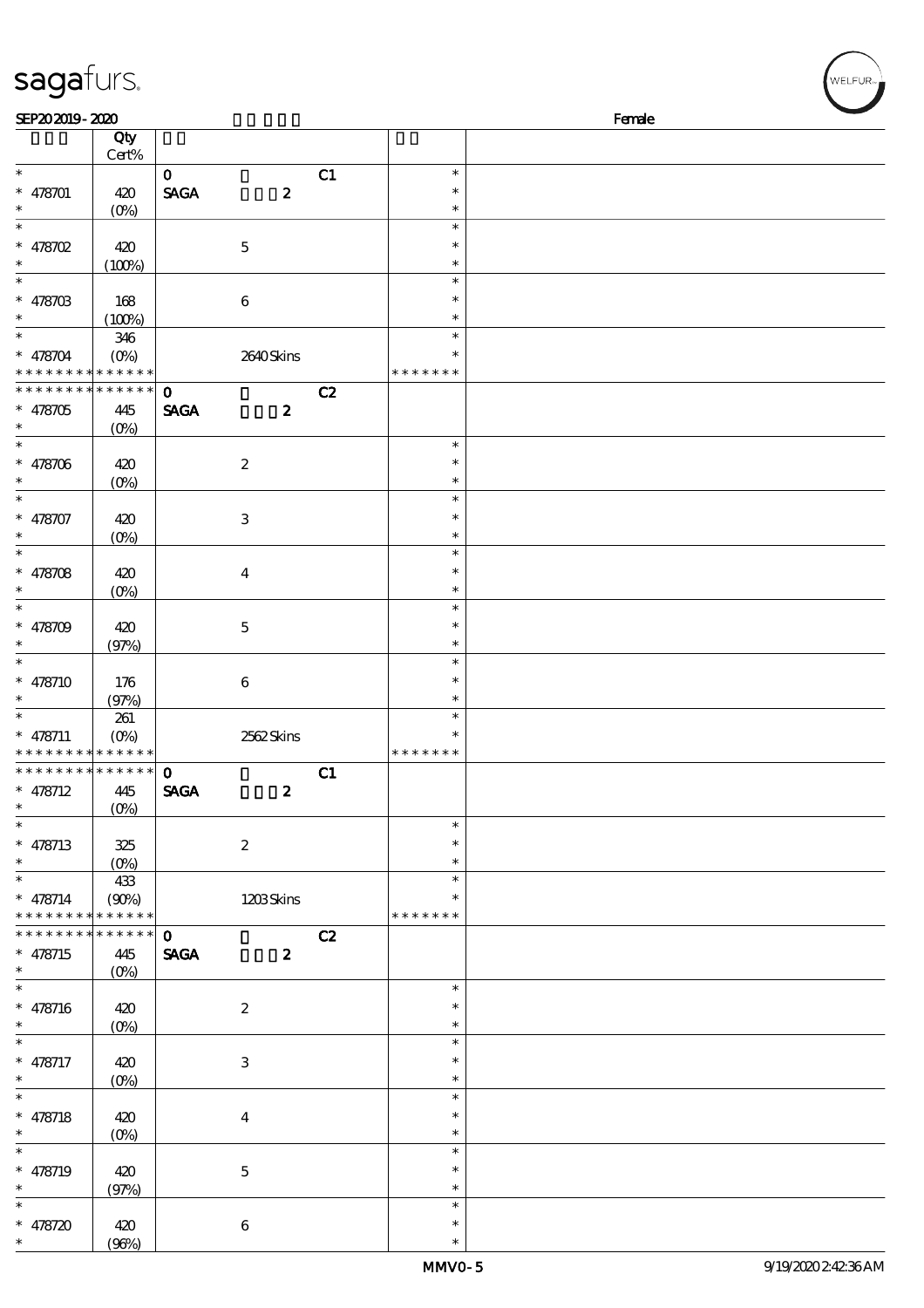| sagafurs.                                                  |                          |              |                           |    |                         | WELFUR <sub>™</sub> |
|------------------------------------------------------------|--------------------------|--------------|---------------------------|----|-------------------------|---------------------|
| SEP202019-2020                                             |                          |              |                           |    |                         | Female              |
|                                                            | Qty<br>Cert%             |              |                           |    |                         |                     |
| $\ast$                                                     |                          | $\mathbf 0$  |                           | C1 | $\ast$<br>$\ast$        |                     |
| $* 478701$<br>$\ast$                                       | 420<br>$(O\%)$           | <b>SAGA</b>  | $\boldsymbol{2}$          |    | $\ast$                  |                     |
| $\ast$                                                     |                          |              |                           |    | $\ast$                  |                     |
| $* 478702$                                                 | 420                      |              | $\mathbf 5$               |    | $\ast$                  |                     |
| $\ast$<br>$\ast$                                           | (100%)                   |              |                           |    | $\ast$<br>$\ast$        |                     |
| $* 478703$                                                 | 168                      |              | $\,6\,$                   |    | $\ast$                  |                     |
|                                                            | (100%)                   |              |                           |    | $\ast$                  |                     |
| $\ast$                                                     | 346                      |              |                           |    | $\ast$                  |                     |
| $* 478704$<br>$* * *$                                      | $(O\%)$<br>* * * * * *   |              | 2640Skins                 |    | $\ast$<br>* * * * * * * |                     |
| * * * * * * * *                                            | * * * * * *              | $\mathbf{o}$ |                           | C2 |                         |                     |
| $* 478705$                                                 | 445                      | <b>SAGA</b>  | $\boldsymbol{z}$          |    |                         |                     |
| $\ast$                                                     | (O <sub>0</sub> )        |              |                           |    |                         |                     |
| $\ast$                                                     |                          |              |                           |    | $\ast$                  |                     |
| $* 478706$                                                 | 420<br>$(O\%)$           |              | $\boldsymbol{2}$          |    | $\ast$<br>$\ast$        |                     |
| $\ast$                                                     |                          |              |                           |    | $\ast$                  |                     |
| $* 478707$                                                 | 420                      |              | $\,3$                     |    | $\ast$                  |                     |
| $\ast$                                                     | (O <sub>0</sub> )        |              |                           |    | $\ast$                  |                     |
| $\ast$                                                     |                          |              |                           |    | $\ast$<br>$\ast$        |                     |
| $* 478708$<br>$\ast$                                       | 420<br>(O <sub>0</sub> ) |              | $\boldsymbol{4}$          |    | $\ast$                  |                     |
| $\ast$                                                     |                          |              |                           |    | $\ast$                  |                     |
| $* 478709$                                                 | 420                      |              | $\mathbf 5$               |    | $\ast$                  |                     |
|                                                            | (97%)                    |              |                           |    | $\ast$                  |                     |
| $\ast$<br>$* 478710$                                       | 176                      |              | $\,6\,$                   |    | $\ast$<br>$\ast$        |                     |
|                                                            | (97%)                    |              |                           |    | $\ast$                  |                     |
| $\ast$                                                     | 261                      |              |                           |    | $\ast$                  |                     |
| $* 478711$                                                 | $(0\%)$                  |              | 2562Skins                 |    | $\ast$                  |                     |
| * * * * * * * * * * * * * *<br>* * * * * * * * * * * * * * |                          | $\mathbf{O}$ |                           | C1 | * * * * * * *           |                     |
| $* 478712$                                                 | 445                      | <b>SAGA</b>  | $\boldsymbol{z}$          |    |                         |                     |
| $\ast$                                                     | $(O_0)$                  |              |                           |    |                         |                     |
| $\overline{\phantom{a}^*}$                                 |                          |              |                           |    | $\ast$                  |                     |
| * $478713$                                                 | 325                      |              | $\boldsymbol{2}$          |    | *                       |                     |
| $\ast$<br>$\overline{\phantom{0}}$                         | 433                      |              |                           |    | $\ast$<br>$\ast$        |                     |
| $* 478714$                                                 | (90%)                    |              | 1203Skins                 |    |                         |                     |
| * * * * * * * * * * * * * *                                |                          |              |                           |    | * * * * * * *           |                     |
| * * * * * * * *                                            | $* * * * * * *$          | $\mathbf{o}$ |                           | C2 |                         |                     |
| $* 478715$<br>$\ast$                                       | 445                      | <b>SAGA</b>  | $\boldsymbol{z}$          |    |                         |                     |
| $\overline{\phantom{0}}$                                   |                          |              |                           |    | $\ast$                  |                     |
| * $478716$                                                 | 420                      |              | $\boldsymbol{2}$          |    | $\ast$                  |                     |
| $\ast$                                                     |                          |              |                           |    | $\ast$                  |                     |
| $\overline{\phantom{0}}$                                   |                          |              |                           |    | $\ast$<br>$\ast$        |                     |
| $* 478717$<br>$\ast$                                       | 420<br>$(O\%)$           |              | $\ensuremath{\mathsf{3}}$ |    | $\ast$                  |                     |
| $\ast$                                                     |                          |              |                           |    | $\ast$                  |                     |
| $* 478718$                                                 | 420                      |              | $\overline{\mathbf{4}}$   |    | $\ast$                  |                     |
| $\ast$<br>$_{*}^{-}$                                       | $(O\%)$                  |              |                           |    | $\ast$                  |                     |
| $* 478719$                                                 |                          |              |                           |    | $\ast$<br>$\ast$        |                     |
| $\ast$                                                     | 420<br>(97%)             |              | $\mathbf 5$               |    | $\ast$                  |                     |
| $\ast$                                                     |                          |              |                           |    | $\ast$                  |                     |
| $* 478720$                                                 | 420                      |              | 6                         |    | $\ast$                  |                     |

 $(96%)$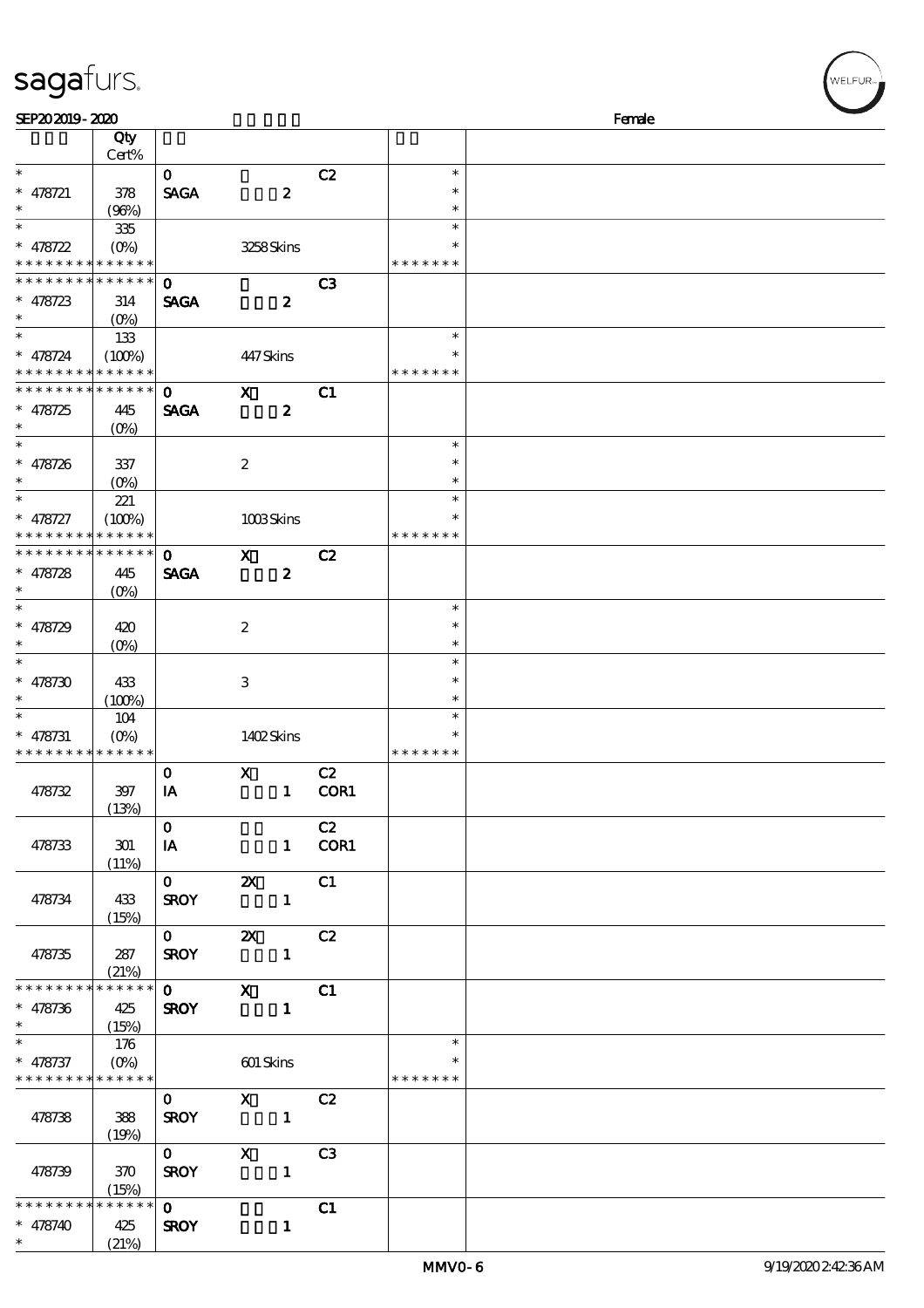| sagafurs.                                                |                            |                                        |                                  |                         |                  |        | WELFUR <sub>**</sub> |
|----------------------------------------------------------|----------------------------|----------------------------------------|----------------------------------|-------------------------|------------------|--------|----------------------|
| SEP202019-2020                                           |                            |                                        |                                  |                         |                  | Female |                      |
|                                                          | Qty                        |                                        |                                  |                         |                  |        |                      |
|                                                          | Cert%                      |                                        |                                  |                         |                  |        |                      |
| $\ast$                                                   |                            | $\mathbf{o}$                           |                                  | C2                      | $\ast$           |        |                      |
| $* 478721$<br>$\ast$                                     | 378                        | <b>SAGA</b>                            | $\boldsymbol{z}$                 |                         | $\ast$<br>$\ast$ |        |                      |
| $\ast$                                                   | (96%)<br>335               |                                        |                                  |                         | $\ast$           |        |                      |
| $* 478722$                                               | $(O\%)$                    |                                        | 3258Skins                        |                         | $\ast$           |        |                      |
| * * * * * * * * <mark>* * * * * * *</mark>               |                            |                                        |                                  |                         | * * * * * * *    |        |                      |
| * * * * * * * * <mark>* * * * * * *</mark>               |                            | $\mathbf 0$                            |                                  | C <sub>3</sub>          |                  |        |                      |
| $* 478723$                                               | 314                        | <b>SAGA</b>                            | $\boldsymbol{z}$                 |                         |                  |        |                      |
|                                                          | $(O\%)$                    |                                        |                                  |                         |                  |        |                      |
| $\ast$                                                   | 133                        |                                        |                                  |                         | $\ast$           |        |                      |
| $* 478724$                                               | (100%)<br>* * * * * *      |                                        | 447Skins                         |                         | $\ast$           |        |                      |
| * * * *<br>* * * * * * * *                               | * * * * * *                | $\mathbf 0$                            | $\mathbf{x}$                     | C1                      | * * * * * * *    |        |                      |
| $* 478725$                                               | 445                        | <b>SAGA</b>                            | $\pmb{2}$                        |                         |                  |        |                      |
| $\ast$                                                   | $(O\%)$                    |                                        |                                  |                         |                  |        |                      |
| $\ast$                                                   |                            |                                        |                                  |                         | $\ast$           |        |                      |
| $* 478726$                                               | 337                        |                                        | $\boldsymbol{2}$                 |                         | $\ast$           |        |                      |
|                                                          | $(O\%)$                    |                                        |                                  |                         | $\ast$           |        |                      |
| $\ast$                                                   | 221                        |                                        |                                  |                         | $\ast$           |        |                      |
| $* 478727$                                               | (100%)                     |                                        | 1008Skins                        |                         | $\ast$           |        |                      |
| * * * *<br>* * * * * * * *                               | * * * * * *<br>* * * * * * |                                        |                                  |                         | * * * * * * *    |        |                      |
|                                                          |                            | $\mathbf 0$                            | $\mathbf{x}$<br>$\boldsymbol{z}$ | C2                      |                  |        |                      |
| $* 478728$<br>$\ast$                                     | 445<br>$(O\%)$             | <b>SAGA</b>                            |                                  |                         |                  |        |                      |
| $\ast$                                                   |                            |                                        |                                  |                         | $\ast$           |        |                      |
| $* 478729$                                               | 420                        |                                        | $\boldsymbol{2}$                 |                         | $\ast$           |        |                      |
|                                                          | $(O\%)$                    |                                        |                                  |                         | $\ast$           |        |                      |
| $\ast$                                                   |                            |                                        |                                  |                         | $\ast$           |        |                      |
| $* 478730$                                               | 433                        |                                        | $\,3$                            |                         | $\ast$           |        |                      |
|                                                          | (100%)                     |                                        |                                  |                         | $\ast$           |        |                      |
|                                                          | 104                        |                                        |                                  |                         | $\ast$<br>$\ast$ |        |                      |
| $* 478731$<br>* * * * * * * * * * * * * *                |                            |                                        | 1402Skins                        |                         | * * * * * * *    |        |                      |
|                                                          |                            | $\mathbf{O}$                           | $\mathbf{X}$                     | C2                      |                  |        |                      |
| 478732                                                   | 397                        | IA                                     |                                  | 1 COR1                  |                  |        |                      |
|                                                          | (13%)                      |                                        |                                  |                         |                  |        |                      |
|                                                          |                            | $\mathbf{0}$                           |                                  | C2                      |                  |        |                      |
| 478733                                                   | 301                        | IA                                     |                                  | 1 COR1                  |                  |        |                      |
|                                                          | (11%)                      |                                        |                                  |                         |                  |        |                      |
|                                                          |                            | $\overline{\mathbf{0}}$<br><b>SROY</b> | $\boldsymbol{\alpha}$            | $\overline{\text{c}}$ 1 |                  |        |                      |
| 478734                                                   | 433<br>(15%)               |                                        | $\mathbf{1}$                     |                         |                  |        |                      |
|                                                          |                            | $\mathbf 0$                            | <b>2X</b> C <sub>2</sub>         |                         |                  |        |                      |
| 478735                                                   | 287                        | <b>SROY</b>                            | $\blacksquare$                   |                         |                  |        |                      |
|                                                          | (21%)                      |                                        |                                  |                         |                  |        |                      |
| * * * * * * * * * * * * * *                              |                            | $\mathbf{0}$                           | $\mathbf{x}$                     | C1                      |                  |        |                      |
| $* 478736$                                               | 425                        | <b>SROY</b>                            | $\sim$ 1                         |                         |                  |        |                      |
| $\ast$                                                   | (15%)                      |                                        |                                  |                         | $\ast$           |        |                      |
|                                                          | 176                        |                                        |                                  |                         |                  |        |                      |
| $*$ 478737<br>* * * * * * * * <mark>* * * * * * *</mark> | $(O\!/\!\!\delta)$         |                                        | 601 Skins                        |                         | * * * * * * *    |        |                      |
|                                                          |                            | $\mathbf{O}$                           | $X$ $C2$                         |                         |                  |        |                      |
| 478738                                                   | 388                        | <b>SROY</b>                            |                                  |                         |                  |        |                      |
|                                                          | (19%)                      |                                        |                                  |                         |                  |        |                      |
|                                                          |                            | $\mathbf{0}$                           | $\mathbf{X}$                     | C <sub>3</sub>          |                  |        |                      |
| 478739                                                   | 370                        | <b>SROY</b>                            | $\sim$ $\sim$ 1                  |                         |                  |        |                      |
| * * * * * * *                                            | (15%)<br>* * * * * *       |                                        |                                  |                         |                  |        |                      |
| $* 478740$                                               | 425                        | $\mathbf{O}$<br><b>SROY</b>            | $\mathbf{1}$                     | C1                      |                  |        |                      |
| $\ast$                                                   | (21%)                      |                                        |                                  |                         |                  |        |                      |

(21%)

 $w$ elfur<sub>"</sub>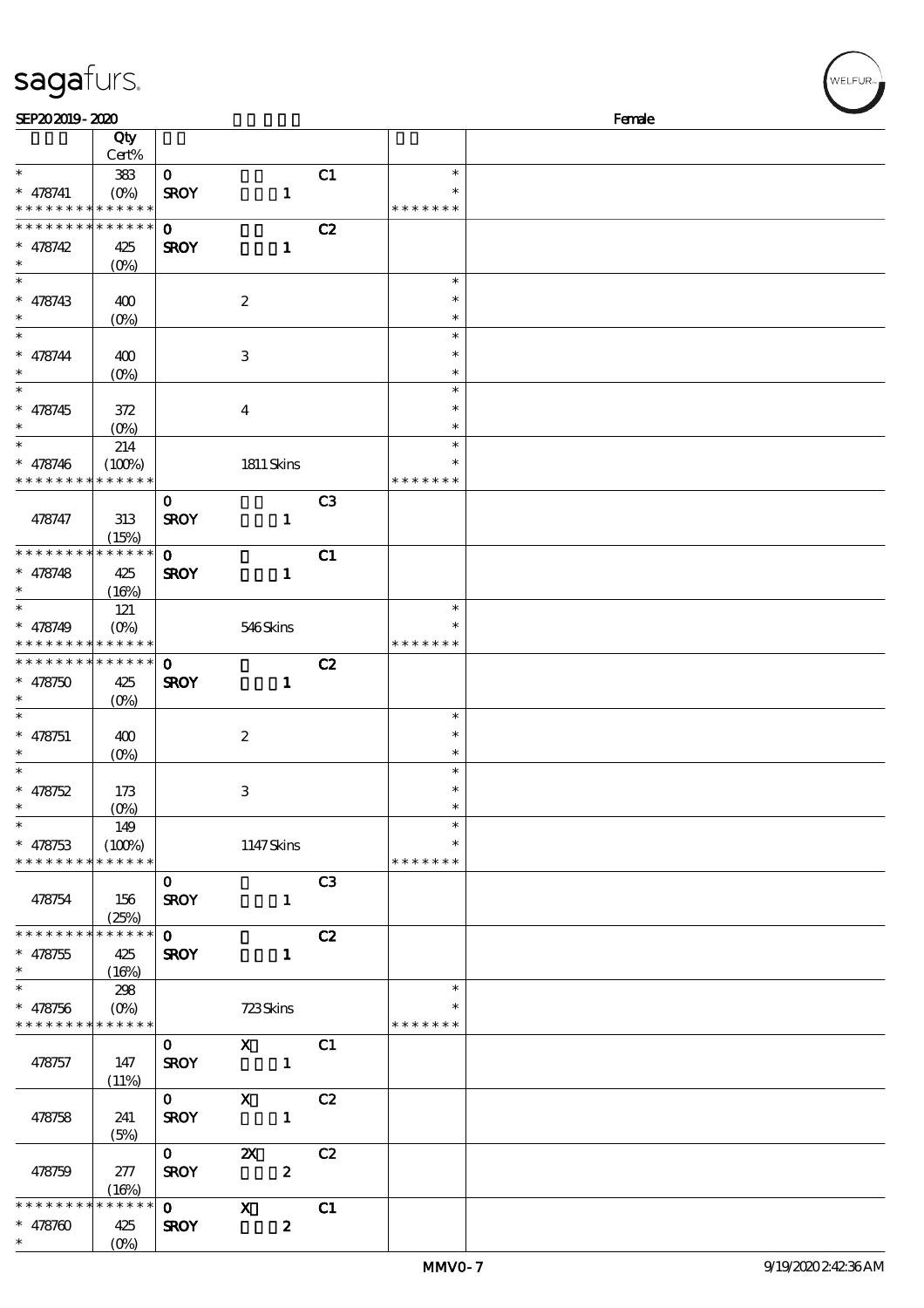| sagafurs.                                                        |                                       |                             |                                               |                |                                   |        | WELFUR <sub>™</sub> |
|------------------------------------------------------------------|---------------------------------------|-----------------------------|-----------------------------------------------|----------------|-----------------------------------|--------|---------------------|
| SEP202019-2020                                                   |                                       |                             |                                               |                |                                   | Female |                     |
|                                                                  | Qty<br>Cert%                          |                             |                                               |                |                                   |        |                     |
| $\ast$<br>$* 478741$                                             | 383<br>$(O\%)$                        | $\mathbf 0$<br><b>SROY</b>  | $\mathbf{1}$                                  | C1             | $\ast$                            |        |                     |
| * * * * * * * * <mark>* * * * * *</mark><br>* * * * * * * *      | * * * * * *                           |                             |                                               |                | * * * * * * *                     |        |                     |
| $* 478742$<br>$\ast$                                             | 425<br>$(O\%)$                        | $\bf{0}$<br><b>SROY</b>     | $\mathbf{1}$                                  | C2             |                                   |        |                     |
| $\ast$<br>$* 478743$                                             | 400<br>(O <sub>0</sub> )              |                             | $\boldsymbol{2}$                              |                | $\ast$<br>$\ast$<br>$\ast$        |        |                     |
| $\ast$<br>$* 478744$                                             | 400<br>(O <sub>0</sub> )              |                             | $\,3$                                         |                | $\ast$<br>$\ast$<br>$\ast$        |        |                     |
| $\ast$<br>$* 478745$                                             | 372                                   |                             | $\boldsymbol{4}$                              |                | $\ast$<br>$\ast$                  |        |                     |
| $\ast$<br>$* 478746$                                             | $(O\%)$<br>214<br>(100%)              |                             | $1811$ Skins                                  |                | $\ast$<br>$\ast$<br>$\ast$        |        |                     |
| * * * * * * * *                                                  | * * * * * *                           |                             |                                               |                | * * * * * * *                     |        |                     |
| 478747                                                           | 313<br>(15%)                          | $\mathbf 0$<br><b>SROY</b>  | $\mathbf{1}$                                  | C <sub>3</sub> |                                   |        |                     |
| * * * * * * * *<br>$* 478748$                                    | * * * * * *<br>425<br>(16%)           | $\mathbf 0$<br><b>SROY</b>  | $\mathbf{1}$                                  | C1             |                                   |        |                     |
| $* 478749$                                                       | 121<br>$(O_0)$<br>* * * * * * * * * * |                             | 546Skins                                      |                | $\ast$<br>$\ast$<br>* * * * * * * |        |                     |
| * * * * * * * *<br>$* 478750$                                    | * * * * * *<br>425                    | $\mathbf 0$<br><b>SROY</b>  | $\mathbf{1}$                                  | C2             |                                   |        |                     |
| $\ast$                                                           | $(O\%)$                               |                             |                                               |                | $\ast$                            |        |                     |
| $* 478751$<br>$\ast$                                             | 400<br>(0%)                           |                             | $\boldsymbol{2}$                              |                | $\ast$<br>$\ast$                  |        |                     |
| $\ast$<br>$* 478752$                                             | 173                                   |                             | $\ensuremath{\mathbf{3}}$                     |                | $\ast$<br>$\ast$                  |        |                     |
| $\ast$<br>$\ast$<br>$* 478753$                                   | $(O\%)$<br>149<br>(100%)              |                             | 1147Skins                                     |                | $\ast$<br>$\ast$<br>∗             |        |                     |
| * * * * * * * *                                                  | * * * * * *                           | $\mathbf{O}$                |                                               | C <sub>3</sub> | * * * * * * *                     |        |                     |
| 478754                                                           | 156<br>(25%)                          | <b>SROY</b>                 | $\mathbf{1}$                                  |                |                                   |        |                     |
| * * * * * * * * <mark>* * * * * * *</mark><br>$* 478755$         | 425<br>(16%)                          | $\mathbf{O}$<br><b>SROY</b> | $\mathbf{1}$                                  | C2             |                                   |        |                     |
| $\ast$<br>$* 478756$<br>* * * * * * * * <mark>* * * * * *</mark> | 298<br>$(O\!\!\!\!\!\!\!/\,\!o)$      |                             | 723Skins                                      |                | $\ast$<br>$\ast$<br>* * * * * * * |        |                     |
| 478757                                                           | 147<br>(11%)                          | $\mathbf{O}$<br><b>SROY</b> | $\mathbf{x}$<br>$\blacksquare$                | C1             |                                   |        |                     |
| 478758                                                           | 241<br>(5%)                           | $\mathbf{O}$<br><b>SROY</b> | $\mathbf x$<br>$\mathbf{1}$                   | C2             |                                   |        |                     |
| 478759                                                           | 277<br>(16%)                          | $\mathbf{O}$<br><b>SROY</b> | $\boldsymbol{\mathsf{X}}$<br>$\boldsymbol{z}$ | C2             |                                   |        |                     |
| * * * * * * *<br>$* 478700$<br>$\ast$                            | * * * * * *<br>425<br>$(O\%)$         | $\mathbf{O}$<br><b>SROY</b> | $\boldsymbol{\mathrm{X}}$<br>$\boldsymbol{z}$ | C1             |                                   |        |                     |

(0%)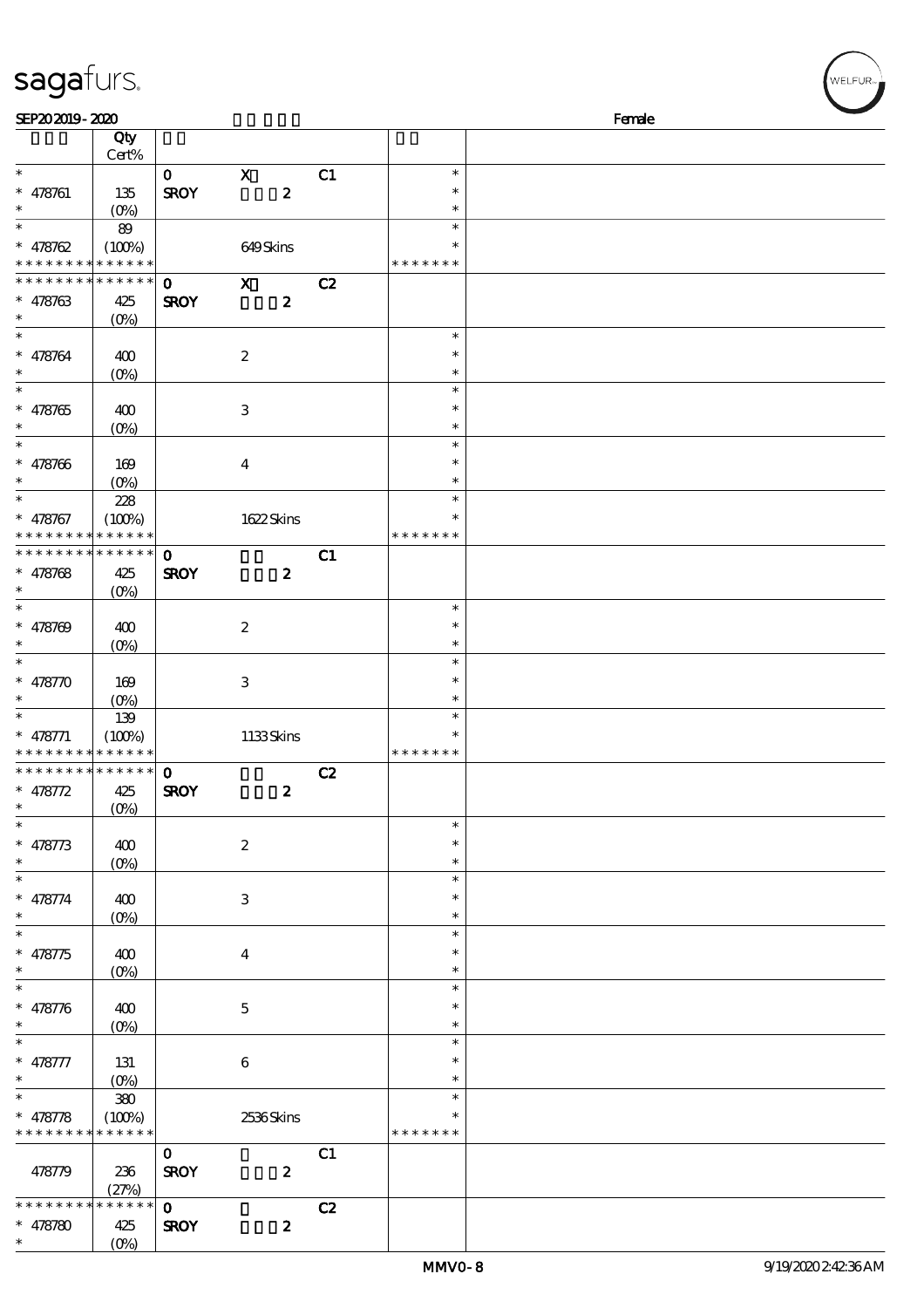| SEP202019-2020                             |                        |              |                           |    |                  | Female |
|--------------------------------------------|------------------------|--------------|---------------------------|----|------------------|--------|
|                                            | Qty<br>$\mbox{Cert\%}$ |              |                           |    |                  |        |
| $\ast$                                     |                        | $\mathbf{o}$ | $\mathbf x$               | C1 | $\ast$           |        |
| $* 478761$                                 | 135                    | <b>SROY</b>  | $\boldsymbol{z}$          |    | $\ast$           |        |
| $\ast$                                     | (0%)                   |              |                           |    | $\ast$           |        |
| $\ast$                                     | 89                     |              |                           |    | $\ast$           |        |
| * $478762$                                 | (100%)                 |              | 649Skins                  |    | ∗                |        |
| * * * * * * * *                            | * * * * * *            |              |                           |    | * * * * * * *    |        |
| * * * * * * * *                            | ******                 | $\mathbf{o}$ | $\boldsymbol{\mathsf{X}}$ | C2 |                  |        |
| $* 478763$                                 | 425                    | <b>SROY</b>  | $\boldsymbol{z}$          |    |                  |        |
| $\ast$                                     | $(O\%)$                |              |                           |    |                  |        |
| $\ast$                                     |                        |              |                           |    | $\ast$           |        |
| * 478764                                   | 400                    |              | $\boldsymbol{2}$          |    | $\ast$           |        |
| $\ast$                                     | $(O\%)$                |              |                           |    | $\ast$           |        |
| $\ast$                                     |                        |              |                           |    | $\ast$           |        |
| $* 478765$                                 | 400                    |              | $\,3\,$                   |    | $\ast$           |        |
| $\ast$<br>$\overline{\ast}$                | $(0\%)$                |              |                           |    | $\ast$           |        |
|                                            |                        |              |                           |    | $\ast$           |        |
| $* 478766$<br>$\ast$                       | 169                    |              | $\boldsymbol{4}$          |    | $\ast$<br>$\ast$ |        |
| $\overline{\ast}$                          | $(O\%)$                |              |                           |    | $\ast$           |        |
|                                            | 228                    |              |                           |    | $\ast$           |        |
| * 478767<br>* * * * * * * *                | (100%)<br>* * * * * *  |              | 1622Skins                 |    | * * * *          |        |
| * * * * * * * *                            | * * * * * *            | $\mathbf{O}$ |                           | C1 |                  |        |
| $* 478768$                                 | 425                    | <b>SROY</b>  | $\boldsymbol{z}$          |    |                  |        |
| $\ast$                                     | (O <sub>0</sub> )      |              |                           |    |                  |        |
| $\overline{\ast}$                          |                        |              |                           |    | $\ast$           |        |
| $* 478709$                                 | 400                    |              | $\boldsymbol{2}$          |    | $\ast$           |        |
| $\ast$                                     | $(O\%)$                |              |                           |    | $\ast$           |        |
| $\ast$                                     |                        |              |                           |    | $\ast$           |        |
| * $478770$                                 | 169                    |              | $\,3\,$                   |    | $\ast$           |        |
| $\ast$                                     | $(0\%)$                |              |                           |    | $\ast$           |        |
| $\ast$                                     | 139                    |              |                           |    | $\ast$           |        |
| $* 478771$                                 | (100%)                 |              | 1133Skins                 |    | $\ast$           |        |
| * * * * * * * *                            | * * * * * *            |              |                           |    | * * * * * * *    |        |
| * * * * * * * * <mark>* * * * * * *</mark> |                        | $\mathbf{o}$ |                           | C2 |                  |        |
| * 478772                                   | 425                    | <b>SROY</b>  | $\boldsymbol{z}$          |    |                  |        |
| $\ast$                                     | $(0\%)$                |              |                           |    | $\ast$           |        |
| $* 478773$                                 |                        |              | $\boldsymbol{2}$          |    | $\ast$           |        |
| $\ast$                                     | 400<br>$(O\%)$         |              |                           |    | $\ast$           |        |
| $\ast$                                     |                        |              |                           |    | $\ast$           |        |
| * 478774                                   | 400                    |              | $\,3$                     |    | $\ast$           |        |
| $\ast$                                     | $(O\%)$                |              |                           |    | $\ast$           |        |
| $\ast$                                     |                        |              |                           |    | $\ast$           |        |
| $* 478775$                                 | 400                    |              | $\boldsymbol{4}$          |    | $\ast$           |        |
| $\ast$                                     | $(O\%)$                |              |                           |    | $\ast$           |        |
| $\ast$                                     |                        |              |                           |    | $\ast$           |        |
| * 478776                                   | 400                    |              | $\mathbf 5$               |    | $\ast$           |        |
| $\ast$                                     | $(O\%)$                |              |                           |    | $\ast$           |        |
| $\ast$                                     |                        |              |                           |    | $\ast$           |        |
| * 478777                                   | 131                    |              | $\bf 6$                   |    | $\ast$           |        |
| $\ast$                                     | $(O_0)$                |              |                           |    | $\ast$           |        |
| $\ast$                                     | $380\,$                |              |                           |    | $\ast$           |        |
| * 478778                                   | (100%)                 |              | 2536Skins                 |    |                  |        |
| * * * * * * * *                            | * * * * * *            |              |                           |    | * * * * * * *    |        |
|                                            |                        | $\mathbf{O}$ |                           | C1 |                  |        |
| 478779                                     | 236                    | <b>SROY</b>  | $\boldsymbol{z}$          |    |                  |        |
| * * * * * *                                | (27%)<br>* * * * *     | $\mathbf{o}$ |                           | C2 |                  |        |
| $* 478780$                                 | 425                    | <b>SROY</b>  | $\boldsymbol{z}$          |    |                  |        |
|                                            |                        |              |                           |    |                  |        |

\* \*

 $(0%)$ 

sagafurs.

.<br>WELFUR<sub>"</sub>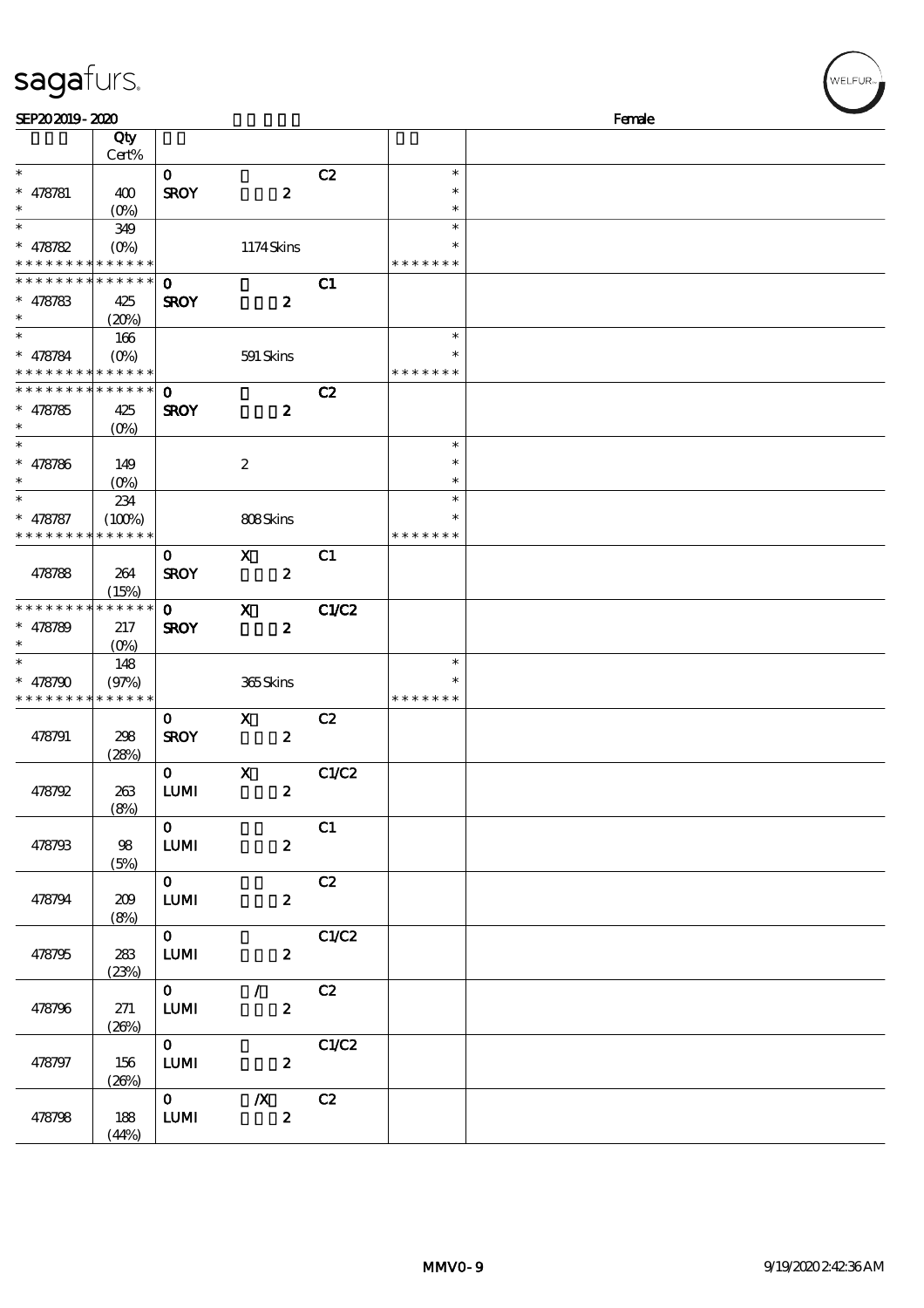| SEP202019-2020<br>Qty<br>Cert%<br>$\ast$<br>C2<br>$\ast$<br>$\mathbf 0$<br><b>SROY</b><br>$\boldsymbol{z}$<br>$\ast$<br>$* 478781$<br>400<br>$\ast$<br>$(O\%)$<br>$\ast$<br>$\ast$<br>$\ast$<br>349<br>1174Skins<br>$* 478782$<br>$(O\%)$<br>$\ast$<br>* * * * * * * * <mark>* * * * * *</mark><br>* * * * * * *<br>* * * * * *<br>C1<br>* * * * *<br>$\mathbf 0$<br><b>SROY</b><br>$\boldsymbol{z}$<br>$* 478783$<br>425<br>(20%)<br>$\ast$<br>$\ast$<br>166<br>$(O\%)$<br>591 Skins<br>$\ast$<br>$* 478784$<br>* * * * * *<br>* * * * * * *<br>* * * *  <br>* * * * * *<br>* * * * * * * *<br>$\mathbf 0$<br>C2<br><b>SROY</b><br>$\boldsymbol{2}$<br>425<br>$* 478785$<br>$(O\%)$<br>$\ast$<br>$\ast$<br>$\ast$<br>$\boldsymbol{2}$<br>$\ast$<br>$* 478786$<br>149<br>$(O\%)$<br>$\ast$<br>$\ast$<br>234<br>$\ast$<br>(100%)<br>808Skins<br>$\ast$<br>$* 478787$<br>* * * * * *<br>* * * * * * *<br>* * * * * * *<br>C1<br>$\mathbf 0$<br>X<br>$\boldsymbol{2}$<br><b>SROY</b><br>478788<br>264<br>(15%)<br>* * * * * *<br><b>C1/C2</b><br>* * * * * * * *<br>$\boldsymbol{\mathrm{X}}$<br>$\mathbf{o}$<br><b>SROY</b><br>$\boldsymbol{z}$<br>$* 478789$<br>217<br>(O <sub>0</sub> )<br>148<br>$\ast$<br>365Skins<br>(97%)<br>$\ast$<br>$* 478790$<br>* * * * * * * * <mark>* * * * * *</mark><br>* * * * * * *<br>$\boldsymbol{\mathsf{X}}$<br>C2<br>$\mathbf 0$<br><b>SROY</b><br>$\pmb{2}$<br>478791<br>298<br>(28%)<br>$0$ X<br>C1/C2<br>478792<br><b>LUMI</b><br>$\boldsymbol{z}$<br>263<br>(8%)<br>$\mathbf{O}$<br>C1<br>98<br>478793<br><b>LUMI</b><br>$\boldsymbol{z}$<br>(5%)<br>$\mathbf{O}$<br>C2<br><b>LUMI</b><br>$\boldsymbol{2}$<br>478794<br>209<br>(8%)<br>C1/C2<br>$\mathbf{O}$<br>283<br><b>LUMI</b><br>478795<br>$\boldsymbol{z}$<br>(23%)<br>$\overline{7}$ C <sub>2</sub><br>$\mathbf{O}$<br>${\bf LUM}$<br>$\boldsymbol{2}$<br>478796<br>271<br>(20%)<br>$\mathbf{0}$<br>C1/C2<br><b>LUMI</b><br>$\boldsymbol{z}$<br>478797<br>156<br>(20%)<br>$\overline{\mathbf{o}}$<br>C2<br>$\boldsymbol{X}$<br>$\pmb{2}$<br>${\bf LUM}$<br>478798<br>188<br>(44%) | sagafurs. |  |  |        | WELFUR <sub>™</sub> |
|----------------------------------------------------------------------------------------------------------------------------------------------------------------------------------------------------------------------------------------------------------------------------------------------------------------------------------------------------------------------------------------------------------------------------------------------------------------------------------------------------------------------------------------------------------------------------------------------------------------------------------------------------------------------------------------------------------------------------------------------------------------------------------------------------------------------------------------------------------------------------------------------------------------------------------------------------------------------------------------------------------------------------------------------------------------------------------------------------------------------------------------------------------------------------------------------------------------------------------------------------------------------------------------------------------------------------------------------------------------------------------------------------------------------------------------------------------------------------------------------------------------------------------------------------------------------------------------------------------------------------------------------------------------------------------------------------------------------------------------------------------------------------------------------------------------------------------------------------------------------------------------------------------------------------------------------------------------------------------------------------------------------------------------------------------------------------------|-----------|--|--|--------|---------------------|
|                                                                                                                                                                                                                                                                                                                                                                                                                                                                                                                                                                                                                                                                                                                                                                                                                                                                                                                                                                                                                                                                                                                                                                                                                                                                                                                                                                                                                                                                                                                                                                                                                                                                                                                                                                                                                                                                                                                                                                                                                                                                                  |           |  |  | Female |                     |
|                                                                                                                                                                                                                                                                                                                                                                                                                                                                                                                                                                                                                                                                                                                                                                                                                                                                                                                                                                                                                                                                                                                                                                                                                                                                                                                                                                                                                                                                                                                                                                                                                                                                                                                                                                                                                                                                                                                                                                                                                                                                                  |           |  |  |        |                     |
|                                                                                                                                                                                                                                                                                                                                                                                                                                                                                                                                                                                                                                                                                                                                                                                                                                                                                                                                                                                                                                                                                                                                                                                                                                                                                                                                                                                                                                                                                                                                                                                                                                                                                                                                                                                                                                                                                                                                                                                                                                                                                  |           |  |  |        |                     |
|                                                                                                                                                                                                                                                                                                                                                                                                                                                                                                                                                                                                                                                                                                                                                                                                                                                                                                                                                                                                                                                                                                                                                                                                                                                                                                                                                                                                                                                                                                                                                                                                                                                                                                                                                                                                                                                                                                                                                                                                                                                                                  |           |  |  |        |                     |
|                                                                                                                                                                                                                                                                                                                                                                                                                                                                                                                                                                                                                                                                                                                                                                                                                                                                                                                                                                                                                                                                                                                                                                                                                                                                                                                                                                                                                                                                                                                                                                                                                                                                                                                                                                                                                                                                                                                                                                                                                                                                                  |           |  |  |        |                     |
|                                                                                                                                                                                                                                                                                                                                                                                                                                                                                                                                                                                                                                                                                                                                                                                                                                                                                                                                                                                                                                                                                                                                                                                                                                                                                                                                                                                                                                                                                                                                                                                                                                                                                                                                                                                                                                                                                                                                                                                                                                                                                  |           |  |  |        |                     |
|                                                                                                                                                                                                                                                                                                                                                                                                                                                                                                                                                                                                                                                                                                                                                                                                                                                                                                                                                                                                                                                                                                                                                                                                                                                                                                                                                                                                                                                                                                                                                                                                                                                                                                                                                                                                                                                                                                                                                                                                                                                                                  |           |  |  |        |                     |
|                                                                                                                                                                                                                                                                                                                                                                                                                                                                                                                                                                                                                                                                                                                                                                                                                                                                                                                                                                                                                                                                                                                                                                                                                                                                                                                                                                                                                                                                                                                                                                                                                                                                                                                                                                                                                                                                                                                                                                                                                                                                                  |           |  |  |        |                     |
|                                                                                                                                                                                                                                                                                                                                                                                                                                                                                                                                                                                                                                                                                                                                                                                                                                                                                                                                                                                                                                                                                                                                                                                                                                                                                                                                                                                                                                                                                                                                                                                                                                                                                                                                                                                                                                                                                                                                                                                                                                                                                  |           |  |  |        |                     |
|                                                                                                                                                                                                                                                                                                                                                                                                                                                                                                                                                                                                                                                                                                                                                                                                                                                                                                                                                                                                                                                                                                                                                                                                                                                                                                                                                                                                                                                                                                                                                                                                                                                                                                                                                                                                                                                                                                                                                                                                                                                                                  |           |  |  |        |                     |
|                                                                                                                                                                                                                                                                                                                                                                                                                                                                                                                                                                                                                                                                                                                                                                                                                                                                                                                                                                                                                                                                                                                                                                                                                                                                                                                                                                                                                                                                                                                                                                                                                                                                                                                                                                                                                                                                                                                                                                                                                                                                                  |           |  |  |        |                     |
|                                                                                                                                                                                                                                                                                                                                                                                                                                                                                                                                                                                                                                                                                                                                                                                                                                                                                                                                                                                                                                                                                                                                                                                                                                                                                                                                                                                                                                                                                                                                                                                                                                                                                                                                                                                                                                                                                                                                                                                                                                                                                  |           |  |  |        |                     |
|                                                                                                                                                                                                                                                                                                                                                                                                                                                                                                                                                                                                                                                                                                                                                                                                                                                                                                                                                                                                                                                                                                                                                                                                                                                                                                                                                                                                                                                                                                                                                                                                                                                                                                                                                                                                                                                                                                                                                                                                                                                                                  |           |  |  |        |                     |
|                                                                                                                                                                                                                                                                                                                                                                                                                                                                                                                                                                                                                                                                                                                                                                                                                                                                                                                                                                                                                                                                                                                                                                                                                                                                                                                                                                                                                                                                                                                                                                                                                                                                                                                                                                                                                                                                                                                                                                                                                                                                                  |           |  |  |        |                     |
|                                                                                                                                                                                                                                                                                                                                                                                                                                                                                                                                                                                                                                                                                                                                                                                                                                                                                                                                                                                                                                                                                                                                                                                                                                                                                                                                                                                                                                                                                                                                                                                                                                                                                                                                                                                                                                                                                                                                                                                                                                                                                  |           |  |  |        |                     |
|                                                                                                                                                                                                                                                                                                                                                                                                                                                                                                                                                                                                                                                                                                                                                                                                                                                                                                                                                                                                                                                                                                                                                                                                                                                                                                                                                                                                                                                                                                                                                                                                                                                                                                                                                                                                                                                                                                                                                                                                                                                                                  |           |  |  |        |                     |
|                                                                                                                                                                                                                                                                                                                                                                                                                                                                                                                                                                                                                                                                                                                                                                                                                                                                                                                                                                                                                                                                                                                                                                                                                                                                                                                                                                                                                                                                                                                                                                                                                                                                                                                                                                                                                                                                                                                                                                                                                                                                                  |           |  |  |        |                     |
|                                                                                                                                                                                                                                                                                                                                                                                                                                                                                                                                                                                                                                                                                                                                                                                                                                                                                                                                                                                                                                                                                                                                                                                                                                                                                                                                                                                                                                                                                                                                                                                                                                                                                                                                                                                                                                                                                                                                                                                                                                                                                  |           |  |  |        |                     |
|                                                                                                                                                                                                                                                                                                                                                                                                                                                                                                                                                                                                                                                                                                                                                                                                                                                                                                                                                                                                                                                                                                                                                                                                                                                                                                                                                                                                                                                                                                                                                                                                                                                                                                                                                                                                                                                                                                                                                                                                                                                                                  |           |  |  |        |                     |
|                                                                                                                                                                                                                                                                                                                                                                                                                                                                                                                                                                                                                                                                                                                                                                                                                                                                                                                                                                                                                                                                                                                                                                                                                                                                                                                                                                                                                                                                                                                                                                                                                                                                                                                                                                                                                                                                                                                                                                                                                                                                                  |           |  |  |        |                     |
|                                                                                                                                                                                                                                                                                                                                                                                                                                                                                                                                                                                                                                                                                                                                                                                                                                                                                                                                                                                                                                                                                                                                                                                                                                                                                                                                                                                                                                                                                                                                                                                                                                                                                                                                                                                                                                                                                                                                                                                                                                                                                  |           |  |  |        |                     |
|                                                                                                                                                                                                                                                                                                                                                                                                                                                                                                                                                                                                                                                                                                                                                                                                                                                                                                                                                                                                                                                                                                                                                                                                                                                                                                                                                                                                                                                                                                                                                                                                                                                                                                                                                                                                                                                                                                                                                                                                                                                                                  |           |  |  |        |                     |
|                                                                                                                                                                                                                                                                                                                                                                                                                                                                                                                                                                                                                                                                                                                                                                                                                                                                                                                                                                                                                                                                                                                                                                                                                                                                                                                                                                                                                                                                                                                                                                                                                                                                                                                                                                                                                                                                                                                                                                                                                                                                                  |           |  |  |        |                     |
|                                                                                                                                                                                                                                                                                                                                                                                                                                                                                                                                                                                                                                                                                                                                                                                                                                                                                                                                                                                                                                                                                                                                                                                                                                                                                                                                                                                                                                                                                                                                                                                                                                                                                                                                                                                                                                                                                                                                                                                                                                                                                  |           |  |  |        |                     |
|                                                                                                                                                                                                                                                                                                                                                                                                                                                                                                                                                                                                                                                                                                                                                                                                                                                                                                                                                                                                                                                                                                                                                                                                                                                                                                                                                                                                                                                                                                                                                                                                                                                                                                                                                                                                                                                                                                                                                                                                                                                                                  |           |  |  |        |                     |
|                                                                                                                                                                                                                                                                                                                                                                                                                                                                                                                                                                                                                                                                                                                                                                                                                                                                                                                                                                                                                                                                                                                                                                                                                                                                                                                                                                                                                                                                                                                                                                                                                                                                                                                                                                                                                                                                                                                                                                                                                                                                                  |           |  |  |        |                     |
|                                                                                                                                                                                                                                                                                                                                                                                                                                                                                                                                                                                                                                                                                                                                                                                                                                                                                                                                                                                                                                                                                                                                                                                                                                                                                                                                                                                                                                                                                                                                                                                                                                                                                                                                                                                                                                                                                                                                                                                                                                                                                  |           |  |  |        |                     |
|                                                                                                                                                                                                                                                                                                                                                                                                                                                                                                                                                                                                                                                                                                                                                                                                                                                                                                                                                                                                                                                                                                                                                                                                                                                                                                                                                                                                                                                                                                                                                                                                                                                                                                                                                                                                                                                                                                                                                                                                                                                                                  |           |  |  |        |                     |
|                                                                                                                                                                                                                                                                                                                                                                                                                                                                                                                                                                                                                                                                                                                                                                                                                                                                                                                                                                                                                                                                                                                                                                                                                                                                                                                                                                                                                                                                                                                                                                                                                                                                                                                                                                                                                                                                                                                                                                                                                                                                                  |           |  |  |        |                     |
|                                                                                                                                                                                                                                                                                                                                                                                                                                                                                                                                                                                                                                                                                                                                                                                                                                                                                                                                                                                                                                                                                                                                                                                                                                                                                                                                                                                                                                                                                                                                                                                                                                                                                                                                                                                                                                                                                                                                                                                                                                                                                  |           |  |  |        |                     |
|                                                                                                                                                                                                                                                                                                                                                                                                                                                                                                                                                                                                                                                                                                                                                                                                                                                                                                                                                                                                                                                                                                                                                                                                                                                                                                                                                                                                                                                                                                                                                                                                                                                                                                                                                                                                                                                                                                                                                                                                                                                                                  |           |  |  |        |                     |
|                                                                                                                                                                                                                                                                                                                                                                                                                                                                                                                                                                                                                                                                                                                                                                                                                                                                                                                                                                                                                                                                                                                                                                                                                                                                                                                                                                                                                                                                                                                                                                                                                                                                                                                                                                                                                                                                                                                                                                                                                                                                                  |           |  |  |        |                     |
|                                                                                                                                                                                                                                                                                                                                                                                                                                                                                                                                                                                                                                                                                                                                                                                                                                                                                                                                                                                                                                                                                                                                                                                                                                                                                                                                                                                                                                                                                                                                                                                                                                                                                                                                                                                                                                                                                                                                                                                                                                                                                  |           |  |  |        |                     |
|                                                                                                                                                                                                                                                                                                                                                                                                                                                                                                                                                                                                                                                                                                                                                                                                                                                                                                                                                                                                                                                                                                                                                                                                                                                                                                                                                                                                                                                                                                                                                                                                                                                                                                                                                                                                                                                                                                                                                                                                                                                                                  |           |  |  |        |                     |
|                                                                                                                                                                                                                                                                                                                                                                                                                                                                                                                                                                                                                                                                                                                                                                                                                                                                                                                                                                                                                                                                                                                                                                                                                                                                                                                                                                                                                                                                                                                                                                                                                                                                                                                                                                                                                                                                                                                                                                                                                                                                                  |           |  |  |        |                     |
|                                                                                                                                                                                                                                                                                                                                                                                                                                                                                                                                                                                                                                                                                                                                                                                                                                                                                                                                                                                                                                                                                                                                                                                                                                                                                                                                                                                                                                                                                                                                                                                                                                                                                                                                                                                                                                                                                                                                                                                                                                                                                  |           |  |  |        |                     |
|                                                                                                                                                                                                                                                                                                                                                                                                                                                                                                                                                                                                                                                                                                                                                                                                                                                                                                                                                                                                                                                                                                                                                                                                                                                                                                                                                                                                                                                                                                                                                                                                                                                                                                                                                                                                                                                                                                                                                                                                                                                                                  |           |  |  |        |                     |
|                                                                                                                                                                                                                                                                                                                                                                                                                                                                                                                                                                                                                                                                                                                                                                                                                                                                                                                                                                                                                                                                                                                                                                                                                                                                                                                                                                                                                                                                                                                                                                                                                                                                                                                                                                                                                                                                                                                                                                                                                                                                                  |           |  |  |        |                     |
|                                                                                                                                                                                                                                                                                                                                                                                                                                                                                                                                                                                                                                                                                                                                                                                                                                                                                                                                                                                                                                                                                                                                                                                                                                                                                                                                                                                                                                                                                                                                                                                                                                                                                                                                                                                                                                                                                                                                                                                                                                                                                  |           |  |  |        |                     |
|                                                                                                                                                                                                                                                                                                                                                                                                                                                                                                                                                                                                                                                                                                                                                                                                                                                                                                                                                                                                                                                                                                                                                                                                                                                                                                                                                                                                                                                                                                                                                                                                                                                                                                                                                                                                                                                                                                                                                                                                                                                                                  |           |  |  |        |                     |
|                                                                                                                                                                                                                                                                                                                                                                                                                                                                                                                                                                                                                                                                                                                                                                                                                                                                                                                                                                                                                                                                                                                                                                                                                                                                                                                                                                                                                                                                                                                                                                                                                                                                                                                                                                                                                                                                                                                                                                                                                                                                                  |           |  |  |        |                     |
|                                                                                                                                                                                                                                                                                                                                                                                                                                                                                                                                                                                                                                                                                                                                                                                                                                                                                                                                                                                                                                                                                                                                                                                                                                                                                                                                                                                                                                                                                                                                                                                                                                                                                                                                                                                                                                                                                                                                                                                                                                                                                  |           |  |  |        |                     |
|                                                                                                                                                                                                                                                                                                                                                                                                                                                                                                                                                                                                                                                                                                                                                                                                                                                                                                                                                                                                                                                                                                                                                                                                                                                                                                                                                                                                                                                                                                                                                                                                                                                                                                                                                                                                                                                                                                                                                                                                                                                                                  |           |  |  |        |                     |
|                                                                                                                                                                                                                                                                                                                                                                                                                                                                                                                                                                                                                                                                                                                                                                                                                                                                                                                                                                                                                                                                                                                                                                                                                                                                                                                                                                                                                                                                                                                                                                                                                                                                                                                                                                                                                                                                                                                                                                                                                                                                                  |           |  |  |        |                     |
|                                                                                                                                                                                                                                                                                                                                                                                                                                                                                                                                                                                                                                                                                                                                                                                                                                                                                                                                                                                                                                                                                                                                                                                                                                                                                                                                                                                                                                                                                                                                                                                                                                                                                                                                                                                                                                                                                                                                                                                                                                                                                  |           |  |  |        |                     |
|                                                                                                                                                                                                                                                                                                                                                                                                                                                                                                                                                                                                                                                                                                                                                                                                                                                                                                                                                                                                                                                                                                                                                                                                                                                                                                                                                                                                                                                                                                                                                                                                                                                                                                                                                                                                                                                                                                                                                                                                                                                                                  |           |  |  |        |                     |
|                                                                                                                                                                                                                                                                                                                                                                                                                                                                                                                                                                                                                                                                                                                                                                                                                                                                                                                                                                                                                                                                                                                                                                                                                                                                                                                                                                                                                                                                                                                                                                                                                                                                                                                                                                                                                                                                                                                                                                                                                                                                                  |           |  |  |        |                     |
|                                                                                                                                                                                                                                                                                                                                                                                                                                                                                                                                                                                                                                                                                                                                                                                                                                                                                                                                                                                                                                                                                                                                                                                                                                                                                                                                                                                                                                                                                                                                                                                                                                                                                                                                                                                                                                                                                                                                                                                                                                                                                  |           |  |  |        |                     |
|                                                                                                                                                                                                                                                                                                                                                                                                                                                                                                                                                                                                                                                                                                                                                                                                                                                                                                                                                                                                                                                                                                                                                                                                                                                                                                                                                                                                                                                                                                                                                                                                                                                                                                                                                                                                                                                                                                                                                                                                                                                                                  |           |  |  |        |                     |
|                                                                                                                                                                                                                                                                                                                                                                                                                                                                                                                                                                                                                                                                                                                                                                                                                                                                                                                                                                                                                                                                                                                                                                                                                                                                                                                                                                                                                                                                                                                                                                                                                                                                                                                                                                                                                                                                                                                                                                                                                                                                                  |           |  |  |        |                     |
|                                                                                                                                                                                                                                                                                                                                                                                                                                                                                                                                                                                                                                                                                                                                                                                                                                                                                                                                                                                                                                                                                                                                                                                                                                                                                                                                                                                                                                                                                                                                                                                                                                                                                                                                                                                                                                                                                                                                                                                                                                                                                  |           |  |  |        |                     |
|                                                                                                                                                                                                                                                                                                                                                                                                                                                                                                                                                                                                                                                                                                                                                                                                                                                                                                                                                                                                                                                                                                                                                                                                                                                                                                                                                                                                                                                                                                                                                                                                                                                                                                                                                                                                                                                                                                                                                                                                                                                                                  |           |  |  |        |                     |
|                                                                                                                                                                                                                                                                                                                                                                                                                                                                                                                                                                                                                                                                                                                                                                                                                                                                                                                                                                                                                                                                                                                                                                                                                                                                                                                                                                                                                                                                                                                                                                                                                                                                                                                                                                                                                                                                                                                                                                                                                                                                                  |           |  |  |        |                     |
|                                                                                                                                                                                                                                                                                                                                                                                                                                                                                                                                                                                                                                                                                                                                                                                                                                                                                                                                                                                                                                                                                                                                                                                                                                                                                                                                                                                                                                                                                                                                                                                                                                                                                                                                                                                                                                                                                                                                                                                                                                                                                  |           |  |  |        |                     |
|                                                                                                                                                                                                                                                                                                                                                                                                                                                                                                                                                                                                                                                                                                                                                                                                                                                                                                                                                                                                                                                                                                                                                                                                                                                                                                                                                                                                                                                                                                                                                                                                                                                                                                                                                                                                                                                                                                                                                                                                                                                                                  |           |  |  |        |                     |
|                                                                                                                                                                                                                                                                                                                                                                                                                                                                                                                                                                                                                                                                                                                                                                                                                                                                                                                                                                                                                                                                                                                                                                                                                                                                                                                                                                                                                                                                                                                                                                                                                                                                                                                                                                                                                                                                                                                                                                                                                                                                                  |           |  |  |        |                     |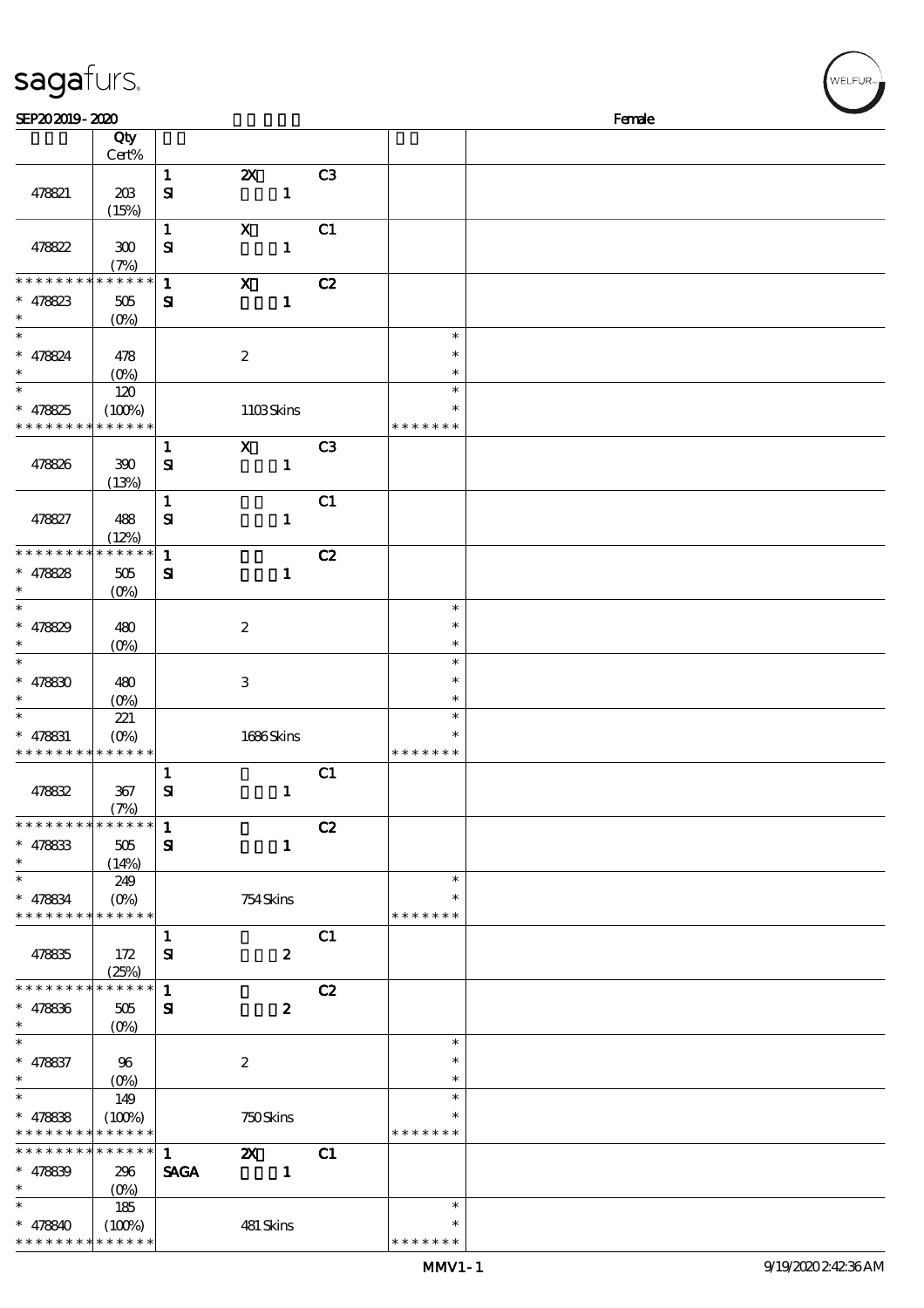| sagafurs.                                  |                      |              |                           |                |               | WELFUR <sub>™</sub> |
|--------------------------------------------|----------------------|--------------|---------------------------|----------------|---------------|---------------------|
| SEP202019-2020                             |                      |              |                           |                |               | Female              |
|                                            | Qty                  |              |                           |                |               |                     |
|                                            | Cert%                |              |                           |                |               |                     |
|                                            |                      | $\mathbf{1}$ | $\boldsymbol{\mathsf{z}}$ | C <sub>3</sub> |               |                     |
| 478821                                     | 20B                  | $\mathbf{S}$ | $\mathbf{1}$              |                |               |                     |
|                                            | (15%)                |              |                           |                |               |                     |
|                                            |                      | $\mathbf{1}$ | $\boldsymbol{\mathrm{X}}$ | C1             |               |                     |
| 478822                                     | $300\,$              | ${\bf S}$    | $\mathbf{1}$              |                |               |                     |
|                                            | (7%)                 |              |                           |                |               |                     |
| * * * * * * * *                            | * * * * * *          | $\mathbf{1}$ | $\boldsymbol{\mathrm{X}}$ | C2             |               |                     |
| $* 478823$                                 |                      |              | $\mathbf{1}$              |                |               |                     |
|                                            | 505                  | ${\bf s}$    |                           |                |               |                     |
| $\ast$                                     | $(O\%)$              |              |                           |                | $\ast$        |                     |
|                                            |                      |              |                           |                | $\ast$        |                     |
| $* 478824$                                 | 478                  |              | $\boldsymbol{2}$          |                |               |                     |
| $\ast$                                     | $(O\%)$              |              |                           |                | $\ast$        |                     |
| $\ast$                                     | 120                  |              |                           |                | $\ast$        |                     |
| $* 478825$                                 | (100%)               |              | 1103Skins                 |                | $\ast$        |                     |
| * * * * * * * *                            | * * * * * *          |              |                           |                | * * * * * * * |                     |
|                                            |                      | $\mathbf{1}$ | $\mathbf X$               | C <sub>3</sub> |               |                     |
| 478826                                     | 390                  | ${\bf s}$    | $\mathbf{1}$              |                |               |                     |
|                                            | (13%)                |              |                           |                |               |                     |
|                                            |                      | $\mathbf{1}$ |                           | C1             |               |                     |
| 478827                                     | 488                  | ${\bf S}$    | $\mathbf{1}$              |                |               |                     |
|                                            | (12%)                |              |                           |                |               |                     |
| * * * * * * * *                            | * * * * * *          | $\mathbf{1}$ |                           | C2             |               |                     |
| $* 478828$                                 | $505\,$              | ${\bf s}$    | $\mathbf{1}$              |                |               |                     |
|                                            | (O <sub>0</sub> )    |              |                           |                |               |                     |
| $\ast$                                     |                      |              |                           |                | $\ast$        |                     |
|                                            |                      |              |                           |                | $\ast$        |                     |
| $* 478829$                                 | 480                  |              | $\boldsymbol{2}$          |                | $\ast$        |                     |
| $\ast$                                     | $(O\%)$              |              |                           |                | $\ast$        |                     |
|                                            |                      |              |                           |                |               |                     |
| $* 478830$                                 | 480                  |              | $\,3$                     |                | $\ast$        |                     |
|                                            | $(O\%)$              |              |                           |                | $\ast$        |                     |
| $\ast$                                     | 221                  |              |                           |                | $\ast$        |                     |
| $* 478831$                                 | $(0\%)$              |              | 1686Skins                 |                | $\ast$        |                     |
| * * * * * * * * <mark>* * * * * * *</mark> |                      |              |                           |                | * * * * * * * |                     |
|                                            |                      | $\mathbf{1}$ |                           | C1             |               |                     |
| 478832                                     | 367                  | ${\bf s}$    | $\mathbf{1}$              |                |               |                     |
|                                            | (7%)                 |              |                           |                |               |                     |
| * * * * * * * *                            | * * * * * *          | $\mathbf{1}$ |                           | C2             |               |                     |
| $* 478833$                                 | 505                  | ${\bf s}$    | $\mathbf{1}$              |                |               |                     |
| $\ast$                                     | (14%)                |              |                           |                |               |                     |
| $\ast$                                     | 249                  |              |                           |                | $\ast$        |                     |
| $* 478834$                                 | $(O\%)$              |              | 754Skins                  |                | $\ast$        |                     |
| * * * * * * * * * * * * * *                |                      |              |                           |                | * * * * * * * |                     |
|                                            |                      | $\mathbf{1}$ |                           | C1             |               |                     |
|                                            |                      |              |                           |                |               |                     |
| 478835                                     | 172                  | ${\bf s}$    | $\boldsymbol{z}$          |                |               |                     |
| * * * * * * * *                            | (25%)<br>* * * * * * |              |                           |                |               |                     |
|                                            |                      | $\mathbf{1}$ |                           | C2             |               |                     |
| $* 478836$                                 | $505\,$              | ${\bf s}$    | $\boldsymbol{z}$          |                |               |                     |
| $\ast$                                     | $(O\%)$              |              |                           |                |               |                     |
| $\ast$                                     |                      |              |                           |                | $\ast$        |                     |
| $* 478837$                                 | 96                   |              | $\boldsymbol{2}$          |                | $\ast$        |                     |
| $\ast$                                     |                      |              |                           |                | $\ast$        |                     |
| $\ast$                                     | 149                  |              |                           |                | $\ast$        |                     |
| $* 478838$                                 | (100%)               |              | 750Skins                  |                | $\ast$        |                     |
| * * * * * * * * * * * * *                  |                      |              |                           |                | * * * * * * * |                     |
| * * * * * * * *                            | ****** 1             |              | $\mathbf{z}$              | C1             |               |                     |

\* \* \* \* \*

\*

\*\*

 $\ast$ 

SAGA 1

 $(100%)$  481 Skins

\*\*

\*  $* 478840$ \* \* \* \* \* \*

 $* 478839$  296

\* \* \* \* \* \* \*

 $(0%)$ 

185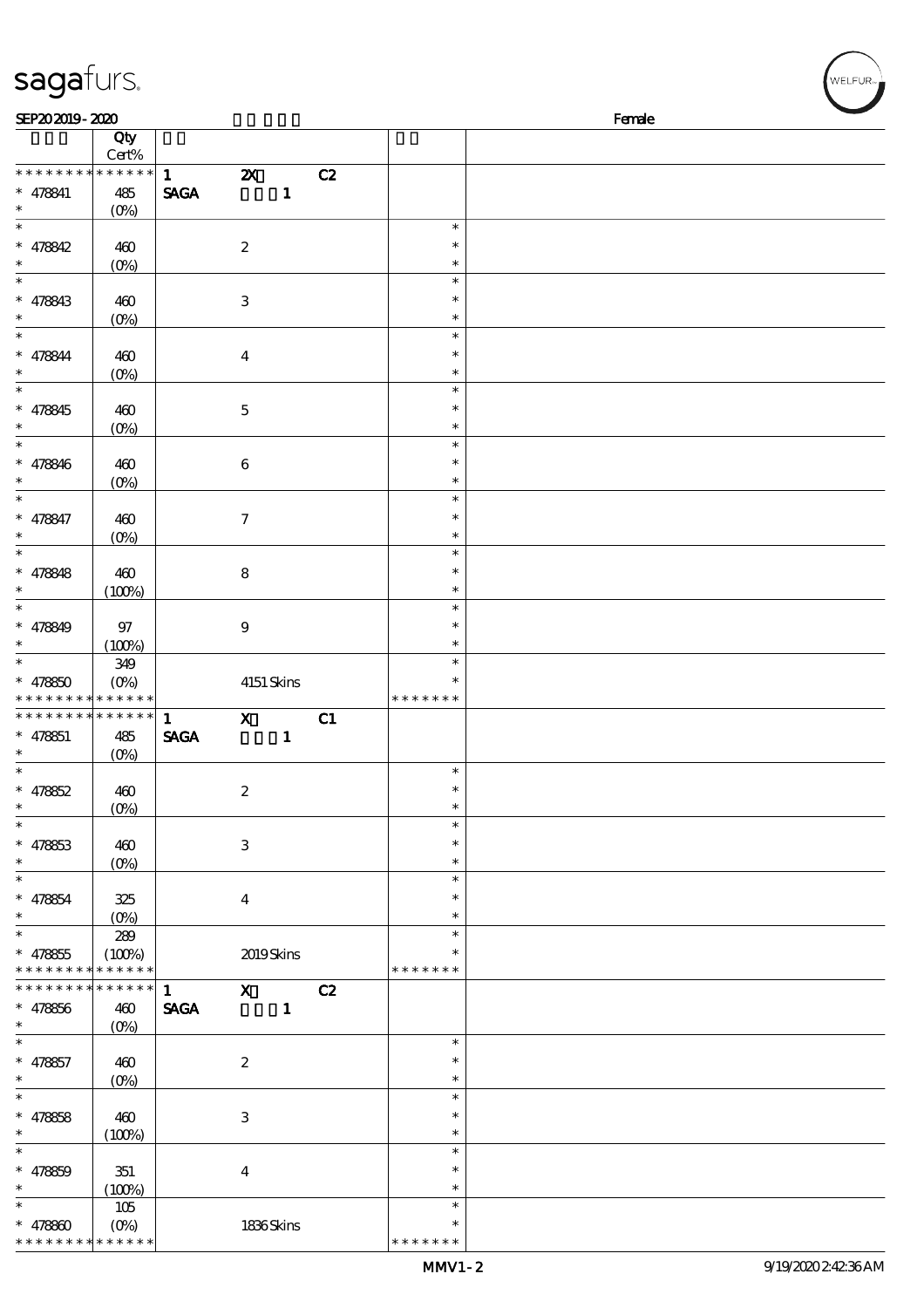| sagafurs.                                                |                                        |                             |                           |              |    |                         | WELFUR <sub>™</sub> |
|----------------------------------------------------------|----------------------------------------|-----------------------------|---------------------------|--------------|----|-------------------------|---------------------|
| SEP202019-2020                                           |                                        |                             |                           |              |    |                         | Female              |
|                                                          | Qty                                    |                             |                           |              |    |                         |                     |
|                                                          | Cert%                                  |                             |                           |              |    |                         |                     |
| * * * * * * * * * * * * * *<br>$* 478841$<br>$\ast$      | 485                                    | $\mathbf{1}$<br><b>SAGA</b> | $\boldsymbol{\mathsf{z}}$ | $\mathbf{1}$ | C2 |                         |                     |
| $\overline{\phantom{0}}$                                 | $(O\!/\!o)$                            |                             |                           |              |    | $\ast$                  |                     |
| $* 478842$                                               | 460<br>$(0\%)$                         |                             | $\boldsymbol{2}$          |              |    | $\ast$<br>$\ast$        |                     |
| $\ast$                                                   |                                        |                             |                           |              |    | $\ast$                  |                     |
| $* 478843$                                               | 460<br>$(0\%)$                         |                             | $\,3$                     |              |    | $\ast$<br>$\ast$        |                     |
| $\ast$                                                   |                                        |                             |                           |              |    | $\ast$                  |                     |
| $* 478844$<br>$\ast$                                     | 460<br>$(0\%)$                         |                             | $\boldsymbol{4}$          |              |    | $\ast$<br>$\ast$        |                     |
| $\ast$                                                   |                                        |                             |                           |              |    | $\ast$                  |                     |
| $* 478845$<br>$\ast$                                     | 460<br>$(0\%)$                         |                             | $\mathbf 5$               |              |    | $\ast$<br>$\ast$        |                     |
| $\ast$                                                   |                                        |                             |                           |              |    | $\ast$<br>$\ast$        |                     |
| $* 478846$<br>$\ast$                                     | 460<br>$(O\!/\!\!\delta)$              |                             | $\,6\,$                   |              |    | $\ast$                  |                     |
| $\ast$<br>$* 478847$                                     | 460                                    |                             | $\boldsymbol{7}$          |              |    | $\ast$<br>$\ast$        |                     |
| $\ast$                                                   | $(0\%)$                                |                             |                           |              |    | $\ast$                  |                     |
| $\ast$                                                   |                                        |                             |                           |              |    | $\ast$                  |                     |
| $* 478848$<br>$\ast$                                     | 460<br>(100%)                          |                             | $\bf 8$                   |              |    | $\ast$<br>$\ast$        |                     |
| $\ast$                                                   |                                        |                             |                           |              |    | $\ast$                  |                     |
| $* 478849$<br>$\ast$                                     | $97\,$<br>(100%)                       |                             | $\boldsymbol{9}$          |              |    | $\ast$<br>$\ast$        |                     |
| $\ast$                                                   | 349                                    |                             |                           |              |    | $\ast$                  |                     |
| $* 478850$<br>* * * * * * * * <mark>* * * * * * *</mark> | $(O\%)$                                |                             | 4151 Skins                |              |    | $\ast$<br>* * * * * * * |                     |
| * * * * * * * * * * * * * *                              |                                        | $\mathbf{1}$                | $\mathbf{X}$              |              | C1 |                         |                     |
| $* 478851$                                               | 485                                    | <b>SAGA</b>                 |                           | $\mathbf{1}$ |    |                         |                     |
| $\ast$<br>$\ast$                                         | (0%)                                   |                             |                           |              |    |                         |                     |
| $* 47862$                                                | 460                                    |                             | $\boldsymbol{2}$          |              |    | $\ast$<br>*             |                     |
| $\ast$                                                   | $(O\!/\!\delta)$                       |                             |                           |              |    | $\ast$                  |                     |
| $\ast$                                                   |                                        |                             |                           |              |    | $\ast$                  |                     |
| $* 478853$                                               | 460                                    |                             | $\ensuremath{\mathsf{3}}$ |              |    | *                       |                     |
| $\ast$<br>$\ast$                                         | $(0\%)$                                |                             |                           |              |    | $\ast$<br>$\ast$        |                     |
| $* 478854$                                               | 325                                    |                             | $\boldsymbol{4}$          |              |    | $\ast$                  |                     |
| $\ast$<br>$\ast$                                         | $(O_0)$                                |                             |                           |              |    | $\ast$<br>$\ast$        |                     |
| $* 478855$<br>* * *                                      | 289<br>(100%)<br>* * * * * * * * * * * |                             | 2019Skins                 |              |    | * * * * * * *           |                     |
| * * * * * * * *                                          | * * * * * *                            | $\mathbf{1}$                |                           | $\mathbf{X}$ | C2 |                         |                     |
| $* 478856$                                               | 460                                    | <b>SAGA</b>                 |                           | $\mathbf{1}$ |    |                         |                     |
| $\ast$<br>$\ast$                                         | $(O\%)$                                |                             |                           |              |    | $\ast$                  |                     |
| $* 478857$                                               | 460                                    |                             | $\boldsymbol{2}$          |              |    | $\ast$                  |                     |
| $\ast$<br>$\ast$                                         | $(O\!/\!\delta)$                       |                             |                           |              |    | $\ast$<br>$\ast$        |                     |
| $* 478658$                                               | 460                                    |                             | $\,3$                     |              |    | $\ast$                  |                     |
| $\ast$                                                   | (100%)                                 |                             |                           |              |    | $\ast$                  |                     |
| $\overline{\phantom{0}}$                                 |                                        |                             |                           |              |    | $\ast$                  |                     |
| $* 478859$                                               | 351                                    |                             | $\boldsymbol{4}$          |              |    | $\ast$                  |                     |
| $\ast$                                                   | (100%)                                 |                             |                           |              |    | $\ast$<br>$\ast$        |                     |
| $* 478800$                                               | 105<br>$(O\%)$                         |                             | 1836Skins                 |              |    | $\ast$                  |                     |
|                                                          |                                        |                             |                           |              |    |                         |                     |

\* \* \* \* \* \* \*

\* \* \* \* \* \* \* \* \* \* \* \* \*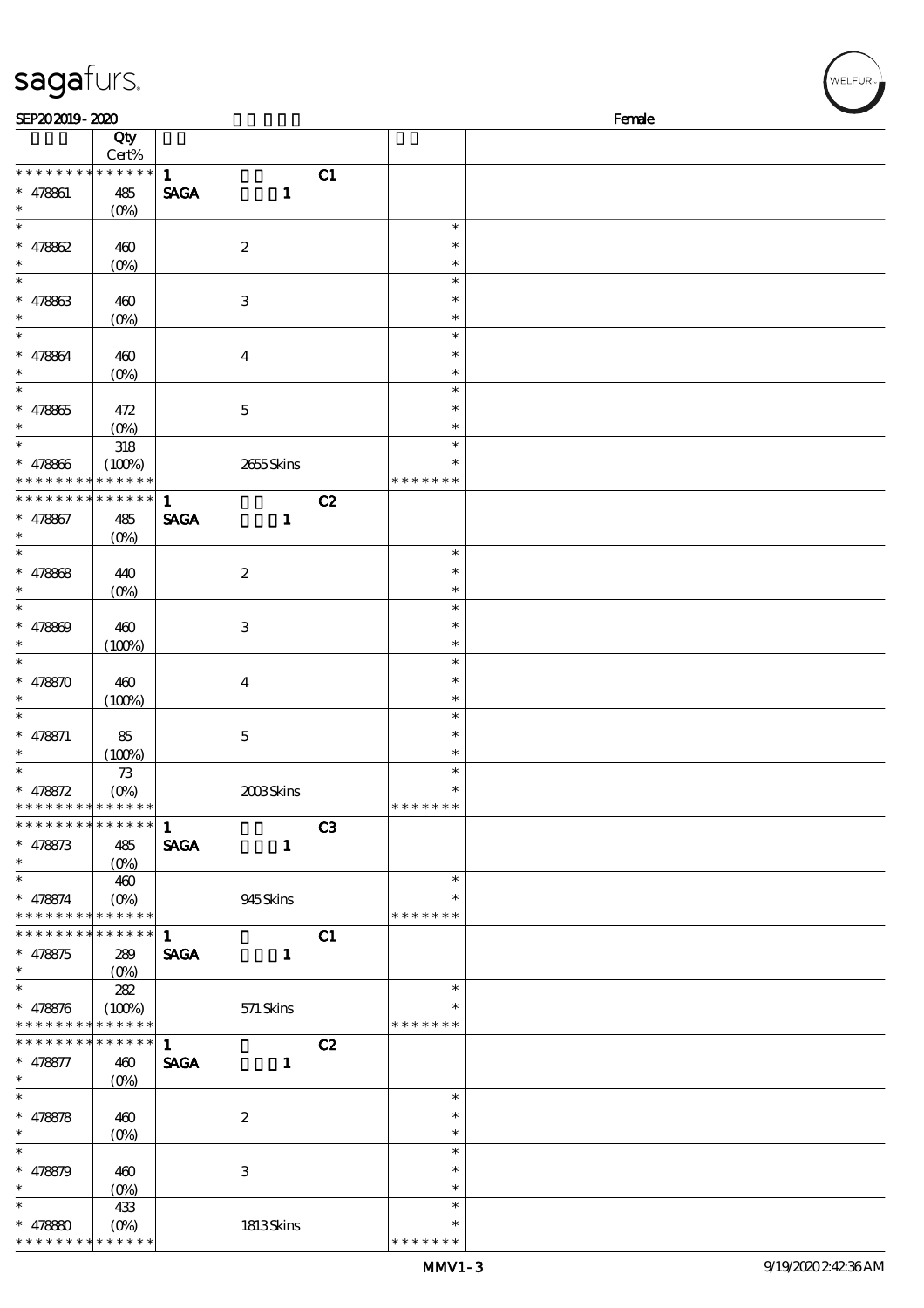| sagafurs.                                  |                       |              |                  |                |                         | WELFUR <sub>*</sub> |
|--------------------------------------------|-----------------------|--------------|------------------|----------------|-------------------------|---------------------|
| SEP202019-2020                             |                       |              |                  |                |                         | Female              |
|                                            | Qty                   |              |                  |                |                         |                     |
|                                            | Cert%                 |              |                  |                |                         |                     |
| * * * * * * * *                            | * * * * * *           | $\mathbf{1}$ |                  | C1             |                         |                     |
| $* 478861$<br>$\ast$                       | 485                   | <b>SAGA</b>  | $\mathbf{1}$     |                |                         |                     |
| $\ast$                                     | $(O\%)$               |              |                  |                | $\ast$                  |                     |
| * $478862$                                 | 460                   |              | $\boldsymbol{2}$ |                | $\ast$                  |                     |
| $\ast$                                     | $(0\%)$               |              |                  |                | $\ast$                  |                     |
| $\ast$                                     |                       |              |                  |                | $\ast$                  |                     |
| $* 478863$                                 | 460                   |              | $\,3$            |                | $\ast$                  |                     |
| $\ast$                                     | $(O\%)$               |              |                  |                | $\ast$                  |                     |
| $\overline{\ast}$                          |                       |              |                  |                | $\ast$                  |                     |
| $* 478864$                                 | 460                   |              | $\boldsymbol{4}$ |                | $\ast$                  |                     |
| $\ast$<br>$\overline{\ast}$                | $(O\!/\!o)$           |              |                  |                | $\ast$<br>$\ast$        |                     |
| $* 478865$                                 | 472                   |              | $\mathbf 5$      |                | $\ast$                  |                     |
| $\ast$                                     | $(0\%)$               |              |                  |                | $\ast$                  |                     |
| $\ast$                                     | $318\,$               |              |                  |                | $\ast$                  |                     |
| $* 478866$                                 | (100%)                |              | 2655Skins        |                | ∗                       |                     |
| * * * * * * * *                            | * * * * * *           |              |                  |                | * * * * * * *           |                     |
| * * * * * * * *                            | * * * * * *           | $\mathbf{1}$ |                  | C2             |                         |                     |
| * 478867                                   | 485                   | <b>SAGA</b>  | $\mathbf{1}$     |                |                         |                     |
| $\ast$<br>$\ast$                           | $(O\!/\!\!\delta)$    |              |                  |                | $\ast$                  |                     |
| * 478868                                   | 440                   |              | $\boldsymbol{2}$ |                | $\ast$                  |                     |
| $\ast$                                     | $(O\%)$               |              |                  |                | $\ast$                  |                     |
| $\ast$                                     |                       |              |                  |                | $\ast$                  |                     |
| * $478809$                                 | 460                   |              | $\,3$            |                | $\ast$                  |                     |
| $\ast$                                     | (100%)                |              |                  |                | $\ast$                  |                     |
| $\ast$                                     |                       |              |                  |                | $\ast$                  |                     |
| * $478870$                                 | 460                   |              | $\boldsymbol{4}$ |                | $\ast$                  |                     |
| $\ast$<br>$\ast$                           | (100%)                |              |                  |                | $\ast$                  |                     |
|                                            |                       |              |                  |                | $\ast$<br>$\ast$        |                     |
| $* 478871$<br>$\ast$                       | 85<br>(100%)          |              | $\mathbf 5$      |                | $\ast$                  |                     |
| $\ast$                                     | 73                    |              |                  |                | $\ast$                  |                     |
| * $478872$                                 | $(O\%)$               |              | 2003Skins        |                | ∗                       |                     |
| * * * * * * * * <mark>* * * * * * *</mark> |                       |              |                  |                | * * * * * * *           |                     |
| * * * * * * * *                            | * * * * * *           | $\mathbf{1}$ |                  | C <sub>3</sub> |                         |                     |
| $* 478873$                                 | 485                   | <b>SAGA</b>  | $\mathbf{1}$     |                |                         |                     |
| $*$<br>$\ast$                              | $(0\%)$               |              |                  |                | $\ast$                  |                     |
| $* 478874$                                 | 460<br>$(O\!/\!o)$    |              | 945Skins         |                | $\ast$                  |                     |
| * * * * * * * * * * * * * *                |                       |              |                  |                | * * * * * * *           |                     |
| * * * * * * * *                            | $* * * * * * *$       | $\mathbf{1}$ |                  | C1             |                         |                     |
| $* 478875$                                 | 289                   | <b>SAGA</b>  | $\mathbf{1}$     |                |                         |                     |
| $\ast$                                     | $(O_0)$               |              |                  |                |                         |                     |
| $\ast$                                     | 282                   |              |                  |                | $\ast$                  |                     |
| $* 478876$<br>* * * * * * * *              | (100%)<br>* * * * * * |              | 571 Skins        |                | $\ast$<br>* * * * * * * |                     |
| * * * * * * * *                            | $* * * * * * *$       | $\mathbf{1}$ |                  | C2             |                         |                     |
| $* 478877$                                 | 460                   | <b>SAGA</b>  | $\mathbf{1}$     |                |                         |                     |
| $\ast$                                     | $(O_0)$               |              |                  |                |                         |                     |
| $\ast$                                     |                       |              |                  |                | $\ast$                  |                     |
| $* 478878$                                 | 460                   |              | $\boldsymbol{2}$ |                | $\ast$                  |                     |
| $\ast$                                     | $(O\!/\!o)$           |              |                  |                | $\ast$                  |                     |
| $\ast$                                     |                       |              |                  |                | $\ast$                  |                     |
| $* 478879$<br>$\ast$                       | 460                   |              | $\,3$            |                | $\ast$<br>$\ast$        |                     |
| $\ast$                                     | $(0\%)$<br>433        |              |                  |                | $\ast$                  |                     |
| * $47880$                                  | $(O\%)$               |              | 1813Skins        |                | $\ast$                  |                     |
|                                            |                       |              |                  |                |                         |                     |

\* \* \* \* \* \* \*

\* \* \* \* \* \* \* \* <mark>\* \* \* \* \* \* \*</mark>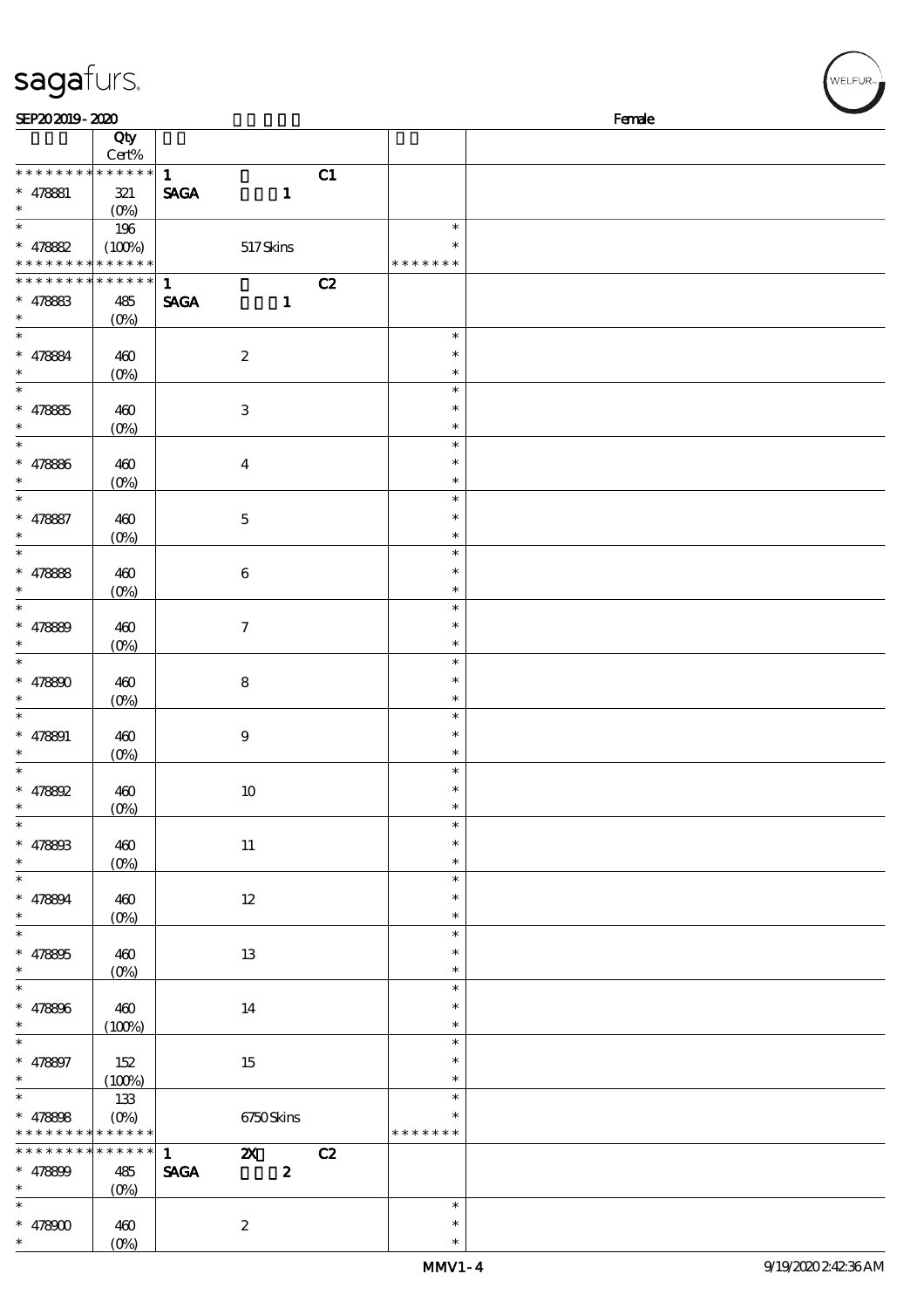| sagafurs.                                                         |                                           |                                  |                  |                  |    |                                   | WELFUR <sub>™</sub> |
|-------------------------------------------------------------------|-------------------------------------------|----------------------------------|------------------|------------------|----|-----------------------------------|---------------------|
| SEP202019-2020                                                    |                                           |                                  |                  |                  |    |                                   | Female              |
|                                                                   | $\overline{Q}$ ty<br>Cert%                |                                  |                  |                  |    |                                   |                     |
| * * * * * * * * * * * * * *<br>$* 478881$<br>$\ast$               | $321\,$<br>$(O\%)$                        | $\mathbf{1}$<br><b>SAGA</b>      |                  | $\mathbf{1}$     | C1 |                                   |                     |
| $\ast$<br>$* 47882$<br>* * * * * * * * <mark>* * * * * * *</mark> | 196<br>(100%)                             |                                  | 517Skins         |                  |    | $\ast$<br>∗<br>* * * * * * *      |                     |
| * * * * * * * *<br>$* 478833$<br>$\ast$                           | * * * * * *<br>485<br>(O <sub>0</sub> )   | $\mathbf{1}$<br><b>SAGA</b>      |                  | $\mathbf{1}$     | C2 |                                   |                     |
| $\overline{\ast}$<br>$* 478884$                                   | 460<br>$(0\%)$                            |                                  | $\boldsymbol{2}$ |                  |    | $\ast$<br>$\ast$<br>$\ast$        |                     |
| $\ast$<br>$* 47885$<br>$\ast$                                     | 460<br>$(0\%)$                            |                                  | $\,3$            |                  |    | $\ast$<br>$\ast$<br>$\ast$        |                     |
| $\ast$<br>$* 478866$<br>$\ast$                                    | 460<br>$(0\%)$                            |                                  | $\boldsymbol{4}$ |                  |    | $\ast$<br>$\ast$<br>$\ast$        |                     |
| $\ast$<br>$* 478887$<br>$\ast$                                    | 460<br>$(0\%)$                            |                                  | $\mathbf 5$      |                  |    | $\ast$<br>$\ast$<br>$\ast$        |                     |
| $\ast$<br>$* 47888$<br>$\ast$                                     | 460<br>(O <sub>0</sub> )                  |                                  | $\,6\,$          |                  |    | $\ast$<br>$\ast$<br>$\ast$        |                     |
| $\ast$<br>$* 47889$                                               | 460<br>$(O\%)$                            |                                  | $\boldsymbol{7}$ |                  |    | $\ast$<br>$\ast$<br>$\ast$        |                     |
| $\ast$<br>$* 478800$                                              | 460<br>$(O\%)$                            |                                  | $\bf 8$          |                  |    | $\ast$<br>$\ast$<br>$\ast$        |                     |
| $\ast$<br>$* 478891$<br>$\ast$                                    | 460<br>(0%)                               |                                  | $\boldsymbol{9}$ |                  |    | $\ast$<br>$\ast$<br>$\ast$        |                     |
| $\ast$<br>$* 478892$<br>$\ast$                                    | 460<br>$(O\%)$                            |                                  | 10               |                  |    | $\ast$<br>$\ast$<br>$\ast$        |                     |
| $\ast$<br>$* 478803$<br>$\ast$                                    | 460<br>$(0\%)$                            |                                  | $11\,$           |                  |    | $\ast$<br>$\ast$<br>$\ast$        |                     |
| $\ast$<br>$* 478894$<br>$\ast$                                    | 460<br>$(O\%)$                            |                                  | $12\,$           |                  |    | $\ast$<br>$\ast$<br>$\ast$        |                     |
| $\ast$<br>$* 478805$<br>$\ast$<br>$\overline{\phantom{0}}$        | 460<br>$(O\%)$                            |                                  | 13               |                  |    | $\ast$<br>$\ast$<br>$\ast$        |                     |
| * 478806<br>$\ast$                                                | 460<br>(100%)                             |                                  | 14               |                  |    | $\ast$<br>$\ast$<br>$\ast$        |                     |
| $\ast$<br>$* 478897$<br>$\ast$                                    | 152<br>(100%)                             |                                  | 15               |                  |    | $\ast$<br>$\ast$<br>$\ast$        |                     |
| $\ast$<br>$* 478808$<br>* * * * * * * * * * * * * *               | 133<br>$(O\!\!\!\!\!\!/\,\!\!\!\!\!/\,0)$ |                                  | 6750Skins        |                  |    | $\ast$<br>$\ast$<br>* * * * * * * |                     |
| * * * * * * * *<br>$* 478809$<br>$\ast$                           | * * * * * *<br>485<br>(O <sub>0</sub> )   | $1 \qquad \qquad$<br><b>SAGA</b> | $\mathbf{z}$     | $\boldsymbol{z}$ | C2 |                                   |                     |
| $\overline{\ast}$                                                 |                                           |                                  |                  |                  |    | $\ast$                            |                     |

\* 478900 460

(0%)

2

\*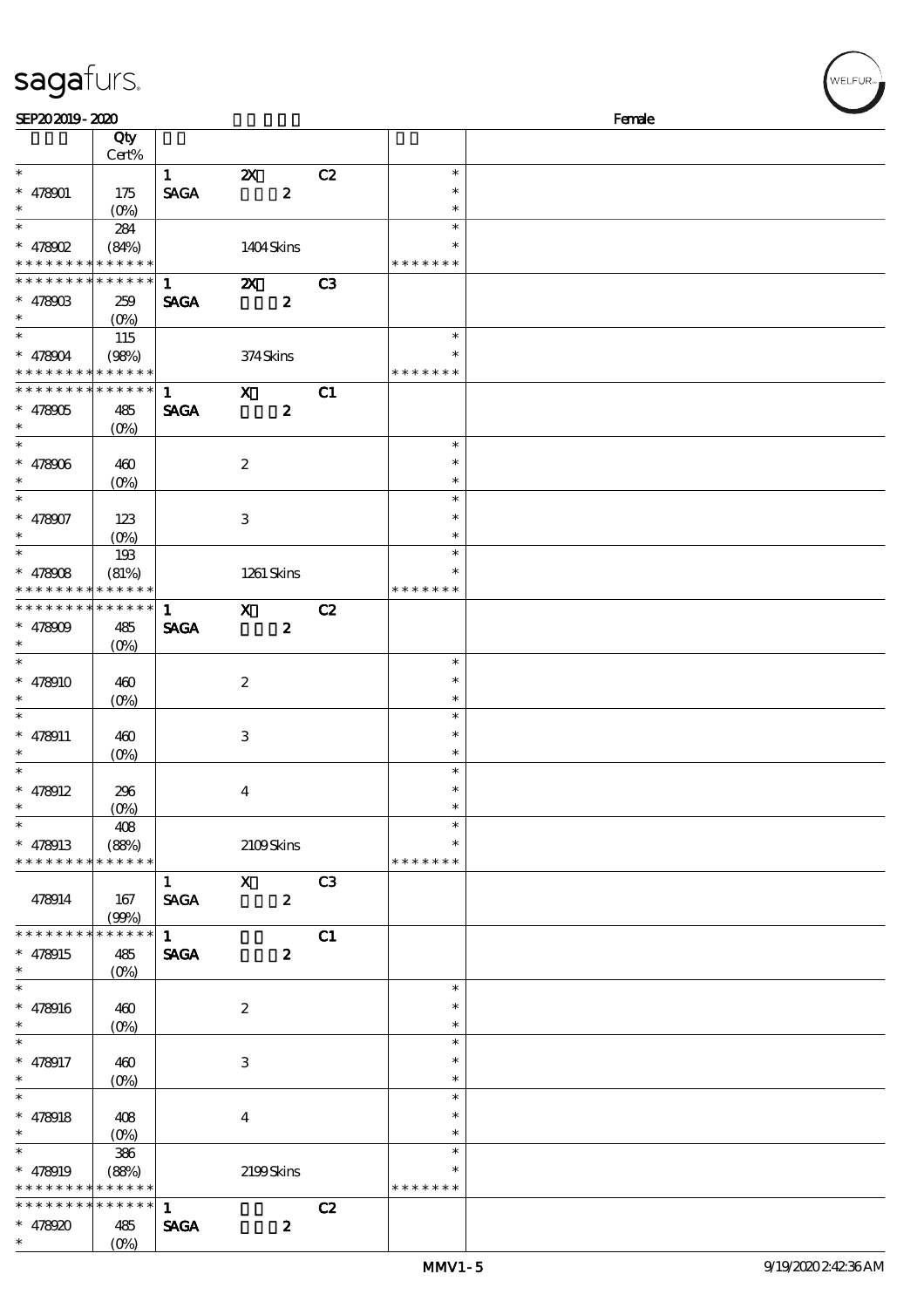| $\overline{\phantom{0}}$      |          |                  |                         |                  |                |               |        |
|-------------------------------|----------|------------------|-------------------------|------------------|----------------|---------------|--------|
| SEP202019-2020                |          |                  |                         |                  |                |               | Female |
|                               | Qty      |                  |                         |                  |                |               |        |
|                               | Cert%    |                  |                         |                  |                |               |        |
| $\ast$                        |          | $\mathbf{1}$     | $\mathbf{X}$            |                  | C <sub>2</sub> | $\ast$        |        |
| $\ast$<br>478901              | 175      | <b>SAGA</b>      |                         | $\boldsymbol{z}$ |                | $\ast$        |        |
| $\ast$                        | $(O_0)$  |                  |                         |                  |                | $\ast$        |        |
| $\ast$                        | 284      |                  |                         |                  |                | $\ast$        |        |
| $* 478002$                    | (84%)    |                  |                         | 1404Skins        |                | $\ast$        |        |
| * * * * * * * * * * * * * *   |          |                  |                         |                  |                | * * * * * * * |        |
| * * * * * * * * * * * * * *   |          | $1 \quad$        | $\mathbf{z}$            |                  | C3             |               |        |
| $* 478003$                    | 259      | <b>SAGA</b>      |                         | $\boldsymbol{z}$ |                |               |        |
| $\ast$                        | $(O\% )$ |                  |                         |                  |                |               |        |
| $\ast$                        | 115      |                  |                         |                  |                | $\ast$        |        |
| $* 478004$                    | (98%)    |                  | 374Skins                |                  |                | $\ast$        |        |
| * * * * * * * * * * * * * *   |          |                  |                         |                  |                | * * * * * * * |        |
| * * * * * * * * * * * * * *   |          | $1 \quad \cdots$ | $\mathbf x$             |                  | C1             |               |        |
| $* 478005$                    | 485      | <b>SAGA</b>      | $\overline{\mathbf{z}}$ |                  |                |               |        |
| $\ast$                        | $(O\% )$ |                  |                         |                  |                |               |        |
| $\ast$                        |          |                  |                         |                  |                | $\ast$        |        |
| $\ast$<br>478906              | 460      |                  | $\boldsymbol{2}$        |                  |                | $\ast$        |        |
| $\ast$                        | $(O\%)$  |                  |                         |                  |                | $\ast$        |        |
| $\ast$                        |          |                  |                         |                  |                | $\ast$        |        |
| $\ast$<br>478907              | 123      |                  | 3                       |                  |                | $\ast$        |        |
|                               | $(O\%)$  |                  |                         |                  |                | $\ast$        |        |
|                               | 193      |                  |                         |                  |                | $\ast$        |        |
| $\ast$<br>478908              | (81%)    |                  |                         | 1261 Skins       |                | $\ast$        |        |
| * * * * * * * * * * * * * *   |          |                  |                         |                  |                | * * * * * * * |        |
| * * * * * * * * * * * * * * * |          | 1                | $\mathbf{x}$            |                  | C2             |               |        |
| $* 478009$                    | 485      | <b>SAGA</b>      |                         | $\boldsymbol{z}$ |                |               |        |
| $\ast$                        | $(O\%)$  |                  |                         |                  |                |               |        |
| $\ast$                        |          |                  |                         |                  |                | $\ast$        |        |
| $\ast$<br>478910              | 460      |                  | $\boldsymbol{2}$        |                  |                | $\ast$        |        |
|                               | $(O\%)$  |                  |                         |                  |                | $\ast$        |        |
| $\ast$                        |          |                  |                         |                  |                | $\ast$        |        |
| 478911                        | 460      |                  | 3                       |                  |                | $\ast$        |        |
|                               | $(O\%)$  |                  |                         |                  |                | $\ast$        |        |
| $\ast$                        |          |                  |                         |                  |                | $\ast$        |        |
| $\ast$<br>478912              | 296      |                  | 4                       |                  |                | $\ast$        |        |
| $\ast$                        | $(O\%)$  |                  |                         |                  |                | $\ast$        |        |
| $\ast$                        | 408      |                  |                         |                  |                | $\ast$        |        |
| $* 478913$                    | (88%)    |                  |                         | 2109Skins        |                | $\ast$        |        |

\* \* \* \* \* \* \* \* \* \* \* \* \*

478914 167

\* \* \* \* \* \* \* \* \* \* \* \* \* \*

\* 478916 460

\* 478917 460

\* 478918 408

\* \* \* \* \* \* \* \* \* \* \* \* \*

\* \* \* \* \* \* \* \* \* \* \* \* \* \* \* 478920 485

478915 485

\* \*

\*

\*

\*

\*

\*

\*

\*

\*

\* 478919

(99%)

(0%)

 $(0%)$ 

(0%)

(0%)

386

 $(0%)$ 

 $\overline{1}$  X  $\overline{C3}$ SAGA 2

 $1$  C1  $SAGA$  2

2

3

4

 $1$  C<sub>2</sub>  $SAGA$  2

(88%) 2199 Skins

\* \* \* \* \* \* \*

\* \* \*

> \* \* \*

\* \* \*

> \* \*

\* \* \* \* \* \* \*

MMV1-5 9/19/2020 2:42:36 AM

VELFUR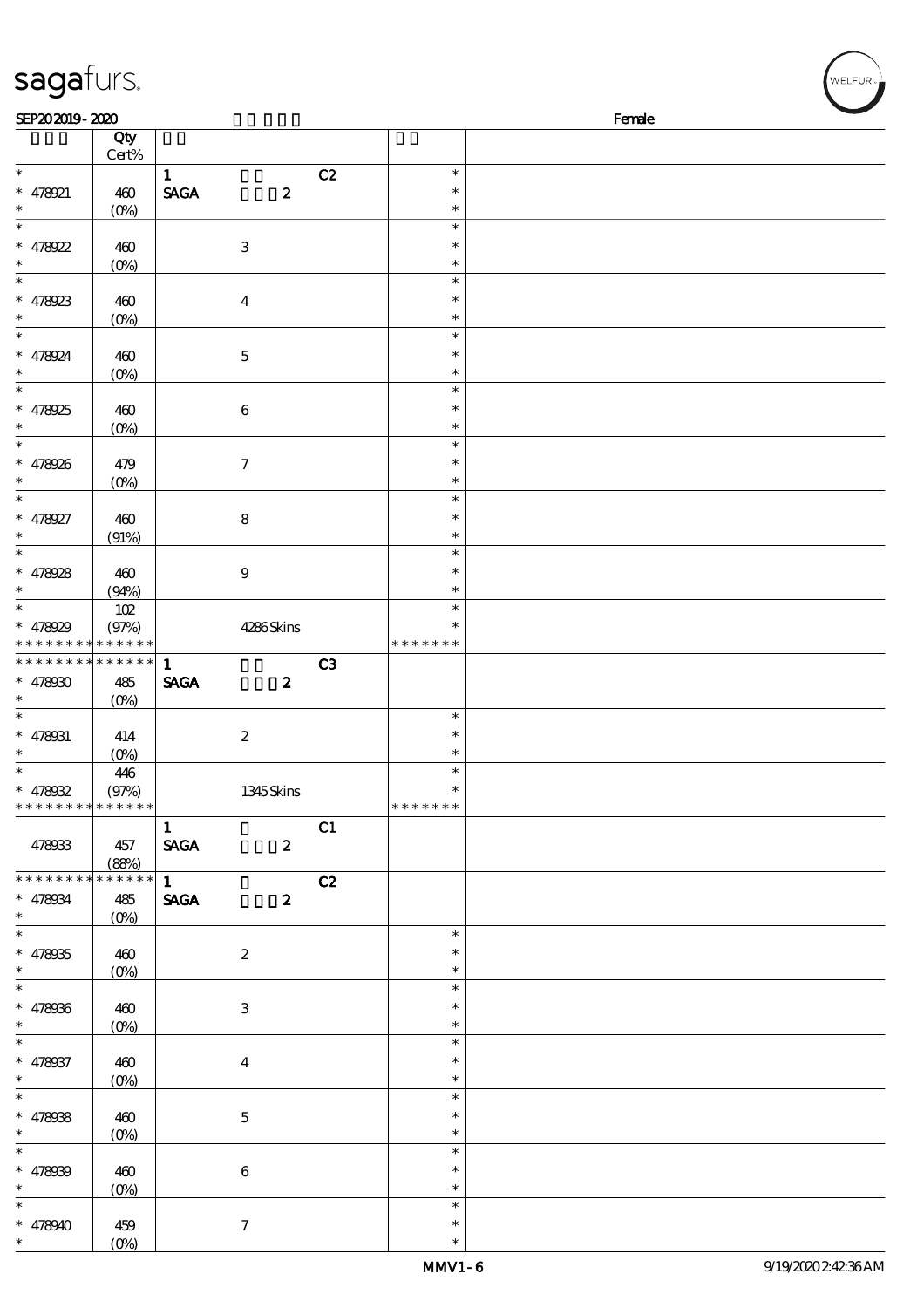| sagafurs.                                |                                 |              |                         |                |                         | WELFUR <sub>™</sub> |
|------------------------------------------|---------------------------------|--------------|-------------------------|----------------|-------------------------|---------------------|
| SEP202019-2020                           |                                 |              |                         |                |                         | Female              |
|                                          | Qty                             |              |                         |                |                         |                     |
| $\ast$                                   | $\mbox{Cert}\%$                 | $\mathbf{1}$ |                         | C2             | $\ast$                  |                     |
| $* 478921$                               | 460                             | <b>SAGA</b>  | $\boldsymbol{z}$        |                | $\ast$                  |                     |
| $\ast$                                   | $(0\%)$                         |              |                         |                | $\ast$                  |                     |
| $\ast$                                   |                                 |              |                         |                | $\ast$                  |                     |
| $* 478922$                               | 460<br>$(0\%)$                  |              | $\,3$                   |                | $\ast$<br>$\ast$        |                     |
| $\ast$                                   |                                 |              |                         |                | $\ast$                  |                     |
| $* 478923$                               | 460                             |              | $\overline{\mathbf{4}}$ |                | $\ast$                  |                     |
| $\ast$                                   | $(O_0)$                         |              |                         |                | $\ast$                  |                     |
| $* 478924$                               | 460                             |              | $\mathbf 5$             |                | $\ast$<br>$\ast$        |                     |
| $\ast$                                   | $(0\%)$                         |              |                         |                | $\ast$                  |                     |
| $\ast$                                   |                                 |              |                         |                | $\ast$                  |                     |
| $* 478925$                               | 460                             |              | 6                       |                | $\ast$                  |                     |
| $\ast$<br>$\ast$                         | $(0\%)$                         |              |                         |                | $\ast$<br>$\ast$        |                     |
| $* 478926$                               | 479                             |              | $\tau$                  |                | $\ast$                  |                     |
| $\ast$                                   | $(O\!/\!\!\delta)$              |              |                         |                | $\ast$                  |                     |
| $\ast$                                   |                                 |              |                         |                | $\ast$                  |                     |
| $* 478927$<br>$\ast$                     | 460                             |              | $\bf 8$                 |                | $\ast$<br>*             |                     |
| $\ast$                                   | (91%)                           |              |                         |                | $\ast$                  |                     |
| $* 478928$                               | 460                             |              | $\boldsymbol{9}$        |                | $\ast$                  |                     |
| $\ast$                                   | (94%)                           |              |                         |                | $\ast$                  |                     |
| $\ast$                                   | 102                             |              |                         |                | $\ast$                  |                     |
| $* 478029$                               | (97%)<br>* * * * * * * * * *    |              | 4286Skins               |                | $\ast$<br>* * * * * * * |                     |
| * * * * * * * * * * * * * *              |                                 | $\mathbf{1}$ |                         | C <sub>3</sub> |                         |                     |
| * $47800$                                | 485                             | <b>SAGA</b>  | $\boldsymbol{z}$        |                |                         |                     |
| $\ast$                                   | $(0\%)$                         |              |                         |                |                         |                     |
| $\ast$<br>$* 478031$                     | 414                             |              | $\boldsymbol{2}$        |                | $\ast$<br>$\ast$        |                     |
| $\ast$                                   | $(0\%)$                         |              |                         |                | $\ast$                  |                     |
| $\ast$                                   | 446                             |              |                         |                | $\ast$                  |                     |
| $* 478032$                               | (97%)                           |              | 1345 Skins              |                |                         |                     |
| * * * * * * * * <mark>* * * * * *</mark> |                                 | $\mathbf{1}$ |                         | C1             | * * * * * * *           |                     |
| 478933                                   | 457                             | <b>SAGA</b>  | $\boldsymbol{z}$        |                |                         |                     |
|                                          | (88%)                           |              |                         |                |                         |                     |
| * * * * * * * * * * * * * *              |                                 | $1 \quad$    |                         | C2             |                         |                     |
| $* 478034$<br>$\ast$                     | 485                             | <b>SAGA</b>  | $\boldsymbol{z}$        |                |                         |                     |
| $\ast$                                   |                                 |              |                         |                | $\ast$                  |                     |
| $* 478935$                               | 460                             |              | $\boldsymbol{2}$        |                | $\ast$                  |                     |
| $\ast$<br>$\overline{\ast}$              |                                 |              |                         |                | $\ast$<br>$\ast$        |                     |
| $* 478036$                               | 460                             |              | $\,3\,$                 |                | $\ast$                  |                     |
| $\ast$                                   | $(O\!\!\!\!\!\!\backslash\rho)$ |              |                         |                | $\ast$                  |                     |
| $\ast$                                   |                                 |              |                         |                | $\ast$                  |                     |
| $* 478037$                               | 460                             |              | $\boldsymbol{4}$        |                | $\ast$                  |                     |
| $\ast$<br>$\ast$                         | $(O\!/\!\!\delta)$              |              |                         |                | $\ast$<br>$\ast$        |                     |
| $* 478038$                               | 460                             |              | $\mathbf 5$             |                | $\ast$                  |                     |
| $\ast$                                   | $(O\%)$                         |              |                         |                | $\ast$                  |                     |
| $\overline{\phantom{a}^*}$               |                                 |              |                         |                | $\ast$                  |                     |
| $* 478039$<br>$\ast$                     | 460                             |              | $\,6\,$                 |                | $\ast$<br>$\ast$        |                     |
|                                          | $(0\%)$                         |              |                         |                | $\ast$                  |                     |
| $* 478940$                               | 459                             |              | $\tau$                  |                | $\ast$                  |                     |

(0%)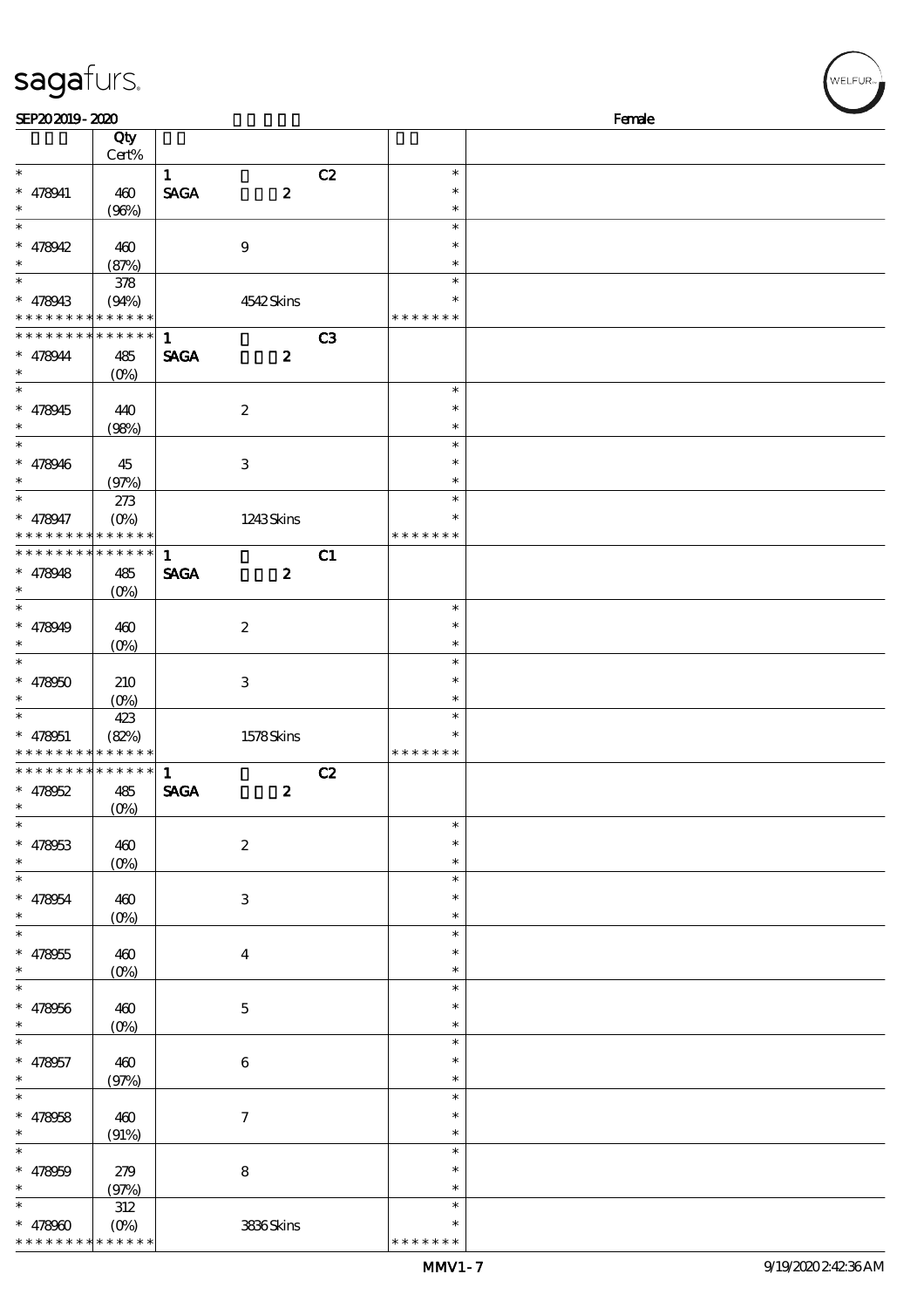| SEP202019-2020           |                            |                                |                  |                |               | Female |
|--------------------------|----------------------------|--------------------------------|------------------|----------------|---------------|--------|
|                          | Qty                        |                                |                  |                |               |        |
|                          | Cert%                      |                                |                  |                |               |        |
| $\ast$                   |                            | $\mathbf{1}$                   |                  | C2             | $\ast$        |        |
| $* 478041$               | 460                        | $\operatorname{\mathsf{SAGA}}$ | $\boldsymbol{z}$ |                | $\ast$        |        |
| $\ast$                   | (96%)                      |                                |                  |                | $\ast$        |        |
| $\overline{\ast}$        |                            |                                |                  |                | $\ast$        |        |
| $* 478042$               | 460                        |                                | $\boldsymbol{9}$ |                | $\ast$        |        |
| $\ast$                   | (87%)                      |                                |                  |                | $\ast$        |        |
|                          | 378                        |                                |                  |                | $\ast$        |        |
| * 478943                 | (94%)                      |                                | 4542Skins        |                | $\ast$        |        |
| * * * * * * * *          | * * * * * *                |                                |                  |                | * * * * * * * |        |
| * * * * * * * *          | * * * * * *                | $\mathbf{1}$                   |                  | C <sub>3</sub> |               |        |
| $* 478944$               | 485                        | <b>SAGA</b>                    | $\boldsymbol{z}$ |                |               |        |
| $\ast$                   | $(O\%)$                    |                                |                  |                |               |        |
| $\overline{\ast}$        |                            |                                |                  |                | $\ast$        |        |
| $* 478945$               | 440                        |                                | $\boldsymbol{2}$ |                | $\ast$        |        |
| $\ast$                   | (98%)                      |                                |                  |                | $\ast$        |        |
| $\overline{\phantom{0}}$ |                            |                                |                  |                | $\ast$        |        |
| $* 478946$               | 45                         |                                | $\,3\,$          |                | $\ast$        |        |
| $\ast$                   | (97%)                      |                                |                  |                | $\ast$        |        |
| $\ast$                   | 273                        |                                |                  |                | $\ast$        |        |
| * 478947                 |                            |                                |                  |                | $\ast$        |        |
| * * * * * * * *          | $(O\!/\!o)$<br>* * * * * * |                                | 1243Skins        |                | * * * * * * * |        |
| * * * * * * * *          | * * * * * *                |                                |                  |                |               |        |
|                          |                            | $\mathbf{1}$                   |                  | C1             |               |        |
| $* 478948$               | 485                        | <b>SAGA</b>                    | $\boldsymbol{z}$ |                |               |        |
| $\ast$<br>$\ast$         | (O <sub>0</sub> )          |                                |                  |                |               |        |
|                          |                            |                                |                  |                | $\ast$        |        |
| $* 478949$               | 460                        |                                | $\boldsymbol{2}$ |                | $\ast$        |        |
| $\ast$                   | $(O\%)$                    |                                |                  |                | $\ast$        |        |
| $\overline{\ast}$        |                            |                                |                  |                | $\ast$        |        |
| $* 478000$               | 210                        |                                | $\,3\,$          |                | $\ast$        |        |
| $\ast$                   | $(0\%)$                    |                                |                  |                | $\ast$        |        |
|                          | 423                        |                                |                  |                | $\ast$        |        |
| $* 478051$               | (82%)                      |                                | 1578Skins        |                | $\ast$        |        |
| * * * * * * * *          | * * * * * *                |                                |                  |                | * * * * * * * |        |
| * * * * * * * *          | * * * * * *                | 1                              |                  | C2             |               |        |
| $* 478052$               | 485                        | <b>SAGA</b>                    | $\boldsymbol{z}$ |                |               |        |
|                          | (0%)                       |                                |                  |                |               |        |
| $\ast$                   |                            |                                |                  |                | $\ast$        |        |
| $* 478053$               | 460                        |                                | $\boldsymbol{2}$ |                | $\ast$        |        |
| $\ast$                   | $(0\%)$                    |                                |                  |                | $\ast$        |        |
| $\ast$                   |                            |                                |                  |                | $\ast$        |        |
| * 478954                 | 460                        |                                | $\,3$            |                | $\ast$        |        |
| $\ast$                   | $(0\%)$                    |                                |                  |                | $\ast$        |        |
| $\ast$                   |                            |                                |                  |                | $\ast$        |        |
| $* 478055$               | 460                        |                                | $\boldsymbol{4}$ |                | $\ast$        |        |
| $\ast$                   | $(0\%)$                    |                                |                  |                | $\ast$        |        |
| $\ast$                   |                            |                                |                  |                | $\ast$        |        |
| $* 478056$               | 460                        |                                | $\mathbf 5$      |                | $\ast$        |        |
| $\ast$                   | (0%                        |                                |                  |                | $\ast$        |        |
| $\ast$                   |                            |                                |                  |                | $\ast$        |        |
| * 478957                 | 460                        |                                | $\,6\,$          |                | $\ast$        |        |
| $\ast$                   | (97%)                      |                                |                  |                | $\ast$        |        |
| $\ast$                   |                            |                                |                  |                | $\ast$        |        |
| $* 478058$               | 460                        |                                | $\boldsymbol{7}$ |                | $\ast$        |        |
| $\ast$                   | (91%)                      |                                |                  |                | $\ast$        |        |
| $\ast$                   |                            |                                |                  |                | $\ast$        |        |
|                          |                            |                                |                  |                | $\ast$        |        |
| * $478000$<br>$\ast$     | 279                        |                                | $\bf 8$          |                | $\ast$        |        |
| $\ast$                   | (97%)                      |                                |                  |                | $\ast$        |        |
|                          | $312\,$                    |                                |                  |                |               |        |
| * $478900$               | $(O\%)$                    |                                | 3836Skins        |                | $\ast$        |        |

\* \* \* \* \* \* \*

\* \* \* \* \* \* \* \* \* \* \*

sagafurs.

WELFUR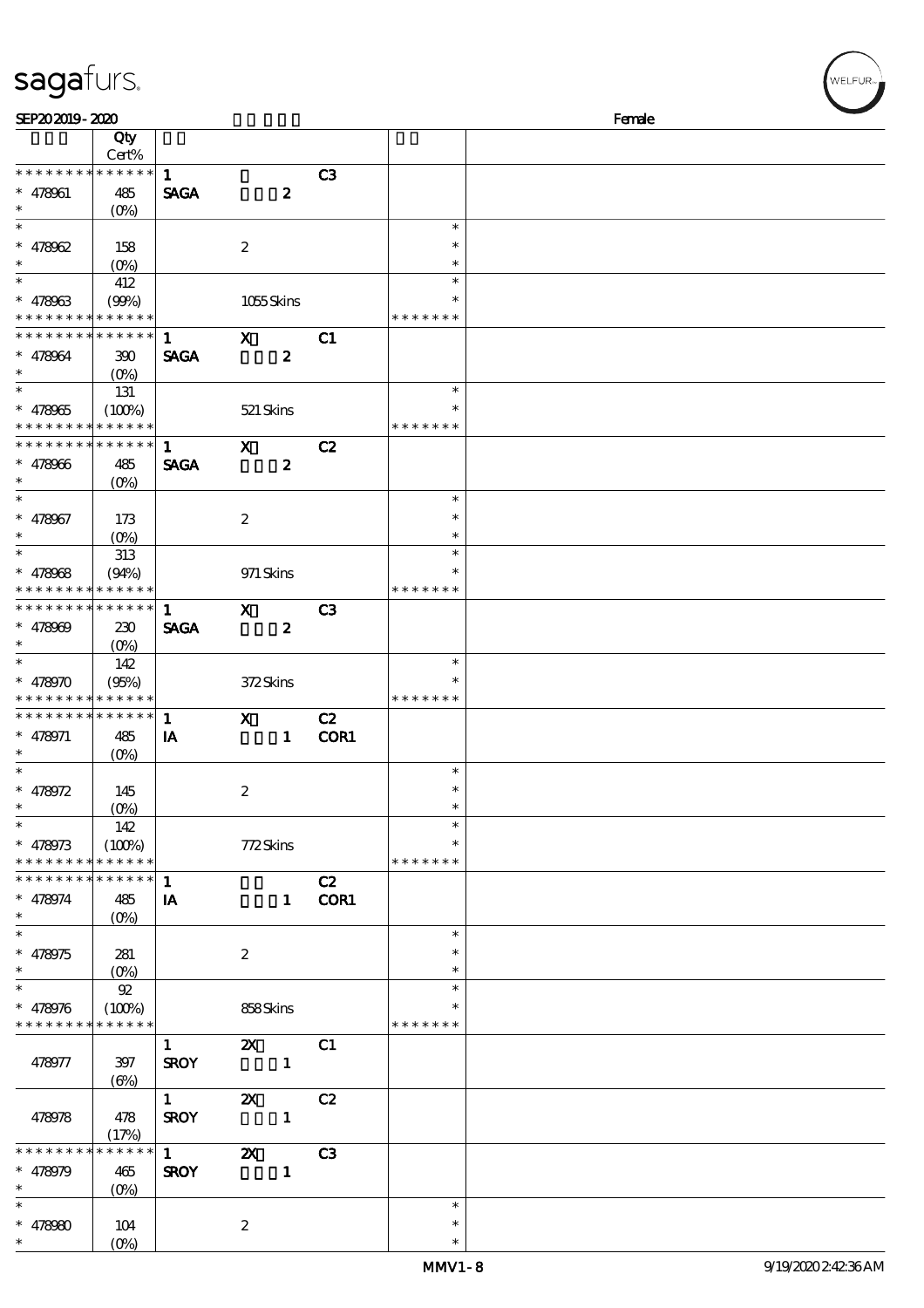| sagafurs.                                |                      |              |                           |                |               | WELFUR <sub>™</sub> |  |
|------------------------------------------|----------------------|--------------|---------------------------|----------------|---------------|---------------------|--|
| SEP202019-2020                           |                      |              |                           |                |               | Female              |  |
|                                          | Qty                  |              |                           |                |               |                     |  |
|                                          | Cert%                |              |                           |                |               |                     |  |
| * * * * * * * *                          | * * * * * *          | $\mathbf{1}$ |                           | C3             |               |                     |  |
| $* 478961$                               | 485                  | <b>SAGA</b>  | $\boldsymbol{z}$          |                |               |                     |  |
| $\ast$                                   | $(O\%)$              |              |                           |                |               |                     |  |
| $\ast$                                   |                      |              |                           |                | $\ast$        |                     |  |
| $* 478062$                               | 158                  |              | $\boldsymbol{2}$          |                | $\ast$        |                     |  |
| $\ast$                                   | (O <sub>0</sub> )    |              |                           |                | $\ast$        |                     |  |
| $\ast$                                   | 412                  |              |                           |                | $\ast$        |                     |  |
| $* 478963$                               | (90%)                |              | 1055Skins                 |                | $\ast$        |                     |  |
| * * * * * * * * * * * * * *              |                      |              |                           |                | * * * * * * * |                     |  |
| * * * * * * * *                          | * * * * * *          | $\mathbf{1}$ | $\mathbf{x}$              | C1             |               |                     |  |
| $* 478064$                               | 390                  | <b>SAGA</b>  | $\boldsymbol{z}$          |                |               |                     |  |
| $\ast$                                   | $(O\%)$              |              |                           |                |               |                     |  |
| $\ast$                                   | 131                  |              |                           |                | $\ast$        |                     |  |
| $* 478965$                               | (100%)               |              | 521 Skins                 |                | $\ast$        |                     |  |
| * * * *                                  | * * * * * *          |              |                           |                | * * * * * * * |                     |  |
| * * * * * * * *                          | * * * * * *          | $\mathbf{1}$ | $\boldsymbol{\mathsf{X}}$ | C2             |               |                     |  |
| $* 478066$                               | 485                  | <b>SAGA</b>  | $\boldsymbol{2}$          |                |               |                     |  |
| $\ast$                                   | $(O\%)$              |              |                           |                |               |                     |  |
| $\ast$                                   |                      |              |                           |                | $\ast$        |                     |  |
| $* 478067$                               | 173                  |              | $\boldsymbol{2}$          |                | $\ast$        |                     |  |
| $\ast$                                   | $(O\%)$              |              |                           |                | $\ast$        |                     |  |
| $\ast$                                   | 313                  |              |                           |                | $\ast$        |                     |  |
| $* 478068$                               | (94%)                |              | 971 Skins                 |                | $\ast$        |                     |  |
| * * * * *                                | * * * * * *          |              |                           |                | * * * * * * * |                     |  |
| * * * * * * * * <mark>* * * * * *</mark> |                      | $\mathbf{1}$ | $\mathbf{x}$              | C <sub>3</sub> |               |                     |  |
| $* 478009$                               | 230                  | <b>SAGA</b>  | $\boldsymbol{2}$          |                |               |                     |  |
| $\ast$                                   | $(O\%)$              |              |                           |                |               |                     |  |
|                                          | 142                  |              |                           |                | $\ast$        |                     |  |
| $* 478970$                               | (95%)                |              | 372Skins                  |                | $\ast$        |                     |  |
| * * * * * * * * <mark>* * * * * *</mark> |                      |              |                           |                | * * * * * * * |                     |  |
| * * * * * * * * * * * * * *              |                      | $\mathbf{1}$ | $\mathbf{x}$              | C2             |               |                     |  |
| $* 478971$                               | 485                  | IA           | $\mathbf{1}$              | COR1           |               |                     |  |
| $\ast$                                   | $(0\%)$              |              |                           |                |               |                     |  |
| $\ast$                                   |                      |              |                           |                | $\ast$        |                     |  |
| $* 478972$                               | 145                  |              | $\boldsymbol{2}$          |                | $\ast$        |                     |  |
|                                          | $(O\%)$              |              |                           |                | $\ast$        |                     |  |
|                                          | 142                  |              |                           |                | $\ast$        |                     |  |
| $* 478973$                               | (100%)               |              | 772Skins                  |                | $\ast$        |                     |  |
| * * * * * * * *                          | * * * * * *          |              |                           |                | * * * * * * * |                     |  |
| * * * * * * * * * * * * * *              |                      | $\mathbf{1}$ |                           | C2             |               |                     |  |
| $* 478974$                               | 485                  | IA           |                           | 1 COR1         |               |                     |  |
| $\ast$                                   | $(O\%)$              |              |                           |                |               |                     |  |
| $\ast$                                   |                      |              |                           |                | $\ast$        |                     |  |
| $* 478975$                               | 281                  |              | $\boldsymbol{z}$          |                | $\ast$        |                     |  |
| $\ast$                                   | $(O\%)$              |              |                           |                | $\ast$        |                     |  |
|                                          | $92$                 |              |                           |                | $\ast$        |                     |  |
| $* 478976$                               | (100%)               |              | 858Skins                  |                |               |                     |  |
| * * * * * * * * <mark>* * * * * *</mark> |                      |              |                           |                | * * * * * * * |                     |  |
|                                          |                      | $\mathbf{1}$ | $\mathbf{x}$              | C1             |               |                     |  |
| 478977                                   | 397                  | <b>SROY</b>  | $\overline{\phantom{a}}$  |                |               |                     |  |
|                                          | $(\Theta)$           |              |                           |                |               |                     |  |
|                                          |                      | 1            | $\boldsymbol{\mathsf{Z}}$ | C2             |               |                     |  |
| 478978                                   | 478                  | <b>SROY</b>  | $\mathbf{1}$              |                |               |                     |  |
|                                          | (17%)<br>* * * * * * |              |                           |                |               |                     |  |
| * * * * * * *                            |                      | $1 \quad$    | $\boldsymbol{\mathsf{Z}}$ | C <sub>3</sub> |               |                     |  |
| $* 478979$                               | 465                  | <b>SROY</b>  | $\mathbf{1}$              |                |               |                     |  |
| $\ast$                                   | $(O\%)$              |              |                           |                |               |                     |  |

\* \*

\*

\*

\* 478980 104

 $(0%)$ 

2

 $w$ ELFUR<sub><sup>n</sub></sub></sub></sup>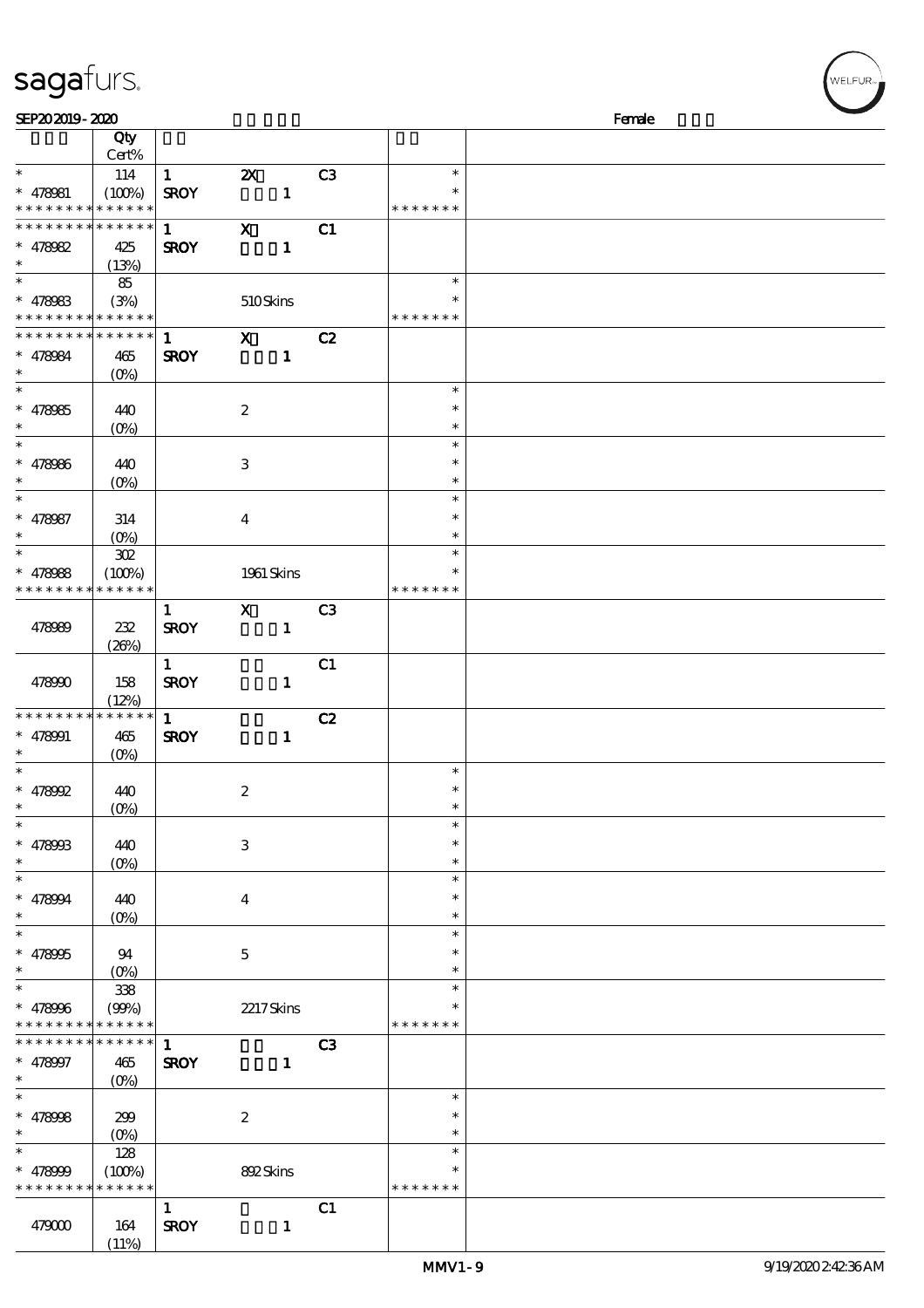| sagafurs. |
|-----------|
|-----------|

| SEP202019-2020                |                   |              |                           |              |                |               | Female |
|-------------------------------|-------------------|--------------|---------------------------|--------------|----------------|---------------|--------|
|                               | Qty               |              |                           |              |                |               |        |
|                               | Cert%             |              |                           |              |                |               |        |
| $\ast$                        | 114               | $\mathbf{1}$ | $\boldsymbol{\mathsf{z}}$ |              | C <sub>3</sub> | $\ast$        |        |
| $* 478081$                    |                   | <b>SROY</b>  |                           | $\mathbf{1}$ |                | $\ast$        |        |
| * * * * * * * * * * * * * *   | (100%)            |              |                           |              |                | * * * * * * * |        |
|                               |                   |              |                           |              |                |               |        |
| * * * * * * * *               | * * * * * *       | $\mathbf{1}$ | $\mathbf{x}$              |              | C1             |               |        |
| $* 478082$                    | 425               | <b>SROY</b>  |                           | $\mathbf{1}$ |                |               |        |
| $\ast$                        | (13%)             |              |                           |              |                |               |        |
| $\overline{\phantom{0}}$      | 85                |              |                           |              |                | $\ast$        |        |
| $* 478083$                    | (3%)              |              | 510Skins                  |              |                |               |        |
| * * * * * * * * * * * * * *   |                   |              |                           |              |                | * * * * * * * |        |
|                               |                   |              |                           |              |                |               |        |
| * * * * * * * * * * * * * * * |                   | $\mathbf{1}$ | $\mathbf X$               |              | C2             |               |        |
| $* 478084$                    | 465               | <b>SROY</b>  |                           | $\mathbf{1}$ |                |               |        |
| $\ast$                        | $(O\!/\!o)$       |              |                           |              |                |               |        |
| $\overline{\phantom{0}}$      |                   |              |                           |              |                | $\ast$        |        |
| $* 478085$                    | 440               |              | $\boldsymbol{2}$          |              |                | $\ast$        |        |
| $\ast$                        |                   |              |                           |              |                | $\ast$        |        |
| $\overline{\phantom{0}}$      | $(0\%)$           |              |                           |              |                |               |        |
|                               |                   |              |                           |              |                | $\ast$        |        |
| $* 478086$                    | 440               |              | $\ensuremath{\mathbf{3}}$ |              |                | $\ast$        |        |
| $\ast$                        | $(O\!/\!o)$       |              |                           |              |                | $\ast$        |        |
| $\ast$                        |                   |              |                           |              |                | $\ast$        |        |
| $* 478087$                    | 314               |              | $\overline{\mathbf{4}}$   |              |                | $\ast$        |        |
| $\ast$                        |                   |              |                           |              |                | $\ast$        |        |
| $\ast$                        | $(O\%)$           |              |                           |              |                | $\ast$        |        |
|                               | $30\!\mathrm{Z}$  |              |                           |              |                |               |        |
| $* 478088$                    | (100%)            |              | 1961 Skins                |              |                | $\ast$        |        |
| * * * * * * * *               | * * * * * *       |              |                           |              |                | * * * * * * * |        |
|                               |                   | $\mathbf{1}$ | $\mathbf{x}$              |              | C <sub>3</sub> |               |        |
| 478989                        | 232               | <b>SROY</b>  |                           | $\mathbf{1}$ |                |               |        |
|                               | (20%)             |              |                           |              |                |               |        |
|                               |                   |              |                           |              |                |               |        |
|                               |                   | $\mathbf{1}$ |                           |              | C1             |               |        |
| 478990                        | 158               | <b>SROY</b>  |                           | $\mathbf{1}$ |                |               |        |
|                               | (12%)             |              |                           |              |                |               |        |
| * * * * * * * *               | * * * * * *       | $\mathbf{1}$ |                           |              | C2             |               |        |
| $* 478001$                    | 465               | <b>SROY</b>  |                           | $\mathbf{1}$ |                |               |        |
| $\ast$                        | (O <sub>0</sub> ) |              |                           |              |                |               |        |
| $\ast$                        |                   |              |                           |              |                | $\ast$        |        |
|                               |                   |              |                           |              |                | $\ast$        |        |
| $* 478992$                    | 440               |              | $\boldsymbol{2}$          |              |                |               |        |
| $*$                           | (0%)              |              |                           |              |                | $\ast$        |        |
| $\ast$                        |                   |              |                           |              |                | $\ast$        |        |
| $* 47890B$                    | 440               |              | $\ensuremath{\mathbf{3}}$ |              |                | $\ast$        |        |
| $\ast$                        | $(0\%)$           |              |                           |              |                | $\ast$        |        |
| $\ast$                        |                   |              |                           |              |                | $\ast$        |        |
|                               |                   |              |                           |              |                | $\ast$        |        |
| $* 478004$                    | 440               |              | $\boldsymbol{4}$          |              |                |               |        |
| $\ast$                        | $(0\%)$           |              |                           |              |                | $\ast$        |        |
| $\ast$                        |                   |              |                           |              |                | $\ast$        |        |
| $* 478995$                    | 94                |              | $\mathbf 5$               |              |                | *             |        |
| $\ast$                        | $(O\%)$           |              |                           |              |                | $\ast$        |        |
| $\ast$                        | $3\!\!3\!$        |              |                           |              |                | $\ast$        |        |
|                               |                   |              |                           |              |                |               |        |
| $* 478006$                    | (90%)             |              | 2217Skins                 |              |                |               |        |
| * * * * * * * *               | * * * * * *       |              |                           |              |                | * * * * * * * |        |
| * * * * * * * *               | ******            | $\mathbf{1}$ |                           |              | C3             |               |        |
| $* 478997$                    | 465               | <b>SROY</b>  |                           | $\mathbf{1}$ |                |               |        |
| $*$                           | $(O_0)$           |              |                           |              |                |               |        |
| $\overline{\ast}$             |                   |              |                           |              |                | $\ast$        |        |
| $* 478008$                    | 299               |              | $\boldsymbol{2}$          |              |                | $\ast$        |        |
| $\ast$                        |                   |              |                           |              |                |               |        |
|                               | $(0\%)$           |              |                           |              |                | $\ast$        |        |
| $\ast$                        | 128               |              |                           |              |                | $\ast$        |        |
| $* 478000$                    | (100%)            |              | 892Skins                  |              |                | $\ast$        |        |
| * * * * * * * *               | * * * * * *       |              |                           |              |                | * * * * * * * |        |
|                               |                   | $\mathbf{1}$ |                           |              | C1             |               |        |
|                               |                   | <b>SROY</b>  |                           |              |                |               |        |
| 479000                        | 164               |              |                           | $\mathbf{1}$ |                |               |        |
|                               | (11%)             |              |                           |              |                |               |        |

**VELFUR**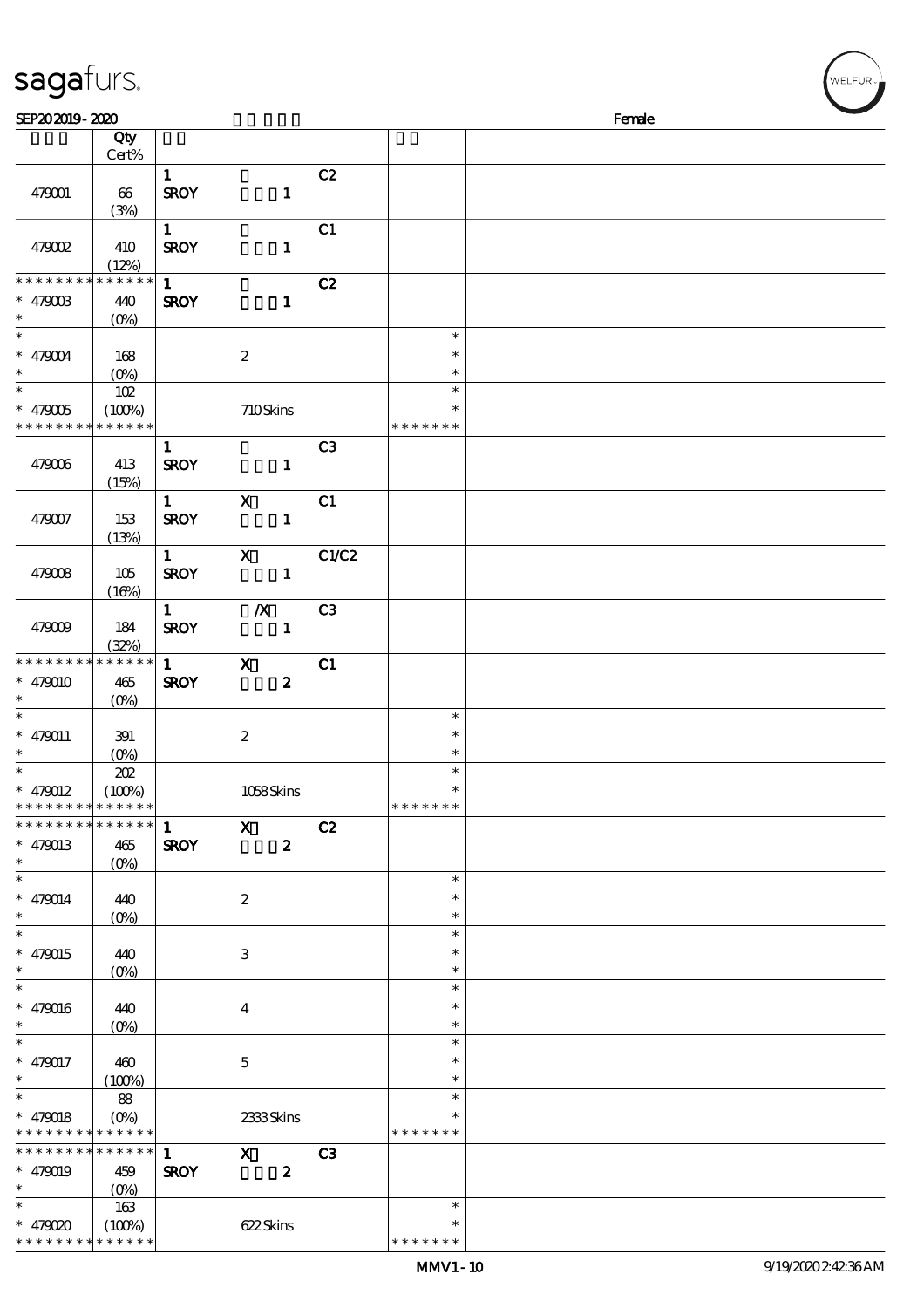| sagafurs.                                  |                    |                        |                           |                |               | WELFUR <sub>™</sub> |
|--------------------------------------------|--------------------|------------------------|---------------------------|----------------|---------------|---------------------|
| SEP202019-2020                             |                    |                        |                           |                |               | Female              |
|                                            | Qty                |                        |                           |                |               |                     |
|                                            | Cert%              |                        |                           |                |               |                     |
|                                            |                    | $\mathbf{1}$           |                           | C2             |               |                     |
|                                            |                    |                        |                           |                |               |                     |
| 479001                                     | 66                 | <b>SROY</b>            | $\mathbf{1}$              |                |               |                     |
|                                            | (3%)               |                        |                           |                |               |                     |
|                                            |                    | $\mathbf{1}$           |                           | C1             |               |                     |
| 479002                                     | 410                | <b>SROY</b>            | $\mathbf{1}$              |                |               |                     |
|                                            | (12%)              |                        |                           |                |               |                     |
| * * * * * * * * * * * * * *                |                    | $\mathbf{1}$           |                           | C2             |               |                     |
| $* 47900B$                                 | 440                | <b>SROY</b>            | $\mathbf{1}$              |                |               |                     |
| $\ast$                                     | $(O\%)$            |                        |                           |                |               |                     |
| $\overline{\ast}$                          |                    |                        |                           |                | $\ast$        |                     |
| $* 479004$                                 | 168                |                        | $\boldsymbol{2}$          |                | $\ast$        |                     |
| $\ast$                                     | $(O\%)$            |                        |                           |                | $\ast$        |                     |
| $\ast$                                     | 102                |                        |                           |                | $\ast$        |                     |
| $* 479005$                                 | (100%)             |                        | 710Skins                  |                | $\ast$        |                     |
| * * * * * * * *                            | * * * * * *        |                        |                           |                | * * * * * * * |                     |
|                                            |                    | $\mathbf{1}$           |                           | C <sub>3</sub> |               |                     |
| 479006                                     | 413                | <b>SROY</b>            | $\mathbf{1}$              |                |               |                     |
|                                            | (15%)              |                        |                           |                |               |                     |
|                                            |                    | $1 \quad \blacksquare$ | $\mathbf X$               |                |               |                     |
|                                            |                    |                        |                           | C1             |               |                     |
| 479007                                     | 153                | <b>SROY</b>            | $\mathbf{1}$              |                |               |                     |
|                                            | (13%)              |                        |                           |                |               |                     |
|                                            |                    | $1 \qquad \qquad$      | $\mathbf{x}$              | C1/C2          |               |                     |
| 479008                                     | 105                | <b>SROY</b>            | $\blacksquare$            |                |               |                     |
|                                            | (16%)              |                        |                           |                |               |                     |
|                                            |                    | $1 \quad \blacksquare$ | $\boldsymbol{X}$          | C3             |               |                     |
| 479009                                     | 184                | <b>SROY</b>            | $\mathbf{1}$              |                |               |                     |
|                                            | (32%)              |                        |                           |                |               |                     |
| * * * * * * * * * * * * * *                |                    | $\mathbf{1}$           | $\mathbf{X}$              | C1             |               |                     |
| $* 479010$                                 | 465                | <b>SROY</b>            | $\boldsymbol{z}$          |                |               |                     |
| $\ast$                                     | $(0\%)$            |                        |                           |                |               |                     |
| $\ast$                                     |                    |                        |                           |                | $\ast$        |                     |
| $* 479011$                                 | 391                |                        | $\boldsymbol{z}$          |                | $\ast$        |                     |
| $\ast$                                     | (0%)               |                        |                           |                | $\ast$        |                     |
| $\ast$                                     | 202                |                        |                           |                | $\ast$        |                     |
| $* 479012$                                 | (100%)             |                        | 1058Skins                 |                |               |                     |
| * * * * * * * *                            | * * * * * *        |                        |                           |                | * * * * * * * |                     |
| * * * * * * * * * * * * * * *              |                    |                        |                           |                |               |                     |
|                                            |                    | $\mathbf{1}$           | $\mathbf{x}$              | C2             |               |                     |
| $* 479013$                                 | 465                | <b>SROY</b>            | $\boldsymbol{z}$          |                |               |                     |
| $\ast$                                     | $(O\!/\!\!\delta)$ |                        |                           |                |               |                     |
| $\ast$                                     |                    |                        |                           |                | $\ast$        |                     |
| $* 479014$                                 | 440                |                        | $\boldsymbol{2}$          |                | *             |                     |
| $\ast$                                     | $(O\%)$            |                        |                           |                | $\ast$        |                     |
| $\ast$                                     |                    |                        |                           |                | $\ast$        |                     |
| $* 479015$                                 | 440                |                        | $\ensuremath{\mathsf{3}}$ |                | $\ast$        |                     |
| $\ast$                                     | $(O\!/\!o)$        |                        |                           |                | $\ast$        |                     |
| $\overline{\ast}$                          |                    |                        |                           |                | $\ast$        |                     |
| $* 479016$                                 | 440                |                        | $\boldsymbol{4}$          |                | $\ast$        |                     |
| $\ast$                                     | $(0\%)$            |                        |                           |                | $\ast$        |                     |
| $\ast$                                     |                    |                        |                           |                | $\ast$        |                     |
| $* 479017$                                 | 460                |                        | $\mathbf 5$               |                | $\ast$        |                     |
| $\ast$                                     | (100%)             |                        |                           |                | $\ast$        |                     |
| $\ast$                                     | 88                 |                        |                           |                | $\ast$        |                     |
|                                            |                    |                        |                           |                | $\ast$        |                     |
| $* 479018$                                 | $(O\%)$            |                        | 2333Skins                 |                | * * * * * * * |                     |
| * * * * * * * * <mark>* * * * * * *</mark> |                    |                        |                           |                |               |                     |
| * * * * * * * * <mark>* * * * * * *</mark> |                    | $\mathbf{1}$           | $\mathbf{X}$              | C3             |               |                     |
| $* 479019$                                 | 459                | <b>SROY</b>            | $\boldsymbol{z}$          |                |               |                     |
| $\ast$                                     |                    |                        |                           |                |               |                     |
| $\ast$                                     | 163                |                        |                           |                | $\ast$        |                     |
| $* 479020$                                 | (100%)             |                        | 622Skins                  |                | $\ast$        |                     |

\* \* \* \* \* \* \*

\* \* \* \* \* \* \* \* <mark>\* \* \* \* \* \* \*</mark>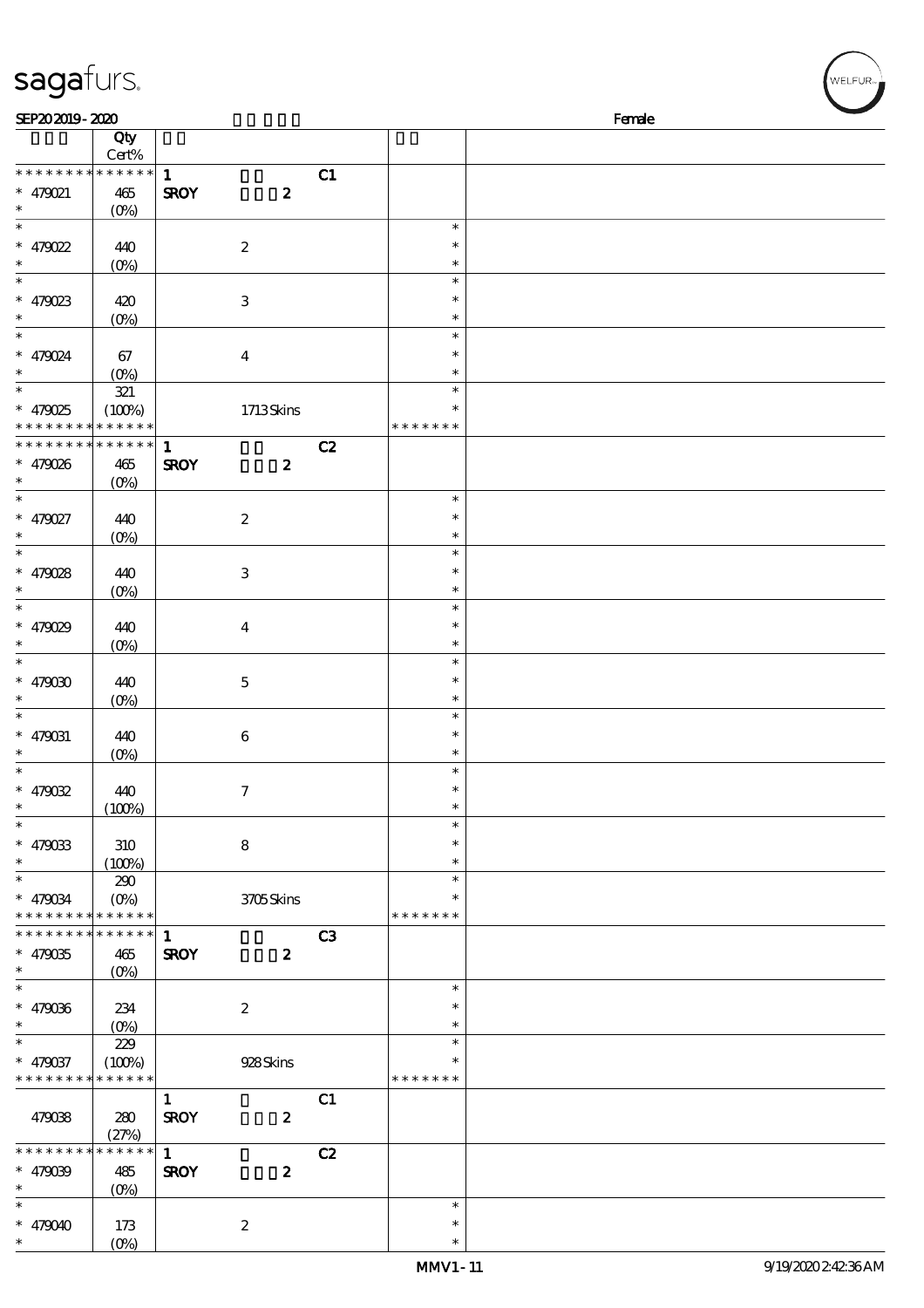| sagafurs.                               |                                         |                             |                  |                |                            | /<br>WELFUR <sub>™</sub> |
|-----------------------------------------|-----------------------------------------|-----------------------------|------------------|----------------|----------------------------|--------------------------|
| SEP202019-2020                          |                                         |                             |                  |                |                            | Female                   |
|                                         | Qty<br>Cert%                            |                             |                  |                |                            |                          |
| * * * * * * * *<br>* 479021             | * * * * * *<br>465                      | $\mathbf{1}$<br><b>SROY</b> | $\boldsymbol{z}$ | C1             |                            |                          |
| $\ast$<br>$\overline{\ast}$             | $(O\!/\!o)$                             |                             |                  |                | $\ast$                     |                          |
| * 479022<br>$\ast$                      | 440<br>$(0\%)$                          |                             | $\boldsymbol{2}$ |                | $\ast$<br>$\ast$           |                          |
| $\overline{\phantom{0}}$<br>$* 479023$  | 420                                     |                             | $\,3$            |                | $\ast$<br>$\ast$           |                          |
| $\ast$<br>$\overline{\phantom{0}}$      | $(0\%)$                                 |                             |                  |                | $\ast$<br>$\ast$           |                          |
| * 479024<br>$\ast$<br>$\overline{\ast}$ | 67<br>$(0\%)$                           |                             | $\boldsymbol{4}$ |                | $\ast$<br>$\ast$<br>$\ast$ |                          |
| $* 479025$<br>* * * * * * * *           | $321\,$<br>(100%)<br>* * * * * *        |                             | 1713Skins        |                | *<br>* * * * * * *         |                          |
| * * * * * * * *                         | $******$                                | $\mathbf{1}$                |                  | C2             |                            |                          |
| * 479026<br>$\ast$                      | 465<br>$(O\%)$                          | <b>SROY</b>                 | $\boldsymbol{z}$ |                |                            |                          |
| $\overline{\ast}$<br>* 479027           | 440                                     |                             | $\boldsymbol{2}$ |                | $\ast$<br>$\ast$           |                          |
| $\ast$<br>$\ast$                        | $(O\%)$                                 |                             |                  |                | $\ast$<br>$\ast$           |                          |
| * 479028<br>$\ast$                      | 440<br>$(O\%)$                          |                             | $\,3$            |                | $\ast$<br>$\ast$           |                          |
| $\ast$<br>* $479029$<br>$\ast$          | 440<br>$(0\%)$                          |                             | $\boldsymbol{4}$ |                | $\ast$<br>$\ast$<br>$\ast$ |                          |
| $\ast$<br>* $479000$                    | 440                                     |                             | $\mathbf 5$      |                | $\ast$<br>$\ast$           |                          |
| $\ast$<br>$\ast$                        | $(0\%)$                                 |                             |                  |                | $\ast$<br>$\ast$           |                          |
| $* 479031$<br>$\ast$                    | 440<br>(0%)                             |                             | $\,6\,$          |                | $\ast$<br>$\ast$           |                          |
| $\ast$<br>* $479032$<br>$\ast$          | 440<br>(100%)                           |                             | $\boldsymbol{7}$ |                | $\ast$<br>$\ast$<br>$\ast$ |                          |
| $\ast$<br>$* 479033$<br>$\ast$          | 310<br>(100%)                           |                             | $\bf 8$          |                | $\ast$<br>$\ast$<br>$\ast$ |                          |
| $\ast$<br>* 479034                      | 290<br>(0%)                             |                             | 3705Skins        |                | $\ast$<br>$\ast$           |                          |
| * * * * * * * *<br>* * * * * * * *      | * * * * * *<br>$* * * * * * *$          | $\mathbf{1}$                |                  | C <sub>3</sub> | * * * * * * *              |                          |
| $* 479035$<br>$\ast$                    | 465<br>$(O\!/\!\!\delta)$               | <b>SROY</b>                 | $\boldsymbol{z}$ |                |                            |                          |
| $\ast$<br>$* 479036$                    | 234                                     |                             | $\boldsymbol{2}$ |                | $\ast$<br>$\ast$           |                          |
| $\ast$<br>$\ast$                        | $(0\%)$<br>229                          |                             |                  |                | $\ast$<br>$\ast$           |                          |
| * 479037<br>* * * * * * * *             | (100%)<br>* * * * * *                   |                             | 928Skins         |                | $\ast$<br>* * * * * * *    |                          |
| 479038                                  | 280<br>(27%)                            | $\mathbf{1}$<br><b>SROY</b> | $\boldsymbol{z}$ | C1             |                            |                          |
| * * * * * * * *<br>$* 479039$<br>$\ast$ | * * * * * *<br>485<br>(O <sub>0</sub> ) | $\mathbf{1}$<br><b>SROY</b> | $\boldsymbol{z}$ | C2             |                            |                          |
| $\ast$<br>* $479040$                    | 173                                     |                             | $\boldsymbol{2}$ |                | $\ast$<br>$\ast$           |                          |

\* \*

(0%)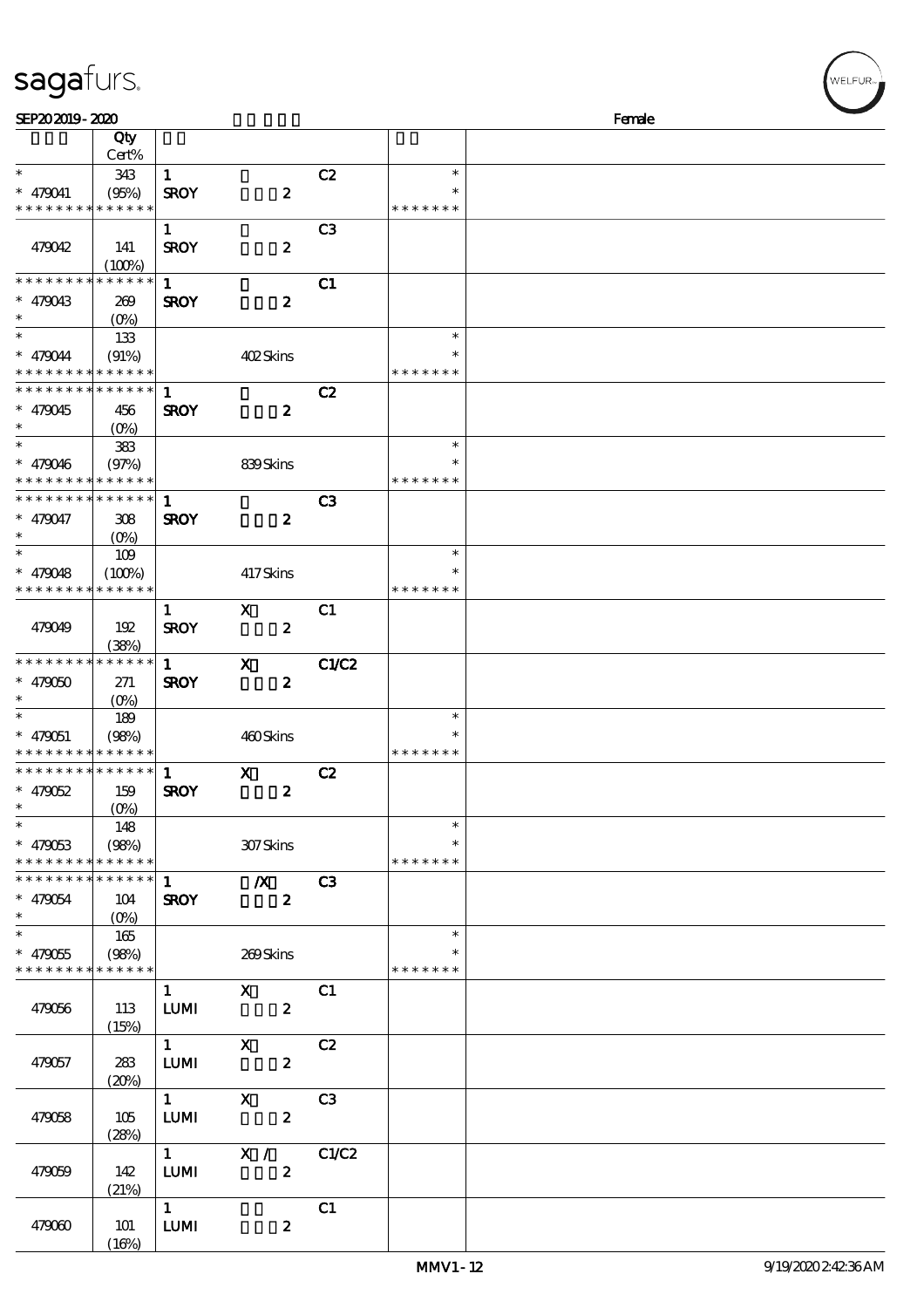| SEP202019-2020                           |                                 |                        |                                                                 |                |               | Female |
|------------------------------------------|---------------------------------|------------------------|-----------------------------------------------------------------|----------------|---------------|--------|
|                                          | Qty                             |                        |                                                                 |                |               |        |
|                                          | Cert%                           |                        |                                                                 |                |               |        |
| $\ast$                                   | 343                             | $\mathbf{1}$           |                                                                 | C2             | $\ast$        |        |
| $* 479041$                               | (95%)                           | <b>SROY</b>            | $\boldsymbol{z}$                                                |                | $\ast$        |        |
| * * * * * * * *                          | * * * * * *                     |                        |                                                                 |                | * * * * * * * |        |
|                                          |                                 | $\mathbf{1}$           |                                                                 | C <sub>3</sub> |               |        |
| 479042                                   | 141                             | <b>SROY</b>            | $\boldsymbol{z}$                                                |                |               |        |
|                                          | (100%)                          |                        |                                                                 |                |               |        |
| * * * * * * * *                          | * * * * * *                     | $\mathbf{1}$           |                                                                 | C1             |               |        |
| $* 479043$                               |                                 | <b>SROY</b>            | $\boldsymbol{z}$                                                |                |               |        |
| $\ast$                                   | 269                             |                        |                                                                 |                |               |        |
| $\ast$                                   |                                 |                        |                                                                 |                |               |        |
|                                          | 133                             |                        |                                                                 |                | $\ast$        |        |
| * 479044                                 | (91%)                           |                        | 402Skins                                                        |                | $\ast$        |        |
| * * * * * * * *                          | * * * * * *                     |                        |                                                                 |                | * * * * * * * |        |
| * * * * * * * *                          | * * * * * *                     | $\mathbf 1$            |                                                                 | C2             |               |        |
| * 479045                                 | 456                             | <b>SROY</b>            | $\boldsymbol{z}$                                                |                |               |        |
| $\ast$                                   | $(O\%)$                         |                        |                                                                 |                |               |        |
| $\ast$                                   | $383$                           |                        |                                                                 |                | $\ast$        |        |
| * 479046                                 | (97%)                           |                        | 839Skins                                                        |                | $\ast$        |        |
| * * * * * * * *                          | * * * * * *                     |                        |                                                                 |                | * * * * * * * |        |
| * * * * * * * *                          | $* * * * * * *$                 | $\mathbf{1}$           |                                                                 | C3             |               |        |
| * 479047                                 | 308                             | <b>SROY</b>            | $\boldsymbol{z}$                                                |                |               |        |
| $\ast$                                   | $(O\%)$                         |                        |                                                                 |                |               |        |
| $\ast$                                   |                                 |                        |                                                                 |                | $\ast$        |        |
|                                          | 109                             |                        |                                                                 |                |               |        |
| $* 479048$                               | (100%)                          |                        | 417Skins                                                        |                | $\ast$        |        |
| * * * * * * * *                          | * * * * * *                     |                        |                                                                 |                | * * * * * * * |        |
|                                          |                                 | $\mathbf{1}$           | X                                                               | C1             |               |        |
| 479049                                   | 192                             | <b>SROY</b>            | $\boldsymbol{z}$                                                |                |               |        |
|                                          | (38%)                           |                        |                                                                 |                |               |        |
| * * * * * * * *                          | * * * * * *                     | $\mathbf{1}$           | $\mathbf{x}$                                                    | C1/C2          |               |        |
| $* 479050$                               | 271                             | <b>SROY</b>            | $\boldsymbol{z}$                                                |                |               |        |
| $\ast$                                   | $(O\%)$                         |                        |                                                                 |                |               |        |
| $\ast$                                   | 189                             |                        |                                                                 |                | $\ast$        |        |
| $* 479051$                               | (98%)                           |                        | 460Skins                                                        |                | $\ast$        |        |
| * * * * * * * * <mark>* * * * * *</mark> |                                 |                        |                                                                 |                | * * * * * * * |        |
| * * * * * * * *                          | $***$ * * * *                   | $\mathbf{1}$           | $\mathbf x$                                                     | C2             |               |        |
| $* 479052$                               | 159                             | <b>SROY</b>            | $\boldsymbol{z}$                                                |                |               |        |
| $\ast$                                   | $(O\!\!\!\!\!\!\!\!\!\!/\,\!o)$ |                        |                                                                 |                |               |        |
| $\ast$                                   | 148                             |                        |                                                                 |                | $\ast$        |        |
| $* 479053$                               | (98%)                           |                        | 307Skins                                                        |                | $\ast$        |        |
| * * * * * * * *                          | * * * * * *                     |                        |                                                                 |                | * * * * * * * |        |
| * * * * * * * * <mark>* * * * * *</mark> |                                 |                        |                                                                 |                |               |        |
|                                          |                                 | $\mathbf{1}$           | $\mathbf{X}$                                                    | C3             |               |        |
| * 479054                                 | 104                             | <b>SROY</b>            | $\boldsymbol{z}$                                                |                |               |        |
| $\ast$<br>$\overline{\ast}$              |                                 |                        |                                                                 |                |               |        |
|                                          | 165                             |                        |                                                                 |                | $\ast$        |        |
| $* 479055$                               | (98%)                           |                        | 269Skins                                                        |                |               |        |
| * * * * * * * *                          | * * * * * *                     |                        |                                                                 |                | * * * * * * * |        |
|                                          |                                 | $\mathbf{1}$           | $\mathbf{X}$ and $\mathbf{X}$ and $\mathbf{X}$ and $\mathbf{X}$ | C1             |               |        |
| 479056                                   | 113                             | <b>LUMI</b>            | $\boldsymbol{z}$                                                |                |               |        |
|                                          | (15%)                           |                        |                                                                 |                |               |        |
|                                          |                                 | $1 \qquad \qquad$      | $\mathbf{X}$                                                    | C2             |               |        |
| 479057                                   | 283                             | <b>LUMI</b>            | $\boldsymbol{z}$                                                |                |               |        |
|                                          | (20%)                           |                        |                                                                 |                |               |        |
|                                          |                                 | $1 \quad \blacksquare$ | $\mathbf{X}$                                                    | C3             |               |        |
| 479058                                   | 105                             | <b>LUMI</b>            | $\boldsymbol{z}$                                                |                |               |        |
|                                          | (28%)                           |                        |                                                                 |                |               |        |
|                                          |                                 | $\overline{1}$         |                                                                 |                |               |        |
|                                          |                                 |                        | X / C1/C2                                                       |                |               |        |
| 479059                                   | 142                             | <b>LUMI</b>            | $\boldsymbol{z}$                                                |                |               |        |
|                                          | (21%)                           |                        |                                                                 |                |               |        |
|                                          |                                 | $1 \quad$              |                                                                 | C1             |               |        |
| 479060                                   | 101                             | <b>LUMI</b>            | $\boldsymbol{z}$                                                |                |               |        |

 $(16%)$ 

sagafurs.

WELFUR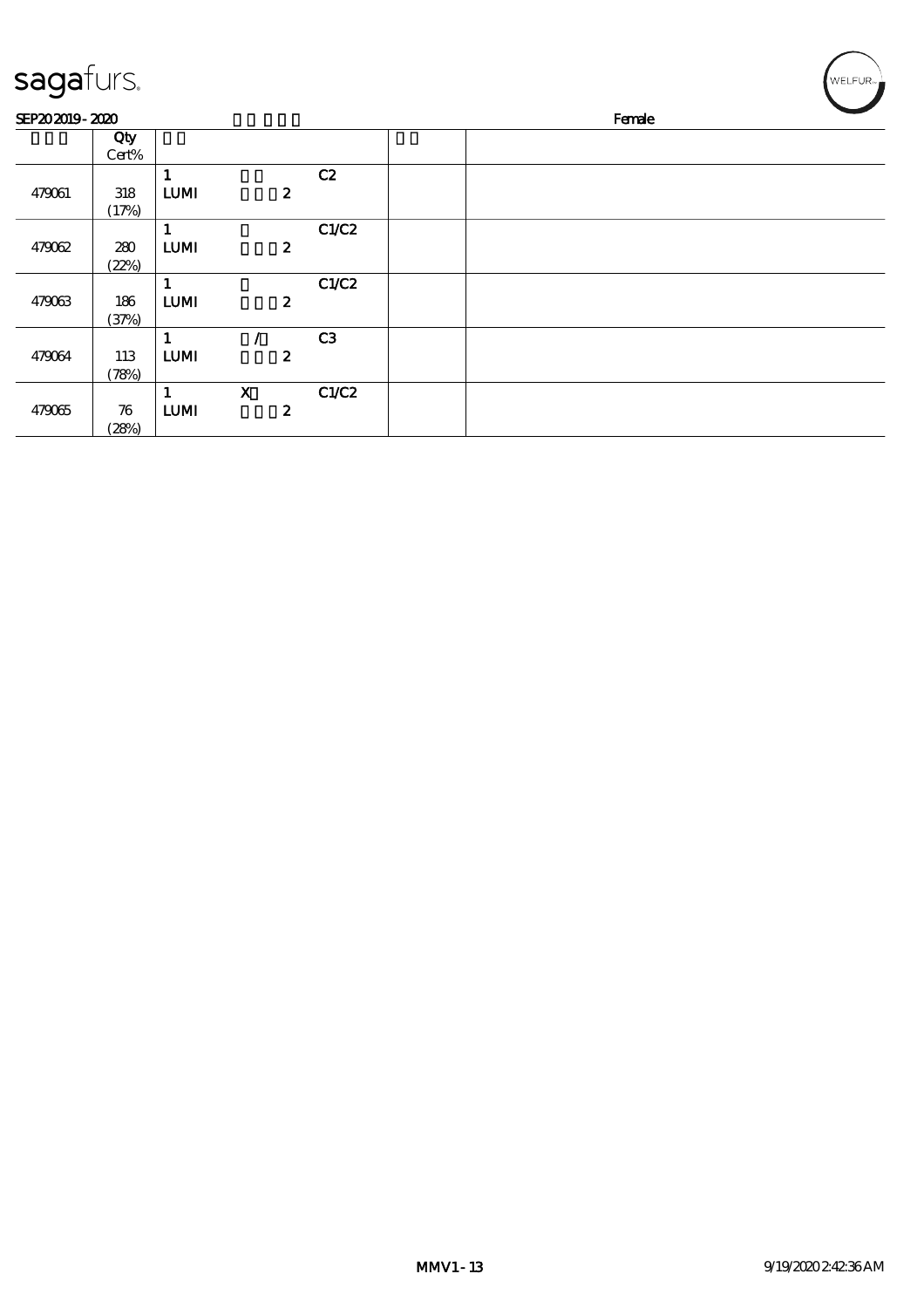| sagafurs.      |                    |              |                           |       | WELFUR <sub>™</sub> |
|----------------|--------------------|--------------|---------------------------|-------|---------------------|
| SEP202019-2020 |                    |              |                           |       | Female              |
|                | Qty                |              |                           |       |                     |
|                | Cert%              |              |                           |       |                     |
|                |                    | 1            |                           | C2    |                     |
| 479061         | 318                | <b>LUMI</b>  | $\boldsymbol{z}$          |       |                     |
|                | (17%)              |              |                           |       |                     |
|                |                    | $\mathbf{1}$ |                           | C1/C2 |                     |
| 479062         | 280                | <b>LUMI</b>  | $\boldsymbol{z}$          |       |                     |
|                | (22%)              |              |                           |       |                     |
|                |                    | 1            |                           | C1/C2 |                     |
| 479063         | 186                | <b>LUMI</b>  | $\boldsymbol{z}$          |       |                     |
|                | (37%)              |              |                           |       |                     |
|                |                    | $\mathbf{1}$ |                           | C3    |                     |
| 479064         | 113                | LUM          | $\boldsymbol{z}$          |       |                     |
|                | (78%)              |              |                           |       |                     |
|                |                    | 1            | $\boldsymbol{\mathrm{X}}$ | C1/C2 |                     |
| 479065         | $\boldsymbol{\pi}$ | <b>LUMI</b>  | $\boldsymbol{z}$          |       |                     |
|                | (28%)              |              |                           |       |                     |

╱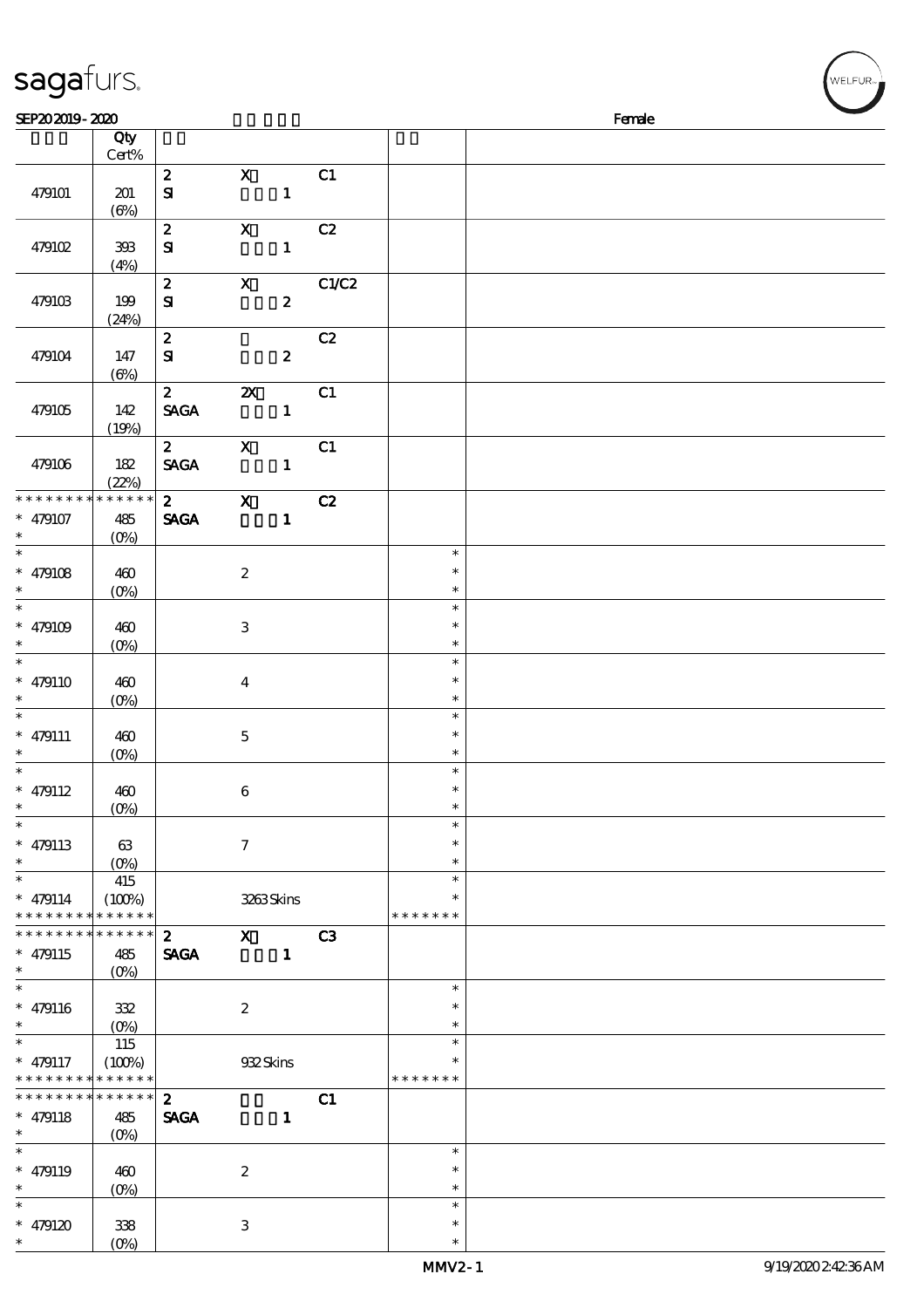| sagafurs.                     |                                      |                                  |                                                                                                                                                                                                                                                                                                                                                                                                                                                               |                  |       |                         |        | WELFUR <sup>*</sup> |
|-------------------------------|--------------------------------------|----------------------------------|---------------------------------------------------------------------------------------------------------------------------------------------------------------------------------------------------------------------------------------------------------------------------------------------------------------------------------------------------------------------------------------------------------------------------------------------------------------|------------------|-------|-------------------------|--------|---------------------|
| SEP202019-2020                |                                      |                                  |                                                                                                                                                                                                                                                                                                                                                                                                                                                               |                  |       |                         | Female |                     |
|                               | Qty<br>Cert%                         |                                  |                                                                                                                                                                                                                                                                                                                                                                                                                                                               |                  |       |                         |        |                     |
| 479101                        | 201<br>$(\Theta)$                    | $\boldsymbol{2}$<br>$\mathbf{S}$ | $\mathbf X$                                                                                                                                                                                                                                                                                                                                                                                                                                                   | $\mathbf{1}$     | C1    |                         |        |                     |
| 479102                        | $393\,$<br>(4%)                      | $\boldsymbol{z}$<br>${\bf S}$    | $\boldsymbol{\mathrm{X}}$                                                                                                                                                                                                                                                                                                                                                                                                                                     | $\mathbf{1}$     | C2    |                         |        |                     |
| 479103                        | 199<br>(24%)                         | $\boldsymbol{z}$<br>${\bf S\!I}$ | $\boldsymbol{\mathrm{X}}$                                                                                                                                                                                                                                                                                                                                                                                                                                     | $\boldsymbol{z}$ | C1/C2 |                         |        |                     |
| 479104                        | 147<br>$(\Theta)$                    | $\boldsymbol{2}$<br>$\mathbf{S}$ |                                                                                                                                                                                                                                                                                                                                                                                                                                                               | $\boldsymbol{z}$ | C2    |                         |        |                     |
| 479105                        | 142<br>(19%)                         | $\boldsymbol{z}$<br><b>SAGA</b>  | $\pmb{\mathsf{Z}}$                                                                                                                                                                                                                                                                                                                                                                                                                                            | $\mathbf{1}$     | C1    |                         |        |                     |
| 479106                        | 182<br>(22%)                         | $\mathbf{2}$<br><b>SAGA</b>      | $\boldsymbol{\mathrm{X}}$                                                                                                                                                                                                                                                                                                                                                                                                                                     | $\mathbf{1}$     | C1    |                         |        |                     |
| * * * * * * * *               | * * * * * *                          | $\mathbf{2}$                     | $\overline{\mathbf{X}}$                                                                                                                                                                                                                                                                                                                                                                                                                                       |                  | C2    |                         |        |                     |
| $* 479107$<br>$\ast$          | 485<br>$(O\%)$                       | <b>SAGA</b>                      |                                                                                                                                                                                                                                                                                                                                                                                                                                                               | $\mathbf{1}$     |       |                         |        |                     |
| $\ast$                        |                                      |                                  |                                                                                                                                                                                                                                                                                                                                                                                                                                                               |                  |       | $\ast$<br>$\ast$        |        |                     |
| $* 479108$<br>$\ast$          | 460<br>$(0\%)$                       |                                  | $\boldsymbol{2}$                                                                                                                                                                                                                                                                                                                                                                                                                                              |                  |       | $\ast$                  |        |                     |
| $\ast$                        |                                      |                                  |                                                                                                                                                                                                                                                                                                                                                                                                                                                               |                  |       | $\ast$                  |        |                     |
| $* 479109$                    | 460                                  |                                  | $\,3$                                                                                                                                                                                                                                                                                                                                                                                                                                                         |                  |       | $\ast$                  |        |                     |
| $\ast$                        | $(O\%)$                              |                                  |                                                                                                                                                                                                                                                                                                                                                                                                                                                               |                  |       | $\ast$                  |        |                     |
| $\ast$                        |                                      |                                  |                                                                                                                                                                                                                                                                                                                                                                                                                                                               |                  |       | $\ast$<br>$\ast$        |        |                     |
| $* 479110$                    | 460<br>$(O\%)$                       |                                  | $\boldsymbol{4}$                                                                                                                                                                                                                                                                                                                                                                                                                                              |                  |       | $\ast$                  |        |                     |
| $\ast$                        |                                      |                                  |                                                                                                                                                                                                                                                                                                                                                                                                                                                               |                  |       | $\ast$                  |        |                     |
| $* 479111$                    | 460                                  |                                  | $\mathbf 5$                                                                                                                                                                                                                                                                                                                                                                                                                                                   |                  |       | $\ast$                  |        |                     |
| $\ast$                        | (0%)                                 |                                  |                                                                                                                                                                                                                                                                                                                                                                                                                                                               |                  |       | $\ast$                  |        |                     |
| $\ast$<br>$* 479112$          | 460                                  |                                  | $\bf 6$                                                                                                                                                                                                                                                                                                                                                                                                                                                       |                  |       | $\ast$<br>$\ast$        |        |                     |
| $\ast$                        | (O <sub>0</sub> )                    |                                  |                                                                                                                                                                                                                                                                                                                                                                                                                                                               |                  |       | $\ast$                  |        |                     |
|                               |                                      |                                  |                                                                                                                                                                                                                                                                                                                                                                                                                                                               |                  |       | $\ast$                  |        |                     |
| $* 479113$                    | 63                                   |                                  | $\mathcal I$                                                                                                                                                                                                                                                                                                                                                                                                                                                  |                  |       | $\ast$                  |        |                     |
| $\ast$<br>$\ast$              | 415                                  |                                  |                                                                                                                                                                                                                                                                                                                                                                                                                                                               |                  |       | $\ast$<br>$\ast$        |        |                     |
| $* 479114$                    | (100%)                               |                                  | 3263Skins                                                                                                                                                                                                                                                                                                                                                                                                                                                     |                  |       | $\ast$                  |        |                     |
| * * * * * * * *               | * * * * * *                          |                                  |                                                                                                                                                                                                                                                                                                                                                                                                                                                               |                  |       | * * * * * * *           |        |                     |
| * * * * * * * *               | * * * * * *                          | $\mathbf{2}$                     | $\boldsymbol{\mathrm{X}}$ and $\boldsymbol{\mathrm{X}}$ and $\boldsymbol{\mathrm{X}}$ and $\boldsymbol{\mathrm{X}}$ and $\boldsymbol{\mathrm{X}}$ and $\boldsymbol{\mathrm{X}}$ and $\boldsymbol{\mathrm{X}}$ and $\boldsymbol{\mathrm{X}}$ and $\boldsymbol{\mathrm{X}}$ and $\boldsymbol{\mathrm{X}}$ and $\boldsymbol{\mathrm{X}}$ and $\boldsymbol{\mathrm{X}}$ and $\boldsymbol{\mathrm{X}}$ and $\boldsymbol{\mathrm{X}}$ and $\boldsymbol{\mathrm{X}}$ |                  | C3    |                         |        |                     |
| $* 479115$<br>$\ast$          | 485                                  | <b>SAGA</b>                      |                                                                                                                                                                                                                                                                                                                                                                                                                                                               | $\blacksquare$   |       |                         |        |                     |
|                               | $(O\%)$                              |                                  |                                                                                                                                                                                                                                                                                                                                                                                                                                                               |                  |       | $\ast$                  |        |                     |
| $* 479116$                    | 332                                  |                                  | $\boldsymbol{2}$                                                                                                                                                                                                                                                                                                                                                                                                                                              |                  |       | $\ast$                  |        |                     |
| $\ast$                        |                                      |                                  |                                                                                                                                                                                                                                                                                                                                                                                                                                                               |                  |       | $\ast$                  |        |                     |
| $\ast$                        | 115                                  |                                  |                                                                                                                                                                                                                                                                                                                                                                                                                                                               |                  |       | $\ast$                  |        |                     |
| $* 479117$<br>* * * * * * * * | (100%)<br>$\ast\ast\ast\ast\ast\ast$ |                                  | 932Skins                                                                                                                                                                                                                                                                                                                                                                                                                                                      |                  |       | $\ast$<br>* * * * * * * |        |                     |
| * * * * * * * *               | $******$                             | $\boldsymbol{2}$                 |                                                                                                                                                                                                                                                                                                                                                                                                                                                               |                  | C1    |                         |        |                     |
| $* 479118$                    | 485                                  | <b>SAGA</b>                      |                                                                                                                                                                                                                                                                                                                                                                                                                                                               | $\mathbf{1}$     |       |                         |        |                     |
| $\ast$                        | $(O\%)$                              |                                  |                                                                                                                                                                                                                                                                                                                                                                                                                                                               |                  |       |                         |        |                     |
| $* 479119$                    | 460                                  |                                  | $\boldsymbol{2}$                                                                                                                                                                                                                                                                                                                                                                                                                                              |                  |       | $\ast$<br>$\ast$        |        |                     |
| $\ast$                        | $(0\%)$                              |                                  |                                                                                                                                                                                                                                                                                                                                                                                                                                                               |                  |       | $\ast$                  |        |                     |

\* \*

\*

\*

\* 479120 338

 $(0%)$ 

3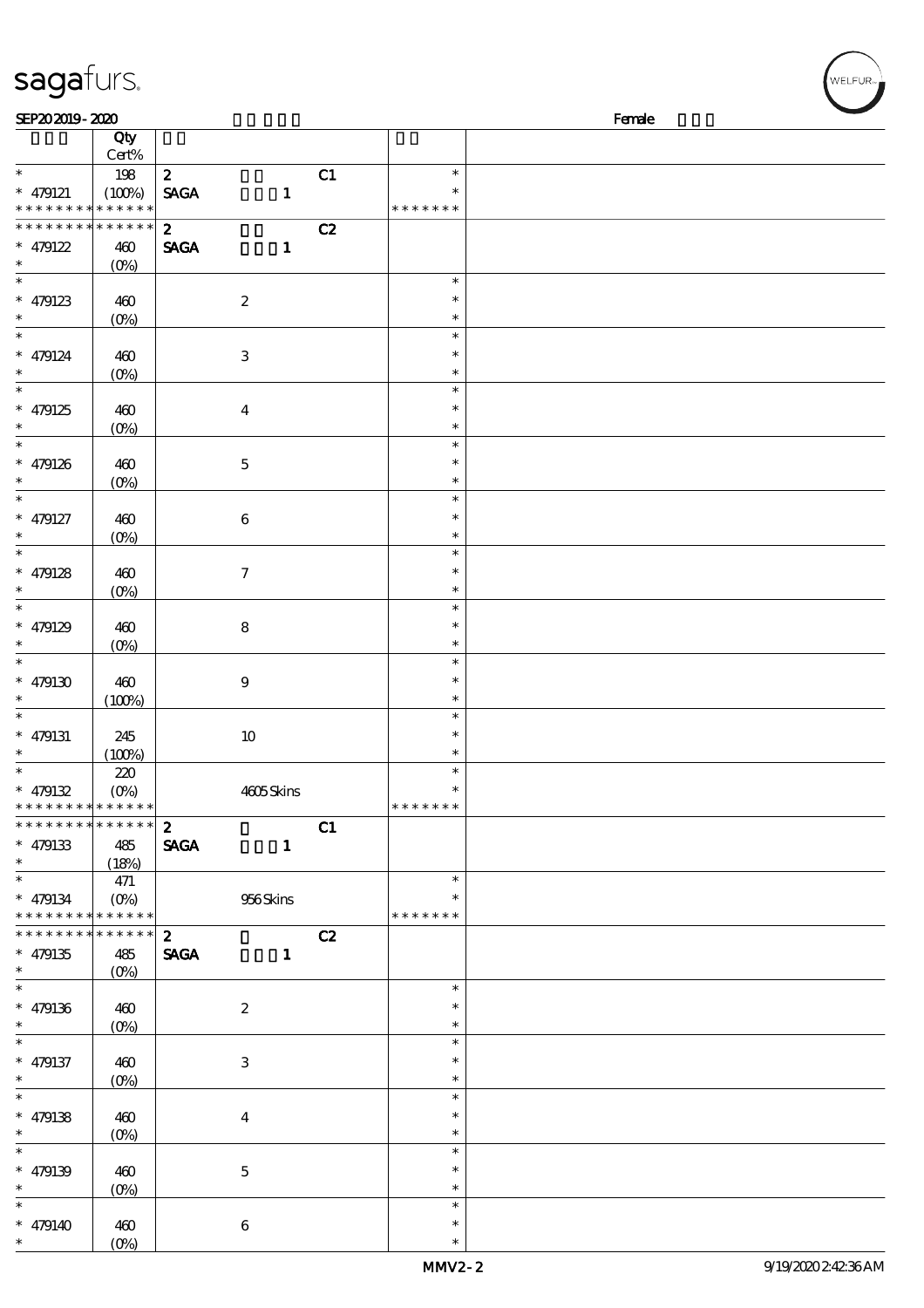| sagafurs.                                                    |                           |                  |                           |    |                  | WELFUR <sub>™</sub> |
|--------------------------------------------------------------|---------------------------|------------------|---------------------------|----|------------------|---------------------|
| SEP202019-2020                                               |                           |                  |                           |    |                  | Female              |
|                                                              | Qty                       |                  |                           |    |                  |                     |
|                                                              | Cert%                     |                  |                           |    |                  |                     |
| $\ast$                                                       | 198                       | $\boldsymbol{z}$ |                           | C1 | $\ast$           |                     |
| $* 479121$                                                   | (100%)                    | <b>SAGA</b>      | $\mathbf{1}$              |    |                  |                     |
| * * * * * * * * <mark>* * * * * * *</mark>                   |                           |                  |                           |    | * * * * * * *    |                     |
| * * * *                                                      | * * * * * *               | $\boldsymbol{2}$ |                           | C2 |                  |                     |
| $* 479122$                                                   | 460                       | <b>SAGA</b>      | $\mathbf{1}$              |    |                  |                     |
| $\ast$                                                       | (O <sub>0</sub> )         |                  |                           |    |                  |                     |
| $\ast$                                                       |                           |                  |                           |    | $\ast$           |                     |
| $* 479123$                                                   | 460                       |                  | $\boldsymbol{2}$          |    | $\ast$           |                     |
| $\overline{\phantom{1}}$                                     | $(0\%)$                   |                  |                           |    | $\ast$           |                     |
|                                                              |                           |                  |                           |    | $\ast$           |                     |
| $* 479124$                                                   | 460                       |                  | $\,3$                     |    | $\ast$           |                     |
| $\ast$                                                       | $(0\%)$                   |                  |                           |    | $\ast$<br>$\ast$ |                     |
|                                                              |                           |                  |                           |    |                  |                     |
| $* 479125$<br>$\ast$                                         | 460                       |                  | $\boldsymbol{4}$          |    | $\ast$<br>$\ast$ |                     |
| $\ast$                                                       | $(0\%)$                   |                  |                           |    | $\ast$           |                     |
|                                                              |                           |                  |                           |    | $\ast$           |                     |
| $* 479126$                                                   | 460                       |                  | $\mathbf 5$               |    | $\ast$           |                     |
| $\ast$                                                       | $(0\%)$                   |                  |                           |    | $\ast$           |                     |
| $* 479127$                                                   | 460                       |                  | $\,6\,$                   |    | $\ast$           |                     |
| $\ast$                                                       | $(O\!/\!\!\delta)$        |                  |                           |    | $\ast$           |                     |
| $\ast$                                                       |                           |                  |                           |    | $\ast$           |                     |
| $* 479128$                                                   | 460                       |                  | $\boldsymbol{7}$          |    | *                |                     |
| $\ast$                                                       | (O <sub>0</sub> )         |                  |                           |    | $\ast$           |                     |
| $\ast$                                                       |                           |                  |                           |    | $\ast$           |                     |
| $* 479129$                                                   | 460                       |                  | $\bf 8$                   |    | $\ast$           |                     |
|                                                              | $(O\!/\!\!\delta)$        |                  |                           |    | $\ast$           |                     |
| $\ast$                                                       |                           |                  |                           |    | $\ast$           |                     |
| $*$ 479130                                                   | 460                       |                  | $\boldsymbol{9}$          |    | $\ast$           |                     |
|                                                              | (100%)                    |                  |                           |    | $\ast$           |                     |
| $\ast$                                                       |                           |                  |                           |    | $\ast$           |                     |
| $* 479131$                                                   | 245                       |                  | $10$                      |    | $\ast$           |                     |
| $\ast$                                                       | (100%)                    |                  |                           |    | $\ast$           |                     |
| $\ast$                                                       | 220                       |                  |                           |    | $\ast$           |                     |
| $* 479132$                                                   | $(O\!/\!\!\!\!\!\!\circ)$ |                  | 4605Skins                 |    | $\ast$           |                     |
| * * * * * * * * * * * * * * *                                |                           |                  |                           |    | * * * * * * *    |                     |
| * * * * * * * * * * * * * * *                                |                           | $2^{\circ}$      |                           | C1 |                  |                     |
| $* 479133$                                                   | 485                       | <b>SAGA</b>      | $\mathbf{1}$              |    |                  |                     |
| $\ast$                                                       | (18%)                     |                  |                           |    |                  |                     |
| $\ast$                                                       | 471                       |                  |                           |    | $\ast$           |                     |
| $* 479134$                                                   |                           |                  | 956Skins                  |    |                  |                     |
| * * * * * * * * * * * * * *<br>* * * * * * * * * * * * * * * |                           |                  |                           |    | * * * * * * *    |                     |
|                                                              |                           | $2^{\circ}$      |                           | C2 |                  |                     |
| $* 479135$<br>$\ast$                                         | 485                       | <b>SAGA</b>      | $\mathbf{1}$              |    |                  |                     |
| $\overline{\phantom{0}}$                                     | $(O\%)$                   |                  |                           |    | $\ast$           |                     |
|                                                              |                           |                  |                           |    | $\ast$           |                     |
| $* 479136$<br>$\ast$                                         | 460<br>$(O\%)$            |                  | $\boldsymbol{2}$          |    | $\ast$           |                     |
| $\overline{\phantom{0}}$                                     |                           |                  |                           |    | $\ast$           |                     |
| $* 479137$                                                   | 460                       |                  | $\ensuremath{\mathsf{3}}$ |    | $\ast$           |                     |
| $\ast$                                                       | $(O\!/\!o)$               |                  |                           |    | $\ast$           |                     |
| $\ast$                                                       |                           |                  |                           |    | $\ast$           |                     |
| $* 479138$                                                   | 460                       |                  | $\boldsymbol{4}$          |    | $\ast$           |                     |
| $\ast$                                                       | $(O\!/\!\!\delta)$        |                  |                           |    | $\ast$           |                     |
| $\overline{\ast}$                                            |                           |                  |                           |    | $\ast$           |                     |
| $* 479139$                                                   | 460                       |                  | $\mathbf 5$               |    | $\ast$           |                     |
| $\ast$                                                       | $(0\%)$                   |                  |                           |    | $\ast$           |                     |
| $\ast$                                                       |                           |                  |                           |    | $\ast$           |                     |
| $* 479140$                                                   | 460                       |                  | 6                         |    | $\ast$           |                     |

(0%)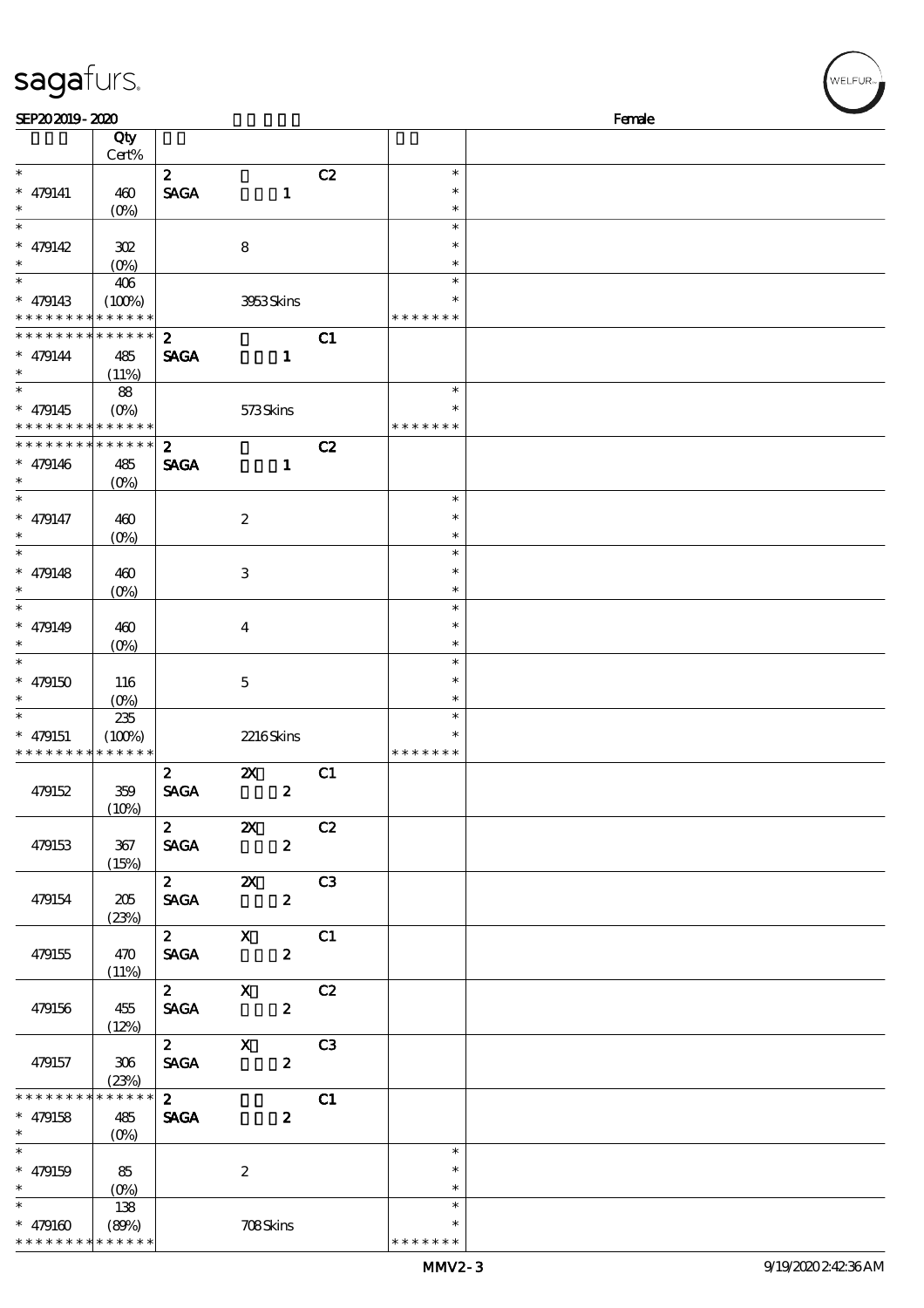| SEP202019-2020           |                         |                         |                                                                                                                                                                                                                                                                                                                                                                                      |    |               | Female |
|--------------------------|-------------------------|-------------------------|--------------------------------------------------------------------------------------------------------------------------------------------------------------------------------------------------------------------------------------------------------------------------------------------------------------------------------------------------------------------------------------|----|---------------|--------|
|                          | Qty                     |                         |                                                                                                                                                                                                                                                                                                                                                                                      |    |               |        |
|                          | Cert%                   |                         |                                                                                                                                                                                                                                                                                                                                                                                      |    |               |        |
|                          |                         | $\mathbf{z}$            |                                                                                                                                                                                                                                                                                                                                                                                      | C2 | $\ast$        |        |
| $* 479141$               | 460                     | <b>SAGA</b>             | $\mathbf{1}$                                                                                                                                                                                                                                                                                                                                                                         |    | $\ast$        |        |
| $\ast$                   | $(O\%)$                 |                         |                                                                                                                                                                                                                                                                                                                                                                                      |    | $\ast$        |        |
| $\overline{\ast}$        |                         |                         |                                                                                                                                                                                                                                                                                                                                                                                      |    | $\ast$        |        |
|                          |                         |                         |                                                                                                                                                                                                                                                                                                                                                                                      |    |               |        |
| * $479142$               | 302                     |                         | ${\bf 8}$                                                                                                                                                                                                                                                                                                                                                                            |    | $\ast$        |        |
| $\ast$                   | $(0\%)$                 |                         |                                                                                                                                                                                                                                                                                                                                                                                      |    | $\ast$        |        |
| $\ast$                   | 406                     |                         |                                                                                                                                                                                                                                                                                                                                                                                      |    | $\ast$        |        |
| $* 479143$               | (100%)                  |                         | 3953Skins                                                                                                                                                                                                                                                                                                                                                                            |    | $\ast$        |        |
| * * * * * * * *          | * * * * * *             |                         |                                                                                                                                                                                                                                                                                                                                                                                      |    | * * * * * * * |        |
| * * * * * * * *          | * * * * * *             | $\boldsymbol{z}$        |                                                                                                                                                                                                                                                                                                                                                                                      | C1 |               |        |
| $* 479144$               | 485                     | <b>SAGA</b>             | $\mathbf{1}$                                                                                                                                                                                                                                                                                                                                                                         |    |               |        |
| $\ast$                   | (11%)                   |                         |                                                                                                                                                                                                                                                                                                                                                                                      |    |               |        |
|                          |                         |                         |                                                                                                                                                                                                                                                                                                                                                                                      |    | $\ast$        |        |
|                          | 88                      |                         |                                                                                                                                                                                                                                                                                                                                                                                      |    | *             |        |
| $* 479145$               | $(O\%)$                 |                         | 573Skins                                                                                                                                                                                                                                                                                                                                                                             |    |               |        |
| * * * * * * * *          | * * * * * *             |                         |                                                                                                                                                                                                                                                                                                                                                                                      |    | * * * * * * * |        |
| * * * * * * * *          | * * * * * *             | $\boldsymbol{z}$        |                                                                                                                                                                                                                                                                                                                                                                                      | C2 |               |        |
| $* 479146$               | 485                     | <b>SAGA</b>             | $\mathbf{1}$                                                                                                                                                                                                                                                                                                                                                                         |    |               |        |
| $\ast$                   | $(O\%)$                 |                         |                                                                                                                                                                                                                                                                                                                                                                                      |    |               |        |
| $\overline{\phantom{0}}$ |                         |                         |                                                                                                                                                                                                                                                                                                                                                                                      |    | $\ast$        |        |
| $* 479147$               | 460                     |                         | $\boldsymbol{2}$                                                                                                                                                                                                                                                                                                                                                                     |    | $\ast$        |        |
| $\ast$                   | $(O\!/\!\delta)$        |                         |                                                                                                                                                                                                                                                                                                                                                                                      |    | $\ast$        |        |
| $\overline{\ast}$        |                         |                         |                                                                                                                                                                                                                                                                                                                                                                                      |    | $\ast$        |        |
|                          |                         |                         |                                                                                                                                                                                                                                                                                                                                                                                      |    |               |        |
| $* 479148$               | 460                     |                         | $\,3$                                                                                                                                                                                                                                                                                                                                                                                |    | $\ast$        |        |
| $\ast$                   | $(0\%)$                 |                         |                                                                                                                                                                                                                                                                                                                                                                                      |    | $\ast$        |        |
| $\ast$                   |                         |                         |                                                                                                                                                                                                                                                                                                                                                                                      |    | $\ast$        |        |
| $* 479149$               | 460                     |                         | $\boldsymbol{4}$                                                                                                                                                                                                                                                                                                                                                                     |    | $\ast$        |        |
| $\ast$                   | $(O\% )$                |                         |                                                                                                                                                                                                                                                                                                                                                                                      |    | $\ast$        |        |
| $\overline{\ast}$        |                         |                         |                                                                                                                                                                                                                                                                                                                                                                                      |    | $\ast$        |        |
| $* 479150$               | 116                     |                         | $\mathbf 5$                                                                                                                                                                                                                                                                                                                                                                          |    | $\ast$        |        |
| $\ast$                   |                         |                         |                                                                                                                                                                                                                                                                                                                                                                                      |    | $\ast$        |        |
| $\ast$                   | $(0\%)$                 |                         |                                                                                                                                                                                                                                                                                                                                                                                      |    | $\ast$        |        |
|                          | 235                     |                         |                                                                                                                                                                                                                                                                                                                                                                                      |    |               |        |
| $* 479151$               | (100%)                  |                         | 2216Skins                                                                                                                                                                                                                                                                                                                                                                            |    |               |        |
| * * * * * * * *          | * * * * * *             |                         |                                                                                                                                                                                                                                                                                                                                                                                      |    | * * * * * * * |        |
|                          |                         | $\boldsymbol{z}$        | $\boldsymbol{\mathsf{z}}$                                                                                                                                                                                                                                                                                                                                                            | C1 |               |        |
| 479152                   | 359                     | <b>SAGA</b>             | $\boldsymbol{z}$                                                                                                                                                                                                                                                                                                                                                                     |    |               |        |
|                          | (10%)                   |                         |                                                                                                                                                                                                                                                                                                                                                                                      |    |               |        |
|                          |                         |                         | 2 $\mathbb{Z}$                                                                                                                                                                                                                                                                                                                                                                       | C2 |               |        |
| 479153                   | 367                     | <b>SAGA</b>             | $\boldsymbol{2}$                                                                                                                                                                                                                                                                                                                                                                     |    |               |        |
|                          | (15%)                   |                         |                                                                                                                                                                                                                                                                                                                                                                                      |    |               |        |
|                          |                         |                         | $\overline{2}$ $\overline{2}$ $\overline{2}$ $\overline{2}$ $\overline{2}$ $\overline{2}$ $\overline{2}$ $\overline{2}$ $\overline{2}$ $\overline{2}$ $\overline{2}$ $\overline{2}$ $\overline{2}$ $\overline{2}$ $\overline{2}$ $\overline{2}$ $\overline{2}$ $\overline{2}$ $\overline{2}$ $\overline{2}$ $\overline{2}$ $\overline{2}$ $\overline{2}$ $\overline{2}$ $\overline{$ | C3 |               |        |
|                          |                         |                         |                                                                                                                                                                                                                                                                                                                                                                                      |    |               |        |
| 479154                   | 205                     | <b>SAGA</b>             | $\boldsymbol{2}$                                                                                                                                                                                                                                                                                                                                                                     |    |               |        |
|                          | (23%)                   |                         |                                                                                                                                                                                                                                                                                                                                                                                      |    |               |        |
|                          |                         |                         | $\overline{z}$ $\overline{x}$ $\overline{c_1}$                                                                                                                                                                                                                                                                                                                                       |    |               |        |
| 479155                   | 470                     | <b>SAGA</b>             | $\mathbf{z}$                                                                                                                                                                                                                                                                                                                                                                         |    |               |        |
|                          | (11%)                   |                         |                                                                                                                                                                                                                                                                                                                                                                                      |    |               |        |
|                          |                         |                         | $\overline{z}$ x $\overline{cz}$                                                                                                                                                                                                                                                                                                                                                     |    |               |        |
| 479156                   | 455                     | <b>SAGA</b>             | $\mathbf{2}$                                                                                                                                                                                                                                                                                                                                                                         |    |               |        |
|                          | (12%)                   |                         |                                                                                                                                                                                                                                                                                                                                                                                      |    |               |        |
|                          |                         |                         | 2 X C3                                                                                                                                                                                                                                                                                                                                                                               |    |               |        |
|                          |                         |                         |                                                                                                                                                                                                                                                                                                                                                                                      |    |               |        |
| 479157                   | 306                     | <b>SAGA</b>             | $2^{\circ}$                                                                                                                                                                                                                                                                                                                                                                          |    |               |        |
|                          | (23%)                   |                         |                                                                                                                                                                                                                                                                                                                                                                                      |    |               |        |
| * * * * * * * *          | $******$                | $\overline{\mathbf{z}}$ |                                                                                                                                                                                                                                                                                                                                                                                      | C1 |               |        |
| $* 479158$               | 485                     | <b>SAGA</b>             | $\boldsymbol{z}$                                                                                                                                                                                                                                                                                                                                                                     |    |               |        |
| $\star$                  | $(O\!/\!\!\!\!\!\!\!O)$ |                         |                                                                                                                                                                                                                                                                                                                                                                                      |    |               |        |
|                          |                         |                         |                                                                                                                                                                                                                                                                                                                                                                                      |    | $\ast$        |        |
| * $479159$               | 85                      |                         | $\boldsymbol{2}$                                                                                                                                                                                                                                                                                                                                                                     |    | $\ast$        |        |
| $\ast$                   | (O <sub>6</sub> )       |                         |                                                                                                                                                                                                                                                                                                                                                                                      |    | $\ast$        |        |
|                          |                         |                         |                                                                                                                                                                                                                                                                                                                                                                                      |    | $\ast$        |        |
|                          | 138                     |                         |                                                                                                                                                                                                                                                                                                                                                                                      |    |               |        |
| $* 479160$               | (80%)                   |                         | <b>708Skins</b>                                                                                                                                                                                                                                                                                                                                                                      |    | $\ast$        |        |

\* \* \* \* \*

\*\* <sup>479160</sup> \* \* \* \* \* \* \* \* \* \* \* \* \* \*

sagafurs.

(89%) 708 Skins

VELFUR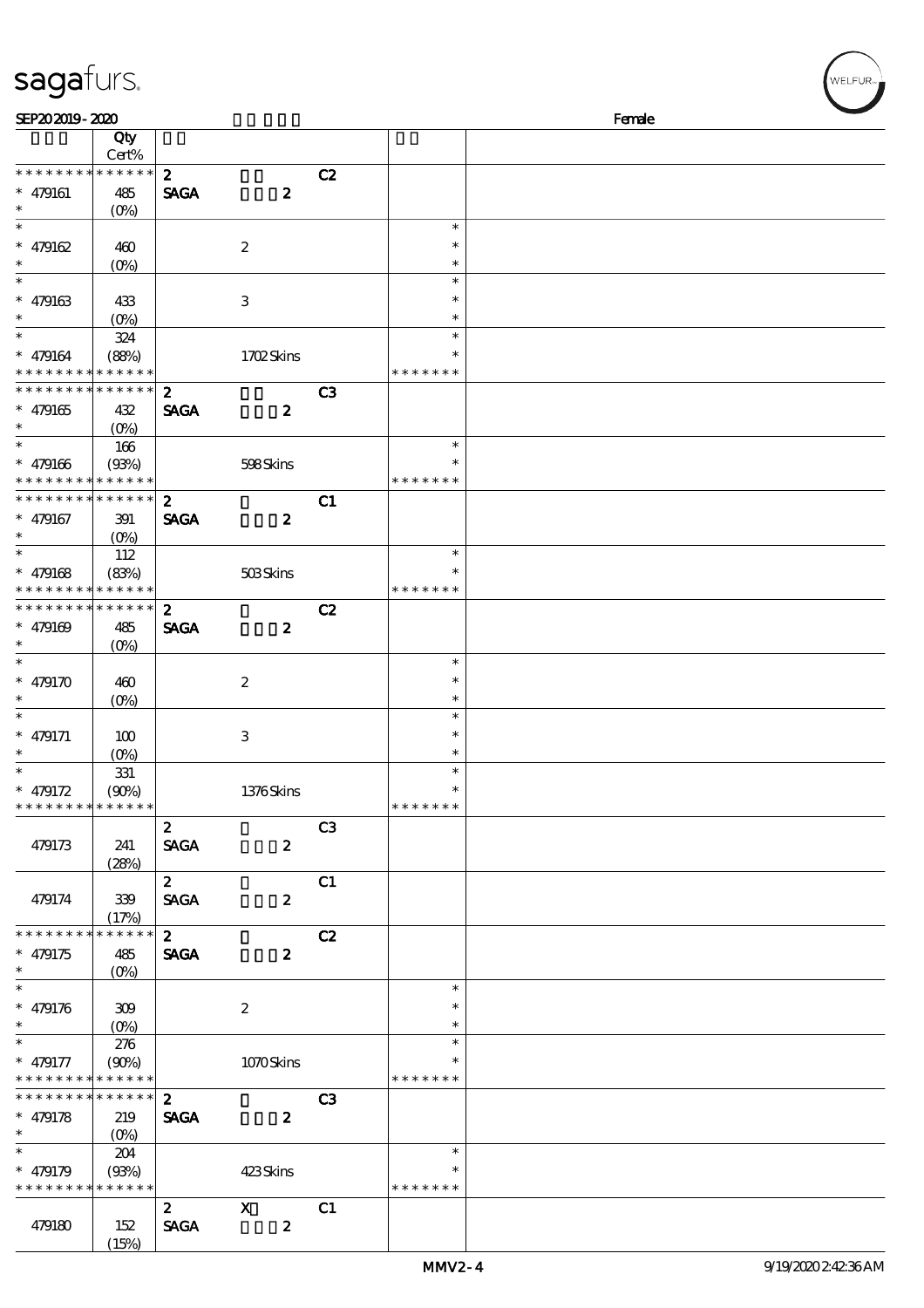| sagafurs.                                  |                      |                  |                                                                                                                                                                                                                                                                                                                                 |    |               |        |
|--------------------------------------------|----------------------|------------------|---------------------------------------------------------------------------------------------------------------------------------------------------------------------------------------------------------------------------------------------------------------------------------------------------------------------------------|----|---------------|--------|
| SEP202019-2020                             |                      |                  |                                                                                                                                                                                                                                                                                                                                 |    |               | Female |
|                                            | Qty<br>Cert%         |                  |                                                                                                                                                                                                                                                                                                                                 |    |               |        |
| * * * * * * * *                            | * * * * * *          | $\boldsymbol{z}$ |                                                                                                                                                                                                                                                                                                                                 | C2 |               |        |
| $* 479161$                                 | 485                  | <b>SAGA</b>      | $\boldsymbol{z}$                                                                                                                                                                                                                                                                                                                |    |               |        |
| $\ast$                                     | $(0\%)$              |                  |                                                                                                                                                                                                                                                                                                                                 |    |               |        |
| $\ast$                                     |                      |                  |                                                                                                                                                                                                                                                                                                                                 |    | $\ast$        |        |
| $* 479162$                                 | 460                  |                  | $\boldsymbol{2}$                                                                                                                                                                                                                                                                                                                |    | $\ast$        |        |
| $\ast$                                     | $(0\%)$              |                  |                                                                                                                                                                                                                                                                                                                                 |    | $\ast$        |        |
| $\ast$                                     |                      |                  |                                                                                                                                                                                                                                                                                                                                 |    | $\ast$        |        |
| $* 479163$                                 | 433                  |                  | $\,3\,$                                                                                                                                                                                                                                                                                                                         |    | $\ast$        |        |
|                                            | $(O\%)$              |                  |                                                                                                                                                                                                                                                                                                                                 |    | $\ast$        |        |
| $\ast$                                     | 324                  |                  |                                                                                                                                                                                                                                                                                                                                 |    | $\ast$        |        |
| $* 479164$                                 | (88%)                |                  | 1702Skins                                                                                                                                                                                                                                                                                                                       |    | $\ast$        |        |
| * * * * * * * * * * * * * *                |                      |                  |                                                                                                                                                                                                                                                                                                                                 |    | * * * * * * * |        |
| * * * * * * * * <mark>* * * * * *</mark> * |                      | $\boldsymbol{z}$ |                                                                                                                                                                                                                                                                                                                                 | C3 |               |        |
|                                            |                      | <b>SAGA</b>      | $\boldsymbol{2}$                                                                                                                                                                                                                                                                                                                |    |               |        |
| $* 479165$<br>$\ast$                       | 432                  |                  |                                                                                                                                                                                                                                                                                                                                 |    |               |        |
| $\ast$                                     | $(O\%)$              |                  |                                                                                                                                                                                                                                                                                                                                 |    | $\ast$        |        |
|                                            | 166                  |                  |                                                                                                                                                                                                                                                                                                                                 |    | $\ast$        |        |
| $* 479166$<br>* * * * * * * *              | (93%)<br>* * * * * * |                  | 598Skins                                                                                                                                                                                                                                                                                                                        |    | * * * * * * * |        |
| * * * * * * * *                            | * * * * * *          |                  |                                                                                                                                                                                                                                                                                                                                 |    |               |        |
|                                            |                      | $\boldsymbol{z}$ |                                                                                                                                                                                                                                                                                                                                 | C1 |               |        |
| $* 479167$                                 | 391                  | <b>SAGA</b>      | $\boldsymbol{z}$                                                                                                                                                                                                                                                                                                                |    |               |        |
| $\ast$                                     | $(O\%)$              |                  |                                                                                                                                                                                                                                                                                                                                 |    |               |        |
| $\ast$                                     | 112                  |                  |                                                                                                                                                                                                                                                                                                                                 |    | $\ast$        |        |
| $* 479168$                                 | (83%)                |                  | 503Skins                                                                                                                                                                                                                                                                                                                        |    | $\ast$        |        |
| * * * * * * * * <mark>* * * * * *</mark>   |                      |                  |                                                                                                                                                                                                                                                                                                                                 |    | * * * * * * * |        |
| * * * * * * * * * * * * * *                |                      | $\boldsymbol{z}$ |                                                                                                                                                                                                                                                                                                                                 | C2 |               |        |
| $* 479169$                                 | 485                  | <b>SAGA</b>      | $\boldsymbol{z}$                                                                                                                                                                                                                                                                                                                |    |               |        |
|                                            | $(O\%)$              |                  |                                                                                                                                                                                                                                                                                                                                 |    |               |        |
| $\ast$                                     |                      |                  |                                                                                                                                                                                                                                                                                                                                 |    | $\ast$        |        |
| $* 479170$                                 | 460                  |                  | $\boldsymbol{2}$                                                                                                                                                                                                                                                                                                                |    | $\ast$        |        |
|                                            | $(0\%)$              |                  |                                                                                                                                                                                                                                                                                                                                 |    | $\ast$        |        |
| $\ast$                                     |                      |                  |                                                                                                                                                                                                                                                                                                                                 |    | $\ast$        |        |
| $* 479171$                                 | 100                  |                  | $\,3$                                                                                                                                                                                                                                                                                                                           |    | $\ast$        |        |
| $\ast$                                     | (0%)                 |                  |                                                                                                                                                                                                                                                                                                                                 |    | $\ast$        |        |
| $\ast$                                     | 331                  |                  |                                                                                                                                                                                                                                                                                                                                 |    | $\ast$        |        |
| $* 479172$                                 | (90%)                |                  | $1376$ Skins                                                                                                                                                                                                                                                                                                                    |    | *             |        |
| * * * * * * * * * * * * * *                |                      |                  |                                                                                                                                                                                                                                                                                                                                 |    | * * * * * * * |        |
|                                            |                      | $\mathbf{2}$     |                                                                                                                                                                                                                                                                                                                                 | C3 |               |        |
| 479173                                     | 241                  | <b>SAGA</b>      | $\boldsymbol{z}$                                                                                                                                                                                                                                                                                                                |    |               |        |
|                                            | (28%)                |                  |                                                                                                                                                                                                                                                                                                                                 |    |               |        |
|                                            |                      | $2^{\circ}$      |                                                                                                                                                                                                                                                                                                                                 | C1 |               |        |
| 479174                                     | 339                  | <b>SAGA</b>      | $\boldsymbol{z}$                                                                                                                                                                                                                                                                                                                |    |               |        |
|                                            | (17%)                |                  |                                                                                                                                                                                                                                                                                                                                 |    |               |        |
| * * * * * * * *                            | * * * * * *          | 2 <sup>7</sup>   |                                                                                                                                                                                                                                                                                                                                 | C2 |               |        |
| $* 479175$                                 | 485                  | <b>SAGA</b>      | $\boldsymbol{z}$                                                                                                                                                                                                                                                                                                                |    |               |        |
|                                            | $(O\% )$             |                  |                                                                                                                                                                                                                                                                                                                                 |    |               |        |
|                                            |                      |                  |                                                                                                                                                                                                                                                                                                                                 |    | $\ast$        |        |
| $* 479176$                                 | 309                  |                  | $\boldsymbol{2}$                                                                                                                                                                                                                                                                                                                |    | $\ast$        |        |
|                                            | $(O\%)$              |                  |                                                                                                                                                                                                                                                                                                                                 |    | $\ast$        |        |
| $\ast$                                     | 276                  |                  |                                                                                                                                                                                                                                                                                                                                 |    | $\ast$        |        |
| $* 479177$                                 | (90%)                |                  | 1070Skins                                                                                                                                                                                                                                                                                                                       |    | $\ast$        |        |
| * * * * * * * *                            | * * * * * *          |                  |                                                                                                                                                                                                                                                                                                                                 |    | * * * * * * * |        |
| * * * * * * * *                            | * * * * * *          | $\boldsymbol{2}$ |                                                                                                                                                                                                                                                                                                                                 | C3 |               |        |
| $* 479178$                                 | 219                  | <b>SAGA</b>      | $\boldsymbol{z}$                                                                                                                                                                                                                                                                                                                |    |               |        |
| $\ast$                                     | $(O\%)$              |                  |                                                                                                                                                                                                                                                                                                                                 |    |               |        |
| $\ast$                                     | 204                  |                  |                                                                                                                                                                                                                                                                                                                                 |    | $\ast$        |        |
| $* 479179$                                 | (93%)                |                  | 423Skins                                                                                                                                                                                                                                                                                                                        |    | $\ast$        |        |
| * * * * * * * * * * * * *                  |                      |                  |                                                                                                                                                                                                                                                                                                                                 |    | * * * * * * * |        |
|                                            |                      | $\boldsymbol{z}$ | $\mathbf X$ and $\mathbf X$ and $\mathbf X$ and $\mathbf X$ and $\mathbf X$ and $\mathbf X$ and $\mathbf X$ and $\mathbf X$ and $\mathbf X$ and $\mathbf X$ and $\mathbf X$ and $\mathbf X$ and $\mathbf X$ and $\mathbf X$ and $\mathbf X$ and $\mathbf X$ and $\mathbf X$ and $\mathbf X$ and $\mathbf X$ and $\mathbf X$ and | C1 |               |        |
|                                            |                      |                  |                                                                                                                                                                                                                                                                                                                                 |    |               |        |

479180 152

(15%)

 $SAGA$  2

 $w$ elfur<sub>»</sub>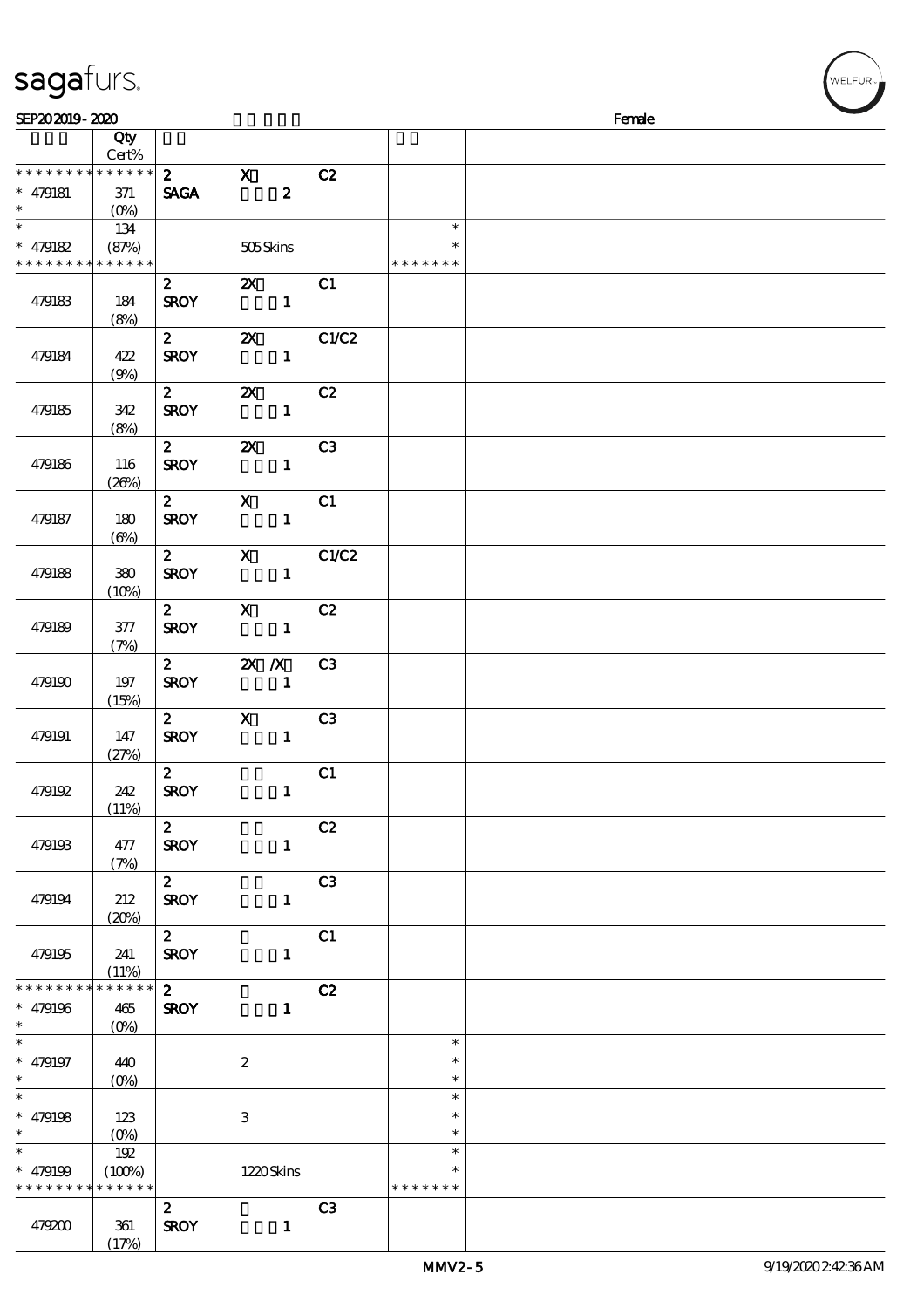## sagafurs.

| SEP202019-2020              |                  |                  |                                                                                                                                                                                                                                                                                                                                                                                                                                                               |                  |                |                  | Female |
|-----------------------------|------------------|------------------|---------------------------------------------------------------------------------------------------------------------------------------------------------------------------------------------------------------------------------------------------------------------------------------------------------------------------------------------------------------------------------------------------------------------------------------------------------------|------------------|----------------|------------------|--------|
|                             | Qty<br>Cert%     |                  |                                                                                                                                                                                                                                                                                                                                                                                                                                                               |                  |                |                  |        |
| * * * * * * * * * * * * * * |                  | $\mathbf{2}$     | $\mathbf{x}$                                                                                                                                                                                                                                                                                                                                                                                                                                                  |                  | C2             |                  |        |
| $* 479181$                  | 371              | <b>SAGA</b>      |                                                                                                                                                                                                                                                                                                                                                                                                                                                               | $\boldsymbol{z}$ |                |                  |        |
| $\ast$                      | $(O\%)$          |                  |                                                                                                                                                                                                                                                                                                                                                                                                                                                               |                  |                |                  |        |
| $\overline{\phantom{a}^*}$  | 134              |                  |                                                                                                                                                                                                                                                                                                                                                                                                                                                               |                  |                | $\ast$           |        |
| $* 479182$                  | (87%)            |                  | 505Skins                                                                                                                                                                                                                                                                                                                                                                                                                                                      |                  |                | $\ast$           |        |
| * * * * * * * * * * * * * * |                  |                  |                                                                                                                                                                                                                                                                                                                                                                                                                                                               |                  |                | * * * * * * *    |        |
|                             |                  | $\mathbf{2}$     | $\mathbf{x}$                                                                                                                                                                                                                                                                                                                                                                                                                                                  |                  | C1             |                  |        |
| 479183                      | 184              | <b>SROY</b>      |                                                                                                                                                                                                                                                                                                                                                                                                                                                               | $\blacksquare$   |                |                  |        |
|                             | (8%)             |                  |                                                                                                                                                                                                                                                                                                                                                                                                                                                               |                  |                |                  |        |
|                             |                  | $\mathbf{2}$     | $\boldsymbol{\mathsf{Z}}$                                                                                                                                                                                                                                                                                                                                                                                                                                     |                  | C1/C2          |                  |        |
| 479184                      | 422              | <b>SROY</b>      |                                                                                                                                                                                                                                                                                                                                                                                                                                                               | $\mathbf{1}$     |                |                  |        |
|                             | (9%)             |                  |                                                                                                                                                                                                                                                                                                                                                                                                                                                               |                  |                |                  |        |
|                             |                  | $\mathbf{2}$     | $\mathbf{X}$                                                                                                                                                                                                                                                                                                                                                                                                                                                  |                  | C2             |                  |        |
| 479185                      | 342              | <b>SROY</b>      |                                                                                                                                                                                                                                                                                                                                                                                                                                                               | $\mathbf{1}$     |                |                  |        |
|                             | (8%)             |                  |                                                                                                                                                                                                                                                                                                                                                                                                                                                               |                  |                |                  |        |
|                             |                  | $2^{-}$          | $\boldsymbol{\alpha}$                                                                                                                                                                                                                                                                                                                                                                                                                                         |                  | C3             |                  |        |
| 479186                      | 116              | <b>SROY</b>      |                                                                                                                                                                                                                                                                                                                                                                                                                                                               | $\mathbf{1}$     |                |                  |        |
|                             | (20%)            | $2^{\sim}$       | $\mathbf{X}$                                                                                                                                                                                                                                                                                                                                                                                                                                                  |                  | C1             |                  |        |
| 479187                      | 180              | <b>SROY</b>      |                                                                                                                                                                                                                                                                                                                                                                                                                                                               | $\mathbf{1}$     |                |                  |        |
|                             | $(\Theta)$       |                  |                                                                                                                                                                                                                                                                                                                                                                                                                                                               |                  |                |                  |        |
|                             |                  | $\mathbf{2}$     | $\mathbf{X}$                                                                                                                                                                                                                                                                                                                                                                                                                                                  |                  | C1/C2          |                  |        |
| 479188                      | 380              | <b>SROY</b>      |                                                                                                                                                                                                                                                                                                                                                                                                                                                               | $\mathbf{1}$     |                |                  |        |
|                             | (10%)            |                  |                                                                                                                                                                                                                                                                                                                                                                                                                                                               |                  |                |                  |        |
|                             |                  | $\mathbf{2}$     | $\boldsymbol{\mathrm{X}}$ and $\boldsymbol{\mathrm{X}}$ and $\boldsymbol{\mathrm{X}}$ and $\boldsymbol{\mathrm{X}}$ and $\boldsymbol{\mathrm{X}}$ and $\boldsymbol{\mathrm{X}}$ and $\boldsymbol{\mathrm{X}}$ and $\boldsymbol{\mathrm{X}}$ and $\boldsymbol{\mathrm{X}}$ and $\boldsymbol{\mathrm{X}}$ and $\boldsymbol{\mathrm{X}}$ and $\boldsymbol{\mathrm{X}}$ and $\boldsymbol{\mathrm{X}}$ and $\boldsymbol{\mathrm{X}}$ and $\boldsymbol{\mathrm{X}}$ |                  | C2             |                  |        |
| 479189                      | 377              | <b>SROY</b>      |                                                                                                                                                                                                                                                                                                                                                                                                                                                               | $\mathbf{1}$     |                |                  |        |
|                             | (7%)             |                  |                                                                                                                                                                                                                                                                                                                                                                                                                                                               |                  |                |                  |        |
|                             |                  |                  | 2 $2X/X$                                                                                                                                                                                                                                                                                                                                                                                                                                                      |                  | C3             |                  |        |
| 479190                      | 197              | <b>SROY</b>      |                                                                                                                                                                                                                                                                                                                                                                                                                                                               | $\mathbf{1}$     |                |                  |        |
|                             | (15%)            |                  |                                                                                                                                                                                                                                                                                                                                                                                                                                                               |                  |                |                  |        |
|                             |                  | $\mathbf{2}$     | $\boldsymbol{\mathrm{X}}$                                                                                                                                                                                                                                                                                                                                                                                                                                     |                  | C3             |                  |        |
| 479191                      | 147<br>(27%)     | <b>SROY</b>      |                                                                                                                                                                                                                                                                                                                                                                                                                                                               | $\mathbf{1}$     |                |                  |        |
|                             |                  | $\mathbf{2}$     |                                                                                                                                                                                                                                                                                                                                                                                                                                                               |                  | C1             |                  |        |
| 479192                      | 242              | <b>SROY</b>      |                                                                                                                                                                                                                                                                                                                                                                                                                                                               | $\mathbf{1}$     |                |                  |        |
|                             | (11%)            |                  |                                                                                                                                                                                                                                                                                                                                                                                                                                                               |                  |                |                  |        |
|                             |                  | $\mathbf{2}$     |                                                                                                                                                                                                                                                                                                                                                                                                                                                               |                  | C2             |                  |        |
| 479193                      | 477              | <b>SROY</b>      |                                                                                                                                                                                                                                                                                                                                                                                                                                                               | $\mathbf{1}$     |                |                  |        |
|                             | (7%)             |                  |                                                                                                                                                                                                                                                                                                                                                                                                                                                               |                  |                |                  |        |
|                             |                  | $2^{\circ}$      |                                                                                                                                                                                                                                                                                                                                                                                                                                                               |                  | C3             |                  |        |
| 479194                      | 212              | <b>SROY</b>      |                                                                                                                                                                                                                                                                                                                                                                                                                                                               | $\mathbf{1}$     |                |                  |        |
|                             | (20%)            | $2^{\sim}$       |                                                                                                                                                                                                                                                                                                                                                                                                                                                               |                  | C1             |                  |        |
| 479195                      | 241              | <b>SROY</b>      |                                                                                                                                                                                                                                                                                                                                                                                                                                                               | $\mathbf{1}$     |                |                  |        |
|                             | (11%)            |                  |                                                                                                                                                                                                                                                                                                                                                                                                                                                               |                  |                |                  |        |
| * * * * * * * *             | * * * * * *      | $\mathbf{2}$     |                                                                                                                                                                                                                                                                                                                                                                                                                                                               |                  | C2             |                  |        |
| $* 479196$                  | 465              | <b>SROY</b>      |                                                                                                                                                                                                                                                                                                                                                                                                                                                               | $\mathbf{1}$     |                |                  |        |
| $\ast$                      | $(O\%)$          |                  |                                                                                                                                                                                                                                                                                                                                                                                                                                                               |                  |                |                  |        |
| $\ast$                      |                  |                  |                                                                                                                                                                                                                                                                                                                                                                                                                                                               |                  |                | $\ast$           |        |
| $* 479197$                  | 440              |                  | $\boldsymbol{2}$                                                                                                                                                                                                                                                                                                                                                                                                                                              |                  |                | $\ast$           |        |
| $*$<br>$\overline{\ast}$    | $(O\!/\!\delta)$ |                  |                                                                                                                                                                                                                                                                                                                                                                                                                                                               |                  |                | $\ast$           |        |
|                             |                  |                  |                                                                                                                                                                                                                                                                                                                                                                                                                                                               |                  |                | $\ast$           |        |
| $* 479198$<br>$\ast$        | 123              |                  | $\,3\,$                                                                                                                                                                                                                                                                                                                                                                                                                                                       |                  |                | $\ast$<br>$\ast$ |        |
| $\ast$                      | $(O\%)$<br>192   |                  |                                                                                                                                                                                                                                                                                                                                                                                                                                                               |                  |                | $\ast$           |        |
| $* 479199$                  | (100%)           |                  | 1220Skins                                                                                                                                                                                                                                                                                                                                                                                                                                                     |                  |                | $\ast$           |        |
| * * * * * * * * * * * * * * |                  |                  |                                                                                                                                                                                                                                                                                                                                                                                                                                                               |                  |                | * * * * * * *    |        |
|                             |                  | $\boldsymbol{z}$ |                                                                                                                                                                                                                                                                                                                                                                                                                                                               |                  | C <sub>3</sub> |                  |        |
| 479200                      | 361              | <b>SROY</b>      |                                                                                                                                                                                                                                                                                                                                                                                                                                                               | $\mathbf{1}$     |                |                  |        |
|                             | (17%)            |                  |                                                                                                                                                                                                                                                                                                                                                                                                                                                               |                  |                |                  |        |

WELFUR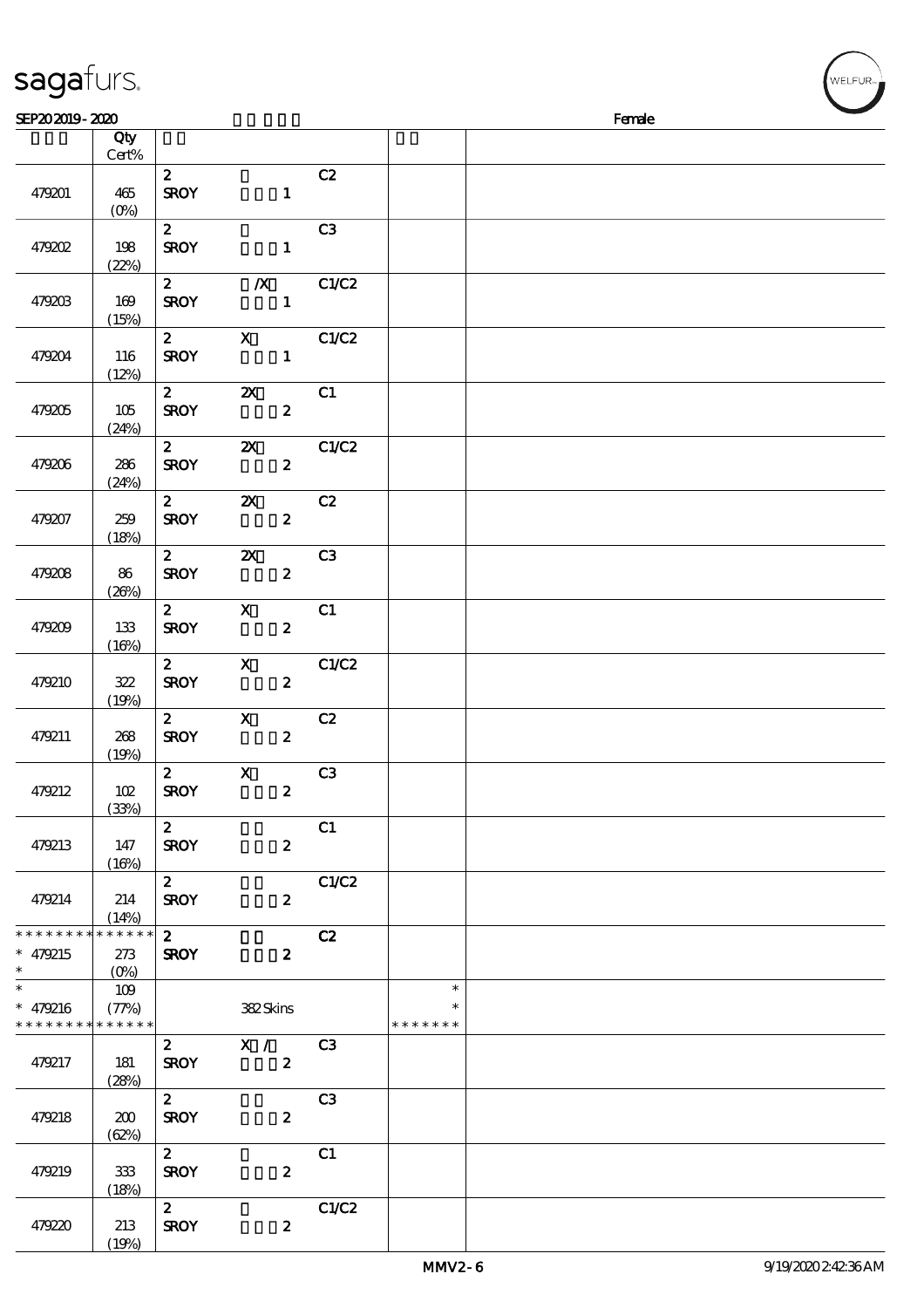| sagafurs.                                                          |                |                                  |                                               |                |                                   |        | WELFUR <sub>™</sub> |
|--------------------------------------------------------------------|----------------|----------------------------------|-----------------------------------------------|----------------|-----------------------------------|--------|---------------------|
| SEP202019-2020                                                     |                |                                  |                                               |                |                                   | Female |                     |
|                                                                    | Qty<br>Cert%   |                                  |                                               |                |                                   |        |                     |
| 479201                                                             | 465<br>$(0\%)$ | $\mathbf{2}$<br><b>SROY</b>      | $\mathbf{1}$                                  | C2             |                                   |        |                     |
| 479202                                                             | 198<br>(22%)   | $\mathbf{2}$<br><b>SROY</b>      | $\mathbf{1}$                                  | C <sub>3</sub> |                                   |        |                     |
| 479203                                                             | 169<br>(15%)   | $\mathbf{2}$<br><b>SROY</b>      | $\sim$ 1                                      | $X$ C1/C2      |                                   |        |                     |
| 479204                                                             | 116<br>(12%)   | $2^{\overline{}}$<br><b>SROY</b> | $\mathbf X$<br>$\mathbf{1}$                   | C1/C2          |                                   |        |                     |
| 479205                                                             | 105<br>(24%)   | $\overline{2}$<br><b>SROY</b>    | $\boldsymbol{\mathsf{Z}}$<br>$\boldsymbol{z}$ | C1             |                                   |        |                     |
| 479206                                                             | 286<br>(24%)   | $\overline{2}$<br><b>SROY</b>    | $\boldsymbol{z}$                              | 2X C1/C2       |                                   |        |                     |
| 479207                                                             | 259<br>(18%)   | $\mathbf{2}$<br><b>SROY</b>      | $\mathbf{x}$<br>$\boldsymbol{z}$              | C2             |                                   |        |                     |
| 479208                                                             | 86<br>(20%)    | $\mathbf{2}$<br><b>SROY</b>      | $\mathbf{x}$<br>$\boldsymbol{z}$              | C3             |                                   |        |                     |
| 479209                                                             | 133<br>(16%)   | $\mathbf{2}$<br><b>SROY</b>      | $\mathbf{x}$<br>$\boldsymbol{z}$              | C1             |                                   |        |                     |
| 479210                                                             | 322<br>(19%)   | $\mathbf{z}$<br><b>SROY</b>      | $\mathbf x$<br>$\boldsymbol{z}$               | C1/C2          |                                   |        |                     |
| 479211                                                             | 268<br>(19%)   | $\mathbf{2}$<br><b>SROY</b>      | $\mathbf{x}$<br>$\boldsymbol{z}$              | C2             |                                   |        |                     |
| 479212                                                             | 102<br>(33%)   | <b>SROY</b>                      | $\overline{z}$ X<br>$\boldsymbol{z}$          | C3             |                                   |        |                     |
| 479213                                                             | 147<br>(16%)   | $\mathbf{z}$<br><b>SROY</b>      | $\boldsymbol{z}$                              | C1             |                                   |        |                     |
| 479214                                                             | 214<br>(14%)   | $\mathbf{2}$<br><b>SROY</b>      | $\boldsymbol{z}$                              | C1/C2          |                                   |        |                     |
| * * * * * * * * <mark>* * * * * * *</mark><br>$* 479215$<br>$\ast$ | 273            | $\mathbf{2}$<br><b>SROY</b>      | $\boldsymbol{z}$                              | C2             |                                   |        |                     |
| $\ast$<br>* $479216$<br>* * * * * * * * * * * * * *                | 109<br>(77%)   |                                  | 382Skins                                      |                | $\ast$<br>$\ast$<br>* * * * * * * |        |                     |
| 479217                                                             | 181<br>(28%)   | $\mathbf{2}$<br><b>SROY</b>      | X / C3<br>$\boldsymbol{z}$                    |                |                                   |        |                     |
| 479218                                                             | 200<br>(62%)   | $\mathbf{z}$<br><b>SROY</b>      | $\boldsymbol{z}$                              | C <sub>3</sub> |                                   |        |                     |
| 479219                                                             | 333<br>(18%)   | $\mathbf{2}$<br><b>SROY</b>      | $\boldsymbol{z}$                              | C1             |                                   |        |                     |
| 479220                                                             | 213            | $\mathbf{2}$<br><b>SROY</b>      | $\boldsymbol{z}$                              | C1/C2          |                                   |        |                     |

(19%)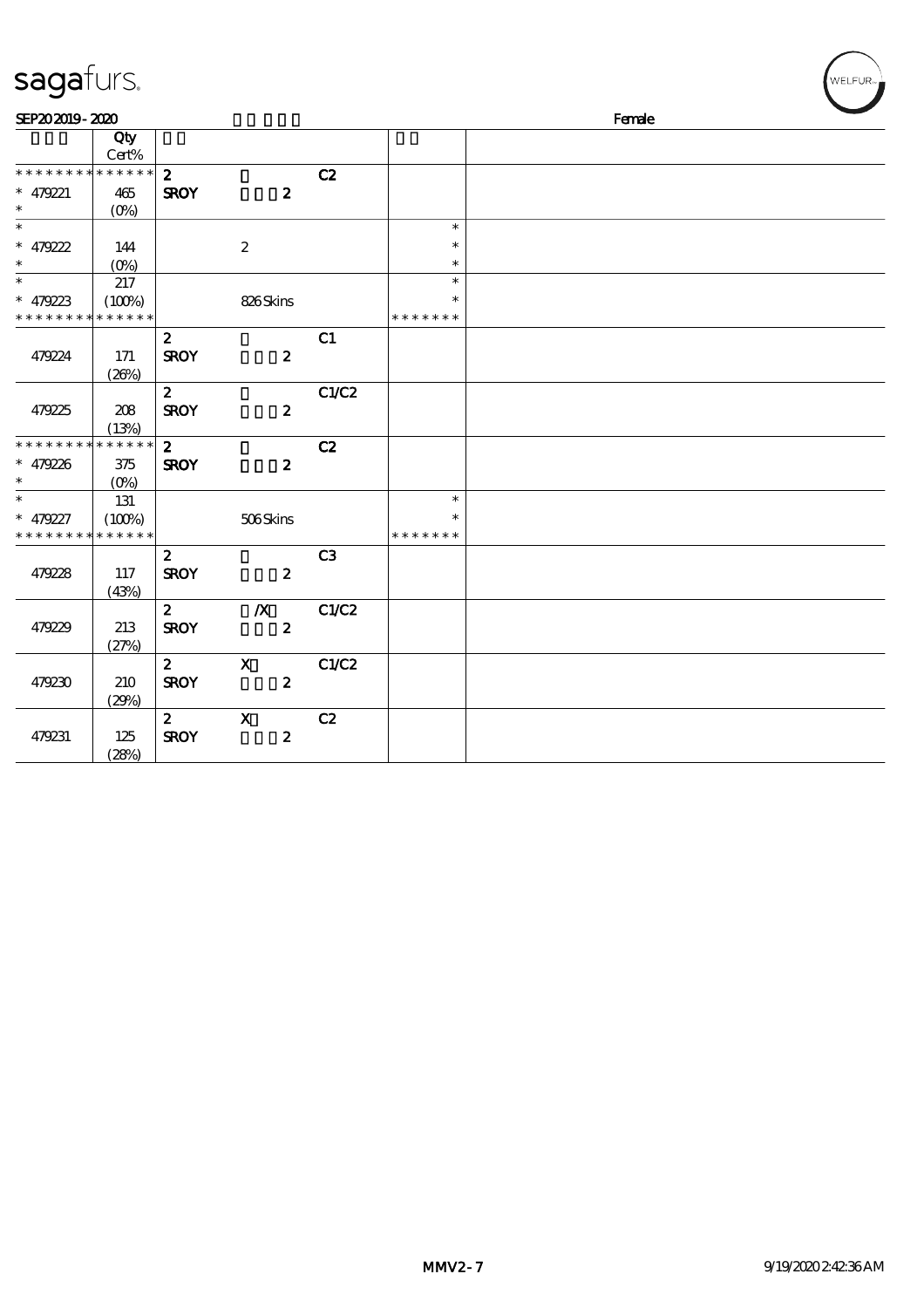| sagafurs.                                 |                |                         |                           |                |               | WELFUR <sub>™</sub> |
|-------------------------------------------|----------------|-------------------------|---------------------------|----------------|---------------|---------------------|
| SEP202019-2020                            |                |                         |                           |                |               | Female              |
|                                           | Qty<br>Cert%   |                         |                           |                |               |                     |
| * * * * * * * * * * * * * *               |                | $\mathbf{z}$            |                           | C2             |               |                     |
| $* 479221$<br>$\ast$                      | 465<br>$(0\%)$ | <b>SROY</b>             | $\boldsymbol{z}$          |                |               |                     |
| $\overline{\phantom{0}}$                  |                |                         |                           |                | $\ast$        |                     |
| $* 479222$                                | 144            |                         | $\boldsymbol{2}$          |                | $\ast$        |                     |
| $\ast$<br>$\ast$                          | $(O\%)$        |                         |                           |                | $\ast$        |                     |
|                                           | 217            |                         |                           |                | $\ast$        |                     |
| $* 479223$<br>* * * * * * * * * * * * * * | (100%)         |                         | 826Skins                  |                | * * * * * * * |                     |
|                                           |                | $\mathbf{z}$            |                           | C1             |               |                     |
| 479224                                    | 171            | <b>SROY</b>             | $\boldsymbol{z}$          |                |               |                     |
|                                           | (20%)          |                         |                           |                |               |                     |
|                                           |                | $\mathbf{2}$            |                           | C1/C2          |               |                     |
| 479225                                    | 208            | <b>SROY</b>             | $\boldsymbol{z}$          |                |               |                     |
|                                           | (13%)          |                         |                           |                |               |                     |
| * * * * * * * *                           | * * * * * *    | $\overline{\mathbf{z}}$ |                           | C2             |               |                     |
| $* 479226$                                | $375\,$        | <b>SROY</b>             | $\boldsymbol{z}$          |                |               |                     |
| $\ast$                                    | $(O\%)$        |                         |                           |                |               |                     |
| $\ast$                                    | 131            |                         |                           |                | $\ast$        |                     |
| $* 479227$                                | (100%)         |                         | 506Skins                  |                | $\ast$        |                     |
| * * * * * * * * * * * * * *               |                |                         |                           |                | * * * * * * * |                     |
|                                           |                | $\mathbf{z}$            |                           | C <sub>3</sub> |               |                     |
| 479228                                    | 117            | <b>SROY</b>             | $\boldsymbol{z}$          |                |               |                     |
|                                           | (43%)          | $\mathbf{z}$            | $\boldsymbol{X}$          | C1/C2          |               |                     |
| 479229                                    | 213            | <b>SROY</b>             | $\boldsymbol{z}$          |                |               |                     |
|                                           | (27%)          |                         |                           |                |               |                     |
|                                           |                | $\mathbf{2}$            | $\mathbf{x}$              | C1/C2          |               |                     |
| 479230                                    | 210            | <b>SROY</b>             | $\boldsymbol{z}$          |                |               |                     |
|                                           | (29%)          |                         |                           |                |               |                     |
|                                           |                | $\mathbf{2}$            | $\boldsymbol{\mathsf{X}}$ | C2             |               |                     |
| 479231                                    | 125            | <b>SROY</b>             | $\boldsymbol{2}$          |                |               |                     |
|                                           | (28%)          |                         |                           |                |               |                     |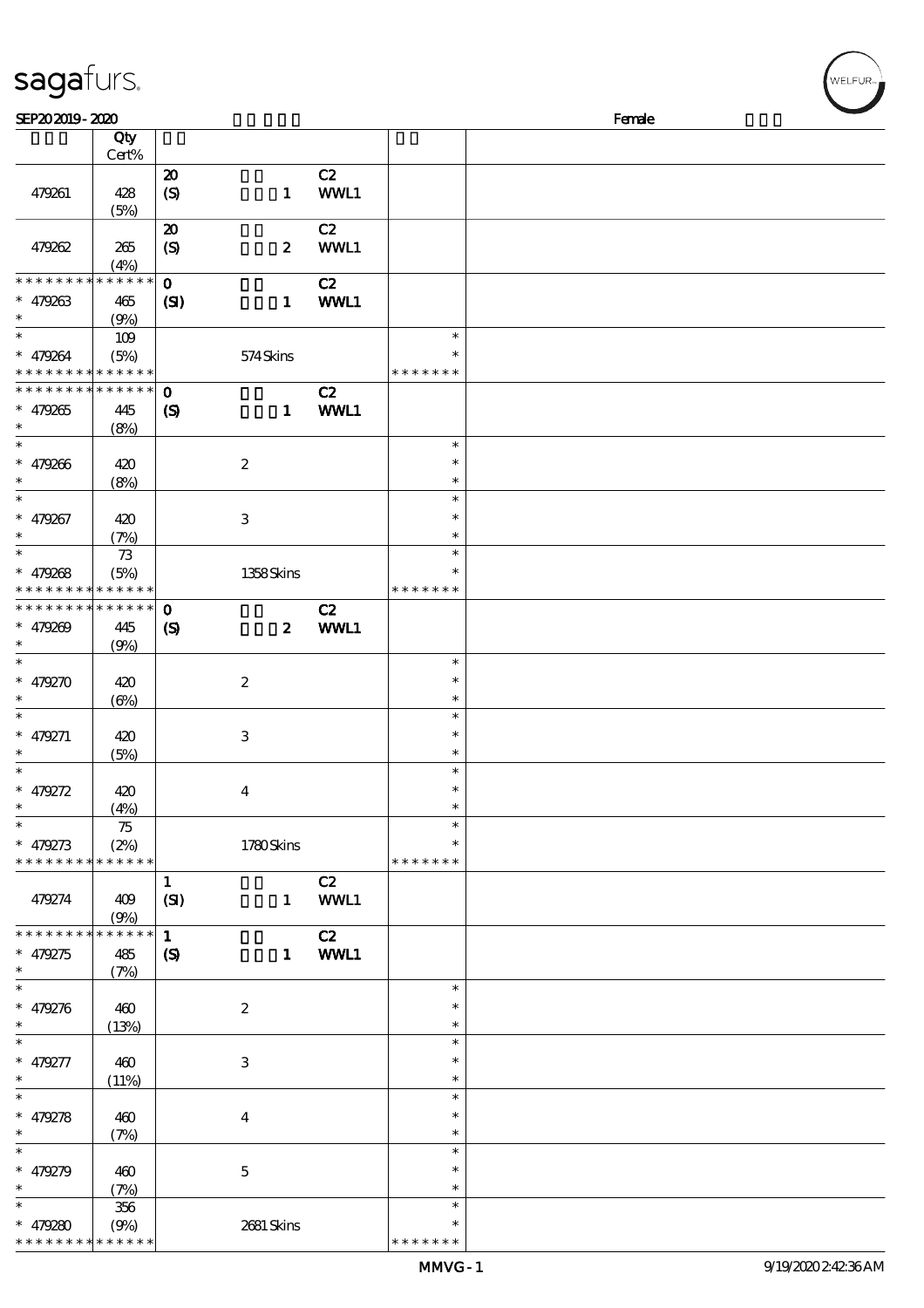| sagafurs.                                                        |                            |                                                 |                         |              |                                   |        | WELFUR <sub>™</sub> |
|------------------------------------------------------------------|----------------------------|-------------------------------------------------|-------------------------|--------------|-----------------------------------|--------|---------------------|
| SEP202019-2020                                                   |                            |                                                 |                         |              |                                   | Female |                     |
|                                                                  | Qty<br>Cert%               |                                                 |                         |              |                                   |        |                     |
| 479261                                                           | 428<br>(5%)                | $\boldsymbol{\mathsf{20}}$<br>$\boldsymbol{S}$  | $\mathbf{1}$            | C2<br>WWL1   |                                   |        |                     |
| 479262                                                           | 265<br>(4%)                | $\boldsymbol{\mathfrak{D}}$<br>$\boldsymbol{S}$ | $\boldsymbol{z}$        | C2<br>WWL1   |                                   |        |                     |
| * * * * * * * *<br>$* 479263$                                    | * * * * * *<br>465<br>(9%) | $\mathbf{o}$<br>$\mathbf{C}$                    | $\mathbf{1}$            | C2<br>WWL1   |                                   |        |                     |
| $\ast$<br>$* 479264$<br>* * * * * * * * <mark>* * * * * *</mark> | 109<br>(5%)                |                                                 | 574Skins                |              | $\ast$<br>$\ast$<br>* * * * * * * |        |                     |
| * * * * * * * * <mark>* * * * * *</mark><br>$* 479265$<br>$\ast$ | 445<br>(8%)                | $\mathbf 0$<br>$\boldsymbol{\mathcal{S}}$       | $\mathbf{1}$            | C2<br>WWL1   |                                   |        |                     |
| $\ast$<br>$* 479266$<br>$\ast$                                   | 420<br>(8%)                |                                                 | $\boldsymbol{2}$        |              | $\ast$<br>$\ast$<br>$\ast$        |        |                     |
| $\ast$<br>$* 479267$<br>$\ast$                                   | 420<br>(7%)                |                                                 | $\,3$                   |              | $\ast$<br>$\ast$<br>$\ast$        |        |                     |
| $\ast$<br>$* 479268$<br>* * * * * * * * <mark>* * * * * *</mark> | $73$<br>(5%)               |                                                 | 1358Skins               |              | $\ast$<br>$\ast$<br>* * * * * * * |        |                     |
| * * * * * * * * <mark>* * * * * *</mark><br>$* 479209$           | 445<br>(9%)                | $\mathbf{o}$<br>$\boldsymbol{\mathrm{(S)}}$     | $\boldsymbol{z}$        | C2<br>WWL1   |                                   |        |                     |
| $\ast$<br>$* 479270$<br>$\ast$                                   | 420<br>$(\Theta)$          |                                                 | $\boldsymbol{2}$        |              | $\ast$<br>$\ast$<br>$\ast$        |        |                     |
| $\ast$<br>$* 479271$<br>$\ast$                                   | 420<br>(5%)                |                                                 | $\,3$                   |              | $\ast$<br>$\ast$<br>$\ast$        |        |                     |
| $\ast$<br>$* 479272$<br>$\ast$                                   | 420<br>(4%)                |                                                 | $\overline{\mathbf{4}}$ |              | $\ast$<br>∗                       |        |                     |
| $\ast$<br>$* 479273$<br>* * * * * * * * <mark>* * * * * *</mark> | 75<br>(2%)                 |                                                 | 1780Skins               |              | $\ast$<br>* * * * * * *           |        |                     |
| 479274                                                           | 409<br>(9%)                | $\mathbf{1}$<br>(SI)                            |                         | C2<br>1 WWL1 |                                   |        |                     |
| * * * * * * * * * * * * * *<br>$* 479275$<br>$\ast$              | 485<br>(7%)                | $\mathbf{1}$<br>$\boldsymbol{S}$                |                         | C2<br>1 WWL1 |                                   |        |                     |
| $\ast$<br>$* 479276$<br>$\ast$                                   | 460<br>(13%)               |                                                 | $\boldsymbol{2}$        |              | $\ast$<br>$\ast$<br>$\ast$        |        |                     |
| $\ast$<br>$* 479277$<br>$\ast$                                   | 460<br>(11%)               |                                                 | $\,3$                   |              | $\ast$<br>$\ast$<br>$\ast$        |        |                     |
| $\ast$<br>$* 479278$<br>$\ast$                                   | 460<br>(7%)                |                                                 | $\bf{4}$                |              | $\ast$<br>$\ast$<br>$\ast$        |        |                     |
| $\overline{\phantom{0}}$<br>$* 479279$<br>$\ast$                 | 460<br>(7%)                |                                                 | $\mathbf 5$             |              | $\ast$<br>$\ast$<br>$\ast$        |        |                     |
| * $479280$                                                       | 356<br>(9%)                |                                                 | 2681 Skins              |              | $\ast$<br>$\ast$                  |        |                     |

\* \* \* \* \* \*

\* \* \* \* \* \*

\* \* \* \* \* \* \*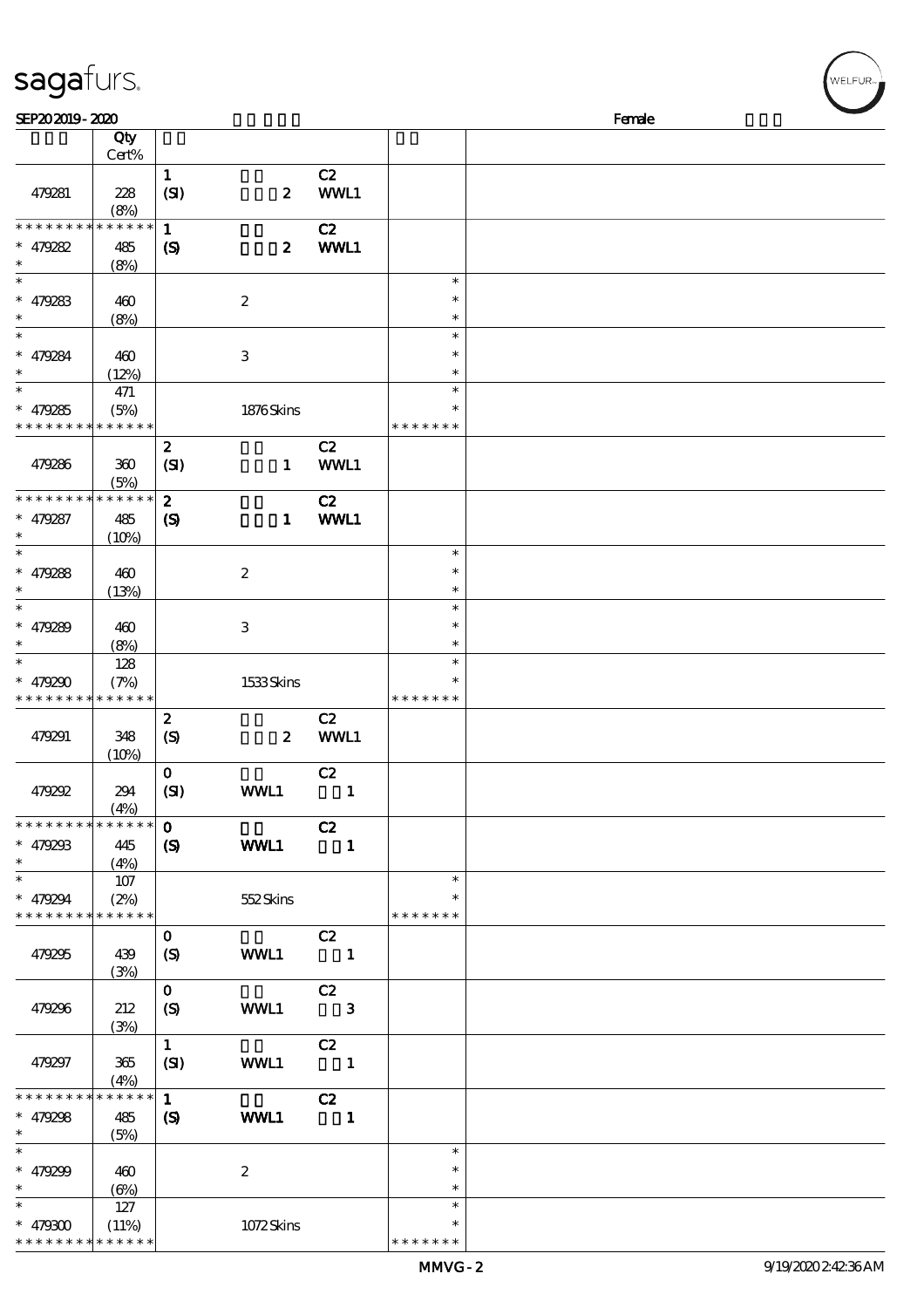| SEP202019-2020                                         | sagafurs.   |                  |                  |                            |               |        |
|--------------------------------------------------------|-------------|------------------|------------------|----------------------------|---------------|--------|
|                                                        | Qty         |                  |                  |                            |               | Female |
|                                                        | Cert%       |                  |                  |                            |               |        |
|                                                        |             | $\mathbf{1}$     |                  | C2                         |               |        |
| 479281                                                 | 228         | (SI)             | $\boldsymbol{z}$ | WWL1                       |               |        |
|                                                        | (8%)        |                  |                  |                            |               |        |
| * * * * * * * *                                        | * * * * * * | $\mathbf{1}$     |                  | C2                         |               |        |
| $* 479282$                                             | 485         | $\boldsymbol{S}$ | $\boldsymbol{z}$ | WWL1                       |               |        |
| $\ast$                                                 | (8%)        |                  |                  |                            |               |        |
| $\ast$                                                 |             |                  |                  |                            | $\ast$        |        |
| $* 479283$                                             | 460         |                  | $\boldsymbol{2}$ |                            | $\ast$        |        |
|                                                        | (8%)        |                  |                  |                            | $\ast$        |        |
| $\ast$                                                 |             |                  |                  |                            | $\ast$        |        |
| $* 479284$                                             | 460         |                  | $\,3$            |                            | $\ast$        |        |
|                                                        | (12%)       |                  |                  |                            | $\ast$        |        |
| $\ast$                                                 | 471         |                  |                  |                            | $\ast$        |        |
| $* 479285$                                             | (5%)        |                  | 1876Skins        |                            | $\ast$        |        |
| * * * * * * * *                                        | * * * * * * |                  |                  |                            | * * * * * * * |        |
|                                                        |             | $\boldsymbol{2}$ |                  | C2                         |               |        |
| 479286                                                 | 360         | (SI)             | $\mathbf{1}$     | WWL1                       |               |        |
|                                                        | (5%)        |                  |                  |                            |               |        |
| * * * * * * * *                                        | * * * * * * | $\boldsymbol{z}$ |                  | C2                         |               |        |
| $* 479287$                                             | 485         | $\boldsymbol{S}$ | $\mathbf{1}$     | WWL1                       |               |        |
| $\ast$                                                 | (10%)       |                  |                  |                            |               |        |
| $\ast$                                                 |             |                  |                  |                            | $\ast$        |        |
| $* 479288$                                             | 460         |                  | $\boldsymbol{2}$ |                            | $\ast$        |        |
| $\ast$                                                 | (13%)       |                  |                  |                            | $\ast$        |        |
| $\ast$                                                 |             |                  |                  |                            | $\ast$        |        |
| $* 479289$                                             | 460         |                  | $\,3$            |                            | $\ast$        |        |
|                                                        | (8%)        |                  |                  |                            | $\ast$        |        |
| $\ast$                                                 | 128         |                  |                  |                            | $\ast$        |        |
| * $479290$                                             | (7%)        |                  | 1533Skins        |                            | $\ast$        |        |
| * * * * * * * * <mark>* * * * * *</mark>               |             |                  |                  |                            | * * * * * * * |        |
|                                                        |             | $\boldsymbol{z}$ |                  | C2                         |               |        |
| 479291                                                 | 348         | $\boldsymbol{S}$ | $\boldsymbol{z}$ | WWL1                       |               |        |
|                                                        | (10%)       |                  |                  |                            |               |        |
|                                                        |             | $\mathbf{O}$     |                  | C2                         |               |        |
| 479292                                                 | 294         | (SI)             | WWL1             | $\blacksquare$             |               |        |
| * * * * * * * * * * * * * *                            | (4%)        | $\mathbf{0}$     |                  |                            |               |        |
|                                                        |             |                  |                  | C2                         |               |        |
| $* 479293$<br>$\ast$                                   | 445         | $\mathbf{S}$     | WWL1             | $\blacksquare$             |               |        |
| $\ast$                                                 | (4%)<br>107 |                  |                  |                            | $\ast$        |        |
|                                                        | (2%)        |                  |                  |                            |               |        |
| $* 479294$<br>* * * * * * * * <mark>* * * * * *</mark> |             |                  | 552Skins         |                            | * * * * * * * |        |
|                                                        |             | $\mathbf{O}$     |                  | C2                         |               |        |
| 479295                                                 | 439         | (S)              | WWL1             |                            |               |        |
|                                                        | (3%)        |                  |                  | $\overline{\phantom{a}}$   |               |        |
|                                                        |             | $\mathbf{O}$     |                  | C2                         |               |        |
| 479296                                                 | 212         | (S)              | WWL1             | $\overline{\phantom{a}}$ 3 |               |        |
|                                                        | (3%)        |                  |                  |                            |               |        |
|                                                        |             | 1                |                  | C2                         |               |        |
| 479297                                                 | 365         | (SI)             | WWL1             | $\overline{\phantom{a}}$   |               |        |
|                                                        | (4%)        |                  |                  |                            |               |        |
| * * * * * * * *                                        | * * * * * * | $\mathbf{1}$     |                  | C2                         |               |        |
| $* 479298$                                             | 485         | $\boldsymbol{S}$ | WWL1             | $\blacksquare$             |               |        |
| $\ast$                                                 | (5%)        |                  |                  |                            |               |        |
| $\ast$                                                 |             |                  |                  |                            | $\ast$        |        |
| $* 479299$                                             | 460         |                  | $\boldsymbol{2}$ |                            | $\ast$        |        |
| $\ast$                                                 | $(\Theta)$  |                  |                  |                            | $\ast$        |        |
|                                                        |             |                  |                  |                            |               |        |
| $\ast$                                                 | 127         |                  |                  |                            | $\ast$        |        |

\* \* \* \* \* \*

\* \* \* \* \* \* \* \* \* \* \* \*

\*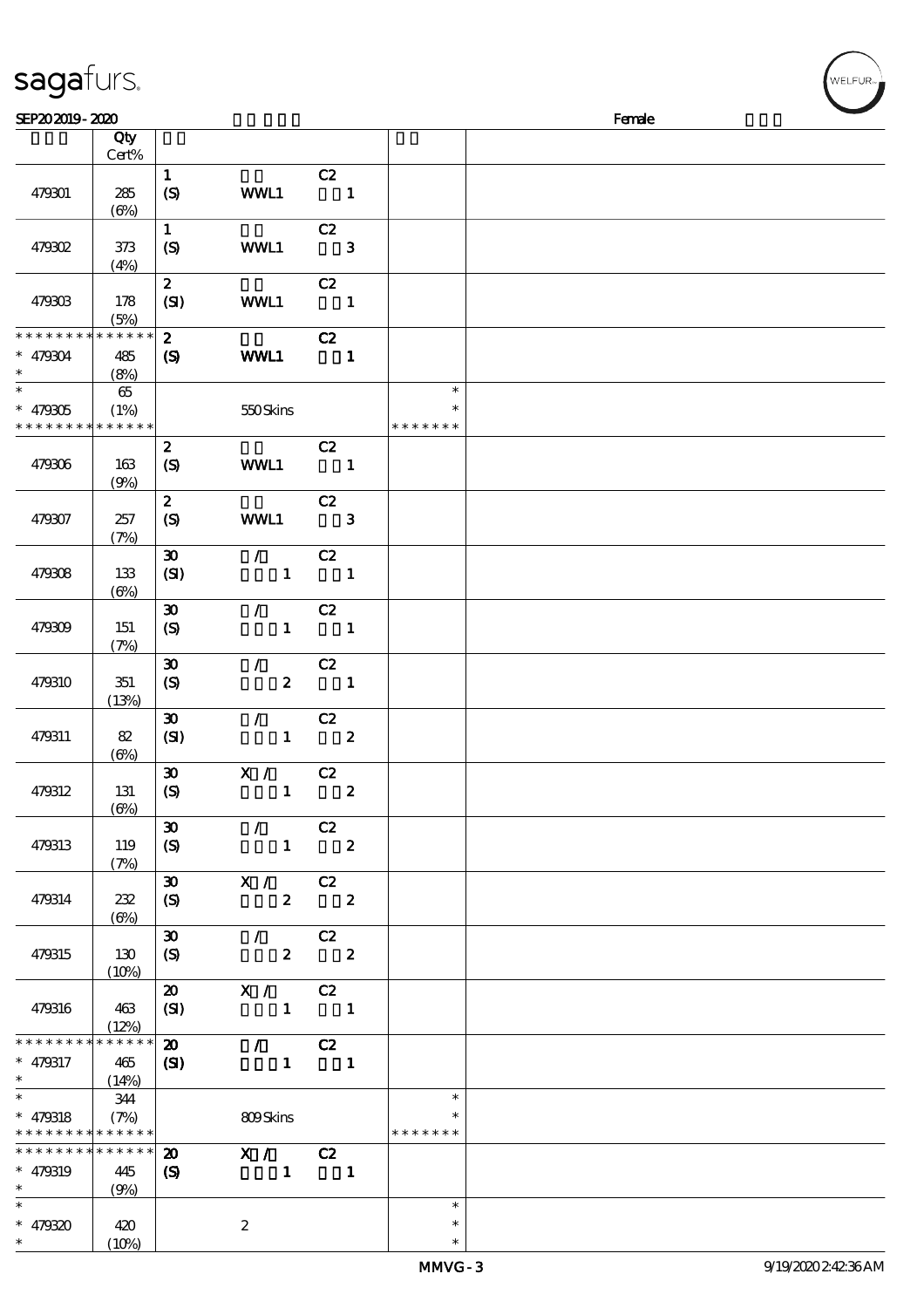| sagafurs.                                           |                             |                                                     |                                                       |                                  |                                   |        | WELFUR <sub>™</sub> |
|-----------------------------------------------------|-----------------------------|-----------------------------------------------------|-------------------------------------------------------|----------------------------------|-----------------------------------|--------|---------------------|
| SEP202019-2020                                      |                             |                                                     |                                                       |                                  |                                   | Female |                     |
|                                                     | Qty<br>Cert%                |                                                     |                                                       |                                  |                                   |        |                     |
| 479301                                              | 285<br>$(\Theta)$           | $\mathbf{1}$<br>(S)                                 | WWL1                                                  | C2<br>$\blacksquare$             |                                   |        |                     |
| 479302                                              | 373<br>(4%)                 | $\mathbf 1$<br>(S)                                  | WWL1                                                  | C2<br>$\overline{\phantom{a}}$ 3 |                                   |        |                     |
| 479303                                              | 178<br>(5%)                 | $\boldsymbol{z}$<br>(SI)                            | WWL1                                                  | C2<br>$\blacksquare$             |                                   |        |                     |
| * * * * * * * *<br>$* 479304$                       | * * * * * *<br>485<br>(8%)  | $\boldsymbol{z}$<br>$\boldsymbol{\mathrm{(S)}}$     | <b>WML1</b>                                           | C2<br>$\mathbf{1}$               |                                   |        |                     |
| $\ast$<br>$* 479305$<br>* * * * * * * *             | 65<br>(1%)<br>* * * * * *   |                                                     | 550Skins                                              |                                  | $\ast$<br>$\ast$<br>* * * * * * * |        |                     |
| 479306                                              | 163<br>(9%)                 | $\boldsymbol{2}$<br>$\boldsymbol{S}$                | WWL1                                                  | C2<br>$\overline{\mathbf{1}}$    |                                   |        |                     |
| 479307                                              | 257<br>(7%)                 | $\boldsymbol{2}$<br>(S)                             | WWL1                                                  | C2<br>$\mathbf{3}$               |                                   |        |                     |
| 479308                                              | 133<br>$(\Theta)$           | $\boldsymbol{\mathfrak{D}}$<br>(SI)                 | $\mathcal{L}$<br>$\mathbf{1}$                         | C2<br>$\overline{\phantom{a}}$   |                                   |        |                     |
| 479309                                              | 151<br>(7%)                 | $\boldsymbol{\mathfrak{D}}$<br>$\boldsymbol{S}$     | $\mathcal{L}$<br>$\mathbf{1}$                         | C2<br>$\overline{\phantom{a}}$   |                                   |        |                     |
| 479310                                              | 351<br>(13%)                | $\pmb{\mathfrak{D}}$<br>$\boldsymbol{\mathrm{(S)}}$ | $\mathcal{L}$<br>$\boldsymbol{z}$                     | C2<br>$\mathbf{1}$               |                                   |        |                     |
| 479311                                              | 82<br>$(\Theta)$            | $\boldsymbol{\mathfrak{D}}$<br>(SI)                 | $\mathcal{L}$<br>$\mathbf{1}$                         | C2<br>$\boldsymbol{2}$           |                                   |        |                     |
| 479312                                              | 131<br>$(\Theta)$           | $\boldsymbol{\mathfrak{D}}$<br>$\boldsymbol{S}$     | X / C2<br>$1 \t 2$                                    |                                  |                                   |        |                     |
| 479313                                              | 119<br>(7%)                 | $\boldsymbol{\mathfrak{D}}$<br>$\boldsymbol{S}$     | $\sqrt{C^2}$                                          | $1 \t 2$                         |                                   |        |                     |
| 479314                                              | 232<br>$(\Theta)$           | $\boldsymbol{\mathfrak{D}}$<br>(S)                  | X / C2                                                | $2 \t2$                          |                                   |        |                     |
| 479315                                              | 130<br>(10%)                | $\boldsymbol{\mathfrak{D}}$<br>(S)                  | $\sqrt{C^2}$<br>$2 \t 2$                              |                                  |                                   |        |                     |
| 479316                                              | 463<br>(12%)                | $\boldsymbol{\mathfrak{D}}$<br>(SI)                 | X / C2<br>$\begin{array}{cccc} 1 & 1 & 1 \end{array}$ |                                  |                                   |        |                     |
| * * * * * * * *<br>$* 479317$<br>$\ast$             | * * * * * *<br>465<br>(14%) | $\boldsymbol{\mathfrak{D}}$<br>(S)                  | $\mathcal{L}$<br>$\blacksquare$                       | C2<br>$\overline{\phantom{a}}$   |                                   |        |                     |
| $\ast$<br>$* 479318$<br>* * * * * * * * * * * * * * | 344<br>(7%)                 |                                                     | 809Skins                                              |                                  | $\ast$<br>$\ast$<br>* * * * * * * |        |                     |
| * * * * * * * * * * * * * *<br>* 479319<br>$*$      | 445<br>(9%)                 | $\boldsymbol{\mathfrak{D}}$<br>$\boldsymbol{S}$     | X / C2<br>$\mathbf{1}$                                | $\sim$ 1                         |                                   |        |                     |
| $\ast$<br>$* 479320$<br>$\ast$                      | 420<br>(10%)                |                                                     | $\boldsymbol{z}$                                      |                                  | $\ast$<br>$\ast$<br>$\ast$        |        |                     |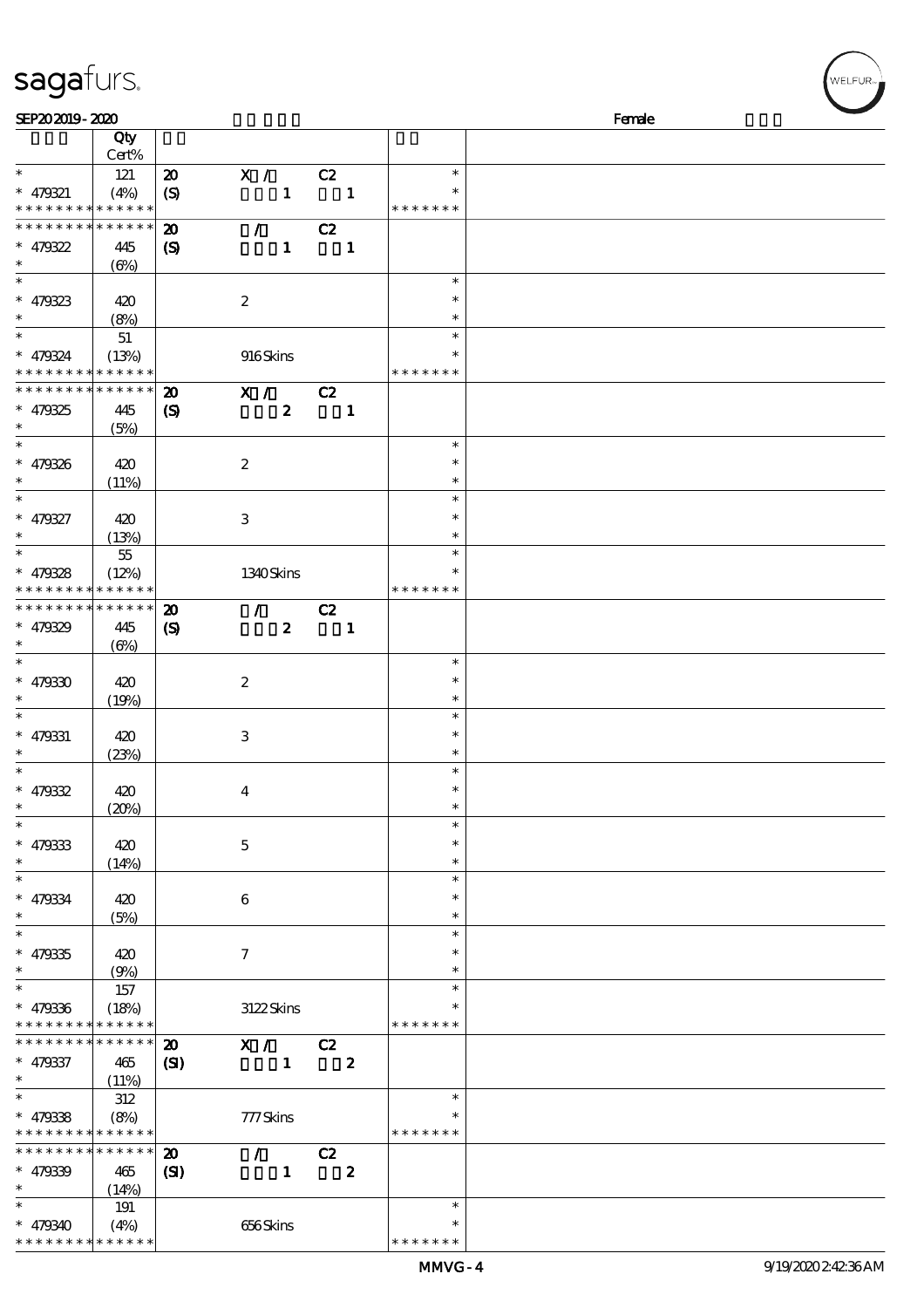|  | sagafurs. |
|--|-----------|
|  |           |

| SEP202019-2020              |             |                             |                                 |                          |                  |               | Female |
|-----------------------------|-------------|-----------------------------|---------------------------------|--------------------------|------------------|---------------|--------|
|                             | Qty         |                             |                                 |                          |                  |               |        |
|                             | Cert%       |                             |                                 |                          |                  |               |        |
| $\ast$                      | 121         | $\boldsymbol{\mathsf{20}}$  | X / C2                          |                          |                  | $\ast$        |        |
| $* 479321$                  | (4%)        |                             | $\mathbf{1}$                    | $\blacksquare$           |                  |               |        |
| * * * * * * * * * * * * * * |             | $\boldsymbol{S}$            |                                 |                          |                  | * * * * * * * |        |
|                             |             |                             |                                 |                          |                  |               |        |
| * * * * * * * *             | * * * * * * | $\boldsymbol{\mathbf{z}}$   | $\mathcal{T}=\mathcal{F}$       | C2                       |                  |               |        |
| $* 479322$                  | 445         | $\boldsymbol{S}$            | $\mathbf{1}$                    | $\overline{\phantom{a}}$ |                  |               |        |
| $\ast$                      | $(\Theta)$  |                             |                                 |                          |                  |               |        |
| $\overline{\phantom{0}}$    |             |                             |                                 |                          |                  | $\ast$        |        |
| $* 479323$                  | 420         |                             | $\boldsymbol{2}$                |                          |                  | $\ast$        |        |
| $\ast$                      |             |                             |                                 |                          |                  | $\ast$        |        |
| $\overline{\phantom{a}^*}$  | (8%)        |                             |                                 |                          |                  |               |        |
|                             | $51\,$      |                             |                                 |                          |                  | $\ast$        |        |
| $* 479324$                  | (13%)       |                             | 916Skins                        |                          |                  | $\ast$        |        |
| * * * * * * * * * * * * * * |             |                             |                                 |                          |                  | * * * * * * * |        |
| * * * * * * * *             | * * * * * * | $\boldsymbol{\mathfrak{D}}$ | X / C2                          |                          |                  |               |        |
| $* 479325$                  | 445         | $\boldsymbol{\mathcal{S}}$  | $\boldsymbol{z}$                |                          | $\mathbf{1}$     |               |        |
| $\ast$                      |             |                             |                                 |                          |                  |               |        |
| $\overline{\phantom{0}}$    | (5%)        |                             |                                 |                          |                  |               |        |
|                             |             |                             |                                 |                          |                  | $\ast$        |        |
| $* 479326$                  | 420         |                             | $\boldsymbol{z}$                |                          |                  | $\ast$        |        |
| $\ast$                      | (11%)       |                             |                                 |                          |                  | $\ast$        |        |
| $\ast$                      |             |                             |                                 |                          |                  | $\ast$        |        |
| $* 479327$                  | 420         |                             | 3                               |                          |                  | $\ast$        |        |
| $\ast$                      | (13%)       |                             |                                 |                          |                  | $\ast$        |        |
| $\overline{\ast}$           |             |                             |                                 |                          |                  | $\ast$        |        |
|                             | $5\!5$      |                             |                                 |                          |                  |               |        |
| $* 479328$                  | (12%)       |                             | 1340Skins                       |                          |                  | ∗             |        |
| * * * * * * * *             | * * * * * * |                             |                                 |                          |                  | * * * * * * * |        |
| * * * * * * * *             | * * * * * * | $\boldsymbol{\mathbf{z}}$   | $\mathcal{F}$ and $\mathcal{F}$ | C2                       |                  |               |        |
| $* 479329$                  | 445         | $\boldsymbol{\mathcal{S}}$  | $\boldsymbol{z}$                | $\overline{\phantom{a}}$ |                  |               |        |
| $\ast$                      |             |                             |                                 |                          |                  |               |        |
| $\ast$                      | $(\Theta)$  |                             |                                 |                          |                  |               |        |
|                             |             |                             |                                 |                          |                  | $\ast$        |        |
| $* 479330$                  | 420         |                             | $\boldsymbol{2}$                |                          |                  | $\ast$        |        |
| $\ast$                      | (19%)       |                             |                                 |                          |                  | $\ast$        |        |
| $\ast$                      |             |                             |                                 |                          |                  | $\ast$        |        |
| $* 479331$                  | 420         |                             | 3                               |                          |                  | $\ast$        |        |
| $\ast$                      | (23%)       |                             |                                 |                          |                  | $\ast$        |        |
| $\ast$                      |             |                             |                                 |                          |                  | $\ast$        |        |
|                             |             |                             |                                 |                          |                  |               |        |
| $* 479332$                  | 420         |                             | $\boldsymbol{4}$                |                          |                  | $\ast$        |        |
| $*$                         | (20%)       |                             |                                 |                          |                  | $\ast$        |        |
| $\ast$                      |             |                             |                                 |                          |                  | $\ast$        |        |
| $* 479333$                  | 420         |                             | $\mathbf{5}$                    |                          |                  | $\ast$        |        |
| $\ast$                      | (14%)       |                             |                                 |                          |                  | $\ast$        |        |
| $\ast$                      |             |                             |                                 |                          |                  | $\ast$        |        |
|                             |             |                             |                                 |                          |                  |               |        |
| $* 479334$                  | 420         |                             | 6                               |                          |                  | $\ast$        |        |
| $\ast$                      | (5%)        |                             |                                 |                          |                  | $\ast$        |        |
| $\ast$                      |             |                             |                                 |                          |                  | $\ast$        |        |
| $* 479335$                  | 420         |                             | $\tau$                          |                          |                  |               |        |
| $\ast$                      | (9%)        |                             |                                 |                          |                  | $\ast$        |        |
| $\ast$                      | 157         |                             |                                 |                          |                  | $\ast$        |        |
|                             |             |                             |                                 |                          |                  |               |        |
| $* 479336$                  | (18%)       |                             | 3122Skins                       |                          |                  |               |        |
| * * * * * * * *             | * * * * * * |                             |                                 |                          |                  | * * * * * * * |        |
| * * * * * * *               | * * * * * * | $\boldsymbol{\mathbf{z}}$   | X /                             | $\overline{C}$           |                  |               |        |
| $* 479337$                  | 465         | $\mathbf{C}$                | $\mathbf{1}$                    |                          | $\boldsymbol{z}$ |               |        |
| $\ast$                      | (11%)       |                             |                                 |                          |                  |               |        |
| $\ast$                      | 312         |                             |                                 |                          |                  | $\ast$        |        |
|                             |             |                             |                                 |                          |                  |               |        |
| $* 479338$                  | (8%)        |                             | 777Skins                        |                          |                  |               |        |
| * * * * * * * *             | * * * * * * |                             |                                 |                          |                  | * * * * * * * |        |
| * * * * * * * *             | * * * * * * | $\boldsymbol{\mathbf{z}}$   | $\mathcal{L}$                   | C2                       |                  |               |        |
| $* 479339$                  | 465         | (S)                         | $\mathbf{1}$                    |                          | $\boldsymbol{z}$ |               |        |
| $\ast$                      | (14%)       |                             |                                 |                          |                  |               |        |
| $\ast$                      | 191         |                             |                                 |                          |                  | $\ast$        |        |
|                             |             |                             |                                 |                          |                  |               |        |
| $* 479340$                  | (4%)        |                             | 656Skins                        |                          |                  |               |        |
| * * * * * * *               | * * * * * * |                             |                                 |                          |                  | * * * * * *   |        |

:<br>ELFUR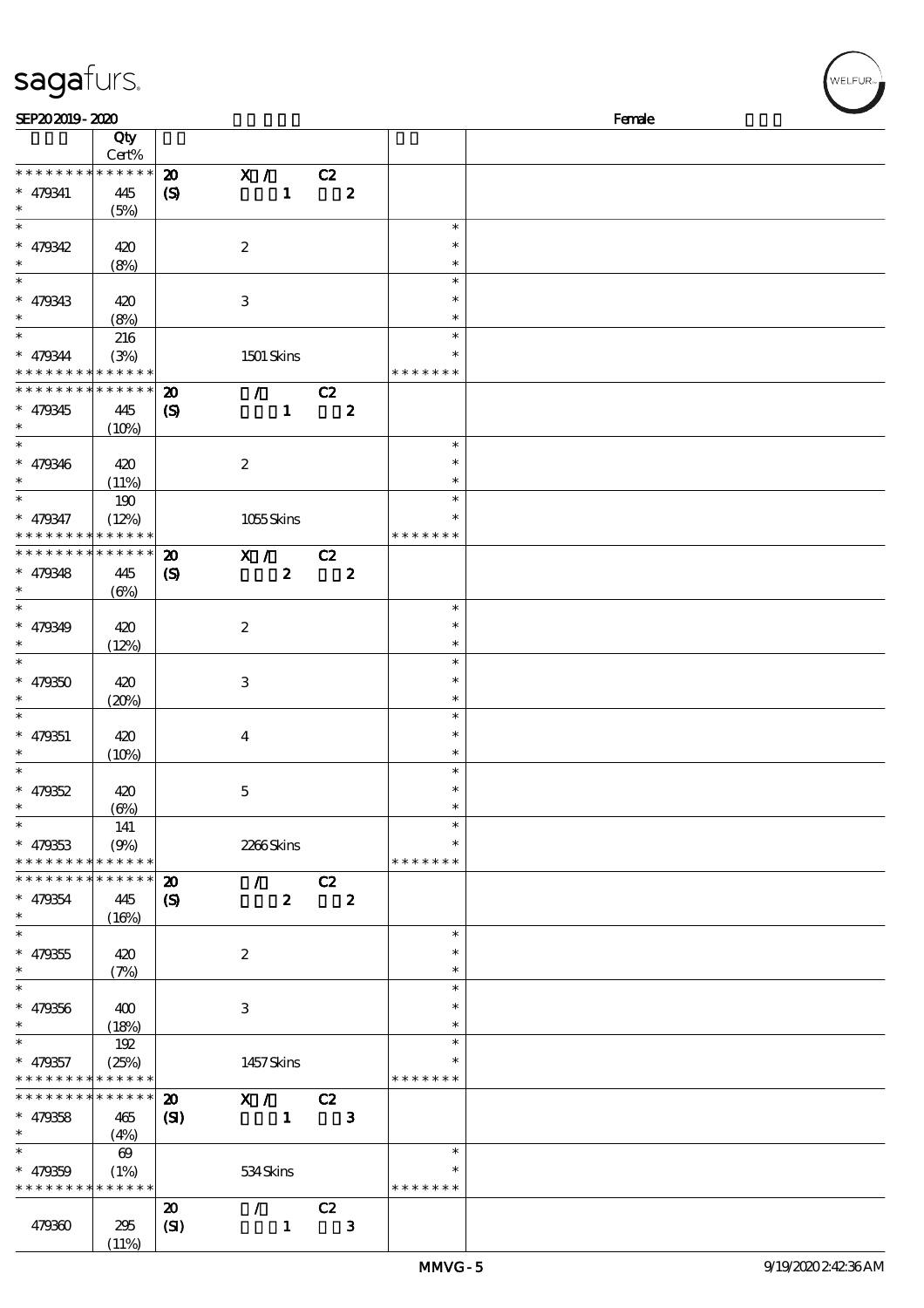## sagafurs.

| SEP202019-2020                                                                  |                               |                                                            |                                 |                  |       |                  |                                      | Female |
|---------------------------------------------------------------------------------|-------------------------------|------------------------------------------------------------|---------------------------------|------------------|-------|------------------|--------------------------------------|--------|
|                                                                                 | Qty<br>Cert%                  |                                                            |                                 |                  |       |                  |                                      |        |
| * * * * * * * * * * * * * *<br>* 479341<br>$\ast$                               | 445<br>(5%)                   | $\boldsymbol{\mathfrak{D}}$<br>$\boldsymbol{\mathrm{(S)}}$ | X / C2                          | $\mathbf{1}$     |       | $\boldsymbol{z}$ |                                      |        |
| $\ast$<br>$* 479342$<br>$\ast$                                                  | 420<br>(8%)                   |                                                            | $\boldsymbol{2}$                |                  |       |                  | $\ast$<br>$\ast$<br>$\ast$           |        |
| $\ast$<br>$* 479343$<br>$\ast$<br>$\ast$                                        | 420<br>(8%)                   |                                                            | $\,3$                           |                  |       |                  | $\ast$<br>$\ast$<br>$\ast$<br>$\ast$ |        |
| $* 479344$<br>* * * * * * * * * * * * * *                                       | 216<br>(3%)                   |                                                            | <b>1501 Skins</b>               |                  |       |                  | $\ast$<br>* * * * * * *              |        |
| * * * * * * * * * * * * * *<br>$* 479345$<br>$\ast$                             | 445<br>(10%)                  | $\boldsymbol{\mathbf{z}}$<br>$\boldsymbol{S}$              | $\mathcal{L}$ and $\mathcal{L}$ | $\mathbf{1}$     | C2    | $\bf{z}$         |                                      |        |
| $\ast$<br>$* 479346$<br>$\ast$                                                  | 420<br>(11%)                  |                                                            | $\boldsymbol{2}$                |                  |       |                  | $\ast$<br>$\ast$<br>$\ast$           |        |
| $\overline{\ast}$<br>$* 479347$<br>* * * * * * * * * * * * * *                  | 190<br>(12%)                  |                                                            | 1055Skins                       |                  |       |                  | $\ast$<br>$\ast$<br>* * * * * * *    |        |
| * * * * * * * * * * * * * *<br>$* 479348$<br>$\ast$<br>$\overline{\phantom{0}}$ | 445<br>$(\Theta)$             | $\boldsymbol{\mathfrak{D}}$<br>$\boldsymbol{\mathcal{S}}$  | X /                             | $\boldsymbol{z}$ | $-cz$ | $\bf{z}$         |                                      |        |
| $* 479349$<br>$\ast$<br>$\ast$                                                  | 420<br>(12%)                  |                                                            | $\boldsymbol{2}$                |                  |       |                  | $\ast$<br>$\ast$<br>$\ast$<br>$\ast$ |        |
| $* 479350$<br>$\ast$<br>$\ast$                                                  | 420<br>(20%)                  |                                                            | $\ensuremath{\mathsf{3}}$       |                  |       |                  | $\ast$<br>$\ast$<br>$\ast$           |        |
| $* 479351$<br>$\ast$<br>$\ast$                                                  | 420<br>(10%)                  |                                                            | $\overline{\mathbf{4}}$         |                  |       |                  | $\ast$<br>$\ast$<br>$\ast$           |        |
| $* 479352$<br>$\ast$<br>$\overline{\phantom{a}^*}$                              | 420<br>(6%)                   |                                                            | $\mathbf 5$                     |                  |       |                  | $\ast$<br>$\ast$<br>$\ast$           |        |
| $* 479353$<br>* * * * * * * * * * * * * *                                       | 141<br>(9%)                   |                                                            | 2266Skins                       |                  |       |                  | $\ast$<br>* * * * * * *              |        |
| * * * * * * * * <mark>* * * * * * *</mark><br>$* 479354$<br>$\ast$              | 445<br>(16%)                  | $\boldsymbol{\mathfrak{D}}$<br>$\boldsymbol{\mathcal{S}}$  | $\mathcal{L}$                   | $\boldsymbol{z}$ | C2    | $\boldsymbol{z}$ |                                      |        |
| $\ast$<br>$* 479355$<br>$\ast$                                                  | 420<br>(7%)                   |                                                            | $\boldsymbol{2}$                |                  |       |                  | $\ast$<br>$\ast$<br>$\ast$           |        |
| $\ast$<br>$* 479356$<br>$\ast$                                                  | 400<br>(18%)                  |                                                            | 3                               |                  |       |                  | $\ast$<br>$\ast$<br>$\ast$           |        |
| $\ast$<br>$* 479357$<br>* * * * * * * * * * * * * *                             | 192<br>(25%)                  |                                                            | 1457Skins                       |                  |       |                  | $\ast$<br>$\ast$<br>* * * * * * *    |        |
| * * * * * * * * * * * * * *<br>$* 479358$<br>$\ast$                             | 465<br>(4%)                   | $\boldsymbol{\mathfrak{D}}$<br>(SI)                        | $\mathbf{X}$ /                  | $\mathbf{1}$     | C2    | $\mathbf{3}$     |                                      |        |
| $\ast$<br>$* 479359$<br>* * * * * * * * * * * * * *                             | $\boldsymbol{\omega}$<br>(1%) |                                                            | 534Skins                        |                  |       |                  | $\ast$<br>$\ast$<br>* * * * * * *    |        |
| 479360                                                                          | 295<br>(11%)                  | $\boldsymbol{\mathfrak{D}}$<br>(SI)                        | $\mathcal{L}$                   | $\mathbf{1}$     | C2    | $\mathbf{3}$     |                                      |        |

r<br>WELFUR<sub>™</sub>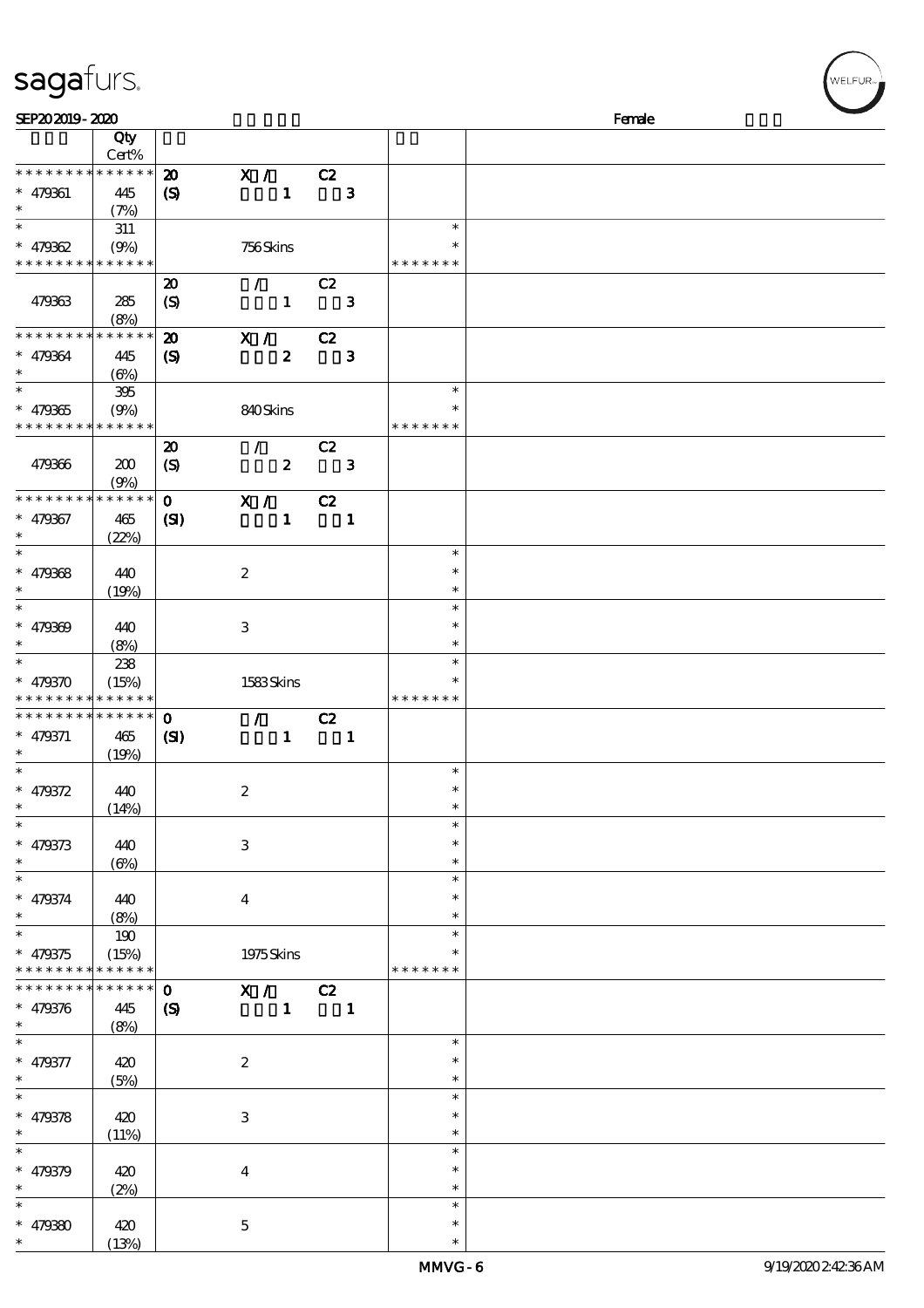## sagafurs.

| SEP202019-2020              |             |                             |                           |                                 |                          |              |               | Female |
|-----------------------------|-------------|-----------------------------|---------------------------|---------------------------------|--------------------------|--------------|---------------|--------|
|                             | Qty         |                             |                           |                                 |                          |              |               |        |
|                             | Cert%       |                             |                           |                                 |                          |              |               |        |
| * * * * * * * * * * * * * * |             | $\boldsymbol{\mathfrak{D}}$ | X / C2                    |                                 |                          |              |               |        |
| $* 479361$                  | 445         | $\boldsymbol{\mathrm{(S)}}$ |                           | $\mathbf{1}$                    |                          | $\mathbf{3}$ |               |        |
| $\ast$                      | (7%)        |                             |                           |                                 |                          |              |               |        |
| $\ast$                      | 311         |                             |                           |                                 |                          |              | $\ast$        |        |
| $* 479362$                  | (9%)        |                             | 756Skins                  |                                 |                          |              | $\ast$        |        |
| * * * * * * * * * * * * * * |             |                             |                           |                                 |                          |              | * * * * * * * |        |
|                             |             | $\boldsymbol{\mathbf{z}}$   |                           | $\mathcal{L}$ and $\mathcal{L}$ | C2                       |              |               |        |
| 479363                      | 285         | $\boldsymbol{S}$            |                           | $\mathbf{1}$                    |                          | $\mathbf{3}$ |               |        |
|                             | (8%)        |                             |                           |                                 |                          |              |               |        |
| * * * * * * * *             | * * * * * * | $\boldsymbol{\mathfrak{D}}$ | X /                       |                                 | C2                       |              |               |        |
| $* 479364$                  | 445         | (S)                         |                           | $\boldsymbol{z}$                |                          | $\mathbf{3}$ |               |        |
| $\ast$                      | $(\Theta)$  |                             |                           |                                 |                          |              |               |        |
| $\overline{\phantom{0}}$    | 395         |                             |                           |                                 |                          |              | $\ast$        |        |
| $* 479365$                  | (9%)        |                             | 840Skins                  |                                 |                          |              | $\ast$        |        |
| * * * * * * * * * * * * * * |             |                             |                           |                                 |                          |              | * * * * * * * |        |
|                             |             | $\boldsymbol{\mathbf{z}}$   | $\mathcal{F}$             |                                 | C2                       |              |               |        |
| 479366                      | 200         | $\boldsymbol{S}$            |                           | $\boldsymbol{z}$                |                          | $\mathbf{3}$ |               |        |
|                             | (9%)        |                             |                           |                                 |                          |              |               |        |
| * * * * * * * *             | * * * * * * | $\mathbf{o}$                | $\overline{\mathbf{x}}$ / |                                 | C2                       |              |               |        |
| $* 479367$                  | 465         | $\mathbf{S}$                |                           | $\mathbf{1}$                    |                          | $\mathbf{1}$ |               |        |
| $\ast$                      | (22%)       |                             |                           |                                 |                          |              |               |        |
| $\ast$                      |             |                             |                           |                                 |                          |              | $\ast$        |        |
| $* 479368$                  | 440         |                             | $\boldsymbol{2}$          |                                 |                          |              | $\ast$        |        |
| $\ast$                      | (19%)       |                             |                           |                                 |                          |              | $\ast$        |        |
| $\ast$                      |             |                             |                           |                                 |                          |              | $\ast$        |        |
| $* 479309$                  | 440         |                             | 3                         |                                 |                          |              | $\ast$        |        |
| $\ast$                      | (8%)        |                             |                           |                                 |                          |              | $\ast$        |        |
| $\ast$                      | 238         |                             |                           |                                 |                          |              | $\ast$        |        |
| $* 479370$                  | (15%)       |                             | 1583Skins                 |                                 |                          |              |               |        |
| * * * * * * * *             | * * * * * * |                             |                           |                                 |                          |              | * * * * * * * |        |
| * * * * * * * *             | * * * * * * | $\mathbf 0$                 |                           | $\mathcal{L}$ and $\mathcal{L}$ | C2                       |              |               |        |
| $* 479371$                  | 465         | $\mathbf{S}$                |                           | $\mathbf{1}$                    | $\overline{\phantom{a}}$ |              |               |        |
| $\ast$                      | (19%)       |                             |                           |                                 |                          |              |               |        |
| $\ast$                      |             |                             |                           |                                 |                          |              | $\ast$        |        |
| $* 479372$                  | 440         |                             | $\boldsymbol{2}$          |                                 |                          |              | $\ast$        |        |
| $\ast$                      | (14%)       |                             |                           |                                 |                          |              |               |        |
| $\ast$                      |             |                             |                           |                                 |                          |              | $\ast$        |        |
| $* 479373$                  | 440         |                             | $\ensuremath{\mathbf{3}}$ |                                 |                          |              | $\ast$        |        |
| $\ast$                      | $(\Theta)$  |                             |                           |                                 |                          |              | $\ast$        |        |
| $\ast$                      |             |                             |                           |                                 |                          |              | $\ast$        |        |
| $* 479374$                  | 440         |                             | $\boldsymbol{4}$          |                                 |                          |              | $\ast$        |        |
| $\ast$                      | (8%)        |                             |                           |                                 |                          |              | $\ast$        |        |
| $\overline{\phantom{0}}$    | 190         |                             |                           |                                 |                          |              | $\ast$        |        |
| $* 479375$                  | (15%)       |                             | 1975Skins                 |                                 |                          |              |               |        |
| * * * * * * * *             | * * * * * * |                             |                           |                                 |                          |              | * * * * * * * |        |
| * * * * * * *               | * * * * * * | $\mathbf{0}$                | X / C2                    |                                 |                          |              |               |        |
| $* 479376$                  | 445         | $\boldsymbol{S}$            |                           |                                 | $1 \quad 1$              |              |               |        |
| $\ast$                      | (8%)        |                             |                           |                                 |                          |              |               |        |
| $\ast$                      |             |                             |                           |                                 |                          |              | $\ast$        |        |
| $* 479377$                  | 420         |                             | $\boldsymbol{2}$          |                                 |                          |              | $\ast$        |        |
| $\ast$                      | (5%)        |                             |                           |                                 |                          |              | $\ast$        |        |
| $\overline{\ast}$           |             |                             |                           |                                 |                          |              | $\ast$        |        |
| $* 479378$                  | 420         |                             | $\ensuremath{\mathbf{3}}$ |                                 |                          |              | $\ast$        |        |
| $\ast$                      | (11%)       |                             |                           |                                 |                          |              | $\ast$        |        |
| $\ast$                      |             |                             |                           |                                 |                          |              | $\ast$        |        |
| $* 479379$                  | 420         |                             | $\bf{4}$                  |                                 |                          |              | $\ast$        |        |
| $\ast$                      | (2%)        |                             |                           |                                 |                          |              | $\ast$        |        |
| $\ast$                      |             |                             |                           |                                 |                          |              | $\ast$        |        |
| $* 479300$                  | 420         |                             | $\mathbf{5}$              |                                 |                          |              | $\ast$        |        |
| $\ast$                      | (13%)       |                             |                           |                                 |                          |              | $\ast$        |        |

WELFUR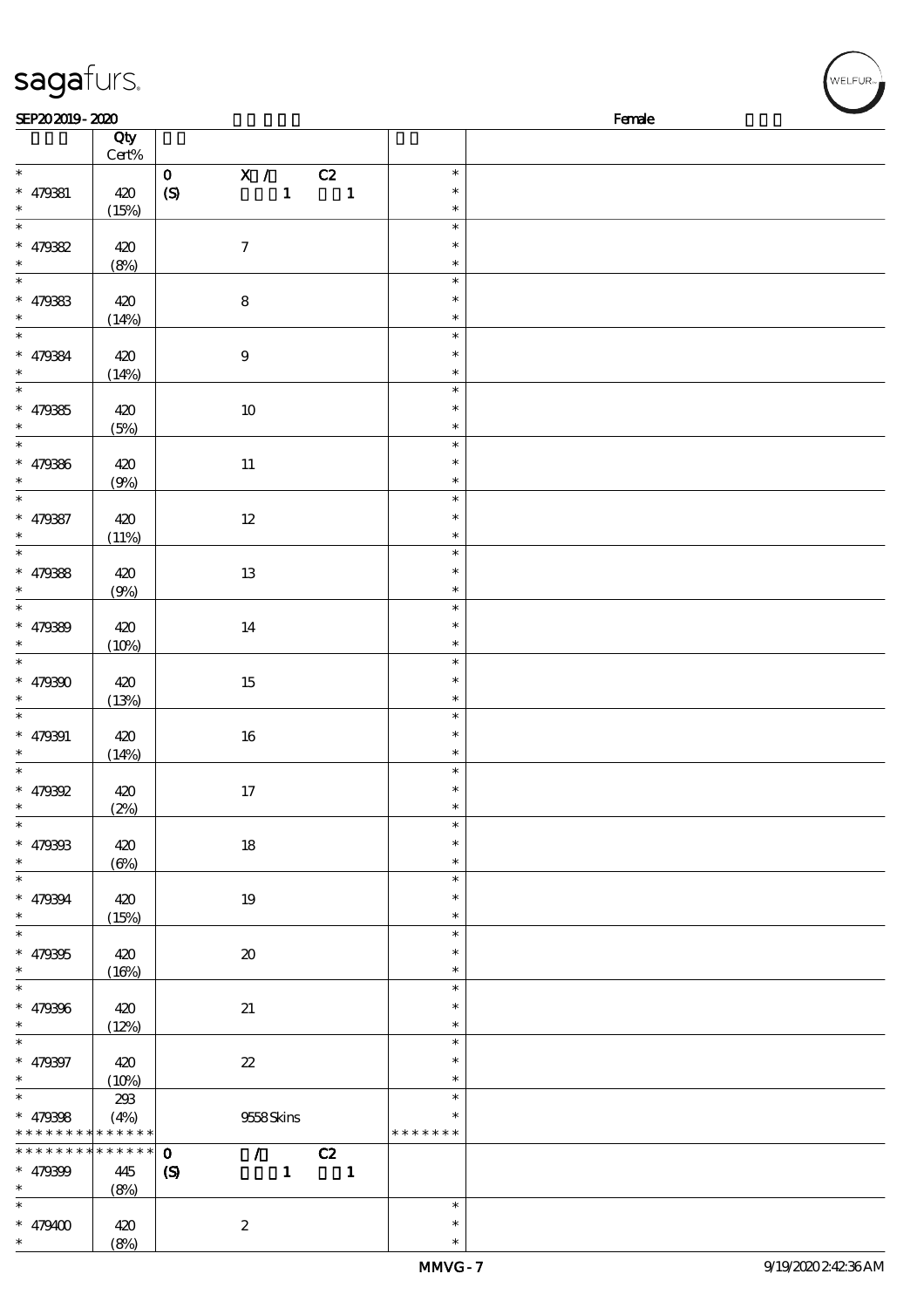| sagafurs.                                           |                   |                                                                                                                                                                                                                                                                                                                                                                                                                                                                                                                                                                          |                                   | WELFUR <sub>™I</sub> |
|-----------------------------------------------------|-------------------|--------------------------------------------------------------------------------------------------------------------------------------------------------------------------------------------------------------------------------------------------------------------------------------------------------------------------------------------------------------------------------------------------------------------------------------------------------------------------------------------------------------------------------------------------------------------------|-----------------------------------|----------------------|
| SEP202019-2020                                      |                   |                                                                                                                                                                                                                                                                                                                                                                                                                                                                                                                                                                          |                                   | Female               |
|                                                     | Qty<br>$Cert\%$   |                                                                                                                                                                                                                                                                                                                                                                                                                                                                                                                                                                          |                                   |                      |
| $\ast$<br>$* 479381$<br>$\ast$                      | 420<br>(15%)      | X / C2<br>$\mathbf 0$<br>$\mathbf{1}$<br>$\mathbf{1}$<br>$\boldsymbol{S}$                                                                                                                                                                                                                                                                                                                                                                                                                                                                                                | $\ast$<br>$\ast$<br>$\ast$        |                      |
| $\ast$<br>$* 479382$<br>$\ast$                      | 420<br>(8%)       | $\boldsymbol{\tau}$                                                                                                                                                                                                                                                                                                                                                                                                                                                                                                                                                      | $\ast$<br>$\ast$<br>$\ast$        |                      |
| $\overline{\phantom{0}}$<br>$* 479333$<br>$\ast$    | 420<br>(14%)      | ${\bf 8}$                                                                                                                                                                                                                                                                                                                                                                                                                                                                                                                                                                | $\ast$<br>$\ast$<br>$\ast$        |                      |
| $\overline{\phantom{a}}$<br>$* 479384$              | 420<br>(14%)      | $\boldsymbol{9}$                                                                                                                                                                                                                                                                                                                                                                                                                                                                                                                                                         | $\ast$<br>$\ast$<br>$\ast$        |                      |
| $\ast$<br>$* 479385$<br>$\ast$                      | 420<br>(5%)       | $10\,$                                                                                                                                                                                                                                                                                                                                                                                                                                                                                                                                                                   | $\ast$<br>$\ast$<br>$\ast$        |                      |
| $\ast$<br>$* 479366$<br>$\ast$                      | 420<br>(9%)       | $11\,$                                                                                                                                                                                                                                                                                                                                                                                                                                                                                                                                                                   | $\ast$<br>$\ast$<br>$\ast$        |                      |
| $\ast$<br>$* 479387$<br>$\ast$                      | 420<br>(11%)      | $12\,$                                                                                                                                                                                                                                                                                                                                                                                                                                                                                                                                                                   | $\ast$<br>$\ast$<br>$\ast$        |                      |
| $\ast$<br>$* 479388$<br>$\ast$                      | 420<br>(9%)       | $1\!3$                                                                                                                                                                                                                                                                                                                                                                                                                                                                                                                                                                   | $\ast$<br>$\ast$<br>$\ast$        |                      |
| $\ast$<br>$* 479389$                                | 420<br>(10%)      | 14                                                                                                                                                                                                                                                                                                                                                                                                                                                                                                                                                                       | $\ast$<br>$\ast$<br>$\ast$        |                      |
| $\ast$<br>$* 479300$                                | 420<br>(13%)      | 15                                                                                                                                                                                                                                                                                                                                                                                                                                                                                                                                                                       | $\ast$<br>$\ast$<br>$\ast$        |                      |
| $\ast$<br>$* 479391$<br>$\ast$                      | 420<br>(14%)      | $16\,$                                                                                                                                                                                                                                                                                                                                                                                                                                                                                                                                                                   | $\ast$<br>$\ast$<br>$\ast$        |                      |
| $\ast$<br>$* 479392$<br>$\ast$                      | 420<br>(2%)       | 17                                                                                                                                                                                                                                                                                                                                                                                                                                                                                                                                                                       | $\ast$<br>$\ast$<br>$\ast$        |                      |
| $\ast$<br>$* 479303$<br>$\ast$                      | 420<br>$(\Theta)$ | $18\,$                                                                                                                                                                                                                                                                                                                                                                                                                                                                                                                                                                   | $\ast$<br>∗<br>$\ast$             |                      |
| $\ast$<br>$* 479394$<br>$\ast$<br>$\ast$            | 420<br>(15%)      | 19                                                                                                                                                                                                                                                                                                                                                                                                                                                                                                                                                                       | $\ast$<br>$\ast$<br>$\ast$        |                      |
| $* 479305$<br>$\ast$<br>$\overline{\phantom{0}}$    | 420<br>(16%)      | $\boldsymbol{\boldsymbol{\lambda}}$                                                                                                                                                                                                                                                                                                                                                                                                                                                                                                                                      | $\ast$<br>$\ast$<br>$\ast$        |                      |
| $* 479396$<br>$\ast$<br>$\ast$                      | 420<br>(12%)      | 21                                                                                                                                                                                                                                                                                                                                                                                                                                                                                                                                                                       | $\ast$<br>$\ast$<br>$\ast$        |                      |
| $* 479397$<br>$\ast$                                | 420<br>(10%)      | $\pmb{\mathcal{Z}}$                                                                                                                                                                                                                                                                                                                                                                                                                                                                                                                                                      | $\ast$<br>$\ast$<br>$\ast$        |                      |
| $\ast$<br>$* 479368$<br>* * * * * * * * * * * * * * | 293<br>(4%)       | 9558Skins                                                                                                                                                                                                                                                                                                                                                                                                                                                                                                                                                                | $\ast$<br>$\ast$<br>* * * * * * * |                      |
| * * * * * * * * * * * * * *<br>$* 479399$<br>$\ast$ | 445<br>(8%)       | $\overline{\phantom{a}}$ $\overline{\phantom{a}}$ $\overline{\phantom{a}}$ $\overline{\phantom{a}}$ $\overline{\phantom{a}}$ $\overline{\phantom{a}}$ $\overline{\phantom{a}}$ $\overline{\phantom{a}}$ $\overline{\phantom{a}}$ $\overline{\phantom{a}}$ $\overline{\phantom{a}}$ $\overline{\phantom{a}}$ $\overline{\phantom{a}}$ $\overline{\phantom{a}}$ $\overline{\phantom{a}}$ $\overline{\phantom{a}}$ $\overline{\phantom{a}}$ $\overline{\phantom{a}}$ $\overline{\$<br>$\mathbf 0$<br>$\mathbf{1}$<br>$\overline{\phantom{a}}$<br>$\boldsymbol{\mathcal{S}}$ |                                   |                      |
| $\overline{\ast}$                                   |                   |                                                                                                                                                                                                                                                                                                                                                                                                                                                                                                                                                                          | $\ast$                            |                      |

\* \* 479400 420

(8%)

2

WELFUR<sub><sup>N</sup></sub>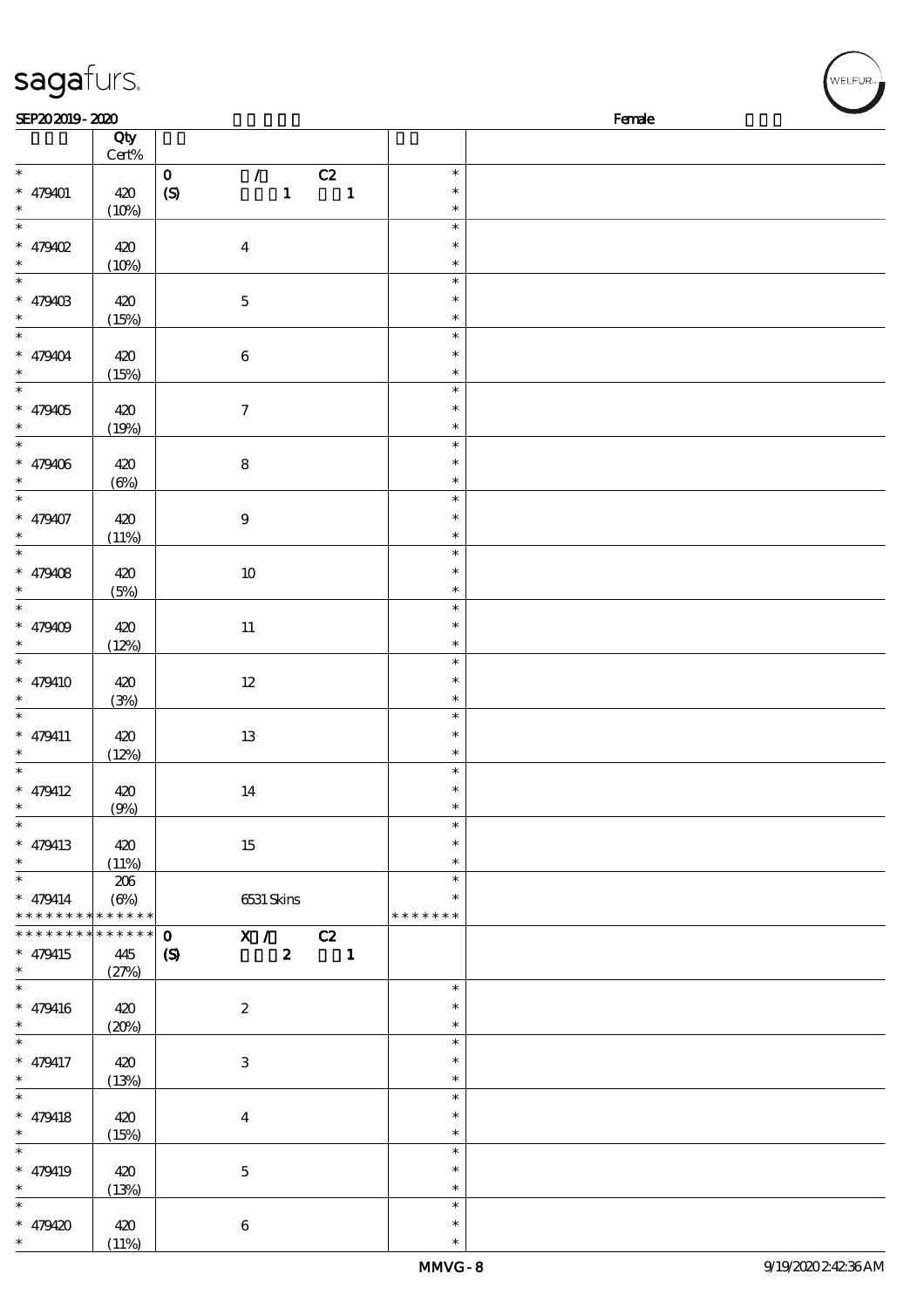| sagafurs.                   |              |                                                 |                          |               |        | WELFUR <sub>"</sub> |
|-----------------------------|--------------|-------------------------------------------------|--------------------------|---------------|--------|---------------------|
| SEP202019-2020              |              |                                                 |                          |               | Female |                     |
|                             | Qty          |                                                 |                          |               |        |                     |
|                             | Cert%        |                                                 |                          |               |        |                     |
| $\overline{\phantom{0}}$    |              | $\mathbf O$<br>$\mathcal{L} = \mathcal{L}$      | C2                       | $\ast$        |        |                     |
| $* 479401$                  | 420          | $\mathbf{1}$<br>(S)                             | $\overline{\phantom{a}}$ | $\ast$        |        |                     |
| $\ast$                      | (10%)        |                                                 |                          | $\ast$        |        |                     |
| $_{*}$                      |              |                                                 |                          | $\ast$        |        |                     |
| $* 479402$                  | 420          | $\boldsymbol{4}$                                |                          | $\ast$        |        |                     |
| $\ast$                      | (10%)        |                                                 |                          | $\ast$        |        |                     |
| $\overline{\phantom{a}^*}$  |              |                                                 |                          | $\ast$        |        |                     |
| $* 47940B$                  | 420          | $\bf 5$                                         |                          | $\ast$        |        |                     |
| $\ast$                      |              |                                                 |                          | $\ast$        |        |                     |
| $\overline{\ast}$           | (15%)        |                                                 |                          | $\ast$        |        |                     |
|                             |              |                                                 |                          |               |        |                     |
| $* 479404$                  | 420          | $\bf 6$                                         |                          | $\ast$        |        |                     |
| $\ast$                      | (15%)        |                                                 |                          | $\ast$        |        |                     |
| $\ast$                      |              |                                                 |                          | $\ast$        |        |                     |
| $* 479405$                  | 420          | $\boldsymbol{7}$                                |                          | $\ast$        |        |                     |
| $\ast$                      | (19%)        |                                                 |                          | $\ast$        |        |                     |
| $\ast$                      |              |                                                 |                          | $\ast$        |        |                     |
| $* 479406$                  | 420          | ${\bf 8}$                                       |                          | $\ast$        |        |                     |
| $\ast$                      | $(\Theta)$   |                                                 |                          | $\ast$        |        |                     |
| $\ast$                      |              |                                                 |                          | $\ast$        |        |                     |
| $* 479407$                  | 420          | $\boldsymbol{9}$                                |                          | $\ast$        |        |                     |
| $\ast$                      | (11%)        |                                                 |                          | $\ast$        |        |                     |
| $\ast$                      |              |                                                 |                          | $\ast$        |        |                     |
| $* 479408$                  | 420          | $10\,$                                          |                          | $\ast$        |        |                     |
| $\ast$                      | (5%)         |                                                 |                          | $\ast$        |        |                     |
| $\ast$                      |              |                                                 |                          | $\ast$        |        |                     |
| $* 479409$                  | 420          | $11\,$                                          |                          | $\ast$        |        |                     |
| $\ast$                      | (12%)        |                                                 |                          | $\ast$        |        |                     |
| $\ast$                      |              |                                                 |                          | $\ast$        |        |                     |
|                             |              |                                                 |                          | $\ast$        |        |                     |
| $* 479410$                  | 420          | $12\,$                                          |                          |               |        |                     |
|                             | (3%)         |                                                 |                          | $\ast$        |        |                     |
| $\ast$                      |              |                                                 |                          | $\ast$        |        |                     |
| $* 479411$                  | 420          | $13\,$                                          |                          | $\ast$        |        |                     |
| $\ast$                      | (12%)        |                                                 |                          | $\ast$        |        |                     |
| $\ast$                      |              |                                                 |                          | $\ast$        |        |                     |
| $* 479412$                  | 420          | 14                                              |                          | $\ast$        |        |                     |
| $\ast$                      | (9%)         |                                                 |                          | $\ast$        |        |                     |
| $\ast$                      |              |                                                 |                          | $\ast$        |        |                     |
| * $479413$                  | 420          | 15                                              |                          | *             |        |                     |
| $\ast$                      | (11%)        |                                                 |                          | $\ast$        |        |                     |
| $\ast$                      | 206          |                                                 |                          | $\ast$        |        |                     |
| $* 479414$                  | $(\Theta\%)$ | 6531 Skins                                      |                          | $\ast$        |        |                     |
| * * * * * * * * * * * * * * |              |                                                 |                          | * * * * * * * |        |                     |
| * * * * * * * *             | * * * * * *  | X / C2<br>$\mathbf{o}$                          |                          |               |        |                     |
| $* 479415$                  | 445          | $\boldsymbol{z}$<br>$\boldsymbol{\mathsf{(S)}}$ | $\blacksquare$           |               |        |                     |
| $\ast$                      | (27%)        |                                                 |                          |               |        |                     |
| $\overline{\phantom{0}}$    |              |                                                 |                          | $\ast$        |        |                     |
| $* 479416$                  |              | $\boldsymbol{2}$                                |                          | $\ast$        |        |                     |
| $\ast$                      | 420          |                                                 |                          | $\ast$        |        |                     |
| $\ast$                      | (20%)        |                                                 |                          | $\ast$        |        |                     |
|                             |              |                                                 |                          |               |        |                     |
| $* 479417$                  | 420          | $\,3$                                           |                          | $\ast$        |        |                     |
| $\ast$                      | (13%)        |                                                 |                          | $\ast$        |        |                     |
| $\ast$                      |              |                                                 |                          | $\ast$        |        |                     |
| $* 479418$                  | 420          | $\bf{4}$                                        |                          | $\ast$        |        |                     |
| $\ast$                      | (15%)        |                                                 |                          | $\ast$        |        |                     |
| $\overline{\phantom{0}}$    |              |                                                 |                          | $\ast$        |        |                     |
| * 479419                    | 420          | $\bf 5$                                         |                          | $\ast$        |        |                     |
| $\ast$                      | (13%)        |                                                 |                          | $\ast$        |        |                     |
| $\ast$                      |              |                                                 |                          | $\ast$        |        |                     |
| $* 479420$                  | 420          | $\,6\,$                                         |                          | $\ast$        |        |                     |
|                             |              |                                                 |                          |               |        |                     |

 $(11%)$ 

\*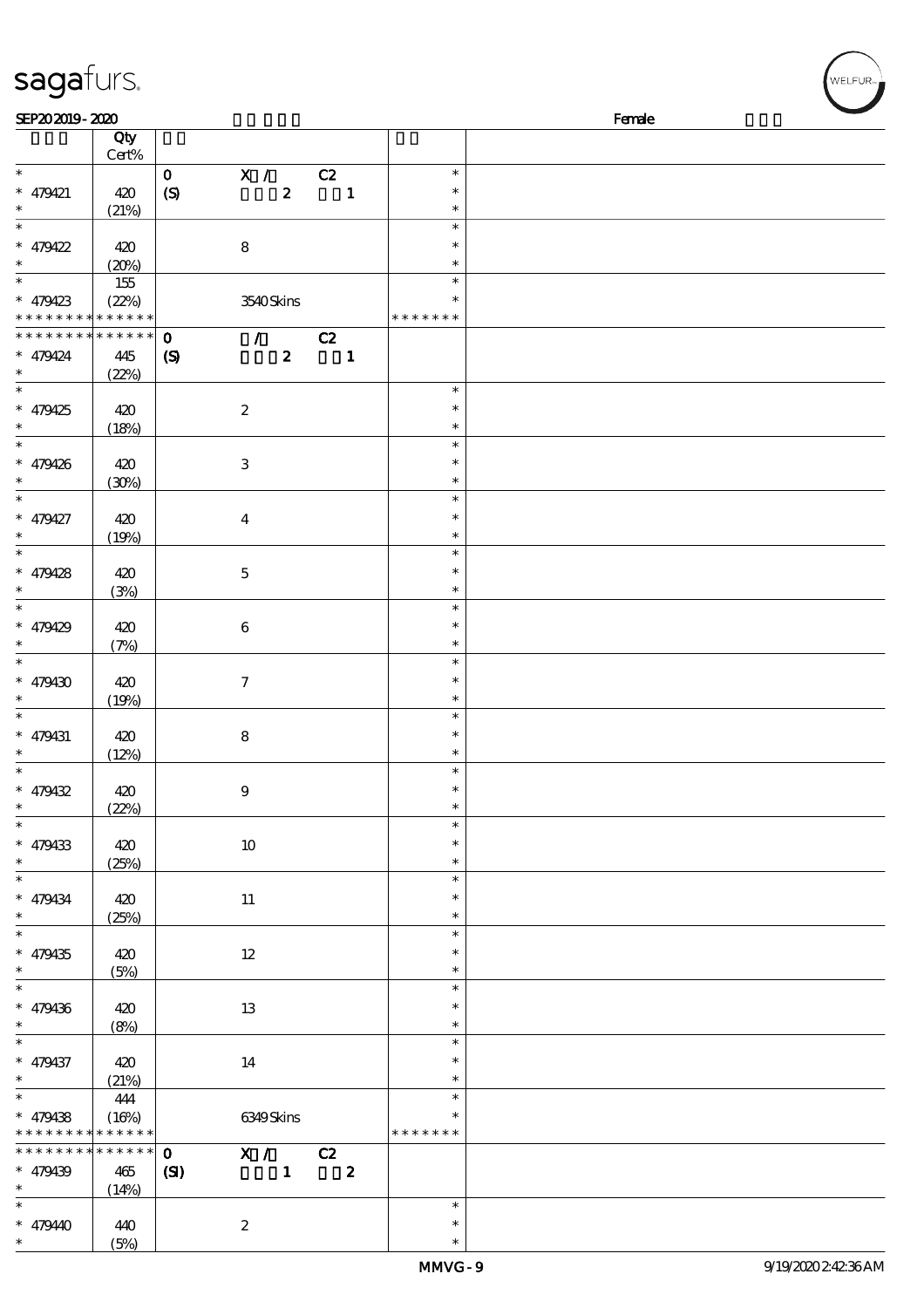| SEP202019-2020    |             |                                                 |                |                         |               | Female |
|-------------------|-------------|-------------------------------------------------|----------------|-------------------------|---------------|--------|
|                   | Qty         |                                                 |                |                         |               |        |
|                   | Cert%       |                                                 |                |                         |               |        |
| $*$               |             | X /<br>$\mathbf{o}$                             | C2             |                         | $\ast$        |        |
| * 479421          | 420         | (S)<br>$\boldsymbol{z}$                         |                | $\mathbf{1}$            | $\ast$        |        |
| $\ast$            |             |                                                 |                |                         | $\ast$        |        |
|                   | (21%)       |                                                 |                |                         |               |        |
| $\overline{\ast}$ |             |                                                 |                |                         | $\ast$        |        |
| * $479422$        | 420         | ${\bf 8}$                                       |                |                         | $\ast$        |        |
| $\ast$            | (20%)       |                                                 |                |                         | $\ast$        |        |
| $\overline{\ast}$ | 155         |                                                 |                |                         | $\ast$        |        |
| * $479423$        | (22%)       | 3540Skins                                       |                |                         | *             |        |
| * * * * * * * *   | * * * * * * |                                                 |                |                         | * * * * * * * |        |
| * * * * * * * *   | * * * * * * |                                                 |                |                         |               |        |
|                   |             | $\mathcal{L}$<br>$\mathbf{o}$                   | C2             |                         |               |        |
| $* 479424$        | 445         | $\boldsymbol{z}$<br>$\boldsymbol{\mathrm{(S)}}$ | $\blacksquare$ |                         |               |        |
| $\ast$            | (22%)       |                                                 |                |                         |               |        |
| $\overline{\ast}$ |             |                                                 |                |                         | $\ast$        |        |
| $* 479425$        | 420         | $\boldsymbol{2}$                                |                |                         | $\ast$        |        |
| $\ast$            | (18%)       |                                                 |                |                         | $\ast$        |        |
| $\overline{\ast}$ |             |                                                 |                |                         | $\ast$        |        |
|                   |             |                                                 |                |                         |               |        |
| * 479426          | 420         | $\,3$                                           |                |                         | $\ast$        |        |
| $\ast$            | (30%)       |                                                 |                |                         | $\ast$        |        |
| $\overline{\ast}$ |             |                                                 |                |                         | $\ast$        |        |
| * 479427          | 420         | $\boldsymbol{4}$                                |                |                         | $\ast$        |        |
| $\ast$            | (19%)       |                                                 |                |                         | $\ast$        |        |
|                   |             |                                                 |                |                         | $\ast$        |        |
|                   |             |                                                 |                |                         |               |        |
| $* 479428$        | 420         | $\mathbf 5$                                     |                |                         | $\ast$        |        |
| $\ast$            | (3%)        |                                                 |                |                         | $\ast$        |        |
| $\overline{\ast}$ |             |                                                 |                |                         | $\ast$        |        |
| $* 479429$        | 420         | $\boldsymbol{6}$                                |                |                         | $\ast$        |        |
| $\ast$            | (7%)        |                                                 |                |                         | $\ast$        |        |
| $\overline{\ast}$ |             |                                                 |                |                         | $\ast$        |        |
| $* 479430$        | 420         | $\boldsymbol{\tau}$                             |                |                         | $\ast$        |        |
|                   |             |                                                 |                |                         |               |        |
| $\ast$            | (19%)       |                                                 |                |                         | $\ast$        |        |
| $\ast$            |             |                                                 |                |                         | $\ast$        |        |
| * 479431          | 420         | $\bf 8$                                         |                |                         | $\ast$        |        |
| $\ast$            | (12%)       |                                                 |                |                         | $\ast$        |        |
| $\overline{\ast}$ |             |                                                 |                |                         | $\ast$        |        |
| $* 479432$        | 420         | $\boldsymbol{9}$                                |                |                         | $\ast$        |        |
| $\ast$            |             |                                                 |                |                         | $\ast$        |        |
| $\ast$            | (22%)       |                                                 |                |                         | $\ast$        |        |
|                   |             |                                                 |                |                         |               |        |
| * 479433          | 420         | $10\,$                                          |                |                         | $\ast$        |        |
| $\ast$            | (25%)       |                                                 |                |                         | $\ast$        |        |
| $\ast$            |             |                                                 |                |                         | $\ast$        |        |
| * 479434          | 420         | 11                                              |                |                         | $\ast$        |        |
| $\ast$            | (25%)       |                                                 |                |                         | $\ast$        |        |
| $\overline{\ast}$ |             |                                                 |                |                         | $\ast$        |        |
|                   |             |                                                 |                |                         | *             |        |
| $* 479435$        | 420         | $12\,$                                          |                |                         |               |        |
| $\ast$            | (5%)        |                                                 |                |                         | $\ast$        |        |
| $\overline{\ast}$ |             |                                                 |                |                         | $\ast$        |        |
| $* 479436$        | 420         | 13                                              |                |                         | $\ast$        |        |
| $\ast$            | (8%)        |                                                 |                |                         | $\ast$        |        |
| $\ast$            |             |                                                 |                |                         | $\ast$        |        |
| * 479437          | 420         | $14\,$                                          |                |                         | $\ast$        |        |
| $\ast$            |             |                                                 |                |                         | $\ast$        |        |
| $\overline{\ast}$ | (21%)       |                                                 |                |                         |               |        |
|                   | 444         |                                                 |                |                         | $\ast$        |        |
| $* 479438$        | (16%)       | 6349Skins                                       |                |                         | *             |        |
| * * * * * * * *   | * * * * * * |                                                 |                |                         | * * * * * * * |        |
| * * * * * * * *   | $******$    | X / C2<br>$\mathbf{O}$                          |                |                         |               |        |
| * 479439          | 465         | $\mathbf{1}$<br>$\mathbf{C}$                    |                | $\overline{\mathbf{2}}$ |               |        |
| $\ast$            | (14%)       |                                                 |                |                         |               |        |
| $\overline{\ast}$ |             |                                                 |                |                         | $\ast$        |        |
|                   |             |                                                 |                |                         |               |        |

\* \* 47940 440

sagafurs.

(5%)

2

WELFUR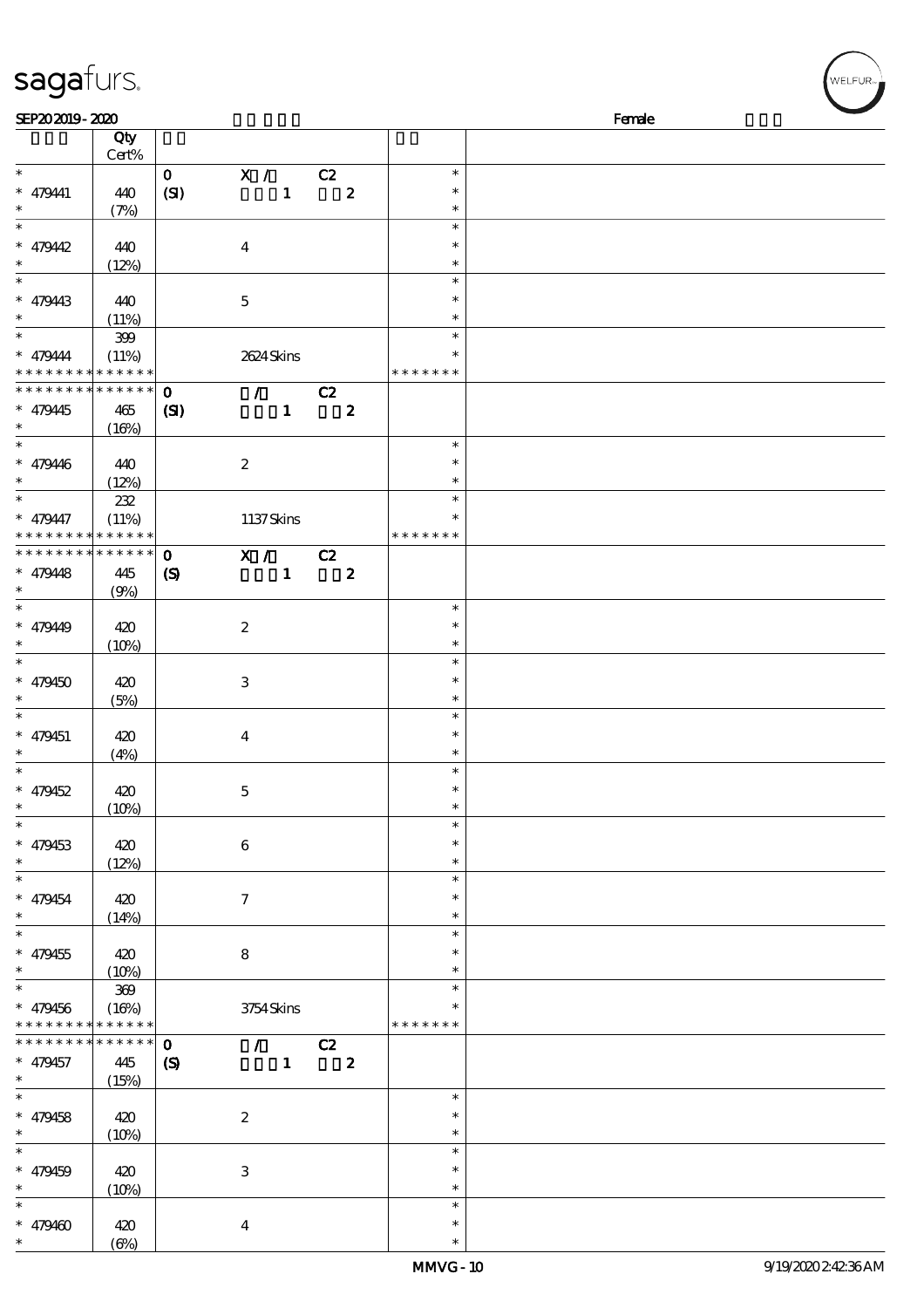## sagafurs.

| SEP202019-2020              |                      |                            |                           |              |                         |                         |               | Female |
|-----------------------------|----------------------|----------------------------|---------------------------|--------------|-------------------------|-------------------------|---------------|--------|
|                             | Qty                  |                            |                           |              |                         |                         |               |        |
|                             | $Cert\%$             |                            |                           |              |                         |                         |               |        |
| $\ast$                      |                      | $\mathbf{O}$               | X / C2                    |              |                         |                         | $\ast$        |        |
| $* 479441$                  | 440                  | (SI)                       |                           | $\mathbf{1}$ |                         | $\overline{\mathbf{2}}$ | $\ast$        |        |
| $\ast$                      | (7%)                 |                            |                           |              |                         |                         | $\ast$        |        |
| $\overline{\phantom{0}}$    |                      |                            |                           |              |                         |                         | $\ast$        |        |
| $* 479442$                  | 440                  |                            | $\boldsymbol{4}$          |              |                         |                         | $\ast$        |        |
| $\ast$                      |                      |                            |                           |              |                         |                         | $\ast$        |        |
| $\overline{\phantom{0}}$    | (12%)                |                            |                           |              |                         |                         | $\ast$        |        |
|                             |                      |                            |                           |              |                         |                         |               |        |
| $* 479443$                  | 440                  |                            | $\mathbf 5$               |              |                         |                         | $\ast$        |        |
| $\ast$                      | (11%)                |                            |                           |              |                         |                         | $\ast$        |        |
| $\overline{\ast}$           | 399                  |                            |                           |              |                         |                         | $\ast$        |        |
| $* 479444$                  | (11%)                |                            | 2624 Skins                |              |                         |                         |               |        |
| * * * * * * * * * * * * * * |                      |                            |                           |              |                         |                         | * * * * * * * |        |
| * * * * * * * *             | * * * * * *          | $\mathbf 0$                |                           |              | $\sqrt{C^2}$            |                         |               |        |
| $* 479445$                  | 465                  | $\mathbf{C}$               |                           | $\mathbf{1}$ |                         | $\boldsymbol{z}$        |               |        |
| $\ast$                      | (16%)                |                            |                           |              |                         |                         |               |        |
| $\overline{\phantom{0}}$    |                      |                            |                           |              |                         |                         | $\ast$        |        |
| $* 479446$                  | 440                  |                            | $\boldsymbol{2}$          |              |                         |                         | $\ast$        |        |
| $\ast$                      | (12%)                |                            |                           |              |                         |                         | $\ast$        |        |
| $\ast$                      | 232                  |                            |                           |              |                         |                         | $\ast$        |        |
| $* 479447$                  |                      |                            |                           |              |                         |                         | $\ast$        |        |
| * * * * * * * *             | (11%)<br>* * * * * * |                            | 1137Skins                 |              |                         |                         | * * * * * * * |        |
| * * * * * * *               | * * * * * *          |                            |                           |              |                         |                         |               |        |
|                             |                      | $\mathbf 0$                | X / C2                    |              |                         |                         |               |        |
| $* 479448$                  | 445                  | $\boldsymbol{\mathcal{S}}$ |                           | $\mathbf{1}$ | $\overline{\mathbf{2}}$ |                         |               |        |
| $\ast$                      | (9%)                 |                            |                           |              |                         |                         |               |        |
| $\overline{\ast}$           |                      |                            |                           |              |                         |                         | $\ast$        |        |
| $* 47949$                   | 420                  |                            | $\boldsymbol{z}$          |              |                         |                         | $\ast$        |        |
| $\ast$                      | (10%)                |                            |                           |              |                         |                         | $\ast$        |        |
| $\ast$                      |                      |                            |                           |              |                         |                         | $\ast$        |        |
| $* 479450$                  | 420                  |                            | 3                         |              |                         |                         | $\ast$        |        |
| $\ast$                      | (5%)                 |                            |                           |              |                         |                         | $\ast$        |        |
| $\ast$                      |                      |                            |                           |              |                         |                         | $\ast$        |        |
| $* 479451$                  | 420                  |                            | $\bf{4}$                  |              |                         |                         | $\ast$        |        |
| $\ast$                      | (4%)                 |                            |                           |              |                         |                         | $\ast$        |        |
| $\ast$                      |                      |                            |                           |              |                         |                         | $\ast$        |        |
| $* 479452$                  |                      |                            |                           |              |                         |                         | $\ast$        |        |
| $*$                         | 420                  |                            | $\mathbf{5}$              |              |                         |                         |               |        |
| $\ast$                      | (10%)                |                            |                           |              |                         |                         |               |        |
|                             |                      |                            |                           |              |                         |                         | $\ast$        |        |
| $* 479453$                  | 420                  |                            | $\bf 6$                   |              |                         |                         | $\ast$        |        |
| $\ast$                      | (12%)                |                            |                           |              |                         |                         | $\ast$        |        |
| $\ast$                      |                      |                            |                           |              |                         |                         | $\ast$        |        |
| $* 479454$                  | 420                  |                            | $\tau$                    |              |                         |                         | $\ast$        |        |
| $\ast$                      | (14%)                |                            |                           |              |                         |                         | $\ast$        |        |
| $\overline{\phantom{0}}$    |                      |                            |                           |              |                         |                         | $\ast$        |        |
| $* 479455$                  | 420                  |                            | 8                         |              |                         |                         | ∗             |        |
| $\ast$                      | (10%)                |                            |                           |              |                         |                         | $\ast$        |        |
| $\ast$                      | 369                  |                            |                           |              |                         |                         | $\ast$        |        |
| $* 479456$                  | (16%)                |                            | 3754Skins                 |              |                         |                         |               |        |
| * * * * * * * *             | * * * * * *          |                            |                           |              |                         |                         | * * * * * * * |        |
| * * * * * * *               | * * * * * *          | $\mathbf 0$                |                           |              | $\sqrt{C^2}$            |                         |               |        |
| $* 479457$                  | 445                  | $\boldsymbol{\mathcal{S}}$ |                           | $\mathbf{1}$ | $\overline{\mathbf{2}}$ |                         |               |        |
| $\ast$                      |                      |                            |                           |              |                         |                         |               |        |
| $\overline{\phantom{0}}$    | (15%)                |                            |                           |              |                         |                         | $\ast$        |        |
|                             |                      |                            |                           |              |                         |                         |               |        |
| $* 479458$                  | 420                  |                            | $\boldsymbol{z}$          |              |                         |                         | $\ast$        |        |
| $\ast$                      | (10%)                |                            |                           |              |                         |                         | $\ast$        |        |
| $\ast$                      |                      |                            |                           |              |                         |                         | $\ast$        |        |
| $* 479459$                  | 420                  |                            | $\ensuremath{\mathsf{3}}$ |              |                         |                         | $\ast$        |        |
| $\ast$                      | (10%)                |                            |                           |              |                         |                         | $\ast$        |        |
| $\ast$                      |                      |                            |                           |              |                         |                         | $\ast$        |        |
| $* 479400$                  | 420                  |                            | $\boldsymbol{4}$          |              |                         |                         | $\ast$        |        |
| $*$                         | $(\Theta)$           |                            |                           |              |                         |                         | $\ast$        |        |

WELFUR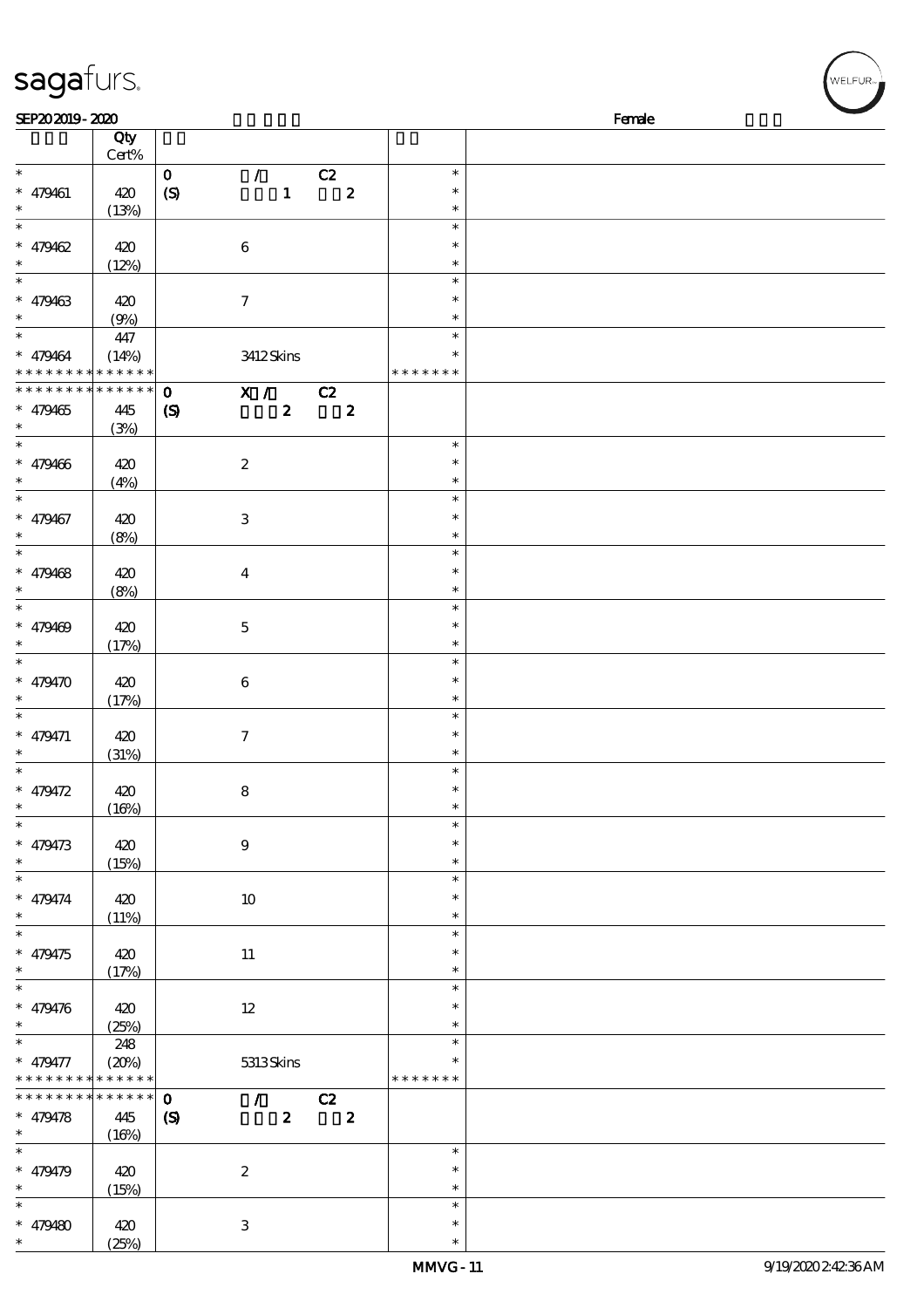| sagafurs.                                                  |                                  |                                                               |                                                     |                                      |        | WELFUR <sub>™</sub> |
|------------------------------------------------------------|----------------------------------|---------------------------------------------------------------|-----------------------------------------------------|--------------------------------------|--------|---------------------|
| SEP202019-2020                                             |                                  |                                                               |                                                     |                                      | Female |                     |
|                                                            | Qty<br>$Cert\%$                  |                                                               |                                                     |                                      |        |                     |
| $\ast$<br>$* 479461$<br>$\ast$                             | 420<br>(13%)                     | $\mathcal{L}$<br>$\mathbf O$<br>$\mathbf{1}$<br>(S)           | C2<br>$\pmb{2}$                                     | $\ast$<br>$\ast$<br>$\ast$           |        |                     |
| $\ast$<br>$* 479462$<br>$\ast$<br>$\overline{\phantom{0}}$ | 420<br>(12%)                     | $\bf 6$                                                       |                                                     | $\ast$<br>$\ast$<br>$\ast$<br>$\ast$ |        |                     |
| $* 479463$<br>$\ast$                                       | 420<br>(9%)                      | $\tau$                                                        |                                                     | $\ast$<br>$\ast$                     |        |                     |
| $\ast$<br>$* 479464$<br>* * * * * * * * * * * * *          | 447<br>(14%)                     | 3412Skins                                                     |                                                     | $\ast$<br>$\ast$<br>* * * * * * *    |        |                     |
| * * * * * * * *<br>$* 479465$                              | * * * * * *<br>445<br>(3%)       | $\mathbf 0$<br>$\boldsymbol{z}$<br>$\boldsymbol{\mathcal{S}}$ | $\overline{X}$ / C <sub>2</sub><br>$\boldsymbol{2}$ |                                      |        |                     |
| $\ast$<br>$* 479466$                                       | 420<br>(4%)                      | $\boldsymbol{2}$                                              |                                                     | $\ast$<br>$\ast$<br>$\ast$           |        |                     |
| $\ast$<br>$* 479467$<br>$\ast$                             | 420<br>(8%)                      | $\,3$                                                         |                                                     | $\ast$<br>$\ast$<br>$\ast$           |        |                     |
| $\ast$<br>$* 479468$<br>$\ast$                             | 420<br>(8%)                      | $\overline{\mathbf{4}}$                                       |                                                     | $\ast$<br>$\ast$<br>$\ast$           |        |                     |
| $\ast$<br>$* 479469$<br>$\ast$                             | 420<br>(17%)                     | $\mathbf 5$                                                   |                                                     | $\ast$<br>$\ast$<br>$\ast$<br>$\ast$ |        |                     |
| $* 479470$<br>$\ast$                                       | 420<br>(17%)                     | $\bf 6$                                                       |                                                     | $\ast$<br>$\ast$<br>$\ast$           |        |                     |
| $* 479471$<br>$\ast$                                       | 420<br>(31%)                     | $\boldsymbol{7}$                                              |                                                     | $\ast$<br>$\ast$                     |        |                     |
| * $479472$<br>$\ast$                                       | 420<br>(16%)                     | ${\bf 8}$                                                     |                                                     | $\ast$<br>$\ast$<br>$\ast$           |        |                     |
| $* 479473$<br>$\ast$<br>$\ast$                             | 420<br>(15%)                     | $\boldsymbol{9}$                                              |                                                     | $\ast$<br>$\ast$<br>$\ast$           |        |                     |
| * $479474$<br>$\ast$<br>$\overline{\ast}$                  | 420<br>(11%)                     | $10\,$                                                        |                                                     | ∗<br>$\ast$<br>$\ast$                |        |                     |
| $* 479475$<br>$\ast$<br>$\ast$                             | 420<br>(17%)                     | $11\,$                                                        |                                                     | ∗<br>$\ast$<br>$\ast$                |        |                     |
| $* 479476$<br>$\ast$<br>$\ast$                             | 420<br>(25%)<br>248              | $12\,$                                                        |                                                     | ∗<br>$\ast$<br>$\ast$                |        |                     |
| $* 479477$<br>* * *<br>* * * *<br>* * * * * * * *          | (20%)<br>* * * * * *<br>$******$ | 5313Skins                                                     |                                                     | * * * * * * *                        |        |                     |
| $* 479478$<br>$\ast$                                       | 445<br>(16%)                     | $\mathbf{o}$<br>$\boldsymbol{z}$<br>$\boldsymbol{S}$          | $\sqrt{C^2}$<br>$\mathbf{2}$                        |                                      |        |                     |
| $* 479479$<br>$\ast$                                       | 420<br>(15%)                     | $\boldsymbol{2}$                                              |                                                     | $\ast$<br>$\ast$<br>$\ast$           |        |                     |
| $\overline{\phantom{0}}$                                   |                                  |                                                               |                                                     | $\ast$                               |        |                     |

\* \* 479480 420

(25%)

3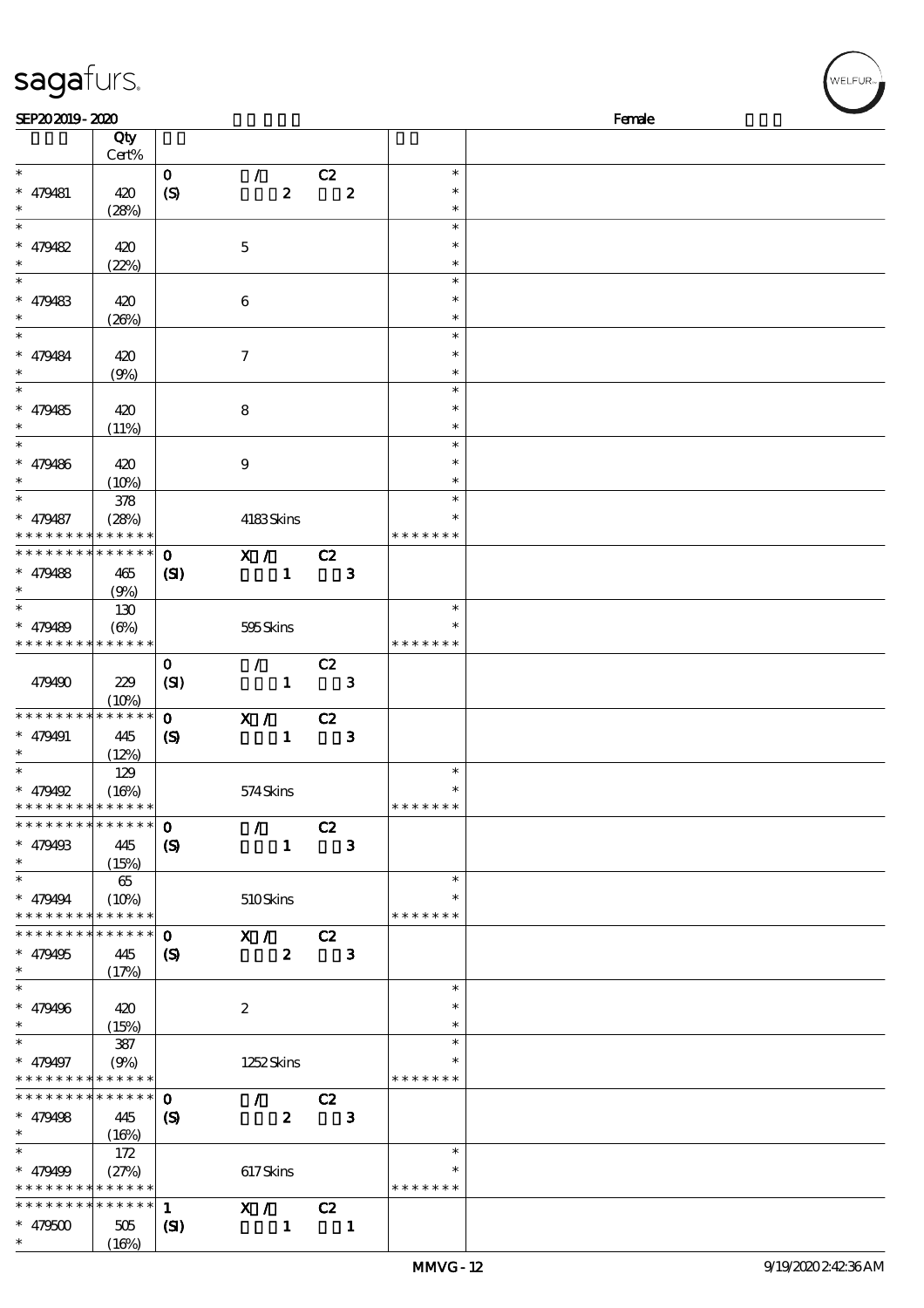| sagafurs.                                              |              |                             |                                 |                          |                  |                         | WELFUR <sub>™</sub> |
|--------------------------------------------------------|--------------|-----------------------------|---------------------------------|--------------------------|------------------|-------------------------|---------------------|
| SEP202019-2020                                         |              |                             |                                 |                          |                  |                         | Female              |
|                                                        | Qty          |                             |                                 |                          |                  |                         |                     |
|                                                        | Cert%        |                             |                                 |                          |                  |                         |                     |
| $\ast$                                                 |              | $\mathbf 0$                 | $\mathcal{L}$                   | C2                       |                  | $\ast$                  |                     |
| $* 479481$                                             | 420          |                             | $\pmb{2}$                       |                          | $\boldsymbol{z}$ | $\ast$                  |                     |
| $\ast$                                                 |              | (S)                         |                                 |                          |                  | $\ast$                  |                     |
| $\ast$                                                 | (28%)        |                             |                                 |                          |                  | $\ast$                  |                     |
|                                                        |              |                             |                                 |                          |                  |                         |                     |
| $* 479482$                                             | 420          |                             | $\mathbf 5$                     |                          |                  | $\ast$                  |                     |
| $\ast$                                                 | (22%)        |                             |                                 |                          |                  | $\ast$                  |                     |
| $\ast$                                                 |              |                             |                                 |                          |                  | $\ast$                  |                     |
| $* 479483$                                             | 420          |                             | $\boldsymbol{6}$                |                          |                  | $\ast$                  |                     |
|                                                        | (20%)        |                             |                                 |                          |                  | $\ast$                  |                     |
| $\ast$                                                 |              |                             |                                 |                          |                  | $\ast$                  |                     |
| $* 479484$                                             | 420          |                             | $\boldsymbol{7}$                |                          |                  | $\ast$                  |                     |
|                                                        | (9%)         |                             |                                 |                          |                  | $\ast$                  |                     |
| $\ast$                                                 |              |                             |                                 |                          |                  | $\ast$                  |                     |
| $* 479485$                                             | 420          |                             | $\bf8$                          |                          |                  | $\ast$                  |                     |
|                                                        | (11%)        |                             |                                 |                          |                  | $\ast$                  |                     |
| $\ast$                                                 |              |                             |                                 |                          |                  | $\ast$                  |                     |
| $* 479486$                                             | 420          |                             | $\boldsymbol{9}$                |                          |                  | $\ast$                  |                     |
|                                                        | (10%)        |                             |                                 |                          |                  | $\ast$                  |                     |
| $\ast$                                                 | 378          |                             |                                 |                          |                  | $\ast$                  |                     |
| $* 479487$                                             | (28%)        |                             | 4183Skins                       |                          |                  | $\ast$                  |                     |
| * * * *                                                | * * * * * *  |                             |                                 |                          |                  | * * * * * * *           |                     |
| * * * * * * * *                                        | * * * * * *  | $\mathbf 0$                 | X / C2                          |                          |                  |                         |                     |
| $* 479488$                                             | 465          | $\mathbf{S}$                | $\mathbf{1}$                    |                          | $\mathbf{3}$     |                         |                     |
| $\ast$                                                 | (9%)         |                             |                                 |                          |                  |                         |                     |
|                                                        | 130          |                             |                                 |                          |                  | $\ast$                  |                     |
| $* 479489$                                             | $(\Theta\%)$ |                             | 595Skins                        |                          |                  | $\ast$                  |                     |
| * * * * * * * * <mark>* * * * * *</mark>               |              |                             |                                 |                          |                  | * * * * * * *           |                     |
|                                                        |              | $\mathbf 0$                 | $\mathcal{L}$                   | C2                       |                  |                         |                     |
| 479490                                                 | 229          | (SI)                        | $\blacksquare$                  |                          | $\mathbf{3}$     |                         |                     |
|                                                        | (10%)        |                             |                                 |                          |                  |                         |                     |
| * * * * * * * *                                        | * * * * * *  | $\mathbf{o}$                | X /                             | C2                       |                  |                         |                     |
| $* 479491$                                             | 445          | $\boldsymbol{\mathcal{S}}$  | $\mathbf{1}$                    |                          | 3                |                         |                     |
| $*$                                                    | (12%)        |                             |                                 |                          |                  |                         |                     |
| $\ast$                                                 | 129          |                             |                                 |                          |                  | $\ast$                  |                     |
| $* 479492$                                             | (16%)        |                             | 574Skins                        |                          |                  | $\ast$                  |                     |
| * * * * * * * * * * * * * *                            |              |                             |                                 |                          |                  | * * * * * * *           |                     |
| * * * * * * * * * * * * * *                            |              | $\mathbf 0$                 | $\mathcal{L}$ and $\mathcal{L}$ | C2                       |                  |                         |                     |
| $* 479493$                                             | 445          | $\boldsymbol{\mathcal{S}}$  | $\mathbf{1}$                    |                          | $\mathbf{3}$     |                         |                     |
| $\ast$                                                 | (15%)        |                             |                                 |                          |                  |                         |                     |
| $\ast$                                                 | $65\,$       |                             |                                 |                          |                  | $\ast$                  |                     |
| $* 479494$                                             | (10%)        |                             | 510Skins                        |                          |                  | ∗                       |                     |
| * * * * * * * * * * * * * *                            |              |                             |                                 |                          |                  | * * * * * * *           |                     |
| * * * * * * * * * * * * * *                            |              | $\mathbf{o}$                | X /                             | C2                       |                  |                         |                     |
| $* 479495$                                             | 445          | $\boldsymbol{\mathcal{S}}$  | $\boldsymbol{z}$                |                          | $\mathbf{3}$     |                         |                     |
| $\overline{\phantom{0}}$                               | (17%)        |                             |                                 |                          |                  |                         |                     |
|                                                        |              |                             |                                 |                          |                  | $\ast$                  |                     |
| $* 479496$                                             | 420          |                             | $\boldsymbol{2}$                |                          |                  | $\ast$                  |                     |
| $\ast$                                                 | (15%)        |                             |                                 |                          |                  | $\ast$                  |                     |
|                                                        | 387          |                             |                                 |                          |                  | $\ast$                  |                     |
| $* 479497$                                             | (9%)         |                             | 1252 Skins                      |                          |                  | $\ast$                  |                     |
| * * * * * * * * * * * * * *                            |              |                             |                                 |                          |                  | * * * * * * *           |                     |
| * * * * * * * *                                        | * * * * * *  | $\mathbf 0$                 | $\mathcal{L}$                   | C2                       |                  |                         |                     |
| $* 479498$                                             | 445          | $\boldsymbol{\mathrm{(S)}}$ | $\boldsymbol{z}$                |                          | $\mathbf{3}$     |                         |                     |
| $\ast$<br>$\ast$                                       | (16%)        |                             |                                 |                          |                  | $\ast$                  |                     |
|                                                        | 172          |                             |                                 |                          |                  |                         |                     |
| $* 479499$<br>* * * * * * * * <mark>* * * * * *</mark> | (27%)        |                             | 617Skins                        |                          |                  | $\ast$<br>* * * * * * * |                     |
| * * * * * * * *                                        | * * * * * *  |                             |                                 |                          |                  |                         |                     |
|                                                        |              | $\mathbf{1}$                | X / C2                          |                          |                  |                         |                     |
| $* 479500$<br>$\ast$                                   | 505<br>(16%) | $\mathbf{S}$                | $\mathbf{1}$                    | $\overline{\phantom{a}}$ |                  |                         |                     |
|                                                        |              |                             |                                 |                          |                  |                         |                     |

 $(16%)$ 

WELFUR<sub>"</sub>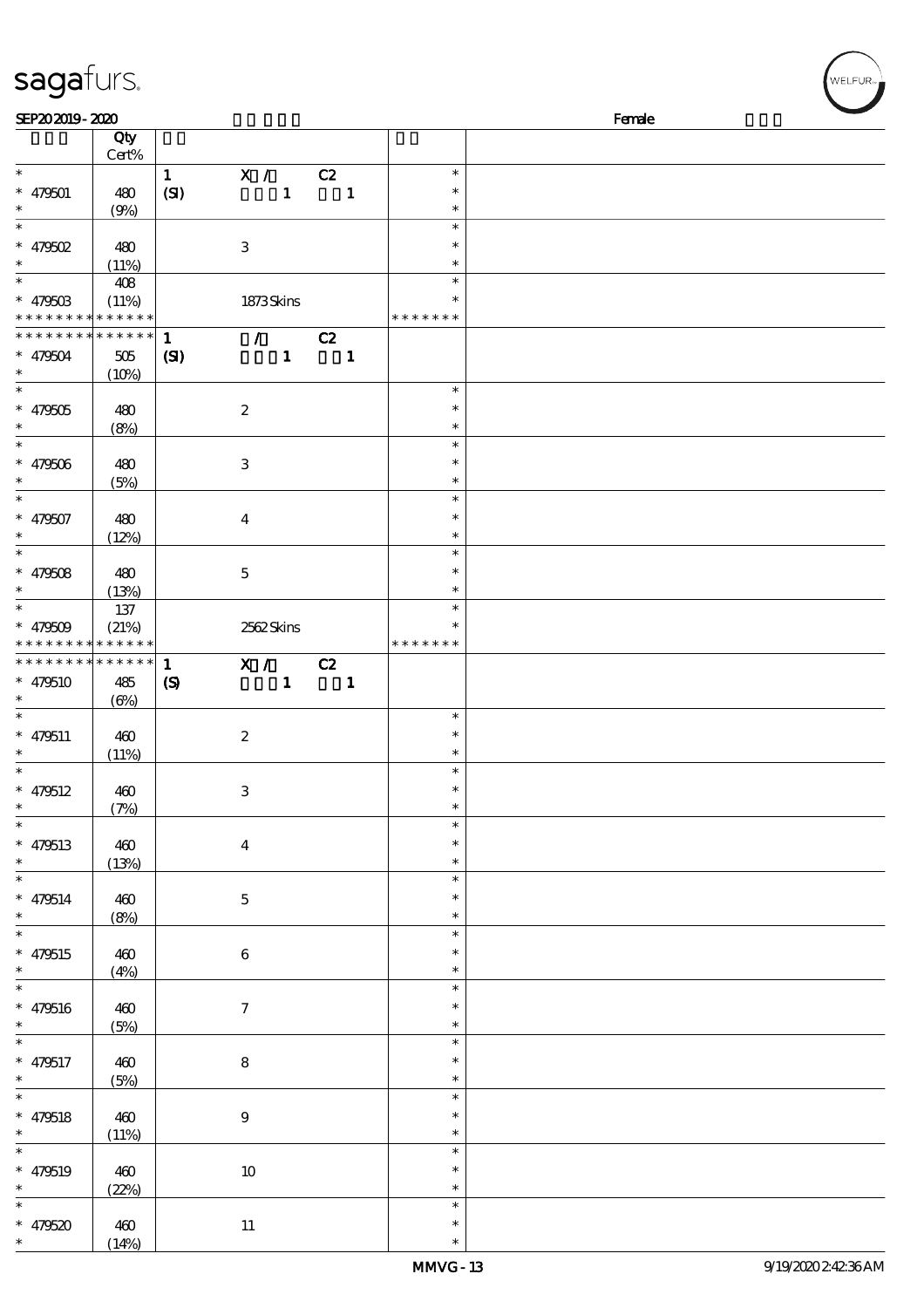| SEP202019-2020                       |                 |                             |                           |              |                          |               | Female |
|--------------------------------------|-----------------|-----------------------------|---------------------------|--------------|--------------------------|---------------|--------|
|                                      | Qty             |                             |                           |              |                          |               |        |
|                                      | $Cert\%$        |                             |                           |              |                          |               |        |
| $\ast$                               |                 |                             |                           |              |                          | $\ast$        |        |
|                                      |                 | 1                           | X / C2                    |              |                          |               |        |
| $* 479501$                           | 480             | (SI)                        |                           | $\mathbf{1}$ | $\overline{\mathbf{1}}$  | $\ast$        |        |
| $\ast$                               | (9%)            |                             |                           |              |                          | $\ast$        |        |
| $\ast$                               |                 |                             |                           |              |                          | $\ast$        |        |
| $*$ 479502                           | 480             |                             | $\ensuremath{\mathbf{3}}$ |              |                          | $\ast$        |        |
|                                      |                 |                             |                           |              |                          |               |        |
| $\ast$<br>$\overline{\phantom{a}^*}$ | (11%)           |                             |                           |              |                          | $\ast$        |        |
|                                      | 408             |                             |                           |              |                          | $\ast$        |        |
| $* 47950B$                           | (11%)           |                             | 1873Skins                 |              |                          | $\ast$        |        |
| * * * * * * * * * * * * * *          |                 |                             |                           |              |                          | * * * * * * * |        |
| * * * * * * * *                      | $* * * * * * *$ | $\mathbf{1}$                |                           | $\sqrt{C^2}$ |                          |               |        |
|                                      |                 |                             |                           |              |                          |               |        |
| $* 479504$                           | $505\,$         | $\mathbf{C}$                |                           | $\mathbf{1}$ | $\blacksquare$           |               |        |
| $\ast$                               | (10%)           |                             |                           |              |                          |               |        |
| $\overline{\phantom{0}}$             |                 |                             |                           |              |                          | $\ast$        |        |
| $* 479505$                           | 480             |                             | $\boldsymbol{z}$          |              |                          | $\ast$        |        |
| $\ast$                               | (8%)            |                             |                           |              |                          | $\ast$        |        |
| $\overline{\ast}$                    |                 |                             |                           |              |                          | $\ast$        |        |
|                                      |                 |                             |                           |              |                          |               |        |
| $* 479506$                           | 480             |                             | $\ensuremath{\mathbf{3}}$ |              |                          | $\ast$        |        |
| $\ast$                               | (5%)            |                             |                           |              |                          | $\ast$        |        |
| $\overline{\ast}$                    |                 |                             |                           |              |                          | $\ast$        |        |
| $* 479507$                           | 480             |                             | $\bf{4}$                  |              |                          | $\ast$        |        |
| $\ast$                               | (12%)           |                             |                           |              |                          | $\ast$        |        |
| $\overline{\ast}$                    |                 |                             |                           |              |                          | $\ast$        |        |
|                                      |                 |                             |                           |              |                          |               |        |
| $* 479508$                           | 480             |                             | $\mathbf{5}$              |              |                          | $\ast$        |        |
| $\ast$                               | (13%)           |                             |                           |              |                          | $\ast$        |        |
| $\overline{\ast}$                    | 137             |                             |                           |              |                          | $\ast$        |        |
| $* 479509$                           | (21%)           |                             | 2562Skins                 |              |                          |               |        |
| * * * * * * * *                      | * * * * * *     |                             |                           |              |                          | * * * * * * * |        |
|                                      |                 |                             |                           |              |                          |               |        |
| **************                       |                 | $\mathbf{1}$                | X / C2                    |              |                          |               |        |
| $* 479510$                           | 485             | $\boldsymbol{\mathrm{(S)}}$ |                           | $\mathbf{1}$ | $\overline{\phantom{a}}$ |               |        |
| $\ast$                               | $(\Theta)$      |                             |                           |              |                          |               |        |
| $\ast$                               |                 |                             |                           |              |                          | $\ast$        |        |
|                                      |                 |                             |                           |              |                          | $\ast$        |        |
| $* 479511$                           | 460             |                             | $\boldsymbol{2}$          |              |                          |               |        |
| $\ast$                               | (11%)           |                             |                           |              |                          | $\ast$        |        |
| $\ast$                               |                 |                             |                           |              |                          | $\ast$        |        |
| $* 479512$                           | 460             |                             | $\,3$                     |              |                          | $\ast$        |        |
| $*$                                  | (7%)            |                             |                           |              |                          | $\ast$        |        |
| $\ast$                               |                 |                             |                           |              |                          | $\ast$        |        |
|                                      |                 |                             |                           |              |                          | $\ast$        |        |
| $* 479513$                           | 460             |                             | $\boldsymbol{4}$          |              |                          |               |        |
| $\ast$                               | (13%)           |                             |                           |              |                          | $\ast$        |        |
| $\overline{\phantom{a}}$             |                 |                             |                           |              |                          | $\ast$        |        |
| $* 479514$                           | 460             |                             | $\mathbf{5}$              |              |                          | $\ast$        |        |
| $\ast$                               | (8%)            |                             |                           |              |                          | $\ast$        |        |
| $\overline{\phantom{a}^*}$           |                 |                             |                           |              |                          | $\ast$        |        |
|                                      |                 |                             |                           |              |                          | $\ast$        |        |
| * $479515$                           | 460             |                             | 6                         |              |                          |               |        |
| $\ast$                               | (4%)            |                             |                           |              |                          | $\ast$        |        |
| $\overline{\phantom{a}}$             |                 |                             |                           |              |                          | $\ast$        |        |
| $* 479516$                           | 460             |                             | $\tau$                    |              |                          | $\ast$        |        |
| $\ast$                               | (5%)            |                             |                           |              |                          | $\ast$        |        |
| $\overline{\phantom{a}}$             |                 |                             |                           |              |                          | $\ast$        |        |
|                                      |                 |                             |                           |              |                          |               |        |
| $* 479517$                           | 460             |                             | ${\bf 8}$                 |              |                          | $\ast$        |        |
| $\ast$                               | (5%)            |                             |                           |              |                          | $\ast$        |        |
| $\overline{\ast}$                    |                 |                             |                           |              |                          | $\ast$        |        |
| $* 479518$                           | 460             |                             | $\boldsymbol{9}$          |              |                          | $\ast$        |        |
| $\ast$                               | (11%)           |                             |                           |              |                          | $\ast$        |        |
| $\overline{\ast}$                    |                 |                             |                           |              |                          | $\ast$        |        |
|                                      |                 |                             |                           |              |                          |               |        |
| $* 479519$                           | 460             |                             | $10\,$                    |              |                          | $\ast$        |        |
| $\ast$                               | (22%)           |                             |                           |              |                          | $\ast$        |        |
| $\ast$                               |                 |                             |                           |              |                          | $\ast$        |        |
|                                      | 460             |                             | $11\,$                    |              |                          | $\ast$        |        |
| * 479520 $*$                         |                 |                             |                           |              |                          | $\ast$        |        |
|                                      | (14%)           |                             |                           |              |                          |               |        |

ELFUR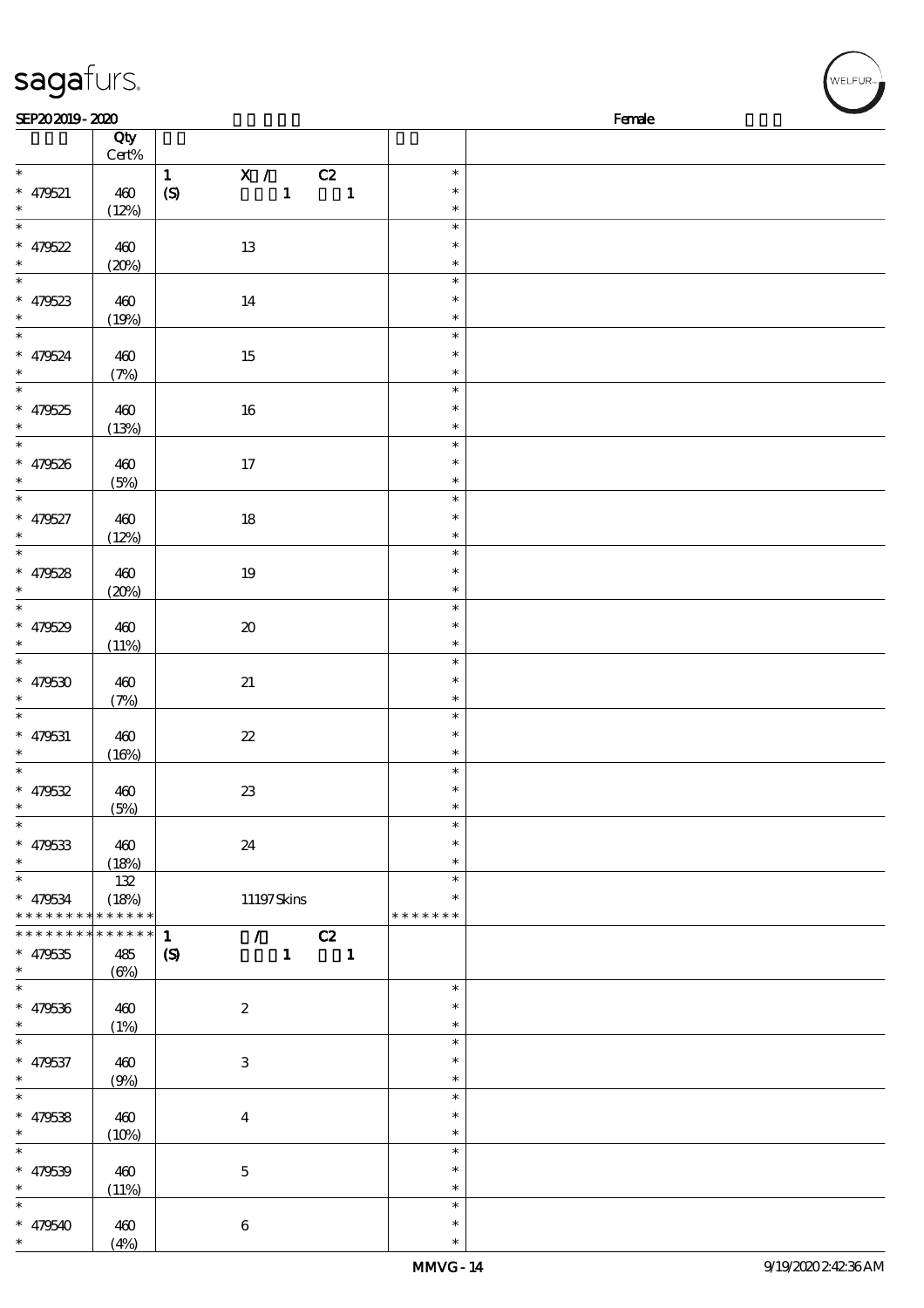| SEP202019-2020                                                 |                                    |                                                                                           |                                      | Female |  |
|----------------------------------------------------------------|------------------------------------|-------------------------------------------------------------------------------------------|--------------------------------------|--------|--|
|                                                                | Qty<br>Cert%                       |                                                                                           |                                      |        |  |
| $\ast$<br>$* 479521$<br>$\ast$                                 | 460<br>(12%)                       | X /<br>$\mathbf{1}$<br>C2<br>$\mathbf{1}$<br>$\boldsymbol{S}$<br>$\overline{\phantom{a}}$ | $\ast$<br>$\ast$<br>$\ast$           |        |  |
| $\overline{\ast}$<br>* $479522$<br>$\ast$<br>$\overline{\ast}$ | 460<br>(20%)                       | 13                                                                                        | $\ast$<br>$\ast$<br>$\ast$           |        |  |
| * $479523$<br>$\ast$<br>$\ast$                                 | 460<br>(19%)                       | 14                                                                                        | $\ast$<br>$\ast$<br>$\ast$<br>$\ast$ |        |  |
| $* 479524$<br>$\ast$<br>$\overline{\ast}$                      | 460<br>(7%)                        | $15\,$                                                                                    | $\ast$<br>$\ast$<br>$\ast$           |        |  |
| $* 479525$<br>$\ast$<br>$\overline{\ast}$                      | 460<br>(13%)                       | $16\,$                                                                                    | $\ast$<br>$\ast$<br>$\ast$           |        |  |
| * 479526<br>$\overline{\ast}$                                  | 460<br>(5%)                        | $17\,$                                                                                    | $\ast$<br>$\ast$                     |        |  |
| $* 479527$<br>$\ast$<br>$\overline{\ast}$                      | 460<br>(12%)                       | $18\,$                                                                                    | $\ast$<br>$\ast$<br>$\ast$           |        |  |
| $* 479528$<br>$\ast$<br>$\overline{\phantom{0}}$               | 460<br>(20%)                       | $19\,$                                                                                    | $\ast$<br>$\ast$<br>$\ast$           |        |  |
| * 479529<br>$\ast$<br>$\overline{\ast}$                        | 460<br>(11%)                       | $\pmb{\mathcal{X}}$                                                                       | $\ast$<br>$\ast$<br>$\ast$           |        |  |
| $* 479530$<br>$\ast$                                           | 460<br>(7%)                        | $2\!1$                                                                                    | $\ast$<br>$\ast$<br>$\ast$           |        |  |
| $\overline{\ast}$<br>$* 479531$<br>$\ast$                      | 460<br>(16%)                       | $2\!2$                                                                                    | $\ast$<br>$\ast$<br>$\ast$           |        |  |
| $\overline{\ast}$<br>$* 479532$<br>∗                           | $460$<br>(5%)                      | $2\!3$                                                                                    | $\ast$<br>$\ast$<br>$\ast$           |        |  |
| $\ast$<br>$* 479533$<br>$\ast$                                 | 460<br>(18%)                       | $2\!4$                                                                                    | $\ast$<br>$\ast$<br>$\ast$           |        |  |
| *<br>* 479534<br>* * * * * * * *                               | 132<br>(18%)<br>* * * * * *        | 11197Skins                                                                                | $\ast$<br>$\ast$<br>* * * * * * *    |        |  |
| * * * * * * * *<br>$* 479535$<br>$\ast$                        | * * * * * *<br>485<br>$(\Theta\%)$ | C2<br>$\mathcal{L}$<br>$\mathbf{1}$<br>$\boldsymbol{S}$<br>$\mathbf{1}$<br>$\mathbf{1}$   |                                      |        |  |
| $\ast$<br>$* 479536$<br>$\ast$                                 | 460<br>(1%)                        | $\boldsymbol{2}$                                                                          | $\ast$<br>$\ast$<br>$\ast$           |        |  |
| $\ast$<br>* 479537<br>$\ast$                                   | 460<br>(9%)                        | $\,3$                                                                                     | $\ast$<br>$\ast$<br>$\ast$           |        |  |
| $\ast$<br>$* 479538$<br>$\ast$                                 | 460<br>(10%)                       | $\boldsymbol{4}$                                                                          | $\ast$<br>$\ast$<br>$\ast$           |        |  |
| $\ast$<br>$* 479539$<br>*                                      | 460<br>(11%)                       | $\mathbf 5$                                                                               | $\ast$<br>$\ast$<br>$\ast$           |        |  |
| $\ast$                                                         |                                    |                                                                                           | $\ast$                               |        |  |

 $*$  479540  $\,$  460

sagafurs.

(4%)

6

\*

、<br>WELFUR<sub>™</sub>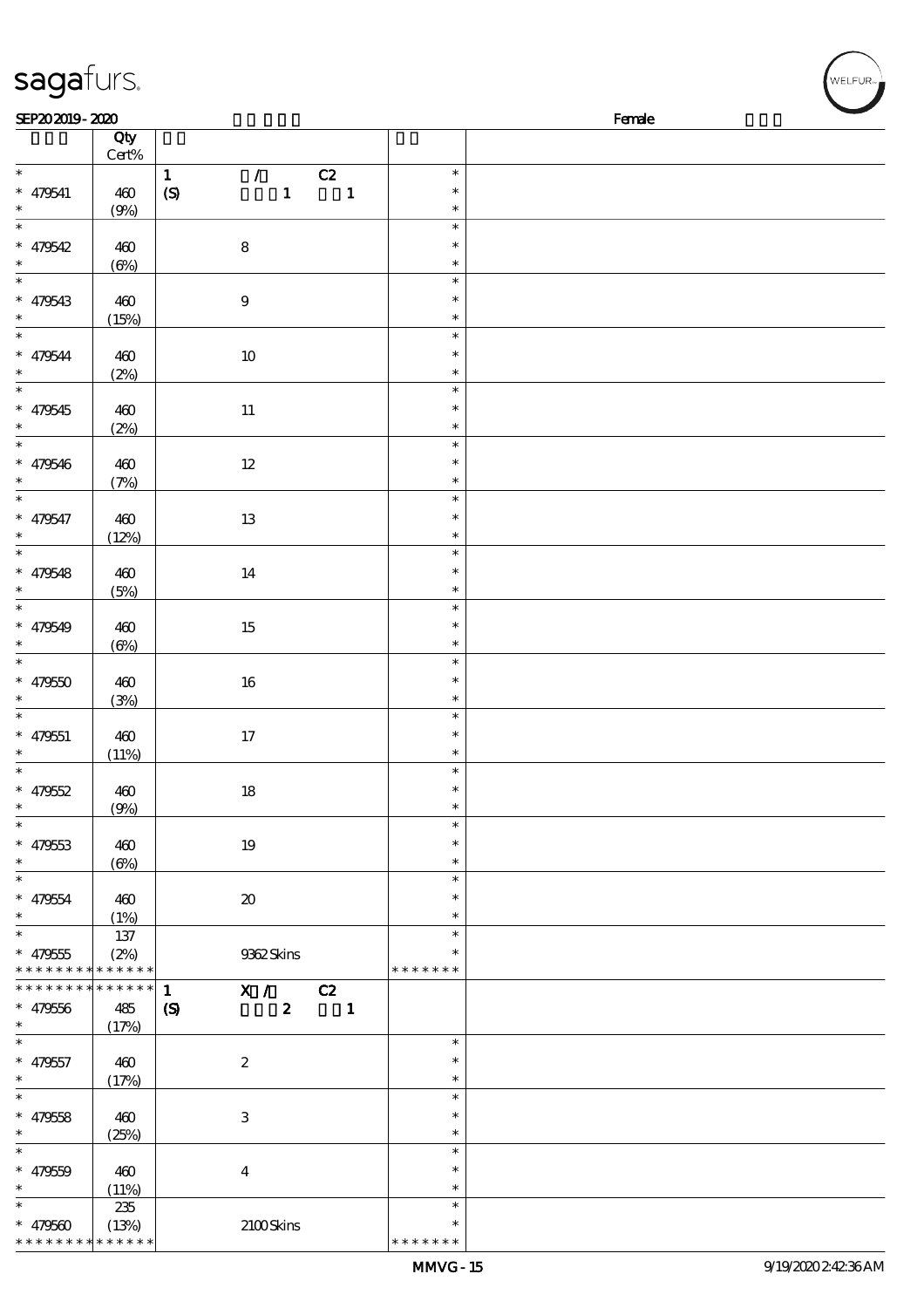| sagafurs.                                                        |                                             |                                                                                                                           |                                      |        | WELFUR <sub>™</sub> |
|------------------------------------------------------------------|---------------------------------------------|---------------------------------------------------------------------------------------------------------------------------|--------------------------------------|--------|---------------------|
| SEP202019-2020                                                   |                                             |                                                                                                                           |                                      | Female |                     |
|                                                                  | Qty<br>Cert%                                |                                                                                                                           |                                      |        |                     |
| $\ast$<br>$* 479541$<br>$\ast$                                   | 460<br>(9%)                                 | $\mathcal{T}$<br>C2<br>$\mathbf{1}$<br>$\mathbf{1}$<br>$\mathbf{1}$<br>(S)                                                | $\ast$<br>$\ast$<br>$\ast$           |        |                     |
| $\ast$<br>$* 479542$<br>$\ast$                                   | 460<br>$\left(\frac{\Theta}{\theta}\right)$ | $\bf 8$                                                                                                                   | $\ast$<br>$\ast$<br>$\ast$           |        |                     |
| $\overline{\phantom{a}}$<br>$* 479543$<br>$\ast$                 | 460<br>(15%)                                | $\boldsymbol{9}$                                                                                                          | $\ast$<br>$\ast$<br>$\ast$           |        |                     |
| $\overline{\phantom{a}}$<br>$* 479544$                           | 460<br>(2%)                                 | $10\,$                                                                                                                    | $\ast$<br>$\ast$<br>$\ast$           |        |                     |
| $\ast$<br>$* 479545$<br>$\ast$                                   | 460<br>(2%)                                 | $11\,$                                                                                                                    | $\ast$<br>$\ast$<br>$\ast$           |        |                     |
| $\ast$<br>$* 479546$<br>$\ast$                                   | 460<br>(7%)                                 | $12\,$                                                                                                                    | $\ast$<br>$\ast$<br>$\ast$           |        |                     |
| $\ast$<br>$* 479547$<br>$\ast$                                   | 460<br>(12%)                                | $13\,$                                                                                                                    | $\ast$<br>$\ast$<br>$\ast$           |        |                     |
| $\ast$<br>$* 479548$<br>$\ast$                                   | 460                                         | 14                                                                                                                        | $\ast$<br>$\ast$<br>$\ast$           |        |                     |
| $\ast$<br>$* 479549$                                             | (5%)<br>460                                 | $15\,$                                                                                                                    | $\ast$<br>$\ast$<br>$\ast$           |        |                     |
| $\ast$<br>$* 479550$                                             | $(\Theta)$<br>460                           | $16\,$                                                                                                                    | $\ast$<br>$\ast$                     |        |                     |
| $\ast$<br>$* 479551$                                             | (3%)<br>460                                 | $17\,$                                                                                                                    | $\ast$<br>$\ast$<br>$\ast$<br>$\ast$ |        |                     |
| $\ast$<br>$\ast$<br>$* 479552$<br>$\ast$                         | (11%)<br>460                                | 18                                                                                                                        | $\ast$<br>$\ast$<br>$\ast$           |        |                     |
| $\ast$<br>$* 479533$<br>$\ast$                                   | (9%)<br>460                                 | 19                                                                                                                        | $\ast$<br>$\ast$<br>$\ast$           |        |                     |
| $\ast$<br>$* 479554$<br>$\ast$                                   | (6%)<br>460<br>(1%)                         | $\boldsymbol{\boldsymbol{\lambda}}$                                                                                       | $\ast$<br>∗<br>$\ast$                |        |                     |
| $\ast$<br>$* 479555$<br>* * * * * * * * * * * * * *              | 137<br>(2%)                                 | 9362Skins                                                                                                                 | $\ast$<br>∗<br>* * * * * * *         |        |                     |
| * * * * * * * * <mark>* * * * * *</mark><br>$* 479556$<br>$\ast$ | 485<br>(17%)                                | $\mathbf{1}$<br>$\overline{X}$ / C <sub>2</sub><br>$\mathbf{2}$<br>$\overline{\phantom{a}}$<br>$\boldsymbol{\mathcal{S}}$ |                                      |        |                     |
| $\ast$<br>$* 479557$<br>$\ast$                                   | 460<br>(17%)                                | $\boldsymbol{2}$                                                                                                          | $\ast$<br>$\ast$<br>$\ast$           |        |                     |
| $\ast$<br>$* 479558$<br>$\ast$<br>$_{*}^{-}$                     | 460<br>(25%)                                | $\,3$                                                                                                                     | $\ast$<br>$\ast$<br>$\ast$           |        |                     |
| $* 479559$<br>$\ast$                                             | 460<br>(11%)                                | $\boldsymbol{4}$                                                                                                          | $\ast$<br>$\ast$<br>$\ast$           |        |                     |
| $\ast$<br>$* 479560$                                             | 235<br>(13%)                                | 2100Skins                                                                                                                 | $\ast$<br>$\ast$                     |        |                     |

\* \* \* \* \* \* \* \*

\* \* \* \* \* \* \* \* \* \* \* \* \* \*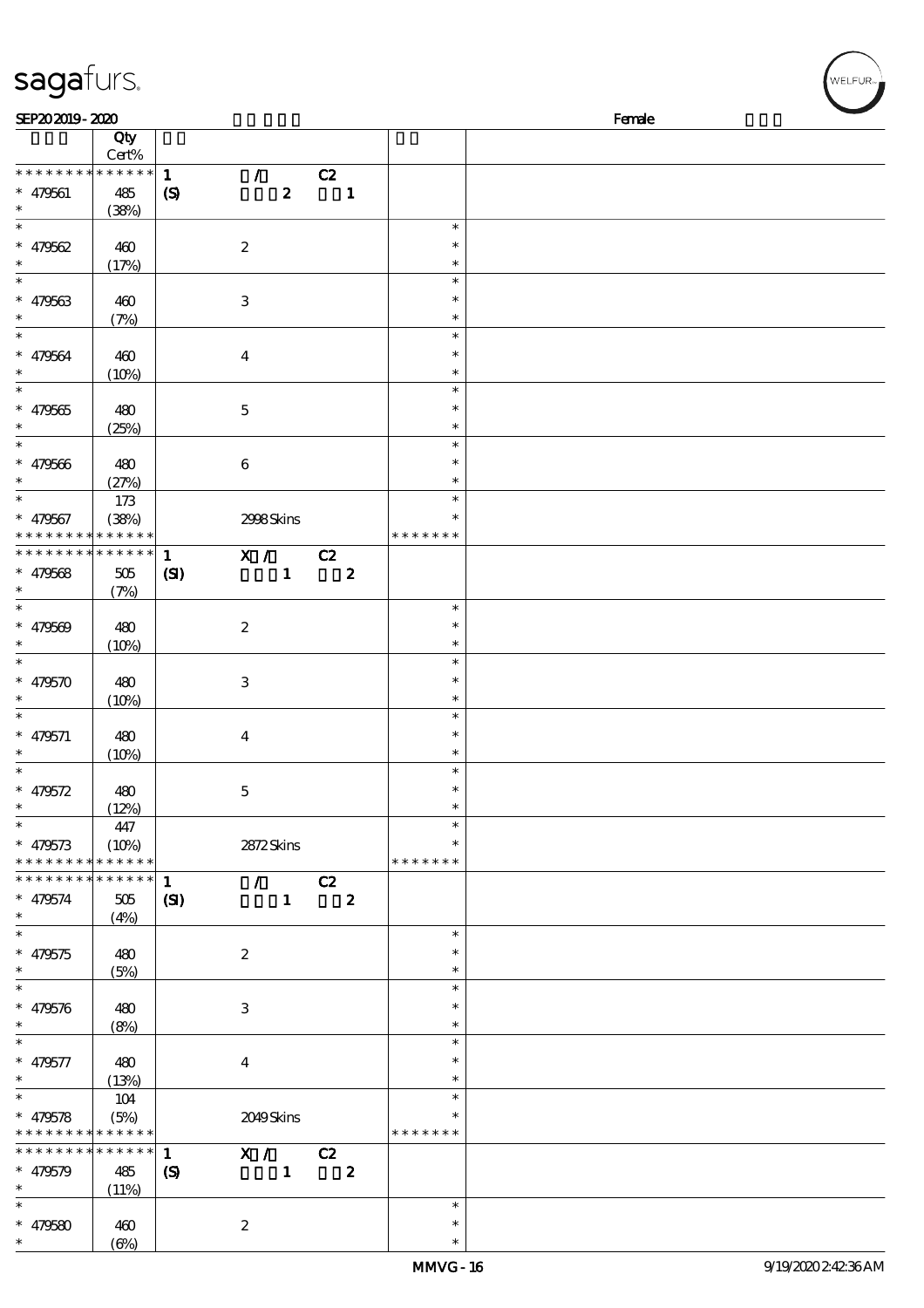| sagafurs.                                                        |                                    |                                            |                                                                         |    |                         |                              | MELFUR <sub>™I</sub> |
|------------------------------------------------------------------|------------------------------------|--------------------------------------------|-------------------------------------------------------------------------|----|-------------------------|------------------------------|----------------------|
| SEP202019-2020                                                   |                                    |                                            |                                                                         |    |                         |                              | Female               |
|                                                                  | Qty<br>Cert%                       |                                            |                                                                         |    |                         |                              |                      |
| * * * * * * * * * * * * * *<br>$* 479561$<br>$\ast$              | 485<br>(38%)                       | $\mathbf{1}$<br>$\boldsymbol{\mathcal{S}}$ | $\mathcal{L}$<br>$\boldsymbol{z}$                                       | C2 | $\mathbf{1}$            |                              |                      |
| $\overline{\ast}$<br>$* 479562$<br>$\ast$                        | 460<br>(17%)                       |                                            | $\boldsymbol{2}$                                                        |    |                         | $\ast$<br>$\ast$<br>$\ast$   |                      |
| $\overline{\phantom{0}}$<br>$* 479563$<br>$\ast$                 | 460<br>(7%)                        |                                            | $\,3$                                                                   |    |                         | $\ast$<br>$\ast$<br>$\ast$   |                      |
| $\ast$<br>$* 479564$<br>$\ast$                                   | 460<br>$(10\%)$                    |                                            | $\boldsymbol{4}$                                                        |    |                         | $\ast$<br>$\ast$<br>$\ast$   |                      |
| $\ast$<br>$* 479565$<br>$\ast$                                   | 480<br>(25%)                       |                                            | $\mathbf 5$                                                             |    |                         | $\ast$<br>$\ast$<br>$\ast$   |                      |
| $\ast$<br>$* 479566$<br>$\ast$                                   | 480<br>(27%)                       |                                            | $\boldsymbol{6}$                                                        |    |                         | $\ast$<br>*<br>∗             |                      |
| $\ast$<br>$* 479567$<br>* * * * * * * *                          | 173<br>(38%)<br>* * * * * *        |                                            | 2998Skins                                                               |    |                         | $\ast$<br>* * * * * * *      |                      |
| * * * * * * * *<br>$* 479568$<br>$\ast$                          | $* * * * * * *$<br>$505\,$<br>(7%) | $\mathbf{1}$<br>$\mathbf{C}$               | $\begin{array}{c c}\n\hline\nX & / & C2 \\ \hline\n1 & & \n\end{array}$ |    | $\overline{\mathbf{z}}$ |                              |                      |
| $\ast$<br>$* 479569$<br>$\ast$                                   | 480<br>(10%)                       |                                            | $\boldsymbol{2}$                                                        |    |                         | $\ast$<br>$\ast$<br>$\ast$   |                      |
| $\ast$<br>$* 479570$<br>$\ast$                                   | 480<br>(10%)                       |                                            | $\,3$                                                                   |    |                         | $\ast$<br>$\ast$<br>$\ast$   |                      |
| $\ast$<br>$* 479571$<br>$\ast$                                   | 480<br>(10%)                       |                                            | $\boldsymbol{4}$                                                        |    |                         | $\ast$<br>$\ast$<br>$\ast$   |                      |
| $\ast$<br>$* 479572$<br>$\ast$                                   | 480<br>(12%)                       |                                            | $\mathbf 5$                                                             |    |                         | $\ast$<br>∗<br>$\ast$        |                      |
| $\ast$<br>$* 479573$<br>* * * * * * * *                          | 447<br>(10%)<br>* * * * * *        |                                            | 2872Skins                                                               |    |                         | $\ast$<br>* * * * * * *      |                      |
| * * * * * * *<br>$* 479574$<br>$\ast$                            | * * * * * *<br>$505\,$<br>(4%)     | $\mathbf{1}$<br>$\mathbf{C}$               | $\mathcal{T} \subset \mathbb{R}^n$<br>$\mathbf{1}$                      | C2 | $\boldsymbol{z}$        |                              |                      |
| $\ast$<br>$* 479575$<br>$\ast$                                   | 480<br>(5%)                        |                                            | $\boldsymbol{2}$                                                        |    |                         | $\ast$<br>$\ast$<br>$\ast$   |                      |
| $\ast$<br>$* 479576$<br>$\ast$                                   | 480<br>(8%)                        |                                            | $\,3$                                                                   |    |                         | $\ast$<br>$\ast$<br>$\ast$   |                      |
| $\ast$<br>$* 479577$<br>$\ast$                                   | 480<br>(13%)                       |                                            | $\boldsymbol{4}$                                                        |    |                         | $\ast$<br>$\ast$<br>$\ast$   |                      |
| $\ast$<br>$* 479578$<br>* * * * * * * * <mark>* * * * * *</mark> | 104<br>(5%)                        |                                            | 2049Skins                                                               |    |                         | $\ast$<br>*<br>* * * * * * * |                      |
| * * * * * * *<br>$* 479579$<br>$\ast$                            | * * * * * *<br>485<br>(11%)        | $\mathbf{1}$<br>$\boldsymbol{S}$           | X /<br>$\mathbf{1}$                                                     | C2 | $\boldsymbol{z}$        | $\ast$                       |                      |
| $* 479580$                                                       | 460                                |                                            | $\boldsymbol{2}$                                                        |    |                         | $\ast$                       |                      |

(6%)

\*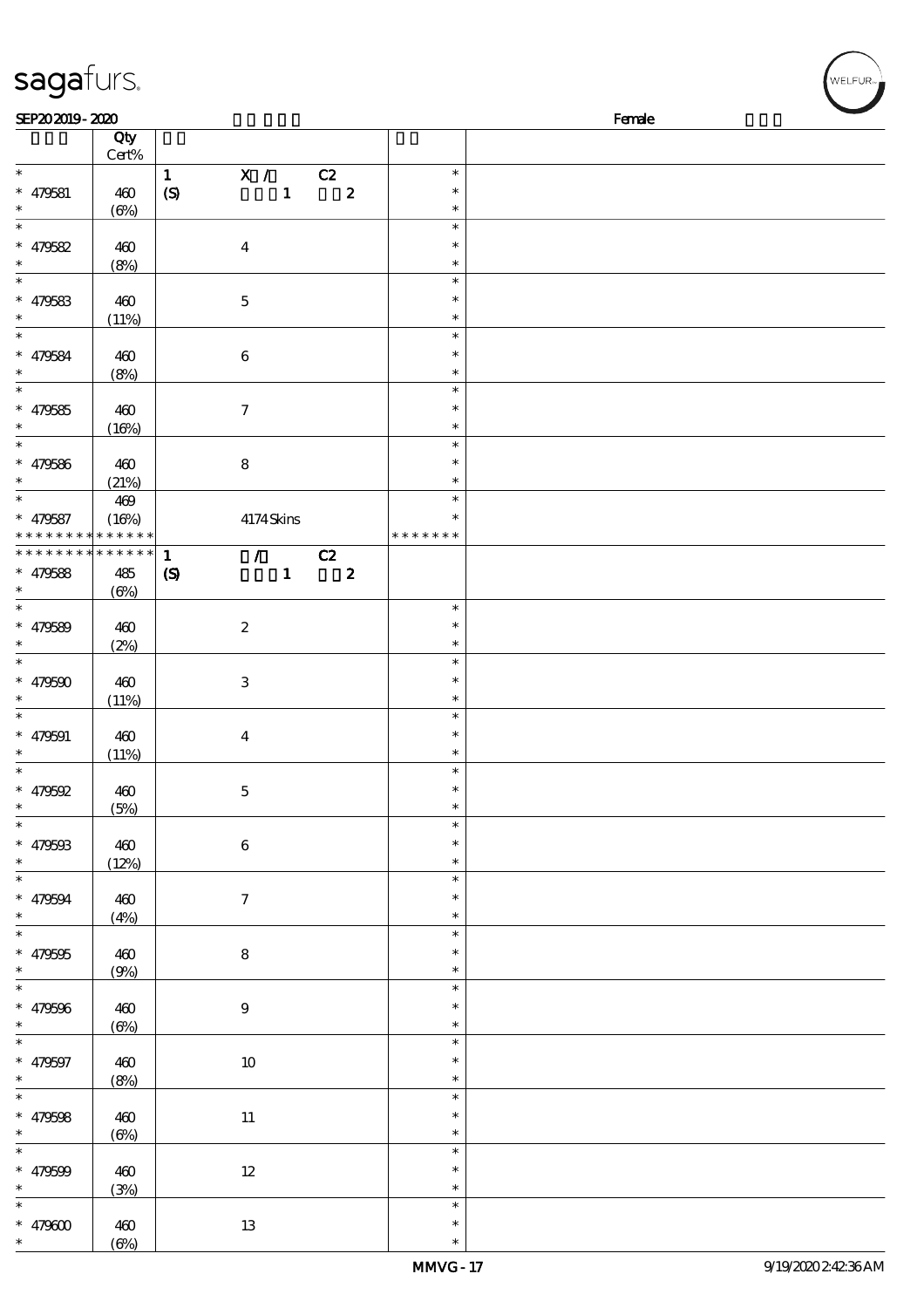| sagafurs.                                          |                            |                                                                                                |                                      | WELFUR <sub>™I</sub> |
|----------------------------------------------------|----------------------------|------------------------------------------------------------------------------------------------|--------------------------------------|----------------------|
| SEP202019-2020                                     |                            |                                                                                                |                                      | Female               |
|                                                    | Qty<br>Cert%               |                                                                                                |                                      |                      |
| $\ast$<br>$* 479581$<br>$\ast$<br>$\ast$           | 460<br>(6%)                | X / C2<br>$\mathbf{1}$<br>$\mathbf 1$<br>$\pmb{2}$<br>$\boldsymbol{\mathrm{(S)}}$              | $\ast$<br>$\ast$<br>$\ast$           |                      |
| $* 479582$<br>$\ast$<br>$\ast$                     | 460<br>(8%)                | $\boldsymbol{4}$                                                                               | $\ast$<br>$\ast$<br>$\ast$<br>$\ast$ |                      |
| $* 479583$<br>$\ast$<br>$\overline{\phantom{a}^*}$ | 460<br>(11%)               | $\mathbf 5$                                                                                    | $\ast$<br>$\ast$<br>$\ast$           |                      |
| $* 479584$<br>$\ast$<br>$\ast$                     | 460<br>(8%)                | $\bf 6$                                                                                        | $\ast$<br>$\ast$<br>$\ast$           |                      |
| $* 479585$<br>$\ast$                               | 460<br>(16%)               | $\boldsymbol{7}$                                                                               | $\ast$<br>$\ast$<br>$\ast$           |                      |
| $* 479586$<br>$\ast$<br>$\ast$                     | 460<br>(21%)<br>469        | ${\bf 8}$                                                                                      | $\ast$<br>$\ast$<br>$\ast$           |                      |
| $* 479587$<br>* * * * * * * *                      | (16%)<br>* * * * * *       | 4174Skins                                                                                      | $\ast$<br>* * * * * * *              |                      |
| * * * * * * * *<br>$* 479588$<br>$\ast$            | * * * * * *<br>485<br>(6%) | $\sqrt{C_2}$<br>$\mathbf{1}$<br>$\mathbf{1}$<br>$\boldsymbol{2}$<br>$\boldsymbol{\mathcal{S}}$ |                                      |                      |
| $\ast$<br>$* 479589$<br>$\ast$<br>$\ast$           | 460<br>(2%)                | $\boldsymbol{2}$                                                                               | $\ast$<br>$\ast$<br>$\ast$<br>$\ast$ |                      |
| $* 479590$<br>$\ast$                               | 460<br>(11%)               | $\sqrt{3}$                                                                                     | $\ast$<br>$\ast$<br>$\ast$           |                      |
| $* 479591$<br>$\ast$                               | 460<br>(11%)               | $\boldsymbol{4}$                                                                               | $\ast$<br>$\ast$                     |                      |
| $* 479592$<br>$\ast$<br>$\ast$                     | 460<br>(5%)                | $\mathbf 5$                                                                                    | $\ast$<br>$\ast$<br>$\ast$           |                      |
| $* 479503$<br>$\ast$<br>$\overline{\ast}$          | 460<br>(12%)               | $\bf 6$                                                                                        | $\ast$<br>$\ast$<br>$\ast$           |                      |
| $* 479594$<br>$\ast$<br>$\overline{\ast}$          | 460<br>(4%)                | $\tau$                                                                                         | ∗<br>$\ast$<br>$\ast$                |                      |
| $* 479595$<br>$\ast$<br>$\ast$                     | 460<br>(9%)                | ${\bf 8}$                                                                                      | ∗<br>$\ast$<br>$\ast$                |                      |
| $* 479596$<br>$\ast$<br>$\overline{\phantom{0}}$   | 460<br>(6%)                | $\boldsymbol{9}$                                                                               | $\ast$<br>$\ast$<br>$\ast$           |                      |
| $* 479597$<br>$\ast$<br>$\ast$                     | 460<br>(8%)                | $10\,$                                                                                         | $\ast$<br>$\ast$<br>$\ast$           |                      |
| $* 479598$<br>$\ast$<br>$\ast$                     | 460<br>(6%)                | $11\,$                                                                                         | $\ast$<br>$\ast$<br>$\ast$           |                      |
| $* 479599$<br>$\ast$<br>$\ast$                     | 460<br>(3%)                | $12\,$                                                                                         | $\ast$<br>$\ast$<br>$\ast$           |                      |
| $* 479600$                                         | 460                        | 13                                                                                             | $\ast$                               |                      |

\* \*

 $(6%)$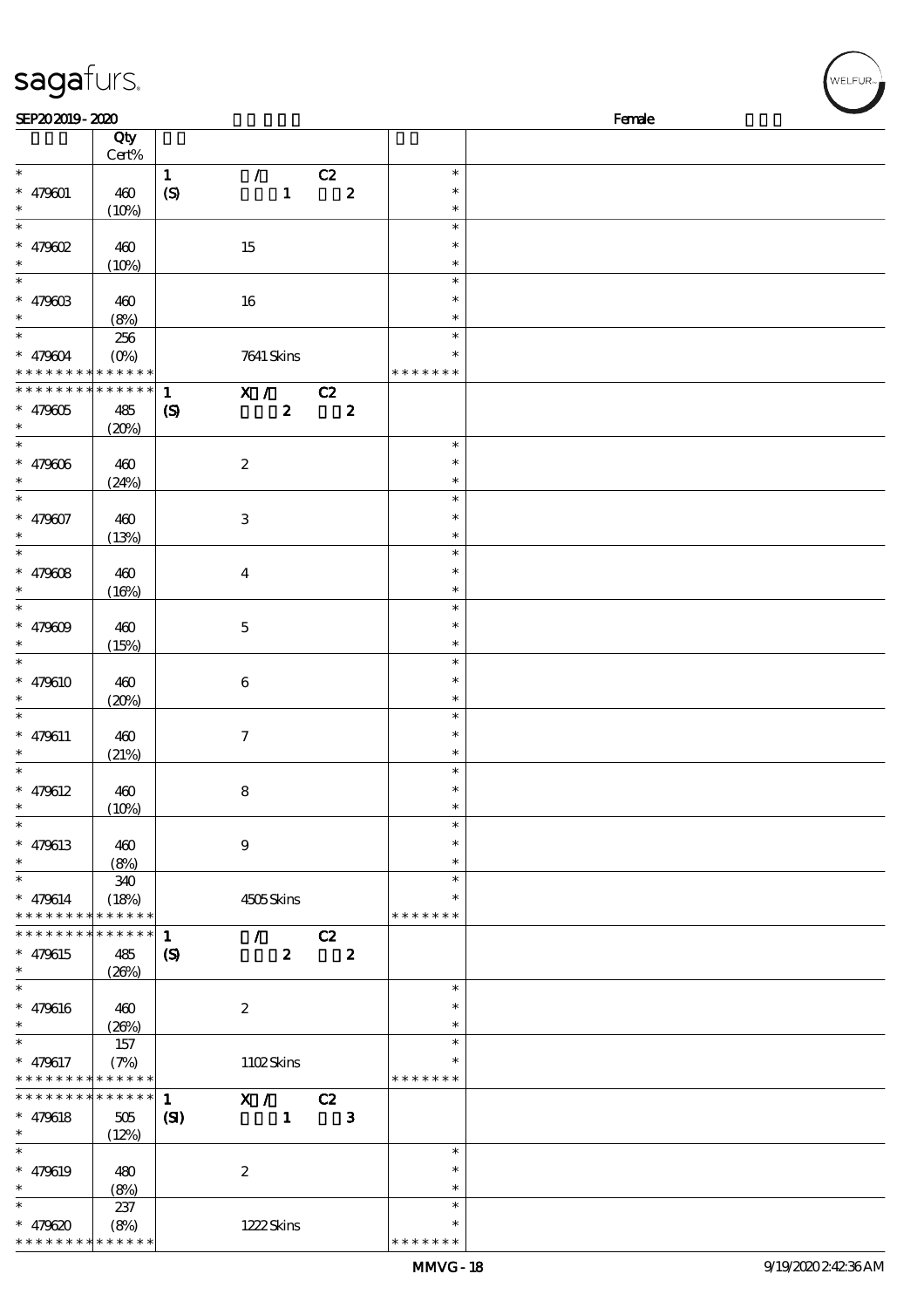| sagafurs.                                           |                               |                                             |                                                                                               |                        |                                   |        | WELFUR <sub>™</sub> |
|-----------------------------------------------------|-------------------------------|---------------------------------------------|-----------------------------------------------------------------------------------------------|------------------------|-----------------------------------|--------|---------------------|
| SEP202019-2020                                      |                               |                                             |                                                                                               |                        |                                   | Female |                     |
|                                                     | Qty<br>Cert%                  |                                             |                                                                                               |                        |                                   |        |                     |
| $\ast$<br>$* 479001$<br>$\ast$                      | 460<br>(10%)                  | $\mathbf{1}$<br>$\boldsymbol{\mathrm{(S)}}$ | $\mathcal{L}$<br>$\mathbf{1}$                                                                 | C2<br>$\pmb{2}$        | $\ast$<br>$\ast$<br>$\ast$        |        |                     |
| $\ast$<br>$*$ 479602<br>$\ast$                      | 460<br>(10%)                  |                                             | 15                                                                                            |                        | $\ast$<br>$\ast$<br>$\ast$        |        |                     |
| $\ast$<br>$* 47960B$                                | 460<br>(8%)                   |                                             | 16                                                                                            |                        | $\ast$<br>$\ast$<br>$\ast$        |        |                     |
| $\ast$<br>$* 479004$<br>$* * *$                     | 256<br>$(O\%)$<br>* * * * * * |                                             | 7641 Skins                                                                                    |                        | $\ast$<br>$\ast$<br>* * * * * * * |        |                     |
| * * * * * * * *<br>$* 479005$<br>$\ast$             | * * * * * *<br>485<br>(20%)   | $\mathbf{1}$<br>$\boldsymbol{S}$            | $\overline{\mathbf{x}}$ / $\overline{\mathbf{c}}$ $\overline{\mathbf{c}}$<br>$\boldsymbol{z}$ | $\boldsymbol{2}$       |                                   |        |                     |
| $\ast$<br>$* 479606$<br>$\ast$                      | 460<br>(24%)                  |                                             | $\boldsymbol{2}$                                                                              |                        | $\ast$<br>$\ast$<br>$\ast$        |        |                     |
| $\ast$<br>$* 479007$<br>$\ast$                      | 460<br>(13%)                  |                                             | $\,3$                                                                                         |                        | $\ast$<br>$\ast$<br>$\ast$        |        |                     |
| $\ast$<br>$* 479608$<br>$\ast$                      | 460<br>(16%)                  |                                             | $\bf{4}$                                                                                      |                        | $\ast$<br>$\ast$<br>$\ast$        |        |                     |
| $\ast$<br>$* 479009$                                | 460<br>(15%)                  |                                             | $\bf 5$                                                                                       |                        | $\ast$<br>$\ast$<br>$\ast$        |        |                     |
| $\ast$<br>$* 479610$                                | 460<br>(20%)                  |                                             | $\,6\,$                                                                                       |                        | $\ast$<br>$\ast$<br>$\ast$        |        |                     |
| $\ast$<br>$* 479611$<br>$\ast$                      | 460<br>(21%)                  |                                             | $\tau$                                                                                        |                        | $\ast$<br>$\ast$<br>$\ast$        |        |                     |
| $\ast$<br>$* 479612$<br>$\ast$                      | 460<br>(10%)                  |                                             | ${\bf 8}$                                                                                     |                        | $\ast$<br>$\ast$<br>$\ast$        |        |                     |
| $\ast$<br>$* 479613$<br>$\ast$                      | 460<br>(8%)                   |                                             | 9                                                                                             |                        | $\ast$<br>∗<br>$\ast$             |        |                     |
| $\ast$<br>$* 479614$<br>* * * * * * * * * * * * * * | 340<br>(18%)                  |                                             | 4505Skins                                                                                     |                        | $\ast$<br>* * * * * * *           |        |                     |
| * * * * * * * *<br>$* 479615$<br>$\ast$             | * * * * * *<br>485<br>(20%)   | $\mathbf{1}$<br>$\boldsymbol{\mathrm{(S)}}$ | $\mathcal{L}$ and $\mathcal{L}$<br>$\boldsymbol{2}$                                           | C2<br>$\boldsymbol{z}$ |                                   |        |                     |
| $\overline{\phantom{0}}$<br>* $479616$<br>$\ast$    | 460<br>(20%)                  |                                             | $\boldsymbol{z}$                                                                              |                        | $\ast$<br>$\ast$<br>$\ast$        |        |                     |
| $\ast$<br>$* 479617$<br>* * * * * * * *             | 157<br>(7%)<br>* * * * * *    |                                             | 1102Skins                                                                                     |                        | $\ast$<br>$\ast$<br>* * * * * * * |        |                     |
| * * * * * * * *<br>$* 479618$<br>$\ast$             | * * * * * *<br>505<br>(12%)   | $\mathbf{1}$<br>(S)                         | $\overline{X}$ / C2<br>$\mathbf{1}$                                                           | $\mathbf{3}$           |                                   |        |                     |
| $\ast$<br>$* 479619$<br>$\ast$                      | 480<br>(8%)                   |                                             | $\boldsymbol{2}$                                                                              |                        | $\ast$<br>$\ast$<br>$\ast$        |        |                     |
| $\ast$                                              | 237                           |                                             |                                                                                               |                        | $\ast$                            |        |                     |

 $* * * *$ 

\*

\* 479620

\* \* \* \* \* \* \* \* \* \* \* \* \* \*

(8%) 1222 Skins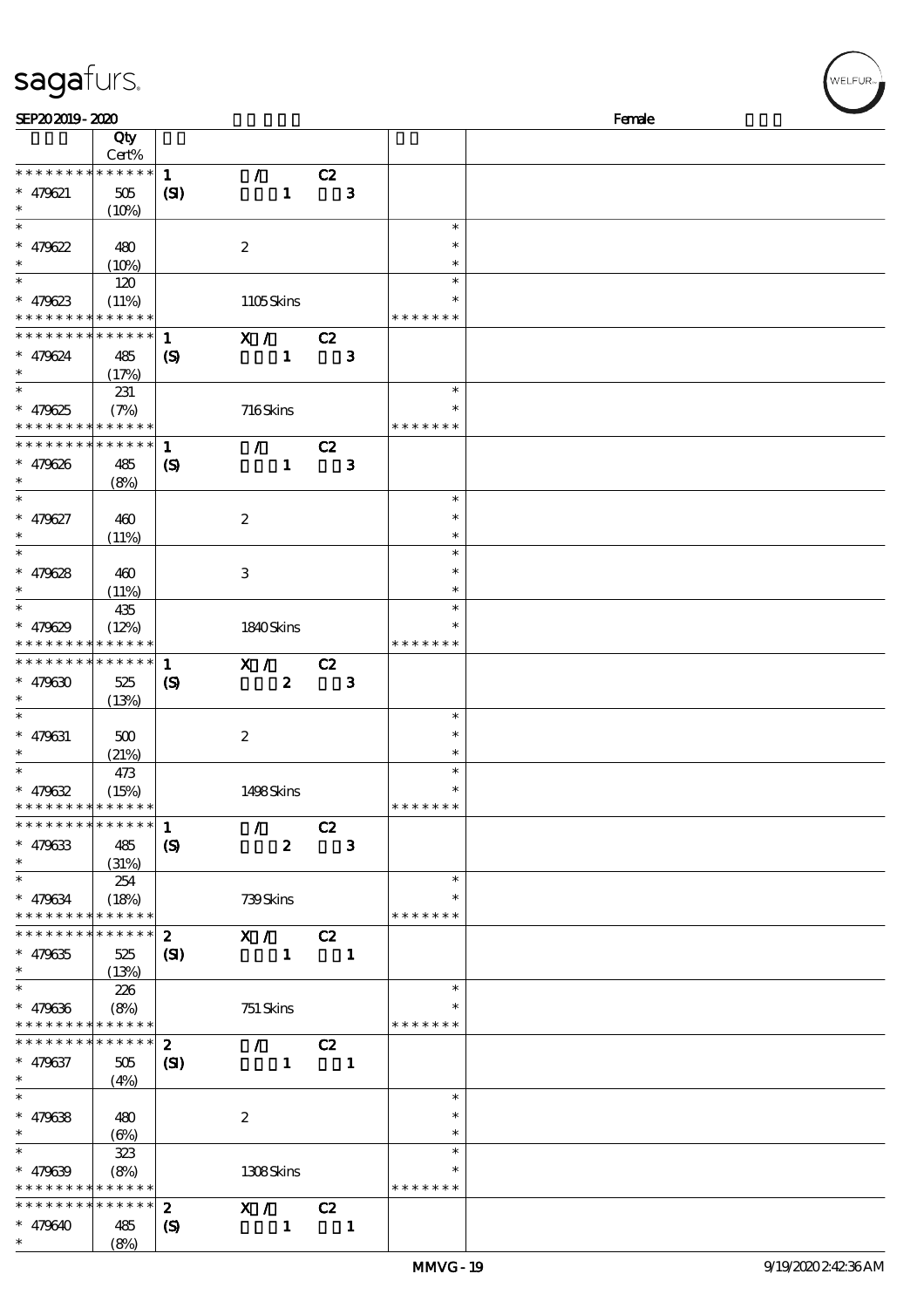| SEP202019-2020                           |                            |                             |                                 |                  |                |                |               | Female |
|------------------------------------------|----------------------------|-----------------------------|---------------------------------|------------------|----------------|----------------|---------------|--------|
|                                          | Qty                        |                             |                                 |                  |                |                |               |        |
|                                          | Cert%                      |                             |                                 |                  |                |                |               |        |
| * * * * * * * * * * * * * *              |                            | $\mathbf{1}$                | $\mathcal{T}^{\pm}$             |                  | C2             |                |               |        |
| $* 479621$                               | $505\,$                    | (S)                         |                                 | $\mathbf{1}$     |                | $\mathbf{3}$   |               |        |
| $\ast$                                   |                            |                             |                                 |                  |                |                |               |        |
| $\ast$                                   | (10%)                      |                             |                                 |                  |                |                | $\ast$        |        |
|                                          |                            |                             |                                 |                  |                |                |               |        |
| $* 479622$                               | 480                        |                             | $\boldsymbol{2}$                |                  |                |                | $\ast$        |        |
| $\ast$                                   | (10%)                      |                             |                                 |                  |                |                | $\ast$        |        |
| $\ast$                                   | 120                        |                             |                                 |                  |                |                | $\ast$        |        |
| $* 479623$                               | (11%)                      |                             | 1105Skins                       |                  |                |                | *             |        |
| * * * * * * * * * * * * * *              |                            |                             |                                 |                  |                |                | * * * * * * * |        |
| * * * * * * * * * * * * * *              |                            | $\mathbf{1}$                | X / C2                          |                  |                |                |               |        |
| $* 479624$                               | 485                        | $\boldsymbol{\mathrm{(S)}}$ |                                 | $\mathbf{1}$     |                | $\mathbf{3}$   |               |        |
| $\ast$                                   | (17%)                      |                             |                                 |                  |                |                |               |        |
| $\overline{\ast}$                        |                            |                             |                                 |                  |                |                | $\ast$        |        |
|                                          | 231                        |                             |                                 |                  |                |                |               |        |
| $* 479625$                               | (7%)                       |                             | 716Skins                        |                  |                |                | *             |        |
| * * * * * * * * * * * * * *              |                            |                             |                                 |                  |                |                | * * * * * * * |        |
| * * * * * * * * * * * * * *              |                            | $\mathbf{1}$                | $\mathcal{F}^{\mathcal{F}}$     |                  | C2             |                |               |        |
| $* 479626$                               | 485                        | $\boldsymbol{\mathcal{S}}$  |                                 | $\mathbf{1}$     |                | $\mathbf{3}$   |               |        |
| $\ast$                                   | (8%)                       |                             |                                 |                  |                |                |               |        |
| $\overline{\ast}$                        |                            |                             |                                 |                  |                |                | $\ast$        |        |
| $* 479627$                               | 460                        |                             | $\boldsymbol{2}$                |                  |                |                | $\ast$        |        |
| $\ast$                                   |                            |                             |                                 |                  |                |                | $\ast$        |        |
| $\ast$                                   | (11%)                      |                             |                                 |                  |                |                | $\ast$        |        |
|                                          |                            |                             |                                 |                  |                |                |               |        |
| $* 479628$                               | 460                        |                             | $\,3$                           |                  |                |                | $\ast$        |        |
| $\ast$                                   | (11%)                      |                             |                                 |                  |                |                | $\ast$        |        |
| $\ast$                                   | 435                        |                             |                                 |                  |                |                | $\ast$        |        |
| $* 479629$                               | (12%)                      |                             | 1840Skins                       |                  |                |                | $\ast$        |        |
| * * * * * * * *                          | * * * * * *                |                             |                                 |                  |                |                | * * * * * * * |        |
| * * * * * * * *                          | * * * * * *                | $\mathbf{1}$                | X / C2                          |                  |                |                |               |        |
| $* 479630$                               | 525                        | $\boldsymbol{\mathrm{(S)}}$ |                                 | $\boldsymbol{z}$ |                | $\mathbf{3}$   |               |        |
| $\ast$                                   |                            |                             |                                 |                  |                |                |               |        |
| $\ast$                                   | (13%)                      |                             |                                 |                  |                |                |               |        |
|                                          |                            |                             |                                 |                  |                |                | $\ast$        |        |
| $* 479631$                               | 500                        |                             | $\boldsymbol{2}$                |                  |                |                | $\ast$        |        |
| $\ast$                                   | (21%)                      |                             |                                 |                  |                |                | $\ast$        |        |
| $\ast$                                   | 473                        |                             |                                 |                  |                |                | $\ast$        |        |
| $* 479632$                               | (15%)                      |                             | 1498Skins                       |                  |                |                | *             |        |
| * * * *                                  | * * * * * *                |                             |                                 |                  |                |                | * * * * * * * |        |
| * * * * * * * * * * * * * *              |                            | $\mathbf{1}$                | $\mathcal{L}$                   |                  | C2             |                |               |        |
| $* 479633$                               | 485                        | $\boldsymbol{S}$            |                                 | $\boldsymbol{z}$ |                | $\mathbf{3}$   |               |        |
| $\ast$                                   | (31%)                      |                             |                                 |                  |                |                |               |        |
| $\ast$                                   |                            |                             |                                 |                  |                |                | $\ast$        |        |
|                                          | 254                        |                             |                                 |                  |                |                | *             |        |
| $* 479634$                               | (18%)                      |                             | 739Skins                        |                  |                |                |               |        |
| * * * * * * * *                          | * * * * * *                |                             |                                 |                  |                |                | * * * * * * * |        |
| * * * * * * * *                          | * * * * * *                | $\mathbf{2}$                | X / C2                          |                  |                |                |               |        |
| $* 479635$                               | 525                        | (S)                         |                                 | $\mathbf{1}$     |                | $\blacksquare$ |               |        |
| $\ast$                                   | (13%)                      |                             |                                 |                  |                |                |               |        |
| $\ast$                                   | 226                        |                             |                                 |                  |                |                | $\ast$        |        |
| $* 479636$                               | (8%)                       |                             | 751 Skins                       |                  |                |                |               |        |
| * * * * * * * *                          | * * * * * *                |                             |                                 |                  |                |                | * * * * * * * |        |
| * * * * * * *                            | * * * * * *                | $\mathbf{2}$                | $\mathcal{L}$ and $\mathcal{L}$ |                  | C2             |                |               |        |
| $* 479637$                               | 505                        | $\mathbf{C}$                |                                 | $\mathbf{1}$     | $\blacksquare$ |                |               |        |
| $\ast$                                   |                            |                             |                                 |                  |                |                |               |        |
| $\ast$                                   | (4%)                       |                             |                                 |                  |                |                | $\ast$        |        |
|                                          |                            |                             |                                 |                  |                |                |               |        |
| $* 479638$                               | 480                        |                             | $\boldsymbol{2}$                |                  |                |                | *             |        |
| $\ast$                                   | (6%)                       |                             |                                 |                  |                |                | $\ast$        |        |
| $\ast$                                   | 323                        |                             |                                 |                  |                |                | $\ast$        |        |
| $* 479639$                               | (8%)                       |                             | 1308Skins                       |                  |                |                |               |        |
| * * * * * * * * <mark>* * * * * *</mark> |                            |                             |                                 |                  |                |                | * * * * * * * |        |
| * * * * * * * *                          | $\ast\ast\ast\ast\ast\ast$ | $\boldsymbol{z}$            | X /                             |                  | C2             |                |               |        |
| $* 479640$                               | 485                        | $\boldsymbol{\mathrm{(S)}}$ |                                 | $\mathbf{1}$     |                | $\mathbf{1}$   |               |        |
| $\ast$                                   | (8%)                       |                             |                                 |                  |                |                |               |        |
|                                          |                            |                             |                                 |                  |                |                |               |        |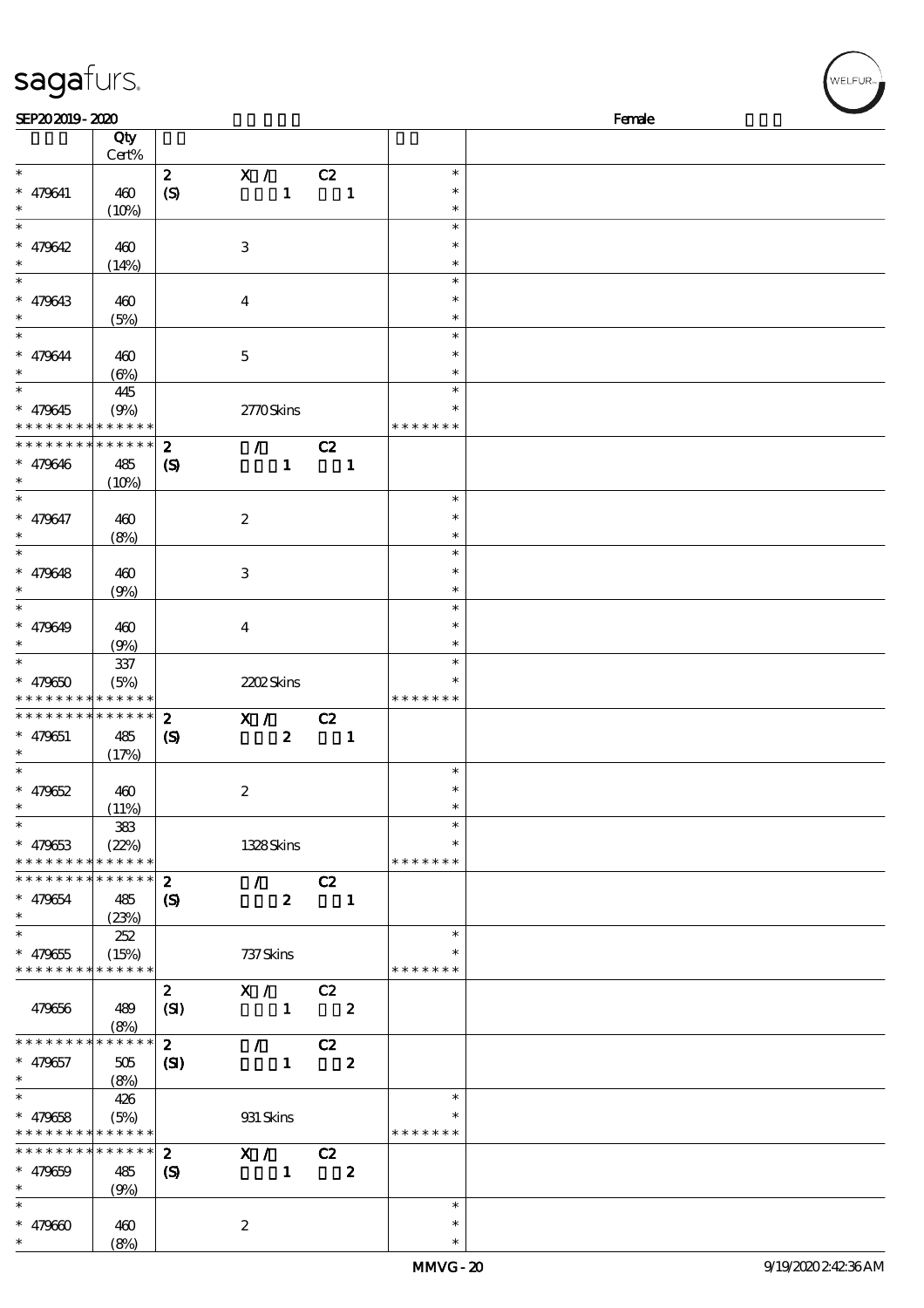## sagafurs.

| SEP202019-2020                             |                     |                            |                                 |                  |                          |                  |               | Female |
|--------------------------------------------|---------------------|----------------------------|---------------------------------|------------------|--------------------------|------------------|---------------|--------|
|                                            | Qty                 |                            |                                 |                  |                          |                  |               |        |
|                                            | Cert%               |                            |                                 |                  |                          |                  |               |        |
| $\ast$                                     |                     | $\mathbf{z}$               | X / C2                          |                  |                          |                  | $\ast$        |        |
| $* 479641$                                 | 460                 | $\boldsymbol{S}$           |                                 | 1                | $\blacksquare$           |                  | $\ast$        |        |
| $\ast$                                     | (10%)               |                            |                                 |                  |                          |                  | $\ast$        |        |
| $\overline{\ast}$                          |                     |                            |                                 |                  |                          |                  | $\ast$        |        |
| $* 479642$                                 | 460                 |                            | $\,3$                           |                  |                          |                  | $\ast$        |        |
| $\ast$                                     | (14%)               |                            |                                 |                  |                          |                  | $\ast$        |        |
| $\ast$                                     |                     |                            |                                 |                  |                          |                  | $\ast$        |        |
| $* 479643$                                 | 460                 |                            | $\boldsymbol{4}$                |                  |                          |                  | $\ast$        |        |
| $\ast$                                     |                     |                            |                                 |                  |                          |                  | $\ast$        |        |
| $\ast$                                     | (5%)                |                            |                                 |                  |                          |                  | $\ast$        |        |
|                                            |                     |                            |                                 |                  |                          |                  | $\ast$        |        |
| $* 479644$<br>$\ast$                       | 460                 |                            | $\mathbf 5$                     |                  |                          |                  | $\ast$        |        |
| $_{*}^{-}$                                 | $(\Theta)$          |                            |                                 |                  |                          |                  | $\ast$        |        |
|                                            | 445                 |                            |                                 |                  |                          |                  |               |        |
| $* 479645$                                 | (9%)                |                            | 2770Skins                       |                  |                          |                  |               |        |
| * * * * * * * * * * * * * *                |                     |                            |                                 |                  |                          |                  | * * * * * * * |        |
| * * * * * * * *                            | $* * * * * * *$     | $\boldsymbol{z}$           | $\sqrt{C^2}$                    |                  |                          |                  |               |        |
| $* 479646$                                 | 485                 | $\boldsymbol{\mathcal{S}}$ |                                 | $\mathbf{1}$     |                          | $\blacksquare$   |               |        |
| $\ast$                                     | (10%)               |                            |                                 |                  |                          |                  |               |        |
| $\overline{\phantom{a}^*}$                 |                     |                            |                                 |                  |                          |                  | $\ast$        |        |
| $* 479647$                                 | 460                 |                            | $\boldsymbol{z}$                |                  |                          |                  | $\ast$        |        |
| $\ast$                                     | (8%)                |                            |                                 |                  |                          |                  | $\ast$        |        |
| $_{*}^{-}$                                 |                     |                            |                                 |                  |                          |                  | $\ast$        |        |
| $* 479648$                                 | 460                 |                            | $\,3$                           |                  |                          |                  | $\ast$        |        |
| $\ast$                                     | (9%)                |                            |                                 |                  |                          |                  | $\ast$        |        |
| $\overline{\ast}$                          |                     |                            |                                 |                  |                          |                  | $\ast$        |        |
| $* 479649$                                 | 460                 |                            | $\bf{4}$                        |                  |                          |                  | $\ast$        |        |
| $\ast$                                     | (9%)                |                            |                                 |                  |                          |                  | $\ast$        |        |
| $\ast$                                     | 337                 |                            |                                 |                  |                          |                  | $\ast$        |        |
| $* 479650$                                 | (5%)                |                            | 2202Skins                       |                  |                          |                  | *             |        |
| * * * * * * * * <mark>* * * * * * *</mark> |                     |                            |                                 |                  |                          |                  | * * * * * * * |        |
| * * * * * * * *                            | * * * * * *         | $\boldsymbol{z}$           | X / C2                          |                  |                          |                  |               |        |
| $* 479651$                                 | 485                 | $\boldsymbol{\mathcal{S}}$ |                                 | $\mathbf{z}$     | $\blacksquare$           |                  |               |        |
| $\ast$                                     | (17%)               |                            |                                 |                  |                          |                  |               |        |
| $\ast$                                     |                     |                            |                                 |                  |                          |                  | $\ast$        |        |
| $* 479652$                                 | 460                 |                            | $\boldsymbol{2}$                |                  |                          |                  | $\ast$        |        |
| ∗                                          | (11%)               |                            |                                 |                  |                          |                  |               |        |
| $\overline{\phantom{a}}$                   | 383                 |                            |                                 |                  |                          |                  | $\ast$        |        |
| $* 479653$                                 | (22%)               |                            | 1328Skins                       |                  |                          |                  | *             |        |
| * * * * * * * * * * * * * *                |                     |                            |                                 |                  |                          |                  | * * * * * * * |        |
| * * * * * * * * * * * * * *                |                     | $\boldsymbol{z}$           | $\mathcal{L}$                   |                  | C2                       |                  |               |        |
| $* 479654$                                 | 485                 | $\boldsymbol{\mathcal{S}}$ |                                 | $\boldsymbol{z}$ |                          | $\mathbf{1}$     |               |        |
| $\ast$                                     | (23%)               |                            |                                 |                  |                          |                  |               |        |
| $\ast$                                     | 252                 |                            |                                 |                  |                          |                  | $\ast$        |        |
| $* 479655$                                 | (15%)               |                            | 737 Skins                       |                  |                          |                  | $\ast$        |        |
| * * * * * * * *                            | * * * * * *         |                            |                                 |                  |                          |                  | * * * * * * * |        |
|                                            |                     |                            | X / C2                          |                  |                          |                  |               |        |
|                                            |                     | $\boldsymbol{z}$           |                                 |                  |                          |                  |               |        |
| 479656                                     | 489                 | (SI)                       |                                 | $\mathbf{1}$     | $\overline{\phantom{a}}$ |                  |               |        |
| * * * * * * * *                            | (8%)<br>* * * * * * |                            |                                 |                  |                          |                  |               |        |
|                                            |                     | $\mathbf{2}$               | $\mathcal{F}^{\mathcal{F}}$     |                  | C2                       |                  |               |        |
| $* 479657$                                 | 505                 | (S)                        |                                 | $\mathbf{1}$     |                          | $\boldsymbol{z}$ |               |        |
| $\ast$                                     | (8%)                |                            |                                 |                  |                          |                  |               |        |
| $\ast$                                     | 426                 |                            |                                 |                  |                          |                  | $\ast$        |        |
| $* 479658$                                 | (5%)                |                            | 931 Skins                       |                  |                          |                  |               |        |
| * * * * * * * * * * * * * *                |                     |                            |                                 |                  |                          |                  | * * * * * * * |        |
| * * * * * * * *                            | * * * * * *         | $\mathbf{2}$               | $\overline{X}$ / C <sub>2</sub> |                  |                          |                  |               |        |
| $* 479659$                                 | 485                 | $\boldsymbol{\mathcal{S}}$ |                                 | $\mathbf{1}$     |                          | $\boldsymbol{z}$ |               |        |
| $\ast$                                     | (9%)                |                            |                                 |                  |                          |                  |               |        |
| $\ast$                                     |                     |                            |                                 |                  |                          |                  | $\ast$        |        |
| $* 479600$                                 | 460                 |                            | $\boldsymbol{2}$                |                  |                          |                  | $\ast$        |        |
| $\ast$                                     | (8%)                |                            |                                 |                  |                          |                  | $\ast$        |        |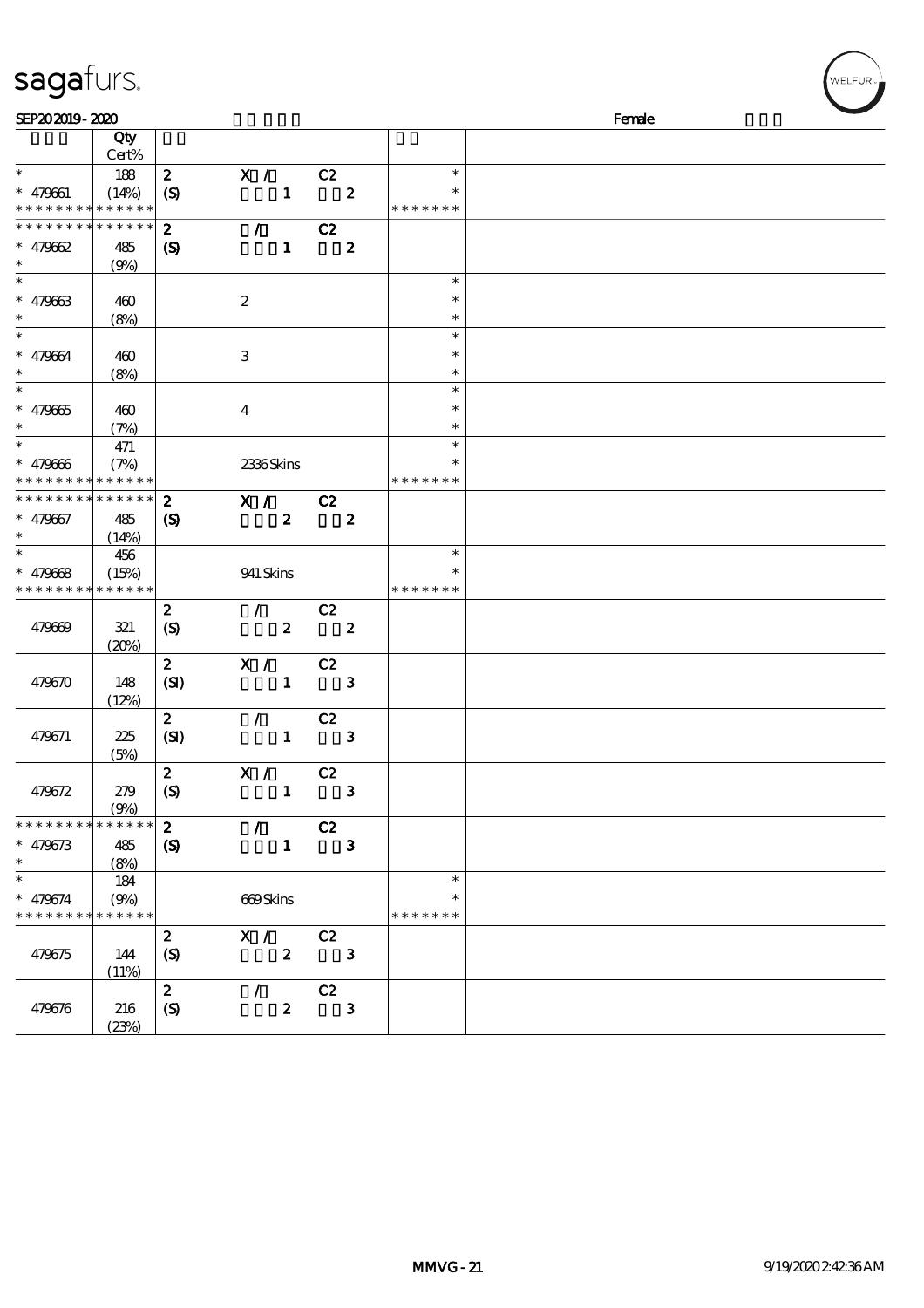| sagafurs.                                |                      |                            |                  |       |                  |               | WELFUR <sub>™</sub> |
|------------------------------------------|----------------------|----------------------------|------------------|-------|------------------|---------------|---------------------|
| SEP202019-2020                           |                      |                            |                  |       |                  |               | Female              |
|                                          | Qty                  |                            |                  |       |                  |               |                     |
|                                          | Cert%                |                            |                  |       |                  |               |                     |
| $\ast$                                   | 188                  | $\boldsymbol{z}$           | X /              | C2    |                  | $\ast$        |                     |
| $* 479661$                               | (14%)                | (S)                        | $\mathbf{1}$     |       | $\boldsymbol{z}$ |               |                     |
| * * * * * * * * <mark>* * * * * *</mark> |                      |                            |                  |       |                  | * * * * * * * |                     |
| * * * * * * * *                          | * * * * * *          | $\boldsymbol{z}$           | $\mathcal{L}$    | C2    |                  |               |                     |
| $* 479662$                               | 485                  | $\boldsymbol{\mathcal{S}}$ | $\mathbf{1}$     |       | $\boldsymbol{2}$ |               |                     |
| $\ast$                                   | (9%)                 |                            |                  |       |                  |               |                     |
| $\ast$                                   |                      |                            |                  |       |                  | $\ast$        |                     |
| $* 479663$                               | 460                  |                            | $\boldsymbol{2}$ |       |                  | $\ast$        |                     |
|                                          | (8%)                 |                            |                  |       |                  | $\ast$        |                     |
| $\ast$                                   |                      |                            |                  |       |                  | $\ast$        |                     |
| $* 479664$                               | 460                  |                            | $\,3$            |       |                  | $\ast$        |                     |
| $\ast$                                   | (8%)                 |                            |                  |       |                  | $\ast$        |                     |
| $\ast$                                   |                      |                            |                  |       |                  | $\ast$        |                     |
| $* 479665$                               | 460                  |                            | $\boldsymbol{4}$ |       |                  | $\ast$        |                     |
|                                          | (7%)                 |                            |                  |       |                  | $\ast$        |                     |
| $\ast$                                   | 471                  |                            |                  |       |                  | $\ast$        |                     |
| $* 479666$                               | (7%)                 |                            | 2336Skins        |       |                  | $\ast$        |                     |
| * * * * * * *                            | * * * * * *          |                            |                  |       |                  | * * * * * * * |                     |
| * * * * * * * *                          | * * * * * *          | $\boldsymbol{z}$           | X /              | $-cz$ |                  |               |                     |
| $* 479667$<br>$\ast$                     | 485                  | $\boldsymbol{S}$           | $\boldsymbol{z}$ |       | $\boldsymbol{z}$ |               |                     |
| $\ast$                                   | (14%)                |                            |                  |       |                  | $\ast$        |                     |
|                                          | 456                  |                            |                  |       |                  | $\ast$        |                     |
| * $479668$<br>* * * * * * * *            | (15%)<br>* * * * * * |                            | 941 Skins        |       |                  | * * * * * * * |                     |
|                                          |                      | $\boldsymbol{2}$           | $\mathcal{L}$    | C2    |                  |               |                     |
| 479669                                   |                      |                            | $\pmb{2}$        |       | $\boldsymbol{z}$ |               |                     |
|                                          | 321<br>(20%)         | $\boldsymbol{\mathcal{S}}$ |                  |       |                  |               |                     |
|                                          |                      | $\boldsymbol{z}$           | X /              | C2    |                  |               |                     |
| 479670                                   | 148                  | (SI)                       | $\mathbf{1}$     |       | ${\bf 3}$        |               |                     |
|                                          | (12%)                |                            |                  |       |                  |               |                     |
|                                          |                      | $\boldsymbol{2}$           | $\mathcal{L}$    | C2    |                  |               |                     |
| 479671                                   | 225                  | (SI)                       | $\mathbf{1}$     |       | 3                |               |                     |
|                                          | (5%)                 |                            |                  |       |                  |               |                     |
|                                          |                      | $\boldsymbol{2}$           | X / C2           |       |                  |               |                     |
| 479672                                   | 279                  | (S)                        | $\mathbf{1}$     |       | 3                |               |                     |
|                                          | (9%)                 |                            |                  |       |                  |               |                     |
| * * * * * * * *                          | * * * * * *          | $\mathbf{z}$               | $\sqrt{C_2}$     |       |                  |               |                     |
| $* 479673$                               | 485                  | $\boldsymbol{\mathcal{S}}$ | $\mathbf{1}$     |       | $\mathbf{3}$     |               |                     |
| $\ast$                                   | (8%)                 |                            |                  |       |                  |               |                     |
| $\ast$                                   | 184                  |                            |                  |       |                  | $\ast$        |                     |
| $* 479674$                               | (9%)                 |                            | 669Skins         |       |                  | $\ast$        |                     |
| * * * * * * * * * * * * * *              |                      |                            |                  |       |                  | * * * * * * * |                     |
|                                          |                      | $\boldsymbol{z}$           | X /              | C2    |                  |               |                     |
| 479675                                   | 144                  | $\boldsymbol{S}$           | $\boldsymbol{z}$ |       | $\mathbf{3}$     |               |                     |
|                                          | (11%)                |                            |                  |       |                  |               |                     |
|                                          |                      | $\mathbf{z}$               | $\mathcal{L}$    | C2    |                  |               |                     |
| 479676                                   | 216                  | $\boldsymbol{S}$           | $\boldsymbol{z}$ |       | $\mathbf{3}$     |               |                     |

(23%)

WELFUR<sub>"</sub>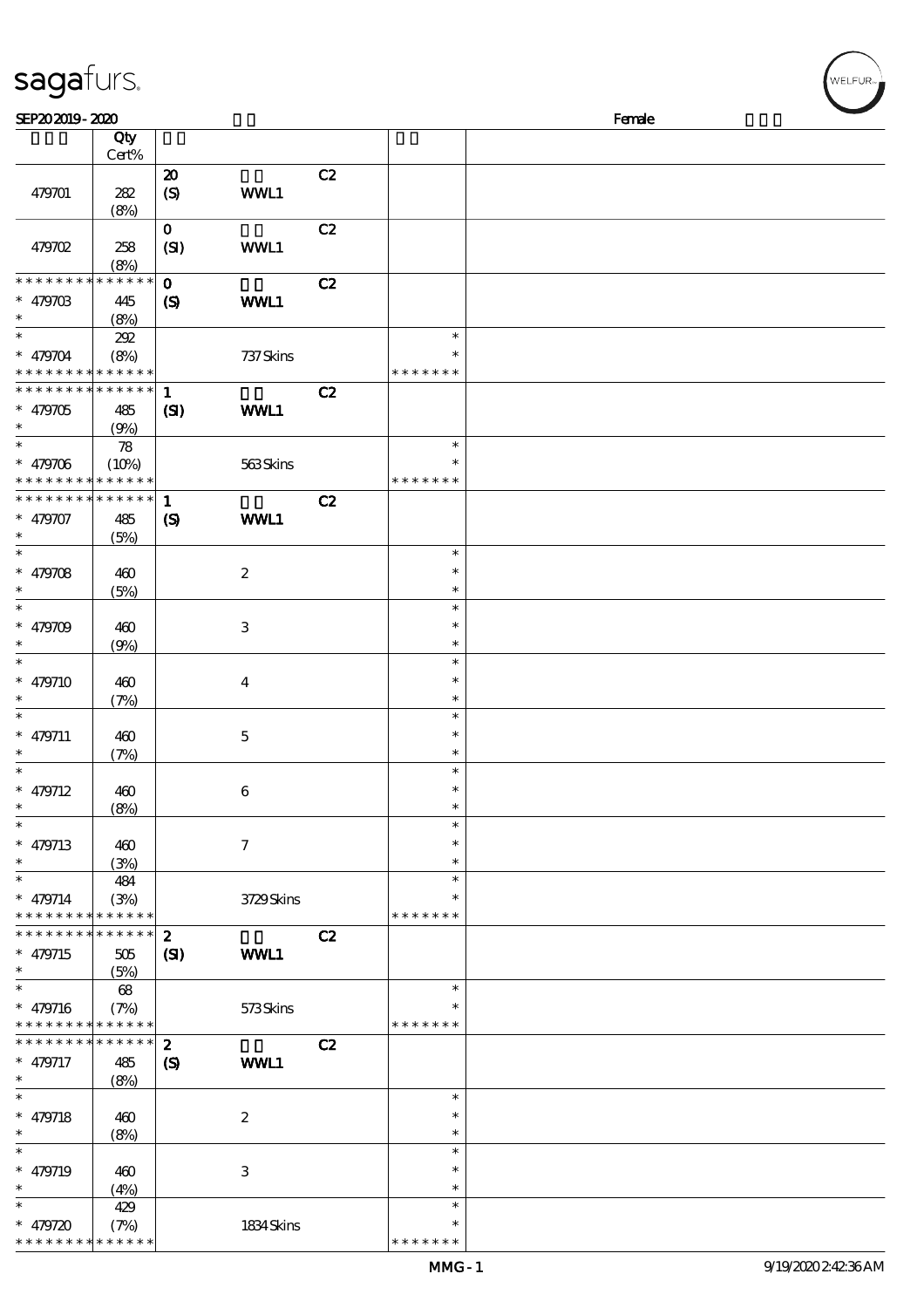| sagafurs.                                |                            |                             |                  |    |               |  | WELFUR <sub>™</sub> |  |  |  |
|------------------------------------------|----------------------------|-----------------------------|------------------|----|---------------|--|---------------------|--|--|--|
| SEP202019-2020                           |                            |                             |                  |    | Female        |  |                     |  |  |  |
|                                          | Qty                        |                             |                  |    |               |  |                     |  |  |  |
|                                          | Cert%                      |                             |                  |    |               |  |                     |  |  |  |
|                                          |                            | $\boldsymbol{\mathsf{20}}$  |                  | C2 |               |  |                     |  |  |  |
| 479701                                   | 282                        | $\boldsymbol{S}$            | WWL1             |    |               |  |                     |  |  |  |
|                                          | (8%)                       |                             |                  |    |               |  |                     |  |  |  |
|                                          |                            | $\mathbf{o}$                |                  | C2 |               |  |                     |  |  |  |
| 479702                                   | 258                        | (SI)                        | WWL1             |    |               |  |                     |  |  |  |
|                                          | (8%)                       |                             |                  |    |               |  |                     |  |  |  |
| * * * * * * * *                          | * * * * * *                | $\mathbf{o}$                |                  | C2 |               |  |                     |  |  |  |
| $* 47970B$                               | 445                        | $\boldsymbol{\mathcal{S}}$  | WWL1             |    |               |  |                     |  |  |  |
|                                          | (8%)                       |                             |                  |    |               |  |                     |  |  |  |
| $\ast$                                   | 202                        |                             |                  |    | $\ast$        |  |                     |  |  |  |
| $* 479704$                               | (8%)                       |                             | 737 Skins        |    | $\ast$        |  |                     |  |  |  |
| $* * *$                                  | * * * * * *                |                             |                  |    | * * * * * * * |  |                     |  |  |  |
| * * * * * * * *                          | * * * * * *                | $\mathbf 1$                 |                  | C2 |               |  |                     |  |  |  |
| $* 479705$                               | 485                        | $\mathbf{C}$                | WWL1             |    |               |  |                     |  |  |  |
| $\ast$                                   | (9%)                       |                             |                  |    |               |  |                     |  |  |  |
| $\ast$                                   | $\boldsymbol{\mathcal{R}}$ |                             |                  |    | $\ast$        |  |                     |  |  |  |
| $* 479706$                               | (10%)                      |                             | 563Skins         |    | $\ast$        |  |                     |  |  |  |
| * * * * * * * *                          | * * * * * *                |                             |                  |    | * * * * * * * |  |                     |  |  |  |
| * * * * * * * * * * * * * *              |                            | $\mathbf{1}$                |                  | C2 |               |  |                     |  |  |  |
| $* 479707$                               |                            |                             | WWL1             |    |               |  |                     |  |  |  |
| $\ast$                                   | 485                        | $\boldsymbol{\mathrm{(S)}}$ |                  |    |               |  |                     |  |  |  |
| $\ast$                                   | (5%)                       |                             |                  |    | $\ast$        |  |                     |  |  |  |
|                                          |                            |                             |                  |    | $\ast$        |  |                     |  |  |  |
| $* 479708$<br>$\ast$                     | 460                        |                             | $\boldsymbol{2}$ |    | $\ast$        |  |                     |  |  |  |
| $\ast$                                   | (5%)                       |                             |                  |    | $\ast$        |  |                     |  |  |  |
|                                          |                            |                             |                  |    |               |  |                     |  |  |  |
| $* 479709$                               | 460                        |                             | $\,3$            |    | $\ast$        |  |                     |  |  |  |
|                                          | (9%)                       |                             |                  |    | $\ast$        |  |                     |  |  |  |
| $\ast$                                   |                            |                             |                  |    | $\ast$        |  |                     |  |  |  |
| $* 479710$                               | 460                        |                             | $\boldsymbol{4}$ |    | $\ast$        |  |                     |  |  |  |
|                                          | (7%)                       |                             |                  |    | $\ast$        |  |                     |  |  |  |
| $\ast$                                   |                            |                             |                  |    | $\ast$        |  |                     |  |  |  |
| $* 479711$                               | 460                        |                             | $\bf 5$          |    | $\ast$        |  |                     |  |  |  |
| $\ast$                                   | (7%)                       |                             |                  |    | $\ast$        |  |                     |  |  |  |
| $\ast$                                   |                            |                             |                  |    | $\ast$        |  |                     |  |  |  |
| $* 479712$                               | 460                        |                             | $\bf 6$          |    | $\ast$        |  |                     |  |  |  |
| $\ast$                                   | (8%)                       |                             |                  |    | $\ast$        |  |                     |  |  |  |
| $\ast$                                   |                            |                             |                  |    | $\ast$        |  |                     |  |  |  |
| $* 479713$                               | 460                        |                             | $\tau$           |    | $\ast$        |  |                     |  |  |  |
| $\ast$                                   | (3%)                       |                             |                  |    | $\ast$        |  |                     |  |  |  |
| $\ast$                                   | 484                        |                             |                  |    | $\ast$        |  |                     |  |  |  |
| $* 479714$                               | (3%)                       |                             | 3729Skins        |    |               |  |                     |  |  |  |
| * * * * * * * * <mark>* * * * * *</mark> |                            |                             |                  |    | * * * * * * * |  |                     |  |  |  |
| * * * * * * * *                          | * * * * * *                | $\boldsymbol{z}$            |                  | C2 |               |  |                     |  |  |  |
| $* 479715$                               | 505                        | (S)                         | <b>WWL1</b>      |    |               |  |                     |  |  |  |
| $\ast$                                   | (5%)                       |                             |                  |    |               |  |                     |  |  |  |
| $\overline{\phantom{0}}$                 | 68                         |                             |                  |    | $\ast$        |  |                     |  |  |  |
| $* 479716$                               | (7%)                       |                             | 573Skins         |    | ∗             |  |                     |  |  |  |
| * * * * * * * * * * * * * *              |                            |                             |                  |    | * * * * * * * |  |                     |  |  |  |
| * * * * * * * *                          | * * * * * *                | $\boldsymbol{z}$            |                  | C2 |               |  |                     |  |  |  |
| $* 479717$                               | 485                        | $\boldsymbol{\mathcal{S}}$  | WWL1             |    |               |  |                     |  |  |  |
| $\ast$                                   | (8%)                       |                             |                  |    |               |  |                     |  |  |  |
| $\ast$                                   |                            |                             |                  |    | $\ast$        |  |                     |  |  |  |
| $* 479718$                               | 460                        |                             | $\boldsymbol{2}$ |    | $\ast$        |  |                     |  |  |  |
| $\ast$                                   | (8%)                       |                             |                  |    | $\ast$        |  |                     |  |  |  |
| $\ast$                                   |                            |                             |                  |    | $\ast$        |  |                     |  |  |  |
| $* 479719$                               | 460                        |                             | $\,3\,$          |    | $\ast$        |  |                     |  |  |  |
| $\ast$                                   | (4%)                       |                             |                  |    | $\ast$        |  |                     |  |  |  |

\* \* \*  $\ddot{\phantom{0}}$ \* \* \*

\*\*

 $\ast$ 

\*\* <sup>479720</sup> \* \* \* \* \* \* \* \* \* \* \* \* \* \*

429

(7%) 1834 Skins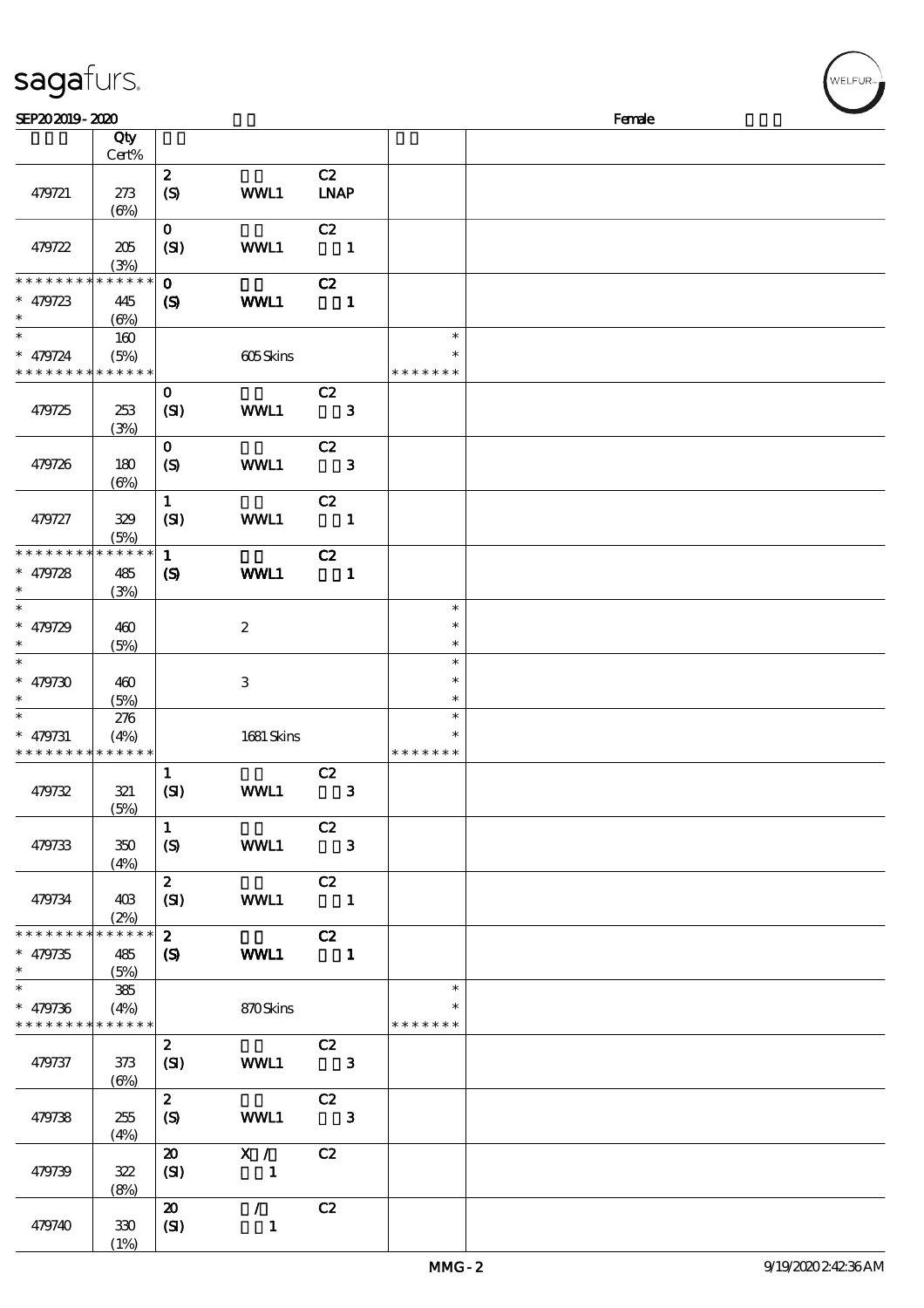| sagafurs.                                                          |                   |                                     |                     |                                   |              |                         | WELFUR <sub>™</sub> |
|--------------------------------------------------------------------|-------------------|-------------------------------------|---------------------|-----------------------------------|--------------|-------------------------|---------------------|
| SEP202019-2020                                                     |                   |                                     |                     |                                   |              |                         | Female              |
|                                                                    | Qty<br>Cert%      |                                     |                     |                                   |              |                         |                     |
|                                                                    |                   | $\boldsymbol{z}$                    |                     | C2                                |              |                         |                     |
| 479721                                                             | 273<br>(6%)       | $\boldsymbol{\mathrm{(S)}}$         | WWL1                | <b>LNAP</b>                       |              |                         |                     |
| 479722                                                             | 205<br>(3%)       | $\mathbf 0$<br>(SI)                 | WWL1                | C2<br>$\blacksquare$              |              |                         |                     |
| * * * * * * * * <mark>* * * * * *</mark>                           |                   | $\mathbf{o}$                        |                     | C2                                |              |                         |                     |
| $* 479723$<br>$\ast$                                               | 445<br>(6%)       | $\boldsymbol{\mathcal{S}}$          | WWL1                |                                   | $\mathbf{1}$ |                         |                     |
| $\ast$                                                             | 160               |                                     |                     |                                   |              | $\ast$<br>$\ast$        |                     |
| $* 479724$<br>* * * * * * * * <mark>* * * * * *</mark>             | (5%)              |                                     | 605Skins            |                                   |              | * * * * * * *           |                     |
| 479725                                                             | 253<br>(3%)       | $\mathbf 0$<br>(SI)                 | WWL1                | C2                                | $\mathbf{3}$ |                         |                     |
| 479726                                                             | 180<br>$(\Theta)$ | $\mathbf{o}$<br>$\boldsymbol{S}$    | WWL1                | C2                                | $\mathbf{3}$ |                         |                     |
| 479727                                                             | 329<br>(5%)       | $\mathbf{1}$<br>(SI)                | WWL1                | C2<br>$\overline{\phantom{0}}$    |              |                         |                     |
| * * * * * * * *                                                    | * * * * * *       | $\mathbf{1}$                        |                     | C2                                |              |                         |                     |
| $* 479728$                                                         | 485<br>(3%)       | $\boldsymbol{\mathrm{(S)}}$         | WWL1                | $\blacksquare$                    |              |                         |                     |
| $\ast$<br>$* 479729$                                               | 460               |                                     | $\boldsymbol{2}$    |                                   |              | $\ast$<br>$\ast$        |                     |
| $\ast$                                                             | (5%)              |                                     |                     |                                   |              | $\ast$<br>$\ast$        |                     |
| $* 479730$                                                         | 460               |                                     | $\,3$               |                                   |              | $\ast$<br>$\ast$        |                     |
| $\ast$                                                             | (5%)<br>276       |                                     |                     |                                   |              | $\ast$                  |                     |
| $* 479731$<br>* * * * * * * * <mark>* * * * * * *</mark>           | (4%)              |                                     | 1681 Skins          |                                   |              | $\ast$<br>*******       |                     |
| 479732                                                             | 321<br>(5%)       | $\mathbf{1}$<br>(SI)                | WWL1                | C2<br>$\overline{\phantom{a}}$ 3  |              |                         |                     |
| 479733                                                             | 350<br>(4%)       | $\mathbf{1}$<br>(S)                 | WWL1                | C2<br>$\overline{\mathbf{3}}$     |              |                         |                     |
| 479734                                                             | 403<br>(2%)       | $\mathbf{2}$<br>(SI)                | WWL1                | C2<br>$\overline{\phantom{a}}$    |              |                         |                     |
| * * * * * * * * <mark>* * * * * * *</mark><br>$* 479735$<br>$\ast$ | 485<br>(5%)       | $\mathbf{2}$<br>(S)                 | WWL1                | $\overline{c}z$<br>$\blacksquare$ |              |                         |                     |
| $\ast$<br>$* 479736$<br>* * * * * * * * <mark>* * * * * *</mark>   | 385<br>(4%)       |                                     | 870Skins            |                                   |              | $\ast$<br>* * * * * * * |                     |
| 479737                                                             | 373               | $\mathbf{2}$<br>(SI)                | WWL1                | C2<br>$\overline{\phantom{a}}$ 3  |              |                         |                     |
|                                                                    | (6%)              | $\mathbf{z}$                        |                     | C2                                |              |                         |                     |
| 479738                                                             | 255<br>(4%)       | (S)                                 | WWL1                | $\overline{\phantom{a}}$ 3        |              |                         |                     |
| 479739                                                             | 322               | $\boldsymbol{\mathfrak{D}}$<br>(SI) | X /<br>$\mathbf{1}$ | C2                                |              |                         |                     |

 $(8%)$ 

 $\begin{array}{c|c}\n 20 & / & C2 \\
\hline\n (SI) & 1\n \end{array}$ 

 $(1%)$ 

 $(SI)$ 

479740 330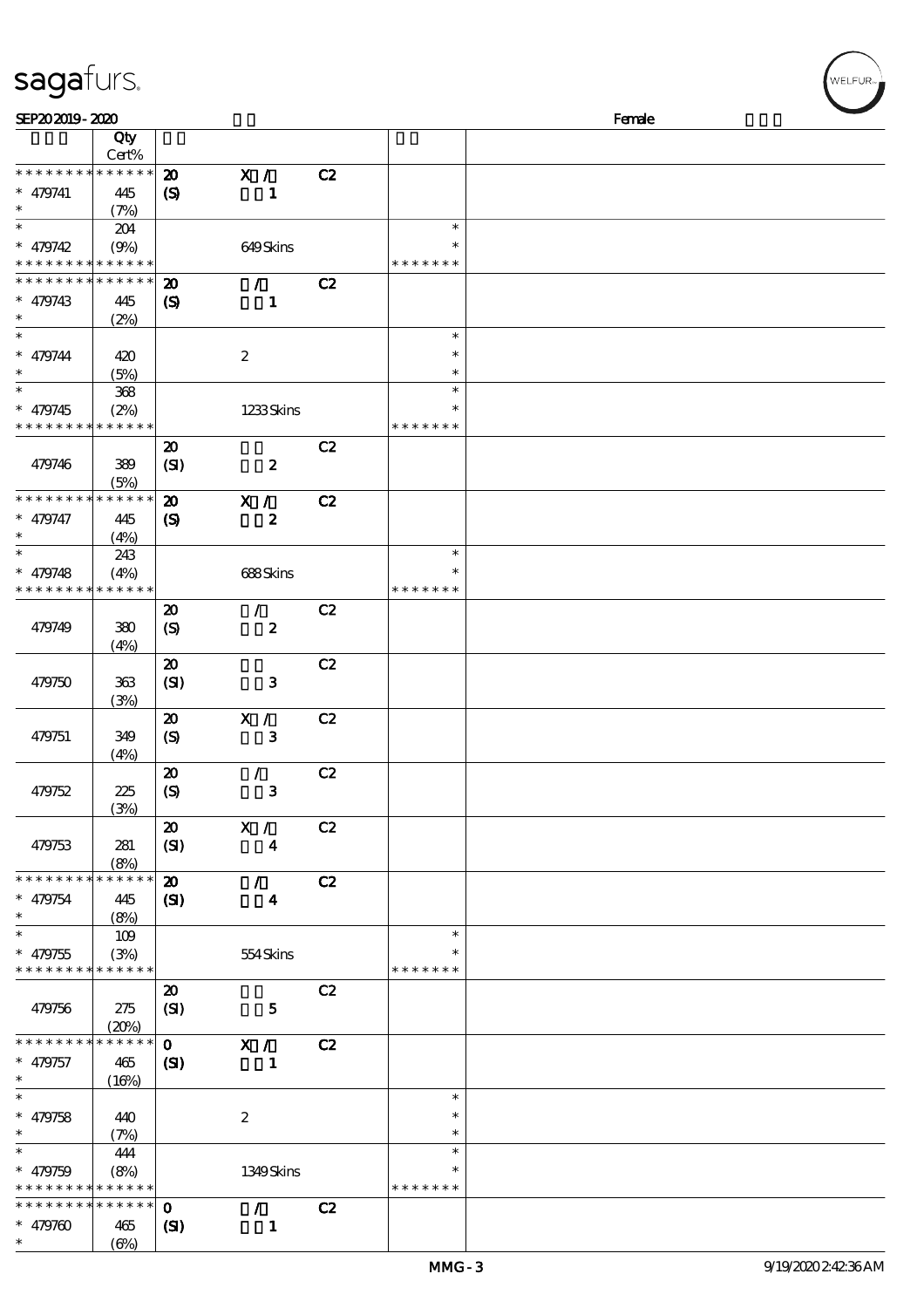# sagafurs.

| SEP202019-2020                             |              |                             |                  |    | Female        |  |
|--------------------------------------------|--------------|-----------------------------|------------------|----|---------------|--|
|                                            | Qty<br>Cert% |                             |                  |    |               |  |
| * * * * * * * *                            | * * * * * *  | $\boldsymbol{\mathbf{z}}$   | X /              | C2 |               |  |
| $* 479741$                                 | 445          | $\boldsymbol{\mathrm{(S)}}$ | $\mathbf{1}$     |    |               |  |
| $\ast$                                     | (7%)         |                             |                  |    |               |  |
| $\ast$                                     | 204          |                             |                  |    | $\ast$        |  |
| $* 479742$                                 | (9%)         |                             | 649Skins         |    | $\ast$        |  |
| * * * * * * * * <mark>* * * * * * *</mark> |              |                             |                  |    | * * * * * * * |  |
| * * * * * * * *                            | * * * * * *  | $\boldsymbol{\mathbf{z}}$   | $\mathcal{L}$    | C2 |               |  |
| $* 479743$                                 |              |                             | $\mathbf{1}$     |    |               |  |
| $\ast$                                     | 445          | $\boldsymbol{\mathcal{S}}$  |                  |    |               |  |
| $\ast$                                     | (2%)         |                             |                  |    | $\ast$        |  |
|                                            |              |                             |                  |    | $\ast$        |  |
| $* 479744$<br>$\ast$                       | 420          |                             | $\boldsymbol{2}$ |    | $\ast$        |  |
| $\ast$                                     | (5%)         |                             |                  |    | $\ast$        |  |
|                                            | 368          |                             |                  |    |               |  |
| $* 479745$                                 | (2%)         |                             | 1233Skins        |    | $\ast$        |  |
| * * * * * * * *                            | * * * * * *  |                             |                  |    | * * * * * * * |  |
|                                            |              | $\boldsymbol{\mathfrak{D}}$ |                  | C2 |               |  |
| 479746                                     | 389          | (SI)                        | $\pmb{2}$        |    |               |  |
|                                            | (5%)         |                             |                  |    |               |  |
| * * * * * * * *                            | * * * * * *  | $\boldsymbol{\mathfrak{D}}$ | X /              | C2 |               |  |
| $* 479747$                                 | 445          | $\boldsymbol{\mathrm{(S)}}$ | $\boldsymbol{z}$ |    |               |  |
| $\ast$                                     | (4%)         |                             |                  |    |               |  |
| $\ast$                                     | 243          |                             |                  |    | $\ast$        |  |
| $* 479748$                                 | (4%)         |                             | $688S\!$         |    | $\ast$        |  |
| * * * * * * * *                            | * * * * * *  |                             |                  |    | * * * * * * * |  |
|                                            |              | $\boldsymbol{\mathbf{z}}$   | $\mathcal{L}$    | C2 |               |  |
| 479749                                     | 380          | $\boldsymbol{S}$            | $\pmb{2}$        |    |               |  |
|                                            | (4%)         |                             |                  |    |               |  |
|                                            |              | $\boldsymbol{\mathfrak{D}}$ |                  | C2 |               |  |
| 479750                                     | 363          | (SI)                        | $\mathbf{3}$     |    |               |  |
|                                            | (3%)         |                             |                  |    |               |  |
|                                            |              | $\boldsymbol{\mathfrak{D}}$ | X /              | C2 |               |  |
| 479751                                     | 349          | $\boldsymbol{S}$            | ${\bf 3}$        |    |               |  |
|                                            | (4%)         |                             |                  |    |               |  |
|                                            |              | $\boldsymbol{\mathfrak{D}}$ | 7.               | C2 |               |  |
| 479752                                     | 225          | $\boldsymbol{S}$            | ${\bf 3}$        |    |               |  |
|                                            | (3%)         |                             |                  |    |               |  |
|                                            |              | $\boldsymbol{\mathfrak{D}}$ | X /              | C2 |               |  |
| 479753                                     | 281          | (SI)                        | $\boldsymbol{4}$ |    |               |  |
|                                            | (8%)         |                             |                  |    |               |  |
| * * * * * * * *                            | * * * * * *  | $\boldsymbol{\mathbf{z}}$   | $\mathcal{L}$    | C2 |               |  |
| $* 479754$                                 | 445          | (S)                         | $\boldsymbol{4}$ |    |               |  |
| $\ast$                                     | (8%)         |                             |                  |    |               |  |
| $\ast$                                     | 109          |                             |                  |    | $\ast$        |  |
| $* 479755$                                 | (3%)         |                             | 554Skins         |    | $\ast$        |  |
| * * * * * * * *                            | * * * * * *  |                             |                  |    | * * * * * * * |  |
|                                            |              | $\boldsymbol{\mathfrak{D}}$ |                  | C2 |               |  |
| 479756                                     | 275          | (SI)                        | $\mathbf{5}$     |    |               |  |
|                                            | (20%)        |                             |                  |    |               |  |
| * * * * * * * *                            | * * * * * *  | $\mathbf{O}$                | X /              | C2 |               |  |
|                                            |              |                             |                  |    |               |  |
| $* 479757$<br>$\ast$                       | 465          | $\mathbf{C}$                | 1                |    |               |  |
| $\ast$                                     | (16%)        |                             |                  |    | $\ast$        |  |
|                                            |              |                             |                  |    | $\ast$        |  |
| $* 479758$<br>$\ast$                       | 440          |                             | $\boldsymbol{2}$ |    | $\ast$        |  |
| $\ast$                                     | (7%)         |                             |                  |    | $\ast$        |  |
|                                            | 444          |                             |                  |    |               |  |
| $* 479759$                                 | (8%)         |                             | 1349Skins        |    | *             |  |
| * * * * * * * * * * * * * *                |              |                             |                  |    | * * * * * * * |  |
| * * * * * * * *                            | ******       | $\mathbf 0$                 | $\mathcal{L}$    | C2 |               |  |
| $* 479760$                                 | 465          | $\mathbf{C}$                | $\mathbf{1}$     |    |               |  |
| $\ast$                                     | (6%)         |                             |                  |    |               |  |

r<br>WELFUR<sub>™</sub>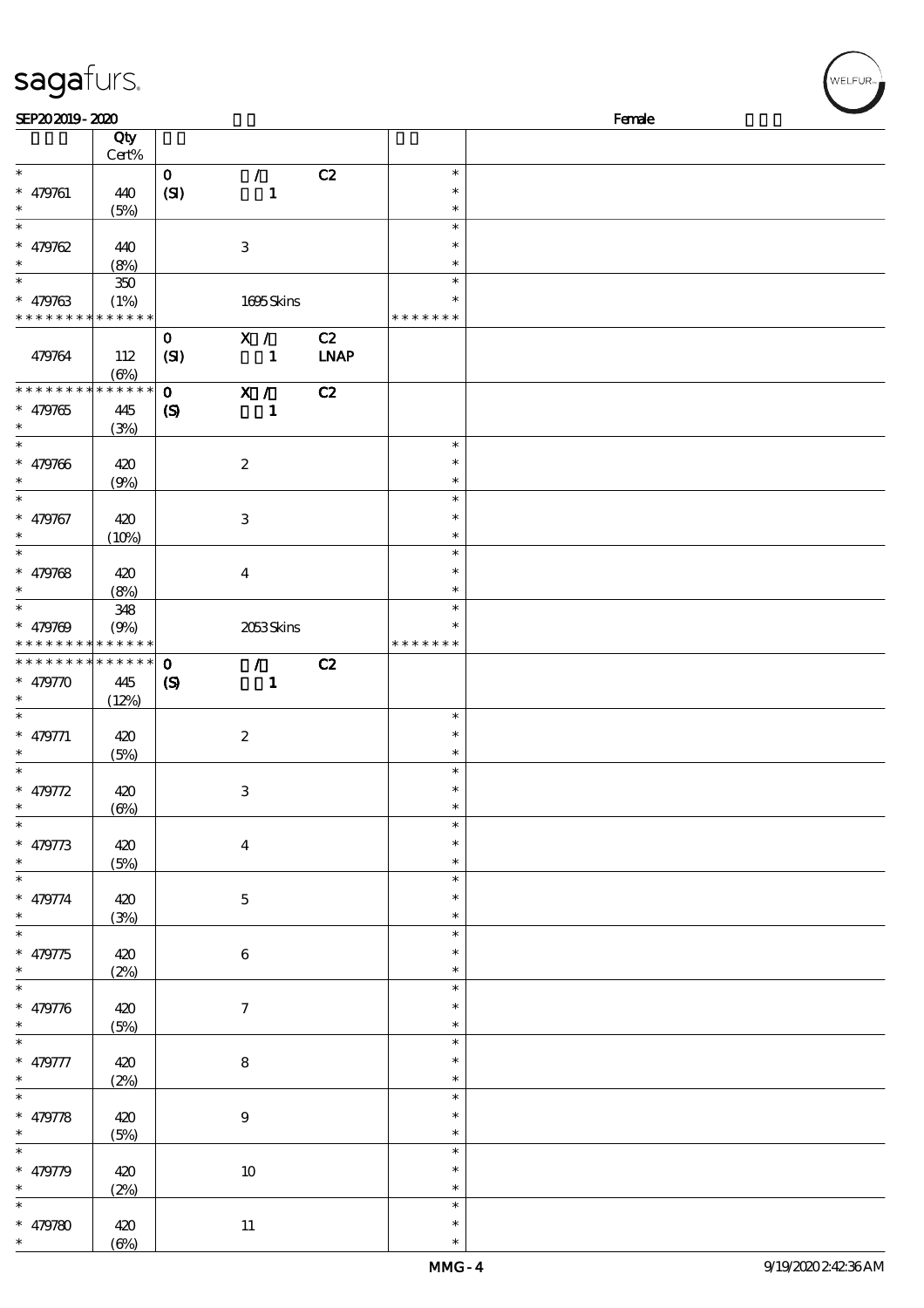| SEP202019-2020                           |            |                  |                         |             |               | Female |  |
|------------------------------------------|------------|------------------|-------------------------|-------------|---------------|--------|--|
|                                          | Qty        |                  |                         |             |               |        |  |
|                                          |            |                  |                         |             |               |        |  |
|                                          | Cert%      |                  |                         |             |               |        |  |
| $\ast$                                   |            | $\mathbf{O}$     | $\mathcal{L}$           | C2          | $\ast$        |        |  |
| $* 479761$                               | 440        | (SI)             | $\mathbf{1}$            |             | $\ast$        |        |  |
| $\ast$                                   | (5%)       |                  |                         |             | $\ast$        |        |  |
| $\ast$                                   |            |                  |                         |             | $\ast$        |        |  |
|                                          |            |                  |                         |             | $\ast$        |        |  |
| $* 479762$                               | 440        |                  | $\,3$                   |             |               |        |  |
| $\ast$                                   | (8%)       |                  |                         |             | $\ast$        |        |  |
| $\overline{\phantom{0}}$                 | 350        |                  |                         |             | $\ast$        |        |  |
| $* 479763$                               | (1%)       |                  | 1695Skins               |             | $\ast$        |        |  |
| * * * * * * * * * * * * * *              |            |                  |                         |             | * * * * * * * |        |  |
|                                          |            | $\mathbf{o}$     | X /                     | C2          |               |        |  |
|                                          |            |                  |                         |             |               |        |  |
| 479764                                   | 112        | (SI)             | $\mathbf{1}$            | <b>LNAP</b> |               |        |  |
|                                          | $(\Theta)$ |                  |                         |             |               |        |  |
| * * * * * * * *                          | $******$   | $\mathbf{O}$     | X /                     | C2          |               |        |  |
| $* 479765$                               | 445        | $\boldsymbol{S}$ | $\mathbf{1}$            |             |               |        |  |
| $\ast$                                   | (3%)       |                  |                         |             |               |        |  |
| $\ast$                                   |            |                  |                         |             | $\ast$        |        |  |
| $* 479766$                               |            |                  |                         |             | $\ast$        |        |  |
|                                          | 420        |                  | $\boldsymbol{2}$        |             |               |        |  |
| $\ast$                                   | (9%)       |                  |                         |             | $\ast$        |        |  |
| $\overline{\ast}$                        |            |                  |                         |             | $\ast$        |        |  |
| $* 479767$                               | 420        |                  | $\,3$                   |             | $\ast$        |        |  |
| $\ast$                                   | (10%)      |                  |                         |             | $\ast$        |        |  |
| $\ast$                                   |            |                  |                         |             | $\ast$        |        |  |
|                                          |            |                  |                         |             | $\ast$        |        |  |
| $* 479768$                               | 420        |                  | $\boldsymbol{4}$        |             |               |        |  |
| $\ast$                                   | (8%)       |                  |                         |             | $\ast$        |        |  |
| $\overline{\phantom{a}^*}$               | 348        |                  |                         |             | $\ast$        |        |  |
| $* 479769$                               | (9%)       |                  | 2053Skins               |             | $\ast$        |        |  |
| * * * * * * * * <mark>* * * * * *</mark> |            |                  |                         |             | * * * * * * * |        |  |
| **************                           |            | $\mathbf{o}$     | $\mathcal{L}$           | C2          |               |        |  |
| $* 479770$                               | 445        |                  | $\mathbf{1}$            |             |               |        |  |
| $\ast$                                   |            | $\boldsymbol{S}$ |                         |             |               |        |  |
|                                          | (12%)      |                  |                         |             |               |        |  |
| $\ast$                                   |            |                  |                         |             | $\ast$        |        |  |
| $* 479771$                               | 420        |                  | $\boldsymbol{2}$        |             | $\ast$        |        |  |
| $\ast$                                   | (5%)       |                  |                         |             | $\ast$        |        |  |
| $\ast$                                   |            |                  |                         |             | $\ast$        |        |  |
| $* 479772$                               | 420        |                  | $\,3$                   |             | $\ast$        |        |  |
| $\ast$                                   |            |                  |                         |             | $\ast$        |        |  |
| $\overline{\phantom{a}^*}$               | (6%)       |                  |                         |             | $\ast$        |        |  |
|                                          |            |                  |                         |             |               |        |  |
| $* 479773$                               | 420        |                  | $\overline{\mathbf{4}}$ |             | $\ast$        |        |  |
| $\ast$                                   | (5%)       |                  |                         |             | $\ast$        |        |  |
| $\overline{\phantom{0}}$                 |            |                  |                         |             | $\ast$        |        |  |
| $* 479774$                               | 420        |                  | $\mathbf 5$             |             | $\ast$        |        |  |
| $\ast$                                   | (3%)       |                  |                         |             | $\ast$        |        |  |
| $\overline{\ast}$                        |            |                  |                         |             | $\ast$        |        |  |
|                                          |            |                  |                         |             |               |        |  |
| $* 479775$                               | 420        |                  | $\,6\,$                 |             | $\ast$        |        |  |
| $\ast$                                   | (2%)       |                  |                         |             | $\ast$        |        |  |
| $_{*}^{-}$                               |            |                  |                         |             | $\ast$        |        |  |
| $* 479776$                               | 420        |                  | $\boldsymbol{7}$        |             | $\ast$        |        |  |
| $\ast$                                   | (5%)       |                  |                         |             | $\ast$        |        |  |
| $\overline{\ast}$                        |            |                  |                         |             | $\ast$        |        |  |
|                                          |            |                  |                         |             |               |        |  |
| $* 479777$                               | 420        |                  | $\bf 8$                 |             | $\ast$        |        |  |
| $\ast$                                   | (2%)       |                  |                         |             | $\ast$        |        |  |
| $\overline{\ast}$                        |            |                  |                         |             | $\ast$        |        |  |
| $* 479778$                               | 420        |                  | $\boldsymbol{9}$        |             | $\ast$        |        |  |
| $\ast$                                   | (5%)       |                  |                         |             | $\ast$        |        |  |
| $_{*}^{-}$                               |            |                  |                         |             | $\ast$        |        |  |
|                                          |            |                  |                         |             |               |        |  |
| $* 479779$                               | 420        |                  | $10\,$                  |             | $\ast$        |        |  |
| $\ast$                                   | (2%)       |                  |                         |             | $\ast$        |        |  |

\* \*

\*

\*

\* 479780 420

sagafurs.

 $(6%)$ 

11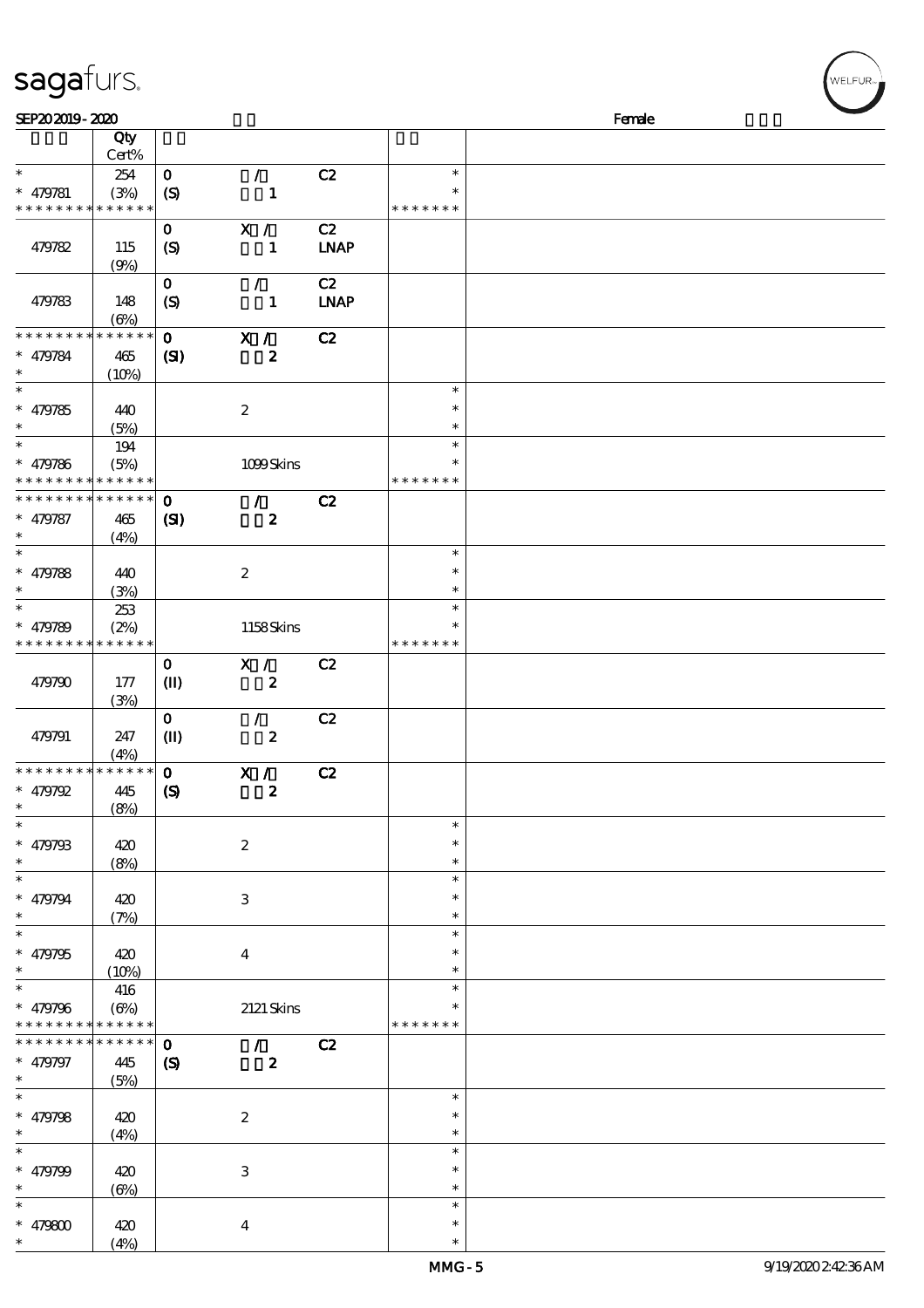| sagafurs. |  |
|-----------|--|
|           |  |

| SEP202019-2020              |              |                             |                            |             |               | Female |
|-----------------------------|--------------|-----------------------------|----------------------------|-------------|---------------|--------|
|                             | Qty          |                             |                            |             |               |        |
|                             | Cert%        |                             |                            |             |               |        |
| $\ast$                      | 254          | $\mathbf O$                 | $\mathcal{F}^{\mathbb{R}}$ | C2          | $\ast$        |        |
| $* 479781$                  |              |                             |                            |             | $\ast$        |        |
| * * * * * * * * * * * * * * | (3%)         | $\boldsymbol{S}$            | $\mathbf{1}$               |             | * * * * * * * |        |
|                             |              |                             |                            |             |               |        |
|                             |              | $\mathbf{o}$                | $\mathbf{X}$ /             | C2          |               |        |
| 479782                      | 115          | $\boldsymbol{S}$            | $\mathbf{1}$               | <b>LNAP</b> |               |        |
|                             | (9%)         |                             |                            |             |               |        |
|                             |              | $\mathbf 0$                 | $\mathcal{L}$              | C2          |               |        |
| 479783                      | 148          |                             | $\mathbf{1}$               | <b>LNAP</b> |               |        |
|                             |              | $\boldsymbol{\mathcal{S}}$  |                            |             |               |        |
|                             | $(\Theta)$   |                             |                            |             |               |        |
| * * * * * * * *             | * * * * * *  | $\mathbf{o}$                | X /                        | C2          |               |        |
| $* 479784$                  | 465          | $\mathbf{C}$                | $\boldsymbol{z}$           |             |               |        |
| $\ast$                      | (10%)        |                             |                            |             |               |        |
| $\overline{\phantom{1}}$    |              |                             |                            |             | $\ast$        |        |
| $* 479785$                  | 440          |                             | $\boldsymbol{2}$           |             | $\ast$        |        |
| $\ast$                      | (5%)         |                             |                            |             | $\ast$        |        |
| $\ast$                      |              |                             |                            |             | $\ast$        |        |
|                             | $194$        |                             |                            |             |               |        |
| $* 479786$                  | (5%)         |                             | 1099Skins                  |             | $\ast$        |        |
| * * * * * * * * * * * * * * |              |                             |                            |             | * * * * * * * |        |
| * * * * * * * *             | * * * * * *  | $\mathbf{o}$                | $\mathcal{L}$              | C2          |               |        |
| $* 479787$                  | 465          | $\mathbf{C}$                | $\boldsymbol{z}$           |             |               |        |
| $\ast$                      | (4%)         |                             |                            |             |               |        |
| $\ast$                      |              |                             |                            |             | $\ast$        |        |
|                             |              |                             |                            |             |               |        |
| $* 479788$                  | 440          |                             | $\boldsymbol{2}$           |             | $\ast$        |        |
| $\ast$                      | (3%)         |                             |                            |             | $\ast$        |        |
| $\ast$                      | 253          |                             |                            |             | $\ast$        |        |
| $* 479789$                  | (2%)         |                             | 1158Skins                  |             |               |        |
| * * * * * * * * * * * * * * |              |                             |                            |             | * * * * * * * |        |
|                             |              | $\mathbf 0$                 | X /                        | C2          |               |        |
|                             |              |                             |                            |             |               |        |
| 479790                      | 177          | $\mathbf{I}$                | $\boldsymbol{z}$           |             |               |        |
|                             | (3%)         |                             |                            |             |               |        |
|                             |              | $\mathbf{o}$                | $\mathcal{F}$              | C2          |               |        |
| 479791                      | 247          | $\mathbf{I}$                | $\boldsymbol{z}$           |             |               |        |
|                             | (4%)         |                             |                            |             |               |        |
| * * * * * * * *             | $******$     | $\mathbf{o}$                | X /                        | C2          |               |        |
| $* 479792$                  | 445          | $\boldsymbol{\mathrm{(S)}}$ | $\pmb{2}$                  |             |               |        |
| $*$                         |              |                             |                            |             |               |        |
| $\ast$                      | (8%)         |                             |                            |             | $\ast$        |        |
|                             |              |                             |                            |             |               |        |
| $* 479793$                  | 420          |                             | $\boldsymbol{z}$           |             | $\ast$        |        |
| $\ast$                      | (8%)         |                             |                            |             | $\ast$        |        |
| $\ast$                      |              |                             |                            |             | $\ast$        |        |
| $* 479794$                  | 420          |                             | 3                          |             | $\ast$        |        |
| $\ast$                      | (7%)         |                             |                            |             | $\ast$        |        |
| $\ast$                      |              |                             |                            |             | $\ast$        |        |
|                             |              |                             |                            |             |               |        |
| $* 479795$                  | 420          |                             | $\boldsymbol{4}$           |             |               |        |
| $\ast$                      | (10%)        |                             |                            |             | *             |        |
| $\ast$                      | 416          |                             |                            |             | $\ast$        |        |
| $* 479796$                  | $(\Theta\%)$ |                             | 2121 Skins                 |             |               |        |
| * * * * * * * * * * * * * * |              |                             |                            |             | * * * * * * * |        |
| * * * * * * *               | * * * * * *  | $\mathbf{o}$                | $\mathcal{L}$              | C2          |               |        |
| $* 479797$                  | 445          | $\boldsymbol{\mathcal{S}}$  | $\boldsymbol{z}$           |             |               |        |
| $\ast$                      |              |                             |                            |             |               |        |
| $\ast$                      | (5%)         |                             |                            |             |               |        |
|                             |              |                             |                            |             | $\ast$        |        |
| $* 479798$                  | 420          |                             | $\boldsymbol{2}$           |             | $\ast$        |        |
| $\ast$                      | (4%)         |                             |                            |             | $\ast$        |        |
| $\ast$                      |              |                             |                            |             | $\ast$        |        |
| $* 479799$                  | 420          |                             | $\,3$                      |             | $\ast$        |        |
| $\ast$                      | $(\Theta)$   |                             |                            |             | $\ast$        |        |
| $\ast$                      |              |                             |                            |             | $\ast$        |        |
|                             |              |                             |                            |             |               |        |
| $* 479800$                  | 420          |                             | $\boldsymbol{4}$           |             | $\ast$        |        |
| $\ast$                      | (4%)         |                             |                            |             | $\ast$        |        |

VELFUR-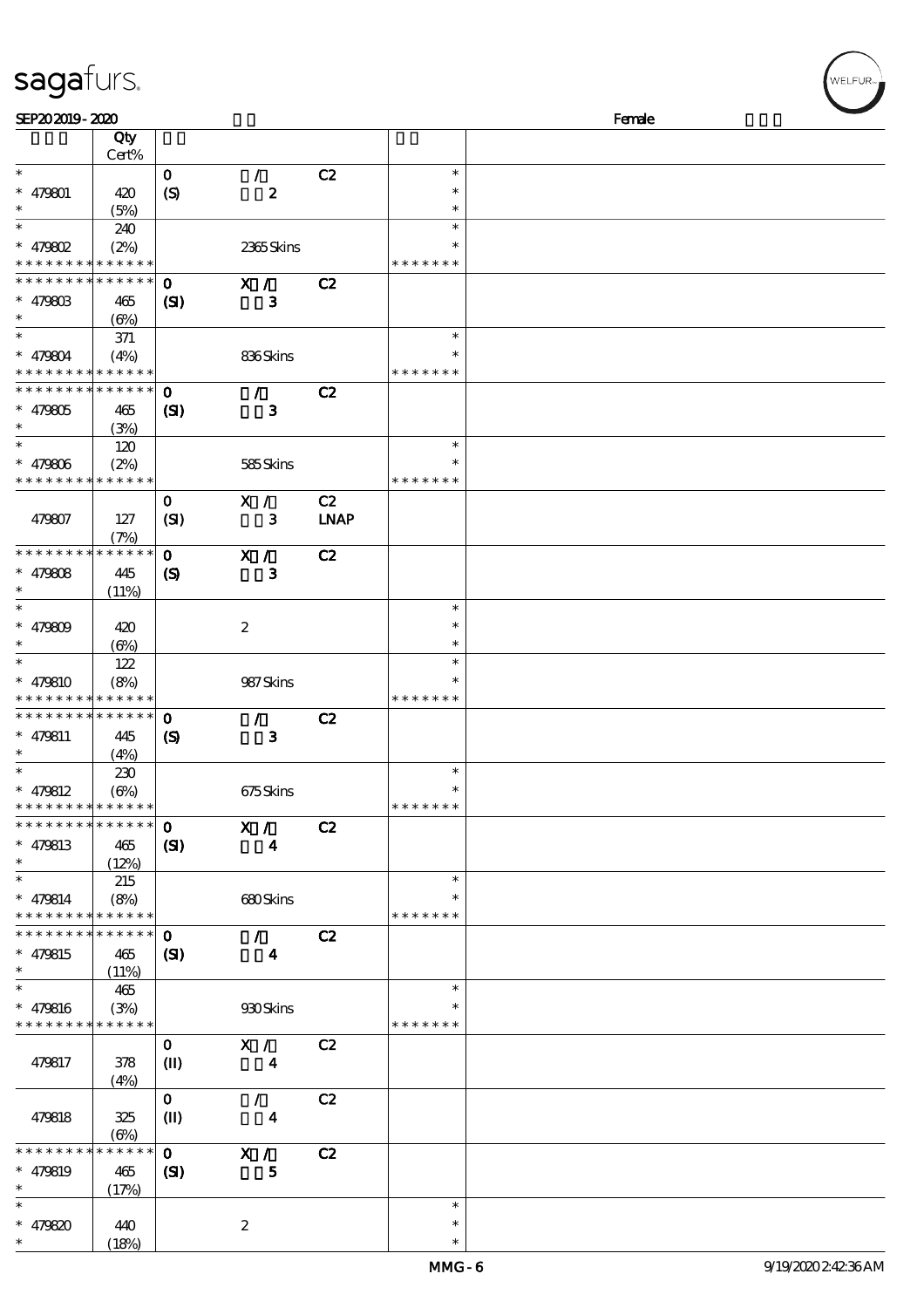| SEP202019-2020                           |              |                            |                         |             |               | Female |  |
|------------------------------------------|--------------|----------------------------|-------------------------|-------------|---------------|--------|--|
|                                          | Qty          |                            |                         |             |               |        |  |
|                                          | Cert%        |                            |                         |             |               |        |  |
| $\ast$                                   |              | $\mathbf 0$                | $\mathcal{L}$           | C2          | $\ast$        |        |  |
| $* 479801$                               | 420          | $\boldsymbol{S}$           | $\boldsymbol{z}$        |             | $\ast$        |        |  |
| $\ast$                                   | (5%)         |                            |                         |             | $\ast$        |        |  |
| $\ast$                                   | 240          |                            |                         |             | $\ast$        |        |  |
| $*$ 479802                               | (2%)         |                            | 2365Skins               |             | $\ast$        |        |  |
| * * * * * * * * * * * * * *              |              |                            |                         |             | * * * * * * * |        |  |
| ******** <mark>******</mark>             |              | $\mathbf 0$                | X /                     | C2          |               |        |  |
| $* 47980B$                               | 465          | $\mathbf{C}$               | $\mathbf{3}$            |             |               |        |  |
| $\ast$                                   | (6%)         |                            |                         |             |               |        |  |
| $\ast$                                   | 371          |                            |                         |             | $\ast$        |        |  |
| $* 479804$                               | (4%)         |                            | 836Skins                |             |               |        |  |
| * * * * * * * * * * * * * *              |              |                            |                         |             | * * * * * * * |        |  |
| * * * * * * * * * * * * * * *            |              | $\mathbf 0$                | $\mathcal{L}$           | C2          |               |        |  |
| $* 479805$                               | 465          | $\mathbf{S}$               | $\mathbf{3}$            |             |               |        |  |
| $\ast$                                   | (3%)         |                            |                         |             |               |        |  |
| $\ast$                                   | 120          |                            |                         |             | $\ast$        |        |  |
| $* 479806$                               | (2%)         |                            | 585Skins                |             | $\ast$        |        |  |
| * * * * * * * * * * * * * *              |              |                            |                         |             | * * * * * * * |        |  |
|                                          |              | $\mathbf 0$                | X /                     | C2          |               |        |  |
| 479807                                   | 127          | (SI)                       | 3                       | <b>LNAP</b> |               |        |  |
|                                          | (7%)         |                            |                         |             |               |        |  |
| * * * * * * * * * * * * * *              |              | $\mathbf 0$                | X /                     | C2          |               |        |  |
| $* 479808$                               | 445          |                            | $\mathbf{3}$            |             |               |        |  |
| $\ast$                                   |              | $\boldsymbol{\mathcal{S}}$ |                         |             |               |        |  |
| $\ast$                                   | (11%)        |                            |                         |             | $\ast$        |        |  |
|                                          |              |                            |                         |             | $\ast$        |        |  |
| $* 479809$<br>$\ast$                     | 420          |                            | $\boldsymbol{2}$        |             | $\ast$        |        |  |
| $\overline{\ast}$                        | (6%)         |                            |                         |             |               |        |  |
|                                          | 122          |                            |                         |             | $\ast$        |        |  |
| $* 479810$                               | (8%)         |                            | 987Skins                |             | $\ast$        |        |  |
| * * * * * * * * <mark>* * * * * *</mark> |              |                            |                         |             | * * * * * * * |        |  |
| * * * * * * * * * * * * * *              |              | $\bf{0}$                   | $\mathcal{L}$           | C2          |               |        |  |
| $* 479811$                               | 445          | $\boldsymbol{\mathcal{S}}$ | $\mathbf{3}$            |             |               |        |  |
| $\ast$                                   | (4%)         |                            |                         |             |               |        |  |
| $\ast$                                   | 230          |                            |                         |             | $\ast$        |        |  |
| $* 479812$                               | $(\Theta_0)$ |                            | 675Skins                |             | $\ast$        |        |  |
| * * * * * * * * * * * * * * *            |              |                            |                         |             | * * * * * * * |        |  |
| * * * * * * * * * * * * * *              |              | $\mathbf 0$                | X /                     | C2          |               |        |  |
| $* 479813$                               | 465          | (S)                        | 4                       |             |               |        |  |
| $\ast$                                   | (12%)        |                            |                         |             |               |        |  |
| $\ast$                                   | 215          |                            |                         |             | $\ast$        |        |  |
| $* 479814$                               | (8%)         |                            | 680Skins                |             | $\ast$        |        |  |
| * * * * * * * * * * * * * *              |              |                            |                         |             | * * * * * * * |        |  |
| * * * * * * * * * * * * * *              |              | $\mathbf{o}$               | $\mathcal{L}$           | C2          |               |        |  |
| $* 479815$                               | 465          | (S)                        | 4                       |             |               |        |  |
| $\ast$                                   | (11%)        |                            |                         |             |               |        |  |
| $\overline{\ast}$                        | 465          |                            |                         |             | $\ast$        |        |  |
| $* 479816$                               | (3%)         |                            | 930Skins                |             | $\ast$        |        |  |
| * * * * * * * * * * * * * *              |              |                            |                         |             | * * * * * * * |        |  |
|                                          |              | $\mathbf{o}$               | X /                     | C2          |               |        |  |
| 479817                                   | 378          | $\mathbf{I}$               | $\boldsymbol{4}$        |             |               |        |  |
|                                          | (4%)         |                            |                         |             |               |        |  |
|                                          |              | $\mathbf{o}$               | $\mathcal{L}$           | C2          |               |        |  |
| 479818                                   | 325          | $\mathbf{I}$               | $\overline{\mathbf{4}}$ |             |               |        |  |
|                                          | $(\Theta)$   |                            |                         |             |               |        |  |
| * * * * * * * * * * * * * *              |              | $\mathbf 0$                | X /                     | C2          |               |        |  |
| $* 479819$                               | 465          | (S)                        | $\mathbf{5}$            |             |               |        |  |
| $\ast$                                   | (17%)        |                            |                         |             |               |        |  |

\*\*\*

 $\ast$  $\ast$ 

\*\*\*

 $\overline{\phantom{0}}$ 

 $* 479820 | 440$ 

sagafurs.

 $(18%)$ 

2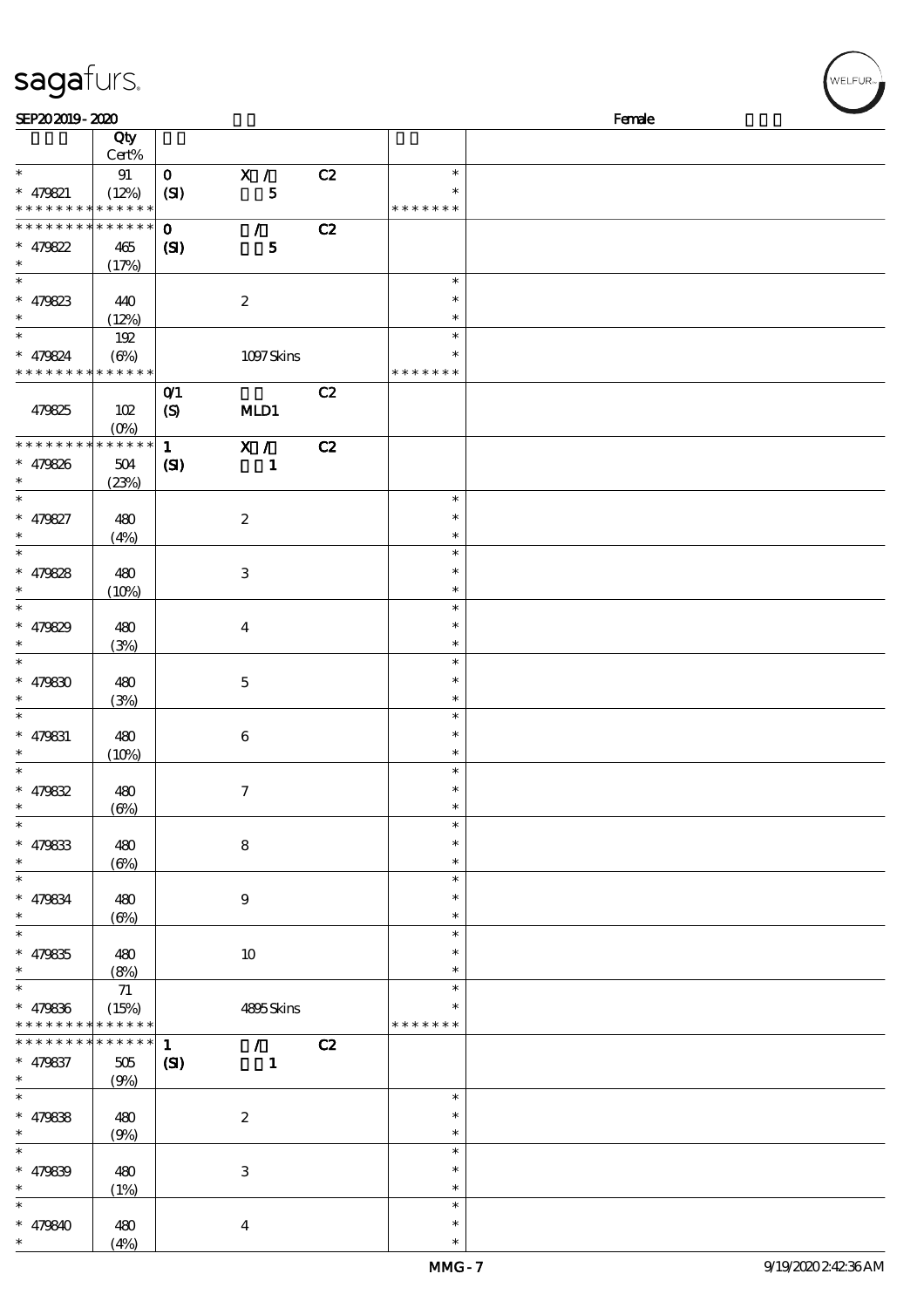| SEP202019-2020                     |              |              |                             |    |               | Female |  |
|------------------------------------|--------------|--------------|-----------------------------|----|---------------|--------|--|
|                                    | Qty          |              |                             |    |               |        |  |
|                                    | Cert%        |              |                             |    |               |        |  |
| $\ast$                             | 91           | $\mathbf{O}$ |                             |    | $\ast$        |        |  |
|                                    |              |              | X /                         | C2 | $\ast$        |        |  |
| $* 479821$                         | (12%)        | (SI)         | 5                           |    |               |        |  |
| * * * * * * * * * * * * * *        |              |              |                             |    | * * * * * * * |        |  |
| * * * * * * * * * * * * * *        |              | $\mathbf 0$  | $\mathcal{L}$               | C2 |               |        |  |
| $* 479822$                         | 465          | (S)          | $\mathbf{5}$                |    |               |        |  |
| $\ast$                             | (17%)        |              |                             |    |               |        |  |
| $\overline{\ast}$                  |              |              |                             |    | $\ast$        |        |  |
| $* 479823$                         | 440          |              | $\boldsymbol{2}$            |    | $\ast$        |        |  |
| $\ast$                             | (12%)        |              |                             |    | $\ast$        |        |  |
| $\ast$                             |              |              |                             |    | $\ast$        |        |  |
|                                    | 192          |              |                             |    |               |        |  |
| $* 479824$                         | $(\Theta\%)$ |              | 1097Skins                   |    |               |        |  |
| * * * * * * * * * * * * * *        |              |              |                             |    | * * * * * * * |        |  |
|                                    |              | $O$ $1$      |                             | C2 |               |        |  |
| 479825                             | 102          | (S)          | MD1                         |    |               |        |  |
|                                    | $(Q_0)$      |              |                             |    |               |        |  |
| * * * * * * * * * * * * * *        |              | $\mathbf{1}$ | X /                         | C2 |               |        |  |
| $* 479826$                         | 504          | $\mathbf{C}$ | $\mathbf{1}$                |    |               |        |  |
| $\ast$                             | (23%)        |              |                             |    |               |        |  |
| $\overline{\phantom{a}^*}$         |              |              |                             |    | $\ast$        |        |  |
|                                    |              |              |                             |    |               |        |  |
| $* 479827$                         | 480          |              | $\boldsymbol{2}$            |    | $\ast$        |        |  |
| $\ast$                             | (4%)         |              |                             |    | $\ast$        |        |  |
| $\ast$                             |              |              |                             |    | $\ast$        |        |  |
| $* 479828$                         | 480          |              | $\,3$                       |    | $\ast$        |        |  |
| $\ast$                             | (10%)        |              |                             |    | $\ast$        |        |  |
| $\overline{\ast}$                  |              |              |                             |    | $\ast$        |        |  |
| * $479829$                         | 480          |              | $\boldsymbol{4}$            |    | $\ast$        |        |  |
| $\ast$                             | (3%)         |              |                             |    | $\ast$        |        |  |
| $\overline{\ast}$                  |              |              |                             |    | $\ast$        |        |  |
|                                    |              |              |                             |    |               |        |  |
| $* 479830$                         | 480          |              | $\mathbf 5$                 |    | $\ast$        |        |  |
| $\ast$                             | (3%)         |              |                             |    | $\ast$        |        |  |
| $\ast$                             |              |              |                             |    | $\ast$        |        |  |
| $* 479831$                         | 480          |              | $\boldsymbol{6}$            |    | $\ast$        |        |  |
| $\ast$                             | (10%)        |              |                             |    | $\ast$        |        |  |
| $\ast$                             |              |              |                             |    | $\ast$        |        |  |
| $* 479832$                         | 480          |              | 7                           |    | $\ast$        |        |  |
| $\ast$                             | $(\Theta)$   |              |                             |    | $\ast$        |        |  |
| $\overline{\phantom{a}^*}$         |              |              |                             |    | $\ast$        |        |  |
|                                    |              |              |                             |    | $\ast$        |        |  |
| $* 479833$                         | 480          |              | $\bf 8$                     |    |               |        |  |
| $\ast$<br>$\overline{\phantom{0}}$ | $(\Theta)$   |              |                             |    | $\ast$        |        |  |
|                                    |              |              |                             |    | $\ast$        |        |  |
| $* 479834$                         | 480          |              | $\boldsymbol{9}$            |    | $\ast$        |        |  |
| $\ast$                             | $(\Theta)$   |              |                             |    | $\ast$        |        |  |
| $\overline{\ast}$                  |              |              |                             |    | $\ast$        |        |  |
| $* 479835$                         | 480          |              | $10\,$                      |    | $\ast$        |        |  |
| $\ast$                             | (8%)         |              |                             |    | $\ast$        |        |  |
| $\overline{\phantom{a}^*}$         | $7\!1$       |              |                             |    | $\ast$        |        |  |
| $* 479836$                         | (15%)        |              | 4895Skins                   |    | $\ast$        |        |  |
| * * * * * * * *                    | * * * * * *  |              |                             |    | * * * * * * * |        |  |
| * * * * * * * *                    | * * * * * *  |              |                             |    |               |        |  |
|                                    |              | $\mathbf{1}$ | $\mathcal{T}^{\mathcal{A}}$ | C2 |               |        |  |
| $* 479837$                         | 505          | (S)          | $\mathbf{1}$                |    |               |        |  |
| $\ast$                             | (9%)         |              |                             |    |               |        |  |
| $\overline{\phantom{a}^*}$         |              |              |                             |    | $\ast$        |        |  |
| $* 479838$                         | 480          |              | $\boldsymbol{2}$            |    | $\ast$        |        |  |
| $\ast$                             | (9%)         |              |                             |    | $\ast$        |        |  |
| $_{*}^{-}$                         |              |              |                             |    | $\ast$        |        |  |
| $* 479839$                         | 480          |              | $\,3$                       |    | $\ast$        |        |  |
| $\ast$                             |              |              |                             |    | $\ast$        |        |  |
| $\ast$                             | (1%)         |              |                             |    | $\ast$        |        |  |
|                                    |              |              |                             |    |               |        |  |
| $* 479840$                         | 480          |              | $\boldsymbol{4}$            |    | $\ast$        |        |  |
| $\ast$                             | (4%)         |              |                             |    | $\ast$        |        |  |

(4%)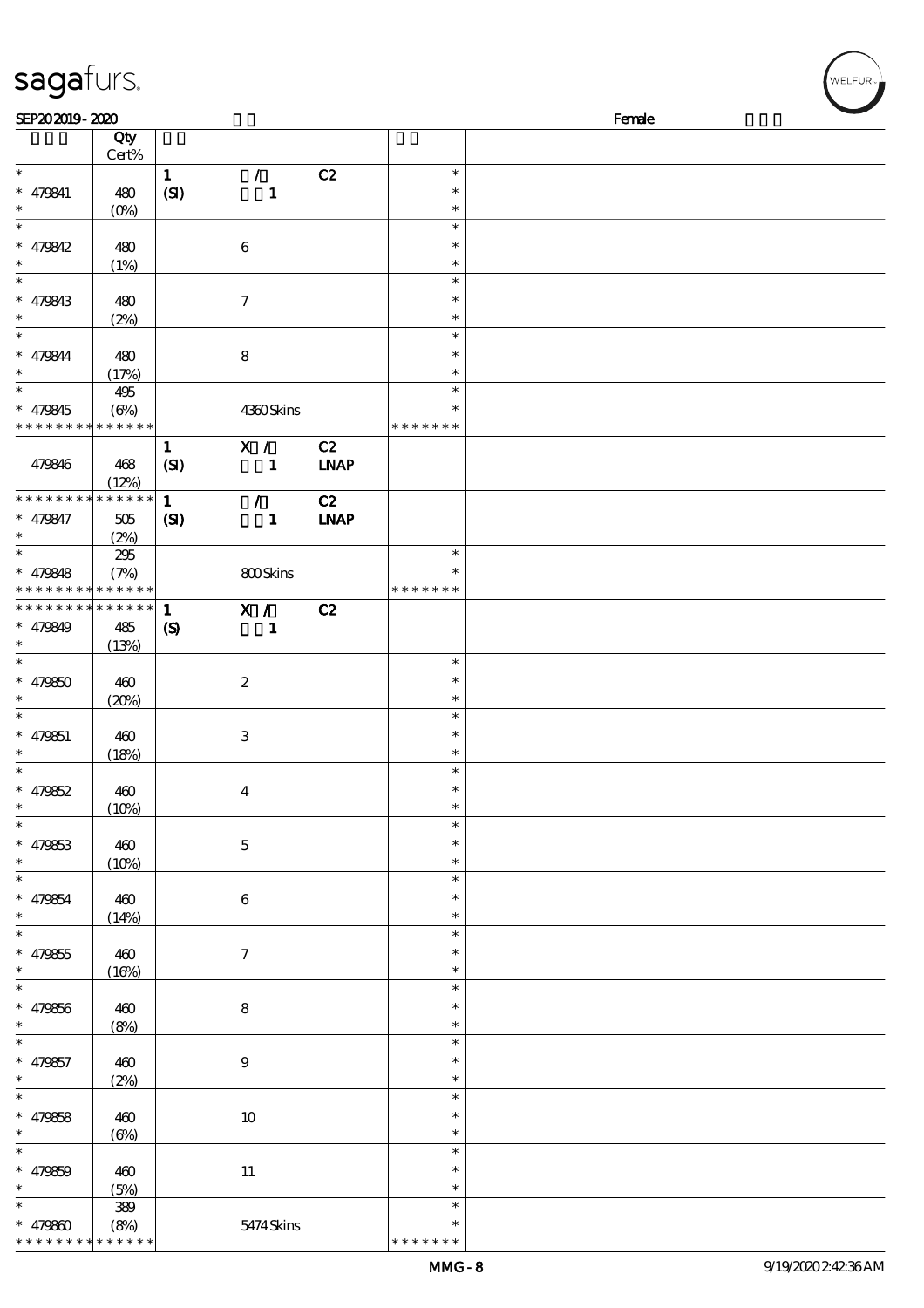| sagafurs.                                                        |                                    |                                             |                               |                   |                                   |        | WELFUR <sub>™</sub> |
|------------------------------------------------------------------|------------------------------------|---------------------------------------------|-------------------------------|-------------------|-----------------------------------|--------|---------------------|
| SEP202019-2020                                                   |                                    |                                             |                               |                   |                                   | Female |                     |
|                                                                  | Qty<br>Cert%                       |                                             |                               |                   |                                   |        |                     |
| $\ast$<br>$* 479841$<br>$\ast$                                   | 480<br>(0%                         | $\mathbf{1}$<br>(SI)                        | $\mathcal{L}$<br>$\mathbf{1}$ | C2                | $\ast$<br>$\ast$<br>$\ast$        |        |                     |
| $\ast$<br>$* 479842$<br>$\ast$                                   | 480<br>(1%)                        |                                             | 6                             |                   | $\ast$<br>$\ast$<br>$\ast$        |        |                     |
| $\ast$<br>$* 479843$<br>$\ast$                                   | 480<br>(2%)                        |                                             | $\boldsymbol{7}$              |                   | $\ast$<br>$\ast$<br>$\ast$        |        |                     |
| $\ast$<br>$* 479844$                                             | 480<br>(17%)                       |                                             | ${\bf 8}$                     |                   | $\ast$<br>$\ast$<br>$\ast$        |        |                     |
| $\ast$<br>$* 479845$<br>* * * * * * * *                          | 495<br>$(\Theta\%)$<br>* * * * * * |                                             | 4360Skins                     |                   | $\ast$<br>$\ast$<br>* * * * * * * |        |                     |
| 479846                                                           | 468<br>(12%)                       | $\mathbf{1}$<br>(SI)                        | X /<br>$\mathbf{1}$           | C2<br><b>LNAP</b> |                                   |        |                     |
| * * * * * * * *<br>$* 479847$<br>$\ast$                          | * * * * * *<br>505<br>(2%)         | $\mathbf{1}$<br>(S)                         | $\mathcal{L}$<br>$\mathbf{1}$ | C2<br><b>INAP</b> |                                   |        |                     |
| $\ast$<br>$* 479848$<br>* * * * * * * * <mark>* * * * * *</mark> | 295<br>(7%)                        |                                             | 800Skins                      |                   | $\ast$<br>$\ast$<br>* * * * * * * |        |                     |
| * * * * * * * *<br>$* 479849$                                    | * * * * * *<br>485<br>(13%)        | $\mathbf{1}$<br>$\boldsymbol{\mathrm{(S)}}$ | X /<br>$\mathbf{1}$           | C2                |                                   |        |                     |
| $\ast$<br>$* 479850$                                             | 460<br>(20%)                       |                                             | $\boldsymbol{2}$              |                   | $\ast$<br>$\ast$<br>$\ast$        |        |                     |
| $\ast$<br>$* 479851$<br>$\ast$                                   | 460<br>(18%)                       |                                             | $\,3$                         |                   | $\ast$<br>$\ast$<br>$\ast$        |        |                     |
| $\ast$<br>$* 479852$<br>$\ast$                                   | 460<br>(10%)                       |                                             | $\boldsymbol{4}$              |                   | $\ast$<br>$\ast$<br>$\ast$        |        |                     |
| $\ast$<br>$* 479853$<br>$\ast$                                   | 460<br>(10%)                       |                                             | $\mathbf 5$                   |                   | $\ast$<br>∗<br>$\ast$             |        |                     |
| $\overline{\ast}$<br>$* 479854$<br>$\ast$                        | 460<br>(14%)                       |                                             | 6                             |                   | $\ast$<br>$\ast$                  |        |                     |
| $\ast$<br>$* 479855$<br>$\ast$                                   | 460<br>(16%)                       |                                             | $\tau$                        |                   | $\ast$<br>∗<br>$\ast$             |        |                     |
| $\overline{\phantom{0}}$<br>$* 479856$<br>$\ast$                 | 460<br>(8%)                        |                                             | $\bf 8$                       |                   | $\ast$<br>$\ast$<br>$\ast$        |        |                     |
| $\ast$<br>$* 479857$<br>$\ast$                                   | 460<br>(2%)                        |                                             | $\boldsymbol{9}$              |                   | $\ast$<br>$\ast$<br>$\ast$        |        |                     |
| $\ast$<br>$* 479858$<br>$\ast$                                   | 460<br>$(\Theta)$                  |                                             | $10\,$                        |                   | $\ast$<br>$\ast$<br>$\ast$        |        |                     |
| $_{*}^{-}$<br>$* 479859$<br>$\ast$                               | 460<br>(5%)                        |                                             | $11\,$                        |                   | $\ast$<br>$\ast$<br>$\ast$        |        |                     |
|                                                                  | 389                                |                                             |                               |                   | $\ast$                            |        |                     |

\* \* \* \* \* \* \*

\*

\* 479860

\* \* \* \* \* \* \* \* \* \* \* \* \* \*

(8%) 5474 Skins

WELFUR<sub><sup>N</sub></sub></sub></sup>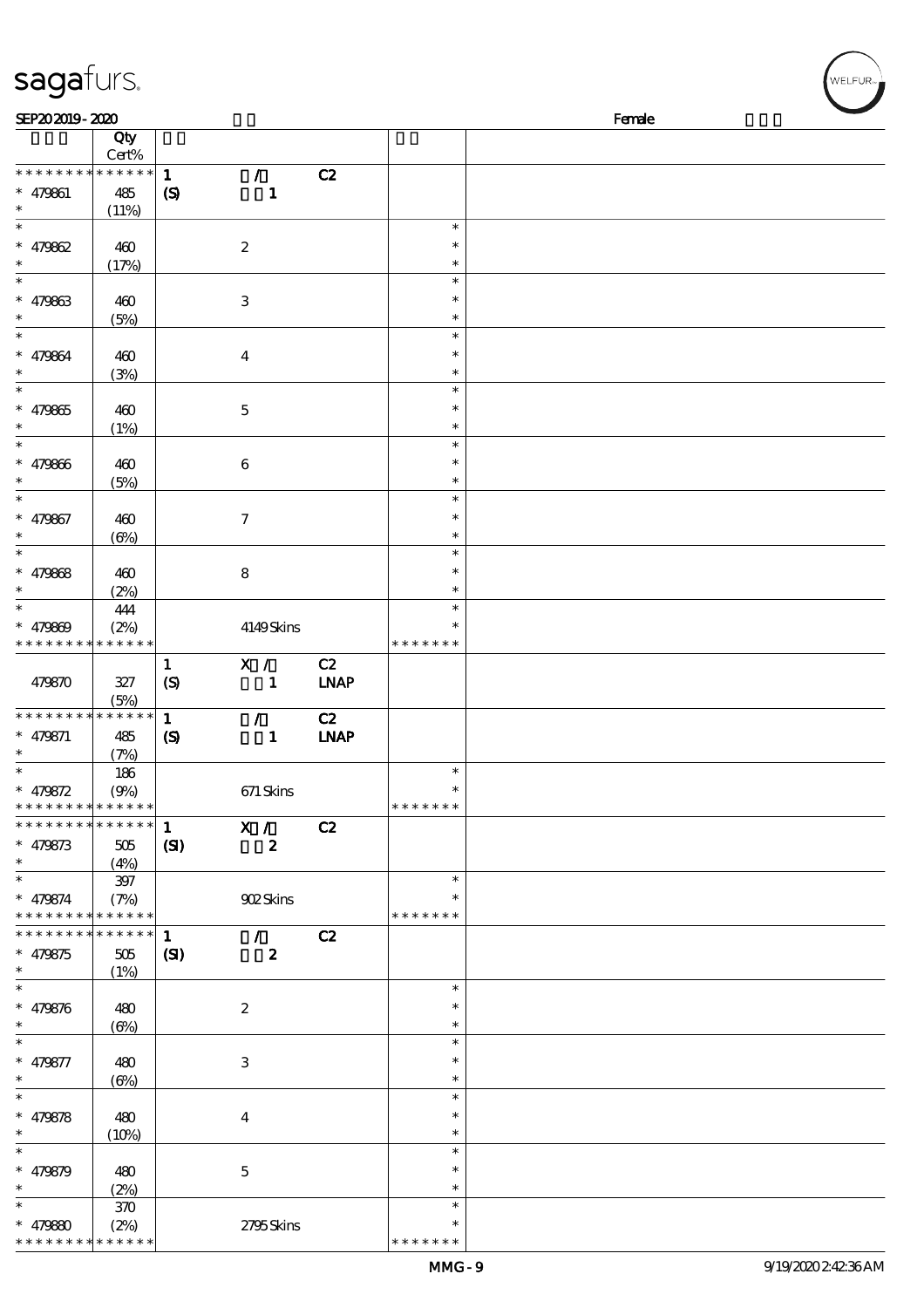| sagafurs.                                                          |                     |                                            |                                   |                   |                                   | WELFUR <sub>™</sub> |
|--------------------------------------------------------------------|---------------------|--------------------------------------------|-----------------------------------|-------------------|-----------------------------------|---------------------|
| SEP202019-2020                                                     |                     |                                            |                                   |                   |                                   | Female              |
|                                                                    | Qty<br>Cert%        |                                            |                                   |                   |                                   |                     |
| * * * * * * * * * * * * * *<br>$* 479861$<br>$\ast$                | 485<br>(11%)        | $\mathbf{1}$<br>$\boldsymbol{\mathcal{S}}$ | $\mathcal{L}$<br>$\mathbf{1}$     | C2                |                                   |                     |
| $\ast$<br>$* 479862$<br>$\ast$                                     | 460<br>(17%)        |                                            | $\boldsymbol{2}$                  |                   | $\ast$<br>$\ast$<br>$\ast$        |                     |
| $\ast$<br>$* 479863$<br>$\ast$                                     | 460<br>(5%)         |                                            | $\,3$                             |                   | $\ast$<br>$\ast$<br>$\ast$        |                     |
| $\ast$<br>$* 479864$<br>$\ast$                                     | 460<br>(3%)         |                                            | $\boldsymbol{4}$                  |                   | $\ast$<br>$\ast$<br>$\ast$        |                     |
| $\ast$<br>$* 479865$<br>$\ast$                                     | 460<br>(1%)         |                                            | $\mathbf 5$                       |                   | $\ast$<br>$\ast$<br>$\ast$        |                     |
| $\ast$<br>$* 479866$<br>$\ast$                                     | 460<br>(5%)         |                                            | $\boldsymbol{6}$                  |                   | $\ast$<br>$\ast$<br>$\ast$        |                     |
| $\ast$<br>$* 479867$<br>$\ast$                                     | 460<br>$(\Theta\%)$ |                                            | $\boldsymbol{7}$                  |                   | $\ast$<br>$\ast$<br>$\ast$        |                     |
| $\ast$<br>$* 479868$<br>$\ast$                                     | 460<br>(2%)         |                                            | $\bf 8$                           |                   | $\ast$<br>$\ast$<br>$\ast$        |                     |
| $\ast$<br>$* 479809$<br>* * * * * * * * * * * * * *                | 444<br>(2%)         |                                            | 4149Skins                         |                   | $\ast$<br>$\ast$<br>* * * * * * * |                     |
| 479870                                                             | $327\,$<br>(5%)     | $\mathbf{1}$<br>(S)                        | X /<br>$\mathbf{1}$               | C2<br><b>LNAP</b> |                                   |                     |
| * * * * * * * * * * * * * *<br>$* 479871$<br>$\ast$                | 485<br>(7%)         | $\mathbf{1}$<br>$\boldsymbol{S}$           | $\mathcal{T}$<br>$\mathbf{1}$     | C2<br><b>INAP</b> |                                   |                     |
| $\ast$<br>$* 479872$<br>* * * * * * * * * * * * * *                | 186<br>(9%)         |                                            | 671 Skins                         |                   | $\ast$<br>$\ast$<br>* * * * * * * |                     |
| * * * * * * * * * * * * * * *<br>$* 479873$<br>$\ast$              | 505<br>(4%)         | $\mathbf{1}$<br>(S)                        | X /<br>$\boldsymbol{z}$           | C2                |                                   |                     |
| $\ast$<br>$* 479874$<br>* * * * * * * * <mark>* * * * * *</mark> * | $397\,$<br>(7%)     |                                            | 902Skins                          |                   | $\ast$<br>$\ast$<br>* * * * * * * |                     |
| * * * * * * * * * * * * * * *<br>$* 479875$<br>$\ast$              | $505\,$<br>(1%)     | $\mathbf{1}$<br>(S)                        | $\mathcal{L}$<br>$\boldsymbol{z}$ | C2                |                                   |                     |
| $\ast$<br>$* 479876$<br>$\ast$                                     | 480<br>$(\Theta)$   |                                            | $\boldsymbol{2}$                  |                   | $\ast$<br>$\ast$<br>$\ast$        |                     |
| $\ast$<br>$* 479877$<br>$\ast$                                     | 480<br>$(\Theta)$   |                                            | 3                                 |                   | $\ast$<br>$\ast$<br>$\ast$        |                     |
| $\ast$<br>$* 479878$<br>$\ast$                                     | 480<br>(10%)        |                                            | $\boldsymbol{4}$                  |                   | $\ast$<br>$\ast$<br>$\ast$        |                     |
| $\ast$<br>$* 479879$<br>$\ast$                                     | 480<br>(2%)         |                                            | $\mathbf 5$                       |                   | $\ast$<br>$\ast$<br>$\ast$        |                     |
| $* 479880$                                                         | 370<br>(2%)         |                                            | 2795Skins                         |                   | $\ast$<br>$\ast$                  |                     |

\* \* \* \* \* \*

\* \* \* \* \* \* \* \* \* \* \* \*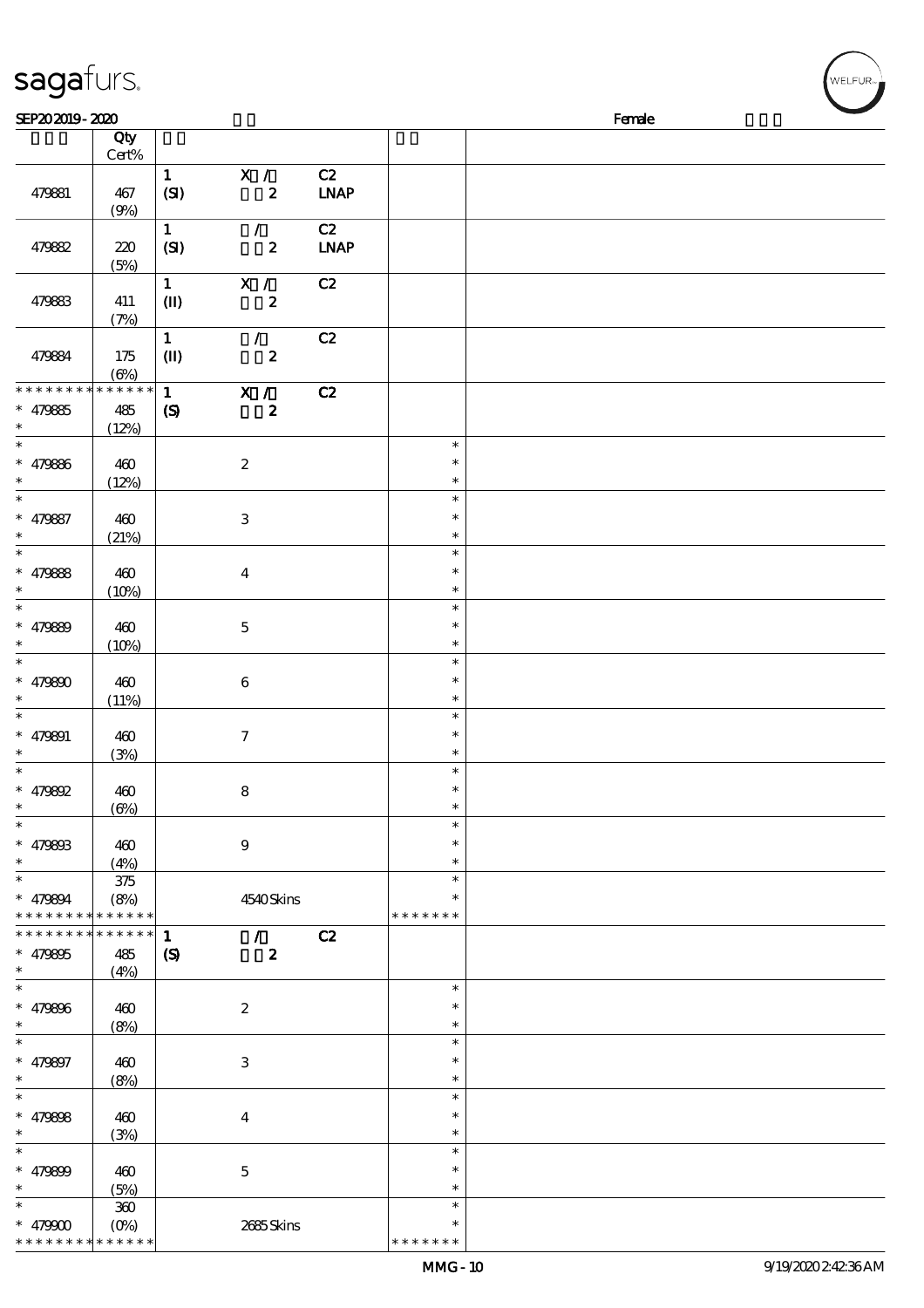| sagafurs.                                                    |                                |                                             |                                               |                   | WELFUR <sub>™</sub>                  |        |  |  |  |
|--------------------------------------------------------------|--------------------------------|---------------------------------------------|-----------------------------------------------|-------------------|--------------------------------------|--------|--|--|--|
| SEP202019-2020                                               |                                |                                             |                                               |                   |                                      | Female |  |  |  |
|                                                              | $\overline{Q}$ ty<br>Cert%     |                                             |                                               |                   |                                      |        |  |  |  |
| 479881                                                       | 467<br>(9%)                    | $\mathbf{1}$<br>(SI)                        | X /<br>$\boldsymbol{z}$                       | C2<br><b>LNAP</b> |                                      |        |  |  |  |
| 479882                                                       | 220<br>(5%)                    | $\mathbf{1}$<br>(SI)                        | $\mathcal{L}$<br>$\boldsymbol{z}$             | C2<br><b>LNAP</b> |                                      |        |  |  |  |
| 479883                                                       | 411<br>(7%)                    | $\mathbf{1}$<br>$\mathbf{I}$                | X /<br>$\boldsymbol{z}$                       | C2                |                                      |        |  |  |  |
| 479884                                                       | 175<br>$(\Theta)$              | $\mathbf{1}$<br>$\mathbf{I}$                | $\mathcal{L}$<br>$\pmb{2}$                    | C2                |                                      |        |  |  |  |
| * * * * * * * *<br>$* 479885$<br>$\ast$                      | * * * * * *<br>485<br>(12%)    | $\mathbf{1}$<br>$\boldsymbol{\mathcal{S}}$  | $\overline{\mathbf{x}}$ /<br>$\boldsymbol{2}$ | C2                |                                      |        |  |  |  |
| $\ast$<br>$* 479886$<br>$\ast$                               | 460<br>(12%)                   |                                             | $\boldsymbol{2}$                              |                   | $\ast$<br>$\ast$<br>$\ast$           |        |  |  |  |
| $\ast$<br>$* 479887$<br>$\ast$                               | 460<br>(21%)                   |                                             | $\,3$                                         |                   | $\ast$<br>$\ast$<br>$\ast$           |        |  |  |  |
| $\ast$<br>$* 479888$<br>$\ast$                               | 460<br>(10%)                   |                                             | $\bf{4}$                                      |                   | $\ast$<br>$\ast$<br>$\ast$           |        |  |  |  |
| $\ast$<br>$* 479899$<br>$\ast$                               | 460<br>(10%)                   |                                             | $\mathbf 5$                                   |                   | $\ast$<br>$\ast$<br>$\ast$           |        |  |  |  |
| $* 479800$                                                   | 460<br>(11%)                   |                                             | $\,6\,$                                       |                   | $\ast$<br>$\ast$<br>$\ast$           |        |  |  |  |
| $\ast$<br>$* 479891$<br>$\ast$<br>$\ast$                     | 460<br>(3%)                    |                                             | $\tau$                                        |                   | $\ast$<br>$\ast$<br>$\ast$           |        |  |  |  |
| $* 479892$<br>$\ast$<br>$\ast$                               | 460<br>$(\Theta)$              |                                             | $\bf 8$                                       |                   | $\ast$<br>$\ast$<br>$\ast$<br>$\ast$ |        |  |  |  |
| $* 47980B$<br>$\ast$<br>$\ast$                               | 460<br>(4%)                    |                                             | $\boldsymbol{9}$                              |                   | *<br>$\ast$<br>$\ast$                |        |  |  |  |
| $* 479894$<br>* * * * * * * * * * * * * *<br>* * * * * * * * | $375\,$<br>(8%)<br>* * * * * * |                                             | 4540Skins                                     |                   | * * * * * * *                        |        |  |  |  |
| $* 479805$<br>$\ast$<br>$\overline{\phantom{0}}$             | 485<br>(4%)                    | $\mathbf{1}$<br>$\boldsymbol{\mathrm{(S)}}$ | $\sqrt{C^2}$<br>$\boldsymbol{2}$              |                   |                                      |        |  |  |  |
| $* 479806$<br>$\ast$<br>$\ast$                               | 460<br>(8%)                    |                                             | $\boldsymbol{2}$                              |                   | $\ast$<br>$\ast$<br>$\ast$           |        |  |  |  |
| $* 479897$<br>$\ast$                                         | 460<br>(8%)                    |                                             | $\,3$                                         |                   | $\ast$<br>$\ast$<br>$\ast$           |        |  |  |  |
| $\ast$<br>$* 479808$<br>$\ast$                               | 460<br>(3%)                    |                                             | $\bf{4}$                                      |                   | $\ast$<br>$\ast$<br>$\ast$           |        |  |  |  |
| $\ast$<br>$* 479809$<br>$\ast$                               | 460<br>(5%)                    |                                             | $\mathbf 5$                                   |                   | $\ast$<br>$\ast$<br>$\ast$           |        |  |  |  |

\* \* \* \* \* \* \*

\*\*

 $\star$  $\ast$  $\mathbf{a}$ 

(5%)

360

(0%) 2685 Skins

\* \* \* \* \* \* \*

\*  $*$  479900 \* \* \* \* \* \*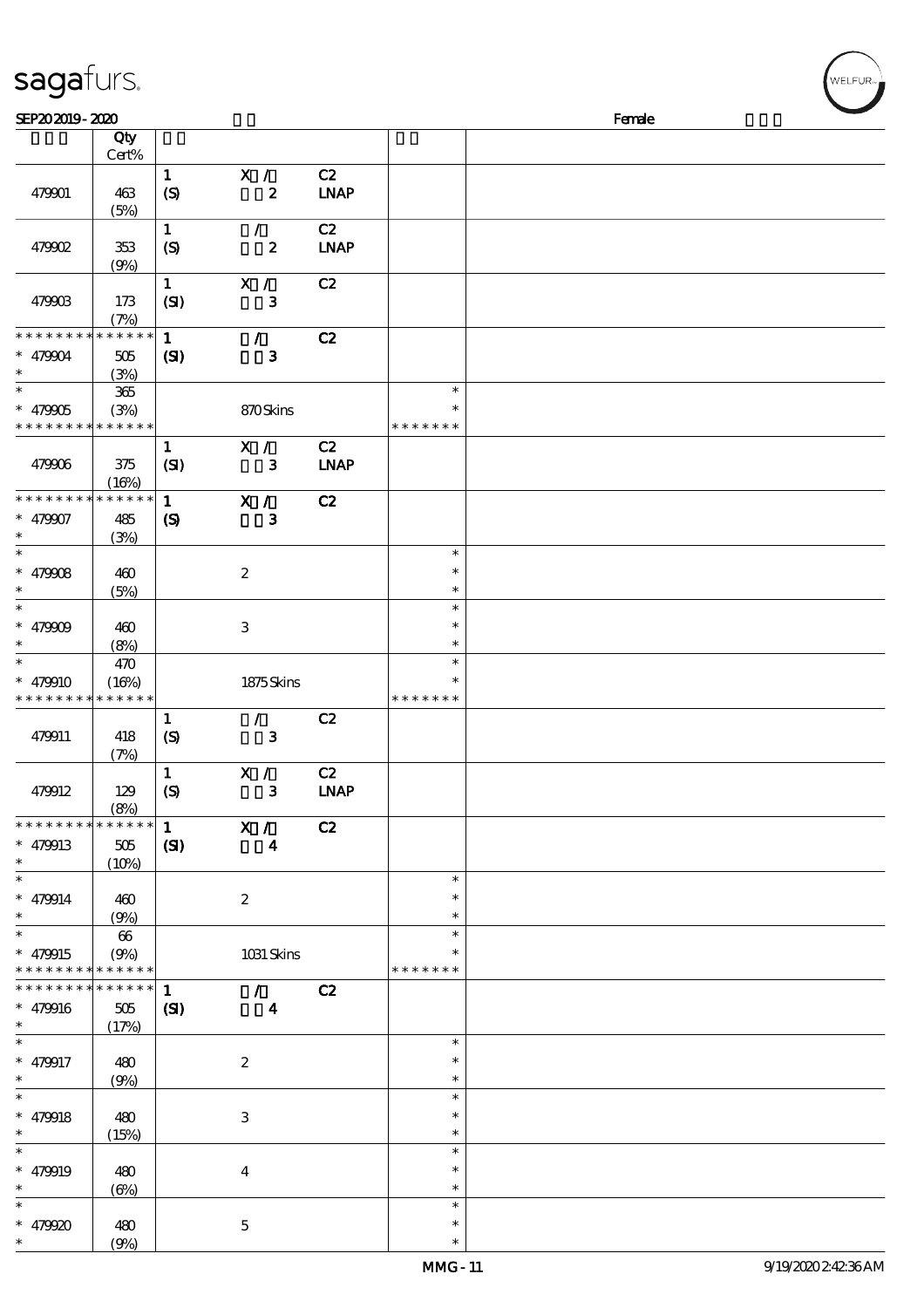| SEP202019-2020     |                         |                             |                         |             |                  | Female |
|--------------------|-------------------------|-----------------------------|-------------------------|-------------|------------------|--------|
|                    | Qty                     |                             |                         |             |                  |        |
|                    | $\mbox{Cert}\%$         |                             |                         |             |                  |        |
|                    |                         | $\mathbf{1}$                | X /                     | C2          |                  |        |
| 479901             | 463                     | $\boldsymbol{S}$            | $\pmb{2}$               | <b>LNAP</b> |                  |        |
|                    | (5%)                    | $\mathbf{1}$                | $\mathcal{L}$           | C2          |                  |        |
| 479902             | 353                     | (S)                         | $\boldsymbol{z}$        | <b>LNAP</b> |                  |        |
|                    | (9%)                    |                             |                         |             |                  |        |
|                    |                         | $\mathbf{1}$                | X /                     | C2          |                  |        |
| 479903             | 173                     | (SI)                        | $\mathbf 3$             |             |                  |        |
|                    | (7%)                    |                             |                         |             |                  |        |
| * * * * * * * *    | * * * * * *             | $\mathbf{1}$                | $\mathcal{L}$           | C2          |                  |        |
| * 479904           | 505                     | (S)                         | $\mathbf{3}$            |             |                  |        |
| $\ast$             | (3%)                    |                             |                         |             |                  |        |
| $\overline{\ast}$  | 365                     |                             |                         |             | $\ast$           |        |
| $* 479005$         | (3%)                    |                             | 870Skins                |             | ∗                |        |
| * * * * * * * *    | * * * * * *             |                             |                         |             | * * * * * * *    |        |
|                    |                         | $\mathbf{1}$                | X /                     | C2          |                  |        |
| 479906             | 375                     | (SI)                        | $\mathbf{3}$            | <b>LNAP</b> |                  |        |
|                    | (16%)                   |                             |                         |             |                  |        |
| * * * * * * * *    | $******$                | $\mathbf{1}$                | X /                     | C2          |                  |        |
| * 479907<br>*      | 485                     | $\boldsymbol{\mathsf{(S)}}$ | $\mathbf{3}$            |             |                  |        |
| $\ast$             | (3%)                    |                             |                         |             | $\ast$           |        |
| * $479008$         | 460                     |                             | $\boldsymbol{2}$        |             | $\ast$           |        |
| $\ast$             | (5%)                    |                             |                         |             | $\ast$           |        |
| $\ast$             |                         |                             |                         |             | $\ast$           |        |
| * $479009$         | 460                     |                             | 3                       |             | $\ast$           |        |
| $\ast$             | (8%)                    |                             |                         |             | $\ast$           |        |
| $\ast$             | 470                     |                             |                         |             | $\ast$           |        |
| * 479910           | (16%)                   |                             | 1875Skins               |             | $\ast$           |        |
| * * * * * * * *    | * * * * * *             |                             |                         |             | * * * * * * *    |        |
|                    |                         | $\mathbf{1}$                | $\mathcal{F}$           | C2          |                  |        |
| 479911             | 418                     | $\boldsymbol{S}$            | $\mathbf{3}$            |             |                  |        |
|                    | (7%)                    |                             |                         |             |                  |        |
|                    |                         | $\mathbf{1}$                | X /                     | C2          |                  |        |
| 479912             | 129                     | $\boldsymbol{S}$            | $\mathbf{3}$            | <b>LNAP</b> |                  |        |
| * * * * * * * *    | (8%)<br>$* * * * * * *$ |                             |                         |             |                  |        |
|                    |                         | $\mathbf{1}$                | X /                     | C2          |                  |        |
| $* 479913$<br>$*$  | $505\,$                 | (S)                         | $\boldsymbol{4}$        |             |                  |        |
| $\ast$             | (10%)                   |                             |                         |             | $\ast$           |        |
| $* 479914$         | 460                     |                             | $\boldsymbol{2}$        |             | $\ast$           |        |
| $\ast$             | (9%)                    |                             |                         |             | $\ast$           |        |
| $\ast$             | $66\,$                  |                             |                         |             | $\ast$           |        |
| * 479915           | (9%)                    |                             | 1031 Skins              |             | $\ast$           |        |
| * * * * * * * *    | * * * * * *             |                             |                         |             | * * * * * * *    |        |
| * * * * * * * *    | $* * * * * * *$         | $\mathbf{1}$                | $\mathcal{T}$           | C2          |                  |        |
| $* 479916$         | 505                     | $\mathbf{C}$                | $\overline{\mathbf{4}}$ |             |                  |        |
| $\ast$             | (17%)                   |                             |                         |             |                  |        |
| $\overline{\ast}$  |                         |                             |                         |             | $\ast$           |        |
| * 479917           | 480                     |                             | $\boldsymbol{2}$        |             | $\ast$           |        |
| $\ast$             | (9%)                    |                             |                         |             | $\ast$           |        |
| $\ast$             |                         |                             |                         |             | $\ast$           |        |
| $* 479918$         | 480                     |                             | 3                       |             | $\ast$           |        |
| $\ast$<br>$\ast$   | (15%)                   |                             |                         |             | $\ast$<br>$\ast$ |        |
|                    |                         |                             |                         |             | $\ast$           |        |
| * 479919<br>$\ast$ | 480<br>$(\Theta)$       |                             | $\bf{4}$                |             | $\ast$           |        |
|                    |                         |                             |                         |             |                  |        |

\*\*\*

 $\ast$  $\ast$ 

\*\*\*

 $\ast$ 

479920 480

sagafurs.

 $(9%)$ 

5

**NELFUR**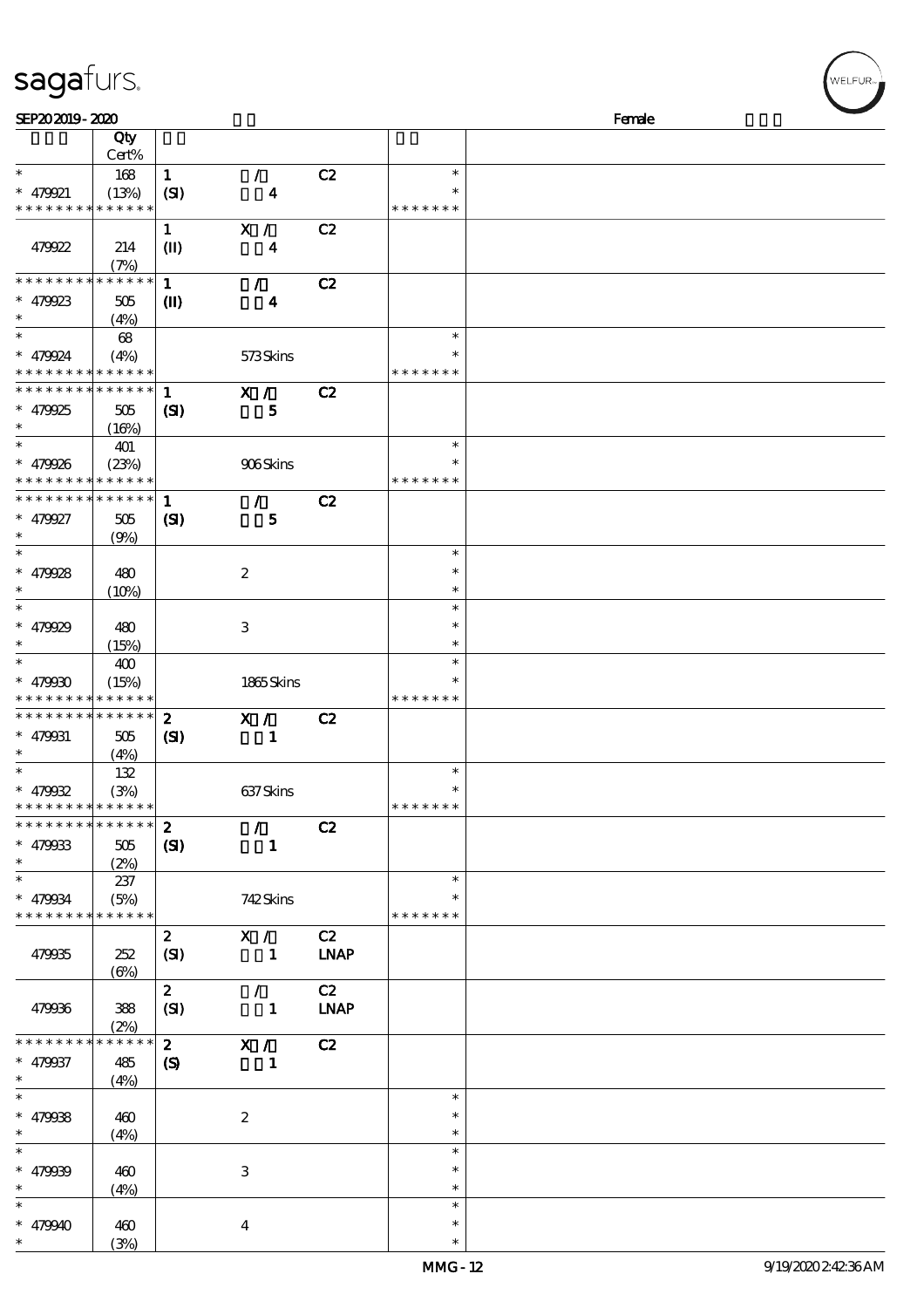| SEP202019-2020                                             |             |                  |                  |             |               | Female |
|------------------------------------------------------------|-------------|------------------|------------------|-------------|---------------|--------|
|                                                            | Qty         |                  |                  |             |               |        |
|                                                            | Cert%       |                  |                  |             |               |        |
| $\ast$                                                     | 168         | $\mathbf{1}$     | $\mathcal{F}$    | C2          | $\ast$        |        |
| $* 479921$                                                 | (13%)       | (SI)             | $\boldsymbol{4}$ |             | $\ast$        |        |
| * * * * * * * * * * * * * *                                |             |                  |                  |             | * * * * * * * |        |
|                                                            |             | $\mathbf{1}$     | X /              | C2          |               |        |
| 479922                                                     | 214         | $\mathbf{I}$     | $\boldsymbol{4}$ |             |               |        |
|                                                            | (7%)        |                  |                  |             |               |        |
| * * * * * * * * * * * * * *                                |             | $\mathbf{1}$     | $\mathcal{F}$    | C2          |               |        |
| $* 479923$                                                 | 505         | $\mathbf{I}$     | $\boldsymbol{4}$ |             |               |        |
| $\ast$                                                     | (4%)        |                  |                  |             |               |        |
| $\ast$                                                     | 68          |                  |                  |             | $\ast$        |        |
| $* 479924$                                                 | (4%)        |                  | 573Skins         |             | $\ast$        |        |
| * * * * * * * * <mark>* * * * * *</mark>                   |             |                  |                  |             | * * * * * * * |        |
| ******** <mark>******</mark>                               |             | $\mathbf{1}$     | X /              |             |               |        |
|                                                            |             |                  |                  | C2          |               |        |
| $* 479925$                                                 | 505         | $\mathbf{S}$     | $\mathbf{5}$     |             |               |        |
| $\ast$                                                     | (16%)       |                  |                  |             | $\ast$        |        |
|                                                            | 401         |                  |                  |             | $\ast$        |        |
| $* 479926$                                                 | (23%)       |                  | 906Skins         |             | * * * * * * * |        |
| * * * * * * * * * * * * * *<br>* * * * * * * * * * * * * * |             |                  |                  |             |               |        |
|                                                            |             | $\mathbf{1}$     | $\mathcal{L}$    | C2          |               |        |
| $* 479927$                                                 | 505         | (S)              | $\mathbf{5}$     |             |               |        |
| $\ast$                                                     | (9%)        |                  |                  |             |               |        |
| $\ast$                                                     |             |                  |                  |             | $\ast$        |        |
| $* 479928$                                                 | 480         |                  | $\boldsymbol{2}$ |             | $\ast$        |        |
| $\ast$                                                     | (10%)       |                  |                  |             | $\ast$        |        |
| $\ast$                                                     |             |                  |                  |             | $\ast$        |        |
| $* 479929$                                                 | 480         |                  | 3                |             | *             |        |
| $\ast$                                                     | (15%)       |                  |                  |             | $\ast$        |        |
| $\ast$                                                     | 400         |                  |                  |             | $\ast$        |        |
| $* 479900$                                                 | (15%)       |                  | 1865Skins        |             |               |        |
| * * * * * * * * * * * * * *                                |             |                  |                  |             | * * * * * * * |        |
| ******** <mark>******</mark>                               |             | $\boldsymbol{z}$ | $X / \sqrt{2}$   | C2          |               |        |
| $* 479931$                                                 | 505         | $\mathbf{C}$     | $\mathbf{1}$     |             |               |        |
| $\ast$                                                     | (4%)        |                  |                  |             |               |        |
| $\ast$                                                     | 132         |                  |                  |             | $\ast$        |        |
| $* 479032$                                                 | (3%)        |                  | 637Skins         |             | $\ast$        |        |
| * * * * * * * * * * * * * *                                |             |                  |                  |             | * * * * * * * |        |
| * * * * * * * * * * * * * * *                              |             | $\mathbf{2}$     | $\mathcal{L}$    | C2          |               |        |
| $* 479033$                                                 | 505         | (S)              | $\mathbf{1}$     |             |               |        |
| $\ast$                                                     | (2%)        |                  |                  |             |               |        |
| $\ast$                                                     | 237         |                  |                  |             | $\ast$        |        |
| $* 479034$                                                 | (5%)        |                  | 742Skins         |             | *             |        |
| * * * * * * * * <mark>* * * * * * *</mark>                 |             |                  |                  |             | * * * * * * * |        |
|                                                            |             | $\mathbf{2}$     | X /              | C2          |               |        |
| 479935                                                     | 252         | (SI)             | $\mathbf{1}$     | <b>LNAP</b> |               |        |
|                                                            | $(\Theta)$  |                  |                  |             |               |        |
|                                                            |             | $\mathbf{z}$     | $\mathcal{L}$    | C2          |               |        |
| 479936                                                     | 388         | (SI)             | $\mathbf{1}$     | <b>LNAP</b> |               |        |
|                                                            | (2%)        |                  |                  |             |               |        |
| * * * * * * * *                                            | * * * * * * | $\mathbf{2}$     | $\mathbf{X}$ /   | C2          |               |        |
| $* 479937$                                                 | 485         | $\circleds$      | $\mathbf{1}$     |             |               |        |
| $\ast$                                                     | (4%)        |                  |                  |             |               |        |
| $\ast$                                                     |             |                  |                  |             | $\ast$        |        |
| $* 479938$                                                 | 460         |                  | $\boldsymbol{2}$ |             | $\ast$        |        |
| $\ast$                                                     | (4%)        |                  |                  |             | $\ast$        |        |
| $\ast$                                                     |             |                  |                  |             | $\ast$        |        |
| $* 479939$                                                 | 460         |                  | $\,3$            |             | $\ast$        |        |
| $\ast$                                                     | (4%)        |                  |                  |             | $\ast$        |        |
| $\ast$                                                     |             |                  |                  |             | $\ast$        |        |
| $* 479940$                                                 |             |                  |                  |             | $\ast$        |        |
| $\ast$                                                     | 460<br>(3%) |                  | $\bf{4}$         |             | $\ast$        |        |
|                                                            |             |                  |                  |             |               |        |

WELFUR<sub><sup>N</sup></sub>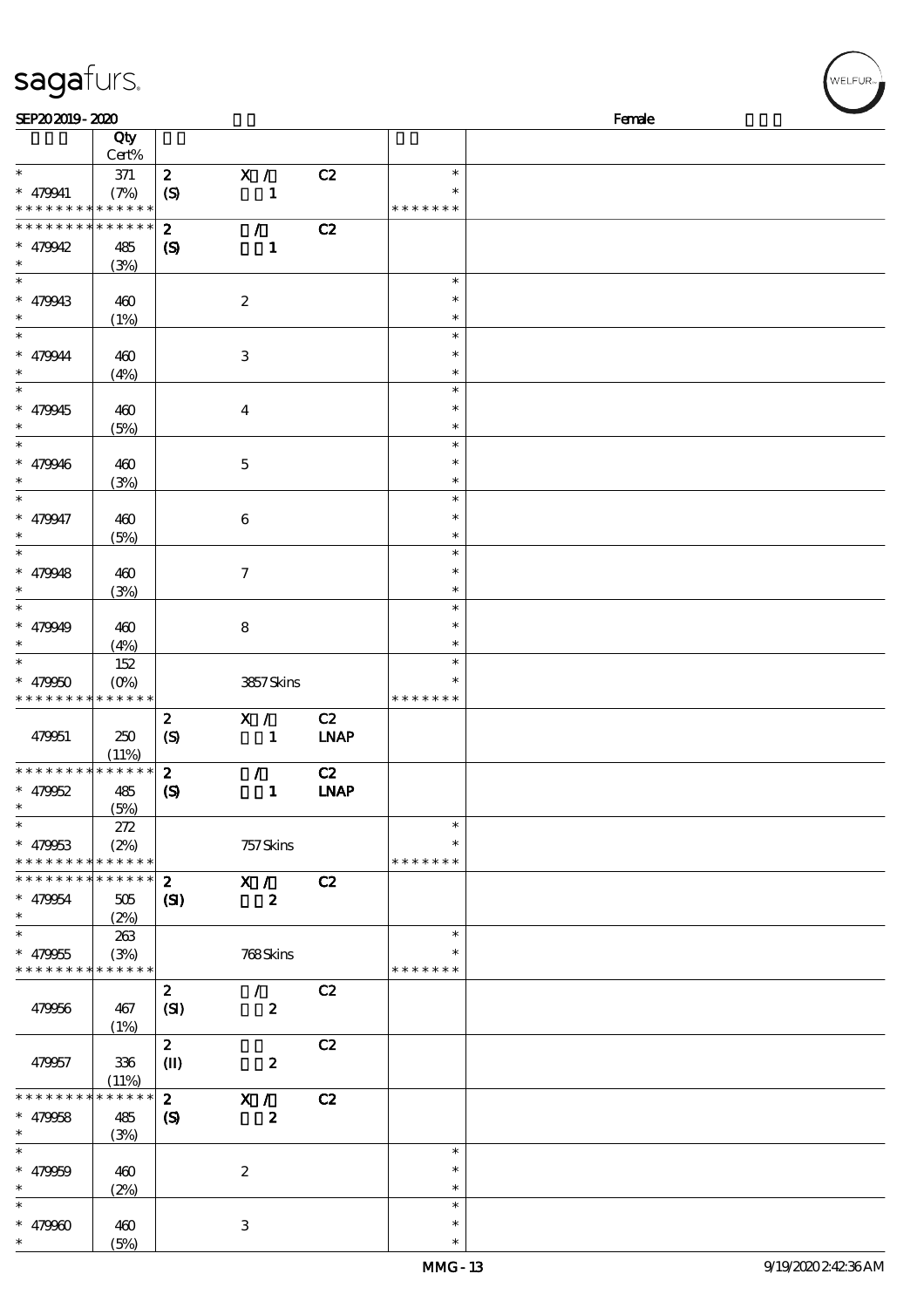| SEP202019-2020                             |                  |                             |                  |                              |               | Female |
|--------------------------------------------|------------------|-----------------------------|------------------|------------------------------|---------------|--------|
|                                            | Qty<br>Cert%     |                             |                  |                              |               |        |
| $\ast$                                     | $37\!\!1$        | $\boldsymbol{z}$            | $\mathbf{X}$ /   | C2                           | $\ast$        |        |
| * 479941                                   | (7%)             | $\boldsymbol{S}$            | $\mathbf{1}$     |                              | $\ast$        |        |
| * * * * * * * * <mark>* * * * * * *</mark> |                  |                             |                  |                              | * * * * * * * |        |
| * * * * * * * *                            | * * * * * *      | $\boldsymbol{z}$            | $\mathcal{L}$    | C2                           |               |        |
| $* 479942$                                 | 485              | $\boldsymbol{S}$            | $\mathbf{1}$     |                              |               |        |
| $\ast$                                     | (3%)             |                             |                  |                              |               |        |
| $\ast$                                     |                  |                             |                  |                              | $\ast$        |        |
| * 479943                                   | 460              |                             | $\boldsymbol{2}$ |                              | $\ast$        |        |
| $\ast$                                     | (1%)             |                             |                  |                              | $\ast$        |        |
| $\ast$                                     |                  |                             |                  |                              | $\ast$        |        |
| * 479944                                   | 460              |                             | $\,3\,$          |                              | $\ast$        |        |
| $\ast$                                     | (4%)             |                             |                  |                              | $\ast$        |        |
| $\overline{\ast}$                          |                  |                             |                  |                              | $\ast$        |        |
| * 479945                                   | 460              |                             | $\boldsymbol{4}$ |                              | $\ast$        |        |
| $\ast$                                     | (5%)             |                             |                  |                              | $\ast$        |        |
| $\ast$                                     |                  |                             |                  |                              | $\ast$        |        |
| $* 479946$                                 | 460              |                             | $\mathbf 5$      |                              | $\ast$        |        |
| $\ast$                                     | (3%)             |                             |                  |                              | $\ast$        |        |
| $\overline{\ast}$                          |                  |                             |                  |                              | $\ast$        |        |
| * 479947                                   | 460              |                             | $\boldsymbol{6}$ |                              | $\ast$        |        |
| $\ast$                                     | (5%)             |                             |                  |                              | $\ast$        |        |
| $\overline{\ast}$                          |                  |                             |                  |                              | $\ast$        |        |
| * $479948$                                 | 460              |                             | $\boldsymbol{7}$ |                              | $\ast$        |        |
| $\ast$                                     | (3%)             |                             |                  |                              | $\ast$        |        |
| $\ast$                                     |                  |                             |                  |                              | $\ast$        |        |
| $* 479949$                                 | 460              |                             | $\bf 8$          |                              | $\ast$        |        |
| $\ast$                                     | (4%)             |                             |                  |                              | $\ast$        |        |
| $\ast$                                     | 152              |                             |                  |                              | $\ast$        |        |
| $* 479950$                                 | $(O\!/\!\delta)$ |                             | 3857Skins        |                              | $\ast$        |        |
| * * * * * * * *                            | $***$ * * * *    |                             |                  |                              | * * * * * * * |        |
|                                            |                  | $\boldsymbol{z}$            | X /              | C2                           |               |        |
| 479951                                     | 250              | $\boldsymbol{S}$            | $\mathbf{1}$     | <b>LNAP</b>                  |               |        |
|                                            | (11%)            |                             |                  |                              |               |        |
| * * * * * * * *                            | * * * * * *      | $\boldsymbol{z}$            | $\mathcal{L}$    | C2                           |               |        |
| $* 479952$                                 | 485              | $\boldsymbol{\mathrm{(S)}}$ | $\mathbf{1}$     | $\ensuremath{\mathbf{INAP}}$ |               |        |
|                                            | (5%)             |                             |                  |                              |               |        |
| $\ast$                                     | 272              |                             |                  |                              | $\ast$        |        |
| $* 479053$                                 | (2%)             |                             | 757 Skins        |                              | $\ast$        |        |
| * * * * * * * *                            | * * * * * *      |                             |                  |                              | * * * * * * * |        |
| * * * * * * * *                            | $* * * * * * *$  | $\mathbf{z}$                | X /              | C2                           |               |        |
| * 479954                                   | 505              | $\mathbf{S}$                | $\boldsymbol{z}$ |                              |               |        |
| $\ast$                                     | (2%)             |                             |                  |                              |               |        |
| $\ast$                                     | 263              |                             |                  |                              | $\ast$        |        |
| $* 479955$                                 | (3%)             |                             | 768Skins         |                              | $\ast$        |        |
| * * * * * * * *                            | * * * * * *      |                             |                  |                              | * * * * * * * |        |
|                                            |                  | $\boldsymbol{z}$            | $\mathcal{L}$    | C2                           |               |        |
| 479956                                     | 467              | (SI)                        | $\boldsymbol{z}$ |                              |               |        |
|                                            | (1%)             |                             |                  |                              |               |        |
|                                            |                  | $\boldsymbol{z}$            |                  | C2                           |               |        |
| 479957                                     | 336              | $\mathbf{I}$                | $\boldsymbol{z}$ |                              |               |        |
|                                            | (11%)            |                             |                  |                              |               |        |
| * * * * * * * *                            | * * * * * *      | $\boldsymbol{z}$            | X /              | C2                           |               |        |
| $* 479058$                                 | 485              | $\boldsymbol{S}$            | $\boldsymbol{z}$ |                              |               |        |
| $\ast$                                     | (3%)             |                             |                  |                              |               |        |
| $\ast$                                     |                  |                             |                  |                              | $\ast$        |        |
| $* 479959$                                 | 460              |                             | $\boldsymbol{2}$ |                              | $\ast$        |        |
| $\ast$                                     | (2%)             |                             |                  |                              | $\ast$        |        |
| $\ast$                                     |                  |                             |                  |                              | $\ast$        |        |
| * $47990$                                  | 460              |                             | $\,3$            |                              | $\ast$        |        |
| *                                          | (5%)             |                             |                  |                              | $\ast$        |        |

(5%)

sagafurs.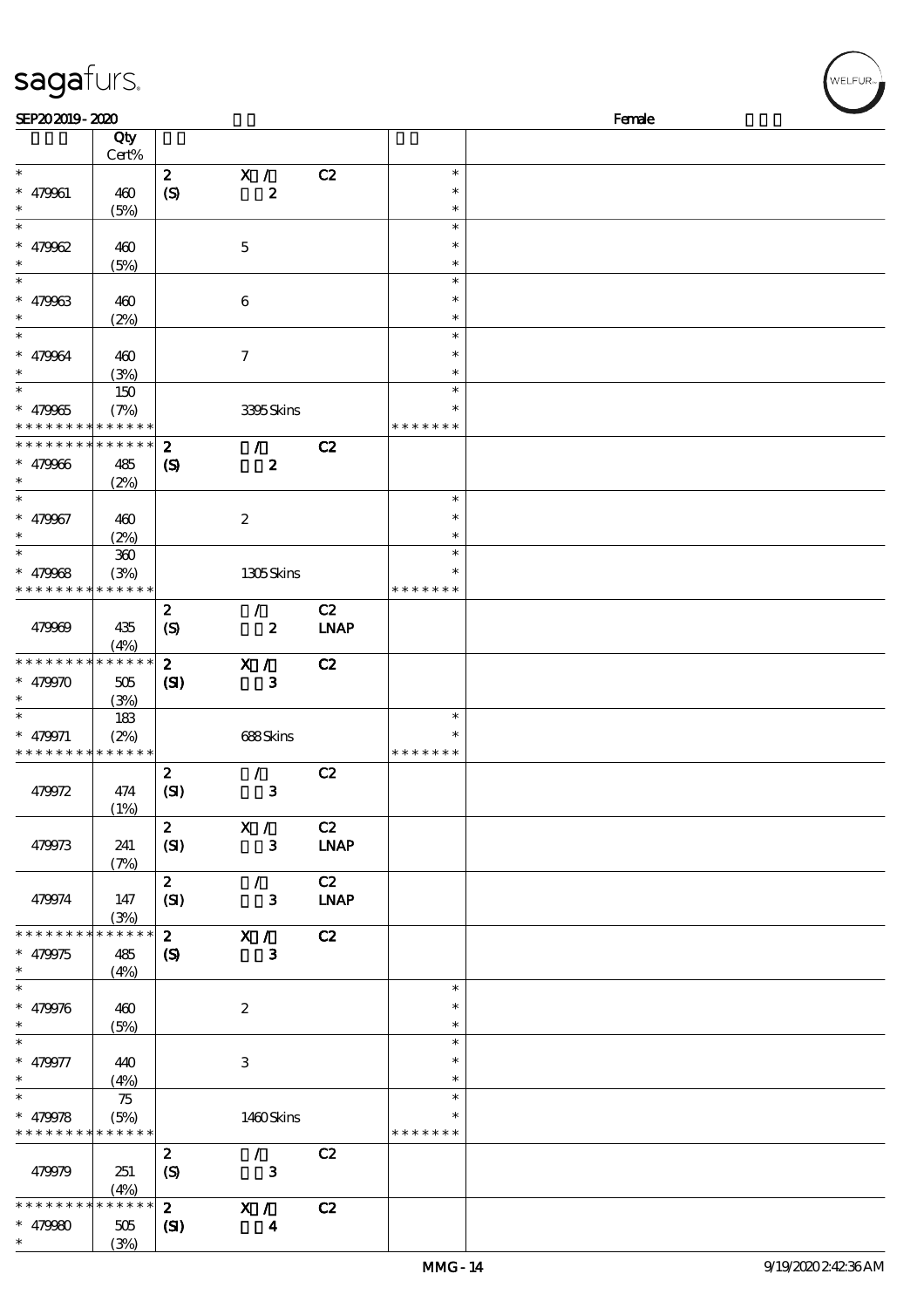| SEP202019-2020  |                 |                             |                  |             |               | Female |
|-----------------|-----------------|-----------------------------|------------------|-------------|---------------|--------|
|                 | Qty<br>Cert%    |                             |                  |             |               |        |
| $\ast$          |                 | $\boldsymbol{z}$            | X /              | C2          | $\ast$        |        |
| $* 479961$      | 460             | $\boldsymbol{S}$            | $\boldsymbol{z}$ |             | $\ast$        |        |
| $\ast$          | (5%)            |                             |                  |             | $\ast$        |        |
| $\ast$          |                 |                             |                  |             | $\ast$        |        |
| * $479962$      | 460             |                             | $\mathbf 5$      |             | $\ast$        |        |
| $\ast$          | (5%)            |                             |                  |             | $\ast$        |        |
| $\ast$          |                 |                             |                  |             | $\ast$        |        |
| $* 479963$      | 460             |                             | $\,6\,$          |             | $\ast$        |        |
| $\ast$          | (2%)            |                             |                  |             | $\ast$        |        |
| $\ast$          |                 |                             |                  |             | $\ast$        |        |
| * 479964        | 460             |                             | $\mathcal I$     |             | $\ast$        |        |
|                 | (3%)            |                             |                  |             | $\ast$        |        |
| $\ast$          | 150             |                             |                  |             | $\ast$        |        |
| $* 479965$      | (7%)            |                             | 3395Skins        |             | ∗             |        |
| * * * * * * * * | * * * * * *     |                             |                  |             | * * * * * * * |        |
| * * * * * * * * | * * * * * *     | $\boldsymbol{z}$            | $\mathcal{F}$    | C2          |               |        |
| $* 479966$      | 485             | $\boldsymbol{\mathcal{S}}$  | $\boldsymbol{z}$ |             |               |        |
| $\ast$          | (2%)            |                             |                  |             |               |        |
| $\ast$          |                 |                             |                  |             | $\ast$        |        |
| * 479967        | 460             |                             | $\boldsymbol{2}$ |             | $\ast$        |        |
| $\ast$          | (2%)            |                             |                  |             | $\ast$        |        |
| $\ast$          | $360\,$         |                             |                  |             | $\ast$        |        |
| * $479968$      | (3%)            |                             | 1305Skins        |             | $\ast$        |        |
| * * * * * * * * | * * * * * *     |                             |                  |             | * * * * * * * |        |
|                 |                 | $\boldsymbol{z}$            | $\mathcal{L}$    | C2          |               |        |
| 479969          | 435             | $\boldsymbol{S}$            | $\boldsymbol{z}$ | <b>LNAP</b> |               |        |
|                 | (4%)            |                             |                  |             |               |        |
| * * * * * * * * | $* * * * * * *$ | $\boldsymbol{z}$            | X /              | C2          |               |        |
| * $479970$      | 505             | (S)                         | $\mathbf{3}$     |             |               |        |
| $\ast$          | (3%)            |                             |                  |             |               |        |
| $\ast$          | 183             |                             |                  |             | $\ast$        |        |
| $* 479971$      | (2%)            |                             | 688Skins         |             | $\ast$        |        |
| * * * * * * * * | * * * * * *     |                             |                  |             | * * * * * * * |        |
|                 |                 | $\boldsymbol{z}$            | $\mathcal{L}$    | C2          |               |        |
| 479972          | 474             | (SI)                        | ${\bf 3}$        |             |               |        |
|                 | (1%)            |                             |                  |             |               |        |
|                 |                 | $\boldsymbol{z}$            | X /              | C2          |               |        |
| 479973          | 241             | (SI)                        | $\mathbf{3}$     | <b>LNAP</b> |               |        |
|                 | (7%)            |                             |                  |             |               |        |
|                 |                 | $\mathbf{z}$                | $\mathcal{L}$    | C2          |               |        |
| 479974          | 147             | (SI)                        | 3                | <b>LNAP</b> |               |        |
|                 | (3%)            |                             |                  |             |               |        |
| * * * * * * * * | * * * * * *     | $\mathbf{z}$                | X /              | C2          |               |        |
| * 479975        | 485             | $\boldsymbol{\mathrm{(S)}}$ | $\mathbf{3}$     |             |               |        |
| $\ast$          | (4%)            |                             |                  |             |               |        |
| $\ast$          |                 |                             |                  |             | $\ast$        |        |
| $* 479976$      | 460             |                             | $\boldsymbol{2}$ |             | $\ast$        |        |
| $\ast$          | (5%)            |                             |                  |             | $\ast$        |        |
| $\ast$          |                 |                             |                  |             | $\ast$        |        |
| * 479977        | 440             |                             | $\,3\,$          |             | $\ast$        |        |
| $\ast$          | (4%)            |                             |                  |             | $\ast$        |        |
| $\ast$          | 75              |                             |                  |             | $\ast$        |        |
| * 479978        | (5%)            |                             | 1460Skins        |             | *             |        |
| * * * * * * * * | * * * * * *     |                             |                  |             | * * * * * * * |        |
|                 |                 | $\boldsymbol{z}$            | $\mathcal{F}$    | C2          |               |        |
| 479979          | 251             | (S)                         | 3                |             |               |        |
|                 | (4%)            |                             |                  |             |               |        |
| * * * * * * *   | * * * * * *     | $\mathbf{z}$                | X /              | C2          |               |        |
| $* 479980$      | 505             | $\mathbf{C}$                | $\boldsymbol{4}$ |             |               |        |

\*\*

sagafurs.

(3%)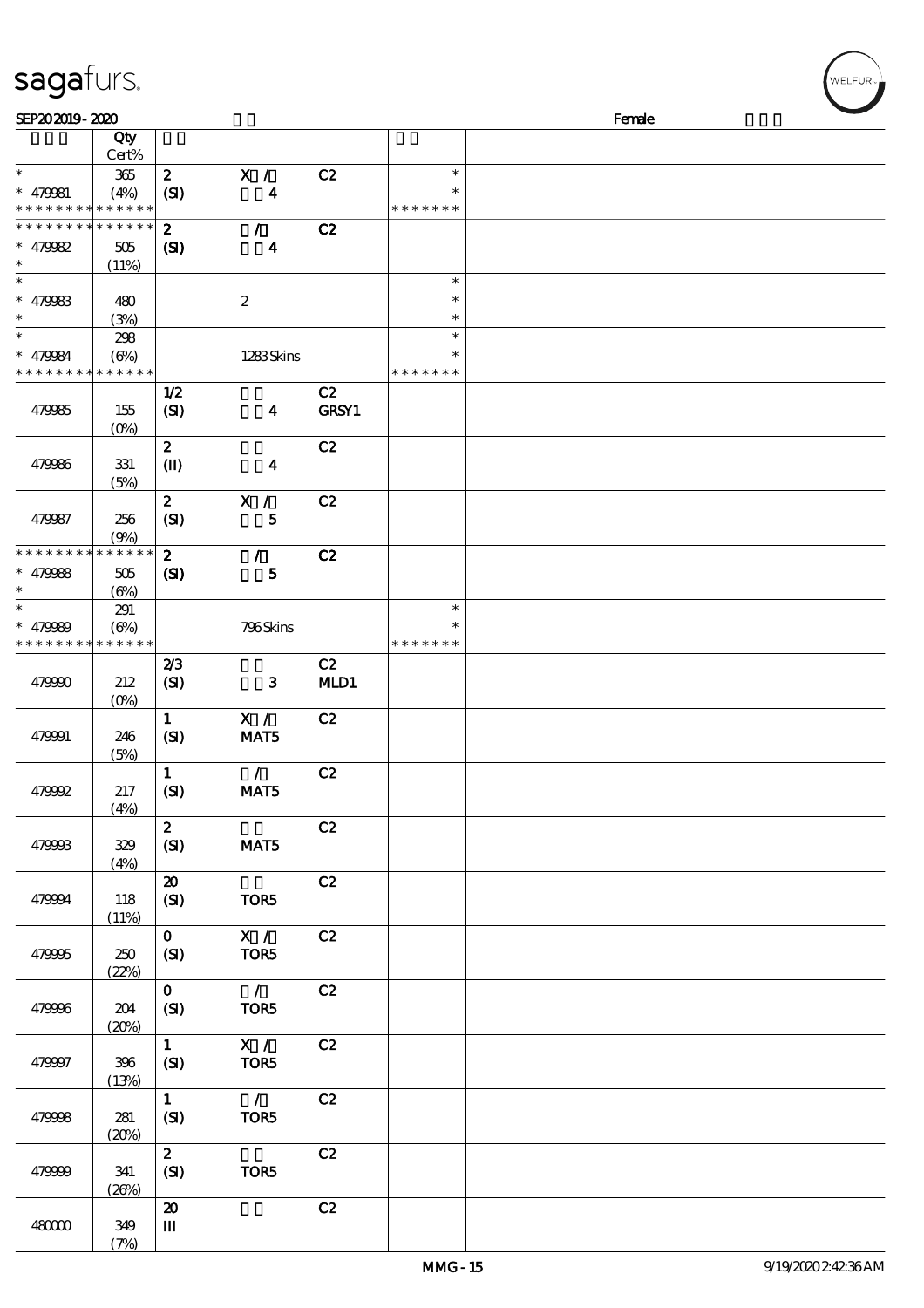|                      | Qty<br>Cert%      |                            |                           |       |               |  |
|----------------------|-------------------|----------------------------|---------------------------|-------|---------------|--|
| $\ast$               |                   |                            |                           |       | $\ast$        |  |
|                      | 365               | $\boldsymbol{z}$           | X /                       | C2    |               |  |
| $* 479981$           | (4%)              | (SI)                       | $\boldsymbol{4}$          |       | $\ast$        |  |
| * * * * * * * *      | * * * * * *       |                            |                           |       | * * * * * * * |  |
| * * * * * * * *      | $* * * * * * *$   | $\boldsymbol{z}$           | $\mathcal{L}$             | C2    |               |  |
| * $479982$           | 505               | (S)                        | $\boldsymbol{4}$          |       |               |  |
| $\ast$               | (11%)             |                            |                           |       |               |  |
| $\overline{\ast}$    |                   |                            |                           |       | $\ast$        |  |
|                      |                   |                            |                           |       | $\ast$        |  |
| * $479983$<br>$\ast$ | 480               |                            | $\boldsymbol{2}$          |       |               |  |
|                      | (3%)              |                            |                           |       | $\ast$        |  |
| $\ast$               | 298               |                            |                           |       | $\ast$        |  |
| * 479984             | $(\Theta\%)$      |                            | 1283Skins                 |       | $\ast$        |  |
| * * * * * * * *      | * * * * * *       |                            |                           |       | * * * * * * * |  |
|                      |                   | 1/2                        |                           | C2    |               |  |
| 479985               | 155               | (SI)                       | $\overline{\mathbf{4}}$   | GRSY1 |               |  |
|                      | (O <sub>0</sub> ) |                            |                           |       |               |  |
|                      |                   | $\boldsymbol{z}$           |                           | C2    |               |  |
|                      |                   |                            |                           |       |               |  |
| 479986               | 331               | $\mathbf{I}$               | $\boldsymbol{4}$          |       |               |  |
|                      | (5%)              |                            |                           |       |               |  |
|                      |                   | $\boldsymbol{z}$           | X /                       | C2    |               |  |
| 479987               | 256               | (SI)                       | $\bf 5$                   |       |               |  |
|                      | (9%)              |                            |                           |       |               |  |
| * * * * * * * *      | * * * * * *       | $\boldsymbol{z}$           | $\mathcal{F}$             | C2    |               |  |
| $* 479988$           | 505               | $\mathbf{C}$               | 5                         |       |               |  |
| $\ast$               | $(\Theta)$        |                            |                           |       |               |  |
| $\ast$               |                   |                            |                           |       | $\ast$        |  |
|                      | 291               |                            |                           |       | *             |  |
| $* 479989$           | $(\Theta)$        |                            | 796Skins                  |       |               |  |
| * * * * * * * *      | * * * * * *       |                            |                           |       | * * * * * * * |  |
|                      |                   | 2/3                        |                           | C2    |               |  |
| 479990               | 212               | (SI)                       | 3                         | MD1   |               |  |
|                      | $(0\%)$           |                            |                           |       |               |  |
|                      |                   | $\mathbf{1}$               | X /                       | C2    |               |  |
| 479991               | 246               | (SI)                       | MAT5                      |       |               |  |
|                      | (5%)              |                            |                           |       |               |  |
|                      |                   | $\mathbf{1}$               | $\mathcal{L}$             | C2    |               |  |
|                      |                   |                            |                           |       |               |  |
| 479992               | 217               | (SI)                       | MAT5                      |       |               |  |
|                      | (4%)              |                            |                           |       |               |  |
|                      |                   | $\boldsymbol{z}$           |                           | C2    |               |  |
| 479993               | 329               | (SI)                       | MAT5                      |       |               |  |
|                      | (4%)              |                            |                           |       |               |  |
|                      |                   | $\boldsymbol{\mathsf{20}}$ |                           | C2    |               |  |
| 479994               | 118               | (SI)                       | TOR5                      |       |               |  |
|                      | (11%)             |                            |                           |       |               |  |
|                      |                   | $\mathbf{o}$               | X /                       | C2    |               |  |
| 479995               | 250               |                            | TOR5                      |       |               |  |
|                      |                   | (SI)                       |                           |       |               |  |
|                      | (22%)             |                            |                           |       |               |  |
|                      |                   | $\mathbf{O}$               | $\mathcal{L}$             | C2    |               |  |
| 479996               | 204               | (SI)                       | TOR5                      |       |               |  |
|                      | (20%)             |                            |                           |       |               |  |
|                      |                   | $\mathbf{1}$               | $\overline{\mathbf{x}}$ / | C2    |               |  |
| 479997               | 396               | (SI)                       | TOR5                      |       |               |  |
|                      | (13%)             |                            |                           |       |               |  |
|                      |                   | $\mathbf{1}$               | $\overline{1}$            | C2    |               |  |
| 479998               | 281               | (SI)                       | TOR5                      |       |               |  |
|                      |                   |                            |                           |       |               |  |
|                      | (20%)             |                            |                           |       |               |  |
|                      |                   | $\boldsymbol{z}$           |                           | C2    |               |  |
| 479999               | 341               | (SI)                       | TOR5                      |       |               |  |

 $SEP202019 - 2020$  Female

 $(26%)$ 

 $\overline{20}$  C<sub>2</sub>

 $(7%)$ 

 $\, {\bf m}$ 

48000 349

sagafurs.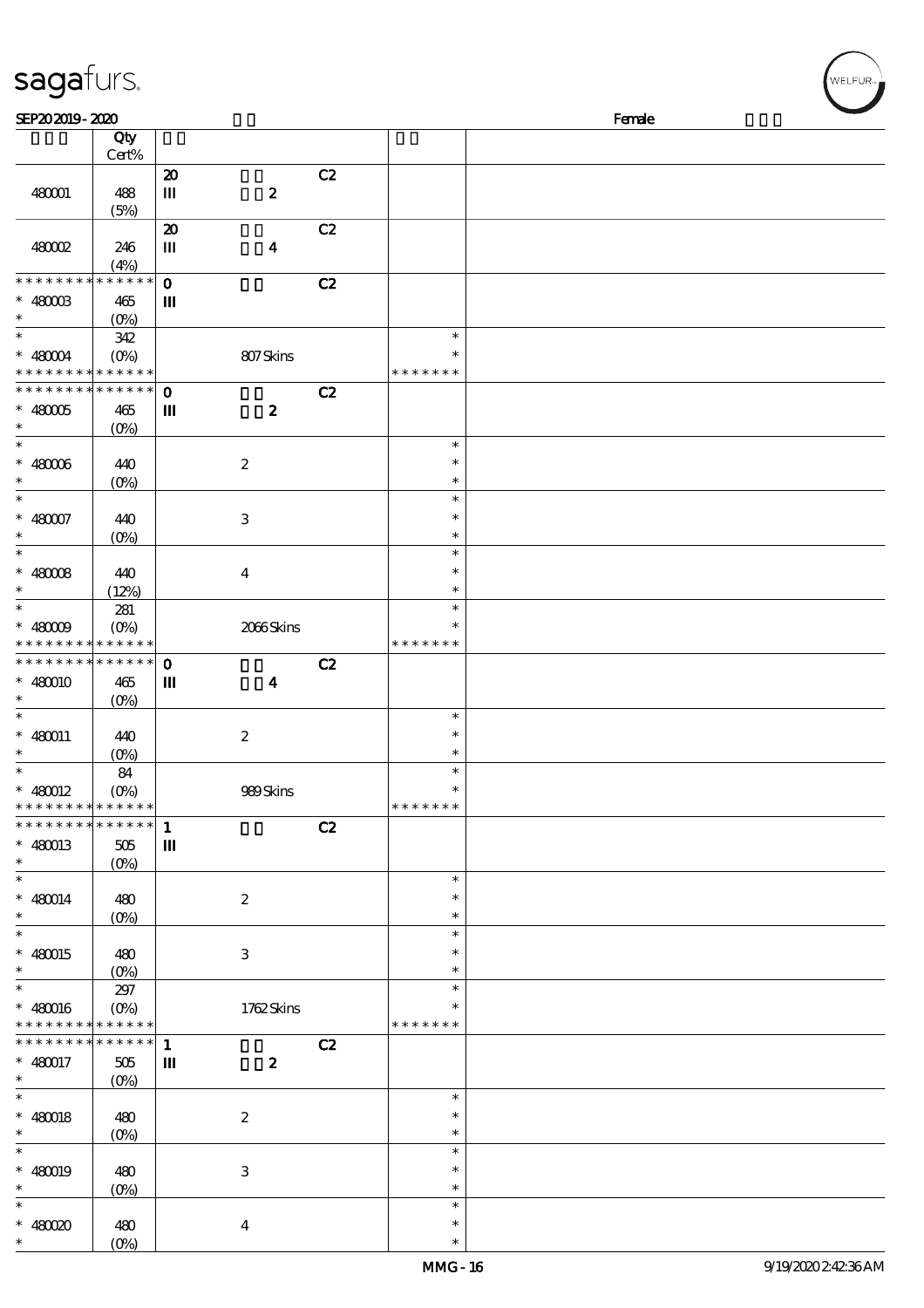| sagafurs.                     |                            |                             |                           |    |               | WELFUR <sub>™</sub> |
|-------------------------------|----------------------------|-----------------------------|---------------------------|----|---------------|---------------------|
| SEP202019-2020                |                            |                             |                           |    |               | Female              |
|                               | Qty                        |                             |                           |    |               |                     |
|                               | Cert%                      |                             |                           |    |               |                     |
|                               |                            | $\boldsymbol{\mathsf{20}}$  |                           | C2 |               |                     |
| 480001                        | 488                        | $\mathbf m$                 | $\pmb{2}$                 |    |               |                     |
|                               | (5%)                       |                             |                           |    |               |                     |
|                               |                            | $\boldsymbol{\mathfrak{D}}$ |                           | C2 |               |                     |
| 48002                         | 246                        | Ш                           | $\boldsymbol{4}$          |    |               |                     |
|                               | (4%)                       |                             |                           |    |               |                     |
| * * * * * * * *               | * * * * * *                | $\mathbf{o}$                |                           | C2 |               |                     |
| $* 4800B$                     | 465                        | Ш                           |                           |    |               |                     |
| $\ast$                        | $(O\%)$                    |                             |                           |    |               |                     |
| $\overline{\ast}$             | 342                        |                             |                           |    | $\ast$        |                     |
| $* 48004$                     | $(O\%)$                    |                             | 807Skins                  |    | $\ast$        |                     |
| * * *                         | * * * * * *                |                             |                           |    | * * * * * * * |                     |
| * * * * * * * *               | * * * * * *                | $\mathbf{o}$                |                           | C2 |               |                     |
| $* 48005$                     | 465                        | $\mathbf{m}$                | $\boldsymbol{2}$          |    |               |                     |
| $\ast$                        | (O <sub>0</sub> )          |                             |                           |    |               |                     |
| $\ast$                        |                            |                             |                           |    | $\ast$        |                     |
| $* 48006$                     | 440                        |                             | $\boldsymbol{2}$          |    | $\ast$        |                     |
| $\ast$                        | $(0\%)$                    |                             |                           |    | $\ast$        |                     |
| $\ast$                        |                            |                             |                           |    | $\ast$        |                     |
| $* 480007$                    |                            |                             |                           |    | $\ast$        |                     |
| $\ast$                        | 440                        |                             | $\,3$                     |    | $\ast$        |                     |
| $\ast$                        | $(0\%)$                    |                             |                           |    | $\ast$        |                     |
|                               |                            |                             |                           |    |               |                     |
| $* 48008$                     | 440                        |                             | $\boldsymbol{4}$          |    | $\ast$        |                     |
| $\ast$                        | (12%)                      |                             |                           |    | $\ast$        |                     |
| $\ast$                        | 281                        |                             |                           |    | $\ast$        |                     |
| $* 48009$                     | $(O\%)$                    |                             | 2066Skins                 |    | $\ast$        |                     |
|                               | * * * * * * * * * * *      |                             |                           |    | * * * * * * * |                     |
| * * * * * * * * * * * * * * * |                            | $\mathbf{o}$                |                           | C2 |               |                     |
| $* 480010$                    | 465                        | Ш                           | $\boldsymbol{4}$          |    |               |                     |
|                               | $(O\%)$                    |                             |                           |    |               |                     |
| $\ast$                        |                            |                             |                           |    | $\ast$        |                     |
| $* 480011$                    | 440                        |                             | $\boldsymbol{2}$          |    | $\ast$        |                     |
| $\ast$                        | $(0\%)$                    |                             |                           |    | $\ast$        |                     |
| $\ast$                        | 84                         |                             |                           |    | $\ast$        |                     |
| $* 480012$                    | $(O\%)$                    |                             | 989Skins                  |    | $\ast$        |                     |
| * * * * * * * * * * * * * *   |                            |                             |                           |    | * * * * * * * |                     |
| * * * * * * * * * * * * * *   |                            | $\mathbf{1}$                |                           | C2 |               |                     |
| $* 480013$                    | 505                        | $\mathbf m$                 |                           |    |               |                     |
| $\ast$                        | $(O\%)$                    |                             |                           |    |               |                     |
| $\ast$                        |                            |                             |                           |    | $\ast$        |                     |
| $* 480014$                    | 480                        |                             | $\boldsymbol{2}$          |    | $\ast$        |                     |
| $\ast$                        | $(O\%)$                    |                             |                           |    | $\ast$        |                     |
| $\ast$                        |                            |                             |                           |    | $\ast$        |                     |
| $* 480015$                    | 480                        |                             | $\ensuremath{\mathsf{3}}$ |    | $\ast$        |                     |
| $\ast$                        |                            |                             |                           |    | $\ast$        |                     |
| $\overline{\phantom{1}}$      | 297                        |                             |                           |    | $\ast$        |                     |
| $* 480016$                    | $(O_0)$                    |                             | 1762Skins                 |    | $\ast$        |                     |
| * * * * * * * * * * * * * *   |                            |                             |                           |    | * * * * * * * |                     |
| * * * * * * * *               | $\ast\ast\ast\ast\ast\ast$ | $\mathbf{1}$                |                           | C2 |               |                     |
|                               |                            |                             |                           |    |               |                     |
| $* 480017$<br>$\ast$          | 505                        | Ш                           | $\boldsymbol{z}$          |    |               |                     |
| $\ast$                        | $(O\%)$                    |                             |                           |    | $\ast$        |                     |
|                               |                            |                             |                           |    | $\ast$        |                     |
| $* 480018$                    | 480                        |                             | $\boldsymbol{2}$          |    |               |                     |
| $\ast$                        | $(O\!/\!o)$                |                             |                           |    | $\ast$        |                     |
| $\ast$                        |                            |                             |                           |    | $\ast$        |                     |
| $* 480019$                    | 480                        |                             | $\,3\,$                   |    | $\ast$        |                     |
| $\ast$                        | $(0\%)$                    |                             |                           |    | $\ast$        |                     |
| $\ast$                        |                            |                             |                           |    | $\ast$        |                     |
| $* 48000$                     | 480                        |                             | $\boldsymbol{4}$          |    | $\ast$        |                     |
| $\ast$                        | (O <sub>0</sub> )          |                             |                           |    | $\ast$        |                     |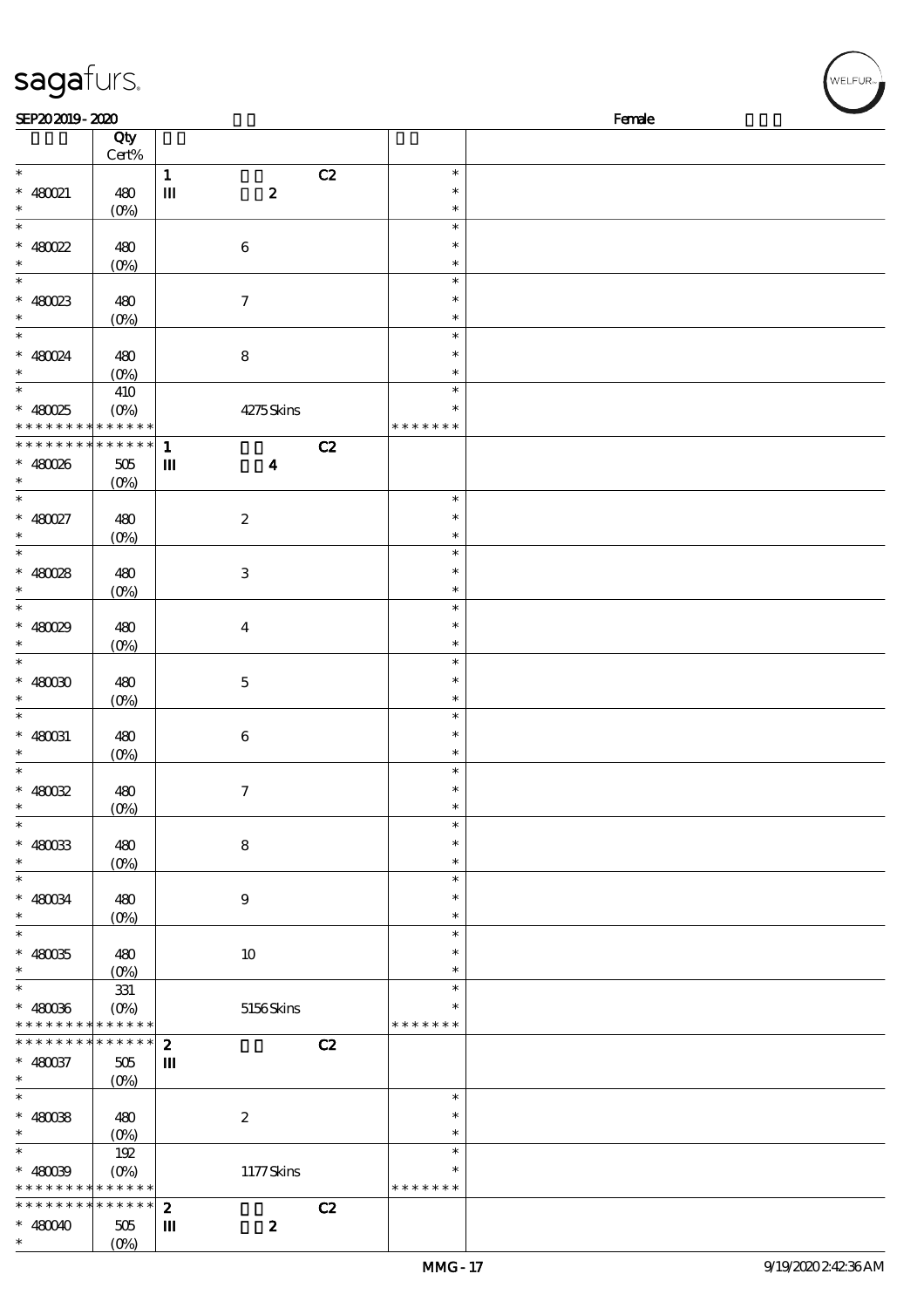| sagafurs.                                  |                   |                  |                  |               | WELFUR <sub>™</sub> |
|--------------------------------------------|-------------------|------------------|------------------|---------------|---------------------|
| SEP202019-2020                             |                   |                  |                  |               | Female              |
|                                            | Qty               |                  |                  |               |                     |
|                                            | Cert%             |                  |                  |               |                     |
| $\ast$                                     |                   | $\mathbf{1}$     | C2               | $\ast$        |                     |
| $* 480021$                                 | 480               | $\mathbf m$      | $\pmb{2}$        | $\ast$        |                     |
| $\ast$                                     | $(0\%)$           |                  |                  | $\ast$        |                     |
| $\ast$                                     |                   |                  |                  | $\ast$        |                     |
| $* 480022$                                 | 480               |                  | $\,6\,$          | $\ast$        |                     |
| $\ast$                                     | $(0\%)$           |                  |                  | $\ast$        |                     |
| $\ast$                                     |                   |                  |                  | $\ast$        |                     |
| $* 480023$                                 | 480               |                  | $\boldsymbol{7}$ | $\ast$        |                     |
| $\ast$                                     | $(O\%)$           |                  |                  | $\ast$        |                     |
| $\overline{\phantom{1}}$                   |                   |                  |                  | $\ast$        |                     |
| $* 480024$                                 | 480               |                  | $\bf 8$          | $\ast$        |                     |
|                                            | $(O\%)$           |                  |                  | $\ast$        |                     |
| $\ast$                                     | 410               |                  |                  | $\ast$        |                     |
| $* 480025$                                 | $(O\%)$           |                  | 4275Skins        | $\ast$        |                     |
| * * * * * * * *                            | * * * * * *       |                  |                  | * * * * * * * |                     |
| * * * * * * * *                            | * * * * * *       | $\mathbf{1}$     | C2               |               |                     |
| $* 480026$                                 | $505\,$           | $\mathbf{m}$     | $\boldsymbol{4}$ |               |                     |
| $\ast$                                     | $(0\%)$           |                  |                  |               |                     |
| $\ast$                                     |                   |                  |                  | $\ast$        |                     |
| $* 480027$                                 | 480               |                  | $\boldsymbol{2}$ | $\ast$        |                     |
| $\ast$                                     | $(0\%)$           |                  |                  | $\ast$        |                     |
| $\ast$                                     |                   |                  |                  | $\ast$        |                     |
|                                            |                   |                  |                  | $\ast$        |                     |
| $* 480028$<br>$\ast$                       | 480               |                  | $\,3$            | $\ast$        |                     |
| $\ast$                                     | (O <sub>0</sub> ) |                  |                  | $\ast$        |                     |
|                                            |                   |                  |                  | $\ast$        |                     |
| $* 480029$<br>$\ast$                       | 480               |                  | $\boldsymbol{4}$ | $\ast$        |                     |
| $\ast$                                     | $(O\%)$           |                  |                  |               |                     |
|                                            |                   |                  |                  | $\ast$        |                     |
| $*$ 480030                                 | 480               |                  | $\mathbf 5$      | $\ast$        |                     |
|                                            | $(0\%)$           |                  |                  | $\ast$        |                     |
| $\ast$                                     |                   |                  |                  | $\ast$        |                     |
| $* 480031$                                 | 480               |                  | $\,6\,$          | $\ast$        |                     |
| $\ast$                                     | (0%)              |                  |                  | $\ast$        |                     |
| $\ast$                                     |                   |                  |                  | $\ast$        |                     |
| $* 480022$                                 | 480               |                  | $\tau$           | $\ast$        |                     |
| $\ast$                                     | $(O\!/\!o)$       |                  |                  | $\ast$        |                     |
| $\ast$                                     |                   |                  |                  | $\ast$        |                     |
| $* 480033$                                 | 480               |                  | 8                | $\ast$        |                     |
| $\ast$                                     | $(0\%)$           |                  |                  | $\ast$        |                     |
| $\ast$                                     |                   |                  |                  | $\ast$        |                     |
| $* 480034$                                 | 480               |                  | $\boldsymbol{9}$ | $\ast$        |                     |
| $\ast$                                     | $(0\%)$           |                  |                  | $\ast$        |                     |
| $\ast$                                     |                   |                  |                  | $\ast$        |                     |
| $* 480035$                                 | 480               |                  | $10\,$           | $\ast$        |                     |
| $\ast$<br>$\overline{\phantom{0}}$         | $(0\%)$           |                  |                  | $\ast$        |                     |
|                                            | 331               |                  |                  | $\ast$        |                     |
| $* 480036$                                 | $(O\%)$           |                  | 5156Skins        | $\ast$        |                     |
| * * * * * * * * * * * * * *                |                   |                  |                  | * * * * * * * |                     |
| * * * * * * * *                            | $******$          | $\boldsymbol{z}$ | C2               |               |                     |
| $* 480037$                                 | $505\,$           | Ш                |                  |               |                     |
| $\ast$                                     | $(O\!/\!\delta)$  |                  |                  |               |                     |
| $\ast$                                     |                   |                  |                  | $\ast$        |                     |
| $* 48008$                                  | 480               |                  | $\boldsymbol{2}$ | $\ast$        |                     |
| $\ast$                                     | $(0\%)$           |                  |                  | $\ast$        |                     |
| $\ast$                                     | 192               |                  |                  | $\ast$        |                     |
| $* 480039$                                 |                   |                  | 1177Skins        | $\ast$        |                     |
| * * * * * * * * <mark>* * * * * * *</mark> |                   |                  |                  | * * * * * * * |                     |
| * * * * * * * *                            | $* * * * * * *$   | $\boldsymbol{z}$ | C2               |               |                     |
| $* 480040$                                 | 505               | Ш                | $\boldsymbol{z}$ |               |                     |
| $\ast$                                     | $(O\%)$           |                  |                  |               |                     |

(0%)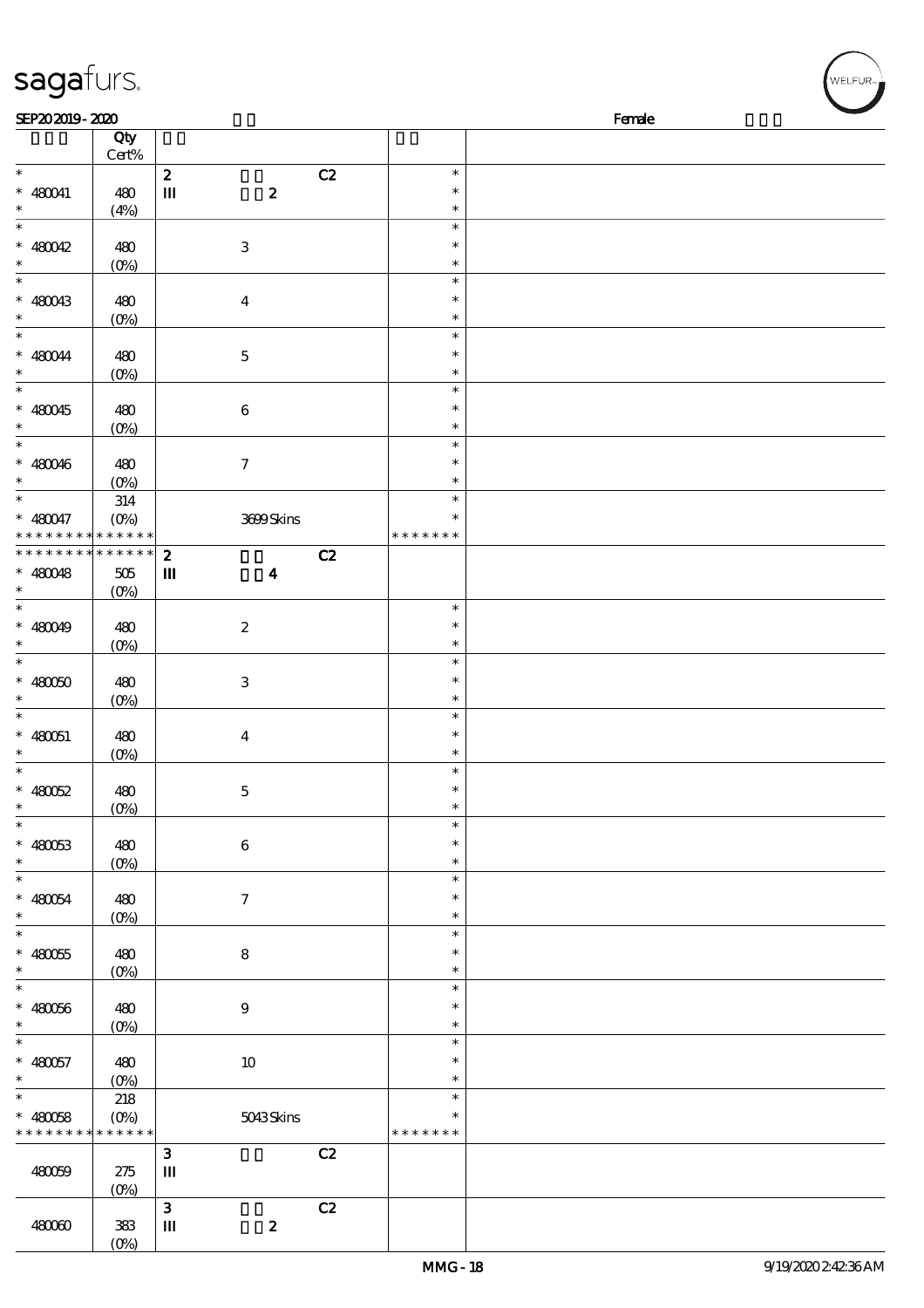| sagafurs.                                                |                |                                  |    |                         |        |
|----------------------------------------------------------|----------------|----------------------------------|----|-------------------------|--------|
| SEP202019-2020                                           | Qty            |                                  |    |                         | Female |
|                                                          | $Cert\%$       |                                  |    |                         |        |
| $\ast$                                                   |                | $\boldsymbol{2}$                 | C2 | $\ast$                  |        |
| $* 480041$                                               | 480            | $\pmb{2}$<br>$\mathbf m$         |    | $\ast$                  |        |
| $\ast$                                                   | (4%)           |                                  |    | $\ast$                  |        |
| $\ast$<br>$* 480042$                                     |                |                                  |    | $\ast$<br>$\ast$        |        |
| $\ast$                                                   | 480<br>$(0\%)$ | $\,3$                            |    | $\ast$                  |        |
| $\ast$                                                   |                |                                  |    | $\ast$                  |        |
| $* 480043$                                               | 480            | $\boldsymbol{4}$                 |    | $\ast$                  |        |
| $\ast$                                                   | $(0\%)$        |                                  |    | $\ast$                  |        |
| $\ast$                                                   |                |                                  |    | $\ast$                  |        |
| $* 480044$                                               | 480            | $\mathbf 5$                      |    | $\ast$                  |        |
| $\ast$<br>$\ast$                                         | $(0\%)$        |                                  |    | $\ast$<br>$\ast$        |        |
| $* 480045$                                               | 480            | $\boldsymbol{6}$                 |    | $\ast$                  |        |
| $\ast$                                                   | $(0\%)$        |                                  |    | $\ast$                  |        |
| $\ast$                                                   |                |                                  |    | $\ast$                  |        |
| $* 480046$                                               | 480            | $\tau$                           |    | $\ast$                  |        |
| $\ast$                                                   | $(0\%)$        |                                  |    | $\ast$                  |        |
| $\ast$                                                   | 314            |                                  |    | $\ast$                  |        |
| $* 480047$<br>* * * * * * * * <mark>* * * * * *</mark>   | $(O\%)$        | 3699Skins                        |    | $\ast$<br>* * * * * * * |        |
| * * * * * * * * * * * * * *                              |                | $\boldsymbol{z}$                 | C2 |                         |        |
| $* 480048$                                               | 505            | $\mathbf{m}$<br>$\boldsymbol{4}$ |    |                         |        |
| $\ast$                                                   | $(O\%)$        |                                  |    |                         |        |
| $\ast$                                                   |                |                                  |    | $\ast$                  |        |
| $* 480049$                                               | 480            | $\boldsymbol{2}$                 |    | $\ast$                  |        |
| $\ast$                                                   | $(0\%)$        |                                  |    | $\ast$                  |        |
| $\ast$                                                   |                |                                  |    | $\ast$<br>$\ast$        |        |
| $* 48000$<br>$\ast$                                      | 480<br>$(0\%)$ | $\,3$                            |    | $\ast$                  |        |
| $\ast$                                                   |                |                                  |    | $\ast$                  |        |
| $* 480051$                                               | 480            | $\boldsymbol{4}$                 |    | $\ast$                  |        |
| $\ast$                                                   | $(0\%)$        |                                  |    | $\ast$                  |        |
| $\ast$                                                   |                |                                  |    | $\ast$                  |        |
| $* 480052$                                               | 480            | $\mathbf 5$                      |    | $\ast$                  |        |
| $\ast$<br>$\overline{\phantom{0}}$                       | $(0\%)$        |                                  |    | $\ast$<br>$\ast$        |        |
| $* 480053$                                               | 480            | $\,6\,$                          |    | $\ast$                  |        |
| $\ast$                                                   | $(0\%)$        |                                  |    | $\ast$                  |        |
| $\overline{\phantom{0}}$                                 |                |                                  |    | $\ast$                  |        |
| $* 480054$                                               | 480            | $\boldsymbol{7}$                 |    | $\ast$                  |        |
| $\ast$                                                   | $(0\%)$        |                                  |    | $\ast$                  |        |
| $\ast$                                                   |                |                                  |    | $\ast$                  |        |
| $* 480055$                                               | 480            | $\bf 8$                          |    | $\ast$                  |        |
| $\ast$<br>$\overline{\ast}$                              | $(0\%)$        |                                  |    | $\ast$<br>$\ast$        |        |
| $* 480056$                                               | 480            | $\boldsymbol{9}$                 |    | $\ast$                  |        |
| $\ast$                                                   | $(0\%)$        |                                  |    | $\ast$                  |        |
| $\ast$                                                   |                |                                  |    | $\ast$                  |        |
| $* 480057$                                               | 480            | $10$                             |    | $\ast$                  |        |
| $\ast$                                                   | $(0\%)$        |                                  |    | $\ast$                  |        |
| $\ast$                                                   | 218            |                                  |    | $\ast$                  |        |
| $* 480058$<br>* * * * * * * * <mark>* * * * * * *</mark> | $(0\%)$        | 5043Skins                        |    | $\ast$<br>* * * * * * * |        |
|                                                          |                | $\mathbf{3}$                     | C2 |                         |        |
| 480059                                                   | 275            | $\mathbf m$                      |    |                         |        |
|                                                          | $(0\%)$        |                                  |    |                         |        |
|                                                          |                | $\mathbf{3}$                     | C2 |                         |        |
| 48000                                                    | $383\,$        | $\pmb{2}$<br>Ш                   |    |                         |        |

 $(0%)$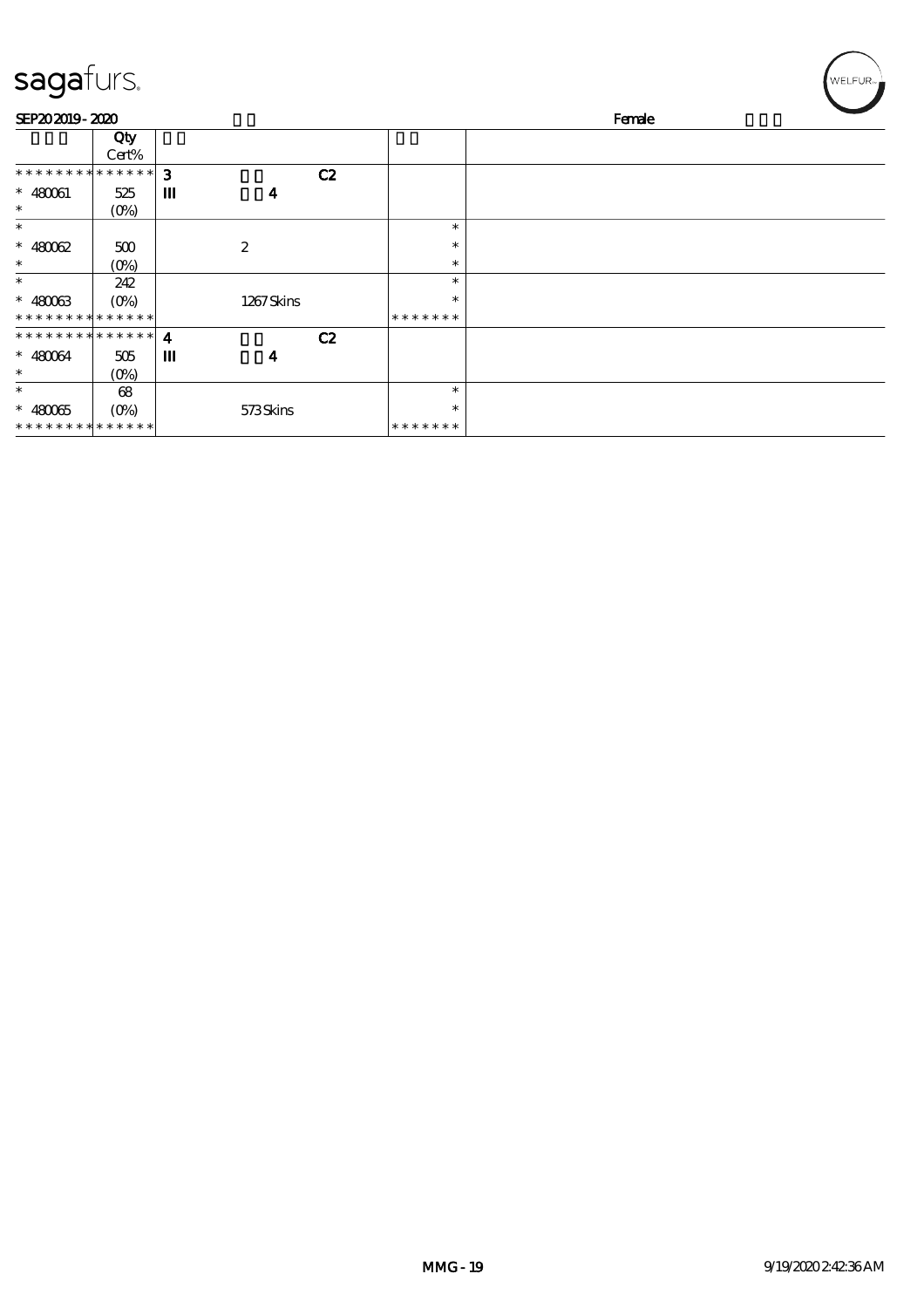| sagafurs.                     |                     |                  |                  |        |               | WELFUR <sub>™</sub> |
|-------------------------------|---------------------|------------------|------------------|--------|---------------|---------------------|
| SEP202019-2020                |                     |                  |                  | Female |               |                     |
|                               | Qty                 |                  |                  |        |               |                     |
|                               | Cert%               |                  |                  |        |               |                     |
| * * * * * * * * * * * * * * * |                     | 3                |                  | C2     |               |                     |
| $* 480061$                    | 525                 | Ш                | $\boldsymbol{4}$ |        |               |                     |
| $\ast$                        | $(O\%)$             |                  |                  |        |               |                     |
| $\ast$                        |                     |                  |                  |        | $\ast$        |                     |
| $* 48002$                     | 500                 |                  | $\boldsymbol{2}$ |        | $\ast$        |                     |
| $\ast$                        | $(0\%)$             |                  |                  |        | $\ast$        |                     |
| $\ast$                        | 242                 |                  |                  |        | $\ast$        |                     |
| $* 48003$                     | $(O\%)$             |                  | 1267Skins        |        | $\ast$        |                     |
|                               | * * * * * * * * * * |                  |                  |        | * * * * * * * |                     |
| * * * * * * * * * * * * * * * |                     | $\boldsymbol{4}$ |                  | C2     |               |                     |
| $* 480064$                    | 505                 | Ш                | 4                |        |               |                     |
| $\ast$                        | (O <sub>0</sub> )   |                  |                  |        |               |                     |
| $\ast$                        | 68                  |                  |                  |        | $\ast$        |                     |
| $* 48005$                     | $(O\%)$             |                  | 573Skins         |        | $\ast$        |                     |
| * * * * * * * * * * * * * *   |                     |                  |                  |        | * * * * * * * |                     |

╱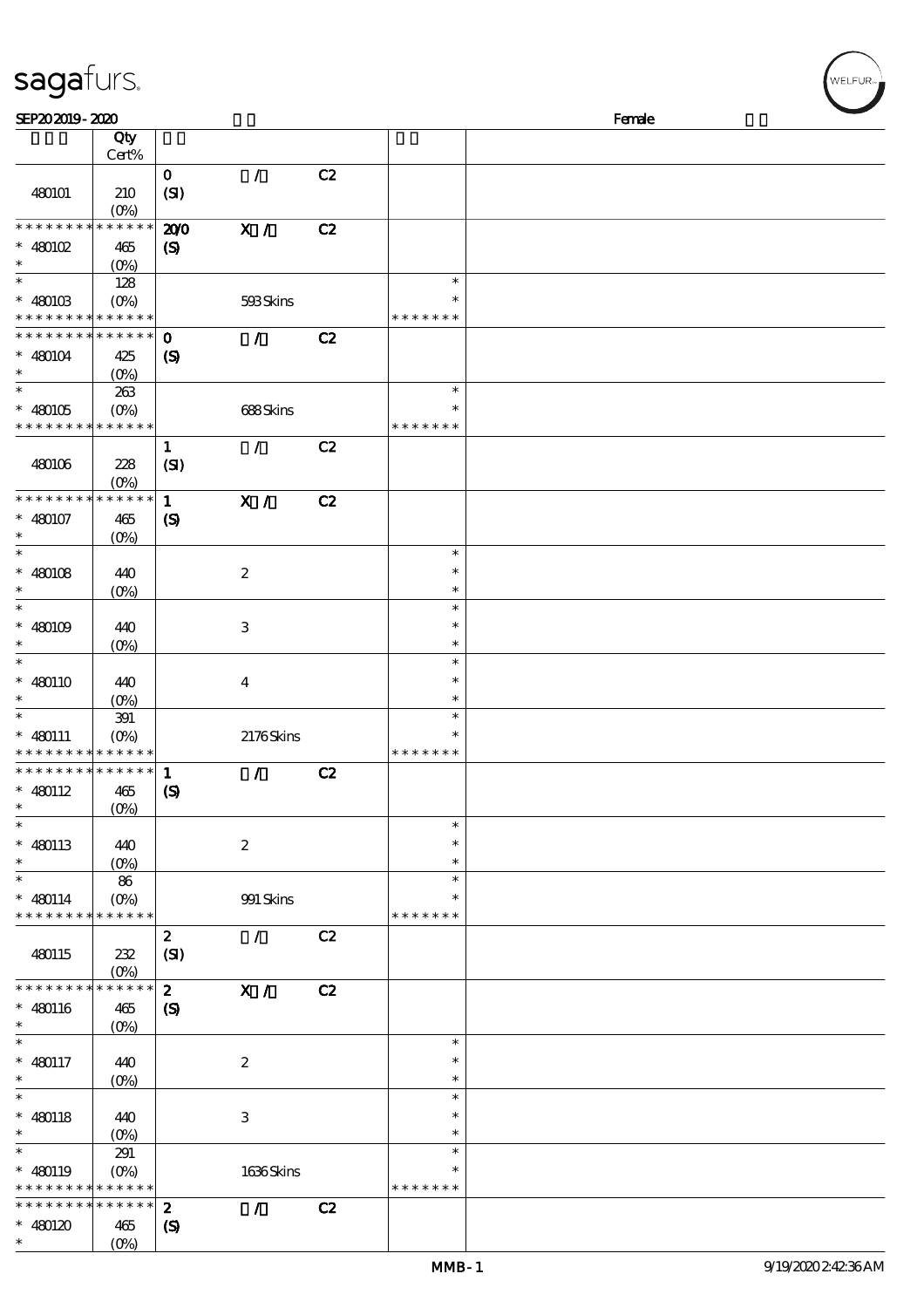| SEP202019-2020                             |                                 |                             |                  |    |               | Female |
|--------------------------------------------|---------------------------------|-----------------------------|------------------|----|---------------|--------|
|                                            | Qty                             |                             |                  |    |               |        |
|                                            | Cert%                           |                             |                  |    |               |        |
|                                            |                                 | $\mathbf{O}$                | $\mathcal{L}$    | C2 |               |        |
| 480101                                     | 210                             | (SI)                        |                  |    |               |        |
|                                            | $(0\%)$                         |                             |                  |    |               |        |
| * * * * * * * *                            | * * * * * *                     | 200                         | X /              | C2 |               |        |
| $*$ 480102                                 | 465                             | $\boldsymbol{\mathrm{(S)}}$ |                  |    |               |        |
| $\ast$                                     | $(O\%)$                         |                             |                  |    |               |        |
| $\ast$                                     | 128                             |                             |                  |    | $\ast$        |        |
| $* 480103$                                 | $(O\!/\!\!\delta)$              |                             | 593Skins         |    | $\ast$        |        |
| * * * * * * * * <mark>* * * * * * *</mark> |                                 |                             |                  |    | * * * * * * * |        |
| * * * * * * * *                            | $******$                        | $\mathbf 0$                 | $\mathcal{L}$    | C2 |               |        |
| $* 480104$                                 | 425                             | $\boldsymbol{\mathrm{(S)}}$ |                  |    |               |        |
| $\ast$                                     | $(0\%)$                         |                             |                  |    |               |        |
|                                            | 263                             |                             |                  |    | $\ast$        |        |
| $* 480105$                                 | $(O\!\!\!\!\!\!\backslash\rho)$ |                             | 688Skins         |    | $\ast$        |        |
| * * * * * * * *                            | * * * * * *                     |                             |                  |    | * * * * * * * |        |
|                                            |                                 | $\mathbf{1}$                | $\mathcal{L}$    | C2 |               |        |
| 480106                                     | 228                             | (SI)                        |                  |    |               |        |
|                                            | $(O\%)$                         |                             |                  |    |               |        |
| * * * * * * * *                            | * * * * * *                     | $\mathbf{1}$                | X /              | C2 |               |        |
| $* 480107$                                 | 465                             | $\boldsymbol{\mathsf{(S)}}$ |                  |    |               |        |
| $\ast$                                     | $(O\%)$                         |                             |                  |    |               |        |
| $\ast$                                     |                                 |                             |                  |    | $\ast$        |        |
| $* 480108$                                 |                                 |                             | $\boldsymbol{2}$ |    | $\ast$        |        |
| $\ast$                                     | 440                             |                             |                  |    | $\ast$        |        |
| $\ast$                                     | $(0\%)$                         |                             |                  |    | $\ast$        |        |
|                                            |                                 |                             |                  |    | $\ast$        |        |
| $* 480109$<br>$\ast$                       | 440                             |                             | $\,3$            |    | $\ast$        |        |
| $\ast$                                     | $(O\%)$                         |                             |                  |    | $\ast$        |        |
|                                            |                                 |                             |                  |    |               |        |
| $* 480110$                                 | 440                             |                             | $\boldsymbol{4}$ |    | $\ast$        |        |
| $\ast$                                     | $(O\%)$                         |                             |                  |    | $\ast$        |        |
| $\ast$                                     | 391                             |                             |                  |    | $\ast$        |        |
| $* 480111$                                 | $(O\!\!\!\!\!\!\backslash\rho)$ |                             | 2176Skins        |    | $\ast$        |        |
| * * * * * * * *                            | * * * * * *                     |                             |                  |    | * * * * * * * |        |
| * * * * * * * *                            | * * * * * *                     | $\mathbf{1}$                | $\mathcal{L}$    | C2 |               |        |
| $* 480112$                                 | 465                             | $\boldsymbol{\mathsf{(S)}}$ |                  |    |               |        |
|                                            | (0%)                            |                             |                  |    |               |        |
| $\ast$                                     |                                 |                             |                  |    | $\ast$        |        |
| $* 480113$                                 | 440                             |                             | $\boldsymbol{2}$ |    | $\ast$        |        |
| $\ast$                                     | $(O\%)$                         |                             |                  |    | $\ast$        |        |
| $\ast$                                     | 86                              |                             |                  |    | $\ast$        |        |
| $* 480114$                                 | $(O\%)$                         |                             | 991 Skins        |    | $\ast$        |        |
| * * * * * * * *                            | * * * * * *                     |                             |                  |    | * * * * * * * |        |
|                                            |                                 | $\boldsymbol{z}$            | $\mathcal{L}$    | C2 |               |        |
| 480115                                     | 232                             | (SI)                        |                  |    |               |        |
|                                            | $(O\%)$                         |                             |                  |    |               |        |
| * * * * * * * *                            | * * * * * *                     | $\mathbf{z}$                | X /              | C2 |               |        |
| $* 480116$                                 | 465                             | $\boldsymbol{\mathcal{S}}$  |                  |    |               |        |
| $\ast$                                     | (O <sub>0</sub> )               |                             |                  |    |               |        |
| $\ast$                                     |                                 |                             |                  |    | $\ast$        |        |
| $* 480117$                                 | 440                             |                             | $\boldsymbol{2}$ |    | $\ast$        |        |
| $\ast$                                     | $(O\!/\!\!\delta)$              |                             |                  |    | $\ast$        |        |
| $\ast$                                     |                                 |                             |                  |    | $\ast$        |        |
| $* 480118$                                 | 440                             |                             | $\,3$            |    | $\ast$        |        |
| $\ast$                                     | $(O\%)$                         |                             |                  |    | $\ast$        |        |
| $\ast$                                     | 291                             |                             |                  |    | $\ast$        |        |
| $* 480119$                                 | $(O\%)$                         |                             | 1636Skins        |    | $\ast$        |        |
| * * * * * * * *                            | * * * * * *                     |                             |                  |    | * * * * * * * |        |
| * * * * * * * *                            | * * * * * *                     | $\boldsymbol{z}$            | $\mathcal{L}$    | C2 |               |        |
| $* 480120$                                 | 465                             | $\boldsymbol{\mathrm{(S)}}$ |                  |    |               |        |
|                                            |                                 |                             |                  |    |               |        |

\*\*

sagafurs.

 $\frac{465}{(0\%)}$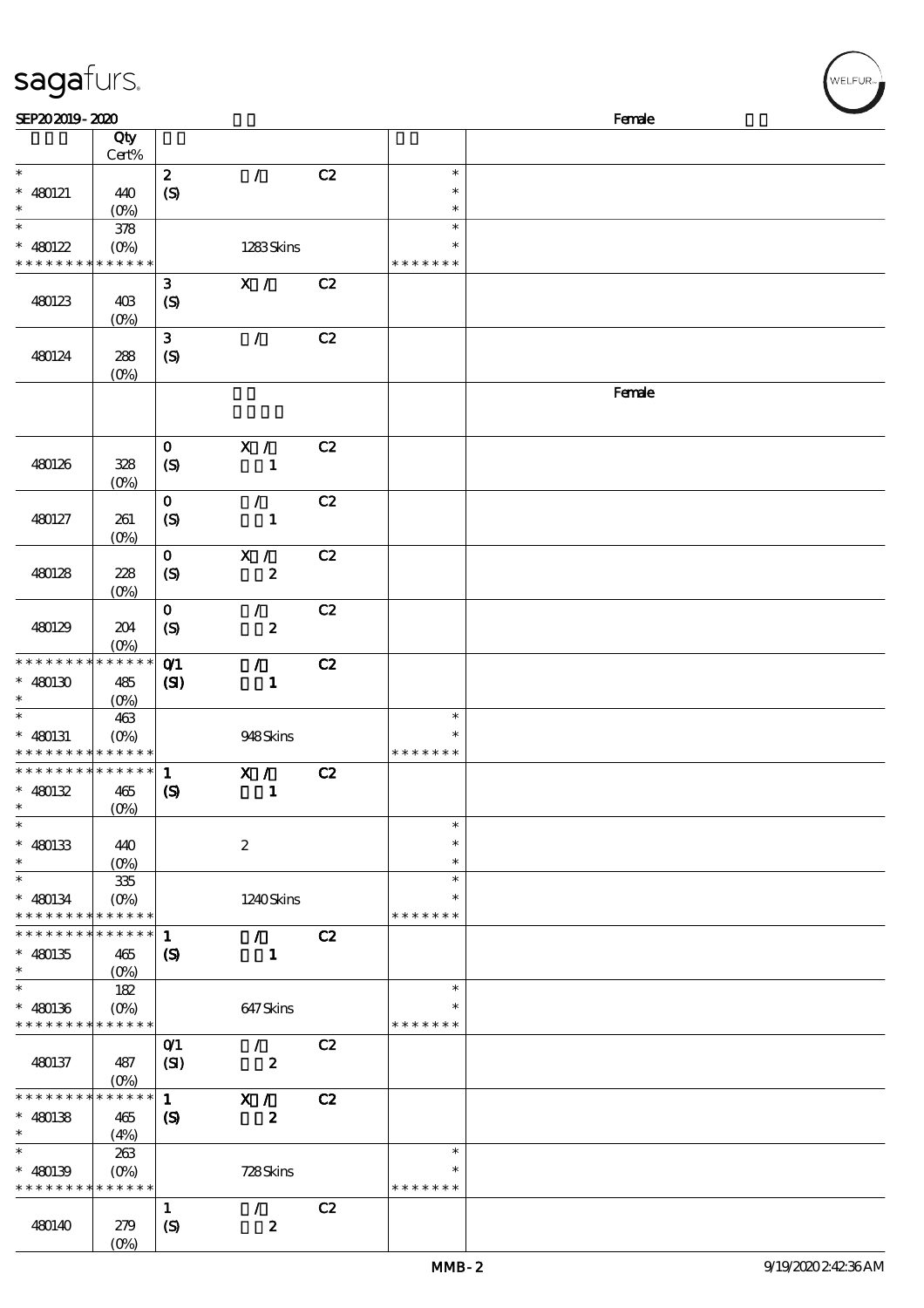| sagafurs.                                  |                           |                             |                  |    |               | WELFUR <sub>™</sub> |
|--------------------------------------------|---------------------------|-----------------------------|------------------|----|---------------|---------------------|
| SEP202019-2020                             |                           |                             |                  |    |               | Female              |
|                                            | Qty                       |                             |                  |    |               |                     |
|                                            | Cert%                     |                             |                  |    |               |                     |
| $\ast$                                     |                           | $\boldsymbol{z}$            | $\mathcal{L}$    | C2 | $\ast$        |                     |
| $* 480121$                                 | 440                       |                             |                  |    | $\ast$        |                     |
| $\ast$                                     |                           | $\boldsymbol{S}$            |                  |    | $\ast$        |                     |
| $\ast$                                     | $(0\%)$                   |                             |                  |    | $\ast$        |                     |
|                                            | $378\,$                   |                             |                  |    | $\ast$        |                     |
| $* 480122$                                 | (O <sub>0</sub> )         |                             | 1283Skins        |    |               |                     |
| * * * * * * *                              | * * * * * *               |                             |                  |    | * * * * * * * |                     |
|                                            |                           | $\mathbf{3}$                | X /              | C2 |               |                     |
| 480123                                     | 40B                       | $\boldsymbol{S}$            |                  |    |               |                     |
|                                            | (O <sub>0</sub> )         |                             |                  |    |               |                     |
|                                            |                           | $\mathbf{3}$                | $\overline{1}$   | C2 |               |                     |
| 480124                                     | 288                       | $\boldsymbol{S}$            |                  |    |               |                     |
|                                            | $(0\%)$                   |                             |                  |    |               |                     |
|                                            |                           |                             |                  |    |               | Female              |
|                                            |                           |                             |                  |    |               |                     |
|                                            |                           |                             |                  |    |               |                     |
|                                            |                           | $\mathbf 0$                 | X /              | C2 |               |                     |
| 480126                                     | 328                       | $\boldsymbol{\mathrm{(S)}}$ | 1                |    |               |                     |
|                                            | $(O\%)$                   |                             |                  |    |               |                     |
|                                            |                           | $\mathbf 0$                 | $\mathcal{L}$    | C2 |               |                     |
| 480127                                     | 261                       | $\mathcal{S}$               | $\mathbf{1}$     |    |               |                     |
|                                            | $(0\%)$                   |                             |                  |    |               |                     |
|                                            |                           | $\mathbf 0$                 | X /              | C2 |               |                     |
|                                            |                           |                             |                  |    |               |                     |
| 480128                                     | 228                       | $\boldsymbol{S}$            | $\boldsymbol{2}$ |    |               |                     |
|                                            | (O <sub>0</sub> )         |                             |                  |    |               |                     |
|                                            |                           | $\mathbf 0$                 | $\mathcal{L}$    | C2 |               |                     |
| 480129                                     | 204                       | $\boldsymbol{S}$            | $\boldsymbol{z}$ |    |               |                     |
|                                            | $(O\%)$                   |                             |                  |    |               |                     |
| * * * * * * * *                            | * * * * * *               | O(1)                        | $\mathcal{L}$    | C2 |               |                     |
| $* 480130$                                 | 485                       | (S)                         | $\mathbf{1}$     |    |               |                     |
|                                            | $(O\%)$                   |                             |                  |    |               |                     |
| $\ast$                                     | 463                       |                             |                  |    | $\ast$        |                     |
| $* 480131$                                 | $(0\%)$                   |                             | 948Skins         |    | $\ast$        |                     |
| * * * * * * * * <mark>* * * * * * *</mark> |                           |                             |                  |    | * * * * * * * |                     |
| * * * * * * * * * * * * * *                |                           | $\mathbf{1}$                | X /              | C2 |               |                     |
| $* 480132$                                 | 465                       | $\boldsymbol{\mathcal{S}}$  | 1                |    |               |                     |
| $\ast$                                     | $(O\%)$                   |                             |                  |    |               |                     |
| $\ast$                                     |                           |                             |                  |    | $\ast$        |                     |
| $* 480133$                                 | 440                       |                             | $\boldsymbol{2}$ |    | ∗             |                     |
| $\ast$                                     | $(O\%)$                   |                             |                  |    | $\ast$        |                     |
| $\ast$                                     | $335\,$                   |                             |                  |    | $\ast$        |                     |
| $* 480134$                                 | $(O\!\!\!\!\!\!\!/\,\!o)$ |                             | 1240Skins        |    | $\ast$        |                     |
| * * * * * * * * * * * * * *                |                           |                             |                  |    | * * * * * * * |                     |
| * * * * * * * * * * * * * *                |                           | $\mathbf{1}$                | $\mathcal{L}$    | C2 |               |                     |
| $* 480135$                                 |                           |                             |                  |    |               |                     |
| $\ast$                                     | 465                       | (S)                         | $\mathbf{1}$     |    |               |                     |
| $\ast$                                     | $(O\%)$                   |                             |                  |    | $\ast$        |                     |
|                                            | 182                       |                             |                  |    |               |                     |
| $* 480136$                                 | $(O\% )$                  |                             | 647Skins         |    |               |                     |
| * * * * * * * * <mark>* * * * * *</mark>   |                           |                             |                  |    | * * * * * * * |                     |
|                                            |                           | $O$ <sup>1</sup>            | $\mathcal{L}$    | C2 |               |                     |
| 480137                                     | 487                       | (SI)                        | $\boldsymbol{z}$ |    |               |                     |
|                                            | $(O\%)$                   |                             |                  |    |               |                     |
| * * * * * * * *                            | * * * * * *               | $\mathbf{1}$                | X /              | C2 |               |                     |
| $* 480138$                                 | 465                       | $\boldsymbol{S}$            | $\boldsymbol{z}$ |    |               |                     |
| $\ast$                                     | (4%)                      |                             |                  |    |               |                     |
| $\ast$                                     | 263                       |                             |                  |    | $\ast$        |                     |
| $* 480139$                                 |                           |                             | 728Skins         |    | $\ast$        |                     |
| * * * * * * * * <mark>* * * * * *</mark>   |                           |                             |                  |    | * * * * * * * |                     |
|                                            |                           | $\mathbf{1}$                | $\mathcal{L}$    | C2 |               |                     |
| 480140                                     | 279                       | $\boldsymbol{S}$            | $\boldsymbol{z}$ |    |               |                     |
|                                            |                           |                             |                  |    |               |                     |

(0%)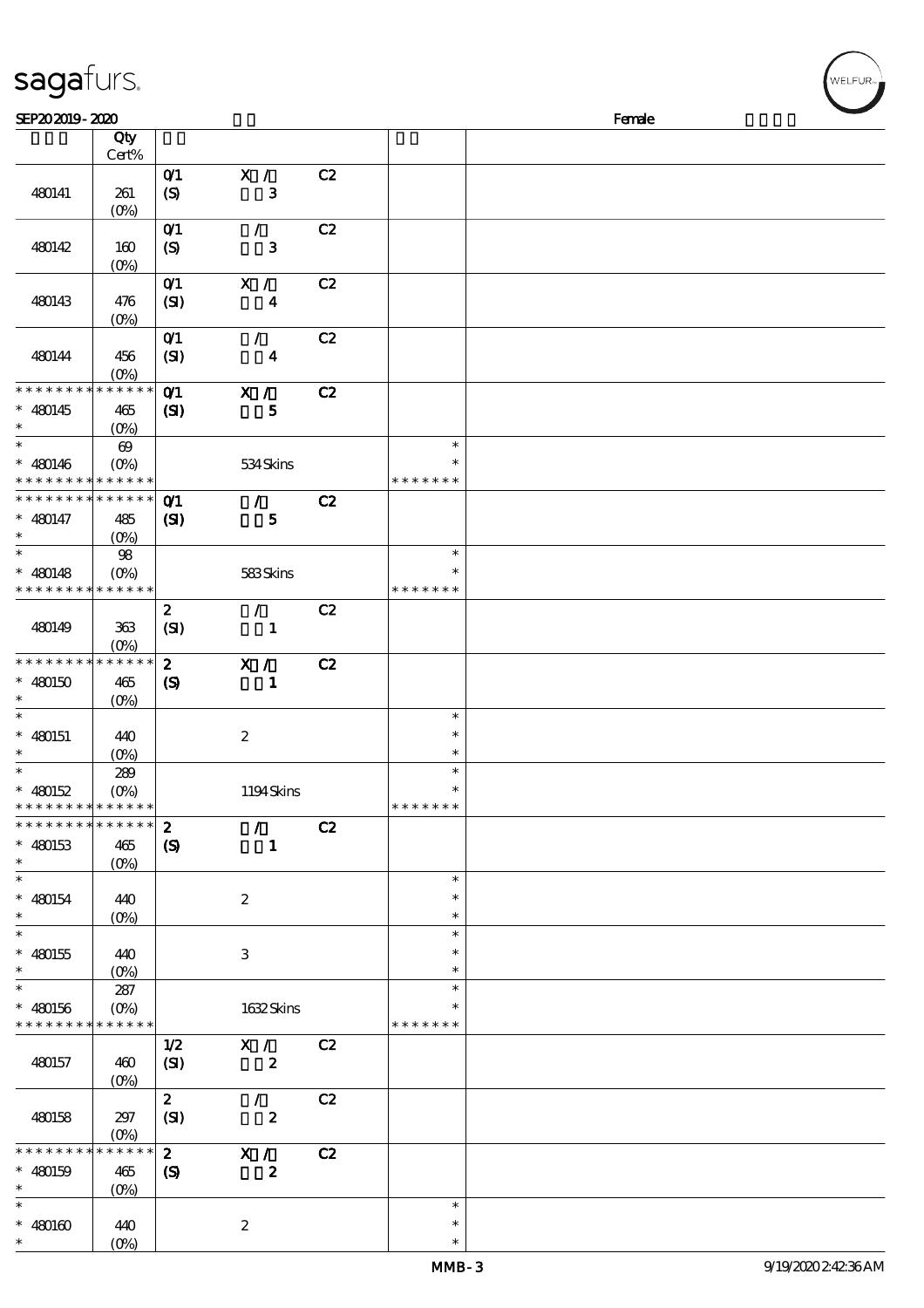| sagafurs.                                                 |                       |                      |                         |    |        |  |  |  |  |
|-----------------------------------------------------------|-----------------------|----------------------|-------------------------|----|--------|--|--|--|--|
| SEP202019-2020<br>Female                                  |                       |                      |                         |    |        |  |  |  |  |
|                                                           | Qty<br>Cert%          |                      |                         |    |        |  |  |  |  |
| 480141                                                    | 261<br>$(O\%)$        | $O$ $1$<br>(S)       | X /<br>$\mathbf{3}$     | C2 |        |  |  |  |  |
| 480142                                                    | 160<br>$(O\%)$        | O(1)<br>(S)          | $\mathbf 3$             | C2 |        |  |  |  |  |
| 480143                                                    | 476<br>$(O\%)$        | $O$ $1$<br>(SI)      | X /<br>$\boldsymbol{4}$ | C2 |        |  |  |  |  |
| 480144                                                    | 456<br>$(O\%)$        | O(1)<br>(SI)         | $\boldsymbol{4}$        | C2 |        |  |  |  |  |
| * * * * * * * * * * * * * *<br>480145<br>$\ast$<br>$\ast$ | 465<br>$(0\%)$        | O(1)<br>$\mathbf{Z}$ | X /<br>5                | C2 |        |  |  |  |  |
| $\ast$                                                    | $\boldsymbol{\omega}$ |                      |                         |    | $\ast$ |  |  |  |  |

|                                                        |                          |                                    |                           |    | <b>MMB-3</b>            | 9/19/202024236AM |
|--------------------------------------------------------|--------------------------|------------------------------------|---------------------------|----|-------------------------|------------------|
| $* 480160$<br>*                                        | 440<br>$(0\%)$           |                                    | $\boldsymbol{2}$          |    | $\ast$<br>$\ast$        |                  |
| $\ast$                                                 |                          |                                    |                           |    | $\ast$                  |                  |
| $* 480159$<br>$\ast$                                   | $465$<br>$(0\%)$         | $\boldsymbol{\mathrm{(S)}}$        | $\boldsymbol{z}$          |    |                         |                  |
| * * * * *                                              | *****                    | $\mathbf{z}$                       | X /                       | C2 |                         |                  |
| 480158                                                 | $297\,$<br>$(O\!/\!o)$   | (SI)                               | $\boldsymbol{z}$          |    |                         |                  |
|                                                        |                          | $\boldsymbol{z}$                   | $\mathcal{L}$             | C2 |                         |                  |
|                                                        | $(O_0)$                  |                                    |                           |    |                         |                  |
| 480157                                                 | 460                      | 1/2<br>(SI)                        | X /<br>$\boldsymbol{z}$   | C2 |                         |                  |
| * * * * * * * *                                        | * * * * * *              |                                    |                           |    | * * * * * * *           |                  |
| $* 480156$                                             | $(O\%)$                  |                                    | 1632Skins                 |    | ∗                       |                  |
| $\ast$                                                 | 287                      |                                    |                           |    | $\ast$                  |                  |
| $* 480155$<br>$\ast$                                   | 440<br>$(0\%)$           |                                    | $\ensuremath{\mathbf{3}}$ |    | $\ast$<br>$\ast$        |                  |
| $\ast$                                                 |                          |                                    |                           |    | $\ast$                  |                  |
| $\ast$                                                 | $(O_0)$                  |                                    |                           |    | $\ast$                  |                  |
| $* 480154$                                             | 440                      |                                    | $\boldsymbol{2}$          |    | $\ast$<br>$\ast$        |                  |
| *<br>$\ast$                                            | $(0\%)$                  |                                    |                           |    |                         |                  |
| $* 480153$                                             | 465                      | $\boldsymbol{\mathrm{(S)}}$        | $\mathbf{I}$              |    |                         |                  |
| * * * * * * * *                                        | ******                   | $\boldsymbol{2}$                   | $\mathcal{L}$             | C2 |                         |                  |
| $* 480152$<br>* * * * * * * * * * * * * *              | $(O\%)$                  |                                    | 1194Skins                 |    | * * * * * * *           |                  |
| $\ast$                                                 | 289                      |                                    |                           |    | $\ast$                  |                  |
| $\ast$                                                 | $(0\%)$                  |                                    |                           |    | $\ast$                  |                  |
| $* 480151$                                             | 440                      |                                    | $\boldsymbol{2}$          |    | $\ast$                  |                  |
| $\ast$<br>$\ast$                                       | (O <sub>0</sub> )        |                                    |                           |    | $\ast$                  |                  |
| $* 480150$                                             | 465                      | $\boldsymbol{\mathrm{(S)}}$        | $\mathbf{1}$              |    |                         |                  |
| * * * * * * * *                                        | ******                   | $\boldsymbol{z}$                   | X /                       | C2 |                         |                  |
| 480149                                                 | 363<br>(O <sub>0</sub> ) | (SI)                               | $\mathbf{1}$              |    |                         |                  |
|                                                        |                          | $\mathbf{z}$                       | $\mathcal{L}$             | C2 |                         |                  |
| * * * * * * * *                                        | ******                   |                                    |                           |    | * * * * * * *           |                  |
| $* 480148$                                             | $(O\!/\!\!\delta)$       |                                    | 583Skins                  |    | $\ast$                  |                  |
| $\ast$<br>$\ast$                                       | $(O\%)$<br>$98$          |                                    |                           |    | $\ast$                  |                  |
| $* 480147$                                             | 485                      | (S)                                | $\mathbf{5}$              |    |                         |                  |
| * * * * * * * * <mark>* * * * * *</mark>               |                          | O(1)                               | $\mathcal{L}$             | C2 |                         |                  |
| $* 480146$<br>* * * * * * * * <mark>* * * * * *</mark> | $(0\%)$                  |                                    | 534Skins                  |    | $\ast$<br>* * * * * * * |                  |
| $\ast$                                                 | $\boldsymbol{\Theta}$    |                                    |                           |    | $\ast$                  |                  |
| $\ast$                                                 | (O <sub>0</sub> )        |                                    |                           |    |                         |                  |
| * * * * * * * *<br>$* 480145$                          | $******$<br>465          | O(1)<br>(S)                        | X /<br>5                  | C2 |                         |                  |
|                                                        | (O <sub>0</sub> )        |                                    |                           |    |                         |                  |
| 480144                                                 | 456                      | (SI)                               | $\overline{\mathbf{4}}$   |    |                         |                  |
|                                                        | $(O_0)$                  | O(1)                               | $\mathcal{L}$             | C2 |                         |                  |
| 480143                                                 | 476                      | (SI)                               | $\boldsymbol{4}$          |    |                         |                  |
|                                                        |                          | $O$ <sup><math>\prime</math></sup> | X /                       | C2 |                         |                  |
| 480142                                                 | 160<br>$(0\%)$           | (S)                                | ${\bf 3}$                 |    |                         |                  |
|                                                        |                          | O(1)                               | $\mathcal{L}$             | C2 |                         |                  |
|                                                        | $(O\%)$                  |                                    |                           |    |                         |                  |

.<br>WELFUR-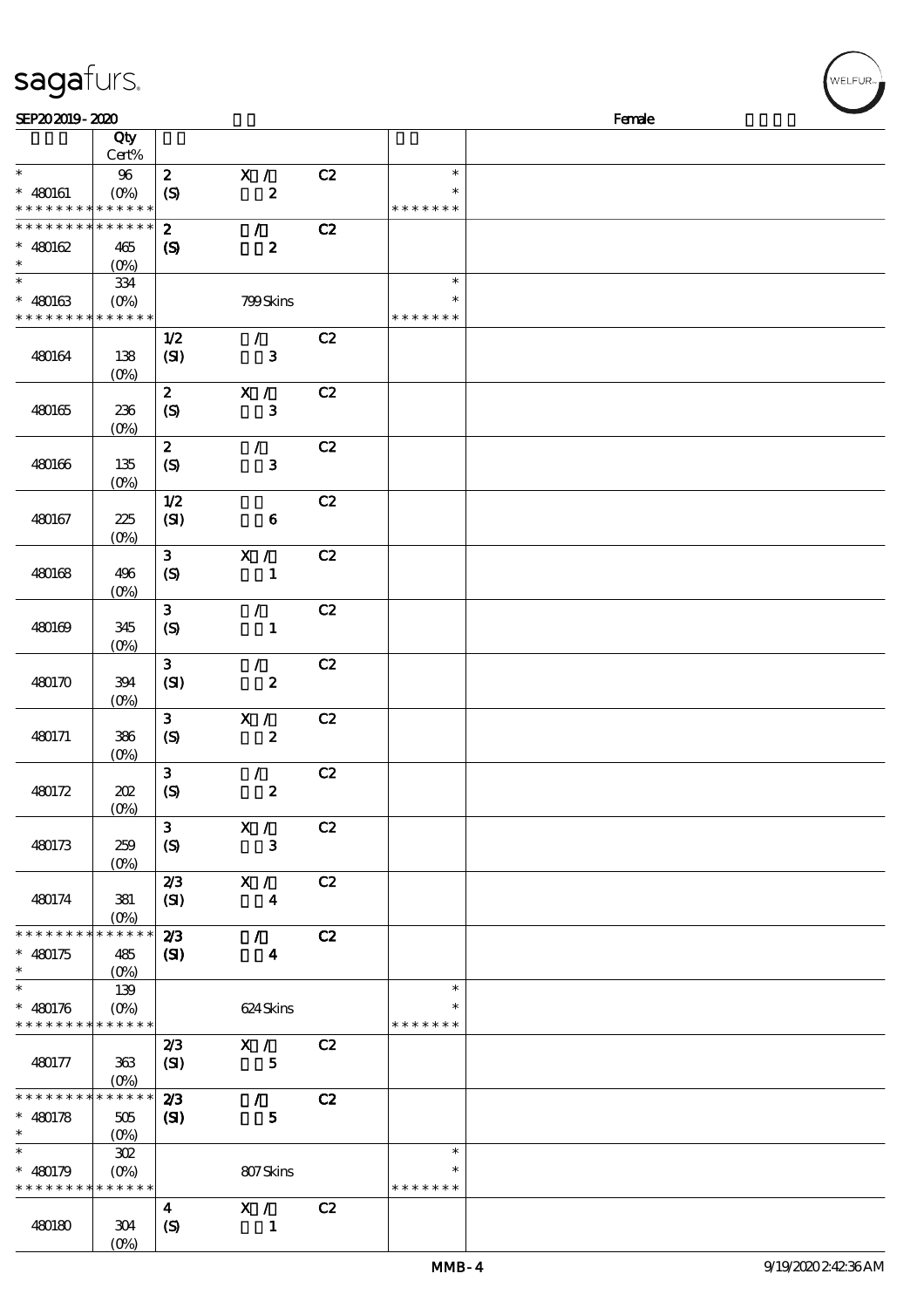|                                            | Qty                |                            |                  |    |               |  |
|--------------------------------------------|--------------------|----------------------------|------------------|----|---------------|--|
|                                            | Cert%              |                            |                  |    |               |  |
| $\ast$                                     | 96                 | $\boldsymbol{z}$           | X /              | C2 | $\ast$        |  |
| $* 480161$                                 | $(O\%)$            | $\boldsymbol{S}$           | $\pmb{2}$        |    | $\ast$        |  |
| * * * * * * * * * * * * * *                |                    |                            |                  |    | * * * * * * * |  |
| * * * * * * * * <mark>* * * * * *</mark> * |                    | $\boldsymbol{z}$           | $\mathcal{L}$    | C2 |               |  |
| $* 480162$                                 | 465                | $\boldsymbol{S}$           | $\boldsymbol{z}$ |    |               |  |
| $\ast$                                     | $(O\%)$            |                            |                  |    |               |  |
| $\ast$                                     | 334                |                            |                  |    | $\ast$        |  |
| $* 480163$                                 | $(O\!/\!\!\delta)$ |                            | 799Skins         |    | $\ast$        |  |
| * * * * * * * * * * * * * *                |                    |                            |                  |    | * * * * * * * |  |
|                                            |                    | 1/2                        | $\mathcal{L}$    | C2 |               |  |
| 480164                                     | 138                | (SI)                       | $\mathbf{3}$     |    |               |  |
|                                            | $(O\%)$            | $\boldsymbol{z}$           | X /              | C2 |               |  |
| 480165                                     | 236                | $\boldsymbol{S}$           | ${\bf 3}$        |    |               |  |
|                                            | (O <sub>0</sub> )  |                            |                  |    |               |  |
|                                            |                    | $\boldsymbol{z}$           | $\mathcal{L}$    | C2 |               |  |
| 480166                                     | 135                | $\boldsymbol{S}$           | $\mathbf{3}$     |    |               |  |
|                                            | $(O\%)$            |                            |                  |    |               |  |
|                                            |                    | 1/2                        |                  | C2 |               |  |
| 480167                                     | 225                | (SI)                       | $\bf 6$          |    |               |  |
|                                            | (O <sub>0</sub> )  |                            |                  |    |               |  |
|                                            |                    | $\mathbf{3}$               | X /              | C2 |               |  |
| 480168                                     | 496                | $\boldsymbol{S}$           | $\mathbf{1}$     |    |               |  |
|                                            | (O <sub>0</sub> )  |                            |                  |    |               |  |
|                                            |                    | $\mathbf{3}$               | $\mathcal{L}$    | C2 |               |  |
| 480169                                     | 345                | $\boldsymbol{S}$           | $\mathbf{1}$     |    |               |  |
|                                            | $(O\!/\!o)$        |                            |                  |    |               |  |
|                                            |                    | $\mathbf{3}$               | $\mathcal{L}$    | C2 |               |  |
| 480170                                     | 394                | (SI)                       | $\pmb{2}$        |    |               |  |
|                                            | $(0\%)$            |                            |                  |    |               |  |
|                                            |                    | 3 <sup>1</sup>             | X /              | C2 |               |  |
| 480171                                     | 386                | $\boldsymbol{\mathcal{S}}$ | $\boldsymbol{2}$ |    |               |  |
|                                            | (O <sub>0</sub> )  |                            |                  |    |               |  |
|                                            | 202                | $\mathbf{3}$               | $\mathcal{L}$    | C2 |               |  |
| 480172                                     | $(0\%)$            | $\boldsymbol{S}$           | $\pmb{2}$        |    |               |  |
|                                            |                    | $\mathbf{3}$               | X /              | C2 |               |  |
| 480173                                     | 259                | (S)                        | $\mathbf{3}$     |    |               |  |
|                                            | (O <sub>0</sub> )  |                            |                  |    |               |  |
|                                            |                    | 2/3                        | $X / \sqrt{2}$   | C2 |               |  |
| 480174                                     | 381                | (SI)                       | $\boldsymbol{4}$ |    |               |  |
|                                            | $(O\%)$            |                            |                  |    |               |  |
| * * * * * * * *                            | * * * * * *        | 2/3                        | $\mathcal{L}$    | C2 |               |  |
| $* 480175$                                 | 485                | (S)                        | $\boldsymbol{4}$ |    |               |  |
| $\ast$                                     | $(O\%)$            |                            |                  |    |               |  |
| $\ast$                                     | 139                |                            |                  |    | $\ast$        |  |
| $* 480176$                                 | $(O\%)$            |                            | 624 Skins        |    |               |  |
| * * * * * * * * <mark>* * * * * *</mark>   |                    |                            |                  |    | * * * * * * * |  |
|                                            |                    | 2/3                        | X /              | C2 |               |  |
| 480177                                     | 363                | (SI)                       | $\mathbf{5}$     |    |               |  |
|                                            | $(O\!/\!\delta)$   |                            |                  |    |               |  |
| * * * * * * * *                            | * * * * * *        | 2/3                        | $\mathcal{L}$    | C2 |               |  |
| $* 480178$                                 | $505\,$            | (S)                        | $\mathbf{5}$     |    |               |  |
| $\ast$<br>$\ast$                           | $(0\%)$            |                            |                  |    |               |  |
|                                            | 302                |                            |                  |    | $\ast$        |  |
| $* 480179$                                 | $(0\%)$            |                            | 807Skins         |    | $\ast$        |  |
| * * * * * * * * * * * * * *                |                    |                            |                  |    | * * * * * * * |  |

 $SEP202019 - 2020$  Female

sagafurs.

480180 304

 $(O<sub>6</sub>)$ 

4 X/ C2

 $(S)$  1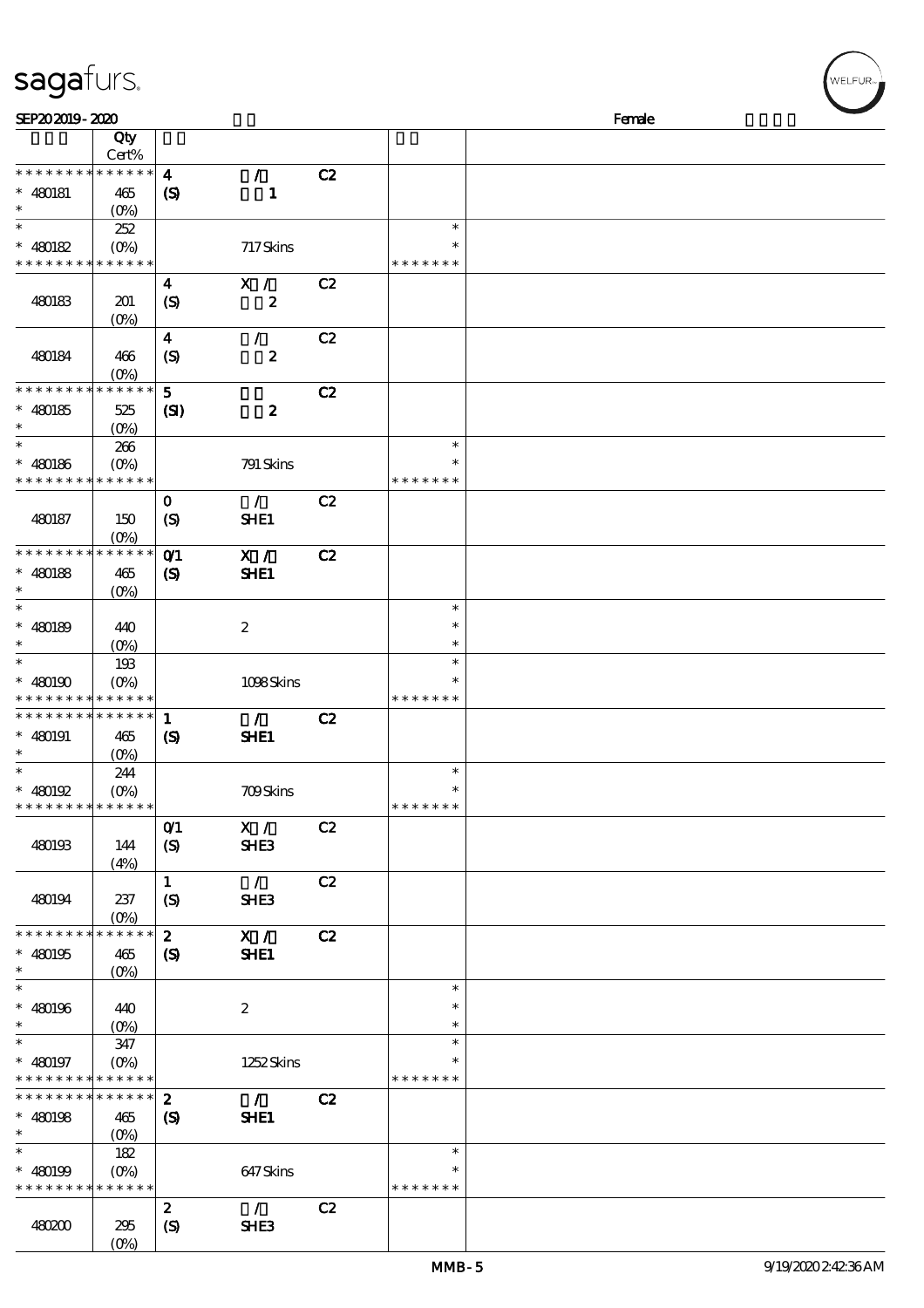# sagafurs.

| SEP202019-2020                                        |                               |                                                |                               |    |                                   | Female |  |  |  |  |
|-------------------------------------------------------|-------------------------------|------------------------------------------------|-------------------------------|----|-----------------------------------|--------|--|--|--|--|
|                                                       | Qty<br>Cert%                  |                                                |                               |    |                                   |        |  |  |  |  |
| * * * * * * * *<br>$* 480181$<br>$\ast$               | * * * * * *<br>465<br>$(O\%)$ | $\boldsymbol{4}$<br>$\boldsymbol{\mathcal{S}}$ | $\mathcal{T}$<br>$\mathbf{1}$ | C2 |                                   |        |  |  |  |  |
| $\ast$<br>$* 480182$<br>* * * * * * * * * * * * * *   | 252<br>$(O\%)$                |                                                | 717Skins                      |    | $\ast$<br>$\ast$<br>* * * * * * * |        |  |  |  |  |
| 480183                                                | 201<br>$(0\%)$                | $\boldsymbol{4}$<br>$\boldsymbol{S}$           | X /<br>$\pmb{2}$              | C2 |                                   |        |  |  |  |  |
| 480184                                                | 466<br>$(O\!/\!o)$            | $\boldsymbol{4}$<br>$\mathcal{S}$              | $\mathcal{L}$<br>$\pmb{2}$    | C2 |                                   |        |  |  |  |  |
| * * * * * * * *<br>$* 480185$<br>$\ast$               | * * * * * *<br>525<br>$(0\%)$ | $5\phantom{1}$<br>$\mathbf{C}$                 | $\boldsymbol{2}$              | C2 |                                   |        |  |  |  |  |
| $\ast$<br>$* 480186$<br>* * * * * * * * * * * * * *   | 266<br>$(O\!/\!\!\delta)$     |                                                | 791 Skins                     |    | $\ast$<br>∗<br>* * * * * * *      |        |  |  |  |  |
| 480187                                                | 150<br>(O <sub>0</sub> )      | $\mathbf 0$<br>(S)                             | $\mathcal{L}$<br>SHE1         | C2 |                                   |        |  |  |  |  |
| * * * * * * * *<br>$* 480188$<br>$\ast$<br>$\ast$     | ******<br>465<br>$(O\%)$      | O <sub>1</sub><br>$\boldsymbol{\mathcal{S}}$   | X /<br>SHE1                   | C2 |                                   |        |  |  |  |  |
| $* 480189$<br>$\ast$                                  | 440<br>$(O\%)$                |                                                | $\boldsymbol{2}$              |    | $\ast$<br>$\ast$<br>$\ast$        |        |  |  |  |  |
| $\ast$<br>$* 480190$<br>* * * * * * * * * * * * * *   | 193<br>$(O\%)$                |                                                | 1098Skins                     |    | $\ast$<br>$\ast$<br>* * * * * * * |        |  |  |  |  |
| * * * * * * * * * * * * * *<br>$* 480191$<br>$\ast$   | 465<br>(O <sub>0</sub> )      | 1<br>$\boldsymbol{S}$                          | $\mathcal{T}$<br>SHE1         | C2 |                                   |        |  |  |  |  |
| $\ast$<br>$* 480192$<br>* * * * * * * * * * * * * *   | 244<br>$(O\!/\!o)$            |                                                | <b>709Skins</b>               |    | $\ast$<br>$\ast$<br>* * * * * * * |        |  |  |  |  |
| 480193                                                | 144<br>(4%)                   | O(1)<br>$\boldsymbol{S}$                       | X /<br>SHE3                   | C2 |                                   |        |  |  |  |  |
| 480194                                                | 237<br>$(0\%)$                | $\mathbf{1}$<br>$\boldsymbol{S}$               | $\mathcal{L}$<br><b>SHE3</b>  | C2 |                                   |        |  |  |  |  |
| * * * * * * * * * * * * * *<br>$* 480195$<br>$\ast$   | 465<br>$(O\%)$                | $\mathbf{2}$<br>$\boldsymbol{S}$               | X /<br>SHE1                   | C2 |                                   |        |  |  |  |  |
| $\ast$<br>$* 480196$<br>$\ast$                        | 440<br>$(O\% )$               |                                                | $\boldsymbol{2}$              |    | $\ast$<br>$\ast$<br>$\ast$        |        |  |  |  |  |
| $\ast$<br>$* 480197$<br>* * * * * * * * * * * * * *   | 347<br>$(O\%)$                |                                                | 1252 Skins                    |    | $\ast$<br>$\ast$<br>* * * * * * * |        |  |  |  |  |
| * * * * * * * * * * * * * * *<br>$* 480198$<br>$\ast$ | 465<br>$(0\%)$                | $\boldsymbol{z}$<br>(S)                        | $\mathcal{L}$<br>SHE1         | C2 |                                   |        |  |  |  |  |
| $\ast$<br>$* 480199$<br>* * * * * * * * * * * * * *   | 182<br>$(O\%)$                |                                                | 647Skins                      |    | $\ast$<br>$\ast$<br>* * * * * * * |        |  |  |  |  |
| 480200                                                | 295<br>$(O\%)$                | $\boldsymbol{z}$<br>$\boldsymbol{S}$           | $\mathcal{F}$<br>SHE3         | C2 |                                   |        |  |  |  |  |

,<br>WELFUR<sub>™</sub>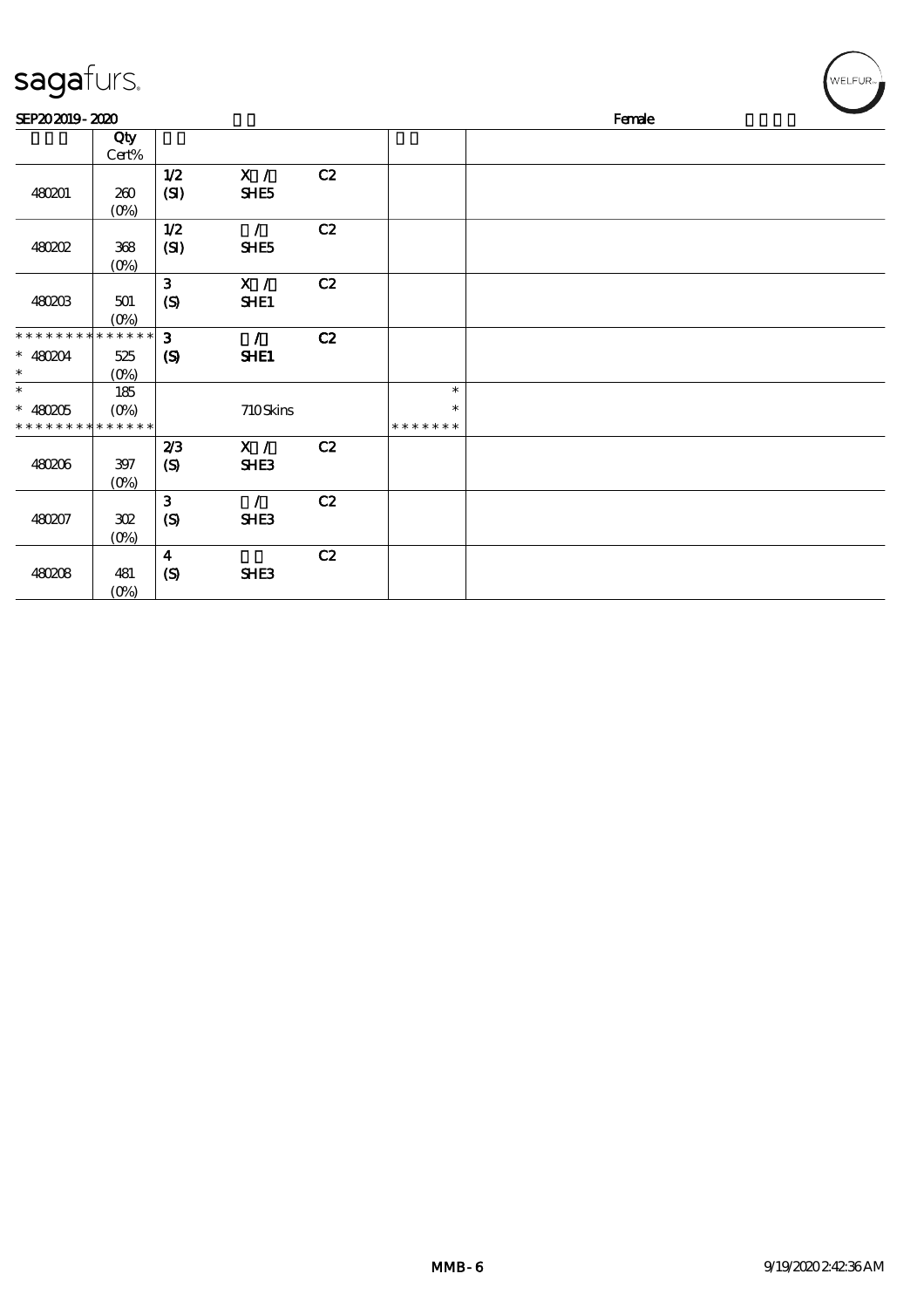| sagafurs.                                           |                    |                                  |                        |    |                                   |        | WELFUR <sub>™</sub> |
|-----------------------------------------------------|--------------------|----------------------------------|------------------------|----|-----------------------------------|--------|---------------------|
| SEP202019-2020                                      |                    |                                  |                        |    |                                   | Female |                     |
|                                                     | Qty<br>Cert%       |                                  |                        |    |                                   |        |                     |
| 480201                                              | 260<br>$(O\%)$     | $1/2$<br>(SI)                    | X /<br>SHE5            | C2 |                                   |        |                     |
| <b>480202</b>                                       | 368<br>$(0\%)$     | $1/2$<br>(SI)                    | $\mathcal{L}$<br>SHE5  | C2 |                                   |        |                     |
| 480203                                              | 501<br>$(0\%)$     | $\mathbf{3}$<br>(S)              | $\mathbf{X}$ /<br>SHE1 | C2 |                                   |        |                     |
| * * * * * * * * * * * * * *<br>$* 480204$<br>$\ast$ | 525<br>$(0\%)$     | 3<br>$\boldsymbol{\mathrm{(S)}}$ | $\mathcal{L}$<br>SHE1  | C2 |                                   |        |                     |
| $\ast$<br>$* 480205$<br>* * * * * * * * * * * * * * | 185<br>$(O\% )$    |                                  | 710Skins               |    | $\ast$<br>$\ast$<br>* * * * * * * |        |                     |
| 480206                                              | 397<br>$(O\!/\!o)$ | 2/3<br>(S)                       | X /<br><b>SHE3</b>     | C2 |                                   |        |                     |
| 480207                                              | 302<br>$(O\!/\!o)$ | $\mathbf{3}$<br>(S)              | $\mathcal{L}$<br>SHE3  | C2 |                                   |        |                     |
| 480208                                              | 481<br>$(0\%)$     | $\overline{\mathbf{4}}$<br>(S)   | SHE3                   | C2 |                                   |        |                     |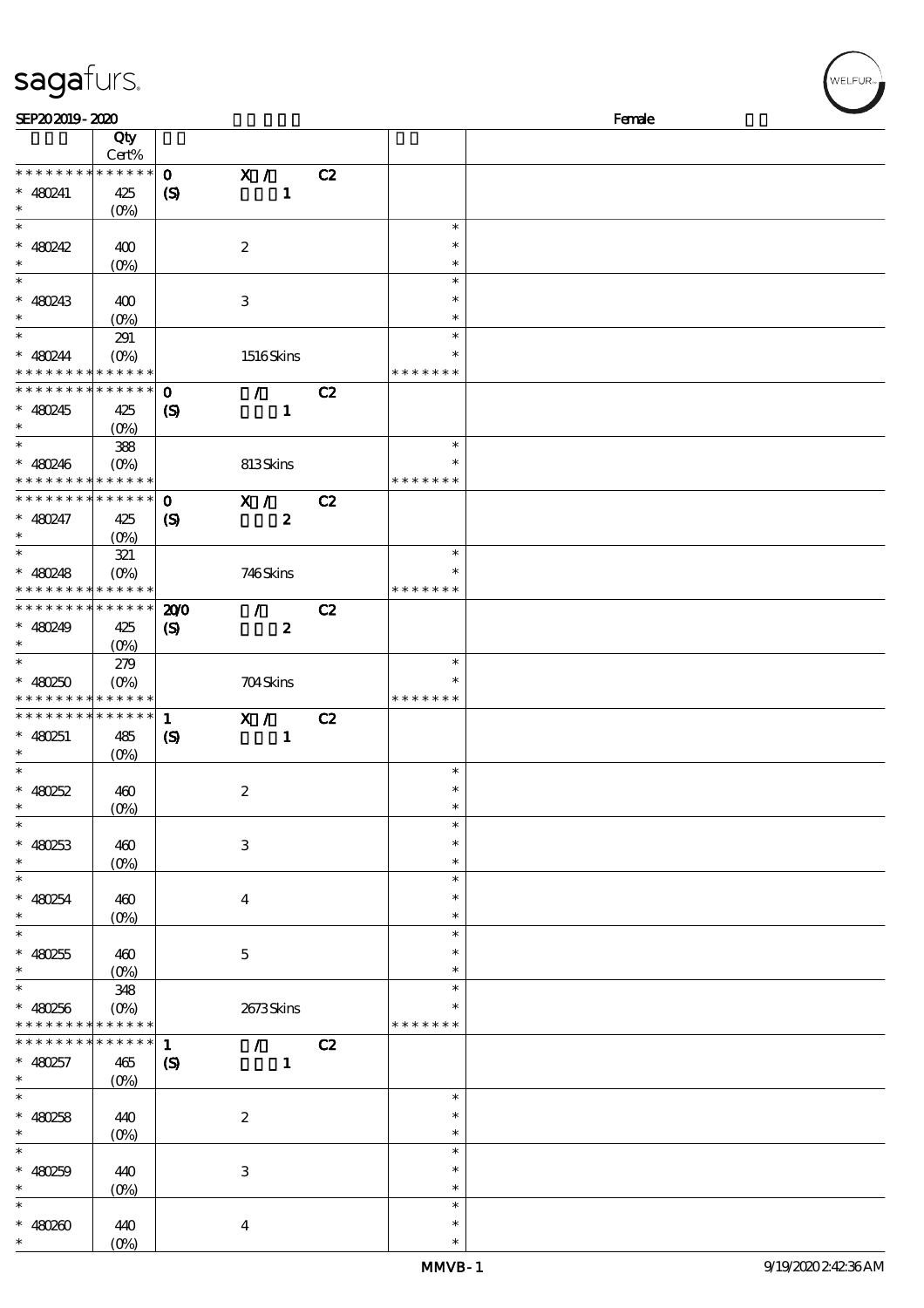## sagafurs.

| SEP202019-2020                                                     |                                         |                                            |                                                 |    |                                      | Female |  |  |  |  |
|--------------------------------------------------------------------|-----------------------------------------|--------------------------------------------|-------------------------------------------------|----|--------------------------------------|--------|--|--|--|--|
|                                                                    | Qty<br>Cert%                            |                                            |                                                 |    |                                      |        |  |  |  |  |
| * * * * * * * * * * * * * *<br>$* 480241$<br>$\ast$                | 425<br>$(O\!/\!\!\delta)$               | $\mathbf{o}$<br>$\boldsymbol{S}$           | $\mathbf{X}$ /<br>$\mathbf{1}$                  | C2 |                                      |        |  |  |  |  |
| $\ast$<br>$* 480242$<br>$\ast$<br>$\ast$                           | 400<br>$(0\%)$                          |                                            | $\boldsymbol{2}$                                |    | $\ast$<br>$\ast$<br>$\ast$<br>$\ast$ |        |  |  |  |  |
| $* 480243$<br>$\ast$                                               | 400<br>(O <sub>0</sub> )                |                                            | $\,3$                                           |    | $\ast$<br>$\ast$                     |        |  |  |  |  |
| $\ast$<br>$* 480244$                                               | 291<br>$(0\%)$<br>* * * * * * * * * * * |                                            | 1516Skins                                       |    | $\ast$<br>$\ast$<br>* * * * * * *    |        |  |  |  |  |
| * * * * * * * *<br>* 480245<br>$\ast$                              | $* * * * * * *$<br>425<br>$(0\%)$       | $\mathbf 0$<br>$\boldsymbol{\mathcal{S}}$  | $\mathcal{L}$<br>$\mathbf{1}$                   | C2 |                                      |        |  |  |  |  |
| $\ast$<br>$* 480246$<br>* * * * * * * * * * * * * *                | 388<br>$(O\%)$                          |                                            | 813Skins                                        |    | $\ast$<br>$\ast$<br>* * * * * * *    |        |  |  |  |  |
| * * * * * * * * * * * * * *<br>$* 480247$<br>$\ast$                | 425<br>$(O\%)$                          | $\mathbf 0$<br>$\boldsymbol{S}$            | $\overline{\mathbf{x}}$ /<br>$\boldsymbol{z}$   | C2 |                                      |        |  |  |  |  |
| $\ast$<br>$* 480248$<br>* * * * * * * * <mark>* * * * * * *</mark> | 321<br>$(O\%)$                          |                                            | 746Skins                                        |    | $\ast$<br>$\ast$<br>* * * * * * *    |        |  |  |  |  |
| * * * * * * * * <mark>* * * * * *</mark><br>$* 480249$<br>$\ast$   | 425<br>$(O\%)$                          | 200<br>$\boldsymbol{\mathcal{S}}$          | $\mathcal{L}$<br>$\boldsymbol{z}$               | C2 |                                      |        |  |  |  |  |
| $\ast$<br>$* 480250$<br>* * * * * * * * <mark>* * * * * *</mark> * | 279<br>$(O\!/\!\!\delta)$               |                                            | 704Skins                                        |    | $\ast$<br>$\ast$<br>* * * * * * *    |        |  |  |  |  |
| * * * * * * * * * * * * * *<br>$* 480251$<br>$\ast$                | 485<br>$(0\%)$                          | $\mathbf 1$<br>$\boldsymbol{\mathcal{S}}$  | X /<br>$\mathbf{1}$                             | C2 |                                      |        |  |  |  |  |
| $\ast$<br>$* 480252$                                               | 460<br>(0%)                             |                                            | $\boldsymbol{2}$                                |    | $\ast$<br>$\ast$                     |        |  |  |  |  |
| $\overline{\phantom{0}}$<br>$* 480253$<br>$\ast$                   | 460<br>$(0\%)$                          |                                            | $\,3$                                           |    | $\ast$<br>$\ast$<br>$\ast$           |        |  |  |  |  |
| $\overline{\ast}$<br>$* 480254$<br>$\ast$                          | 460<br>$(0\%)$                          |                                            | $\boldsymbol{4}$                                |    | $\ast$<br>$\ast$<br>$\ast$           |        |  |  |  |  |
| $\ast$<br>$* 480255$<br>$\ast$                                     | 460<br>$(O_0)$                          |                                            | $\mathbf 5$                                     |    | $\ast$<br>$\ast$<br>$\ast$           |        |  |  |  |  |
| $\overline{\ast}$<br>$* 480256$<br>* * * * * * * *                 | 348<br>$(O\%)$<br>* * * * * *           |                                            | 2673Skins                                       |    | $\ast$<br>$\ast$<br>* * * * * * *    |        |  |  |  |  |
| * * * * * * *<br>$* 480257$<br>$\ast$                              | * * * * * *<br>465<br>$(O\!/\!o)$       | $\mathbf{1}$<br>$\boldsymbol{\mathcal{S}}$ | $\mathcal{F}$ and $\mathcal{F}$<br>$\mathbf{1}$ | C2 |                                      |        |  |  |  |  |
| $\ast$<br>$* 480258$<br>$\ast$                                     | 440<br>$(O\!/\!\!\delta)$               |                                            | $\boldsymbol{2}$                                |    | $\ast$<br>$\ast$<br>$\ast$           |        |  |  |  |  |
| $\ast$<br>$* 480259$<br>$\ast$                                     | 440<br>$(0\%)$                          |                                            | $\,3$                                           |    | $\ast$<br>$\ast$<br>$\ast$           |        |  |  |  |  |
| $\ast$<br>$* 480200$<br>$\ast$                                     | 440<br>$(O\!/\!\!\delta)$               |                                            | $\boldsymbol{4}$                                |    | $\ast$<br>$\ast$<br>$\ast$           |        |  |  |  |  |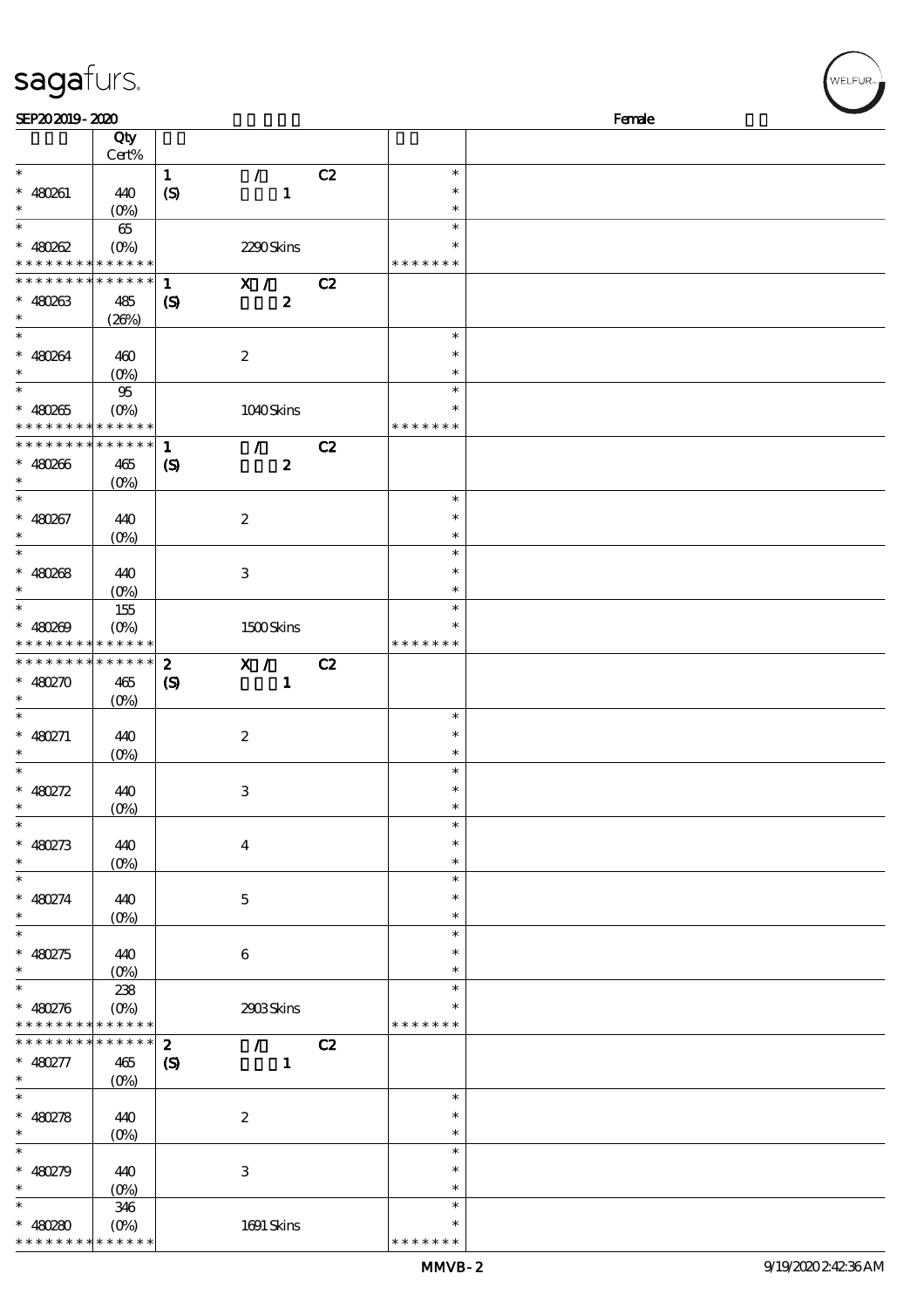| sagafurs.      |       |     |  |  |  |  |  |  |
|----------------|-------|-----|--|--|--|--|--|--|
| SEP202019-2020 |       |     |  |  |  |  |  |  |
|                |       |     |  |  |  |  |  |  |
|                | Cert% |     |  |  |  |  |  |  |
| $\ast$         |       |     |  |  |  |  |  |  |
| ∗<br>480261    | 440   | (S) |  |  |  |  |  |  |
| $\ast$         | in m  |     |  |  |  |  |  |  |

 $*$  :

 $*$   $*$ 

 $*$   $*$ 

\* \* \* \* \* \*

 $\ast$ 

\* \* \* \* \* \* \* \* \* \* \* \*

| SEP202019-2020    |                    |                             |                  |    |               | Female |
|-------------------|--------------------|-----------------------------|------------------|----|---------------|--------|
|                   | Qty                |                             |                  |    |               |        |
|                   | Cert%              |                             |                  |    |               |        |
| $\ast$            |                    | $\mathbf{1}$                | $\mathcal{F}$    | C2 | $\ast$        |        |
| $* 480261$        | 440                | (S)                         | $\mathbf{1}$     |    | $\ast$        |        |
| $\ast$            | $(O\%)$            |                             |                  |    | $\ast$        |        |
| $\ast$            |                    |                             |                  |    | $\ast$        |        |
|                   | 65                 |                             |                  |    |               |        |
| $* 480262$        | $(0\%)$            |                             | 2290Skins        |    | $\ast$        |        |
| * * * * * * * *   | * * * * * *        |                             |                  |    | * * * * * * * |        |
| * * * * * * *     | * * * * * *        | $\mathbf{1}$                | X /              | C2 |               |        |
| $* 480263$        | 485                | $\boldsymbol{\mathcal{S}}$  | $\boldsymbol{z}$ |    |               |        |
| $\ast$            | (20%)              |                             |                  |    |               |        |
| $\ast$            |                    |                             |                  |    | $\ast$        |        |
| * 480264          | 460                |                             | $\boldsymbol{2}$ |    | $\ast$        |        |
| $\ast$            |                    |                             |                  |    | $\ast$        |        |
|                   | $(O\%)$            |                             |                  |    | $\ast$        |        |
|                   | $95\,$             |                             |                  |    |               |        |
| $* 480265$        | $(O\%)$            |                             | 1040Skins        |    | $\ast$        |        |
| * * * * * * * *   | * * * * * *        |                             |                  |    | * * * * * * * |        |
| * * * * * * * *   | * * * * * *        | $\mathbf{1}$                | $\mathcal{L}$    | C2 |               |        |
| * 480266          | 465                | $\boldsymbol{\mathcal{S}}$  | $\boldsymbol{z}$ |    |               |        |
| $\ast$            | $(O\%)$            |                             |                  |    |               |        |
| $\ast$            |                    |                             |                  |    | $\ast$        |        |
| * 480267          | 440                |                             | $\boldsymbol{2}$ |    | $\ast$        |        |
| $\ast$            |                    |                             |                  |    | $\ast$        |        |
| $\overline{\ast}$ | $(O\%)$            |                             |                  |    |               |        |
|                   |                    |                             |                  |    | $\ast$        |        |
| $* 480268$        | 440                |                             | $\,3\,$          |    | $\ast$        |        |
| $\ast$            | (O <sub>0</sub> )  |                             |                  |    | $\ast$        |        |
| $\overline{\ast}$ | 155                |                             |                  |    | $\ast$        |        |
| $* 480269$        | $(O\%)$            |                             | 1500Skins        |    |               |        |
| * * * * * * * *   | * * * * * *        |                             |                  |    | * * * * * * * |        |
| * * * * * * * *   | $* * * * * * *$    | $\boldsymbol{z}$            | X /              | C2 |               |        |
| $* 480270$        | 465                | $\boldsymbol{\mathrm{(S)}}$ | $\mathbf{1}$     |    |               |        |
| $\ast$            |                    |                             |                  |    |               |        |
| $\ast$            | $(O\%)$            |                             |                  |    |               |        |
|                   |                    |                             |                  |    | $\ast$        |        |
| * $480271$        | 440                |                             | $\boldsymbol{2}$ |    | $\ast$        |        |
| $\ast$            | $(O\!/\!o)$        |                             |                  |    | $\ast$        |        |
| $\ast$            |                    |                             |                  |    | $\ast$        |        |
| * $480272$        | 440                |                             | $\,3$            |    | $\ast$        |        |
| $\ast$            | (0%)               |                             |                  |    | $\ast$        |        |
| $\ast$            |                    |                             |                  |    | $\ast$        |        |
| * $480273$        | 440                |                             | $\boldsymbol{4}$ |    | $\ast$        |        |
| $\ast$            | $(0\%)$            |                             |                  |    | $\ast$        |        |
| $\ast$            |                    |                             |                  |    | $\ast$        |        |
|                   |                    |                             |                  |    | $\ast$        |        |
| * 480274          | 440                |                             | $\mathbf 5$      |    |               |        |
| $\ast$            | $(O\%)$            |                             |                  |    | $\ast$        |        |
| $\overline{\ast}$ |                    |                             |                  |    | $\ast$        |        |
| * $480275$        | 440                |                             | 6                |    | *             |        |
| $\ast$            | $(O\%)$            |                             |                  |    | $\ast$        |        |
| $\ast$            | 238                |                             |                  |    | $\ast$        |        |
| * 480276          | $(O\%)$            |                             | 2908Skins        |    |               |        |
| * * * * * * * *   | * * * * * *        |                             |                  |    | * * * * * * * |        |
| * * * * * * * *   | * * * * * *        | $\boldsymbol{z}$            | $\mathcal{L}$    | C2 |               |        |
|                   |                    |                             |                  |    |               |        |
| * 480277          | 465                | $\boldsymbol{\mathcal{S}}$  | $\mathbf{1}$     |    |               |        |
| $\ast$            | $(O\!/\!\delta)$   |                             |                  |    |               |        |
| $\overline{\ast}$ |                    |                             |                  |    | $\ast$        |        |
| * 480278          | 440                |                             | $\boldsymbol{2}$ |    | $\ast$        |        |
| $\ast$            | $(O\%)$            |                             |                  |    | $\ast$        |        |
| $\ast$            |                    |                             |                  |    | $\ast$        |        |
| * 480279          | 440                |                             | $\,3$            |    | $\ast$        |        |
| $\ast$            | (0%)               |                             |                  |    | $\ast$        |        |
| $\ast$            | 346                |                             |                  |    | $\ast$        |        |
|                   |                    |                             |                  |    | $\ast$        |        |
| $* 480280$        | $(O\!/\!\!\delta)$ |                             | 1691 Skins       |    |               |        |

\* \* \* \* \* \*

WELFUR<sub>"</sub>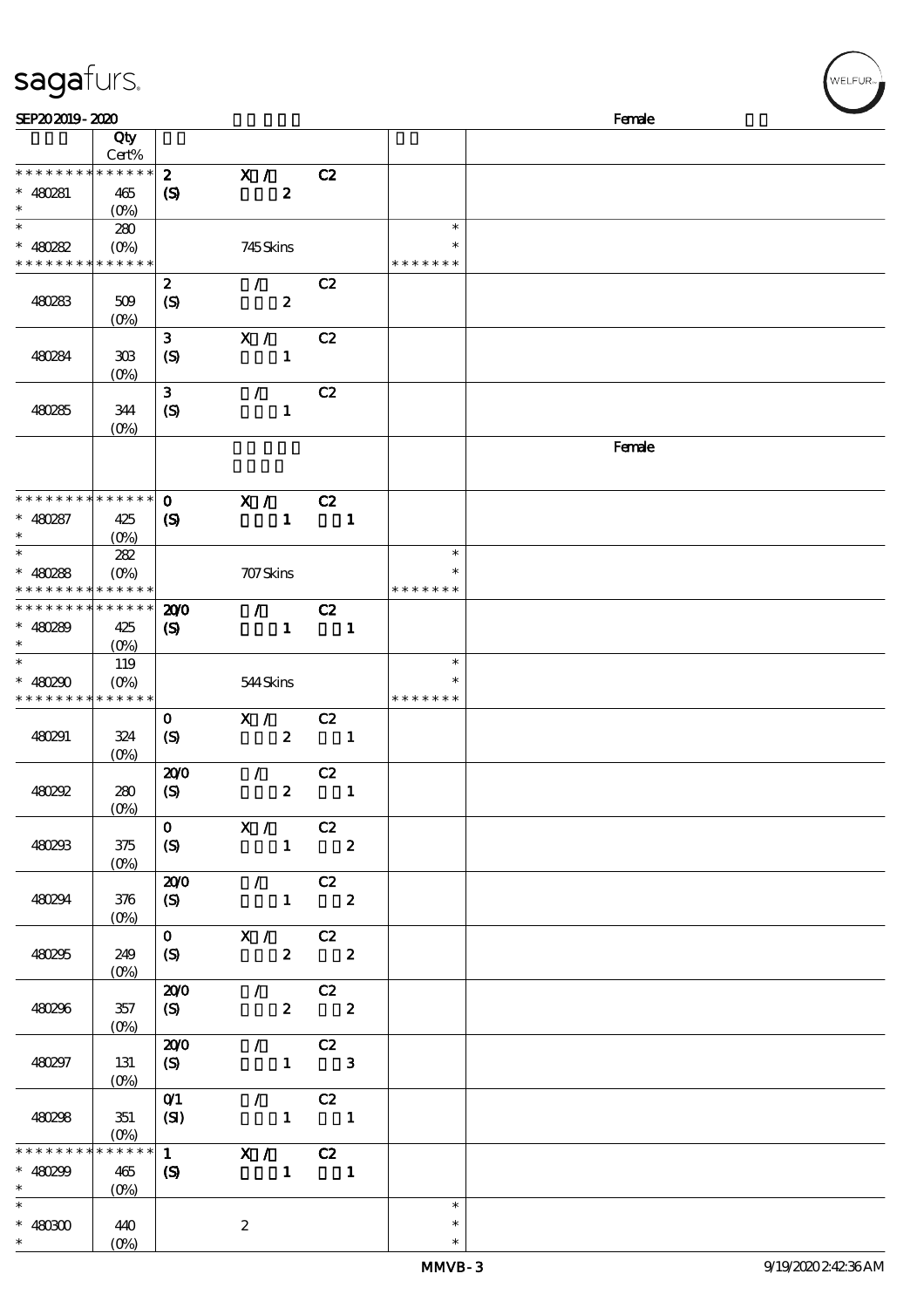## sagafurs.

| SEP202019-2020                             |                                 |                             |                                                                                                                                                                                                                                                                                                                                                                                                                                                                                 |                  |                                                  |              |               | Female |
|--------------------------------------------|---------------------------------|-----------------------------|---------------------------------------------------------------------------------------------------------------------------------------------------------------------------------------------------------------------------------------------------------------------------------------------------------------------------------------------------------------------------------------------------------------------------------------------------------------------------------|------------------|--------------------------------------------------|--------------|---------------|--------|
|                                            | Qty                             |                             |                                                                                                                                                                                                                                                                                                                                                                                                                                                                                 |                  |                                                  |              |               |        |
|                                            | Cert%                           |                             |                                                                                                                                                                                                                                                                                                                                                                                                                                                                                 |                  |                                                  |              |               |        |
| * * * * * * * * * * * * * *                |                                 | $\boldsymbol{z}$            | X /                                                                                                                                                                                                                                                                                                                                                                                                                                                                             |                  | C2                                               |              |               |        |
| $* 480281$<br>$\ast$                       | 465                             | $\boldsymbol{\mathrm{(S)}}$ |                                                                                                                                                                                                                                                                                                                                                                                                                                                                                 | $\boldsymbol{z}$ |                                                  |              |               |        |
| $\overline{\phantom{0}}$                   | $(O\%)$<br>280                  |                             |                                                                                                                                                                                                                                                                                                                                                                                                                                                                                 |                  |                                                  |              | $\ast$        |        |
| $* 480282$                                 | $(O\!/\!o)$                     |                             | 745Skins                                                                                                                                                                                                                                                                                                                                                                                                                                                                        |                  |                                                  |              | ∗             |        |
| * * * * * * * * * * * * * *                |                                 |                             |                                                                                                                                                                                                                                                                                                                                                                                                                                                                                 |                  |                                                  |              | * * * * * * * |        |
|                                            |                                 | $\boldsymbol{z}$            | $\mathcal{T}^{\pm}$                                                                                                                                                                                                                                                                                                                                                                                                                                                             |                  | C2                                               |              |               |        |
| 480283                                     | 509                             | $\boldsymbol{S}$            |                                                                                                                                                                                                                                                                                                                                                                                                                                                                                 | $\boldsymbol{z}$ |                                                  |              |               |        |
|                                            | $(O\%)$                         |                             |                                                                                                                                                                                                                                                                                                                                                                                                                                                                                 |                  |                                                  |              |               |        |
|                                            |                                 | $\mathbf{3}$                | X /                                                                                                                                                                                                                                                                                                                                                                                                                                                                             |                  | C2                                               |              |               |        |
| 480284                                     | 308                             | $\boldsymbol{S}$            |                                                                                                                                                                                                                                                                                                                                                                                                                                                                                 | $\mathbf{1}$     |                                                  |              |               |        |
|                                            | $(0\%)$                         |                             |                                                                                                                                                                                                                                                                                                                                                                                                                                                                                 |                  |                                                  |              |               |        |
|                                            |                                 | 3                           | $\mathcal{L}$                                                                                                                                                                                                                                                                                                                                                                                                                                                                   |                  | C2                                               |              |               |        |
| 480285                                     | 344                             | (S)                         |                                                                                                                                                                                                                                                                                                                                                                                                                                                                                 | $\mathbf{1}$     |                                                  |              |               |        |
|                                            | $(0\%)$                         |                             |                                                                                                                                                                                                                                                                                                                                                                                                                                                                                 |                  |                                                  |              |               |        |
|                                            |                                 |                             |                                                                                                                                                                                                                                                                                                                                                                                                                                                                                 |                  |                                                  |              |               | Female |
|                                            |                                 |                             |                                                                                                                                                                                                                                                                                                                                                                                                                                                                                 |                  |                                                  |              |               |        |
| * * * * * * * * * * * * * *                |                                 |                             |                                                                                                                                                                                                                                                                                                                                                                                                                                                                                 |                  |                                                  |              |               |        |
|                                            |                                 | $\mathbf 0$                 | X / C2                                                                                                                                                                                                                                                                                                                                                                                                                                                                          |                  |                                                  |              |               |        |
| $* 480287$<br>$\ast$                       | 425<br>$(O\%)$                  | $\boldsymbol{S}$            |                                                                                                                                                                                                                                                                                                                                                                                                                                                                                 | $\mathbf{1}$     |                                                  | $\mathbf{1}$ |               |        |
| $\overline{\ast}$                          | 282                             |                             |                                                                                                                                                                                                                                                                                                                                                                                                                                                                                 |                  |                                                  |              | $\ast$        |        |
| $* 480288$                                 | $(O\%)$                         |                             | 707 Skins                                                                                                                                                                                                                                                                                                                                                                                                                                                                       |                  |                                                  |              | $\ast$        |        |
| * * * * * * * * <mark>* * * * * * *</mark> |                                 |                             |                                                                                                                                                                                                                                                                                                                                                                                                                                                                                 |                  |                                                  |              | * * * * * * * |        |
| * * * * * * * * * * * * * *                |                                 | 200                         | $\mathcal{T}^{\mathcal{A}}$                                                                                                                                                                                                                                                                                                                                                                                                                                                     |                  | C2                                               |              |               |        |
| $* 480289$                                 | 425                             | $\boldsymbol{\mathcal{S}}$  |                                                                                                                                                                                                                                                                                                                                                                                                                                                                                 | $\mathbf{1}$     | $\blacksquare$                                   |              |               |        |
| $\ast$                                     | $(O\%)$                         |                             |                                                                                                                                                                                                                                                                                                                                                                                                                                                                                 |                  |                                                  |              |               |        |
| $\ast$                                     | 119                             |                             |                                                                                                                                                                                                                                                                                                                                                                                                                                                                                 |                  |                                                  |              | $\ast$        |        |
| * $480290$                                 | $(O\%)$                         |                             | 544Skins                                                                                                                                                                                                                                                                                                                                                                                                                                                                        |                  |                                                  |              | $\ast$        |        |
| * * * * * * * * * * * * * *                |                                 |                             |                                                                                                                                                                                                                                                                                                                                                                                                                                                                                 |                  |                                                  |              | * * * * * * * |        |
|                                            |                                 | $\mathbf{o}$                | X /                                                                                                                                                                                                                                                                                                                                                                                                                                                                             |                  | C2                                               |              |               |        |
| 480291                                     | 324                             | $\boldsymbol{S}$            |                                                                                                                                                                                                                                                                                                                                                                                                                                                                                 | $\mathbf{2}$     | $\overline{\phantom{a}}$                         |              |               |        |
|                                            | $(0\%)$                         |                             |                                                                                                                                                                                                                                                                                                                                                                                                                                                                                 |                  |                                                  |              |               |        |
|                                            |                                 | 200                         | $\mathcal{L}$                                                                                                                                                                                                                                                                                                                                                                                                                                                                   |                  | C2                                               |              |               |        |
| 480292                                     | 280<br>(0%)                     | $\boldsymbol{\mathrm{(S)}}$ |                                                                                                                                                                                                                                                                                                                                                                                                                                                                                 | $\boldsymbol{z}$ | $\overline{\phantom{a}}$                         |              |               |        |
|                                            |                                 | $\mathbf{0}$                | X / C2                                                                                                                                                                                                                                                                                                                                                                                                                                                                          |                  |                                                  |              |               |        |
| 480293                                     | $375$                           | (S)                         | $1 \t 2$                                                                                                                                                                                                                                                                                                                                                                                                                                                                        |                  |                                                  |              |               |        |
|                                            | $(0\%)$                         |                             |                                                                                                                                                                                                                                                                                                                                                                                                                                                                                 |                  |                                                  |              |               |        |
|                                            |                                 | 200                         | $\overline{\phantom{a}}$ $\overline{\phantom{a}}$ $\overline{\phantom{a}}$ $\overline{\phantom{a}}$ $\overline{\phantom{a}}$ $\overline{\phantom{a}}$ $\overline{\phantom{a}}$ $\overline{\phantom{a}}$ $\overline{\phantom{a}}$ $\overline{\phantom{a}}$ $\overline{\phantom{a}}$ $\overline{\phantom{a}}$ $\overline{\phantom{a}}$ $\overline{\phantom{a}}$ $\overline{\phantom{a}}$ $\overline{\phantom{a}}$ $\overline{\phantom{a}}$ $\overline{\phantom{a}}$ $\overline{\$ |                  |                                                  |              |               |        |
| 480294                                     | 376                             | (S)                         | $1$ 2                                                                                                                                                                                                                                                                                                                                                                                                                                                                           |                  |                                                  |              |               |        |
|                                            | $(0\%)$                         |                             |                                                                                                                                                                                                                                                                                                                                                                                                                                                                                 |                  |                                                  |              |               |        |
|                                            |                                 |                             | $\overline{0}$ $\overline{X}$ / $\overline{C}$ $\overline{Z}$                                                                                                                                                                                                                                                                                                                                                                                                                   |                  |                                                  |              |               |        |
| 480295                                     | 249                             | (S)                         |                                                                                                                                                                                                                                                                                                                                                                                                                                                                                 |                  | $2\qquad 2$                                      |              |               |        |
|                                            | $(0\%)$                         |                             |                                                                                                                                                                                                                                                                                                                                                                                                                                                                                 |                  |                                                  |              |               |        |
|                                            |                                 |                             | $\overline{200}$ / C <sub>2</sub>                                                                                                                                                                                                                                                                                                                                                                                                                                               |                  |                                                  |              |               |        |
| 480296                                     | 357                             | (S)                         |                                                                                                                                                                                                                                                                                                                                                                                                                                                                                 |                  | $2\qquad 2$                                      |              |               |        |
|                                            | $(O\!\!\!\!\!\!\backslash\rho)$ |                             |                                                                                                                                                                                                                                                                                                                                                                                                                                                                                 |                  |                                                  |              |               |        |
| 480297                                     | 131                             | 200                         |                                                                                                                                                                                                                                                                                                                                                                                                                                                                                 |                  | $\sqrt{C^2}$<br>$1 \qquad 3$                     |              |               |        |
|                                            |                                 | (S)                         |                                                                                                                                                                                                                                                                                                                                                                                                                                                                                 |                  |                                                  |              |               |        |
|                                            |                                 | O <sub>1</sub>              |                                                                                                                                                                                                                                                                                                                                                                                                                                                                                 |                  | $\sqrt{C^2}$                                     |              |               |        |
| 480298                                     | 351                             | (SI)                        | $\begin{array}{cccc} 1 & 1 \end{array}$                                                                                                                                                                                                                                                                                                                                                                                                                                         |                  |                                                  |              |               |        |
|                                            | $(0\%)$                         |                             |                                                                                                                                                                                                                                                                                                                                                                                                                                                                                 |                  |                                                  |              |               |        |
| * * * * * * * *                            | $******$                        |                             | $\overline{1}$ $\overline{X}$ / $\overline{C}$ $\overline{Z}$                                                                                                                                                                                                                                                                                                                                                                                                                   |                  |                                                  |              |               |        |
| * $480299$                                 | 465                             | (S)                         |                                                                                                                                                                                                                                                                                                                                                                                                                                                                                 |                  | $\begin{array}{ccc} & 1 & \quad & 1 \end{array}$ |              |               |        |
| $\ast$                                     | $(0\%)$                         |                             |                                                                                                                                                                                                                                                                                                                                                                                                                                                                                 |                  |                                                  |              |               |        |
| $\overline{\ast}$                          |                                 |                             |                                                                                                                                                                                                                                                                                                                                                                                                                                                                                 |                  |                                                  |              | $\ast$        |        |
| $\hspace{0.1cm}^*$ 480300                  | 440                             |                             | $\boldsymbol{2}$                                                                                                                                                                                                                                                                                                                                                                                                                                                                |                  |                                                  |              | $\ast$        |        |
| $*$                                        | $(0\%)$                         |                             |                                                                                                                                                                                                                                                                                                                                                                                                                                                                                 |                  |                                                  |              | $\ast$        |        |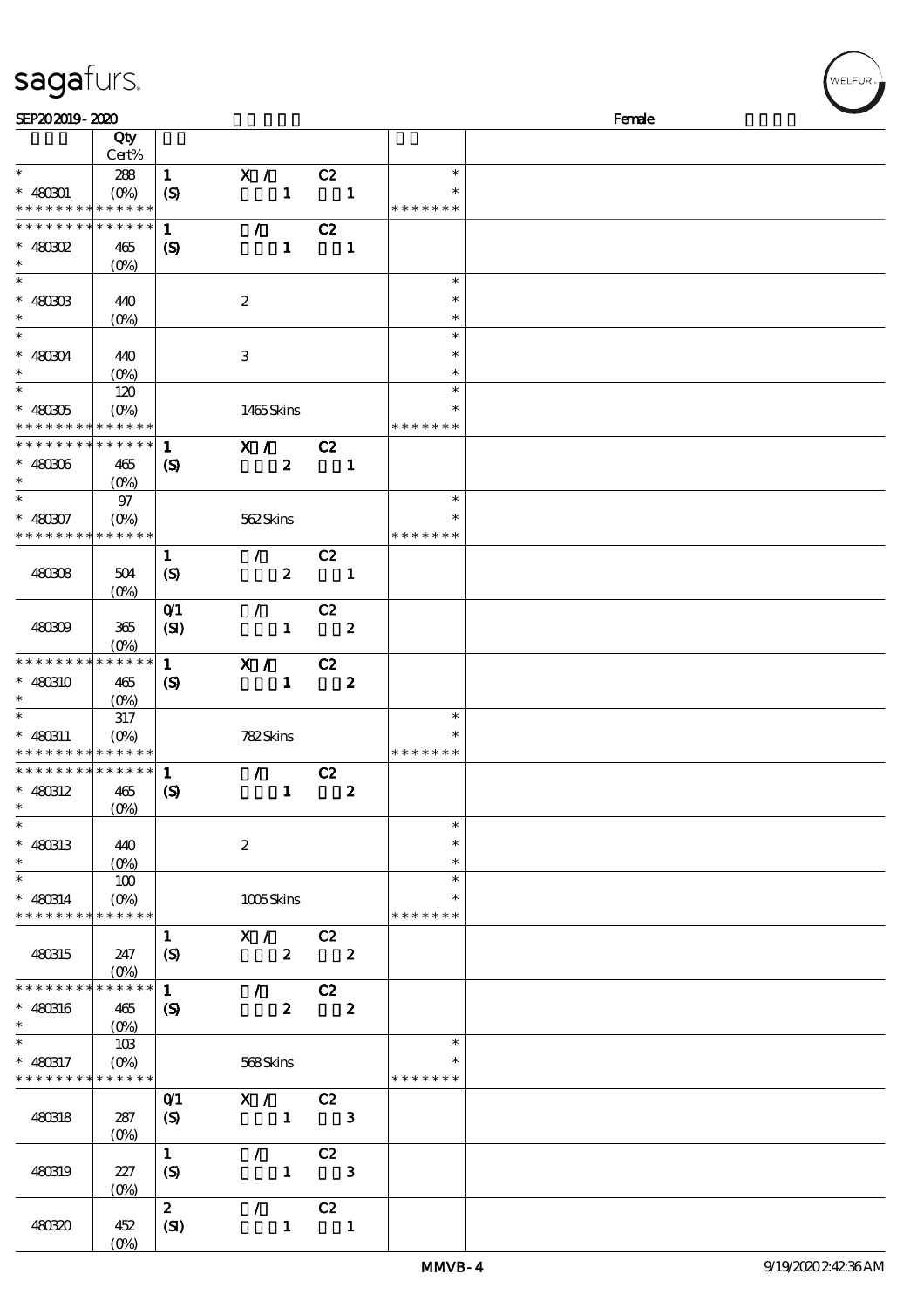| SEP202019-2020                           |                    |                             |                             |                         |                  |                  | Female |  |
|------------------------------------------|--------------------|-----------------------------|-----------------------------|-------------------------|------------------|------------------|--------|--|
|                                          | Qty                |                             |                             |                         |                  |                  |        |  |
|                                          | Cert%              |                             |                             |                         |                  |                  |        |  |
| $\ast$                                   | 288                | $\mathbf{1}$                | X /                         | C2                      |                  | $\ast$           |        |  |
| $* 480001$                               | $(O\%)$            | $\boldsymbol{S}$            | $\mathbf{1}$                | $\blacksquare$          |                  | ∗                |        |  |
| * * * * * * * * * * * * * *              |                    |                             |                             |                         |                  | * * * * * * *    |        |  |
| * * * * * * * * * * * * * *              |                    | $\mathbf{1}$                | $\mathcal{L}$               | C2                      |                  |                  |        |  |
| $*$ 480302                               | 465                | $\boldsymbol{S}$            | $\mathbf{1}$                |                         | $\mathbf{1}$     |                  |        |  |
| $\ast$                                   | $(O\!/\!\!\delta)$ |                             |                             |                         |                  |                  |        |  |
| $\ast$                                   |                    |                             |                             |                         |                  | $\ast$           |        |  |
| $* 480303$                               | 440                |                             | $\boldsymbol{z}$            |                         |                  | ∗                |        |  |
| $\ast$                                   | $(O\%)$            |                             |                             |                         |                  | $\ast$           |        |  |
| $\ast$                                   |                    |                             |                             |                         |                  | $\ast$           |        |  |
| $* 480304$                               | 440                |                             | 3                           |                         |                  | $\ast$           |        |  |
| $\ast$                                   | $(O\%)$            |                             |                             |                         |                  | $\ast$           |        |  |
| $\overline{\ast}$                        | 120                |                             |                             |                         |                  | $\ast$           |        |  |
| $* 480305$                               | $(O\%)$            |                             | 1465Skins                   |                         |                  |                  |        |  |
| * * * * * * * * * * * * * *              |                    |                             |                             |                         |                  | * * * * * * *    |        |  |
| * * * * * * * * * * * * * * *            |                    | $\mathbf{1}$                | $\mathbf{X}$ /              | C2                      |                  |                  |        |  |
| $* 480306$                               | 465                | $\boldsymbol{\mathcal{S}}$  | $\boldsymbol{z}$            |                         | $\mathbf{1}$     |                  |        |  |
| $\ast$                                   |                    |                             |                             |                         |                  |                  |        |  |
| $\ast$                                   | 97                 |                             |                             |                         |                  | $\ast$           |        |  |
| $* 480307$                               | $(O\% )$           |                             | 562Skins                    |                         |                  |                  |        |  |
| * * * * * * * * * * * * * *              |                    |                             |                             |                         |                  | * * * * * * *    |        |  |
|                                          |                    | $\mathbf{1}$                | $\mathcal{L}$               | C2                      |                  |                  |        |  |
| 480308                                   | 504                | (S)                         | $\boldsymbol{2}$            | $\blacksquare$          |                  |                  |        |  |
|                                          | $(0\%)$            |                             |                             |                         |                  |                  |        |  |
|                                          |                    | $O$ <sup>1</sup>            | $\mathcal{L}$               | C2                      |                  |                  |        |  |
| 480309                                   | 365                | (SI)                        | $\mathbf{1}$                | $\overline{\mathbf{2}}$ |                  |                  |        |  |
|                                          | $(O\%)$            |                             |                             |                         |                  |                  |        |  |
| * * * * * * * * * * * * * *              |                    | $\mathbf{1}$                | X /                         | C2                      |                  |                  |        |  |
| * 480310                                 | 465                | $\boldsymbol{S}$            | $\mathbf{1}$                |                         | $\boldsymbol{z}$ |                  |        |  |
| $\ast$                                   | $(O\%)$            |                             |                             |                         |                  |                  |        |  |
| $\overline{\phantom{0}}$                 | 317                |                             |                             |                         |                  | $\ast$           |        |  |
| $* 480311$                               | $(O\!/\!\!\delta)$ |                             | 782Skins                    |                         |                  | ∗                |        |  |
| * * * * * * * * <mark>* * * * * *</mark> |                    |                             |                             |                         |                  | * * * * * *      |        |  |
| ******** <mark>******</mark>             |                    | $\mathbf{1}$                | $\mathcal{L}^{\mathcal{L}}$ | C2                      |                  |                  |        |  |
| $* 480312$                               | 465                | $\boldsymbol{\mathrm{(S)}}$ | $\mathbf{1}$                |                         | $\boldsymbol{z}$ |                  |        |  |
| $\ast$                                   | $(0\%)$            |                             |                             |                         |                  |                  |        |  |
| $\overline{\phantom{a}}$                 |                    |                             |                             |                         |                  | $\ast$           |        |  |
| * 480313                                 | 440                |                             | $\boldsymbol{2}$            |                         |                  | $\ast$           |        |  |
| $\ast$                                   | $(O\%)$            |                             |                             |                         |                  | $\ast$           |        |  |
| $\ast$                                   | 100                |                             |                             |                         |                  | $\ast$           |        |  |
| $* 480814$                               | $(O\%)$            |                             | 1005Skins                   |                         |                  | $\ast$           |        |  |
| * * * * * * * * <mark>* * * * * *</mark> |                    |                             |                             |                         |                  | * * * * * * *    |        |  |
|                                          |                    | $\mathbf{1}$                | X /                         | C2                      |                  |                  |        |  |
| 480315                                   | 247                | $\boldsymbol{S}$            | $\boldsymbol{z}$            |                         | $\boldsymbol{z}$ |                  |        |  |
|                                          | $(O\%)$            |                             |                             |                         |                  |                  |        |  |
| * * * * * * * * * * * * * *              |                    | $\mathbf{1}$                | $\mathcal{L}$               | C2                      |                  |                  |        |  |
| $* 480316$                               | 465                | $\boldsymbol{\mathcal{S}}$  | $\boldsymbol{z}$            |                         | $\boldsymbol{z}$ |                  |        |  |
| $\ast$                                   | $(0\%)$            |                             |                             |                         |                  |                  |        |  |
| $\ast$                                   | 10B                |                             |                             |                         |                  | $\ast$           |        |  |
| $* 480317$                               | $(O\%)$            |                             | 568Skins                    |                         |                  | $\ast$           |        |  |
| * * * * * * * *                          | * * * * * *        |                             |                             |                         |                  | * * * * * *<br>∗ |        |  |
|                                          |                    | O(1)                        | X /                         | C2                      |                  |                  |        |  |
| 480318                                   | 287                | (S)                         | $\mathbf{1}$                |                         | $\mathbf{3}$     |                  |        |  |
|                                          | $(O\%)$            |                             |                             |                         |                  |                  |        |  |
|                                          |                    | $\mathbf{1}$                | $\mathcal{L}$               | C2                      |                  |                  |        |  |
| 480319                                   | 227                | $\boldsymbol{S}$            | $\mathbf{1}$                |                         | 3                |                  |        |  |
|                                          | (0%)               |                             |                             |                         |                  |                  |        |  |
|                                          |                    | $\boldsymbol{2}$            | $\mathcal{L}$               | C2                      |                  |                  |        |  |
| 48030                                    | 452                | (SI)                        | $\mathbf{1}$                |                         | $\mathbf{1}$     |                  |        |  |
|                                          |                    |                             |                             |                         |                  |                  |        |  |

sagafurs.

(0%)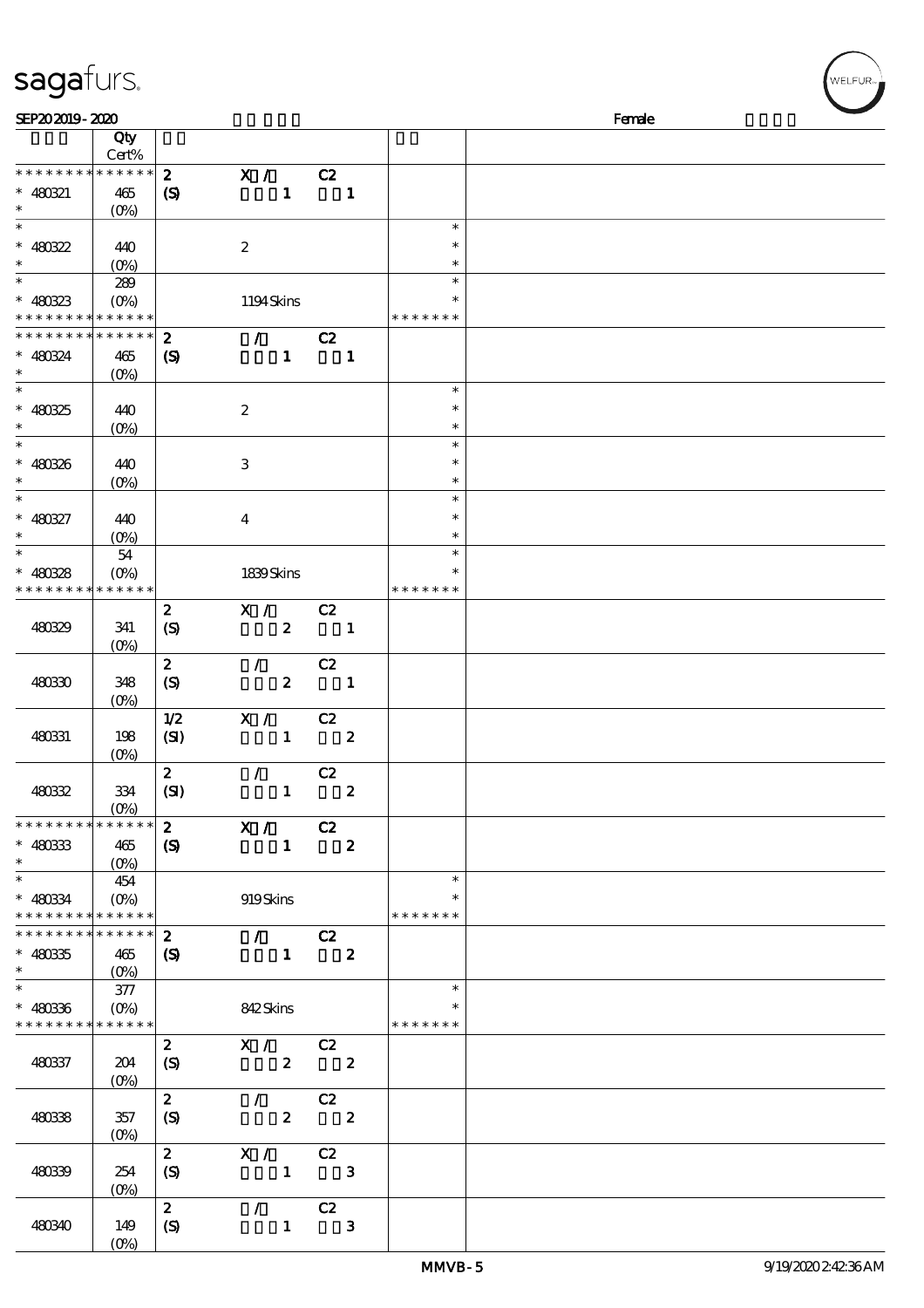## sagafurs.

| SEP202019-2020                                                                        |                                                     |                                                 |                                                 |                                  |                  |                                   | Female |
|---------------------------------------------------------------------------------------|-----------------------------------------------------|-------------------------------------------------|-------------------------------------------------|----------------------------------|------------------|-----------------------------------|--------|
|                                                                                       | Qty<br>Cert%                                        |                                                 |                                                 |                                  |                  |                                   |        |
| * * * * * * * * * * * * * *<br>$* 480321$<br>$\ast$                                   | 465<br>$(O\%)$                                      | $\boldsymbol{z}$<br>$\boldsymbol{\mathrm{(S)}}$ | X / C2<br>$1 -$                                 | $\blacksquare$                   |                  |                                   |        |
| $\ast$<br>$* 480322$<br>$\ast$                                                        | 440<br>$(O\%)$                                      |                                                 | $\boldsymbol{2}$                                |                                  |                  | $\ast$<br>$\ast$<br>$\ast$        |        |
| $\ast$<br>$* 480323$<br>* * * * * * * * <mark>* * * * * *</mark> *                    | 289<br>$(O\%)$                                      |                                                 | 1194Skins                                       |                                  |                  | $\ast$<br>$\ast$<br>* * * * * * * |        |
| * * * * * * * * <mark>* * * * * *</mark><br>$* 480324$<br>$\ast$                      | 465<br>$(0\%)$                                      | $\boldsymbol{z}$<br>$\boldsymbol{\mathrm{(S)}}$ | $\mathcal{L}$ and $\mathcal{L}$<br>$\mathbf{1}$ | C2                               | $\blacksquare$   |                                   |        |
| $\ast$<br>$* 480325$<br>$\ast$                                                        | 440<br>$(O\!\!\!\!\!\backslash\rho)$                |                                                 | $\boldsymbol{2}$                                |                                  |                  | $\ast$<br>$\ast$<br>$\ast$        |        |
| $\ast$<br>$* 480326$<br>$\ast$                                                        | 440<br>$(O\!/\!o)$                                  |                                                 | $\,3\,$                                         |                                  |                  | $\ast$<br>$\ast$<br>$\ast$        |        |
| $\ast$<br>$* 480327$<br>$\ast$                                                        | 440<br>$(O\%)$                                      |                                                 | $\boldsymbol{4}$                                |                                  |                  | $\ast$<br>$\ast$<br>$\ast$        |        |
| $\ast$<br>$* 480328$<br>* * * * * * * *                                               | 54<br>$(O\%)$<br>* * * * * *                        |                                                 | 1839Skins                                       |                                  |                  | $\ast$<br>$\ast$<br>* * * * * * * |        |
| 480329                                                                                | 341<br>$(0\%)$                                      | $\boldsymbol{z}$<br>$\boldsymbol{S}$            | X /<br>$\boldsymbol{z}$                         | C2<br>$\overline{\mathbf{1}}$    |                  |                                   |        |
| 48030                                                                                 | 348<br>$(O\%)$                                      | $\boldsymbol{z}$<br>(S)                         | $\mathcal{L}$<br>$\boldsymbol{z}$               | C2<br>$\overline{\phantom{a}}$   |                  |                                   |        |
| 480331                                                                                | 198<br>$(O\%)$                                      | 1/2<br>(SI)                                     | X / C2<br>$\mathbf{1}$                          | $\overline{\phantom{a}}$ 2       |                  |                                   |        |
| 48032                                                                                 | 334<br>(0%                                          | $\boldsymbol{z}$<br>(SI)                        | $\mathcal{F}$ and $\mathcal{F}$<br>$\mathbf{1}$ | C2                               | $\boldsymbol{z}$ |                                   |        |
| * * * * * * * *<br>$* 480333$<br>$\ast$                                               | $\ast\ast\ast\ast\ast\ast$<br>465<br>$(O\%)$        | $\boldsymbol{2}$<br>$\boldsymbol{S}$            | X / C2<br>$\mathbf{1}$                          |                                  | $\boldsymbol{z}$ |                                   |        |
| $\overline{\phantom{a}^*}$<br>$* 48034$<br>* * * * * * * * <mark>* * * * * * *</mark> | 454<br>$(O\%)$                                      |                                                 | 919Skins                                        |                                  |                  | $\ast$<br>$\ast$<br>* * * * * * * |        |
| * * * * * * * * * * * * * *<br>$* 48035$<br>$\ast$                                    | 465<br>$(O\%)$                                      | $\boldsymbol{z}$<br>$\boldsymbol{\mathrm{(S)}}$ | $\overline{I}$<br>$\mathbf{1}$                  | C2<br>$\overline{\phantom{a}}$ 2 |                  |                                   |        |
| $\ast$<br>$* 480336$<br>* * * * * * * *                                               | $377\,$<br>$(O\!\!\!\!\!\!\!/\,\!o)$<br>* * * * * * |                                                 | 842Skins                                        |                                  |                  | $\ast$<br>$\ast$<br>* * * * * * * |        |
| 480337                                                                                | 204<br>$(O\%)$                                      | $\mathbf{2}$<br>(S)                             | X / C2                                          | $2\qquad 2$                      |                  |                                   |        |
| 48038                                                                                 | 357<br>$(0\%)$                                      | $\boldsymbol{z}$<br>(S)                         | $\mathcal{F}$                                   | C2<br>$2\qquad 2$                |                  |                                   |        |
| 48039                                                                                 | 254<br>$(0\%)$                                      | $\mathbf{2}$<br>$\mathcal{S}$                   | X / C2<br>$\mathbf{1}$                          |                                  | $\mathbf{3}$     |                                   |        |
| 480340                                                                                | 149<br>$(O\%)$                                      | $2^{\circ}$<br>$\boldsymbol{S}$                 | $\sqrt{C^2}$<br>$\mathbf{1}$                    |                                  | $\mathbf{3}$     |                                   |        |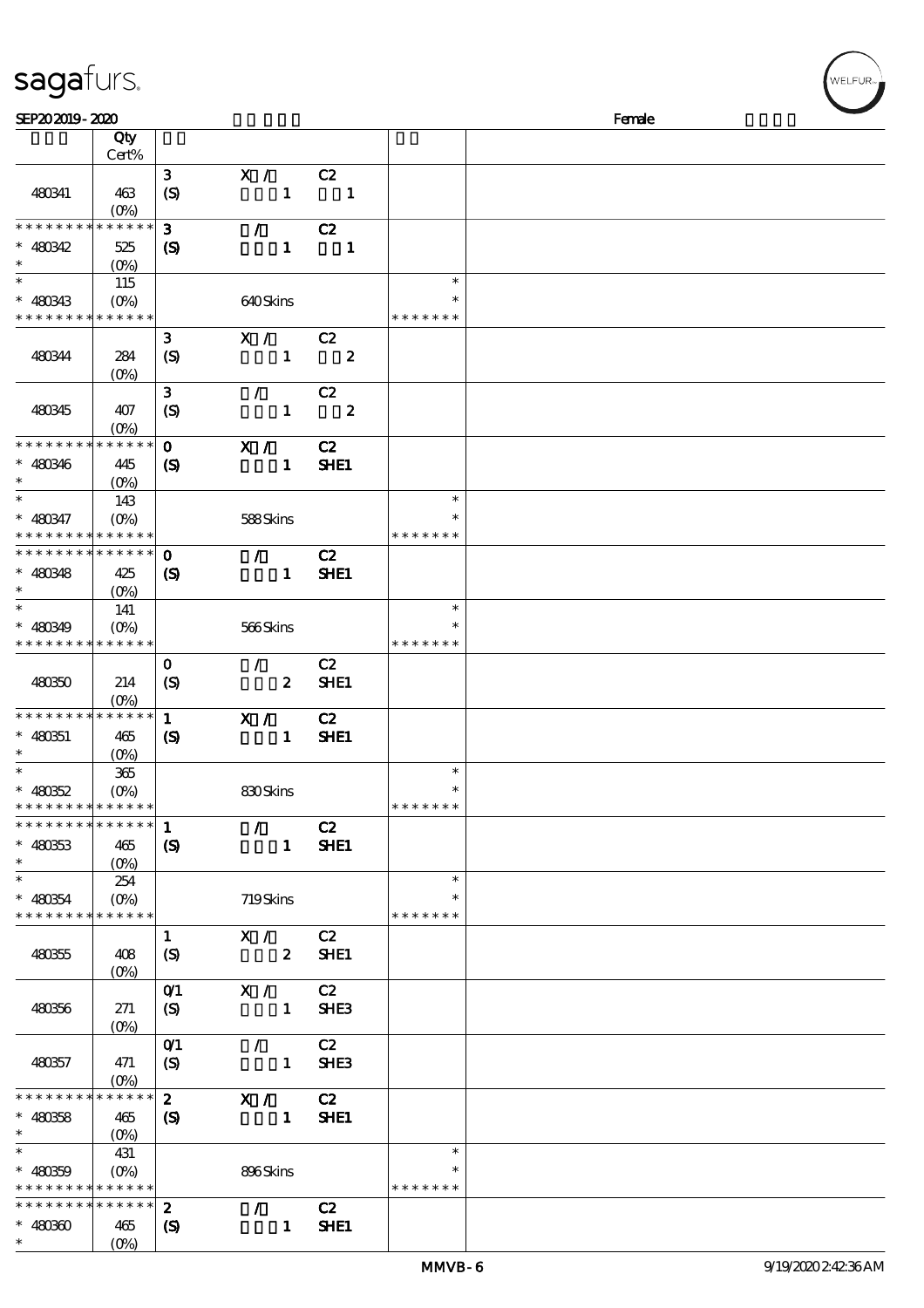| sagafurs. |
|-----------|
|-----------|

| SEP202019-2020                                         |                                                   |                            |                  |                  |               | Female |  |
|--------------------------------------------------------|---------------------------------------------------|----------------------------|------------------|------------------|---------------|--------|--|
|                                                        | Qty                                               |                            |                  |                  |               |        |  |
|                                                        | Cert%                                             |                            |                  |                  |               |        |  |
|                                                        |                                                   | $\mathbf{3}$               | X /              | C2               |               |        |  |
| 480341                                                 | 463                                               | $\boldsymbol{S}$           | $\mathbf{1}$     | $\blacksquare$   |               |        |  |
|                                                        | $(O\% )$                                          |                            |                  |                  |               |        |  |
| * * * * * * * *                                        | * * * * * *                                       | $\mathbf{3}$               | $\mathcal{L}$    | C2               |               |        |  |
| $* 480342$                                             | 525                                               |                            | $\mathbf{1}$     | $\mathbf{1}$     |               |        |  |
| $\ast$                                                 |                                                   | $\boldsymbol{\mathcal{S}}$ |                  |                  |               |        |  |
| $\ast$                                                 | $(O\%)$                                           |                            |                  |                  | $\ast$        |        |  |
|                                                        | 115                                               |                            |                  |                  | ∗             |        |  |
| $* 480333$<br>* * * * * * * * <mark>* * * * * *</mark> | $(O\%)$                                           |                            | 640Skins         |                  | * * * * * * * |        |  |
|                                                        |                                                   |                            |                  |                  |               |        |  |
|                                                        |                                                   | $\mathbf{3}$               | $\mathbf{X}$ /   | C2               |               |        |  |
| 480344                                                 | 284                                               | $\boldsymbol{S}$           | $\mathbf{1}$     | $\boldsymbol{z}$ |               |        |  |
|                                                        | $(0\%)$                                           |                            |                  |                  |               |        |  |
|                                                        |                                                   | $\mathbf{3}$               | $\mathcal{L}$    | C2               |               |        |  |
| 480345                                                 | 407                                               | (S)                        | $\mathbf{1}$     | $\boldsymbol{z}$ |               |        |  |
|                                                        | $(0\%)$                                           |                            |                  |                  |               |        |  |
| * * * * * * * *                                        | * * * * * *                                       | $\mathbf{o}$               | X /              | C2               |               |        |  |
| $* 480346$                                             | 445                                               | $\boldsymbol{\mathcal{S}}$ | $\mathbf{1}$     | SHE1             |               |        |  |
| $\ast$                                                 | $(O\!/\!\!\delta)$                                |                            |                  |                  |               |        |  |
| $\ast$                                                 | 143                                               |                            |                  |                  | $\ast$        |        |  |
| $* 480347$                                             | $(O\!\!\!\!\!\!\!\backslash \!\!\!\!\!\backslash$ |                            | 588Skins         |                  | $\ast$        |        |  |
| * * * * * * * * <mark>* * * * * *</mark> *             |                                                   |                            |                  |                  | * * * * * * * |        |  |
| * * * * * * * * * * * * * *                            |                                                   | $\mathbf 0$                | $\mathcal{L}$    | C2               |               |        |  |
| $* 480348$                                             | 425                                               | $\boldsymbol{\mathcal{S}}$ | $\mathbf{1}$     | SHE1             |               |        |  |
| $\ast$                                                 | $(O\%)$                                           |                            |                  |                  |               |        |  |
| $\ast$                                                 | 141                                               |                            |                  |                  | $\ast$        |        |  |
| $* 480349$                                             |                                                   |                            | 566Skins         |                  | $\ast$        |        |  |
| * * * * * * * * * * * * *                              |                                                   |                            |                  |                  | * * * * * * * |        |  |
|                                                        |                                                   | $\mathbf{o}$               | $\mathcal{L}$    | C2               |               |        |  |
| 480350                                                 | 214                                               | (S)                        | $\boldsymbol{z}$ | SHE1             |               |        |  |
|                                                        | $(O\%)$                                           |                            |                  |                  |               |        |  |
| * * * * * * * * * * * * * *                            |                                                   | $\mathbf{1}$               | X /              | C2               |               |        |  |
| $* 480351$                                             | 465                                               | $\boldsymbol{\mathcal{S}}$ | $\mathbf{1}$     | SHE1             |               |        |  |
| $\ast$                                                 | $(O\%)$                                           |                            |                  |                  |               |        |  |
| $\ast$                                                 | 365                                               |                            |                  |                  | $\ast$        |        |  |
| $* 480852$                                             | $(0\%)$                                           |                            | 830Skins         |                  | $\ast$        |        |  |
| * * * * * * * * <mark>* * * * * *</mark>               |                                                   |                            |                  |                  | * * * * * * * |        |  |
| **************                                         |                                                   | $\mathbf{1}$               | $\mathcal{L}$    | C2               |               |        |  |
| $* 480333$                                             | 465                                               |                            | $\mathbf{1}$     | SHE1             |               |        |  |
| $\ast$                                                 |                                                   | $\boldsymbol{\mathcal{S}}$ |                  |                  |               |        |  |
| $\ast$                                                 | $(O\%)$                                           |                            |                  |                  | $\ast$        |        |  |
|                                                        | 254                                               |                            |                  |                  | $\ast$        |        |  |
| $* 480854$<br>* * * * * * * * * * * * * *              | $(O\% )$                                          |                            | 719Skins         |                  | * * * * * * * |        |  |
|                                                        |                                                   |                            | X /              | C2               |               |        |  |
|                                                        |                                                   | $\mathbf{1}$               |                  |                  |               |        |  |
| 480355                                                 | 408                                               | $\boldsymbol{S}$           | $\boldsymbol{z}$ | <b>SHE1</b>      |               |        |  |
|                                                        | $(O\%)$                                           |                            |                  |                  |               |        |  |
|                                                        |                                                   | O(1)                       | X /              | C2               |               |        |  |
| 480356                                                 | 271                                               | $\boldsymbol{S}$           | $\mathbf{1}$     | SHE <sub>3</sub> |               |        |  |
|                                                        | $(0\%)$                                           |                            |                  |                  |               |        |  |
|                                                        |                                                   | O(1)                       | $\mathcal{L}$    | C2               |               |        |  |
| 480357                                                 | 471                                               | (S)                        | $\mathbf{1}$     | SHE3             |               |        |  |
|                                                        | $(0\%)$                                           |                            |                  |                  |               |        |  |
| * * * * * * * * * * * * * *                            |                                                   | $\boldsymbol{z}$           | X /              | C2               |               |        |  |
| $* 480858$                                             | 465                                               | $\boldsymbol{\mathsf{S}}$  | $\mathbf{1}$     | <b>SHE1</b>      |               |        |  |
| $\ast$                                                 | $(O\!\!\!\!\!\!\!\backslash \!\!\!\!\!\backslash$ |                            |                  |                  |               |        |  |
| $\ast$                                                 | 431                                               |                            |                  |                  | $\ast$        |        |  |
| $* 480359$                                             | $(O\%)$                                           |                            | 896Skins         |                  |               |        |  |
| * * * * * * * * * * * * * *                            |                                                   |                            |                  |                  | * * * * * * * |        |  |
| * * * * * * * * * * * * * *                            |                                                   | $\boldsymbol{z}$           | $\mathcal{L}$    | C2               |               |        |  |
| $* 48030$                                              | 465                                               | (S)                        | $\mathbf{1}$     | SHE1             |               |        |  |
| $*$ $*$                                                | $(O_0)$                                           |                            |                  |                  |               |        |  |

WELFUR<sub>™</sub>